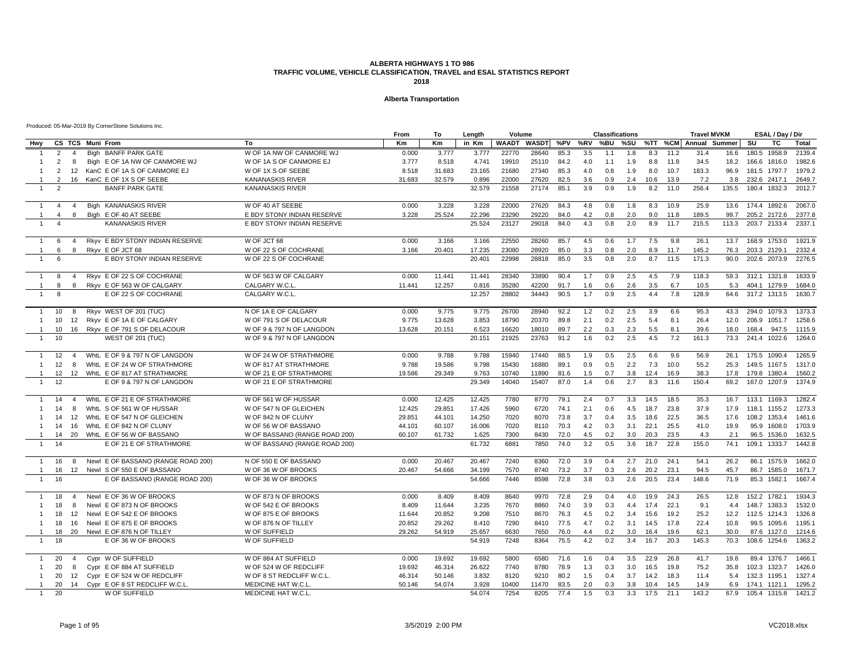### **Alberta Transportation**

|                                  |                 |                        |                  |                                                  |                                | From   | To        | Length           | Volume       |                         |              |            | <b>Classifications</b> |            |              |              | <b>Travel MVKM</b>    |              |       | ESAL / Day / Dir            |                  |
|----------------------------------|-----------------|------------------------|------------------|--------------------------------------------------|--------------------------------|--------|-----------|------------------|--------------|-------------------------|--------------|------------|------------------------|------------|--------------|--------------|-----------------------|--------------|-------|-----------------------------|------------------|
| Hwy                              |                 |                        | CS TCS Muni From |                                                  | To                             | Km     | <b>Km</b> | in Km            |              | WAADT WASDT %PV %RV %BU |              |            |                        | %SU        |              |              | %TT %CM Annual Summer |              | SU    | TC                          | Total            |
| -1                               | 2               | $\overline{4}$         |                  | Bigh BANFF PARK GATE                             | W OF 1A NW OF CANMORE WJ       | 0.000  | 3.777     | 3.777            | 22770        | 28640                   | 85.3         | 3.5        | 1.1                    | 1.8        | 8.3          | 11.2         | 31.4                  | 16.6         |       | 180.5 1958.9                | 2139.4           |
| $\overline{1}$                   | 2               | -8                     |                  | Bigh E OF 1A NW OF CANMORE WJ                    | W OF 1A S OF CANMORE EJ        | 3.777  | 8.518     | 4.741            | 19910        | 25110                   | 84.2         | 4.0        | 1.1                    | 1.9        | 8.8          | 11.8         | 34.5                  | 18.2         |       | 166.6 1816.0                | 1982.6           |
| -1                               | 2               | 12                     |                  | KanC E OF 1A S OF CANMORE EJ                     | W OF 1X S OF SEEBE             | 8.518  | 31.683    | 23.165           | 21680        | 27340                   | 85.3         | 4.0        | 0.8                    | 1.9        | 8.0          | 10.7         | 183.3                 | 96.9         |       | 181.5 1797.7                | 1979.2           |
|                                  | $\overline{2}$  | 16                     |                  | KanC E OF 1X S OF SEEBE                          | <b>KANANASKIS RIVER</b>        | 31.683 | 32.579    | 0.896            | 22000        | 27620                   | 82.5         | 3.6        | 0.9                    | 2.4        | 10.6         | 13.9         | 7.2                   | 3.8          |       | 232.6 2417.1                | 2649.7           |
| $\overline{1}$                   | $\overline{2}$  |                        |                  | <b>BANFF PARK GATE</b>                           | <b>KANANASKIS RIVER</b>        |        |           | 32.579           | 21558        | 27174                   | 85.1         | 3.9        | 0.9                    | 1.9        | 8.2          | 11.0         | 256.4                 | 135.5        |       | 180.4 1832.3                | 2012.7           |
|                                  | $\overline{4}$  | $\overline{4}$         |                  | Bigh KANANASKIS RIVER                            | W OF 40 AT SEEBE               | 0.000  | 3.228     | 3.228            | 22000        | 27620                   | 84.3         | 4.8        | 0.8                    | 1.8        | 8.3          | 10.9         | 25.9                  | 13.6         |       | 174.4 1892.6                | 2067.0           |
| $\overline{1}$<br>$\overline{1}$ | $\overline{4}$  | 8                      |                  | Bigh E OF 40 AT SEEBE                            | E BDY STONY INDIAN RESERVE     | 3.228  | 25.524    | 22.296           | 23290        | 29220                   | 84.0         | 4.2        | 0.8                    | 2.0        | 9.0          | 11.8         | 189.5                 | 99.7         |       | 205.2 2172.6                | 2377.8           |
|                                  |                 |                        |                  | <b>KANANASKIS RIVER</b>                          | E BDY STONY INDIAN RESERVE     |        |           | 25.524           | 23127        | 29018                   | 84.0         | 4.3        | 0.8                    | 2.0        | 8.9          | 11.7         | 215.5                 | 113.3        |       | 203.7 2133.4                | 2337.1           |
|                                  |                 |                        |                  |                                                  |                                |        |           |                  |              |                         |              |            |                        |            |              |              |                       |              |       |                             |                  |
| $\overline{1}$                   | 6               | $\overline{4}$         |                  | Rkyv E BDY STONY INDIAN RESERVE                  | W OF JCT 68                    | 0.000  | 3.166     | 3.166            | 22550        | 28260                   | 85.7         | 4.5        | 0.6                    | 1.7        | 7.5          | 9.8          | 26.1                  | 13.7         |       | 168.9 1753.0                | 1921.9           |
| $\overline{1}$                   | 6               | 8                      |                  | Rkyv E OF JCT 68                                 | W OF 22 S OF COCHRANE          | 3.166  | 20.401    | 17.235           | 23080        | 28920                   | 85.0         | 3.3        | 0.8                    | 2.0        | 8.9          | 11.7         | 145.2                 | 76.3         |       | 203.3 2129.1                | 2332.4           |
| $\overline{1}$                   | 6               |                        |                  | E BDY STONY INDIAN RESERVE                       | W OF 22 S OF COCHRANE          |        |           | 20.401           | 22998        | 28818                   | 85.0         | 3.5        | 0.8                    | 2.0        | 8.7          | 11.5         | 171.3                 | 90.0         |       | 202.6 2073.9                | 2276.5           |
| $\overline{1}$                   | 8               | $\overline{4}$         |                  | Rkvv E OF 22 S OF COCHRANE                       | W OF 563 W OF CALGARY          | 0.000  | 11.441    | 11.441           | 28340        | 33890                   | 90.4         | 1.7        | 0.9                    | 2.5        | 4.5          | 7.9          | 118.3                 | 59.3         |       | 312.1 1321.8                | 1633.9           |
| $\overline{1}$                   | 8               | 8                      |                  | Rkyv E OF 563 W OF CALGARY                       | CALGARY W.C.L.                 | 11.441 | 12.257    | 0.816            | 35280        | 42200                   | 91.7         | 1.6        | 0.6                    | 2.6        | 3.5          | 6.7          | 10.5                  | 5.3          |       | 404.1 1279.9                | 1684.0           |
| $\overline{1}$                   | $\mathsf{R}$    |                        |                  | E OF 22 S OF COCHRANE                            | CALGARY W.C.L.                 |        |           | 12.257           | 28802        | 34443                   | 90.5         | 1.7        | 0.9                    | 2.5        | 4.4          | 7.8          | 128.9                 | 64.6         |       | 317.2 1313.5                | 1630.7           |
| $\overline{1}$                   | 10              | - 8                    |                  | Rkyv WEST OF 201 (TUC)                           | N OF 1A E OF CALGARY           | 0.000  | 9.775     | 9.775            | 26700        | 28940                   | 92.2         | 1.2        | 0.2                    | 2.5        | 3.9          | 6.6          | 95.3                  | 43.3         |       | 294.0 1079.3                | 1373.3           |
| $\overline{1}$                   | 10 <sup>1</sup> | 12                     |                  | Rkyv E OF 1A E OF CALGARY                        | W OF 791 S OF DELACOUR         | 9.775  | 13.628    | 3.853            | 18790        | 20370                   | 89.8         | 2.1        | 0.2                    | 2.5        | 5.4          | 8.1          | 26.4                  | 12.0         |       | 206.9 1051.7                | 1258.6           |
| $\overline{1}$                   | 10              | 16                     |                  | Rkyv E OF 791 S OF DELACOUR                      | W OF 9 & 797 N OF LANGDON      | 13.628 | 20.151    | 6.523            | 16620        | 18010                   | 89.7         | 2.2        | 0.3                    | 2.3        | 5.5          | 8.1          | 39.6                  | 18.0         | 168.4 | 947.5                       | 1115.9           |
| $\overline{1}$                   | 10              |                        |                  | WEST OF 201 (TUC)                                | W OF 9 & 797 N OF LANGDON      |        |           | 20.151           | 21925        | 23763                   | 91.2         | 1.6        | 0.2                    | 2.5        | 4.5          | 7.2          | 161.3                 | 73.3         |       | 241.4 1022.6                | 1264.0           |
| $\overline{1}$                   | 12              | $\overline{4}$         |                  | WhtL E OF 9 & 797 N OF LANGDON                   | W OF 24 W OF STRATHMORE        | 0.000  | 9.788     | 9.788            | 15940        | 17440                   | 88.5         | 1.9        | 0.5                    | 2.5        | 6.6          | 9.6          | 56.9                  | 26.1         |       | 175.5 1090.4                | 1265.9           |
| $\overline{1}$                   | 12              | 8                      |                  | WhtL E OF 24 W OF STRATHMORE                     | W OF 817 AT STRATHMORE         | 9.788  | 19.586    | 9.798            | 15430        | 16880                   | 89.1         | 0.9        | 0.5                    | 2.2        | 7.3          | 10.0         | 55.2                  | 25.3         |       | 149.5 1167.5                | 1317.0           |
| $\overline{1}$                   | 12              |                        |                  | 12 WhtL E OF 817 AT STRATHMORE                   | W OF 21 E OF STRATHMORE        | 19.586 | 29.349    | 9.763            | 10740        | 11890                   | 81.6         | 1.5        | 0.7                    | 3.8        | 12.4         | 16.9         | 38.3                  | 17.8         |       | 179.8 1380.4                | 1560.2           |
| $\overline{1}$                   | 12              |                        |                  | E OF 9 & 797 N OF LANGDON                        | W OF 21 E OF STRATHMORE        |        |           | 29.349           | 14040        | 15407                   | 87.0         | 1.4        | 0.6                    | 2.7        | 8.3          | 11.6         | 150.4                 | 69.2         |       | 167.0 1207.9                | 1374.9           |
| $\overline{1}$                   | 14              | $\overline{4}$         |                  | WhtL E OF 21 E OF STRATHMORE                     | W OF 561 W OF HUSSAR           | 0.000  | 12.425    | 12.425           | 7780         | 8770                    | 79.1         | 2.4        | 0.7                    | 3.3        | 14.5         | 18.5         | 35.3                  | 16.7         |       | 113.1 1169.3                | 1282.4           |
|                                  | 14              | 8                      |                  | WhtL S OF 561 W OF HUSSAR                        | W OF 547 N OF GLEICHEN         | 12.425 | 29.851    | 17.426           | 5960         | 6720                    | 74.1         | 2.1        | 0.6                    | 4.5        | 18.7         | 23.8         | 37.9                  | 17.9         |       | 118.1 1155.2                | 1273.3           |
| $\mathbf{1}$                     | 14              | 12                     |                  | WhtL E OF 547 N OF GLEICHEN                      | W OF 842 N OF CLUNY            | 29.851 | 44.101    | 14.250           | 7020         | 8070                    | 73.8         | 3.7        | 0.4                    | 3.5        | 18.6         | 22.5         | 36.5                  | 17.6         |       | 108.2 1353.4                | 1461.6           |
| $\overline{1}$                   | 14              | 16                     |                  | WhtL E OF 842 N OF CLUNY                         | W OF 56 W OF BASSANO           | 44.101 | 60.107    | 16.006           | 7020         | 8110                    | 70.3         | 4.2        | 0.3                    | 3.1        | 22.1         | 25.5         | 41.0                  | 19.9         |       | 95.9 1608.0                 | 1703.9           |
| $\overline{1}$                   | 14              | 20                     |                  | WhtL E OF 56 W OF BASSANO                        | W OF BASSANO (RANGE ROAD 200)  | 60.107 | 61.732    | 1.625            | 7300         | 8430                    | 72.0         | 4.5        | 0.2                    | 3.0        | 20.3         | 23.5         | 4.3                   | 2.1          |       | 96.5 1536.0                 | 1632.5           |
| $\overline{1}$                   | 14              |                        |                  | E OF 21 E OF STRATHMORE                          | W OF BASSANO (RANGE ROAD 200)  |        |           | 61.732           | 6881         | 7850                    | 74.0         | 3.2        | 0.5                    | 3.6        | 18.7         | 22.8         | 155.0                 | 74.1         |       | 109.1 1333.7                | 1442.8           |
| $\overline{1}$                   | 16              | 8                      |                  | Newl E OF BASSANO (RANGE ROAD 200)               | N OF 550 E OF BASSANO          | 0.000  | 20.467    | 20.467           | 7240         | 8360                    | 72.0         | 3.9        | 0.4                    | 2.7        | 21.0         | 24.1         | 54.1                  | 26.2         |       | 86.1 1575.9                 | 1662.0           |
| $\overline{1}$                   | 16              |                        |                  | 12 Newl S OF 550 E OF BASSANO                    | W OF 36 W OF BROOKS            | 20.467 | 54.666    | 34.199           | 7570         | 8740                    | 73.2         | 3.7        | 0.3                    | 2.6        | 20.2         | 23.1         | 94.5                  | 45.7         |       | 86.7 1585.0                 | 1671.7           |
| $\overline{1}$                   | 16              |                        |                  | E OF BASSANO (RANGE ROAD 200)                    | W OF 36 W OF BROOKS            |        |           | 54.666           | 7446         | 8598                    | 72.8         | 3.8        | 0.3                    | 2.6        | 20.5         | 23.4         | 148.6                 | 71.9         |       | 85.3 1582.1                 | 1667.4           |
|                                  |                 |                        |                  |                                                  |                                |        |           |                  |              |                         |              |            |                        |            |              |              |                       |              |       |                             |                  |
| -1                               | 18              | $\boldsymbol{\Lambda}$ |                  | Newl E OF 36 W OF BROOKS                         | W OF 873 N OF BROOKS           | 0.000  | 8.409     | 8.409            | 8640         | 9970                    | 72.8         | 2.9        | 0.4                    | 4.0        | 19.9         | 24.3         | 26.5                  | 12.8         |       | 152.2 1782.1                | 1934.3<br>1532.0 |
| $\overline{1}$                   | 18              | 8                      |                  | Newl E OF 873 N OF BROOKS                        | W OF 542 E OF BROOKS           | 8.409  | 11.644    | 3.235            | 7670         | 8860                    | 74.0         | 3.9        | 0.3                    | 4.4        | 17.4         | 22.1         | 9.1                   | 4.4          |       | 148.7 1383.3                |                  |
| -1                               | 18              | 12                     |                  | Newl E OF 542 E OF BROOKS                        | W OF 875 E OF BROOKS           | 11.644 | 20.852    | 9.208            | 7510         | 8670                    | 76.3         | 4.5        | 0.2                    | 3.4        | 15.6         | 19.2         | 25.2                  | 12.2         |       | 112.5 1214.3                | 1326.8           |
| $\overline{1}$                   | 18              | 16                     |                  | Newl E OF 875 E OF BROOKS                        | W OF 876 N OF TILLEY           | 20.852 | 29.262    | 8.410            | 7290         | 8410                    | 77.5         | 4.7        | 0.2                    | 3.1        | 14.5         | 17.8         | 22.4                  | 10.8         |       | 99.5 1095.6                 | 1195.1           |
| $\overline{1}$<br>$\overline{1}$ | 18<br>18        | 20                     |                  | Newl E OF 876 N OF TILLEY<br>E OF 36 W OF BROOKS | W OF SUFFIELD<br>W OF SUFFIELD | 29.262 | 54.919    | 25.657<br>54.919 | 6630<br>7248 | 7650<br>8364            | 76.0<br>75.5 | 4.4<br>4.2 | 0.2<br>0.2             | 3.0<br>3.4 | 16.4<br>16.7 | 19.6<br>20.3 | 62.1<br>145.3         | 30.0<br>70.3 |       | 87.6 1127.0<br>108.6 1254.6 | 1214.6<br>1363.2 |
|                                  |                 |                        |                  |                                                  |                                |        |           |                  |              |                         |              |            |                        |            |              |              |                       |              |       |                             |                  |
| $\mathbf{1}$                     | 20              | $\overline{4}$         |                  | Cvpr W OF SUFFIELD                               | W OF 884 AT SUFFIELD           | 0.000  | 19.692    | 19.692           | 5800         | 6580                    | 71.6         | 1.6        | 0.4                    | 3.5        | 22.9         | 26.8         | 41.7                  | 19.8         |       | 89.4 1376.7                 | 1466.1           |
| $\overline{1}$                   | 20              | 8                      |                  | Cypr E OF 884 AT SUFFIELD                        | W OF 524 W OF REDCLIFF         | 19.692 | 46.314    | 26.622           | 7740         | 8780                    | 78.9         | 1.3        | 0.3                    | 3.0        | 16.5         | 19.8         | 75.2                  | 35.8         |       | 102.3 1323.7                | 1426.0           |
| -1                               | 20              | - 12                   |                  | Cypr E OF 524 W OF REDCLIFF                      | W OF 8 ST REDCLIFF W.C.L.      | 46.314 | 50.146    | 3.832            | 8120         | 9210                    | 80.2         | 1.5        | 0.4                    | 3.7        | 14.2         | 18.3         | 11.4                  | 5.4          |       | 132.3 1195.1                | 1327.4           |
| $\overline{1}$                   | 20              | 14                     |                  | Cypr E OF 8 ST REDCLIFF W.C.L                    | MEDICINE HAT W.C.L.            | 50.146 | 54.074    | 3.928            | 10400        | 11470                   | 83.5         | 2.0        | 0.3                    | 3.8        | 10.4         | 14.5         | 14.9                  | 6.9          |       | 174.1 1121.1                | 1295.2           |
| $\overline{1}$                   | 20              |                        |                  | W OF SUFFIELD                                    | MEDICINE HAT W.C.L.            |        |           | 54.074           | 7254         | 8205                    | 77.4         | 1.5        | 0.3                    | 3.3        | 17.5         | 21.1         | 143.2                 | 67.9         |       | 105.4 1315.8                | 1421.2           |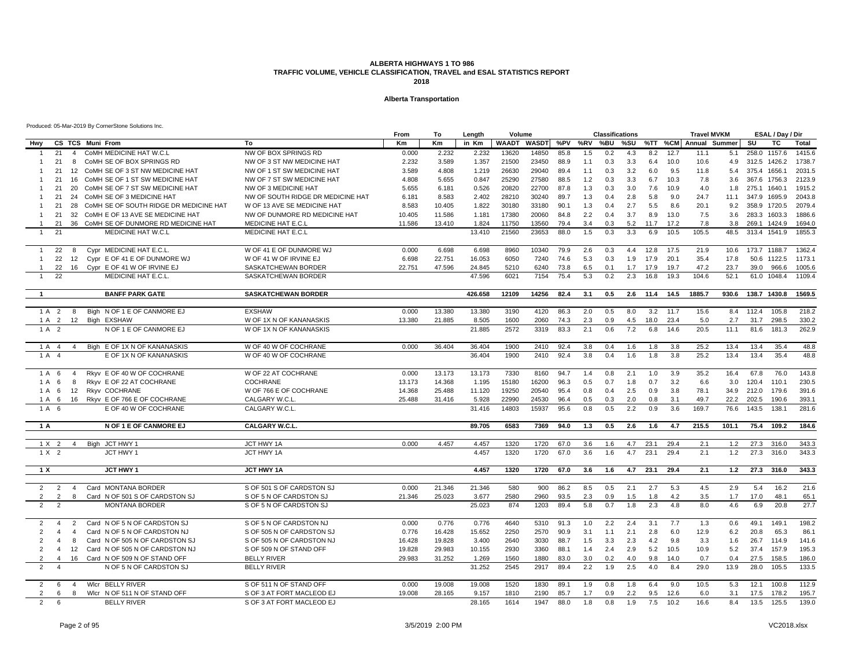### **Alberta Transportation**

|                                           |                |                  |                                        |                                   | From   | To     | Length  | Volume       |           |      |       | <b>Classifications</b> |     |      |         | <b>Travel MVKM</b> |       |       | ESAL / Day / Dir |              |
|-------------------------------------------|----------------|------------------|----------------------------------------|-----------------------------------|--------|--------|---------|--------------|-----------|------|-------|------------------------|-----|------|---------|--------------------|-------|-------|------------------|--------------|
| Hwy                                       |                | CS TCS Muni From |                                        | Тο                                | Кm     | Km     | in Km   | <b>WAADT</b> | WASDT %PV |      | %RV   | %BU                    | %SU |      | %TT %CM | Annual Summer      |       | SU    | TC               | <b>Total</b> |
| 21<br>-1                                  | $\overline{4}$ |                  | COMH MEDICINE HAT W.C.L                | NW OF BOX SPRINGS RD              | 0.000  | 2.232  | 2.232   | 13620        | 14850     | 85.8 | 1.5   | 0.2                    | 4.3 | 8.2  | 12.7    | 11.1               | 5.1   |       | 258.0 1157.6     | 1415.6       |
| 21<br>$\mathbf{1}$                        | 8              |                  | CoMH SE OF BOX SPRINGS RD              | NW OF 3 ST NW MEDICINE HAT        | 2.232  | 3.589  | 1.357   | 21500        | 23450     | 88.9 | 1.1   | 0.3                    | 3.3 | 6.4  | 10.0    | 10.6               | 4.9   |       | 312.5 1426.2     | 1738.7       |
| 21<br>-1                                  | 12             |                  | COMH SE OF 3 ST NW MEDICINE HAT        | NW OF 1 ST SW MEDICINE HAT        | 3.589  | 4.808  | 1.219   | 26630        | 29040     | 89.4 | 1.1   | 0.3                    | 3.2 | 6.0  | 9.5     | 11.8               | 5.4   |       | 375.4 1656.1     | 2031.5       |
| 21                                        | 16             |                  | CoMH SE OF 1 ST SW MEDICINE HAT        | NW OF 7 ST SW MEDICINE HAT        | 4.808  | 5.655  | 0.847   | 25290        | 27580     | 88.5 | 1.2   | 0.3                    | 3.3 | 6.7  | 10.3    | 7.8                | 3.6   |       | 367.6 1756.3     | 2123.9       |
| 21<br>$\overline{1}$                      | 20             |                  | COMH SE OF 7 ST SW MEDICINE HAT        | NW OF 3 MEDICINE HAT              | 5.655  | 6.181  | 0.526   | 20820        | 22700     | 87.8 | 1.3   | 0.3                    | 3.0 | 7.6  | 10.9    | 4.0                | 1.8   |       | 275.1 1640.1     | 1915.2       |
| 1<br>21                                   | 24             |                  | COMH SE OF 3 MEDICINE HAT              | NW OF SOUTH RIDGE DR MEDICINE HAT | 6.181  | 8.583  | 2.402   | 28210        | 30240     | 89.7 | 1.3   | 0.4                    | 2.8 | 5.8  | 9.0     | 24.7               | 11.1  |       | 347.9 1695.9     | 2043.8       |
| 21<br>$\overline{1}$                      | 28             |                  | COMH SE OF SOUTH RIDGE DR MEDICINE HAT | W OF 13 AVE SE MEDICINE HAT       | 8.583  | 10.405 | 1.822   | 30180        | 33180     | 90.1 | 1.3   | 0.4                    | 2.7 | 5.5  | 8.6     | 20.1               | 9.2   |       | 358.9 1720.5     | 2079.4       |
| 21<br>$\mathbf{1}$                        |                |                  | 32 CoMH E OF 13 AVE SE MEDICINE HAT    | NW OF DUNMORE RD MEDICINE HAT     | 10.405 | 11.586 | 1.181   | 17380        | 20060     | 84.8 | 2.2   | 0.4                    | 3.7 | 8.9  | 13.0    | 7.5                | 3.6   |       | 283.3 1603.3     | 1886.6       |
| 21<br>$\overline{1}$                      | 36             |                  | COMH SE OF DUNMORE RD MEDICINE HAT     | MEDICINE HAT E.C.L                | 11.586 | 13.410 | 1.824   | 11750        | 13560     | 79.4 | 3.4   | 0.3                    | 5.2 | 11.7 | 17.2    | 7.8                | 3.8   |       | 269.1 1424.9     | 1694.0       |
| 21                                        |                |                  | MEDICINE HAT W.C.L                     | MEDICINE HAT E.C.L                |        |        | 13.410  | 21560        | 23653     | 88.0 | 1.5   | 0.3                    | 3.3 | 6.9  | 10.5    | 105.5              | 48.5  | 313.4 | 1541.9           | 1855.3       |
|                                           |                |                  |                                        |                                   |        |        |         |              |           |      |       |                        |     |      |         |                    |       |       |                  |              |
| 22<br>$\overline{1}$                      |                |                  | Cypr MEDICINE HAT E.C.L.               | W OF 41 E OF DUNMORE WJ           | 0.000  | 6.698  | 6.698   | 8960         | 10340     | 79.9 | 2.6   | 0.3                    | 4.4 | 12.8 | 17.5    | 21.9               | 10.6  |       | 173.7 1188.7     | 1362.4       |
| 22<br>$\overline{1}$                      | 12             |                  | Cypr E OF 41 E OF DUNMORE WJ           | W OF 41 W OF IRVINE EJ            | 6.698  | 22.751 | 16.053  | 6050         | 7240      | 74.6 | 5.3   | 0.3                    | 1.9 | 17.9 | 20.1    | 35.4               | 17.8  |       | 50.6 1122.5      | 1173.1       |
| 22<br>$\overline{1}$                      | 16             |                  | Cypr E OF 41 W OF IRVINE EJ            | SASKATCHEWAN BORDER               | 22.751 | 47.596 | 24.845  | 5210         | 6240      | 73.8 | 6.5   | 0.1                    | 1.7 | 17.9 | 19.7    | 47.2               | 23.7  | 39.0  | 966.6            | 1005.6       |
| 22                                        |                |                  | MEDICINE HAT E.C.L                     | SASKATCHEWAN BORDER               |        |        | 47.596  | 6021         | 7154      | 75.4 | 5.3   | 0.2                    | 2.3 | 16.8 | 19.3    | 104.6              | 52.1  | 61.0  | 1048.4           | 1109.4       |
|                                           |                |                  |                                        |                                   |        |        |         |              |           |      |       |                        |     |      |         |                    |       |       |                  |              |
| $\overline{1}$                            |                |                  | <b>BANFF PARK GATE</b>                 | <b>SASKATCHEWAN BORDER</b>        |        |        | 426.658 | 12109        | 14256     | 82.4 | 3.1   | 0.5                    | 2.6 | 11.4 | 14.5    | 1885.7             | 930.6 |       | 138.7 1430.8     | 1569.5       |
|                                           |                |                  |                                        |                                   |        |        |         |              |           |      |       |                        |     |      |         |                    |       |       |                  |              |
| 1 A<br>2                                  | 8              |                  | Bigh N OF 1 E OF CANMORE EJ            | <b>EXSHAW</b>                     | 0.000  | 13.380 | 13.380  | 3190         | 4120      | 86.3 | 2.0   | 0.5                    | 8.0 | 3.2  | 11.7    | 15.6               | 8.4   | 112.4 | 105.8            | 218.2        |
| 2<br>1 A                                  | 12             |                  | Bigh EXSHAW                            | W OF 1X N OF KANANASKIS           | 13.380 | 21.885 | 8.505   | 1600         | 2060      | 74.3 | 2.3   | 0.9                    | 4.5 | 18.0 | 23.4    | 5.0                | 2.7   | 31.7  | 298.5            | 330.2        |
| 1 A<br>$\overline{2}$                     |                |                  | N OF 1 E OF CANMORE EJ                 | W OF 1X N OF KANANASKIS           |        |        | 21.885  | 2572         | 3319      | 83.3 | 2.1   | 0.6                    | 7.2 | 6.8  | 14.6    | 20.5               | 11.1  | 81.6  | 181.3            | 262.9        |
|                                           |                |                  |                                        |                                   |        |        |         |              |           |      |       |                        |     |      |         |                    |       |       |                  |              |
| 1 A<br>$\overline{4}$                     | $\overline{4}$ |                  | Bigh E OF 1X N OF KANANASKIS           | W OF 40 W OF COCHRANE             | 0.000  | 36.404 | 36,404  | 1900         | 2410      | 92.4 | 3.8   | 0.4                    | 1.6 | 1.8  | 3.8     | 25.2               | 13.4  | 13.4  | 35.4             | 48.8         |
| 1 A<br>$\overline{4}$                     |                |                  | E OF 1X N OF KANANASKIS                | W OF 40 W OF COCHRANE             |        |        | 36.404  | 1900         | 2410      | 92.4 | 3.8   | 0.4                    | 1.6 | 1.8  | 3.8     | 25.2               | 13.4  | 13.4  | 35.4             | 48.8         |
|                                           |                |                  |                                        |                                   |        |        |         |              |           |      |       |                        |     |      |         |                    |       |       |                  |              |
| 1 A 6                                     | $\overline{4}$ |                  | Rkyv E OF 40 W OF COCHRANE             | W OF 22 AT COCHRANE               | 0.000  | 13.173 | 13.173  | 7330         | 8160      | 94.7 | 1.4   | 0.8                    | 2.1 | 1.0  | 3.9     | 35.2               | 16.4  | 67.8  | 76.0             | 143.8        |
| 1 A 6                                     | 8              |                  | Rkyv E OF 22 AT COCHRANE               | <b>COCHRANE</b>                   | 13.173 | 14.368 | 1.195   | 15180        | 16200     | 96.3 | 0.5   | 0.7                    | 1.8 | 0.7  | 3.2     | 6.6                | 3.0   | 120.4 | 110.1            | 230.5        |
| 1 A 6                                     | 12             |                  | Rkvv COCHRANE                          | W OF 766 E OF COCHRANE            | 14.368 | 25.488 | 11.120  | 19250        | 20540     | 95.4 | 0.8   | 0.4                    | 2.5 | 0.9  | 3.8     | 78.1               | 34.9  | 212.0 | 179.6            | 391.6        |
| 6<br>1 A                                  |                |                  | 16 Rkyv E OF 766 E OF COCHRANE         | CALGARY W.C.L                     | 25.488 | 31.416 | 5.928   | 22990        | 24530     | 96.4 | 0.5   | 0.3                    | 2.0 | 0.8  | 3.1     | 49.7               | 22.2  | 202.5 | 190.6            | 393.1        |
| 1 A<br>6                                  |                |                  | E OF 40 W OF COCHRANE                  | CALGARY W.C.L.                    |        |        | 31.416  | 14803        | 15937     | 95.6 | 0.8   | 0.5                    | 2.2 | 0.9  | 3.6     | 169.7              | 76.6  | 143.5 | 138.1            | 281.6        |
|                                           |                |                  |                                        |                                   |        |        |         |              |           |      |       |                        |     |      |         |                    |       |       |                  |              |
| 1 A                                       |                |                  | N OF 1 E OF CANMORE EJ                 | CALGARY W.C.L.                    |        |        | 89.705  | 6583         | 7369      | 94.0 | $1.3$ | 0.5                    | 2.6 | 1.6  | 4.7     | 215.5              | 101.1 | 75.4  | 109.2            | 184.6        |
|                                           |                |                  |                                        |                                   |        |        |         |              |           |      |       |                        |     |      |         |                    |       |       |                  |              |
| 1 X 2                                     | $\overline{4}$ |                  | Bigh JCT HWY 1                         | JCT HWY 1A                        | 0.000  | 4.457  | 4.457   | 1320         | 1720      | 67.0 | 3.6   | 1.6                    | 4.7 | 23.1 | 29.4    | 2.1                | 1.2   | 27.3  | 316.0            | 343.3        |
| 1 X 2                                     |                |                  | JCT HWY 1                              | JCT HWY 1A                        |        |        | 4.457   | 1320         | 1720      | 67.0 | 3.6   | 1.6                    | 4.7 | 23.1 | 29.4    | 2.1                | 1.2   | 27.3  | 316.0            | 343.3        |
|                                           |                |                  |                                        |                                   |        |        |         |              |           |      |       |                        |     |      |         |                    |       |       |                  |              |
| 1 X                                       |                |                  | JCT HWY 1                              | JCT HWY 1A                        |        |        | 4.457   | 1320         | 1720      | 67.0 | 3.6   | 1.6                    | 4.7 | 23.1 | 29.4    | 2.1                | 1.2   | 27.3  | 316.0            | 343.3        |
|                                           |                |                  |                                        |                                   |        |        |         |              |           |      |       |                        |     |      |         |                    |       |       |                  |              |
| 2<br>2                                    | $\overline{4}$ |                  | Card MONTANA BORDER                    | S OF 501 S OF CARDSTON SJ         | 0.000  | 21.346 | 21.346  | 580          | 900       | 86.2 | 8.5   | 0.5                    | 2.1 | 2.7  | 5.3     | 4.5                | 2.9   | 5.4   | 16.2             | 21.6         |
| $\overline{2}$<br>2                       | 8              |                  | Card N OF 501 S OF CARDSTON SJ         | S OF 5 N OF CARDSTON SJ           | 21.346 | 25.023 | 3.677   | 2580         | 2960      | 93.5 | 2.3   | 0.9                    | 1.5 | 1.8  | 4.2     | 3.5                | 1.7   | 17.0  | 48.1             | 65.1         |
| $\overline{2}$<br>2                       |                |                  | <b>MONTANA BORDER</b>                  | S OF 5 N OF CARDSTON SJ           |        |        | 25.023  | 874          | 1203      | 89.4 | 5.8   | 0.7                    | 1.8 | 2.3  | 4.8     | 8.0                | 4.6   | 6.9   | 20.8             | 27.7         |
|                                           |                |                  |                                        |                                   |        |        |         |              |           |      |       |                        |     |      |         |                    |       |       |                  |              |
| $\overline{2}$<br>$\overline{4}$          | $\overline{2}$ |                  | Card N OF 5 N OF CARDSTON SJ           | S OF 5 N OF CARDSTON NJ           | 0.000  | 0.776  | 0.776   | 4640         | 5310      | 91.3 | 1.0   | 2.2                    | 2.4 | 3.1  | 7.7     | 1.3                | 0.6   | 49.1  | 149.1            | 198.2        |
| $\overline{2}$<br>$\overline{4}$          | $\overline{4}$ |                  | Card N OF 5 N OF CARDSTON NJ           | S OF 505 N OF CARDSTON SJ         | 0.776  | 16.428 | 15.652  | 2250         | 2570      | 90.9 | 3.1   | 1.1                    | 2.1 | 2.8  | 6.0     | 12.9               | 6.2   | 20.8  | 65.3             | 86.1         |
| $\overline{2}$<br>$\overline{\mathbf{4}}$ | 8              |                  | Card N OF 505 N OF CARDSTON SJ         | S OF 505 N OF CARDSTON NJ         | 16.428 | 19.828 | 3.400   | 2640         | 3030      | 88.7 | 1.5   | 3.3                    | 2.3 | 4.2  | 9.8     | 3.3                | 1.6   | 26.7  | 114.9            | 141.6        |
| 2<br>$\overline{4}$                       | 12             |                  | Card N OF 505 N OF CARDSTON NJ         | S OF 509 N OF STAND OFF           | 19.828 | 29.983 | 10.155  | 2930         | 3360      | 88.1 | 1.4   | 2.4                    | 2.9 | 5.2  | 10.5    | 10.9               | 5.2   | 37.4  | 157.9            | 195.3        |
| 2<br>$\overline{4}$                       | 16             |                  | Card N OF 509 N OF STAND OFF           | <b>BELLY RIVER</b>                | 29.983 | 31.252 | 1.269   | 1560         | 1880      | 83.0 | 3.0   | 0.2                    | 4.0 | 9.8  | 14.0    | 0.7                | 0.4   | 27.5  | 158.5            | 186.0        |
| 2<br>$\overline{4}$                       |                |                  | N OF 5 N OF CARDSTON SJ                | <b>BELLY RIVER</b>                |        |        | 31.252  | 2545         | 2917      | 89.4 | 2.2   | 1.9                    | 2.5 | 4.0  | 8.4     | 29.0               | 13.9  | 28.0  | 105.5            | 133.5        |
|                                           |                |                  |                                        |                                   |        |        |         |              |           |      |       |                        |     |      |         |                    |       |       |                  |              |
| 2<br>6                                    | $\overline{4}$ |                  | Wicr BELLY RIVER                       | S OF 511 N OF STAND OFF           | 0.000  | 19.008 | 19.008  | 1520         | 1830      | 89.1 | 1.9   | 0.8                    | 1.8 | 6.4  | 9.0     | 10.5               | 5.3   | 12.1  | 100.8            | 112.9        |
| 6<br>2                                    | -8             |                  | Wicr N OF 511 N OF STAND OFF           | S OF 3 AT FORT MACLEOD EJ         | 19.008 | 28.165 | 9.157   | 1810         | 2190      | 85.7 | 1.7   | 0.9                    | 2.2 | 9.5  | 12.6    | 6.0                | 3.1   | 17.5  | 178.2            | 195.7        |
| 2<br>6                                    |                |                  | <b>BELLY RIVER</b>                     | S OF 3 AT FORT MACLEOD EJ         |        |        | 28.165  | 1614         | 1947      | 88.0 | 1.8   | 0.8                    | 1.9 | 7.5  | 10.2    | 16.6               | 8.4   | 13.5  | 125.5            | 139.0        |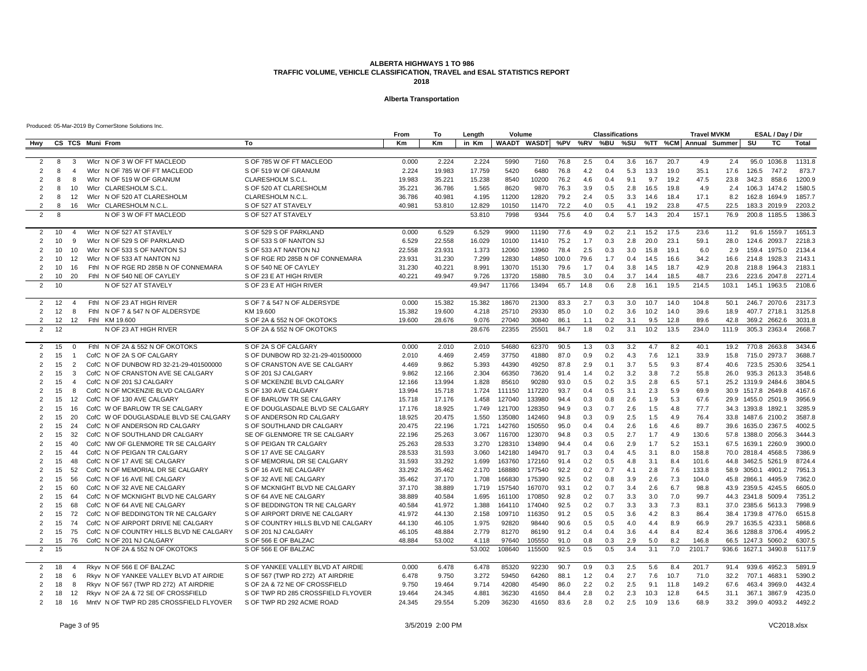### **Alberta Transportation**

|                |    |                |                                         |                                    | From   | То     | Length | Volume |                             |       |      | <b>Classifications</b> |     |      |      | Travel MVKN           |       |                     | ESAL / Day / Dir |              |
|----------------|----|----------------|-----------------------------------------|------------------------------------|--------|--------|--------|--------|-----------------------------|-------|------|------------------------|-----|------|------|-----------------------|-------|---------------------|------------------|--------------|
| Hwv            |    |                | CS TCS Muni From                        | To                                 | Кm     | Кm     | in Km  |        | WAADT WASDT %PV %RV %BU %SU |       |      |                        |     |      |      | %TT %CM Annual Summer |       | SU                  | TC.              | <b>Total</b> |
|                |    |                |                                         |                                    |        |        |        |        |                             |       |      |                        |     |      |      |                       |       |                     |                  |              |
| 2              | 8  | 3              | Wicr N OF 3 W OF FT MACLEOD             | S OF 785 W OF FT MACLEOD           | 0.000  | 2.224  | 2.224  | 5990   | 7160                        | 76.8  | 2.5  | 0.4                    | 3.6 | 16.7 | 20.7 | 4.9                   | 2.4   |                     | 95.0 1036.8      | 1131.8       |
| 2              | 8  | $\overline{4}$ | Wicr N OF 785 W OF FT MACLEOD           | S OF 519 W OF GRANUM               | 2.224  | 19.983 | 17.759 | 5420   | 6480                        | 76.8  | 4.2  | 0.4                    | 5.3 | 13.3 | 19.0 | 35.1                  | 17.6  | 126.5               | 747.2            | 873.7        |
| $\overline{2}$ | 8  | 8              | Wicr N OF 519 W OF GRANUM               | <b>CLARESHOLM S.C.L</b>            | 19.983 | 35.221 | 15.238 | 8540   | 10200                       | 76.2  | 4.6  | 0.4                    | 9.1 | 9.7  | 19.2 | 47.5                  | 23.8  | 342.3               | 858.6            | 1200.9       |
| $\overline{2}$ | 8  | 10             | Wicr CLARESHOLM S.C.L                   | S OF 520 AT CLARESHOLM             | 35.221 | 36.786 | 1.565  | 8620   | 9870                        | 76.3  | 3.9  | 0.5                    | 2.8 | 16.5 | 19.8 | 4.9                   | 2.4   |                     | 106.3 1474.2     | 1580.5       |
| $\overline{2}$ | 8  | 12             | Wicr N OF 520 AT CLARESHOLM             | <b>CLARESHOLM N.C.L</b>            | 36.786 | 40.981 | 4.195  | 11200  | 12820                       | 79.2  | 2.4  | 0.5                    | 3.3 | 14.6 | 18.4 | 17.1                  | 8.2   |                     | 162.8 1694.9     | 1857.7       |
| 2              | 8  | 16             | Wicr CLARESHOLM N.C.L                   | S OF 527 AT STAVELY                | 40.981 | 53.810 | 12.829 | 10150  | 11470                       | 72.2  | 4.0  | 0.5                    | 4.1 | 19.2 | 23.8 | 47.5                  | 22.5  |                     | 183.3 2019.9     | 2203.2       |
| 2              | 8  |                | N OF 3 W OF FT MACLEOD                  | S OF 527 AT STAVELY                |        |        | 53.810 | 7998   | 9344                        | 75.6  | 4.0  | 0.4                    | 5.7 | 14.3 | 20.4 | 157.1                 | 76.9  |                     | 200.8 1185.5     | 1386.3       |
|                |    |                |                                         |                                    |        |        |        |        |                             |       |      |                        |     |      |      |                       |       |                     |                  |              |
| $\overline{2}$ | 10 | $\overline{4}$ | Wicr N OF 527 AT STAVELY                | S OF 529 S OF PARKLAND             | 0.000  | 6.529  | 6.529  | 9900   | 11190                       | 77.6  | 4.9  | 0.2                    | 2.1 | 15.2 | 17.5 | 23.6                  | 11.2  |                     | 91.6 1559.7      | 1651.3       |
| $\overline{2}$ | 10 | $\mathbf{Q}$   | Wicr N OF 529 S OF PARKLAND             | S OF 533 S OF NANTON SJ            | 6.529  | 22.558 | 16.029 | 10100  | 11410                       | 75.2  | 1.7  | 0.3                    | 2.8 | 20.0 | 23.1 | 59.1                  | 28.0  |                     | 124.6 2093.7     | 2218.3       |
| $\overline{2}$ | 10 | 10             | Wicr N OF 533 S OF NANTON SJ            | S OF 533 AT NANTON NJ              | 22.558 | 23.931 | 1.373  | 12060  | 13960                       | 78.4  | 2.5  | 0.3                    | 3.0 | 15.8 | 19.1 | 6.0                   | 2.9   |                     | 159.4 1975.0     | 2134.4       |
| $\overline{2}$ | 10 | 12             | Wicr N OF 533 AT NANTON NJ              | S OF RGE RD 285B N OF CONNEMARA    | 23.931 | 31.230 | 7.299  | 12830  | 14850                       | 100.0 | 79.6 | 1.7                    | 0.4 | 14.5 | 16.6 | 34.2                  | 16.6  |                     | 214.8 1928.3     | 2143.1       |
| $\overline{2}$ | 10 | 16             | FthI N OF RGE RD 285B N OF CONNEMARA    | S OF 540 NE OF CAYLEY              | 31.230 | 40.221 | 8.991  | 13070  | 15130                       | 79.6  | 1.7  | 0.4                    | 3.8 | 14.5 | 18.7 | 42.9                  | 20.8  |                     | 218.8 1964.3     | 2183.1       |
| 2              | 10 | 20             | Fthl N OF 540 NE OF CAYLEY              | S OF 23 E AT HIGH RIVER            | 40.221 | 49.947 | 9.726  | 13720  | 15880                       | 78.5  | 3.0  | 0.4                    | 3.7 | 14.4 | 18.5 | 48.7                  | 23.6  |                     | 223.6 2047.8     | 2271.4       |
| 2              | 10 |                | N OF 527 AT STAVELY                     | S OF 23 E AT HIGH RIVER            |        |        | 49.947 | 11766  | 13494                       | 65.7  | 14.8 | 0.6                    | 2.8 | 16.1 | 19.5 | 214.5                 | 103.1 |                     | 145.1 1963.5     | 2108.6       |
|                |    |                |                                         |                                    |        |        |        |        |                             |       |      |                        |     |      |      |                       |       |                     |                  |              |
| $\overline{2}$ | 12 | $\overline{A}$ | Fthl N OF 23 AT HIGH RIVER              | S OF 7 & 547 N OF ALDERSYDE        | 0.000  | 15.382 | 15.382 | 18670  | 21300                       | 83.3  | 2.7  | 0.3                    | 3.0 | 10.7 | 14.0 | 104.8                 | 50.1  |                     | 246.7 2070.6     | 2317.3       |
| 2              | 12 | 8              | Fthl N OF 7 & 547 N OF ALDERSYDE        | KM 19.600                          | 15.382 | 19.600 | 4.218  | 25710  | 29330                       | 85.0  | 1.0  | 0.2                    | 3.6 | 10.2 | 14.0 | 39.6                  | 18.9  |                     | 407.7 2718.1     | 3125.8       |
| 2              | 12 | 12             | Fthl KM 19.600                          | S OF 2A & 552 N OF OKOTOKS         | 19.600 | 28.676 | 9.076  | 27040  | 30840                       | 86.1  | 1.1  | 0.2                    | 3.1 | 9.5  | 12.8 | 89.6                  | 42.8  |                     | 369.2 2662.6     | 3031.8       |
| 2              | 12 |                | N OF 23 AT HIGH RIVER                   | S OF 2A & 552 N OF OKOTOKS         |        |        | 28.676 | 22355  | 25501                       | 84.7  | 1.8  | 0.2                    | 3.1 | 10.2 | 13.5 | 234.0                 | 111.9 |                     | 305.3 2363.4     | 2668.7       |
|                |    |                |                                         |                                    |        |        |        |        |                             |       |      |                        |     |      |      |                       |       |                     |                  |              |
| $\overline{2}$ | 15 | $\Omega$       | Fthl N OF 2A & 552 N OF OKOTOKS         | S OF 2A S OF CALGARY               | 0.000  | 2.010  | 2.010  | 54680  | 62370                       | 90.5  | 1.3  | 0.3                    | 3.2 | 4.7  | 8.2  | 40.1                  | 19.2  |                     | 770.8 2663.8     | 3434.6       |
| $\overline{2}$ | 15 | -1             | CofC N OF 2A S OF CALGARY               | S OF DUNBOW RD 32-21-29-401500000  | 2.010  | 4.469  | 2.459  | 37750  | 41880                       | 87.0  | 0.9  | 0.2                    | 4.3 | 7.6  | 12.1 | 33.9                  | 15.8  | 715.0 2973.7        |                  | 3688.7       |
| $\overline{2}$ | 15 | 2              | CofC N OF DUNBOW RD 32-21-29-401500000  | S OF CRANSTON AVE SE CALGARY       | 4.469  | 9.862  | 5.393  | 44390  | 49250                       | 87.8  | 2.9  | 0.1                    | 3.7 | 5.5  | 9.3  | 87.4                  | 40.6  | 723.5 2530.6        |                  | 3254.1       |
| $\overline{2}$ | 15 | 3              | CofC N OF CRANSTON AVE SE CALGARY       | S OF 201 SJ CALGARY                | 9.862  | 12.166 | 2.304  | 66350  | 73620                       | 91.4  | 1.4  | 0.2                    | 3.2 | 3.8  | 7.2  | 55.8                  | 26.0  |                     | 935.3 2613.3     | 3548.6       |
| $\overline{2}$ | 15 | $\overline{4}$ | CofC N OF 201 SJ CALGARY                | S OF MCKENZIE BLVD CALGARY         | 12.166 | 13.994 | 1.828  | 85610  | 90280                       | 93.0  | 0.5  | 0.2                    | 3.5 | 2.8  | 6.5  | 57.1                  |       | 25.2 1319.9 2484.6  |                  | 3804.5       |
| $\overline{2}$ | 15 | 8              | CofC N OF MCKENZIE BLVD CALGARY         | S OF 130 AVE CALGARY               | 13.994 | 15.718 | 1.724  | 111150 | 117220                      | 93.7  | 0.4  | 0.5                    | 3.1 | 2.3  | 5.9  | 69.9                  | 30.9  | 1517.8 2649.8       |                  | 4167.6       |
| $\overline{2}$ | 15 | 12             | CofC N OF 130 AVE CALGARY               | E OF BARLOW TR SE CALGARY          | 15.718 | 17.176 | 1.458  | 127040 | 133980                      | 94.4  | 0.3  | 0.8                    | 2.6 | 1.9  | 5.3  | 67.6                  |       | 29.9 1455.0 2501.9  |                  | 3956.9       |
| $\overline{2}$ | 15 | 16             | CofC W OF BARLOW TR SE CALGARY          | E OF DOUGLASDALE BLVD SE CALGARY   | 17.176 | 18.925 | 1.749  | 121700 | 128350                      | 94.9  | 0.3  | 0.7                    | 2.6 | 1.5  | 4.8  | 77.7                  |       | 34.3 1393.8 1892.1  |                  | 3285.9       |
| $\overline{2}$ | 15 | 20             | CofC W OF DOUGLASDALE BLVD SE CALGARY   | S OF ANDERSON RD CALGARY           | 18.925 | 20.475 | 1.550  | 135080 | 142460                      | 94.8  | 0.3  | 0.9                    | 2.5 | 1.5  | 4.9  | 76.4                  | 33.8  | 1487.6 2100.2       |                  | 3587.8       |
| $\overline{2}$ | 15 | 24             | CofC N OF ANDERSON RD CALGARY           | S OF SOUTHLAND DR CALGARY          | 20.475 | 22.196 | 1.721  | 142760 | 150550                      | 95.0  | 0.4  | 0.4                    | 2.6 | 1.6  | 4.6  | 89.7                  |       | 39.6 1635.0 2367.5  |                  | 4002.5       |
| $\overline{2}$ | 15 | 32             | CofC N OF SOUTHLAND DR CALGARY          | SE OF GLENMORE TR SE CALGARY       | 22.196 | 25.263 | 3.067  | 116700 | 123070                      | 94.8  | 0.3  | 0.5                    | 2.7 | 1.7  | 4.9  | 130.6                 |       | 57.8 1388.0 2056.3  |                  | 3444.3       |
| $\overline{2}$ | 15 | 40             | CofC NW OF GLENMORE TR SE CALGARY       | S OF PEIGAN TR CALGARY             | 25.263 | 28.533 | 3.270  | 128310 | 134890                      | 94.4  | 0.4  | 0.6                    | 2.9 | 1.7  | 5.2  | 153.1                 |       | 67.5 1639.1 2260.9  |                  | 3900.0       |
| $\overline{2}$ | 15 | 44             | CofC N OF PEIGAN TR CALGARY             | S OF 17 AVE SE CALGARY             | 28.533 | 31.593 | 3.060  | 142180 | 149470                      | 91.7  | 0.3  | 0.4                    | 4.5 | 3.1  | 8.0  | 158.8                 |       | 70.0 2818.4 4568.5  |                  | 7386.9       |
| $\overline{2}$ | 15 | 48             | CofC N OF 17 AVE SE CALGARY             | S OF MEMORIAL DR SE CALGARY        | 31.593 | 33.292 | 1.699  | 163760 | 172160                      | 91.4  | 0.2  | 0.5                    | 4.8 | 3.1  | 8.4  | 101.6                 |       | 44.8 3462.5 5261.9  |                  | 8724.4       |
| $\overline{2}$ | 15 | 52             | CofC N OF MEMORIAL DR SE CALGARY        | S OF 16 AVE NE CALGARY             | 33.292 | 35.462 | 2.170  | 168880 | 177540                      | 92.2  | 0.2  | 0.7                    | 4.1 | 2.8  | 7.6  | 133.8                 |       | 58.9 3050.1 4901.2  |                  | 7951.3       |
| $\overline{2}$ | 15 | 56             | CofC N OF 16 AVE NE CALGARY             | S OF 32 AVE NE CALGARY             | 35.462 | 37.170 | 1.708  | 166830 | 175390                      | 92.5  | 0.2  | 0.8                    | 3.9 | 2.6  | 7.3  | 104.0                 |       | 45.8 2866.1 4495.9  |                  | 7362.0       |
| $\overline{2}$ | 15 | 60             | CofC N OF 32 AVE NE CALGARY             | S OF MCKNIGHT BLVD NE CALGARY      | 37.170 | 38.889 | 1.719  | 157540 | 167070                      | 93.1  | 0.2  | 0.7                    | 3.4 | 2.6  | 6.7  | 98.8                  | 43.9  | 2359.5 4245.5       |                  | 6605.0       |
| $\overline{2}$ | 15 | 64             | CofC N OF MCKNIGHT BLVD NE CALGARY      | S OF 64 AVE NE CALGARY             | 38.889 | 40.584 | 1.695  | 161100 | 170850                      | 92.8  | 0.2  | 0.7                    | 3.3 | 3.0  | 7.0  | 99.7                  |       | 44.3 2341.8 5009.4  |                  | 7351.2       |
| $\overline{2}$ | 15 | 68             | CofC N OF 64 AVE NE CALGARY             | S OF BEDDINGTON TR NE CALGARY      | 40.584 | 41.972 | 1.388  | 164110 | 174040                      | 92.5  | 0.2  | 0.7                    | 3.3 | 3.3  | 7.3  | 83.1                  |       | 37.0 2385.6 5613.3  |                  | 7998.9       |
| $\overline{2}$ | 15 | 72             | CofC N OF BEDDINGTON TR NE CALGARY      | S OF AIRPORT DRIVE NE CALGARY      | 41.972 | 44.130 | 2.158  | 109710 | 116350                      | 91.2  | 0.5  | 0.5                    | 3.6 | 4.2  | 8.3  | 86.4                  |       | 38.4 1739.8 4776.0  |                  | 6515.8       |
| $\overline{2}$ | 15 | 74             | CofC N OF AIRPORT DRIVE NE CALGARY      | S OF COUNTRY HILLS BLVD NE CALGARY | 44.130 | 46.105 | 1.975  | 92820  | 98440                       | 90.6  | 0.5  | 0.5                    | 4.0 | 4.4  | 8.9  | 66.9                  |       | 29.7 1635.5 4233.1  |                  | 5868.6       |
| $\overline{2}$ | 15 | 75             | CofC N OF COUNTRY HILLS BLVD NE CALGARY | S OF 201 NJ CALGARY                | 46.105 | 48.884 | 2.779  | 81270  | 86190                       | 91.2  | 0.4  | 0.4                    | 3.6 | 4.4  | 8.4  | 82.4                  |       | 36.6 1288.8 3706.4  |                  | 4995.2       |
| 2              | 15 | 76             | CofC N OF 201 NJ CALGARY                | S OF 566 E OF BALZAC               | 48.884 | 53.002 | 4.118  | 97640  | 105550                      | 91.0  | 0.8  | 0.3                    | 2.9 | 5.0  | 8.2  | 146.8                 |       | 66.5 1247.3 5060.2  |                  | 6307.5       |
| 2              | 15 |                | N OF 2A & 552 N OF OKOTOKS              | S OF 566 E OF BALZAC               |        |        | 53.002 | 108640 | 115500                      | 92.5  | 0.5  | 0.5                    | 3.4 | 3.1  | 7.0  | 2101.7                |       | 936.6 1627.1 3490.8 |                  | 5117.9       |
|                |    |                |                                         |                                    |        |        |        |        |                             |       |      |                        |     |      |      |                       |       |                     |                  |              |
| $\overline{2}$ | 18 | $\overline{4}$ | Rkyv N OF 566 E OF BALZAC               | S OF YANKEE VALLEY BLVD AT AIRDIE  | 0.000  | 6.478  | 6.478  | 85320  | 92230                       | 90.7  | 0.9  | 0.3                    | 2.5 | 5.6  | 8.4  | 201.7                 | 91.4  |                     | 939.6 4952.3     | 5891.9       |
| 2              | 18 | 6              | Rkyv N OF YANKEE VALLEY BLVD AT AIRDIE  | S OF 567 (TWP RD 272) AT AIRDRIE   | 6.478  | 9.750  | 3.272  | 59450  | 64260                       | 88.1  | 1.2  | 0.4                    | 2.7 | 7.6  | 10.7 | 71.0                  | 32.2  | 707.1 4683.1        |                  | 5390.2       |
| $\overline{2}$ | 18 | 8              | Rkyv N OF 567 (TWP RD 272) AT AIRDRIE   | S OF 2A & 72 NE OF CROSSFIELD      | 9.750  | 19.464 | 9.714  | 42080  | 45490                       | 86.0  | 2.2  | 0.2                    | 2.5 | 9.1  | 11.8 | 149.2                 | 67.6  |                     | 463.4 3969.0     | 4432.4       |
| $\overline{2}$ | 18 | 12             | Rkyv N OF 2A & 72 SE OF CROSSFIELD      | S OF TWP RD 285 CROSSFIELD FLYOVER | 19.464 | 24.345 | 4.881  | 36230  | 41650                       | 84.4  | 2.8  | 0.2                    | 2.3 | 10.3 | 12.8 | 64.5                  | 31.1  |                     | 367.1 3867.9     | 4235.0       |
| 2              | 18 | 16             | MntV N OF TWP RD 285 CROSSFIELD FLYOVER | S OF TWP RD 292 ACME ROAD          | 24.345 | 29.554 | 5.209  | 36230  | 41650                       | 83.6  | 2.8  | 0.2                    | 2.5 | 10.9 | 13.6 | 68.9                  | 33.2  |                     | 399.0 4093.2     | 4492.2       |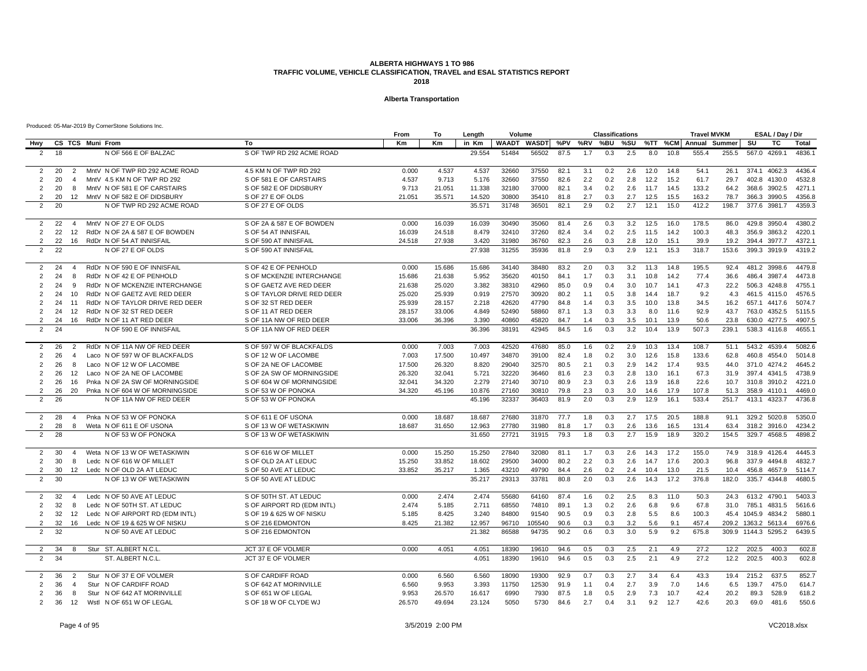### **Alberta Transportation**

|                |                                                                                  | From   | To     | Length | Volume |              |         |     | <b>Classifications</b> |     |      |         | <b>Travel MVKM</b> |       |                     | ESAL / Day / Dir |        |
|----------------|----------------------------------------------------------------------------------|--------|--------|--------|--------|--------------|---------|-----|------------------------|-----|------|---------|--------------------|-------|---------------------|------------------|--------|
| Hwy            | CS TCS Muni From<br>To                                                           | Km     | Кm     | in Km  | WAADT  | <b>WASDT</b> | %PV %RV |     | %BU                    | %SU |      | %TT %CM | Annual Summer      |       | SU                  | тс               | Total  |
| $\overline{2}$ | 18<br>N OF 566 E OF BALZAC<br>S OF TWP RD 292 ACME ROAD                          |        |        | 29.554 | 51484  | 56502        | 87.5    | 1.7 | 0.3                    | 2.5 | 8.0  | 10.8    | 555.4              | 255.5 | 567.0 4269.1        |                  | 4836.1 |
|                |                                                                                  |        |        |        |        |              |         |     |                        |     |      |         |                    |       |                     |                  |        |
| 2              | MntV N OF TWP RD 292 ACME ROAD<br>4.5 KM N OF TWP RD 292<br>20<br>$\overline{2}$ | 0.000  | 4.537  | 4.537  | 32660  | 37550        | 82.1    | 3.1 | 0.2                    | 2.6 | 12.0 | 14.8    | 54.1               | 26.1  |                     | 374.1 4062.3     | 4436.4 |
| 2              | MntV 4.5 KM N OF TWP RD 292<br>20<br>$\overline{4}$<br>S OF 581 E OF CARSTAIRS   | 4.537  | 9.713  | 5.176  | 32660  | 37550        | 82.6    | 2.2 | 0.2                    | 2.8 | 12.2 | 15.2    | 61.7               | 29.7  | 402.8 4130.0        |                  | 4532.8 |
| $\overline{2}$ | S OF 582 E OF DIDSBURY<br>20<br>MntV N OF 581 E OF CARSTAIRS<br>8                | 9.713  | 21.051 | 11.338 | 32180  | 37000        | 82.1    | 3.4 | 0.2                    | 2.6 | 11.7 | 14.5    | 133.2              | 64.2  |                     | 368.6 3902.5     | 4271.1 |
| 2              | 12 MntV N OF 582 E OF DIDSBURY<br>S OF 27 E OF OLDS<br>20                        | 21.051 | 35.571 | 14.520 | 30800  | 35410        | 81.8    | 2.7 | 0.3                    | 2.7 | 12.5 | 15.5    | 163.2              | 78.7  |                     | 366.3 3990.5     | 4356.8 |
| 2              | 20<br>N OF TWP RD 292 ACME ROAD<br>S OF 27 E OF OLDS                             |        |        | 35.571 | 31748  | 36501        | 82.1    | 2.9 | 0.2                    | 2.7 | 12.1 | 15.0    | 412.2              | 198.7 |                     | 377.6 3981.7     | 4359.3 |
|                |                                                                                  |        |        |        |        |              |         |     |                        |     |      |         |                    |       |                     |                  |        |
| $\overline{2}$ | 22<br>MntV N OF 27 E OF OLDS<br>S OF 2A & 587 E OF BOWDEN<br>$\overline{4}$      | 0.000  | 16.039 | 16.039 | 30490  | 35060        | 81.4    | 2.6 | 0.3                    | 3.2 | 12.5 | 16.0    | 178.5              | 86.0  | 429.8 3950.4        |                  | 4380.2 |
| $\overline{2}$ | 22<br>12<br>RdDr N OF 2A & 587 E OF BOWDEN<br>S OF 54 AT INNISFAIL               | 16.039 | 24.518 | 8.479  | 32410  | 37260        | 82.4    | 3.4 | 0.2                    | 2.5 | 11.5 | 14.2    | 100.3              | 48.3  |                     | 356.9 3863.2     | 4220.1 |
| $\overline{2}$ | 22<br>16 RdDr N OF 54 AT INNISFAIL<br>S OF 590 AT INNISFAIL                      | 24.518 | 27.938 | 3.420  | 31980  | 36760        | 82.3    | 2.6 | 0.3                    | 2.8 | 12.0 | 15.1    | 39.9               | 19.2  | 394.4 3977.7        |                  | 4372.1 |
| 2              | 22<br>N OF 27 E OF OLDS<br>S OF 590 AT INNISFAIL                                 |        |        | 27.938 | 31255  | 35936        | 81.8    | 2.9 | 0.3                    | 2.9 | 12.1 | 15.3    | 318.7              | 153.6 |                     | 399.3 3919.9     | 4319.2 |
|                |                                                                                  |        |        |        |        |              |         |     |                        |     |      |         |                    |       |                     |                  |        |
| 2              | RdDr N OF 590 E OF INNISFAIL<br>S OF 42 E OF PENHOLD<br>24<br>4                  | 0.000  | 15.686 | 15.686 | 34140  | 38480        | 83.2    | 2.0 | 0.3                    | 3.2 | 11.3 | 14.8    | 195.5              | 92.4  |                     | 481.2 3998.6     | 4479.8 |
| $\overline{2}$ | 24<br>RdDr N OF 42 E OF PENHOLD<br>S OF MCKENZIE INTERCHANGE<br>8                | 15.686 | 21.638 | 5.952  | 35620  | 40150        | 84.1    | 1.7 | 0.3                    | 3.1 | 10.8 | 14.2    | 77.4               | 36.6  |                     | 486.4 3987.4     | 4473.8 |
| $\overline{2}$ | RdDr N OF MCKENZIE INTERCHANGE<br>S OF GAETZ AVE RED DEER<br>24<br>9             | 21.638 | 25.020 | 3.382  | 38310  | 42960        | 85.0    | 0.9 | 0.4                    | 3.0 | 10.7 | 14.1    | 47.3               | 22.2  | 506.3 4248.8        |                  | 4755.1 |
| $\overline{2}$ | RdDr N OF GAETZ AVE RED DEER<br>S OF TAYLOR DRIVE RED DEER<br>10<br>24           | 25.020 | 25.939 | 0.919  | 27570  | 30920        | 80.2    | 1.1 | 0.5                    | 3.8 | 14.4 | 18.7    | 9.2                | 4.3   |                     | 461.5 4115.0     | 4576.5 |
| $\overline{2}$ | RdDr N OF TAYLOR DRIVE RED DEER<br>S OF 32 ST RED DEER<br>24<br>11               | 25.939 | 28.157 | 2.218  | 42620  | 47790        | 84.8    | 1.4 | 0.3                    | 3.5 | 10.0 | 13.8    | 34.5               | 16.2  |                     | 657.1 4417.6     | 5074.7 |
| $\overline{2}$ | 24<br>12<br>RdDr N OF 32 ST RED DEER<br>S OF 11 AT RED DEER                      | 28.157 | 33.006 | 4.849  | 52490  | 58860        | 87.1    | 1.3 | 0.3                    | 3.3 | 8.0  | 11.6    | 92.9               | 43.7  |                     | 763.0 4352.5     | 5115.5 |
| $\overline{2}$ | 24<br>16<br>RdDr N OF 11 AT RED DEER<br>S OF 11A NW OF RED DEER                  | 33.006 | 36.396 | 3.390  | 40860  | 45820        | 84.7    | 1.4 | 0.3                    | 3.5 | 10.1 | 13.9    | 50.6               | 23.8  |                     | 630.0 4277.5     | 4907.5 |
| 2              | 24<br>N OF 590 E OF INNISFAIL<br>S OF 11A NW OF RED DEER                         |        |        | 36.396 | 38191  | 42945        | 84.5    | 1.6 | 0.3                    | 3.2 | 10.4 | 13.9    | 507.3              | 239.1 |                     | 538.3 4116.8     | 4655.1 |
|                |                                                                                  |        |        |        |        |              |         |     |                        |     |      |         |                    |       |                     |                  |        |
| $\overline{2}$ | RdDr N OF 11A NW OF RED DEER<br>S OF 597 W OF BLACKFALDS<br>26<br>2              | 0.000  | 7.003  | 7.003  | 42520  | 47680        | 85.0    | 1.6 | 0.2                    | 2.9 | 10.3 | 13.4    | 108.7              | 51.1  | 543.2 4539.4        |                  | 5082.6 |
| 2              | S OF 12 W OF LACOMBE<br>26<br>$\overline{4}$<br>Laco N OF 597 W OF BLACKFALDS    | 7.003  | 17.500 | 10.497 | 34870  | 39100        | 82.4    | 1.8 | 0.2                    | 3.0 | 12.6 | 15.8    | 133.6              | 62.8  |                     | 460.8 4554.0     | 5014.8 |
| $\overline{2}$ | Laco N OF 12 W OF LACOMBE<br>S OF 2A NE OF LACOMBE<br>26<br>8                    | 17.500 | 26.320 | 8.820  | 29040  | 32570        | 80.5    | 2.1 | 0.3                    | 2.9 | 14.2 | 17.4    | 93.5               | 44.0  | 371.0 4274.2        |                  | 4645.2 |
| $\overline{2}$ | Laco N OF 2A NE OF LACOMBE<br>S OF 2A SW OF MORNINGSIDE<br>26<br>12              | 26.320 | 32.041 | 5.721  | 32220  | 36460        | 81.6    | 2.3 | 0.3                    | 2.8 | 13.0 | 16.1    | 67.3               | 31.9  | 397.4 4341.5        |                  | 4738.9 |
| $\overline{2}$ | Pnka N OF 2A SW OF MORNINGSIDE<br>S OF 604 W OF MORNINGSIDE<br>26<br>16          | 32.041 | 34.320 | 2.279  | 27140  | 30710        | 80.9    | 2.3 | 0.3                    | 2.6 | 13.9 | 16.8    | 22.6               | 10.7  | 310.8 3910.2        |                  | 4221.0 |
| 2              | Pnka N OF 604 W OF MORNINGSIDE<br>S OF 53 W OF PONOKA<br>26<br>20                | 34.320 | 45.196 | 10.876 | 27160  | 30810        | 79.8    | 2.3 | 0.3                    | 3.0 | 14.6 | 17.9    | 107.8              | 51.3  | 358.9 4110.1        |                  | 4469.0 |
| 2              | 26<br>N OF 11A NW OF RED DEER<br>S OF 53 W OF PONOKA                             |        |        | 45.196 | 32337  | 36403        | 81.9    | 2.0 | 0.3                    | 2.9 | 12.9 | 16.1    | 533.4              | 251.7 |                     | 413.1 4323.7     | 4736.8 |
|                |                                                                                  |        |        |        |        |              |         |     |                        |     |      |         |                    |       |                     |                  |        |
| $\overline{2}$ | Pnka N OF 53 W OF PONOKA<br>S OF 611 E OF USONA<br>28<br>$\overline{4}$          | 0.000  | 18.687 | 18.687 | 27680  | 31870        | 77.7    | 1.8 | 0.3                    | 2.7 | 17.5 | 20.5    | 188.8              | 91.1  |                     | 329.2 5020.8     | 5350.0 |
| 2              | 28<br>Weta N OF 611 E OF USONA<br>S OF 13 W OF WETASKIWIN<br>8                   | 18.687 | 31.650 | 12.963 | 27780  | 31980        | 81.8    | 1.7 | 0.3                    | 2.6 | 13.6 | 16.5    | 131.4              | 63.4  | 318.2 3916.0        |                  | 4234.2 |
| 2              | 28<br>N OF 53 W OF PONOKA<br>S OF 13 W OF WETASKIWIN                             |        |        | 31.650 | 27721  | 31915        | 79.3    | 1.8 | 0.3                    | 2.7 | 15.9 | 18.9    | 320.2              | 154.5 |                     | 329.7 4568.5     | 4898.2 |
|                |                                                                                  |        |        |        |        |              |         |     |                        |     |      |         |                    |       |                     |                  |        |
| 2              | 30<br>Weta N OF 13 W OF WETASKIWIN<br>S OF 616 W OF MILLET<br>$\overline{4}$     | 0.000  | 15.250 | 15.250 | 27840  | 32080        | 81.1    | 1.7 | 0.3                    | 2.6 | 14.3 | 17.2    | 155.0              |       | 74.9 318.9 4126.4   |                  | 4445.3 |
| $\overline{2}$ | Ledc N OF 616 W OF MILLET<br>S OF OLD 2A AT LEDUC<br>30<br>8                     | 15.250 | 33.852 | 18.602 | 29500  | 34000        | 80.2    | 2.2 | 0.3                    | 2.6 | 14.7 | 17.6    | 200.3              | 96.8  | 337.9 4494.8        |                  | 4832.7 |
| 2              | 30<br>12 Ledc N OF OLD 2A AT LEDUC<br>S OF 50 AVE AT LEDUC                       | 33.852 | 35.217 | 1.365  | 43210  | 49790        | 84.4    | 2.6 | 0.2                    | 2.4 | 10.4 | 13.0    | 21.5               | 10.4  |                     | 456.8 4657.9     | 5114.7 |
| 2              | 30<br>N OF 13 W OF WETASKIWIN<br>S OF 50 AVE AT LEDUC                            |        |        | 35.217 | 29313  | 33781        | 80.8    | 2.0 | 0.3                    | 2.6 | 14.3 | 17.2    | 376.8              | 182.0 | 335.7 4344.8        |                  | 4680.5 |
|                |                                                                                  |        |        |        |        |              |         |     |                        |     |      |         |                    |       |                     |                  |        |
| 2              | 32<br>Ledc N OF 50 AVE AT LEDUC<br>S OF 50TH ST. AT LEDUC<br>$\overline{4}$      | 0.000  | 2.474  | 2.474  | 55680  | 64160        | 87.4    | 1.6 | 0.2                    | 2.5 | 8.3  | 11.0    | 50.3               | 24.3  | 613.2 4790.1        |                  | 5403.3 |
| 2              | Ledc N OF 50TH ST. AT LEDUC<br>S OF AIRPORT RD (EDM INTL)<br>32<br>8             | 2.474  | 5.185  | 2.711  | 68550  | 74810        | 89.1    | 1.3 | 0.2                    | 2.6 | 6.8  | 9.6     | 67.8               | 31.0  | 785.1 4831.5        |                  | 5616.6 |
| 2              | 32<br>S OF 19 & 625 W OF NISKU<br>12<br>Ledc N OF AIRPORT RD (EDM INTL)          | 5.185  | 8.425  | 3.240  | 84800  | 91540        | 90.5    | 0.9 | 0.3                    | 2.8 | 5.5  | 8.6     | 100.3              |       | 45.4 1045.9 4834.2  |                  | 5880.1 |
| 2              | Ledc N OF 19 & 625 W OF NISKU<br>S OF 216 EDMONTON<br>32<br>16                   | 8.425  | 21.382 | 12.957 | 96710  | 105540       | 90.6    | 0.3 | 0.3                    | 3.2 | 5.6  | 9.1     | 457.4              |       | 209.2 1363.2 5613.4 |                  | 6976.6 |
| $\overline{2}$ | 32<br>N OF 50 AVE AT LEDUC<br>S OF 216 EDMONTON                                  |        |        | 21.382 | 86588  | 94735        | 90.2    | 0.6 | 0.3                    | 3.0 | 5.9  | 9.2     | 675.8              |       | 309.9 1144.3 5295.2 |                  | 6439.5 |
|                |                                                                                  |        |        |        |        |              |         |     |                        |     |      |         |                    |       |                     |                  |        |
| 2              | 34<br>Stur ST. ALBERT N.C.L<br>JCT 37 E OF VOLMER<br>8                           | 0.000  | 4.051  | 4.051  | 18390  | 19610        | 94.6    | 0.5 | 0.3                    | 2.5 | 2.1  | 4.9     | 27.2               | 12.2  | 202.5               | 400.3            | 602.8  |
| 2              | 34<br>ST. ALBERT N.C.L.<br>JCT 37 E OF VOLMER                                    |        |        | 4.051  | 18390  | 19610        | 94.6    | 0.5 | 0.3                    | 2.5 | 2.1  | 4.9     | 27.2               | 12.2  | 202.5               | 400.3            | 602.8  |
|                |                                                                                  |        |        |        |        |              |         |     |                        |     |      |         |                    |       |                     |                  |        |
| $\overline{2}$ | Stur N OF 37 E OF VOLMER<br>S OF CARDIFF ROAD<br>36<br>$\overline{2}$            | 0.000  | 6.560  | 6.560  | 18090  | 19300        | 92.9    | 0.7 | 0.3                    | 2.7 | 3.4  | 6.4     | 43.3               | 19.4  | 215.2               | 637.5            | 852.7  |
| $\overline{2}$ | Stur N OF CARDIFF ROAD<br>S OF 642 AT MORINVILLE<br>36<br>$\overline{A}$         | 6.560  | 9.953  | 3.393  | 11750  | 12530        | 91.9    | 1.1 | 0.4                    | 2.7 | 3.9  | 7.0     | 14.6               | 6.5   | 139.7               | 475.0            | 614.7  |
| 2              | Stur N OF 642 AT MORINVILLE<br>S OF 651 W OF LEGAL<br>36<br>8                    | 9.953  | 26.570 | 16.617 | 6990   | 7930         | 87.5    | 1.8 | 0.5                    | 2.9 | 7.3  | 10.7    | 42.4               | 20.2  | 89.3                | 528.9            | 618.2  |
| 2              | Wstl N OF 651 W OF LEGAL<br>S OF 18 W OF CLYDE WJ<br>12<br>36                    | 26.570 | 49.694 | 23.124 | 5050   | 5730         | 84.6    | 2.7 | 0.4                    | 3.1 | 9.2  | 12.7    | 42.6               | 20.3  | 69.0                | 481.6            | 550.6  |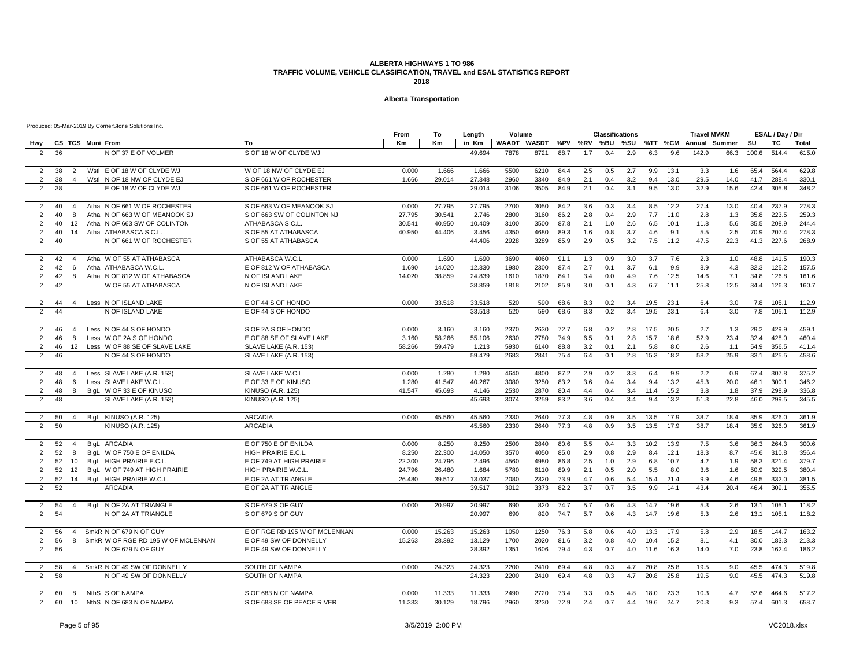### **Alberta Transportation**

|                |    |                |                                    |                               | From      | То     | Length | Volume       |       |      |     | <b>Classifications</b> |     |      |         | <b>Travel MVKM</b> |      |       | ESAL / Day / Dir |       |
|----------------|----|----------------|------------------------------------|-------------------------------|-----------|--------|--------|--------------|-------|------|-----|------------------------|-----|------|---------|--------------------|------|-------|------------------|-------|
| Hwy            |    |                | CS TCS Muni From                   | To                            | <b>Km</b> | Кm     | in Km  | <b>WAADT</b> | WASDT | %PV  | %RV | %BU                    | %SU |      | %TT %CM | Annual Summer      |      | SU    | TC               | Total |
| 2              | 36 |                | N OF 37 E OF VOLMER                | S OF 18 W OF CLYDE WJ         |           |        | 49.694 | 7878         | 8721  | 88.7 | 1.7 | 0.4                    | 2.9 | 6.3  | 9.6     | 142.9              | 66.3 | 100.6 | 514.4            | 615.0 |
| 2              | 38 | 2              | Wstl E OF 18 W OF CLYDE WJ         | W OF 18 NW OF CLYDE EJ        | 0.000     | 1.666  | 1.666  | 5500         | 6210  | 84.4 | 2.5 | 0.5                    | 2.7 | 9.9  | 13.1    | 3.3                | 1.6  | 65.4  | 564.4            | 629.8 |
| $\overline{2}$ | 38 | $\overline{4}$ | Wstl N OF 18 NW OF CLYDE EJ        | S OF 661 W OF ROCHESTER       | 1.666     | 29.014 | 27.348 | 2960         | 3340  | 84.9 | 2.1 | 0.4                    | 3.2 | 9.4  | 13.0    | 29.5               | 14.0 | 41.7  | 288.4            | 330.1 |
| 2              | 38 |                | E OF 18 W OF CLYDE WJ              | S OF 661 W OF ROCHESTER       |           |        | 29.014 | 3106         | 3505  | 84.9 | 2.1 | 0.4                    | 3.1 | 9.5  | 13.0    | 32.9               | 15.6 | 42.4  | 305.8            | 348.2 |
| 2              | 40 | $\overline{4}$ | Atha N OF 661 W OF ROCHESTER       | S OF 663 W OF MEANOOK SJ      | 0.000     | 27.795 | 27.795 | 2700         | 3050  | 84.2 | 3.6 | 0.3                    | 3.4 | 8.5  | 12.2    | 27.4               | 13.0 | 40.4  | 237.9            | 278.3 |
| 2              | 40 | -8             | Atha N OF 663 W OF MEANOOK SJ      | S OF 663 SW OF COLINTON NJ    | 27.795    | 30.541 | 2.746  | 2800         | 3160  | 86.2 | 2.8 | 0.4                    | 2.9 | 7.7  | 11.0    | 2.8                | 1.3  | 35.8  | 223.5            | 259.3 |
| 2              | 40 | 12             | Atha N OF 663 SW OF COLINTON       | ATHABASCA S.C.L.              | 30.541    | 40.950 | 10.409 | 3100         | 3500  | 87.8 | 2.1 | 1.0                    | 2.6 | 6.5  | 10.1    | 11.8               | 5.6  | 35.5  | 208.9            | 244.4 |
| 2              | 40 | 14             | Atha ATHABASCA S.C.L               | S OF 55 AT ATHABASCA          | 40.950    | 44.406 | 3.456  | 4350         | 4680  | 89.3 | 1.6 | 0.8                    | 3.7 | 4.6  | 9.1     | 5.5                | 2.5  | 70.9  | 207.4            | 278.3 |
| 2              | 40 |                | N OF 661 W OF ROCHESTER            | S OF 55 AT ATHABASCA          |           |        | 44.406 | 2928         | 3289  | 85.9 | 2.9 | 0.5                    | 3.2 | 7.5  | 11.2    | 47.5               | 22.3 | 41.3  | 227.6            | 268.9 |
| 2              | 42 | $\overline{4}$ | Atha W OF 55 AT ATHABASCA          | ATHABASCA W.C.L.              | 0.000     | 1.690  | 1.690  | 3690         | 4060  | 91.1 | 1.3 | 0.9                    | 3.0 | 3.7  | 7.6     | 2.3                | 1.0  | 48.8  | 141.5            | 190.3 |
| 2              | 42 | -6             | Atha ATHABASCA W.C.L               | E OF 812 W OF ATHABASCA       | 1.690     | 14.020 | 12.330 | 1980         | 2300  | 87.4 | 2.7 | 0.1                    | 3.7 | 6.1  | 9.9     | 8.9                | 4.3  | 32.3  | 125.2            | 157.5 |
| 2              | 42 | 8              | Atha N OF 812 W OF ATHABASCA       | N OF ISLAND LAKE              | 14.020    | 38.859 | 24.839 | 1610         | 1870  | 84.1 | 3.4 | 0.0                    | 4.9 | 7.6  | 12.5    | 14.6               | 7.1  | 34.8  | 126.8            | 161.6 |
| 2              | 42 |                | W OF 55 AT ATHABASCA               | N OF ISLAND LAKE              |           |        | 38.859 | 1818         | 2102  | 85.9 | 3.0 | 0.1                    | 4.3 | 6.7  | 11.1    | 25.8               | 12.5 | 34.4  | 126.3            | 160.7 |
| 2              | 44 | $\overline{4}$ | Less N OF ISLAND LAKE              | E OF 44 S OF HONDO            | 0.000     | 33.518 | 33.518 | 520          | 590   | 68.6 | 8.3 | 0.2                    | 3.4 | 19.5 | 23.1    | 6.4                | 3.0  | 7.8   | 105.1            | 112.9 |
| 2              | 44 |                | N OF ISLAND LAKE                   | E OF 44 S OF HONDO            |           |        | 33.518 | 520          | 590   | 68.6 | 8.3 | 0.2                    | 3.4 | 19.5 | 23.1    | 6.4                | 3.0  | 7.8   | 105.1            | 112.9 |
| 2              | 46 | $\overline{4}$ | Less N OF 44 S OF HONDO            | S OF 2A S OF HONDO            | 0.000     | 3.160  | 3.160  | 2370         | 2630  | 72.7 | 6.8 | 0.2                    | 2.8 | 17.5 | 20.5    | 2.7                | 1.3  | 29.2  | 429.9            | 459.1 |
| $\overline{2}$ | 46 | -8             | Less W OF 2A S OF HONDO            | E OF 88 SE OF SLAVE LAKE      | 3.160     | 58.266 | 55.106 | 2630         | 2780  | 74.9 | 6.5 | 0.1                    | 2.8 | 15.7 | 18.6    | 52.9               | 23.4 | 32.4  | 428.0            | 460.4 |
| 2              | 46 | 12             | Less W OF 88 SE OF SLAVE LAKE      | SLAVE LAKE (A.R. 153)         | 58.266    | 59.479 | 1.213  | 5930         | 6140  | 88.8 | 3.2 | 0.1                    | 2.1 | 5.8  | 8.0     | 2.6                | 1.1  | 54.9  | 356.5            | 411.4 |
| 2              | 46 |                | N OF 44 S OF HONDO                 | SLAVE LAKE (A.R. 153)         |           |        | 59.479 | 2683         | 2841  | 75.4 | 6.4 | 0.1                    | 2.8 | 15.3 | 18.2    | 58.2               | 25.9 | 33.1  | 425.5            | 458.6 |
| 2              | 48 | $\overline{4}$ | Less SLAVE LAKE (A.R. 153)         | SLAVE LAKE W.C.L.             | 0.000     | 1.280  | 1.280  | 4640         | 4800  | 87.2 | 2.9 | 0.2                    | 3.3 | 6.4  | 9.9     | 2.2                | 0.9  | 67.4  | 307.8            | 375.2 |
| $\overline{2}$ | 48 | 6              | Less SLAVE LAKE W.C.L.             | E OF 33 E OF KINUSO           | 1.280     | 41.547 | 40.267 | 3080         | 3250  | 83.2 | 3.6 | 0.4                    | 3.4 | 9.4  | 13.2    | 45.3               | 20.0 | 46.1  | 300.1            | 346.2 |
| 2              | 48 | 8              | BigL W OF 33 E OF KINUSO           | <b>KINUSO (A.R. 125)</b>      | 41.547    | 45.693 | 4.146  | 2530         | 2870  | 80.4 | 4.4 | 0.4                    | 3.4 | 11.4 | 15.2    | 3.8                | 1.8  | 37.9  | 298.9            | 336.8 |
| $\overline{2}$ | 48 |                | SLAVE LAKE (A.R. 153)              | KINUSO (A.R. 125)             |           |        | 45.693 | 3074         | 3259  | 83.2 | 3.6 | 0.4                    | 3.4 | 9.4  | 13.2    | 51.3               | 22.8 | 46.0  | 299.5            | 345.5 |
| $\overline{2}$ | 50 | $\overline{4}$ | BigL KINUSO (A.R. 125)             | <b>ARCADIA</b>                | 0.000     | 45.560 | 45.560 | 2330         | 2640  | 77.3 | 4.8 | 0.9                    | 3.5 | 13.5 | 17.9    | 38.7               | 18.4 | 35.9  | 326.0            | 361.9 |
| $\overline{2}$ | 50 |                | <b>KINUSO (A.R. 125)</b>           | <b>ARCADIA</b>                |           |        | 45.560 | 2330         | 2640  | 77.3 | 4.8 | 0.9                    | 3.5 | 13.5 | 17.9    | 38.7               | 18.4 | 35.9  | 326.0            | 361.9 |
| $\overline{2}$ | 52 | $\overline{4}$ | BigL ARCADIA                       | E OF 750 E OF ENILDA          | 0.000     | 8.250  | 8.250  | 2500         | 2840  | 80.6 | 5.5 | 0.4                    | 3.3 | 10.2 | 13.9    | 7.5                | 3.6  | 36.3  | 264.3            | 300.6 |
| 2              | 52 | -8             | BigL W OF 750 E OF ENILDA          | HIGH PRAIRIE E.C.L.           | 8.250     | 22.300 | 14.050 | 3570         | 4050  | 85.0 | 2.9 | 0.8                    | 2.9 | 8.4  | 12.1    | 18.3               | 8.7  | 45.6  | 310.8            | 356.4 |
| $\overline{2}$ | 52 | 10             | BigL HIGH PRAIRIE E.C.L            | E OF 749 AT HIGH PRAIRIE      | 22.300    | 24.796 | 2.496  | 4560         | 4980  | 86.8 | 2.5 | 1.0                    | 2.9 | 6.8  | 10.7    | 4.2                | 1.9  | 58.3  | 321.4            | 379.7 |
| 2              | 52 | 12             | BigL W OF 749 AT HIGH PRAIRIE      | <b>HIGH PRAIRIE W.C.L</b>     | 24.796    | 26.480 | 1.684  | 5780         | 6110  | 89.9 | 2.1 | 0.5                    | 2.0 | 5.5  | 8.0     | 3.6                | 1.6  | 50.9  | 329.5            | 380.4 |
| 2              | 52 | 14             | BigL HIGH PRAIRIE W.C.L            | E OF 2A AT TRIANGLE           | 26.480    | 39.517 | 13.037 | 2080         | 2320  | 73.9 | 4.7 | 0.6                    | 5.4 | 15.4 | 21.4    | 9.9                | 4.6  | 49.5  | 332.0            | 381.5 |
| $\overline{2}$ | 52 |                | <b>ARCADIA</b>                     | E OF 2A AT TRIANGLE           |           |        | 39.517 | 3012         | 3373  | 82.2 | 3.7 | 0.7                    | 3.5 | 9.9  | 14.1    | 43.4               | 20.4 | 46.4  | 309.1            | 355.5 |
| $\overline{2}$ | 54 |                | BigL N OF 2A AT TRIANGLE           | S OF 679 S OF GUY             | 0.000     | 20.997 | 20.997 | 690          | 820   | 74.7 | 5.7 | 0.6                    | 4.3 | 14.7 | 19.6    | 5.3                | 2.6  | 13.1  | 105.1            | 118.2 |
| 2              | 54 |                | N OF 2A AT TRIANGLE                | S OF 679 S OF GUY             |           |        | 20.997 | 690          | 820   | 74.7 | 5.7 | 0.6                    | 4.3 | 14.7 | 19.6    | 5.3                | 2.6  | 13.1  | 105.1            | 118.2 |
| 2              | 56 | $\overline{4}$ | SmkR N OF 679 N OF GUY             | E OF RGE RD 195 W OF MCLENNAN | 0.000     | 15.263 | 15.263 | 1050         | 1250  | 76.3 | 5.8 | 0.6                    | 4.0 | 13.3 | 17.9    | 5.8                | 2.9  | 18.5  | 144.7            | 163.2 |
| 2              | 56 | -8             | SmkR W OF RGE RD 195 W OF MCLENNAN | E OF 49 SW OF DONNELLY        | 15.263    | 28.392 | 13.129 | 1700         | 2020  | 81.6 | 3.2 | 0.8                    | 4.0 | 10.4 | 15.2    | 8.1                | 4.1  | 30.0  | 183.3            | 213.3 |
| 2              | 56 |                | N OF 679 N OF GUY                  | E OF 49 SW OF DONNELLY        |           |        | 28.392 | 1351         | 1606  | 79.4 | 4.3 | 0.7                    | 4.0 | 11.6 | 16.3    | 14.0               | 7.0  | 23.8  | 162.4            | 186.2 |
| 2              | 58 | $\overline{4}$ | SmkR N OF 49 SW OF DONNELLY        | SOUTH OF NAMPA                | 0.000     | 24.323 | 24.323 | 2200         | 2410  | 69.4 | 4.8 | 0.3                    | 4.7 | 20.8 | 25.8    | 19.5               | 9.0  | 45.5  | 474.3            | 519.8 |
| 2              | 58 |                | N OF 49 SW OF DONNELLY             | <b>SOUTH OF NAMPA</b>         |           |        | 24.323 | 2200         | 2410  | 69.4 | 4.8 | 0.3                    | 4.7 | 20.8 | 25.8    | 19.5               | 9.0  | 45.5  | 474.3            | 519.8 |
| 2              | 60 | -8             | NthS S OF NAMPA                    | S OF 683 N OF NAMPA           | 0.000     | 11.333 | 11.333 | 2490         | 2720  | 73.4 | 3.3 | 0.5                    | 4.8 | 18.0 | 23.3    | 10.3               | 4.7  | 52.6  | 464.6            | 517.2 |
| 2              | 60 |                | 10 NthS N OF 683 N OF NAMPA        | S OF 688 SE OF PEACE RIVER    | 11.333    | 30.129 | 18.796 | 2960         | 3230  | 72.9 | 2.4 | 0.7                    | 4.4 | 19.6 | 24.7    | 20.3               | 9.3  | 57.4  | 601.3            | 658.7 |
|                |    |                |                                    |                               |           |        |        |              |       |      |     |                        |     |      |         |                    |      |       |                  |       |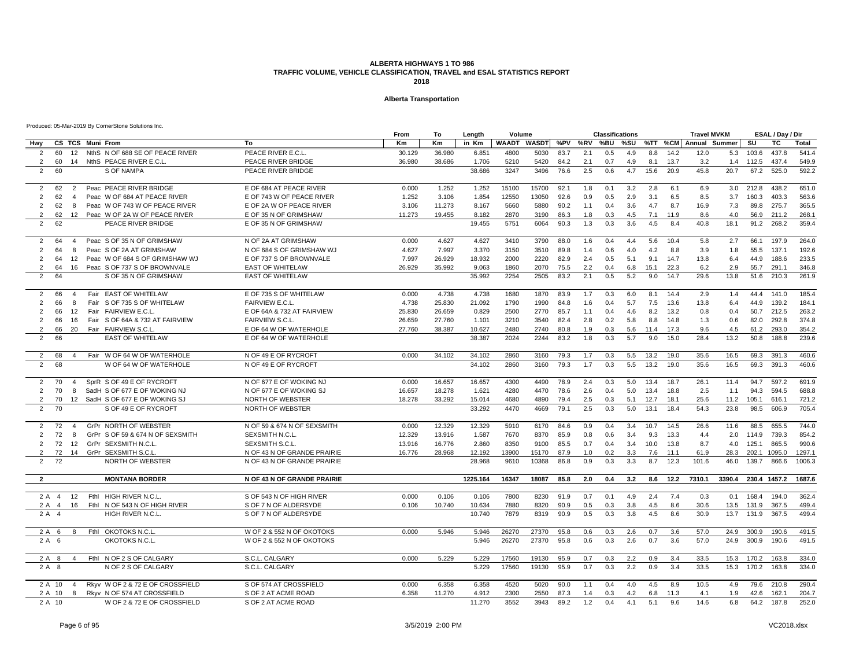### **Alberta Transportation**

|                |                |                          |                                    |                             | From   | To     | Length   | Volume       |               |      |     | <b>Classifications</b> |     |      |      | <b>Travel MVKM</b>    |        |           | ESAL / Day / Dir |        |
|----------------|----------------|--------------------------|------------------------------------|-----------------------------|--------|--------|----------|--------------|---------------|------|-----|------------------------|-----|------|------|-----------------------|--------|-----------|------------------|--------|
| Hwv            |                |                          | CS TCS Muni From                   | To                          | Km     | Кm     | in Km    | <b>WAADT</b> | WASDT %PV %RV |      |     | %BU                    | %SU |      |      | %TT %CM Annual Summer |        | SU        | TC               | Total  |
| 2              | 60             |                          | 12 NthS N OF 688 SE OF PEACE RIVER | PEACE RIVER E.C.L.          | 30.129 | 36.980 | 6.851    | 4800         | 5030          | 83.7 | 2.1 | 0.5                    | 4.9 | 8.8  | 14.2 | 12.0                  | 5.3    | 103.6     | 437.8            | 541.4  |
| $\overline{2}$ | 60             | 14                       | NthS PEACE RIVER E.C.L.            | PEACE RIVER BRIDGE          | 36.980 | 38,686 | 1.706    | 5210         | 5420          | 84.2 | 2.1 | 0.7                    | 4.9 | 8.1  | 13.7 | 3.2                   | 1.4    | 112.5     | 437.4            | 549.9  |
| 2              | 60             |                          | S OF NAMPA                         | PEACE RIVER BRIDGE          |        |        | 38.686   | 3247         | 3496          | 76.6 | 2.5 | 0.6                    | 4.7 | 15.6 | 20.9 | 45.8                  | 20.7   | 67.2      | 525.0            | 592.2  |
|                |                |                          |                                    |                             |        |        |          |              |               |      |     |                        |     |      |      |                       |        |           |                  |        |
| 2              | 62             | 2                        | Peac PEACE RIVER BRIDGE            | E OF 684 AT PEACE RIVER     | 0.000  | 1.252  | 1.252    | 15100        | 15700         | 92.1 | 1.8 | 0.1                    | 3.2 | 2.8  | 6.1  | 6.9                   | 3.0    | 212.8     | 438.2            | 651.0  |
| 2              | 62             | $\overline{4}$           | Peac W OF 684 AT PEACE RIVER       | E OF 743 W OF PEACE RIVER   | 1.252  | 3.106  | 1.854    | 12550        | 13050         | 92.6 | 0.9 | 0.5                    | 2.9 | 3.1  | 6.5  | 8.5                   | 3.7    | 160.3     | 403.3            | 563.6  |
| 2              | 62             | -8                       | Peac W OF 743 W OF PEACE RIVER     | E OF 2A W OF PEACE RIVER    | 3.106  | 11.273 | 8.167    | 5660         | 5880          | 90.2 | 1.1 | 0.4                    | 3.6 | 4.7  | 8.7  | 16.9                  | 7.3    | 89.8      | 275.7            | 365.5  |
| 2              | 62             |                          | 12 Peac W OF 2A W OF PEACE RIVER   | E OF 35 N OF GRIMSHAW       | 11.273 | 19.455 | 8.182    | 2870         | 3190          | 86.3 | 1.8 | 0.3                    | 4.5 | 7.1  | 11.9 | 8.6                   | 4.0    | 56.9      | 211.2            | 268.1  |
| $\overline{2}$ | 62             |                          | PEACE RIVER BRIDGE                 | E OF 35 N OF GRIMSHAW       |        |        | 19.455   | 5751         | 6064          | 90.3 | 1.3 | 0.3                    | 3.6 | 4.5  | 8.4  | 40.8                  | 18.1   | 91.2      | 268.2            | 359.4  |
|                |                |                          |                                    |                             |        |        |          |              |               |      |     |                        |     |      |      |                       |        |           |                  |        |
| 2              | 64             | $\overline{4}$           | Peac S OF 35 N OF GRIMSHAW         | N OF 2A AT GRIMSHAW         | 0.000  | 4.627  | 4.627    | 3410         | 3790          | 88.0 | 1.6 | 0.4                    | 4.4 | 5.6  | 10.4 | 5.8                   | 2.7    | 66.1      | 197.9            | 264.0  |
| $\overline{2}$ | 64             | 8                        | Peac S OF 2A AT GRIMSHAW           | N OF 684 S OF GRIMSHAW WJ   | 4.627  | 7.997  | 3.370    | 3150         | 3510          | 89.8 | 1.4 | 0.6                    | 4.0 | 4.2  | 8.8  | 3.9                   | 1.8    | 55.5      | 137.1            | 192.6  |
| 2              | 64             | 12                       | Peac W OF 684 S OF GRIMSHAW WJ     | E OF 737 S OF BROWNVALE     | 7.997  | 26.929 | 18.932   | 2000         | 2220          | 82.9 | 2.4 | 0.5                    | 5.1 | 9.1  | 14.7 | 13.8                  | 6.4    | 44.9      | 188.6            | 233.5  |
|                | 64             | 16                       | Peac S OF 737 S OF BROWNVALE       | <b>EAST OF WHITELAW</b>     | 26.929 | 35.992 | 9.063    | 1860         | 2070          | 75.5 | 2.2 | 0.4                    | 6.8 | 15.1 | 22.3 | 6.2                   | 2.9    | 55.7      | 291.1            | 346.8  |
| $\mathfrak{p}$ | 64             |                          | S OF 35 N OF GRIMSHAW              | <b>EAST OF WHITELAW</b>     |        |        | 35.992   | 2254         | 2505          | 83.2 | 2.1 | 0.5                    | 5.2 | 9.0  | 14.7 | 29.6                  | 13.8   | 51.6      | 210.3            | 261.9  |
| 2              | 66             | $\overline{4}$           | Fair EAST OF WHITELAW              | E OF 735 S OF WHITELAW      | 0.000  | 4.738  | 4.738    | 1680         | 1870          | 83.9 | 1.7 | 0.3                    | 6.0 | 8.1  | 14.4 | 2.9                   | 1.4    | 44.4      | 141.0            | 185.4  |
|                |                |                          |                                    |                             |        |        |          | 1790         | 1990          |      |     |                        |     | 7.5  |      |                       |        |           | 139.2            | 184.1  |
| $\overline{2}$ | 66             | 8                        | Fair S OF 735 S OF WHITELAW        | FAIRVIEW E.C.L.             | 4.738  | 25.830 | 21.092   |              |               | 84.8 | 1.6 | 0.4                    | 5.7 |      | 13.6 | 13.8                  | 6.4    | 44.9      |                  |        |
| 2              | 66             | 12                       | Fair FAIRVIEW E.C.L.               | E OF 64A & 732 AT FAIRVIEW  | 25.830 | 26.659 | 0.829    | 2500         | 2770          | 85.7 | 1.1 | 0.4                    | 4.6 | 8.2  | 13.2 | 0.8                   | 0.4    | 50.7      | 212.5            | 263.2  |
| 2              | 66             | 16                       | Fair S OF 64A & 732 AT FAIRVIEW    | <b>FAIRVIEW S.C.L.</b>      | 26.659 | 27.760 | 1.101    | 3210         | 3540          | 82.4 | 2.8 | 0.2                    | 5.8 | 8.8  | 14.8 | 1.3                   | 0.6    | 82.0      | 292.8            | 374.8  |
| 2              | 66             | 20                       | Fair FAIRVIEW S.C.L.               | E OF 64 W OF WATERHOLE      | 27.760 | 38.387 | 10.627   | 2480         | 2740          | 80.8 | 1.9 | 0.3                    | 5.6 | 11.4 | 17.3 | 9.6                   | 4.5    | 61.2      | 293.0            | 354.2  |
| 2              | 66             |                          | <b>EAST OF WHITELAW</b>            | E OF 64 W OF WATERHOLE      |        |        | 38.387   | 2024         | 2244          | 83.2 | 1.8 | 0.3                    | 5.7 | 9.0  | 15.0 | 28.4                  | 13.2   | 50.8      | 188.8            | 239.6  |
| 2              | 68             | $\overline{4}$           | Fair W OF 64 W OF WATERHOLE        | N OF 49 E OF RYCROFT        | 0.000  | 34.102 | 34.102   | 2860         | 3160          | 79.3 | 1.7 | 0.3                    | 5.5 | 13.2 | 19.0 | 35.6                  | 16.5   | 69.3      | 391.3            | 460.6  |
| $\overline{2}$ | 68             |                          | W OF 64 W OF WATERHOLE             | N OF 49 E OF RYCROFT        |        |        | 34.102   | 2860         | 3160          | 79.3 | 1.7 | 0.3                    | 5.5 | 13.2 | 19.0 | 35.6                  | 16.5   | 69.3      | 391.3            | 460.6  |
|                |                |                          |                                    |                             |        |        |          |              |               |      |     |                        |     |      |      |                       |        |           |                  |        |
| 2              | 70             | $\overline{4}$           | SprR S OF 49 E OF RYCROFT          | N OF 677 E OF WOKING NJ     | 0.000  | 16.657 | 16.657   | 4300         | 4490          | 78.9 | 2.4 | 0.3                    | 5.0 | 13.4 | 18.7 | 26.1                  | 11.4   | 94.7      | 597.2            | 691.9  |
| 2              | 70             | 8                        | SadH S OF 677 E OF WOKING NJ       | N OF 677 E OF WOKING SJ     | 16.657 | 18.278 | 1.621    | 4280         | 4470          | 78.6 | 2.6 | 0.4                    | 5.0 | 13.4 | 18.8 | 2.5                   | 1.1    | 94.3      | 594.5            | 688.8  |
| 2              | 70             |                          | 12 SadH S OF 677 E OF WOKING SJ    | NORTH OF WEBSTER            | 18.278 | 33.292 | 15.014   | 4680         | 4890          | 79.4 | 2.5 | 0.3                    | 5.1 | 12.7 | 18.1 | 25.6                  | 11.2   | 105.1     | 616.1            | 721.2  |
| $\overline{2}$ | 70             |                          | S OF 49 E OF RYCROFT               | NORTH OF WEBSTER            |        |        | 33.292   | 4470         | 4669          | 79.1 | 2.5 | 0.3                    | 5.0 | 13.1 | 18.4 | 54.3                  | 23.8   | 98.5      | 606.9            | 705.4  |
|                |                |                          |                                    |                             |        |        |          |              |               |      |     |                        |     |      |      |                       |        |           |                  |        |
| 2              | 72             | $\boldsymbol{\varDelta}$ | GrPr NORTH OF WEBSTER              | N OF 59 & 674 N OF SEXSMITH | 0.000  | 12.329 | 12.329   | 5910         | 6170          | 84.6 | 0.9 | 0.4                    | 3.4 | 10.7 | 14.5 | 26.6                  | 11.6   | 88.5      | 655.5            | 744.0  |
| 2              | 72             | 8                        | GrPr S OF 59 & 674 N OF SEXSMITH   | SEXSMITH N.C.L.             | 12.329 | 13.916 | 1.587    | 7670         | 8370          | 85.9 | 0.8 | 0.6                    | 3.4 | 9.3  | 13.3 | 4.4                   |        | 2.0 114.9 | 739.3            | 854.2  |
| 2              | 72             | 12                       | GrPr SEXSMITH N.C.L.               | SEXSMITH S.C.L.             | 13.916 | 16.776 | 2.860    | 8350         | 9100          | 85.5 | 0.7 | 0.4                    | 3.4 | 10.0 | 13.8 | 8.7                   | 4.0    | 125.1     | 865.5            | 990.6  |
| 2              | 72             | 14                       | GrPr SEXSMITH S.C.L                | N OF 43 N OF GRANDE PRAIRIE | 16.776 | 28.968 | 12.192   | 13900        | 15170         | 87.9 | 1.0 | 0.2                    | 3.3 | 7.6  | 11.1 | 61.9                  | 28.3   | 202.1     | 1095.0           | 1297.1 |
| 2              | 72             |                          | NORTH OF WEBSTER                   | N OF 43 N OF GRANDE PRAIRIE |        |        | 28.968   | 9610         | 10368         | 86.8 | 0.9 | 0.3                    | 3.3 | 8.7  | 12.3 | 101.6                 | 46.0   | 139.7     | 866.6            | 1006.3 |
|                |                |                          |                                    |                             |        |        |          |              |               |      |     |                        |     |      |      |                       |        |           |                  |        |
| $\overline{2}$ |                |                          | <b>MONTANA BORDER</b>              | N OF 43 N OF GRANDE PRAIRIE |        |        | 1225.164 | 16347        | 18087         | 85.8 | 2.0 | 0.4                    | 3.2 | 8.6  | 12.2 | 7310.1                | 3390.4 |           | 230.4 1457.2     | 1687.6 |
| 2 A            | $\overline{4}$ | 12                       | Fthi HIGH RIVER N.C.L.             | S OF 543 N OF HIGH RIVER    | 0.000  | 0.106  | 0.106    | 7800         | 8230          | 91.9 | 0.7 | 0.1                    | 4.9 | 2.4  | 7.4  | 0.3                   | 0.1    | 168.4     | 194.0            | 362.4  |
| 2 A            | $\overline{4}$ | 16                       | FthI N OF 543 N OF HIGH RIVER      | S OF 7 N OF ALDERSYDE       | 0.106  | 10.740 | 10.634   | 7880         | 8320          | 90.9 | 0.5 | 0.3                    | 3.8 | 4.5  | 8.6  | 30.6                  | 13.5   | 131.9     | 367.5            | 499.4  |
| 2 A            | $\overline{4}$ |                          | HIGH RIVER N.C.L.                  | S OF 7 N OF ALDERSYDE       |        |        | 10.740   | 7879         | 8319          | 90.9 | 0.5 | 0.3                    | 3.8 | 4.5  | 8.6  | 30.9                  | 13.7   | 131.9     | 367.5            | 499.4  |
|                |                |                          |                                    |                             |        |        |          |              |               |      |     |                        |     |      |      |                       |        |           |                  |        |
|                | 2 A<br>6       | 8                        | FthI OKOTOKS N.C.L                 | W OF 2 & 552 N OF OKOTOKS   | 0.000  | 5.946  | 5.946    | 26270        | 27370         | 95.8 | 0.6 | 0.3                    | 2.6 | 0.7  | 3.6  | 57.0                  | 24.9   | 300.9     | 190.6            | 491.5  |
|                | 2 A<br>- 6     |                          | OKOTOKS N.C.L.                     | W OF 2 & 552 N OF OKOTOKS   |        |        | 5.946    | 26270        | 27370         | 95.8 | 0.6 | 0.3                    | 2.6 | 0.7  | 3.6  | 57.0                  | 24.9   | 300.9     | 190.6            | 491.5  |
|                |                |                          |                                    |                             |        |        |          |              |               |      |     |                        |     |      |      |                       |        |           |                  |        |
|                | 2 A 8          | $\overline{4}$           | FthI N OF 2 S OF CALGARY           | S.C.L. CALGARY              | 0.000  | 5.229  | 5.229    | 17560        | 19130         | 95.9 | 0.7 | 0.3                    | 2.2 | 0.9  | 3.4  | 33.5                  | 15.3   | 170.2     | 163.8            | 334.0  |
|                | 2 A 8          |                          | N OF 2 S OF CALGARY                | S.C.L. CALGARY              |        |        | 5.229    | 17560        | 19130         | 95.9 | 0.7 | 0.3                    | 2.2 | 0.9  | 3.4  | 33.5                  | 15.3   | 170.2     | 163.8            | 334.0  |
|                | 2 A 10         | $\overline{4}$           | Rkyv W OF 2 & 72 E OF CROSSFIELD   | S OF 574 AT CROSSFIELD      | 0.000  | 6.358  | 6.358    | 4520         | 5020          | 90.0 | 1.1 | 0.4                    | 4.0 | 4.5  | 8.9  | 10.5                  | 4.9    | 79.6      | 210.8            | 290.4  |
|                | 2 A 10         | -8                       | Rkvv N OF 574 AT CROSSFIELD        | S OF 2 AT ACME ROAD         | 6.358  | 11.270 | 4.912    | 2300         | 2550          | 87.3 | 1.4 | 0.3                    | 4.2 | 6.8  | 11.3 | 4.1                   | 1.9    | 42.6      | 162.1            | 204.7  |
|                | 2 A 10         |                          | W OF 2 & 72 E OF CROSSFIELD        | S OF 2 AT ACME ROAD         |        |        | 11.270   | 3552         | 3943          | 89.2 | 1.2 | 0.4                    | 4.1 | 5.1  | 9.6  | 14.6                  | 6.8    | 64.2      | 187.8            | 252.0  |
|                |                |                          |                                    |                             |        |        |          |              |               |      |     |                        |     |      |      |                       |        |           |                  |        |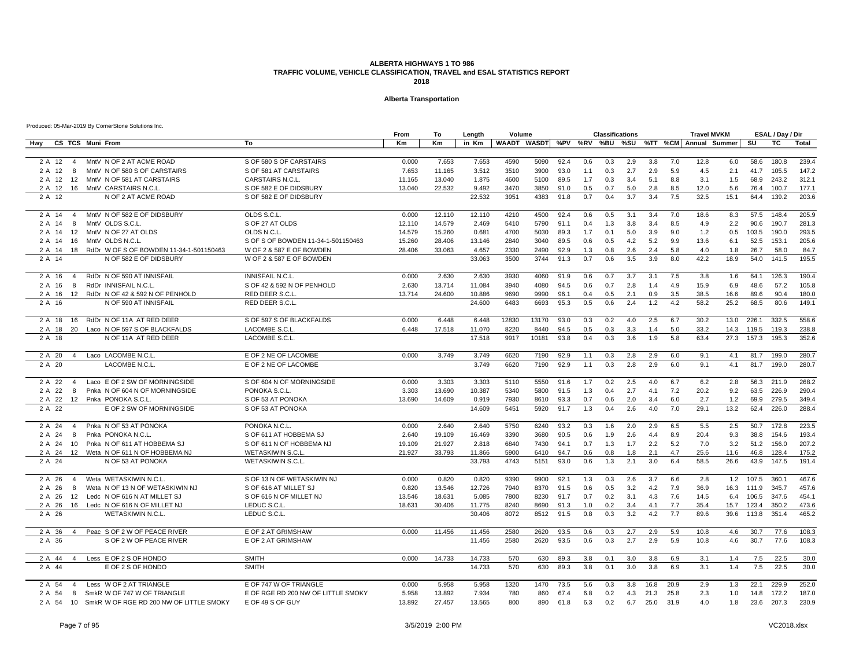### **Alberta Transportation**

|               |    |                |                                                   |                                                  | From   | То     | Length          | Volume       |                                                   |              |            | <b>Classifications</b> |            |            |            | Travel MVKM  |             |              | ESAL / Day / Dir |                |
|---------------|----|----------------|---------------------------------------------------|--------------------------------------------------|--------|--------|-----------------|--------------|---------------------------------------------------|--------------|------------|------------------------|------------|------------|------------|--------------|-------------|--------------|------------------|----------------|
| Hwv           |    |                | CS TCS Muni From                                  | To                                               | Km     | Кm     | in Km           |              | WAADT WASDT %PV %RV %BU %SU %TT %CM Annual Summer |              |            |                        |            |            |            |              |             | SU           | <b>TC</b>        | Total          |
|               |    |                |                                                   |                                                  |        |        |                 |              |                                                   |              |            |                        |            |            |            |              |             |              |                  |                |
| 2 A 12        |    | $\overline{4}$ | MntV N OF 2 AT ACME ROAD                          | S OF 580 S OF CARSTAIRS                          | 0.000  | 7.653  | 7.653           | 4590         | 5090                                              | 92.4         | 0.6        | 0.3                    | 2.9        | 3.8        | 7.0        | 12.8         | 6.0         | 58.6         | 180.8            | 239.4          |
| 2 A 12        |    | - 8            | MntV N OF 580 S OF CARSTAIRS                      | S OF 581 AT CARSTAIRS                            | 7.653  | 11.165 | 3.512           | 3510         | 3900                                              | 93.0         | 1.1        | 0.3                    | 2.7        | 2.9        | 5.9<br>8.8 | 4.5          | 2.1         | 41.7         | 105.5            | 147.2          |
| 2 A 12 12     |    |                | MntV N OF 581 AT CARSTAIRS                        | CARSTAIRS N.C.L.                                 | 11.165 | 13.040 | 1.875           | 4600         | 5100                                              | 89.5         | 1.7        | 0.3                    | 3.4        | 5.1        |            | 3.1          | 1.5         | 68.9         | 243.2            | 312.1          |
| 2 A<br>2 A 12 | 12 | 16             | MntV CARSTAIRS N.C.L<br>N OF 2 AT ACME ROAD       | S OF 582 E OF DIDSBURY<br>S OF 582 E OF DIDSBURY | 13.040 | 22.532 | 9.492<br>22.532 | 3470<br>3951 | 3850<br>4383                                      | 91.0<br>91.8 | 0.5<br>0.7 | 0.7<br>0.4             | 5.0<br>3.7 | 2.8<br>3.4 | 8.5<br>7.5 | 12.0<br>32.5 | 5.6<br>15.1 | 76.4<br>64.4 | 100.7<br>139.2   | 177.1<br>203.6 |
|               |    |                |                                                   |                                                  |        |        |                 |              |                                                   |              |            |                        |            |            |            |              |             |              |                  |                |
| 2 A 14        |    | $\overline{4}$ | MntV N OF 582 E OF DIDSBURY                       | OLDS S.C.L.                                      | 0.000  | 12.110 | 12.110          | 4210         | 4500                                              | 92.4         | 0.6        | 0.5                    | 3.1        | 3.4        | 7.0        | 18.6         | 8.3         | 57.5         | 148.4            | 205.9          |
| 2 A 14        |    | 8              | MntV OLDS S.C.L                                   | S OF 27 AT OLDS                                  | 12.110 | 14.579 | 2.469           | 5410         | 5790                                              | 91.1         | 0.4        | 1.3                    | 3.8        | 3.4        | 8.5        | 4.9          | 2.2         | 90.6         | 190.7            | 281.3          |
| 2 A 14        |    | 12             | MntV N OF 27 AT OLDS                              | OLDS N.C.L                                       | 14.579 | 15.260 | 0.681           | 4700         | 5030                                              | 89.3         | 1.7        | 0.1                    | 5.0        | 3.9        | 9.0        | 1.2          | 0.5         | 103.5        | 190.0            | 293.5          |
| 2 A 14        |    | 16             | MntV OLDS N.C.L.                                  | S OF S OF BOWDEN 11-34-1-501150463               | 15.260 | 28,406 | 13.146          | 2840         | 3040                                              | 89.5         | 0.6        | 0.5                    | 4.2        | 5.2        | 9.9        | 13.6         | 6.1         | 52.5         | 153.1            | 205.6          |
| 2 A 14        |    |                | 18 RdDr W OF S OF BOWDEN 11-34-1-501150463        | W OF 2 & 587 E OF BOWDEN                         | 28.406 | 33.063 | 4.657           | 2330         | 2490                                              | 92.9         | 1.3        | 0.8                    | 2.6        | 2.4        | 5.8        | 4.0          | 1.8         | 26.7         | 58.0             | 84.7           |
| 2 A 14        |    |                | N OF 582 E OF DIDSBURY                            | W OF 2 & 587 E OF BOWDEN                         |        |        | 33.063          | 3500         | 3744                                              | 91.3         | 0.7        | 0.6                    | 3.5        | 3.9        | 8.0        | 42.2         | 18.9        | 54.0         | 141.5            | 195.5          |
| 2 A 16        |    |                | RdDr N OF 590 AT INNISFAIL                        | <b>INNISFAIL N.C.L</b>                           | 0.000  | 2.630  | 2.630           | 3930         | 4060                                              | 91.9         | 0.6        | 0.7                    | 3.7        | 3.1        | 7.5        | 3.8          | 1.6         | 64.1         | 126.3            | 190.4          |
| 2 A 16        |    | 8              | RdDr INNISFAIL N.C.L.                             | S OF 42 & 592 N OF PENHOLD                       | 2.630  | 13.714 | 11.084          | 3940         | 4080                                              | 94.5         | 0.6        | 0.7                    | 2.8        | 1.4        | 4.9        | 15.9         | 6.9         | 48.6         | 57.2             | 105.8          |
| 2 A 16        |    |                | 12 RdDr N OF 42 & 592 N OF PENHOLD                | RED DEER S.C.L                                   | 13.714 | 24.600 | 10.886          | 9690         | 9990                                              | 96.1         | 0.4        | 0.5                    | 2.1        | 0.9        | 3.5        | 38.5         | 16.6        | 89.6         | 90.4             | 180.0          |
| 2 A           | 16 |                | N OF 590 AT INNISFAIL                             | RED DEER S.C.L.                                  |        |        | 24.600          | 6483         | 6693                                              | 95.3         | 0.5        | 0.6                    | 2.4        | 1.2        | 4.2        | 58.2         | 25.2        | 68.5         | 80.6             | 149.1          |
| 2 A 18        |    | 16             | RdDr N OF 11A AT RED DEER                         | S OF 597 S OF BLACKFALDS                         | 0.000  | 6.448  | 6.448           | 12830        | 13170                                             | 93.0         | 0.3        | 0.2                    | 4.0        | 2.5        | 6.7        | 30.2         | 13.0        | 226.1        | 332.5            | 558.6          |
| 2 A 18        |    |                | 20 Laco N OF 597 S OF BLACKFALDS                  | LACOMBE S.C.L                                    | 6.448  | 17.518 | 11.070          | 8220         | 8440                                              | 94.5         | 0.5        | 0.3                    | 3.3        | 1.4        | 5.0        | 33.2         | 14.3        | 119.5        | 119.3            | 238.8          |
| 2 A 18        |    |                | N OF 11A AT RED DEER                              | LACOMBE S.C.L.                                   |        |        | 17.518          | 9917         | 10181                                             | 93.8         | 0.4        | 0.3                    | 3.6        | 1.9        | 5.8        | 63.4         | 27.3        | 157.3        | 195.3            | 352.6          |
|               |    |                |                                                   |                                                  |        |        |                 |              |                                                   |              |            |                        |            |            |            |              |             |              |                  |                |
| 2 A 20        |    | $\overline{4}$ | Laco LACOMBE N.C.L                                | E OF 2 NE OF LACOMBE                             | 0.000  | 3.749  | 3.749           | 6620         | 7190                                              | 92.9         | 1.1        | 0.3                    | 2.8        | 2.9        | 6.0        | 9.1          | 4.1         | 81.7         | 199.0            | 280.7          |
| 2 A 20        |    |                | LACOMBE N.C.L.                                    | E OF 2 NE OF LACOMBE                             |        |        | 3.749           | 6620         | 7190                                              | 92.9         | 1.1        | 0.3                    | 2.8        | 2.9        | 6.0        | 9.1          | 4.1         | 81.7         | 199.0            | 280.7          |
| 2 A 22        |    | $\overline{4}$ | Laco E OF 2 SW OF MORNINGSIDE                     | S OF 604 N OF MORNINGSIDE                        | 0.000  | 3.303  | 3.303           | 5110         | 5550                                              | 91.6         | 1.7        | 0.2                    | 2.5        | 4.0        | 6.7        | 6.2          | 2.8         | 56.3         | 211.9            | 268.2          |
| 2 A 22        |    | - 8            | Pnka N OF 604 N OF MORNINGSIDE                    | PONOKA S.C.L                                     | 3.303  | 13.690 | 10.387          | 5340         | 5800                                              | 91.5         | 1.3        | 0.4                    | 2.7        | 4.1        | 7.2        | 20.2         | 9.2         | 63.5         | 226.9            | 290.4          |
| 2 A 22        |    |                | 12 Pnka PONOKA S.C.L                              | S OF 53 AT PONOKA                                | 13.690 | 14.609 | 0.919           | 7930         | 8610                                              | 93.3         | 0.7        | 0.6                    | 2.0        | 3.4        | 6.0        | 2.7          | 1.2         | 69.9         | 279.5            | 349.4          |
| 2 A 22        |    |                | E OF 2 SW OF MORNINGSIDE                          | S OF 53 AT PONOKA                                |        |        | 14.609          | 5451         | 5920                                              | 91.7         | 1.3        | 0.4                    | 2.6        | 4.0        | 7.0        | 29.1         | 13.2        | 62.4         | 226.0            | 288.4          |
| 2 A 24        |    | $\overline{4}$ | Pnka N OF 53 AT PONOKA                            | PONOKA N.C.L.                                    | 0.000  | 2.640  | 2.640           | 5750         | 6240                                              | 93.2         | 0.3        | 1.6                    | 2.0        | 2.9        | 6.5        | 5.5          | 2.5         | 50.7         | 172.8            | 223.5          |
| 2 A 24        |    | 8              | Pnka PONOKA N.C.L.                                | S OF 611 AT HOBBEMA SJ                           | 2.640  | 19.109 | 16.469          | 3390         | 3680                                              | 90.5         | 0.6        | 1.9                    | 2.6        | 4.4        | 8.9        | 20.4         | 9.3         | 38.8         | 154.6            | 193.4          |
| 2 A 24 10     |    |                | Pnka N OF 611 AT HOBBEMA SJ                       | S OF 611 N OF HOBBEMA NJ                         | 19.109 | 21.927 | 2.818           | 6840         | 7430                                              | 94.1         | 0.7        | 1.3                    | 1.7        | 2.2        | 5.2        | 7.0          | 3.2         | 51.2         | 156.0            | 207.2          |
| 2 A 24        |    | 12             | Weta N OF 611 N OF HOBBEMA NJ                     | <b>WETASKIWIN S.C.L</b>                          | 21.927 | 33.793 | 11.866          | 5900         | 6410                                              | 94.7         | 0.6        | 0.8                    | 1.8        | 2.1        | 4.7        | 25.6         | 11.6        | 46.8         | 128.4            | 175.2          |
| 2 A 24        |    |                | N OF 53 AT PONOKA                                 | <b>WETASKIWIN S.C.L.</b>                         |        |        | 33.793          | 4743         | 5151                                              | 93.0         | 0.6        | 1.3                    | 2.1        | 3.0        | 6.4        | 58.5         | 26.6        | 43.9         | 147.5            | 191.4          |
| 2 A 26        |    | $\overline{4}$ | Weta WETASKIWIN N.C.L                             | S OF 13 N OF WETASKIWIN NJ                       | 0.000  | 0.820  | 0.820           | 9390         | 9900                                              | 92.1         | 1.3        | 0.3                    | 2.6        | 3.7        | 6.6        | 2.8          | 1.2         | 107.5        | 360.1            | 467.6          |
| 2 A 26        |    | 8              | Weta N OF 13 N OF WETASKIWIN NJ                   | S OF 616 AT MILLET SJ                            | 0.820  | 13.546 | 12.726          | 7940         | 8370                                              | 91.5         | 0.6        | 0.5                    | 3.2        | 4.2        | 7.9        | 36.9         | 16.3        | 111.9        | 345.7            | 457.6          |
| 2 A 26        |    | 12             | Ledc N OF 616 N AT MILLET SJ                      | S OF 616 N OF MILLET NJ                          | 13.546 | 18.631 | 5.085           | 7800         | 8230                                              | 91.7         | 0.7        | 0.2                    | 3.1        | 4.3        | 7.6        | 14.5         | 6.4         | 106.5        | 347.6            | 454.1          |
| 2 A 26        |    | 16             | Ledc N OF 616 N OF MILLET NJ                      | LEDUC S.C.L                                      | 18.631 | 30.406 | 11.775          | 8240         | 8690                                              | 91.3         | 1.0        | 0.2                    | 3.4        | 4.1        | 7.7        | 35.4         | 15.7        | 123.4        | 350.2            | 473.6          |
| 2 A 26        |    |                | WETASKIWIN N.C.L.                                 | LEDUC S.C.L.                                     |        |        | 30.406          | 8072         | 8512                                              | 91.5         | 0.8        | 0.3                    | 3.2        | 4.2        | 7.7        | 89.6         | 39.6        | 113.8        | 351.4            | 465.2          |
|               |    |                |                                                   |                                                  |        |        |                 |              |                                                   |              |            |                        |            |            |            |              |             |              |                  |                |
| 2 A 36        |    | 4              | Peac S OF 2 W OF PEACE RIVER                      | E OF 2 AT GRIMSHAW                               | 0.000  | 11.456 | 11.456          | 2580         | 2620                                              | 93.5         | 0.6        | 0.3                    | 2.7        | 2.9        | 5.9        | 10.8         | 4.6         | 30.7         | 77.6             | 108.3          |
| 2 A 36        |    |                | S OF 2 W OF PEACE RIVER                           | E OF 2 AT GRIMSHAW                               |        |        | 11.456          | 2580         | 2620                                              | 93.5         | 0.6        | 0.3                    | 2.7        | 2.9        | 5.9        | 10.8         | 4.6         | 30.7         | 77.6             | 108.3          |
| 2 A 44        |    | $\overline{4}$ | Less E OF 2 S OF HONDO                            | <b>SMITH</b>                                     | 0.000  | 14.733 | 14.733          | 570          | 630                                               | 89.3         | 3.8        | 0.1                    | 3.0        | 3.8        | 6.9        | 3.1          | 1.4         | 7.5          | 22.5             | 30.0           |
| 2 A 44        |    |                | E OF 2 S OF HONDO                                 | <b>SMITH</b>                                     |        |        | 14.733          | 570          | 630                                               | 89.3         | 3.8        | 0.1                    | 3.0        | 3.8        | 6.9        | 3.1          | 1.4         | 7.5          | 22.5             | 30.0           |
| 2 A 54        |    | $\overline{4}$ | Less W OF 2 AT TRIANGLE                           | E OF 747 W OF TRIANGLE                           | 0.000  | 5.958  | 5.958           | 1320         | 1470                                              | 73.5         | 5.6        | 0.3                    | 3.8        | 16.8       | 20.9       | 2.9          | 1.3         | 22.1         | 229.9            | 252.0          |
| 2 A 54        |    | 8              | SmkR W OF 747 W OF TRIANGLE                       | E OF RGE RD 200 NW OF LITTLE SMOKY               | 5.958  | 13.892 | 7.934           | 780          | 860                                               | 67.4         | 6.8        | 0.2                    | 4.3        | 21.3       | 25.8       | 2.3          | 1.0         | 14.8         | 172.2            | 187.0          |
|               |    |                | 2 A 54 10 SmkR W OF RGE RD 200 NW OF LITTLE SMOKY | E OF 49 S OF GUY                                 | 13.892 | 27.457 | 13.565          | 800          | 890                                               | 61.8         | 6.3        | 0.2                    | 6.7        | 25.0       | 31.9       | 4.0          | 1.8         | 23.6         | 207.3            | 230.9          |
|               |    |                |                                                   |                                                  |        |        |                 |              |                                                   |              |            |                        |            |            |            |              |             |              |                  |                |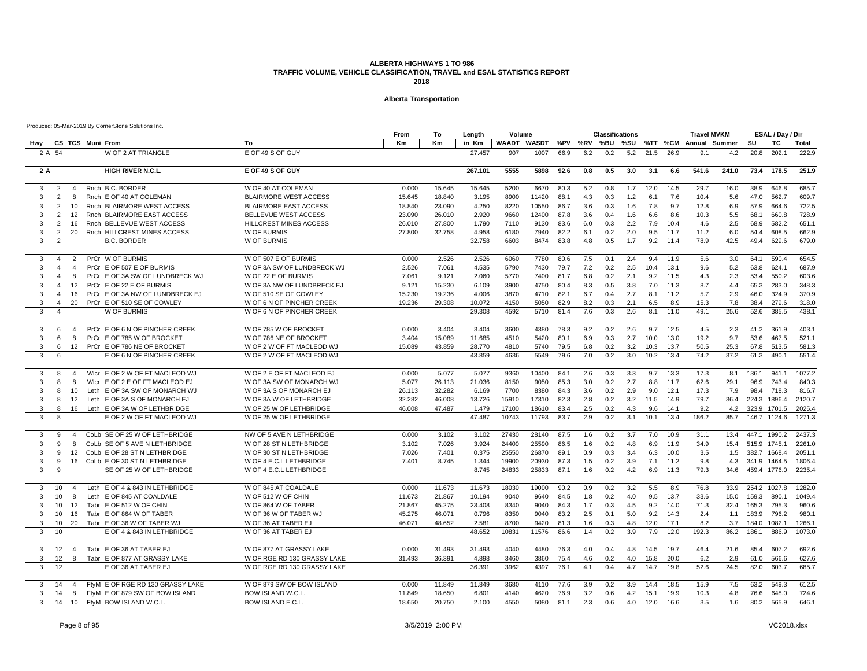### **Alberta Transportation**

|                                                |                                                           |                                                    | From   | To     | Length          | Volume         |                |              |            | <b>Classifications</b> |            |             |              | <b>Travel MVKM</b> |             |              | ESAL / Day / Dir |                  |
|------------------------------------------------|-----------------------------------------------------------|----------------------------------------------------|--------|--------|-----------------|----------------|----------------|--------------|------------|------------------------|------------|-------------|--------------|--------------------|-------------|--------------|------------------|------------------|
| Hwy                                            | CS TCS Muni From                                          | To                                                 | Km     | Кm     | in Km           | WAADT          | <b>WASDT</b>   |              | %PV %RV    | %BU                    | %SU        |             | %TT %CM      | Annual Summer      |             | SU           | TC               | Total            |
| 2 A<br>54                                      | W OF 2 AT TRIANGLE                                        | E OF 49 S OF GUY                                   |        |        | 27.457          | 907            | 1007           | 66.9         | 6.2        | 0.2                    | 5.2        | 21.5        | 26.9         | 9.1                | 4.2         | 20.8         | 202.1            | 222.9            |
| 2 A                                            | <b>HIGH RIVER N.C.L</b>                                   | E OF 49 S OF GUY                                   |        |        | 267.101         | 5555           | 5898           | 92.6         | 0.8        | 0.5                    | 3.0        | 3.1         | 6.6          | 541.6              | 241.0       | 73.4         | 178.5            | 251.9            |
|                                                |                                                           |                                                    |        |        |                 |                |                |              |            |                        |            |             |              |                    |             |              |                  |                  |
| 3<br>$\overline{2}$<br>$\overline{4}$          | Rnch B.C. BORDER                                          | W OF 40 AT COLEMAN                                 | 0.000  | 15.645 | 15.645          | 5200           | 6670           | 80.3         | 5.2        | 0.8                    | 1.7        | 12.0        | 14.5         | 29.7               | 16.0        | 38.9         | 646.8            | 685.7            |
| 3<br>$\overline{2}$<br>8                       | Rnch E OF 40 AT COLEMAN                                   | <b>BLAIRMORE WEST ACCESS</b>                       | 15.645 | 18.840 | 3.195           | 8900           | 11420          | 88.1         | 4.3        | 0.3                    | 1.2        | 6.1         | 7.6          | 10.4               | 5.6         | 47.0         | 562.7            | 609.7            |
| 3<br>2<br>10                                   | Rnch BLAIRMORE WEST ACCESS                                | <b>BLAIRMORE EAST ACCESS</b>                       | 18.840 | 23.090 | 4.250           | 8220           | 10550          | 86.7         | 3.6        | 0.3                    | 1.6        | 7.8         | 9.7          | 12.8               | 6.9         | 57.9         | 664.6            | 722.5            |
| 3<br>12<br>2                                   | Rnch BLAIRMORE EAST ACCESS                                | <b>BELLEVUE WEST ACCESS</b>                        | 23.090 | 26.010 | 2.920           | 9660           | 12400          | 87.8         | 3.6        | 0.4                    | 1.6        | 6.6         | 8.6          | 10.3               | 5.5         | 68.1         | 660.8            | 728.9            |
| 2<br>16                                        | Rnch BELLEVUE WEST ACCESS                                 | HILLCREST MINES ACCESS                             | 26.010 | 27.800 | 1.790           | 7110           | 9130           | 83.6         | 6.0        | 0.3                    | 2.2        | 7.9         | 10.4         | 4.6                | 2.5         | 68.9         | 582.2            | 651.1            |
| 3<br>$\overline{2}$<br>20                      | Rnch HILLCREST MINES ACCESS                               | W OF BURMIS                                        | 27.800 | 32.758 | 4.958           | 6180           | 7940           | 82.2         | 6.1        | 0.2                    | 2.0        | 9.5         | 11.7         | 11.2               | 6.0         | 54.4         | 608.5            | 662.9            |
| 3<br>$\mathcal{P}$                             | <b>B.C. BORDER</b>                                        | W OF BURMIS                                        |        |        | 32.758          | 6603           | 8474           | 83.8         | 4.8        | 0.5                    | 1.7        | 9.2         | 11.4         | 78.9               | 42.5        | 49.4         | 629.6            | 679.0            |
| 3<br>$\overline{2}$<br>$\overline{a}$          | PrCr W OF BURMIS                                          | W OF 507 E OF BURMIS                               | 0.000  | 2.526  | 2.526           | 6060           | 7780           | 80.6         | 7.5        | 0.1                    | 2.4        | 9.4         | 11.9         | 5.6                | 3.0         | 64.1         | 590.4            | 654.5            |
| 3<br>$\overline{a}$<br>$\overline{\mathbf{A}}$ | PrCr E OF 507 E OF BURMIS                                 | W OF 3A SW OF LUNDBRECK WJ                         | 2.526  | 7.061  | 4.535           | 5790           | 7430           | 79.7         | 7.2        | 0.2                    | 2.5        | 10.4        | 13.1         | 9.6                | 5.2         | 63.8         | 624.1            | 687.9            |
| 8                                              | PrCr E OF 3A SW OF LUNDBRECK WJ                           | W OF 22 E OF BURMIS                                | 7.061  | 9.121  | 2.060           | 5770           | 7400           | 81.7         | 6.8        | 0.2                    | 2.1        | 9.2         | 11.5         | 4.3                | 2.3         | 53.4         | 550.2            | 603.6            |
| 3<br>12                                        | PrCr E OF 22 E OF BURMIS                                  | W OF 3A NW OF LUNDBRECK EJ                         | 9.121  | 15.230 | 6.109           | 3900           | 4750           | 80.4         | 8.3        | 0.5                    | 3.8        | 7.0         | 11.3         | 8.7                | 4.4         | 65.3         | 283.0            | 348.3            |
| 3<br>16<br>$\overline{a}$                      | PrCr E OF 3A NW OF LUNDBRECK EJ                           | W OF 510 SE OF COWLEY                              | 15.230 | 19.236 | 4.006           | 3870           | 4710           | 82.1         | 6.7        | 0.4                    | 2.7        | 8.1         | 11.2         | 5.7                | 2.9         | 46.0         | 324.9            | 370.9            |
| 3<br>20<br>$\overline{a}$                      | PrCr E OF 510 SE OF COWLEY                                | W OF 6 N OF PINCHER CREEK                          | 19.236 | 29.308 | 10.072          | 4150           | 5050           | 82.9         | 8.2        | 0.3                    | 2.1        | 6.5         | 8.9          | 15.3               | 7.8         | 38.4         | 279.6            | 318.0            |
| 3<br>$\overline{\mathbf{4}}$                   | W OF BURMIS                                               | W OF 6 N OF PINCHER CREEK                          |        |        | 29.308          | 4592           | 5710           | 81.4         | 7.6        | 0.3                    | 2.6        | 8.1         | 11.0         | 49.1               | 25.6        | 52.6         | 385.5            | 438.1            |
| 3<br>6<br>$\overline{4}$                       | PrCr E OF 6 N OF PINCHER CREEK                            | W OF 785 W OF BROCKET                              | 0.000  | 3.404  | 3.404           | 3600           | 4380           | 78.3         | 9.2        | 0.2                    | 2.6        | 9.7         | 12.5         | 4.5                | 2.3         | 41.2         | 361.9            | 403.1            |
| 3<br>6<br>8                                    | PrCr E OF 785 W OF BROCKET                                | W OF 786 NE OF BROCKET                             | 3.404  | 15.089 | 11.685          | 4510           | 5420           | 80.1         | 6.9        | 0.3                    | 2.7        | 10.0        | 13.0         | 19.2               | 9.7         | 53.6         | 467.5            | 521.1            |
| 3<br>6<br>12                                   | PrCr E OF 786 NE OF BROCKET                               | W OF 2 W OF FT MACLEOD WJ                          | 15.089 | 43.859 | 28.770          | 4810           | 5740           | 79.5         | 6.8        | 0.2                    | 3.2        | 10.3        | 13.7         | 50.5               | 25.3        | 67.8         | 513.5            | 581.3            |
| $\mathbf{3}$<br>6                              | E OF 6 N OF PINCHER CREEK                                 | W OF 2 W OF FT MACLEOD WJ                          |        |        | 43.859          | 4636           | 5549           | 79.6         | 7.0        | 0.2                    | 3.0        | 10.2        | 13.4         | 74.2               | 37.2        | 61.3         | 490.1            | 551.4            |
|                                                |                                                           |                                                    |        |        |                 |                |                |              |            |                        |            |             |              |                    |             |              |                  |                  |
| 3<br>8<br>$\overline{4}$                       | Wicr E OF 2 W OF FT MACLEOD WJ                            | W OF 2 E OF FT MACLEOD EJ                          | 0.000  | 5.077  | 5.077           | 9360           | 10400          | 84.1         | 2.6        | 0.3                    | 3.3        | 9.7         | 13.3         | 17.3               | 8.1         | 136.1        | 941.1            | 1077.2           |
| 3<br>8<br>8                                    | Wicr E OF 2 E OF FT MACLEOD EJ                            | W OF 3A SW OF MONARCH WJ                           | 5.077  | 26.113 | 21.036          | 8150           | 9050           | 85.3         | 3.0        | 0.2                    | 2.7        | 8.8         | 11.7         | 62.6               | 29.1        | 96.9         | 743.4            | 840.3            |
| -3<br>10                                       | Leth E OF 3A SW OF MONARCH WJ                             | W OF 3A S OF MONARCH EJ                            | 26.113 | 32.282 | 6.169           | 7700           | 8380           | 84.3         | 3.6        | 0.2                    | 2.9        | 9.0         | 12.1         | 17.3               | 7.9         | 98.4         | 718.3            | 816.7            |
| 3<br>8<br>12                                   | Leth E OF 3A S OF MONARCH EJ                              | W OF 3A W OF LETHBRIDGE                            | 32.282 | 46.008 | 13.726          | 15910          | 17310          | 82.3         | 2.8        | 0.2                    | 3.2        | 11.5        | 14.9         | 79.7               | 36.4        |              | 224.3 1896.4     | 2120.7           |
| 16<br>3<br>3                                   | Leth E OF 3A W OF LETHBRIDGE<br>E OF 2 W OF FT MACLEOD WJ | W OF 25 W OF LETHBRIDGE<br>W OF 25 W OF LETHBRIDGE | 46.008 | 47.487 | 1.479<br>47.487 | 17100<br>10743 | 18610<br>11793 | 83.4<br>83.7 | 2.5<br>2.9 | 0.2<br>0.2             | 4.3<br>3.1 | 9.6<br>10.1 | 14.1<br>13.4 | 9.2<br>186.2       | 4.2<br>85.7 |              | 323.9 1701.5     | 2025.4<br>1271.3 |
|                                                |                                                           |                                                    |        |        |                 |                |                |              |            |                        |            |             |              |                    |             |              | 146.7 1124.6     |                  |
| 3<br>$\mathbf{Q}$                              | CoLb SE OF 25 W OF LETHBRIDGE                             | NW OF 5 AVE N LETHBRIDGE                           | 0.000  | 3.102  | 3.102           | 27430          | 28140          | 87.5         | 1.6        | 0.2                    | 3.7        | 7.0         | 10.9         | 31.1               | 13.4        |              | 447.1 1990.2     | 2437.3           |
| 3<br>9<br>-8                                   | CoLb SE OF 5 AVE N LETHBRIDGE                             | W OF 28 ST N LETHBRIDGE                            | 3.102  | 7.026  | 3.924           | 24400          | 25590          | 86.5         | 1.6        | 0.2                    | 4.8        | 6.9         | 11.9         | 34.9               | 15.4        |              | 515.9 1745.1     | 2261.0           |
| 3<br>12<br>9                                   | CoLb E OF 28 ST N LETHBRIDGE                              | W OF 30 ST N LETHBRIDGE                            | 7.026  | 7.401  | 0.375           | 25550          | 26870          | 89.1         | 0.9        | 0.3                    | 3.4        | 6.3         | 10.0         | 3.5                | 1.5         | 382.7 1668.4 |                  | 2051.1           |
| 3<br>$\mathbf{q}$<br>16                        | CoLb E OF 30 ST N LETHBRIDGE                              | W OF 4 E.C.L LETHBRIDGE                            | 7.401  | 8.745  | 1.344           | 19900          | 20930          | 87.3         | 1.5        | 0.2                    | 3.9        | 7.1         | 11.2         | 9.8                | 4.3         |              | 341.9 1464.5     | 1806.4           |
| 3<br>9                                         | SE OF 25 W OF LETHBRIDGE                                  | W OF 4 E.C.L LETHBRIDGE                            |        |        | 8.745           | 24833          | 25833          | 87.1         | 1.6        | 0.2                    | 4.2        | 6.9         | 11.3         | 79.3               | 34.6        |              | 459.4 1776.0     | 2235.4           |
| 3<br>10<br>$\overline{4}$                      | Leth E OF 4 & 843 IN LETHBRIDGE                           | W OF 845 AT COALDALE                               | 0.000  | 11.673 | 11.673          | 18030          | 19000          | 90.2         | 0.9        | 0.2                    | 3.2        | 5.5         | 8.9          | 76.8               | 33.9        |              | 254.2 1027.8     | 1282.0           |
| 3<br>10<br>8                                   | Leth E OF 845 AT COALDALE                                 | W OF 512 W OF CHIN                                 | 11.673 | 21.867 | 10.194          | 9040           | 9640           | 84.5         | 1.8        | 0.2                    | 4.0        | 9.5         | 13.7         | 33.6               | 15.0        | 159.3        | 890.1            | 1049.4           |
| 10<br>12<br>3                                  | Tabr E OF 512 W OF CHIN                                   | W OF 864 W OF TABER                                | 21.867 | 45.275 | 23.408          | 8340           | 9040           | 84.3         | 1.7        | 0.3                    | 4.5        | 9.2         | 14.0         | 71.3               | 32.4        | 165.3        | 795.3            | 960.6            |
| 3<br>10<br>16                                  | Tabr E OF 864 W OF TABER                                  | W OF 36 W OF TABER WJ                              | 45.275 | 46.071 | 0.796           | 8350           | 9040           | 83.2         | 2.5        | 0.1                    | 5.0        | 9.2         | 14.3         | 2.4                | 1.1         | 183.9        | 796.2            | 980.1            |
| 10<br>20<br>3                                  | Tabr E OF 36 W OF TABER WJ                                | W OF 36 AT TABER EJ                                | 46.071 | 48.652 | 2.581           | 8700           | 9420           | 81.3         | 1.6        | 0.3                    | 4.8        | 12.0        | 17.1         | 8.2                | 3.7         |              | 184.0 1082.1     | 1266.1           |
| 3<br>10                                        | E OF 4 & 843 IN LETHBRIDGE                                | W OF 36 AT TABER EJ                                |        |        | 48.652          | 10831          | 11576          | 86.6         | 1.4        | 0.2                    | 3.9        | 7.9         | 12.0         | 192.3              | 86.2        | 186.1        | 886.9            | 1073.0           |
| 12<br>3<br>$\overline{4}$                      | Tabr E OF 36 AT TABER EJ                                  | W OF 877 AT GRASSY LAKE                            | 0.000  | 31.493 | 31.493          | 4040           | 4480           | 76.3         | 4.0        | 0.4                    | 4.8        | 14.5        | 19.7         | 46.4               | 21.6        | 85.4         | 607.2            | 692.6            |
| 3<br>12<br>8                                   | Tabr E OF 877 AT GRASSY LAKE                              | W OF RGE RD 130 GRASSY LAKE                        | 31.493 | 36.391 | 4.898           | 3460           | 3860           | 75.4         | 4.6        | 0.2                    | 4.0        | 15.8        | 20.0         | 6.2                | 2.9         | 61.0         | 566.6            | 627.6            |
| $\mathbf{3}$<br>12                             | E OF 36 AT TABER EJ                                       | W OF RGE RD 130 GRASSY LAKE                        |        |        | 36.391          | 3962           | 4397           | 76.1         | 4.1        | 0.4                    | 4.7        | 14.7        | 19.8         | 52.6               | 24.5        | 82.0         | 603.7            | 685.7            |
| 3<br>14<br>$\overline{4}$                      | FtvM E OF RGE RD 130 GRASSY LAKE                          | W OF 879 SW OF BOW ISLAND                          | 0.000  | 11.849 | 11.849          | 3680           | 4110           | 77.6         | 3.9        | 0.2                    | 3.9        | 14.4        | 18.5         | 15.9               | 7.5         | 63.2         | 549.3            | 612.5            |
| 3<br>14<br>8                                   | FtyM E OF 879 SW OF BOW ISLAND                            | BOW ISLAND W.C.L.                                  | 11.849 | 18.650 | 6.801           | 4140           | 4620           | 76.9         | 3.2        | 0.6                    | 4.2        | 15.1        | 19.9         | 10.3               | 4.8         | 76.6         | 648.0            | 724.6            |
| 3                                              | 14 10 FtyM BOW ISLAND W.C.L                               | BOW ISLAND E.C.L.                                  | 18.650 | 20.750 | 2.100           | 4550           | 5080           | 81.1         | 2.3        | 0.6                    | 4.0        | 12.0        | 16.6         | 3.5                | 1.6         | 80.2         | 565.9            | 646.1            |
|                                                |                                                           |                                                    |        |        |                 |                |                |              |            |                        |            |             |              |                    |             |              |                  |                  |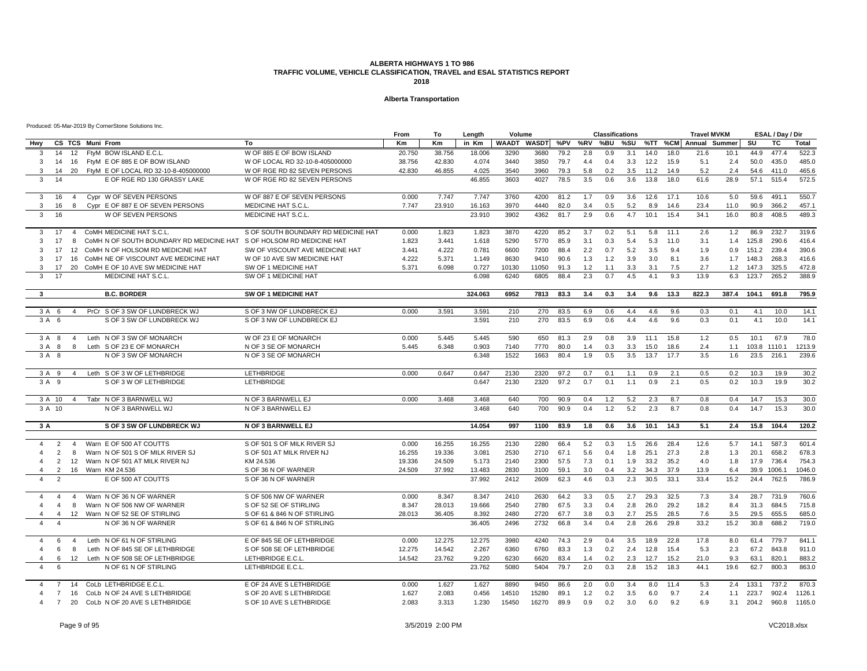### **Alberta Transportation**

|                                                        |                     |                                          |                                            | From             | To     | Length          | Volume       |              |              |            | <b>Classifications</b> |            |              |              | <b>Travel MVKM</b> |             |       | ESAL / Day / Dir     |                 |
|--------------------------------------------------------|---------------------|------------------------------------------|--------------------------------------------|------------------|--------|-----------------|--------------|--------------|--------------|------------|------------------------|------------|--------------|--------------|--------------------|-------------|-------|----------------------|-----------------|
| Hwy                                                    |                     | CS TCS Muni From                         | To                                         | Km               | Кm     | in Km           | <b>WAADT</b> | WASDT        | %PV %RV      |            | %BU                    | %SU        |              | %TT %CM      | Annual Summer      |             | SU    | TC                   | <b>Total</b>    |
| 14<br>3                                                | 12                  | FtyM BOW ISLAND E.C.L.                   | W OF 885 E OF BOW ISLAND                   | 20.750           | 38.756 | 18.006          | 3290         | 3680         | 79.2         | 2.8        | 0.9                    | 3.1        | 14.0         | 18.0         | 21.6               | 10.1        | 44.9  | 477.4                | 522.3           |
| 3                                                      | 14                  | 16 FtyM E OF 885 E OF BOW ISLAND         | W OF LOCAL RD 32-10-8-405000000            | 38.756           | 42.830 | 4.074           | 3440         | 3850         | 79.7         | 4.4        | 0.4                    | 3.3        | 12.2         | 15.9         | 5.1                | 2.4         | 50.0  | 435.0                | 485.0           |
| 3                                                      | 14<br>20            | FtyM E OF LOCAL RD 32-10-8-405000000     | W OF RGE RD 82 SEVEN PERSONS               | 42.830           | 46.855 | 4.025           | 3540         | 3960         | 79.3         | 5.8        | 0.2                    | 3.5        | 11.2         | 14.9         | 5.2                | 2.4         | 54.6  | 411.0                | 465.6           |
| 3<br>14                                                |                     | E OF RGE RD 130 GRASSY LAKE              | W OF RGE RD 82 SEVEN PERSONS               |                  |        | 46.855          | 3603         | 4027         | 78.5         | 3.5        | 0.6                    | 3.6        | 13.8         | 18.0         | 61.6               | 28.9        | 57.1  | 515.4                | 572.5           |
| $\mathbf{3}$<br>16                                     | $\overline{4}$      | Cypr W OF SEVEN PERSONS                  | W OF 887 E OF SEVEN PERSONS                | 0.000            | 7.747  | 7.747           | 3760         | 4200         | 81.2         | 1.7        | 0.9                    | 3.6        | 12.6         | 17.1         | 10.6               | 5.0         | 59.6  | 491.1                | 550.7           |
| 3                                                      | 16<br>8             | Cypr E OF 887 E OF SEVEN PERSONS         | MEDICINE HAT S.C.L                         | 7.747            | 23.910 | 16.163          | 3970         | 4440         | 82.0         | 3.4        | 0.5                    | 5.2        | 8.9          | 14.6         | 23.4               | 11.0        | 90.9  | 366.2                | 457.1           |
| 3                                                      | 16                  | W OF SEVEN PERSONS                       | MEDICINE HAT S.C.L.                        |                  |        | 23.910          | 3902         | 4362         | 81.7         | 2.9        | 0.6                    | 4.7        | 10.1         | 15.4         | 34.1               | 16.0        | 80.8  | 408.5                | 489.3           |
| 3<br>17                                                | $\overline{4}$      | CoMH MEDICINE HAT S.C.L                  | S OF SOUTH BOUNDARY RD MEDICINE HAT        | 0.000            | 1.823  | 1.823           | 3870         | 4220         | 85.2         | 3.7        | 0.2                    | 5.1        | 5.8          | 11.1         | 2.6                | 1.2         | 86.9  | 232.7                | 319.6           |
| 3<br>17                                                | 8                   | COMH N OF SOUTH BOUNDARY RD MEDICINE HAT | S OF HOLSOM RD MEDICINE HAT                | 1.823            | 3.441  | 1.618           | 5290         | 5770         | 85.9         | 3.1        | 0.3                    | 5.4        | 5.3          | 11.0         | 3.1                | 1.4         | 125.8 | 290.6                | 416.4           |
| 3                                                      | 12<br>17            | COMH N OF HOLSOM RD MEDICINE HAT         | SW OF VISCOUNT AVE MEDICINE HAT            | 3.441            | 4.222  | 0.781           | 6600         | 7200         | 88.4         | 2.2        | 0.7                    | 5.2        | 3.5          | 9.4          | 1.9                | 0.9         | 151.2 | 239.4                | 390.6           |
| 17<br>3                                                | 16                  | COMH NE OF VISCOUNT AVE MEDICINE HAT     | W OF 10 AVE SW MEDICINE HAT                | 4.222            | 5.371  | 1.149           | 8630         | 9410         | 90.6         | 1.3        | 1.2                    | 3.9        | 3.0          | 8.1          | 3.6                | 1.7         | 148.3 | 268.3                | 416.6           |
| 17<br>3                                                | 20                  | CoMH E OF 10 AVE SW MEDICINE HAT         | SW OF 1 MEDICINE HAT                       | 5.371            | 6.098  | 0.727           | 10130        | 11050        | 91.3         | 1.2        | 1.1                    | 3.3        | 3.1          | 7.5          | 2.7                | 1.2         | 147.3 | 325.5                | 472.8           |
| 17<br>3                                                |                     | MEDICINE HAT S.C.L.                      | SW OF 1 MEDICINE HAT                       |                  |        | 6.098           | 6240         | 6805         | 88.4         | 2.3        | 0.7                    | 4.5        | 4.1          | 9.3          | 13.9               | 6.3         | 123.7 | 265.2                | 388.9           |
| $\mathbf{3}$                                           |                     | <b>B.C. BORDER</b>                       | SW OF 1 MEDICINE HAT                       |                  |        | 324.063         | 6952         | 7813         | 83.3         | 3.4        | 0.3                    | 3.4        | 9.6          | 13.3         | 822.3              | 387.4       | 104.1 | 691.8                | 795.9           |
| 3 A 6                                                  | $\overline{4}$      | PrCr S OF 3 SW OF LUNDBRECK WJ           | S OF 3 NW OF LUNDBRECK EJ                  | 0.000            | 3.591  | 3.591           | 210          | 270          | 83.5         | 6.9        | 0.6                    | 4.4        | 4.6          | 9.6          | 0.3                | 0.1         | 4.1   | 10.0                 | 14.1            |
| 3 A<br>- 6                                             |                     | S OF 3 SW OF LUNDBRECK WJ                | S OF 3 NW OF LUNDBRECK EJ                  |                  |        | 3.591           | 210          | 270          | 83.5         | 6.9        | 0.6                    | 4.4        | 4.6          | 9.6          | 0.3                | 0.1         | 4.1   | 10.0                 | 14.1            |
|                                                        |                     |                                          |                                            |                  |        |                 |              |              |              |            |                        |            |              |              |                    |             |       |                      |                 |
| 3 A 8                                                  | $\overline{4}$      | Leth N OF 3 SW OF MONARCH                | W OF 23 E OF MONARCH                       | 0.000            | 5.445  | 5.445           | 590          | 650          | 81.3         | 2.9        | 0.8                    | 3.9        | 11.1         | 15.8         | 1.2                | 0.5         | 10.1  | 67.9                 | 78.0            |
| 3 A<br>-8                                              | 8                   | Leth S OF 23 E OF MONARCH                | N OF 3 SE OF MONARCH                       | 5.445            | 6.348  | 0.903           | 7140         | 7770         | 80.0         | 1.4        | 0.3                    | 3.3        | 15.0         | 18.6         | 2.4                | 1.1         |       | 103.8 1110.1         | 1213.9          |
| 3 A<br>-8                                              |                     | N OF 3 SW OF MONARCH                     | N OF 3 SE OF MONARCH                       |                  |        | 6.348           | 1522         | 1663         | 80.4         | 1.9        | 0.5                    | 3.5        | 13.7         | 17.7         | 3.5                | 1.6         | 23.5  | 216.1                | 239.6           |
| 3 A<br>- 9                                             |                     | Leth S OF 3 W OF LETHBRIDGE              | LETHBRIDGE                                 | 0.000            | 0.647  | 0.647           | 2130         | 2320         | 97.2         | 0.7        | 0.1                    | 1.1        | 0.9          | 2.1          | 0.5                | 0.2         | 10.3  | 19.9                 | 30.2            |
| 3 A 9                                                  |                     | S OF 3 W OF LETHBRIDGE                   | <b>LETHBRIDGE</b>                          |                  |        | 0.647           | 2130         | 2320         | 97.2         | 0.7        | 0.1                    | 1.1        | 0.9          | 2.1          | 0.5                | 0.2         | 10.3  | 19.9                 | 30.2            |
| 3 A 10                                                 | $\overline{4}$      | Tabr N OF 3 BARNWELL WJ                  | N OF 3 BARNWELL EJ                         | 0.000            | 3.468  | 3.468           | 640          | 700          | 90.9         | 0.4        | 1.2                    | 5.2        | 2.3          | 8.7          | 0.8                | 0.4         | 14.7  | 15.3                 | 30.0            |
| 3 A 10                                                 |                     | N OF 3 BARNWELL WJ                       | N OF 3 BARNWELL EJ                         |                  |        | 3.468           | 640          | 700          | 90.9         | 0.4        | 1.2                    | 5.2        | 2.3          | 8.7          | 0.8                | 0.4         | 14.7  | 15.3                 | 30.0            |
| 3 A                                                    |                     | S OF 3 SW OF LUNDBRECK WJ                | N OF 3 BARNWELL EJ                         |                  |        | 14.054          | 997          | 1100         | 83.9         | 1.8        | 0.6                    | 3.6        | 10.1         | 14.3         | 5.1                | 2.4         | 15.8  | 104.4                | 120.2           |
|                                                        |                     |                                          |                                            |                  |        |                 |              |              |              |            |                        |            |              |              |                    |             |       |                      |                 |
| 2<br>4<br>$\overline{4}$                               | $\overline{4}$<br>8 | Warn E OF 500 AT COUTTS                  | S OF 501 S OF MILK RIVER SJ                | 0.000            | 16.255 | 16.255          | 2130         | 2280         | 66.4         | 5.2        | 0.3                    | 1.5        | 26.6         | 28.4<br>27.3 | 12.6               | 5.7         | 14.1  | 587.3                | 601.4           |
| $\overline{2}$                                         |                     | Warn N OF 501 S OF MILK RIVER SJ         | S OF 501 AT MILK RIVER NJ                  | 16.255           | 19.336 | 3.081           | 2530         | 2710         | 67.1         | 5.6        | 0.4                    | 1.8        | 25.1         |              | 2.8                | 1.3         | 20.1  | 658.2                | 678.3           |
| 2<br>$\overline{4}$<br>$\mathcal{P}$<br>$\overline{4}$ |                     | 12 Warn N OF 501 AT MILK RIVER NJ        | KM 24.536                                  | 19.336<br>24.509 | 24.509 | 5.173<br>13.483 | 2140<br>2830 | 2300         | 57.5         | 7.3<br>3.0 | 0.1                    | 1.9        | 33.2<br>34.3 | 35.2<br>37.9 | 4.0                | 1.8         | 17.9  | 736.4<br>39.9 1006.1 | 754.3<br>1046.0 |
| $\overline{2}$<br>$\overline{4}$                       |                     | 16 Warn KM 24.536<br>E OF 500 AT COUTTS  | S OF 36 N OF WARNER<br>S OF 36 N OF WARNER |                  | 37.992 | 37.992          | 2412         | 3100<br>2609 | 59.1<br>62.3 | 4.6        | 0.4<br>0.3             | 3.2<br>2.3 | 30.5         | 33.1         | 13.9<br>33.4       | 6.4<br>15.2 | 24.4  | 762.5                | 786.9           |
|                                                        |                     |                                          |                                            |                  |        |                 |              |              |              |            |                        |            |              |              |                    |             |       |                      |                 |
| $\overline{4}$<br>4                                    | $\overline{4}$      | Warn N OF 36 N OF WARNER                 | S OF 506 NW OF WARNER                      | 0.000            | 8.347  | 8.347           | 2410         | 2630         | 64.2         | 3.3        | 0.5                    | 2.7        | 29.3         | 32.5         | 7.3                | 3.4         | 28.7  | 731.9                | 760.6           |
| $\overline{4}$<br>$\overline{4}$                       | 8                   | Warn N OF 506 NW OF WARNER               | S OF 52 SE OF STIRLING                     | 8.347            | 28.013 | 19.666          | 2540         | 2780         | 67.5         | 3.3        | 0.4                    | 2.8        | 26.0         | 29.2         | 18.2               | 8.4         | 31.3  | 684.5                | 715.8           |
| $\overline{\mathbf{4}}$<br>4                           | 12                  | Warn N OF 52 SE OF STIRLING              | S OF 61 & 846 N OF STIRLING                | 28.013           | 36.405 | 8.392           | 2480         | 2720         | 67.7         | 3.8        | 0.3                    | 2.7        | 25.5         | 28.5         | 7.6                | 3.5         | 29.5  | 655.5                | 685.0           |
| $\overline{4}$<br>$\overline{4}$                       |                     | N OF 36 N OF WARNER                      | S OF 61 & 846 N OF STIRLING                |                  |        | 36.405          | 2496         | 2732         | 66.8         | 3.4        | 0.4                    | 2.8        | 26.6         | 29.8         | 33.2               | 15.2        | 30.8  | 688.2                | 719.0           |
| 6<br>$\overline{4}$                                    | $\overline{4}$      | Leth N OF 61 N OF STIRLING               | E OF 845 SE OF LETHBRIDGE                  | 0.000            | 12.275 | 12.275          | 3980         | 4240         | 74.3         | 2.9        | 0.4                    | 3.5        | 18.9         | 22.8         | 17.8               | 8.0         | 61.4  | 779.7                | 841.1           |
| 6<br>$\overline{4}$                                    | 8                   | Leth N OF 845 SE OF LETHBRIDGE           | S OF 508 SE OF LETHBRIDGE                  | 12.275           | 14.542 | 2.267           | 6360         | 6760         | 83.3         | 1.3        | 0.2                    | 2.4        | 12.8         | 15.4         | 5.3                | 2.3         | 67.2  | 843.8                | 911.0           |
| 6<br>$\overline{4}$                                    | 12                  | Leth N OF 508 SE OF LETHBRIDGE           | LETHBRIDGE E.C.L                           | 14.542           | 23.762 | 9.220           | 6230         | 6620         | 83.4         | 1.4        | 0.2                    | 2.3        | 12.7         | 15.2         | 21.0               | 9.3         | 63.1  | 820.1                | 883.2           |
| $\overline{4}$<br>6                                    |                     | N OF 61 N OF STIRLING                    | LETHBRIDGE E.C.L                           |                  |        | 23.762          | 5080         | 5404         | 79.7         | 2.0        | 0.3                    | 2.8        | 15.2         | 18.3         | 44.1               | 19.6        | 62.7  | 800.3                | 863.0           |
| $\overline{7}$<br>$\overline{4}$                       | 14                  | CoLb LETHBRIDGE E.C.L                    | E OF 24 AVE S LETHBRIDGE                   | 0.000            | 1.627  | 1.627           | 8890         | 9450         | 86.6         | 2.0        | 0.0                    | 3.4        | 8.0          | 11.4         | 5.3                | 2.4         | 133.1 | 737.2                | 870.3           |
| $\overline{7}$<br>$\overline{4}$                       | 16                  | CoLb N OF 24 AVE S LETHBRIDGE            | S OF 20 AVE S LETHBRIDGE                   | 1.627            | 2.083  | 0.456           | 14510        | 15280        | 89.1         | 1.2        | 0.2                    | 3.5        | 6.0          | 9.7          | 2.4                | 1.1         | 223.7 | 902.4                | 1126.1          |
| $\overline{7}$<br>4                                    |                     | 20 CoLb N OF 20 AVE S LETHBRIDGE         | S OF 10 AVE S LETHBRIDGE                   | 2.083            | 3.313  | 1.230           | 15450        | 16270        | 89.9         | 0.9        | 0.2                    | 3.0        | 6.0          | 9.2          | 6.9                | 3.1         | 204.2 | 960.8                | 1165.0          |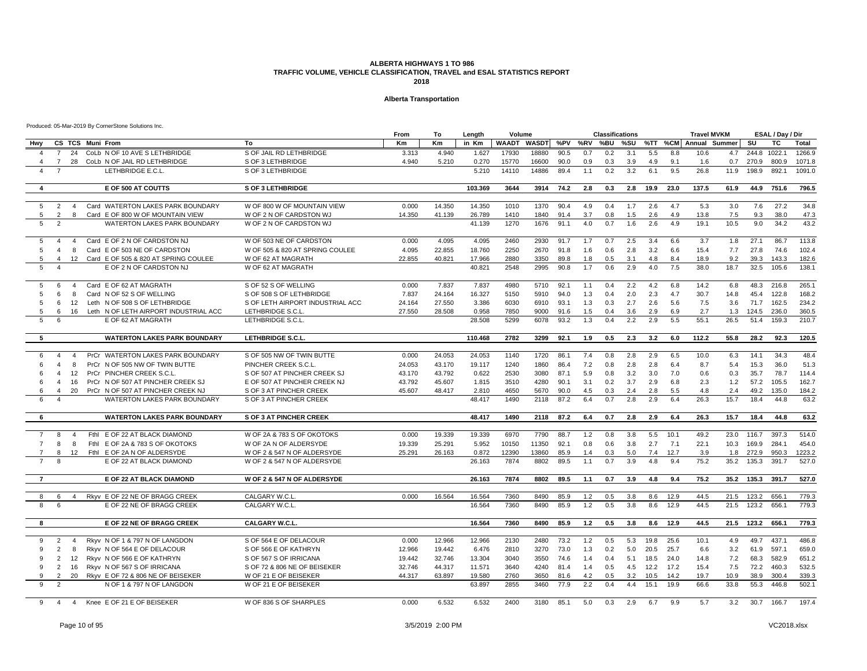### **Alberta Transportation**

|                |                                  |                |                                                                   |                                                       | From             | To               | Length           | Volume       |                     |              |            | <b>Classifications</b> |            |              |              | <b>Travel MVKM</b>    |             |              | ESAL / Day / Dir |                |
|----------------|----------------------------------|----------------|-------------------------------------------------------------------|-------------------------------------------------------|------------------|------------------|------------------|--------------|---------------------|--------------|------------|------------------------|------------|--------------|--------------|-----------------------|-------------|--------------|------------------|----------------|
| Hwy            |                                  |                | CS TCS Muni From                                                  | Τо                                                    | <b>Km</b>        | Кm               | in Km            |              | WAADT WASDT %PV %RV |              |            | %BU                    | %SU        |              |              | %TT %CM Annual Summer |             | SU           | <b>TC</b>        | <b>Total</b>   |
| $\overline{a}$ | $\overline{7}$                   | 24             | CoLb N OF 10 AVE S LETHBRIDGE                                     | S OF JAIL RD LETHBRIDGE                               | 3.313            | 4.940            | 1.627            | 17930        | 18880               | 90.5         | 0.7        | 0.2                    | 3.1        | 5.5          | 8.8          | 10.6                  | 4.7         |              | 244.8 1022.1     | 1266.9         |
|                | $\overline{7}$                   |                | 28 CoLb N OF JAIL RD LETHBRIDGE                                   | S OF 3 LETHBRIDGE                                     | 4.940            | 5.210            | 0.270            | 15770        | 16600               | 90.0         | 0.9        | 0.3                    | 3.9        | 4.9          | 9.1          | 1.6                   | 0.7         | 270.9        | 800.9            | 1071.8         |
| $\overline{4}$ | $\overline{7}$                   |                | LETHBRIDGE E.C.L.                                                 | S OF 3 LETHBRIDGE                                     |                  |                  | 5.210            | 14110        | 14886               | 89.4         | 1.1        | 0.2                    | 3.2        | 6.1          | 9.5          | 26.8                  | 11.9        | 198.9        | 892.1            | 1091.0         |
| $\overline{4}$ |                                  |                | E OF 500 AT COUTTS                                                | <b>S OF 3 LETHBRIDGE</b>                              |                  |                  | 103.369          | 3644         | 3914                | 74.2         | 2.8        | 0.3                    | 2.8        | 19.9         | 23.0         | 137.5                 | 61.9        | 44.9         | 751.6            | 796.5          |
|                |                                  |                |                                                                   |                                                       |                  |                  |                  |              |                     |              |            |                        |            |              |              |                       |             |              |                  |                |
| 5              | 2                                | $\overline{4}$ | Card WATERTON LAKES PARK BOUNDARY                                 | W OF 800 W OF MOUNTAIN VIEW                           | 0.000            | 14.350           | 14.350           | 1010         | 1370                | 90.4         | 4.9        | 0.4                    | 1.7        | 2.6          | 4.7          | 5.3                   | 3.0         | 7.6          | 27.2             | 34.8           |
| 5              | $\overline{2}$                   | 8              | Card E OF 800 W OF MOUNTAIN VIEW                                  | W OF 2 N OF CARDSTON WJ                               | 14.350           | 41.139           | 26.789           | 1410         | 1840                | 91.4         | 3.7        | 0.8                    | 1.5        | 2.6          | 4.9          | 13.8                  | 7.5         | 9.3          | 38.0             | 47.3           |
| 5              | $\overline{2}$                   |                | WATERTON LAKES PARK BOUNDARY                                      | W OF 2 N OF CARDSTON WJ                               |                  |                  | 41.139           | 1270         | 1676                | 91.1         | 4.0        | 0.7                    | 1.6        | 2.6          | 4.9          | 19.1                  | 10.5        | 9.0          | 34.2             | 43.2           |
| 5              | $\overline{4}$                   | $\overline{4}$ | Card E OF 2 N OF CARDSTON NJ                                      | W OF 503 NE OF CARDSTON                               | 0.000            | 4.095            | 4.095            | 2460         | 2930                | 91.7         | 1.7        | 0.7                    | 2.5        | 3.4          | 6.6          | 3.7                   | 1.8         | 27.1         | 86.7             | 113.8          |
| 5              | $\overline{a}$                   | 8              | Card E OF 503 NE OF CARDSTON                                      | W OF 505 & 820 AT SPRING COULEE                       | 4.095            | 22.855           | 18.760           | 2250         | 2670                | 91.8         | 1.6        | 0.6                    | 2.8        | 3.2          | 6.6          | 15.4                  | 7.7         | 27.8         | 74.6             | 102.4          |
| 5              | $\overline{4}$                   |                | 12 Card E OF 505 & 820 AT SPRING COULEE                           | W OF 62 AT MAGRATH                                    | 22.855           | 40.821           | 17.966           | 2880         | 3350                | 89.8         | 1.8        | 0.5                    | 3.1        | 4.8          | 8.4          | 18.9                  | 9.2         | 39.3         | 143.3            | 182.6          |
| 5              | $\overline{4}$                   |                | E OF 2 N OF CARDSTON NJ                                           | W OF 62 AT MAGRATH                                    |                  |                  | 40.821           | 2548         | 2995                | 90.8         | 1.7        | 0.6                    | 2.9        | 4.0          | 7.5          | 38.0                  | 18.7        | 32.5         | 105.6            | 138.1          |
| 5              | 6                                | $\overline{4}$ | Card E OF 62 AT MAGRATH                                           | S OF 52 S OF WELLING                                  | 0.000            | 7.837            | 7.837            | 4980         | 5710                | 92.1         | 1.1        | 0.4                    | 2.2        | 4.2          | 6.8          | 14.2                  | 6.8         | 48.3         | 216.8            | 265.1          |
| 5              | 6                                | 8              | Card N OF 52 S OF WELLING                                         | S OF 508 S OF LETHBRIDGE                              | 7.837            | 24.164           | 16.327           | 5150         | 5910                | 94.0         | 1.3        | 0.4                    | 2.0        | 2.3          | 4.7          | 30.7                  | 14.8        | 45.4         | 122.8            | 168.2          |
| 5              | 6                                | 12             | Leth N OF 508 S OF LETHBRIDGE                                     | S OF LETH AIRPORT INDUSTRIAL ACC                      | 24.164           | 27.550           | 3.386            | 6030         | 6910                | 93.1         | 1.3        | 0.3                    | 2.7        | 2.6          | 5.6          | 7.5                   | 3.6         | 71.7         | 162.5            | 234.2          |
| 5              | 6                                | 16             | Leth N OF LETH AIRPORT INDUSTRIAL ACC                             | LETHBRIDGE S.C.L                                      | 27.550           | 28.508           | 0.958            | 7850         | 9000                | 91.6         | 1.5        | 0.4                    | 3.6        | 2.9          | 6.9          | 2.7                   | 1.3         | 124.5        | 236.0            | 360.5          |
| 5              | 6                                |                | E OF 62 AT MAGRATH                                                | LETHBRIDGE S.C.L.                                     |                  |                  | 28.508           | 5299         | 6078                | 93.2         | 1.3        | 0.4                    | 2.2        | 2.9          | 5.5          | 55.1                  | 26.5        | 51.4         | 159.3            | 210.7          |
| 5              |                                  |                | <b>WATERTON LAKES PARK BOUNDARY</b>                               | LETHBRIDGE S.C.L.                                     |                  |                  | 110.468          | 2782         | 3299                | 92.1         | 1.9        | 0.5                    | 2.3        | 3.2          | 6.0          | 112.2                 | 55.8        | 28.2         | 92.3             | 120.5          |
|                |                                  |                |                                                                   |                                                       |                  |                  |                  |              |                     |              |            |                        |            |              |              |                       |             |              |                  |                |
| 6              | $\overline{4}$                   | $\overline{4}$ | PrCr WATERTON LAKES PARK BOUNDARY                                 | S OF 505 NW OF TWIN BUTTE                             | 0.000            | 24.053           | 24.053           | 1140         | 1720                | 86.1         | 7.4        | 0.8                    | 2.8        | 2.9          | 6.5          | 10.0                  | 6.3         | 14.1         | 34.3             | 48.4           |
| 6              | $\overline{4}$                   | 8              | PrCr N OF 505 NW OF TWIN BUTTE                                    | PINCHER CREEK S.C.L.                                  | 24.053           | 43.170           | 19.117           | 1240         | 1860                | 86.4         | 7.2        | 0.8                    | 2.8        | 2.8          | 6.4          | 8.7                   | 5.4         | 15.3         | 36.0             | 51.3           |
| 6              | $\overline{4}$                   | 12             | PrCr PINCHER CREEK S.C.L                                          | S OF 507 AT PINCHER CREEK SJ                          | 43.170           | 43.792           | 0.622            | 2530         | 3080                | 87.1         | 5.9        | 0.8                    | 3.2        | 3.0          | 7.0          | 0.6                   | 0.3         | 35.7         | 78.7             | 114.4          |
| 6              | $\overline{4}$                   | 16             | PrCr N OF 507 AT PINCHER CREEK SJ                                 | E OF 507 AT PINCHER CREEK NJ                          | 43.792           | 45.607           | 1.815            | 3510         | 4280                | 90.1         | 3.1        | 0.2                    | 3.7        | 2.9          | 6.8          | 2.3                   | 1.2         | 57.2         | 105.5            | 162.7          |
| 6<br>6         | $\overline{4}$<br>$\overline{4}$ | 20             | PrCr N OF 507 AT PINCHER CREEK NJ<br>WATERTON LAKES PARK BOUNDARY | S OF 3 AT PINCHER CREEK<br>S OF 3 AT PINCHER CREEK    | 45.607           | 48.417           | 2.810<br>48.417  | 4650<br>1490 | 5670<br>2118        | 90.0<br>87.2 | 4.5<br>6.4 | 0.3<br>0.7             | 2.4<br>2.8 | 2.8<br>2.9   | 5.5<br>6.4   | 4.8<br>26.3           | 2.4<br>15.7 | 49.2<br>18.4 | 135.0<br>44.8    | 184.2<br>63.2  |
|                |                                  |                |                                                                   |                                                       |                  |                  |                  |              |                     |              |            |                        |            |              |              |                       |             |              |                  |                |
| 6              |                                  |                | <b>WATERTON LAKES PARK BOUNDARY</b>                               | <b>S OF 3 AT PINCHER CREEK</b>                        |                  |                  | 48.417           | 1490         | 2118                | 87.2         | 6.4        | 0.7                    | 2.8        | 2.9          | 6.4          | 26.3                  | 15.7        | 18.4         | 44.8             | 63.2           |
| $\overline{7}$ | 8                                | $\overline{4}$ | Fthi E OF 22 AT BLACK DIAMOND                                     | W OF 2A & 783 S OF OKOTOKS                            | 0.000            | 19.339           | 19.339           | 6970         | 7790                | 88.7         | 1.2        | 0.8                    | 3.8        | 5.5          | 10.1         | 49.2                  | 23.0        | 116.7        | 397.3            | 514.0          |
| $\overline{7}$ | 8                                | 8              | FthI E OF 2A & 783 S OF OKOTOKS                                   | W OF 2A N OF ALDERSYDE                                | 19.339           | 25.291           | 5.952            | 10150        | 11350               | 92.1         | 0.8        | 0.6                    | 3.8        | 2.7          | 7.1          | 22.1                  | 10.3        | 169.9        | 284.1            | 454.0          |
| $\overline{7}$ | 8                                | 12             | Fthl E OF 2A N OF ALDERSYDE                                       | W OF 2 & 547 N OF ALDERSYDE                           | 25.291           | 26.163           | 0.872            | 12390        | 13860               | 85.9         | 1.4        | 0.3                    | 5.0        | 7.4          | 12.7         | 3.9                   | 1.8         | 272.9        | 950.3            | 1223.2         |
| $\overline{7}$ | 8                                |                | E OF 22 AT BLACK DIAMOND                                          | W OF 2 & 547 N OF ALDERSYDE                           |                  |                  | 26.163           | 7874         | 8802                | 89.5         | 1.1        | 0.7                    | 3.9        | 4.8          | 9.4          | 75.2                  | 35.2        | 135.3        | 391.7            | 527.0          |
| $\overline{7}$ |                                  |                | E OF 22 AT BLACK DIAMOND                                          | W OF 2 & 547 N OF ALDERSYDE                           |                  |                  | 26.163           | 7874         | 8802                | 89.5         | 1.1        | 0.7                    | 3.9        | 4.8          | 9.4          | 75.2                  | 35.2        | 135.3        | 391.7            | 527.0          |
|                |                                  |                |                                                                   |                                                       |                  |                  |                  |              |                     |              |            |                        |            |              |              |                       |             |              |                  |                |
| 8              | 6                                | $\overline{4}$ | Rkvv E OF 22 NE OF BRAGG CREEK                                    | CALGARY W.C.L                                         | 0.000            | 16.564           | 16.564           | 7360         | 8490                | 85.9         | 1.2        | 0.5                    | 3.8        | 8.6          | 12.9         | 44.5                  | 21.5        | 123.2        | 656.1            | 779.3          |
| 8              | 6                                |                | E OF 22 NE OF BRAGG CREEK                                         | CALGARY W.C.L.                                        |                  |                  | 16.564           | 7360         | 8490                | 85.9         | 1.2        | 0.5                    | 3.8        | 8.6          | 12.9         | 44.5                  | 21.5        | 123.2        | 656.1            | 779.3          |
| 8              |                                  |                | E OF 22 NE OF BRAGG CREEK                                         | CALGARY W.C.L.                                        |                  |                  | 16.564           | 7360         | 8490                | 85.9         | 1.2        | 0.5                    | 3.8        | 8.6          | 12.9         | 44.5                  | 21.5        | 123.2        | 656.1            | 779.3          |
|                |                                  |                |                                                                   |                                                       |                  |                  |                  |              |                     |              |            |                        |            |              |              |                       |             |              |                  |                |
| 9              | 2                                | $\overline{4}$ | Rkyv N OF 1 & 797 N OF LANGDON                                    | S OF 564 E OF DELACOUR                                | 0.000            | 12.966           | 12.966           | 2130         | 2480                | 73.2         | 1.2        | 0.5                    | 5.3        | 19.8         | 25.6         | 10.1                  | 4.9         | 49.7         | 437.1            | 486.8          |
| 9              | 2<br>2                           | 8              | Rkyv N OF 564 E OF DELACOUR                                       | S OF 566 E OF KATHRYN                                 | 12.966           | 19.442<br>32.746 | 6.476            | 2810         | 3270<br>3550        | 73.0<br>74.6 | 1.3        | 0.2<br>0.4             | 5.0        | 20.5<br>18.5 | 25.7<br>24.0 | 6.6                   | 3.2<br>7.2  | 61.9         | 597.1<br>582.9   | 659.0<br>651.2 |
| 9              |                                  | 12             | Rkyv N OF 566 E OF KATHRYN                                        | S OF 567 S OF IRRICANA                                | 19.442<br>32.746 | 44.317           | 13.304<br>11.571 | 3040         |                     |              | 1.4        |                        | 5.1        |              | 17.2         | 14.8                  | 7.5         | 68.3<br>72.2 | 460.3            |                |
|                | $\overline{2}$<br>2              | 16<br>20       | Rkyv N OF 567 S OF IRRICANA<br>Rkyv E OF 72 & 806 NE OF BEISEKER  | S OF 72 & 806 NE OF BEISEKER<br>W OF 21 E OF BEISEKER | 44.317           | 63.897           | 19.580           | 3640<br>2760 | 4240<br>3650        | 81.4<br>81.6 | 1.4<br>4.2 | 0.5<br>0.5             | 4.5<br>3.2 | 12.2<br>10.5 | 14.2         | 15.4<br>19.7          | 10.9        | 38.9         | 300.4            | 532.5<br>339.3 |
|                | $\mathcal{P}$                    |                | N OF 1 & 797 N OF LANGDON                                         | W OF 21 E OF BEISEKER                                 |                  |                  | 63.897           | 2855         | 3460                | 77.9         | 2.2        | 0.4                    | 4.4        | 15.1         | 19.9         | 66.6                  | 33.8        | 55.3         | 446.8            | 502.1          |
|                |                                  |                |                                                                   |                                                       |                  |                  |                  |              |                     |              |            |                        |            |              | 9.9          |                       |             |              |                  |                |
| 9              | $\overline{4}$                   | $\overline{4}$ | Knee E OF 21 E OF BEISEKER                                        | W OF 836 S OF SHARPLES                                | 0.000            | 6.532            | 6.532            | 2400         | 3180                | 85.1         | 5.0        | 0.3                    | 2.9        | 6.7          |              | 5.7                   | 3.2         | 30.7         | 166.7            | 197.4          |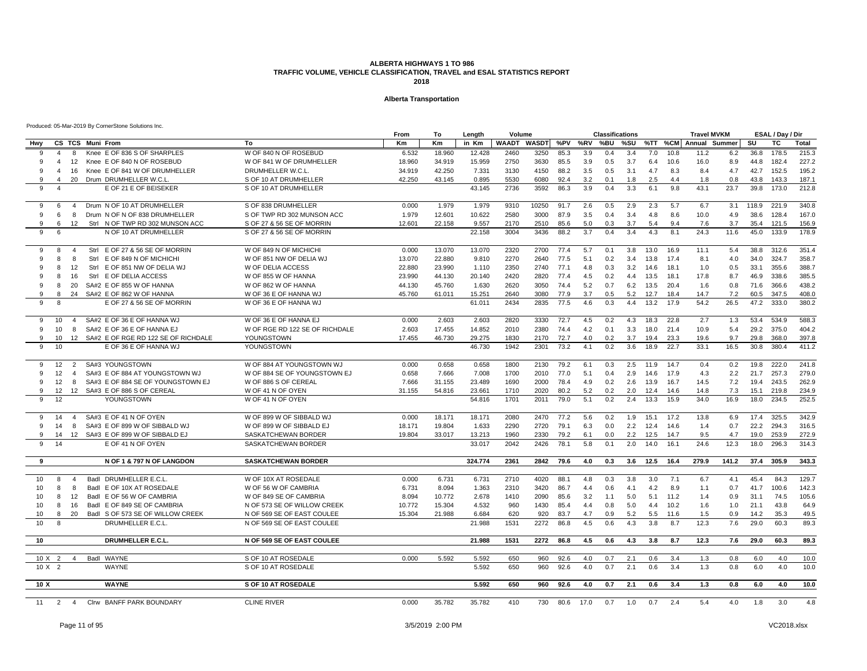### **Alberta Transportation**

|      |                   |                |                                        |                                | From      | To     | Length  | Volume       |              |      |         | <b>Classifications</b> |     |      |         | <b>Travel MVKM</b> |       |       | ESAL / Day / Dir |              |
|------|-------------------|----------------|----------------------------------------|--------------------------------|-----------|--------|---------|--------------|--------------|------|---------|------------------------|-----|------|---------|--------------------|-------|-------|------------------|--------------|
| Hwy  |                   |                | CS TCS Muni From                       | To                             | <b>Km</b> | Кm     | in Km   | <b>WAADT</b> | <b>WASDT</b> |      | %PV %RV | %BU                    | %SU |      | %TT %CM | Annual Summer      |       | SU    | TC               | <b>Total</b> |
| 9    | $\overline{4}$    | 8              | Knee E OF 836 S OF SHARPLES            | W OF 840 N OF ROSEBUD          | 6.532     | 18.960 | 12.428  | 2460         | 3250         | 85.3 | 3.9     | 0.4                    | 3.4 | 7.0  | 10.8    | 11.2               | 6.2   | 36.8  | 178.5            | 215.3        |
| 9    | $\overline{4}$    | 12             | Knee E OF 840 N OF ROSEBUD             | W OF 841 W OF DRUMHELLER       | 18.960    | 34.919 | 15.959  | 2750         | 3630         | 85.5 | 3.9     | 0.5                    | 3.7 | 6.4  | 10.6    | 16.0               | 8.9   | 44.8  | 182.4            | 227.2        |
| 9    | $\overline{4}$    | 16             | Knee E OF 841 W OF DRUMHELLER          | DRUMHELLER W.C.L.              | 34.919    | 42.250 | 7.331   | 3130         | 4150         | 88.2 | 3.5     | 0.5                    | 3.1 | 4.7  | 8.3     | 8.4                | 4.7   | 42.7  | 152.5            | 195.2        |
| 9    | $\overline{4}$    | 20             | Drum DRUMHELLER W.C.L.                 | S OF 10 AT DRUMHELLER          | 42.250    | 43.145 | 0.895   | 5530         | 6080         | 92.4 | 3.2     | 0.1                    | 1.8 | 2.5  | 4.4     | 1.8                | 0.8   | 43.8  | 143.3            | 187.1        |
| 9    | $\overline{4}$    |                | E OF 21 E OF BEISEKER                  | S OF 10 AT DRUMHELLER          |           |        | 43.145  | 2736         | 3592         | 86.3 | 3.9     | 0.4                    | 3.3 | 6.1  | 9.8     | 43.1               | 23.7  | 39.8  | 173.0            | 212.8        |
|      |                   |                |                                        |                                |           |        |         |              |              |      |         |                        |     |      |         |                    |       |       |                  |              |
| 9    | $\epsilon$        | $\overline{4}$ | Drum N OF 10 AT DRUMHELLER             | S OF 838 DRUMHELLER            | 0.000     | 1.979  | 1.979   | 9310         | 10250        | 91.7 | 2.6     | 0.5                    | 2.9 | 2.3  | 5.7     | 6.7                | 3.1   | 118.9 | 221.9            | 340.8        |
| 9    | 6                 | 8              | Drum N OF N OF 838 DRUMHELLER          | S OF TWP RD 302 MUNSON ACC     | 1.979     | 12.601 | 10.622  | 2580         | 3000         | 87.9 | 3.5     | 0.4                    | 3.4 | 4.8  | 8.6     | 10.0               | 4.9   | 38.6  | 128.4            | 167.0        |
| 9    | 6                 | 12             | Strl N OF TWP RD 302 MUNSON ACC        | S OF 27 & 56 SE OF MORRIN      | 12.601    | 22.158 | 9.557   | 2170         | 2510         | 85.6 | 5.0     | 0.3                    | 3.7 | 5.4  | 9.4     | 7.6                | 3.7   | 35.4  | 121.5            | 156.9        |
| 9    | $\epsilon$        |                | N OF 10 AT DRUMHELLER                  | S OF 27 & 56 SE OF MORRIN      |           |        | 22.158  | 3004         | 3436         | 88.2 | 3.7     | 0.4                    | 3.4 | 4.3  | 8.1     | 24.3               | 11.6  | 45.0  | 133.9            | 178.9        |
| 9    | 8                 | $\overline{4}$ | Strl E OF 27 & 56 SE OF MORRIN         | W OF 849 N OF MICHICHI         | 0.000     | 13.070 | 13.070  | 2320         | 2700         | 77.4 | 5.7     | 0.1                    | 3.8 | 13.0 | 16.9    | 11.1               | 5.4   | 38.8  | 312.6            | 351.4        |
| 9    | 8                 | 8              | Strl E OF 849 N OF MICHICHI            | W OF 851 NW OF DELIA WJ        | 13.070    | 22.880 | 9.810   | 2270         | 2640         | 77.5 | 5.1     | 0.2                    | 3.4 | 13.8 | 17.4    | 8.1                | 4.0   | 34.0  | 324.7            | 358.7        |
| 9    | 8                 | 12             | Strl E OF 851 NW OF DELIA WJ           | W OF DELIA ACCESS              | 22.880    | 23,990 | 1.110   | 2350         | 2740         | 77.1 | 4.8     | 0.3                    | 3.2 | 14.6 | 18.1    | 1.0                | 0.5   | 33.1  | 355.6            | 388.7        |
|      |                   | 16             | Strl E OF DELIA ACCESS                 | W OF 855 W OF HANNA            | 23.990    | 44.130 | 20.140  | 2420         | 2820         | 77.4 | 4.5     | 0.2                    | 4.4 | 13.5 | 18.1    | 17.8               | 8.7   | 46.9  | 338.6            | 385.5        |
| 9    | 8                 | 20             | SA#2 E OF 855 W OF HANNA               | W OF 862 W OF HANNA            | 44.130    | 45.760 | 1.630   | 2620         | 3050         | 74.4 | 5.2     | 0.7                    | 6.2 | 13.5 | 20.4    | 1.6                | 0.8   | 71.6  | 366.6            | 438.2        |
| 9    | 8                 | 24             | SA#2 E OF 862 W OF HANNA               | W OF 36 E OF HANNA WJ          | 45.760    | 61.011 | 15.251  | 2640         | 3080         | 77.9 | 3.7     | 0.5                    | 5.2 | 12.7 | 18.4    | 14.7               | 7.2   | 60.5  | 347.5            | 408.0        |
| a    | 8                 |                | E OF 27 & 56 SE OF MORRIN              | W OF 36 E OF HANNA WJ          |           |        | 61.011  | 2434         | 2835         | 77.5 | 4.6     | 0.3                    | 4.4 | 13.2 | 17.9    | 54.2               | 26.5  | 47.2  | 333.0            | 380.2        |
| 9    | 10 <sup>1</sup>   | $\overline{4}$ | SA#2 E OF 36 E OF HANNA WJ             | W OF 36 E OF HANNA EJ          | 0.000     | 2.603  | 2.603   | 2820         | 3330         | 72.7 | 4.5     | 0.2                    | 4.3 | 18.3 | 22.8    | 2.7                | 1.3   | 53.4  | 534.9            | 588.3        |
| 9    | 10 <sup>10</sup>  | 8              | SA#2 E OF 36 E OF HANNA EJ             | W OF RGE RD 122 SE OF RICHDALE | 2.603     | 17.455 | 14.852  | 2010         | 2380         | 74.4 | 4.2     | 0.1                    | 3.3 | 18.0 | 21.4    | 10.9               | 5.4   | 29.2  | 375.0            | 404.2        |
| 9    | 10                |                | 12 SA#2 E OF RGE RD 122 SE OF RICHDALE | YOUNGSTOWN                     | 17.455    | 46.730 | 29.275  | 1830         | 2170         | 72.7 | 4.0     | 0.2                    | 3.7 | 19.4 | 23.3    | 19.6               | 9.7   | 29.8  | 368.0            | 397.8        |
| 9    | 10                |                | E OF 36 E OF HANNA WJ                  | YOUNGSTOWN                     |           |        | 46.730  | 1942         | 2301         | 73.2 | 4.1     | 0.2                    | 3.6 | 18.9 | 22.7    | 33.1               | 16.5  | 30.8  | 380.4            | 411.2        |
|      |                   |                |                                        |                                |           |        |         |              |              |      |         |                        |     |      |         |                    |       |       |                  |              |
| 9    | 12                | 2              | SA#3 YOUNGSTOWN                        | W OF 884 AT YOUNGSTOWN WJ      | 0.000     | 0.658  | 0.658   | 1800         | 2130         | 79.2 | 6.1     | 0.3                    | 2.5 | 11.9 | 14.7    | 0.4                | 0.2   | 19.8  | 222.0            | 241.8        |
| 9    | 12                | $\overline{4}$ | SA#3 E OF 884 AT YOUNGSTOWN WJ         | W OF 884 SE OF YOUNGSTOWN EJ   | 0.658     | 7.666  | 7.008   | 1700         | 2010         | 77.0 | 5.1     | 0.4                    | 2.9 | 14.6 | 17.9    | 4.3                | 2.2   | 21.7  | 257.3            | 279.0        |
| 9    | $12 \overline{ }$ | -8             | SA#3 E OF 884 SE OF YOUNGSTOWN EJ      | W OF 886 S OF CEREAL           | 7.666     | 31.155 | 23.489  | 1690         | 2000         | 78.4 | 4.9     | 0.2                    | 2.6 | 13.9 | 16.7    | 14.5               | 7.2   | 19.4  | 243.5            | 262.9        |
| 9    | $12 \overline{ }$ |                | 12 SA#3 E OF 886 S OF CEREAL           | W OF 41 N OF OYEN              | 31.155    | 54.816 | 23.661  | 1710         | 2020         | 80.2 | 5.2     | 0.2                    | 2.0 | 12.4 | 14.6    | 14.8               | 7.3   | 15.1  | 219.8            | 234.9        |
| 9    | 12                |                | YOUNGSTOWN                             | W OF 41 N OF OYEN              |           |        | 54.816  | 1701         | 2011         | 79.0 | 5.1     | 0.2                    | 2.4 | 13.3 | 15.9    | 34.0               | 16.9  | 18.0  | 234.5            | 252.5        |
| 9    | 14                | $\overline{4}$ | SA#3 E OF 41 N OF OYEN                 | W OF 899 W OF SIBBALD WJ       | 0.000     | 18.171 | 18.171  | 2080         | 2470         | 77.2 | 5.6     | 0.2                    | 1.9 | 15.1 | 17.2    | 13.8               | 6.9   | 17.4  | 325.5            | 342.9        |
| 9    | 14                | 8              | SA#3 E OF 899 W OF SIBBALD WJ          | W OF 899 W OF SIBBALD EJ       | 18.171    | 19.804 | 1.633   | 2290         | 2720         | 79.1 | 6.3     | 0.0                    | 2.2 | 12.4 | 14.6    | 1.4                | 0.7   | 22.2  | 294.3            | 316.5        |
| 9    | 14                |                | 12 SA#3 E OF 899 W OF SIBBALD EJ       | SASKATCHEWAN BORDER            | 19.804    | 33.017 | 13.213  | 1960         | 2330         | 79.2 | 6.1     | 0.0                    | 2.2 | 12.5 | 14.7    | 9.5                | 4.7   | 19.0  | 253.9            | 272.9        |
| 9    | 14                |                | E OF 41 N OF OYEN                      | SASKATCHEWAN BORDER            |           |        | 33.017  | 2042         | 2426         | 78.1 | 5.8     | 0.1                    | 2.0 | 14.0 | 16.1    | 24.6               | 12.3  | 18.0  | 296.3            | 314.3        |
| 9    |                   |                | N OF 1 & 797 N OF LANGDON              | <b>SASKATCHEWAN BORDER</b>     |           |        | 324.774 | 2361         | 2842         | 79.6 | 4.0     | 0.3                    | 3.6 | 12.5 | 16.4    | 279.9              | 141.2 | 37.4  | 305.9            | 343.3        |
|      |                   |                |                                        |                                |           |        |         |              |              |      |         |                        |     |      |         |                    |       |       |                  |              |
| 10   | 8                 | $\overline{4}$ | Badl DRUMHELLER E.C.L                  | W OF 10X AT ROSEDALE           | 0.000     | 6.731  | 6.731   | 2710         | 4020         | 88.1 | 4.8     | 0.3                    | 3.8 | 3.0  | 7.1     | 6.7                | 4.1   | 45.4  | 84.3             | 129.7        |
| 10   | 8                 | 8              | Badl E OF 10X AT ROSEDALE              | W OF 56 W OF CAMBRIA           | 6.731     | 8.094  | 1.363   | 2310         | 3420         | 86.7 | 4.4     | 0.6                    | 4.1 | 4.2  | 8.9     | 1.1                | 0.7   | 41.7  | 100.6            | 142.3        |
| 10   | 8                 | 12             | Badl E OF 56 W OF CAMBRIA              | W OF 849 SE OF CAMBRIA         | 8.094     | 10.772 | 2.678   | 1410         | 2090         | 85.6 | 3.2     | 1.1                    | 5.0 | 5.1  | 11.2    | 1.4                | 0.9   | 31.1  | 74.5             | 105.6        |
| 10   | 8                 | 16             | Badl E OF 849 SE OF CAMBRIA            | N OF 573 SE OF WILLOW CREEK    | 10.772    | 15.304 | 4.532   | 960          | 1430         | 85.4 | 4.4     | 0.8                    | 5.0 | 4.4  | 10.2    | 1.6                | 1.0   | 21.1  | 43.8             | 64.9         |
| 10   | 8                 | 20             | Badl S OF 573 SE OF WILLOW CREEK       | N OF 569 SE OF EAST COULEE     | 15.304    | 21.988 | 6.684   | 620          | 920          | 83.7 | 4.7     | 0.9                    | 5.2 | 5.5  | 11.6    | 1.5                | 0.9   | 14.2  | 35.3             | 49.5         |
| 10   | 8                 |                | DRUMHELLER E.C.L.                      | N OF 569 SE OF EAST COULEE     |           |        | 21.988  | 1531         | 2272         | 86.8 | 4.5     | 0.6                    | 4.3 | 3.8  | 8.7     | 12.3               | 7.6   | 29.0  | 60.3             | 89.3         |
| 10   |                   |                | <b>DRUMHELLER E.C.L.</b>               | N OF 569 SE OF EAST COULEE     |           |        | 21.988  | 1531         | 2272         | 86.8 | 4.5     | 0.6                    | 4.3 | 3.8  | 8.7     | 12.3               | 7.6   | 29.0  | 60.3             | 89.3         |
|      |                   |                |                                        |                                |           |        |         |              |              |      |         |                        |     |      |         |                    |       |       |                  |              |
|      | $10 \times 2$     | $\overline{4}$ | Badl WAYNE                             | S OF 10 AT ROSEDALE            | 0.000     | 5.592  | 5.592   | 650          | 960          | 92.6 | 4.0     | 0.7                    | 2.1 | 0.6  | 3.4     | 1.3                | 0.8   | 6.0   | 4.0              | 10.0         |
| 10 X | $\overline{2}$    |                | WAYNE                                  | S OF 10 AT ROSEDALE            |           |        | 5.592   | 650          | 960          | 92.6 | 4.0     | 0.7                    | 2.1 | 0.6  | 3.4     | 1.3                | 0.8   | 6.0   | 4.0              | 10.0         |
| 10 X |                   |                | <b>WAYNE</b>                           | S OF 10 AT ROSEDALE            |           |        | 5.592   | 650          | 960          | 92.6 | 4.0     | 0.7                    | 2.1 | 0.6  | 3.4     | $1.3$              | 0.8   | 6.0   | 4.0              | 10.0         |
|      |                   |                |                                        |                                |           |        |         |              |              |      |         |                        |     |      |         |                    |       |       |                  |              |
| 11   | 2                 | $\overline{4}$ | Cirw BANFF PARK BOUNDARY               | <b>CLINE RIVER</b>             | 0.000     | 35.782 | 35.782  | 410          | 730          | 80.6 | 17.0    | 0.7                    | 1.0 | 0.7  | 2.4     | 5.4                | 4.0   | 1.8   | 3.0              | 4.8          |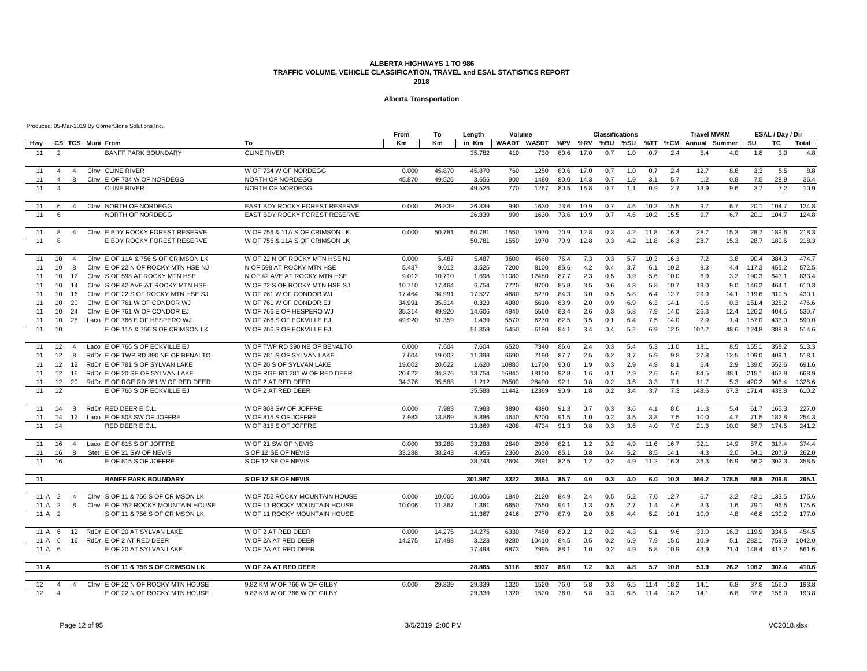### **Alberta Transportation**

|          |                   |                |                  |                                       |                                | From   | To     | Length           | Volume       |                    |              |            | <b>Classifications</b> |            |      |              | <b>Travel MVKM</b>    |            |           | ESAL / Day / Dir |                |
|----------|-------------------|----------------|------------------|---------------------------------------|--------------------------------|--------|--------|------------------|--------------|--------------------|--------------|------------|------------------------|------------|------|--------------|-----------------------|------------|-----------|------------------|----------------|
| Hwy      |                   |                | CS TCS Muni From |                                       | To                             | Km     | Km     | in Km            |              | <b>WAADT WASDT</b> | %PV          | %RV        | %BU                    | %SU        |      |              | %TT %CM Annual Summer |            | SU        | TC               | Total          |
| 11       | $\overline{2}$    |                |                  | <b>BANFF PARK BOUNDARY</b>            | <b>CLINE RIVER</b>             |        |        | 35.782           | 410          | 730                | 80.6         | 17.0       | 0.7                    | 1.0        | 0.7  | 2.4          | 5.4                   | 4.0        | 1.8       | 3.0              | 4.8            |
| 11       | $\overline{4}$    | $\overline{4}$ |                  | Cirw CLINE RIVER                      | W OF 734 W OF NORDEGG          | 0.000  | 45.870 | 45.870           | 760          | 1250               | 80.6         | 17.0       | 0.7                    | 1.0        | 0.7  | 2.4          | 12.7                  | 8.8        | 3.3       | 5.5              | 8.8            |
| 11       | $\Delta$          | 8              |                  | Cirw E OF 734 W OF NORDEGG            | NORTH OF NORDEGG               | 45.870 | 49.526 | 3.656            | 900          | 1480               | 80.0         | 14.3       | 0.7                    | 1.9        | 3.1  | 5.7          | 1.2                   | 0.8        | 7.5       | 28.9             | 36.4           |
| 11       | $\overline{a}$    |                |                  | <b>CLINE RIVER</b>                    | NORTH OF NORDEGG               |        |        | 49.526           | 770          | 1267               | 80.5         | 16.8       | 0.7                    | 1.1        | 0.9  | 2.7          | 13.9                  | 9.6        | 3.7       | 7.2              | 10.9           |
| 11       | 6                 | $\overline{a}$ |                  | Cirw NORTH OF NORDEGG                 | EAST BDY ROCKY FOREST RESERVE  | 0.000  | 26.839 | 26.839           | 990          | 1630               | 73.6         | 10.9       | 0.7                    | 4.6        | 10.2 | 15.5         | 9.7                   | 6.7        | 20.1      | 104.7            | 124.8          |
| 11       | $\epsilon$        |                |                  | NORTH OF NORDEGG                      | EAST BDY ROCKY FOREST RESERVE  |        |        | 26.839           | 990          | 1630               | 73.6         | 10.9       | 0.7                    | 4.6        | 10.2 | 15.5         | 9.7                   | 6.7        | 20.1      | 104.7            | 124.8          |
| 11       | 8                 | 4              |                  | Cirw E BDY ROCKY FOREST RESERVE       | W OF 756 & 11A S OF CRIMSON LK | 0.000  | 50.781 | 50.781           | 1550         | 1970               | 70.9         | 12.8       | 0.3                    | 4.2        | 11.8 | 16.3         | 28.7                  | 15.3       | 28.7      | 189.6            | 218.3          |
| 11       | 8                 |                |                  | E BDY ROCKY FOREST RESERVE            | W OF 756 & 11A S OF CRIMSON LK |        |        | 50.781           | 1550         | 1970               | 70.9         | 12.8       | 0.3                    | 4.2        | 11.8 | 16.3         | 28.7                  | 15.3       | 28.7      | 189.6            | 218.3          |
| 11       | 10 <sup>°</sup>   | $\overline{4}$ |                  | Cirw E OF 11A & 756 S OF CRIMSON LK   | W OF 22 N OF ROCKY MTN HSE NJ  | 0.000  | 5.487  | 5.487            | 3600         | 4560               | 76.4         | 7.3        | 0.3                    | 5.7        | 10.3 | 16.3         | 7.2                   | 3.8        | 90.4      | 384.3            | 474.7          |
| 11       | 10                | 8              |                  | Cirw E OF 22 N OF ROCKY MTN HSE NJ    | N OF 598 AT ROCKY MTN HSE      | 5.487  | 9.012  | 3.525            | 7200         | 8100               | 85.6         | 4.2        | 0.4                    | 3.7        | 6.1  | 10.2         | 9.3                   |            | 4.4 117.3 | 455.2            | 572.5          |
| 11       | 10                | 12             |                  | Cirw S OF 598 AT ROCKY MTN HSE        | N OF 42 AVE AT ROCKY MTN HSE   | 9.012  | 10.710 | 1.698            | 11080        | 12480              | 87.7         | 2.3        | 0.5                    | 3.9        | 5.6  | 10.0         | 6.9                   | 3.2        | 190.3     | 643.1            | 833.4          |
| 11       | 10                | 14             |                  | Cirw S OF 42 AVE AT ROCKY MTN HSE     | W OF 22 S OF ROCKY MTN HSE SJ  | 10.710 | 17.464 | 6.754            | 7720         | 8700               | 85.8         | 3.5        | 0.6                    | 4.3        | 5.8  | 10.7         | 19.0                  | 9.0        | 146.2     | 464.1            | 610.3          |
| 11       | 10                | 16             |                  | Cirw E OF 22 S OF ROCKY MTN HSE SJ    | W OF 761 W OF CONDOR WJ        | 17.464 | 34.991 | 17.527           | 4680         | 5270               | 84.3         | 3.0        | 0.5                    | 5.8        | 6.4  | 12.7         | 29.9                  | 14.1       | 119.6     | 310.5            | 430.1          |
| 11       | 10                | -20            |                  | Cirw E OF 761 W OF CONDOR WJ          | W OF 761 W OF CONDOR EJ        | 34.991 | 35.314 | 0.323            | 4980         | 5610               | 83.9         | 2.0        | 0.9                    | 6.9        | 6.3  | 14.1         | 0.6                   | 0.3        | 151.4     | 325.2            | 476.6          |
| 11       | 10                | 24             |                  | Cirw E OF 761 W OF CONDOR EJ          | W OF 766 E OF HESPERO WJ       | 35.314 | 49.920 | 14.606           | 4940         | 5560               | 83.4         | 2.6        | 0.3                    | 5.8        | 7.9  | 14.0         | 26.3                  | 12.4       | 126.2     | 404.5            | 530.7          |
| 11       | 10                | 28             |                  | Laco E OF 766 E OF HESPERO WJ         | W OF 766 S OF ECKVILLE EJ      | 49.920 | 51.359 | 1.439            | 5570         | 6270               | 82.5         | 3.5        | 0.1                    | 6.4        | 7.5  | 14.0         | 2.9                   | 1.4        | 157.0     | 433.0            | 590.0          |
| 11       | 10                |                |                  | E OF 11A & 756 S OF CRIMSON LK        | W OF 766 S OF ECKVILLE EJ      |        |        | 51.359           | 5450         | 6190               | 84.1         | 3.4        | 0.4                    | 5.2        | 6.9  | 12.5         | 102.2                 | 48.6       | 124.8     | 389.8            | 514.6          |
| 11       | 12                | $\overline{4}$ |                  | Laco E OF 766 S OF ECKVILLE EJ        | W OF TWP RD 390 NE OF BENALTO  | 0.000  | 7.604  | 7.604            | 6520         | 7340               | 86.6         | 2.4        | 0.3                    | 5.4        | 5.3  | 11.0         | 18.1                  | 8.5        | 155.1     | 358.2            | 513.3          |
| 11       | 12                | 8              |                  | RdDr E OF TWP RD 390 NE OF BENALTO    | W OF 781 S OF SYLVAN LAKE      | 7.604  | 19.002 | 11.398           | 6690         | 7190               | 87.7         | 2.5        | 0.2                    | 3.7        | 5.9  | 9.8          | 27.8                  | 12.5       | 109.0     | 409.1            | 518.1          |
| 11       | 12                | 12             |                  | RdDr E OF 781 S OF SYLVAN LAKE        | W OF 20 S OF SYLVAN LAKE       | 19.002 | 20.622 | 1.620            | 10880        | 11700              | 90.0         | 1.9        | 0.3                    | 2.9        | 4.9  | 8.1          | 6.4                   | 2.9        | 139.0     | 552.6            | 691.6          |
| 11       | $12 \overline{ }$ | 16             |                  | RdDr E OF 20 SE OF SYLVAN LAKE        | W OF RGE RD 281 W OF RED DEER  | 20.622 | 34.376 | 13.754           | 16840        | 18100              | 92.8         | 1.6        | 0.1                    | 2.9        | 2.6  | 5.6          | 84.5                  | 38.1       | 215.1     | 453.8            | 668.9          |
| 11       | 12                |                |                  | 20 RdDr E OF RGE RD 281 W OF RED DEER | W OF 2 AT RED DEER             | 34.376 | 35.588 | 1.212            | 26500        | 28490              | 92.1         | 0.8        | 0.2                    | 3.6        | 3.3  | 7.1          | 11.7                  | 5.3        | 420.2     | 906.4            | 1326.6         |
| 11       | 12                |                |                  | E OF 766 S OF ECKVILLE EJ             | W OF 2 AT RED DEER             |        |        | 35.588           | 11442        | 12369              | 90.9         | 1.8        | 0.2                    | 3.4        | 3.7  | 7.3          | 148.6                 | 67.3       | 171.4     | 438.8            | 610.2          |
| 11       | 14                | 8              |                  | RdDr RED DEER E.C.L                   | W OF 808 SW OF JOFFRE          | 0.000  | 7.983  | 7.983            | 3890         | 4390               | 91.3         | 0.7        | 0.3                    | 3.6        | 4.1  | 8.0          | 11.3                  | 5.4        | 61.7      | 165.3            | 227.0          |
| 11       | 14                | 12             |                  | Laco E OF 808 SW OF JOFFRE            | W OF 815 S OF JOFFRE           | 7.983  | 13.869 | 5.886            | 4640         | 5200               | 91.5         | 1.0        | 0.2                    | 3.5        | 3.8  | 7.5          | 10.0                  | 4.7        | 71.5      | 182.8            | 254.3          |
| 11       | 14                |                |                  | RED DEER E.C.L.                       | W OF 815 S OF JOFFRE           |        |        | 13.869           | 4208         | 4734               | 91.3         | 0.8        | 0.3                    | 3.6        | 4.0  | 7.9          | 21.3                  | 10.0       | 66.7      | 174.5            | 241.2          |
| 11       | 16                | $\overline{4}$ |                  | Laco E OF 815 S OF JOFFRE             | W OF 21 SW OF NEVIS            | 0.000  | 33.288 | 33.288           | 2640         | 2930               | 82.1         | 1.2        | 0.2                    | 4.9        | 11.6 | 16.7         | 32.1                  | 14.9       | 57.0      | 317.4            | 374.4          |
| 11       | 16                | 8              |                  | Stet E OF 21 SW OF NEVIS              | S OF 12 SE OF NEVIS            | 33.288 | 38.243 | 4.955            | 2360         | 2630               | 85.1         | 0.8        | 0.4                    | 5.2        | 8.5  | 14.1         | 4.3                   | 2.0        | 54.1      | 207.9            | 262.0          |
| 11       | 16                |                |                  | E OF 815 S OF JOFFRE                  | S OF 12 SE OF NEVIS            |        |        | 38.243           | 2604         | 2891               | 82.5         | 1.2        | 0.2                    | 4.9        | 11.2 | 16.3         | 36.3                  | 16.9       | 56.2      | 302.3            | 358.5          |
| 11       |                   |                |                  | <b>BANFF PARK BOUNDARY</b>            | S OF 12 SE OF NEVIS            |        |        | 301.987          | 3322         | 3864               | 85.7         | 4.0        | 0.3                    | 4.0        | 6.0  | 10.3         | 366.2                 | 178.5      |           | 58.5 206.6       | 265.1          |
| 11 A     | 2                 | $\overline{4}$ |                  | Cirw S OF 11 & 756 S OF CRIMSON LK    | W OF 752 ROCKY MOUNTAIN HOUSE  | 0.000  | 10.006 | 10.006           | 1840         | 2120               | 84.9         | 2.4        | 0.5                    | 5.2        | 7.0  | 12.7         | 6.7                   | 3.2        | 42.1      | 133.5            | 175.6          |
| 11 A     | 2                 | 8              |                  | Cirw E OF 752 ROCKY MOUNTAIN HOUSE    | W OF 11 ROCKY MOUNTAIN HOUSE   | 10.006 | 11.367 | 1.361            | 6650         | 7550               | 94.1         | 1.3        | 0.5                    | 2.7        | 1.4  | 4.6          | 3.3                   | 1.6        | 79.1      | 96.5             | 175.6          |
|          | $11A$ 2           |                |                  | S OF 11 & 756 S OF CRIMSON LK         | W OF 11 ROCKY MOUNTAIN HOUSE   |        |        | 11.367           | 2416         | 2770               | 87.9         | 2.0        | 0.5                    | 4.4        | 5.2  | 10.1         | 10.0                  | 4.8        | 46.8      | 130.2            | 177.0          |
|          | 11 A 6            | 12             |                  | RdDr E OF 20 AT SYLVAN LAKE           | W OF 2 AT RED DEER             | 0.000  | 14.275 | 14.275           | 6330         | 7450               | 89.2         | 1.2        | 0.2                    | 4.3        | 5.1  | 9.6          | 33.0                  | 16.3       | 119.9     | 334.6            | 454.5          |
| 11 A     | 6                 |                |                  | 16 RdDr E OF 2 AT RED DEER            | W OF 2A AT RED DEER            | 14.275 | 17.498 | 3.223            | 9280         | 10410              | 84.5         | 0.5        | 0.2                    | 6.9        | 7.9  | 15.0         | 10.9                  | 5.1        | 282.1     | 759.9            | 1042.0         |
| 11 A     | 6                 |                |                  | E OF 20 AT SYLVAN LAKE                | W OF 2A AT RED DEER            |        |        | 17.498           | 6873         | 7995               | 88.1         | 1.0        | 0.2                    | 4.9        | 5.8  | 10.9         | 43.9                  | 21.4       | 148.4     | 413.2            | 561.6          |
| 11 A     |                   |                |                  | S OF 11 & 756 S OF CRIMSON LK         | <b>W OF 2A AT RED DEER</b>     |        |        | 28.865           | 5118         | 5937               | 88.0         | 1.2        | 0.3                    | 4.8        | 5.7  | 10.8         | 53.9                  | 26.2       | 108.2     | 302.4            | 410.6          |
|          | $\overline{4}$    | 4              |                  | Cirw E OF 22 N OF ROCKY MTN HOUSE     | 9.82 KM W OF 766 W OF GILBY    | 0.000  |        |                  |              |                    |              |            |                        |            | 11.4 |              |                       |            | 37.8      |                  |                |
| 12<br>12 | $\overline{a}$    |                |                  | E OF 22 N OF ROCKY MTN HOUSE          | 9.82 KM W OF 766 W OF GILBY    |        | 29.339 | 29.339<br>29.339 | 1320<br>1320 | 1520<br>1520       | 76.0<br>76.0 | 5.8<br>5.8 | 0.3<br>0.3             | 6.5<br>6.5 | 11.4 | 18.2<br>18.2 | 14.1<br>14.1          | 6.8<br>6.8 | 37.8      | 156.0<br>156.0   | 193.8<br>193.8 |
|          |                   |                |                  |                                       |                                |        |        |                  |              |                    |              |            |                        |            |      |              |                       |            |           |                  |                |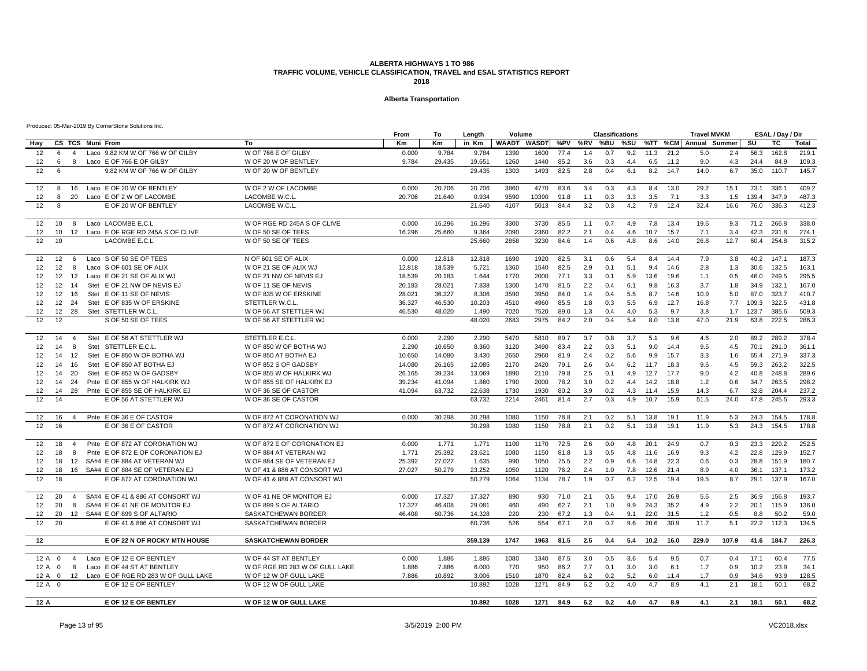### **Alberta Transportation**

|          |                            |                                                          |                                              | From             | To               | Length           | Volume       |              |              |            | Classifications |            |              |              | <b>Travel MVKM</b>    |            |              | ESAL / Day / Dir |              |
|----------|----------------------------|----------------------------------------------------------|----------------------------------------------|------------------|------------------|------------------|--------------|--------------|--------------|------------|-----------------|------------|--------------|--------------|-----------------------|------------|--------------|------------------|--------------|
| Hwy      |                            | CS TCS Muni From                                         | To                                           | Km               | Кm               | in Km            | <b>WAADT</b> | <b>WASDT</b> |              | %PV %RV    | %BU             | %SU        |              |              | %TT %CM Annual Summer |            | SU           | TC               | <b>Total</b> |
| 12       | 6<br>$\overline{4}$        | Laco 9.82 KM W OF 766 W OF GILBY                         | W OF 766 E OF GILBY                          | 0.000            | 9.784            | 9.784            | 1390         | 1600         | 77.4         | 1.4        | 0.7             | 9.2        | 11.3         | 21.2         | 5.0                   | 2.4        | 56.3         | 162.8            | 219.1        |
| 12       | 6                          | Laco E OF 766 E OF GILBY<br>8                            | W OF 20 W OF BENTLEY                         | 9.784            | 29.435           | 19.651           | 1260         | 1440         | 85.2         | 3.6        | 0.3             | 4.4        | 6.5          | 11.2         | 9.0                   | 4.3        | 24.4         | 84.9             | 109.3        |
| 12       | $\epsilon$                 | 9.82 KM W OF 766 W OF GILBY                              | W OF 20 W OF BENTLEY                         |                  |                  | 29.435           | 1303         | 1493         | 82.5         | 2.8        | 0.4             | 6.1        | 8.2          | 14.7         | 14.0                  | 6.7        | 35.0         | 110.7            | 145.7        |
|          |                            |                                                          |                                              |                  |                  |                  |              |              |              |            |                 |            |              |              |                       |            |              |                  |              |
| 12       | 8<br>16                    | Laco E OF 20 W OF BENTLEY                                | W OF 2 W OF LACOMBE                          | 0.000            | 20,706           | 20.706           | 3860         | 4770         | 83.6         | 3.4        | 0.3             | 4.3        | 8.4          | 13.0         | 29.2                  | 15.1       | 73.1         | 336.1            | 409.2        |
| 12       | 8<br>20                    | Laco E OF 2 W OF LACOMBE                                 | LACOMBE W.C.L                                | 20.706           | 21.640           | 0.934            | 9590         | 10390        | 91.8         | 1.1        | 0.3             | 3.3        | 3.5          | 7.1          | 3.3                   | 1.5        | 139.4        | 347.9            | 487.3        |
| 12       | 8                          | E OF 20 W OF BENTLEY                                     | LACOMBE W.C.L.                               |                  |                  | 21.640           | 4107         | 5013         | 84.4         | 3.2        | 0.3             | 4.2        | 7.9          | 12.4         | 32.4                  | 16.6       | 76.0         | 336.3            | 412.3        |
| 12       | 10 <sup>10</sup><br>8      | Laco LACOMBE E.C.L                                       | W OF RGE RD 245A S OF CLIVE                  | 0.000            | 16.296           | 16.296           | 3300         | 3730         | 85.5         | 1.1        | 0.7             | 4.9        | 7.8          | 13.4         | 19.6                  | 9.3        | 71.2         | 266.8            | 338.0        |
| 12       | 10 <sup>10</sup>           | 12<br>Laco E OF RGE RD 245A S OF CLIVE                   | W OF 50 SE OF TEES                           | 16.296           | 25.660           | 9.364            | 2090         | 2360         | 82.2         | 2.1        | 0.4             | 4.6        | 10.7         | 15.7         | 7.1                   | 3.4        | 42.3         | 231.8            | 274.1        |
| 12       | 10                         | LACOMBE E.C.L                                            | W OF 50 SE OF TEES                           |                  |                  | 25.660           | 2858         | 3230         | 84.6         | 1.4        | 0.6             | 4.8        | 8.6          | 14.0         | 26.8                  | 12.7       | 60.4         | 254.8            | 315.2        |
| 12       | $12 \overline{ }$          | Laco S OF 50 SE OF TEES<br>6                             | N OF 601 SE OF ALIX                          | 0.000            | 12.818           | 12.818           | 1690         | 1920         | 82.5         | 3.1        | 0.6             | 5.4        | 8.4          | 14.4         | 7.9                   | 3.8        | 40.2         | 147.1            | 187.3        |
| 12       | $12 \overline{ }$<br>8     | Laco S OF 601 SE OF ALIX                                 | W OF 21 SE OF ALIX WJ                        | 12.818           | 18.539           | 5.721            | 1360         | 1540         | 82.5         | 2.9        | 0.1             | 5.1        | 9.4          | 14.6         | 2.8                   | 1.3        | 30.6         | 132.5            | 163.1        |
| 12       | 12<br>12                   | Laco E OF 21 SE OF ALIX WJ                               | W OF 21 NW OF NEVIS EJ                       | 18.539           | 20.183           | 1.644            | 1770         | 2000         | 77.1         | 3.3        | 0.1             | 5.9        | 13.6         | 19.6         | 1.1                   | 0.5        | 46.0         | 249.5            | 295.5        |
| 12       | $12 \overline{ }$<br>14    | Stet E OF 21 NW OF NEVIS EJ                              | W OF 11 SE OF NEVIS                          | 20.183           | 28.021           | 7.838            | 1300         | 1470         | 81.5         | 2.2        | 0.4             | 6.1        | 9.8          | 16.3         | 3.7                   | 1.8        | 34.9         | 132.1            | 167.0        |
| 12       | $12 \overline{ }$<br>16    | Stet E OF 11 SE OF NEVIS                                 | W OF 835 W OF ERSKINE                        | 28.021           | 36.327           | 8.306            | 3590         | 3950         | 84.0         | 1.4        | 0.4             | 5.5        | 8.7          | 14.6         | 10.9                  | 5.0        | 87.0         | 323.7            | 410.7        |
| 12       | $12 \overline{ }$<br>24    | Stet E OF 835 W OF ERSKINE                               | STETTLER W.C.L                               | 36.327           | 46.530           | 10.203           | 4510         | 4960         | 85.5         | 1.8        | 0.3             | 5.5        | 6.9          | 12.7         | 16.8                  | 7.7        | 109.3        | 322.5            | 431.8        |
| 12       | 12                         | 28<br>Stet STETTLER W.C.L                                | W OF 56 AT STETTLER WJ                       | 46.530           | 48.020           | 1.490            | 7020         | 7520         | 89.0         | 1.3        | 0.4             | 4.0        | 5.3          | 9.7          | 3.8                   | 1.7        | 123.7        | 385.6            | 509.3        |
| 12       | 12                         | S OF 50 SE OF TEES                                       | W OF 56 AT STETTLER WJ                       |                  |                  | 48.020           | 2683         | 2975         | 84.2         | 2.0        | 0.4             | 5.4        | 8.0          | 13.8         | 47.0                  | 21.9       | 63.8         | 222.5            | 286.3        |
| 12       | 14<br>$\overline{4}$       | Stet E OF 56 AT STETTLER WJ                              | STETTLER E.C.L.                              | 0.000            | 2.290            | 2.290            | 5470         | 5810         | 89.7         | 0.7        | 0.8             | 3.7        | 5.1          | 9.6          | 4.6                   | 2.0        | 89.2         | 289.2            | 378.4        |
| 12       | 14<br>8                    | Stet STETTLER E.C.L                                      | W OF 850 W OF BOTHA WJ                       | 2.290            | 10.650           | 8.360            | 3120         | 3490         | 83.4         | 2.2        | 0.3             | 5.1        | 9.0          | 14.4         | 9.5                   | 4.5        | 70.1         | 291.0            | 361.1        |
|          | 14                         | Stet E OF 850 W OF BOTHA WJ                              | W OF 850 AT BOTHA EJ                         | 10.650           | 14.080           | 3.430            | 2650         | 2960         | 81.9         | 2.4        | 0.2             |            | 9.9          | 15.7         | 3.3                   |            | 65.4         | 271.9            | 337.3        |
| 12       | 12<br>14<br>16             | Stet E OF 850 AT BOTHA EJ                                | W OF 852 S OF GADSBY                         |                  |                  | 12.085           | 2170         |              | 79.1         | 2.6        | 0.4             | 5.6<br>6.2 | 11.7         | 18.3         | 9.6                   | 1.6<br>4.5 | 59.3         | 263.2            | 322.5        |
| 12<br>12 | 14<br>-20                  | Stet E OF 852 W OF GADSBY                                | W OF 855 W OF HALKIRK WJ                     | 14.080<br>26.165 | 26.165<br>39.234 | 13.069           | 1890         | 2420<br>2110 | 79.8         | 2.5        | 0.1             | 4.9        |              | 17.7         | 9.0                   | 4.2        | 40.8         | 248.8            | 289.6        |
|          |                            |                                                          |                                              |                  |                  |                  |              |              |              |            |                 |            | 12.7         |              |                       |            |              |                  | 298.2        |
| 12       | 14<br>24                   | Pnte E OF 855 W OF HALKIRK WJ                            | W OF 855 SE OF HALKIRK EJ                    | 39.234           | 41.094           | 1.860            | 1790         | 2000         | 78.2         | 3.0        | 0.2             | 4.4        | 14.2         | 18.8<br>15.9 | 1.2                   | 0.6<br>6.7 | 34.7         | 263.5<br>204.4   | 237.2        |
| 12<br>12 | 14<br>28<br>14             | Pnte E OF 855 SE OF HALKIRK EJ<br>E OF 56 AT STETTLER WJ | W OF 36 SE OF CASTOR<br>W OF 36 SE OF CASTOR | 41.094           | 63.732           | 22.638<br>63.732 | 1730<br>2214 | 1930<br>2461 | 80.2<br>81.4 | 3.9<br>2.7 | 0.2<br>0.3      | 4.3<br>4.9 | 11.4<br>10.7 | 15.9         | 14.3<br>51.5          | 24.0       | 32.8<br>47.8 | 245.5            | 293.3        |
|          |                            |                                                          |                                              |                  |                  |                  |              |              |              |            |                 |            |              |              |                       |            |              |                  |              |
| 12       | 16<br>$\overline{4}$       | Pnte E OF 36 E OF CASTOR                                 | W OF 872 AT CORONATION WJ                    | 0.000            | 30.298           | 30.298           | 1080         | 1150         | 78.8         | 2.1        | 0.2             | 5.1        | 13.8         | 19.1         | 11.9                  | 5.3        | 24.3         | 154.5            | 178.8        |
| 12       | 16                         | E OF 36 E OF CASTOR                                      | W OF 872 AT CORONATION WJ                    |                  |                  | 30.298           | 1080         | 1150         | 78.8         | 2.1        | 0.2             | 5.1        | 13.8         | 19.1         | 11.9                  | 5.3        | 24.3         | 154.5            | 178.8        |
| 12       | 18<br>$\overline{4}$       | Pnte E OF 872 AT CORONATION WJ                           | W OF 872 E OF CORONATION EJ                  | 0.000            | 1.771            | 1.771            | 1100         | 1170         | 72.5         | 2.6        | 0.0             | 4.8        | 20.1         | 24.9         | 0.7                   | 0.3        | 23.3         | 229.2            | 252.5        |
| 12       | 18<br>8                    | Pnte E OF 872 E OF CORONATION EJ                         | W OF 884 AT VETERAN WJ                       | 1.771            | 25.392           | 23.621           | 1080         | 1150         | 81.8         | 1.3        | 0.5             | 4.8        | 11.6         | 16.9         | 9.3                   | 4.2        | 22.8         | 129.9            | 152.7        |
| 12       | 18<br>12                   | SA#4 E OF 884 AT VETERAN WJ                              | W OF 884 SE OF VETERAN EJ                    | 25.392           | 27.027           | 1.635            | 990          | 1050         | 75.5         | 2.2        | 0.9             | 6.6        | 14.8         | 22.3         | 0.6                   | 0.3        | 28.8         | 151.9            | 180.7        |
| 12       | 18                         | 16<br>SA#4 E OF 884 SE OF VETERAN EJ                     | W OF 41 & 886 AT CONSORT WJ                  | 27.027           | 50.279           | 23.252           | 1050         | 1120         | 76.2         | 2.4        | 1.0             | 7.8        | 12.6         | 21.4         | 8.9                   | 4.0        | 36.1         | 137.1            | 173.2        |
| 12       | 18                         | E OF 872 AT CORONATION WJ                                | W OF 41 & 886 AT CONSORT WJ                  |                  |                  | 50.279           | 1064         | 1134         | 78.7         | 1.9        | 0.7             | 6.2        | 12.5         | 19.4         | 19.5                  | 8.7        | 29.1         | 137.9            | 167.0        |
| 12       | 20                         | SA#4 E OF 41 & 886 AT CONSORT WJ                         | W OF 41 NE OF MONITOR EJ                     | 0.000            | 17.327           | 17.327           | 890          | 930          | 71.0         | 2.1        | 0.5             | 9.4        | 17.0         | 26.9         | 5.6                   | 2.5        | 36.9         | 156.8            | 193.7        |
| 12       | 20<br>-8                   | SA#4 E OF 41 NE OF MONITOR EJ                            | W OF 899 S OF ALTARIO                        | 17.327           | 46.408           | 29.081           | 460          | 490          | 62.7         | 2.1        | 1.0             | 9.9        | 24.3         | 35.2         | 4.9                   | 2.2        | 20.1         | 115.9            | 136.0        |
| 12       | 20                         | 12 SA#4 E OF 899 S OF ALTARIO                            | SASKATCHEWAN BORDER                          | 46.408           | 60.736           | 14.328           | 220          | 230          | 67.2         | 1.3        | 0.4             | 9.1        | 22.0         | 31.5         | 1.2                   | 0.5        | 8.8          | 50.2             | 59.0         |
| 12       | 20                         | E OF 41 & 886 AT CONSORT WJ                              | SASKATCHEWAN BORDER                          |                  |                  | 60.736           | 526          | 554          | 67.1         | 2.0        | 0.7             | 9.6        | 20.6         | 30.9         | 11.7                  | 5.1        | 22.2         | 112.3            | 134.5        |
| 12       |                            | E OF 22 N OF ROCKY MTN HOUSE                             | <b>SASKATCHEWAN BORDER</b>                   |                  |                  | 359.139          | 1747         | 1963         | 81.5         | 2.5        | 0.4             | 5.4        | 10.2         | 16.0         | 229.0                 | 107.9      | 41.6         | 184.7            | 226.3        |
|          |                            |                                                          |                                              |                  |                  |                  |              |              |              |            |                 |            |              |              |                       |            |              |                  |              |
| 12A      | $\Omega$<br>$\overline{4}$ | Laco E OF 12 E OF BENTLEY                                | W OF 44 ST AT BENTLEY                        | 0.000            | 1.886            | 1.886            | 1080         | 1340         | 87.5         | 3.0        | 0.5             | 3.6        | 5.4          | 9.5          | 0.7                   | 0.4        | 17.1         | 60.4             | 77.5         |
| 12A      | $\Omega$<br>8              | Laco E OF 44 ST AT BENTLEY                               | W OF RGE RD 283 W OF GULL LAKE               | 1.886            | 7.886            | 6.000            | 770          | 950          | 86.2         | 7.7        | 0.1             | 3.0        | 3.0          | 6.1          | 1.7                   | 0.9        | 10.2         | 23.9             | 34.1         |
| 12 A     | $\overline{0}$             | 12 Laco E OF RGE RD 283 W OF GULL LAKE                   | W OF 12 W OF GULL LAKE                       | 7.886            | 10.892           | 3.006            | 1510         | 1870         | 82.4         | 6.2        | 0.2             | 5.2        | 6.0          | 11.4         | 1.7                   | 0.9        | 34.6         | 93.9             | 128.5        |
| 12 A     | $\Omega$                   | E OF 12 E OF BENTLEY                                     | W OF 12 W OF GULL LAKE                       |                  |                  | 10.892           | 1028         | 1271         | 84.9         | 6.2        | 0.2             | 4.0        | 4.7          | 8.9          | 4.1                   | 2.1        | 18.1         | 50.1             | 68.2         |
| 12 A     |                            | E OF 12 E OF BENTLEY                                     | W OF 12 W OF GULL LAKE                       |                  |                  | 10.892           | 1028         | 1271         | 84.9         | 6.2        | 0.2             | 4.0        | 4.7          | 8.9          | 4.1                   | 2.1        | 18.1         | 50.1             | 68.2         |
|          |                            |                                                          |                                              |                  |                  |                  |              |              |              |            |                 |            |              |              |                       |            |              |                  |              |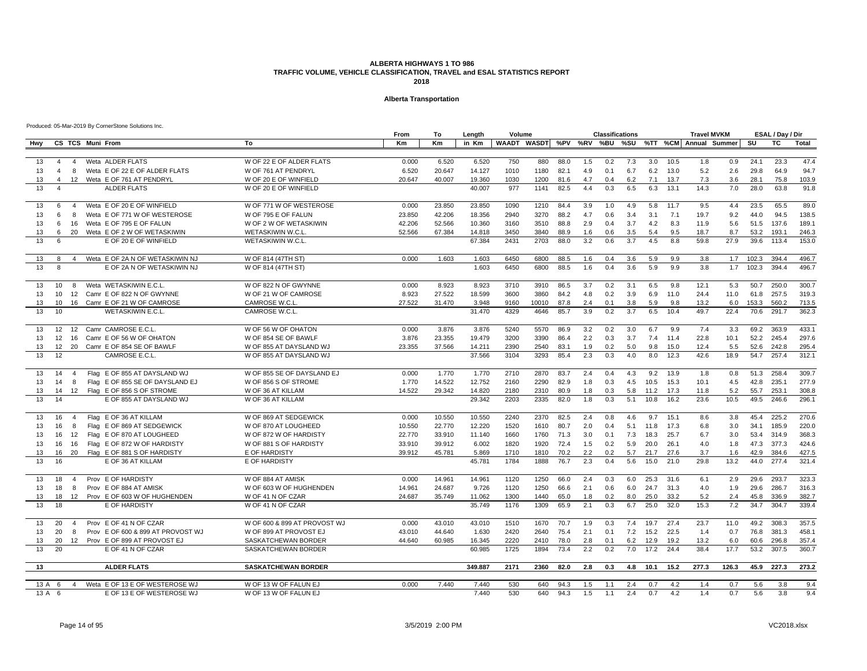### **Alberta Transportation**

|     |                  |                |                              |                                   |                              | From   | To     | Length  | Volume |                                                   |      |     | <b>Classifications</b> |     |      |      | <b>Travel MVKM</b> |       |       | ESAL / Day / Dir |              |
|-----|------------------|----------------|------------------------------|-----------------------------------|------------------------------|--------|--------|---------|--------|---------------------------------------------------|------|-----|------------------------|-----|------|------|--------------------|-------|-------|------------------|--------------|
| Hwy |                  |                | CS TCS Muni From             |                                   | To                           | Km     | Km     | in Km   |        | WAADT WASDT %PV %RV %BU %SU %TT %CM Annual Summer |      |     |                        |     |      |      |                    |       | SU    | TC               | <b>Total</b> |
|     |                  |                |                              |                                   |                              |        |        |         |        |                                                   |      |     |                        |     |      |      |                    |       |       |                  |              |
| 13  | $\overline{4}$   | $\overline{4}$ | Weta ALDER FLATS             |                                   | W OF 22 E OF ALDER FLATS     | 0.000  | 6.520  | 6.520   | 750    | 880                                               | 88.0 | 1.5 | 0.2                    | 7.3 | 3.0  | 10.5 | 1.8                | 0.9   | 24.1  | 23.3             | 47.4         |
| 13  | $\overline{4}$   | 8              |                              | Weta E OF 22 E OF ALDER FLATS     | W OF 761 AT PENDRYL          | 6.520  | 20.647 | 14.127  | 1010   | 1180                                              | 82.1 | 4.9 | 0.1                    | 6.7 | 6.2  | 13.0 | 5.2                | 2.6   | 29.8  | 64.9             | 94.7         |
| 13  | $\overline{4}$   |                | 12 Weta E OF 761 AT PENDRYL  |                                   | W OF 20 E OF WINFIELD        | 20.647 | 40.007 | 19.360  | 1030   | 1200                                              | 81.6 | 4.7 | 0.4                    | 6.2 | 7.1  | 13.7 | 7.3                | 3.6   | 28.1  | 75.8             | 103.9        |
| 13  | $\overline{4}$   |                | <b>ALDER FLATS</b>           |                                   | W OF 20 E OF WINFIELD        |        |        | 40.007  | 977    | 1141                                              | 82.5 | 4.4 | 0.3                    | 6.5 | 6.3  | 13.1 | 14.3               | 7.0   | 28.0  | 63.8             | 91.8         |
| 13  | 6                | $\overline{4}$ |                              | Weta E OF 20 E OF WINFIELD        | W OF 771 W OF WESTEROSE      | 0.000  | 23.850 | 23.850  | 1090   | 1210                                              | 84.4 | 3.9 | 1.0                    | 4.9 | 5.8  | 11.7 | 9.5                | 4.4   | 23.5  | 65.5             | 89.0         |
| 13  | 6                | 8              |                              | Weta E OF 771 W OF WESTEROSE      | W OF 795 E OF FALUN          | 23.850 | 42.206 | 18.356  | 2940   | 3270                                              | 88.2 | 4.7 | 0.6                    | 3.4 | 3.1  | 7.1  | 19.7               | 9.2   | 44.0  | 94.5             | 138.5        |
| 13  | 6                | 16             | Weta E OF 795 E OF FALUN     |                                   | W OF 2 W OF WETASKIWIN       | 42.206 | 52.566 | 10.360  | 3160   | 3510                                              | 88.8 | 2.9 | 0.4                    | 3.7 | 4.2  | 8.3  | 11.9               | 5.6   | 51.5  | 137.6            | 189.1        |
| 13  | 6                |                |                              | 20 Weta E OF 2 W OF WETASKIWIN    | WETASKIWIN W.C.L             | 52.566 | 67.384 | 14.818  | 3450   | 3840                                              | 88.9 | 1.6 | 0.6                    | 3.5 | 5.4  | 9.5  | 18.7               | 8.7   | 53.2  | 193.1            | 246.3        |
| 13  | $6 \overline{6}$ |                |                              | E OF 20 E OF WINFIELD             | WETASKIWIN W.C.L.            |        |        | 67.384  | 2431   | 2703                                              | 88.0 | 3.2 | 0.6                    | 3.7 | 4.5  | 8.8  | 59.8               | 27.9  | 39.6  | 113.4            | 153.0        |
| 13  | 8                | $\overline{4}$ |                              | Weta E OF 2A N OF WETASKIWIN NJ   | W OF 814 (47TH ST)           | 0.000  | 1.603  | 1.603   | 6450   | 6800                                              | 88.5 | 1.6 | 0.4                    | 3.6 | 5.9  | 9.9  | 3.8                | 1.7   | 102.3 | 394.4            | 496.7        |
| 13  | 8                |                |                              | E OF 2A N OF WETASKIWIN NJ        | W OF 814 (47TH ST)           |        |        | 1.603   | 6450   | 6800                                              | 88.5 | 1.6 | 0.4                    | 3.6 | 5.9  | 9.9  | 3.8                | 1.7   | 102.3 | 394.4            | 496.7        |
| 13  | 10 <sup>°</sup>  | 8              | Weta WETASKIWIN E.C.L.       |                                   | W OF 822 N OF GWYNNE         | 0.000  | 8.923  | 8.923   | 3710   | 3910                                              | 86.5 | 3.7 | 0.2                    | 3.1 | 6.5  | 9.8  | 12.1               | 5.3   | 50.7  | 250.0            | 300.7        |
| 13  | 10 <sup>°</sup>  |                |                              | 12 Camr E OF 822 N OF GWYNNE      | W OF 21 W OF CAMROSE         | 8.923  | 27.522 | 18.599  | 3600   | 3860                                              | 84.2 | 4.8 | 0.2                    | 3.9 | 6.9  | 11.0 | 24.4               | 11.0  | 61.8  | 257.5            | 319.3        |
| 13  | 10               |                |                              | 16 Camr E OF 21 W OF CAMROSE      | CAMROSE W.C.L.               | 27.522 | 31.470 | 3.948   | 9160   | 10010                                             | 87.8 | 2.4 | 0.1                    | 3.8 | 5.9  | 9.8  | 13.2               | 6.0   | 153.3 | 560.2            | 713.5        |
| 13  | 10               |                |                              | <b>WETASKIWIN E.C.L</b>           | CAMROSE W.C.L.               |        |        | 31.470  | 4329   | 4646                                              | 85.7 | 3.9 | 0.2                    | 3.7 | 6.5  | 10.4 | 49.7               | 22.4  | 70.6  | 291.7            | 362.3        |
| 13  | 12               | 12             | Camr CAMROSE E.C.L.          |                                   | W OF 56 W OF OHATON          | 0.000  | 3.876  | 3.876   | 5240   | 5570                                              | 86.9 | 3.2 | 0.2                    | 3.0 | 6.7  | 9.9  | 7.4                | 3.3   | 69.2  | 363.9            | 433.1        |
| 13  | 12               |                | 16 Camr E OF 56 W OF OHATON  |                                   | W OF 854 SE OF BAWLF         | 3.876  | 23.355 | 19.479  | 3200   | 3390                                              | 86.4 | 2.2 | 0.3                    | 3.7 | 7.4  | 11.4 | 22.8               | 10.1  | 52.2  | 245.4            | 297.6        |
| 13  | 12               |                | 20 Camr E OF 854 SE OF BAWLF |                                   | W OF 855 AT DAYSLAND WJ      | 23.355 | 37.566 | 14.211  | 2390   | 2540                                              | 83.1 | 1.9 | 0.2                    | 5.0 | 9.8  | 15.0 | 12.4               | 5.5   | 52.6  | 242.8            | 295.4        |
| 13  | 12               |                | CAMROSE E.C.L.               |                                   | W OF 855 AT DAYSLAND WJ      |        |        | 37.566  | 3104   | 3293                                              | 85.4 | 2.3 | 0.3                    | 4.0 | 8.0  | 12.3 | 42.6               | 18.9  | 54.7  | 257.4            | 312.1        |
| 13  | 14               | $\overline{4}$ |                              | Flag E OF 855 AT DAYSLAND WJ      | W OF 855 SE OF DAYSLAND EJ   | 0.000  | 1.770  | 1.770   | 2710   | 2870                                              | 83.7 | 2.4 | 0.4                    | 4.3 | 9.2  | 13.9 | 1.8                | 0.8   | 51.3  | 258.4            | 309.7        |
| 13  | 14               | 8              |                              | Flag E OF 855 SE OF DAYSLAND EJ   | W OF 856 S OF STROME         | 1.770  | 14.522 | 12.752  | 2160   | 2290                                              | 82.9 | 1.8 | 0.3                    | 4.5 | 10.5 | 15.3 | 10.1               | 4.5   | 42.8  | 235.1            | 277.9        |
| 13  | 14               |                | 12 Flag E OF 856 S OF STROME |                                   | W OF 36 AT KILLAM            | 14.522 | 29.342 | 14.820  | 2180   | 2310                                              | 80.9 | 1.8 | 0.3                    | 5.8 | 11.2 | 17.3 | 11.8               | 5.2   | 55.7  | 253.1            | 308.8        |
| 13  | 14               |                |                              | E OF 855 AT DAYSLAND WJ           | W OF 36 AT KILLAM            |        |        | 29.342  | 2203   | 2335                                              | 82.0 | 1.8 | 0.3                    | 5.1 | 10.8 | 16.2 | 23.6               | 10.5  | 49.5  | 246.6            | 296.1        |
| 13  | 16               | $\overline{4}$ | Flag E OF 36 AT KILLAM       |                                   | W OF 869 AT SEDGEWICK        | 0.000  | 10.550 | 10.550  | 2240   | 2370                                              | 82.5 | 2.4 | 0.8                    | 4.6 | 9.7  | 15.1 | 8.6                | 3.8   | 45.4  | 225.2            | 270.6        |
| 13  | 16               | 8              |                              | Flag E OF 869 AT SEDGEWICK        | W OF 870 AT LOUGHEED         | 10.550 | 22,770 | 12.220  | 1520   | 1610                                              | 80.7 | 2.0 | 0.4                    | 5.1 | 11.8 | 17.3 | 6.8                | 3.0   | 34.1  | 185.9            | 220.0        |
| 13  | 16               |                |                              | 12 Flag E OF 870 AT LOUGHEED      | W OF 872 W OF HARDISTY       | 22.770 | 33.910 | 11.140  | 1660   | 1760                                              | 71.3 | 3.0 | 0.1                    | 7.3 | 18.3 | 25.7 | 6.7                | 3.0   | 53.4  | 314.9            | 368.3        |
| 13  | 16               | 16             |                              | Flag E OF 872 W OF HARDISTY       | W OF 881 S OF HARDISTY       | 33.910 | 39.912 | 6.002   | 1820   | 1920                                              | 72.4 | 1.5 | 0.2                    | 5.9 | 20.0 | 26.1 | 4.0                | 1.8   | 47.3  | 377.3            | 424.6        |
| 13  | 16               | 20             |                              | Flag E OF 881 S OF HARDISTY       | E OF HARDISTY                | 39.912 | 45.781 | 5.869   | 1710   | 1810                                              | 70.2 | 2.2 | 0.2                    | 5.7 | 21.7 | 27.6 | 3.7                | 1.6   | 42.9  | 384.6            | 427.5        |
| 13  | 16               |                |                              | E OF 36 AT KILLAM                 | E OF HARDISTY                |        |        | 45.781  | 1784   | 1888                                              | 76.7 | 2.3 | 0.4                    | 5.6 | 15.0 | 21.0 | 29.8               | 13.2  | 44.0  | 277.4            | 321.4        |
| 13  | 18               | $\overline{4}$ | Prov E OF HARDISTY           |                                   | W OF 884 AT AMISK            | 0.000  | 14.961 | 14.961  | 1120   | 1250                                              | 66.0 | 2.4 | 0.3                    | 6.0 | 25.3 | 31.6 | 6.1                | 2.9   | 29.6  | 293.7            | 323.3        |
| 13  | 18               | 8              | Prov E OF 884 AT AMISK       |                                   | W OF 603 W OF HUGHENDEN      | 14.961 | 24.687 | 9.726   | 1120   | 1250                                              | 66.6 | 2.1 | 0.6                    | 6.0 | 24.7 | 31.3 | 4.0                | 1.9   | 29.6  | 286.7            | 316.3        |
| 13  | 18               |                |                              | 12 Prov E OF 603 W OF HUGHENDEN   | W OF 41 N OF CZAR            | 24.687 | 35.749 | 11.062  | 1300   | 1440                                              | 65.0 | 1.8 | 0.2                    | 8.0 | 25.0 | 33.2 | 5.2                | 2.4   | 45.8  | 336.9            | 382.7        |
| 13  | 18               |                | E OF HARDISTY                |                                   | W OF 41 N OF CZAR            |        |        | 35.749  | 1176   | 1309                                              | 65.9 | 2.1 | 0.3                    | 6.7 | 25.0 | 32.0 | 15.3               | 7.2   | 34.7  | 304.7            | 339.4        |
| 13  | 20               | $\overline{4}$ | Prov E OF 41 N OF CZAR       |                                   | W OF 600 & 899 AT PROVOST WJ | 0.000  | 43.010 | 43.010  | 1510   | 1670                                              | 70.7 | 1.9 | 0.3                    | 7.4 | 19.7 | 27.4 | 23.7               | 11.0  | 49.2  | 308.3            | 357.5        |
| 13  | 20               | 8              |                              | Prov E OF 600 & 899 AT PROVOST WJ | W OF 899 AT PROVOST EJ       | 43.010 | 44.640 | 1.630   | 2420   | 2640                                              | 75.4 | 2.1 | 0.1                    | 7.2 | 15.2 | 22.5 | 1.4                | 0.7   | 76.8  | 381.3            | 458.1        |
| 13  | 20               |                |                              | 12 Prov E OF 899 AT PROVOST EJ    | SASKATCHEWAN BORDER          | 44.640 | 60.985 | 16.345  | 2220   | 2410                                              | 78.0 | 2.8 | 0.1                    | 6.2 | 12.9 | 19.2 | 13.2               | 6.0   | 60.6  | 296.8            | 357.4        |
| 13  | 20               |                |                              | E OF 41 N OF CZAR                 | SASKATCHEWAN BORDER          |        |        | 60.985  | 1725   | 1894                                              | 73.4 | 2.2 | 0.2                    | 7.0 | 17.2 | 24.4 | 38.4               | 17.7  | 53.2  | 307.5            | 360.7        |
| 13  |                  |                | <b>ALDER FLATS</b>           |                                   | <b>SASKATCHEWAN BORDER</b>   |        |        | 349.887 | 2171   | 2360                                              | 82.0 | 2.8 | 0.3                    | 4.8 | 10.1 | 15.2 | 277.3              | 126.3 | 45.9  | 227.3            | 273.2        |
|     |                  |                |                              |                                   |                              |        |        |         |        |                                                   |      |     |                        |     |      |      |                    |       |       |                  |              |
|     | $13A$ 6          | $\overline{4}$ |                              | Weta E OF 13 E OF WESTEROSE WJ    | W OF 13 W OF FALUN EJ        | 0.000  | 7.440  | 7.440   | 530    | 640                                               | 94.3 | 1.5 | 1.1                    | 2.4 | 0.7  | 4.2  | 1.4                | 0.7   | 5.6   | 3.8              | 9.4          |
|     | 13 A 6           |                |                              | E OF 13 E OF WESTEROSE WJ         | W OF 13 W OF FALUN EJ        |        |        | 7.440   | 530    | 640                                               | 94.3 | 1.5 | 1.1                    | 2.4 | 0.7  | 4.2  | 1.4                | 0.7   | 5.6   | 3.8              | 9.4          |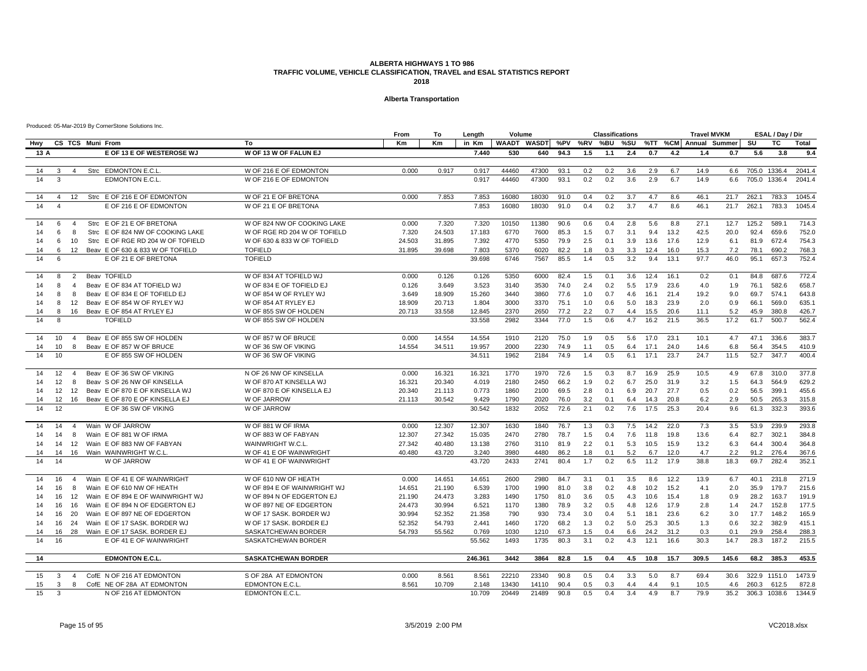### **Alberta Transportation**

|      |                                |                                     |                              | From   | To     | Length  | Volume |                         |      |     | <b>Classifications</b> |     |      |      | <b>Travel MVKM</b> |                       |       | ESAL / Day / Dir |        |
|------|--------------------------------|-------------------------------------|------------------------------|--------|--------|---------|--------|-------------------------|------|-----|------------------------|-----|------|------|--------------------|-----------------------|-------|------------------|--------|
| Hwy  |                                | CS TCS Muni From                    | To                           | Km     | Кm     | in Km   |        | WAADT WASDT %PV %RV %BU |      |     |                        | %SU |      |      |                    | %TT %CM Annual Summer | SU    | TC               | Total  |
| 13 A |                                | E OF 13 E OF WESTEROSE WJ           | W OF 13 W OF FALUN EJ        |        |        | 7.440   | 530    | 640                     | 94.3 | 1.5 | 1.1                    | 2.4 | 0.7  | 4.2  | 1.4                | 0.7                   | 5.6   | 3.8              | 9.4    |
|      |                                |                                     |                              |        |        |         |        |                         |      |     |                        |     |      |      |                    |                       |       |                  |        |
| 14   | 3<br>4                         | Strc EDMONTON E.C.L.                | W OF 216 E OF EDMONTON       | 0.000  | 0.917  | 0.917   | 44460  | 47300                   | 93.1 | 0.2 | 0.2                    | 3.6 | 2.9  | 6.7  | 14.9               | 6.6                   |       | 705.0 1336.4     | 2041.4 |
| 14   | $\mathbf{a}$                   | EDMONTON E.C.L.                     | W OF 216 E OF EDMONTON       |        |        | 0.917   | 44460  | 47300                   | 93.1 | 0.2 | 0.2                    | 3.6 | 2.9  | 6.7  | 14.9               | 6.6                   |       | 705.0 1336.4     | 2041.4 |
| 14   | $\overline{4}$<br>12           | Strc E OF 216 E OF EDMONTON         | W OF 21 E OF BRETONA         | 0.000  | 7.853  | 7.853   | 16080  | 18030                   | 91.0 | 0.4 | 0.2                    | 3.7 | 4.7  | 8.6  | 46.1               | 21.7                  | 262.1 | 783.3            | 1045.4 |
| 14   | $\Delta$                       | E OF 216 E OF EDMONTON              | W OF 21 E OF BRETONA         |        |        | 7.853   | 16080  | 18030                   | 91.0 | 0.4 | 0.2                    | 3.7 | 4.7  | 8.6  | 46.1               | 21.7                  | 262.1 | 783.3            | 1045.4 |
| 14   | 6<br>$\overline{4}$            | Strc E OF 21 E OF BRETONA           | W OF 824 NW OF COOKING LAKE  | 0.000  | 7.320  | 7.320   | 10150  | 11380                   | 90.6 | 0.6 | 0.4                    | 2.8 | 5.6  | 8.8  | 27.1               | 12.7                  | 125.2 | 589.1            | 714.3  |
| 14   | 6<br>-8                        | Strc E OF 824 NW OF COOKING LAKE    | W OF RGE RD 204 W OF TOFIELD | 7.320  | 24.503 | 17.183  | 6770   | 7600                    | 85.3 | 1.5 | 0.7                    | 3.1 | 9.4  | 13.2 | 42.5               | 20.0                  | 92.4  | 659.6            | 752.0  |
| 14   | 6<br>10                        | Strc E OF RGE RD 204 W OF TOFIELD   | W OF 630 & 833 W OF TOFIELD  | 24.503 | 31.895 | 7.392   | 4770   | 5350                    | 79.9 | 2.5 | 0.1                    | 3.9 | 13.6 | 17.6 | 12.9               | 6.1                   | 81.9  | 672.4            | 754.3  |
| 14   | 6                              | 12 Beav E OF 630 & 833 W OF TOFIELD | <b>TOFIELD</b>               | 31.895 | 39.698 | 7.803   | 5370   | 6020                    | 82.2 | 1.8 | 0.3                    | 3.3 | 12.4 | 16.0 | 15.3               | 7.2                   | 78.1  | 690.2            | 768.3  |
| 14   | 6                              | E OF 21 E OF BRETONA                | <b>TOFIELD</b>               |        |        | 39.698  | 6746   | 7567                    | 85.5 | 1.4 | 0.5                    | 3.2 | 9.4  | 13.1 | 97.7               | 46.0                  | 95.1  | 657.3            | 752.4  |
| 14   | 8<br>2                         | Beav TOFIELD                        | W OF 834 AT TOFIELD WJ       | 0.000  | 0.126  | 0.126   | 5350   | 6000                    | 82.4 | 1.5 | 0.1                    | 3.6 | 12.4 | 16.1 | 0.2                | 0.1                   | 84.8  | 687.6            | 772.4  |
| 14   | 8<br>$\overline{4}$            | Beav E OF 834 AT TOFIELD WJ         | W OF 834 E OF TOFIELD EJ     | 0.126  | 3.649  | 3.523   | 3140   | 3530                    | 74.0 | 2.4 | 0.2                    | 5.5 | 17.9 | 23.6 | 4.0                | 1.9                   | 76.1  | 582.6            | 658.7  |
| 14   | 8<br>8                         | Beav E OF 834 E OF TOFIELD EJ       | W OF 854 W OF RYLEY WJ       | 3.649  | 18.909 | 15.260  | 3440   | 3860                    | 77.6 | 1.0 | 0.7                    | 4.6 | 16.1 | 21.4 | 19.2               | 9.0                   | 69.7  | 574.1            | 643.8  |
| 14   | 8<br>12                        | Beav E OF 854 W OF RYLEY WJ         | W OF 854 AT RYLEY EJ         | 18.909 | 20.713 | 1.804   | 3000   | 3370                    | 75.1 | 1.0 | 0.6                    | 5.0 | 18.3 | 23.9 | 2.0                | 0.9                   | 66.1  | 569.0            | 635.1  |
| 14   | 8<br>16                        | Beav E OF 854 AT RYLEY EJ           | W OF 855 SW OF HOLDEN        | 20.713 | 33.558 | 12.845  | 2370   | 2650                    | 77.2 | 2.2 | 0.7                    | 4.4 | 15.5 | 20.6 | 11.1               | 5.2                   | 45.9  | 380.8            | 426.7  |
| 14   | 8                              | <b>TOFIELD</b>                      | W OF 855 SW OF HOLDEN        |        |        | 33.558  | 2982   | 3344                    | 77.0 | 1.5 | 0.6                    | 4.7 | 16.2 | 21.5 | 36.5               | 17.2                  | 61.7  | 500.7            | 562.4  |
| 14   | 10<br>$\overline{4}$           | Beav E OF 855 SW OF HOLDEN          | W OF 857 W OF BRUCE          | 0.000  | 14.554 | 14.554  | 1910   | 2120                    | 75.0 | 1.9 | 0.5                    | 5.6 | 17.0 | 23.1 | 10.1               | 4.7                   | 47.1  | 336.6            | 383.7  |
| 14   | 10 <sup>1</sup><br>8           | Beav E OF 857 W OF BRUCE            | W OF 36 SW OF VIKING         | 14.554 | 34.511 | 19.957  | 2000   | 2230                    | 74.9 | 1.1 | 0.5                    | 6.4 | 17.1 | 24.0 | 14.6               | 6.8                   | 56.4  | 354.5            | 410.9  |
| 14   | 10 <sup>10</sup>               | E OF 855 SW OF HOLDEN               | W OF 36 SW OF VIKING         |        |        | 34.511  | 1962   | 2184                    | 74.9 | 1.4 | 0.5                    | 6.1 | 17.1 | 23.7 | 24.7               | 11.5                  | 52.7  | 347.7            | 400.4  |
| 14   | 12<br>$\overline{4}$           | Beav E OF 36 SW OF VIKING           | N OF 26 NW OF KINSELLA       | 0.000  | 16.321 | 16.321  | 1770   | 1970                    | 72.6 | 1.5 | 0.3                    | 8.7 | 16.9 | 25.9 | 10.5               | 4.9                   | 67.8  | 310.0            | 377.8  |
| 14   | 12<br>-8                       | Beav S OF 26 NW OF KINSELLA         | W OF 870 AT KINSELLA WJ      | 16.321 | 20.340 | 4.019   | 2180   | 2450                    | 66.2 | 1.9 | 0.2                    | 6.7 | 25.0 | 31.9 | 3.2                | 1.5                   | 64.3  | 564.9            | 629.2  |
| 14   | 12<br>12                       | Beav E OF 870 E OF KINSELLA WJ      | W OF 870 E OF KINSELLA EJ    | 20.340 | 21.113 | 0.773   | 1860   | 2100                    | 69.5 | 2.8 | 0.1                    | 6.9 | 20.7 | 27.7 | 0.5                | 0.2                   | 56.5  | 399.1            | 455.6  |
| 14   | 12<br>16                       | Beav E OF 870 E OF KINSELLA EJ      | W OF JARROW                  | 21.113 | 30.542 | 9.429   | 1790   | 2020                    | 76.0 | 3.2 | 0.1                    | 6.4 | 14.3 | 20.8 | 6.2                | 2.9                   | 50.5  | 265.3            | 315.8  |
| 14   | 12                             | E OF 36 SW OF VIKING                | W OF JARROW                  |        |        | 30.542  | 1832   | 2052                    | 72.6 | 2.1 | 0.2                    | 7.6 | 17.5 | 25.3 | 20.4               | 9.6                   | 61.3  | 332.3            | 393.6  |
| 14   | 14<br>$\overline{4}$           | Wain W OF JARROW                    | W OF 881 W OF IRMA           | 0.000  | 12.307 | 12.307  | 1630   | 1840                    | 76.7 | 1.3 | 0.3                    | 7.5 | 14.2 | 22.0 | 7.3                | 3.5                   | 53.9  | 239.9            | 293.8  |
| 14   | 14<br>8                        | Wain E OF 881 W OF IRMA             | W OF 883 W OF FABYAN         | 12.307 | 27.342 | 15.035  | 2470   | 2780                    | 78.7 | 1.5 | 0.4                    | 7.6 | 11.8 | 19.8 | 13.6               | 6.4                   | 82.7  | 302.1            | 384.8  |
| 14   | 14<br>12                       | Wain E OF 883 NW OF FABYAN          | WAINWRIGHT W.C.L             | 27.342 | 40.480 | 13.138  | 2760   | 3110                    | 81.9 | 2.2 | 0.1                    | 5.3 | 10.5 | 15.9 | 13.2               | 6.3                   | 64.4  | 300.4            | 364.8  |
| 14   | 14<br>16                       | Wain WAINWRIGHT W.C.L               | W OF 41 E OF WAINWRIGHT      | 40.480 | 43.720 | 3.240   | 3980   | 4480                    | 86.2 | 1.8 | 0.1                    | 5.2 | 6.7  | 12.0 | 4.7                | 2.2                   | 91.2  | 276.4            | 367.6  |
| 14   | 14                             | W OF JARROW                         | W OF 41 E OF WAINWRIGHT      |        |        | 43.720  | 2433   | 2741                    | 80.4 | 1.7 | 0.2                    | 6.5 | 11.2 | 17.9 | 38.8               | 18.3                  | 69.7  | 282.4            | 352.1  |
| 14   | 16<br>$\overline{4}$           | Wain E OF 41 E OF WAINWRIGHT        | W OF 610 NW OF HEATH         | 0.000  | 14.651 | 14.651  | 2600   | 2980                    | 84.7 | 3.1 | 0.1                    | 3.5 | 8.6  | 12.2 | 13.9               | 6.7                   | 40.1  | 231.8            | 271.9  |
| 14   | 16<br>8                        | Wain E OF 610 NW OF HEATH           | W OF 894 E OF WAINWRIGHT WJ  | 14.651 | 21.190 | 6.539   | 1700   | 1990                    | 81.0 | 3.8 | 0.2                    | 4.8 | 10.2 | 15.2 | 4.1                | 2.0                   | 35.9  | 179.7            | 215.6  |
| 14   | 16<br>12                       | Wain E OF 894 E OF WAINWRIGHT WJ    | W OF 894 N OF EDGERTON EJ    | 21.190 | 24.473 | 3.283   | 1490   | 1750                    | 81.0 | 3.6 | 0.5                    | 4.3 | 10.6 | 15.4 | 1.8                | 0.9                   | 28.2  | 163.7            | 191.9  |
| 14   | 16<br>16                       | Wain E OF 894 N OF EDGERTON EJ      | W OF 897 NE OF EDGERTON      | 24.473 | 30.994 | 6.521   | 1170   | 1380                    | 78.9 | 3.2 | 0.5                    | 4.8 | 12.6 | 17.9 | 2.8                | 1.4                   | 24.7  | 152.8            | 177.5  |
| 14   | 16<br>20                       | Wain E OF 897 NE OF EDGERTON        | W OF 17 SASK, BORDER WJ      | 30.994 | 52.352 | 21.358  | 790    | 930                     | 73.4 | 3.0 | 0.4                    | 5.1 | 18.1 | 23.6 | 6.2                | 3.0                   | 17.7  | 148.2            | 165.9  |
| 14   | 16                             | 24 Wain E OF 17 SASK, BORDER WJ     | W OF 17 SASK, BORDER EJ      | 52.352 | 54.793 | 2.441   | 1460   | 1720                    | 68.2 | 1.3 | 0.2                    | 5.0 | 25.3 | 30.5 | 1.3                | 0.6                   | 32.2  | 382.9            | 415.1  |
| 14   | 16                             | 28 Wain E OF 17 SASK, BORDER EJ     | SASKATCHEWAN BORDER          | 54.793 | 55.562 | 0.769   | 1030   | 1210                    | 67.3 | 1.5 | 0.4                    | 6.6 | 24.2 | 31.2 | 0.3                | 0.1                   | 29.9  | 258.4            | 288.3  |
| 14   | 16                             | E OF 41 E OF WAINWRIGHT             | SASKATCHEWAN BORDER          |        |        | 55.562  | 1493   | 1735                    | 80.3 | 3.1 | 0.2                    | 4.3 | 12.1 | 16.6 | 30.3               | 14.7                  | 28.3  | 187.2            | 215.5  |
| 14   |                                | <b>EDMONTON E.C.L</b>               | <b>SASKATCHEWAN BORDER</b>   |        |        | 246.361 | 3442   | 3864                    | 82.8 | 1.5 | 0.4                    | 4.5 | 10.8 | 15.7 | 309.5              | 145.6                 | 68.2  | 385.3            | 453.5  |
| 15   | $\mathbf{3}$<br>$\overline{4}$ | CofE N OF 216 AT EDMONTON           | S OF 28A AT EDMONTON         | 0.000  | 8.561  | 8.561   | 22210  | 23340                   | 90.8 | 0.5 | 0.4                    | 3.3 | 5.0  | 8.7  | 69.4               | 30.6                  |       | 322.9 1151.0     | 1473.9 |
| 15   | 3<br>8                         | CofE NE OF 28A AT EDMONTON          | <b>EDMONTON E.C.L</b>        | 8.561  | 10.709 | 2.148   | 13430  | 14110                   | 90.4 | 0.5 | 0.3                    | 4.4 | 4.4  | 9.1  | 10.5               | 4.6                   | 260.3 | 612.5            | 872.8  |
| 15   | 3                              | N OF 216 AT EDMONTON                | EDMONTON E.C.L.              |        |        | 10.709  | 20449  | 21489                   | 90.8 | 0.5 | 0.4                    | 3.4 | 4.9  | 8.7  | 79.9               | 35.2                  |       | 306.3 1038.6     | 1344.9 |
|      |                                |                                     |                              |        |        |         |        |                         |      |     |                        |     |      |      |                    |                       |       |                  |        |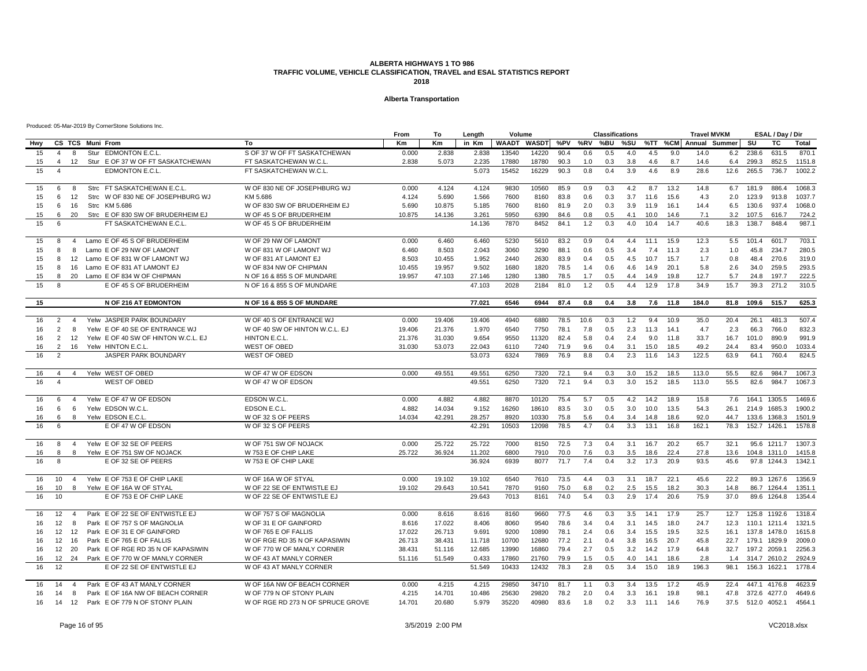### **Alberta Transportation**

|     |                       |                |                  |                                     |                                       | From   | To     | Length | Volume |       |      |         | <b>Classifications</b> |     |      |      | <b>Travel MVKM</b>    |      |       | ESAL / Day / Dir |        |
|-----|-----------------------|----------------|------------------|-------------------------------------|---------------------------------------|--------|--------|--------|--------|-------|------|---------|------------------------|-----|------|------|-----------------------|------|-------|------------------|--------|
| Hwy |                       |                | CS TCS Muni From |                                     | To                                    | Km     | Кm     | in Km  | WAADT  | WASDT |      | %PV %RV | %BU                    | %SU |      |      | %TT %CM Annual Summer |      | SU    | TC               | Total  |
| 15  | $\overline{4}$        | 8              |                  | Stur EDMONTON E.C.L.                | S OF 37 W OF FT SASKATCHEWAN          | 0.000  | 2.838  | 2.838  | 13540  | 14220 | 90.4 | 0.6     | 0.5                    | 4.0 | 4.5  | 9.0  | 14.0                  | 6.2  | 238.6 | 631.5            | 870.1  |
| 15  | $\overline{4}$        | 12             |                  | Stur E OF 37 W OF FT SASKATCHEWAN   | FT SASKATCHEWAN W.C.L                 | 2.838  | 5.073  | 2.235  | 17880  | 18780 | 90.3 | 1.0     | 0.3                    | 3.8 | 4.6  | 8.7  | 14.6                  | 6.4  | 299.3 | 852.5            | 1151.8 |
| 15  | $\overline{4}$        |                |                  | EDMONTON E.C.L.                     | FT SASKATCHEWAN W.C.L.                |        |        | 5.073  | 15452  | 16229 | 90.3 | 0.8     | 0.4                    | 3.9 | 4.6  | 8.9  | 28.6                  | 12.6 | 265.5 | 736.7            | 1002.2 |
|     |                       |                |                  |                                     |                                       |        |        |        |        |       |      |         |                        |     |      |      |                       |      |       |                  |        |
| 15  | 6                     | 8              |                  | Strc FT SASKATCHEWAN E.C.L          | W OF 830 NE OF JOSEPHBURG WJ          | 0.000  | 4.124  | 4.124  | 9830   | 10560 | 85.9 | 0.9     | 0.3                    | 4.2 | 8.7  | 13.2 | 14.8                  | 6.7  | 181.9 | 886.4            | 1068.3 |
| 15  | 6                     | 12             |                  | Strc W OF 830 NE OF JOSEPHBURG WJ   | KM 5.686                              | 4.124  | 5.690  | 1.566  | 7600   | 8160  | 83.8 | 0.6     | 0.3                    | 3.7 | 11.6 | 15.6 | 4.3                   | 2.0  | 123.9 | 913.8            | 1037.7 |
| 15  | 6                     | 16             |                  | Strc KM 5.686                       | W OF 830 SW OF BRUDERHEIM EJ          | 5.690  | 10.875 | 5.185  | 7600   | 8160  | 81.9 | 2.0     | 0.3                    | 3.9 | 11.9 | 16.1 | 14.4                  | 6.5  | 130.6 | 937.4            | 1068.0 |
| 15  | ĥ                     | 20             |                  | Strc E OF 830 SW OF BRUDERHEIM EJ   | W OF 45 S OF BRUDERHEIM               | 10.875 | 14.136 | 3.261  | 5950   | 6390  | 84.6 | 0.8     | 0.5                    | 4.1 | 10.0 | 14.6 | 7.1                   | 3.2  | 107.5 | 616.7            | 724.2  |
| 15  | 6                     |                |                  | FT SASKATCHEWAN E.C.L               | W OF 45 S OF BRUDERHEIM               |        |        | 14.136 | 7870   | 8452  | 84.1 | 1.2     | 0.3                    | 4.0 | 10.4 | 14.7 | 40.6                  | 18.3 | 138.7 | 848.4            | 987.1  |
|     |                       |                |                  |                                     |                                       |        |        |        |        |       |      |         |                        |     |      |      |                       |      |       |                  |        |
| 15  | 8                     | $\overline{4}$ |                  | Lamo E OF 45 S OF BRUDERHEIM        | W OF 29 NW OF LAMONT                  | 0.000  | 6.460  | 6.460  | 5230   | 5610  | 83.2 | 0.9     | 0.4                    | 4.4 | 11.1 | 15.9 | 12.3                  | 5.5  | 101.4 | 601.7            | 703.1  |
| 15  | 8                     | 8              |                  | Lamo E OF 29 NW OF LAMONT           | W OF 831 W OF LAMONT WJ               | 6.460  | 8.503  | 2.043  | 3060   | 3290  | 88.1 | 0.6     | 0.5                    | 3.4 | 7.4  | 11.3 | 2.3                   | 1.0  | 45.8  | 234.7            | 280.5  |
| 15  | 8                     | 12             |                  | Lamo E OF 831 W OF LAMONT WJ        | W OF 831 AT LAMONT EJ                 | 8.503  | 10.455 | 1.952  | 2440   | 2630  | 83.9 | 0.4     | 0.5                    | 4.5 | 10.7 | 15.7 | 1.7                   | 0.8  | 48.4  | 270.6            | 319.0  |
| 15  | 8                     | 16             |                  | Lamo E OF 831 AT LAMONT EJ          | W OF 834 NW OF CHIPMAN                | 10.455 | 19.957 | 9.502  | 1680   | 1820  | 78.5 | 1.4     | 0.6                    | 4.6 | 14.9 | 20.1 | 5.8                   | 2.6  | 34.0  | 259.5            | 293.5  |
| 15  | 8                     | 20             |                  | Lamo E OF 834 W OF CHIPMAN          | N OF 16 & 855 S OF MUNDARE            | 19.957 | 47.103 | 27.146 | 1280   | 1380  | 78.5 | 1.7     | 0.5                    | 4.4 | 14.9 | 19.8 | 12.7                  | 5.7  | 24.8  | 197.7            | 222.5  |
| 15  | 8                     |                |                  | E OF 45 S OF BRUDERHEIM             | N OF 16 & 855 S OF MUNDARE            |        |        | 47.103 | 2028   | 2184  | 81.0 | 1.2     | 0.5                    | 4.4 | 12.9 | 17.8 | 34.9                  | 15.7 | 39.3  | 271.2            | 310.5  |
|     |                       |                |                  |                                     |                                       |        |        |        |        |       |      |         |                        |     |      |      |                       |      |       |                  |        |
| 15  |                       |                |                  | N OF 216 AT EDMONTON                | <b>N OF 16 &amp; 855 S OF MUNDARE</b> |        |        | 77.021 | 6546   | 6944  | 87.4 | 0.8     | 0.4                    | 3.8 | 7.6  | 11.8 | 184.0                 | 81.8 | 109.6 | 515.7            | 625.3  |
|     |                       |                |                  |                                     |                                       |        |        |        |        |       |      |         |                        |     |      |      |                       |      |       |                  |        |
| 16  | 2                     | $\overline{4}$ |                  | Yelw JASPER PARK BOUNDARY           | W OF 40 S OF ENTRANCE WJ              | 0.000  | 19.406 | 19.406 | 4940   | 6880  | 78.5 | 10.6    | 0.3                    | 1.2 | 9.4  | 10.9 | 35.0                  | 20.4 | 26.1  | 481.3            | 507.4  |
| 16  | 2                     | -8             |                  | Yelw E OF 40 SE OF ENTRANCE WJ      | W OF 40 SW OF HINTON W.C.L. EJ        | 19.406 | 21.376 | 1.970  | 6540   | 7750  | 78.1 | 7.8     | 0.5                    | 2.3 | 11.3 | 14.1 | 4.7                   | 2.3  | 66.3  | 766.0            | 832.3  |
| 16  | 2                     | 12             |                  | Yelw E OF 40 SW OF HINTON W.C.L. EJ | HINTON E.C.L.                         | 21.376 | 31.030 | 9.654  | 9550   | 11320 | 82.4 | 5.8     | 0.4                    | 2.4 | 9.0  | 11.8 | 33.7                  | 16.7 | 101.0 | 890.9            | 991.9  |
| 16  | $\overline{2}$        | 16             |                  | Yelw HINTON E.C.L                   | <b>WEST OF OBED</b>                   | 31.030 | 53.073 | 22.043 | 6110   | 7240  | 71.9 | 9.6     | 0.4                    | 3.1 | 15.0 | 18.5 | 49.2                  | 24.4 | 83.4  | 950.0            | 1033.4 |
| 16  | $\overline{2}$        |                |                  | JASPER PARK BOUNDARY                | <b>WEST OF OBED</b>                   |        |        | 53.073 | 6324   | 7869  | 76.9 | 8.8     | 0.4                    | 2.3 | 11.6 | 14.3 | 122.5                 | 63.9 | 64.1  | 760.4            | 824.5  |
|     |                       |                |                  |                                     |                                       |        |        |        |        |       |      |         |                        |     |      |      |                       |      |       |                  |        |
| 16  | $\overline{4}$        | $\overline{4}$ |                  | Yelw WEST OF OBED                   | W OF 47 W OF EDSON                    | 0.000  | 49.551 | 49.551 | 6250   | 7320  | 72.1 | 9.4     | 0.3                    | 3.0 | 15.2 | 18.5 | 113.0                 | 55.5 | 82.6  | 984.7            | 1067.3 |
| 16  | $\boldsymbol{\Delta}$ |                |                  | <b>WEST OF OBED</b>                 | W OF 47 W OF EDSON                    |        |        | 49.551 | 6250   | 7320  | 72.1 | 9.4     | 0.3                    | 3.0 | 15.2 | 18.5 | 113.0                 | 55.5 | 82.6  | 984.7            | 1067.3 |
|     |                       |                |                  |                                     |                                       |        |        |        |        |       |      |         |                        |     |      |      |                       |      |       |                  |        |
| 16  | ĥ                     | $\overline{4}$ |                  | Yelw E OF 47 W OF EDSON             | EDSON W.C.L.                          | 0.000  | 4.882  | 4.882  | 8870   | 10120 | 75.4 | 5.7     | 0.5                    | 4.2 | 14.2 | 18.9 | 15.8                  | 7.6  | 164.1 | 1305.5           | 1469.6 |
| 16  | 6                     | 6              |                  | Yelw EDSON W.C.L.                   | EDSON E.C.L.                          | 4.882  | 14.034 | 9.152  | 16260  | 18610 | 83.5 | 3.0     | 0.5                    | 3.0 | 10.0 | 13.5 | 54.3                  | 26.1 |       | 214.9 1685.3     | 1900.2 |
| 16  | 6                     | 8              |                  | Yelw EDSON E.C.L.                   | W OF 32 S OF PEERS                    | 14.034 | 42.291 | 28.257 | 8920   | 10330 | 75.8 | 5.6     | 0.4                    | 3.4 | 14.8 | 18.6 | 92.0                  | 44.7 |       | 133.6 1368.3     | 1501.9 |
| 16  | 6                     |                |                  | E OF 47 W OF EDSON                  | W OF 32 S OF PEERS                    |        |        | 42.291 | 10503  | 12098 | 78.5 | 4.7     | 0.4                    | 3.3 | 13.1 | 16.8 | 162.1                 | 78.3 |       | 152.7 1426.1     | 1578.8 |
| 16  | 8                     | $\overline{4}$ |                  | Yelw E OF 32 SE OF PEERS            | W OF 751 SW OF NOJACK                 | 0.000  | 25.722 | 25.722 | 7000   | 8150  | 72.5 | 7.3     | 0.4                    | 3.1 | 16.7 | 20.2 | 65.7                  | 32.1 |       | 95.6 1211.7      | 1307.3 |
| 16  | 8                     | 8              |                  | Yelw E OF 751 SW OF NOJACK          | W 753 E OF CHIP LAKE                  | 25.722 | 36.924 | 11.202 | 6800   | 7910  | 70.0 | 7.6     | 0.3                    | 3.5 | 18.6 | 22.4 | 27.8                  | 13.6 |       | 104.8 1311.0     | 1415.8 |
| 16  | 8                     |                |                  | E OF 32 SE OF PEERS                 | W 753 E OF CHIP LAKE                  |        |        | 36.924 | 6939   | 8077  | 71.7 | 7.4     | 0.4                    | 3.2 | 17.3 | 20.9 | 93.5                  | 45.6 |       | 97.8 1244.3      | 1342.1 |
|     |                       |                |                  |                                     |                                       |        |        |        |        |       |      |         |                        |     |      |      |                       |      |       |                  |        |
| 16  | 10                    | $\overline{4}$ |                  | Yelw E OF 753 E OF CHIP LAKE        | W OF 16A W OF STYAL                   | 0.000  | 19.102 | 19.102 | 6540   | 7610  | 73.5 | 4.4     | 0.3                    | 3.1 | 18.7 | 22.1 | 45.6                  | 22.2 |       | 89.3 1267.6      | 1356.9 |
| 16  | 10                    | 8              |                  | Yelw E OF 16A W OF STYAL            | W OF 22 SE OF ENTWISTLE EJ            | 19.102 | 29.643 | 10.541 | 7870   | 9160  | 75.0 | 6.8     | 0.2                    | 2.5 | 15.5 | 18.2 | 30.3                  | 14.8 |       | 86.7 1264.4      | 1351.1 |
| 16  | 10                    |                |                  | E OF 753 E OF CHIP LAKE             | W OF 22 SE OF ENTWISTLE EJ            |        |        | 29.643 | 7013   | 8161  | 74.0 | 5.4     | 0.3                    | 2.9 | 17.4 | 20.6 | 75.9                  | 37.0 |       | 89.6 1264.8      | 1354.4 |
|     |                       |                |                  |                                     |                                       |        |        |        |        |       |      |         |                        |     |      |      |                       |      |       |                  |        |
| 16  | 12                    | $\overline{4}$ |                  | Park E OF 22 SE OF ENTWISTLE EJ     | W OF 757 S OF MAGNOLIA                | 0.000  | 8.616  | 8.616  | 8160   | 9660  | 77.5 | 4.6     | 0.3                    | 3.5 | 14.1 | 17.9 | 25.7                  | 12.7 |       | 125.8 1192.6     | 1318.4 |
| 16  | 12                    | 8              |                  | Park E OF 757 S OF MAGNOLIA         | W OF 31 E OF GAINFORD                 | 8.616  | 17.022 | 8.406  | 8060   | 9540  | 78.6 | 3.4     | 0.4                    | 3.1 | 14.5 | 18.0 | 24.7                  | 12.3 |       | 110.1 1211.4     | 1321.5 |
| 16  | 12                    | 12             |                  | Park E OF 31 E OF GAINFORD          | W OF 765 E OF FALLIS                  | 17.022 | 26.713 | 9.691  | 9200   | 10890 | 78.1 | 2.4     | 0.6                    | 3.4 | 15.5 | 19.5 | 32.5                  | 16.1 |       | 137.8 1478.0     | 1615.8 |
| 16  | $12 \overline{ }$     | 16             |                  | Park E OF 765 E OF FALLIS           | W OF RGE RD 35 N OF KAPASIWIN         | 26.713 | 38.431 | 11.718 | 10700  | 12680 | 77.2 | 2.1     | 0.4                    | 3.8 | 16.5 | 20.7 | 45.8                  | 22.7 |       | 179.1 1829.9     | 2009.0 |
| 16  | 12                    | -20            |                  | Park E OF RGE RD 35 N OF KAPASIWIN  | W OF 770 W OF MANLY CORNER            | 38.431 | 51.116 | 12.685 | 13990  | 16860 | 79.4 | 2.7     | 0.5                    | 3.2 | 14.2 | 17.9 | 64.8                  | 32.7 |       | 197.2 2059.1     | 2256.3 |
| 16  | 12                    | 24             |                  | Park E OF 770 W OF MANLY CORNER     | W OF 43 AT MANLY CORNER               | 51.116 | 51.549 | 0.433  | 17860  | 21760 | 79.9 | 1.5     | 0.5                    | 4.0 | 14.1 | 18.6 | 2.8                   | 1.4  |       | 314.7 2610.2     | 2924.9 |
| 16  | 12                    |                |                  | E OF 22 SE OF ENTWISTLE EJ          | W OF 43 AT MANLY CORNER               |        |        | 51.549 | 10433  | 12432 | 78.3 | 2.8     | 0.5                    | 3.4 | 15.0 | 18.9 | 196.3                 | 98.1 |       | 156.3 1622.1     | 1778.4 |
|     |                       |                |                  |                                     |                                       |        |        |        |        |       |      |         |                        |     |      |      |                       |      |       |                  |        |
| 16  | 14                    | $\overline{4}$ |                  | Park E OF 43 AT MANLY CORNER        | W OF 16A NW OF BEACH CORNER           | 0.000  | 4.215  | 4.215  | 29850  | 34710 | 81.7 | 1.1     | 0.3                    | 3.4 | 13.5 | 17.2 | 45.9                  | 22.4 |       | 447.1 4176.8     | 4623.9 |
| 16  | 14                    | 8              |                  | Park E OF 16A NW OF BEACH CORNER    | W OF 779 N OF STONY PLAIN             | 4.215  | 14.701 | 10.486 | 25630  | 29820 | 78.2 | 2.0     | 0.4                    | 3.3 | 16.1 | 19.8 | 98.1                  | 47.8 |       | 372.6 4277.0     | 4649.6 |
| 16  |                       | 14 12          |                  | Park E OF 779 N OF STONY PLAIN      | W OF RGE RD 273 N OF SPRUCE GROVE     | 14.701 | 20,680 | 5.979  | 35220  | 40980 | 83.6 | 1.8     | 0.2                    | 3.3 | 11.1 | 14.6 | 76.9                  | 37.5 |       | 512.0 4052.1     | 4564.1 |
|     |                       |                |                  |                                     |                                       |        |        |        |        |       |      |         |                        |     |      |      |                       |      |       |                  |        |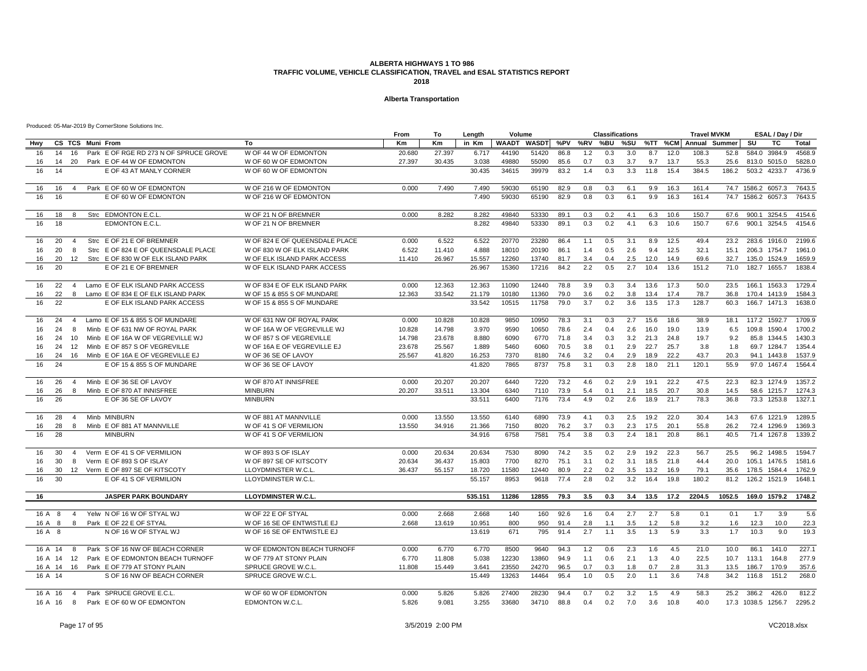### **Alberta Transportation**

|      |         |                |                  |                                        |                                | From   | To     | Length  | Volume       |       |      |     | <b>Classifications</b> |     |      |         | <b>Travel MVKM</b> |        |            | ESAL / Day / Dir   |        |
|------|---------|----------------|------------------|----------------------------------------|--------------------------------|--------|--------|---------|--------------|-------|------|-----|------------------------|-----|------|---------|--------------------|--------|------------|--------------------|--------|
| Hwy  |         |                | CS TCS Muni From |                                        | To                             | Кm     | Кm     | in Km   | <b>WAADT</b> | WASDT | %PV  | %RV | %BU                    | %SU |      | %TT %CM | Annual Summer      |        | SU         | TC                 | Total  |
| 16   | 14      | 16             |                  | Park E OF RGE RD 273 N OF SPRUCE GROVE | W OF 44 W OF EDMONTON          | 20.680 | 27.397 | 6.717   | 44190        | 51420 | 86.8 | 1.2 | 0.3                    | 3.0 | 8.7  | 12.0    | 108.3              | 52.8   |            | 584.0 3984.9       | 4568.9 |
| 16   | 14      | 20             |                  | Park E OF 44 W OF EDMONTON             | W OF 60 W OF EDMONTON          | 27.397 | 30.435 | 3.038   | 49880        | 55090 | 85.6 | 0.7 | 0.3                    | 3.7 | 9.7  | 13.7    | 55.3               | 25.6   |            | 813.0 5015.0       | 5828.0 |
| 16   | 14      |                |                  | E OF 43 AT MANLY CORNER                | W OF 60 W OF EDMONTON          |        |        | 30.435  | 34615        | 39979 | 83.2 | 1.4 | 0.3                    | 3.3 | 11.8 | 15.4    | 384.5              | 186.2  |            | 503.2 4233.7       | 4736.9 |
|      |         |                |                  |                                        |                                |        |        |         |              |       |      |     |                        |     |      |         |                    |        |            |                    |        |
| 16   | 16      | $\overline{4}$ |                  | Park E OF 60 W OF EDMONTON             | W OF 216 W OF EDMONTON         | 0.000  | 7.490  | 7.490   | 59030        | 65190 | 82.9 | 0.8 | 0.3                    | 6.1 | 9.9  | 16.3    | 161.4              |        |            | 74.7 1586.2 6057.3 | 7643.5 |
| 16   | 16      |                |                  | E OF 60 W OF EDMONTON                  | W OF 216 W OF EDMONTON         |        |        | 7.490   | 59030        | 65190 | 82.9 | 0.8 | 0.3                    | 6.1 | 9.9  | 16.3    | 161.4              |        |            | 74.7 1586.2 6057.3 | 7643.5 |
|      |         |                |                  |                                        |                                |        |        |         |              |       |      |     |                        |     |      |         |                    |        |            |                    |        |
| 16   | 18      | 8              |                  | Strc EDMONTON E.C.L                    | W OF 21 N OF BREMNER           | 0.000  | 8.282  | 8.282   | 49840        | 53330 | 89.1 | 0.3 | 0.2                    | 4.1 | 6.3  | 10.6    | 150.7              | 67.6   |            | 900.1 3254.5       | 4154.6 |
| 16   | 18      |                |                  | <b>EDMONTON E.C.L</b>                  | W OF 21 N OF BREMNER           |        |        | 8.282   | 49840        | 53330 | 89.1 | 0.3 | 0.2                    | 4.1 | 6.3  | 10.6    | 150.7              | 67.6   | 900.1      | 3254.5             | 4154.6 |
|      |         |                |                  |                                        |                                |        |        |         |              |       |      |     |                        |     |      |         |                    |        |            |                    |        |
| 16   | 20      |                |                  | Strc E OF 21 E OF BREMNER              | W OF 824 E OF QUEENSDALE PLACE | 0.000  | 6.522  | 6.522   | 20770        | 23280 | 86.4 | 1.1 | 0.5                    | 3.1 | 8.9  | 12.5    | 49.4               | 23.2   |            | 283.6 1916.0       | 2199.6 |
| 16   | 20      | -8             |                  | Strc E OF 824 E OF QUEENSDALE PLACE    | W OF 830 W OF ELK ISLAND PARK  | 6.522  | 11.410 | 4.888   | 18010        | 20190 | 86.1 | 1.4 | 0.5                    | 2.6 | 9.4  | 12.5    | 32.1               | 15.1   |            | 206.3 1754.7       | 1961.0 |
| 16   | 20      | 12             |                  | Strc E OF 830 W OF ELK ISLAND PARK     | W OF ELK ISLAND PARK ACCESS    | 11.410 | 26.967 | 15.557  | 12260        | 13740 | 81.7 | 3.4 | 0.4                    | 2.5 | 12.0 | 14.9    | 69.6               | 32.7   |            | 135.0 1524.9       | 1659.9 |
| 16   | 20      |                |                  | E OF 21 E OF BREMNER                   | W OF ELK ISLAND PARK ACCESS    |        |        | 26.967  | 15360        | 17216 | 84.2 | 2.2 | 0.5                    | 2.7 | 10.4 | 13.6    | 151.2              | 71.0   |            | 182.7 1655.7       | 1838.4 |
|      |         |                |                  |                                        |                                |        |        |         |              |       |      |     |                        |     |      |         |                    |        |            |                    |        |
| 16   | 22      | $\overline{4}$ |                  | Lamo E OF ELK ISLAND PARK ACCESS       | W OF 834 E OF ELK ISLAND PARK  | 0.000  | 12.363 | 12.363  | 11090        | 12440 | 78.8 | 3.9 | 0.3                    | 3.4 | 13.6 | 17.3    | 50.0               | 23.5   |            | 166.1 1563.3       | 1729.4 |
| 16   | 22      | 8              |                  | Lamo E OF 834 E OF ELK ISLAND PARK     | W OF 15 & 855 S OF MUNDARE     | 12.363 | 33.542 | 21.179  | 10180        | 11360 | 79.0 | 3.6 | 0.2                    | 3.8 | 13.4 | 17.4    | 78.7               | 36.8   |            | 170.4 1413.9       | 1584.3 |
| 16   | 22      |                |                  | E OF ELK ISLAND PARK ACCESS            | W OF 15 & 855 S OF MUNDARE     |        |        | 33.542  | 10515        | 11758 | 79.0 | 3.7 | 0.2                    | 3.6 | 13.5 | 17.3    | 128.7              | 60.3   |            | 166.7 1471.3       | 1638.0 |
| 16   | 24      | $\overline{4}$ |                  | Lamo E OF 15 & 855 S OF MUNDARE        | W OF 631 NW OF ROYAL PARK      | 0.000  | 10.828 | 10.828  | 9850         | 10950 | 78.3 | 3.1 | 0.3                    | 2.7 | 15.6 | 18.6    | 38.9               | 18.1   |            | 117.2 1592.7       | 1709.9 |
| 16   | 24      | 8              |                  | Minb E OF 631 NW OF ROYAL PARK         | W OF 16A W OF VEGREVILLE WJ    | 10.828 | 14.798 | 3.970   | 9590         | 10650 | 78.6 | 2.4 | 0.4                    | 2.6 | 16.0 | 19.0    | 13.9               | 6.5    |            | 109.8 1590.4       | 1700.2 |
| 16   | 24      | 10             |                  | Minb E OF 16A W OF VEGREVILLE WJ       | W OF 857 S OF VEGREVILLE       | 14.798 | 23.678 | 8.880   | 6090         | 6770  | 71.8 | 3.4 | 0.3                    | 3.2 | 21.3 | 24.8    | 19.7               | 9.2    |            | 85.8 1344.5        | 1430.3 |
| 16   | 24      | 12             |                  | Minb E OF 857 S OF VEGREVILLE          | W OF 16A E OF VEGREVILLE EJ    | 23.678 | 25.567 | 1.889   | 5460         | 6060  | 70.5 | 3.8 | 0.1                    | 2.9 | 22.7 | 25.7    | 3.8                | 1.8    |            | 69.7 1284.7        | 1354.4 |
| 16   | 24      | 16             |                  | Minb E OF 16A E OF VEGREVILLE EJ       | W OF 36 SE OF LAVOY            | 25.567 | 41.820 | 16.253  | 7370         | 8180  | 74.6 | 3.2 | 0.4                    | 2.9 | 18.9 | 22.2    | 43.7               | 20.3   |            | 94.1 1443.8        | 1537.9 |
| 16   | 24      |                |                  | E OF 15 & 855 S OF MUNDARE             | W OF 36 SE OF LAVOY            |        |        | 41.820  | 7865         | 8737  | 75.8 | 3.1 | 0.3                    | 2.8 | 18.0 | 21.1    | 120.1              | 55.9   |            | 97.0 1467.4        | 1564.4 |
|      |         |                |                  |                                        |                                |        |        |         |              |       |      |     |                        |     |      |         |                    |        |            |                    |        |
| 16   | 26      | $\overline{4}$ |                  | Minb E OF 36 SE OF LAVOY               | W OF 870 AT INNISFREE          | 0.000  | 20,207 | 20.207  | 6440         | 7220  | 73.2 | 4.6 | 0.2                    | 2.9 | 19.1 | 22.2    | 47.5               | 22.3   |            | 82.3 1274.9        | 1357.2 |
| 16   | 26      | 8              |                  | Minb E OF 870 AT INNISFREE             | <b>MINBURN</b>                 | 20.207 | 33.511 | 13.304  | 6340         | 7110  | 73.9 | 5.4 | 0.1                    | 2.1 | 18.5 | 20.7    | 30.8               | 14.5   |            | 58.6 1215.7        | 1274.3 |
| 16   | 26      |                |                  | E OF 36 SE OF LAVOY                    | <b>MINBURN</b>                 |        |        | 33.511  | 6400         | 7176  | 73.4 | 4.9 | 0.2                    | 2.6 | 18.9 | 21.7    | 78.3               | 36.8   |            | 73.3 1253.8        | 1327.1 |
|      |         |                |                  |                                        |                                |        |        |         |              |       |      |     |                        |     |      |         |                    |        |            |                    |        |
| 16   | 28      | $\overline{4}$ |                  | Minb MINBURN                           | W OF 881 AT MANNVILLE          | 0.000  | 13.550 | 13.550  | 6140         | 6890  | 73.9 | 4.1 | 0.3                    | 2.5 | 19.2 | 22.0    | 30.4               | 14.3   |            | 67.6 1221.9        | 1289.5 |
| 16   | 28      | 8              |                  | Minb E OF 881 AT MANNVILLE             | W OF 41 S OF VERMILION         | 13.550 | 34.916 | 21.366  | 7150         | 8020  | 76.2 | 3.7 | 0.3                    | 2.3 | 17.5 | 20.1    | 55.8               | 26.2   |            | 72.4 1296.9        | 1369.3 |
| 16   | 28      |                |                  | <b>MINBURN</b>                         | W OF 41 S OF VERMILION         |        |        | 34.916  | 6758         | 7581  | 75.4 | 3.8 | 0.3                    | 2.4 | 18.1 | 20.8    | 86.1               | 40.5   |            | 71.4 1267.8        | 1339.2 |
|      |         |                |                  |                                        |                                |        |        |         |              |       |      |     |                        |     |      |         |                    |        |            |                    |        |
| 16   | 30      |                |                  | Verm E OF 41 S OF VERMILION            | W OF 893 S OF ISLAY            | 0.000  | 20.634 | 20.634  | 7530         | 8090  | 74.2 | 3.5 | 0.2                    | 2.9 | 19.2 | 22.3    | 56.7               | 25.5   |            | 96.2 1498.5        | 1594.7 |
| 16   | 30      | 8              |                  | Verm E OF 893 S OF ISLAY               | W OF 897 SE OF KITSCOTY        | 20.634 | 36.437 | 15.803  | 7700         | 8270  | 75.1 | 3.1 | 0.2                    | 3.1 | 18.5 | 21.8    | 44.4               | 20.0   |            | 105.1 1476.5       | 1581.6 |
| 16   | 30      |                |                  | 12 Verm E OF 897 SE OF KITSCOTY        | LLOYDMINSTER W.C.L             | 36.437 | 55.157 | 18.720  | 11580        | 12440 | 80.9 | 2.2 | 0.2                    | 3.5 | 13.2 | 16.9    | 79.1               | 35.6   |            | 178.5 1584.4       | 1762.9 |
| 16   | 30      |                |                  | E OF 41 S OF VERMILION                 | LLOYDMINSTER W.C.L.            |        |        | 55.157  | 8953         | 9618  | 77.4 | 2.8 | 0.2                    | 3.2 | 16.4 | 19.8    | 180.2              | 81.2   |            | 126.2 1521.9       | 1648.1 |
| 16   |         |                |                  | JASPER PARK BOUNDARY                   | <b>LLOYDMINSTER W.C.L</b>      |        |        | 535.151 | 11286        | 12855 | 79.3 | 3.5 | 0.3                    | 3.4 | 13.5 | 17.2    | 2204.5             | 1052.5 |            | 169.0 1579.2       | 1748.2 |
|      |         |                |                  |                                        |                                |        |        |         |              |       |      |     |                        |     |      |         |                    |        |            |                    |        |
| 16 A | -8      | $\overline{4}$ |                  | Yelw N OF 16 W OF STYAL WJ             | W OF 22 E OF STYAL             | 0.000  | 2.668  | 2.668   | 140          | 160   | 92.6 | 1.6 | 0.4                    | 2.7 | 2.7  | 5.8     | 0.1                | 0.1    | 1.7        | 3.9                | 5.6    |
| 16 A | -8      | 8              |                  | Park E OF 22 E OF STYAL                | W OF 16 SE OF ENTWISTLE EJ     | 2.668  | 13.619 | 10.951  | 800          | 950   | 91.4 | 2.8 | 1.1                    | 3.5 | 1.2  | 5.8     | 3.2                | 1.6    | 12.3       | 10.0               | 22.3   |
| 16 A | - 8     |                |                  | N OF 16 W OF STYAL WJ                  | W OF 16 SE OF ENTWISTLE EJ     |        |        | 13.619  | 671          | 795   | 91.4 | 2.7 | 1.1                    | 3.5 | 1.3  | 5.9     | 3.3                | 1.7    | 10.3       | 9.0                | 19.3   |
| 16 A | 14      | 8              |                  | Park S OF 16 NW OF BEACH CORNER        | W OF EDMONTON BEACH TURNOFF    | 0.000  | 6.770  | 6.770   | 8500         | 9640  | 94.3 | 1.2 | 0.6                    | 2.3 | 1.6  | 4.5     | 21.0               | 10.0   | 86.1       | 141.0              | 227.1  |
|      |         | 16 A 14 12     |                  | Park E OF EDMONTON BEACH TURNOFF       | W OF 779 AT STONY PLAIN        | 6.770  | 11.808 | 5.038   | 12230        | 13860 | 94.9 | 1.1 | 0.6                    | 2.1 | 1.3  | 4.0     | 22.5               |        | 10.7 113.1 | 164.8              | 277.9  |
|      | 16 A 14 | 16             |                  | Park E OF 779 AT STONY PLAIN           | SPRUCE GROVE W.C.L             | 11.808 | 15.449 | 3.641   | 23550        | 24270 | 96.5 | 0.7 | 0.3                    | 1.8 | 0.7  | 2.8     | 31.3               | 13.5   | 186.7      | 170.9              | 357.6  |
|      | 16 A 14 |                |                  | S OF 16 NW OF BEACH CORNER             | SPRUCE GROVE W.C.L.            |        |        | 15.449  | 13263        | 14464 | 95.4 | 1.0 | 0.5                    | 2.0 | 1.1  | 3.6     | 74.8               | 34.2   | 116.8      | 151.2              | 268.0  |
|      |         |                |                  |                                        |                                |        |        |         |              |       |      |     |                        |     |      |         |                    |        |            |                    |        |
|      | 16 A 16 | -4             |                  | Park SPRUCE GROVE E.C.L                | W OF 60 W OF EDMONTON          | 0.000  | 5.826  | 5.826   | 27400        | 28230 | 94.4 | 0.7 | 0.2                    | 3.2 | 1.5  | 4.9     | 58.3               | 25.2   | 386.2      | 426.0              | 812.2  |
|      |         | 16 A 16 8      |                  | Park E OF 60 W OF EDMONTON             | EDMONTON W.C.L.                | 5.826  | 9.081  | 3.255   | 33680        | 34710 | 88.8 | 0.4 | 0.2                    | 7.0 | 3.6  | 10.8    | 40.0               |        |            | 17.3 1038.5 1256.7 | 2295.2 |
|      |         |                |                  |                                        |                                |        |        |         |              |       |      |     |                        |     |      |         |                    |        |            |                    |        |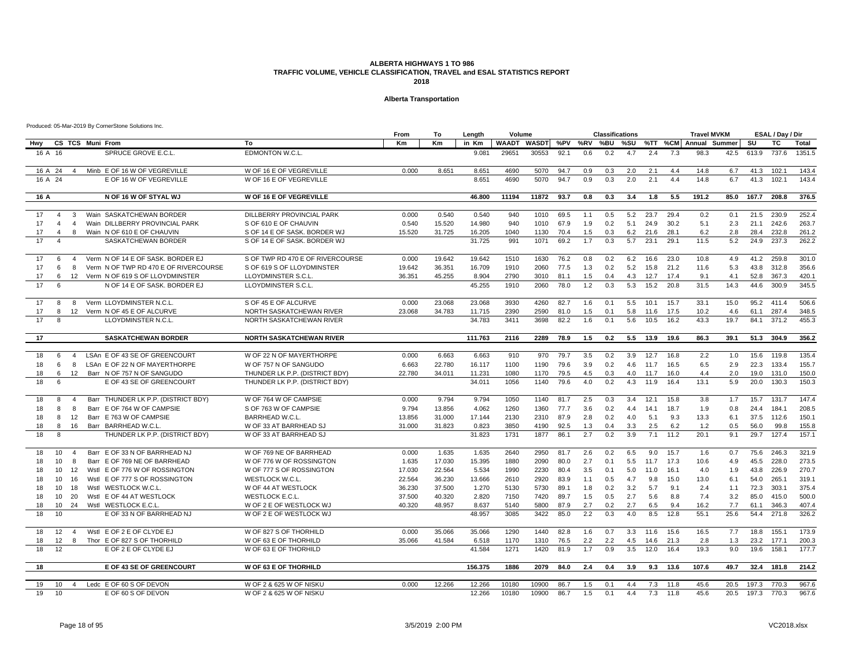### **Alberta Transportation**

|          |                                  |                |                  |                                                             |                                                                  | From            | To               | Length           | Volume       |              |              |            | <b>Classifications</b> |            |              |              | <b>Travel MVKM</b> |               |              | ESAL / Day / Dir |                |
|----------|----------------------------------|----------------|------------------|-------------------------------------------------------------|------------------------------------------------------------------|-----------------|------------------|------------------|--------------|--------------|--------------|------------|------------------------|------------|--------------|--------------|--------------------|---------------|--------------|------------------|----------------|
| Hwy      |                                  |                | CS TCS Muni From |                                                             | To                                                               | Km              | Кm               | in Km            | WAADT        | <b>WASDT</b> | %PV          | %RV        | %BU                    | %SU        |              | %TT %CM      |                    | Annual Summer | SU           | <b>TC</b>        | <b>Total</b>   |
| 16 A     | 16                               |                |                  | SPRUCE GROVE E.C.L.                                         | EDMONTON W.C.L.                                                  |                 |                  | 9.081            | 29651        | 30553        | 92.1         | 0.6        | 0.2                    | 4.7        | 2.4          | 7.3          | 98.3               | 42.5          | 613.9        | 737.6            | 1351.5         |
|          | 16 A 24                          |                |                  | Minb E OF 16 W OF VEGREVILLE                                | W OF 16 E OF VEGREVILLE                                          | 0.000           | 8.651            | 8.651            | 4690         | 5070         | 94.7         | 0.9        | 0.3                    | 2.0        | 2.1          | 4.4          | 14.8               | 6.7           | 41.3         | 102.1            | 143.4          |
|          | 16 A 24                          |                |                  | E OF 16 W OF VEGREVILLE                                     | W OF 16 E OF VEGREVILLE                                          |                 |                  | 8.651            | 4690         | 5070         | 94.7         | 0.9        | 0.3                    | 2.0        | 2.1          | 4.4          | 14.8               | 6.7           | 41.3         | 102.1            | 143.4          |
| 16 A     |                                  |                |                  | N OF 16 W OF STYAL WJ                                       | W OF 16 E OF VEGREVILLE                                          |                 |                  | 46.800           | 11194        | 11872        | 93.7         | 0.8        | 0.3                    | 3.4        | 1.8          | 5.5          | 191.2              | 85.0          | 167.7        | 208.8            | 376.5          |
|          | $\overline{4}$                   |                |                  |                                                             |                                                                  |                 |                  |                  |              |              |              |            |                        |            |              |              |                    |               |              |                  |                |
| 17       |                                  | 3              |                  | Wain SASKATCHEWAN BORDER                                    | DILLBERRY PROVINCIAL PARK                                        | 0.000           | 0.540            | 0.540            | 940          | 1010         | 69.5         | 1.1        | 0.5                    | 5.2        | 23.7         | 29.4         | 0.2                | 0.1           | 21.5         | 230.9            | 252.4<br>263.7 |
| 17       | $\overline{4}$<br>$\overline{4}$ | $\overline{4}$ |                  | Wain DILLBERRY PROVINCIAL PARK                              | S OF 610 E OF CHAUVIN                                            | 0.540<br>15.520 | 15.520           | 14.980           | 940          | 1010         | 67.9<br>70.4 | 1.9        | 0.2                    | 5.1        | 24.9<br>21.6 | 30.2<br>28.1 | 5.1                | 2.3<br>2.8    | 21.1<br>28.4 | 242.6<br>232.8   |                |
| 17<br>17 | $\overline{4}$                   | 8              |                  | Wain N OF 610 E OF CHAUVIN                                  | S OF 14 E OF SASK. BORDER WJ                                     |                 | 31.725           | 16.205           | 1040         | 1130         | 69.2         | 1.5<br>1.7 | 0.3<br>0.3             | 6.2<br>5.7 | 23.1         | 29.1         | 6.2<br>11.5        |               | 24.9         | 237.3            | 261.2<br>262.2 |
|          |                                  |                |                  | SASKATCHEWAN BORDER                                         | S OF 14 E OF SASK, BORDER WJ                                     |                 |                  | 31.725           | 991          | 1071         |              |            |                        |            |              |              |                    | 5.2           |              |                  |                |
| 17       | 6                                | $\overline{4}$ |                  | Verm N OF 14 E OF SASK, BORDER EJ                           | S OF TWP RD 470 E OF RIVERCOURSE                                 | 0.000           | 19.642           | 19.642           | 1510         | 1630         | 76.2         | 0.8        | 0.2                    | 6.2        | 16.6         | 23.0         | 10.8               | 4.9           | 41.2         | 259.8            | 301.0          |
| 17       | 6                                | 8              |                  | Verm N OF TWP RD 470 E OF RIVERCOURSE                       | S OF 619 S OF LLOYDMINSTER                                       | 19.642          | 36.351           | 16.709           | 1910         | 2060         | 77.5         | 1.3        | 0.2                    | 5.2        | 15.8         | 21.2         | 11.6               | 5.3           | 43.8         | 312.8            | 356.6          |
| 17       | 6                                |                |                  | 12 Verm N OF 619 S OF LLOYDMINSTER                          | <b>LLOYDMINSTER S.C.L</b>                                        | 36.351          | 45.255           | 8.904            | 2790         | 3010         | 81.1         | 1.5        | 0.4                    | 4.3        | 12.7         | 17.4         | 9.1                | 4.1           | 52.8         | 367.3            | 420.1          |
| 17       | 6                                |                |                  | N OF 14 E OF SASK, BORDER EJ                                | LLOYDMINSTER S.C.L.                                              |                 |                  | 45.255           | 1910         | 2060         | 78.0         | 1.2        | 0.3                    | 5.3        | 15.2         | 20.8         | 31.5               | 14.3          | 44.6         | 300.9            | 345.5          |
| 17       | 8                                | 8              |                  | Verm LLOYDMINSTER N.C.L.                                    | S OF 45 E OF ALCURVE                                             | 0.000           | 23.068           | 23.068           | 3930         | 4260         | 82.7         | 1.6        | 0.1                    | 5.5        | 10.1         | 15.7         | 33.1               | 15.0          | 95.2         | 411.4            | 506.6          |
| 17       | 8                                | 12             |                  | Verm N OF 45 E OF ALCURVE                                   | NORTH SASKATCHEWAN RIVER                                         | 23.068          | 34.783           | 11.715           | 2390         | 2590         | 81.0         | 1.5        | 0.1                    | 5.8        | 11.6         | 17.5         | 10.2               | 4.6           | 61.1         | 287.4            | 348.5          |
| 17       | $\mathsf{R}$                     |                |                  | LLOYDMINSTER N.C.L                                          | NORTH SASKATCHEWAN RIVER                                         |                 |                  | 34.783           | 3411         | 3698         | 82.2         | 1.6        | 0.1                    | 5.6        | 10.5         | 16.2         | 43.3               | 19.7          | 84.1         | 371.2            | 455.3          |
| 17       |                                  |                |                  | <b>SASKATCHEWAN BORDER</b>                                  | <b>NORTH SASKATCHEWAN RIVER</b>                                  |                 |                  | 111.763          | 2116         | 2289         | 78.9         | 1.5        | 0.2                    | 5.5        | 13.9         | 19.6         | 86.3               | 39.1          | 51.3         | 304.9            | 356.2          |
|          |                                  |                |                  | LSAn E OF 43 SE OF GREENCOURT                               | W OF 22 N OF MAYERTHORPE                                         |                 |                  |                  |              |              |              |            |                        |            |              |              |                    |               |              |                  |                |
| 18       | 6                                | $\overline{4}$ |                  |                                                             |                                                                  | 0.000           | 6.663            | 6.663            | 910          | 970          | 79.7         | 3.5        | 0.2                    | 3.9        | 12.7         | 16.8         | 2.2                | 1.0           | 15.6         | 119.8            | 135.4          |
| 18<br>18 | 6<br>$\epsilon$                  | 8<br>12        |                  | LSAn E OF 22 N OF MAYERTHORPE<br>Barr N OF 757 N OF SANGUDO | W OF 757 N OF SANGUDO                                            | 6.663<br>22.780 | 22.780<br>34.011 | 16.117<br>11.231 | 1100<br>1080 | 1190<br>1170 | 79.6         | 3.9<br>4.5 | 0.2<br>0.3             | 4.6        | 11.7         | 16.5<br>16.0 | 6.5<br>4.4         | 2.9<br>2.0    | 22.3<br>19.0 | 133.4<br>131.0   | 155.7<br>150.0 |
| 18       | 6                                |                |                  | E OF 43 SE OF GREENCOURT                                    | THUNDER LK P.P. (DISTRICT BDY)<br>THUNDER LK P.P. (DISTRICT BDY) |                 |                  | 34.011           | 1056         | 1140         | 79.5<br>79.6 | 4.0        | 0.2                    | 4.0<br>4.3 | 11.7<br>11.9 | 16.4         | 13.1               | 5.9           | 20.0         | 130.3            | 150.3          |
|          |                                  |                |                  |                                                             |                                                                  |                 |                  |                  |              |              |              |            |                        |            |              |              |                    |               |              |                  |                |
| 18       | 8                                | $\overline{4}$ |                  | Barr THUNDER LK P.P. (DISTRICT BDY)                         | W OF 764 W OF CAMPSIE                                            | 0.000           | 9.794            | 9.794            | 1050         | 1140         | 81.7         | 2.5        | 0.3                    | 3.4        | 12.1         | 15.8         | 3.8                | 1.7           | 15.7         | 131.7            | 147.4          |
| 18       | 8                                | 8              |                  | Barr E OF 764 W OF CAMPSIE                                  | S OF 763 W OF CAMPSIE                                            | 9.794           | 13.856           | 4.062            | 1260         | 1360         | 77.7         | 3.6        | 0.2                    | 4.4        | 14.1         | 18.7         | 1.9                | 0.8           | 24.4         | 184.1            | 208.5          |
| 18       | 8                                | 12             |                  | Barr E 763 W OF CAMPSIE                                     | <b>BARRHEAD W.C.L</b>                                            | 13.856          | 31.000           | 17.144           | 2130         | 2310         | 87.9         | 2.8        | 0.2                    | 4.0        | 5.1          | 9.3          | 13.3               | 6.1           | 37.5         | 112.6            | 150.1          |
| 18       | 8                                | 16             |                  | Barr BARRHEAD W.C.L                                         | W OF 33 AT BARRHEAD SJ                                           | 31.000          | 31.823           | 0.823            | 3850         | 4190         | 92.5         | 1.3        | 0.4                    | 3.3        | 2.5          | 6.2          | 1.2                | 0.5           | 56.0         | 99.8             | 155.8          |
| 18       | 8                                |                |                  | THUNDER LK P.P. (DISTRICT BDY)                              | W OF 33 AT BARRHEAD SJ                                           |                 |                  | 31.823           | 1731         | 1877         | 86.1         | 2.7        | 0.2                    | 3.9        | 7.1          | 11.2         | 20.1               | 9.1           | 29.7         | 127.4            | 157.1          |
| 18       | 10                               | 4              |                  | Barr E OF 33 N OF BARRHEAD NJ                               | W OF 769 NE OF BARRHEAD                                          | 0.000           | 1.635            | 1.635            | 2640         | 2950         | 81.7         | 2.6        | 0.2                    | 6.5        | 9.0          | 15.7         | 1.6                | 0.7           | 75.6         | 246.3            | 321.9          |
| 18       | 10                               | -8             |                  | Barr E OF 769 NE OF BARRHEAD                                | W OF 776 W OF ROSSINGTON                                         | 1.635           | 17.030           | 15.395           | 1880         | 2090         | 80.0         | 2.7        | 0.1                    | 5.5        | 11.7         | 17.3         | 10.6               | 4.9           | 45.5         | 228.0            | 273.5          |
| 18       | 10                               | 12             |                  | Wstl E OF 776 W OF ROSSINGTON                               | W OF 777 S OF ROSSINGTON                                         | 17.030          | 22.564           | 5.534            | 1990         | 2230         | 80.4         | 3.5        | 0.1                    | 5.0        | 11.0         | 16.1         | 4.0                | 1.9           | 43.8         | 226.9            | 270.7          |
| 18       | 10 <sup>1</sup>                  | 16             |                  | Wstl E OF 777 S OF ROSSINGTON                               | WESTLOCK W.C.L.                                                  | 22.564          | 36.230           | 13.666           | 2610         | 2920         | 83.9         | 1.1        | 0.5                    | 4.7        | 9.8          | 15.0         | 13.0               | 6.1           | 54.0         | 265.1            | 319.1          |
| 18       | 10                               | 18             |                  | Wstl WESTLOCK W.C.L                                         | W OF 44 AT WESTLOCK                                              | 36.230          | 37.500           | 1.270            | 5130         | 5730         | 89.1         | 1.8        | 0.2                    | 3.2        | 5.7          | 9.1          | 2.4                | 1.1           | 72.3         | 303.1            | 375.4          |
| 18       | 10                               | -20            |                  | Wstl E OF 44 AT WESTLOCK                                    | WESTLOCK E.C.L.                                                  | 37.500          | 40.320           | 2.820            | 7150         | 7420         | 89.7         | 1.5        | 0.5                    | 2.7        | 5.6          | 8.8          | 7.4                | 3.2           | 85.0         | 415.0            | 500.0          |
| 18       | 10                               | 24             |                  | Wstl WESTLOCK E.C.L                                         | W OF 2 E OF WESTLOCK WJ                                          | 40.320          | 48.957           | 8.637            | 5140         | 5800         | 87.9         | 2.7        | 0.2                    | 2.7        | 6.5          | 9.4          | 16.2               | 7.7           | 61.1         | 346.3            | 407.4          |
| 18       | 10 <sup>10</sup>                 |                |                  | E OF 33 N OF BARRHEAD NJ                                    | W OF 2 E OF WESTLOCK WJ                                          |                 |                  | 48.957           | 3085         | 3422         | 85.0         | 2.2        | 0.3                    | 4.0        | 8.5          | 12.8         | 55.1               | 25.6          | 54.4         | 271.8            | 326.2          |
| 18       | 12 <sup>2</sup>                  | $\overline{4}$ |                  | Wstl E OF 2 E OF CLYDE EJ                                   | W OF 827 S OF THORHILD                                           | 0.000           | 35.066           | 35.066           | 1290         | 1440         | 82.8         | 1.6        | 0.7                    | 3.3        | 11.6         | 15.6         | 16.5               | 7.7           | 18.8         | 155.1            | 173.9          |
| 18       | 12                               | 8              |                  | Thor E OF 827 S OF THORHILD                                 | W OF 63 E OF THORHILD                                            | 35.066          | 41.584           | 6.518            | 1170         | 1310         | 76.5         | 2.2        | 2.2                    | 4.5        | 14.6         | 21.3         | 2.8                | 1.3           | 23.2         | 177.1            | 200.3          |
| 18       | 12                               |                |                  | E OF 2 E OF CLYDE EJ                                        | W OF 63 E OF THORHILD                                            |                 |                  | 41.584           | 1271         | 1420         | 81.9         | 1.7        | 0.9                    | 3.5        | 12.0         | 16.4         | 19.3               | 9.0           | 19.6         | 158.1            | 177.7          |
| 18       |                                  |                |                  | E OF 43 SE OF GREENCOURT                                    | W OF 63 E OF THORHILD                                            |                 |                  | 156.375          | 1886         | 2079         | 84.0         | 2.4        | 0.4                    | 3.9        | 9.3          | 13.6         | 107.6              | 49.7          | 32.4         | 181.8            | 214.2          |
|          |                                  |                |                  |                                                             |                                                                  |                 |                  |                  |              |              |              |            |                        |            |              |              |                    |               |              |                  |                |
| 19       | 10                               | 4              |                  | Ledc E OF 60 S OF DEVON                                     | W OF 2 & 625 W OF NISKU                                          | 0.000           | 12.266           | 12.266           | 10180        | 10900        | 86.7         | 1.5        | 0.1                    | 4.4        | 7.3          | 11.8         | 45.6               | 20.5          | 197.3        | 770.3            | 967.6          |
| 19       | 10                               |                |                  | E OF 60 S OF DEVON                                          | W OF 2 & 625 W OF NISKU                                          |                 |                  | 12.266           | 10180        | 10900        | 86.7         | 1.5        | 0.1                    | 4.4        | 7.3          | 11.8         | 45.6               | 20.5          | 197.3        | 770.3            | 967.6          |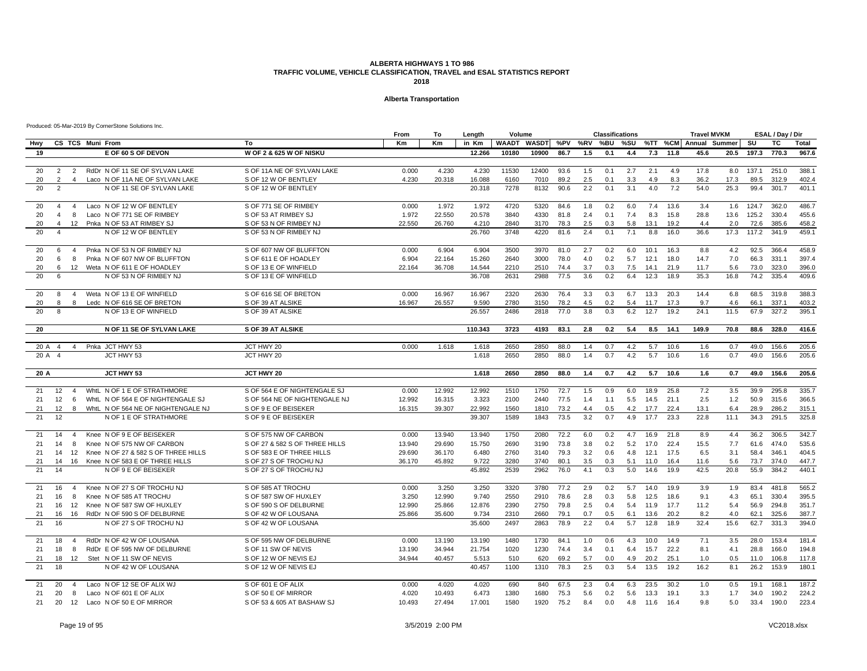### **Alberta Transportation**

|          |                                  |                                                              |                                              | From      | To        | Length           | Volume       |              |              |            | <b>Classifications</b> |            |              |              | <b>Travel MVKM</b>    |             |                  | ESAL / Day / Dir |                |
|----------|----------------------------------|--------------------------------------------------------------|----------------------------------------------|-----------|-----------|------------------|--------------|--------------|--------------|------------|------------------------|------------|--------------|--------------|-----------------------|-------------|------------------|------------------|----------------|
| Hwy      | CS TCS Muni From                 |                                                              | To                                           | <b>Km</b> | <b>Km</b> | in Km            | <b>WAADT</b> | <b>WASDT</b> |              | %PV %RV    | %BU                    | %SU        |              |              | %TT %CM Annual Summer |             | SU               | TC               | Total          |
| 19       |                                  | E OF 60 S OF DEVON                                           | W OF 2 & 625 W OF NISKU                      |           |           | 12.266           | 10180        | 10900        | 86.7         | 1.5        | 0.1                    | 4.4        | 7.3          | 11.8         | 45.6                  |             | 20.5 197.3 770.3 |                  | 967.6          |
|          |                                  |                                                              |                                              |           |           |                  |              |              |              |            |                        |            |              |              |                       |             |                  |                  |                |
| 20       | 2<br>2                           | RdDr N OF 11 SE OF SYLVAN LAKE                               | S OF 11A NE OF SYLVAN LAKE                   | 0.000     | 4.230     | 4.230            | 11530        | 12400        | 93.6         | 1.5        | 0.1                    | 2.7        | 2.1          | 4.9          | 17.8                  | 8.0         | 137.1            | 251.0            | 388.1          |
| 20       | $\overline{2}$<br>$\overline{4}$ | Laco N OF 11A NE OF SYLVAN LAKE                              | S OF 12 W OF BENTLEY                         | 4.230     | 20.318    | 16.088           | 6160         | 7010         | 89.2         | 2.5        | 0.1                    | 3.3        | 4.9          | 8.3          | 36.2                  | 17.3        | 89.5             | 312.9            | 402.4          |
| 20       | $\overline{2}$                   | N OF 11 SE OF SYLVAN LAKE                                    | S OF 12 W OF BENTLEY                         |           |           | 20.318           | 7278         | 8132         | 90.6         | 2.2        | 0.1                    | 3.1        | 4.0          | 7.2          | 54.0                  | 25.3        | 99.4             | 301.7            | 401.1          |
| 20       | $\overline{4}$<br>$\overline{4}$ | Laco N OF 12 W OF BENTLEY                                    | S OF 771 SE OF RIMBEY                        | 0.000     | 1.972     | 1.972            | 4720         | 5320         | 84.6         | 1.8        | 0.2                    | 6.0        | 7.4          | 13.6         | 3.4                   | 1.6         | 124.7            | 362.0            | 486.7          |
| 20       | $\overline{4}$<br>8              | Laco N OF 771 SE OF RIMBEY                                   | S OF 53 AT RIMBEY SJ                         | 1.972     | 22.550    | 20.578           | 3840         | 4330         | 81.8         | 2.4        | 0.1                    | 7.4        | 8.3          | 15.8         | 28.8                  | 13.6        | 125.2            | 330.4            | 455.6          |
| 20       | $\overline{4}$                   | 12 Pnka N OF 53 AT RIMBEY SJ                                 | S OF 53 N OF RIMBEY NJ                       | 22.550    | 26.760    | 4.210            | 2840         | 3170         | 78.3         | 2.5        | 0.3                    | 5.8        | 13.1         | 19.2         | 4.4                   | 2.0         | 72.6             | 385.6            | 458.2          |
| 20       |                                  | N OF 12 W OF BENTLEY                                         | S OF 53 N OF RIMBEY NJ                       |           |           | 26.760           | 3748         | 4220         | 81.6         | 2.4        | 0.1                    | 7.1        | 8.8          | 16.0         | 36.6                  | 17.3        | 117.2            | 341.9            | 459.1          |
| 20       | 6<br>$\overline{4}$              | Pnka N OF 53 N OF RIMBEY NJ                                  | S OF 607 NW OF BLUFFTON                      | 0.000     | 6.904     | 6.904            | 3500         | 3970         | 81.0         | 2.7        | 0.2                    | 6.0        | 10.1         | 16.3         | 8.8                   | 4.2         | 92.5             | 366.4            | 458.9          |
| 20       | 6<br>8                           | Pnka N OF 607 NW OF BLUFFTON                                 | S OF 611 E OF HOADLEY                        | 6.904     | 22.164    | 15.260           | 2640         | 3000         | 78.0         | 4.0        | 0.2                    | 5.7        | 12.1         | 18.0         | 14.7                  | 7.0         | 66.3             | 331.1            | 397.4          |
| 20       | 6<br>12                          | Weta N OF 611 E OF HOADLEY                                   | S OF 13 E OF WINFIELD                        | 22.164    | 36.708    | 14.544           | 2210         | 2510         | 74.4         | 3.7        | 0.3                    | 7.5        | 14.1         | 21.9         | 11.7                  | 5.6         | 73.0             | 323.0            | 396.0          |
| 20       | 6                                | N OF 53 N OF RIMBEY NJ                                       | S OF 13 E OF WINFIELD                        |           |           | 36.708           | 2631         | 2988         | 77.5         | 3.6        | 0.2                    | 6.4        | 12.3         | 18.9         | 35.3                  | 16.8        | 74.2             | 335.4            | 409.6          |
| 20       | 8<br>$\overline{4}$              | Weta N OF 13 E OF WINFIELD                                   | S OF 616 SE OF BRETON                        | 0.000     | 16.967    | 16.967           | 2320         | 2630         | 76.4         | 3.3        | 0.3                    | 6.7        | 13.3         | 20.3         | 14.4                  | 6.8         | 68.5             | 319.8            | 388.3          |
| 20       | 8<br>8                           | Ledc N OF 616 SE OF BRETON                                   | S OF 39 AT ALSIKE                            | 16.967    | 26.557    | 9.590            | 2780         | 3150         | 78.2         | 4.5        | 0.2                    | 5.4        | 11.7         | 17.3         | 9.7                   | 4.6         | 66.1             | 337.1            | 403.2          |
| 20       | 8                                | N OF 13 E OF WINFIELD                                        | S OF 39 AT ALSIKE                            |           |           | 26.557           | 2486         | 2818         | 77.0         | 3.8        | 0.3                    | 6.2        | 12.7         | 19.2         | 24.1                  | 11.5        | 67.9             | 327.2            | 395.1          |
| 20       |                                  | N OF 11 SE OF SYLVAN LAKE                                    | S OF 39 AT ALSIKE                            |           |           | 110.343          | 3723         | 4193         | 83.1         | 2.8        | 0.2                    | 5.4        | 8.5          | 14.1         | 149.9                 | 70.8        | 88.6             | 328.0            | 416.6          |
| 20 A     | $\overline{4}$<br>$\overline{4}$ | Pnka JCT HWY 53                                              | JCT HWY 20                                   | 0.000     | 1.618     | 1.618            | 2650         | 2850         | 88.0         | 1.4        | 0.7                    | 4.2        | 5.7          | 10.6         | 1.6                   | 0.7         | 49.0             | 156.6            | 205.6          |
| 20 A     | $\boldsymbol{\Lambda}$           | JCT HWY 53                                                   | JCT HWY 20                                   |           |           | 1.618            | 2650         | 2850         | 88.0         | 1.4        | 0.7                    | 4.2        | 5.7          | 10.6         | 1.6                   | 0.7         | 49.0             | 156.6            | 205.6          |
|          |                                  |                                                              |                                              |           |           |                  |              |              |              |            |                        |            |              |              |                       |             |                  |                  |                |
| 20 A     |                                  | JCT HWY 53                                                   | JCT HWY 20                                   |           |           | 1.618            | 2650         | 2850         | 88.0         | 1.4        | 0.7                    | 4.2        | 5.7          | 10.6         | 1.6                   | 0.7         | 49.0             | 156.6            | 205.6          |
|          |                                  |                                                              |                                              |           |           |                  |              |              |              |            |                        |            |              |              |                       |             |                  |                  |                |
| 21       | 12<br>$\overline{4}$             | WhtL N OF 1 E OF STRATHMORE                                  | S OF 564 E OF NIGHTENGALE SJ                 | 0.000     | 12.992    | 12.992           | 1510         | 1750         | 72.7         | 1.5        | 0.9                    | 6.0        | 18.9         | 25.8         | 7.2                   | 3.5         | 39.9             | 295.8            | 335.7          |
| 21       | 12<br>- 6                        | WhtL N OF 564 E OF NIGHTENGALE SJ                            | S OF 564 NE OF NIGHTENGALE NJ                | 12.992    | 16.315    | 3.323            | 2100         | 2440         | 77.5         | 1.4        | 1.1                    | 5.5        | 14.5         | 21.1         | 2.5                   | 1.2         | 50.9             | 315.6            | 366.5          |
| 21<br>21 | 12<br>8<br>12                    | WhtL N OF 564 NE OF NIGHTENGALE NJ<br>N OF 1 E OF STRATHMORE | S OF 9 E OF BEISEKER<br>S OF 9 E OF BEISEKER | 16.315    | 39.307    | 22.992<br>39.307 | 1560<br>1589 | 1810<br>1843 | 73.2<br>73.5 | 4.4<br>3.2 | 0.5<br>0.7             | 4.2<br>4.9 | 17.7<br>17.7 | 22.4<br>23.3 | 13.1<br>22.8          | 6.4<br>11.1 | 28.9<br>34.3     | 286.2<br>291.5   | 315.1<br>325.8 |
|          |                                  |                                                              |                                              |           |           |                  |              |              |              |            |                        |            |              |              |                       |             |                  |                  |                |
| 21       | 14<br>$\overline{4}$             | Knee N OF 9 E OF BEISEKER                                    | S OF 575 NW OF CARBON                        | 0.000     | 13.940    | 13.940           | 1750         | 2080         | 72.2         | 6.0        | 0.2                    | 4.7        | 16.9         | 21.8         | 8.9                   | 4.4         | 36.2             | 306.5            | 342.7          |
| 21       | 8<br>14                          | Knee N OF 575 NW OF CARBON                                   | S OF 27 & 582 S OF THREE HILLS               | 13.940    | 29.690    | 15.750           | 2690         | 3190         | 73.8         | 3.8        | 0.2                    | 5.2        | 17.0         | 22.4         | 15.5                  | 7.7         | 61.6             | 474.0            | 535.6          |
| 21       | 14<br>12                         | Knee N OF 27 & 582 S OF THREE HILLS                          | S OF 583 E OF THREE HILLS                    | 29.690    | 36.170    | 6.480            | 2760         | 3140         | 79.3         | 3.2        | 0.6                    | 4.8        | 12.1         | 17.5         | 6.5                   | 3.1         | 58.4             | 346.1            | 404.5          |
| 21       | 14<br>16                         | Knee N OF 583 E OF THREE HILLS                               | S OF 27 S OF TROCHU NJ                       | 36.170    | 45.892    | 9.722            | 3280         | 3740         | 80.1         | 3.5        | 0.3                    | 5.1        | 11.0         | 16.4         | 11.6                  | 5.6         | 73.7             | 374.0            | 447.7          |
| 21       | 14                               | N OF 9 E OF BEISEKER                                         | S OF 27 S OF TROCHU NJ                       |           |           | 45.892           | 2539         | 2962         | 76.0         | 4.1        | 0.3                    | 5.0        | 14.6         | 19.9         | 42.5                  | 20.8        | 55.9             | 384.2            | 440.1          |
| 21       | 16<br>$\overline{4}$             | Knee N OF 27 S OF TROCHU NJ                                  | S OF 585 AT TROCHU                           | 0.000     | 3.250     | 3.250            | 3320         | 3780         | 77.2         | 2.9        | 0.2                    | 5.7        | 14.0         | 19.9         | 3.9                   | 1.9         | 83.4             | 481.8            | 565.2          |
| 21       | 16<br>8                          | Knee N OF 585 AT TROCHU                                      | S OF 587 SW OF HUXLEY                        | 3.250     | 12.990    | 9.740            | 2550         | 2910         | 78.6         | 2.8        | 0.3                    | 5.8        | 12.5         | 18.6         | 9.1                   | 4.3         | 65.1             | 330.4            | 395.5          |
| 21       | 12<br>16                         | Knee N OF 587 SW OF HUXLEY                                   | S OF 590 S OF DELBURNE                       | 12.990    | 25.866    | 12.876           | 2390         | 2750         | 79.8         | 2.5        | 0.4                    | 5.4        | 11.9         | 17.7         | 11.2                  | 5.4         | 56.9             | 294.8            | 351.7          |
| 21       | 16                               | 16 RdDr N OF 590 S OF DELBURNE                               | S OF 42 W OF LOUSANA                         | 25.866    | 35.600    | 9.734            | 2310         | 2660         | 79.1         | 0.7        | 0.5                    | 6.1        | 13.6         | 20.2         | 8.2                   | 4.0         | 62.1             | 325.6            | 387.7          |
| 21       | 16                               | N OF 27 S OF TROCHU NJ                                       | S OF 42 W OF LOUSANA                         |           |           | 35.600           | 2497         | 2863         | 78.9         | 2.2        | 0.4                    | 5.7        | 12.8         | 18.9         | 32.4                  | 15.6        | 62.7             | 331.3            | 394.0          |
| 21       | 18<br>$\overline{4}$             | RdDr N OF 42 W OF LOUSANA                                    | S OF 595 NW OF DELBURNE                      | 0.000     | 13.190    | 13.190           | 1480         | 1730         | 84.1         | 1.0        | 0.6                    | 4.3        | 10.0         | 14.9         | 7.1                   | 3.5         | 28.0             | 153.4            | 181.4          |
| 21       | 18<br>8                          | RdDr E OF 595 NW OF DELBURNE                                 | S OF 11 SW OF NEVIS                          | 13.190    | 34.944    | 21.754           | 1020         | 1230         | 74.4         | 3.4        | 0.1                    | 6.4        | 15.7         | 22.2         | 8.1                   | 4.1         | 28.8             | 166.0            | 194.8          |
| 21       | 18<br>12                         | Stet N OF 11 SW OF NEVIS                                     | S OF 12 W OF NEVIS EJ                        | 34.944    | 40.457    | 5.513            | 510          | 620          | 69.2         | 5.7        | 0.0                    | 4.9        | 20.2         | 25.1         | 1.0                   | 0.5         | 11.0             | 106.8            | 117.8          |
| 21       | 18                               | N OF 42 W OF LOUSANA                                         | S OF 12 W OF NEVIS EJ                        |           |           | 40.457           | 1100         | 1310         | 78.3         | 2.5        | 0.3                    | 5.4        | 13.5         | 19.2         | 16.2                  | 8.1         | 26.2             | 153.9            | 180.1          |
| 21       | 20<br>$\overline{4}$             | Laco N OF 12 SE OF ALIX WJ                                   | S OF 601 E OF ALIX                           | 0.000     | 4.020     | 4.020            | 690          | 840          | 67.5         | 2.3        | 0.4                    | 6.3        | 23.5         | 30.2         | 1.0                   | 0.5         | 19.1             | 168.1            | 187.2          |
| 21       | 20<br>8                          | Laco N OF 601 E OF ALIX                                      | S OF 50 E OF MIRROR                          | 4.020     | 10.493    | 6.473            | 1380         | 1680         | 75.3         | 5.6        | 0.2                    | 5.6        | 13.3         | 19.1         | 3.3                   | 1.7         | 34.0             | 190.2            | 224.2          |
| 21       | 20                               | 12 Laco N OF 50 E OF MIRROR                                  | S OF 53 & 605 AT BASHAW SJ                   | 10.493    | 27.494    | 17.001           | 1580         | 1920         | 75.2         | 8.4        | 0.0                    | 4.8        | 11.6         | 16.4         | 9.8                   | 5.0         | 33.4             | 190.0            | 223.4          |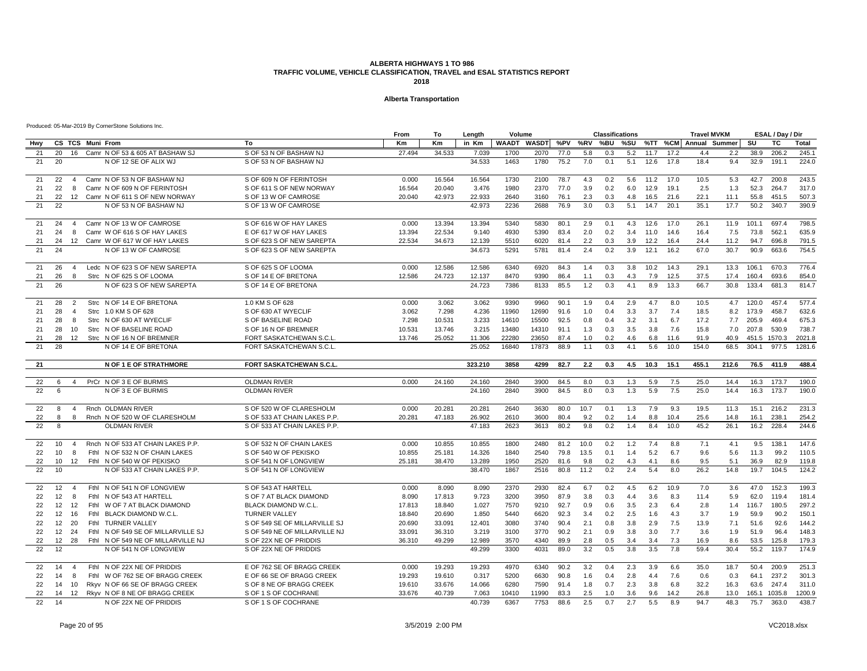### **Alberta Transportation**

|     |                   |                |                                    |                               | From      | То     | Length  | Volume         |                |              |            | <b>Classifications</b> |            |            |              | <b>Travel MVKM</b>    |              |           | ESAL / Day / Dir      |                  |
|-----|-------------------|----------------|------------------------------------|-------------------------------|-----------|--------|---------|----------------|----------------|--------------|------------|------------------------|------------|------------|--------------|-----------------------|--------------|-----------|-----------------------|------------------|
| Hwy |                   |                | CS TCS Muni From                   | To                            | <b>Km</b> | Кm     | in Km   | <b>WAADT</b>   | WASDT %PV %RV  |              |            | %BU                    | %SU        |            |              | %TT %CM Annual Summer |              | SU        | TC                    | Total            |
| 21  | 20                |                | 16 Camr N OF 53 & 605 AT BASHAW SJ | S OF 53 N OF BASHAW NJ        | 27.494    | 34.533 | 7.039   | 1700           | 2070           | 77.0         | 5.8        | 0.3                    | 5.2        | 11.7       | 17.2         | 4.4                   | 2.2          | 38.9      | 206.2                 | 245.1            |
| 21  | 20                |                | N OF 12 SE OF ALIX WJ              | S OF 53 N OF BASHAW NJ        |           |        | 34.533  | 1463           | 1780           | 75.2         | 7.0        | 0.1                    | 5.1        | 12.6       | 17.8         | 18.4                  | 9.4          | 32.9      | 191.1                 | 224.0            |
| 21  | 22                | $\overline{4}$ | Camr N OF 53 N OF BASHAW NJ        | S OF 609 N OF FERINTOSH       | 0.000     | 16.564 | 16.564  | 1730           | 2100           | 78.7         | 4.3        | 0.2                    | 5.6        | 11.2       | 17.0         | 10.5                  | 5.3          | 42.7      | 200.8                 | 243.5            |
| 21  | 22                | 8              | Camr N OF 609 N OF FERINTOSH       | S OF 611 S OF NEW NORWAY      | 16.564    | 20.040 | 3.476   | 1980           | 2370           | 77.0         | 3.9        | 0.2                    | 6.0        | 12.9       | 19.1         | 2.5                   | 1.3          | 52.3      | 264.7                 | 317.0            |
| 21  | 22                | 12             | Camr N OF 611 S OF NEW NORWAY      | S OF 13 W OF CAMROSE          | 20.040    | 42.973 | 22.933  | 2640           | 3160           | 76.1         | 2.3        | 0.3                    | 4.8        | 16.5       | 21.6         | 22.1                  | 11.1         | 55.8      | 451.5                 | 507.3            |
| 21  | 22                |                | N OF 53 N OF BASHAW NJ             | S OF 13 W OF CAMROSE          |           |        | 42.973  | 2236           | 2688           | 76.9         | 3.0        | 0.3                    | 5.1        | 14.7       | 20.1         | 35.1                  | 17.7         | 50.2      | 340.7                 | 390.9            |
| 21  | 24                | $\overline{4}$ | Camr N OF 13 W OF CAMROSE          | S OF 616 W OF HAY LAKES       | 0.000     | 13.394 | 13.394  | 5340           | 5830           | 80.1         | 2.9        | 0.1                    | 4.3        | 12.6       | 17.0         | 26.1                  | 11.9         | 101.1     | 697.4                 | 798.5            |
| 21  | 24                | 8              | Camr W OF 616 S OF HAY LAKES       | E OF 617 W OF HAY LAKES       | 13.394    | 22.534 | 9.140   | 4930           | 5390           | 83.4         | 2.0        | 0.2                    | 3.4        | 11.0       | 14.6         | 16.4                  | 7.5          | 73.8      | 562.1                 | 635.9            |
| 21  | 24                | 12             | Camr W OF 617 W OF HAY LAKES       | S OF 623 S OF NEW SAREPTA     | 22.534    | 34.673 | 12.139  | 5510           | 6020           | 81.4         | 2.2        | 0.3                    | 3.9        | 12.2       | 16.4         | 24.4                  | 11.2         | 94.7      | 696.8                 | 791.5            |
| 21  | 24                |                | N OF 13 W OF CAMROSE               | S OF 623 S OF NEW SAREPTA     |           |        | 34.673  | 5291           | 5781           | 81.4         | 2.4        | 0.2                    | 3.9        | 12.1       | 16.2         | 67.0                  | 30.7         | 90.9      | 663.6                 | 754.5            |
| 21  | 26                | $\overline{4}$ | Ledc N OF 623 S OF NEW SAREPTA     | S OF 625 S OF LOOMA           | 0.000     | 12.586 | 12.586  | 6340           | 6920           | 84.3         | 1.4        | 0.3                    | 3.8        | 10.2       | 14.3         | 29.1                  | 13.3         | 106.1     | 670.3                 | 776.4            |
| 21  | 26                |                | Strc N OF 625 S OF LOOMA           | S OF 14 E OF BRETONA          | 12.586    | 24.723 | 12.137  | 8470           | 9390           | 86.4         | 1.1        | 0.3                    | 4.3        | 7.9        | 12.5         | 37.5                  | 17.4         | 160.4     | 693.6                 | 854.0            |
| 21  | 26                |                | N OF 623 S OF NEW SAREPTA          | S OF 14 E OF BRETONA          |           |        | 24.723  | 7386           | 8133           | 85.5         | 1.2        | 0.3                    | 4.1        | 8.9        | 13.3         | 66.7                  | 30.8         | 133.4     | 681.3                 | 814.7            |
| 21  | 28                | $\overline{2}$ | Strc N OF 14 E OF BRETONA          | 1.0 KM S OF 628               | 0.000     | 3.062  | 3.062   | 9390           | 9960           | 90.1         | 1.9        | 0.4                    | 2.9        | 4.7        | 8.0          | 10.5                  | 4.7          | 120.0     | 457.4                 | 577.4            |
| 21  | 28                | $\overline{4}$ | Strc 1.0 KM S OF 628               | S OF 630 AT WYECLIF           | 3.062     | 7.298  | 4.236   | 11960          | 12690          | 91.6         | 1.0        | 0.4                    | 3.3        | 3.7        | 7.4          | 18.5                  |              | 8.2 173.9 | 458.7                 | 632.6            |
| 21  | 28                | -8             | Strc N OF 630 AT WYECLIF           | S OF BASELINE ROAD            | 7.298     | 10.531 | 3.233   | 14610          | 15500          | 92.5         | 0.8        | 0.4                    | 3.2        | 3.1        | 6.7          | 17.2                  |              | 7.7 205.9 | 469.4                 | 675.3            |
| 21  | 28                | 10             | Strc N OF BASELINE ROAD            | S OF 16 N OF BREMNER          | 10.531    | 13.746 | 3.215   | 13480          | 14310          | 91.1         | 1.3        | 0.3                    | 3.5        | 3.8        | 7.6          | 15.8                  | 7.0          | 207.8     | 530.9                 | 738.7            |
| 21  | 28<br>28          | 12             | Strc N OF 16 N OF BREMNER          | FORT SASKATCHEWAN S.C.L       | 13.746    | 25.052 | 11.306  | 22280<br>16840 | 23650<br>17873 | 87.4<br>88.9 | 1.0<br>1.1 | 0.2<br>0.3             | 4.6<br>4.1 | 6.8<br>5.6 | 11.6<br>10.0 | 91.9<br>154.0         | 40.9<br>68.5 | 304.1     | 451.5 1570.3<br>977.5 | 2021.8<br>1281.6 |
| 21  |                   |                | N OF 14 E OF BRETONA               | FORT SASKATCHEWAN S.C.L.      |           |        | 25.052  |                |                |              |            |                        |            |            |              |                       |              |           |                       |                  |
| 21  |                   |                | N OF 1 E OF STRATHMORE             | FORT SASKATCHEWAN S.C.L.      |           |        | 323.210 | 3858           | 4299           | 82.7         | 2.2        | 0.3                    | 4.5        | 10.3       | 15.1         | 455.1                 | 212.6        |           | 76.5 411.9            | 488.4            |
| 22  | 6                 | $\overline{4}$ | PrCr N OF 3 E OF BURMIS            | <b>OLDMAN RIVER</b>           | 0.000     | 24.160 | 24.160  | 2840           | 3900           | 84.5         | 8.0        | 0.3                    | 1.3        | 5.9        | 7.5          | 25.0                  | 14.4         | 16.3      | 173.7                 | 190.0            |
| 22  | 6                 |                | N OF 3 E OF BURMIS                 | <b>OLDMAN RIVER</b>           |           |        | 24.160  | 2840           | 3900           | 84.5         | 8.0        | 0.3                    | 1.3        | 5.9        | 7.5          | 25.0                  | 14.4         | 16.3      | 173.7                 | 190.0            |
| 22  | 8                 | $\overline{4}$ | Rnch OLDMAN RIVER                  | S OF 520 W OF CLARESHOLM      | 0.000     | 20.281 | 20.281  | 2640           | 3630           | 80.0         | 10.7       | 0.1                    | 1.3        | 7.9        | 9.3          | 19.5                  | 11.3         | 15.1      | 216.2                 | 231.3            |
| 22  | 8                 | 8              | Rnch N OF 520 W OF CLARESHOLM      | S OF 533 AT CHAIN LAKES P.P.  | 20.281    | 47.183 | 26.902  | 2610           | 3600           | 80.4         | 9.2        | 0.2                    | 1.4        | 8.8        | 10.4         | 25.6                  | 14.8         | 16.1      | 238.1                 | 254.2            |
| 22  | 8                 |                | <b>OLDMAN RIVER</b>                | S OF 533 AT CHAIN LAKES P.P.  |           |        | 47.183  | 2623           | 3613           | 80.2         | 9.8        | 0.2                    | 1.4        | 8.4        | 10.0         | 45.2                  | 26.1         | 16.2      | 228.4                 | 244.6            |
| 22  | 10 <sup>10</sup>  |                | Rnch N OF 533 AT CHAIN LAKES P.P.  | S OF 532 N OF CHAIN LAKES     | 0.000     | 10.855 | 10.855  | 1800           | 2480           | 81.2         | 10.0       | 0.2                    | 1.2        | 7.4        | 8.8          | 7.1                   | 4.1          | 9.5       | 138.1                 | 147.6            |
| 22  | 10                | 8              | FthI N OF 532 N OF CHAIN LAKES     | S OF 540 W OF PEKISKO         | 10.855    | 25.181 | 14.326  | 1840           | 2540           | 79.8         | 13.5       | 0.1                    | 1.4        | 5.2        | 6.7          | 9.6                   | 5.6          | 11.3      | 99.2                  | 110.5            |
| 22  | 10                | 12             | FthI N OF 540 W OF PEKISKO         | S OF 541 N OF LONGVIEW        | 25.181    | 38.470 | 13.289  | 1950           | 2520           | 81.6         | 9.8        | 0.2                    | 4.3        | 4.1        | 8.6          | 9.5                   | 5.1          | 36.9      | 82.9                  | 119.8            |
| 22  | 10 <sup>10</sup>  |                | N OF 533 AT CHAIN LAKES P.P.       | S OF 541 N OF LONGVIEW        |           |        | 38.470  | 1867           | 2516           | 80.8         | 11.2       | 0.2                    | 2.4        | 5.4        | 8.0          | 26.2                  | 14.8         | 19.7      | 104.5                 | 124.2            |
| 22  | 12                | 4              | FthI N OF 541 N OF LONGVIEW        | S OF 543 AT HARTELL           | 0.000     | 8.090  | 8.090   | 2370           | 2930           | 82.4         | 6.7        | 0.2                    | 4.5        | 6.2        | 10.9         | 7.0                   | 3.6          | 47.0      | 152.3                 | 199.3            |
| 22  | 12                | 8              | Fthl N OF 543 AT HARTELL           | S OF 7 AT BLACK DIAMOND       | 8.090     | 17.813 | 9.723   | 3200           | 3950           | 87.9         | 3.8        | 0.3                    | 4.4        | 3.6        | 8.3          | 11.4                  | 5.9          | 62.0      | 119.4                 | 181.4            |
| 22  | $12 \overline{ }$ | 12             | Fthl W OF 7 AT BLACK DIAMOND       | <b>BLACK DIAMOND W.C.L</b>    | 17.813    | 18.840 | 1.027   | 7570           | 9210           | 92.7         | 0.9        | 0.6                    | 3.5        | 2.3        | 6.4          | 2.8                   |              | 1.4 116.7 | 180.5                 | 297.2            |
| 22  | 12                | 16             | <b>BLACK DIAMOND W.C.L</b><br>Fthi | <b>TURNER VALLEY</b>          | 18.840    | 20.690 | 1.850   | 5440           | 6620           | 92.3         | 3.4        | 0.2                    | 2.5        | 1.6        | 4.3          | 3.7                   | 1.9          | 59.9      | 90.2                  | 150.1            |
| 22  | 12                | 20             | FthI TURNER VALLEY                 | S OF 549 SE OF MILLARVILLE SJ | 20.690    | 33.091 | 12.401  | 3080           | 3740           | 90.4         | 2.1        | 0.8                    | 3.8        | 2.9        | 7.5          | 13.9                  | 7.1          | 51.6      | 92.6                  | 144.2            |
| 22  | 12                | 24             | FthI N OF 549 SE OF MILLARVILLE SJ | S OF 549 NE OF MILLARVILLE NJ | 33.091    | 36.310 | 3.219   | 3100           | 3770           | 90.2         | 2.1        | 0.9                    | 3.8        | 3.0        | 7.7          | 3.6                   | 1.9          | 51.9      | 96.4                  | 148.3            |
| 22  | 12 <sup>2</sup>   | 28             | FthI N OF 549 NE OF MILLARVILLE NJ | S OF 22X NE OF PRIDDIS        | 36.310    | 49.299 | 12.989  | 3570           | 4340           | 89.9         | 2.8        | 0.5                    | 3.4        | 3.4        | 7.3          | 16.9                  | 8.6          | 53.5      | 125.8                 | 179.3            |
| 22  | 12                |                | N OF 541 N OF LONGVIEW             | S OF 22X NE OF PRIDDIS        |           |        | 49.299  | 3300           | 4031           | 89.0         | 3.2        | 0.5                    | 3.8        | 3.5        | 7.8          | 59.4                  | 30.4         | 55.2      | 119.7                 | 174.9            |
| 22  | 14                | $\overline{4}$ | Fthi N OF 22X NE OF PRIDDIS        | E OF 762 SE OF BRAGG CREEK    | 0.000     | 19.293 | 19.293  | 4970           | 6340           | 90.2         | 3.2        | 0.4                    | 2.3        | 3.9        | 6.6          | 35.0                  | 18.7         | 50.4      | 200.9                 | 251.3            |
| 22  | 14                | 8              | Fthl W OF 762 SE OF BRAGG CREEK    | E OF 66 SE OF BRAGG CREEK     | 19.293    | 19.610 | 0.317   | 5200           | 6630           | 90.8         | 1.6        | 0.4                    | 2.8        | 4.4        | 7.6          | 0.6                   | 0.3          | 64.1      | 237.2                 | 301.3            |
| 22  | 14                | 10             | Rkyv N OF 66 SE OF BRAGG CREEK     | S OF 8 NE OF BRAGG CREEK      | 19.610    | 33.676 | 14.066  | 6280           | 7590           | 91.4         | 1.8        | 0.7                    | 2.3        | 3.8        | 6.8          | 32.2                  | 16.3         | 63.6      | 247.4                 | 311.0            |
| 22  | 14                | 12             | Rkyv N OF 8 NE OF BRAGG CREEK      | S OF 1 S OF COCHRANE          | 33.676    | 40.739 | 7.063   | 10410          | 11990          | 83.3         | 2.5        | 1.0                    | 3.6        | 9.6        | 14.2         | 26.8                  | 13.0         |           | 165.1 1035.8          | 1200.9           |
| 22  | 14                |                | N OF 22X NE OF PRIDDIS             | S OF 1 S OF COCHRANE          |           |        | 40.739  | 6367           | 7753           | 88.6         | 2.5        | 0.7                    | 2.7        | 5.5        | 8.9          | 94.7                  | 48.3         | 75.7      | 363.0                 | 438.7            |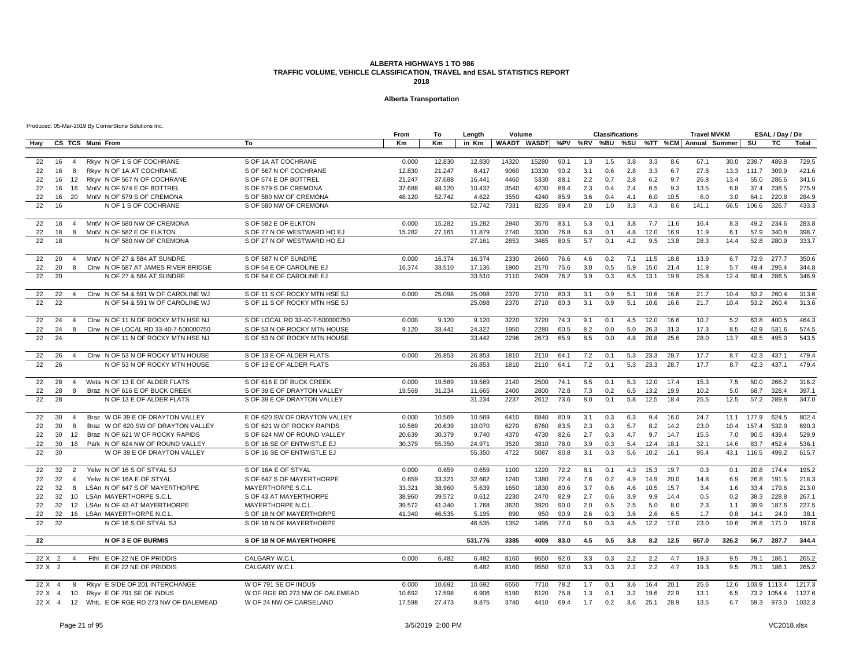### **Alberta Transportation**

|               |        |                |                                               |                                 | From   | То        | Length  | Volume |                         |      |     | <b>Classifications</b> |     |      |      | <b>Travel MVKM</b>        |       |       | ESAL / Day / Dir |        |
|---------------|--------|----------------|-----------------------------------------------|---------------------------------|--------|-----------|---------|--------|-------------------------|------|-----|------------------------|-----|------|------|---------------------------|-------|-------|------------------|--------|
| Hwy           |        |                | CS TCS Muni From                              | To                              | Km     | <b>Km</b> | in Km   |        | WAADT WASDT %PV %RV %BU |      |     |                        |     |      |      | %SU %TT %CM Annual Summer |       | SU    | TC               | Total  |
|               |        |                |                                               |                                 |        |           |         |        |                         |      |     |                        |     |      |      |                           |       |       |                  |        |
| 22            | 16     | $\overline{4}$ | Rkyv N OF 1 S OF COCHRANE                     | S OF 1A AT COCHRANE             | 0.000  | 12.830    | 12.830  | 14320  | 15280                   | 90.1 | 1.3 | 1.5                    | 3.8 | 3.3  | 8.6  | 67.1                      | 30.0  | 239.7 | 489.8            | 729.5  |
| 22            | 16     | 8              | Rkyv N OF 1A AT COCHRANE                      | S OF 567 N OF COCHRANE          | 12.830 | 21.247    | 8.417   | 9060   | 10330                   | 90.2 | 3.1 | 0.6                    | 2.8 | 3.3  | 6.7  | 27.8                      | 13.3  | 111.7 | 309.9            | 421.6  |
| 22            | 16     | 12             | Rkyv N OF 567 N OF COCHRANE                   | S OF 574 E OF BOTTREL           | 21.247 | 37.688    | 16.441  | 4460   | 5330                    | 88.1 | 2.2 | 0.7                    | 2.8 | 6.2  | 9.7  | 26.8                      | 13.4  | 55.0  | 286.6            | 341.6  |
| 22            | 16     | 16             | MntV N OF 574 E OF BOTTREL                    | S OF 579 S OF CREMONA           | 37.688 | 48.120    | 10.432  | 3540   | 4230                    | 88.4 | 2.3 | 0.4                    | 2.4 | 6.5  | 9.3  | 13.5                      | 6.8   | 37.4  | 238.5            | 275.9  |
| 22            | 16     | 20             | MntV N OF 579 S OF CREMONA                    | S OF 580 NW OF CREMONA          | 48.120 | 52.742    | 4.622   | 3550   | 4240                    | 85.9 | 3.6 | 0.4                    | 4.1 | 6.0  | 10.5 | 6.0                       | 3.0   | 64.1  | 220.8            | 284.9  |
| 22            | 16     |                | N OF 1 S OF COCHRANE                          | S OF 580 NW OF CREMONA          |        |           | 52.742  | 7331   | 8235                    | 89.4 | 2.0 | 1.0                    | 3.3 | 4.3  | 8.6  | 141.1                     | 66.5  | 106.6 | 326.7            | 433.3  |
| 22            | 18     | $\overline{4}$ | MntV N OF 580 NW OF CREMONA                   | S OF 582 E OF ELKTON            | 0.000  | 15.282    | 15.282  | 2940   | 3570                    | 83.1 | 5.3 | 0.1                    | 3.8 | 7.7  | 11.6 | 16.4                      | 8.3   | 49.2  | 234.6            | 283.8  |
| 22            | 18     | 8              | MntV N OF 582 E OF ELKTON                     | S OF 27 N OF WESTWARD HO EJ     | 15.282 | 27.161    | 11.879  | 2740   | 3330                    | 76.8 | 6.3 | 0.1                    | 4.8 | 12.0 | 16.9 | 11.9                      | 6.1   | 57.9  | 340.8            | 398.7  |
| 22            | 18     |                | N OF 580 NW OF CREMONA                        | S OF 27 N OF WESTWARD HO EJ     |        |           | 27.161  | 2853   | 3465                    | 80.5 | 5.7 | 0.1                    | 4.2 | 9.5  | 13.8 | 28.3                      | 14.4  | 52.8  | 280.9            | 333.7  |
| 22            | 20     | 4              | MntV N OF 27 & 584 AT SUNDRE                  | S OF 587 N OF SUNDRE            | 0.000  | 16.374    | 16.374  | 2330   | 2660                    | 76.6 | 4.6 | 0.2                    | 7.1 | 11.5 | 18.8 | 13.9                      | 6.7   | 72.9  | 277.7            | 350.6  |
| 22            | 20     | 8              | CIrw N OF 587 AT JAMES RIVER BRIDGE           | S OF 54 E OF CAROLINE EJ        | 16.374 | 33.510    | 17.136  | 1900   | 2170                    | 75.6 | 3.0 | 0.5                    | 5.9 | 15.0 | 21.4 | 11.9                      | 5.7   | 49.4  | 295.4            | 344.8  |
| 22            | 20     |                | N OF 27 & 584 AT SUNDRE                       | S OF 54 E OF CAROLINE EJ        |        |           | 33.510  | 2110   | 2409                    | 76.2 | 3.9 | 0.3                    | 6.5 | 13.1 | 19.9 | 25.8                      | 12.4  | 60.4  | 286.5            | 346.9  |
| 22            | 22     | $\overline{4}$ | Cirw N OF 54 & 591 W OF CAROLINE WJ           | S OF 11 S OF ROCKY MTN HSE SJ   | 0.000  | 25.098    | 25.098  | 2370   | 2710                    | 80.3 | 3.1 | 0.9                    | 5.1 | 10.6 | 16.6 | 21.7                      | 10.4  | 53.2  | 260.4            | 313.6  |
| 22            | 22     |                | N OF 54 & 591 W OF CAROLINE WJ                | S OF 11 S OF ROCKY MTN HSE SJ   |        |           | 25.098  | 2370   | 2710                    | 80.3 | 3.1 | 0.9                    | 5.1 | 10.6 | 16.6 | 21.7                      | 10.4  | 53.2  | 260.4            | 313.6  |
|               |        |                |                                               |                                 |        |           |         |        |                         |      |     |                        |     |      |      |                           |       |       |                  |        |
| 22            | 24     | $\overline{4}$ | Cirw N OF 11 N OF ROCKY MTN HSE NJ            | S OF LOCAL RD 33-40-7-500000750 | 0.000  | 9.120     | 9.120   | 3220   | 3720                    | 74.3 | 9.1 | 0.1                    | 4.5 | 12.0 | 16.6 | 10.7                      | 5.2   | 63.8  | 400.5            | 464.3  |
| 22            | 24     | 8              | Clrw N OF LOCAL RD 33-40-7-500000750          | S OF 53 N OF ROCKY MTN HOUSE    | 9.120  | 33.442    | 24.322  | 1950   | 2280                    | 60.5 | 8.2 | 0.0                    | 5.0 | 26.3 | 31.3 | 17.3                      | 8.5   | 42.9  | 531.6            | 574.5  |
| 22            | 24     |                | N OF 11 N OF ROCKY MTN HSE NJ                 | S OF 53 N OF ROCKY MTN HOUSE    |        |           | 33.442  | 2296   | 2673                    | 65.9 | 8.5 | 0.0                    | 4.8 | 20.8 | 25.6 | 28.0                      | 13.7  | 48.5  | 495.0            | 543.5  |
| 22            | 26     |                | Cirw N OF 53 N OF ROCKY MTN HOUSE             | S OF 13 E OF ALDER FLATS        | 0.000  | 26.853    | 26.853  | 1810   | 2110                    | 64.1 | 7.2 | 0.1                    | 5.3 | 23.3 | 28.7 | 17.7                      | 8.7   | 42.3  | 437.1            | 479.4  |
| 22            | 26     |                | N OF 53 N OF ROCKY MTN HOUSE                  | S OF 13 E OF ALDER FLATS        |        |           | 26.853  | 1810   | 2110                    | 64.1 | 7.2 | 0.1                    | 5.3 | 23.3 | 28.7 | 17.7                      | 8.7   | 42.3  | 437.1            | 479.4  |
| 22            | 28     | 4              | Weta N OF 13 E OF ALDER FLATS                 | S OF 616 E OF BUCK CREEK        | 0.000  | 19.569    | 19.569  | 2140   | 2500                    | 74.1 | 8.5 | 0.1                    | 5.3 | 12.0 | 17.4 | 15.3                      | 7.5   | 50.0  | 266.2            | 316.2  |
| 22            | 28     | 8              | Braz N OF 616 E OF BUCK CREEK                 | S OF 39 E OF DRAYTON VALLEY     | 19.569 | 31.234    | 11.665  | 2400   | 2800                    | 72.8 | 7.3 | 0.2                    | 6.5 | 13.2 | 19.9 | 10.2                      | 5.0   | 68.7  | 328.4            | 397.1  |
| 22            | 28     |                | N OF 13 E OF ALDER FLATS                      | S OF 39 E OF DRAYTON VALLEY     |        |           | 31.234  | 2237   | 2612                    | 73.6 | 8.0 | 0.1                    | 5.8 | 12.5 | 18.4 | 25.5                      | 12.5  | 57.2  | 289.8            | 347.0  |
| 22            | 30     | 4              | Braz W OF 39 E OF DRAYTON VALLEY              | E OF 620 SW OF DRAYTON VALLEY   | 0.000  | 10.569    | 10.569  | 6410   | 6840                    | 80.9 | 3.1 | 0.3                    | 6.3 | 9.4  | 16.0 | 24.7                      | 11.1  | 177.9 | 624.5            | 802.4  |
| 22            | 30     | 8              | Braz W OF 620 SW OF DRAYTON VALLEY            | S OF 621 W OF ROCKY RAPIDS      | 10.569 | 20.639    | 10.070  | 6270   | 6760                    | 83.5 | 2.3 | 0.3                    | 5.7 | 8.2  | 14.2 | 23.0                      | 10.4  | 157.4 | 532.9            | 690.3  |
| 22            | 30     | 12             | Braz N OF 621 W OF ROCKY RAPIDS               | S OF 624 NW OF ROUND VALLEY     | 20.639 | 30.379    | 9.740   | 4370   | 4730                    | 82.6 | 2.7 | 0.3                    | 4.7 | 9.7  | 14.7 | 15.5                      | 7.0   | 90.5  | 439.4            | 529.9  |
| 22            | 30     | 16             | Park N OF 624 NW OF ROUND VALLEY              | S OF 16 SE OF ENTWISTLE EJ      | 30.379 | 55.350    | 24.971  | 3520   | 3810                    | 78.0 | 3.9 | 0.3                    | 5.4 | 12.4 | 18.1 | 32.1                      | 14.6  | 83.7  | 452.4            | 536.1  |
| 22            | 30     |                | W OF 39 E OF DRAYTON VALLEY                   | S OF 16 SE OF ENTWISTLE EJ      |        |           | 55.350  | 4722   | 5087                    | 80.8 | 3.1 | 0.3                    | 5.6 | 10.2 | 16.1 | 95.4                      | 43.1  | 116.5 | 499.2            | 615.7  |
| 22            | 32     | 2              | Yelw N OF 16 S OF STYAL SJ                    | S OF 16A E OF STYAL             | 0.000  | 0.659     | 0.659   | 1100   | 1220                    | 72.2 | 8.1 | 0.1                    | 4.3 | 15.3 | 19.7 | 0.3                       | 0.1   | 20.8  | 174.4            | 195.2  |
| 22            | 32     | $\overline{4}$ | Yelw N OF 16A E OF STYAL                      | S OF 647 S OF MAYERTHORPE       | 0.659  | 33.321    | 32.662  | 1240   | 1380                    | 72.4 | 7.6 | 0.2                    | 4.9 | 14.9 | 20.0 | 14.8                      | 6.9   | 26.8  | 191.5            | 218.3  |
| 22            | 32     | -8             | LSAn N OF 647 S OF MAYERTHORPE                | MAYERTHORPE S.C.L               | 33.321 | 38,960    | 5.639   | 1650   | 1830                    | 80.6 | 3.7 | 0.6                    | 4.6 | 10.5 | 15.7 | 3.4                       | 1.6   | 33.4  | 179.6            | 213.0  |
| 22            | 32     | 10             | LSAn MAYERTHORPE S.C.L                        | S OF 43 AT MAYERTHORPE          | 38.960 | 39.572    | 0.612   | 2230   | 2470                    | 82.9 | 2.7 | 0.6                    | 3.9 | 9.9  | 14.4 | 0.5                       | 0.2   | 38.3  | 228.8            | 267.1  |
| 22            | 32     | 12             | LSAn N OF 43 AT MAYERTHORPE                   | MAYERTHORPE N.C.L               | 39.572 | 41.340    | 1.768   | 3620   | 3920                    | 90.0 | 2.0 | 0.5                    | 2.5 | 5.0  | 8.0  | 2.3                       | 1.1   | 39.9  | 187.6            | 227.5  |
| 22            | 32     |                | 16 LSAn MAYERTHORPE N.C.L                     | S OF 18 N OF MAYERTHORPE        | 41.340 | 46.535    | 5.195   | 890    | 950                     | 90.9 | 2.6 | 0.3                    | 3.6 | 2.6  | 6.5  | 1.7                       | 0.8   | 14.1  | 24.0             | 38.1   |
| 22            | 32     |                | N OF 16 S OF STYAL SJ                         | S OF 18 N OF MAYERTHORPE        |        |           | 46.535  | 1352   | 1495                    | 77.0 | 6.0 | 0.3                    | 4.5 | 12.2 | 17.0 | 23.0                      | 10.6  | 26.8  | 171.0            | 197.8  |
| 22            |        |                | N OF 3 E OF BURMIS                            | <b>S OF 18 N OF MAYERTHORPE</b> |        |           | 531.776 | 3385   | 4009                    | 83.0 | 4.5 | 0.5                    | 3.8 | 8.2  | 12.5 | 657.0                     | 326.2 | 56.7  | 287.7            | 344.4  |
|               | 22 X 2 | $\overline{4}$ | Fthl E OF 22 NE OF PRIDDIS                    | CALGARY W.C.L.                  | 0.000  | 6.482     | 6.482   | 8160   | 9550                    | 92.0 | 3.3 | 0.3                    | 2.2 | 2.2  | 4.7  | 19.3                      | 9.5   | 79.1  | 186.1            | 265.2  |
| 22 X 2        |        |                | E OF 22 NE OF PRIDDIS                         | CALGARY W.C.L.                  |        |           | 6.482   | 8160   | 9550                    | 92.0 | 3.3 | 0.3                    | 2.2 | 2.2  | 4.7  | 19.3                      | 9.5   | 79.1  | 186.1            | 265.2  |
|               |        |                |                                               |                                 |        |           |         |        |                         |      |     |                        |     |      |      |                           |       |       |                  |        |
| $22 \times 4$ |        | 8              | Rkyv E SIDE OF 201 INTERCHANGE                | W OF 791 SE OF INDUS            | 0.000  | 10.692    | 10.692  | 6550   | 7710                    | 78.2 | 1.7 | 0.1                    | 3.6 | 16.4 | 20.1 | 25.6                      | 12.6  |       | 103.9 1113.4     | 1217.3 |
| 22 X 4        |        | 10             | Rkyv E OF 791 SE OF INDUS                     | W OF RGE RD 273 NW OF DALEMEAD  | 10.692 | 17.598    | 6.906   | 5190   | 6120                    | 75.8 | 1.3 | 0.1                    | 3.2 | 19.6 | 22.9 | 13.1                      | 6.5   |       | 73.2 1054.4      | 1127.6 |
|               |        |                | 22 X 4 12 WhtL E OF RGE RD 273 NW OF DALEMEAD | W OF 24 NW OF CARSELAND         | 17.598 | 27.473    | 9.875   | 3740   | 4410                    | 69.4 | 1.7 | 0.2                    | 3.6 | 25.1 | 28.9 | 13.5                      | 6.7   |       | 59.3 973.0       | 1032.3 |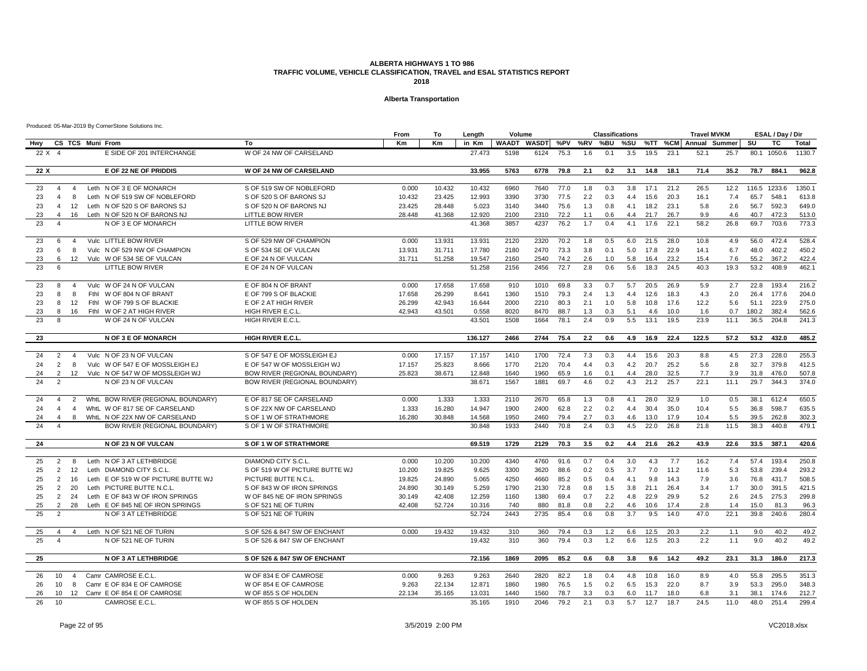### **Alberta Transportation**

|          |                                                                                                                          | From                                                                            | То               | Length           | Volume       |              |              |            | <b>Classifications</b> |            |              |              | <b>Travel MVKM</b> |             |              | ESAL / Day / Dir |                |
|----------|--------------------------------------------------------------------------------------------------------------------------|---------------------------------------------------------------------------------|------------------|------------------|--------------|--------------|--------------|------------|------------------------|------------|--------------|--------------|--------------------|-------------|--------------|------------------|----------------|
| Hwy      | CS TCS Muni From<br>To                                                                                                   | Km                                                                              | <b>Km</b>        | in Km            |              | WAADT WASDT  | %PV          | %RV        | %BU                    | %SU        |              | %TT %CM      | Annual Summer      |             | SU           | тс               | Total          |
| 22 X     | E SIDE OF 201 INTERCHANGE<br>$\overline{4}$                                                                              | W OF 24 NW OF CARSELAND                                                         |                  | 27.473           | 5198         | 6124         | 75.3         | 1.6        | 0.1                    | 3.5        | 19.5         | 23.1         | 52.1               | 25.7        |              | 80.1 1050.6      | 1130.7         |
| 22 X     | E OF 22 NE OF PRIDDIS                                                                                                    | <b>W OF 24 NW OF CARSELAND</b>                                                  |                  | 33.955           | 5763         | 6778         | 79.8         | 2.1        | 0.2                    | 3.1        | 14.8         | 18.1         | 71.4               | 35.2        | 78.7         | 884.1            | 962.8          |
|          |                                                                                                                          |                                                                                 |                  |                  |              |              |              |            |                        |            |              |              |                    |             |              |                  |                |
| 23       | Leth N OF 3 E OF MONARCH<br>$\overline{4}$<br>$\overline{4}$                                                             | S OF 519 SW OF NOBLEFORD<br>0.000                                               | 10.432           | 10.432           | 6960         | 7640         | 77.0         | 1.8        | 0.3                    | 3.8        | 17.1         | 21.2         | 26.5               | 12.2        | 116.5        | 1233.6           | 1350.1         |
| 23       | Leth N OF 519 SW OF NOBLEFORD<br>$\overline{\mathbf{4}}$<br>8                                                            | S OF 520 S OF BARONS SJ<br>10.432                                               | 23.425           | 12.993           | 3390         | 3730         | 77.5         | 2.2        | 0.3                    | 4.4        | 15.6         | 20.3         | 16.1               | 7.4         | 65.7         | 548.1            | 613.8          |
| 23       | Leth N OF 520 S OF BARONS SJ<br>12<br>$\overline{4}$                                                                     | 23.425<br>S OF 520 N OF BARONS NJ                                               | 28.448           | 5.023            | 3140         | 3440         | 75.6         | 1.3        | 0.8                    | 4.1        | 18.2         | 23.1         | 5.8                | 2.6         | 56.7         | 592.3            | 649.0          |
| 23<br>23 | Leth N OF 520 N OF BARONS NJ<br><b>LITTLE BOW RIVER</b><br>$\overline{4}$<br>16<br>N OF 3 E OF MONARCH<br>$\overline{4}$ | 28.448                                                                          | 41.368           | 12.920<br>41.368 | 2100<br>3857 | 2310<br>4237 | 72.2<br>76.2 | 1.1<br>1.7 | 0.6<br>0.4             | 4.4<br>4.1 | 21.7<br>17.6 | 26.7<br>22.1 | 9.9<br>58.2        | 4.6<br>26.8 | 40.7<br>69.7 | 472.3<br>703.6   | 513.0<br>773.3 |
|          | LITTLE BOW RIVER                                                                                                         |                                                                                 |                  |                  |              |              |              |            |                        |            |              |              |                    |             |              |                  |                |
| 23       | Vulc LITTLE BOW RIVER<br>6<br>$\overline{4}$                                                                             | S OF 529 NW OF CHAMPION<br>0.000                                                | 13.931           | 13.931           | 2120         | 2320         | 70.2         | 1.8        | 0.5                    | 6.0        | 21.5         | 28.0         | 10.8               | 4.9         | 56.0         | 472.4            | 528.4          |
| 23       | Vulc N OF 529 NW OF CHAMPION<br>6<br>S OF 534 SE OF VULCAN<br>8                                                          | 13.931                                                                          | 31.711           | 17.780           | 2180         | 2470         | 73.3         | 3.8        | 0.1                    | 5.0        | 17.8         | 22.9         | 14.1               | 6.7         | 48.0         | 402.2            | 450.2          |
| 23       | 6<br>12<br>Vulc W OF 534 SE OF VULCAN<br>E OF 24 N OF VULCAN                                                             | 31.711                                                                          | 51.258           | 19.547           | 2160         | 2540         | 74.2         | 2.6        | 1.0                    | 5.8        | 16.4         | 23.2         | 15.4               | 7.6         | 55.2         | 367.2            | 422.4          |
| 23       | <b>LITTLE BOW RIVER</b><br>6<br>E OF 24 N OF VULCAN                                                                      |                                                                                 |                  | 51.258           | 2156         | 2456         | 72.7         | 2.8        | 0.6                    | 5.6        | 18.3         | 24.5         | 40.3               | 19.3        | 53.2         | 408.9            | 462.1          |
| 23       | Vulc W OF 24 N OF VULCAN<br>E OF 804 N OF BRANT<br>8<br>$\overline{4}$                                                   | 0.000                                                                           | 17.658           | 17.658           | 910          | 1010         | 69.8         | 3.3        | 0.7                    | 5.7        | 20.5         | 26.9         | 5.9                | 2.7         | 22.8         | 193.4            | 216.2          |
| 23       | Fthl W OF 804 N OF BRANT<br>8<br>8<br>E OF 799 S OF BLACKIE                                                              | 17.658                                                                          | 26.299           | 8.641            | 1360         | 1510         | 79.3         | 2.4        | 1.3                    | 4.4        | 12.6         | 18.3         | 4.3                | 2.0         | 26.4         | 177.6            | 204.0          |
| 23       | FthI W OF 799 S OF BLACKIE<br>8<br>12<br>E OF 2 AT HIGH RIVER                                                            | 26.299                                                                          | 42.943           | 16.644           | 2000         | 2210         | 80.3         | 2.1        | 1.0                    | 5.8        | 10.8         | 17.6         | 12.2               | 5.6         | 51.1         | 223.9            | 275.0          |
| 23       | 8<br>16<br>Fthl W OF 2 AT HIGH RIVER<br>HIGH RIVER E.C.L.                                                                | 42.943                                                                          | 43.501           | 0.558            | 8020         | 8470         | 88.7         | 1.3        | 0.3                    | 5.1        | 4.6          | 10.0         | 1.6                | 0.7         | 180.2        | 382.4            | 562.6          |
| 23       | W OF 24 N OF VULCAN<br>HIGH RIVER E.C.L.<br>8                                                                            |                                                                                 |                  | 43.501           | 1508         | 1664         | 78.1         | 2.4        | 0.9                    | 5.5        | 13.1         | 19.5         | 23.9               | 11.1        | 36.5         | 204.8            | 241.3          |
| 23       | <b>N OF 3 E OF MONARCH</b><br>HIGH RIVER E.C.L.                                                                          |                                                                                 |                  | 136.127          | 2466         | 2744         | 75.4         | 2.2        | 0.6                    | 4.9        | 16.9         | 22.4         | 122.5              | 57.2        | 53.2         | 432.0            | 485.2          |
|          | Vulc N OF 23 N OF VULCAN<br>2                                                                                            |                                                                                 |                  |                  |              |              |              |            |                        |            |              |              |                    |             |              |                  |                |
| 24       | $\overline{4}$<br>8                                                                                                      | S OF 547 E OF MOSSLEIGH EJ<br>0.000                                             | 17.157           | 17.157           | 1410         | 1700         | 72.4         | 7.3        | 0.3                    | 4.4        | 15.6         | 20.3         | 8.8                | 4.5         | 27.3         | 228.0            | 255.3          |
| 24<br>24 | 2<br>Vulc W OF 547 E OF MOSSLEIGH EJ<br>2<br>12<br>Vulc N OF 547 W OF MOSSLEIGH WJ                                       | E OF 547 W OF MOSSLEIGH WJ<br>17.157<br>25.823<br>BOW RIVER (REGIONAL BOUNDARY) | 25.823<br>38.671 | 8.666<br>12.848  | 1770<br>1640 | 2120<br>1960 | 70.4<br>65.9 | 4.4<br>1.6 | 0.3<br>0.1             | 4.2<br>4.4 | 20.7<br>28.0 | 25.2<br>32.5 | 5.6<br>7.7         | 2.8<br>3.9  | 32.7<br>31.8 | 379.8<br>476.0   | 412.5<br>507.8 |
| 24       | $\overline{2}$<br>N OF 23 N OF VULCAN                                                                                    | BOW RIVER (REGIONAL BOUNDARY)                                                   |                  | 38.671           | 1567         | 1881         | 69.7         | 4.6        | 0.2                    | 4.3        | 21.2         | 25.7         | 22.1               | 11.1        | 29.7         | 344.3            | 374.0          |
|          |                                                                                                                          |                                                                                 |                  |                  |              |              |              |            |                        |            |              |              |                    |             |              |                  |                |
| 24       | WhtL BOW RIVER (REGIONAL BOUNDARY)<br>$\overline{4}$<br>2                                                                | E OF 817 SE OF CARSELAND<br>0.000                                               | 1.333            | 1.333            | 2110         | 2670         | 65.8         | 1.3        | 0.8                    | 4.1        | 28.0         | 32.9         | 1.0                | 0.5         | 38.1         | 612.4            | 650.5          |
| 24       | $\overline{4}$<br>$\overline{4}$<br>WhtL W OF 817 SE OF CARSELAND                                                        | 1.333<br>S OF 22X NW OF CARSELAND                                               | 16.280           | 14.947           | 1900         | 2400         | 62.8         | 2.2        | 0.2                    | 4.4        | 30.4         | 35.0         | 10.4               | 5.5         | 36.8         | 598.7            | 635.5          |
| 24       | WhtL N OF 22X NW OF CARSELAND<br>$\overline{\mathbf{4}}$<br>8                                                            | S OF 1 W OF STRATHMORE<br>16.280                                                | 30.848           | 14.568           | 1950         | 2460         | 79.4         | 2.7        | 0.3                    | 4.6        | 13.0         | 17.9         | 10.4               | 5.5         | 39.5         | 262.8            | 302.3          |
| 24       | BOW RIVER (REGIONAL BOUNDARY)<br>$\overline{4}$                                                                          | S OF 1 W OF STRATHMORE                                                          |                  | 30.848           | 1933         | 2440         | 70.8         | 2.4        | 0.3                    | 4.5        | 22.0         | 26.8         | 21.8               | 11.5        | 38.3         | 440.8            | 479.1          |
| 24       | N OF 23 N OF VULCAN                                                                                                      | <b>S OF 1 W OF STRATHMORE</b>                                                   |                  | 69.519           | 1729         | 2129         | 70.3         | 3.5        | 0.2                    | 4.4        | 21.6         | 26.2         | 43.9               | 22.6        | 33.5         | 387.1            | 420.6          |
| 25       | Leth N OF 3 AT LETHBRIDGE<br><b>DIAMOND CITY S.C.L</b><br>2<br>8                                                         | 0.000                                                                           | 10.200           | 10.200           | 4340         | 4760         | 91.6         | 0.7        | 0.4                    | 3.0        | 4.3          | 7.7          | 16.2               | 7.4         | 57.4         | 193.4            | 250.8          |
| 25       | 2<br>12<br>Leth DIAMOND CITY S.C.L.                                                                                      | S OF 519 W OF PICTURE BUTTE WJ<br>10.200                                        | 19.825           | 9.625            | 3300         | 3620         | 88.6         | 0.2        | 0.5                    | 3.7        | 7.0          | 11.2         | 11.6               | 5.3         | 53.8         | 239.4            | 293.2          |
| 25       | Leth E OF 519 W OF PICTURE BUTTE WJ<br>PICTURE BUTTE N.C.L.<br>2<br>16                                                   | 19.825                                                                          | 24.890           | 5.065            | 4250         | 4660         | 85.2         | 0.5        | 0.4                    | 4.1        | 9.8          | 14.3         | 7.9                | 3.6         | 76.8         | 431.7            | 508.5          |
| 25       | 2<br>Leth PICTURE BUTTE N.C.L.<br>20                                                                                     | S OF 843 W OF IRON SPRINGS<br>24.890                                            | 30.149           | 5.259            | 1790         | 2130         | 72.8         | 0.8        | 1.5                    | 3.8        | 21.1         | 26.4         | 3.4                | 1.7         | 30.0         | 391.5            | 421.5          |
| 25       | 2<br>Leth E OF 843 W OF IRON SPRINGS<br>24                                                                               | W OF 845 NE OF IRON SPRINGS<br>30.149                                           | 42.408           | 12.259           | 1160         | 1380         | 69.4         | 0.7        | 2.2                    | 4.8        | 22.9         | 29.9         | 5.2                | 2.6         | 24.5         | 275.3            | 299.8          |
| 25       | $\overline{2}$<br>Leth E OF 845 NE OF IRON SPRINGS<br>28<br>S OF 521 NE OF TURIN                                         | 42.408                                                                          | 52.724           | 10.316           | 740          | 880          | 81.8         | 0.8        | 2.2                    | 4.6        | 10.6         | 17.4         | 2.8                | 1.4         | 15.0         | 81.3             | 96.3           |
| 25       | N OF 3 AT LETHBRIDGE<br>S OF 521 NE OF TURIN<br>2                                                                        |                                                                                 |                  | 52.724           | 2443         | 2735         | 85.4         | 0.6        | 0.8                    | 3.7        | 9.5          | 14.0         | 47.0               | 22.1        | 39.8         | 240.6            | 280.4          |
| 25       | Leth N OF 521 NE OF TURIN<br>$\overline{4}$<br>$\overline{4}$                                                            | S OF 526 & 847 SW OF ENCHANT<br>0.000                                           | 19.432           | 19.432           | 310          | 360          | 79.4         | 0.3        | 1.2                    | 6.6        | 12.5         | 20.3         | 2.2                | 1.1         | 9.0          | 40.2             | 49.2           |
| 25       | N OF 521 NE OF TURIN<br>$\overline{4}$                                                                                   | S OF 526 & 847 SW OF ENCHANT                                                    |                  | 19.432           | 310          | 360          | 79.4         | 0.3        | 1.2                    | 6.6        | 12.5         | 20.3         | 2.2                | 1.1         | 9.0          | 40.2             | 49.2           |
| 25       | N OF 3 AT LETHBRIDGE                                                                                                     | S OF 526 & 847 SW OF ENCHANT                                                    |                  | 72.156           | 1869         | 2095         | 85.2         | 0.6        | 0.8                    | 3.8        | 9.6          | 14.2         | 49.2               | 23.1        | 31.3         | 186.0            | 217.3          |
| 26       | 10<br>Camr CAMROSE E.C.L<br>$\overline{4}$                                                                               | W OF 834 E OF CAMROSE<br>0.000                                                  | 9.263            | 9.263            | 2640         | 2820         | 82.2         | 1.8        | 0.4                    | 4.8        | 10.8         | 16.0         | 8.9                | 4.0         | 55.8         | 295.5            | 351.3          |
| 26       | 10 <sup>10</sup><br>Camr E OF 834 E OF CAMROSE<br>8                                                                      | W OF 854 E OF CAMROSE<br>9.263                                                  | 22.134           | 12.871           | 1860         | 1980         | 76.5         | 1.5        | 0.2                    | 6.5        | 15.3         | 22.0         | 8.7                | 3.9         | 53.3         | 295.0            | 348.3          |
| 26       | 10<br>12<br>Camr E OF 854 E OF CAMROSE<br>W OF 855 S OF HOLDEN                                                           | 22.134                                                                          | 35.165           | 13.031           | 1440         | 1560         | 78.7         | 3.3        | 0.3                    | 6.0        | 11.7         | 18.0         | 6.8                | 3.1         | 38.1         | 174.6            | 212.7          |
| 26       | 10<br>CAMROSE E.C.L.<br>W OF 855 S OF HOLDEN                                                                             |                                                                                 |                  | 35.165           | 1910         | 2046         | 79.2         | 2.1        | 0.3                    | 5.7        | 12.7         | 18.7         | 24.5               | 11.0        | 48.0         | 251.4            | 299.4          |
|          |                                                                                                                          |                                                                                 |                  |                  |              |              |              |            |                        |            |              |              |                    |             |              |                  |                |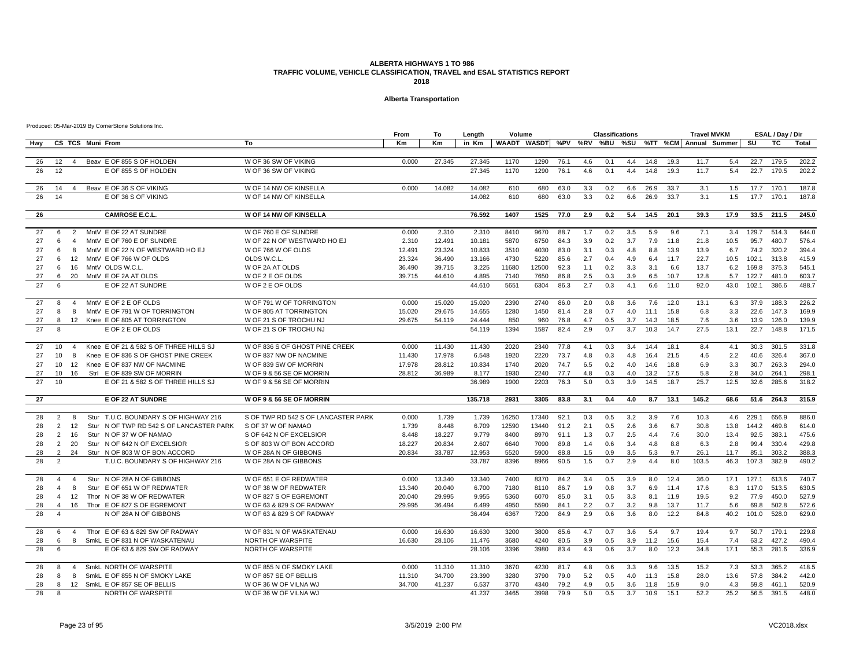### **Alberta Transportation**

|          |                         |                |                                                                     |                                     | From           | To              | Length         | Volume        |               |              |            | <b>Classifications</b> |            |            |            | <b>Travel MVKM</b> |                                                   |                    | ESAL / Day / Dir |                |
|----------|-------------------------|----------------|---------------------------------------------------------------------|-------------------------------------|----------------|-----------------|----------------|---------------|---------------|--------------|------------|------------------------|------------|------------|------------|--------------------|---------------------------------------------------|--------------------|------------------|----------------|
| Hwy      |                         |                | CS TCS Muni From                                                    | To                                  | Km             | Km              | in Km          |               |               |              |            |                        |            |            |            |                    | WAADT WASDT %PV %RV %BU %SU %TT %CM Annual Summer | SU                 | TC               | Total          |
| 26       | 12                      | $\overline{4}$ | Beav E OF 855 S OF HOLDEN                                           | W OF 36 SW OF VIKING                | 0.000          | 27.345          | 27.345         | 1170          | 1290          | 76.1         | 4.6        | 0.1                    | 4.4        | 14.8       | 19.3       | 11.7               | 5.4                                               | 22.7               | 179.5            | 202.2          |
| 26       | 12                      |                | E OF 855 S OF HOLDEN                                                | W OF 36 SW OF VIKING                |                |                 | 27.345         | 1170          | 1290          | 76.1         | 4.6        | 0.1                    | 4.4        | 14.8       | 19.3       | 11.7               | 5.4                                               | 22.7               | 179.5            | 202.2          |
| 26       | 14                      | 4              | Beav E OF 36 S OF VIKING                                            | W OF 14 NW OF KINSELLA              | 0.000          | 14.082          | 14.082         | 610           | 680           | 63.0         | 3.3        | 0.2                    | 6.6        | 26.9       | 33.7       | 3.1                | 1.5                                               | 17.7               | 170.1            | 187.8          |
| 26       | 14                      |                | E OF 36 S OF VIKING                                                 | W OF 14 NW OF KINSELLA              |                |                 | 14.082         | 610           | 680           | 63.0         | 3.3        | 0.2                    | 6.6        | 26.9       | 33.7       | 3.1                | 1.5                                               | 17.7               | 170.1            | 187.8          |
| 26       |                         |                | <b>CAMROSE E.C.L</b>                                                | W OF 14 NW OF KINSELLA              |                |                 | 76.592         | 1407          | 1525          | 77.0         | 2.9        | 0.2                    | 5.4        | 14.5       | 20.1       | 39.3               | 17.9                                              |                    | 33.5 211.5       | 245.0          |
|          |                         |                |                                                                     |                                     |                |                 |                |               |               |              |            |                        |            |            |            |                    |                                                   |                    |                  |                |
| 27       | 6                       | 2              | MntV E OF 22 AT SUNDRE                                              | W OF 760 E OF SUNDRE                | 0.000          | 2.310           | 2.310          | 8410          | 9670          | 88.7         | 1.7        | 0.2                    | 3.5        | 5.9        | 9.6        | 7.1                | 3.4                                               | 129.7              | 514.3            | 644.0          |
| 27       | 6                       | $\overline{4}$ | MntV E OF 760 E OF SUNDRE                                           | W OF 22 N OF WESTWARD HO EJ         | 2.310          | 12.491          | 10.181         | 5870          | 6750          | 84.3         | 3.9        | 0.2                    | 3.7        | 7.9        | 11.8       | 21.8               | 10.5                                              | 95.7               | 480.7            | 576.4          |
| 27       |                         | 8              | MntV E OF 22 N OF WESTWARD HO EJ                                    | W OF 766 W OF OLDS                  | 12.491         | 23.324          | 10.833         | 3510          | 4030          | 83.0         | 3.1        | 0.3                    | 4.8        | 8.8        | 13.9       | 13.9               | 6.7                                               | 74.2               | 320.2            | 394.4          |
| 27       |                         | 12             | MntV E OF 766 W OF OLDS                                             | OLDS W.C.L.                         | 23.324         | 36.490          | 13.166         | 4730          | 5220          | 85.6         | 2.7        | 0.4                    | 4.9        | 6.4        | 11.7       | 22.7               | 10.5                                              | 102.1              | 313.8            | 415.9          |
| 27       | 6                       | 16             | MntV OLDS W.C.L.                                                    | W OF 2A AT OLDS                     | 36.490         | 39.715          | 3.225          | 11680         | 12500         | 92.3         | 1.1        | 0.2                    | 3.3        | 3.1        | 6.6        | 13.7               | 6.2                                               | 169.8              | 375.3            | 545.1          |
| 27       | 6                       | 20             | MntV E OF 2A AT OLDS                                                | W OF 2 E OF OLDS                    | 39.715         | 44.610          | 4.895          | 7140          | 7650          | 86.8         | 2.5        | 0.3                    | 3.9        | 6.5        | 10.7       | 12.8               | 5.7                                               | 122.7              | 481.0            | 603.7          |
| 27       | 6                       |                | E OF 22 AT SUNDRE                                                   | W OF 2 E OF OLDS                    |                |                 | 44.610         | 5651          | 6304          | 86.3         | 2.7        | 0.3                    | 4.1        | 6.6        | 11.0       | 92.0               | 43.0                                              | 102.1              | 386.6            | 488.7          |
| 27       | 8                       | $\overline{4}$ | MntV E OF 2 E OF OLDS                                               | W OF 791 W OF TORRINGTON            | 0.000          | 15.020          | 15.020         | 2390          | 2740          | 86.0         | 2.0        | 0.8                    | 3.6        | 7.6        | 12.0       | 13.1               | 6.3                                               | 37.9               | 188.3            | 226.2          |
| 27       | 8                       | 8              | MntV E OF 791 W OF TORRINGTON                                       | W OF 805 AT TORRINGTON              | 15.020         | 29.675          | 14.655         | 1280          | 1450          | 81.4         | 2.8        | 0.7                    | 4.0        | 11.1       | 15.8       | 6.8                | 3.3                                               | 22.6               | 147.3            | 169.9          |
| 27       | 8                       |                | 12 Knee E OF 805 AT TORRINGTON                                      | W OF 21 S OF TROCHU NJ              | 29.675         | 54.119          | 24.444         | 850           | 960           | 76.8         | 4.7        | 0.5                    | 3.7        | 14.3       | 18.5       | 7.6                | 3.6                                               | 13.9               | 126.0            | 139.9          |
| 27       | 8                       |                | E OF 2 E OF OLDS                                                    | W OF 21 S OF TROCHU NJ              |                |                 | 54.119         | 1394          | 1587          | 82.4         | 2.9        | 0.7                    | 3.7        | 10.3       | 14.7       | 27.5               | 13.1                                              | 22.7               | 148.8            | 171.5          |
| 27       | 10 <sup>10</sup>        | $\overline{4}$ | Knee E OF 21 & 582 S OF THREE HILLS SJ                              | W OF 836 S OF GHOST PINE CREEK      | 0.000          | 11.430          | 11.430         | 2020          | 2340          | 77.8         | 4.1        | 0.3                    | 3.4        | 14.4       | 18.1       | 8.4                | 4.1                                               | 30.3               | 301.5            | 331.8          |
| 27       | 10 <sup>1</sup>         | 8              | Knee E OF 836 S OF GHOST PINE CREEK                                 | W OF 837 NW OF NACMINE              | 11.430         | 17.978          | 6.548          | 1920          | 2220          | 73.7         | 4.8        | 0.3                    | 4.8        | 16.4       | 21.5       | 4.6                | 2.2                                               | 40.6               | 326.4            | 367.0          |
| 27       | 10                      | 12             | Knee E OF 837 NW OF NACMINE                                         | W OF 839 SW OF MORRIN               | 17.978         | 28.812          | 10.834         | 1740          | 2020          | 74.7         | 6.5        | 0.2                    | 4.0        | 14.6       | 18.8       | 6.9                | 3.3                                               | 30.7               | 263.3            | 294.0          |
| 27       | 10                      | 16             | Strl E OF 839 SW OF MORRIN                                          | W OF 9 & 56 SE OF MORRIN            | 28.812         | 36.989          | 8.177          | 1930          | 2240          | 77.7         | 4.8        | 0.3                    | 4.0        | 13.2       | 17.5       | 5.8                | 2.8                                               | 34.0               | 264.1            | 298.1          |
| 27       | 10 <sup>1</sup>         |                | E OF 21 & 582 S OF THREE HILLS SJ                                   | W OF 9 & 56 SE OF MORRIN            |                |                 | 36.989         | 1900          | 2203          | 76.3         | 5.0        | 0.3                    | 3.9        | 14.5       | 18.7       | 25.7               | 12.5                                              | 32.6               | 285.6            | 318.2          |
| 27       |                         |                | E OF 22 AT SUNDRE                                                   | W OF 9 & 56 SE OF MORRIN            |                |                 | 135.718        | 2931          | 3305          | 83.8         | 3.1        | 0.4                    | 4.0        | 8.7        | 13.1       | 145.2              | 68.6                                              | 51.6               | 264.3            | 315.9          |
| 28       | 2                       | 8              | Stur T.U.C. BOUNDARY S OF HIGHWAY 216                               | S OF TWP RD 542 S OF LANCASTER PARK | 0.000          | 1.739           | 1.739          | 16250         | 17340         | 92.1         | 0.3        | 0.5                    | 3.2        | 3.9        | 7.6        | 10.3               | 4.6                                               | 229.1              | 656.9            | 886.0          |
|          | $\overline{2}$          |                |                                                                     | S OF 37 W OF NAMAO                  |                |                 |                |               |               |              |            |                        |            |            |            |                    |                                                   |                    |                  |                |
| 28<br>28 | $\overline{2}$          | 12<br>16       | Stur N OF TWP RD 542 S OF LANCASTER PARK<br>Stur N OF 37 W OF NAMAO | S OF 642 N OF EXCELSIOR             | 1.739<br>8.448 | 8.448<br>18.227 | 6.709<br>9.779 | 12590<br>8400 | 13440<br>8970 | 91.2<br>91.1 | 2.1<br>1.3 | 0.5<br>0.7             | 2.6<br>2.5 | 3.6<br>4.4 | 6.7<br>7.6 | 30.8<br>30.0       | 13.4                                              | 13.8 144.2<br>92.5 | 469.8<br>383.1   | 614.0<br>475.6 |
| 28       | $\overline{2}$          | 20             | Stur N OF 642 N OF EXCELSIOR                                        | S OF 803 W OF BON ACCORD            | 18.227         | 20.834          | 2.607          | 6640          | 7090          | 89.8         | 1.4        | 0.6                    | 3.4        | 4.8        | 8.8        | 6.3                | 2.8                                               | 99.4               | 330.4            | 429.8          |
| 28       | 2                       | 24             | Stur N OF 803 W OF BON ACCORD                                       | W OF 28A N OF GIBBONS               |                | 33.787          | 12.953         | 5520          | 5900          | 88.8         | 1.5        | 0.9                    | 3.5        | 5.3        | 9.7        | 26.1               | 11.7                                              | 85.1               | 303.2            | 388.3          |
| 28       | $\overline{2}$          |                | T.U.C. BOUNDARY S OF HIGHWAY 216                                    | W OF 28A N OF GIBBONS               | 20.834         |                 | 33.787         | 8396          | 8966          | 90.5         | 1.5        | 0.7                    | 2.9        | 4.4        | 8.0        | 103.5              | 46.3                                              | 107.3              | 382.9            | 490.2          |
|          |                         |                |                                                                     |                                     |                |                 |                |               |               |              |            |                        |            |            |            |                    |                                                   |                    |                  |                |
| 28       | $\overline{a}$          | $\overline{4}$ | Stur N OF 28A N OF GIBBONS                                          | W OF 651 E OF REDWATER              | 0.000          | 13.340          | 13.340         | 7400          | 8370          | 84.2         | 3.4        | 0.5                    | 3.9        | 8.0        | 12.4       | 36.0               | 17.1                                              | 127.1              | 613.6            | 740.7          |
| 28       | $\overline{4}$          | 8              | Stur E OF 651 W OF REDWATER                                         | W OF 38 W OF REDWATER               | 13.340         | 20.040          | 6.700          | 7180          | 8110          | 86.7         | 1.9        | 0.8                    | 3.7        | 6.9        | 11.4       | 17.6               |                                                   | 8.3 117.0          | 513.5            | 630.5          |
| 28       | $\overline{a}$          | 12             | Thor N OF 38 W OF REDWATER                                          | W OF 827 S OF EGREMONT              | 20.040         | 29.995          | 9.955          | 5360          | 6070          | 85.0         | 3.1        | 0.5                    | 3.3        | 8.1        | 11.9       | 19.5               | 9.2                                               | 77.9               | 450.0            | 527.9          |
| 28       | $\overline{4}$          | 16             | Thor E OF 827 S OF EGREMONT                                         | W OF 63 & 829 S OF RADWAY           | 29.995         | 36.494          | 6.499          | 4950          | 5590          | 84.1         | 2.2        | 0.7                    | 3.2        | 9.8        | 13.7       | 11.7               | 5.6                                               | 69.8               | 502.8            | 572.6          |
| 28       | $\overline{\mathbf{4}}$ |                | N OF 28A N OF GIBBONS                                               | W OF 63 & 829 S OF RADWAY           |                |                 | 36.494         | 6367          | 7200          | 84.9         | 2.9        | 0.6                    | 3.6        | 8.0        | 12.2       | 84.8               | 40.2                                              | 101.0              | 528.0            | 629.0          |
| 28       | 6                       | $\overline{4}$ | Thor E OF 63 & 829 SW OF RADWAY                                     | W OF 831 N OF WASKATENAU            | 0.000          | 16.630          | 16.630         | 3200          | 3800          | 85.6         | 4.7        | 0.7                    | 3.6        | 5.4        | 9.7        | 19.4               | 9.7                                               | 50.7               | 179.1            | 229.8          |
| 28       | 6                       | 8              | SmkL E OF 831 N OF WASKATENAU                                       | NORTH OF WARSPITE                   | 16.630         | 28.106          | 11.476         | 3680          | 4240          | 80.5         | 3.9        | 0.5                    | 3.9        | 11.2       | 15.6       | 15.4               | 7.4                                               | 63.2               | 427.2            | 490.4          |
| 28       | 6                       |                | E OF 63 & 829 SW OF RADWAY                                          | NORTH OF WARSPITE                   |                |                 | 28.106         | 3396          | 3980          | 83.4         | 4.3        | 0.6                    | 3.7        | 8.0        | 12.3       | 34.8               | 17.1                                              | 55.3               | 281.6            | 336.9          |
| 28       | 8                       | $\overline{4}$ | SmkL NORTH OF WARSPITE                                              | W OF 855 N OF SMOKY LAKE            | 0.000          | 11.310          | 11.310         | 3670          | 4230          | 81.7         | 4.8        | 0.6                    | 3.3        | 9.6        | 13.5       | 15.2               | 7.3                                               | 53.3               | 365.2            | 418.5          |
| 28       | 8                       | 8              | SmkL E OF 855 N OF SMOKY LAKE                                       | W OF 857 SE OF BELLIS               | 11.310         | 34.700          | 23.390         | 3280          | 3790          | 79.0         | 5.2        | 0.5                    | 4.0        | 11.3       | 15.8       | 28.0               | 13.6                                              | 57.8               | 384.2            | 442.0          |
| 28       | 8                       |                | 12 SmkL E OF 857 SE OF BELLIS                                       | W OF 36 W OF VILNA WJ               | 34.700         | 41.237          | 6.537          | 3770          | 4340          | 79.2         | 4.9        | 0.5                    | 3.6        | 11.8       | 15.9       | 9.0                | 4.3                                               | 59.8               | 461.1            | 520.9          |
| 28       | 8                       |                | <b>NORTH OF WARSPITE</b>                                            | W OF 36 W OF VILNA WJ               |                |                 | 41.237         | 3465          | 3998          | 79.9         | 5.0        | 0.5                    | 3.7        | 10.9       | 15.1       | 52.2               | 25.2                                              | 56.5               | 391.5            | 448.0          |
|          |                         |                |                                                                     |                                     |                |                 |                |               |               |              |            |                        |            |            |            |                    |                                                   |                    |                  |                |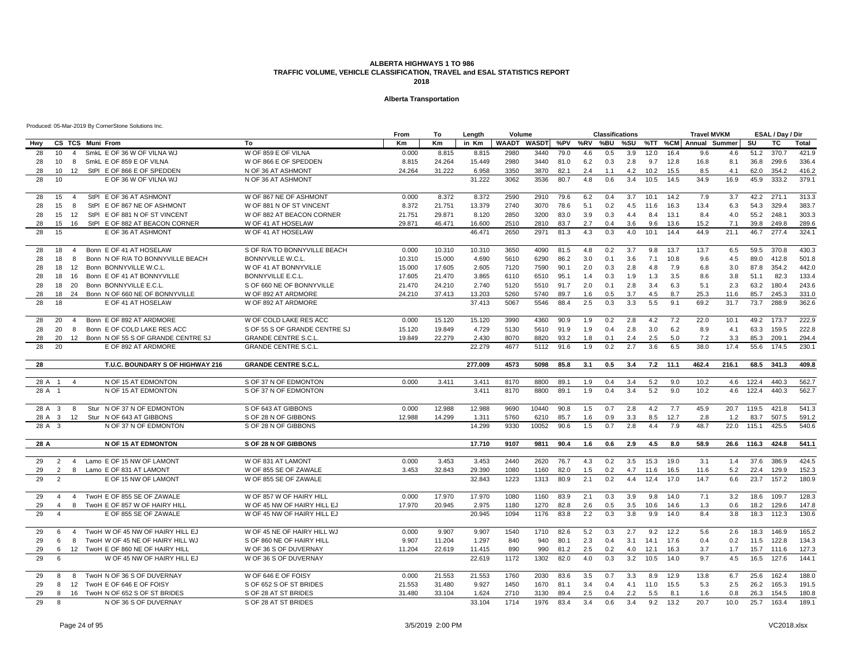### **Alberta Transportation**

|                        |                |                  |                                       |                               | From   | To     | Length  | Volume       |                  |      |     | <b>Classifications</b> |     |      |              | <b>Travel MVKM</b>    |       |            | ESAL / Day / Dir |       |
|------------------------|----------------|------------------|---------------------------------------|-------------------------------|--------|--------|---------|--------------|------------------|------|-----|------------------------|-----|------|--------------|-----------------------|-------|------------|------------------|-------|
| Hwv                    |                | CS TCS Muni From |                                       | To                            | Km     | Кm     | in Km   | <b>WAADT</b> | <b>WASDT %PV</b> |      | %RV | %BU                    | %SU |      |              | %TT %CM Annual Summer |       | SU         | TC               | Total |
| 28<br>10               | $\overline{4}$ |                  | SmkL E OF 36 W OF VILNA WJ            | W OF 859 E OF VILNA           | 0.000  | 8.815  | 8.815   | 2980         | 3440             | 79.0 | 4.6 | 0.5                    | 3.9 | 12.0 | 16.4         | 9.6                   | 4.6   | 51.2       | 370.7            | 421.9 |
| 28<br>10               | 8              |                  | SmkL E OF 859 E OF VILNA              | W OF 866 E OF SPEDDEN         | 8.815  | 24.264 | 15.449  | 2980         | 3440             | 81.0 | 6.2 | 0.3                    | 2.8 | 9.7  | 12.8         | 16.8                  | 8.1   | 36.8       | 299.6            | 336.4 |
| 28<br>10               | 12             |                  | StPI E OF 866 E OF SPEDDEN            | N OF 36 AT ASHMONT            | 24.264 | 31.222 | 6.958   | 3350         | 3870             | 82.1 | 2.4 | 1.1                    | 4.2 | 10.2 | 15.5         | 8.5                   | 4.1   | 62.0       | 354.2            | 416.2 |
| 10 <sup>10</sup><br>28 |                |                  | E OF 36 W OF VILNA WJ                 | N OF 36 AT ASHMONT            |        |        | 31.222  | 3062         | 3536             | 80.7 | 4.8 | 0.6                    | 3.4 | 10.5 | 14.5         | 34.9                  | 16.9  | 45.9       | 333.2            | 379.1 |
|                        |                |                  |                                       |                               |        |        |         |              |                  |      |     |                        |     |      |              |                       |       |            |                  |       |
| 28<br>15               | $\overline{4}$ |                  | StPI E OF 36 AT ASHMONT               | W OF 867 NE OF ASHMONT        | 0.000  | 8.372  | 8.372   | 2590         | 2910             | 79.6 | 6.2 | 0.4                    | 3.7 | 10.1 | 14.2         | 7.9                   | 3.7   | 42.2       | 271.1            | 313.3 |
| 28<br>15               | 8              |                  | StPI E OF 867 NE OF ASHMONT           | W OF 881 N OF ST VINCENT      | 8.372  | 21.751 | 13.379  | 2740         | 3070             | 78.6 | 5.1 | 0.2                    | 4.5 | 11.6 | 16.3         | 13.4                  | 6.3   | 54.3       | 329.4            | 383.7 |
| 28<br>15               | 12             |                  | StPI E OF 881 N OF ST VINCENT         | W OF 882 AT BEACON CORNER     | 21.751 | 29.871 | 8.120   | 2850         | 3200             | 83.0 | 3.9 | 0.3                    | 4.4 | 8.4  | 13.1         | 8.4                   | 4.0   |            | 55.2 248.1       | 303.3 |
| 28<br>15               | 16             |                  | StPI E OF 882 AT BEACON CORNER        | W OF 41 AT HOSELAW            | 29.871 | 46.471 | 16.600  | 2510         | 2810             | 83.7 | 2.7 | 0.4                    | 3.6 | 9.6  | 13.6         | 15.2                  | 7.1   | 39.8       | 249.8            | 289.6 |
| 28<br>15               |                |                  | E OF 36 AT ASHMONT                    | W OF 41 AT HOSELAW            |        |        | 46.471  | 2650         | 2971             | 81.3 | 4.3 | 0.3                    | 4.0 | 10.1 | 14.4         | 44.9                  | 21.1  | 46.7       | 277.4            | 324.1 |
|                        |                |                  |                                       |                               |        |        |         |              |                  |      |     |                        |     |      |              |                       |       |            |                  |       |
| 28<br>18               | $\overline{4}$ |                  | Bonn E OF 41 AT HOSELAW               | S OF R/A TO BONNYVILLE BEACH  | 0.000  | 10.310 | 10.310  | 3650         | 4090             | 81.5 | 4.8 | 0.2                    | 3.7 | 9.8  | 13.7         | 13.7                  | 6.5   | 59.5       | 370.8            | 430.3 |
| 28<br>18               | 8              |                  | Bonn N OF R/A TO BONNYVILLE BEACH     | <b>BONNYVILLE W.C.L</b>       | 10.310 | 15.000 | 4.690   | 5610         | 6290             | 86.2 | 3.0 | 0.1                    | 3.6 | 7.1  | 10.8         | 9.6                   | 4.5   | 89.0       | 412.8            | 501.8 |
| 28<br>18               | 12             |                  | Bonn BONNYVILLE W.C.L                 | W OF 41 AT BONNYVILLE         | 15,000 | 17.605 | 2.605   | 7120         | 7590             | 90.1 | 2.0 | 0.3                    | 2.8 | 4.8  | 7.9          | 6.8                   | 3.0   | 87.8       | 354.2            | 442.0 |
| 28<br>18               | 16             |                  | Bonn E OF 41 AT BONNYVILLE            | BONNYVILLE E.C.L              | 17.605 | 21.470 | 3.865   | 6110         | 6510             | 95.1 | 1.4 | 0.3                    | 1.9 | 1.3  | 3.5          | 8.6                   | 3.8   | 51.1       | 82.3             | 133.4 |
| 28<br>18               | 20             |                  | Bonn BONNYVILLE E.C.L                 | S OF 660 NE OF BONNYVILLE     | 21.470 | 24.210 | 2.740   | 5120         | 5510             | 91.7 | 2.0 | 0.1                    | 2.8 | 3.4  | 6.3          | 5.1                   | 2.3   | 63.2       | 180.4            | 243.6 |
| 28<br>18               | 24             |                  | Bonn N OF 660 NE OF BONNYVILLE        | W OF 892 AT ARDMORE           | 24.210 | 37.413 | 13.203  | 5260         | 5740             | 89.7 | 1.6 | 0.5                    | 3.7 | 4.5  | 8.7          | 25.3                  | 11.6  | 85.7       | 245.3            | 331.0 |
| 28<br>18               |                |                  | E OF 41 AT HOSELAW                    | W OF 892 AT ARDMORE           |        |        | 37.413  | 5067         | 5546             | 88.4 | 2.5 | 0.3                    | 3.3 | 5.5  | 9.1          | 69.2                  | 31.7  | 73.7       | 288.9            | 362.6 |
|                        |                |                  |                                       |                               |        |        |         |              |                  |      |     |                        |     |      |              |                       |       |            |                  |       |
| 20<br>28               | $\overline{4}$ |                  | Bonn E OF 892 AT ARDMORE              | W OF COLD LAKE RES ACC        | 0.000  | 15.120 | 15.120  | 3990         | 4360             | 90.9 | 1.9 | 0.2                    | 2.8 | 4.2  | 7.2          | 22.0                  | 10.1  | 49.2       | 173.7            | 222.9 |
| 28<br>20               | 8              |                  | Bonn E OF COLD LAKE RES ACC           | S OF 55 S OF GRANDE CENTRE SJ | 15.120 | 19.849 | 4.729   | 5130         | 5610             | 91.9 | 1.9 | 0.4                    | 2.8 | 3.0  | 6.2          | 8.9                   | 4.1   | 63.3       | 159.5            | 222.8 |
| 28<br>20               |                |                  | 12 Bonn N OF 55 S OF GRANDE CENTRE SJ | <b>GRANDE CENTRE S.C.L</b>    | 19.849 | 22.279 | 2.430   | 8070         | 8820             | 93.2 | 1.8 | 0.1                    | 2.4 | 2.5  | 5.0          | 7.2                   | 3.3   | 85.3       | 209.1            | 294.4 |
| 28<br>20               |                |                  | E OF 892 AT ARDMORE                   | <b>GRANDE CENTRE S.C.L.</b>   |        |        | 22.279  | 4677         | 5112             | 91.6 | 1.9 | 0.2                    | 2.7 | 3.6  | 6.5          | 38.0                  | 17.4  | 55.6       | 174.5            | 230.1 |
|                        |                |                  |                                       |                               |        |        |         |              |                  |      |     |                        |     |      |              |                       |       |            |                  |       |
| 28                     |                |                  | T.U.C. BOUNDARY S OF HIGHWAY 216      | <b>GRANDE CENTRE S.C.L.</b>   |        |        | 277.009 | 4573         | 5098             | 85.8 | 3.1 | 0.5                    | 3.4 | 7.2  | 11.1         | 462.4                 | 216.1 | 68.5       | 341.3            | 409.8 |
|                        |                |                  |                                       |                               |        |        |         |              |                  |      |     |                        |     |      |              |                       |       |            |                  |       |
| 28 A<br>$\overline{1}$ | $\overline{4}$ |                  | N OF 15 AT EDMONTON                   | S OF 37 N OF EDMONTON         | 0.000  | 3.411  | 3.411   | 8170         | 8800             | 89.1 | 1.9 | 0.4                    | 3.4 | 5.2  | 9.0          | 10.2                  | 4.6   | 122.4      | 440.3            | 562.7 |
| 28 A                   |                |                  | N OF 15 AT EDMONTON                   | S OF 37 N OF EDMONTON         |        |        | 3.411   | 8170         | 8800             | 89.1 | 1.9 | 0.4                    | 3.4 | 5.2  | 9.0          | 10.2                  | 4.6   | 122.4      | 440.3            | 562.7 |
|                        |                |                  |                                       |                               |        |        |         |              |                  |      |     |                        |     |      |              |                       |       |            |                  |       |
| 28 A<br>$\mathbf{3}$   | 8              |                  | Stur N OF 37 N OF EDMONTON            | S OF 643 AT GIBBONS           | 0.000  | 12.988 | 12.988  | 9690         | 10440            | 90.8 | 1.5 | 0.7                    | 2.8 | 4.2  | 7.7          | 45.9                  | 20.7  | 119.5      | 421.8            | 541.3 |
| 28 A<br>$\mathbf{3}$   | 12             |                  | Stur N OF 643 AT GIBBONS              | S OF 28 N OF GIBBONS          | 12.988 | 14.299 | 1.311   | 5760         | 6210             | 85.7 | 1.6 | 0.9                    | 3.3 | 8.5  | 12.7         | 2.8                   | 1.2   | 83.7       | 507.5            | 591.2 |
| 28 A 3                 |                |                  | N OF 37 N OF EDMONTON                 | S OF 28 N OF GIBBONS          |        |        | 14.299  | 9330         | 10052            | 90.6 | 1.5 | 0.7                    | 2.8 | 4.4  | 7.9          | 48.7                  | 22.0  | 115.1      | 425.5            | 540.6 |
|                        |                |                  |                                       |                               |        |        |         |              |                  |      |     |                        |     |      |              |                       |       |            |                  |       |
| 28 A                   |                |                  | N OF 15 AT EDMONTON                   | S OF 28 N OF GIBBONS          |        |        | 17.710  | 9107         | 9811             | 90.4 | 1.6 | 0.6                    | 2.9 | 4.5  | 8.0          | 58.9                  |       | 26.6 116.3 | 424.8            | 541.1 |
| 29<br>2                | $\overline{4}$ |                  | Lamo E OF 15 NW OF LAMONT             | W OF 831 AT LAMONT            | 0.000  | 3.453  | 3.453   | 2440         | 2620             | 76.7 | 4.3 | 0.2                    | 3.5 | 15.3 | 19.0         | 3.1                   | 1.4   | 37.6       | 386.9            | 424.5 |
| 2                      |                |                  |                                       |                               | 3.453  | 32.843 |         |              |                  |      |     |                        |     |      |              |                       |       | 22.4       |                  |       |
| 29                     | 8              |                  | Lamo E OF 831 AT LAMONT               | W OF 855 SE OF ZAWALE         |        |        | 29.390  | 1080         | 1160             | 82.0 | 1.5 | 0.2                    | 4.7 | 11.6 | 16.5<br>17.0 | 11.6                  | 5.2   |            | 129.9            | 152.3 |
| 29<br>$\overline{2}$   |                |                  | E OF 15 NW OF LAMONT                  | W OF 855 SE OF ZAWALE         |        |        | 32.843  | 1223         | 1313             | 80.9 | 2.1 | 0.2                    | 4.4 | 12.4 |              | 14.7                  | 6.6   | 23.7       | 157.2            | 180.9 |
| 29<br>$\overline{4}$   | $\overline{4}$ |                  | TwoH E OF 855 SE OF ZAWALE            | W OF 857 W OF HAIRY HILL      | 0.000  | 17.970 | 17.970  | 1080         | 1160             | 83.9 | 2.1 | 0.3                    | 3.9 | 9.8  | 14.0         | 7.1                   | 3.2   | 18.6       | 109.7            | 128.3 |
| 29<br>$\overline{4}$   | 8              |                  | TwoH E OF 857 W OF HAIRY HILL         | W OF 45 NW OF HAIRY HILL EJ   | 17.970 | 20.945 | 2.975   | 1180         | 1270             | 82.8 | 2.6 | 0.5                    | 3.5 | 10.6 | 14.6         | 1.3                   | 0.6   | 18.2       | 129.6            | 147.8 |
| 29<br>$\overline{4}$   |                |                  | E OF 855 SE OF ZAWALE                 | W OF 45 NW OF HAIRY HILL EJ   |        |        | 20.945  | 1094         | 1176             | 83.8 | 2.2 | 0.3                    | 3.8 | 9.9  | 14.0         | 8.4                   | 3.8   | 18.3       | 112.3            | 130.6 |
|                        |                |                  |                                       |                               |        |        |         |              |                  |      |     |                        |     |      |              |                       |       |            |                  |       |
| 29<br>6                | $\overline{4}$ |                  | TwoH W OF 45 NW OF HAIRY HILL EJ      | W OF 45 NE OF HAIRY HILL WJ   | 0.000  | 9.907  | 9.907   | 1540         | 1710             | 82.6 | 5.2 | 0.3                    | 2.7 | 9.2  | 12.2         | 5.6                   | 2.6   | 18.3       | 146.9            | 165.2 |
| 29<br>6                | 8              |                  | TwoH W OF 45 NE OF HAIRY HILL WJ      | S OF 860 NE OF HAIRY HILL     | 9.907  | 11.204 | 1.297   | 840          | 940              | 80.1 | 2.3 | 0.4                    | 3.1 | 14.1 | 17.6         | 0.4                   | 0.2   | 11.5       | 122.8            | 134.3 |
| 29<br>6                | 12             |                  | TwoH E OF 860 NE OF HAIRY HILL        | W OF 36 S OF DUVERNAY         | 11.204 | 22.619 | 11.415  | 890          | 990              | 81.2 | 2.5 | 0.2                    | 4.0 | 12.1 | 16.3         | 3.7                   | 1.7   | 15.7       | 111.6            | 127.3 |
| 29<br>6                |                |                  | W OF 45 NW OF HAIRY HILL EJ           | W OF 36 S OF DUVERNAY         |        |        | 22.619  | 1172         | 1302             | 82.0 | 4.0 | 0.3                    | 3.2 | 10.5 | 14.0         | 9.7                   | 4.5   | 16.5       | 127.6            | 144.1 |
|                        |                |                  |                                       |                               |        |        |         |              |                  |      |     |                        |     |      |              |                       |       |            |                  |       |
| 29<br>8                | 8              |                  | TwoH N OF 36 S OF DUVERNAY            | W OF 646 E OF FOISY           | 0.000  | 21.553 | 21.553  | 1760         | 2030             | 83.6 | 3.5 | 0.7                    | 3.3 | 8.9  | 12.9         | 13.8                  | 6.7   | 25.6       | 162.4            | 188.0 |
| 29<br>8                |                |                  | 12 TwoH E OF 646 E OF FOISY           | S OF 652 S OF ST BRIDES       | 21.553 | 31.480 | 9.927   | 1450         | 1670             | 81.1 | 3.4 | 0.4                    | 4.1 | 11.0 | 15.5         | 5.3                   | 2.5   | 26.2       | 165.3            | 191.5 |
| 29<br>8                |                |                  | 16 TwoH N OF 652 S OF ST BRIDES       | S OF 28 AT ST BRIDES          | 31.480 | 33.104 | 1.624   | 2710         | 3130             | 89.4 | 2.5 | 0.4                    | 2.2 | 5.5  | 8.1          | 1.6                   | 0.8   | 26.3       | 154.5            | 180.8 |
| 29<br>8                |                |                  | N OF 36 S OF DUVERNAY                 | S OF 28 AT ST BRIDES          |        |        | 33.104  | 1714         | 1976             | 83.4 | 3.4 | 0.6                    | 3.4 | 9.2  | 13.2         | 20.7                  | 10.0  | 25.7       | 163.4            | 189.1 |
|                        |                |                  |                                       |                               |        |        |         |              |                  |      |     |                        |     |      |              |                       |       |            |                  |       |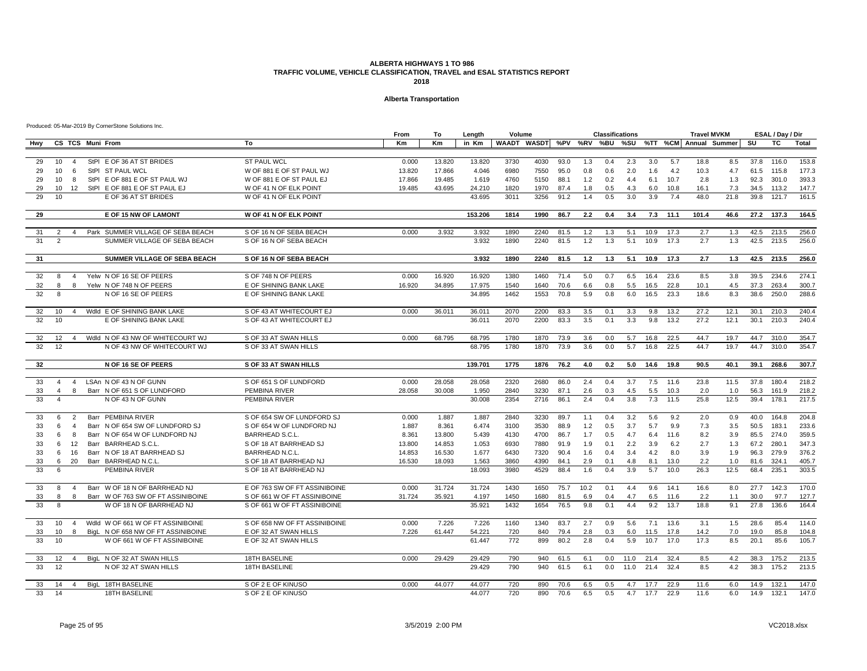### **Alberta Transportation**

|     |                   |                |                  |                                    |                               | From   | То     | Length  | Volume |      |      |      | <b>Classifications</b> |      |      |      | <b>Travel MVKM</b>                                |      |      | ESAL / Day / Dir |              |
|-----|-------------------|----------------|------------------|------------------------------------|-------------------------------|--------|--------|---------|--------|------|------|------|------------------------|------|------|------|---------------------------------------------------|------|------|------------------|--------------|
| Hwy |                   |                | CS TCS Muni From |                                    | To                            | Km     | Km     | in Km   |        |      |      |      |                        |      |      |      | WAADT WASDT %PV %RV %BU %SU %TT %CM Annual Summer |      | SU   | TC               | <b>Total</b> |
|     |                   |                |                  |                                    |                               |        |        |         |        |      |      |      |                        |      |      |      |                                                   |      |      |                  |              |
| 29  | 10                | $\overline{4}$ |                  | StPI E OF 36 AT ST BRIDES          | <b>ST PAUL WCL</b>            | 0.000  | 13.820 | 13.820  | 3730   | 4030 | 93.0 | 1.3  | 0.4                    | 2.3  | 3.0  | 5.7  | 18.8                                              | 8.5  |      | 37.8 116.0       | 153.8        |
| 29  | 10                | -6             |                  | StPI ST PAUL WCL                   | W OF 881 E OF ST PAUL WJ      | 13.820 | 17.866 | 4.046   | 6980   | 7550 | 95.0 | 0.8  | 0.6                    | 2.0  | 1.6  | 4.2  | 10.3                                              | 4.7  |      | 61.5 115.8       | 177.3        |
| 29  | 10                | -8             |                  | StPI E OF 881 E OF ST PAUL WJ      | W OF 881 E OF ST PAUL EJ      | 17.866 | 19.485 | 1.619   | 4760   | 5150 | 88.1 | 1.2  | 0.2                    | 4.4  | 6.1  | 10.7 | 2.8                                               | 1.3  | 92.3 | 301.0            | 393.3        |
| 29  | 10                | 12             |                  | StPI E OF 881 E OF ST PAUL EJ      | W OF 41 N OF ELK POINT        | 19.485 | 43.695 | 24.210  | 1820   | 1970 | 87.4 | 1.8  | 0.5                    | 4.3  | 6.0  | 10.8 | 16.1                                              | 7.3  | 34.5 | 113.2            | 147.7        |
| 29  | 10 <sup>10</sup>  |                |                  | E OF 36 AT ST BRIDES               | W OF 41 N OF ELK POINT        |        |        | 43.695  | 3011   | 3256 | 91.2 | 1.4  | 0.5                    | 3.0  | 3.9  | 7.4  | 48.0                                              | 21.8 | 39.8 | 121.7            | 161.5        |
| 29  |                   |                |                  | E OF 15 NW OF LAMONT               | <b>W OF 41 N OF ELK POINT</b> |        |        | 153.206 | 1814   | 1990 | 86.7 | 2.2  | 0.4                    | 3.4  | 7.3  | 11.1 | 101.4                                             | 46.6 | 27.2 | 137.3            | 164.5        |
|     |                   |                |                  |                                    |                               |        |        |         |        |      |      |      |                        |      |      |      |                                                   |      |      |                  |              |
| 31  | 2                 | $\overline{4}$ |                  | Park SUMMER VILLAGE OF SEBA BEACH  | S OF 16 N OF SEBA BEACH       | 0.000  | 3.932  | 3.932   | 1890   | 2240 | 81.5 | 1.2  | 1.3                    | 5.1  | 10.9 | 17.3 | 2.7                                               | 1.3  | 42.5 | 213.5            | 256.0        |
| 31  | $\overline{2}$    |                |                  | SUMMER VILLAGE OF SEBA BEACH       | S OF 16 N OF SEBA BEACH       |        |        | 3.932   | 1890   | 2240 | 81.5 | 1.2  | 1.3                    | 5.1  | 10.9 | 17.3 | 2.7                                               | 1.3  | 42.5 | 213.5            | 256.0        |
| 31  |                   |                |                  | SUMMER VILLAGE OF SEBA BEACH       | S OF 16 N OF SEBA BEACH       |        |        | 3.932   | 1890   | 2240 | 81.5 | 1.2  | 1.3                    | 5.1  | 10.9 | 17.3 | 2.7                                               | 1.3  |      | 42.5 213.5       | 256.0        |
|     |                   |                |                  |                                    |                               |        |        |         |        |      |      |      |                        |      |      |      |                                                   |      |      |                  |              |
| 32  | 8                 | $\overline{4}$ |                  | Yelw N OF 16 SE OF PEERS           | S OF 748 N OF PEERS           | 0.000  | 16.920 | 16.920  | 1380   | 1460 | 71.4 | 5.0  | 0.7                    | 6.5  | 16.4 | 23.6 | 8.5                                               | 3.8  | 39.5 | 234.6            | 274.1        |
| 32  | 8                 | 8              |                  | Yelw N OF 748 N OF PEERS           | E OF SHINING BANK LAKE        | 16.920 | 34.895 | 17.975  | 1540   | 1640 | 70.6 | 6.6  | 0.8                    | 5.5  | 16.5 | 22.8 | 10.1                                              | 4.5  | 37.3 | 263.4            | 300.7        |
| 32  | 8                 |                |                  | N OF 16 SE OF PEERS                | E OF SHINING BANK LAKE        |        |        | 34.895  | 1462   | 1553 | 70.8 | 5.9  | 0.8                    | 6.0  | 16.5 | 23.3 | 18.6                                              | 8.3  | 38.6 | 250.0            | 288.6        |
| 32  | 10                | $\overline{4}$ |                  | Wdld E OF SHINING BANK LAKE        | S OF 43 AT WHITECOURT EJ      | 0.000  | 36.011 | 36.011  | 2070   | 2200 | 83.3 | 3.5  | 0.1                    | 3.3  | 9.8  | 13.2 | 27.2                                              | 12.1 | 30.1 | 210.3            | 240.4        |
| 32  | 10 <sup>1</sup>   |                |                  | E OF SHINING BANK LAKE             | S OF 43 AT WHITECOURT EJ      |        |        | 36.011  | 2070   | 2200 | 83.3 | 3.5  | 0.1                    | 3.3  | 9.8  | 13.2 | 27.2                                              | 12.1 | 30.1 | 210.3            | 240.4        |
|     |                   |                |                  |                                    |                               |        |        |         |        |      |      |      |                        |      |      |      |                                                   |      |      |                  |              |
| 32  | $12 \overline{ }$ | $\overline{4}$ |                  | Wdld N OF 43 NW OF WHITECOURT WJ   | S OF 33 AT SWAN HILLS         | 0.000  | 68.795 | 68.795  | 1780   | 1870 | 73.9 | 3.6  | 0.0                    | 5.7  | 16.8 | 22.5 | 44.7                                              | 19.7 | 44.7 | 310.0            | 354.7        |
| 32  | 12                |                |                  | N OF 43 NW OF WHITECOURT WJ        | S OF 33 AT SWAN HILLS         |        |        | 68.795  | 1780   | 1870 | 73.9 | 3.6  | 0.0                    | 5.7  | 16.8 | 22.5 | 44.7                                              | 19.7 | 44.7 | 310.0            | 354.7        |
| 32  |                   |                |                  | N OF 16 SE OF PEERS                | S OF 33 AT SWAN HILLS         |        |        | 139.701 | 1775   | 1876 | 76.2 | 4.0  | 0.2                    | 5.0  | 14.6 | 19.8 | 90.5                                              | 40.1 | 39.1 | 268.6            | 307.7        |
|     |                   |                |                  |                                    |                               |        |        |         |        |      |      |      |                        |      |      |      |                                                   |      |      |                  |              |
| 33  | $\overline{4}$    | $\overline{4}$ |                  | LSAn N OF 43 N OF GUNN             | S OF 651 S OF LUNDFORD        | 0.000  | 28.058 | 28.058  | 2320   | 2680 | 86.0 | 2.4  | 0.4                    | 3.7  | 7.5  | 11.6 | 23.8                                              | 11.5 | 37.8 | 180.4            | 218.2        |
| 33  | $\overline{4}$    | 8              |                  | Barr N OF 651 S OF LUNDFORD        | PEMBINA RIVER                 | 28.058 | 30.008 | 1.950   | 2840   | 3230 | 87.1 | 2.6  | 0.3                    | 4.5  | 5.5  | 10.3 | 2.0                                               | 1.0  | 56.3 | 161.9            | 218.2        |
| 33  | $\overline{4}$    |                |                  | N OF 43 N OF GUNN                  | PEMBINA RIVER                 |        |        | 30.008  | 2354   | 2716 | 86.1 | 2.4  | 0.4                    | 3.8  | 7.3  | 11.5 | 25.8                                              | 12.5 | 39.4 | 178.1            | 217.5        |
| 33  | 6                 | $\mathcal{P}$  |                  | Barr PEMBINA RIVER                 | S OF 654 SW OF LUNDFORD SJ    | 0.000  | 1.887  | 1.887   | 2840   | 3230 | 89.7 | 1.1  | 0.4                    | 3.2  | 5.6  | 9.2  | 2.0                                               | 0.9  | 40.0 | 164.8            | 204.8        |
| 33  | 6                 | $\overline{4}$ |                  | Barr N OF 654 SW OF LUNDFORD SJ    | S OF 654 W OF LUNDFORD NJ     | 1.887  | 8.361  | 6.474   | 3100   | 3530 | 88.9 | 1.2  | 0.5                    | 3.7  | 5.7  | 9.9  | 7.3                                               | 3.5  | 50.5 | 183.1            | 233.6        |
| 33  | -6                | 8              |                  | Barr N OF 654 W OF LUNDFORD NJ     | BARRHEAD S.C.L.               | 8.361  | 13.800 | 5.439   | 4130   | 4700 | 86.7 | 1.7  | 0.5                    | 4.7  | 6.4  | 11.6 | 8.2                                               | 3.9  | 85.5 | 274.0            | 359.5        |
| 33  | 6                 | 12             |                  | Barr BARRHEAD S.C.L.               | S OF 18 AT BARRHEAD SJ        | 13.800 | 14.853 | 1.053   | 6930   | 7880 | 91.9 | 1.9  | 0.1                    | 2.2  | 3.9  | 6.2  | 2.7                                               | 1.3  | 67.2 | 280.1            | 347.3        |
| 33  | 6                 | 16             |                  | Barr N OF 18 AT BARRHEAD SJ        | <b>BARRHEAD N.C.L</b>         | 14.853 | 16.530 | 1.677   | 6430   | 7320 | 90.4 | 1.6  | 0.4                    | 3.4  | 4.2  | 8.0  | 3.9                                               | 1.9  | 96.3 | 279.9            | 376.2        |
| 33  | 6                 | 20             |                  | Barr BARRHEAD N.C.L                | S OF 18 AT BARRHEAD NJ        | 16.530 | 18.093 | 1.563   | 3860   | 4390 | 84.1 | 2.9  | 0.1                    | 4.8  | 8.1  | 13.0 | 2.2                                               | 1.0  | 81.6 | 324.1            | 405.7        |
| 33  | 6                 |                |                  | PEMBINA RIVER                      | S OF 18 AT BARRHEAD NJ        |        |        | 18.093  | 3980   | 4529 | 88.4 | 1.6  | 0.4                    | 3.9  | 5.7  | 10.0 | 26.3                                              | 12.5 | 68.4 | 235.1            | 303.5        |
| 33  | 8                 | $\overline{4}$ |                  | Barr W OF 18 N OF BARRHEAD NJ      | E OF 763 SW OF FT ASSINIBOINE | 0.000  | 31.724 | 31.724  | 1430   | 1650 | 75.7 | 10.2 | 0.1                    | 4.4  | 9.6  | 14.1 | 16.6                                              | 8.0  | 27.7 | 142.3            | 170.0        |
| 33  | 8                 | 8              |                  | Barr W OF 763 SW OF FT ASSINIBOINE | S OF 661 W OF FT ASSINIBOINE  | 31.724 | 35.921 | 4.197   | 1450   | 1680 | 81.5 | 6.9  | 0.4                    | 4.7  | 6.5  | 11.6 | 2.2                                               | 1.1  | 30.0 | 97.7             | 127.7        |
| 33  | $\mathsf{R}$      |                |                  | W OF 18 N OF BARRHEAD NJ           | S OF 661 W OF FT ASSINIBOINE  |        |        | 35.921  | 1432   | 1654 | 76.5 | 9.8  | 0.1                    | 4.4  | 9.2  | 13.7 | 18.8                                              | 9.1  | 27.8 | 136.6            | 164.4        |
|     |                   |                |                  |                                    |                               |        |        |         |        |      |      |      |                        |      |      |      |                                                   |      |      |                  |              |
| 33  | 10 <sup>°</sup>   | $\overline{4}$ |                  | Wdld W OF 661 W OF FT ASSINIBOINE  | S OF 658 NW OF FT ASSINIBOINE | 0.000  | 7.226  | 7.226   | 1160   | 1340 | 83.7 | 2.7  | 0.9                    | 5.6  | 7.1  | 13.6 | 3.1                                               | 1.5  | 28.6 | 85.4             | 114.0        |
| 33  | 10                | 8              |                  | BigL N OF 658 NW OF FT ASSINIBOINE | E OF 32 AT SWAN HILLS         | 7.226  | 61.447 | 54.221  | 720    | 840  | 79.4 | 2.8  | 0.3                    | 6.0  | 11.5 | 17.8 | 14.2                                              | 7.0  | 19.0 | 85.8             | 104.8        |
| 33  | 10                |                |                  | W OF 661 W OF FT ASSINIBOINE       | E OF 32 AT SWAN HILLS         |        |        | 61.447  | 772    | 899  | 80.2 | 2.8  | 0.4                    | 5.9  | 10.7 | 17.0 | 17.3                                              | 8.5  | 20.1 | 85.6             | 105.7        |
| 33  | 12                | $\overline{4}$ |                  | BigL N OF 32 AT SWAN HILLS         | <b>18TH BASELINE</b>          | 0.000  | 29.429 | 29.429  | 790    | 940  | 61.5 | 6.1  | 0.0                    | 11.0 | 21.4 | 32.4 | 8.5                                               | 4.2  | 38.3 | 175.2            | 213.5        |
| 33  | 12                |                |                  | N OF 32 AT SWAN HILLS              | <b>18TH BASELINE</b>          |        |        | 29.429  | 790    | 940  | 61.5 | 6.1  | 0.0                    | 11.0 | 21.4 | 32.4 | 8.5                                               | 4.2  | 38.3 | 175.2            | 213.5        |
| 33  | 14                | $\Delta$       |                  | BigL 18TH BASELINE                 | S OF 2 E OF KINUSO            | 0.000  | 44.077 | 44.077  | 720    | 890  | 70.6 | 6.5  | 0.5                    | 4.7  | 17.7 | 22.9 | 11.6                                              | 6.0  | 14.9 | 132.1            | 147.0        |
| 33  | 14                |                |                  | <b>18TH BASELINE</b>               | S OF 2 E OF KINUSO            |        |        | 44.077  | 720    | 890  | 70.6 | 6.5  | 0.5                    | 4.7  | 17.7 | 22.9 | 11.6                                              | 6.0  | 14.9 | 132.1            | 147.0        |
|     |                   |                |                  |                                    |                               |        |        |         |        |      |      |      |                        |      |      |      |                                                   |      |      |                  |              |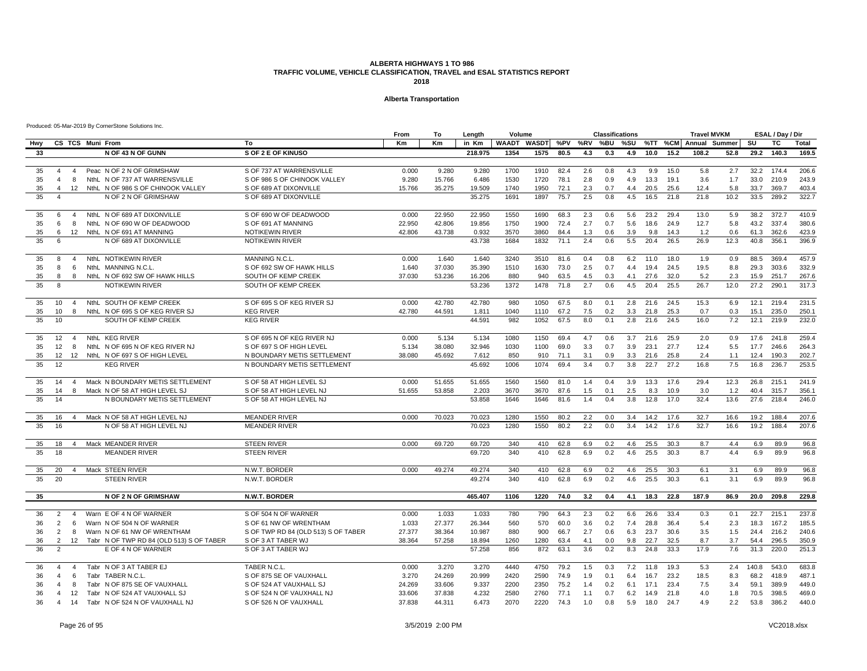### **Alberta Transportation**

|     |                 |                |                                          |                                     | From   | To     | Length  | Volume       |              |         |     | <b>Classifications</b> |     |      |         | <b>Travel MVKM</b> |      |       | ESAL / Day / Dir |       |
|-----|-----------------|----------------|------------------------------------------|-------------------------------------|--------|--------|---------|--------------|--------------|---------|-----|------------------------|-----|------|---------|--------------------|------|-------|------------------|-------|
| Hwy |                 |                | CS TCS Muni From                         | To                                  | Km     | Кm     | in Km   | <b>WAADT</b> | <b>WASDT</b> | %PV %RV |     | %BU                    | %SU |      | %TT %CM | Annual Summer      |      | SU    | TC               | Total |
| 33  |                 |                | N OF 43 N OF GUNN                        | S OF 2 E OF KINUSO                  |        |        | 218.975 | 1354         | 1575         | 80.5    | 4.3 | 0.3                    | 4.9 | 10.0 | 15.2    | 108.2              | 52.8 |       | 29.2 140.3       | 169.5 |
|     |                 |                |                                          |                                     |        |        |         |              |              |         |     |                        |     |      |         |                    |      |       |                  |       |
| 35  | $\overline{4}$  | $\overline{4}$ | Peac N OF 2 N OF GRIMSHAW                | S OF 737 AT WARRENSVILLE            | 0.000  | 9.280  | 9.280   | 1700         | 1910         | 82.4    | 2.6 | 0.8                    | 4.3 | 9.9  | 15.0    | 5.8                | 2.7  | 32.2  | 174.4            | 206.6 |
| 35  | $\overline{a}$  | 8              | NthL N OF 737 AT WARRENSVILLE            | S OF 986 S OF CHINOOK VALLEY        | 9.280  | 15.766 | 6.486   | 1530         | 1720         | 78.1    | 2.8 | 0.9                    | 4.9 | 13.3 | 19.1    | 3.6                | 1.7  | 33.0  | 210.9            | 243.9 |
| 35  |                 |                | 12 NthL N OF 986 S OF CHINOOK VALLEY     | S OF 689 AT DIXONVILLE              | 15.766 | 35.275 | 19.509  | 1740         | 1950         | 72.1    | 2.3 | 0.7                    | 4.4 | 20.5 | 25.6    | 12.4               | 5.8  | 33.7  | 369.7            | 403.4 |
| 35  | $\overline{4}$  |                | N OF 2 N OF GRIMSHAW                     | S OF 689 AT DIXONVILLE              |        |        | 35.275  | 1691         | 1897         | 75.7    | 2.5 | 0.8                    | 4.5 | 16.5 | 21.8    | 21.8               | 10.2 | 33.5  | 289.2            | 322.7 |
|     |                 |                |                                          |                                     |        |        |         |              |              |         |     |                        |     |      |         |                    |      |       |                  |       |
| 35  | 6               | $\overline{4}$ | NthL N OF 689 AT DIXONVILLE              | S OF 690 W OF DEADWOOD              | 0.000  | 22.950 | 22.950  | 1550         | 1690         | 68.3    | 2.3 | 0.6                    | 5.6 | 23.2 | 29.4    | 13.0               | 5.9  | 38.2  | 372.7            | 410.9 |
| 35  | 6               | 8              | NthL N OF 690 W OF DEADWOOD              | S OF 691 AT MANNING                 | 22.950 | 42.806 | 19.856  | 1750         | 1900         | 72.4    | 2.7 | 0.7                    | 5.6 | 18.6 | 24.9    | 12.7               | 5.8  | 43.2  | 337.4            | 380.6 |
| 35  | 6               | 12             | NthL N OF 691 AT MANNING                 | <b>NOTIKEWIN RIVER</b>              | 42.806 | 43.738 | 0.932   | 3570         | 3860         | 84.4    | 1.3 | 0.6                    | 3.9 | 9.8  | 14.3    | 1.2                | 0.6  | 61.3  | 362.6            | 423.9 |
| 35  | $6\overline{6}$ |                | N OF 689 AT DIXONVILLE                   | <b>NOTIKEWIN RIVER</b>              |        |        | 43.738  | 1684         | 1832         | 71.1    | 2.4 | 0.6                    | 5.5 | 20.4 | 26.5    | 26.9               | 12.3 | 40.8  | 356.1            | 396.9 |
| 35  | 8               | $\overline{4}$ | NthL NOTIKEWIN RIVER                     | MANNING N.C.L.                      | 0.000  | 1.640  | 1.640   | 3240         | 3510         | 81.6    | 0.4 | 0.8                    | 6.2 | 11.0 | 18.0    | 1.9                | 0.9  | 88.5  | 369.4            | 457.9 |
| 35  | 8               | 6              | NthL MANNING N.C.L.                      | S OF 692 SW OF HAWK HILLS           | 1.640  | 37.030 | 35.390  | 1510         | 1630         | 73.0    | 2.5 | 0.7                    | 4.4 | 19.4 | 24.5    | 19.5               | 8.8  | 29.3  | 303.6            | 332.9 |
| 35  | 8               | 8              | NthL N OF 692 SW OF HAWK HILLS           | SOUTH OF KEMP CREEK                 | 37.030 | 53.236 | 16.206  | 880          | 940          | 63.5    | 4.5 | 0.3                    | 4.1 | 27.6 | 32.0    | 5.2                | 2.3  | 15.9  | 251.7            | 267.6 |
| 35  | 8               |                | <b>NOTIKEWIN RIVER</b>                   | SOUTH OF KEMP CREEK                 |        |        | 53.236  | 1372         | 1478         | 71.8    | 2.7 | 0.6                    | 4.5 | 20.4 | 25.5    | 26.7               | 12.0 | 27.2  | 290.1            | 317.3 |
|     |                 |                |                                          |                                     |        |        |         |              |              |         |     |                        |     |      |         |                    |      |       |                  |       |
| 35  | 10              | $\overline{4}$ | NthL SOUTH OF KEMP CREEK                 | S OF 695 S OF KEG RIVER SJ          | 0.000  | 42.780 | 42.780  | 980          | 1050         | 67.5    | 8.0 | 0.1                    | 2.8 | 21.6 | 24.5    | 15.3               | 6.9  | 12.1  | 219.4            | 231.5 |
| 35  | 10              | 8              | NthL N OF 695 S OF KEG RIVER SJ          | <b>KEG RIVER</b>                    | 42.780 | 44.591 | 1.811   | 1040         | 1110         | 67.2    | 7.5 | 0.2                    | 3.3 | 21.8 | 25.3    | 0.7                | 0.3  | 15.1  | 235.0            | 250.1 |
| 35  | 10              |                | SOUTH OF KEMP CREEK                      | <b>KEG RIVER</b>                    |        |        | 44.591  | 982          | 1052         | 67.5    | 8.0 | 0.1                    | 2.8 | 21.6 | 24.5    | 16.0               | 7.2  | 12.1  | 219.9            | 232.0 |
|     |                 |                |                                          |                                     |        |        |         |              |              |         |     |                        |     |      |         |                    |      |       |                  |       |
| 35  | 12              | $\overline{4}$ | NthL KEG RIVER                           | S OF 695 N OF KEG RIVER NJ          | 0.000  | 5.134  | 5.134   | 1080         | 1150         | 69.4    | 4.7 | 0.6                    | 3.7 | 21.6 | 25.9    | 2.0                | 0.9  | 17.6  | 241.8            | 259.4 |
| 35  | 12              | 8              | NthL N OF 695 N OF KEG RIVER NJ          | S OF 697 S OF HIGH LEVEL            | 5.134  | 38.080 | 32.946  | 1030         | 1100         | 69.0    | 3.3 | 0.7                    | 3.9 | 23.1 | 27.7    | 12.4               | 5.5  | 17.7  | 246.6            | 264.3 |
| 35  | 12              | 12             | NthL N OF 697 S OF HIGH LEVEL            | N BOUNDARY METIS SETTLEMENT         | 38.080 | 45.692 | 7.612   | 850          | 910          | 71.1    | 3.1 | 0.9                    | 3.3 | 21.6 | 25.8    | 2.4                | 1.1  | 12.4  | 190.3            | 202.7 |
| 35  | 12              |                | <b>KEG RIVER</b>                         | N BOUNDARY METIS SETTLEMENT         |        |        | 45.692  | 1006         | 1074         | 69.4    | 3.4 | 0.7                    | 3.8 | 22.7 | 27.2    | 16.8               | 7.5  | 16.8  | 236.7            | 253.5 |
| 35  | 14              | $\overline{4}$ | Mack N BOUNDARY METIS SETTLEMENT         | S OF 58 AT HIGH LEVEL SJ            | 0.000  | 51.655 | 51.655  | 1560         | 1560         | 81.0    | 1.4 | 0.4                    | 3.9 | 13.3 | 17.6    | 29.4               | 12.3 | 26.8  | 215.1            | 241.9 |
| 35  | 14              | 8              | Mack N OF 58 AT HIGH LEVEL SJ            | S OF 58 AT HIGH LEVEL NJ            | 51.655 | 53.858 | 2.203   | 3670         | 3670         | 87.6    | 1.5 | 0.1                    | 2.5 | 8.3  | 10.9    | 3.0                | 1.2  | 40.4  | 315.7            | 356.1 |
| 35  | 14              |                | N BOUNDARY METIS SETTLEMENT              | S OF 58 AT HIGH LEVEL NJ            |        |        | 53.858  | 1646         | 1646         | 81.6    | 1.4 | 0.4                    | 3.8 | 12.8 | 17.0    | 32.4               | 13.6 | 27.6  | 218.4            | 246.0 |
|     |                 |                |                                          |                                     |        |        |         |              |              |         |     |                        |     |      |         |                    |      |       |                  |       |
| 35  | 16              | $\overline{4}$ | Mack N OF 58 AT HIGH LEVEL NJ            | <b>MEANDER RIVER</b>                | 0.000  | 70.023 | 70.023  | 1280         | 1550         | 80.2    | 2.2 | 0.0                    | 3.4 | 14.2 | 17.6    | 32.7               | 16.6 | 19.2  | 188.4            | 207.6 |
| 35  | 16              |                | N OF 58 AT HIGH LEVEL NJ                 | <b>MEANDER RIVER</b>                |        |        | 70.023  | 1280         | 1550         | 80.2    | 2.2 | 0.0                    | 3.4 | 14.2 | 17.6    | 32.7               | 16.6 | 19.2  | 188.4            | 207.6 |
|     |                 |                |                                          |                                     |        |        |         |              |              |         |     |                        |     |      |         |                    |      |       |                  |       |
| 35  | 18              | $\overline{4}$ | Mack MEANDER RIVER                       | <b>STEEN RIVER</b>                  | 0.000  | 69.720 | 69.720  | 340          | 410          | 62.8    | 6.9 | 0.2                    | 4.6 | 25.5 | 30.3    | 8.7                | 4.4  | 6.9   | 89.9             | 96.8  |
| 35  | 18              |                | <b>MEANDER RIVER</b>                     | <b>STEEN RIVER</b>                  |        |        | 69.720  | 340          | 410          | 62.8    | 6.9 | 0.2                    | 4.6 | 25.5 | 30.3    | 8.7                | 4.4  | 6.9   | 89.9             | 96.8  |
|     |                 |                |                                          |                                     |        |        |         |              |              |         |     |                        |     |      |         |                    |      |       |                  |       |
| 35  | 20              | 4              | Mack STEEN RIVER                         | N.W.T. BORDER                       | 0.000  | 49.274 | 49.274  | 340          | 410          | 62.8    | 6.9 | 0.2                    | 4.6 | 25.5 | 30.3    | 6.1                | 3.1  | 6.9   | 89.9             | 96.8  |
| 35  | 20              |                | <b>STEEN RIVER</b>                       | N.W.T. BORDER                       |        |        | 49.274  | 340          | 410          | 62.8    | 6.9 | 0.2                    | 4.6 | 25.5 | 30.3    | 6.1                | 3.1  | 6.9   | 89.9             | 96.8  |
| 35  |                 |                | <b>N OF 2 N OF GRIMSHAW</b>              | N.W.T. BORDER                       |        |        | 465.407 | 1106         | 1220         | 74.0    | 3.2 | 0.4                    | 4.1 | 18.3 | 22.8    | 187.9              | 86.9 |       | 20.0 209.8       | 229.8 |
|     |                 |                |                                          |                                     |        |        |         |              |              |         |     |                        |     |      |         |                    |      |       |                  |       |
| 36  | 2               | $\overline{4}$ | Warn E OF 4 N OF WARNER                  | S OF 504 N OF WARNER                | 0.000  | 1.033  | 1.033   | 780          | 790          | 64.3    | 2.3 | 0.2                    | 6.6 | 26.6 | 33.4    | 0.3                | 0.1  | 22.7  | 215.1            | 237.8 |
| 36  | $\mathcal{P}$   | 6              | Warn N OF 504 N OF WARNER                | S OF 61 NW OF WRENTHAM              | 1.033  | 27,377 | 26.344  | 560          | 570          | 60.0    | 3.6 | 0.2                    | 7.4 | 28.8 | 36.4    | 5.4                | 2.3  | 18.3  | 167.2            | 185.5 |
| 36  | 2               | 8              | Warn N OF 61 NW OF WRENTHAM              | S OF TWP RD 84 (OLD 513) S OF TABER | 27.377 | 38.364 | 10.987  | 880          | 900          | 66.7    | 2.7 | 0.6                    | 6.3 | 23.7 | 30.6    | 3.5                | 1.5  | 24.4  | 216.2            | 240.6 |
| 36  | 2               | 12             | Tabr N OF TWP RD 84 (OLD 513) S OF TABER | S OF 3 AT TABER WJ                  | 38.364 | 57.258 | 18.894  | 1260         | 1280         | 63.4    | 4.1 | 0.0                    | 9.8 | 22.7 | 32.5    | 8.7                | 3.7  | 54.4  | 296.5            | 350.9 |
| 36  | $\overline{2}$  |                | E OF 4 N OF WARNER                       | S OF 3 AT TABER WJ                  |        |        | 57.258  | 856          | 872          | 63.1    | 3.6 | 0.2                    | 8.3 | 24.8 | 33.3    | 17.9               | 7.6  | 31.3  | 220.0            | 251.3 |
|     |                 |                |                                          |                                     |        |        |         |              |              |         |     |                        |     |      |         |                    |      |       |                  |       |
| 36  | $\overline{a}$  | $\overline{4}$ | Tabr N OF 3 AT TABER EJ                  | TABER N.C.L.                        | 0.000  | 3.270  | 3.270   | 4440         | 4750         | 79.2    | 1.5 | 0.3                    | 7.2 | 11.8 | 19.3    | 5.3                | 2.4  | 140.8 | 543.0            | 683.8 |
| 36  | $\overline{a}$  | 6              | Tabr TABER N.C.L                         | S OF 875 SE OF VAUXHALL             | 3.270  | 24.269 | 20.999  | 2420         | 2590         | 74.9    | 1.9 | 0.1                    | 6.4 | 16.7 | 23.2    | 18.5               | 8.3  | 68.2  | 418.9            | 487.1 |
| 36  |                 | 8              | Tabr N OF 875 SE OF VAUXHALL             | S OF 524 AT VAUXHALL SJ             | 24.269 | 33.606 | 9.337   | 2200         | 2350         | 75.2    | 1.4 | 0.2                    | 6.1 | 17.1 | 23.4    | 7.5                | 3.4  | 59.1  | 389.9            | 449.0 |
| 36  |                 | 12             | Tabr N OF 524 AT VAUXHALL SJ             | S OF 524 N OF VAUXHALL NJ           | 33.606 | 37.838 | 4.232   | 2580         | 2760         | 77.1    | 1.1 | 0.7                    | 6.2 | 14.9 | 21.8    | 4.0                | 1.8  | 70.5  | 398.5            | 469.0 |
| 36  | $\overline{a}$  | 14             | Tabr N OF 524 N OF VAUXHALL NJ           | S OF 526 N OF VAUXHALL              | 37.838 | 44.311 | 6.473   | 2070         | 2220         | 74.3    | 1.0 | 0.8                    | 5.9 | 18.0 | 24.7    | 4.9                | 2.2  | 53.8  | 386.2            | 440.0 |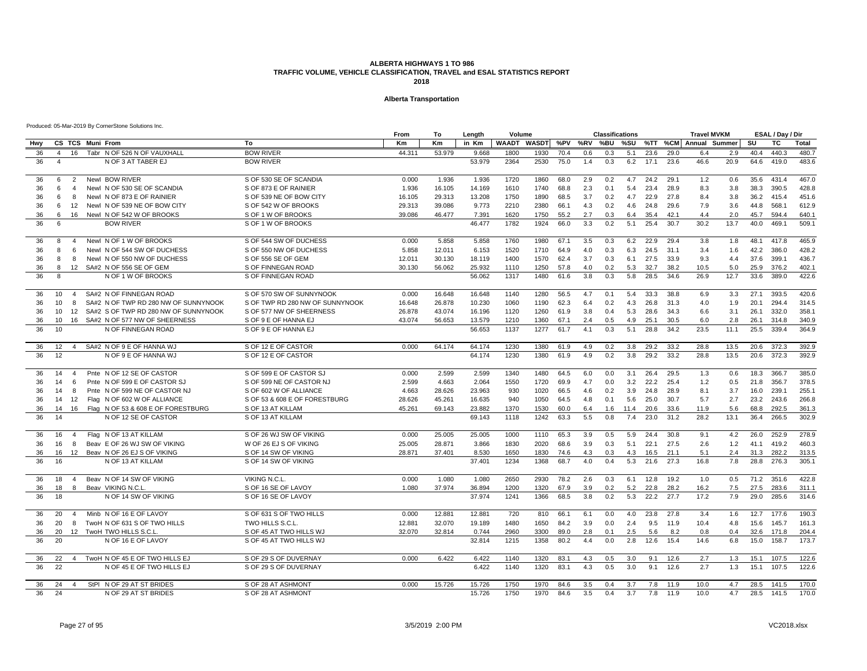### **Alberta Transportation**

|     |                 |                |                  |                                         |                                 | From   | To     | Length | Volume |              |      |         | <b>Classifications</b> |      |      |      | <b>Travel MVKM</b>    |      |      | ESAL / Day / Dir |       |
|-----|-----------------|----------------|------------------|-----------------------------------------|---------------------------------|--------|--------|--------|--------|--------------|------|---------|------------------------|------|------|------|-----------------------|------|------|------------------|-------|
| Hwy |                 |                | CS TCS Muni From |                                         | To                              | Km     | Km     | in Km  | WAADT  | <b>WASDT</b> |      | %PV %RV | %BU                    | %SU  |      |      | %TT %CM Annual Summer |      | SU   | TC               | Total |
| 36  | $\overline{4}$  | 16             |                  | Tabr N OF 526 N OF VAUXHALI             | <b>BOW RIVER</b>                | 44.311 | 53.979 | 9.668  | 1800   | 1930         | 70.4 | 0.6     | 0.3                    | 5.1  | 23.6 | 29.0 | 6.4                   | 2.9  | 40.4 | 440.3            | 480.7 |
| 36  | $\overline{4}$  |                |                  | N OF 3 AT TABER EJ                      | <b>BOW RIVER</b>                |        |        | 53.979 | 2364   | 2530         | 75.0 | 1.4     | 0.3                    | 6.2  | 17.1 | 23.6 | 46.6                  | 20.9 | 64.6 | 419.0            | 483.6 |
| 36  | 6               | 2              |                  | Newl BOW RIVER                          | S OF 530 SE OF SCANDIA          | 0.000  | 1.936  | 1.936  | 1720   | 1860         | 68.0 | 2.9     | 0.2                    | 4.7  | 24.2 | 29.1 | 1.2                   | 0.6  | 35.6 | 431.4            | 467.0 |
| 36  | 6               | $\Delta$       |                  | Newl N OF 530 SE OF SCANDIA             | S OF 873 E OF RAINIER           | 1.936  | 16.105 | 14.169 | 1610   | 1740         | 68.8 | 2.3     | 0.1                    | 5.4  | 23.4 | 28.9 | 8.3                   | 3.8  | 38.3 | 390.5            | 428.8 |
| 36  | 6               | 8              |                  | Newl N OF 873 E OF RAINIER              | S OF 539 NE OF BOW CITY         | 16.105 | 29.313 | 13.208 | 1750   | 1890         | 68.5 | 3.7     | 0.2                    | 4.7  | 22.9 | 27.8 | 8.4                   | 3.8  | 36.2 | 415.4            | 451.6 |
| 36  | 6               | 12             |                  | Newl N OF 539 NE OF BOW CITY            | S OF 542 W OF BROOKS            | 29.313 | 39.086 | 9.773  | 2210   | 2380         | 66.1 | 4.3     | 0.2                    | 4.6  | 24.8 | 29.6 | 7.9                   | 3.6  | 44.8 | 568.1            | 612.9 |
| 36  | 6               | 16             |                  | Newl N OF 542 W OF BROOKS               | S OF 1 W OF BROOKS              | 39.086 | 46.477 | 7.391  | 1620   | 1750         | 55.2 | 2.7     | 0.3                    | 6.4  | 35.4 | 42.1 | 4.4                   | 2.0  | 45.7 | 594.4            | 640.1 |
| 36  | 6               |                |                  | <b>BOW RIVER</b>                        | S OF 1 W OF BROOKS              |        |        | 46.477 | 1782   | 1924         | 66.0 | 3.3     | 0.2                    | 5.1  | 25.4 | 30.7 | 30.2                  | 13.7 | 40.0 | 469.1            | 509.1 |
| 36  | 8               | $\overline{4}$ |                  | Newl N OF 1 W OF BROOKS                 | S OF 544 SW OF DUCHESS          | 0.000  | 5.858  | 5.858  | 1760   | 1980         | 67.1 | 3.5     | 0.3                    | 6.2  | 22.9 | 29.4 | 3.8                   | 1.8  | 48.1 | 417.8            | 465.9 |
| 36  | 8               | 6              |                  | Newl N OF 544 SW OF DUCHESS             | S OF 550 NW OF DUCHESS          | 5.858  | 12.011 | 6.153  | 1520   | 1710         | 64.9 | 4.0     | 0.3                    | 6.3  | 24.5 | 31.1 | 3.4                   | 1.6  | 42.2 | 386.0            | 428.2 |
| 36  | 8               | 8              |                  | Newl N OF 550 NW OF DUCHESS             | S OF 556 SE OF GEM              | 12.011 | 30.130 | 18.119 | 1400   | 1570         | 62.4 | 3.7     | 0.3                    | 6.1  | 27.5 | 33.9 | 9.3                   | 4.4  | 37.6 | 399.1            | 436.7 |
| 36  | 8               | 12             |                  | SA#2 N OF 556 SE OF GEM                 | S OF FINNEGAN ROAD              | 30.130 | 56.062 | 25.932 | 1110   | 1250         | 57.8 | 4.0     | 0.2                    | 5.3  | 32.7 | 38.2 | 10.5                  | 5.0  | 25.9 | 376.2            | 402.1 |
| 36  | 8               |                |                  | N OF 1 W OF BROOKS                      | S OF FINNEGAN ROAD              |        |        | 56.062 | 1317   | 1480         | 61.6 | 3.8     | 0.3                    | 5.8  | 28.5 | 34.6 | 26.9                  | 12.7 | 33.6 | 389.0            | 422.6 |
| 36  | 10              | $\overline{4}$ |                  | SA#2 N OF FINNEGAN ROAD                 | S OF 570 SW OF SUNNYNOOK        | 0.000  | 16.648 | 16.648 | 1140   | 1280         | 56.5 | 4.7     | 0.1                    | 5.4  | 33.3 | 38.8 | 6.9                   | 3.3  | 27.1 | 393.5            | 420.6 |
| 36  | 10              | 8              |                  | SA#2 N OF TWP RD 280 NW OF SUNNYNOOK    | S OF TWP RD 280 NW OF SUNNYNOOK | 16.648 | 26.878 | 10.230 | 1060   | 1190         | 62.3 | 6.4     | 0.2                    | 4.3  | 26.8 | 31.3 | 4.0                   | 1.9  | 20.1 | 294.4            | 314.5 |
| 36  | $10^{-1}$       |                |                  | 12 SA#2 S OF TWP RD 280 NW OF SUNNYNOOK | S OF 577 NW OF SHEERNESS        | 26.878 | 43.074 | 16.196 | 1120   | 1260         | 61.9 | 3.8     | 0.4                    | 5.3  | 28.6 | 34.3 | 6.6                   | 3.1  | 26.1 | 332.0            | 358.1 |
| 36  | $10^{-1}$       |                |                  | 16 SA#2 N OF 577 NW OF SHEERNESS        | S OF 9 E OF HANNA EJ            | 43.074 | 56.653 | 13.579 | 1210   | 1360         | 67.1 | 2.4     | 0.5                    | 4.9  | 25.1 | 30.5 | 6.0                   | 2.8  | 26.1 | 314.8            | 340.9 |
| 36  | 10 <sup>1</sup> |                |                  | N OF FINNEGAN ROAD                      | S OF 9 E OF HANNA EJ            |        |        | 56.653 | 1137   | 1277         | 61.7 | 4.1     | 0.3                    | 5.1  | 28.8 | 34.2 | 23.5                  | 11.1 | 25.5 | 339.4            | 364.9 |
| 36  | 12              | 4              |                  | SA#2 N OF 9 E OF HANNA WJ               | S OF 12 E OF CASTOR             | 0.000  | 64.174 | 64.174 | 1230   | 1380         | 61.9 | 4.9     | 0.2                    | 3.8  | 29.2 | 33.2 | 28.8                  | 13.5 | 20.6 | 372.3            | 392.9 |
| 36  | 12              |                |                  | N OF 9 E OF HANNA WJ                    | S OF 12 E OF CASTOR             |        |        | 64.174 | 1230   | 1380         | 61.9 | 4.9     | 0.2                    | 3.8  | 29.2 | 33.2 | 28.8                  | 13.5 | 20.6 | 372.3            | 392.9 |
|     |                 |                |                  |                                         |                                 |        |        |        |        |              |      |         |                        |      |      |      |                       |      |      |                  |       |
| 36  | 14              | $\overline{4}$ |                  | Pnte N OF 12 SE OF CASTOR               | S OF 599 E OF CASTOR SJ         | 0.000  | 2.599  | 2.599  | 1340   | 1480         | 64.5 | 6.0     | 0.0                    | 3.1  | 26.4 | 29.5 | 1.3                   | 0.6  | 18.3 | 366.7            | 385.0 |
| 36  | 14              | 6              |                  | Pnte N OF 599 E OF CASTOR SJ            | S OF 599 NE OF CASTOR NJ        | 2.599  | 4.663  | 2.064  | 1550   | 1720         | 69.9 | 4.7     | 0.0                    | 3.2  | 22.2 | 25.4 | 1.2                   | 0.5  | 21.8 | 356.7            | 378.5 |
| 36  | 14              | 8              |                  | Pnte N OF 599 NE OF CASTOR NJ           | S OF 602 W OF ALLIANCE          | 4.663  | 28.626 | 23.963 | 930    | 1020         | 66.5 | 4.6     | 0.2                    | 3.9  | 24.8 | 28.9 | 8.1                   | 3.7  | 16.0 | 239.1            | 255.1 |
| 36  | 14              | 12             |                  | Flag N OF 602 W OF ALLIANCE             | S OF 53 & 608 E OF FORESTBURG   | 28.626 | 45.261 | 16.635 | 940    | 1050         | 64.5 | 4.8     | 0.1                    | 5.6  | 25.0 | 30.7 | 5.7                   | 2.7  | 23.2 | 243.6            | 266.8 |
| 36  | 14              | 16             |                  | Flag N OF 53 & 608 E OF FORESTBURG      | S OF 13 AT KILLAM               | 45.261 | 69.143 | 23.882 | 1370   | 1530         | 60.0 | 6.4     | 1.6                    | 11.4 | 20.6 | 33.6 | 11.9                  | 5.6  | 68.8 | 292.5            | 361.3 |
| 36  | 14              |                |                  | N OF 12 SE OF CASTOR                    | S OF 13 AT KILLAM               |        |        | 69.143 | 1118   | 1242         | 63.3 | 5.5     | 0.8                    | 7.4  | 23.0 | 31.2 | 28.2                  | 13.1 | 36.4 | 266.5            | 302.9 |
| 36  | 16              | $\overline{4}$ |                  | Flag N OF 13 AT KILLAM                  | S OF 26 WJ SW OF VIKING         | 0.000  | 25,005 | 25.005 | 1000   | 1110         | 65.3 | 3.9     | 0.5                    | 5.9  | 24.4 | 30.8 | 9.1                   | 4.2  | 26.0 | 252.9            | 278.9 |
| 36  | 16              | 8              |                  | Beav E OF 26 WJ SW OF VIKING            | W OF 26 EJ S OF VIKING          | 25.005 | 28.871 | 3.866  | 1830   | 2020         | 68.6 | 3.9     | 0.3                    | 5.1  | 22.1 | 27.5 | 2.6                   | 1.2  | 41.1 | 419.2            | 460.3 |
| 36  | 16              |                |                  | 12 Beav N OF 26 EJ S OF VIKING          | S OF 14 SW OF VIKING            | 28.871 | 37.401 | 8.530  | 1650   | 1830         | 74.6 | 4.3     | 0.3                    | 4.3  | 16.5 | 21.1 | 5.1                   | 2.4  | 31.3 | 282.2            | 313.5 |
| 36  | 16              |                |                  | N OF 13 AT KILLAM                       | S OF 14 SW OF VIKING            |        |        | 37.401 | 1234   | 1368         | 68.7 | 4.0     | 0.4                    | 5.3  | 21.6 | 27.3 | 16.8                  | 7.8  | 28.8 | 276.3            | 305.1 |
| 36  | 18              | $\overline{4}$ |                  | Beav N OF 14 SW OF VIKING               | VIKING N.C.L.                   | 0.000  | 1.080  | 1.080  | 2650   | 2930         | 78.2 | 2.6     | 0.3                    | 6.1  | 12.8 | 19.2 | 1.0                   | 0.5  | 71.2 | 351.6            | 422.8 |
| 36  | 18              | 8              |                  | Beav VIKING N.C.L                       | S OF 16 SE OF LAVOY             | 1.080  | 37.974 | 36.894 | 1200   | 1320         | 67.9 | 3.9     | 0.2                    | 5.2  | 22.8 | 28.2 | 16.2                  | 7.5  | 27.5 | 283.6            | 311.1 |
| 36  | 18              |                |                  | N OF 14 SW OF VIKING                    | S OF 16 SE OF LAVOY             |        |        | 37.974 | 1241   | 1366         | 68.5 | 3.8     | 0.2                    | 5.3  | 22.2 | 27.7 | 17.2                  | 7.9  | 29.0 | 285.6            | 314.6 |
| 36  | 20              | $\overline{4}$ |                  | Minb N OF 16 E OF LAVOY                 | S OF 631 S OF TWO HILLS         | 0.000  | 12.881 | 12.881 | 720    | 810          | 66.1 | 6.1     | 0.0                    | 4.0  | 23.8 | 27.8 | 3.4                   | 1.6  | 12.7 | 177.6            | 190.3 |
| 36  | 20              | 8              |                  | TwoH N OF 631 S OF TWO HILLS            | TWO HILLS S.C.L.                | 12.881 | 32.070 | 19.189 | 1480   | 1650         | 84.2 | 3.9     | 0.0                    | 2.4  | 9.5  | 11.9 | 10.4                  | 4.8  | 15.6 | 145.7            | 161.3 |
| 36  | 20              |                |                  | 12 TwoH TWO HILLS S.C.L                 | S OF 45 AT TWO HILLS WJ         | 32.070 | 32.814 | 0.744  | 2960   | 3300         | 89.0 | 2.8     | 0.1                    | 2.5  | 5.6  | 8.2  | 0.8                   | 0.4  | 32.6 | 171.8            | 204.4 |
| 36  | 20              |                |                  | N OF 16 E OF LAVOY                      | S OF 45 AT TWO HILLS WJ         |        |        | 32.814 | 1215   | 1358         | 80.2 | 4.4     | 0.0                    | 2.8  | 12.6 | 15.4 | 14.6                  | 6.8  | 15.0 | 158.7            | 173.7 |
| 36  | 22              | $\overline{4}$ |                  | TwoH N OF 45 E OF TWO HILLS EJ          | S OF 29 S OF DUVERNAY           | 0.000  | 6.422  | 6.422  | 1140   | 1320         | 83.1 | 4.3     | 0.5                    | 3.0  | 9.1  | 12.6 | 2.7                   | 1.3  | 15.1 | 107.5            | 122.6 |
| 36  | 22              |                |                  | N OF 45 E OF TWO HILLS EJ               | S OF 29 S OF DUVERNAY           |        |        | 6.422  | 1140   | 1320         | 83.1 | 4.3     | 0.5                    | 3.0  | 9.1  | 12.6 | 2.7                   | 1.3  | 15.1 | 107.5            | 122.6 |
| 36  | 24              | $\overline{4}$ |                  | StPI N OF 29 AT ST BRIDES               | S OF 28 AT ASHMONT              | 0.000  | 15.726 | 15.726 | 1750   | 1970         | 84.6 | 3.5     | 0.4                    | 3.7  | 7.8  | 11.9 | 10.0                  | 4.7  | 28.5 | 141.5            | 170.0 |
| 36  | 24              |                |                  | N OF 29 AT ST BRIDES                    | S OF 28 AT ASHMONT              |        |        | 15.726 | 1750   | 1970         | 84.6 | 3.5     | 0.4                    | 3.7  | 7.8  | 11.9 | 10.0                  | 4.7  | 28.5 | 141.5            | 170.0 |
|     |                 |                |                  |                                         |                                 |        |        |        |        |              |      |         |                        |      |      |      |                       |      |      |                  |       |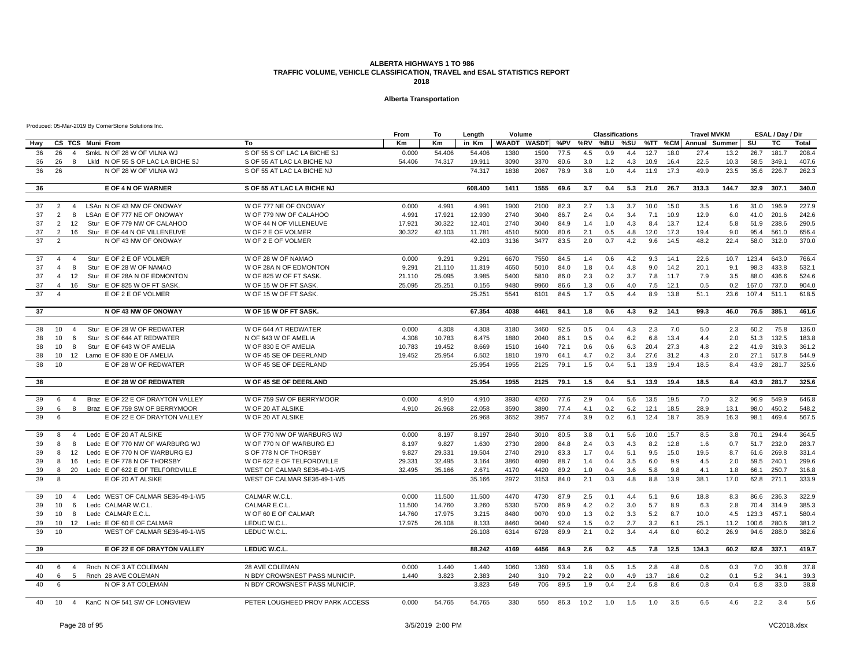### **Alberta Transportation**

|          |                  |                   |                  |                                                           |                                                | From             | To               | Length         | Volume       |              |              |            | <b>Classifications</b> |            |              |              | <b>Travel MVKM</b> |            |              | ESAL / Day / Dir |                |
|----------|------------------|-------------------|------------------|-----------------------------------------------------------|------------------------------------------------|------------------|------------------|----------------|--------------|--------------|--------------|------------|------------------------|------------|--------------|--------------|--------------------|------------|--------------|------------------|----------------|
| Hwy      |                  |                   | CS TCS Muni From |                                                           | To                                             | <b>Km</b>        | Кm               | in Km          | <b>WAADT</b> | <b>WASDT</b> | %PV          | %RV        | %BU                    | %SU        |              | %TT %CM      | Annual Summer      |            | SU           | TC               | <b>Total</b>   |
| 36       | 26               | $\overline{4}$    |                  | SmkL N OF 28 W OF VILNA WJ                                | S OF 55 S OF LAC LA BICHE SJ                   | 0.000            | 54.406           | 54,406         | 1380         | 1590         | 77.5         | 4.5        | 0.9                    | 4.4        | 12.7         | 18.0         | 27.4               | 13.2       | 26.7         | 181.7            | 208.4          |
| 36       | 26               | 8                 |                  | Lkid N OF 55 S OF LAC LA BICHE SJ                         | S OF 55 AT LAC LA BICHE NJ                     | 54,406           | 74.317           | 19.911         | 3090         | 3370         | 80.6         | 3.0        | 1.2                    | 4.3        | 10.9         | 16.4         | 22.5               | 10.3       | 58.5         | 349.1            | 407.6          |
| 36       | 26               |                   |                  | N OF 28 W OF VILNA WJ                                     | S OF 55 AT LAC LA BICHE NJ                     |                  |                  | 74.317         | 1838         | 2067         | 78.9         | 3.8        | 1.0                    | 4.4        | 11.9         | 17.3         | 49.9               | 23.5       | 35.6         | 226.7            | 262.3          |
| 36       |                  |                   |                  | E OF 4 N OF WARNER                                        | S OF 55 AT LAC LA BICHE NJ                     |                  |                  | 608.400        | 1411         | 1555         | 69.6         | 3.7        | 0.4                    | 5.3        | 21.0         | 26.7         | 313.3              | 144.7      | 32.9         | 307.1            | 340.0          |
|          |                  |                   |                  |                                                           |                                                |                  |                  |                |              |              |              |            |                        |            |              |              |                    |            |              |                  |                |
| 37       | 2                | $\overline{4}$    |                  | LSAn N OF 43 NW OF ONOWAY                                 | W OF 777 NE OF ONOWAY                          | 0.000            | 4.991            | 4.991          | 1900         | 2100         | 82.3         | 2.7        | 1.3                    | 3.7        | 10.0         | 15.0         | 3.5                | 1.6        | 31.0         | 196.9            | 227.9          |
| 37       | $\overline{2}$   | 8                 |                  | LSAn E OF 777 NE OF ONOWAY                                | W OF 779 NW OF CALAHOO                         | 4.991            | 17.921           | 12.930         | 2740         | 3040         | 86.7         | 2.4        | 0.4                    | 3.4        | 7.1          | 10.9         | 12.9               | 6.0        | 41.0         | 201.6            | 242.6          |
| 37       | 2                | 12                |                  | Stur E OF 779 NW OF CALAHOO                               | W OF 44 N OF VILLENEUVE                        | 17.921           | 30.322           | 12.401         | 2740         | 3040         | 84.9         | 1.4        | 1.0                    | 4.3        | 8.4          | 13.7         | 12.4               | 5.8        | 51.9         | 238.6            | 290.5          |
| 37       | 2                | 16                |                  | Stur E OF 44 N OF VILLENEUVE                              | W OF 2 E OF VOLMER                             | 30.322           | 42.103           | 11.781         | 4510         | 5000         | 80.6         | 2.1        | 0.5                    | 4.8        | 12.0         | 17.3         | 19.4               | 9.0        | 95.4         | 561.0            | 656.4          |
| 37       | $\mathcal{P}$    |                   |                  | N OF 43 NW OF ONOWAY                                      | W OF 2 E OF VOLMER                             |                  |                  | 42.103         | 3136         | 3477         | 83.5         | 2.0        | 0.7                    | 4.2        | 9.6          | 14.5         | 48.2               | 22.4       | 58.0         | 312.0            | 370.0          |
| 37       | $\overline{4}$   | $\overline{4}$    |                  | Stur E OF 2 E OF VOLMER                                   | W OF 28 W OF NAMAO                             | 0.000            | 9.291            | 9.291          | 6670         | 7550         | 84.5         | 1.4        | 0.6                    | 4.2        | 9.3          | 14.1         | 22.6               | 10.7       | 123.4        | 643.0            | 766.4          |
| 37       | $\overline{4}$   | 8                 |                  | Stur E OF 28 W OF NAMAO                                   | W OF 28A N OF EDMONTON                         | 9.291            | 21.110           | 11.819         | 4650         | 5010         | 84.0         | 1.8        | 0.4                    | 4.8        | 9.0          | 14.2         | 20.1               | 9.1        | 98.3         | 433.8            | 532.1          |
| 37       | $\overline{4}$   | 12                |                  | Stur E OF 28A N OF EDMONTON                               | W OF 825 W OF FT SASK.                         | 21.110           | 25.095           | 3.985          | 5400         | 5810         | 86.0         | 2.3        | 0.2                    | 3.7        | 7.8          | 11.7         | 7.9                | 3.5        | 88.0         | 436.6            | 524.6          |
| 37       | $\overline{a}$   | 16                |                  | Stur E OF 825 W OF FT SASK                                | W OF 15 W OF FT SASK.                          | 25.095           | 25.251           | 0.156          | 9480         | 9960         | 86.6         | 1.3        | 0.6                    | 4.0        | 7.5          | 12.1         | 0.5                | 0.2        | 167.0        | 737.0            | 904.0          |
| 37       | $\overline{4}$   |                   |                  | E OF 2 E OF VOLMER                                        | W OF 15 W OF FT SASK.                          |                  |                  | 25.251         | 5541         | 6101         | 84.5         | 1.7        | 0.5                    | 4.4        | 8.9          | 13.8         | 51.1               | 23.6       | 107.4        | 511.1            | 618.5          |
| 37       |                  |                   |                  | N OF 43 NW OF ONOWAY                                      | W OF 15 W OF FT SASK.                          |                  |                  | 67.354         | 4038         | 4461         | 84.1         | 1.8        | 0.6                    | 4.3        | 9.2          | 14.1         | 99.3               | 46.0       | 76.5         | 385.1            | 461.6          |
|          |                  |                   |                  |                                                           |                                                |                  |                  |                |              |              |              |            |                        |            |              |              |                    |            |              |                  |                |
| 38       | 10               | $\overline{4}$    |                  | Stur E OF 28 W OF REDWATER                                | W OF 644 AT REDWATER                           | 0.000            | 4.308            | 4.308          | 3180         | 3460         | 92.5         | 0.5        | 0.4                    | 4.3        | 2.3          | 7.0          | 5.0                | 2.3        | 60.2         | 75.8             | 136.0          |
| 38       | 10               | 6                 |                  | Stur S OF 644 AT REDWATER                                 | N OF 643 W OF AMELIA                           | 4.308            | 10.783           | 6.475          | 1880         | 2040         | 86.1         | 0.5        | 0.4                    | 6.2        | 6.8          | 13.4         | 4.4                | 2.0        | 51.3         | 132.5            | 183.8          |
| 38<br>38 | 10<br>10         | 8                 |                  | Stur E OF 643 W OF AMELIA<br>12 Lamo E OF 830 E OF AMELIA | W OF 830 E OF AMELIA<br>W OF 45 SE OF DEERLAND | 10.783<br>19.452 | 19.452<br>25.954 | 8.669<br>6.502 | 1510<br>1810 | 1640<br>1970 | 72.1<br>64.1 | 0.6<br>4.7 | 0.6<br>0.2             | 6.3<br>3.4 | 20.4<br>27.6 | 27.3<br>31.2 | 4.8<br>4.3         | 2.2<br>2.0 | 41.9<br>27.1 | 319.3<br>517.8   | 361.2<br>544.9 |
| 38       | 10               |                   |                  | E OF 28 W OF REDWATER                                     | W OF 45 SE OF DEERLAND                         |                  |                  | 25.954         | 1955         | 2125         | 79.1         | 1.5        | 0.4                    | 5.1        | 13.9         | 19.4         | 18.5               | 8.4        | 43.9         | 281.7            | 325.6          |
|          |                  |                   |                  |                                                           |                                                |                  |                  |                |              |              |              |            |                        |            |              |              |                    |            |              |                  |                |
| 38       |                  |                   |                  | E OF 28 W OF REDWATER                                     | <b>W OF 45 SE OF DEERLAND</b>                  |                  |                  | 25.954         | 1955         | 2125         | 79.1         | 1.5        | 0.4                    | 5.1        | 13.9         | 19.4         | 18.5               | 8.4        | 43.9         | 281.7            | 325.6          |
| 39       | 6                | $\overline{4}$    |                  | Braz E OF 22 E OF DRAYTON VALLEY                          | W OF 759 SW OF BERRYMOOR                       | 0.000            | 4.910            | 4.910          | 3930         | 4260         | 77.6         | 2.9        | 0.4                    | 5.6        | 13.5         | 19.5         | 7.0                | 3.2        | 96.9         | 549.9            | 646.8          |
| 39       | 6                | 8                 |                  | Braz E OF 759 SW OF BERRYMOOR                             | W OF 20 AT ALSIKE                              | 4.910            | 26.968           | 22.058         | 3590         | 3890         | 77.4         | 4.1        | 0.2                    | 6.2        | 12.1         | 18.5         | 28.9               | 13.1       | 98.0         | 450.2            | 548.2          |
| 39       | 6                |                   |                  | E OF 22 E OF DRAYTON VALLEY                               | W OF 20 AT ALSIKE                              |                  |                  | 26.968         | 3652         | 3957         | 77.4         | 3.9        | 0.2                    | 6.1        | 12.4         | 18.7         | 35.9               | 16.3       | 98.1         | 469.4            | 567.5          |
| 39       | 8                | $\overline{4}$    |                  | Ledc E OF 20 AT ALSIKE                                    | W OF 770 NW OF WARBURG WJ                      | 0.000            | 8.197            | 8.197          | 2840         | 3010         | 80.5         | 3.8        | 0.1                    | 5.6        | 10.0         | 15.7         | 8.5                | 3.8        | 70.1         | 294.4            | 364.5          |
| 39       | 8                | 8                 |                  | Ledc E OF 770 NW OF WARBURG WJ                            | W OF 770 N OF WARBURG EJ                       | 8.197            | 9.827            | 1.630          | 2730         | 2890         | 84.8         | 2.4        | 0.3                    | 4.3        | 8.2          | 12.8         | 1.6                | 0.7        | 51.7         | 232.0            | 283.7          |
| 39       | 8                | $12 \overline{ }$ |                  | Ledc E OF 770 N OF WARBURG EJ                             | S OF 778 N OF THORSBY                          | 9.827            | 29.331           | 19.504         | 2740         | 2910         | 83.3         | 1.7        | 0.4                    | 5.1        | 9.5          | 15.0         | 19.5               | 8.7        | 61.6         | 269.8            | 331.4          |
| 39       | 8                | 16                |                  | Ledc E OF 778 N OF THORSBY                                | W OF 622 E OF TELFORDVILLE                     | 29.331           | 32.495           | 3.164          | 3860         | 4090         | 88.7         | 1.4        | 0.4                    | 3.5        | 6.0          | 9.9          | 4.5                | 2.0        | 59.5         | 240.1            | 299.6          |
| 39       | 8                | 20                |                  | Ledc E OF 622 E OF TELFORDVILLE                           | WEST OF CALMAR SE36-49-1-W5                    | 32.495           | 35.166           | 2.671          | 4170         | 4420         | 89.2         | 1.0        | 0.4                    | 3.6        | 5.8          | 9.8          | 4.1                | 1.8        | 66.1         | 250.7            | 316.8          |
| 39       | 8                |                   |                  | E OF 20 AT ALSIKE                                         | WEST OF CALMAR SE36-49-1-W5                    |                  |                  | 35.166         | 2972         | 3153         | 84.0         | 2.1        | 0.3                    | 4.8        | 8.8          | 13.9         | 38.1               | 17.0       | 62.8         | 271.1            | 333.9          |
| 39       | 10               | $\overline{A}$    |                  | Ledc WEST OF CALMAR SE36-49-1-W5                          | CALMAR W.C.L.                                  | 0.000            | 11.500           | 11.500         | 4470         | 4730         | 87.9         | 2.5        | 0.1                    | 4.4        | 5.1          | 9.6          | 18.8               | 8.3        | 86.6         | 236.3            | 322.9          |
| 39       | 10               | -6                |                  | Ledc CALMAR W.C.L.                                        | CALMAR E.C.L                                   | 11.500           | 14.760           | 3.260          | 5330         | 5700         | 86.9         | 4.2        | 0.2                    | 3.0        | 5.7          | 8.9          | 6.3                | 2.8        | 70.4         | 314.9            | 385.3          |
| 39       | 10               | -8                |                  | Ledc CALMAR E.C.L.                                        | W OF 60 E OF CALMAR                            | 14.760           | 17.975           | 3.215          | 8480         | 9070         | 90.0         | 1.3        | 0.2                    | 3.3        | 5.2          | 8.7          | 10.0               | 4.5        | 123.3        | 457.1            | 580.4          |
| 39       | 10               |                   |                  | 12 Ledc E OF 60 E OF CALMAR                               | LEDUC W.C.L                                    | 17.975           | 26.108           | 8.133          | 8460         | 9040         | 92.4         | 1.5        | 0.2                    | 2.7        | 3.2          | 6.1          | 25.1               | 11.2       | 100.6        | 280.6            | 381.2          |
| 39       | 10 <sup>10</sup> |                   |                  | WEST OF CALMAR SE36-49-1-W5                               | LEDUC W.C.L.                                   |                  |                  | 26.108         | 6314         | 6728         | 89.9         | 2.1        | 0.2                    | 3.4        | 4.4          | 8.0          | 60.2               | 26.9       | 94.6         | 288.0            | 382.6          |
| 39       |                  |                   |                  | E OF 22 E OF DRAYTON VALLEY                               | LEDUC W.C.L.                                   |                  |                  | 88.242         | 4169         | 4456         | 84.9         | 2.6        | 0.2                    | 4.5        | 7.8          | 12.5         | 134.3              | 60.2       | 82.6         | 337.1            | 419.7          |
| 40       | 6                | $\overline{4}$    |                  | Rnch N OF 3 AT COLEMAN                                    | 28 AVE COLEMAN                                 | 0.000            | 1.440            | 1.440          | 1060         | 1360         | 93.4         | 1.8        | 0.5                    | 1.5        | 2.8          | 4.8          | 0.6                | 0.3        | 7.0          | 30.8             | 37.8           |
| 40       | 6                | $5\overline{5}$   |                  | Rnch 28 AVE COLEMAN                                       | N BDY CROWSNEST PASS MUNICIP.                  | 1.440            | 3.823            | 2.383          | 240          | 310          | 79.2         | 2.2        | 0.0                    | 4.9        | 13.7         | 18.6         | 0.2                | 0.1        | 5.2          | 34.1             | 39.3           |
| 40       | 6                |                   |                  | N OF 3 AT COLEMAN                                         | N BDY CROWSNEST PASS MUNICIP.                  |                  |                  | 3.823          | 549          | 706          | 89.5         | 1.9        | 0.4                    | 2.4        | 5.8          | 8.6          | 0.8                | 0.4        | 5.8          | 33.0             | 38.8           |
| 40       | 10               | $\overline{4}$    |                  | KanC N OF 541 SW OF LONGVIEW                              | PETER LOUGHEED PROV PARK ACCESS                | 0.000            | 54.765           | 54.765         | 330          | 550          | 86.3         | 10.2       | 1.0                    | 1.5        | 1.0          | 3.5          | 6.6                | 4.6        | 2.2          | 3.4              | 5.6            |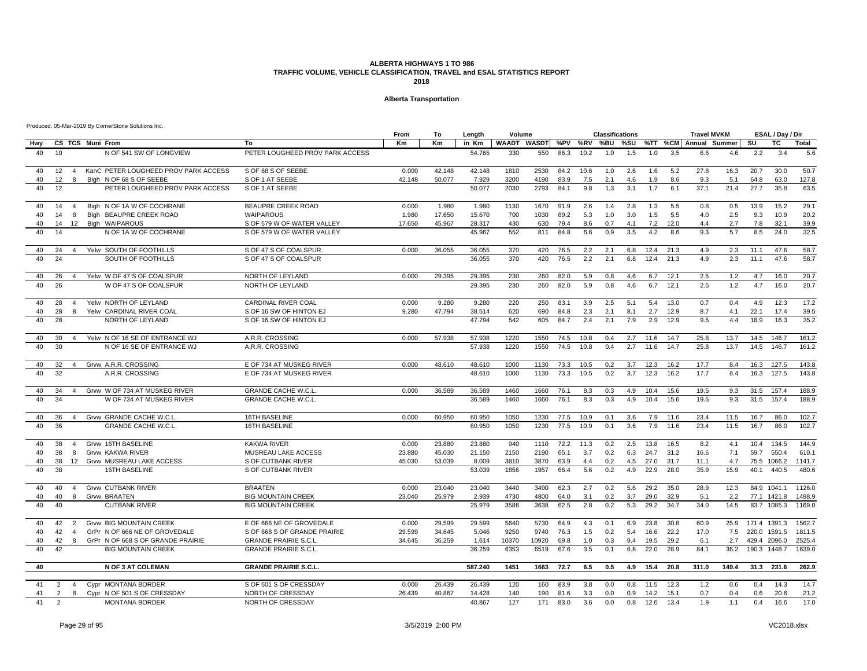### **Alberta Transportation**

|     |                |                         |                  |                                      |                                 | From   | To     | Length  | Volume |                     |      |      | <b>Classifications</b> |     |      |      | <b>Travel MVKM</b>    |       |      | ESAL / Day / Dir |        |
|-----|----------------|-------------------------|------------------|--------------------------------------|---------------------------------|--------|--------|---------|--------|---------------------|------|------|------------------------|-----|------|------|-----------------------|-------|------|------------------|--------|
| Hwv |                |                         | CS TCS Muni From |                                      | Тο                              | Km     | Кm     | in Km   |        | WAADT WASDT %PV %RV |      |      | %BU                    | %SU |      |      | %TT %CM Annual Summer |       | SU   | TC               | Total  |
| 40  | 10             |                         |                  | N OF 541 SW OF LONGVIEW              | PETER LOUGHEED PROV PARK ACCESS |        |        | 54.765  | 330    | 550                 | 86.3 | 10.2 | 1.0                    | 1.5 | 1.0  | 3.5  | 6.6                   | 4.6   | 2.2  | 3.4              | 5.6    |
| 40  | 12             | $\overline{4}$          |                  | KanC PETER LOUGHEED PROV PARK ACCESS | S OF 68 S OF SEEBE              | 0.000  | 42.148 | 42.148  | 1810   | 2530                | 84.2 | 10.6 | 1.0                    | 2.6 | 1.6  | 5.2  | 27.8                  | 16.3  | 20.7 | 30.0             | 50.7   |
| 40  | 12             | 8                       |                  | Bigh N OF 68 S OF SEEBE              | S OF 1 AT SEEBE                 | 42.148 | 50.077 | 7.929   | 3200   | 4190                | 83.9 | 7.5  | 2.1                    | 4.6 | 1.9  | 8.6  | 9.3                   | 5.1   | 64.8 | 63.0             | 127.8  |
| 40  | 12             |                         |                  | PETER LOUGHEED PROV PARK ACCESS      | S OF 1 AT SEEBE                 |        |        | 50.077  | 2030   | 2793                | 84.1 | 9.8  | 1.3                    | 3.1 | 1.7  | 6.1  | 37.1                  | 21.4  | 27.7 | 35.8             | 63.5   |
| 40  | 14             | $\overline{4}$          |                  | Bigh N OF 1A W OF COCHRANE           | <b>BEAUPRE CREEK ROAD</b>       | 0.000  | 1.980  | 1.980   | 1130   | 1670                | 91.9 | 2.6  | 1.4                    | 2.8 | 1.3  | 5.5  | 0.8                   | 0.5   | 13.9 | 15.2             | 29.1   |
| 40  | 14             | 8                       |                  | Bigh BEAUPRE CREEK ROAD              | WAIPAROUS                       | 1.980  | 17.650 | 15.670  | 700    | 1030                | 89.2 | 5.3  | 1.0                    | 3.0 | 1.5  | 5.5  | 4.0                   | 2.5   | 9.3  | 10.9             | 20.2   |
| 40  | 14             | 12                      |                  | Bigh WAIPAROUS                       | S OF 579 W OF WATER VALLEY      | 17.650 | 45.967 | 28.317  | 430    | 630                 | 79.4 | 8.6  | 0.7                    | 4.1 | 7.2  | 12.0 | 4.4                   | 2.7   | 7.8  | 32.1             | 39.9   |
| 40  | 14             |                         |                  | N OF 1A W OF COCHRANE                | S OF 579 W OF WATER VALLEY      |        |        | 45.967  | 552    | 811                 | 84.8 | 6.6  | 0.9                    | 3.5 | 4.2  | 8.6  | 9.3                   | 5.7   | 8.5  | 24.0             | 32.5   |
| 40  | 24             | $\overline{\mathbf{A}}$ |                  | Yelw SOUTH OF FOOTHILLS              | S OF 47 S OF COALSPUR           | 0.000  | 36.055 | 36.055  | 370    | 420                 | 76.5 | 2.2  | 2.1                    | 6.8 | 12.4 | 21.3 | 4.9                   | 2.3   | 11.1 | 47.6             | 58.7   |
| 40  | 24             |                         |                  | SOUTH OF FOOTHILLS                   | S OF 47 S OF COALSPUR           |        |        | 36.055  | 370    | 420                 | 76.5 | 2.2  | 2.1                    | 6.8 | 12.4 | 21.3 | 4.9                   | 2.3   | 11.1 | 47.6             | 58.7   |
| 40  | 26             | $\overline{4}$          |                  | Yelw W OF 47 S OF COALSPUR           | NORTH OF LEYLAND                | 0.000  | 29.395 | 29.395  | 230    | 260                 | 82.0 | 5.9  | 0.8                    | 4.6 | 6.7  | 12.1 | 2.5                   | 1.2   | 4.7  | 16.0             | 20.7   |
| 40  | 26             |                         |                  | W OF 47 S OF COALSPUR                | NORTH OF LEYLAND                |        |        | 29.395  | 230    | 260                 | 82.0 | 5.9  | 0.8                    | 4.6 | 6.7  | 12.1 | 2.5                   | 1.2   | 4.7  | 16.0             | 20.7   |
| 40  | 28             | $\overline{4}$          |                  | Yelw NORTH OF LEYLAND                | <b>CARDINAL RIVER COAL</b>      | 0.000  | 9.280  | 9.280   | 220    | 250                 | 83.1 | 3.9  | 2.5                    | 5.1 | 5.4  | 13.0 | 0.7                   | 0.4   | 4.9  | 12.3             | 17.2   |
| 40  | 28             | 8                       |                  | Yelw CARDINAL RIVER COAL             | S OF 16 SW OF HINTON EJ         | 9.280  | 47.794 | 38.514  | 620    | 690                 | 84.8 | 2.3  | 2.1                    | 8.1 | 2.7  | 12.9 | 8.7                   | 4.1   | 22.1 | 17.4             | 39.5   |
| 40  | 28             |                         |                  | NORTH OF LEYLAND                     | S OF 16 SW OF HINTON EJ         |        |        | 47.794  | 542    | 605                 | 84.7 | 2.4  | 2.1                    | 7.9 | 2.9  | 12.9 | 9.5                   | 4.4   | 18.9 | 16.3             | 35.2   |
| 40  | 30             | $\overline{4}$          |                  | Yelw N OF 16 SE OF ENTRANCE WJ       | A.R.R. CROSSING                 | 0.000  | 57.938 | 57.938  | 1220   | 1550                | 74.5 | 10.8 | 0.4                    | 2.7 | 11.6 | 14.7 | 25.8                  | 13.7  | 14.5 | 146.7            | 161.2  |
| 40  | 30             |                         |                  | N OF 16 SE OF ENTRANCE WJ            | A.R.R. CROSSING                 |        |        | 57.938  | 1220   | 1550                | 74.5 | 10.8 | 0.4                    | 2.7 | 11.6 | 14.7 | 25.8                  | 13.7  | 14.5 | 146.7            | 161.2  |
| 40  | 32             | $\Delta$                |                  | Grvw A.R.R. CROSSING                 | E OF 734 AT MUSKEG RIVER        | 0.000  | 48.610 | 48.610  | 1000   | 1130                | 73.3 | 10.5 | 0.2                    | 3.7 | 12.3 | 16.2 | 17.7                  | 8.4   | 16.3 | 127.5            | 143.8  |
| 40  | 32             |                         |                  | A.R.R. CROSSING                      | E OF 734 AT MUSKEG RIVER        |        |        | 48.610  | 1000   | 1130                | 73.3 | 10.5 | 0.2                    | 3.7 | 12.3 | 16.2 | 17.7                  | 8.4   | 16.3 | 127.5            | 143.8  |
| 40  | 34             | $\overline{4}$          |                  | Grvw W OF 734 AT MUSKEG RIVER        | <b>GRANDE CACHE W.C.L</b>       | 0.000  | 36.589 | 36.589  | 1460   | 1660                | 76.1 | 8.3  | 0.3                    | 4.9 | 10.4 | 15.6 | 19.5                  | 9.3   | 31.5 | 157.4            | 188.9  |
| 40  | 34             |                         |                  | W OF 734 AT MUSKEG RIVER             | GRANDE CACHE W.C.L.             |        |        | 36.589  | 1460   | 1660                | 76.1 | 8.3  | 0.3                    | 4.9 | 10.4 | 15.6 | 19.5                  | 9.3   | 31.5 | 157.4            | 188.9  |
| 40  | 36             | $\overline{4}$          |                  | Grvw GRANDE CACHE W.C.I              | 16TH BASELINE                   | 0.000  | 60.950 | 60.950  | 1050   | 1230                | 77.5 | 10.9 | 0.1                    | 3.6 | 7.9  | 11.6 | 23.4                  | 11.5  | 16.7 | 86.0             | 102.7  |
| 40  | 36             |                         |                  | <b>GRANDE CACHE W.C.L</b>            | 16TH BASELINE                   |        |        | 60.950  | 1050   | 1230                | 77.5 | 10.9 | 0.1                    | 3.6 | 7.9  | 11.6 | 23.4                  | 11.5  | 16.7 | 86.0             | 102.7  |
| 40  | 38             | $\overline{4}$          |                  | Grvw 16TH BASELINE                   | <b>KAKWA RIVER</b>              | 0.000  | 23,880 | 23.880  | 940    | 1110                | 72.2 | 11.3 | 0.2                    | 2.5 | 13.8 | 16.5 | 8.2                   | 4.1   | 10.4 | 134.5            | 144.9  |
| 40  | 38             | -8                      |                  | Grvw KAKWA RIVER                     | MUSREAU LAKE ACCESS             | 23.880 | 45.030 | 21.150  | 2150   | 2190                | 65.1 | 3.7  | 0.2                    | 6.3 | 24.7 | 31.2 | 16.6                  | 7.1   | 59.7 | 550.4            | 610.1  |
| 40  | 38             | 12                      |                  | Grvw MUSREAU LAKE ACCESS             | S OF CUTBANK RIVER              | 45.030 | 53.039 | 8.009   | 3810   | 3870                | 63.9 | 4.4  | 0.2                    | 4.5 | 27.0 | 31.7 | 11.1                  | 4.7   |      | 75.5 1066.2      | 1141.7 |
| 40  | 38             |                         |                  | 16TH BASELINE                        | S OF CUTBANK RIVER              |        |        | 53.039  | 1856   | 1957                | 66.4 | 5.6  | 0.2                    | 4.9 | 22.9 | 28.0 | 35.9                  | 15.9  | 40.1 | 440.5            | 480.6  |
| 40  | 40             | $\overline{4}$          |                  | <b>Grvw CUTBANK RIVER</b>            | <b>BRAATEN</b>                  | 0.000  | 23.040 | 23.040  | 3440   | 3490                | 62.3 | 2.7  | 0.2                    | 5.6 | 29.2 | 35.0 | 28.9                  | 12.3  |      | 84.9 1041.1      | 1126.0 |
| 40  | 40             | 8                       |                  | Grvw BRAATEN                         | <b>BIG MOUNTAIN CREEK</b>       | 23.040 | 25.979 | 2.939   | 4730   | 4800                | 64.0 | 3.1  | 0.2                    | 3.7 | 29.0 | 32.9 | 5.1                   | 2.2   |      | 77.1 1421.8      | 1498.9 |
| 40  | 40             |                         |                  | <b>CUTBANK RIVER</b>                 | <b>BIG MOUNTAIN CREEK</b>       |        |        | 25.979  | 3586   | 3638                | 62.5 | 2.8  | 0.2                    | 5.3 | 29.2 | 34.7 | 34.0                  | 14.5  |      | 83.7 1085.3      | 1169.0 |
| 40  | 42             | $\overline{2}$          |                  | <b>Grvw BIG MOUNTAIN CREEK</b>       | E OF 666 NE OF GROVEDALE        | 0.000  | 29.599 | 29.599  | 5640   | 5730                | 64.9 | 4.3  | 0.1                    | 6.9 | 23.8 | 30.8 | 60.9                  | 25.9  |      | 171.4 1391.3     | 1562.7 |
| 40  | 42             | $\overline{4}$          |                  | GrPr N OF 666 NE OF GROVEDALE        | S OF 668 S OF GRANDE PRAIRIE    | 29.599 | 34.645 | 5.046   | 9250   | 9740                | 76.3 | 1.5  | 0.2                    | 5.4 | 16.6 | 22.2 | 17.0                  | 7.5   |      | 220.0 1591.5     | 1811.5 |
| 40  | 42             | 8                       |                  | GrPr N OF 668 S OF GRANDE PRAIRIE    | <b>GRANDE PRAIRIE S.C.L.</b>    | 34.645 | 36.259 | 1.614   | 10370  | 10920               | 69.8 | 1.0  | 0.3                    | 9.4 | 19.5 | 29.2 | 6.1                   | 2.7   |      | 429.4 2096.0     | 2525.4 |
| 40  | 42             |                         |                  | <b>BIG MOUNTAIN CREEK</b>            | <b>GRANDE PRAIRIE S.C.L.</b>    |        |        | 36.259  | 6353   | 6519                | 67.6 | 3.5  | 0.1                    | 6.8 | 22.0 | 28.9 | 84.1                  | 36.2  |      | 190.3 1448.7     | 1639.0 |
| 40  |                |                         |                  | <b>N OF 3 AT COLEMAN</b>             | <b>GRANDE PRAIRIE S.C.L.</b>    |        |        | 587.240 | 1451   | 1663                | 72.7 | 6.5  | 0.5                    | 4.9 | 15.4 | 20.8 | 311.0                 | 149.4 | 31.3 | 231.6            | 262.9  |
| 41  | 2              | $\overline{4}$          |                  | Cypr MONTANA BORDER                  | S OF 501 S OF CRESSDAY          | 0.000  | 26.439 | 26.439  | 120    | 160                 | 83.9 | 3.8  | 0.0                    | 0.8 | 11.5 | 12.3 | 1.2                   | 0.6   | 0.4  | 14.3             | 14.7   |
| 41  | $\overline{2}$ | 8                       |                  | Cypr N OF 501 S OF CRESSDAY          | NORTH OF CRESSDAY               | 26.439 | 40.867 | 14.428  | 140    | 190                 | 81.6 | 3.3  | 0.0                    | 0.9 | 14.2 | 15.1 | 0.7                   | 0.4   | 0.6  | 20.6             | 21.2   |
| 41  | 2              |                         |                  | <b>MONTANA BORDER</b>                | NORTH OF CRESSDAY               |        |        | 40.867  | 127    | 171                 | 83.0 | 3.6  | 0.0                    | 0.8 | 12.6 | 13.4 | 1.9                   | 1.1   | 0.4  | 16.6             | 17.0   |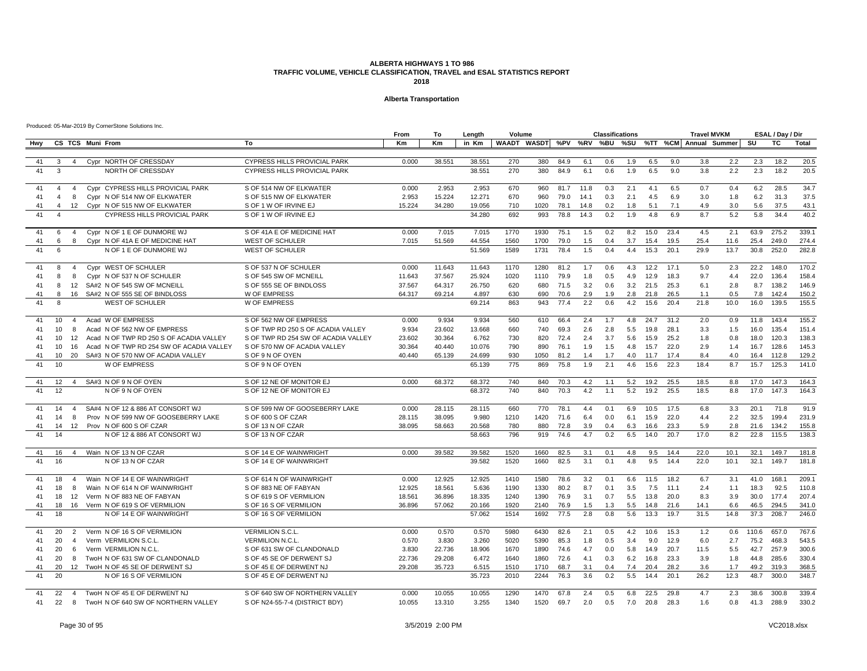### **Alberta Transportation**

|     |                         |                |                  |                                          |                                     | From   | To     | Length | Volume                      |      |      |      | <b>Classifications</b> |     |      |      | <b>Travel MVKM</b>    |      |       | ESAL / Day / Dir |       |
|-----|-------------------------|----------------|------------------|------------------------------------------|-------------------------------------|--------|--------|--------|-----------------------------|------|------|------|------------------------|-----|------|------|-----------------------|------|-------|------------------|-------|
| Hwy |                         |                | CS TCS Muni From |                                          | To                                  | Кm     | Кm     | in Km  | WAADT WASDT %PV %RV %BU %SU |      |      |      |                        |     |      |      | %TT %CM Annual Summer |      | SU    | TC               | Total |
|     |                         |                |                  |                                          |                                     |        |        |        |                             |      |      |      |                        |     |      |      |                       |      |       |                  |       |
| 41  | 3                       | $\overline{4}$ |                  | Cypr NORTH OF CRESSDAY                   | <b>CYPRESS HILLS PROVICIAL PARK</b> | 0.000  | 38.551 | 38.551 | 270                         | 380  | 84.9 | 6.1  | 0.6                    | 1.9 | 6.5  | 9.0  | 3.8                   | 2.2  | 2.3   | 18.2             | 20.5  |
| 41  | 3                       |                |                  | NORTH OF CRESSDAY                        | CYPRESS HILLS PROVICIAL PARK        |        |        | 38.551 | 270                         | 380  | 84.9 | 6.1  | 0.6                    | 1.9 | 6.5  | 9.0  | 3.8                   | 2.2  | 2.3   | 18.2             | 20.5  |
| 41  | $\overline{a}$          | -4             |                  | Cypr CYPRESS HILLS PROVICIAL PARK        | S OF 514 NW OF ELKWATER             | 0.000  | 2.953  | 2.953  | 670                         | 960  | 81.7 | 11.8 | 0.3                    | 2.1 | 4.1  | 6.5  | 0.7                   | 0.4  | 6.2   | 28.5             | 34.7  |
| 41  | $\overline{4}$          | 8              |                  | Cypr N OF 514 NW OF ELKWATER             | S OF 515 NW OF ELKWATER             | 2.953  | 15.224 | 12.271 | 670                         | 960  | 79.0 | 14.1 | 0.3                    | 2.1 | 4.5  | 6.9  | 3.0                   | 1.8  | 6.2   | 31.3             | 37.5  |
| 41  |                         | 12             |                  | Cypr N OF 515 NW OF ELKWATER             | S OF 1 W OF IRVINE EJ               | 15.224 | 34.280 | 19.056 | 710                         | 1020 | 78.1 | 14.8 | 0.2                    | 1.8 | 5.1  | 7.1  | 4.9                   | 3.0  | 5.6   | 37.5             | 43.1  |
| 41  | $\overline{\mathbf{4}}$ |                |                  | CYPRESS HILLS PROVICIAL PARK             | S OF 1 W OF IRVINE EJ               |        |        | 34.280 | 692                         | 993  | 78.8 | 14.3 | 0.2                    | 1.9 | 4.8  | 6.9  | 8.7                   | 5.2  | 5.8   | 34.4             | 40.2  |
| 41  | 6                       | $\overline{4}$ |                  | Cypr N OF 1 E OF DUNMORE WJ              | S OF 41A E OF MEDICINE HAT          | 0.000  | 7.015  | 7.015  | 1770                        | 1930 | 75.1 | 1.5  | 0.2                    | 8.2 | 15.0 | 23.4 | 4.5                   | 2.1  | 63.9  | 275.2            | 339.1 |
| 41  | 6                       | 8              |                  | Cypr N OF 41A E OF MEDICINE HAT          | <b>WEST OF SCHULER</b>              | 7.015  | 51.569 | 44.554 | 1560                        | 1700 | 79.0 | 1.5  | 0.4                    | 3.7 | 15.4 | 19.5 | 25.4                  | 11.6 | 25.4  | 249.0            | 274.4 |
| 41  | ĥ                       |                |                  | N OF 1 E OF DUNMORE WJ                   | <b>WEST OF SCHULER</b>              |        |        | 51.569 | 1589                        | 1731 | 78.4 | 1.5  | 0.4                    | 4.4 | 15.3 | 20.1 | 29.9                  | 13.7 | 30.8  | 252.0            | 282.8 |
| 41  | 8                       | $\overline{4}$ |                  | Cypr WEST OF SCHULER                     | S OF 537 N OF SCHULER               | 0.000  | 11.643 | 11.643 | 1170                        | 1280 | 81.2 | 1.7  | 0.6                    | 4.3 | 12.2 | 17.1 | 5.0                   | 2.3  | 22.2  | 148.0            | 170.2 |
| 41  | 8                       | 8              |                  | Cypr N OF 537 N OF SCHULER               | S OF 545 SW OF MCNEILL              | 11.643 | 37.567 | 25.924 | 1020                        | 1110 | 79.9 | 1.8  | 0.5                    | 4.9 | 12.9 | 18.3 | 9.7                   | 4.4  | 22.0  | 136.4            | 158.4 |
| 41  | 8                       | 12             |                  | SA#2 N OF 545 SW OF MCNEILL              | S OF 555 SE OF BINDLOSS             | 37.567 | 64.317 | 26.750 | 620                         | 680  | 71.5 | 3.2  | 0.6                    | 3.2 | 21.5 | 25.3 | 6.1                   | 2.8  | 8.7   | 138.2            | 146.9 |
| 41  | 8                       | 16             |                  | SA#2 N OF 555 SE OF BINDLOSS             | <b>W OF EMPRESS</b>                 | 64.317 | 69.214 | 4.897  | 630                         | 690  | 70.6 | 2.9  | 1.9                    | 2.8 | 21.8 | 26.5 | 1.1                   | 0.5  | 7.8   | 142.4            | 150.2 |
| 41  | 8                       |                |                  | <b>WEST OF SCHULER</b>                   | <b>W OF EMPRESS</b>                 |        |        | 69.214 | 863                         | 943  | 77.4 | 2.2  | 0.6                    | 4.2 | 15.6 | 20.4 | 21.8                  | 10.0 | 16.0  | 139.5            | 155.5 |
| 41  | 10                      | $\overline{4}$ |                  | Acad W OF EMPRESS                        | S OF 562 NW OF EMPRESS              | 0.000  | 9.934  | 9.934  | 560                         | 610  | 66.4 | 2.4  | 1.7                    | 4.8 | 24.7 | 31.2 | 2.0                   | 0.9  | 11.8  | 143.4            | 155.2 |
| 41  | 10                      | 8              |                  | Acad N OF 562 NW OF EMPRESS              | S OF TWP RD 250 S OF ACADIA VALLEY  | 9.934  | 23.602 | 13.668 | 660                         | 740  | 69.3 | 2.6  | 2.8                    | 5.5 | 19.8 | 28.1 | 3.3                   | 1.5  | 16.0  | 135.4            | 151.4 |
| 41  | 10                      | 12             |                  | Acad N OF TWP RD 250 S OF ACADIA VALLEY  | S OF TWP RD 254 SW OF ACADIA VALLEY | 23.602 | 30.364 | 6.762  | 730                         | 820  | 72.4 | 2.4  | 3.7                    | 5.6 | 15.9 | 25.2 | 1.8                   | 0.8  | 18.0  | 120.3            | 138.3 |
| 41  | 10                      | 16             |                  | Acad N OF TWP RD 254 SW OF ACADIA VALLEY | S OF 570 NW OF ACADIA VALLEY        | 30.364 | 40.440 | 10.076 | 790                         | 890  | 76.1 | 1.9  | 1.5                    | 4.8 | 15.7 | 22.0 | 2.9                   | 1.4  | 16.7  | 128.6            | 145.3 |
| 41  | 10                      | 20             |                  | SA#3 N OF 570 NW OF ACADIA VALLEY        | S OF 9 N OF OYEN                    | 40.440 | 65.139 | 24.699 | 930                         | 1050 | 81.2 | 1.4  | 1.7                    | 4.0 | 11.7 | 17.4 | 8.4                   | 4.0  | 16.4  | 112.8            | 129.2 |
| 41  | 10                      |                |                  | <b>W OF EMPRESS</b>                      | S OF 9 N OF OYEN                    |        |        | 65.139 | 775                         | 869  | 75.8 | 1.9  | 2.1                    | 4.6 | 15.6 | 22.3 | 18.4                  | 8.7  | 15.7  | 125.3            | 141.0 |
| 41  | 12                      |                |                  | SA#3 N OF 9 N OF OYEN                    | S OF 12 NE OF MONITOR EJ            | 0.000  | 68.372 | 68.372 | 740                         | 840  | 70.3 | 4.2  | 1.1                    | 5.2 | 19.2 | 25.5 | 18.5                  | 8.8  | 17.0  | 147.3            | 164.3 |
| 41  | 12                      |                |                  | N OF 9 N OF OYEN                         | S OF 12 NE OF MONITOR EJ            |        |        | 68.372 | 740                         | 840  | 70.3 | 4.2  | 1.1                    | 5.2 | 19.2 | 25.5 | 18.5                  | 8.8  | 17.0  | 147.3            | 164.3 |
| 41  | 14                      | $\overline{4}$ |                  | SA#4 N OF 12 & 886 AT CONSORT WJ         | S OF 599 NW OF GOOSEBERRY LAKE      | 0.000  | 28.115 | 28.115 | 660                         | 770  | 78.1 | 4.4  | 0.1                    | 6.9 | 10.5 | 17.5 | 6.8                   | 3.3  | 20.1  | 71.8             | 91.9  |
| 41  | 14                      | 8              |                  | Prov N OF 599 NW OF GOOSEBERRY LAKE      | S OF 600 S OF CZAR                  | 28.115 | 38.095 | 9.980  | 1210                        | 1420 | 71.6 | 6.4  | 0.0                    | 6.1 | 15.9 | 22.0 | 4.4                   | 2.2  | 32.5  | 199.4            | 231.9 |
| 41  | 14                      | 12             |                  | Prov N OF 600 S OF CZAR                  | S OF 13 N OF CZAR                   | 38.095 | 58.663 | 20.568 | 780                         | 880  | 72.8 | 3.9  | 0.4                    | 6.3 | 16.6 | 23.3 | 5.9                   | 2.8  | 21.6  | 134.2            | 155.8 |
| 41  | 14                      |                |                  | N OF 12 & 886 AT CONSORT WJ              | S OF 13 N OF CZAR                   |        |        | 58.663 | 796                         | 919  | 74.6 | 4.7  | 0.2                    | 6.5 | 14.0 | 20.7 | 17.0                  | 8.2  | 22.8  | 115.5            | 138.3 |
| 41  | 16                      | $\overline{a}$ |                  | Wain N OF 13 N OF CZAR                   | S OF 14 E OF WAINWRIGHT             | 0.000  | 39.582 | 39.582 | 1520                        | 1660 | 82.5 | 3.1  | 0.1                    | 4.8 | 9.5  | 14.4 | 22.0                  | 10.1 | 32.1  | 149.7            | 181.8 |
| 41  | 16                      |                |                  | N OF 13 N OF CZAR                        | S OF 14 E OF WAINWRIGHT             |        |        | 39.582 | 1520                        | 1660 | 82.5 | 3.1  | 0.1                    | 4.8 | 9.5  | 14.4 | 22.0                  | 10.1 | 32.1  | 149.7            | 181.8 |
|     |                         |                |                  |                                          |                                     |        |        |        |                             |      |      |      |                        |     |      |      |                       |      |       |                  |       |
| 41  | 18                      | $\overline{4}$ |                  | Wain N OF 14 E OF WAINWRIGHT             | S OF 614 N OF WAINWRIGHT            | 0.000  | 12.925 | 12.925 | 1410                        | 1580 | 78.6 | 3.2  | 0.1                    | 6.6 | 11.5 | 18.2 | 6.7                   | 3.1  | 41.0  | 168.1            | 209.1 |
| 41  | 18                      | 8              |                  | Wain N OF 614 N OF WAINWRIGHT            | S OF 883 NE OF FABYAN               | 12.925 | 18.561 | 5.636  | 1190                        | 1330 | 80.2 | 8.7  | 0.1                    | 3.5 | 7.5  | 11.1 | 2.4                   | 1.1  | 18.3  | 92.5             | 110.8 |
| 41  | 18                      |                |                  | 12 Verm N OF 883 NE OF FABYAN            | S OF 619 S OF VERMILION             | 18.561 | 36.896 | 18.335 | 1240                        | 1390 | 76.9 | 3.1  | 0.7                    | 5.5 | 13.8 | 20.0 | 8.3                   | 3.9  | 30.0  | 177.4            | 207.4 |
| 41  | 18                      | 16             |                  | Verm N OF 619 S OF VERMILION             | S OF 16 S OF VERMILION              | 36.896 | 57.062 | 20.166 | 1920                        | 2140 | 76.9 | 1.5  | 1.3                    | 5.5 | 14.8 | 21.6 | 14.1                  | 6.6  | 46.5  | 294.5            | 341.0 |
| 41  | 18                      |                |                  | N OF 14 E OF WAINWRIGHT                  | S OF 16 S OF VERMILION              |        |        | 57.062 | 1514                        | 1692 | 77.5 | 2.8  | 0.8                    | 5.6 | 13.3 | 19.7 | 31.5                  | 14.8 | 37.3  | 208.7            | 246.0 |
| 41  | 20                      | 2              |                  | Verm N OF 16 S OF VERMILION              | <b>VERMILION S.C.L.</b>             | 0.000  | 0.570  | 0.570  | 5980                        | 6430 | 82.6 | 2.1  | 0.5                    | 4.2 | 10.6 | 15.3 | 1.2                   | 0.6  | 110.6 | 657.0            | 767.6 |
| 41  | 20                      | $\overline{4}$ |                  | Verm VERMILION S.C.L.                    | <b>VERMILION N.C.L.</b>             | 0.570  | 3.830  | 3.260  | 5020                        | 5390 | 85.3 | 1.8  | 0.5                    | 3.4 | 9.0  | 12.9 | 6.0                   | 2.7  | 75.2  | 468.3            | 543.5 |
| 41  | 20                      | 6              |                  | Verm VERMILION N.C.L.                    | S OF 631 SW OF CLANDONALD           | 3.830  | 22.736 | 18.906 | 1670                        | 1890 | 74.6 | 4.7  | 0.0                    | 5.8 | 14.9 | 20.7 | 11.5                  | 5.5  | 42.7  | 257.9            | 300.6 |
| 41  | 20                      | 8              |                  | TwoH N OF 631 SW OF CLANDONALD           | S OF 45 SE OF DERWENT SJ            | 22.736 | 29.208 | 6.472  | 1640                        | 1860 | 72.6 | 4.1  | 0.3                    | 6.2 | 16.8 | 23.3 | 3.9                   | 1.8  | 44.8  | 285.6            | 330.4 |
| 41  | 20                      |                |                  | 12 TwoH N OF 45 SE OF DERWENT SJ         | S OF 45 E OF DERWENT NJ             | 29.208 | 35.723 | 6.515  | 1510                        | 1710 | 68.7 | 3.1  | 0.4                    | 7.4 | 20.4 | 28.2 | 3.6                   | 1.7  | 49.2  | 319.3            | 368.5 |
| 41  | 20                      |                |                  | N OF 16 S OF VERMILION                   | S OF 45 E OF DERWENT NJ             |        |        | 35.723 | 2010                        | 2244 | 76.3 | 3.6  | 0.2                    | 5.5 | 14.4 | 20.1 | 26.2                  | 12.3 | 48.7  | 300.0            | 348.7 |
| 41  | 22                      | $\overline{4}$ |                  | TwoH N OF 45 E OF DERWENT NJ             | S OF 640 SW OF NORTHERN VALLEY      | 0.000  | 10.055 | 10.055 | 1290                        | 1470 | 67.8 | 2.4  | 0.5                    | 6.8 | 22.5 | 29.8 | 4.7                   | 2.3  | 38.6  | 300.8            | 339.4 |
| 41  | 22                      | $_{\rm 8}$     |                  | TwoH N OF 640 SW OF NORTHERN VALLEY      | S OF N24-55-7-4 (DISTRICT BDY)      | 10.055 | 13.310 | 3.255  | 1340                        | 1520 | 69.7 | 2.0  | 0.5                    | 7.0 | 20.8 | 28.3 | 1.6                   | 0.8  | 41.3  | 288.9            | 330.2 |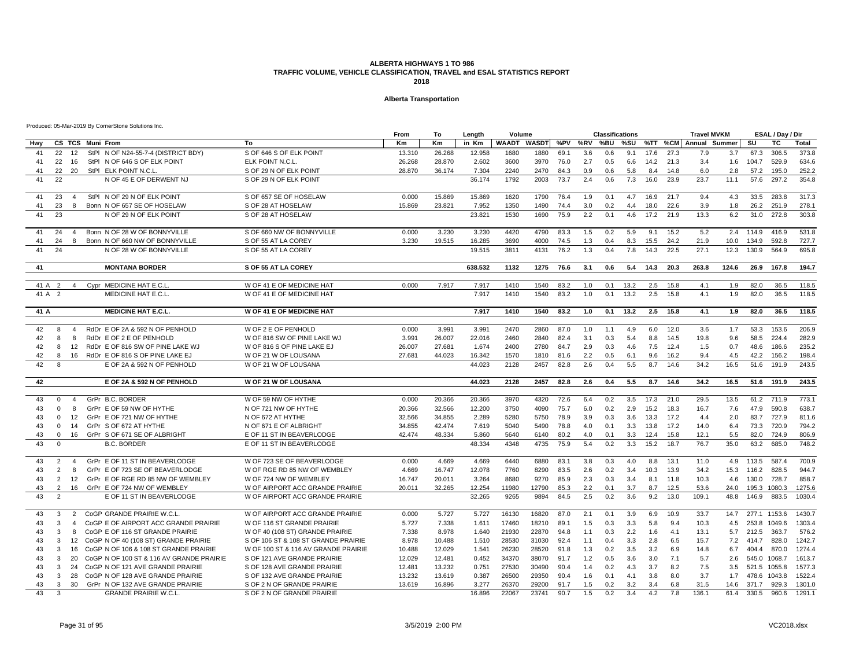### **Alberta Transportation**

|        |                |                  |                  |                                          |                                     | From   | To     | Length  | Volume |                         |      |     | <b>Classifications</b> |      |      |      | <b>Travel MVKM</b>    |       |              | ESAL / Day / Dir |              |
|--------|----------------|------------------|------------------|------------------------------------------|-------------------------------------|--------|--------|---------|--------|-------------------------|------|-----|------------------------|------|------|------|-----------------------|-------|--------------|------------------|--------------|
| Hwy    |                |                  | CS TCS Muni From |                                          | To                                  | Km     | Km     | in Km   |        | WAADT WASDT %PV %RV %BU |      |     |                        | %SU  |      |      | %TT %CM Annual Summer |       | SU           | TC               | <b>Total</b> |
| 41     | 22             | 12               |                  | StPI N OF N24-55-7-4 (DISTRICT BDY)      | S OF 646 S OF ELK POINT             | 13.310 | 26.268 | 12.958  | 1680   | 1880                    | 69.1 | 3.6 | 0.6                    | 9.1  | 17.6 | 27.3 | 7.9                   | 3.7   | 67.3         | 306.5            | 373.8        |
| 41     | 22             | 16               |                  | StPI N OF 646 S OF ELK POINT             | ELK POINT N.C.L.                    | 26.268 | 28.870 | 2.602   | 3600   | 3970                    | 76.0 | 2.7 | 0.5                    | 6.6  | 14.2 | 21.3 | 3.4                   | 1.6   | 104.7        | 529.9            | 634.6        |
| 41     | 22             | 20               |                  | StPI ELK POINT N.C.L.                    | S OF 29 N OF ELK POINT              | 28.870 | 36.174 | 7.304   | 2240   | 2470                    | 84.3 | 0.9 | 0.6                    | 5.8  | 8.4  | 14.8 | 6.0                   | 2.8   | 57.2         | 195.0            | 252.2        |
| 41     | 22             |                  |                  | N OF 45 E OF DERWENT NJ                  | S OF 29 N OF ELK POINT              |        |        | 36.174  | 1792   | 2003                    | 73.7 | 2.4 | 0.6                    | 7.3  | 16.0 | 23.9 | 23.7                  | 11.1  | 57.6         | 297.2            | 354.8        |
| 41     | 23             | $\overline{4}$   |                  | StPI N OF 29 N OF ELK POINT              | S OF 657 SE OF HOSELAW              | 0.000  | 15,869 | 15.869  | 1620   | 1790                    | 76.4 | 1.9 | 0.1                    | 4.7  | 16.9 | 21.7 | 9.4                   | 4.3   | 33.5         | 283.8            | 317.3        |
| 41     | 23             | 8                |                  | Bonn N OF 657 SE OF HOSELAW              | S OF 28 AT HOSELAW                  | 15.869 | 23.821 | 7.952   | 1350   | 1490                    | 74.4 | 3.0 | 0.2                    | 4.4  | 18.0 | 22.6 | 3.9                   | 1.8   | 26.2         | 251.9            | 278.1        |
| 41     | 23             |                  |                  | N OF 29 N OF ELK POINT                   | S OF 28 AT HOSELAW                  |        |        | 23.821  | 1530   | 1690                    | 75.9 | 2.2 | 0.1                    | 4.6  | 17.2 | 21.9 | 13.3                  | 6.2   | 31.0         | 272.8            | 303.8        |
| 41     | 24             | $\overline{4}$   |                  | Bonn N OF 28 W OF BONNYVILLE             | S OF 660 NW OF BONNYVILLE           | 0.000  | 3.230  | 3.230   | 4420   | 4790                    | 83.3 | 1.5 | 0.2                    | 5.9  | 9.1  | 15.2 | 5.2                   | 2.4   | 114.9        | 416.9            | 531.8        |
| 41     | 24             | 8                |                  | Bonn N OF 660 NW OF BONNYVILLE           | S OF 55 AT LA COREY                 | 3.230  | 19.515 | 16.285  | 3690   | 4000                    | 74.5 | 1.3 | 0.4                    | 8.3  | 15.5 | 24.2 | 21.9                  | 10.0  | 134.9        | 592.8            | 727.7        |
| 41     | 24             |                  |                  | N OF 28 W OF BONNYVILLE                  | S OF 55 AT LA COREY                 |        |        | 19.515  | 3811   | 4131                    | 76.2 | 1.3 | 0.4                    | 7.8  | 14.3 | 22.5 | 27.1                  | 12.3  | 130.9        | 564.9            | 695.8        |
| 41     |                |                  |                  | <b>MONTANA BORDER</b>                    | S OF 55 AT LA COREY                 |        |        | 638.532 | 1132   | 1275                    | 76.6 | 3.1 | 0.6                    | 5.4  | 14.3 | 20.3 | 263.8                 | 124.6 | 26.9         | 167.8            | 194.7        |
|        |                |                  |                  |                                          |                                     |        |        |         |        |                         |      |     |                        |      |      |      |                       |       |              |                  |              |
| 41 A 2 |                | $\overline{4}$   |                  | Cypr MEDICINE HAT E.C.L                  | W OF 41 E OF MEDICINE HAT           | 0.000  | 7.917  | 7.917   | 1410   | 1540                    | 83.2 | 1.0 | 0.1                    | 13.2 | 2.5  | 15.8 | 4.1                   | 1.9   | 82.0         | 36.5             | 118.5        |
| 41 A   | $\overline{2}$ |                  |                  | MEDICINE HAT E.C.L                       | W OF 41 E OF MEDICINE HAT           |        |        | 7.917   | 1410   | 1540                    | 83.2 | 1.0 | 0.1                    | 13.2 | 2.5  | 15.8 | 4.1                   | 1.9   | 82.0         | 36.5             | 118.5        |
| 41 A   |                |                  |                  | <b>MEDICINE HAT E.C.L.</b>               | W OF 41 E OF MEDICINE HAT           |        |        | 7.917   | 1410   | 1540                    | 83.2 | 1.0 | 0.1                    | 13.2 | 2.5  | 15.8 | 4.1                   | 1.9   | 82.0         | 36.5             | 118.5        |
| 42     | 8              | $\overline{4}$   |                  | RdDr E OF 2A & 592 N OF PENHOLD          | W OF 2 E OF PENHOLD                 | 0.000  | 3.991  | 3.991   | 2470   | 2860                    | 87.0 | 1.0 | 1.1                    | 4.9  | 6.0  | 12.0 | 3.6                   | 1.7   | 53.3         | 153.6            | 206.9        |
| 42     | 8              | 8                |                  | RdDr E OF 2 E OF PENHOLD                 | W OF 816 SW OF PINE LAKE WJ         | 3.991  | 26.007 | 22.016  | 2460   | 2840                    | 82.4 | 3.1 | 0.3                    | 5.4  | 8.8  | 14.5 | 19.8                  | 9.6   | 58.5         | 224.4            | 282.9        |
| 42     | 8              | 12 <sup>12</sup> |                  | RdDr E OF 816 SW OF PINE LAKE WJ         | W OF 816 S OF PINE LAKE EJ          | 26.007 | 27.681 | 1.674   | 2400   | 2780                    | 84.7 | 2.9 | 0.3                    | 4.6  | 7.5  | 12.4 | 1.5                   | 0.7   | 48.6         | 186.6            | 235.2        |
| 42     | 8              |                  |                  | 16 RdDr E OF 816 S OF PINE LAKE EJ       | W OF 21 W OF LOUSANA                | 27.681 | 44.023 | 16.342  | 1570   | 1810                    | 81.6 | 2.2 | 0.5                    | 6.1  | 9.6  | 16.2 | 9.4                   | 4.5   | 42.2         | 156.2            | 198.4        |
| 42     | 8              |                  |                  | E OF 2A & 592 N OF PENHOLD               | W OF 21 W OF LOUSANA                |        |        | 44.023  | 2128   | 2457                    | 82.8 | 2.6 | 0.4                    | 5.5  | 8.7  | 14.6 | 34.2                  | 16.5  | 51.6         | 191.9            | 243.5        |
|        |                |                  |                  |                                          |                                     |        |        |         |        |                         |      |     |                        |      |      |      |                       |       |              |                  |              |
| 42     |                |                  |                  | E OF 2A & 592 N OF PENHOLD               | <b>W OF 21 W OF LOUSANA</b>         |        |        | 44.023  | 2128   | 2457                    | 82.8 | 2.6 | 0.4                    | 5.5  | 8.7  | 14.6 | 34.2                  | 16.5  | 51.6         | 191.9            | 243.5        |
| 43     | $\mathbf{0}$   | $\overline{4}$   |                  | GrPr B.C. BORDER                         | W OF 59 NW OF HYTHE                 | 0.000  | 20.366 | 20.366  | 3970   | 4320                    | 72.6 | 6.4 | 0.2                    | 3.5  | 17.3 | 21.0 | 29.5                  | 13.5  | 61.2         | 711.9            | 773.1        |
| 43     | $\Omega$       | 8                |                  | GrPr E OF 59 NW OF HYTHE                 | N OF 721 NW OF HYTHE                | 20.366 | 32.566 | 12.200  | 3750   | 4090                    | 75.7 | 6.0 | 0.2                    | 2.9  | 15.2 | 18.3 | 16.7                  | 7.6   | 47.9         | 590.8            | 638.7        |
| 43     | $\mathbf 0$    | 12               |                  | GrPr E OF 721 NW OF HYTHE                | N OF 672 AT HYTHE                   | 32.566 | 34.855 | 2.289   | 5280   | 5750                    | 78.9 | 3.9 | 0.3                    | 3.6  | 13.3 | 17.2 | 4.4                   | 2.0   | 83.7         | 727.9            | 811.6        |
| 43     | $\Omega$       | 14               |                  | GrPr S OF 672 AT HYTHE                   | N OF 671 E OF ALBRIGHT              | 34.855 | 42.474 | 7.619   | 5040   | 5490                    | 78.8 | 4.0 | 0.1                    | 3.3  | 13.8 | 17.2 | 14.0                  | 6.4   | 73.3         | 720.9            | 794.2        |
| 43     | $\mathbf{0}$   | 16               |                  | GrPr S OF 671 SE OF ALBRIGHT             | E OF 11 ST IN BEAVERLODGE           | 42.474 | 48.334 | 5.860   | 5640   | 6140                    | 80.2 | 4.0 | 0.1                    | 3.3  | 12.4 | 15.8 | 12.1                  | 5.5   | 82.0         | 724.9            | 806.9        |
| 43     | $\Omega$       |                  |                  | <b>B.C. BORDER</b>                       | E OF 11 ST IN BEAVERLODGE           |        |        | 48.334  | 4348   | 4735                    | 75.9 | 5.4 | 0.2                    | 3.3  | 15.2 | 18.7 | 76.7                  | 35.0  | 63.2         | 685.0            | 748.2        |
| 43     | 2              | $\overline{4}$   |                  | GrPr E OF 11 ST IN BEAVERLODGE           | W OF 723 SE OF BEAVERLODGE          | 0.000  | 4.669  | 4.669   | 6440   | 6880                    | 83.1 | 3.8 | 0.3                    | 4.0  | 8.8  | 13.1 | 11.0                  | 4.9   | 113.5        | 587.4            | 700.9        |
| 43     | $\overline{2}$ | 8                |                  | GrPr E OF 723 SE OF BEAVERLODGE          | W OF RGE RD 85 NW OF WEMBLEY        | 4.669  | 16.747 | 12.078  | 7760   | 8290                    | 83.5 | 2.6 | 0.2                    | 3.4  | 10.3 | 13.9 | 34.2                  |       | 15.3 116.2   | 828.5            | 944.7        |
| 43     | 2              | 12               |                  | GrPr E OF RGE RD 85 NW OF WEMBLEY        | W OF 724 NW OF WEMBLEY              | 16.747 | 20.011 | 3.264   | 8680   | 9270                    | 85.9 | 2.3 | 0.3                    | 3.4  | 8.1  | 11.8 | 10.3                  | 4.6   | 130.0        | 728.7            | 858.7        |
| 43     | 2              | 16               |                  | GrPr E OF 724 NW OF WEMBLEY              | W OF AIRPORT ACC GRANDE PRAIRIE     | 20.011 | 32.265 | 12.254  | 11980  | 12790                   | 85.3 | 2.2 | 0.1                    | 3.7  | 8.7  | 12.5 | 53.6                  | 24.0  |              | 195.3 1080.3     | 1275.6       |
| 43     | 2              |                  |                  | E OF 11 ST IN BEAVERLODGE                | W OF AIRPORT ACC GRANDE PRAIRIE     |        |        | 32.265  | 9265   | 9894                    | 84.5 | 2.5 | 0.2                    | 3.6  | 9.2  | 13.0 | 109.1                 | 48.8  | 146.9        | 883.5            | 1030.4       |
| 43     | 3              | 2                |                  | CoGP GRANDE PRAIRIE W.C.L.               | W OF AIRPORT ACC GRANDE PRAIRIE     | 0.000  | 5.727  | 5.727   | 16130  | 16820                   | 87.0 | 2.1 | 0.1                    | 3.9  | 6.9  | 10.9 | 33.7                  | 14.7  |              | 277.1 1153.6     | 1430.7       |
| 43     | 3              | $\overline{4}$   |                  | CoGP E OF AIRPORT ACC GRANDE PRAIRIE     | W OF 116 ST GRANDE PRAIRIE          | 5.727  | 7.338  | 1.611   | 17460  | 18210                   | 89.1 | 1.5 | 0.3                    | 3.3  | 5.8  | 9.4  | 10.3                  | 4.5   | 253.8 1049.6 |                  | 1303.4       |
| 43     | 3              | 8                |                  | CoGP E OF 116 ST GRANDE PRAIRIE          | W OF 40 (108 ST) GRANDE PRAIRIE     | 7.338  | 8.978  | 1.640   | 21930  | 22870                   | 94.8 | 1.1 | 0.3                    | 2.2  | 1.6  | 4.1  | 13.1                  | 5.7   | 212.5        | 363.7            | 576.2        |
| 43     | 3              | 12               |                  | CoGP N OF 40 (108 ST) GRANDE PRAIRIE     | S OF 106 ST & 108 ST GRANDE PRAIRIE | 8.978  | 10.488 | 1.510   | 28530  | 31030                   | 92.4 | 1.1 | 0.4                    | 3.3  | 2.8  | 6.5  | 15.7                  | 7.2   | 414.7        | 828.0            | 1242.7       |
| 43     | 3              | 16               |                  | CoGP N OF 106 & 108 ST GRANDE PRAIRIE    | W OF 100 ST & 116 AV GRANDE PRAIRIE | 10.488 | 12.029 | 1.541   | 26230  | 28520                   | 91.8 | 1.3 | 0.2                    | 3.5  | 3.2  | 6.9  | 14.8                  | 6.7   | 404.4        | 870.0            | 1274.4       |
| 43     | 3              | 20               |                  | CoGP N OF 100 ST & 116 AV GRANDE PRAIRIE | S OF 121 AVE GRANDE PRAIRIE         | 12.029 | 12.481 | 0.452   | 34370  | 38070                   | 91.7 | 1.2 | 0.5                    | 3.6  | 3.0  | 7.1  | 5.7                   | 2.6   | 545.0 1068.7 |                  | 1613.7       |
| 43     | 3              | 24               |                  | CoGP N OF 121 AVE GRANDE PRAIRIE         | S OF 128 AVE GRANDE PRAIRIE         | 12.481 | 13.232 | 0.751   | 27530  | 30490                   | 90.4 | 1.4 | 0.2                    | 4.3  | 3.7  | 8.2  | 7.5                   | 3.5   | 521.5 1055.8 |                  | 1577.3       |
| 43     | 3              | 28               |                  | CoGP N OF 128 AVE GRANDE PRAIRIE         | S OF 132 AVE GRANDE PRAIRIE         | 13.232 | 13.619 | 0.387   | 26500  | 29350                   | 90.4 | 1.6 | 0.1                    | 4.1  | 3.8  | 8.0  | 3.7                   | 1.7   |              | 478.6 1043.8     | 1522.4       |
| 43     | 3              | 30               |                  | GrPr N OF 132 AVE GRANDE PRAIRIE         | S OF 2 N OF GRANDE PRAIRIE          | 13.619 | 16.896 | 3.277   | 26370  | 29200                   | 91.7 | 1.5 | 0.2                    | 3.2  | 3.4  | 6.8  | 31.5                  | 14.6  | 371.7        | 929.3            | 1301.0       |
| 43     | 3              |                  |                  | <b>GRANDE PRAIRIE W.C.L</b>              | S OF 2 N OF GRANDE PRAIRIE          |        |        | 16,896  | 22067  | 23741                   | 90.7 | 1.5 | 0.2                    | 3.4  | 4.2  | 7.8  | 136.1                 | 61.4  | 330.5        | 960.6            | 1291.1       |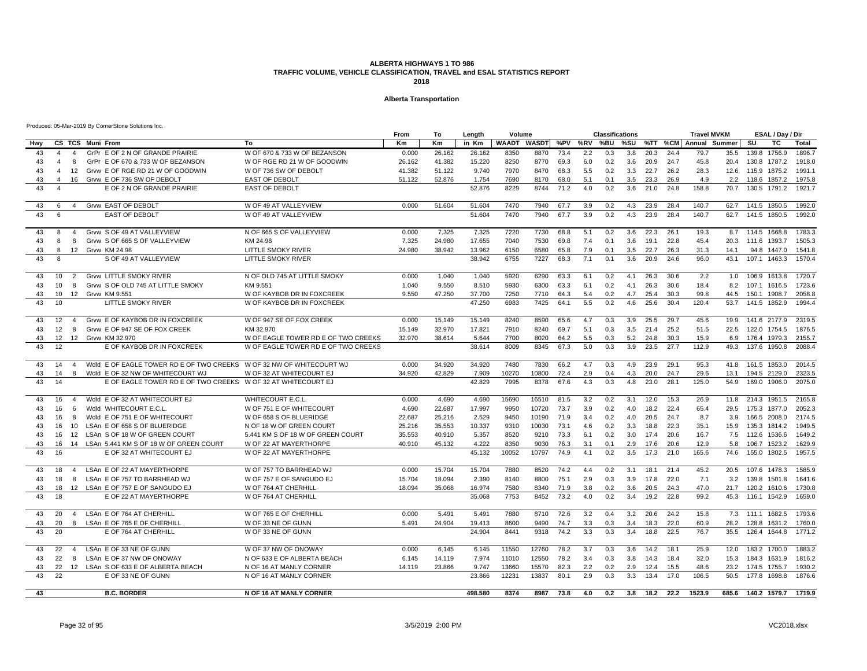### **Alberta Transportation**

|          |                         |                                                                                                       |                                                | From   | То     | Length           | Volume        |                   |              |            | <b>Classifications</b> |            |              |              | <b>Travel MVKM</b>    |              |    | ESAL / Day / Dir             |                  |
|----------|-------------------------|-------------------------------------------------------------------------------------------------------|------------------------------------------------|--------|--------|------------------|---------------|-------------------|--------------|------------|------------------------|------------|--------------|--------------|-----------------------|--------------|----|------------------------------|------------------|
| Hwy      |                         | CS TCS Muni From                                                                                      | To                                             | Кm     | Km     | in Km            | WAADT         | WASDT %PV %RV %BU |              |            |                        | %SU        |              |              | %TT %CM Annual Summer |              | SU | TC                           | Total            |
| 43       | $\overline{4}$          | GrPr E OF 2 N OF GRANDE PRAIRIE<br>$\overline{4}$                                                     | W OF 670 & 733 W OF BEZANSON                   | 0.000  | 26.162 | 26.162           | 8350          | 8870              | 73.4         | 2.2        | 0.3                    | 3.8        | 20.3         | 24.4         | 79.7                  | 35.5         |    | 139.8 1756.9                 | 1896.7           |
| 43       | $\overline{4}$          | 8<br>GrPr E OF 670 & 733 W OF BEZANSON                                                                | W OF RGE RD 21 W OF GOODWIN                    | 26.162 | 41.382 | 15.220           | 8250          | 8770              | 69.3         | 6.0        | 0.2                    | 3.6        | 20.9         | 24.7         | 45.8                  | 20.4         |    | 130.8 1787.2                 | 1918.0           |
| 43       | $\overline{a}$          | Grvw E OF RGE RD 21 W OF GOODWIN<br>12                                                                | W OF 736 SW OF DEBOLT                          | 41.382 | 51.122 | 9.740            | 7970          | 8470              | 68.3         | 5.5        | 0.2                    | 3.3        | 22.7         | 26.2         | 28.3                  | 12.6         |    | 115.9 1875.2                 | 1991.1           |
| 43       | $\overline{a}$          | Grvw E OF 736 SW OF DEBOLT<br>16                                                                      | <b>EAST OF DEBOLT</b>                          | 51.122 | 52.876 | 1.754            | 7690          | 8170              | 68.0         | 5.1        | 0.1                    | 3.5        | 23.3         | 26.9         | 4.9                   | 2.2          |    | 118.6 1857.2                 | 1975.8           |
| 43       | $\overline{\mathbf{A}}$ | E OF 2 N OF GRANDE PRAIRIE                                                                            | <b>EAST OF DEBOLT</b>                          |        |        | 52.876           | 8229          | 8744              | 71.2         | 4.0        | 0.2                    | 3.6        | 21.0         | 24.8         | 158.8                 | 70.7         |    | 130.5 1791.2                 | 1921.7           |
|          |                         |                                                                                                       |                                                |        |        |                  |               |                   |              |            |                        |            |              |              |                       |              |    |                              |                  |
| 43<br>43 | 6<br>6                  | Grvw EAST OF DEBOLT<br>$\overline{4}$<br><b>EAST OF DEBOLT</b>                                        | W OF 49 AT VALLEYVIEW<br>W OF 49 AT VALLEYVIEW | 0.000  | 51.604 | 51.604<br>51.604 | 7470<br>7470  | 7940<br>7940      | 67.7<br>67.7 | 3.9<br>3.9 | 0.2<br>0.2             | 4.3<br>4.3 | 23.9<br>23.9 | 28.4<br>28.4 | 140.7<br>140.7        | 62.7<br>62.7 |    | 141.5 1850.5<br>141.5 1850.5 | 1992.0<br>1992.0 |
|          |                         |                                                                                                       |                                                |        |        |                  |               |                   |              |            |                        |            |              |              |                       |              |    |                              |                  |
| 43       | 8                       | Grvw S OF 49 AT VALLEYVIEW<br>4                                                                       | N OF 665 S OF VALLEYVIEW                       | 0.000  | 7.325  | 7.325            | 7220          | 7730              | 68.8         | 5.1        | 0.2                    | 3.6        | 22.3         | 26.1         | 19.3                  | 8.7          |    | 114.5 1668.8                 | 1783.3           |
| 43       | 8                       | Grvw S OF 665 S OF VALLEYVIEW<br>8                                                                    | KM 24.98                                       | 7.325  | 24.980 | 17.655           | 7040          | 7530              | 69.8         | 7.4        | 0.1                    | 3.6        | 19.1         | 22.8         | 45.4                  | 20.3         |    | 111.6 1393.7                 | 1505.3           |
| 43       | 8                       | 12 Grvw KM 24.98                                                                                      | LITTLE SMOKY RIVER                             | 24.980 | 38.942 | 13.962           | 6150          | 6580              | 65.8         | 7.9        | 0.1                    | 3.5        | 22.7         | 26.3         | 31.3                  | 14.1         |    | 94.8 1447.0                  | 1541.8           |
| 43       | 8                       | S OF 49 AT VALLEYVIEW                                                                                 | LITTLE SMOKY RIVER                             |        |        | 38.942           | 6755          | 7227              | 68.3         | 7.1        | 0.1                    | 3.6        | 20.9         | 24.6         | 96.0                  | 43.1         |    | 107.1 1463.3                 | 1570.4           |
| 43       | 10                      | <b>Grvw LITTLE SMOKY RIVER</b><br>2                                                                   | N OF OLD 745 AT LITTLE SMOKY                   | 0.000  | 1.040  | 1.040            | 5920          | 6290              | 63.3         | 6.1        | 0.2                    | 4.1        | 26.3         | 30.6         | 2.2                   | 1.0          |    | 106.9 1613.8                 | 1720.7           |
| 43       | 10                      | Grvw S OF OLD 745 AT LITTLE SMOKY<br>8                                                                | KM 9.551                                       | 1.040  | 9.550  | 8.510            | 5930          | 6300              | 63.3         | 6.1        | 0.2                    | 4.1        | 26.3         | 30.6         | 18.4                  | 8.2          |    | 107.1 1616.5                 | 1723.6           |
| 43       | 10                      | 12 Grvw KM 9.551                                                                                      | W OF KAYBOB DR IN FOXCREEK                     | 9.550  | 47.250 | 37.700           | 7250          | 7710              | 64.3         | 5.4        | 0.2                    | 4.7        | 25.4         | 30.3         | 99.8                  | 44.5         |    | 150.1 1908.7                 | 2058.8           |
| 43       | 10                      | LITTLE SMOKY RIVER                                                                                    | W OF KAYBOB DR IN FOXCREEK                     |        |        | 47.250           | 6983          | 7425              | 64.1         | 5.5        | 0.2                    | 4.6        | 25.6         | 30.4         | 120.4                 | 53.7         |    | 141.5 1852.9                 | 1994.4           |
|          |                         |                                                                                                       |                                                |        |        |                  |               |                   |              |            |                        |            |              |              |                       |              |    |                              |                  |
| 43       | 12                      | Grvw E OF KAYBOB DR IN FOXCREEK<br>$\overline{4}$                                                     | W OF 947 SE OF FOX CREEK                       | 0.000  | 15.149 | 15.149           | 8240          | 8590              | 65.6         | 4.7        | 0.3                    | 3.9        | 25.5         | 29.7         | 45.6                  | 19.9         |    | 141.6 2177.9                 | 2319.5           |
| 43       | 12                      | Grvw E OF 947 SE OF FOX CREEK<br>8                                                                    | KM 32.970                                      | 15.149 | 32.970 | 17.821           | 7910          | 8240              | 69.7         | 5.1        | 0.3                    | 3.5        | 21.4         | 25.2         | 51.5                  | 22.5         |    | 122.0 1754.5                 | 1876.5           |
| 43       | 12                      | 12<br>Grvw KM 32.970                                                                                  | W OF EAGLE TOWER RD E OF TWO CREEKS            | 32.970 | 38.614 | 5.644            | 7700          | 8020              | 64.2         | 5.5        | 0.3                    | 5.2        | 24.8         | 30.3         | 15.9                  | 6.9          |    | 176.4 1979.3                 | 2155.7           |
| 43       | 12                      | E OF KAYBOB DR IN FOXCREEK                                                                            | W OF EAGLE TOWER RD E OF TWO CREEKS            |        |        | 38.614           | 8009          | 8345              | 67.3         | 5.0        | 0.3                    | 3.9        | 23.5         | 27.7         | 112.9                 | 49.3         |    | 137.6 1950.8                 | 2088.4           |
|          |                         |                                                                                                       |                                                |        |        |                  |               |                   |              |            |                        |            |              |              |                       |              |    |                              |                  |
| 43       | 14                      | Wdld E OF EAGLE TOWER RD E OF TWO CREEKS W OF 32 NW OF WHITECOURT WJ<br>$\overline{4}$                |                                                | 0.000  | 34.920 | 34.920           | 7480          | 7830              | 66.2         | 4.7        | 0.3                    | 4.9        | 23.9         | 29.1         | 95.3                  | 41.8         |    | 161.5 1853.0                 | 2014.5           |
| 43<br>43 | 14<br>14                | 8<br>Wdld E OF 32 NW OF WHITECOURT WJ<br>E OF EAGLE TOWER RD E OF TWO CREEKS W OF 32 AT WHITECOURT EJ | W OF 32 AT WHITECOURT EJ                       | 34.920 | 42.829 | 7.909<br>42.829  | 10270<br>7995 | 10800<br>8378     | 72.4<br>67.6 | 2.9<br>4.3 | 0.4<br>0.3             | 4.3<br>4.8 | 20.0<br>23.0 | 24.7<br>28.1 | 29.6<br>125.0         | 13.1<br>54.9 |    | 194.5 2129.0<br>169.0 1906.0 | 2323.5<br>2075.0 |
|          |                         |                                                                                                       |                                                |        |        |                  |               |                   |              |            |                        |            |              |              |                       |              |    |                              |                  |
| 43       | 16                      | Wdld E OF 32 AT WHITECOURT EJ<br>$\overline{4}$                                                       | WHITECOURT E.C.L.                              | 0.000  | 4.690  | 4.690            | 15690         | 16510             | 81.5         | 3.2        | 0.2                    | 3.1        | 12.0         | 15.3         | 26.9                  | 11.8         |    | 214.3 1951.5                 | 2165.8           |
| 43       | 16                      | Wdld WHITECOURT E.C.L.<br>6                                                                           | W OF 751 E OF WHITECOURT                       | 4.690  | 22.687 | 17.997           | 9950          | 10720             | 73.7         | 3.9        | 0.2                    | 4.0        | 18.2         | 22.4         | 65.4                  | 29.5         |    | 175.3 1877.0                 | 2052.3           |
| 43       | 16                      | Wdld E OF 751 E OF WHITECOURT<br>8                                                                    | W OF 658 S OF BLUERIDGE                        | 22.687 | 25.216 | 2.529            | 9450          | 10190             | 71.9         | 3.4        | 0.2                    | 4.0        | 20.5         | 24.7         | 8.7                   | 3.9          |    | 166.5 2008.0                 | 2174.5           |
| 43       | 16                      | LSAn E OF 658 S OF BLUERIDGE<br>10                                                                    | N OF 18 W OF GREEN COURT                       | 25.216 | 35.553 | 10.337           | 9310          | 10030             | 73.1         | 4.6        | 0.2                    | 3.3        | 18.8         | 22.3         | 35.1                  | 15.9         |    | 135.3 1814.2                 | 1949.5           |
| 43       | 16                      | LSAn S OF 18 W OF GREEN COURT<br>12                                                                   | 5.441 KM S OF 18 W OF GREEN COURT              | 35.553 | 40.910 | 5.357            | 8520          | 9210              | 73.3         | 6.1        | 0.2                    | 3.0        | 17.4         | 20.6         | 16.7                  | 7.5          |    | 112.6 1536.6                 | 1649.2           |
| 43       | 16                      | 14 LSAn 5.441 KM S OF 18 W OF GREEN COURT                                                             | W OF 22 AT MAYERTHORPE                         | 40.910 | 45.132 | 4.222            | 8350          | 9030              | 76.3         | 3.1        | 0.1                    | 2.9        | 17.6         | 20.6         | 12.9                  | 5.8          |    | 106.7 1523.2                 | 1629.9           |
| 43       | 16                      | E OF 32 AT WHITECOURT EJ                                                                              | W OF 22 AT MAYERTHORPE                         |        |        | 45.132           | 10052         | 10797             | 74.9         | 4.1        | 0.2                    | 3.5        | 17.3         | 21.0         | 165.6                 | 74.6         |    | 155.0 1802.5                 | 1957.5           |
| 43       | 18                      | LSAn E OF 22 AT MAYERTHORPE<br>$\overline{4}$                                                         | W OF 757 TO BARRHEAD WJ                        | 0.000  | 15.704 | 15.704           | 7880          | 8520              | 74.2         | 4.4        | 0.2                    | 3.1        | 18.1         | 21.4         | 45.2                  | 20.5         |    | 107.6 1478.3                 | 1585.9           |
| 43       | 18                      | LSAn E OF 757 TO BARRHEAD WJ<br>8                                                                     | W OF 757 E OF SANGUDO EJ                       | 15.704 | 18.094 | 2.390            | 8140          | 8800              | 75.1         | 2.9        | 0.3                    | 3.9        | 17.8         | 22.0         | 7.1                   |              |    | 3.2 139.8 1501.8             | 1641.6           |
| 43       | 18                      | 12 LSAn E OF 757 E OF SANGUDO EJ                                                                      | W OF 764 AT CHERHILL                           | 18.094 | 35.068 | 16.974           | 7580          | 8340              | 71.9         | 3.8        | 0.2                    | 3.6        | 20.5         | 24.3         | 47.0                  | 21.7         |    | 120.2 1610.6                 | 1730.8           |
| 43       | 18                      | E OF 22 AT MAYERTHORPE                                                                                | W OF 764 AT CHERHILL                           |        |        | 35.068           | 7753          | 8452              | 73.2         | 4.0        | 0.2                    | 3.4        | 19.2         | 22.8         | 99.2                  | 45.3         |    | 116.1 1542.9                 | 1659.0           |
|          |                         |                                                                                                       |                                                |        |        |                  |               |                   |              |            |                        |            |              |              |                       |              |    |                              |                  |
| 43       | 20<br>$\overline{4}$    | LSAn E OF 764 AT CHERHILL                                                                             | W OF 765 E OF CHERHILL                         | 0.000  | 5.491  | 5.491            | 7880          | 8710              | 72.6         | 3.2        | 0.4                    | 3.2        | 20.6         | 24.2         | 15.8                  |              |    | 7.3 111.1 1682.5             | 1793.6           |
| 43       | 20                      | LSAn E OF 765 E OF CHERHILL<br>8                                                                      | W OF 33 NE OF GUNN                             | 5.491  | 24.904 | 19.413           | 8600          | 9490              | 74.7         | 3.3        | 0.3                    | 3.4        | 18.3         | 22.0         | 60.9                  | 28.2         |    | 128.8 1631.2                 | 1760.0           |
| 43       | 20                      | E OF 764 AT CHERHILL                                                                                  | W OF 33 NE OF GUNN                             |        |        | 24.904           | 8441          | 9318              | 74.2         | 3.3        | 0.3                    | 3.4        | 18.8         | 22.5         | 76.7                  | 35.5         |    | 126.4 1644.8                 | 1771.2           |
| 43       | 22<br>$\overline{4}$    | LSAn E OF 33 NE OF GUNN                                                                               | W OF 37 NW OF ONOWAY                           | 0.000  | 6.145  | 6.145            | 11550         | 12760             | 78.2         | 3.7        | 0.3                    | 3.6        | 14.2         | 18.1         | 25.9                  | 12.0         |    | 183.2 1700.0                 | 1883.2           |
| 43       | 22<br>8                 | LSAn E OF 37 NW OF ONOWAY                                                                             | N OF 633 E OF ALBERTA BEACH                    | 6.145  | 14.119 | 7.974            | 11010         | 12550             | 78.2         | 3.4        | 0.3                    | 3.8        | 14.3         | 18.4         | 32.0                  | 15.3         |    | 184.3 1631.9                 | 1816.2           |
| 43       | 22                      | 12 LSAn S OF 633 E OF ALBERTA BEACH                                                                   | N OF 16 AT MANLY CORNER                        | 14.119 | 23.866 | 9.747            | 13660         | 15570             | 82.3         | 2.2        | 0.2                    | 2.9        | 12.4         | 15.5         | 48.6                  | 23.2         |    | 174.5 1755.7                 | 1930.2           |
| 43       | 22                      | E OF 33 NE OF GUNN                                                                                    | N OF 16 AT MANLY CORNER                        |        |        | 23.866           | 12231         | 13837             | 80.1         | 2.9        | 0.3                    | 3.3        | 13.4         | 17.0         | 106.5                 | 50.5         |    | 177.8 1698.8                 | 1876.6           |
| 43       |                         | <b>B.C. BORDER</b>                                                                                    | N OF 16 AT MANLY CORNER                        |        |        | 498.580          | 8374          | 8987              | 73.8         | 4.0        | 0.2                    | 3.8        | 18.2         | 22.2         | 1523.9                | 685.6        |    | 140.2 1579.7                 | 1719.9           |
|          |                         |                                                                                                       |                                                |        |        |                  |               |                   |              |            |                        |            |              |              |                       |              |    |                              |                  |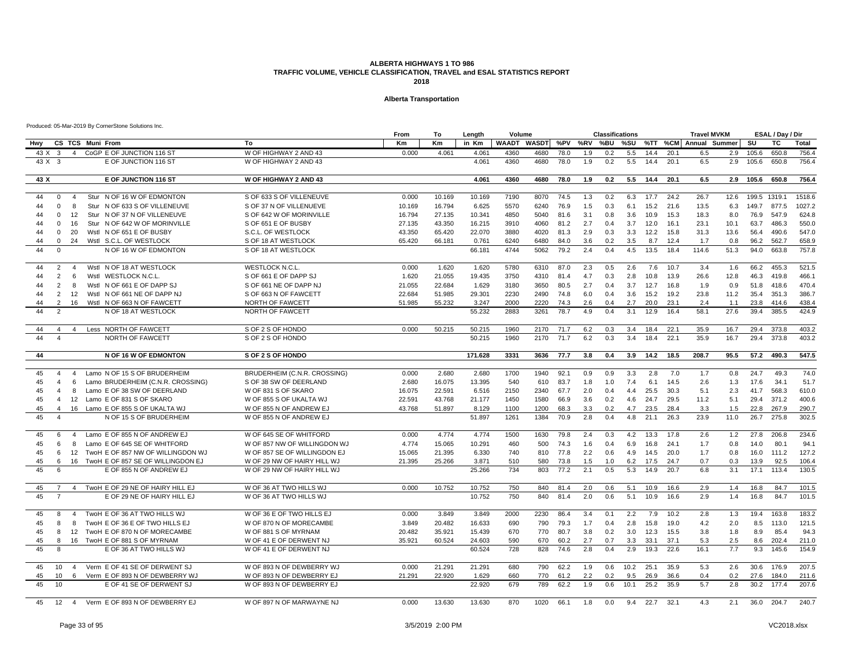### **Alberta Transportation**

|                                                                            |                              | From   | To     | Length  | Volume       |              |         |     | <b>Classifications</b> |      |      |         | <b>Travel MVKM</b> |      |              | ESAL / Day / Dir |              |
|----------------------------------------------------------------------------|------------------------------|--------|--------|---------|--------------|--------------|---------|-----|------------------------|------|------|---------|--------------------|------|--------------|------------------|--------------|
| CS TCS Muni From<br>Hwy                                                    | To                           | Km     | Кm     | in Km   | <b>WAADT</b> | <b>WASDT</b> | %PV %RV |     | %BU                    | %SU  |      | %TT %CM | Annual Summer      |      | SU           | TC               | <b>Total</b> |
| 3<br>4 CoGP E OF JUNCTION 116 ST<br>43 X                                   | W OF HIGHWAY 2 AND 43        | 0.000  | 4.061  | 4.061   | 4360         | 4680         | 78.0    | 1.9 | 0.2                    | 5.5  | 14.4 | 20.1    | 6.5                | 2.9  | 105.6        | 650.8            | 756.4        |
| E OF JUNCTION 116 ST<br>43 X<br>3                                          | W OF HIGHWAY 2 AND 43        |        |        | 4.061   | 4360         | 4680         | 78.0    | 1.9 | 0.2                    | 5.5  | 14.4 | 20.1    | 6.5                | 2.9  | 105.6        | 650.8            | 756.4        |
| 43 X<br>E OF JUNCTION 116 ST                                               | W OF HIGHWAY 2 AND 43        |        |        | 4.061   | 4360         | 4680         | 78.0    | 1.9 | 0.2                    | 5.5  | 14.4 | 20.1    | 6.5                |      | 2.9 105.6    | 650.8            | 756.4        |
|                                                                            |                              |        |        |         |              |              |         |     |                        |      |      |         |                    |      |              |                  |              |
| 44<br>Stur N OF 16 W OF EDMONTON<br>$\Omega$<br>$\overline{4}$             | S OF 633 S OF VILLENEUVE     | 0.000  | 10.169 | 10.169  | 7190         | 8070         | 74.5    | 1.3 | 0.2                    | 6.3  | 17.7 | 24.2    | 26.7               | 12.6 | 199.5 1319.1 |                  | 1518.6       |
| 44<br>8<br>Stur N OF 633 S OF VILLENEUVE<br>$\mathbf{0}$                   | S OF 37 N OF VILLENUEVE      | 10.169 | 16.794 | 6.625   | 5570         | 6240         | 76.9    | 1.5 | 0.3                    | 6.1  | 15.2 | 21.6    | 13.5               | 6.3  | 149.7        | 877.5            | 1027.2       |
| Stur N OF 37 N OF VILLENEUVE<br>44<br>12<br>$\Omega$                       | S OF 642 W OF MORINVILLE     | 16.794 | 27.135 | 10.341  | 4850         | 5040         | 81.6    | 3.1 | 0.8                    | 3.6  | 10.9 | 15.3    | 18.3               | 8.0  | 76.9         | 547.9            | 624.8        |
| 44<br>Stur N OF 642 W OF MORINVILLE<br>$\Omega$<br>16                      | S OF 651 E OF BUSBY          | 27.135 | 43.350 | 16.215  | 3910         | 4060         | 81.2    | 2.7 | 0.4                    | 3.7  | 12.0 | 16.1    | 23.1               | 10.1 | 63.7         | 486.3            | 550.0        |
| 44<br>Wstl N OF 651 E OF BUSBY<br>$\Omega$<br>-20                          | S.C.L. OF WESTLOCK           | 43.350 | 65.420 | 22.070  | 3880         | 4020         | 81.3    | 2.9 | 0.3                    | 3.3  | 12.2 | 15.8    | 31.3               | 13.6 | 56.4         | 490.6            | 547.0        |
| Wstl S.C.L. OF WESTLOCK<br>44<br>$\Omega$<br>24                            | S OF 18 AT WESTLOCK          | 65.420 | 66.181 | 0.761   | 6240         | 6480         | 84.0    | 3.6 | 0.2                    | 3.5  | 8.7  | 12.4    | 1.7                | 0.8  | 96.2         | 562.7            | 658.9        |
| N OF 16 W OF EDMONTON<br>44<br>$\Omega$                                    | S OF 18 AT WESTLOCK          |        |        | 66.181  | 4744         | 5062         | 79.2    | 2.4 | 0.4                    | 4.5  | 13.5 | 18.4    | 114.6              | 51.3 | 94.0         | 663.8            | 757.8        |
| Wstl N OF 18 AT WESTLOCK<br>44<br>$\overline{2}$<br>$\overline{4}$         | <b>WESTLOCK N.C.L</b>        | 0.000  | 1.620  | 1.620   | 5780         | 6310         | 87.0    | 2.3 | 0.5                    | 2.6  | 7.6  | 10.7    | 3.4                | 1.6  | 66.2         | 455.3            | 521.5        |
| 2<br>Wstl WESTLOCK N.C.L.<br>44<br>6                                       | S OF 661 E OF DAPP SJ        | 1.620  | 21.055 | 19.435  | 3750         | 4310         | 81.4    | 4.7 | 0.3                    | 2.8  | 10.8 | 13.9    | 26.6               | 12.8 | 46.3         | 419.8            | 466.1        |
| 44<br>$\overline{2}$<br>8<br>Wstl N OF 661 E OF DAPP SJ                    | S OF 661 NE OF DAPP NJ       | 21.055 | 22.684 | 1.629   | 3180         | 3650         | 80.5    | 2.7 | 0.4                    | 3.7  | 12.7 | 16.8    | 1.9                | 0.9  | 51.8         | 418.6            | 470.4        |
| Wstl N OF 661 NE OF DAPP NJ<br>44<br>2<br>12                               | S OF 663 N OF FAWCETT        | 22.684 | 51.985 | 29.301  | 2230         | 2490         | 74.8    | 6.0 | 0.4                    | 3.6  | 15.2 | 19.2    | 23.8               | 11.2 | 35.4         | 351.3            | 386.7        |
| 44<br>$\overline{2}$<br>16<br>Wstl N OF 663 N OF FAWCETT                   | NORTH OF FAWCETT             | 51.985 | 55.232 | 3.247   | 2000         | 2220         | 74.3    | 2.6 | 0.4                    | 2.7  | 20.0 | 23.1    | 2.4                | 1.1  | 23.8         | 414.6            | 438.4        |
| N OF 18 AT WESTLOCK<br>44<br>$\overline{2}$                                | NORTH OF FAWCETT             |        |        | 55.232  | 2883         | 3261         | 78.7    | 4.9 | 0.4                    | 3.1  | 12.9 | 16.4    | 58.1               | 27.6 | 39.4         | 385.5            | 424.9        |
| Less NORTH OF FAWCETT<br>44<br>$\overline{4}$<br>$\overline{4}$            | S OF 2 S OF HONDO            | 0.000  | 50.215 | 50.215  | 1960         | 2170         | 71.7    | 6.2 | 0.3                    | 3.4  | 18.4 | 22.1    | 35.9               | 16.7 | 29.4         | 373.8            | 403.2        |
| 44<br>NORTH OF FAWCETT<br>$\boldsymbol{\Lambda}$                           | S OF 2 S OF HONDO            |        |        | 50.215  | 1960         | 2170         | 71.7    | 6.2 | 0.3                    | 3.4  | 18.4 | 22.1    | 35.9               | 16.7 | 29.4         | 373.8            | 403.2        |
| 44<br>N OF 16 W OF EDMONTON                                                | S OF 2 S OF HONDO            |        |        | 171.628 | 3331         | 3636         | 77.7    | 3.8 | 0.4                    | 3.9  | 14.2 | 18.5    | 208.7              | 95.5 | 57.2         | 490.3            | 547.5        |
|                                                                            |                              |        |        |         |              |              |         |     |                        |      |      |         |                    |      |              |                  |              |
| Lamo N OF 15 S OF BRUDERHEIM<br>45<br>$\overline{4}$<br>$\overline{4}$     | BRUDERHEIM (C.N.R. CROSSING) | 0.000  | 2.680  | 2.680   | 1700         | 1940         | 92.1    | 0.9 | 0.9                    | 3.3  | 2.8  | 7.0     | 1.7                | 0.8  | 24.7         | 49.3             | 74.0         |
| 45<br>Lamo BRUDERHEIM (C.N.R. CROSSING)<br>6<br>$\overline{4}$             | S OF 38 SW OF DEERLAND       | 2.680  | 16.075 | 13.395  | 540          | 610          | 83.7    | 1.8 | 1.0                    | 7.4  | 6.1  | 14.5    | 2.6                | 1.3  | 17.6         | 34.1             | 51.7         |
| Lamo E OF 38 SW OF DEERLAND<br>45<br>8<br>$\overline{a}$                   | W OF 831 S OF SKARO          | 16.075 | 22.591 | 6.516   | 2150         | 2340         | 67.7    | 2.0 | 0.4                    | 4.4  | 25.5 | 30.3    | 5.1                | 2.3  | 41.7         | 568.3            | 610.0        |
| Lamo E OF 831 S OF SKARO<br>45<br>12<br>$\overline{4}$                     | W OF 855 S OF UKALTA WJ      | 22.591 | 43.768 | 21.177  | 1450         | 1580         | 66.9    | 3.6 | 0.2                    | 4.6  | 24.7 | 29.5    | 11.2               | 5.1  | 29.4         | 371.2            | 400.6        |
| Lamo E OF 855 S OF UKALTA WJ<br>45<br>16<br>$\overline{4}$                 | W OF 855 N OF ANDREW EJ      | 43.768 | 51.897 | 8.129   | 1100         | 1200         | 68.3    | 3.3 | 0.2                    | 4.7  | 23.5 | 28.4    | 3.3                | 1.5  | 22.8         | 267.9            | 290.7        |
| 45<br>$\overline{4}$<br>N OF 15 S OF BRUDERHEIM                            | W OF 855 N OF ANDREW EJ      |        |        | 51.897  | 1261         | 1384         | 70.9    | 2.8 | 0.4                    | 4.8  | 21.1 | 26.3    | 23.9               | 11.0 | 26.7         | 275.8            | 302.5        |
| 45<br>Lamo E OF 855 N OF ANDREW EJ<br>6<br>$\overline{4}$                  | W OF 645 SE OF WHITFORD      | 0.000  | 4.774  | 4.774   | 1500         | 1630         | 79.8    | 2.4 | 0.3                    | 4.2  | 13.3 | 17.8    | 2.6                | 1.2  | 27.8         | 206.8            | 234.6        |
| Lamo E OF 645 SE OF WHITFORD<br>45<br>8<br>6                               | W OF 857 NW OF WILLINGDON WJ | 4.774  | 15.065 | 10.291  | 460          | 500          | 74.3    | 1.6 | 0.4                    | 6.9  | 16.8 | 24.1    | 1.7                | 0.8  | 14.0         | 80.1             | 94.1         |
| 45<br>TwoH E OF 857 NW OF WILLINGDON WJ<br>6<br>12                         | W OF 857 SE OF WILLINGDON EJ | 15.065 | 21.395 | 6.330   | 740          | 810          | 77.8    | 2.2 | 0.6                    | 4.9  | 14.5 | 20.0    | 1.7                | 0.8  | 16.0         | 111.2            | 127.2        |
| TwoH E OF 857 SE OF WILLINGDON EJ<br>45<br>6<br>16                         | W OF 29 NW OF HAIRY HILL WJ  | 21.395 | 25.266 | 3.871   | 510          | 580          | 73.8    | 1.5 | 1.0                    | 6.2  | 17.5 | 24.7    | 0.7                | 0.3  | 13.9         | 92.5             | 106.4        |
| 45<br>6<br>E OF 855 N OF ANDREW EJ                                         | W OF 29 NW OF HAIRY HILL WJ  |        |        | 25.266  | 734          | 803          | 77.2    | 2.1 | 0.5                    | 5.3  | 14.9 | 20.7    | 6.8                | 3.1  | 17.1         | 113.4            | 130.5        |
| TwoH E OF 29 NE OF HAIRY HILL EJ<br>45<br>$\overline{7}$<br>$\overline{4}$ | W OF 36 AT TWO HILLS WJ      | 0.000  | 10.752 | 10.752  | 750          | 840          | 81.4    | 2.0 | 0.6                    | 5.1  | 10.9 | 16.6    | 2.9                | 1.4  | 16.8         | 84.7             | 101.5        |
| 45<br>E OF 29 NE OF HAIRY HILL EJ                                          | W OF 36 AT TWO HILLS WJ      |        |        | 10.752  | 750          | 840          | 81.4    | 2.0 | 0.6                    | 5.1  | 10.9 | 16.6    | 2.9                | 1.4  | 16.8         | 84.7             | 101.5        |
| TWOH E OF 36 AT TWO HILLS WJ<br>45<br>8<br>$\mathbf{\Delta}$               | W OF 36 E OF TWO HILLS EJ    | 0.000  | 3.849  | 3.849   | 2000         | 2230         | 86.4    | 3.4 | 0.1                    | 2.2  | 7.9  | 10.2    | 2.8                | 1.3  | 19.4         | 163.8            | 183.2        |
| 45<br>TwoH E OF 36 E OF TWO HILLS EJ<br>8<br>8                             | W OF 870 N OF MORECAMBE      | 3.849  | 20.482 | 16.633  | 690          | 790          | 79.3    | 1.7 | 0.4                    | 2.8  | 15.8 | 19.0    | 4.2                | 2.0  | 8.5          | 113.0            | 121.5        |
| 45<br>TwoH E OF 870 N OF MORECAMBE<br>8<br>12                              | W OF 881 S OF MYRNAM         | 20.482 | 35.921 | 15.439  | 670          | 770          | 80.7    | 3.8 | 0.2                    | 3.0  | 12.3 | 15.5    | 3.8                | 1.8  | 8.9          | 85.4             | 94.3         |
| 45<br>TwoH E OF 881 S OF MYRNAM<br>8<br>16                                 | W OF 41 E OF DERWENT NJ      | 35.921 | 60.524 | 24.603  | 590          | 670          | 60.2    | 2.7 | 0.7                    | 3.3  | 33.1 | 37.1    | 5.3                | 2.5  | 8.6          | 202.4            | 211.0        |
| E OF 36 AT TWO HILLS WJ<br>45<br>8                                         | W OF 41 E OF DERWENT NJ      |        |        | 60.524  | 728          | 828          | 74.6    | 2.8 | 0.4                    | 2.9  | 19.3 | 22.6    | 16.1               | 7.7  | 9.3          | 145.6            | 154.9        |
| 45<br>Verm E OF 41 SE OF DERWENT SJ<br>10 <sup>1</sup><br>$\overline{4}$   | W OF 893 N OF DEWBERRY WJ    | 0.000  | 21.291 | 21.291  | 680          | 790          | 62.2    | 1.9 | 0.6                    | 10.2 | 25.1 | 35.9    | 5.3                | 2.6  | 30.6         | 176.9            | 207.5        |
| 45<br>10<br>Verm E OF 893 N OF DEWBERRY WJ<br>6                            | W OF 893 N OF DEWBERRY EJ    | 21.291 | 22.920 | 1.629   | 660          | 770          | 61.2    | 2.2 | 0.2                    | 9.5  | 26.9 | 36.6    | 0.4                | 0.2  | 27.6         | 184.0            | 211.6        |
| 45<br>10 <sup>10</sup><br>E OF 41 SE OF DERWENT SJ                         | W OF 893 N OF DEWBERRY EJ    |        |        | 22.920  | 679          | 789          | 62.2    | 1.9 | 0.6                    | 10.1 | 25.2 | 35.9    | 5.7                | 2.8  | 30.2         | 177.4            | 207.6        |
| 45<br>Verm E OF 893 N OF DEWBERRY EJ<br>12<br>$\overline{4}$               | W OF 897 N OF MARWAYNE NJ    | 0.000  | 13.630 | 13.630  | 870          | 1020         | 66.1    | 1.8 | 0.0                    | 9.4  | 22.7 | 32.1    | 4.3                | 2.1  | 36.0         | 204.7            | 240.7        |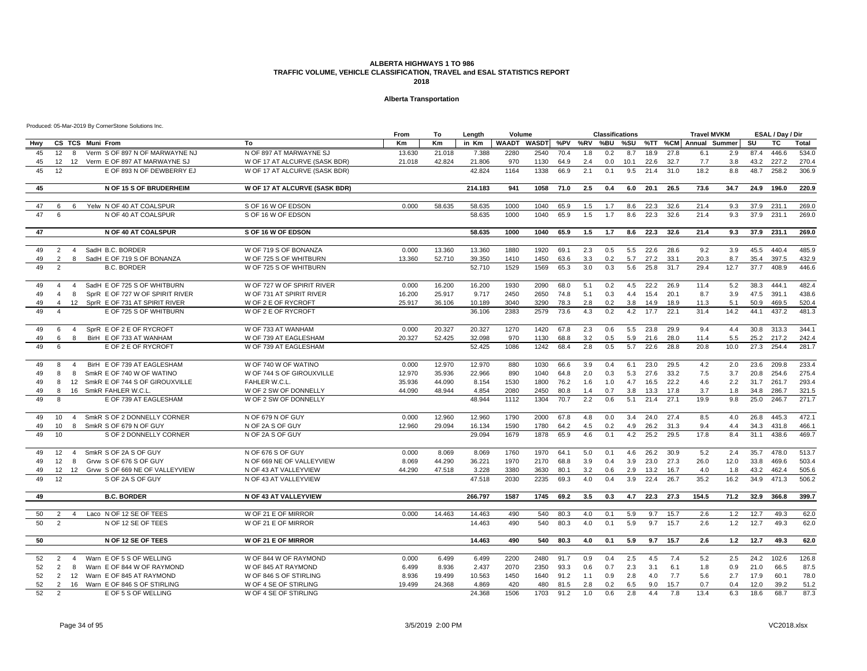### **Alberta Transportation**

|          |                                                                                               | From   | To     | Length  | Volume |                         |      |            | <b>Classifications</b> |            |              |              | <b>Travel MVKM</b>    |       |              | ESAL / Day / Dir |                |
|----------|-----------------------------------------------------------------------------------------------|--------|--------|---------|--------|-------------------------|------|------------|------------------------|------------|--------------|--------------|-----------------------|-------|--------------|------------------|----------------|
| Hwy      | CS TCS Muni From<br>To                                                                        | Km     | Кm     | in Km   |        | WAADT WASDT %PV %RV %BU |      |            |                        | %SU        |              |              | %TT %CM Annual Summer |       | SU           | <b>TC</b>        | Total          |
| 45       | 12<br>Verm S OF 897 N OF MARWAYNE NJ<br>N OF 897 AT MARWAYNE SJ<br>8                          | 13.630 | 21.018 | 7.388   | 2280   | 2540                    | 70.4 | 1.8        | 0.2                    | 8.7        | 18.9         | 27.8         | 6.1                   | 2.9   | 87.4         | 446.6            | 534.0          |
| 45       | 12<br>12 Verm E OF 897 AT MARWAYNE SJ<br>W OF 17 AT ALCURVE (SASK BDR)                        | 21.018 | 42.824 | 21.806  | 970    | 1130                    | 64.9 | 2.4        | 0.0                    | 10.1       | 22.6         | 32.7         | 7.7                   | 3.8   | 43.2         | 227.2            | 270.4          |
| 45       | 12<br>E OF 893 N OF DEWBERRY EJ<br>W OF 17 AT ALCURVE (SASK BDR)                              |        |        | 42.824  | 1164   | 1338                    | 66.9 | 2.1        | 0.1                    | 9.5        | 21.4         | 31.0         | 18.2                  | 8.8   | 48.7         | 258.2            | 306.9          |
| 45       | N OF 15 S OF BRUDERHEIM<br>W OF 17 AT ALCURVE (SASK BDR)                                      |        |        | 214.183 | 941    | 1058                    | 71.0 | 2.5        | 0.4                    | 6.0        | 20.1         | 26.5         | 73.6                  | 34.7  | 24.9         | 196.0            | 220.9          |
|          |                                                                                               |        |        |         |        |                         |      |            |                        |            |              |              |                       |       |              |                  |                |
| 47       | S OF 16 W OF EDSON<br>Yelw N OF 40 AT COALSPUR<br>6<br>6                                      | 0.000  | 58.635 | 58.635  | 1000   | 1040                    | 65.9 | 1.5        | 1.7                    | 8.6        | 22.3         | 32.6         | 21.4                  | 9.3   | 37.9         | 231.1            | 269.0          |
| 47       | N OF 40 AT COALSPUR<br>S OF 16 W OF EDSON<br>6                                                |        |        | 58.635  | 1000   | 1040                    | 65.9 | 1.5        | 1.7                    | 8.6        | 22.3         | 32.6         | 21.4                  | 9.3   | 37.9         | 231.1            | 269.0          |
| 47       | N OF 40 AT COALSPUR<br>S OF 16 W OF EDSON                                                     |        |        | 58.635  | 1000   | 1040                    | 65.9 | 1.5        | 1.7                    | 8.6        | 22.3         | 32.6         | 21.4                  | 9.3   | 37.9         | 231.1            | 269.0          |
|          |                                                                                               |        |        |         |        |                         |      |            |                        |            |              |              |                       |       |              |                  |                |
| 49       | SadH B.C. BORDER<br>W OF 719 S OF BONANZA<br>2<br>$\overline{4}$                              | 0.000  | 13.360 | 13.360  | 1880   | 1920                    | 69.1 | 2.3        | 0.5                    | 5.5        | 22.6         | 28.6         | 9.2                   | 3.9   | 45.5         | 440.4            | 485.9          |
| 49<br>49 | 2<br>SadH E OF 719 S OF BONANZA<br>W OF 725 S OF WHITBURN<br>8<br>$\overline{2}$              | 13.360 | 52.710 | 39.350  | 1410   | 1450                    | 63.6 | 3.3<br>3.0 | 0.2<br>0.3             | 5.7<br>5.6 | 27.2<br>25.8 | 33.1<br>31.7 | 20.3<br>29.4          | 8.7   | 35.4<br>37.7 | 397.5<br>408.9   | 432.9<br>446.6 |
|          | <b>B.C. BORDER</b><br>W OF 725 S OF WHITBURN                                                  |        |        | 52.710  | 1529   | 1569                    | 65.3 |            |                        |            |              |              |                       | 12.7  |              |                  |                |
| 49       | SadH E OF 725 S OF WHITBURN<br>W OF 727 W OF SPIRIT RIVER<br>$\overline{4}$<br>$\overline{4}$ | 0.000  | 16.200 | 16.200  | 1930   | 2090                    | 68.0 | 5.1        | 0.2                    | 4.5        | 22.2         | 26.9         | 11.4                  | 5.2   | 38.3         | 444.1            | 482.4          |
| 49       | SprR E OF 727 W OF SPIRIT RIVER<br>W OF 731 AT SPIRIT RIVER<br>$\overline{4}$<br>8            | 16.200 | 25.917 | 9.717   | 2450   | 2650                    | 74.8 | 5.1        | 0.3                    | 4.4        | 15.4         | 20.1         | 8.7                   | 3.9   | 47.5         | 391.1            | 438.6          |
| 49       | 12 SprR E OF 731 AT SPIRIT RIVER<br>W OF 2 E OF RYCROFT<br>$\overline{4}$                     | 25.917 | 36.106 | 10.189  | 3040   | 3290                    | 78.3 | 2.8        | 0.2                    | 3.8        | 14.9         | 18.9         | 11.3                  | 5.1   | 50.9         | 469.5            | 520.4          |
| 49       | $\overline{4}$<br>E OF 725 S OF WHITBURN<br>W OF 2 E OF RYCROFT                               |        |        | 36.106  | 2383   | 2579                    | 73.6 | 4.3        | 0.2                    | 4.2        | 17.7         | 22.1         | 31.4                  | 14.2  | 44.1         | 437.2            | 481.3          |
| 49       | SprR E OF 2 E OF RYCROFT<br>W OF 733 AT WANHAM<br>6<br>$\overline{4}$                         | 0.000  | 20,327 | 20.327  | 1270   | 1420                    | 67.8 | 2.3        | 0.6                    | 5.5        | 23.8         | 29.9         | 9.4                   | 4.4   | 30.8         | 313.3            | 344.1          |
| 49       | 6<br>BirH E OF 733 AT WANHAM<br>W OF 739 AT EAGLESHAM<br>8                                    | 20.327 | 52.425 | 32.098  | 970    | 1130                    | 68.8 | 3.2        | 0.5                    | 5.9        | 21.6         | 28.0         | 11.4                  | 5.5   | 25.2         | 217.2            | 242.4          |
| 49       | 6<br>E OF 2 E OF RYCROFT<br>W OF 739 AT EAGLESHAM                                             |        |        | 52.425  | 1086   | 1242                    | 68.4 | 2.8        | 0.5                    | 5.7        | 22.6         | 28.8         | 20.8                  | 10.0  | 27.3         | 254.4            | 281.7          |
| 49       | BirH E OF 739 AT EAGLESHAM<br>W OF 740 W OF WATINO<br>8<br>$\overline{4}$                     | 0.000  | 12.970 | 12.970  | 880    | 1030                    | 66.6 | 3.9        | 0.4                    | 6.1        | 23.0         | 29.5         | 4.2                   | 2.0   | 23.6         | 209.8            | 233.4          |
| 49       | SmkR E OF 740 W OF WATINO<br>W OF 744 S OF GIROUXVILLE<br>8<br>8                              | 12.970 | 35.936 | 22.966  | 890    | 1040                    | 64.8 | 2.0        | 0.3                    | 5.3        | 27.6         | 33.2         | 7.5                   | 3.7   | 20.8         | 254.6            | 275.4          |
| 49       | 12 SmkR E OF 744 S OF GIROUXVILLE<br>FAHLER W.C.L.<br>8                                       | 35.936 | 44.090 | 8.154   | 1530   | 1800                    | 76.2 | 1.6        | 1.0                    | 4.7        | 16.5         | 22.2         | 4.6                   | 2.2   | 31.7         | 261.7            | 293.4          |
| 49       | SmkR FAHLER W.C.L<br>W OF 2 SW OF DONNELLY<br>8<br>16                                         | 44.090 | 48.944 | 4.854   | 2080   | 2450                    | 80.8 | 1.4        | 0.7                    | 3.8        | 13.3         | 17.8         | 3.7                   | 1.8   | 34.8         | 286.7            | 321.5          |
| 49       | E OF 739 AT EAGLESHAM<br>W OF 2 SW OF DONNELLY<br>8                                           |        |        | 48.944  | 1112   | 1304                    | 70.7 | 2.2        | 0.6                    | 5.1        | 21.4         | 27.1         | 19.9                  | 9.8   | 25.0         | 246.7            | 271.7          |
| 49       | SmkR S OF 2 DONNELLY CORNER<br>N OF 679 N OF GUY<br>10 <sup>1</sup><br>$\overline{4}$         | 0.000  | 12.960 | 12.960  | 1790   | 2000                    | 67.8 | 4.8        | 0.0                    | 3.4        | 24.0         | 27.4         | 8.5                   | 4.0   | 26.8         | 445.3            | 472.1          |
| 49       | 10<br>8<br>SmkR S OF 679 N OF GUY<br>N OF 2A S OF GUY                                         | 12.960 | 29.094 | 16.134  | 1590   | 1780                    | 64.2 | 4.5        | 0.2                    | 4.9        | 26.2         | 31.3         | 9.4                   | 4.4   | 34.3         | 431.8            | 466.1          |
| 49       | 10<br>S OF 2 DONNELLY CORNER<br>N OF 2A S OF GUY                                              |        |        | 29.094  | 1679   | 1878                    | 65.9 | 4.6        | 0.1                    | 4.2        | 25.2         | 29.5         | 17.8                  | 8.4   | 31.1         | 438.6            | 469.7          |
| 49       | SmkR S OF 2A S OF GUY<br>N OF 676 S OF GUY<br>12<br>$\overline{4}$                            | 0.000  | 8.069  | 8.069   | 1760   | 1970                    | 64.1 | 5.0        | 0.1                    | 4.6        | 26.2         | 30.9         | 5.2                   | 2.4   | 35.7         | 478.0            | 513.7          |
| 49       | 12<br>Grvw S OF 676 S OF GUY<br>N OF 669 NE OF VALLEYVIEW<br>8                                | 8.069  | 44.290 | 36.221  | 1970   | 2170                    | 68.8 | 3.9        | 0.4                    | 3.9        | 23.0         | 27.3         | 26.0                  | 12.0  | 33.8         | 469.6            | 503.4          |
| 49       | 12<br>12 Grvw S OF 669 NE OF VALLEYVIEW<br>N OF 43 AT VALLEYVIEW                              | 44.290 | 47.518 | 3.228   | 3380   | 3630                    | 80.1 | 3.2        | 0.6                    | 2.9        | 13.2         | 16.7         | 4.0                   | 1.8   | 43.2         | 462.4            | 505.6          |
| 49       | 12<br>S OF 2A S OF GUY<br>N OF 43 AT VALLEYVIEW                                               |        |        | 47.518  | 2030   | 2235                    | 69.3 | 4.0        | 0.4                    | 3.9        | 22.4         | 26.7         | 35.2                  | 16.2  | 34.9         | 471.3            | 506.2          |
| 49       | <b>B.C. BORDER</b><br>N OF 43 AT VALLEYVIEW                                                   |        |        | 266.797 | 1587   | 1745                    | 69.2 | 3.5        | 0.3                    | 4.7        | 22.3         | 27.3         | 154.5                 | 71.2  | 32.9         | 366.8            | 399.7          |
|          |                                                                                               |        |        |         |        |                         |      |            |                        |            |              |              |                       |       |              |                  |                |
| 50       | Laco N OF 12 SE OF TEES<br>W OF 21 E OF MIRROR<br>$\overline{2}$<br>$\overline{4}$            | 0.000  | 14.463 | 14.463  | 490    | 540                     | 80.3 | 4.0        | 0.1                    | 5.9        | 9.7          | 15.7         | 2.6                   | 1.2   | 12.7         | 49.3             | 62.0           |
| 50       | $\overline{2}$<br>N OF 12 SE OF TEES<br>W OF 21 E OF MIRROR                                   |        |        | 14.463  | 490    | 540                     | 80.3 | 4.0        | 0.1                    | 5.9        | 9.7          | 15.7         | 2.6                   | 1.2   | 12.7         | 49.3             | 62.0           |
| 50       | N OF 12 SE OF TEES<br><b>W OF 21 E OF MIRROR</b>                                              |        |        | 14.463  | 490    | 540                     | 80.3 | 4.0        | 0.1                    | 5.9        | 9.7          | 15.7         | 2.6                   | $1.2$ | 12.7         | 49.3             | 62.0           |
| 52       | Warn E OF 5 S OF WELLING<br>W OF 844 W OF RAYMOND<br>2<br>$\overline{4}$                      | 0.000  | 6.499  | 6.499   | 2200   | 2480                    | 91.7 | 0.9        | 0.4                    | 2.5        | 4.5          | 7.4          | 5.2                   | 2.5   | 24.2         | 102.6            | 126.8          |
| 52       | Warn E OF 844 W OF RAYMOND<br>$\overline{2}$<br>W OF 845 AT RAYMOND<br>8                      | 6.499  | 8.936  | 2.437   | 2070   | 2350                    | 93.3 | 0.6        | 0.7                    | 2.3        | 3.1          | 6.1          | 1.8                   | 0.9   | 21.0         | 66.5             | 87.5           |
| 52       | 12 Warn E OF 845 AT RAYMOND<br>W OF 846 S OF STIRLING<br>2                                    | 8.936  | 19.499 | 10.563  | 1450   | 1640                    | 91.2 | 1.1        | 0.9                    | 2.8        | 4.0          | 7.7          | 5.6                   | 2.7   | 17.9         | 60.1             | 78.0           |
| 52       | $\overline{2}$<br>16 Warn E OF 846 S OF STIRLING<br>W OF 4 SE OF STIRLING                     | 19.499 | 24.368 | 4.869   | 420    | 480                     | 81.5 | 2.8        | 0.2                    | 6.5        | 9.0          | 15.7         | 0.7                   | 0.4   | 12.0         | 39.2             | 51.2           |
| 52       | W OF 4 SE OF STIRLING<br>2<br>E OF 5 S OF WELLING                                             |        |        | 24.368  | 1506   | 1703                    | 91.2 | 1.0        | 0.6                    | 2.8        | 4.4          | 7.8          | 13.4                  | 6.3   | 18.6         | 68.7             | 87.3           |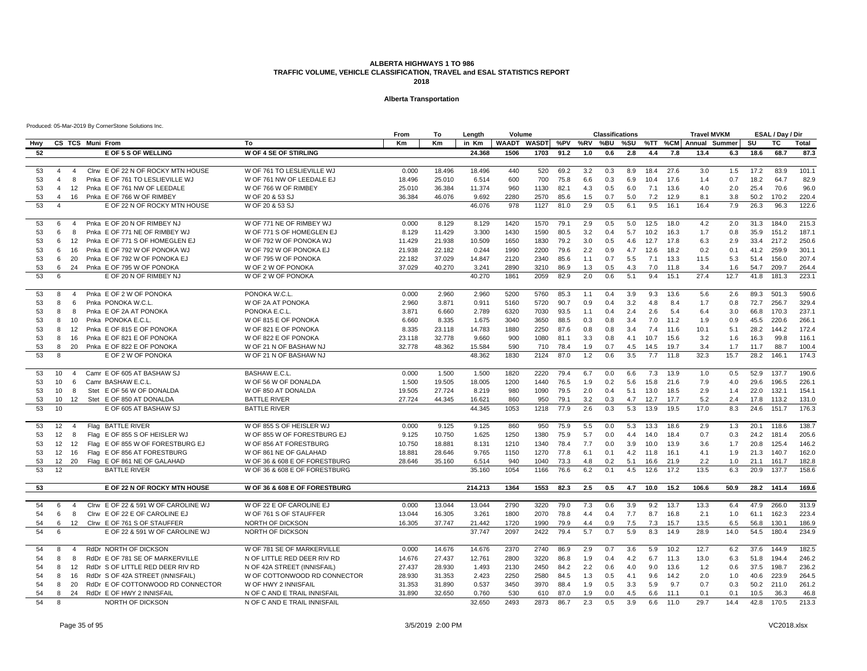### **Alberta Transportation**

|     |                  |                |                                     |                               | From   | То     | Length  | Volume       |              |      |     | <b>Classifications</b> |     |      |      | <b>Travel MVKM</b>    |      |      | ESAL / Day / Dir |       |
|-----|------------------|----------------|-------------------------------------|-------------------------------|--------|--------|---------|--------------|--------------|------|-----|------------------------|-----|------|------|-----------------------|------|------|------------------|-------|
| Hwy |                  |                | CS TCS Muni From                    | To                            | Km     | Кm     | in Km   | <b>WAADT</b> | <b>WASDT</b> | %PV  | %RV | %BU                    | %SU |      |      | %TT %CM Annual Summer |      | SU   | TC               | Total |
| 52  |                  |                | E OF 5 S OF WELLING                 | W OF 4 SE OF STIRLING         |        |        | 24.368  | 1506         | 1703         | 91.2 | 1.0 | 0.6                    | 2.8 | 4.4  | 7.8  | 13.4                  | 6.3  | 18.6 | 68.7             | 87.3  |
|     |                  |                |                                     |                               |        |        |         |              |              |      |     |                        |     |      |      |                       |      |      |                  |       |
| 53  | $\overline{4}$   | $\overline{4}$ | Cirw E OF 22 N OF ROCKY MTN HOUSE   | W OF 761 TO LESLIEVILLE WJ    | 0.000  | 18.496 | 18.496  | 440          | 520          | 69.2 | 3.2 | 0.3                    | 8.9 | 18.4 | 27.6 | 3.0                   | 1.5  | 17.2 | 83.9             | 101.1 |
| 53  | $\overline{a}$   | 8              | Pnka E OF 761 TO LESLIEVILLE WJ     | W OF 761 NW OF LEEDALE EJ     | 18.496 | 25.010 | 6.514   | 600          | 700          | 75.8 | 6.6 | 0.3                    | 6.9 | 10.4 | 17.6 | 1.4                   | 0.7  | 18.2 | 64.7             | 82.9  |
| 53  | $\overline{a}$   | 12             | Pnka E OF 761 NW OF LEEDALE         | W OF 766 W OF RIMBEY          | 25.010 | 36.384 | 11.374  | 960          | 1130         | 82.1 | 4.3 | 0.5                    | 6.0 | 7.1  | 13.6 | 4.0                   | 2.0  | 25.4 | 70.6             | 96.0  |
| 53  | $\overline{4}$   | 16             | Pnka E OF 766 W OF RIMBEY           | W OF 20 & 53 SJ               | 36.384 | 46.076 | 9.692   | 2280         | 2570         | 85.6 | 1.5 | 0.7                    | 5.0 | 7.2  | 12.9 | 8.1                   | 3.8  | 50.2 | 170.2            | 220.4 |
| 53  |                  |                | E OF 22 N OF ROCKY MTN HOUSE        | W OF 20 & 53 SJ               |        |        | 46.076  | 978          | 1127         | 81.0 | 2.9 | 0.5                    | 6.1 | 9.5  | 16.1 | 16.4                  | 7.9  | 26.3 | 96.3             | 122.6 |
| 53  | 6                | $\overline{4}$ | Pnka E OF 20 N OF RIMBEY NJ         | W OF 771 NE OF RIMBEY WJ      | 0.000  | 8.129  | 8.129   | 1420         | 1570         | 79.1 | 2.9 | 0.5                    | 5.0 | 12.5 | 18.0 | 4.2                   | 2.0  | 31.3 | 184.0            | 215.3 |
| 53  | 6                | 8              | Pnka E OF 771 NE OF RIMBEY WJ       | W OF 771 S OF HOMEGLEN EJ     | 8.129  | 11.429 | 3.300   | 1430         | 1590         | 80.5 | 3.2 | 0.4                    | 5.7 | 10.2 | 16.3 | 1.7                   | 0.8  | 35.9 | 151.2            | 187.1 |
| 53  | 6                | 12             | Pnka E OF 771 S OF HOMEGLEN EJ      | W OF 792 W OF PONOKA WJ       | 11.429 | 21.938 | 10.509  | 1650         | 1830         | 79.2 | 3.0 | 0.5                    | 4.6 | 12.7 | 17.8 | 6.3                   | 2.9  | 33.4 | 217.2            | 250.6 |
| 53  |                  | 16             | Pnka E OF 792 W OF PONOKA WJ        | W OF 792 W OF PONOKA EJ       | 21.938 | 22.182 | 0.244   | 1990         | 2200         | 79.6 | 2.2 | 0.9                    | 4.7 | 12.6 | 18.2 | 0.2                   | 0.1  | 41.2 | 259.9            | 301.1 |
| 53  | 6                | 20             | Pnka E OF 792 W OF PONOKA EJ        | W OF 795 W OF PONOKA          | 22.182 | 37.029 | 14.847  | 2120         | 2340         | 85.6 | 1.1 | 0.7                    | 5.5 | 7.1  | 13.3 | 11.5                  | 5.3  | 51.4 | 156.0            | 207.4 |
| 53  | 6                | 24             | Pnka E OF 795 W OF PONOKA           | W OF 2 W OF PONOKA            | 37.029 | 40.270 | 3.241   | 2890         | 3210         | 86.9 | 1.3 | 0.5                    | 4.3 | 7.0  | 11.8 | 3.4                   | 1.6  | 54.7 | 209.7            | 264.4 |
| 53  | ĥ                |                | E OF 20 N OF RIMBEY NJ              | W OF 2 W OF PONOKA            |        |        | 40.270  | 1861         | 2059         | 82.9 | 2.0 | 0.6                    | 5.1 | 9.4  | 15.1 | 27.4                  | 12.7 | 41.8 | 181.3            | 223.1 |
| 53  | 8                | $\mathbf{A}$   | Pnka E OF 2 W OF PONOKA             | PONOKA W.C.L.                 | 0.000  | 2.960  | 2.960   | 5200         | 5760         | 85.3 | 1.1 | 0.4                    | 3.9 | 9.3  | 13.6 | 5.6                   | 2.6  | 89.3 | 501.3            | 590.6 |
| 53  | 8                | 6              | Pnka PONOKA W.C.L                   | W OF 2A AT PONOKA             | 2.960  | 3.871  | 0.911   | 5160         | 5720         | 90.7 | 0.9 | 0.4                    | 3.2 | 4.8  | 8.4  | 1.7                   | 0.8  | 72.7 | 256.7            | 329.4 |
| 53  | 8                | 8              | Pnka E OF 2A AT PONOKA              | PONOKA E.C.L.                 | 3.871  | 6.660  | 2.789   | 6320         | 7030         | 93.5 | 1.1 | 0.4                    | 2.4 | 2.6  | 5.4  | 6.4                   | 3.0  | 66.8 | 170.3            | 237.1 |
| 53  | -8               | 10             | Pnka PONOKA E.C.L.                  | W OF 815 E OF PONOKA          | 6.660  | 8.335  | 1.675   | 3040         | 3650         | 88.5 | 0.3 | 0.8                    | 3.4 | 7.0  | 11.2 | 1.9                   | 0.9  | 45.5 | 220.6            | 266.1 |
| 53  | -8               | 12             | Pnka E OF 815 E OF PONOKA           | W OF 821 E OF PONOKA          | 8.335  | 23.118 | 14.783  | 1880         | 2250         | 87.6 | 0.8 | 0.8                    | 3.4 | 7.4  | 11.6 | 10.1                  | 5.1  | 28.2 | 144.2            | 172.4 |
| 53  | 8                | 16             | Pnka E OF 821 E OF PONOKA           | W OF 822 E OF PONOKA          | 23.118 | 32.778 | 9.660   | 900          | 1080         | 81.1 | 3.3 | 0.8                    | 4.1 | 10.7 | 15.6 | 3.2                   | 1.6  | 16.3 | 99.8             | 116.1 |
| 53  | 8                | 20             | Pnka E OF 822 E OF PONOKA           | W OF 21 N OF BASHAW NJ        | 32.778 | 48.362 | 15.584  | 590          | 710          | 78.4 | 1.9 | 0.7                    | 4.5 | 14.5 | 19.7 | 3.4                   | 1.7  | 11.7 | 88.7             | 100.4 |
| 53  | 8                |                | E OF 2 W OF PONOKA                  | W OF 21 N OF BASHAW NJ        |        |        | 48.362  | 1830         | 2124         | 87.0 | 1.2 | 0.6                    | 3.5 | 7.7  | 11.8 | 32.3                  | 15.7 | 28.2 | 146.1            | 174.3 |
| 53  | 10 <sup>10</sup> | $\overline{4}$ | Camr E OF 605 AT BASHAW SJ          | BASHAW E.C.L.                 | 0.000  | 1.500  | 1.500   | 1820         | 2220         | 79.4 | 6.7 | 0.0                    | 6.6 | 7.3  | 13.9 | 1.0                   | 0.5  | 52.9 | 137.7            | 190.6 |
| 53  | 10               | 6              | Camr BASHAW E.C.L.                  | W OF 56 W OF DONALDA          | 1.500  | 19.505 | 18.005  | 1200         | 1440         | 76.5 | 1.9 | 0.2                    | 5.6 | 15.8 | 21.6 | 7.9                   | 4.0  | 29.6 | 196.5            | 226.1 |
| 53  | 10               | 8              | Stet E OF 56 W OF DONALDA           | W OF 850 AT DONALDA           | 19.505 | 27.724 | 8.219   | 980          | 1090         | 79.5 | 2.0 | 0.4                    | 5.1 | 13.0 | 18.5 | 2.9                   | 1.4  | 22.0 | 132.1            | 154.1 |
| 53  | 10               | 12             | Stet E OF 850 AT DONALDA            | <b>BATTLE RIVER</b>           | 27.724 | 44.345 | 16.621  | 860          | 950          | 79.1 | 3.2 | 0.3                    | 4.7 | 12.7 | 17.7 | 5.2                   | 2.4  | 17.8 | 113.2            | 131.0 |
| 53  | 10 <sup>1</sup>  |                | E OF 605 AT BASHAW SJ               | <b>BATTLE RIVER</b>           |        |        | 44.345  | 1053         | 1218         | 77.9 | 2.6 | 0.3                    | 5.3 | 13.9 | 19.5 | 17.0                  | 8.3  | 24.6 | 151.7            | 176.3 |
| 53  | 12               | $\overline{4}$ | Flag BATTLE RIVER                   | W OF 855 S OF HEISLER WJ      | 0.000  | 9.125  | 9.125   | 860          | 950          | 75.9 | 5.5 | 0.0                    | 5.3 | 13.3 | 18.6 | 2.9                   | 1.3  |      | 20.1 118.6       | 138.7 |
| 53  | 12               | 8              | Flag E OF 855 S OF HEISLER WJ       | W OF 855 W OF FORESTBURG EJ   | 9.125  | 10.750 | 1.625   | 1250         | 1380         | 75.9 | 5.7 | 0.0                    | 4.4 | 14.0 | 18.4 | 0.7                   | 0.3  | 24.2 | 181.4            | 205.6 |
| 53  | 12               | 12             | Flag E OF 855 W OF FORESTBURG EJ    | W OF 856 AT FORESTBURG        | 10.750 | 18.881 | 8.131   | 1210         | 1340         | 78.4 | 7.7 | 0.0                    | 3.9 | 10.0 | 13.9 | 3.6                   | 1.7  | 20.8 | 125.4            | 146.2 |
| 53  | 12               | 16             | Flag E OF 856 AT FORESTBURG         | W OF 861 NE OF GALAHAD        | 18.881 | 28.646 | 9.765   | 1150         | 1270         | 77.8 | 6.1 | 0.1                    | 4.2 | 11.8 | 16.1 | 4.1                   | 1.9  | 21.3 | 140.7            | 162.0 |
| 53  | 12               | 20             | Flag E OF 861 NE OF GALAHAD         | W OF 36 & 608 E OF FORESTBURG | 28.646 | 35.160 | 6.514   | 940          | 1040         | 73.3 | 4.8 | 0.2                    | 5.1 | 16.6 | 21.9 | 2.2                   | 1.0  | 21.1 | 161.7            | 182.8 |
| 53  | 12               |                | <b>BATTLE RIVER</b>                 | W OF 36 & 608 E OF FORESTBURG |        |        | 35.160  | 1054         | 1166         | 76.6 | 6.2 | 0.1                    | 4.5 | 12.6 | 17.2 | 13.5                  | 6.3  | 20.9 | 137.7            | 158.6 |
| 53  |                  |                | E OF 22 N OF ROCKY MTN HOUSE        | W OF 36 & 608 E OF FORESTBURG |        |        | 214.213 | 1364         | 1553         | 82.3 | 2.5 | 0.5                    | 4.7 | 10.0 | 15.2 | 106.6                 | 50.9 | 28.2 | 141.4            | 169.6 |
|     |                  |                |                                     |                               |        |        |         |              |              |      |     |                        |     |      |      |                       |      |      |                  |       |
| 54  | 6                | $\overline{4}$ | Cirw E OF 22 & 591 W OF CAROLINE WJ | W OF 22 E OF CAROLINE EJ      | 0.000  | 13.044 | 13.044  | 2790         | 3220         | 79.0 | 7.3 | 0.6                    | 3.9 | 9.2  | 13.7 | 13.3                  | 6.4  | 47.9 | 266.0            | 313.9 |
| 54  | 6                | 8              | CIrw E OF 22 E OF CAROLINE EJ       | W OF 761 S OF STAUFFER        | 13.044 | 16.305 | 3.261   | 1800         | 2070         | 78.8 | 4.4 | 0.4                    | 7.7 | 8.7  | 16.8 | 2.1                   | 1.0  | 61.1 | 162.3            | 223.4 |
| 54  | 6                | 12             | CIrw E OF 761 S OF STAUFFER         | NORTH OF DICKSON              | 16.305 | 37.747 | 21.442  | 1720         | 1990         | 79.9 | 4.4 | 0.9                    | 7.5 | 7.3  | 15.7 | 13.5                  | 6.5  | 56.8 | 130.1            | 186.9 |
| 54  | 6                |                | E OF 22 & 591 W OF CAROLINE WJ      | NORTH OF DICKSON              |        |        | 37.747  | 2097         | 2422         | 79.4 | 5.7 | 0.7                    | 5.9 | 8.3  | 14.9 | 28.9                  | 14.0 | 54.5 | 180.4            | 234.9 |
| 54  | 8                | $\overline{4}$ | RdDr NORTH OF DICKSON               | W OF 781 SE OF MARKERVILLE    | 0.000  | 14.676 | 14.676  | 2370         | 2740         | 86.9 | 2.9 | 0.7                    | 3.6 | 5.9  | 10.2 | 12.7                  | 6.2  | 37.6 | 144.9            | 182.5 |
| 54  | 8                | 8              | RdDr E OF 781 SE OF MARKERVILLE     | N OF LITTLE RED DEER RIV RD   | 14.676 | 27.437 | 12.761  | 2800         | 3220         | 86.8 | 1.9 | 0.4                    | 4.2 | 6.7  | 11.3 | 13.0                  | 6.3  | 51.8 | 194.4            | 246.2 |
| 54  | 8                | 12             | RdDr S OF LITTLE RED DEER RIV RD    | N OF 42A STREET (INNISFAIL)   | 27.437 | 28.930 | 1.493   | 2130         | 2450         | 84.2 | 2.2 | 0.6                    | 4.0 | 9.0  | 13.6 | 1.2                   | 0.6  | 37.5 | 198.7            | 236.2 |
| 54  | 8                | 16             | RdDr S OF 42A STREET (INNISFAIL)    | W OF COTTONWOOD RD CONNECTOR  | 28.930 | 31.353 | 2.423   | 2250         | 2580         | 84.5 | 1.3 | 0.5                    | 4.1 | 9.6  | 14.2 | 2.0                   | 1.0  | 40.6 | 223.9            | 264.5 |
| 54  | 8                | -20            | RdDr E OF COTTONWOOD RD CONNECTOR   | W OF HWY 2 INNISFAIL          | 31.353 | 31.890 | 0.537   | 3450         | 3970         | 88.4 | 1.9 | 0.5                    | 3.3 | 5.9  | 9.7  | 0.7                   | 0.3  | 50.2 | 211.0            | 261.2 |
| 54  | 8                | 24             | RdDr E OF HWY 2 INNISFAIL           | N OF C AND E TRAIL INNISFAIL  | 31.890 | 32.650 | 0.760   | 530          | 610          | 87.0 | 1.9 | 0.0                    | 4.5 | 6.6  | 11.1 | 0.1                   | 0.1  | 10.5 | 36.3             | 46.8  |
| 54  | 8                |                | NORTH OF DICKSON                    | N OF C AND E TRAIL INNISFAIL  |        |        | 32.650  | 2493         | 2873         | 86.7 | 2.3 | 0.5                    | 3.9 | 6.6  | 11.0 | 29.7                  | 14.4 | 42.8 | 170.5            | 213.3 |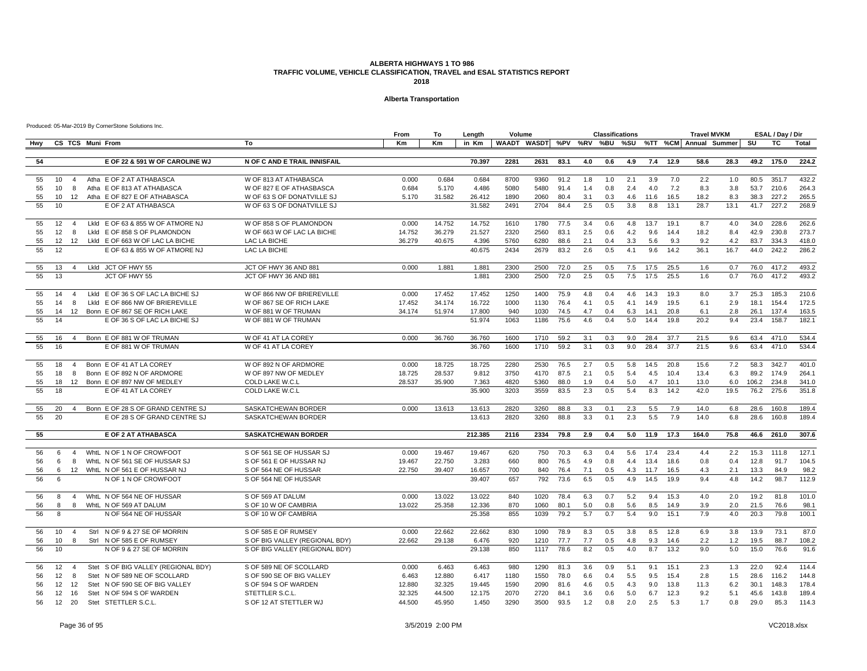### **Alberta Transportation**

|          |                                       |                                                                |                                                   | From            | To               | Length          | Volume       |              |              |            | <b>Classifications</b> |            |            |              | <b>Travel MVKM</b>                                |            |              | ESAL / Day / Dir |                |
|----------|---------------------------------------|----------------------------------------------------------------|---------------------------------------------------|-----------------|------------------|-----------------|--------------|--------------|--------------|------------|------------------------|------------|------------|--------------|---------------------------------------------------|------------|--------------|------------------|----------------|
| Hwy      | CS TCS Muni From                      |                                                                | To                                                | Km              | Кm               | in Km           |              |              |              |            |                        |            |            |              | WAADT WASDT %PV %RV %BU %SU %TT %CM Annual Summer |            | SU           | TC               | Total          |
|          |                                       |                                                                |                                                   |                 |                  |                 |              |              |              |            |                        |            |            |              |                                                   |            |              |                  |                |
| 54       |                                       | E OF 22 & 591 W OF CAROLINE WJ                                 | N OF C AND E TRAIL INNISFAIL                      |                 |                  | 70.397          | 2281         | 2631         | 83.1         | 4.0        | 0.6                    | 4.9        | 7.4        | 12.9         | 58.6                                              | 28.3       |              | 49.2 175.0       | 224.2          |
| 55       | 10 <sup>1</sup><br>$\mathbf{\Lambda}$ | Atha E OF 2 AT ATHABASCA                                       | W OF 813 AT ATHABASCA                             | 0.000           | 0.684            | 0.684           | 8700         | 9360         | 91.2         | 1.8        | 1.0                    | 2.1        | 3.9        | 7.0          | 2.2                                               | 1.0        | 80.5         | 351.7            | 432.2          |
| 55       | 10 <sup>10</sup><br>8                 | Atha E OF 813 AT ATHABASCA                                     | W OF 827 E OF ATHASBASCA                          | 0.684           | 5.170            | 4.486           | 5080         | 5480         | 91.4         | 1.4        | 0.8                    | 2.4        | 4.0        | 7.2          | 8.3                                               | 3.8        | 53.7         | 210.6            | 264.3          |
| 55       | 10 <sup>10</sup><br>12                | Atha E OF 827 E OF ATHABASCA                                   | W OF 63 S OF DONATVILLE SJ                        | 5.170           | 31.582           | 26.412          | 1890         | 2060         | 80.4         | 3.1        | 0.3                    | 4.6        | 11.6       | 16.5         | 18.2                                              | 8.3        | 38.3         | 227.2            | 265.5          |
| 55       | 10                                    | E OF 2 AT ATHABASCA                                            | W OF 63 S OF DONATVILLE SJ                        |                 |                  | 31.582          | 2491         | 2704         | 84.4         | 2.5        | 0.5                    | 3.8        | 8.8        | 13.1         | 28.7                                              | 13.1       | 41.7         | 227.2            | 268.9          |
|          |                                       |                                                                |                                                   |                 |                  |                 |              |              |              |            |                        |            |            |              |                                                   |            |              |                  |                |
| 55       | 12<br>$\overline{4}$                  | Lkld E OF 63 & 855 W OF ATMORE NJ                              | W OF 858 S OF PLAMONDON                           | 0.000           | 14.752           | 14.752          | 1610         | 1780         | 77.5         | 3.4        | 0.6                    | 4.8        | 13.7       | 19.1         | 8.7                                               | 4.0        | 34.0         | 228.6            | 262.6          |
| 55       | 12 <sup>2</sup><br>8                  | LkId E OF 858 S OF PLAMONDON                                   | W OF 663 W OF LAC LA BICHE                        | 14.752          | 36.279           | 21.527          | 2320         | 2560         | 83.1         | 2.5        | 0.6                    | 4.2        | 9.6        | 14.4         | 18.2                                              | 8.4        | 42.9         | 230.8            | 273.7          |
| 55       | $12 \overline{ }$<br>12               | LkId E OF 663 W OF LAC LA BICHE                                | LAC LA BICHE                                      | 36.279          | 40.675           | 4.396           | 5760         | 6280         | 88.6         | 2.1        | 0.4                    | 3.3        | 5.6        | 9.3          | 9.2                                               | 4.2        | 83.7         | 334.3            | 418.0          |
| 55       | 12                                    | E OF 63 & 855 W OF ATMORE NJ                                   | LAC LA BICHE                                      |                 |                  | 40.675          | 2434         | 2679         | 83.2         | 2.6        | 0.5                    | 4.1        | 9.6        | 14.2         | 36.1                                              | 16.7       | 44.0         | 242.2            | 286.2          |
| 55       | 13<br>$\overline{4}$                  | Lkld JCT OF HWY 55                                             | JCT OF HWY 36 AND 881                             | 0.000           | 1.881            | 1.881           | 2300         | 2500         | 72.0         | 2.5        | 0.5                    | 7.5        | 17.5       | 25.5         | 1.6                                               | 0.7        | 76.0         | 417.2            | 493.2          |
| 55       | 13                                    | JCT OF HWY 55                                                  | JCT OF HWY 36 AND 881                             |                 |                  | 1.881           | 2300         | 2500         | 72.0         | 2.5        | 0.5                    | 7.5        | 17.5       | 25.5         | 1.6                                               | 0.7        | 76.0         | 417.2            | 493.2          |
|          |                                       |                                                                |                                                   |                 |                  |                 |              |              |              |            |                        |            |            |              |                                                   |            |              |                  |                |
| 55       | 14<br>$\overline{4}$                  | LkId E OF 36 S OF LAC LA BICHE SJ                              | W OF 866 NW OF BRIEREVILLE                        | 0.000           | 17.452           | 17.452          | 1250         | 1400         | 75.9         | 4.8        | 0.4                    | 4.6        | 14.3       | 19.3         | 8.0                                               | 3.7        | 25.3         | 185.3            | 210.6          |
| 55       | 14<br>-8                              | LkId E OF 866 NW OF BRIEREVILLE                                | W OF 867 SE OF RICH LAKE                          | 17.452          | 34.174           | 16.722          | 1000         | 1130         | 76.4         | 4.1        | 0.5                    | 4.1        | 14.9       | 19.5         | 6.1                                               | 2.9        | 18.1         | 154.4            | 172.5          |
| 55       | 14                                    | 12 Bonn E OF 867 SE OF RICH LAKE                               | W OF 881 W OF TRUMAN                              | 34.174          | 51.974           | 17.800          | 940          | 1030         | 74.5         | 4.7        | 0.4                    | 6.3        | 14.1       | 20.8         | 6.1                                               | 2.8        | 26.1         | 137.4            | 163.5          |
| 55       | 14                                    | E OF 36 S OF LAC LA BICHE SJ                                   | W OF 881 W OF TRUMAN                              |                 |                  | 51.974          | 1063         | 1186         | 75.6         | 4.6        | 0.4                    | 5.0        | 14.4       | 19.8         | 20.2                                              | 9.4        | 23.4         | 158.7            | 182.1          |
| 55       | 16<br>$\overline{4}$                  | Bonn E OF 881 W OF TRUMAN                                      | W OF 41 AT LA COREY                               | 0.000           | 36.760           | 36.760          | 1600         | 1710         | 59.2         | 3.1        | 0.3                    | 9.0        | 28.4       | 37.7         | 21.5                                              | 9.6        | 63.4         | 471.0            | 534.4          |
| 55       | 16                                    | E OF 881 W OF TRUMAN                                           | W OF 41 AT LA COREY                               |                 |                  | 36.760          | 1600         | 1710         | 59.2         | 3.1        | 0.3                    | 9.0        | 28.4       | 37.7         | 21.5                                              | 9.6        | 63.4         | 471.0            | 534.4          |
| 55       | 18<br>$\overline{4}$                  | Bonn E OF 41 AT LA COREY                                       | W OF 892 N OF ARDMORE                             | 0.000           | 18.725           | 18.725          | 2280         | 2530         | 76.5         | 2.7        | 0.5                    | 5.8        | 14.5       | 20.8         | 15.6                                              | 7.2        | 58.3         | 342.7            | 401.0          |
| 55       | 18<br>8                               | Bonn E OF 892 N OF ARDMORE                                     | W OF 897 NW OF MEDLEY                             | 18.725          | 28.537           | 9.812           | 3750         | 4170         | 87.5         | 2.1        | 0.5                    | 5.4        | 4.5        | 10.4         | 13.4                                              | 6.3        | 89.2         | 174.9            | 264.1          |
| 55       | 18                                    | 12 Bonn E OF 897 NW OF MEDLEY                                  | COLD LAKE W.C.L                                   | 28.537          | 35.900           | 7.363           | 4820         | 5360         | 88.0         | 1.9        | 0.4                    | 5.0        | 4.7        | 10.1         | 13.0                                              | 6.0        | 106.2        | 234.8            | 341.0          |
| 55       | 18                                    | E OF 41 AT LA COREY                                            | COLD LAKE W.C.L                                   |                 |                  | 35.900          | 3203         | 3559         | 83.5         | 2.3        | 0.5                    | 5.4        | 8.3        | 14.2         | 42.0                                              | 19.5       | 76.2         | 275.6            | 351.8          |
|          |                                       |                                                                |                                                   |                 |                  |                 |              |              |              |            |                        |            |            |              |                                                   |            |              |                  |                |
| 55       | 20<br>$\overline{4}$                  | Bonn E OF 28 S OF GRAND CENTRE SJ                              | SASKATCHEWAN BORDER                               | 0.000           | 13.613           | 13.613          | 2820         | 3260         | 88.8         | 3.3        | 0.1                    | 2.3        | 5.5        | 7.9          | 14.0                                              | 6.8        | 28.6         | 160.8            | 189.4          |
| 55       | 20                                    | E OF 28 S OF GRAND CENTRE SJ                                   | SASKATCHEWAN BORDER                               |                 |                  | 13.613          | 2820         | 3260         | 88.8         | 3.3        | 0.1                    | 2.3        | 5.5        | 7.9          | 14.0                                              | 6.8        | 28.6         | 160.8            | 189.4          |
| 55       |                                       | E OF 2 AT ATHABASCA                                            | <b>SASKATCHEWAN BORDER</b>                        |                 |                  | 212.385         | 2116         | 2334         | 79.8         | 2.9        | 0.4                    | 5.0        | 11.9       | 17.3         | 164.0                                             | 75.8       | 46.6         | 261.0            | 307.6          |
|          |                                       |                                                                |                                                   |                 |                  |                 |              |              |              |            |                        |            |            |              |                                                   |            |              |                  |                |
| 56       | 6<br>$\overline{4}$                   | WhtL N OF 1 N OF CROWFOOT                                      | S OF 561 SE OF HUSSAR SJ                          | 0.000           | 19.467           | 19.467          | 620          | 750          | 70.3         | 6.3        | 0.4                    | 5.6        | 17.4       | 23.4         | 4.4                                               | 2.2        | 15.3         | 111.8            | 127.1          |
| 56       | 6<br>8                                | WhtL N OF 561 SE OF HUSSAR SJ                                  | S OF 561 E OF HUSSAR NJ                           | 19.467          | 22.750           | 3.283           | 660          | 800          | 76.5         | 4.9        | 0.8                    | 4.4        | 13.4       | 18.6         | 0.8                                               | 0.4        | 12.8         | 91.7             | 104.5          |
| 56       | 6<br>12                               | WhtL N OF 561 E OF HUSSAR NJ                                   | S OF 564 NE OF HUSSAR                             | 22.750          | 39,407           | 16.657          | 700          | 840          | 76.4         | 7.1        | 0.5                    | 4.3        | 11.7       | 16.5         | 4.3                                               | 2.1        | 13.3         | 84.9             | 98.2           |
| 56       | 6                                     | N OF 1 N OF CROWFOOT                                           | S OF 564 NE OF HUSSAR                             |                 |                  | 39.407          | 657          | 792          | 73.6         | 6.5        | 0.5                    | 4.9        | 14.5       | 19.9         | 9.4                                               | 4.8        | 14.2         | 98.7             | 112.9          |
| 56       | 8<br>$\overline{4}$                   | WhtL N OF 564 NE OF HUSSAR                                     | S OF 569 AT DALUM                                 | 0.000           | 13.022           | 13.022          | 840          | 1020         | 78.4         | 6.3        | 0.7                    | 5.2        | 9.4        | 15.3         | 4.0                                               | 2.0        | 19.2         | 81.8             | 101.0          |
| 56       | 8<br>8                                | WhtL N OF 569 AT DALUM                                         | S OF 10 W OF CAMBRIA                              | 13.022          | 25.358           | 12.336          | 870          | 1060         | 80.1         | 5.0        | 0.8                    | 5.6        | 8.5        | 14.9         | 3.9                                               | 2.0        | 21.5         | 76.6             | 98.1           |
| 56       | 8                                     | N OF 564 NE OF HUSSAR                                          | S OF 10 W OF CAMBRIA                              |                 |                  | 25.358          | 855          | 1039         | 79.2         | 5.7        | 0.7                    | 5.4        | 9.0        | 15.1         | 7.9                                               | 4.0        | 20.3         | 79.8             | 100.1          |
| 56       | 10<br>$\overline{4}$                  | Strl N OF 9 & 27 SE OF MORRIN                                  | S OF 585 E OF RUMSEY                              | 0.000           | 22.662           | 22.662          | 830          | 1090         | 78.9         | 8.3        | 0.5                    | 3.8        | 8.5        | 12.8         | 6.9                                               | 3.8        | 13.9         | 73.1             | 87.0           |
| 56       | 10<br>8                               | Strl N OF 585 E OF RUMSEY                                      | S OF BIG VALLEY (REGIONAL BDY)                    | 22.662          | 29.138           | 6.476           | 920          | 1210         | 77.7         | 7.7        | 0.5                    | 4.8        | 9.3        | 14.6         | 2.2                                               | 1.2        | 19.5         | 88.7             | 108.2          |
| 56       | 10 <sup>1</sup>                       | N OF 9 & 27 SE OF MORRIN                                       | S OF BIG VALLEY (REGIONAL BDY)                    |                 |                  | 29.138          | 850          | 1117         | 78.6         | 8.2        | 0.5                    | 4.0        | 8.7        | 13.2         | 9.0                                               | 5.0        | 15.0         | 76.6             | 91.6           |
|          |                                       |                                                                |                                                   |                 |                  |                 |              |              |              |            |                        |            |            |              |                                                   |            |              |                  |                |
| 56       | $12 \overline{ }$<br>$\overline{4}$   | Stet S OF BIG VALLEY (REGIONAL BDY)                            | S OF 589 NE OF SCOLLARD                           | 0.000           | 6.463            | 6.463           | 980          | 1290         | 81.3         | 3.6        | 0.9                    | 5.1        | 9.1        | 15.1         | 2.3                                               | 1.3        | 22.0         | 92.4             | 114.4          |
| 56       | 12<br>8<br>$12 \overline{ }$          | Stet N OF 589 NE OF SCOLLARD<br>Stet N OF 590 SE OF BIG VALLEY | S OF 590 SE OF BIG VALLEY<br>S OF 594 S OF WARDEN | 6.463<br>12.880 | 12.880<br>32.325 | 6.417<br>19.445 | 1180<br>1590 | 1550         | 78.0         | 6.6        | 0.4                    | 5.5        | 9.5        | 15.4<br>13.8 | 2.8<br>11.3                                       | 1.5        | 28.6<br>30.1 | 116.2<br>148.3   | 144.8<br>178.4 |
| 56<br>56 | 12<br>12<br>16                        | Stet N OF 594 S OF WARDEN                                      | STETTLER S.C.L                                    | 32.325          | 44.500           | 12.175          | 2070         | 2090<br>2720 | 81.6<br>84.1 | 4.6<br>3.6 | 0.5<br>0.6             | 4.3<br>5.0 | 9.0<br>6.7 | 12.3         | 9.2                                               | 6.2<br>5.1 | 45.6         | 143.8            | 189.4          |
| 56       | 12 20                                 | Stet STETTLER S.C.L.                                           | S OF 12 AT STETTLER WJ                            | 44.500          | 45.950           | 1.450           | 3290         | 3500         | 93.5         | 1.2        | 0.8                    | 2.0        | 2.5        | 5.3          | 1.7                                               | 0.8        | 29.0         | 85.3             | 114.3          |
|          |                                       |                                                                |                                                   |                 |                  |                 |              |              |              |            |                        |            |            |              |                                                   |            |              |                  |                |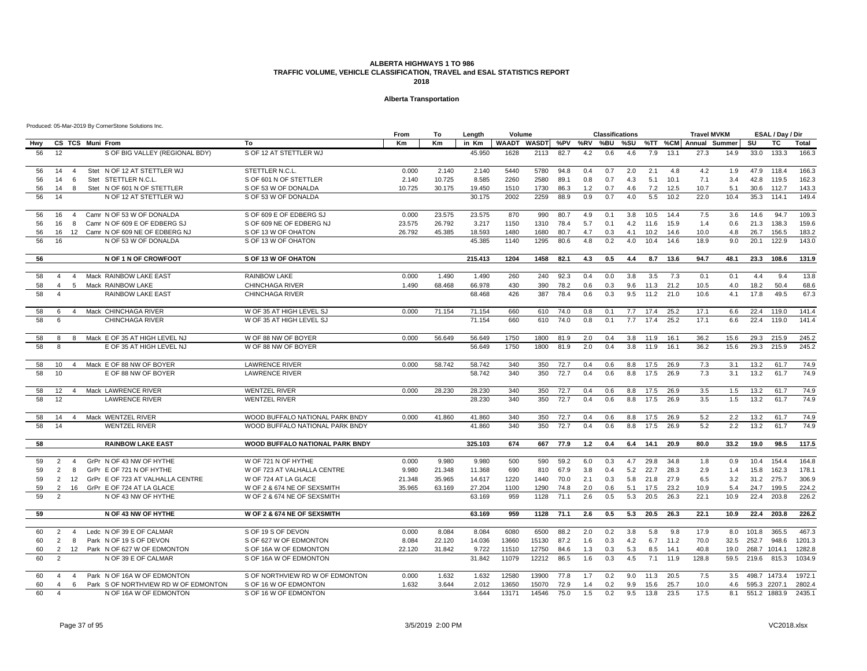#### **Alberta Transportation**

|     |                |                    |                  |                                      |                                 | From   | To     | Length  | Volume |                 |      |     | <b>Classifications</b> |     |      |      | <b>Travel MVKM</b> |                       |              | ESAL / Day / Dir |        |
|-----|----------------|--------------------|------------------|--------------------------------------|---------------------------------|--------|--------|---------|--------|-----------------|------|-----|------------------------|-----|------|------|--------------------|-----------------------|--------------|------------------|--------|
| Hwy |                |                    | CS TCS Muni From |                                      | To                              | Km     | Кm     | in Km   |        | WAADT WASDT %PV |      | %RV | %BU                    | %SU |      |      |                    | %TT %CM Annual Summer | SU           | <b>TC</b>        | Total  |
| 56  | 12             |                    |                  | S OF BIG VALLEY (REGIONAL BDY)       | S OF 12 AT STETTLER WJ          |        |        | 45.950  | 1628   | 2113            | 82.7 | 4.2 | 0.6                    | 4.6 | 7.9  | 13.1 | 27.3               | 14.9                  | 33.0         | 133.3            | 166.3  |
| 56  | 14             | $\overline{4}$     |                  | Stet N OF 12 AT STETTLER WJ          | STETTLER N.C.L.                 | 0.000  | 2.140  | 2.140   | 5440   | 5780            | 94.8 | 0.4 | 0.7                    | 2.0 | 2.1  | 4.8  | 4.2                | 1.9                   | 47.9         | 118.4            | 166.3  |
| 56  | 14             | 6                  |                  | Stet STETTLER N.C.L.                 | S OF 601 N OF STETTLER          | 2.140  | 10.725 | 8.585   | 2260   | 2580            | 89.1 | 0.8 | 0.7                    | 4.3 | 5.1  | 10.1 | 7.1                | 3.4                   | 42.8         | 119.5            | 162.3  |
| 56  | 14             | 8                  |                  | Stet N OF 601 N OF STETTLER          | S OF 53 W OF DONALDA            | 10.725 | 30.175 | 19.450  | 1510   | 1730            | 86.3 | 1.2 | 0.7                    | 4.6 | 7.2  | 12.5 | 10.7               | 5.1                   | 30.6         | 112.7            | 143.3  |
| 56  | 14             |                    |                  | N OF 12 AT STETTLER WJ               | S OF 53 W OF DONALDA            |        |        | 30.175  | 2002   | 2259            | 88.9 | 0.9 | 0.7                    | 4.0 | 5.5  | 10.2 | 22.0               | 10.4                  | 35.3         | 114.1            | 149.4  |
| 56  | 16             | $\overline{4}$     |                  | Camr N OF 53 W OF DONALDA            | S OF 609 E OF EDBERG SJ         | 0.000  | 23.575 | 23.575  | 870    | 990             | 80.7 | 4.9 | 0.1                    | 3.8 | 10.5 | 14.4 | 7.5                | 3.6                   | 14.6         | 94.7             | 109.3  |
| 56  | 16             | 8                  |                  | Camr N OF 609 E OF EDBERG SJ         | S OF 609 NE OF EDBERG NJ        | 23.575 | 26.792 | 3.217   | 1150   | 1310            | 78.4 | 5.7 | 0.1                    | 4.2 | 11.6 | 15.9 | 1.4                | 0.6                   | 21.3         | 138.3            | 159.6  |
| 56  | 16             |                    |                  | 12 Camr N OF 609 NE OF EDBERG NJ     | S OF 13 W OF OHATON             | 26.792 | 45.385 | 18.593  | 1480   | 1680            | 80.7 | 4.7 | 0.3                    | 4.1 | 10.2 | 14.6 | 10.0               | 4.8                   | 26.7         | 156.5            | 183.2  |
| 56  | 16             |                    |                  | N OF 53 W OF DONALDA                 | S OF 13 W OF OHATON             |        |        | 45.385  | 1140   | 1295            | 80.6 | 4.8 | 0.2                    | 4.0 | 10.4 | 14.6 | 18.9               | 9.0                   | 20.1         | 122.9            | 143.0  |
| 56  |                |                    |                  | N OF 1 N OF CROWFOOT                 | S OF 13 W OF OHATON             |        |        | 215.413 | 1204   | 1458            | 82.1 | 4.3 | 0.5                    | 4.4 | 8.7  | 13.6 | 94.7               | 48.1                  | 23.3         | 108.6            | 131.9  |
| 58  | $\overline{4}$ | $\overline{4}$     |                  | Mack RAINBOW LAKE EAST               | <b>RAINBOW LAKE</b>             | 0.000  | 1.490  | 1.490   | 260    | 240             | 92.3 | 0.4 | 0.0                    | 3.8 | 3.5  | 7.3  | 0.1                | 0.1                   | 4.4          | 9.4              | 13.8   |
| 58  | $\overline{4}$ | 5                  |                  | Mack RAINBOW LAKE                    | <b>CHINCHAGA RIVER</b>          | 1.490  | 68.468 | 66.978  | 430    | 390             | 78.2 | 0.6 | 0.3                    | 9.6 | 11.3 | 21.2 | 10.5               | 4.0                   | 18.2         | 50.4             | 68.6   |
| 58  | $\overline{4}$ |                    |                  | <b>RAINBOW LAKE EAST</b>             | <b>CHINCHAGA RIVER</b>          |        |        | 68.468  | 426    | 387             | 78.4 | 0.6 | 0.3                    | 9.5 | 11.2 | 21.0 | 10.6               | 4.1                   | 17.8         | 49.5             | 67.3   |
| 58  | 6              | $\overline{4}$     |                  | Mack CHINCHAGA RIVER                 | W OF 35 AT HIGH LEVEL SJ        | 0.000  | 71.154 | 71.154  | 660    | 610             | 74.0 | 0.8 | 0.1                    | 7.7 | 17.4 | 25.2 | 17.1               | 6.6                   | 22.4         | 119.0            | 141.4  |
| 58  | 6              |                    |                  | <b>CHINCHAGA RIVER</b>               | W OF 35 AT HIGH LEVEL SJ        |        |        | 71.154  | 660    | 610             | 74.0 | 0.8 | 0.1                    | 7.7 | 17.4 | 25.2 | 17.1               | 6.6                   | 22.4         | 119.0            | 141.4  |
|     |                |                    |                  |                                      |                                 |        |        |         |        |                 |      |     |                        |     |      |      |                    |                       |              |                  |        |
| 58  | 8              | 8                  |                  | Mack E OF 35 AT HIGH LEVEL NJ        | W OF 88 NW OF BOYER             | 0.000  | 56.649 | 56.649  | 1750   | 1800            | 81.9 | 2.0 | 0.4                    | 3.8 | 11.9 | 16.1 | 36.2               | 15.6                  | 29.3         | 215.9            | 245.2  |
| 58  | 8              |                    |                  | E OF 35 AT HIGH LEVEL NJ             | W OF 88 NW OF BOYER             |        |        | 56.649  | 1750   | 1800            | 81.9 | 2.0 | 0.4                    | 3.8 | 11.9 | 16.1 | 36.2               | 15.6                  | 29.3         | 215.9            | 245.2  |
| 58  | 10             | $\overline{4}$     |                  | Mack E OF 88 NW OF BOYER             | <b>LAWRENCE RIVER</b>           | 0.000  | 58.742 | 58.742  | 340    | 350             | 72.7 | 0.4 | 0.6                    | 8.8 | 17.5 | 26.9 | 7.3                | 3.1                   | 13.2         | 61.7             | 74.9   |
| 58  | 10             |                    |                  | E OF 88 NW OF BOYER                  | <b>LAWRENCE RIVER</b>           |        |        | 58.742  | 340    | 350             | 72.7 | 0.4 | 0.6                    | 8.8 | 17.5 | 26.9 | 7.3                | 3.1                   | 13.2         | 61.7             | 74.9   |
| 58  | 12             | $\overline{4}$     |                  | Mack LAWRENCE RIVER                  | <b>WENTZEL RIVER</b>            | 0.000  | 28.230 | 28.230  | 340    | 350             | 72.7 | 0.4 | 0.6                    | 8.8 | 17.5 | 26.9 | 3.5                | 1.5                   | 13.2         | 61.7             | 74.9   |
| 58  | 12             |                    |                  | <b>LAWRENCE RIVER</b>                | <b>WENTZEL RIVER</b>            |        |        | 28.230  | 340    | 350             | 72.7 | 0.4 | 0.6                    | 8.8 | 17.5 | 26.9 | 3.5                | 1.5                   | 13.2         | 61.7             | 74.9   |
| 58  | 14             | $\overline{4}$     |                  | Mack WENTZEL RIVER                   | WOOD BUFFALO NATIONAL PARK BNDY | 0.000  | 41.860 | 41.860  | 340    | 350             | 72.7 | 0.4 | 0.6                    | 8.8 | 17.5 | 26.9 | 5.2                | 2.2                   | 13.2         | 61.7             | 74.9   |
| 58  | 14             |                    |                  | <b>WENTZEL RIVER</b>                 | WOOD BUFFALO NATIONAL PARK BNDY |        |        | 41.860  | 340    | 350             | 72.7 | 0.4 | 0.6                    | 8.8 | 17.5 | 26.9 | 5.2                | 2.2                   | 13.2         | 61.7             | 74.9   |
| 58  |                |                    |                  | <b>RAINBOW LAKE EAST</b>             | WOOD BUFFALO NATIONAL PARK BNDY |        |        | 325.103 | 674    | 667             | 77.9 | 1.2 | 0.4                    | 6.4 | 14.1 | 20.9 | 80.0               | 33.2                  | 19.0         | 98.5             | 117.5  |
| 59  | 2              | $\overline{4}$     |                  | GrPr N OF 43 NW OF HYTHE             | W OF 721 N OF HYTHE             | 0.000  | 9.980  | 9.980   | 500    | 590             | 59.2 | 6.0 | 0.3                    | 4.7 | 29.8 | 34.8 | 1.8                | 0.9                   | 10.4         | 154.4            | 164.8  |
| 59  | $\overline{2}$ | 8                  |                  | GrPr E OF 721 N OF HYTHE             | W OF 723 AT VALHALLA CENTRE     | 9.980  | 21.348 | 11.368  | 690    | 810             | 67.9 | 3.8 | 0.4                    | 5.2 | 22.7 | 28.3 | 2.9                | 1.4                   | 15.8         | 162.3            | 178.1  |
| 59  | 2              | 12                 |                  | GrPr E OF 723 AT VALHALLA CENTRE     | W OF 724 AT LA GLACE            | 21.348 | 35.965 | 14.617  | 1220   | 1440            | 70.0 | 2.1 | 0.3                    | 5.8 | 21.8 | 27.9 | 6.5                | 3.2                   | 31.2         | 275.7            | 306.9  |
| 59  | 2              | 16                 |                  | GrPr E OF 724 AT LA GLACE            | W OF 2 & 674 NE OF SEXSMITH     | 35.965 | 63.169 | 27.204  | 1100   | 1290            | 74.8 | 2.0 | 0.6                    | 5.1 | 17.5 | 23.2 | 10.9               | 5.4                   | 24.7         | 199.5            | 224.2  |
| 59  | $\mathfrak{D}$ |                    |                  | N OF 43 NW OF HYTHE                  | W OF 2 & 674 NE OF SEXSMITH     |        |        | 63.169  | 959    | 1128            | 71.1 | 2.6 | 0.5                    | 5.3 | 20.5 | 26.3 | 22.1               | 10.9                  | 22.4         | 203.8            | 226.2  |
| 59  |                |                    |                  | N OF 43 NW OF HYTHE                  | W OF 2 & 674 NE OF SEXSMITH     |        |        | 63.169  | 959    | 1128            | 71.1 | 2.6 | 0.5                    | 5.3 | 20.5 | 26.3 | 22.1               | 10.9                  | 22.4         | 203.8            | 226.2  |
| 60  | 2              | $\overline{4}$     |                  | Ledc N OF 39 E OF CALMAR             | S OF 19 S OF DEVON              | 0.000  | 8.084  | 8.084   | 6080   | 6500            | 88.2 | 2.0 | 0.2                    | 3.8 | 5.8  | 9.8  | 17.9               | 8.0                   | 101.8        | 365.5            | 467.3  |
| 60  | 2              | -8                 |                  | Park N OF 19 S OF DEVON              | S OF 627 W OF EDMONTON          | 8.084  | 22.120 | 14.036  | 13660  | 15130           | 87.2 | 1.6 | 0.3                    | 4.2 | 6.7  | 11.2 | 70.0               | 32.5                  | 252.7        | 948.6            | 1201.3 |
| 60  | 2              | 12                 |                  | Park N OF 627 W OF EDMONTON          | S OF 16A W OF EDMONTON          | 22.120 | 31.842 | 9.722   | 11510  | 12750           | 84.6 | 1.3 | 0.3                    | 5.3 | 8.5  | 14.1 | 40.8               | 19.0                  |              | 268.7 1014.1     | 1282.8 |
| 60  | $\overline{2}$ |                    |                  | N OF 39 E OF CALMAR                  | S OF 16A W OF EDMONTON          |        |        | 31.842  | 11079  | 12212           | 86.5 | 1.6 | 0.3                    | 4.5 | 7.1  | 11.9 | 128.8              | 59.5                  | 219.6        | 815.3            | 1034.9 |
| 60  | $\overline{4}$ | $\mathbf{\Lambda}$ |                  | Park N OF 16A W OF EDMONTON          | S OF NORTHVIEW RD W OF EDMONTON | 0.000  | 1.632  | 1.632   | 12580  | 13900           | 77.8 | 1.7 | 0.2                    | 9.0 | 11.3 | 20.5 | 7.5                | 3.5                   |              | 498.7 1473.4     | 1972.1 |
| 60  | $\overline{4}$ | 6                  |                  | Park S OF NORTHVIEW RD W OF EDMONTON | S OF 16 W OF EDMONTON           | 1.632  | 3.644  | 2.012   | 13650  | 15070           | 72.9 | 1.4 | 0.2                    | 9.9 | 15.6 | 25.7 | 10.0               | 4.6                   | 595.3 2207.1 |                  | 2802.4 |
| 60  | $\overline{a}$ |                    |                  | N OF 16A W OF EDMONTON               | S OF 16 W OF EDMONTON           |        |        | 3.644   | 13171  | 14546           | 75.0 | 1.5 | 0.2                    | 9.5 | 13.8 | 23.5 | 17.5               | 8.1                   |              | 551.2 1883.9     | 2435.1 |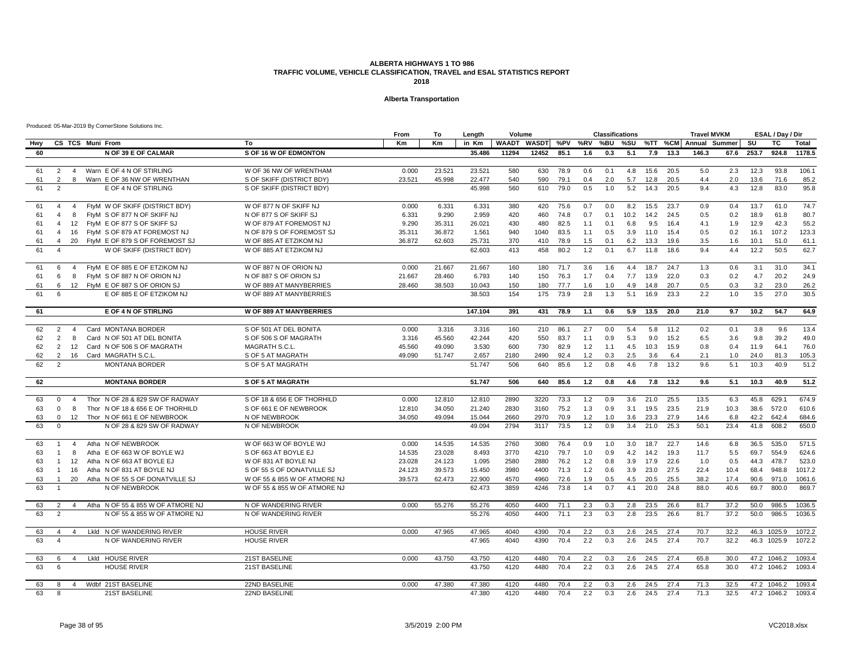#### **Alberta Transportation**

|     |                                                                       |                                | From   | To        | Length  | Volume       |               |      |     | <b>Classifications</b> |      |      |         | <b>Travel MVKM</b> |      |       | ESAL / Day / Dir |        |
|-----|-----------------------------------------------------------------------|--------------------------------|--------|-----------|---------|--------------|---------------|------|-----|------------------------|------|------|---------|--------------------|------|-------|------------------|--------|
| Hwy | CS TCS Muni From                                                      | To                             | Km     | <b>Km</b> | in Km   | <b>WAADT</b> | WASDT %PV %RV |      |     | %BU                    | %SU  |      | %TT %CM | Annual Summer      |      | SU    | <b>TC</b>        | Total  |
| 60  | N OF 39 E OF CALMAR                                                   | S OF 16 W OF EDMONTON          |        |           | 35.486  | 11294        | 12452         | 85.1 | 1.6 | 0.3                    | 5.1  | 7.9  | 13.3    | 146.3              | 67.6 | 253.7 | 924.8            | 1178.5 |
|     |                                                                       |                                |        |           |         |              |               |      |     |                        |      |      |         |                    |      |       |                  |        |
| 61  | Warn E OF 4 N OF STIRLING<br>2<br>$\overline{4}$                      | W OF 36 NW OF WRENTHAM         | 0.000  | 23.521    | 23.521  | 580          | 630           | 78.9 | 0.6 | 0.1                    | 4.8  | 15.6 | 20.5    | 5.0                | 2.3  | 12.3  | 93.8             | 106.1  |
| 61  | Warn E OF 36 NW OF WRENTHAN<br>$\overline{2}$<br>8                    | S OF SKIFF (DISTRICT BDY)      | 23.521 | 45.998    | 22.477  | 540          | 590           | 79.1 | 0.4 | 2.0                    | 5.7  | 12.8 | 20.5    | 4.4                | 2.0  | 13.6  | 71.6             | 85.2   |
| 61  | E OF 4 N OF STIRLING<br>$\mathcal{P}$                                 | S OF SKIFF (DISTRICT BDY)      |        |           | 45.998  | 560          | 610           | 79.0 | 0.5 | 1.0                    | 5.2  | 14.3 | 20.5    | 9.4                | 4.3  | 12.8  | 83.0             | 95.8   |
| 61  | FtyM W OF SKIFF (DISTRICT BDY)<br>$\overline{4}$<br>$\overline{4}$    | W OF 877 N OF SKIFF NJ         | 0.000  | 6.331     | 6.331   | 380          | 420           | 75.6 | 0.7 | 0.0                    | 8.2  | 15.5 | 23.7    | 0.9                | 0.4  | 13.7  | 61.0             | 74.7   |
| 61  | FtyM S OF 877 N OF SKIFF NJ<br>8<br>$\overline{4}$                    | N OF 877 S OF SKIFF SJ         | 6.331  | 9.290     | 2.959   | 420          | 460           | 74.8 | 0.7 | 0.1                    | 10.2 | 14.2 | 24.5    | 0.5                | 0.2  | 18.9  | 61.8             | 80.7   |
| 61  | FtyM E OF 877 S OF SKIFF SJ<br>12<br>4                                | W OF 879 AT FOREMOST NJ        | 9.290  | 35.311    | 26.021  | 430          | 480           | 82.5 | 1.1 | 0.1                    | 6.8  | 9.5  | 16.4    | 4.1                | 1.9  | 12.9  | 42.3             | 55.2   |
| 61  | FtyM S OF 879 AT FOREMOST NJ<br>$\overline{4}$<br>16                  | N OF 879 S OF FOREMOST SJ      | 35.311 | 36.872    | 1.561   | 940          | 1040          | 83.5 | 1.1 | 0.5                    | 3.9  | 11.0 | 15.4    | 0.5                | 0.2  | 16.1  | 107.2            | 123.3  |
| 61  | FtyM E OF 879 S OF FOREMOST SJ<br>$\overline{4}$<br>20                | W OF 885 AT ETZIKOM NJ         | 36.872 | 62.603    | 25.731  | 370          | 410           | 78.9 | 1.5 | 0.1                    | 6.2  | 13.3 | 19.6    | 3.5                | 1.6  | 10.1  | 51.0             | 61.1   |
| 61  | W OF SKIFF (DISTRICT BDY)<br>$\overline{4}$                           | W OF 885 AT ETZIKOM NJ         |        |           | 62.603  | 413          | 458           | 80.2 | 1.2 | 0.1                    | 6.7  | 11.8 | 18.6    | 9.4                | 4.4  | 12.2  | 50.5             | 62.7   |
| 61  | FtyM E OF 885 E OF ETZIKOM NJ<br>6<br>$\overline{4}$                  | W OF 887 N OF ORION NJ         | 0.000  | 21.667    | 21.667  | 160          | 180           | 71.7 | 3.6 | 1.6                    | 4.4  | 18.7 | 24.7    | 1.3                | 0.6  | 3.1   | 31.0             | 34.1   |
| 61  | 6<br>FtyM S OF 887 N OF ORION NJ<br>8                                 | N OF 887 S OF ORION SJ         | 21.667 | 28.460    | 6.793   | 140          | 150           | 76.3 | 1.7 | 0.4                    | 7.7  | 13.9 | 22.0    | 0.3                | 0.2  | 4.7   | 20.2             | 24.9   |
| 61  | 6<br>12 FtyM E OF 887 S OF ORION SJ                                   | W OF 889 AT MANYBERRIES        | 28.460 | 38.503    | 10.043  | 150          | 180           | 77.7 | 1.6 | 1.0                    | 4.9  | 14.8 | 20.7    | 0.5                | 0.3  | 3.2   | 23.0             | 26.2   |
| 61  | E OF 885 E OF ETZIKOM NJ<br>6                                         | W OF 889 AT MANYBERRIES        |        |           | 38.503  | 154          | 175           | 73.9 | 2.8 | 1.3                    | 5.1  | 16.9 | 23.3    | 2.2                | 1.0  | 3.5   | 27.0             | 30.5   |
| 61  | E OF 4 N OF STIRLING                                                  | <b>W OF 889 AT MANYBERRIES</b> |        |           | 147.104 | 391          | 431           | 78.9 | 1.1 | 0.6                    | 5.9  | 13.5 | 20.0    | 21.0               | 9.7  | 10.2  | 54.7             | 64.9   |
|     |                                                                       |                                |        |           |         |              |               |      |     |                        |      |      |         |                    |      |       |                  |        |
| 62  | Card MONTANA BORDER<br>2<br>$\overline{4}$                            | S OF 501 AT DEL BONITA         | 0.000  | 3.316     | 3.316   | 160          | 210           | 86.1 | 2.7 | 0.0                    | 5.4  | 5.8  | 11.2    | 0.2                | 0.1  | 3.8   | 9.6              | 13.4   |
| 62  | Card N OF 501 AT DEL BONITA<br>2<br>8                                 | S OF 506 S OF MAGRATH          | 3.316  | 45.560    | 42.244  | 420          | 550           | 83.7 | 1.1 | 0.9                    | 5.3  | 9.0  | 15.2    | 6.5                | 3.6  | 9.8   | 39.2             | 49.0   |
| 62  | Card N OF 506 S OF MAGRATH<br>2<br>12                                 | MAGRATH S.C.L.                 | 45.560 | 49.090    | 3.530   | 600          | 730           | 82.9 | 1.2 | 1.1                    | 4.5  | 10.3 | 15.9    | 0.8                | 0.4  | 11.9  | 64.1             | 76.0   |
| 62  | $\overline{2}$<br>16<br>Card MAGRATH S.C.L                            | S OF 5 AT MAGRATH              | 49.090 | 51.747    | 2.657   | 2180         | 2490          | 92.4 | 1.2 | 0.3                    | 2.5  | 3.6  | 6.4     | 2.1                | 1.0  | 24.0  | 81.3             | 105.3  |
| 62  | $\overline{2}$<br><b>MONTANA BORDER</b>                               | S OF 5 AT MAGRATH              |        |           | 51.747  | 506          | 640           | 85.6 | 1.2 | 0.8                    | 4.6  | 7.8  | 13.2    | 9.6                | 5.1  | 10.3  | 40.9             | 51.2   |
| 62  | <b>MONTANA BORDER</b>                                                 | <b>S OF 5 AT MAGRATH</b>       |        |           | 51.747  | 506          | 640           | 85.6 | 1.2 | 0.8                    | 4.6  | 7.8  | 13.2    | 9.6                | 5.1  | 10.3  | 40.9             | 51.2   |
|     |                                                                       |                                |        |           |         |              |               |      |     |                        |      |      |         |                    |      |       |                  |        |
| 63  | Thor N OF 28 & 829 SW OF RADWAY<br>$\mathbf{0}$<br>$\overline{4}$     | S OF 18 & 656 E OF THORHILD    | 0.000  | 12.810    | 12.810  | 2890         | 3220          | 73.3 | 1.2 | 0.9                    | 3.6  | 21.0 | 25.5    | 13.5               | 6.3  | 45.8  | 629.1            | 674.9  |
| 63  | Thor N OF 18 & 656 E OF THORHILD<br>$\mathbf{0}$<br>-8                | S OF 661 E OF NEWBROOK         | 12.810 | 34.050    | 21.240  | 2830         | 3160          | 75.2 | 1.3 | 0.9                    | 3.1  | 19.5 | 23.5    | 21.9               | 10.3 | 38.6  | 572.0            | 610.6  |
| 63  | Thor N OF 661 E OF NEWBROOK<br>$\Omega$<br>$12 \overline{ }$          | N OF NEWBROOK                  | 34.050 | 49.094    | 15.044  | 2660         | 2970          | 70.9 | 1.2 | 1.0                    | 3.6  | 23.3 | 27.9    | 14.6               | 6.8  | 42.2  | 642.4            | 684.6  |
| 63  | N OF 28 & 829 SW OF RADWAY<br>$\Omega$                                | N OF NEWBROOK                  |        |           | 49.094  | 2794         | 3117          | 73.5 | 1.2 | 0.9                    | 3.4  | 21.0 | 25.3    | 50.1               | 23.4 | 41.8  | 608.2            | 650.0  |
| 63  | Atha N OF NEWBROOK<br>$\overline{4}$<br>$\mathbf{1}$                  | W OF 663 W OF BOYLE WJ         | 0.000  | 14.535    | 14.535  | 2760         | 3080          | 76.4 | 0.9 | 1.0                    | 3.0  | 18.7 | 22.7    | 14.6               | 6.8  | 36.5  | 535.0            | 571.5  |
| 63  | Atha E OF 663 W OF BOYLE WJ<br>8<br>$\overline{1}$                    | S OF 663 AT BOYLE EJ           | 14.535 | 23.028    | 8.493   | 3770         | 4210          | 79.7 | 1.0 | 0.9                    | 4.2  | 14.2 | 19.3    | 11.7               | 5.5  | 69.7  | 554.9            | 624.6  |
| 63  | Atha N OF 663 AT BOYLE EJ<br>12<br>-1                                 | W OF 831 AT BOYLE NJ           | 23.028 | 24.123    | 1.095   | 2580         | 2880          | 76.2 | 1.2 | 0.8                    | 3.9  | 17.9 | 22.6    | 1.0                | 0.5  | 44.3  | 478.7            | 523.0  |
| 63  | Atha N OF 831 AT BOYLE NJ<br>16<br>$\overline{1}$                     | S OF 55 S OF DONATVILLE SJ     | 24.123 | 39.573    | 15.450  | 3980         | 4400          | 71.3 | 1.2 | 0.6                    | 3.9  | 23.0 | 27.5    | 22.4               | 10.4 | 68.4  | 948.8            | 1017.2 |
| 63  | Atha N OF 55 S OF DONATVILLE SJ<br>20<br>$\overline{1}$               | W OF 55 & 855 W OF ATMORE NJ   | 39.573 | 62.473    | 22.900  | 4570         | 4960          | 72.6 | 1.9 | 0.5                    | 4.5  | 20.5 | 25.5    | 38.2               | 17.4 | 90.6  | 971.0            | 1061.6 |
| 63  | N OF NEWBROOK<br>$\mathbf{1}$                                         | W OF 55 & 855 W OF ATMORE NJ   |        |           | 62.473  | 3859         | 4246          | 73.8 | 1.4 | 0.7                    | 4.1  | 20.0 | 24.8    | 88.0               | 40.6 | 69.7  | 800.0            | 869.7  |
| 63  | Atha N OF 55 & 855 W OF ATMORE NJ<br>$\overline{2}$<br>$\overline{4}$ | N OF WANDERING RIVER           | 0.000  | 55.276    | 55.276  | 4050         | 4400          | 71.1 | 2.3 | 0.3                    | 2.8  | 23.5 | 26.6    | 81.7               | 37.2 | 50.0  | 986.5            | 1036.5 |
| 63  | N OF 55 & 855 W OF ATMORE NJ<br>$\overline{2}$                        | N OF WANDERING RIVER           |        |           | 55.276  | 4050         | 4400          | 71.1 | 2.3 | 0.3                    | 2.8  | 23.5 | 26.6    | 81.7               | 37.2 | 50.0  | 986.5            | 1036.5 |
| 63  | Lkld N OF WANDERING RIVER<br>$\overline{4}$<br>$\overline{4}$         | <b>HOUSE RIVER</b>             | 0.000  | 47.965    | 47.965  | 4040         | 4390          | 70.4 | 2.2 | 0.3                    | 2.6  | 24.5 | 27.4    | 70.7               | 32.2 |       | 46.3 1025.9      | 1072.2 |
| 63  | N OF WANDERING RIVER<br>$\overline{4}$                                | <b>HOUSE RIVER</b>             |        |           | 47.965  | 4040         | 4390          | 70.4 | 2.2 | 0.3                    | 2.6  | 24.5 | 27.4    | 70.7               | 32.2 |       | 46.3 1025.9      | 1072.2 |
|     |                                                                       |                                |        |           |         |              |               |      |     |                        |      |      |         |                    |      |       |                  |        |
| 63  | Lkld HOUSE RIVER<br>6<br>$\overline{4}$                               | 21ST BASELINE                  | 0.000  | 43.750    | 43.750  | 4120         | 4480          | 70.4 | 2.2 | 0.3                    | 2.6  | 24.5 | 27.4    | 65.8               | 30.0 |       | 47.2 1046.2      | 1093.4 |
| 63  | 6<br><b>HOUSE RIVER</b>                                               | 21ST BASELINE                  |        |           | 43.750  | 4120         | 4480          | 70.4 | 2.2 | 0.3                    | 2.6  | 24.5 | 27.4    | 65.8               | 30.0 |       | 47.2 1046.2      | 1093.4 |
| 63  | Wdbf 21ST BASELINE<br>8<br>$\overline{4}$                             | <b>22ND BASELINE</b>           | 0.000  | 47.380    | 47.380  | 4120         | 4480          | 70.4 | 2.2 | 0.3                    | 2.6  | 24.5 | 27.4    | 71.3               | 32.5 |       | 47.2 1046.2      | 1093.4 |
| 63  | 21ST BASELINE<br>8                                                    | 22ND BASELINE                  |        |           | 47.380  | 4120         | 4480          | 70.4 | 2.2 | 0.3                    | 2.6  | 24.5 | 27.4    | 71.3               | 32.5 |       | 47.2 1046.2      | 1093.4 |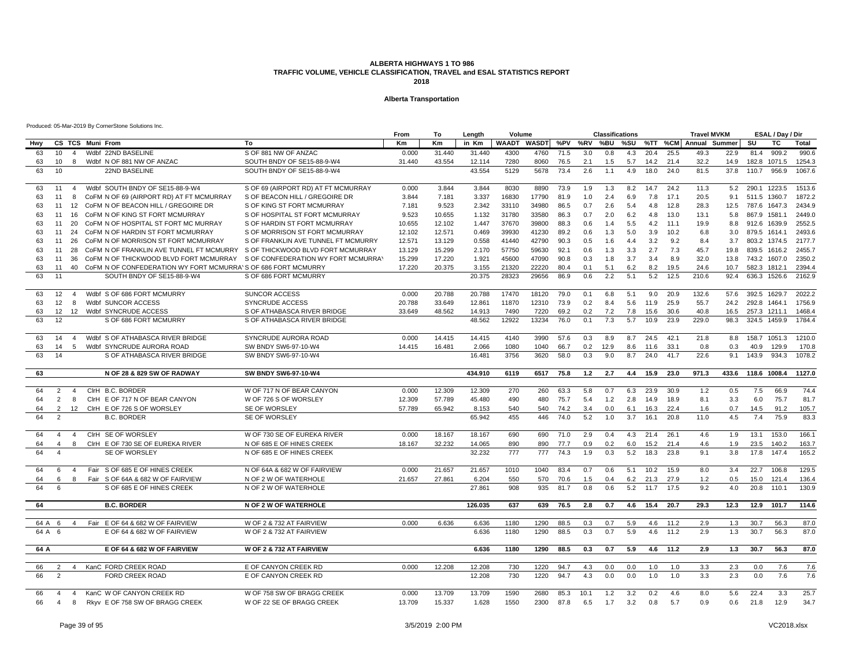#### **Alberta Transportation**

|          |                   |                |                                                                            |                                     | From   | То     | Length  | Volume       |           |      |      | <b>Classifications</b> |     |      |         | <b>Travel MVKM</b> |       |              | ESAL / Day / Dir |        |
|----------|-------------------|----------------|----------------------------------------------------------------------------|-------------------------------------|--------|--------|---------|--------------|-----------|------|------|------------------------|-----|------|---------|--------------------|-------|--------------|------------------|--------|
| Hwy      |                   |                | CS TCS Muni From                                                           | To                                  | Кm     | Km     | in Km   | <b>WAADT</b> | WASDT %PV |      | %RV  | %BU                    | %SU |      | %TT %CM | Annual Summer      |       | SU           | TC               | Total  |
| 63       | 10 <sup>1</sup>   |                | Wdbf 22ND BASELINE                                                         | S OF 881 NW OF ANZAC                | 0.000  | 31.440 | 31.440  | 4300         | 4760      | 71.5 | 3.0  | 0.8                    | 4.3 | 20.4 | 25.5    | 49.3               | 22.9  | 81.4         | 909.2            | 990.6  |
| 63       | 10 <sup>10</sup>  | 8              | Wdbf N OF 881 NW OF ANZAC                                                  | SOUTH BNDY OF SE15-88-9-W4          | 31.440 | 43.554 | 12.114  | 7280         | 8060      | 76.5 | 2.1  | 1.5                    | 5.7 | 14.2 | 21.4    | 32.2               | 14.9  |              | 182.8 1071.5     | 1254.3 |
| 63       | 10 <sup>10</sup>  |                | 22ND BASELINE                                                              | SOUTH BNDY OF SE15-88-9-W4          |        |        | 43.554  | 5129         | 5678      | 73.4 | 2.6  | 1.1                    | 4.9 | 18.0 | 24.0    | 81.5               | 37.8  | 110.7        | 956.9            | 1067.6 |
|          |                   |                |                                                                            |                                     |        |        |         |              |           |      |      |                        |     |      |         |                    |       |              |                  |        |
| 63       | 11                | $\overline{4}$ | Wdbf SOUTH BNDY OF SE15-88-9-W4                                            | S OF 69 (AIRPORT RD) AT FT MCMURRAY | 0.000  | 3.844  | 3.844   | 8030         | 8890      | 73.9 | 1.9  | 1.3                    | 8.2 | 14.7 | 24.2    | 11.3               | 5.2   |              | 290.1 1223.5     | 1513.6 |
| 63       | 11                | 8              | CoFM N OF 69 (AIRPORT RD) AT FT MCMURRAY                                   | S OF BEACON HILL / GREGOIRE DR      | 3.844  | 7.181  | 3.337   | 16830        | 17790     | 81.9 | 1.0  | 2.4                    | 6.9 | 7.8  | 17.1    | 20.5               | 9.1   |              | 511.5 1360.7     | 1872.2 |
| 63       | 11                | 12             | CoFM N OF BEACON HILL / GREGOIRE DR                                        | S OF KING ST FORT MCMURRAY          | 7.181  | 9.523  | 2.342   | 33110        | 34980     | 86.5 | 0.7  | 2.6                    | 5.4 | 4.8  | 12.8    | 28.3               | 12.5  |              | 787.6 1647.3     | 2434.9 |
| 63       | 11                | 16             | COFM N OF KING ST FORT MCMURRAY                                            | S OF HOSPITAL ST FORT MCMURRAY      | 9.523  | 10.655 | 1.132   | 31780        | 33580     | 86.3 | 0.7  | 2.0                    | 6.2 | 4.8  | 13.0    | 13.1               | 5.8   |              | 867.9 1581.1     | 2449.0 |
| 63       | 11                | 20             | COFM N OF HOSPITAL ST FORT MC MURRAY                                       | S OF HARDIN ST FORT MCMURRAY        | 10.655 | 12.102 | 1.447   | 37670        | 39800     | 88.3 | 0.6  | 1.4                    | 5.5 | 4.2  | 11.1    | 19.9               | 8.8   |              | 912.6 1639.9     | 2552.5 |
| 63       | 11                | 24             | COFM N OF HARDIN ST FORT MCMURRAY                                          | S OF MORRISON ST FORT MCMURRAY      | 12.102 | 12.571 | 0.469   | 39930        | 41230     | 89.2 | 0.6  | 1.3                    | 5.0 | 3.9  | 10.2    | 6.8                | 3.0   |              | 879.5 1614.1     | 2493.6 |
| 63       | 11                | 26             | CoFM N OF MORRISON ST FORT MCMURRAY                                        | S OF FRANKLIN AVE TUNNEL FT MCMURRY | 12.571 | 13.129 | 0.558   | 41440        | 42790     | 90.3 | 0.5  | 1.6                    | 4.4 | 3.2  | 9.2     | 8.4                | 3.7   |              | 803.2 1374.5     | 2177.7 |
| 63       | 11                | 28             | COFM N OF FRANKLIN AVE TUNNEL FT MCMURRY S OF THICKWOOD BLVD FORT MCMURRAY |                                     | 13.129 | 15.299 | 2.170   | 57750        | 59630     | 92.1 | 0.6  | 1.3                    | 3.3 | 2.7  | 7.3     | 45.7               | 19.8  |              | 839.5 1616.2     | 2455.7 |
| 63       | 11                | 36             | COFM N OF THICKWOOD BLVD FORT MCMURRAY                                     | S OF CONFEDERATION WY FORT MCMURRAY | 15.299 | 17.220 | 1.921   | 45600        | 47090     | 90.8 | 0.3  | 1.8                    | 3.7 | 3.4  | 8.9     | 32.0               | 13.8  |              | 743.2 1607.0     | 2350.2 |
| 63       | 11                | 40             | COFM N OF CONFEDERATION WY FORT MCMURRA'S OF 686 FORT MCMURRY              |                                     | 17.220 | 20.375 | 3.155   | 21320        | 22220     | 80.4 | 0.1  | 5.1                    | 6.2 | 8.2  | 19.5    | 24.6               | 10.7  |              | 582.3 1812.1     | 2394.4 |
| 63       | 11                |                | SOUTH BNDY OF SE15-88-9-W4                                                 | S OF 686 FORT MCMURRY               |        |        | 20.375  | 28323        | 29656     | 86.9 | 0.6  | 2.2                    | 5.1 | 5.2  | 12.5    | 210.6              | 92.4  |              | 636.3 1526.6     | 2162.9 |
|          |                   |                |                                                                            |                                     |        |        |         |              |           |      |      |                        |     |      |         |                    |       |              |                  |        |
| 63       | 12                |                | Wdbf S OF 686 FORT MCMURRY                                                 | <b>SUNCOR ACCESS</b>                | 0.000  | 20.788 | 20.788  | 17470        | 18120     | 79.0 | 0.1  | 6.8                    | 5.1 | 9.0  | 20.9    | 132.6              | 57.6  |              | 392.5 1629.7     | 2022.2 |
| 63       | 12                | -8             | Wdbf SUNCOR ACCESS                                                         | <b>SYNCRUDE ACCESS</b>              | 20.788 | 33.649 | 12.861  | 11870        | 12310     | 73.9 | 0.2  | 8.4                    | 5.6 | 11.9 | 25.9    | 55.7               | 24.2  | 292.8 1464.1 |                  | 1756.9 |
| 63       | $12 \overline{ }$ |                | 12 Wdbf SYNCRUDE ACCESS                                                    | S OF ATHABASCA RIVER BRIDGE         | 33.649 | 48.562 | 14.913  | 7490         | 7220      | 69.2 | 0.2  | 7.2                    | 7.8 | 15.6 | 30.6    | 40.8               | 16.5  |              | 257.3 1211.1     | 1468.4 |
| 63       | 12                |                | S OF 686 FORT MCMURRY                                                      | S OF ATHABASCA RIVER BRIDGE         |        |        | 48.562  | 12922        | 13234     | 76.0 | 0.1  | 7.3                    | 5.7 | 10.9 | 23.9    | 229.0              | 98.3  |              | 324.5 1459.9     | 1784.4 |
|          |                   |                |                                                                            |                                     |        |        |         |              |           |      |      |                        |     |      |         |                    |       |              |                  |        |
| 63       | 14                | $\overline{4}$ | Wdbf S OF ATHABASCA RIVER BRIDGE                                           | SYNCRUDE AURORA ROAD                | 0.000  | 14.415 | 14.415  | 4140         | 3990      | 57.6 | 0.3  | 8.9                    | 8.7 | 24.5 | 42.1    | 21.8               | 8.8   |              | 158.7 1051.3     | 1210.0 |
| 63       | 14                | 5              | Wdbf SYNCRUDE AURORA ROAD                                                  | SW BNDY SW6-97-10-W4                | 14.415 | 16.481 | 2.066   | 1080         | 1040      | 66.7 | 0.2  | 12.9                   | 8.6 | 11.6 | 33.1    | 0.8                | 0.3   | 40.9         | 129.9            | 170.8  |
| 63       | 14                |                | S OF ATHABASCA RIVER BRIDGE                                                | SW BNDY SW6-97-10-W4                |        |        | 16.481  | 3756         | 3620      | 58.0 | 0.3  | 9.0                    | 8.7 | 24.0 | 41.7    | 22.6               | 9.1   | 143.9        | 934.3            | 1078.2 |
|          |                   |                |                                                                            |                                     |        |        |         |              |           |      |      |                        |     |      |         |                    |       |              |                  |        |
| 63       |                   |                | <b>N OF 28 &amp; 829 SW OF RADWAY</b>                                      | <b>SW BNDY SW6-97-10-W4</b>         |        |        | 434.910 | 6119         | 6517      | 75.8 | 1.2  | 2.7                    | 4.4 | 15.9 | 23.0    | 971.3              | 433.6 |              | 118.6 1008.4     | 1127.0 |
| 64       | 2                 | $\overline{4}$ | CIrH B.C. BORDER                                                           | W OF 717 N OF BEAR CANYON           | 0.000  | 12.309 | 12.309  | 270          | 260       | 63.3 | 5.8  | 0.7                    | 6.3 | 23.9 | 30.9    | 1.2                | 0.5   | 7.5          | 66.9             | 74.4   |
|          | 2                 | 8              | CIrH E OF 717 N OF BEAR CANYON                                             | W OF 726 S OF WORSLEY               | 12.309 | 57.789 | 45.480  | 490          | 480       | 75.7 | 5.4  | 1.2                    | 2.8 | 14.9 | 18.9    | 8.1                | 3.3   | 6.0          | 75.7             | 81.7   |
| 64<br>64 | 2                 | 12             | CIrH E OF 726 S OF WORSLEY                                                 | <b>SE OF WORSLEY</b>                | 57.789 | 65.942 | 8.153   | 540          | 540       | 74.2 | 3.4  | 0.0                    | 6.1 | 16.3 | 22.4    | 1.6                | 0.7   | 14.5         | 91.2             | 105.7  |
| 64       | $\overline{2}$    |                | <b>B.C. BORDER</b>                                                         | SE OF WORSLEY                       |        |        | 65.942  | 455          | 446       | 74.0 | 5.2  | 1.0                    | 3.7 | 16.1 | 20.8    | 11.0               | 4.5   | 7.4          | 75.9             | 83.3   |
|          |                   |                |                                                                            |                                     |        |        |         |              |           |      |      |                        |     |      |         |                    |       |              |                  |        |
| 64       | $\overline{4}$    | $\overline{4}$ | CirH SE OF WORSLEY                                                         | W OF 730 SE OF EUREKA RIVER         | 0.000  | 18.167 | 18.167  | 690          | 690       | 71.0 | 2.9  | 0.4                    | 4.3 | 21.4 | 26.1    | 4.6                | 1.9   | 13.1         | 153.0            | 166.1  |
| 64       | $\overline{4}$    | 8              | CIrH E OF 730 SE OF EUREKA RIVER                                           | N OF 685 E OF HINES CREEK           | 18.167 | 32.232 | 14.065  | 890          | 890       | 77.7 | 0.9  | 0.2                    | 6.0 | 15.2 | 21.4    | 4.6                | 1.9   | 23.5         | 140.2            | 163.7  |
| 64       | $\overline{A}$    |                | SE OF WORSLEY                                                              | N OF 685 E OF HINES CREEK           |        |        | 32.232  | 777          | 777       | 74.3 | 1.9  | 0.3                    | 5.2 | 18.3 | 23.8    | 9.1                | 3.8   | 17.8         | 147.4            | 165.2  |
|          |                   |                |                                                                            |                                     |        |        |         |              |           |      |      |                        |     |      |         |                    |       |              |                  |        |
| 64       | 6                 | $\overline{4}$ | Fair S OF 685 E OF HINES CREEK                                             | N OF 64A & 682 W OF FAIRVIEW        | 0.000  | 21.657 | 21.657  | 1010         | 1040      | 83.4 | 0.7  | 0.6                    | 5.1 | 10.2 | 15.9    | 8.0                | 3.4   | 22.7         | 106.8            | 129.5  |
| 64       | $\epsilon$        | 8              | Fair S OF 64A & 682 W OF FAIRVIEW                                          | N OF 2 W OF WATERHOLE               | 21.657 | 27.861 | 6.204   | 550          | 570       | 70.6 | 1.5  | 0.4                    | 6.2 | 21.3 | 27.9    | 1.2                | 0.5   | 15.0         | 121.4            | 136.4  |
| 64       | 6                 |                | S OF 685 E OF HINES CREEK                                                  | N OF 2 W OF WATERHOLE               |        |        | 27.861  | 908          | 935       | 81.7 | 0.8  | 0.6                    | 5.2 | 11.7 | 17.5    | 9.2                | 4.0   | 20.8         | 110.1            | 130.9  |
|          |                   |                |                                                                            |                                     |        |        |         |              |           |      |      |                        |     |      |         |                    |       |              |                  |        |
| 64       |                   |                | <b>B.C. BORDER</b>                                                         | N OF 2 W OF WATERHOLE               |        |        | 126.035 | 637          | 639       | 76.5 | 2.8  | 0.7                    | 4.6 | 15.4 | 20.7    | 29.3               | 12.3  | 12.9         | 101.7            | 114.6  |
|          |                   |                |                                                                            |                                     |        |        |         |              |           |      |      |                        |     |      |         |                    |       |              |                  |        |
|          | 64 A 6            | $\overline{4}$ | Fair E OF 64 & 682 W OF FAIRVIEW                                           | W OF 2 & 732 AT FAIRVIEW            | 0.000  | 6.636  | 6.636   | 1180         | 1290      | 88.5 | 0.3  | 0.7                    | 5.9 | 4.6  | 11.2    | 2.9                | 1.3   | 30.7         | 56.3             | 87.0   |
| 64 A     | - 6               |                | E OF 64 & 682 W OF FAIRVIEW                                                | W OF 2 & 732 AT FAIRVIEW            |        |        | 6.636   | 1180         | 1290      | 88.5 | 0.3  | 0.7                    | 5.9 | 4.6  | 11.2    | 2.9                | 1.3   | 30.7         | 56.3             | 87.0   |
|          |                   |                |                                                                            |                                     |        |        |         |              |           |      |      |                        |     |      |         |                    |       |              |                  |        |
| 64 A     |                   |                | E OF 64 & 682 W OF FAIRVIEW                                                | W OF 2 & 732 AT FAIRVIEW            |        |        | 6.636   | 1180         | 1290      | 88.5 | 0.3  | 0.7                    | 5.9 | 4.6  | 11.2    | 2.9                | 1.3   | 30.7         | 56.3             | 87.0   |
|          |                   |                |                                                                            |                                     |        |        |         |              |           |      |      |                        |     |      |         |                    |       |              |                  |        |
| 66       | $\overline{2}$    | $\overline{4}$ | KanC FORD CREEK ROAD                                                       | E OF CANYON CREEK RD                | 0.000  | 12.208 | 12.208  | 730          | 1220      | 94.7 | 4.3  | 0.0                    | 0.0 | 1.0  | 1.0     | 3.3                | 2.3   | 0.0          | 7.6              | 7.6    |
| 66       | 2                 |                | FORD CREEK ROAD                                                            | E OF CANYON CREEK RD                |        |        | 12.208  | 730          | 1220      | 94.7 | 4.3  | 0.0                    | 0.0 | 1.0  | 1.0     | 3.3                | 2.3   | 0.0          | 7.6              | 7.6    |
| 66       | $\overline{4}$    | $\overline{4}$ | KanC W OF CANYON CREEK RD                                                  | W OF 758 SW OF BRAGG CREEK          | 0.000  | 13.709 | 13.709  | 1590         | 2680      | 85.3 | 10.1 | 1.2                    | 3.2 | 0.2  | 4.6     | 8.0                | 5.6   | 22.4         | 3.3              | 25.7   |
| 66       | $\overline{4}$    | 8              | Rkyv E OF 758 SW OF BRAGG CREEK                                            | W OF 22 SE OF BRAGG CREEK           | 13.709 | 15.337 | 1.628   | 1550         | 2300      | 87.8 | 6.5  | 1.7                    | 3.2 | 0.8  | 5.7     | 0.9                | 0.6   | 21.8         | 12.9             | 34.7   |
|          |                   |                |                                                                            |                                     |        |        |         |              |           |      |      |                        |     |      |         |                    |       |              |                  |        |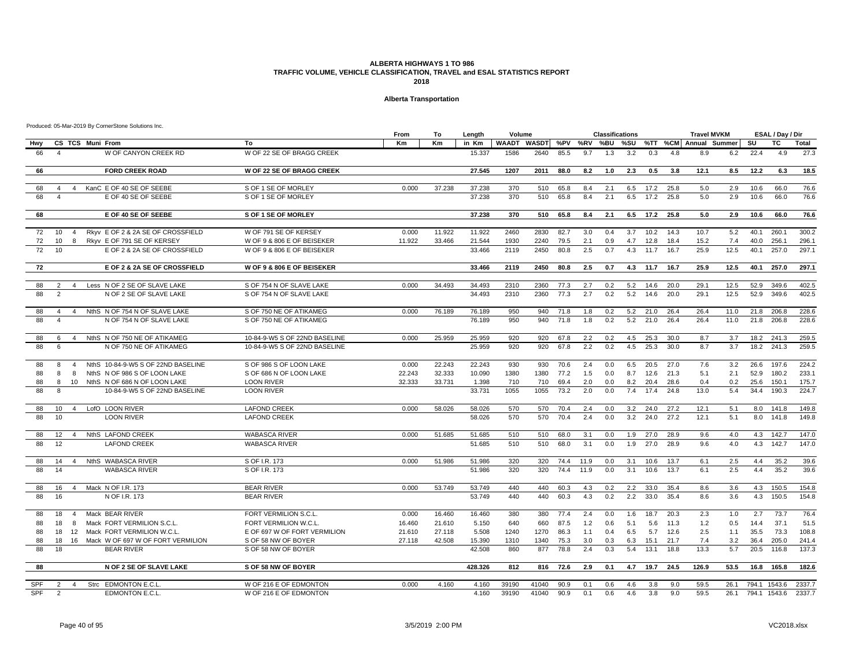#### **Alberta Transportation**

|          |                     |                  |                                                           |                                            | From   | To     | Length           | Volume      |                 |              |            | <b>Classifications</b> |            |              |              | <b>Travel MVKM</b>    |            |              | ESAL / Day / Dir |                |
|----------|---------------------|------------------|-----------------------------------------------------------|--------------------------------------------|--------|--------|------------------|-------------|-----------------|--------------|------------|------------------------|------------|--------------|--------------|-----------------------|------------|--------------|------------------|----------------|
| Hwy      |                     | CS TCS Muni From |                                                           | To                                         | Km     | Кm     | in Km            |             | WAADT WASDT %PV |              | %RV        | %BU                    | %SU        |              |              | %TT %CM Annual Summer |            | SU           | TC               | Total          |
| 66       | 4                   |                  | W OF CANYON CREEK RD                                      | W OF 22 SE OF BRAGG CREEK                  |        |        | 15.337           | 1586        | 2640            | 85.5         | 9.7        | 1.3                    | 3.2        | 0.3          | 4.8          | 8.9                   | 6.2        | 22.4         | 4.9              | 27.3           |
| 66       |                     |                  | <b>FORD CREEK ROAD</b>                                    | <b>W OF 22 SE OF BRAGG CREEK</b>           |        |        | 27.545           | 1207        | 2011            | 88.0         | 8.2        | 1.0                    | 2.3        | 0.5          | 3.8          | 12.1                  | 8.5        | 12.2         | 6.3              | 18.5           |
|          |                     |                  |                                                           |                                            |        |        |                  |             |                 |              |            |                        |            |              |              |                       |            |              |                  |                |
| 68       | $\overline{4}$      | $\overline{4}$   | KanC E OF 40 SE OF SEEBE                                  | S OF 1 SE OF MORLEY                        | 0.000  | 37.238 | 37.238           | 370         | 510             | 65.8         | 8.4        | 2.1                    | 6.5        | 17.2         | 25.8         | 5.0                   | 2.9        | 10.6         | 66.0             | 76.6           |
| 68       | $\overline{4}$      |                  | E OF 40 SE OF SEEBE                                       | S OF 1 SE OF MORLEY                        |        |        | 37.238           | 370         | 510             | 65.8         | 8.4        | 2.1                    | 6.5        | 17.2         | 25.8         | 5.0                   | 2.9        | 10.6         | 66.0             | 76.6           |
| 68       |                     |                  | E OF 40 SE OF SEEBE                                       | S OF 1 SE OF MORLEY                        |        |        | 37.238           | 370         | 510             | 65.8         | 8.4        | 2.1                    | 6.5        | 17.2         | 25.8         | 5.0                   | 2.9        | 10.6         | 66.0             | 76.6           |
| 72       | 10                  | $\overline{4}$   | Rkyv E OF 2 & 2A SE OF CROSSFIELD                         | W OF 791 SE OF KERSEY                      | 0.000  | 11.922 | 11.922           | 2460        | 2830            | 82.7         | 3.0        | 0.4                    | 3.7        | 10.2         | 14.3         | 10.7                  | 5.2        | 40.1         | 260.1            | 300.2          |
| 72       | 10                  | 8                | Rkyv E OF 791 SE OF KERSEY                                | W OF 9 & 806 E OF BEISEKER                 | 11.922 | 33.466 | 21.544           | 1930        | 2240            | 79.5         | 2.1        | 0.9                    | 4.7        | 12.8         | 18.4         | 15.2                  | 7.4        | 40.0         | 256.1            | 296.1          |
| 72       | 10                  |                  | E OF 2 & 2A SE OF CROSSFIELD                              | W OF 9 & 806 E OF BEISEKER                 |        |        | 33.466           | 2119        | 2450            | 80.8         | 2.5        | 0.7                    | 4.3        | 11.7         | 16.7         | 25.9                  | 12.5       | 40.1         | 257.0            | 297.1          |
| 72       |                     |                  | E OF 2 & 2A SE OF CROSSFIELD                              | W OF 9 & 806 E OF BEISEKER                 |        |        | 33.466           | 2119        | 2450            | 80.8         | 2.5        | 0.7                    | 4.3        | 11.7         | 16.7         | 25.9                  | 12.5       | 40.1         | 257.0            | 297.1          |
| 88       | 2                   | $\overline{4}$   | Less N OF 2 SE OF SLAVE LAKE                              | S OF 754 N OF SLAVE LAKE                   | 0.000  | 34.493 | 34.493           | 2310        | 2360            | 77.3         | 2.7        | 0.2                    | 5.2        | 14.6         | 20.0         | 29.1                  | 12.5       | 52.9         | 349.6            | 402.5          |
| 88       | $\overline{2}$      |                  | N OF 2 SE OF SLAVE LAKE                                   | S OF 754 N OF SLAVE LAKE                   |        |        | 34.493           | 2310        | 2360            | 77.3         | 2.7        | 0.2                    | 5.2        | 14.6         | 20.0         | 29.1                  | 12.5       | 52.9         | 349.6            | 402.5          |
| 88       | $\overline{a}$      | $\overline{4}$   | NthS N OF 754 N OF SLAVE LAKE                             | S OF 750 NE OF ATIKAMEG                    | 0.000  | 76.189 | 76.189           | 950         | 940             | 71.8         | 1.8        | 0.2                    | 5.2        | 21.0         | 26.4         | 26.4                  | 11.0       | 21.8         | 206.8            | 228.6          |
| 88       | $\overline{4}$      |                  | N OF 754 N OF SLAVE LAKE                                  | S OF 750 NE OF ATIKAMEG                    |        |        | 76.189           | 950         | 940             | 71.8         | 1.8        | 0.2                    | 5.2        | 21.0         | 26.4         | 26.4                  | 11.0       | 21.8         | 206.8            | 228.6          |
| 88       | 6                   | $\overline{4}$   | NthS N OF 750 NE OF ATIKAMEG                              | 10-84-9-W5 S OF 22ND BASELINE              | 0.000  | 25.959 | 25.959           | 920         | 920             | 67.8         | 2.2        | 0.2                    | 4.5        | 25.3         | 30.0         | 8.7                   | 3.7        | 18.2         | 241.3            | 259.5          |
| 88       | 6                   |                  | N OF 750 NE OF ATIKAMEG                                   | 10-84-9-W5 S OF 22ND BASELINE              |        |        | 25.959           | 920         | 920             | 67.8         | 2.2        | 0.2                    | 4.5        | 25.3         | 30.0         | 8.7                   | 3.7        | 18.2         | 241.3            | 259.5          |
| 88       | 8<br>$\overline{4}$ |                  | NthS 10-84-9-W5 S OF 22ND BASELINE                        | S OF 986 S OF LOON LAKE                    | 0.000  | 22.243 | 22.243           | 930         | 930             | 70.6         | 2.4        | 0.0                    | 6.5        | 20.5         | 27.0         | 7.6                   | 3.2        | 26.6         | 197.6            | 224.2          |
| 88       | 8                   | 8                | NthS N OF 986 S OF LOON LAKE                              | S OF 686 N OF LOON LAKE                    | 22.243 | 32.333 | 10.090           | 1380        | 1380            | 77.2         | 1.5        | 0.0                    | 8.7        | 12.6         | 21.3         | 5.1                   | 2.1        | 52.9         | 180.2            | 233.1          |
| 88       | 8                   |                  | 10 NthS N OF 686 N OF LOON LAKE                           | <b>LOON RIVER</b>                          | 32.333 | 33.731 | 1.398            | 710         | 710             | 69.4         | 2.0        | 0.0                    | 8.2        | 20.4         | 28.6         | 0.4                   | 0.2        | 25.6         | 150.1            | 175.7          |
| 88       | 8                   |                  | 10-84-9-W5 S OF 22ND BASELINE                             | <b>LOON RIVER</b>                          |        |        | 33.731           | 1055        | 1055            | 73.2         | 2.0        | 0.0                    | 7.4        | 17.4         | 24.8         | 13.0                  | 5.4        | 34.4         | 190.3            | 224.7          |
| 88       | 10 <sup>1</sup>     | $\overline{4}$   | LofO LOON RIVER                                           | <b>LAFOND CREEK</b>                        | 0.000  | 58.026 | 58.026           | 570         | 570             | 70.4         | 2.4        | 0.0                    | 3.2        | 24.0         | 27.2         | 12.1                  | 5.1        | 8.0          | 141.8            | 149.8          |
| 88       | 10                  |                  | <b>LOON RIVER</b>                                         | <b>LAFOND CREEK</b>                        |        |        | 58.026           | 570         | 570             | 70.4         | 2.4        | 0.0                    | 3.2        | 24.0         | 27.2         | 12.1                  | 5.1        | 8.0          | 141.8            | 149.8          |
| 88       | 12                  | 4                | NthS LAFOND CREEK                                         | <b>WABASCA RIVER</b>                       | 0.000  | 51.685 | 51.685           | 510         | 510             | 68.0         | 3.1        | 0.0                    | 1.9        | 27.0         | 28.9         | 9.6                   | 4.0        | 4.3          | 142.7            | 147.0          |
| 88       | 12                  |                  | <b>LAFOND CREEK</b>                                       | <b>WABASCA RIVER</b>                       |        |        | 51.685           | 510         | 510             | 68.0         | 3.1        | 0.0                    | 1.9        | 27.0         | 28.9         | 9.6                   | 4.0        | 4.3          | 142.7            | 147.0          |
| 88       | 14                  | $\overline{4}$   | NthS WABASCA RIVER                                        | S OF I.R. 173                              | 0.000  | 51.986 | 51.986           | 320         | 320             | 74.4         | 11.9       | 0.0                    | 3.1        | 10.6         | 13.7         | 6.1                   | 2.5        | 4.4          | 35.2             | 39.6           |
| 88       | 14                  |                  | <b>WABASCA RIVER</b>                                      | S OF I.R. 173                              |        |        | 51.986           | 320         | 320             | 74.4         | 11.9       | 0.0                    | 3.1        | 10.6         | 13.7         | 6.1                   | 2.5        | 4.4          | 35.2             | 39.6           |
| 88       | 16                  | $\overline{4}$   | Mack N OF I.R. 173                                        | <b>BEAR RIVER</b>                          | 0.000  | 53.749 | 53.749           | 440         | 440             | 60.3         | 4.3        | 0.2                    | 2.2        | 33.0         | 35.4         | 8.6                   | 3.6        | 4.3          | 150.5            | 154.8          |
| 88       | 16                  |                  | N OF I.R. 173                                             | <b>BEAR RIVER</b>                          |        |        | 53.749           | 440         | 440             | 60.3         | 4.3        | 0.2                    | 2.2        | 33.0         | 35.4         | 8.6                   | 3.6        | 4.3          | 150.5            | 154.8          |
| 88       | 18                  | $\overline{4}$   | Mack BEAR RIVER                                           | FORT VERMILION S.C.L.                      | 0.000  | 16.460 | 16.460           | 380         | 380             | 77.4         | 2.4        | 0.0                    | 1.6        | 18.7         | 20.3         | 2.3                   | 1.0        | 2.7          | 73.7             | 76.4           |
| 88       | 18                  | 8                | Mack FORT VERMILION S.C.L.                                | FORT VERMILION W.C.L.                      | 16.460 | 21.610 | 5.150            | 640         | 660             | 87.5         | 1.2        | 0.6                    | 5.1        | 5.6          | 11.3         | 1.2                   | 0.5        | 14.4         | 37.1             | 51.5           |
| 88       | 18                  |                  | 12 Mack FORT VERMILION W.C.L.                             | E OF 697 W OF FORT VERMILION               | 21.610 | 27.118 | 5.508            | 1240        | 1270            | 86.3         | 1.1        | 0.4                    | 6.5        | 5.7          | 12.6         | 2.5                   | 1.1        | 35.5         | 73.3             | 108.8          |
| 88<br>88 | 18<br>18            |                  | 16 Mack W OF 697 W OF FORT VERMILION<br><b>BEAR RIVER</b> | S OF 58 NW OF BOYER<br>S OF 58 NW OF BOYER | 27.118 | 42.508 | 15.390<br>42.508 | 1310<br>860 | 1340<br>877     | 75.3<br>78.8 | 3.0<br>2.4 | 0.3<br>0.3             | 6.3<br>5.4 | 15.1<br>13.1 | 21.7<br>18.8 | 7.4<br>13.3           | 3.2<br>5.7 | 36.4<br>20.5 | 205.0<br>116.8   | 241.4<br>137.3 |
|          |                     |                  |                                                           |                                            |        |        |                  |             |                 |              |            |                        |            |              |              |                       |            |              |                  |                |
| 88       |                     |                  | N OF 2 SE OF SLAVE LAKE                                   | S OF 58 NW OF BOYER                        |        |        | 428.326          | 812         | 816             | 72.6         | 2.9        | 0.1                    | 4.7        | 19.7         | 24.5         | 126.9                 | 53.5       | 16.8         | 165.8            | 182.6          |
| SPF      | 2                   | $\overline{4}$   | Strc EDMONTON E.C.L                                       | W OF 216 E OF EDMONTON                     | 0.000  | 4.160  | 4.160            | 39190       | 41040           | 90.9         | 0.1        | 0.6                    | 4.6        | 3.8          | 9.0          | 59.5                  | 26.1       |              | 794.1 1543.6     | 2337.7         |
| SPF      | 2                   |                  | <b>EDMONTON E.C.L.</b>                                    | W OF 216 E OF EDMONTON                     |        |        | 4.160            | 39190       | 41040           | 90.9         | 0.1        | 0.6                    | 4.6        | 3.8          | 9.0          | 59.5                  | 26.1       |              | 794.1 1543.6     | 2337.7         |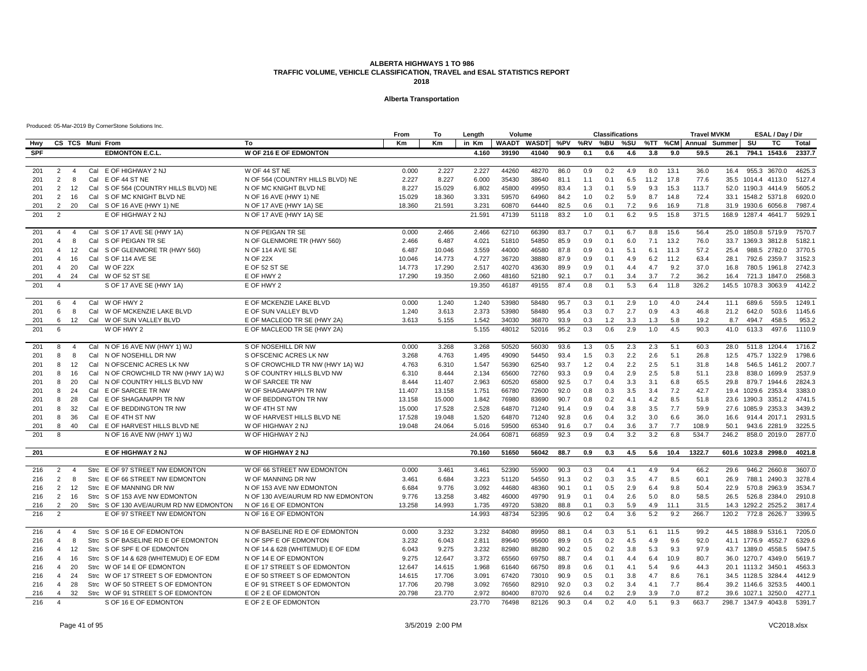#### **Alberta Transportation**

|            |                |                |                  |                                        |                                   | From      | То     | Length | Volume |                     |      |     | <b>Classifications</b> |     |      |      | <b>Travel MVKN</b>    |       |            | ESAL / Day / Dir    |        |
|------------|----------------|----------------|------------------|----------------------------------------|-----------------------------------|-----------|--------|--------|--------|---------------------|------|-----|------------------------|-----|------|------|-----------------------|-------|------------|---------------------|--------|
| Hwy        |                |                | CS TCS Muni From |                                        | To                                | <b>Km</b> | Кm     | in Km  |        | WAADT WASDT %PV %RV |      |     | %BU                    | %SU |      |      | %TT %CM Annual Summer |       | SU         | тc                  | Total  |
| <b>SPF</b> |                |                |                  | <b>EDMONTON E.C.L</b>                  | <b>W OF 216 E OF EDMONTON</b>     |           |        | 4.160  | 39190  | 41040               | 90.9 | 0.1 | 0.6                    | 4.6 | 3.8  | 9.0  | 59.5                  | 26.1  |            | 794.1 1543.6        | 2337.7 |
|            |                |                |                  |                                        |                                   |           |        |        |        |                     |      |     |                        |     |      |      |                       |       |            |                     |        |
| 201        | $\overline{2}$ | $\overline{4}$ |                  | Cal E OF HIGHWAY 2 NJ                  | W OF 44 ST NE                     | 0.000     | 2.227  | 2.227  | 44260  | 48270               | 86.0 | 0.9 | 0.2                    | 4.9 | 8.0  | 13.1 | 36.0                  | 16.4  |            | 955.3 3670.0        | 4625.3 |
| 201        | 2              | 8              |                  | Cal E OF 44 ST NE                      | N OF 564 (COUNTRY HILLS BLVD) NE  | 2.227     | 8.227  | 6.000  | 35430  | 38640               | 81.1 | 1.1 | 0.1                    | 6.5 | 11.2 | 17.8 | 77.6                  |       |            | 35.5 1014.4 4113.0  | 5127.4 |
| 201        | 2              | 12             | Cal              | S OF 564 (COUNTRY HILLS BLVD) NE       | N OF MC KNIGHT BLVD NE            | 8.227     | 15.029 | 6.802  | 45800  | 49950               | 83.4 | 1.3 | 0.1                    | 5.9 | 9.3  | 15.3 | 113.7                 |       |            | 52.0 1190.3 4414.9  | 5605.2 |
| 201        | 2              | - 16           |                  | Cal S OF MC KNIGHT BLVD NE             | N OF 16 AVE (HWY 1) NE            | 15.029    | 18.360 | 3.331  | 59570  | 64960               | 84.2 | 1.0 | 0.2                    | 5.9 | 8.7  | 14.8 | 72.4                  |       |            | 33.1 1548.2 5371.8  | 6920.0 |
| 201        | 2              | 20             |                  | Cal S OF 16 AVE (HWY 1) NE             | N OF 17 AVE (HWY 1A) SE           | 18.360    | 21.591 | 3.231  | 60870  | 64440               | 82.5 | 0.6 | 0.1                    | 7.2 | 9.6  | 16.9 | 71.8                  |       |            | 31.9 1930.6 6056.8  | 7987.4 |
| 201        | $\overline{2}$ |                |                  | E OF HIGHWAY 2 NJ                      | N OF 17 AVE (HWY 1A) SE           |           |        | 21.591 | 47139  | 51118               | 83.2 | 1.0 | 0.1                    | 6.2 | 9.5  | 15.8 | 371.5                 |       |            | 168.9 1287.4 4641.7 | 5929.1 |
|            |                |                |                  |                                        |                                   |           |        |        |        |                     |      |     |                        |     |      |      |                       |       |            |                     |        |
| 201        | $\overline{4}$ | $\overline{4}$ |                  | Cal S OF 17 AVE SE (HWY 1A)            | N OF PEIGAN TR SE                 | 0.000     | 2.466  | 2.466  | 62710  | 66390               | 83.7 | 0.7 | 0.1                    | 6.7 | 8.8  | 15.6 | 56.4                  |       |            | 25.0 1850.8 5719.9  | 7570.7 |
| 201        | $\overline{4}$ | 8              | Cal              | S OF PEIGAN TR SE                      | N OF GLENMORE TR (HWY 560)        | 2.466     | 6.487  | 4.021  | 51810  | 54850               | 85.9 | 0.9 | 0.1                    | 6.0 | 7.1  | 13.2 | 76.0                  |       |            | 33.7 1369.3 3812.8  | 5182.1 |
| 201        | $\overline{4}$ | 12             |                  | Cal S OF GLENMORE TR (HWY 560)         | N OF 114 AVE SE                   | 6.487     | 10.046 | 3.559  | 44000  | 46580               | 87.8 | 0.9 | 0.1                    | 5.1 | 6.1  | 11.3 | 57.2                  | 25.4  |            | 988.5 2782.0        | 3770.5 |
| 201        | $\overline{4}$ | 16             |                  | Cal S OF 114 AVE SE                    | <b>N OF 22X</b>                   | 10.046    | 14.773 | 4.727  | 36720  | 38880               | 87.9 | 0.9 | 0.1                    | 4.9 | 6.2  | 11.2 | 63.4                  | 28.1  |            | 792.6 2359.7        | 3152.3 |
| 201        | $\overline{4}$ | 20             |                  | Cal W OF 22X                           | E OF 52 ST SE                     | 14.773    | 17.290 | 2.517  | 40270  | 43630               | 89.9 | 0.9 | 0.1                    | 4.4 | 4.7  | 9.2  | 37.0                  | 16.8  |            | 780.5 1961.8        | 2742.3 |
| 201        | $\overline{a}$ | 24             |                  | Cal W OF 52 ST SE                      | E OF HWY 2                        | 17.290    | 19.350 | 2.060  | 48160  | 52180               | 92.1 | 0.7 | 0.1                    | 3.4 | 3.7  | 7.2  | 36.2                  | 16.4  |            | 721.3 1847.0        | 2568.3 |
| 201        | $\overline{4}$ |                |                  | S OF 17 AVE SE (HWY 1A)                | E OF HWY 2                        |           |        | 19.350 | 46187  | 49155               | 87.4 | 0.8 | 0.1                    | 5.3 | 6.4  | 11.8 | 326.2                 |       |            | 145.5 1078.3 3063.9 | 4142.2 |
| 201        | 6              | $\overline{4}$ | Cal              | W OF HWY 2                             | E OF MCKENZIE LAKE BLVD           | 0.000     | 1.240  | 1.240  | 53980  | 58480               | 95.7 | 0.3 | 0.1                    | 2.9 | 1.0  | 4.0  | 24.4                  | 11.1  | 689.6      | 559.5               | 1249.1 |
| 201        | 6              | 8              | Cal              | W OF MCKENZIE LAKE BLVD                | E OF SUN VALLEY BLVD              | 1.240     | 3.613  | 2.373  | 53980  | 58480               | 95.4 | 0.3 | 0.7                    | 2.7 | 0.9  | 4.3  | 46.8                  |       | 21.2 642.0 | 503.6               | 1145.6 |
| 201        | 6              | 12             |                  | Cal W OF SUN VALLEY BLVD               | E OF MACLEOD TR SE (HWY 2A)       | 3.613     | 5.155  | 1.542  | 34030  | 36870               | 93.9 | 0.3 | 1.2                    | 3.3 | 1.3  | 5.8  | 19.2                  | 8.7   | 494.7      | 458.5               | 953.2  |
| 201        | 6              |                |                  | W OF HWY 2                             | E OF MACLEOD TR SE (HWY 2A)       |           |        | 5.155  | 48012  | 52016               | 95.2 | 0.3 | 0.6                    | 2.9 | 1.0  | 4.5  | 90.3                  | 41.0  | 613.3      | 497.6               | 1110.9 |
| 201        | 8              | $\overline{4}$ | Cal              | N OF 16 AVE NW (HWY 1) WJ              | S OF NOSEHILL DR NW               | 0.000     | 3.268  | 3.268  | 50520  | 56030               | 93.6 | 1.3 | 0.5                    | 2.3 | 2.3  | 5.1  | 60.3                  | 28.0  |            | 511.8 1204.4        | 1716.2 |
| 201        | 8              | 8              |                  | Cal N OF NOSEHILL DR NW                | S OFSCENIC ACRES LK NW            | 3.268     | 4.763  | 1.495  | 49090  | 54450               | 93.4 | 1.5 | 0.3                    | 2.2 | 2.6  | 5.1  | 26.8                  | 12.5  |            | 475.7 1322.9        | 1798.6 |
| 201        | 8              | 12             |                  | Cal N OFSCENIC ACRES LK NW             | S OF CROWCHILD TR NW (HWY 1A) WJ  | 4.763     | 6.310  | 1.547  | 56390  | 62540               | 93.7 | 1.2 | 0.4                    | 2.2 | 2.5  | 5.1  | 31.8                  | 14.8  |            | 546.5 1461.2        | 2007.7 |
| 201        | 8              | 16             |                  | Cal N OF CROWCHILD TR NW (HWY 1A) WJ   | S OF COUNTRY HILLS BLVD NW        | 6.310     | 8.444  | 2.134  | 65600  | 72760               | 93.3 | 0.9 | 0.4                    | 2.9 | 2.5  | 5.8  | 51.1                  | 23.8  |            | 838.0 1699.9        | 2537.9 |
| 201        | 8              | 20             |                  | Cal N OF COUNTRY HILLS BLVD NW         | W OF SARCEE TR NW                 | 8.444     | 11.407 | 2.963  | 60520  | 65800               | 92.5 | 0.7 | 0.4                    | 3.3 | 3.1  | 6.8  | 65.5                  | 29.8  |            | 879.7 1944.6        | 2824.3 |
| 201        | 8              | 24             | Cal              | E OF SARCEE TR NW                      | W OF SHAGANAPPI TR NW             | 11.407    | 13.158 | 1.751  | 66780  | 72600               | 92.0 | 0.8 | 0.3                    | 3.5 | 3.4  | 7.2  | 42.7                  | 19.4  |            | 1029.6 2353.4       | 3383.0 |
| 201        | 8              | 28             | Cal              | E OF SHAGANAPPI TR NW                  | W OF BEDDINGTON TR NW             | 13.158    | 15.000 | 1.842  | 76980  | 83690               | 90.7 | 0.8 | 0.2                    | 4.1 | 4.2  | 8.5  | 51.8                  |       |            | 23.6 1390.3 3351.2  | 4741.5 |
| 201        | 8              | 32             |                  | Cal E OF BEDDINGTON TR NW              | W OF 4TH ST NW                    | 15.000    | 17.528 | 2.528  | 64870  | 71240               | 91.4 | 0.9 | 0.4                    | 3.8 | 3.5  | 7.7  | 59.9                  |       |            | 27.6 1085.9 2353.3  | 3439.2 |
| 201        | 8              | 36             |                  | Cal E OF 4TH ST NW                     | W OF HARVEST HILLS BLVD NE        | 17.528    | 19.048 | 1.520  | 64870  | 71240               | 92.8 | 0.6 | 0.4                    | 3.2 | 3.0  | 6.6  | 36.0                  | 16.6  |            | 914.4 2017.1        | 2931.5 |
| 201        | 8              | 40             |                  | Cal E OF HARVEST HILLS BLVD NE         | W OF HIGHWAY 2 NJ                 | 19.048    | 24.064 | 5.016  | 59500  | 65340               | 91.6 | 0.7 | 0.4                    | 3.6 | 3.7  | 7.7  | 108.9                 | 50.1  |            | 943.6 2281.9        | 3225.5 |
| 201        | 8              |                |                  | N OF 16 AVE NW (HWY 1) WJ              | W OF HIGHWAY 2 NJ                 |           |        | 24.064 | 60871  | 66859               | 92.3 | 0.9 | 0.4                    | 3.2 | 3.2  | 6.8  | 534.7                 | 246.2 |            | 858.0 2019.0        | 2877.0 |
|            |                |                |                  |                                        |                                   |           |        |        |        |                     |      |     |                        |     |      |      |                       |       |            |                     |        |
| 201        |                |                |                  | E OF HIGHWAY 2 NJ                      | W OF HIGHWAY 2 NJ                 |           |        | 70.160 | 51650  | 56042               | 88.7 | 0.9 | 0.3                    | 4.5 | 5.6  | 10.4 | 1322.7                |       |            | 601.6 1023.8 2998.0 | 4021.8 |
| 216        | $\overline{2}$ | $\overline{4}$ |                  | Strc E OF 97 STREET NW EDMONTON        | W OF 66 STREET NW EDMONTON        | 0.000     | 3.461  | 3.461  | 52390  | 55900               | 90.3 | 0.3 | 0.4                    | 4.1 | 4.9  | 9.4  | 66.2                  | 29.6  |            | 946.2 2660.8        | 3607.0 |
| 216        | 2              | 8              |                  | Strc E OF 66 STREET NW EDMONTON        | W OF MANNING DR NW                | 3.461     | 6.684  | 3.223  | 51120  | 54550               | 91.3 | 0.2 | 0.3                    | 3.5 | 4.7  | 8.5  | 60.1                  | 26.9  |            | 788.1 2490.3        | 3278.4 |
| 216        | 2              | 12             |                  | Strc E OF MANNING DR NW                | N OF 153 AVE NW EDMONTON          | 6.684     | 9.776  | 3.092  | 44680  | 48360               | 90.1 | 0.1 | 0.5                    | 2.9 | 6.4  | 9.8  | 50.4                  | 22.9  |            | 570.8 2963.9        | 3534.7 |
| 216        | 2              | 16             |                  | Strc S OF 153 AVE NW EDMONTON          | N OF 130 AVE/AURUM RD NW EDMONTON | 9.776     | 13.258 | 3.482  | 46000  | 49790               | 91.9 | 0.1 | 0.4                    | 2.6 | 5.0  | 8.0  | 58.5                  | 26.5  |            | 526.8 2384.0        | 2910.8 |
| 216        | $\overline{2}$ | 20             |                  | Strc S OF 130 AVE/AURUM RD NW EDMONTON | N OF 16 E OF EDMONTON             | 13.258    | 14.993 | 1.735  | 49720  | 53820               | 88.8 | 0.1 | 0.3                    | 5.9 | 4.9  | 11.1 | 31.5                  | 14.3  |            | 1292.2 2525.2       | 3817.4 |
| 216        | 2              |                |                  | E OF 97 STREET NW EDMONTON             | N OF 16 E OF EDMONTON             |           |        | 14.993 | 48734  | 52395               | 90.6 | 0.2 | 0.4                    | 3.6 | 5.2  | 9.2  | 266.7                 | 120.2 |            | 772.8 2626.7        | 3399.5 |
| 216        | $\overline{4}$ | $\overline{4}$ |                  | Strc S OF 16 E OF EDMONTON             | N OF BASELINE RD E OF EDMONTON    | 0.000     | 3.232  | 3.232  | 84080  | 89950               | 88.1 | 0.4 | 0.3                    | 5.1 | 6.1  | 11.5 | 99.2                  |       |            | 44.5 1888.9 5316.1  | 7205.0 |
| 216        | $\overline{4}$ | 8              |                  | Strc S OF BASELINE RD E OF EDMONTON    | N OF SPF E OF EDMONTON            | 3.232     | 6.043  | 2.811  | 89640  | 95600               | 89.9 | 0.5 | 0.2                    | 4.5 | 4.9  | 9.6  | 92.0                  |       |            | 41.1 1776.9 4552.7  | 6329.6 |
| 216        | $\overline{4}$ | 12             |                  | Strc S OF SPF E OF EDMONTON            | N OF 14 & 628 (WHITEMUD) E OF EDM | 6.043     | 9.275  | 3.232  | 82980  | 88280               | 90.2 | 0.5 | 0.2                    | 3.8 | 5.3  | 9.3  | 97.9                  |       |            | 43.7 1389.0 4558.5  | 5947.5 |
| 216        | $\overline{4}$ | 16             |                  | Strc S OF 14 & 628 (WHITEMUD) E OF EDM | N OF 14 E OF EDMONTON             | 9.275     | 12.647 | 3.372  | 65560  | 69750               | 88.7 | 0.4 | 0.1                    | 4.4 | 6.4  | 10.9 | 80.7                  |       |            | 36.0 1270.7 4349.0  | 5619.7 |
| 216        | $\overline{4}$ | 20             |                  | Strc W OF 14 E OF EDMONTON             | E OF 17 STREET S OF EDMONTON      | 12.647    | 14.615 | 1.968  | 61640  | 66750               | 89.8 | 0.6 | 0.1                    | 4.1 | 5.4  | 9.6  | 44.3                  |       |            | 20.1 1113.2 3450.1  | 4563.3 |
| 216        | $\overline{4}$ | 24             |                  | Strc W OF 17 STREET S OF EDMONTON      | E OF 50 STREET S OF EDMONTON      | 14.615    | 17.706 | 3.091  | 67420  | 73010               | 90.9 | 0.5 | 0.1                    | 3.8 | 4.7  | 8.6  | 76.1                  |       |            | 34.5 1128.5 3284.4  | 4412.9 |
| 216        | $\overline{4}$ | 28             |                  | Strc W OF 50 STREET S OF EDMONTON      | E OF 91 STREET S OF EDMONTON      | 17.706    | 20.798 | 3.092  | 76560  | 82910               | 92.0 | 0.3 | 0.2                    | 3.4 | 4.1  | 7.7  | 86.4                  |       |            | 39.2 1146.6 3253.5  | 4400.1 |
| 216        | $\overline{4}$ | 32             |                  | Strc W OF 91 STREET S OF EDMONTON      | E OF 2 E OF EDMONTON              | 20.798    | 23.770 | 2.972  | 80400  | 87070               | 92.6 | 0.4 | 0.2                    | 2.9 | 3.9  | 7.0  | 87.2                  |       |            | 39.6 1027.1 3250.0  | 4277.1 |
| 216        | $\overline{4}$ |                |                  | S OF 16 E OF EDMONTON                  | E OF 2 E OF EDMONTON              |           |        | 23.770 | 76498  | 82126               | 90.3 | 0.4 | 0.2                    | 4.0 | 5.1  | 9.3  | 663.7                 |       |            | 298.7 1347.9 4043.8 | 5391.7 |
|            |                |                |                  |                                        |                                   |           |        |        |        |                     |      |     |                        |     |      |      |                       |       |            |                     |        |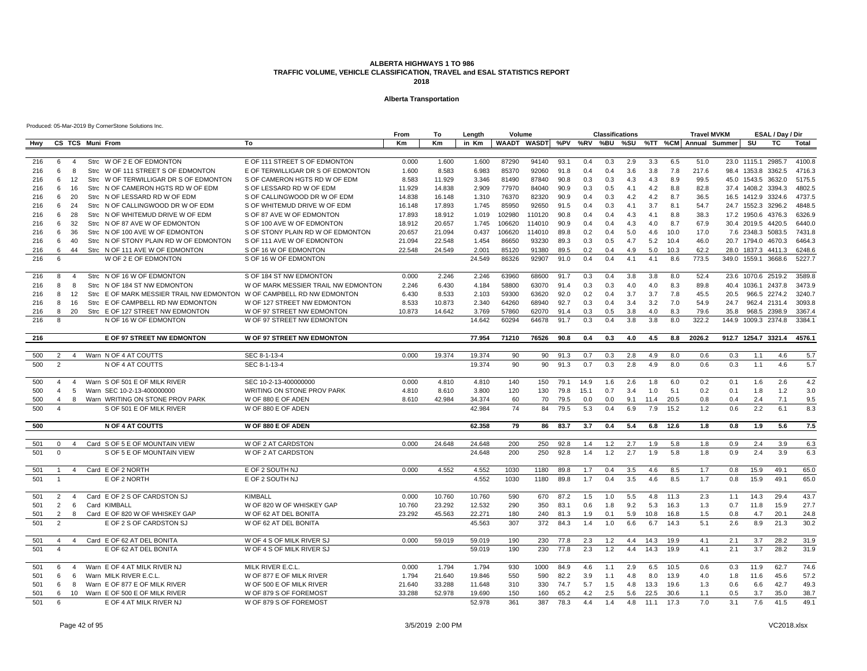#### **Alberta Transportation**

|     |                |                |                  |                                                                       |                                     | From      | To     | Length | Volume |                                                   |      |      | <b>Classifications</b> |     |      |      | <b>Travel MVKM</b> |      |                     | ESAL / Day / Dir   |        |
|-----|----------------|----------------|------------------|-----------------------------------------------------------------------|-------------------------------------|-----------|--------|--------|--------|---------------------------------------------------|------|------|------------------------|-----|------|------|--------------------|------|---------------------|--------------------|--------|
| Hwy |                |                | CS TCS Muni From |                                                                       | To                                  | <b>Km</b> | Km     | in Km  |        | WAADT WASDT %PV %RV %BU %SU %TT %CM Annual Summer |      |      |                        |     |      |      |                    |      | SU                  | <b>TC</b>          | Total  |
|     |                |                |                  |                                                                       |                                     |           |        |        |        |                                                   |      |      |                        |     |      |      |                    |      |                     |                    |        |
| 216 | 6              | $\overline{4}$ |                  | Strc W OF 2 E OF EDMONTON                                             | E OF 111 STREET S OF EDMONTON       | 0.000     | 1.600  | 1.600  | 87290  | 94140                                             | 93.1 | 0.4  | 0.3                    | 2.9 | 3.3  | 6.5  | 51.0               |      | 23.0 1115.1 2985.7  |                    | 4100.8 |
| 216 | 6              | 8              |                  | Strc W OF 111 STREET S OF EDMONTON                                    | E OF TERWILLIGAR DR S OF EDMONTON   | 1.600     | 8.583  | 6.983  | 85370  | 92060                                             | 91.8 | 0.4  | 0.4                    | 3.6 | 3.8  | 7.8  | 217.6              |      | 98.4 1353.8 3362.5  |                    | 4716.3 |
| 216 | 6              | 12             |                  | Strc W OF TERWILLIGAR DR S OF EDMONTON                                | S OF CAMERON HGTS RD W OF EDM       | 8.583     | 11.929 | 3.346  | 81490  | 87840                                             | 90.8 | 0.3  | 0.3                    | 4.3 | 4.3  | 8.9  | 99.5               |      | 45.0 1543.5 3632.0  |                    | 5175.5 |
| 216 | 6              | 16             |                  | Strc N OF CAMERON HGTS RD W OF EDM                                    | S OF LESSARD RD W OF EDM            | 11.929    | 14.838 | 2.909  | 77970  | 84040                                             | 90.9 | 0.3  | 0.5                    | 4.1 | 4.2  | 8.8  | 82.8               |      | 37.4 1408.2 3394.3  |                    | 4802.5 |
| 216 | 6              | 20             |                  | Strc N OF LESSARD RD W OF EDM                                         | S OF CALLINGWOOD DR W OF EDM        | 14.838    | 16.148 | 1.310  | 76370  | 82320                                             | 90.9 | 0.4  | 0.3                    | 4.2 | 4.2  | 8.7  | 36.5               |      |                     | 16.5 1412.9 3324.6 | 4737.5 |
| 216 | 6              | 24             |                  | Strc N OF CALLINGWOOD DR W OF EDM                                     | S OF WHITEMUD DRIVE W OF EDM        | 16.148    | 17.893 | 1.745  | 85950  | 92650                                             | 91.5 | 0.4  | 0.3                    | 4.1 | 3.7  | 8.1  | 54.7               |      | 24.7 1552.3 3296.2  |                    | 4848.5 |
| 216 | 6              | 28             |                  | Strc N OF WHITEMUD DRIVE W OF EDM                                     | S OF 87 AVE W OF EDMONTON           | 17.893    | 18.912 | 1.019  | 102980 | 110120                                            | 90.8 | 0.4  | 0.4                    | 4.3 | 4.1  | 8.8  | 38.3               |      | 17.2 1950.6 4376.3  |                    | 6326.9 |
| 216 | 6              | 32             |                  | Strc N OF 87 AVE W OF EDMONTON                                        | S OF 100 AVE W OF EDMONTON          | 18.912    | 20.657 | 1.745  | 106620 | 114010                                            | 90.9 | 0.4  | 0.4                    | 4.3 | 4.0  | 8.7  | 67.9               |      | 30.4 2019.5 4420.5  |                    | 6440.0 |
| 216 | 6              | 36             |                  | Strc N OF 100 AVE W OF EDMONTON                                       | S OF STONY PLAIN RD W OF EDMONTON   | 20.657    | 21.094 | 0.437  | 106620 | 114010                                            | 89.8 | 0.2  | 0.4                    | 5.0 | 4.6  | 10.0 | 17.0               |      |                     | 7.6 2348.3 5083.5  | 7431.8 |
| 216 | 6              | 40             |                  | Strc N OF STONY PLAIN RD W OF EDMONTON                                | S OF 111 AVE W OF EDMONTON          | 21.094    | 22.548 | 1.454  | 86650  | 93230                                             | 89.3 | 0.3  | 0.5                    | 4.7 | 5.2  | 10.4 | 46.0               |      | 20.7 1794.0 4670.3  |                    | 6464.3 |
| 216 | 6              | 44             |                  | Strc N OF 111 AVE W OF EDMONTON                                       | S OF 16 W OF EDMONTON               | 22.548    | 24.549 | 2.001  | 85120  | 91380                                             | 89.5 | 0.2  | 0.4                    | 4.9 | 5.0  | 10.3 | 62.2               |      | 28.0 1837.3 4411.3  |                    | 6248.6 |
| 216 | 6              |                |                  | W OF 2 E OF EDMONTON                                                  | S OF 16 W OF EDMONTON               |           |        | 24.549 | 86326  | 92907                                             | 91.0 | 0.4  | 0.4                    | 4.1 | 4.1  | 8.6  | 773.5              |      | 349.0 1559.1 3668.6 |                    | 5227.7 |
|     |                |                |                  |                                                                       |                                     |           |        |        |        |                                                   |      |      |                        |     |      |      |                    |      |                     |                    |        |
| 216 | 8              | $\overline{4}$ |                  | Strc N OF 16 W OF EDMONTON                                            | S OF 184 ST NW EDMONTON             | 0.000     | 2.246  | 2.246  | 63960  | 68600                                             | 91.7 | 0.3  | 0.4                    | 3.8 | 3.8  | 8.0  | 52.4               |      |                     | 23.6 1070.6 2519.2 | 3589.8 |
| 216 | 8              | 8              |                  | Strc N OF 184 ST NW EDMONTON                                          | W OF MARK MESSIER TRAIL NW EDMONTON | 2.246     | 6.430  | 4.184  | 58800  | 63070                                             | 91.4 | 0.3  | 0.3                    | 4.0 | 4.0  | 8.3  | 89.8               |      | 40.4 1036.1 2437.8  |                    | 3473.9 |
| 216 | 8              | 12             |                  | Strc E OF MARK MESSIER TRAIL NW EDMONTON W OF CAMPBELL RD NW EDMONTON |                                     | 6.430     | 8.533  | 2.103  | 59300  | 63620                                             | 92.0 | 0.2  | 0.4                    | 3.7 | 3.7  | 7.8  | 45.5               | 20.5 |                     | 966.5 2274.2       | 3240.7 |
| 216 | 8              | 16             |                  | Strc E OF CAMPBELL RD NW EDMONTON                                     | W OF 127 STREET NW EDMONTON         | 8.533     | 10.873 | 2.340  | 64260  | 68940                                             | 92.7 | 0.3  | 0.4                    | 3.4 | 3.2  | 7.0  | 54.9               | 24.7 |                     | 962.4 2131.4       | 3093.8 |
| 216 | 8              | 20             |                  | Strc E OF 127 STREET NW EDMONTON                                      | W OF 97 STREET NW EDMONTON          | 10.873    | 14.642 | 3.769  | 57860  | 62070                                             | 91.4 | 0.3  | 0.5                    | 3.8 | 4.0  | 8.3  | 79.6               | 35.8 |                     | 968.5 2398.9       | 3367.4 |
| 216 | 8              |                |                  | N OF 16 W OF EDMONTON                                                 | W OF 97 STREET NW EDMONTON          |           |        | 14.642 | 60294  | 64678                                             | 91.7 | 0.3  | 0.4                    | 3.8 | 3.8  | 8.0  | 322.2              |      | 144.9 1009.3 2374.8 |                    | 3384.1 |
|     |                |                |                  |                                                                       |                                     |           |        |        |        |                                                   |      |      |                        |     |      |      |                    |      |                     |                    |        |
| 216 |                |                |                  | <b>E OF 97 STREET NW EDMONTON</b>                                     | <b>W OF 97 STREET NW EDMONTON</b>   |           |        | 77.954 | 71210  | 76526                                             | 90.8 | 0.4  | 0.3                    | 4.0 | 4.5  | 8.8  | 2026.2             |      | 912.7 1254.7 3321.4 |                    | 4576.1 |
|     |                |                |                  |                                                                       |                                     |           |        |        |        |                                                   |      |      |                        |     |      |      |                    |      |                     |                    |        |
| 500 | 2              | $\overline{4}$ |                  | Warn N OF 4 AT COUTTS                                                 | SEC 8-1-13-4                        | 0.000     | 19.374 | 19.374 | 90     | 90                                                | 91.3 | 0.7  | 0.3                    | 2.8 | 4.9  | 8.0  | 0.6                | 0.3  | 1.1                 | 4.6                | 5.7    |
| 500 | 2              |                |                  | N OF 4 AT COUTTS                                                      | SEC 8-1-13-4                        |           |        | 19.374 | 90     | 90                                                | 91.3 | 0.7  | 0.3                    | 2.8 | 4.9  | 8.0  | 0.6                | 0.3  | 1.1                 | 4.6                | 5.7    |
|     |                |                |                  |                                                                       |                                     |           |        |        |        |                                                   |      |      |                        |     |      |      |                    |      |                     |                    |        |
| 500 | $\overline{4}$ | $\overline{4}$ |                  | Warn S OF 501 E OF MILK RIVER                                         | SEC 10-2-13-400000000               | 0.000     | 4.810  | 4.810  | 140    | 150                                               | 79.1 | 14.9 | 1.6                    | 2.6 | 1.8  | 6.0  | 0.2                | 0.1  | 1.6                 | 2.6                | 4.2    |
| 500 | $\overline{4}$ | 5              |                  | Warn SEC 10-2-13-400000000                                            | WRITING ON STONE PROV PARK          | 4.810     | 8.610  | 3.800  | 120    | 130                                               | 79.8 | 15.1 | 0.7                    | 3.4 | 1.0  | 5.1  | 0.2                | 0.1  | 1.8                 | $1.2$              | 3.0    |
| 500 | $\overline{4}$ | 8              |                  | Warn WRITING ON STONE PROV PARK                                       | W OF 880 E OF ADEN                  | 8.610     | 42.984 | 34.374 | 60     | 70                                                | 79.5 | 0.0  | 0.0                    | 9.1 | 11.4 | 20.5 | 0.8                | 0.4  | 2.4                 | 7.1                | 9.5    |
| 500 | $\overline{4}$ |                |                  | S OF 501 E OF MILK RIVER                                              | W OF 880 E OF ADEN                  |           |        | 42.984 | 74     | 84                                                | 79.5 | 5.3  | 0.4                    | 6.9 | 7.9  | 15.2 | 1.2                | 0.6  | 2.2                 | 6.1                | 8.3    |
|     |                |                |                  |                                                                       |                                     |           |        |        |        |                                                   |      |      |                        |     |      |      |                    |      |                     |                    |        |
| 500 |                |                |                  | <b>N OF 4 AT COUTTS</b>                                               | W OF 880 E OF ADEN                  |           |        | 62.358 | 79     | 86                                                | 83.7 | 3.7  | 0.4                    | 5.4 | 6.8  | 12.6 | 1.8                | 0.8  | 1.9                 | 5.6                | 7.5    |
|     |                |                |                  |                                                                       |                                     |           |        |        |        |                                                   |      |      |                        |     |      |      |                    |      |                     |                    |        |
| 501 | $\mathbf{0}$   | $\overline{4}$ |                  | Card S OF 5 E OF MOUNTAIN VIEW                                        | W OF 2 AT CARDSTON                  | 0.000     | 24.648 | 24.648 | 200    | 250                                               | 92.8 | 1.4  | 1.2                    | 2.7 | 1.9  | 5.8  | 1.8                | 0.9  | 2.4                 | 3.9                | 6.3    |
| 501 | $\Omega$       |                |                  | S OF 5 E OF MOUNTAIN VIEW                                             | W OF 2 AT CARDSTON                  |           |        | 24.648 | 200    | 250                                               | 92.8 | 1.4  | 1.2                    | 2.7 | 1.9  | 5.8  | 1.8                | 0.9  | 2.4                 | 3.9                | 6.3    |
|     |                |                |                  |                                                                       |                                     |           |        |        |        |                                                   |      |      |                        |     |      |      |                    |      |                     |                    |        |
| 501 | $\overline{1}$ | $\overline{4}$ |                  | Card E OF 2 NORTH                                                     | E OF 2 SOUTH NJ                     | 0.000     | 4.552  | 4.552  | 1030   | 1180                                              | 89.8 | 1.7  | 0.4                    | 3.5 | 4.6  | 8.5  | 1.7                | 0.8  | 15.9                | 49.1               | 65.0   |
| 501 | $\overline{1}$ |                |                  | E OF 2 NORTH                                                          | E OF 2 SOUTH NJ                     |           |        | 4.552  | 1030   | 1180                                              | 89.8 | 1.7  | 0.4                    | 3.5 | 4.6  | 8.5  | 1.7                | 0.8  | 15.9                | 49.1               | 65.0   |
|     |                |                |                  |                                                                       |                                     |           |        |        |        |                                                   |      |      |                        |     |      |      |                    |      |                     |                    |        |
| 501 | $\overline{2}$ | $\overline{4}$ |                  | Card E OF 2 S OF CARDSTON SJ                                          | KIMBALL                             | 0.000     | 10.760 | 10.760 | 590    | 670                                               | 87.2 | 1.5  | 1.0                    | 5.5 | 4.8  | 11.3 | 2.3                | 1.1  | 14.3                | 29.4               | 43.7   |
| 501 | $\overline{2}$ | 6              |                  | Card KIMBALL                                                          | W OF 820 W OF WHISKEY GAP           | 10.760    | 23.292 | 12.532 | 290    | 350                                               | 83.1 | 0.6  | 1.8                    | 9.2 | 5.3  | 16.3 | 1.3                | 0.7  | 11.8                | 15.9               | 27.7   |
| 501 | $\overline{2}$ | 8              |                  | Card E OF 820 W OF WHISKEY GAP                                        | W OF 62 AT DEL BONITA               | 23.292    | 45.563 | 22.271 | 180    | 240                                               | 81.3 | 1.9  | 0.1                    | 5.9 | 10.8 | 16.8 | 1.5                | 0.8  | 4.7                 | 20.1               | 24.8   |
| 501 | 2              |                |                  | E OF 2 S OF CARDSTON SJ                                               | W OF 62 AT DEL BONITA               |           |        | 45.563 | 307    | 372                                               | 84.3 | 1.4  | 1.0                    | 6.6 | 6.7  | 14.3 | 5.1                | 2.6  | 8.9                 | 21.3               | 30.2   |
|     |                |                |                  |                                                                       |                                     |           |        |        |        |                                                   |      |      |                        |     |      |      |                    |      |                     |                    |        |
| 501 | $\overline{4}$ | $\overline{4}$ |                  | Card E OF 62 AT DEL BONITA                                            | W OF 4 S OF MILK RIVER SJ           | 0.000     | 59.019 | 59.019 | 190    | 230                                               | 77.8 | 2.3  | 1.2                    | 4.4 | 14.3 | 19.9 | 4.1                | 2.1  | 3.7                 | 28.2               | 31.9   |
| 501 | $\overline{4}$ |                |                  | E OF 62 AT DEL BONITA                                                 | W OF 4 S OF MILK RIVER SJ           |           |        | 59.019 | 190    | 230                                               | 77.8 | 2.3  | 1.2                    | 4.4 | 14.3 | 19.9 | 4.1                | 2.1  | 3.7                 | 28.2               | 31.9   |
|     |                |                |                  |                                                                       |                                     |           |        |        |        |                                                   |      |      |                        |     |      |      |                    |      |                     |                    |        |
| 501 | 6              | $\overline{4}$ |                  | Warn E OF 4 AT MILK RIVER NJ                                          | MILK RIVER E.C.L.                   | 0.000     | 1.794  | 1.794  | 930    | 1000                                              | 84.9 | 4.6  | 1.1                    | 2.9 | 6.5  | 10.5 | 0.6                | 0.3  | 11.9                | 62.7               | 74.6   |
| 501 | 6              | 6              |                  | Warn MILK RIVER E.C.L                                                 | W OF 877 E OF MILK RIVER            | 1.794     | 21.640 | 19.846 | 550    | 590                                               | 82.2 | 3.9  | 1.1                    | 4.8 | 8.0  | 13.9 | 4.0                | 1.8  | 11.6                | 45.6               | 57.2   |
| 501 | 6              | -8             |                  | Warn E OF 877 E OF MILK RIVER                                         | W OF 500 E OF MILK RIVER            | 21.640    | 33.288 | 11.648 | 310    | 330                                               | 74.7 | 5.7  | 1.5                    | 4.8 | 13.3 | 19.6 | 1.3                | 0.6  | 6.6                 | 42.7               | 49.3   |
| 501 | 6              | 10             |                  | Warn E OF 500 E OF MILK RIVER                                         | W OF 879 S OF FOREMOST              | 33.288    | 52.978 | 19.690 | 150    | 160                                               | 65.2 | 4.2  | 2.5                    | 5.6 | 22.5 | 30.6 | 1.1                | 0.5  | 3.7                 | 35.0               | 38.7   |
| 501 | 6              |                |                  | E OF 4 AT MILK RIVER NJ                                               | W OF 879 S OF FOREMOST              |           |        | 52.978 | 361    | 387                                               | 78.3 | 4.4  | 1.4                    | 4.8 | 11.1 | 17.3 | 7.0                | 3.1  | 7.6                 | 41.5               | 49.1   |
|     |                |                |                  |                                                                       |                                     |           |        |        |        |                                                   |      |      |                        |     |      |      |                    |      |                     |                    |        |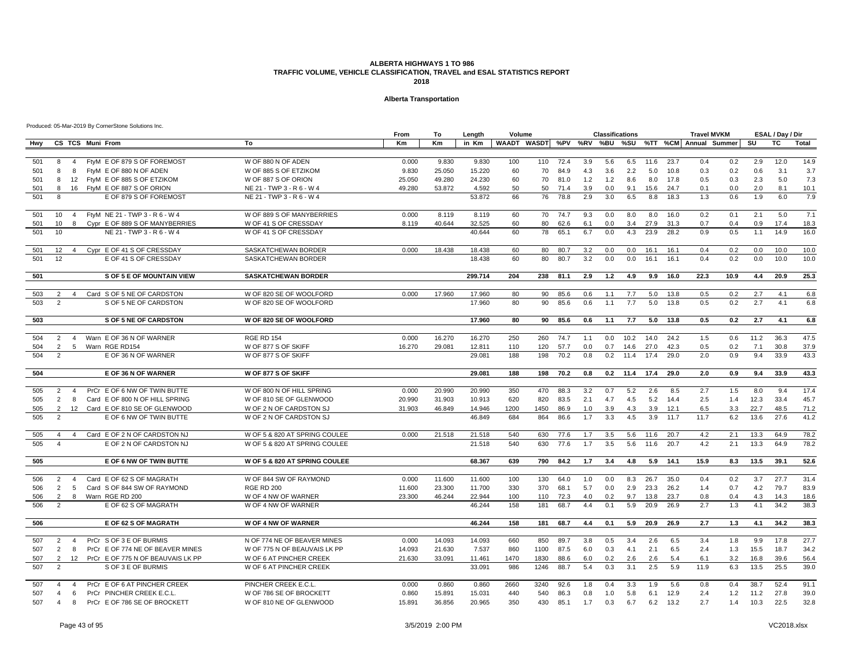#### **Alberta Transportation**

|            |                 |                |                  |                                      |                               | From   | To        | Length  | Volume                  |          |              |            | <b>Classifications</b> |            |            |      | <b>Travel MVKM</b>        |            |      | ESAL / Day / Dir |            |
|------------|-----------------|----------------|------------------|--------------------------------------|-------------------------------|--------|-----------|---------|-------------------------|----------|--------------|------------|------------------------|------------|------------|------|---------------------------|------------|------|------------------|------------|
| Hwy        |                 |                | CS TCS Muni From |                                      | To                            | Km     | <b>Km</b> | in Km   | WAADT WASDT %PV %RV %BU |          |              |            |                        |            |            |      | %SU %TT %CM Annual Summer |            | SU   | <b>TC</b>        | Total      |
|            |                 |                |                  |                                      |                               |        |           |         |                         |          |              |            |                        |            |            |      |                           |            |      |                  |            |
| 501        | 8               | $\overline{4}$ |                  | FtyM E OF 879 S OF FOREMOST          | W OF 880 N OF ADEN            | 0.000  | 9.830     | 9.830   | 100                     | 110      | 72.4         | 3.9        | 5.6                    | 6.5        | 11.6       | 23.7 | 0.4                       | 0.2        | 2.9  | 12.0             | 14.9       |
| 501        | 8               | 8              |                  | FtyM E OF 880 N OF ADEN              | W OF 885 S OF ETZIKOM         | 9.830  | 25.050    | 15.220  | 60                      | 70       | 84.9         | 4.3        | 3.6                    | 2.2        | 5.0        | 10.8 | 0.3                       | 0.2        | 0.6  | 3.1              | 3.7        |
| 501        | 8               |                |                  | 12 FtyM E OF 885 S OF ETZIKOM        | W OF 887 S OF ORION           | 25.050 | 49.280    | 24.230  | 60                      | 70       | 81.0         | 1.2        | 1.2                    | 8.6        | 8.0        | 17.8 | 0.5                       | 0.3        | 2.3  | 5.0              | 7.3        |
| 501        | 8               |                |                  | 16 FtyM E OF 887 S OF ORION          | NE 21 - TWP 3 - R 6 - W 4     | 49.280 | 53.872    | 4.592   | 50                      | 50       | 71.4         | 3.9        | 0.0                    | 9.1        | 15.6       | 24.7 | 0.1                       | 0.0        | 2.0  | 8.1              | 10.1       |
| 501        | 8               |                |                  | E OF 879 S OF FOREMOST               | NE 21 - TWP 3 - R 6 - W 4     |        |           | 53.872  | 66                      | 76       | 78.8         | 2.9        | 3.0                    | 6.5        | 8.8        | 18.3 | 1.3                       | 0.6        | 1.9  | 6.0              | 7.9        |
| 501        | 10 <sup>1</sup> | $\overline{4}$ |                  | FtyM NE 21 - TWP 3 - R 6 - W 4       | W OF 889 S OF MANYBERRIES     | 0.000  | 8.119     | 8.119   | 60                      | 70       | 74.7         | 9.3        | 0.0                    | 8.0        | 8.0        | 16.0 | 0.2                       | 0.1        | 2.1  | 5.0              | 7.1        |
| 501        | 10              | 8              |                  | Cypr E OF 889 S OF MANYBERRIES       | W OF 41 S OF CRESSDAY         | 8.119  | 40.644    | 32.525  | 60                      | 80       | 62.6         | 6.1        | 0.0                    | 3.4        | 27.9       | 31.3 | 0.7                       | 0.4        | 0.9  | 17.4             | 18.3       |
| 501        | 10              |                |                  | NE 21 - TWP 3 - R 6 - W 4            | W OF 41 S OF CRESSDAY         |        |           | 40.644  | 60                      | 78       | 65.1         | 6.7        | 0.0                    | 4.3        | 23.9       | 28.2 | 0.9                       | 0.5        | 1.1  | 14.9             | 16.0       |
| 501        | 12              | $\overline{4}$ |                  | Cypr E OF 41 S OF CRESSDAY           | SASKATCHEWAN BORDER           | 0.000  | 18.438    | 18.438  | 60                      | 80       | 80.7         | 3.2        | 0.0                    | 0.0        | 16.1       | 16.1 | 0.4                       | 0.2        | 0.0  | 10.0             | 10.0       |
| 501        | 12              |                |                  | E OF 41 S OF CRESSDAY                | SASKATCHEWAN BORDER           |        |           | 18.438  | 60                      | 80       | 80.7         | 3.2        | 0.0                    | 0.0        | 16.1       | 16.1 | 0.4                       | 0.2        | 0.0  | 10.0             | 10.0       |
| 501        |                 |                |                  | S OF 5 E OF MOUNTAIN VIEW            | <b>SASKATCHEWAN BORDER</b>    |        |           | 299.714 | 204                     | 238      | 81.1         | 2.9        | 1.2                    | 4.9        | 9.9        | 16.0 | 22.3                      | 10.9       | 4.4  | 20.9             | 25.3       |
|            | 2               |                |                  | Card S OF 5 NE OF CARDSTON           | W OF 820 SE OF WOOLFORD       |        | 17.960    | 17,960  |                         |          |              |            |                        |            |            | 13.8 |                           |            | 2.7  |                  |            |
| 503<br>503 | $\overline{2}$  | $\overline{4}$ |                  | S OF 5 NE OF CARDSTON                | W OF 820 SE OF WOOLFORD       | 0.000  |           | 17.960  | 80<br>80                | 90<br>90 | 85.6<br>85.6 | 0.6<br>0.6 | 1.1<br>1.1             | 7.7<br>7.7 | 5.0<br>5.0 | 13.8 | 0.5<br>0.5                | 0.2<br>0.2 | 2.7  | 4.1<br>4.1       | 6.8<br>6.8 |
|            |                 |                |                  |                                      |                               |        |           |         |                         |          |              |            |                        |            |            |      |                           |            |      |                  |            |
| 503        |                 |                |                  | S OF 5 NE OF CARDSTON                | W OF 820 SE OF WOOLFORD       |        |           | 17.960  | 80                      | 90       | 85.6         | 0.6        | 1.1                    | 7.7        | 5.0        | 13.8 | 0.5                       | 0.2        | 2.7  | 4.1              | 6.8        |
| 504        | 2               | $\overline{4}$ |                  | Warn E OF 36 N OF WARNER             | <b>RGE RD 154</b>             | 0.000  | 16.270    | 16.270  | 250                     | 260      | 74.7         | 1.1        | 0.0                    | 10.2       | 14.0       | 24.2 | 1.5                       | 0.6        | 11.2 | 36.3             | 47.5       |
| 504        | 2               | 5              |                  | Warn RGE RD154                       | W OF 877 S OF SKIFF           | 16.270 | 29.081    | 12.811  | 110                     | 120      | 57.7         | 0.0        | 0.7                    | 14.6       | 27.0       | 42.3 | 0.5                       | 0.2        | 7.1  | 30.8             | 37.9       |
| 504        | 2               |                |                  | E OF 36 N OF WARNER                  | W OF 877 S OF SKIFF           |        |           | 29.081  | 188                     | 198      | 70.2         | 0.8        | 0.2                    | 11.4       | 17.4       | 29.0 | 2.0                       | 0.9        | 9.4  | 33.9             | 43.3       |
| 504        |                 |                |                  | E OF 36 N OF WARNER                  | W OF 877 S OF SKIFF           |        |           | 29.081  | 188                     | 198      | 70.2         | 0.8        | 0.2                    | 11.4       | 17.4       | 29.0 | 2.0                       | 0.9        | 9.4  | 33.9             | 43.3       |
|            |                 |                |                  |                                      |                               |        |           |         |                         |          |              |            |                        |            |            |      |                           |            |      |                  |            |
| 505        | 2               | $\overline{4}$ |                  | PrCr E OF 6 NW OF TWIN BUTTE         | W OF 800 N OF HILL SPRING     | 0.000  | 20,990    | 20.990  | 350                     | 470      | 88.3         | 3.2        | 0.7                    | 5.2        | 2.6        | 8.5  | 2.7                       | 1.5        | 8.0  | 9.4              | 17.4       |
| 505        | 2               | 8              |                  | Card E OF 800 N OF HILL SPRING       | W OF 810 SE OF GLENWOOD       | 20.990 | 31.903    | 10.913  | 620                     | 820      | 83.5         | 2.1        | 4.7                    | 4.5        | 5.2        | 14.4 | 2.5                       | 1.4        | 12.3 | 33.4             | 45.7       |
| 505        | 2               | 12             |                  | Card E OF 810 SE OF GLENWOOD         | W OF 2 N OF CARDSTON SJ       | 31.903 | 46.849    | 14.946  | 1200                    | 1450     | 86.9         | 1.0        | 3.9                    | 4.3        | 3.9        | 12.1 | 6.5                       | 3.3        | 22.7 | 48.5             | 71.2       |
| 505        | $\overline{2}$  |                |                  | E OF 6 NW OF TWIN BUTTE              | W OF 2 N OF CARDSTON SJ       |        |           | 46.849  | 684                     | 864      | 86.6         | 1.7        | 3.3                    | 4.5        | 3.9        | 11.7 | 11.7                      | 6.2        | 13.6 | 27.6             | 41.2       |
| 505        | $\overline{4}$  | $\overline{4}$ |                  | Card E OF 2 N OF CARDSTON NJ         | W OF 5 & 820 AT SPRING COULEE | 0.000  | 21.518    | 21.518  | 540                     | 630      | 77.6         | 1.7        | 3.5                    | 5.6        | 11.6       | 20.7 | 4.2                       | 2.1        | 13.3 | 64.9             | 78.2       |
| 505        | $\overline{4}$  |                |                  | E OF 2 N OF CARDSTON NJ              | W OF 5 & 820 AT SPRING COULEE |        |           | 21.518  | 540                     | 630      | 77.6         | 1.7        | 3.5                    | 5.6        | 11.6       | 20.7 | 4.2                       | 2.1        | 13.3 | 64.9             | 78.2       |
| 505        |                 |                |                  | E OF 6 NW OF TWIN BUTTE              | W OF 5 & 820 AT SPRING COULEE |        |           | 68.367  | 639                     | 790      | 84.2         | 1.7        | 3.4                    | 4.8        | 5.9        | 14.1 | 15.9                      | 8.3        | 13.5 | 39.1             | 52.6       |
|            |                 |                |                  |                                      |                               |        |           |         |                         |          |              |            |                        |            |            |      |                           |            |      |                  |            |
| 506        | 2               | $\overline{4}$ |                  | Card E OF 62 S OF MAGRATH            | W OF 844 SW OF RAYMOND        | 0.000  | 11.600    | 11.600  | 100                     | 130      | 64.0         | 1.0        | 0.0                    | 8.3        | 26.7       | 35.0 | 0.4                       | 0.2        | 3.7  | 27.7             | 31.4       |
| 506        | 2               | -5             |                  | Card S OF 844 SW OF RAYMOND          | <b>RGE RD 200</b>             | 11.600 | 23.300    | 11.700  | 330                     | 370      | 68.1         | 5.7        | 0.0                    | 2.9        | 23.3       | 26.2 | 1.4                       | 0.7        | 4.2  | 79.7             | 83.9       |
| 506        | 2               | 8              |                  | Warn RGE RD 200                      | W OF 4 NW OF WARNER           | 23.300 | 46.244    | 22.944  | 100                     | 110      | 72.3         | 4.0        | 0.2                    | 9.7        | 13.8       | 23.7 | 0.8                       | 0.4        | 4.3  | 14.3             | 18.6       |
| 506        | $\overline{2}$  |                |                  | E OF 62 S OF MAGRATH                 | W OF 4 NW OF WARNER           |        |           | 46.244  | 158                     | 181      | 68.7         | 4.4        | 0.1                    | 5.9        | 20.9       | 26.9 | 2.7                       | 1.3        | 4.1  | 34.2             | 38.3       |
| 506        |                 |                |                  | E OF 62 S OF MAGRATH                 | <b>W OF 4 NW OF WARNER</b>    |        |           | 46.244  | 158                     | 181      | 68.7         | 4.4        | 0.1                    | 5.9        | 20.9       | 26.9 | 2.7                       | 1.3        | 4.1  | 34.2             | 38.3       |
| 507        | 2               | $\overline{4}$ |                  | PrCr S OF 3 E OF BURMIS              | N OF 774 NE OF BEAVER MINES   | 0.000  | 14.093    | 14.093  | 660                     | 850      | 89.7         | 3.8        | 0.5                    | 3.4        | 2.6        | 6.5  | 3.4                       | 1.8        | 9.9  | 17.8             | 27.7       |
| 507        | 2               | 8              |                  | PrCr E OF 774 NE OF BEAVER MINES     | W OF 775 N OF BEAUVAIS LK PP  | 14.093 | 21.630    | 7.537   | 860                     | 1100     | 87.5         | 6.0        | 0.3                    | 4.1        | 2.1        | 6.5  | 2.4                       | 1.3        | 15.5 | 18.7             | 34.2       |
| 507        | 2               |                |                  | 12 PrCr E OF 775 N OF BEAUVAIS LK PP | W OF 6 AT PINCHER CREEK       | 21.630 | 33.091    | 11.461  | 1470                    | 1830     | 88.6         | 6.0        | 0.2                    | 2.6        | 2.6        | 5.4  | 6.1                       | 3.2        | 16.8 | 39.6             | 56.4       |
| 507        | 2               |                |                  | S OF 3 E OF BURMIS                   | W OF 6 AT PINCHER CREEK       |        |           | 33.091  | 986                     | 1246     | 88.7         | 5.4        | 0.3                    | 3.1        | 2.5        | 5.9  | 11.9                      | 6.3        | 13.5 | 25.5             | 39.0       |
| 507        | $\overline{4}$  | $\overline{4}$ |                  | PrCr E OF 6 AT PINCHER CREEK         | PINCHER CREEK E.C.L           | 0.000  | 0.860     | 0.860   | 2660                    | 3240     | 92.6         | 1.8        | 0.4                    | 3.3        | 1.9        | 5.6  | 0.8                       | 0.4        | 38.7 | 52.4             | 91.1       |
| 507        | $\overline{4}$  | 6              |                  | PrCr PINCHER CREEK E.C.L             | W OF 786 SE OF BROCKETT       | 0.860  | 15.891    | 15.031  | 440                     | 540      | 86.3         | 0.8        | 1.0                    | 5.8        | 6.1        | 12.9 | 2.4                       | 1.2        | 11.2 | 27.8             | 39.0       |
| 507        | $\overline{4}$  | 8              |                  | PrCr E OF 786 SE OF BROCKETT         | W OF 810 NE OF GLENWOOD       | 15.891 | 36.856    | 20.965  | 350                     | 430      | 85.1         | 1.7        | 0.3                    | 6.7        | 6.2        | 13.2 | 2.7                       | 1.4        | 10.3 | 22.5             | 32.8       |
|            |                 |                |                  |                                      |                               |        |           |         |                         |          |              |            |                        |            |            |      |                           |            |      |                  |            |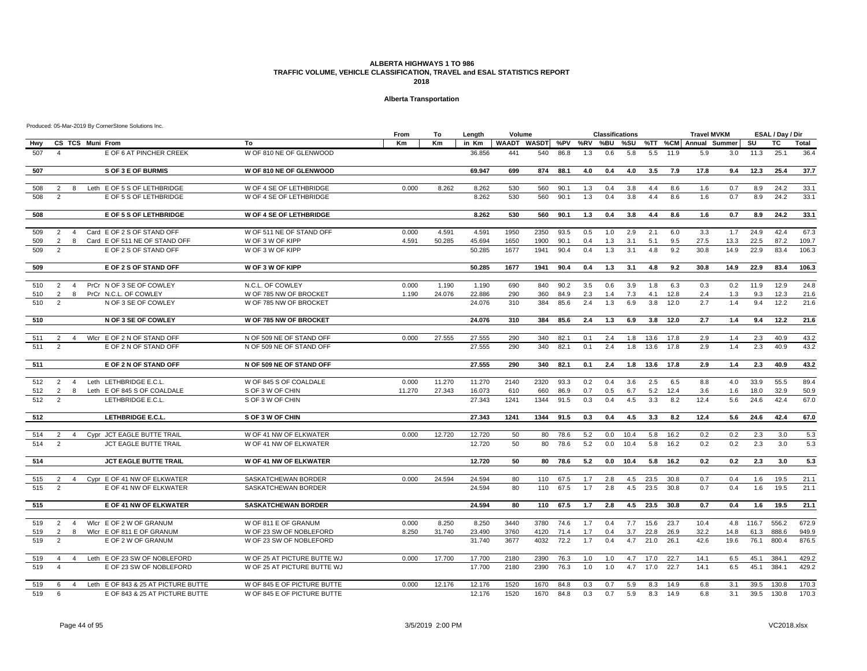#### **Alberta Transportation**

|            |                                       |                                                 |                                                    | From           | То     | Length           | Volume       |                 |              |            | <b>Classifications</b> |            |              |              | <b>Travel MVKM</b>    |              |              | ESAL / Day / Dir |                |
|------------|---------------------------------------|-------------------------------------------------|----------------------------------------------------|----------------|--------|------------------|--------------|-----------------|--------------|------------|------------------------|------------|--------------|--------------|-----------------------|--------------|--------------|------------------|----------------|
| Hwy        | CS TCS Muni From                      |                                                 | To                                                 | Km             | Кm     | in Km            |              | WAADT WASDT %PV |              | %RV        | %BU                    | %SU        |              |              | %TT %CM Annual Summer |              | SU           | TC               | Total          |
| 507        | $\overline{4}$                        | E OF 6 AT PINCHER CREEK                         | W OF 810 NE OF GLENWOOD                            |                |        | 36.856           | 441          | 540             | 86.8         | 1.3        | 0.6                    | 5.8        | 5.5          | 11.9         | 5.9                   | 3.0          | 11.3         | 25.1             | 36.4           |
| 507        |                                       | <b>S OF 3 E OF BURMIS</b>                       | W OF 810 NE OF GLENWOOD                            |                |        | 69.947           | 699          | 874             | 88.1         | 4.0        | 0.4                    | 4.0        | 3.5          | 7.9          | 17.8                  | 9.4          | 12.3         | 25.4             | 37.7           |
|            |                                       |                                                 |                                                    |                |        |                  |              |                 |              |            |                        |            |              |              |                       |              |              |                  |                |
| 508        | 2<br>8                                | Leth E OF 5 S OF LETHBRIDGE                     | W OF 4 SE OF LETHBRIDGE                            | 0.000          | 8.262  | 8.262            | 530          | 560             | 90.1         | 1.3        | 0.4                    | 3.8        | 4.4          | 8.6          | 1.6                   | 0.7          | 8.9          | 24.2             | 33.1           |
| 508        | $\overline{2}$                        | E OF 5 S OF LETHBRIDGE                          | W OF 4 SE OF LETHBRIDGE                            |                |        | 8.262            | 530          | 560             | 90.1         | 1.3        | 0.4                    | 3.8        | 4.4          | 8.6          | 1.6                   | 0.7          | 8.9          | 24.2             | 33.1           |
| 508        |                                       | <b>E OF 5 S OF LETHBRIDGE</b>                   | <b>W OF 4 SE OF LETHBRIDGE</b>                     |                |        | 8.262            | 530          | 560             | 90.1         | 1.3        | 0.4                    | 3.8        | 4.4          | 8.6          | 1.6                   | 0.7          | 8.9          | 24.2             | 33.1           |
| 509        | 2<br>$\overline{4}$                   | Card E OF 2 S OF STAND OFF                      | W OF 511 NE OF STAND OFF                           | 0.000          | 4.591  | 4.591            | 1950         | 2350            | 93.5         | 0.5        | 1.0                    | 2.9        | 2.1          | 6.0          | 3.3                   | 1.7          | 24.9         | 42.4             | 67.3           |
| 509        | 2<br>8                                | Card E OF 511 NE OF STAND OFF                   | W OF 3 W OF KIPP                                   | 4.591          | 50.285 | 45.694           | 1650         | 1900            | 90.1         | 0.4        | 1.3                    | 3.1        | 5.1          | 9.5          | 27.5                  | 13.3         | 22.5         | 87.2             | 109.7          |
| 509        | $\mathfrak{D}$                        | E OF 2 S OF STAND OFF                           | W OF 3 W OF KIPP                                   |                |        | 50.285           | 1677         | 1941            | 90.4         | 0.4        | 1.3                    | 3.1        | 4.8          | 9.2          | 30.8                  | 14.9         | 22.9         | 83.4             | 106.3          |
| 509        |                                       | E OF 2 S OF STAND OFF                           | <b>W OF 3 W OF KIPP</b>                            |                |        | 50.285           | 1677         | 1941            | 90.4         | 0.4        | 1.3                    | 3.1        | 4.8          | 9.2          | 30.8                  | 14.9         | 22.9         | 83.4             | 106.3          |
|            |                                       |                                                 |                                                    |                |        |                  |              |                 |              |            |                        |            |              |              |                       |              |              |                  |                |
| 510        | 2<br>$\overline{4}$                   | PrCr N OF 3 SE OF COWLEY                        | N.C.L. OF COWLEY                                   | 0.000          | 1.190  | 1.190            | 690          | 840             | 90.2         | 3.5        | 0.6                    | 3.9        | 1.8          | 6.3          | 0.3                   | 0.2          | 11.9         | 12.9             | 24.8           |
| 510        | $\overline{2}$<br>8                   | PrCr N.C.L. OF COWLEY                           | W OF 785 NW OF BROCKET                             | 1.190          | 24.076 | 22.886           | 290          | 360             | 84.9         | 2.3        | 1.4                    | 7.3        | 4.1          | 12.8         | 2.4                   | 1.3          | 9.3          | 12.3             | 21.6           |
| 510        | $\overline{2}$                        | N OF 3 SE OF COWLEY                             | W OF 785 NW OF BROCKET                             |                |        | 24.076           | 310          | 384             | 85.6         | 2.4        | 1.3                    | 6.9        | 3.8          | 12.0         | 2.7                   | 1.4          | 9.4          | 12.2             | 21.6           |
| 510        |                                       | N OF 3 SE OF COWLEY                             | W OF 785 NW OF BROCKET                             |                |        | 24.076           | 310          | 384             | 85.6         | 2.4        | 1.3                    | 6.9        | 3.8          | 12.0         | 2.7                   | 1.4          | 9.4          | 12.2             | 21.6           |
| 511        | 2<br>4                                | Wicr E OF 2 N OF STAND OFF                      | N OF 509 NE OF STAND OFF                           | 0.000          | 27.555 | 27.555           | 290          | 340             | 82.1         | 0.1        | 2.4                    | 1.8        | 13.6         | 17.8         | 2.9                   | 1.4          | 2.3          | 40.9             | 43.2           |
| 511        | 2                                     | E OF 2 N OF STAND OFF                           | N OF 509 NE OF STAND OFF                           |                |        | 27.555           | 290          | 340             | 82.1         | 0.1        | 2.4                    | 1.8        | 13.6         | 17.8         | 2.9                   | 1.4          | 2.3          | 40.9             | 43.2           |
| 511        |                                       | E OF 2 N OF STAND OFF                           | N OF 509 NE OF STAND OFF                           |                |        | 27.555           | 290          | 340             | 82.1         | 0.1        | 2.4                    | 1.8        | 13.6         | 17.8         | 2.9                   | 1.4          | 2.3          | 40.9             | 43.2           |
| 512        | $\overline{2}$<br>$\overline{4}$      | Leth LETHBRIDGE E.C.L.                          | W OF 845 S OF COALDALE                             | 0.000          | 11.270 | 11.270           | 2140         | 2320            | 93.3         | 0.2        | 0.4                    | 3.6        | 2.5          | 6.5          | 8.8                   | 4.0          | 33.9         | 55.5             | 89.4           |
| 512        | 2<br>8                                | Leth E OF 845 S OF COALDALE                     | S OF 3 W OF CHIN                                   | 11.270         | 27.343 | 16.073           | 610          | 660             | 86.9         | 0.7        | 0.5                    | 6.7        | 5.2          | 12.4         | 3.6                   | 1.6          | 18.0         | 32.9             | 50.9           |
| 512        | $\overline{2}$                        | LETHBRIDGE E.C.L.                               | S OF 3 W OF CHIN                                   |                |        | 27.343           | 1241         | 1344            | 91.5         | 0.3        | 0.4                    | 4.5        | 3.3          | 8.2          | 12.4                  | 5.6          | 24.6         | 42.4             | 67.0           |
| 512        |                                       | LETHBRIDGE E.C.L                                | S OF 3 W OF CHIN                                   |                |        | 27.343           | 1241         | 1344            | 91.5         | 0.3        | 0.4                    | 4.5        | 3.3          | 8.2          | 12.4                  | 5.6          | 24.6         | 42.4             | 67.0           |
| 514        | $\overline{2}$<br>$\overline{4}$      | Cypr JCT EAGLE BUTTE TRAIL                      | W OF 41 NW OF ELKWATER                             | 0.000          | 12.720 | 12.720           | 50           | 80              | 78.6         | 5.2        | 0.0                    | 10.4       | 5.8          | 16.2         | 0.2                   | 0.2          | 2.3          | 3.0              | 5.3            |
| 514        | $\overline{2}$                        | <b>JCT EAGLE BUTTE TRAIL</b>                    | W OF 41 NW OF ELKWATER                             |                |        | 12.720           | 50           | 80              | 78.6         | 5.2        | 0.0                    | 10.4       | 5.8          | 16.2         | 0.2                   | 0.2          | 2.3          | 3.0              | 5.3            |
|            |                                       |                                                 |                                                    |                |        |                  |              |                 |              |            |                        |            |              |              |                       |              |              |                  |                |
| 514        |                                       | <b>JCT EAGLE BUTTE TRAIL</b>                    | <b>W OF 41 NW OF ELKWATER</b>                      |                |        | 12.720           | 50           | 80              | 78.6         | 5.2        | 0.0                    | 10.4       | 5.8          | 16.2         | 0.2                   | 0.2          | 2.3          | 3.0              | 5.3            |
| 515        | 2<br>$\overline{4}$                   | Cypr E OF 41 NW OF ELKWATER                     | SASKATCHEWAN BORDER                                | 0.000          | 24.594 | 24.594           | 80           | 110             | 67.5         | 1.7        | 2.8                    | 4.5        | 23.5         | 30.8         | 0.7                   | 0.4          | 1.6          | 19.5             | 21.1           |
| 515        | $\overline{2}$                        | E OF 41 NW OF ELKWATER                          | SASKATCHEWAN BORDER                                |                |        | 24.594           | 80           | 110             | 67.5         | 1.7        | 2.8                    | 4.5        | 23.5         | 30.8         | 0.7                   | 0.4          | 1.6          | 19.5             | 21.1           |
| 515        |                                       | E OF 41 NW OF ELKWATER                          | <b>SASKATCHEWAN BORDER</b>                         |                |        | 24.594           | 80           | 110             | 67.5         | 1.7        | 2.8                    | 4.5        | 23.5         | 30.8         | 0.7                   | 0.4          | 1.6          | 19.5             | 21.1           |
|            |                                       |                                                 |                                                    |                |        |                  |              |                 |              |            |                        |            |              |              |                       |              |              |                  |                |
| 519        | $\overline{2}$<br>$\overline{4}$<br>8 | Wicr E OF 2 W OF GRANUM                         | W OF 811 E OF GRANUM                               | 0.000<br>8.250 | 8.250  | 8.250            | 3440         | 3780            | 74.6         | 1.7        | 0.4                    | 7.7        | 15.6         | 23.7         | 10.4                  | 4.8          | 116.7        | 556.2            | 672.9          |
| 519<br>519 | 2<br>$\overline{2}$                   | Wicr E OF 811 E OF GRANUM<br>E OF 2 W OF GRANUM | W OF 23 SW OF NOBLEFORD<br>W OF 23 SW OF NOBLEFORD |                | 31.740 | 23.490<br>31.740 | 3760<br>3677 | 4120<br>4032    | 71.4<br>72.2 | 1.7<br>1.7 | 0.4<br>0.4             | 3.7<br>4.7 | 22.8<br>21.0 | 26.9<br>26.1 | 32.2<br>42.6          | 14.8<br>19.6 | 61.3<br>76.1 | 888.6<br>800.4   | 949.9<br>876.5 |
|            |                                       |                                                 |                                                    |                |        |                  |              |                 |              |            |                        |            |              |              |                       |              |              |                  |                |
| 519        | $\overline{4}$<br>$\overline{4}$      | Leth E OF 23 SW OF NOBLEFORD                    | W OF 25 AT PICTURE BUTTE WJ                        | 0.000          | 17.700 | 17.700           | 2180         | 2390            | 76.3         | 1.0        | 1.0                    | 4.7        | 17.0         | 22.7         | 14.1                  | 6.5          | 45.1         | 384.1            | 429.2          |
| 519        | $\overline{4}$                        | E OF 23 SW OF NOBLEFORD                         | W OF 25 AT PICTURE BUTTE WJ                        |                |        | 17.700           | 2180         | 2390            | 76.3         | 1.0        | 1.0                    | 4.7        | 17.0         | 22.7         | 14.1                  | 6.5          | 45.1         | 384.1            | 429.2          |
| 519        | 6<br>$\overline{4}$                   | Leth E OF 843 & 25 AT PICTURE BUTTE             | W OF 845 E OF PICTURE BUTTE                        | 0.000          | 12.176 | 12.176           | 1520         | 1670            | 84.8         | 0.3        | 0.7                    | 5.9        | 8.3          | 14.9         | 6.8                   | 3.1          | 39.5         | 130.8            | 170.3          |
| 519        | 6                                     | E OF 843 & 25 AT PICTURE BUTTE                  | W OF 845 E OF PICTURE BUTTE                        |                |        | 12.176           | 1520         | 1670            | 84.8         | 0.3        | 0.7                    | 5.9        | 8.3          | 14.9         | 6.8                   | 3.1          | 39.5         | 130.8            | 170.3          |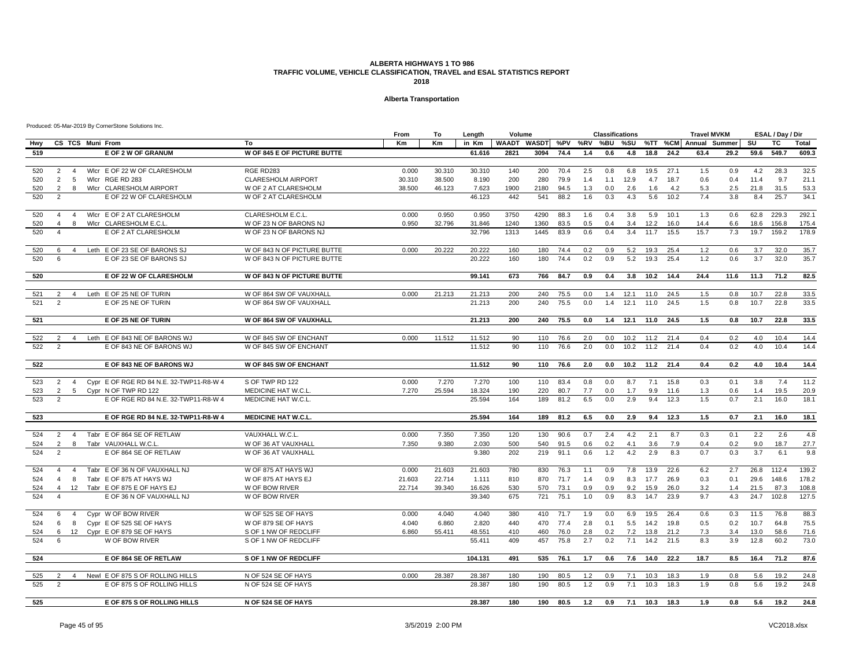#### **Alberta Transportation**

|     |                |                 |                  |                                          |                                    | From   | To     | Length  | Volume       |               |      |     | <b>Classifications</b> |      |      |      | <b>Travel MVKM</b>    |      |      | ESAL / Day / Dir |       |
|-----|----------------|-----------------|------------------|------------------------------------------|------------------------------------|--------|--------|---------|--------------|---------------|------|-----|------------------------|------|------|------|-----------------------|------|------|------------------|-------|
| Hwy |                |                 | CS TCS Muni From |                                          | To                                 | Km     | Кm     | in Km   | <b>WAADT</b> | WASDT %PV %RV |      |     | %BU                    | %SU  |      |      | %TT %CM Annual Summer |      | SU   | TC               | Total |
| 519 |                |                 |                  | E OF 2 W OF GRANUM                       | <b>W OF 845 E OF PICTURE BUTTE</b> |        |        | 61.616  | 2821         | 3094          | 74.4 | 1.4 | 0.6                    | 4.8  | 18.8 | 24.2 | 63.4                  | 29.2 |      | 59.6 549.7       | 609.3 |
|     |                |                 |                  |                                          |                                    |        |        |         |              |               |      |     |                        |      |      |      |                       |      |      |                  |       |
| 520 | 2              | $\overline{4}$  |                  | Wicr E OF 22 W OF CLARESHOLM             | RGE RD283                          | 0.000  | 30.310 | 30.310  | 140          | 200           | 70.4 | 2.5 | 0.8                    | 6.8  | 19.5 | 27.1 | 1.5                   | 0.9  | 4.2  | 28.3             | 32.5  |
| 520 | 2              | 5               |                  | Wicr RGE RD 283                          | <b>CLARESHOLM AIRPORT</b>          | 30.310 | 38.500 | 8.190   | 200          | 280           | 79.9 | 1.4 | 1.1                    | 12.9 | 4.7  | 18.7 | 0.6                   | 0.4  | 11.4 | 9.7              | 21.1  |
| 520 | $\mathcal{P}$  | 8               |                  | Wicr CLARESHOLM AIRPORT                  | W OF 2 AT CLARESHOLM               | 38.500 | 46.123 | 7.623   | 1900         | 2180          | 94.5 | 1.3 | 0.0                    | 2.6  | 1.6  | 4.2  | 5.3                   | 2.5  | 21.8 | 31.5             | 53.3  |
| 520 | $\overline{2}$ |                 |                  | E OF 22 W OF CLARESHOLM                  | W OF 2 AT CLARESHOLM               |        |        | 46.123  | 442          | 541           | 88.2 | 1.6 | 0.3                    | 4.3  | 5.6  | 10.2 | 7.4                   | 3.8  | 8.4  | 25.7             | 34.1  |
| 520 | $\overline{4}$ | $\overline{4}$  |                  | Wicr E OF 2 AT CLARESHOLM                | CLARESHOLM E.C.L.                  | 0.000  | 0.950  | 0.950   | 3750         | 4290          | 88.3 | 1.6 | 0.4                    | 3.8  | 5.9  | 10.1 | 1.3                   | 0.6  | 62.8 | 229.3            | 292.1 |
| 520 | $\overline{4}$ | 8               |                  | Wicr CLARESHOLM E.C.L                    | W OF 23 N OF BARONS NJ             | 0.950  | 32.796 | 31.846  | 1240         | 1360          | 83.5 | 0.5 | 0.4                    | 3.4  | 12.2 | 16.0 | 14.4                  | 6.6  | 18.6 | 156.8            | 175.4 |
| 520 |                |                 |                  | E OF 2 AT CLARESHOLM                     | W OF 23 N OF BARONS NJ             |        |        | 32.796  | 1313         | 1445          | 83.9 | 0.6 | 0.4                    | 3.4  | 11.7 | 15.5 | 15.7                  | 7.3  | 19.7 | 159.2            | 178.9 |
| 520 | 6              | $\overline{4}$  |                  | Leth E OF 23 SE OF BARONS SJ             | W OF 843 N OF PICTURE BUTTE        | 0.000  | 20.222 | 20.222  | 160          | 180           | 74.4 | 0.2 | 0.9                    | 5.2  | 19.3 | 25.4 | 1.2                   | 0.6  | 3.7  | 32.0             | 35.7  |
| 520 | 6              |                 |                  | E OF 23 SE OF BARONS SJ                  | W OF 843 N OF PICTURE BUTTE        |        |        | 20.222  | 160          | 180           | 74.4 | 0.2 | 0.9                    | 5.2  | 19.3 | 25.4 | 1.2                   | 0.6  | 3.7  | 32.0             | 35.7  |
| 520 |                |                 |                  | E OF 22 W OF CLARESHOLM                  | W OF 843 N OF PICTURE BUTTE        |        |        | 99.141  | 673          | 766           | 84.7 | 0.9 | 0.4                    | 3.8  | 10.2 | 14.4 | 24.4                  | 11.6 | 11.3 | 71.2             | 82.5  |
| 521 | $\overline{2}$ | $\overline{4}$  |                  | Leth E OF 25 NE OF TURIN                 | W OF 864 SW OF VAUXHALL            | 0.000  | 21.213 | 21.213  | 200          | 240           | 75.5 | 0.0 | 1.4                    | 12.1 | 11.0 | 24.5 | 1.5                   | 0.8  | 10.7 | 22.8             | 33.5  |
| 521 | 2              |                 |                  | E OF 25 NE OF TURIN                      | W OF 864 SW OF VAUXHALL            |        |        | 21.213  | 200          | 240           | 75.5 | 0.0 | 1.4                    | 12.1 | 11.0 | 24.5 | 1.5                   | 0.8  | 10.7 | 22.8             | 33.5  |
| 521 |                |                 |                  | E OF 25 NE OF TURIN                      | W OF 864 SW OF VAUXHALL            |        |        | 21.213  | 200          | 240           | 75.5 | 0.0 | 1.4                    | 12.1 | 11.0 | 24.5 | 1.5                   | 0.8  | 10.7 | 22.8             | 33.5  |
|     |                |                 |                  |                                          |                                    |        |        |         |              |               |      |     |                        |      |      |      |                       |      |      |                  |       |
| 522 | 2              | 4               |                  | Leth E OF 843 NE OF BARONS WJ            | W OF 845 SW OF ENCHANT             | 0.000  | 11.512 | 11.512  | 90           | 110           | 76.6 | 2.0 | 0.0                    | 10.2 | 11.2 | 21.4 | 0.4                   | 0.2  | 4.0  | 10.4             | 14.4  |
| 522 | $\overline{2}$ |                 |                  | E OF 843 NE OF BARONS WJ                 | W OF 845 SW OF ENCHANT             |        |        | 11.512  | 90           | 110           | 76.6 | 2.0 | 0.0                    | 10.2 | 11.2 | 21.4 | 0.4                   | 0.2  | 4.0  | 10.4             | 14.4  |
| 522 |                |                 |                  | E OF 843 NE OF BARONS WJ                 | W OF 845 SW OF ENCHANT             |        |        | 11.512  | 90           | 110           | 76.6 | 2.0 | 0.0                    | 10.2 | 11.2 | 21.4 | 0.4                   | 0.2  | 4.0  | 10.4             | 14.4  |
|     |                |                 |                  |                                          |                                    |        |        |         |              |               |      |     |                        |      |      |      |                       |      |      |                  |       |
| 523 | 2              | $\overline{4}$  |                  | Cypr E OF RGE RD 84 N.E. 32-TWP11-R8-W 4 | S OF TWP RD 122                    | 0.000  | 7.270  | 7.270   | 100          | 110           | 83.4 | 0.8 | 0.0                    | 8.7  | 7.1  | 15.8 | 0.3                   | 0.1  | 3.8  | 7.4              | 11.2  |
| 523 | 2              | $5\overline{5}$ |                  | Cypr N OF TWP RD 122                     | MEDICINE HAT W.C.L                 | 7.270  | 25.594 | 18.324  | 190          | 220           | 80.7 | 7.7 | 0.0                    | 1.7  | 9.9  | 11.6 | 1.3                   | 0.6  | 1.4  | 19.5             | 20.9  |
| 523 | $\mathcal{P}$  |                 |                  | E OF RGE RD 84 N.E. 32-TWP11-R8-W 4      | MEDICINE HAT W.C.L                 |        |        | 25.594  | 164          | 189           | 81.2 | 6.5 | 0.0                    | 2.9  | 9.4  | 12.3 | 1.5                   | 0.7  | 2.1  | 16.0             | 18.1  |
| 523 |                |                 |                  | E OF RGE RD 84 N.E. 32-TWP11-R8-W 4      | <b>MEDICINE HAT W.C.L</b>          |        |        | 25.594  | 164          | 189           | 81.2 | 6.5 | 0.0                    | 2.9  | 9.4  | 12.3 | 1.5                   | 0.7  | 2.1  | 16.0             | 18.1  |
| 524 | 2              | $\overline{4}$  |                  | Tabr E OF 864 SE OF RETLAW               | VAUXHALL W.C.L.                    | 0.000  | 7.350  | 7.350   | 120          | 130           | 90.6 | 0.7 | 2.4                    | 4.2  | 2.1  | 8.7  | 0.3                   | 0.1  | 2.2  | 2.6              | 4.8   |
| 524 | 2              | 8               |                  | Tabr VAUXHALL W.C.L                      | W OF 36 AT VAUXHALL                | 7.350  | 9.380  | 2.030   | 500          | 540           | 91.5 | 0.6 | 0.2                    | 4.1  | 3.6  | 7.9  | 0.4                   | 0.2  | 9.0  | 18.7             | 27.7  |
| 524 | $\overline{2}$ |                 |                  | E OF 864 SE OF RETLAW                    | W OF 36 AT VAUXHALL                |        |        | 9.380   | 202          | 219           | 91.1 | 0.6 | 1.2                    | 4.2  | 2.9  | 8.3  | 0.7                   | 0.3  | 3.7  | 6.1              | 9.8   |
| 524 | $\overline{4}$ | $\overline{4}$  |                  | Tabr E OF 36 N OF VAUXHALL NJ            | W OF 875 AT HAYS WJ                | 0.000  | 21.603 | 21.603  | 780          | 830           | 76.3 | 1.1 | 0.9                    | 7.8  | 13.9 | 22.6 | 6.2                   | 2.7  | 26.8 | 112.4            | 139.2 |
| 524 | $\overline{4}$ | 8               |                  | Tabr E OF 875 AT HAYS WJ                 | W OF 875 AT HAYS EJ                | 21.603 | 22.714 | 1.111   | 810          | 870           | 71.7 | 1.4 | 0.9                    | 8.3  | 17.7 | 26.9 | 0.3                   | 0.1  | 29.6 | 148.6            | 178.2 |
| 524 | $\overline{4}$ |                 |                  | 12 Tabr E OF 875 E OF HAYS EJ            | W OF BOW RIVER                     | 22.714 | 39.340 | 16.626  | 530          | 570           | 73.1 | 0.9 | 0.9                    | 9.2  | 15.9 | 26.0 | 3.2                   | 1.4  | 21.5 | 87.3             | 108.8 |
| 524 | $\mathbf{A}$   |                 |                  | E OF 36 N OF VAUXHALL NJ                 | W OF BOW RIVER                     |        |        | 39.340  | 675          | 721           | 75.1 | 1.0 | 0.9                    | 8.3  | 14.7 | 23.9 | 9.7                   | 4.3  | 24.7 | 102.8            | 127.5 |
| 524 | 6              | $\overline{4}$  |                  | Cypr W OF BOW RIVER                      | W OF 525 SE OF HAYS                | 0.000  | 4.040  | 4.040   | 380          | 410           | 71.7 | 1.9 | 0.0                    | 6.9  | 19.5 | 26.4 | 0.6                   | 0.3  | 11.5 | 76.8             | 88.3  |
| 524 | 6              | 8               |                  | Cypr E OF 525 SE OF HAYS                 | W OF 879 SE OF HAYS                | 4.040  | 6.860  | 2.820   | 440          | 470           | 77.4 | 2.8 | 0.1                    | 5.5  | 14.2 | 19.8 | 0.5                   | 0.2  | 10.7 | 64.8             | 75.5  |
| 524 | 6              |                 |                  | 12 Cypr E OF 879 SE OF HAYS              | S OF 1 NW OF REDCLIFF              | 6.860  | 55.411 | 48.551  | 410          | 460           | 76.0 | 2.8 | 0.2                    | 7.2  | 13.8 | 21.2 | 7.3                   | 3.4  | 13.0 | 58.6             | 71.6  |
| 524 | 6              |                 |                  | W OF BOW RIVER                           | S OF 1 NW OF REDCLIFF              |        |        | 55.411  | 409          | 457           | 75.8 | 2.7 | 0.2                    | 7.1  | 14.2 | 21.5 | 8.3                   | 3.9  | 12.8 | 60.2             | 73.0  |
| 524 |                |                 |                  | E OF 864 SE OF RETLAW                    | <b>S OF 1 NW OF REDCLIFF</b>       |        |        | 104.131 | 491          | 535           | 76.1 | 1.7 | 0.6                    | 7.6  | 14.0 | 22.2 | 18.7                  | 8.5  | 16.4 | 71.2             | 87.6  |
| 525 | 2              | 4               |                  | Newl E OF 875 S OF ROLLING HILLS         | N OF 524 SE OF HAYS                | 0.000  | 28.387 | 28.387  | 180          | 190           | 80.5 | 1.2 | 0.9                    | 7.1  | 10.3 | 18.3 | 1.9                   | 0.8  | 5.6  | 19.2             | 24.8  |
| 525 | 2              |                 |                  | E OF 875 S OF ROLLING HILLS              | N OF 524 SE OF HAYS                |        |        | 28.387  | 180          | 190           | 80.5 | 1.2 | 0.9                    | 7.1  | 10.3 | 18.3 | 1.9                   | 0.8  | 5.6  | 19.2             | 24.8  |
| 525 |                |                 |                  | E OF 875 S OF ROLLING HILLS              | N OF 524 SE OF HAYS                |        |        | 28.387  | 180          | 190           | 80.5 | 1.2 | 0.9                    | 7.1  | 10.3 | 18.3 | 1.9                   | 0.8  | 5.6  | 19.2             | 24.8  |
|     |                |                 |                  |                                          |                                    |        |        |         |              |               |      |     |                        |      |      |      |                       |      |      |                  |       |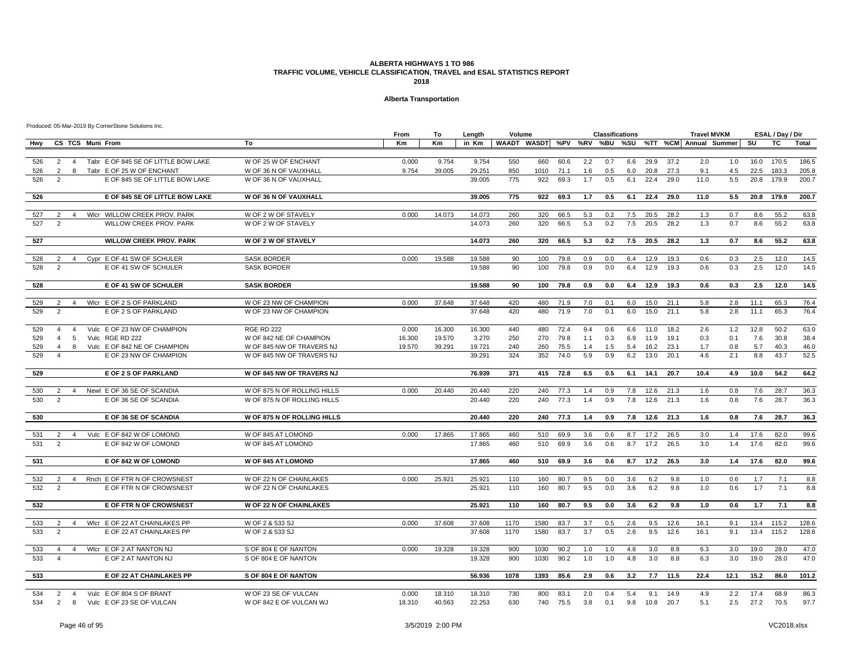#### **Alberta Transportation**

|     |                |                |                                     |                                | From      | To     | Length | Volume |      |      |     | <b>Classifications</b> |     |      |      | <b>Travel MVKM</b> |                                                   |      | ESAL / Day / Dir |       |
|-----|----------------|----------------|-------------------------------------|--------------------------------|-----------|--------|--------|--------|------|------|-----|------------------------|-----|------|------|--------------------|---------------------------------------------------|------|------------------|-------|
| Hwv |                |                | CS TCS Muni From                    | To                             | <b>Km</b> | Кm     | in Km  |        |      |      |     |                        |     |      |      |                    | WAADT WASDT %PV %RV %BU %SU %TT %CM Annual Summer | SU   | <b>TC</b>        | Total |
| 526 | 2              | $\overline{4}$ | Tabr E OF 845 SE OF LITTLE BOW LAKE | W OF 25 W OF ENCHANT           | 0.000     | 9.754  | 9.754  | 550    | 660  | 60.6 | 2.2 | 0.7                    | 6.6 | 29.9 | 37.2 | 2.0                | 1.0                                               | 16.0 | 170.5            | 186.5 |
| 526 | $\overline{2}$ | 8              | Tabr E OF 25 W OF ENCHANT           | W OF 36 N OF VAUXHALL          | 9.754     | 39.005 | 29.251 | 850    | 1010 | 71.1 | 1.6 | 0.5                    | 6.0 | 20.8 | 27.3 | 9.1                | 4.5                                               | 22.5 | 183.3            | 205.8 |
| 526 | $\overline{2}$ |                | E OF 845 SE OF LITTLE BOW LAKE      | W OF 36 N OF VAUXHALL          |           |        | 39.005 | 775    | 922  | 69.3 | 1.7 | 0.5                    | 6.1 | 22.4 | 29.0 | 11.0               | 5.5                                               | 20.8 | 179.9            | 200.7 |
| 526 |                |                | E OF 845 SE OF LITTLE BOW LAKE      | <b>W OF 36 N OF VAUXHALL</b>   |           |        | 39.005 | 775    | 922  | 69.3 | 1.7 | 0.5                    | 6.1 | 22.4 | 29.0 | 11.0               | 5.5                                               | 20.8 | 179.9            | 200.7 |
|     |                |                |                                     |                                |           |        |        |        |      |      |     |                        |     |      |      |                    |                                                   |      |                  |       |
| 527 | 2              | $\overline{4}$ | Wicr WILLOW CREEK PROV, PARK        | W OF 2 W OF STAVELY            | 0.000     | 14.073 | 14.073 | 260    | 320  | 66.5 | 5.3 | 0.2                    | 7.5 | 20.5 | 28.2 | 1.3                | 0.7                                               | 8.6  | 55.2             | 63.8  |
| 527 | $\overline{2}$ |                | WILLOW CREEK PROV. PARK             | W OF 2 W OF STAVELY            |           |        | 14.073 | 260    | 320  | 66.5 | 5.3 | 0.2                    | 7.5 | 20.5 | 28.2 | 1.3                | 0.7                                               | 8.6  | 55.2             | 63.8  |
| 527 |                |                | <b>WILLOW CREEK PROV. PARK</b>      | W OF 2 W OF STAVELY            |           |        | 14.073 | 260    | 320  | 66.5 | 5.3 | 0.2                    | 7.5 | 20.5 | 28.2 | $1.3$              | 0.7                                               | 8.6  | 55.2             | 63.8  |
| 528 | 2              | $\overline{4}$ | Cypr E OF 41 SW OF SCHULER          | <b>SASK BORDER</b>             | 0.000     | 19.588 | 19.588 | 90     | 100  | 79.8 | 0.9 | 0.0                    | 6.4 | 12.9 | 19.3 | 0.6                | 0.3                                               | 2.5  | 12.0             | 14.5  |
| 528 | 2              |                | E OF 41 SW OF SCHULER               | <b>SASK BORDER</b>             |           |        | 19.588 | 90     | 100  | 79.8 | 0.9 | 0.0                    | 6.4 | 12.9 | 19.3 | 0.6                | 0.3                                               | 2.5  | 12.0             | 14.5  |
| 528 |                |                | E OF 41 SW OF SCHULER               | <b>SASK BORDER</b>             |           |        | 19.588 | 90     | 100  | 79.8 | 0.9 | 0.0                    | 6.4 | 12.9 | 19.3 | 0.6                | 0.3                                               | 2.5  | 12.0             | 14.5  |
| 529 | 2              | $\overline{4}$ | Wicr E OF 2 S OF PARKLAND           | W OF 23 NW OF CHAMPION         | 0.000     | 37.648 | 37.648 | 420    | 480  | 71.9 | 7.0 | 0.1                    | 6.0 | 15.0 | 21.1 | 5.8                | 2.8                                               | 11.1 | 65.3             | 76.4  |
| 529 | $\overline{2}$ |                | E OF 2 S OF PARKLAND                | W OF 23 NW OF CHAMPION         |           |        | 37.648 | 420    | 480  | 71.9 | 7.0 | 0.1                    | 6.0 | 15.0 | 21.1 | 5.8                | 2.8                                               | 11.1 | 65.3             | 76.4  |
| 529 | $\overline{4}$ | $\overline{4}$ | Vulc E OF 23 NW OF CHAMPION         | <b>RGE RD 222</b>              | 0.000     | 16,300 | 16.300 | 440    | 480  | 72.4 | 9.4 | 0.6                    | 6.6 | 11.0 | 18.2 | 2.6                | 1.2                                               | 12.8 | 50.2             | 63.0  |
| 529 | $\overline{4}$ | -5             | Vulc RGE RD 222                     | W OF 842 NE OF CHAMPION        | 16.300    | 19.570 | 3.270  | 250    | 270  | 79.8 | 1.1 | 0.3                    | 6.9 | 11.9 | 19.1 | 0.3                | 0.1                                               | 7.6  | 30.8             | 38.4  |
| 529 | $\overline{4}$ | 8              | Vulc E OF 842 NE OF CHAMPION        | W OF 845 NW OF TRAVERS NJ      | 19.570    | 39.291 | 19.721 | 240    | 260  | 75.5 | 1.4 | 1.5                    | 5.4 | 16.2 | 23.1 | 1.7                | 0.8                                               | 5.7  | 40.3             | 46.0  |
| 529 | $\overline{4}$ |                | E OF 23 NW OF CHAMPION              | W OF 845 NW OF TRAVERS NJ      |           |        | 39.291 | 324    | 352  | 74.0 | 5.9 | 0.9                    | 6.2 | 13.0 | 20.1 | 4.6                | 2.1                                               | 8.8  | 43.7             | 52.5  |
| 529 |                |                | <b>E OF 2 S OF PARKLAND</b>         | W OF 845 NW OF TRAVERS NJ      |           |        | 76.939 | 371    | 415  | 72.8 | 6.5 | 0.5                    | 6.1 | 14.1 | 20.7 | 10.4               | 4.9                                               | 10.0 | 54.2             | 64.2  |
| 530 | 2              | $\overline{4}$ | Newl E OF 36 SE OF SCANDIA          | W OF 875 N OF ROLLING HILLS    | 0.000     | 20.440 | 20.440 | 220    | 240  | 77.3 | 1.4 | 0.9                    | 7.8 | 12.6 | 21.3 | 1.6                | 0.8                                               | 7.6  | 28.7             | 36.3  |
| 530 | $\overline{2}$ |                | E OF 36 SE OF SCANDIA               | W OF 875 N OF ROLLING HILLS    |           |        | 20.440 | 220    | 240  | 77.3 | 1.4 | 0.9                    | 7.8 | 12.6 | 21.3 | 1.6                | 0.8                                               | 7.6  | 28.7             | 36.3  |
| 530 |                |                | E OF 36 SE OF SCANDIA               | W OF 875 N OF ROLLING HILLS    |           |        | 20.440 | 220    | 240  | 77.3 | 1.4 | 0.9                    | 7.8 | 12.6 | 21.3 | 1.6                | 0.8                                               | 7.6  | 28.7             | 36.3  |
| 531 | $\overline{2}$ | $\overline{4}$ | Vulc E OF 842 W OF LOMOND           | W OF 845 AT LOMOND             | 0.000     | 17.865 | 17.865 | 460    | 510  | 69.9 | 3.6 | 0.6                    | 8.7 | 17.2 | 26.5 | 3.0                | 1.4                                               | 17.6 | 82.0             | 99.6  |
| 531 | $\overline{2}$ |                | E OF 842 W OF LOMOND                | W OF 845 AT LOMOND             |           |        | 17.865 | 460    | 510  | 69.9 | 3.6 | 0.6                    | 8.7 | 17.2 | 26.5 | 3.0                | 1.4                                               | 17.6 | 82.0             | 99.6  |
| 531 |                |                | E OF 842 W OF LOMOND                | <b>W OF 845 AT LOMOND</b>      |           |        | 17.865 | 460    | 510  | 69.9 | 3.6 | 0.6                    | 8.7 | 17.2 | 26.5 | 3.0                | 1.4                                               | 17.6 | 82.0             | 99.6  |
|     |                |                |                                     |                                |           |        |        |        |      |      |     |                        |     |      |      |                    |                                                   |      |                  |       |
| 532 | $\overline{2}$ | $\overline{4}$ | Rnch E OF FTR N OF CROWSNEST        | W OF 22 N OF CHAINLAKES        | 0.000     | 25.921 | 25.921 | 110    | 160  | 80.7 | 9.5 | 0.0                    | 3.6 | 6.2  | 9.8  | 1.0                | 0.6                                               | 1.7  | 7.1              | 8.8   |
| 532 | 2              |                | E OF FTR N OF CROWSNEST             | W OF 22 N OF CHAINLAKES        |           |        | 25.921 | 110    | 160  | 80.7 | 9.5 | 0.0                    | 3.6 | 6.2  | 9.8  | 1.0                | 0.6                                               | 1.7  | 7.1              | 8.8   |
| 532 |                |                | E OF FTR N OF CROWSNEST             | <b>W OF 22 N OF CHAINLAKES</b> |           |        | 25.921 | 110    | 160  | 80.7 | 9.5 | 0.0                    | 3.6 | 6.2  | 9.8  | 1.0                | 0.6                                               | 1.7  | 7.1              | 8.8   |
| 533 | 2              | 4              | Wicr E OF 22 AT CHAINLAKES PP       | W OF 2 & 533 SJ                | 0.000     | 37.608 | 37.608 | 1170   | 1580 | 83.7 | 3.7 | 0.5                    | 2.6 | 9.5  | 12.6 | 16.1               | 9.1                                               | 13.4 | 115.2            | 128.6 |
| 533 | 2              |                | E OF 22 AT CHAINLAKES PP            | W OF 2 & 533 SJ                |           |        | 37.608 | 1170   | 1580 | 83.7 | 3.7 | 0.5                    | 2.6 | 9.5  | 12.6 | 16.1               | 9.1                                               | 13.4 | 115.2            | 128.6 |
| 533 | $\overline{4}$ | $\overline{4}$ | WIcr E OF 2 AT NANTON NJ            | S OF 804 E OF NANTON           | 0.000     | 19.328 | 19.328 | 900    | 1030 | 90.2 | 1.0 | 1.0                    | 4.8 | 3.0  | 8.8  | 6.3                | 3.0                                               | 19.0 | 28.0             | 47.0  |
| 533 | $\Delta$       |                | E OF 2 AT NANTON NJ                 | S OF 804 E OF NANTON           |           |        | 19.328 | 900    | 1030 | 90.2 | 1.0 | 1.0                    | 4.8 | 3.0  | 8.8  | 6.3                | 3.0                                               | 19.0 | 28.0             | 47.0  |
| 533 |                |                | E OF 22 AT CHAINLAKES PP            | S OF 804 E OF NANTON           |           |        | 56.936 | 1078   | 1393 | 85.6 | 2.9 | 0.6                    | 3.2 | 7.7  | 11.5 | 22.4               | 12.1                                              | 15.2 | 86.0             | 101.2 |
| 534 | 2              | $\overline{4}$ | Vulc E OF 804 S OF BRANT            | W OF 23 SE OF VULCAN           | 0.000     | 18.310 | 18.310 | 730    | 800  | 83.1 | 2.0 | 0.4                    | 5.4 | 9.1  | 14.9 | 4.9                | 2.2                                               | 17.4 | 68.9             | 86.3  |
| 534 | 2              | 8              | Vulc E OF 23 SE OF VULCAN           | W OF 842 E OF VULCAN WJ        | 18.310    | 40.563 | 22.253 | 630    | 740  | 75.5 | 3.8 | 0.1                    | 9.8 | 10.8 | 20.7 | 5.1                | 2.5                                               | 27.2 | 70.5             | 97.7  |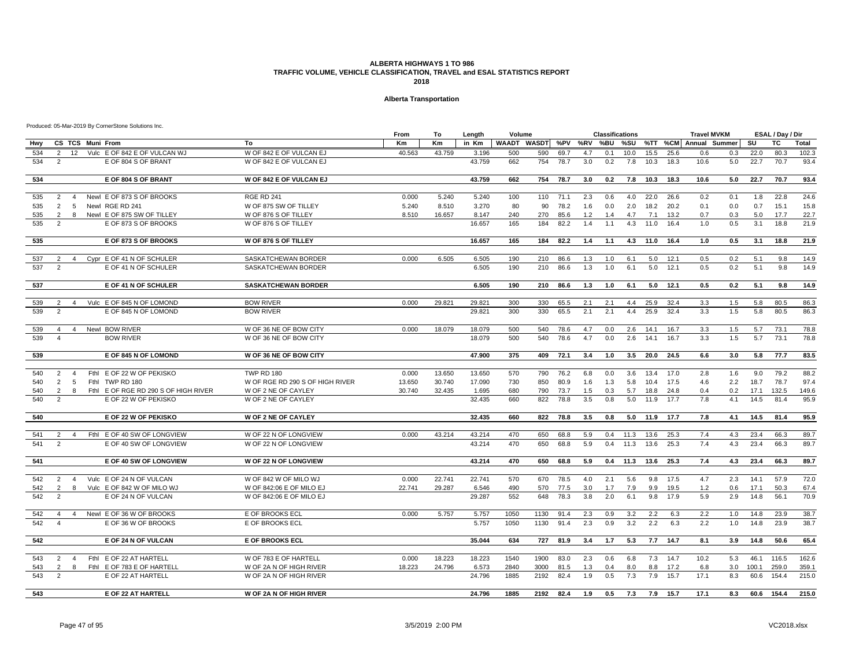#### **Alberta Transportation**

| Km<br>WAADT WASDT %PV %RV %BU<br>%SU<br>%TT %CM Annual Summer<br>SU<br><b>TC</b><br>CS TCS Muni From<br>To<br>Km<br>in Km<br>Hwy<br>Vulc E OF 842 E OF VULCAN WJ<br>W OF 842 E OF VULCAN EJ<br>43.759<br>22.0<br>80.3<br>40.563<br>3.196<br>500<br>69.7<br>15.5<br>25.6<br>0.6<br>534<br>2<br>12<br>590<br>4.7<br>0.1<br>10.0<br>0.3<br>3.0<br>22.7<br>534<br>2<br>W OF 842 E OF VULCAN EJ<br>43.759<br>662<br>754<br>78.7<br>0.2<br>7.8<br>10.3<br>18.3<br>10.6<br>5.0<br>70.7<br>E OF 804 S OF BRANT<br>W OF 842 E OF VULCAN EJ<br>43.759<br>22.7<br>70.7<br>534<br>E OF 804 S OF BRANT<br>662<br>754<br>78.7<br>3.0<br>0.2<br>7.8<br>10.3<br>18.3<br>10.6<br>5.0<br>22.0<br>535<br>Newl E OF 873 S OF BROOKS<br><b>RGE RD 241</b><br>0.000<br>5.240<br>5.240<br>100<br>110<br>71.1<br>2.3<br>0.6<br>4.0<br>26.6<br>0.1<br>1.8<br>22.8<br>2<br>$\overline{4}$<br>0.2<br>535<br>$\overline{2}$<br>Newl RGE RD 241<br>5.240<br>8.510<br>3.270<br>80<br>90<br>78.2<br>1.6<br>0.0<br>2.0<br>18.2<br>20.2<br>0.0<br>0.7<br>15.1<br>5<br>W OF 875 SW OF TILLEY<br>0.1<br>0.7<br>5.0<br>17.7<br>535<br>$\overline{2}$<br>8<br>Newl E OF 875 SW OF TILLEY<br>W OF 876 S OF TILLEY<br>8.510<br>16.657<br>8.147<br>240<br>270<br>85.6<br>1.2<br>4.7<br>7.1<br>13.2<br>0.3<br>1.4<br>16.657<br>165<br>82.2<br>11.0<br>1.0<br>0.5<br>3.1<br>$\overline{2}$ | Total<br>102.3<br>93.4<br>93.4<br>24.6<br>15.8<br>22.7<br>21.9<br>18.8<br>21.9<br>9.8<br>14.9<br>9.8<br>14.9 |
|--------------------------------------------------------------------------------------------------------------------------------------------------------------------------------------------------------------------------------------------------------------------------------------------------------------------------------------------------------------------------------------------------------------------------------------------------------------------------------------------------------------------------------------------------------------------------------------------------------------------------------------------------------------------------------------------------------------------------------------------------------------------------------------------------------------------------------------------------------------------------------------------------------------------------------------------------------------------------------------------------------------------------------------------------------------------------------------------------------------------------------------------------------------------------------------------------------------------------------------------------------------------------------------------------------------------------------------------------|--------------------------------------------------------------------------------------------------------------|
|                                                                                                                                                                                                                                                                                                                                                                                                                                                                                                                                                                                                                                                                                                                                                                                                                                                                                                                                                                                                                                                                                                                                                                                                                                                                                                                                                  |                                                                                                              |
|                                                                                                                                                                                                                                                                                                                                                                                                                                                                                                                                                                                                                                                                                                                                                                                                                                                                                                                                                                                                                                                                                                                                                                                                                                                                                                                                                  |                                                                                                              |
|                                                                                                                                                                                                                                                                                                                                                                                                                                                                                                                                                                                                                                                                                                                                                                                                                                                                                                                                                                                                                                                                                                                                                                                                                                                                                                                                                  |                                                                                                              |
|                                                                                                                                                                                                                                                                                                                                                                                                                                                                                                                                                                                                                                                                                                                                                                                                                                                                                                                                                                                                                                                                                                                                                                                                                                                                                                                                                  |                                                                                                              |
|                                                                                                                                                                                                                                                                                                                                                                                                                                                                                                                                                                                                                                                                                                                                                                                                                                                                                                                                                                                                                                                                                                                                                                                                                                                                                                                                                  |                                                                                                              |
|                                                                                                                                                                                                                                                                                                                                                                                                                                                                                                                                                                                                                                                                                                                                                                                                                                                                                                                                                                                                                                                                                                                                                                                                                                                                                                                                                  |                                                                                                              |
|                                                                                                                                                                                                                                                                                                                                                                                                                                                                                                                                                                                                                                                                                                                                                                                                                                                                                                                                                                                                                                                                                                                                                                                                                                                                                                                                                  |                                                                                                              |
|                                                                                                                                                                                                                                                                                                                                                                                                                                                                                                                                                                                                                                                                                                                                                                                                                                                                                                                                                                                                                                                                                                                                                                                                                                                                                                                                                  |                                                                                                              |
| 535<br>E OF 873 S OF BROOKS<br>W OF 876 S OF TILLEY<br>184<br>1.4<br>1.1<br>4.3<br>16.4                                                                                                                                                                                                                                                                                                                                                                                                                                                                                                                                                                                                                                                                                                                                                                                                                                                                                                                                                                                                                                                                                                                                                                                                                                                          |                                                                                                              |
| E OF 873 S OF BROOKS<br>W OF 876 S OF TILLEY<br>16.657<br>165<br>82.2<br>1.4<br>11.0<br>16.4<br>1.0<br>0.5<br>3.1<br>18.8<br>535<br>184<br>1.1<br>4.3                                                                                                                                                                                                                                                                                                                                                                                                                                                                                                                                                                                                                                                                                                                                                                                                                                                                                                                                                                                                                                                                                                                                                                                            |                                                                                                              |
| Cypr E OF 41 N OF SCHULER<br>0.000<br>6.505<br>12.1<br>2<br>SASKATCHEWAN BORDER<br>6.505<br>190<br>210<br>86.6<br>1.3<br>1.0<br>6.1<br>5.0<br>0.5<br>0.2<br>5.1<br>537<br>$\overline{4}$                                                                                                                                                                                                                                                                                                                                                                                                                                                                                                                                                                                                                                                                                                                                                                                                                                                                                                                                                                                                                                                                                                                                                         |                                                                                                              |
| 5.0<br>12.1<br>5.1<br>537<br>2<br>E OF 41 N OF SCHULER<br>SASKATCHEWAN BORDER<br>6.505<br>190<br>210<br>86.6<br>1.3<br>1.0<br>6.1<br>0.5<br>0.2                                                                                                                                                                                                                                                                                                                                                                                                                                                                                                                                                                                                                                                                                                                                                                                                                                                                                                                                                                                                                                                                                                                                                                                                  |                                                                                                              |
| 12.1<br>537<br>E OF 41 N OF SCHULER<br><b>SASKATCHEWAN BORDER</b><br>6.505<br>190<br>210<br>86.6<br>1.3<br>1.0<br>6.1<br>5.0<br>0.5<br>0.2<br>5.1                                                                                                                                                                                                                                                                                                                                                                                                                                                                                                                                                                                                                                                                                                                                                                                                                                                                                                                                                                                                                                                                                                                                                                                                | 14.9<br>9.8                                                                                                  |
|                                                                                                                                                                                                                                                                                                                                                                                                                                                                                                                                                                                                                                                                                                                                                                                                                                                                                                                                                                                                                                                                                                                                                                                                                                                                                                                                                  |                                                                                                              |
| Vulc E OF 845 N OF LOMOND<br><b>BOW RIVER</b><br>0.000<br>300<br>65.5<br>2.1<br>25.9<br>32.4<br>3.3<br>1.5<br>5.8<br>80.5<br>29,821<br>29.821<br>330<br>2.1<br>4.4<br>539<br>2<br>$\overline{4}$<br>E OF 845 N OF LOMOND<br><b>BOW RIVER</b><br>29.821<br>300<br>330<br>65.5<br>2.1<br>2.1<br>4.4<br>25.9<br>32.4<br>3.3<br>1.5<br>5.8<br>80.5<br>539<br>$\overline{2}$                                                                                                                                                                                                                                                                                                                                                                                                                                                                                                                                                                                                                                                                                                                                                                                                                                                                                                                                                                          | 86.3<br>86.3                                                                                                 |
|                                                                                                                                                                                                                                                                                                                                                                                                                                                                                                                                                                                                                                                                                                                                                                                                                                                                                                                                                                                                                                                                                                                                                                                                                                                                                                                                                  |                                                                                                              |
| Newl BOW RIVER<br>W OF 36 NE OF BOW CITY<br>0.000<br>18.079<br>18.079<br>500<br>3.3<br>73.1<br>539<br>540<br>78.6<br>4.7<br>0.0<br>2.6<br>14.1<br>16.7<br>1.5<br>5.7<br>$\overline{4}$<br>4                                                                                                                                                                                                                                                                                                                                                                                                                                                                                                                                                                                                                                                                                                                                                                                                                                                                                                                                                                                                                                                                                                                                                      | 78.8                                                                                                         |
| 5.7<br>78.6<br>4.7<br>0.0<br>3.3<br>1.5<br>73.1<br>539<br>W OF 36 NE OF BOW CITY<br>18.079<br>500<br>540<br>2.6<br>14.1<br>16.7<br><b>BOW RIVER</b><br>$\overline{a}$                                                                                                                                                                                                                                                                                                                                                                                                                                                                                                                                                                                                                                                                                                                                                                                                                                                                                                                                                                                                                                                                                                                                                                            | 78.8                                                                                                         |
| 539<br>E OF 845 N OF LOMOND<br>W OF 36 NE OF BOW CITY<br>47.900<br>375<br>409<br>72.1<br>3.4<br>1.0<br>3.5<br>20.0<br>24.5<br>6.6<br>3.0<br>5.8<br>77.7                                                                                                                                                                                                                                                                                                                                                                                                                                                                                                                                                                                                                                                                                                                                                                                                                                                                                                                                                                                                                                                                                                                                                                                          | 83.5                                                                                                         |
| 13.650<br>13.4<br>79.2<br>540<br>Fthl E OF 22 W OF PEKISKO<br><b>TWP RD 180</b><br>0.000<br>13.650<br>570<br>790<br>76.2<br>6.8<br>0.0<br>3.6<br>17.0<br>2.8<br>1.6<br>9.0<br>2<br>$\overline{4}$                                                                                                                                                                                                                                                                                                                                                                                                                                                                                                                                                                                                                                                                                                                                                                                                                                                                                                                                                                                                                                                                                                                                                | 88.2                                                                                                         |
| $\overline{2}$<br>W OF RGE RD 290 S OF HIGH RIVER<br>13.650<br>30.740<br>17.090<br>730<br>850<br>80.9<br>10.4<br>17.5<br>2.2<br>18.7<br>78.7<br>540<br>5<br>Fthi TWP RD 180<br>1.6<br>1.3<br>5.8<br>4.6                                                                                                                                                                                                                                                                                                                                                                                                                                                                                                                                                                                                                                                                                                                                                                                                                                                                                                                                                                                                                                                                                                                                          | 97.4                                                                                                         |
| 2<br>Fthl E OF RGE RD 290 S OF HIGH RIVER<br>W OF 2 NE OF CAYLEY<br>30.740<br>32.435<br>1.695<br>680<br>790<br>73.7<br>1.5<br>0.3<br>5.7<br>24.8<br>0.4<br>0.2<br>17.1<br>132.5<br>540<br>8<br>18.8                                                                                                                                                                                                                                                                                                                                                                                                                                                                                                                                                                                                                                                                                                                                                                                                                                                                                                                                                                                                                                                                                                                                              | 149.6                                                                                                        |
| 32.435<br>78.8<br>3.5<br>0.8<br>5.0<br>11.9<br>17.7<br>7.8<br>14.5<br>81.4<br>540<br>$\overline{2}$<br>E OF 22 W OF PEKISKO<br>W OF 2 NE OF CAYLEY<br>660<br>822<br>4.1                                                                                                                                                                                                                                                                                                                                                                                                                                                                                                                                                                                                                                                                                                                                                                                                                                                                                                                                                                                                                                                                                                                                                                          | 95.9                                                                                                         |
| 32.435<br>E OF 22 W OF PEKISKO<br><b>W OF 2 NE OF CAYLEY</b><br>660<br>822<br>78.8<br>3.5<br>11.9<br>17.7<br>7.8<br>14.5<br>81.4<br>540<br>0.8<br>5.0<br>4.1                                                                                                                                                                                                                                                                                                                                                                                                                                                                                                                                                                                                                                                                                                                                                                                                                                                                                                                                                                                                                                                                                                                                                                                     | 95.9                                                                                                         |
|                                                                                                                                                                                                                                                                                                                                                                                                                                                                                                                                                                                                                                                                                                                                                                                                                                                                                                                                                                                                                                                                                                                                                                                                                                                                                                                                                  |                                                                                                              |
| Fthl E OF 40 SW OF LONGVIEW<br>470<br>7.4<br>541<br>W OF 22 N OF LONGVIEW<br>0.000<br>43.214<br>43.214<br>650<br>68.8<br>5.9<br>0.4<br>11.3<br>13.6<br>25.3<br>4.3<br>23.4<br>66.3<br>$\overline{2}$<br>$\overline{4}$                                                                                                                                                                                                                                                                                                                                                                                                                                                                                                                                                                                                                                                                                                                                                                                                                                                                                                                                                                                                                                                                                                                           | 89.7                                                                                                         |
| 25.3<br>7.4<br>4.3<br>23.4<br>541<br>E OF 40 SW OF LONGVIEW<br>W OF 22 N OF LONGVIEW<br>43.214<br>470<br>650<br>68.8<br>5.9<br>0.4<br>11.3<br>13.6<br>66.3<br>$\overline{2}$                                                                                                                                                                                                                                                                                                                                                                                                                                                                                                                                                                                                                                                                                                                                                                                                                                                                                                                                                                                                                                                                                                                                                                     | 89.7                                                                                                         |
| E OF 40 SW OF LONGVIEW<br><b>W OF 22 N OF LONGVIEW</b><br>43.214<br>470<br>650<br>68.8<br>5.9<br>0.4<br>11.3<br>13.6<br>25.3<br>7.4<br>4.3<br>23.4<br>66.3<br>541                                                                                                                                                                                                                                                                                                                                                                                                                                                                                                                                                                                                                                                                                                                                                                                                                                                                                                                                                                                                                                                                                                                                                                                | 89.7                                                                                                         |
| Vulc E OF 24 N OF VULCAN<br>W OF 842 W OF MILO WJ<br>0.000<br>22.741<br>22.741<br>570<br>670<br>78.5<br>4.0<br>2.1<br>5.6<br>9.8<br>17.5<br>4.7<br>2.3<br>14.1<br>57.9<br>542<br>2<br>$\overline{4}$                                                                                                                                                                                                                                                                                                                                                                                                                                                                                                                                                                                                                                                                                                                                                                                                                                                                                                                                                                                                                                                                                                                                             | 72.0                                                                                                         |
| 2<br>Vulc E OF 842 W OF MILO WJ<br>W OF 842:06 E OF MILO EJ<br>22.741<br>29.287<br>6.546<br>490<br>570<br>77.5<br>3.0<br>7.9<br>9.9<br>19.5<br>1.2<br>0.6<br>17.1<br>50.3<br>542<br>- 8<br>1.7                                                                                                                                                                                                                                                                                                                                                                                                                                                                                                                                                                                                                                                                                                                                                                                                                                                                                                                                                                                                                                                                                                                                                   | 67.4                                                                                                         |
| 5.9<br>E OF 24 N OF VULCAN<br>W OF 842:06 E OF MILO EJ<br>29.287<br>552<br>648<br>78.3<br>3.8<br>2.0<br>6.1<br>9.8<br>17.9<br>2.9<br>14.8<br>56.1<br>542<br>$\overline{2}$                                                                                                                                                                                                                                                                                                                                                                                                                                                                                                                                                                                                                                                                                                                                                                                                                                                                                                                                                                                                                                                                                                                                                                       | 70.9                                                                                                         |
|                                                                                                                                                                                                                                                                                                                                                                                                                                                                                                                                                                                                                                                                                                                                                                                                                                                                                                                                                                                                                                                                                                                                                                                                                                                                                                                                                  |                                                                                                              |
| Newl E OF 36 W OF BROOKS<br>E OF BROOKS ECL<br>0.000<br>5.757<br>5.757<br>2.2<br>23.9<br>542<br>1050<br>1130<br>91.4<br>2.3<br>0.9<br>3.2<br>2.2<br>6.3<br>1.0<br>14.8<br>$\overline{4}$<br>$\overline{4}$                                                                                                                                                                                                                                                                                                                                                                                                                                                                                                                                                                                                                                                                                                                                                                                                                                                                                                                                                                                                                                                                                                                                       | 38.7                                                                                                         |
| 3.2<br>2.2<br>2.2<br>542<br>E OF 36 W OF BROOKS<br>5.757<br>1050<br>1130<br>91.4<br>2.3<br>0.9<br>6.3<br>1.0<br>14.8<br>23.9<br>E OF BROOKS ECL<br>$\overline{\mathbf{4}}$                                                                                                                                                                                                                                                                                                                                                                                                                                                                                                                                                                                                                                                                                                                                                                                                                                                                                                                                                                                                                                                                                                                                                                       | 38.7                                                                                                         |
| 634<br>5.3<br>7.7<br>14.8<br>50.6<br>542<br>E OF 24 N OF VULCAN<br><b>E OF BROOKS ECL</b><br>35.044<br>727<br>81.9<br>3.4<br>1.7<br>14.7<br>8.1<br>3.9                                                                                                                                                                                                                                                                                                                                                                                                                                                                                                                                                                                                                                                                                                                                                                                                                                                                                                                                                                                                                                                                                                                                                                                           | 65.4                                                                                                         |
| 7.3<br>46.1<br>Fthl E OF 22 AT HARTELL<br>W OF 783 E OF HARTELL<br>0.000<br>18.223<br>18.223<br>1540<br>1900<br>83.0<br>2.3<br>0.6<br>6.8<br>14.7<br>10.2<br>5.3<br>116.5<br>543<br>2<br>$\overline{4}$                                                                                                                                                                                                                                                                                                                                                                                                                                                                                                                                                                                                                                                                                                                                                                                                                                                                                                                                                                                                                                                                                                                                          | 162.6                                                                                                        |
| 18.223<br>6.573<br>543<br>2<br>Fthl E OF 783 E OF HARTELL<br>W OF 2A N OF HIGH RIVER<br>24.796<br>2840<br>3000<br>0.4<br>8.0<br>8.8<br>17.2<br>6.8<br>3.0<br>100.1<br>259.0<br>8<br>81.5<br>1.3                                                                                                                                                                                                                                                                                                                                                                                                                                                                                                                                                                                                                                                                                                                                                                                                                                                                                                                                                                                                                                                                                                                                                  | 359.1                                                                                                        |
| 543<br>W OF 2A N OF HIGH RIVER<br>1885<br>2192<br>82.4<br>1.9<br>0.5<br>7.3<br>7.9<br>15.7<br>17.1<br>60.6<br>154.4<br>$\overline{2}$<br>E OF 22 AT HARTELL<br>24.796<br>8.3                                                                                                                                                                                                                                                                                                                                                                                                                                                                                                                                                                                                                                                                                                                                                                                                                                                                                                                                                                                                                                                                                                                                                                     | 215.0                                                                                                        |
| 543<br>E OF 22 AT HARTELL<br>W OF 2A N OF HIGH RIVER<br>24.796<br>1885<br>2192<br>82.4<br>1.9<br>0.5<br>7.3<br>7.9<br>15.7<br>17.1<br>8.3<br>60.6<br>154.4                                                                                                                                                                                                                                                                                                                                                                                                                                                                                                                                                                                                                                                                                                                                                                                                                                                                                                                                                                                                                                                                                                                                                                                       | 215.0                                                                                                        |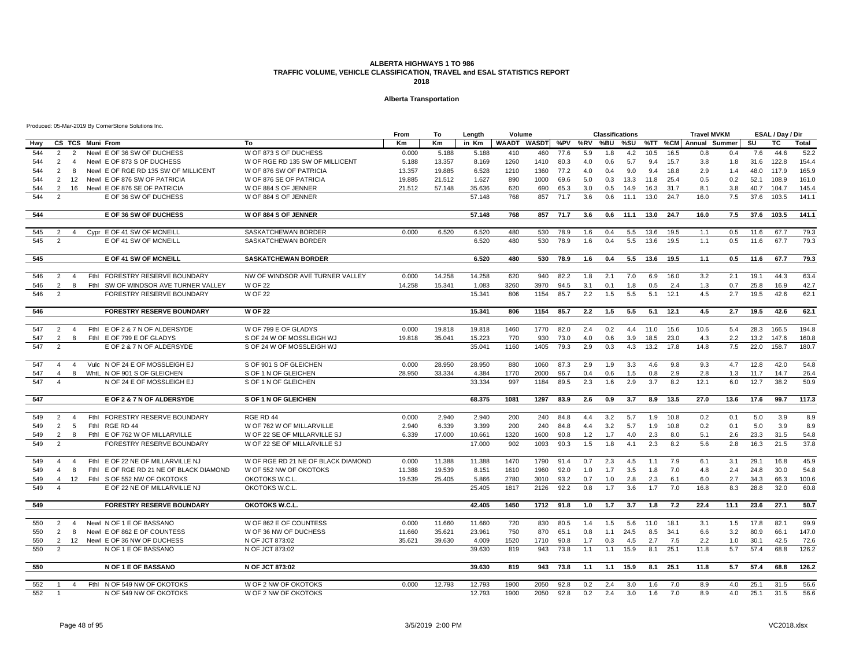#### **Alberta Transportation**

|     |                         |                |                  |                                         |                                    | From   | To     | Length | Volume |                    |      |     | <b>Classifications</b> |      |      |      | <b>Travel MVKM</b> |      |      | ESAL / Day / Dir |       |
|-----|-------------------------|----------------|------------------|-----------------------------------------|------------------------------------|--------|--------|--------|--------|--------------------|------|-----|------------------------|------|------|------|--------------------|------|------|------------------|-------|
| Hwy |                         |                | CS TCS Muni From |                                         | To                                 | Km     | Кm     | in Km  |        | <b>WAADT WASDT</b> | %PV  | %RV | %BU                    | %SU  | %TT  |      | %CM Annual Summer  |      | SU   | TC               | Total |
| 544 | 2                       | 2              |                  | Newl E OF 36 SW OF DUCHESS              | W OF 873 S OF DUCHESS              | 0.000  | 5.188  | 5.188  | 410    | 460                | 77.6 | 5.9 | 1.8                    | 4.2  | 10.5 | 16.5 | 0.8                | 0.4  | 7.6  | 44.6             | 52.2  |
| 544 | $\overline{2}$          | $\overline{4}$ |                  | Newl E OF 873 S OF DUCHESS              | W OF RGE RD 135 SW OF MILLICENT    | 5.188  | 13.357 | 8.169  | 1260   | 1410               | 80.3 | 4.0 | 0.6                    | 5.7  | 9.4  | 15.7 | 3.8                | 1.8  | 31.6 | 122.8            | 154.4 |
| 544 | $\overline{2}$          | 8              |                  | Newl E OF RGE RD 135 SW OF MILLICENT    | W OF 876 SW OF PATRICIA            | 13.357 | 19.885 | 6.528  | 1210   | 1360               | 77.2 | 4.0 | 0.4                    | 9.0  | 9.4  | 18.8 | 2.9                | 1.4  | 48.0 | 117.9            | 165.9 |
| 544 | 2                       | 12             |                  | Newl E OF 876 SW OF PATRICIA            | W OF 876 SE OF PATRICIA            | 19.885 | 21.512 | 1.627  | 890    | 1000               | 69.6 | 5.0 | 0.3                    | 13.3 | 11.8 | 25.4 | 0.5                | 0.2  | 52.1 | 108.9            | 161.0 |
| 544 | 2                       | 16             |                  | Newl E OF 876 SE OF PATRICIA            | W OF 884 S OF JENNER               | 21.512 | 57.148 | 35.636 | 620    | 690                | 65.3 | 3.0 | 0.5                    | 14.9 | 16.3 | 31.7 | 8.1                | 3.8  | 40.7 | 104.7            | 145.4 |
| 544 | 2                       |                |                  | E OF 36 SW OF DUCHESS                   | W OF 884 S OF JENNER               |        |        | 57.148 | 768    | 857                | 71.7 | 3.6 | 0.6                    | 11.1 | 13.0 | 24.7 | 16.0               | 7.5  | 37.6 | 103.5            | 141.1 |
|     |                         |                |                  |                                         |                                    |        |        |        |        |                    |      |     |                        |      |      |      |                    |      |      |                  |       |
| 544 |                         |                |                  | E OF 36 SW OF DUCHESS                   | W OF 884 S OF JENNER               |        |        | 57.148 | 768    | 857                | 71.7 | 3.6 | 0.6                    | 11.1 | 13.0 | 24.7 | 16.0               | 7.5  | 37.6 | 103.5            | 141.1 |
|     |                         |                |                  |                                         |                                    |        |        |        |        |                    |      |     |                        |      |      |      |                    |      |      |                  |       |
| 545 | 2                       | $\overline{4}$ |                  | Cvpr E OF 41 SW OF MCNEILL              | SASKATCHEWAN BORDER                | 0.000  | 6.520  | 6.520  | 480    | 530                | 78.9 | 1.6 | 0.4                    | 5.5  | 13.6 | 19.5 | 1.1                | 0.5  | 11.6 | 67.7             | 79.3  |
| 545 | $\overline{2}$          |                |                  | E OF 41 SW OF MCNEILL                   | SASKATCHEWAN BORDER                |        |        | 6.520  | 480    | 530                | 78.9 | 1.6 | 0.4                    | 5.5  | 13.6 | 19.5 | 1.1                | 0.5  | 11.6 | 67.7             | 79.3  |
|     |                         |                |                  |                                         |                                    |        |        |        |        |                    |      |     |                        |      |      |      |                    |      |      |                  |       |
| 545 |                         |                |                  | <b>E OF 41 SW OF MCNEILL</b>            | <b>SASKATCHEWAN BORDER</b>         |        |        | 6.520  | 480    | 530                | 78.9 | 1.6 | 0.4                    | 5.5  | 13.6 | 19.5 | 1.1                | 0.5  | 11.6 | 67.7             | 79.3  |
|     |                         |                |                  |                                         |                                    |        |        |        |        |                    |      |     |                        |      |      |      |                    |      |      |                  |       |
| 546 | 2                       | $\overline{4}$ |                  | FthI FORESTRY RESERVE BOUNDARY          | NW OF WINDSOR AVE TURNER VALLEY    | 0.000  | 14.258 | 14.258 | 620    | 940                | 82.2 | 1.8 | 2.1                    | 7.0  | 6.9  | 16.0 | 3.2                | 2.1  | 19.1 | 44.3             | 63.4  |
| 546 | $\overline{2}$          | 8              | Fthl             | SW OF WINDSOR AVE TURNER VALLEY         | <b>W OF 22</b>                     | 14.258 | 15.341 | 1.083  | 3260   | 3970               | 94.5 | 3.1 | 0.1                    | 1.8  | 0.5  | 2.4  | 1.3                | 0.7  | 25.8 | 16.9             | 42.7  |
| 546 | $\overline{2}$          |                |                  | FORESTRY RESERVE BOUNDARY               | <b>W OF 22</b>                     |        |        | 15.341 | 806    | 1154               | 85.7 | 2.2 | 1.5                    | 5.5  | 5.1  | 12.1 | 4.5                | 2.7  | 19.5 | 42.6             | 62.1  |
|     |                         |                |                  |                                         |                                    |        |        |        |        |                    |      |     |                        |      |      |      |                    |      |      |                  |       |
| 546 |                         |                |                  | <b>FORESTRY RESERVE BOUNDARY</b>        | <b>W OF 22</b>                     |        |        | 15.341 | 806    | 1154               | 85.7 | 2.2 | 1.5                    | 5.5  | 5.1  | 12.1 | 4.5                | 2.7  | 19.5 | 42.6             | 62.1  |
|     |                         |                |                  |                                         |                                    |        |        |        |        |                    |      |     |                        |      |      |      |                    |      |      |                  |       |
| 547 | $\overline{2}$          | $\overline{4}$ |                  | Fthl E OF 2 & 7 N OF ALDERSYDE          | W OF 799 E OF GLADYS               | 0.000  | 19.818 | 19.818 | 1460   | 1770               | 82.0 | 2.4 | 0.2                    | 4.4  | 11.0 | 15.6 | 10.6               | 5.4  | 28.3 | 166.5            | 194.8 |
| 547 | 2                       | 8              |                  | FthI E OF 799 E OF GLADYS               | S OF 24 W OF MOSSLEIGH WJ          | 19.818 | 35.041 | 15.223 | 770    | 930                | 73.0 | 4.0 | 0.6                    | 3.9  | 18.5 | 23.0 | 4.3                | 2.2  | 13.2 | 147.6            | 160.8 |
| 547 | 2                       |                |                  | E OF 2 & 7 N OF ALDERSYDE               | S OF 24 W OF MOSSLEIGH WJ          |        |        | 35.041 | 1160   | 1405               | 79.3 | 2.9 | 0.3                    | 4.3  | 13.2 | 17.8 | 14.8               | 7.5  | 22.0 | 158.7            | 180.7 |
|     |                         |                |                  |                                         |                                    |        |        |        |        |                    |      |     |                        |      |      |      |                    |      |      |                  |       |
| 547 | $\overline{\mathbf{4}}$ | $\overline{4}$ |                  | Vulc N OF 24 E OF MOSSLEIGH EJ          | S OF 901 S OF GLEICHEN             | 0.000  | 28.950 | 28.950 | 880    | 1060               | 87.3 | 2.9 | 1.9                    | 3.3  | 4.6  | 9.8  | 9.3                | 4.7  | 12.8 | 42.0             | 54.8  |
| 547 | $\overline{4}$          | 8              |                  | WhtL N OF 901 S OF GLEICHEN             | S OF 1 N OF GLEICHEN               | 28.950 | 33.334 | 4.384  | 1770   | 2000               | 96.7 | 0.4 | 0.6                    | 1.5  | 0.8  | 2.9  | 2.8                | 1.3  | 11.7 | 14.7             | 26.4  |
| 547 | $\overline{4}$          |                |                  | N OF 24 E OF MOSSLEIGH EJ               | S OF 1 N OF GLEICHEN               |        |        | 33.334 | 997    | 1184               | 89.5 | 2.3 | 1.6                    | 2.9  | 3.7  | 8.2  | 12.1               | 6.0  | 12.7 | 38.2             | 50.9  |
|     |                         |                |                  |                                         |                                    |        |        |        |        |                    |      |     |                        |      |      |      |                    |      |      |                  |       |
| 547 |                         |                |                  | E OF 2 & 7 N OF ALDERSYDE               | S OF 1 N OF GLEICHEN               |        |        | 68.375 | 1081   | 1297               | 83.9 | 2.6 | 0.9                    | 3.7  | 8.9  | 13.5 | 27.0               | 13.6 | 17.6 | 99.7             | 117.3 |
|     |                         |                |                  |                                         |                                    |        |        |        |        |                    |      |     |                        |      |      |      |                    |      |      |                  |       |
| 549 | 2                       | $\overline{4}$ |                  | FthI FORESTRY RESERVE BOUNDARY          | RGE RD 44                          | 0.000  | 2.940  | 2.940  | 200    | 240                | 84.8 | 4.4 | 3.2                    | 5.7  | 1.9  | 10.8 | 0.2                | 0.1  | 5.0  | 3.9              | 8.9   |
| 549 | $\overline{2}$          | 5              |                  | Fthl RGE RD 44                          | W OF 762 W OF MILLARVILLE          | 2.940  | 6.339  | 3.399  | 200    | 240                | 84.8 | 4.4 | 3.2                    | 5.7  | 1.9  | 10.8 | 0.2                | 0.1  | 5.0  | 3.9              | 8.9   |
| 549 | 2                       | 8              |                  | FthI E OF 762 W OF MILLARVILLE          | W OF 22 SE OF MILLARVILLE SJ       | 6.339  | 17.000 | 10.661 | 1320   | 1600               | 90.8 | 1.2 | 1.7                    | 4.0  | 2.3  | 8.0  | 5.1                | 2.6  | 23.3 | 31.5             | 54.8  |
| 549 | 2                       |                |                  | FORESTRY RESERVE BOUNDARY               | W OF 22 SE OF MILLARVILLE SJ       |        |        | 17.000 | 902    | 1093               | 90.3 | 1.5 | 1.8                    | 4.1  | 2.3  | 8.2  | 5.6                | 2.8  | 16.3 | 21.5             | 37.8  |
|     |                         |                |                  |                                         |                                    |        |        |        |        |                    |      |     |                        |      |      |      |                    |      |      |                  |       |
| 549 | $\overline{4}$          | $\overline{4}$ |                  | Fthl E OF 22 NE OF MILLARVILLE NJ       | W OF RGE RD 21 NE OF BLACK DIAMOND | 0.000  | 11.388 | 11.388 | 1470   | 1790               | 91.4 | 0.7 | 2.3                    | 4.5  | 1.1  | 7.9  | 6.1                | 3.1  | 29.1 | 16.8             | 45.9  |
| 549 | $\overline{4}$          | 8              |                  | Fthl E OF RGE RD 21 NE OF BLACK DIAMOND | W OF 552 NW OF OKOTOKS             | 11.388 | 19.539 | 8.151  | 1610   | 1960               | 92.0 | 1.0 | 1.7                    | 3.5  | 1.8  | 7.0  | 4.8                | 2.4  | 24.8 | 30.0             | 54.8  |
| 549 | $\overline{4}$          | 12             |                  | Fthl S OF 552 NW OF OKOTOKS             | OKOTOKS W.C.L                      | 19.539 | 25.405 | 5.866  | 2780   | 3010               | 93.2 | 0.7 | 1.0                    | 2.8  | 2.3  | 6.1  | 6.0                | 2.7  | 34.3 | 66.3             | 100.6 |
| 549 | $\overline{a}$          |                |                  | E OF 22 NE OF MILLARVILLE NJ            | OKOTOKS W.C.L.                     |        |        | 25.405 | 1817   | 2126               | 92.2 | 0.8 | 1.7                    | 3.6  | 1.7  | 7.0  | 16.8               | 8.3  | 28.8 | 32.0             | 60.8  |
|     |                         |                |                  |                                         |                                    |        |        |        |        |                    |      |     |                        |      |      |      |                    |      |      |                  |       |
| 549 |                         |                |                  | <b>FORESTRY RESERVE BOUNDARY</b>        | OKOTOKS W.C.L.                     |        |        | 42.405 | 1450   | 1712               | 91.8 | 1.0 | 1.7                    | 3.7  | 1.8  | 7.2  | 22.4               | 11.1 | 23.6 | 27.1             | 50.7  |
|     |                         |                |                  |                                         |                                    |        |        |        |        |                    |      |     |                        |      |      |      |                    |      |      |                  |       |
| 550 | 2                       | $\overline{4}$ |                  | Newl N OF 1 E OF BASSANO                | W OF 862 E OF COUNTESS             | 0.000  | 11.660 | 11.660 | 720    | 830                | 80.5 | 1.4 | 1.5                    | 5.6  | 11.0 | 18.1 | 3.1                | 1.5  | 17.8 | 82.1             | 99.9  |
| 550 | 2                       | 8              |                  | Newl E OF 862 E OF COUNTESS             | W OF 36 NW OF DUCHESS              | 11.660 | 35.621 | 23.961 | 750    | 870                | 65.1 | 0.8 | 1.1                    | 24.5 | 8.5  | 34.1 | 6.6                | 3.2  | 80.9 | 66.1             | 147.0 |
| 550 | 2                       | 12             |                  | Newl E OF 36 NW OF DUCHESS              | N OF JCT 873:02                    | 35.621 | 39.630 | 4.009  | 1520   | 1710               | 90.8 | 1.7 | 0.3                    | 4.5  | 2.7  | 7.5  | 2.2                | 1.0  | 30.1 | 42.5             | 72.6  |
| 550 | 2                       |                |                  | N OF 1 E OF BASSANO                     | N OF JCT 873:02                    |        |        | 39.630 | 819    | 943                | 73.8 | 1.1 | 1.1                    | 15.9 | 8.1  | 25.1 | 11.8               | 5.7  | 57.4 | 68.8             | 126.2 |
| 550 |                         |                |                  | N OF 1 E OF BASSANO                     | N OF JCT 873:02                    |        |        | 39.630 | 819    | 943                | 73.8 | 1.1 | 1.1                    | 15.9 | 8.1  | 25.1 | 11.8               | 5.7  | 57.4 | 68.8             | 126.2 |
|     |                         |                |                  |                                         |                                    |        |        |        |        |                    |      |     |                        |      |      |      |                    |      |      |                  |       |
| 552 | $\overline{1}$          | $\overline{4}$ |                  | Fthl N OF 549 NW OF OKOTOKS             | W OF 2 NW OF OKOTOKS               | 0.000  | 12.793 | 12.793 | 1900   | 2050               | 92.8 | 0.2 | 2.4                    | 3.0  | 1.6  | 7.0  | 8.9                | 4.0  | 25.1 | 31.5             | 56.6  |
| 552 | $\overline{1}$          |                |                  | N OF 549 NW OF OKOTOKS                  | W OF 2 NW OF OKOTOKS               |        |        | 12.793 | 1900   | 2050               | 92.8 | 0.2 | 2.4                    | 3.0  | 1.6  | 7.0  | 8.9                | 4.0  | 25.1 | 31.5             | 56.6  |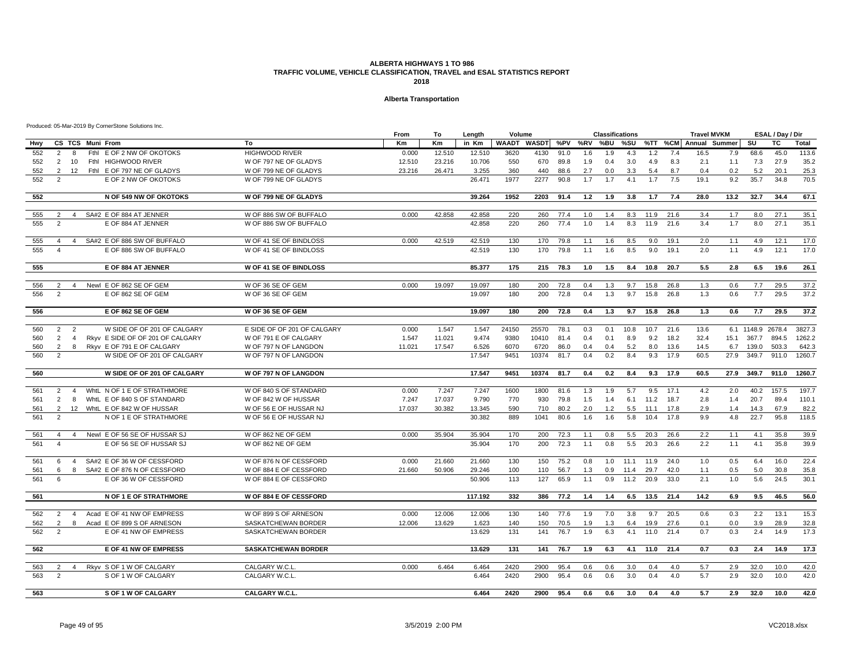#### **Alberta Transportation**

|            |                                                                                           | From      | To     | Length  | Volume                      |              |              |            | <b>Classifications</b> |      |            |            | <b>Travel MVKM</b> |               |                   | ESAL / Day / Dir |              |
|------------|-------------------------------------------------------------------------------------------|-----------|--------|---------|-----------------------------|--------------|--------------|------------|------------------------|------|------------|------------|--------------------|---------------|-------------------|------------------|--------------|
| Hwy        | CS TCS Muni From<br>To                                                                    | <b>Km</b> | Km     | in Km   | WAADT WASDT %PV %RV %BU %SU |              |              |            |                        |      |            | %TT %CM    |                    | Annual Summer | SU                | <b>TC</b>        | Total        |
| 552        | Fthl E OF 2 NW OF OKOTOKS<br><b>HIGHWOOD RIVER</b><br>8<br>$\overline{2}$                 | 0.000     | 12.510 | 12.510  | 3620                        | 4130         | 91.0         | 1.6        | 1.9                    | 4.3  | 1.2        | 7.4        | 16.5               | 7.9           | 68.6              | 45.0             | 113.6        |
| 552        | Fthl HIGHWOOD RIVER<br>W OF 797 NE OF GLADYS<br>2<br>10                                   | 12.510    | 23.216 | 10.706  | 550                         | 670          | 89.8         | 1.9        | 0.4                    | 3.0  | 4.9        | 8.3        | 2.1                | 1.1           | 7.3               | 27.9             | 35.2         |
| 552        | 12<br>FthI E OF 797 NE OF GLADYS<br>W OF 799 NE OF GLADYS<br>2                            | 23.216    | 26.471 | 3.255   | 360                         | 440          | 88.6         | 2.7        | 0.0                    | 3.3  | 5.4        | 8.7        | 0.4                | 0.2           | 5.2               | 20.1             | 25.3         |
| 552        | $\overline{2}$<br>E OF 2 NW OF OKOTOKS<br>W OF 799 NE OF GLADYS                           |           |        | 26.471  | 1977                        | 2277         | 90.8         | 1.7        | 1.7                    | 4.1  | 1.7        | 7.5        | 19.1               | 9.2           | 35.7              | 34.8             | 70.5         |
| 552        | N OF 549 NW OF OKOTOKS<br>W OF 799 NE OF GLADYS                                           |           |        | 39.264  | 1952                        | 2203         | 91.4         | 1.2        | 1.9                    | 3.8  | 1.7        | 7.4        | 28.0               | 13.2          | 32.7              | 34.4             | 67.1         |
|            |                                                                                           |           |        |         |                             |              |              |            |                        |      |            |            |                    |               |                   |                  |              |
| 555        | SA#2 E OF 884 AT JENNER<br>W OF 886 SW OF BUFFALO<br>2<br>$\overline{4}$                  | 0.000     | 42.858 | 42.858  | 220                         | 260          | 77.4         | 1.0        | 1.4                    | 8.3  | 11.9       | 21.6       | 3.4                | 1.7           | 8.0               | 27.1             | 35.1         |
| 555        | 2<br>E OF 884 AT JENNER<br>W OF 886 SW OF BUFFALO                                         |           |        | 42.858  | 220                         | 260          | 77.4         | 1.0        | 1.4                    | 8.3  | 11.9       | 21.6       | 3.4                | 1.7           | 8.0               | 27.1             | 35.1         |
| 555        | W OF 41 SE OF BINDLOSS<br>SA#2 E OF 886 SW OF BUFFALO<br>$\overline{4}$<br>$\overline{4}$ | 0.000     | 42.519 | 42.519  | 130                         | 170          | 79.8         | 1.1        | 1.6                    | 8.5  | 9.0        | 19.1       | 2.0                | 1.1           | 4.9               | 12.1             | 17.0         |
| 555        | E OF 886 SW OF BUFFALO<br>W OF 41 SE OF BINDLOSS<br>$\overline{\mathbf{4}}$               |           |        | 42.519  | 130                         | 170          | 79.8         | 1.1        | 1.6                    | 8.5  | 9.0        | 19.1       | 2.0                | 1.1           | 4.9               | 12.1             | 17.0         |
| 555        | E OF 884 AT JENNER<br>W OF 41 SE OF BINDLOSS                                              |           |        | 85.377  | 175                         | 215          | 78.3         | 1.0        | 1.5                    | 8.4  | 10.8       | 20.7       | 5.5                | 2.8           | 6.5               | 19.6             | 26.1         |
| 556        | Newl E OF 862 SE OF GEM<br>W OF 36 SE OF GEM<br>2<br>$\overline{4}$                       | 0.000     | 19.097 | 19.097  | 180                         | 200          | 72.8         | 0.4        | 1.3                    | 9.7  | 15.8       | 26.8       | 1.3                | 0.6           | 7.7               | 29.5             | 37.2         |
| 556        | E OF 862 SE OF GEM<br>W OF 36 SE OF GEM<br>2                                              |           |        | 19.097  | 180                         | 200          | 72.8         | 0.4        | 1.3                    | 9.7  | 15.8       | 26.8       | 1.3                | 0.6           | 7.7               | 29.5             | 37.2         |
| 556        | E OF 862 SE OF GEM<br>W OF 36 SE OF GEM                                                   |           |        | 19.097  | 180                         | 200          | 72.8         | 0.4        | 1.3                    | 9.7  | 15.8       | 26.8       | 1.3                | 0.6           | 7.7               | 29.5             | 37.2         |
|            |                                                                                           |           |        |         |                             |              |              |            |                        |      |            |            |                    |               |                   |                  |              |
| 560        | $\overline{2}$<br>2<br>W SIDE OF OF 201 OF CALGARY<br>E SIDE OF OF 201 OF CALGARY         | 0.000     | 1.547  | 1.547   | 24150                       | 25570        | 78.1         | 0.3        | 0.1                    | 10.8 | 10.7       | 21.6       | 13.6               |               | 6.1 1148.9 2678.4 |                  | 3827.3       |
| 560        | 2<br>Rkyv E SIDE OF OF 201 OF CALGARY<br>W OF 791 E OF CALGARY<br>$\overline{4}$          | 1.547     | 11.021 | 9.474   | 9380                        | 10410        | 81.4         | 0.4        | 0.1                    | 8.9  | 9.2        | 18.2       | 32.4               | 15.1          | 367.7             | 894.5            | 1262.2       |
| 560        | 2<br>Rkyv E OF 791 E OF CALGARY<br>W OF 797 N OF LANGDON<br>8                             | 11.021    | 17.547 | 6.526   | 6070                        | 6720         | 86.0         | 0.4        | 0.4                    | 5.2  | 8.0        | 13.6       | 14.5               | 6.7           | 139.0             | 503.3            | 642.3        |
| 560        | W SIDE OF OF 201 OF CALGARY<br>W OF 797 N OF LANGDON<br>$\overline{2}$                    |           |        | 17.547  | 9451                        | 10374        | 81.7         | 0.4        | 0.2                    | 8.4  | 9.3        | 17.9       | 60.5               | 27.9          | 349.7             | 911.0            | 1260.7       |
| 560        | <b>W OF 797 N OF LANGDON</b><br>W SIDE OF OF 201 OF CALGARY                               |           |        | 17.547  | 9451                        | 10374        | 81.7         | 0.4        | 0.2                    | 8.4  | 9.3        | 17.9       | 60.5               | 27.9          | 349.7             | 911.0            | 1260.7       |
| 561        | WhtL N OF 1 E OF STRATHMORE<br>W OF 840 S OF STANDARD<br>$\overline{2}$<br>$\overline{4}$ | 0.000     | 7.247  | 7.247   | 1600                        | 1800         | 81.6         | 1.3        | 1.9                    | 5.7  | 9.5        | 17.1       | 4.2                | 2.0           | 40.2              | 157.5            | 197.7        |
| 561        | $\overline{2}$<br>WhtL E OF 840 S OF STANDARD<br>W OF 842 W OF HUSSAR<br>- 8              | 7.247     | 17.037 | 9.790   | 770                         | 930          | 79.8         | 1.5        | 1.4                    | 6.1  | 11.2       | 18.7       | 2.8                | 1.4           | 20.7              | 89.4             | 110.1        |
| 561        | 2<br>12 WhtL E OF 842 W OF HUSSAR<br>W OF 56 E OF HUSSAR NJ                               | 17.037    | 30.382 | 13.345  | 590                         | 710          | 80.2         | 2.0        | 1.2                    | 5.5  | 11.1       | 17.8       | 2.9                | 1.4           | 14.3              | 67.9             | 82.2         |
| 561        | 2<br>N OF 1 E OF STRATHMORE<br>W OF 56 E OF HUSSAR NJ                                     |           |        | 30.382  | 889                         | 1041         | 80.6         | 1.6        | 1.6                    | 5.8  | 10.4       | 17.8       | 9.9                | 4.8           | 22.7              | 95.8             | 118.5        |
| 561        | Newl E OF 56 SE OF HUSSAR SJ<br>W OF 862 NE OF GEM<br>$\overline{a}$<br>$\overline{4}$    | 0.000     | 35,904 | 35.904  | 170                         | 200          | 72.3         | 1.1        | 0.8                    | 5.5  | 20.3       | 26.6       | 2.2                | 1.1           | 4.1               | 35.8             | 39.9         |
| 561        | E OF 56 SE OF HUSSAR SJ<br>W OF 862 NE OF GEM<br>$\overline{\mathbf{4}}$                  |           |        | 35.904  | 170                         | 200          | 72.3         | 1.1        | 0.8                    | 5.5  | 20.3       | 26.6       | 2.2                | 1.1           | 4.1               | 35.8             | 39.9         |
| 561        | SA#2 E OF 36 W OF CESSFORD<br>W OF 876 N OF CESSFORD<br>6<br>$\overline{4}$               | 0.000     | 21.660 | 21.660  | 130                         | 150          | 75.2         | 0.8        | 1.0                    | 11.1 | 11.9       | 24.0       | 1.0                | 0.5           | 6.4               | 16.0             | 22.4         |
| 561        | SA#2 E OF 876 N OF CESSFORD<br>W OF 884 E OF CESSFORD<br>6<br>8                           | 21.660    | 50.906 | 29.246  | 100                         | 110          | 56.7         | 1.3        | 0.9                    | 11.4 | 29.7       | 42.0       | 1.1                | 0.5           | 5.0               | 30.8             | 35.8         |
| 561        | 6<br>E OF 36 W OF CESSFORD<br>W OF 884 E OF CESSFORD                                      |           |        | 50.906  | 113                         | 127          | 65.9         | 1.1        | 0.9                    | 11.2 | 20.9       | 33.0       | 2.1                | 1.0           | 5.6               | 24.5             | 30.1         |
| 561        | <b>N OF 1 E OF STRATHMORE</b><br><b>W OF 884 E OF CESSFORD</b>                            |           |        | 117.192 | 332                         | 386          | 77.2         | 1.4        | 1.4                    | 6.5  | 13.5       | 21.4       | 14.2               | 6.9           | 9.5               | 46.5             | 56.0         |
| 562        | Acad E OF 41 NW OF EMPRESS<br>W OF 899 S OF ARNESON<br>2<br>$\overline{4}$                | 0.000     | 12.006 | 12.006  | 130                         | 140          | 77.6         | 1.9        | 7.0                    | 3.8  | 9.7        | 20.5       | 0.6                | 0.3           | 2.2               | 13.1             | 15.3         |
| 562        | Acad E OF 899 S OF ARNESON<br>SASKATCHEWAN BORDER<br>$\overline{2}$<br>8                  | 12.006    | 13.629 | 1.623   | 140                         | 150          | 70.5         | 1.9        | 1.3                    | 6.4  | 19.9       | 27.6       | 0.1                | 0.0           | 3.9               | 28.9             | 32.8         |
| 562        | E OF 41 NW OF EMPRESS<br>SASKATCHEWAN BORDER<br>2                                         |           |        | 13.629  | 131                         | 141          | 76.7         | 1.9        | 6.3                    | 4.1  | 11.0       | 21.4       | 0.7                | 0.3           | 2.4               | 14.9             | 17.3         |
| 562        | E OF 41 NW OF EMPRESS<br><b>SASKATCHEWAN BORDER</b>                                       |           |        | 13.629  | 131                         | 141          | 76.7         | 1.9        | 6.3                    | 4.1  | 11.0       | 21.4       | 0.7                | 0.3           | 2.4               | 14.9             | 17.3         |
|            |                                                                                           |           |        |         |                             |              |              |            |                        |      |            |            |                    |               |                   |                  |              |
| 563<br>563 | Rkyv S OF 1 W OF CALGARY<br>CALGARY W.C.L<br>2<br>4                                       | 0.000     | 6.464  | 6.464   | 2420<br>2420                | 2900<br>2900 | 95.4<br>95.4 | 0.6<br>0.6 | 0.6                    | 3.0  | 0.4<br>0.4 | 4.0<br>4.0 | 5.7<br>5.7         | 2.9<br>2.9    | 32.0<br>32.0      | 10.0<br>10.0     | 42.0<br>42.0 |
|            | S OF 1 W OF CALGARY<br>CALGARY W.C.L.<br>$\overline{2}$                                   |           |        | 6.464   |                             |              |              |            | 0.6                    | 3.0  |            |            |                    |               |                   |                  |              |
| 563        | CALGARY W.C.L.<br>S OF 1 W OF CALGARY                                                     |           |        | 6.464   | 2420                        | 2900         | 95.4         | 0.6        | 0.6                    | 3.0  | 0.4        | 4.0        | 5.7                | 2.9           | 32.0              | 10.0             | 42.0         |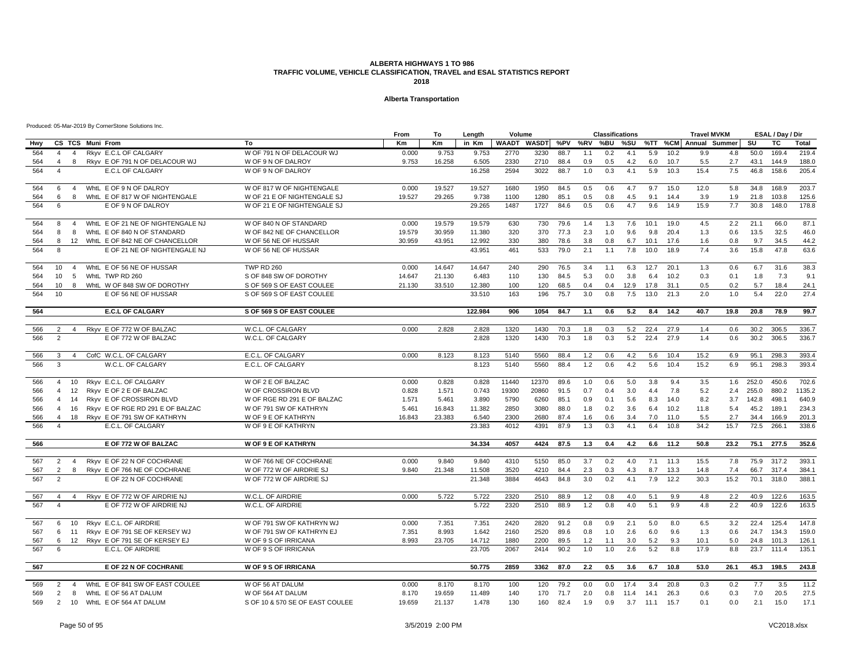#### **Alberta Transportation**

|     |                  |                |                                   |                                 | From   | To     | Length  | Volume       |               |      |       | <b>Classifications</b> |      |      |      | <b>Travel MVKM</b>    |               |       | ESAL / Day / Dir |              |
|-----|------------------|----------------|-----------------------------------|---------------------------------|--------|--------|---------|--------------|---------------|------|-------|------------------------|------|------|------|-----------------------|---------------|-------|------------------|--------------|
| Hwy |                  |                | CS TCS Muni From                  | Тο                              | Km     | Km     | in Km   | <b>WAADT</b> | WASDT %PV %RV |      |       | %BU                    | %SU  |      |      | %TT %CM Annual Summer |               | SU    | TC               | <b>Total</b> |
| 564 | $\overline{4}$   | $\overline{4}$ | Rkyv E.C.L OF CALGARY             | W OF 791 N OF DELACOUR WJ       | 0.000  | 9.753  | 9.753   | 2770         | 3230          | 88.7 | 1.1   | 0.2                    | 4.1  | 5.9  | 10.2 | 9.9                   | 4.8           | 50.0  | 169.4            | 219.4        |
| 564 | $\overline{4}$   | 8              | Rkyv E OF 791 N OF DELACOUR WJ    | W OF 9 N OF DALROY              | 9.753  | 16.258 | 6.505   | 2330         | 2710          | 88.4 | 0.9   | 0.5                    | 4.2  | 6.0  | 10.7 | 5.5                   | 2.7           | 43.1  | 144.9            | 188.0        |
| 564 | $\overline{4}$   |                | E.C.L OF CALGARY                  | W OF 9 N OF DALROY              |        |        | 16.258  | 2594         | 3022          | 88.7 | 1.0   | 0.3                    | 4.1  | 5.9  | 10.3 | 15.4                  | 7.5           | 46.8  | 158.6            | 205.4        |
|     |                  |                |                                   |                                 |        |        |         |              |               |      |       |                        |      |      |      |                       |               |       |                  |              |
| 564 | 6                | $\overline{4}$ | WhtL E OF 9 N OF DALROY           | W OF 817 W OF NIGHTENGALE       | 0.000  | 19.527 | 19.527  | 1680         | 1950          | 84.5 | 0.5   | 0.6                    | 4.7  | 9.7  | 15.0 | 12.0                  | 5.8           | 34.8  | 168.9            | 203.7        |
| 564 | 6                | 8              | WhtL E OF 817 W OF NIGHTENGALE    | W OF 21 E OF NIGHTENGALE SJ     | 19.527 | 29.265 | 9.738   | 1100         | 1280          | 85.1 | 0.5   | 0.8                    | 4.5  | 9.1  | 14.4 | 3.9                   | 1.9           | 21.8  | 103.8            | 125.6        |
| 564 | 6                |                | E OF 9 N OF DALROY                | W OF 21 E OF NIGHTENGALE SJ     |        |        | 29.265  | 1487         | 1727          | 84.6 | 0.5   | 0.6                    | 4.7  | 9.6  | 14.9 | 15.9                  | 7.7           | 30.8  | 148.0            | 178.8        |
| 564 | 8                | $\overline{4}$ | WhtL E OF 21 NE OF NIGHTENGALE NJ | W OF 840 N OF STANDARD          | 0.000  | 19.579 | 19.579  | 630          | 730           | 79.6 | 1.4   | 1.3                    | 7.6  | 10.1 | 19.0 | 4.5                   | $2.2^{\circ}$ | 21.1  | 66.0             | 87.1         |
| 564 | 8                | 8              | WhtL E OF 840 N OF STANDARD       | W OF 842 NE OF CHANCELLOR       | 19.579 | 30.959 | 11.380  | 320          | 370           | 77.3 | 2.3   | 1.0                    | 9.6  | 9.8  | 20.4 | 1.3                   | 0.6           | 13.5  | 32.5             | 46.0         |
| 564 | 8                |                | 12 WhtL E OF 842 NE OF CHANCELLOR | W OF 56 NE OF HUSSAR            | 30.959 | 43.951 | 12.992  | 330          | 380           | 78.6 | 3.8   | 0.8                    | 6.7  | 10.1 | 17.6 | 1.6                   | 0.8           | 9.7   | 34.5             | 44.2         |
| 564 | 8                |                | E OF 21 NE OF NIGHTENGALE NJ      | W OF 56 NE OF HUSSAR            |        |        | 43.951  | 461          | 533           | 79.0 | 2.1   | 1.1                    | 7.8  | 10.0 | 18.9 | 7.4                   | 3.6           | 15.8  | 47.8             | 63.6         |
| 564 | 10               | $\overline{4}$ | WhtL E OF 56 NE OF HUSSAR         | <b>TWP RD 260</b>               | 0.000  | 14.647 | 14.647  | 240          | 290           | 76.5 | 3.4   | 1.1                    | 6.3  | 12.7 | 20.1 | 1.3                   | 0.6           | 6.7   | 31.6             | 38.3         |
| 564 | 10 <sup>10</sup> | 5              | WhtL TWP RD 260                   | S OF 848 SW OF DOROTHY          | 14.647 | 21.130 | 6.483   | 110          | 130           | 84.5 | 5.3   | 0.0                    | 3.8  | 6.4  | 10.2 | 0.3                   | 0.1           | 1.8   | 7.3              | 9.1          |
| 564 | 10               | 8              | WhtL W OF 848 SW OF DOROTHY       | S OF 569 S OF EAST COULEE       | 21.130 | 33.510 | 12.380  | 100          | 120           | 68.5 | 0.4   | 0.4                    | 12.9 | 17.8 | 31.1 | 0.5                   | 0.2           | 5.7   | 18.4             | 24.1         |
| 564 | 10 <sup>10</sup> |                | E OF 56 NE OF HUSSAR              | S OF 569 S OF EAST COULEE       |        |        | 33.510  | 163          | 196           | 75.7 | 3.0   | 0.8                    | 7.5  | 13.0 | 21.3 | 2.0                   | 1.0           | 5.4   | 22.0             | 27.4         |
| 564 |                  |                | E.C.L OF CALGARY                  | S OF 569 S OF EAST COULEE       |        |        | 122.984 | 906          | 1054          | 84.7 | 1.1   | 0.6                    | 5.2  | 8.4  | 14.2 | 40.7                  | 19.8          | 20.8  | 78.9             | 99.7         |
|     |                  |                |                                   |                                 |        |        |         |              |               |      |       |                        |      |      |      |                       |               |       |                  |              |
| 566 | $\overline{2}$   | $\overline{4}$ | Rkyv E OF 772 W OF BALZAC         | W.C.L. OF CALGARY               | 0.000  | 2.828  | 2.828   | 1320         | 1430          | 70.3 | 1.8   | 0.3                    | 5.2  | 22.4 | 27.9 | 1.4                   | 0.6           | 30.2  | 306.5            | 336.7        |
| 566 | 2                |                | E OF 772 W OF BALZAC              | W.C.L. OF CALGARY               |        |        | 2.828   | 1320         | 1430          | 70.3 | 1.8   | 0.3                    | 5.2  | 22.4 | 27.9 | 1.4                   | 0.6           | 30.2  | 306.5            | 336.7        |
|     |                  |                |                                   |                                 |        |        |         |              |               |      |       |                        |      |      |      |                       |               |       |                  |              |
| 566 | 3                | $\overline{4}$ | CofC W.C.L. OF CALGARY            | E.C.L. OF CALGARY               | 0.000  | 8.123  | 8.123   | 5140         | 5560          | 88.4 | 1.2   | 0.6                    | 4.2  | 5.6  | 10.4 | 15.2                  | 6.9           | 95.1  | 298.3            | 393.4        |
| 566 | 3                |                | W.C.L. OF CALGARY                 | E.C.L. OF CALGARY               |        |        | 8.123   | 5140         | 5560          | 88.4 | 1.2   | 0.6                    | 4.2  | 5.6  | 10.4 | 15.2                  | 6.9           | 95.1  | 298.3            | 393.4        |
| 566 | $\overline{4}$   | 10             | Rkyv E.C.L. OF CALGARY            | W OF 2 E OF BALZAC              | 0.000  | 0.828  | 0.828   | 11440        | 12370         | 89.6 | 1.0   | 0.6                    | 5.0  | 3.8  | 9.4  | 3.5                   | 1.6           | 252.0 | 450.6            | 702.6        |
| 566 | $\overline{4}$   | 12             | Rkyv E OF 2 E OF BALZAC           | W OF CROSSIRON BLVD             | 0.828  | 1.571  | 0.743   | 19300        | 20860         | 91.5 | 0.7   | 0.4                    | 3.0  | 4.4  | 7.8  | 5.2                   | 2.4           | 255.0 | 880.2            | 1135.2       |
| 566 | $\overline{4}$   | 14             | Rkyv E OF CROSSIRON BLVD          | W OF RGE RD 291 E OF BALZAC     | 1.571  | 5.461  | 3.890   | 5790         | 6260          | 85.1 | 0.9   | 0.1                    | 5.6  | 8.3  | 14.0 | 8.2                   | 3.7           | 142.8 | 498.1            | 640.9        |
| 566 | $\overline{4}$   | 16             | Rkyv E OF RGE RD 291 E OF BALZAC  | W OF 791 SW OF KATHRYN          | 5.461  | 16.843 | 11.382  | 2850         | 3080          | 88.0 | 1.8   | 0.2                    | 3.6  | 6.4  | 10.2 | 11.8                  | 5.4           | 45.2  | 189.1            | 234.3        |
| 566 | $\overline{4}$   |                | 18 Rkyv E OF 791 SW OF KATHRYN    | W OF 9 E OF KATHRYN             | 16.843 | 23.383 | 6.540   | 2300         | 2680          | 87.4 | 1.6   | 0.6                    | 3.4  | 7.0  | 11.0 | 5.5                   | 2.7           | 34.4  | 166.9            | 201.3        |
| 566 | $\overline{4}$   |                | E.C.L. OF CALGARY                 | W OF 9 E OF KATHRYN             |        |        | 23.383  | 4012         | 4391          | 87.9 | 1.3   | 0.3                    | 4.1  | 6.4  | 10.8 | 34.2                  | 15.7          | 72.5  | 266.1            | 338.6        |
| 566 |                  |                | E OF 772 W OF BALZAC              | W OF 9 E OF KATHRYN             |        |        | 34.334  | 4057         | 4424          | 87.5 | $1.3$ | 0.4                    | 4.2  | 6.6  | 11.2 | 50.8                  | 23.2          | 75.1  | 277.5            | 352.6        |
|     |                  |                |                                   |                                 |        |        |         |              |               |      |       |                        |      |      |      |                       |               |       |                  |              |
| 567 | $\overline{2}$   | $\overline{4}$ | Rkyv E OF 22 N OF COCHRANE        | W OF 766 NE OF COCHRANE         | 0.000  | 9.840  | 9.840   | 4310         | 5150          | 85.0 | 3.7   | 0.2                    | 4.0  | 7.1  | 11.3 | 15.5                  | 7.8           | 75.9  | 317.2            | 393.1        |
| 567 | $\overline{2}$   | 8              | Rkyv E OF 766 NE OF COCHRANE      | W OF 772 W OF AIRDRIE SJ        | 9.840  | 21.348 | 11.508  | 3520         | 4210          | 84.4 | 2.3   | 0.3                    | 4.3  | 8.7  | 13.3 | 14.8                  | 7.4           | 66.7  | 317.4            | 384.1        |
| 567 | 2                |                | E OF 22 N OF COCHRANE             | W OF 772 W OF AIRDRIE SJ        |        |        | 21.348  | 3884         | 4643          | 84.8 | 3.0   | 0.2                    | 4.1  | 7.9  | 12.2 | 30.3                  | 15.2          | 70.1  | 318.0            | 388.1        |
| 567 | $\overline{4}$   | $\overline{4}$ | Rkvv E OF 772 W OF AIRDRIE NJ     | W.C.L. OF AIRDRIE               | 0.000  | 5.722  | 5.722   | 2320         | 2510          | 88.9 | 1.2   | 0.8                    | 4.0  | 5.1  | 9.9  | 4.8                   | 2.2           | 40.9  | 122.6            | 163.5        |
| 567 | $\overline{4}$   |                | E OF 772 W OF AIRDRIE NJ          | W.C.L. OF AIRDRIE               |        |        | 5.722   | 2320         | 2510          | 88.9 | 1.2   | 0.8                    | 4.0  | 5.1  | 9.9  | 4.8                   | 2.2           | 40.9  | 122.6            | 163.5        |
| 567 | 6                | 10             | Rkyv E.C.L. OF AIRDRIE            | W OF 791 SW OF KATHRYN WJ       | 0.000  | 7.351  | 7.351   | 2420         | 2820          | 91.2 | 0.8   | 0.9                    | 2.1  | 5.0  | 8.0  | 6.5                   | 3.2           | 22.4  | 125.4            | 147.8        |
| 567 | 6                | 11             | Rkyv E OF 791 SE OF KERSEY WJ     | W OF 791 SW OF KATHRYN EJ       | 7.351  | 8.993  | 1.642   | 2160         | 2520          | 89.6 | 0.8   | 1.0                    | 2.6  | 6.0  | 9.6  | 1.3                   | 0.6           | 24.7  | 134.3            | 159.0        |
| 567 | 6                | 12             | Rkyv E OF 791 SE OF KERSEY EJ     | W OF 9 S OF IRRICANA            | 8.993  | 23.705 | 14.712  | 1880         | 2200          | 89.5 | 1.2   | 1.1                    | 3.0  | 5.2  | 9.3  | 10.1                  | 5.0           | 24.8  | 101.3            | 126.1        |
| 567 | 6                |                | E.C.L. OF AIRDRIE                 | W OF 9 S OF IRRICANA            |        |        | 23.705  | 2067         | 2414          | 90.2 | 1.0   | 1.0                    | 2.6  | 5.2  | 8.8  | 17.9                  | 8.8           | 23.7  | 111.4            | 135.1        |
| 567 |                  |                | E OF 22 N OF COCHRANE             | <b>W OF 9 S OF IRRICANA</b>     |        |        | 50.775  | 2859         | 3362          | 87.0 | 2.2   | 0.5                    | 3.6  | 6.7  | 10.8 | 53.0                  | 26.1          | 45.3  | 198.5            | 243.8        |
|     |                  |                |                                   |                                 |        |        |         |              |               |      |       |                        |      |      |      |                       |               |       |                  |              |
| 569 | 2                | $\overline{4}$ | WhtL E OF 841 SW OF EAST COULEE   | W OF 56 AT DALUM                | 0.000  | 8.170  | 8.170   | 100          | 120           | 79.2 | 0.0   | 0.0                    | 17.4 | 3.4  | 20.8 | 0.3                   | 0.2           | 7.7   | 3.5              | 11.2         |
| 569 | 2                | 8              | WhtL E OF 56 AT DALUM             | W OF 564 AT DALUM               | 8.170  | 19.659 | 11.489  | 140          | 170           | 71.7 | 2.0   | 0.8                    | 11.4 | 14.1 | 26.3 | 0.6                   | 0.3           | 7.0   | 20.5             | 27.5         |
| 569 | 2                |                | 10 WhtL E OF 564 AT DALUM         | S OF 10 & 570 SE OF EAST COULEE | 19.659 | 21.137 | 1.478   | 130          | 160           | 82.4 | 1.9   | 0.9                    | 3.7  | 11.1 | 15.7 | 0.1                   | 0.0           | 2.1   | 15.0             | 17.1         |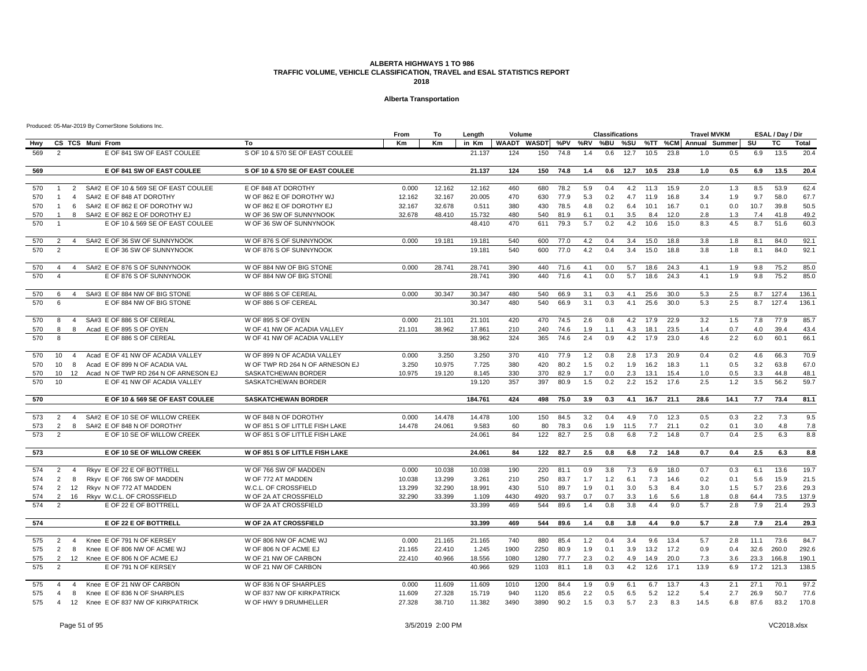#### **Alberta Transportation**

|            |                                                                                                                                 | From             | To               | Length           | Volume                  |              |              |            | <b>Classifications</b> |            |              |              | <b>Travel MVKM</b>    |            |              | ESAL / Day / Dir |                |
|------------|---------------------------------------------------------------------------------------------------------------------------------|------------------|------------------|------------------|-------------------------|--------------|--------------|------------|------------------------|------------|--------------|--------------|-----------------------|------------|--------------|------------------|----------------|
| Hwy        | To<br>CS TCS Muni From                                                                                                          | Km               | Кm               | in Km            | WAADT WASDT %PV %RV %BU |              |              |            |                        | %SU        |              |              | %TT %CM Annual Summer |            | SU           | тc               | Total          |
| 569        | $\overline{2}$<br>E OF 841 SW OF EAST COULEE<br>S OF 10 & 570 SE OF EAST COULEE                                                 |                  |                  | 21.137           | 124                     | 150          | 74.8         | 1.4        | 0.6                    | 12.7       | 10.5         | 23.8         | 1.0                   | 0.5        | 6.9          | 13.5             | 20.4           |
| 569        | E OF 841 SW OF EAST COULEE<br>S OF 10 & 570 SE OF EAST COULEE                                                                   |                  |                  | 21.137           | 124                     | 150          | 74.8         | 1.4        | 0.6                    | 12.7       | 10.5         | 23.8         | 1.0                   | 0.5        | 6.9          | 13.5             | 20.4           |
|            |                                                                                                                                 |                  |                  |                  |                         |              |              |            |                        |            |              |              |                       |            |              |                  |                |
| 570        | SA#2 E OF 10 & 569 SE OF EAST COULEE<br>E OF 848 AT DOROTHY<br>$\mathbf{1}$<br>2                                                | 0.000            | 12.162           | 12.162           | 460                     | 680          | 78.2         | 5.9        | 0.4                    | 4.2        | 11.3         | 15.9         | 2.0                   | 1.3        | 8.5          | 53.9             | 62.4           |
| 570        | SA#2 E OF 848 AT DOROTHY<br>W OF 862 E OF DOROTHY WJ<br>$\overline{1}$<br>$\overline{4}$                                        | 12.162           | 32.167           | 20.005           | 470                     | 630          | 77.9         | 5.3        | 0.2                    | 4.7        | 11.9         | 16.8         | 3.4                   | 1.9        | 9.7          | 58.0             | 67.7           |
| 570        | $\overline{1}$<br>6<br>SA#2 E OF 862 E OF DOROTHY WJ<br>W OF 862 E OF DOROTHY EJ                                                | 32.167           | 32.678           | 0.511            | 380                     | 430          | 78.5         | 4.8        | 0.2                    | 6.4        | 10.1         | 16.7         | 0.1                   | 0.0        | 10.7         | 39.8             | 50.5           |
| 570        | $\overline{1}$<br>8<br>SA#2 E OF 862 E OF DOROTHY EJ<br>W OF 36 SW OF SUNNYNOOK                                                 | 32.678           | 48.410           | 15.732           | 480                     | 540          | 81.9         | 6.1        | 0.1                    | 3.5        | 8.4          | 12.0         | 2.8                   | 1.3        | 7.4          | 41.8             | 49.2           |
| 570        | E OF 10 & 569 SE OF EAST COULEE<br>W OF 36 SW OF SUNNYNOOK<br>$\overline{1}$                                                    |                  |                  | 48.410           | 470                     | 611          | 79.3         | 5.7        | 0.2                    | 4.2        | 10.6         | 15.0         | 8.3                   | 4.5        | 8.7          | 51.6             | 60.3           |
| 570        | SA#2 E OF 36 SW OF SUNNYNOOK<br>W OF 876 S OF SUNNYNOOK<br>2<br>$\overline{4}$                                                  | 0.000            | 19.181           | 19.181           | 540                     | 600          | 77.0         | 4.2        | 0.4                    | 3.4        | 15.0         | 18.8         | 3.8                   | 1.8        | 8.1          | 84.0             | 92.1           |
| 570        | $\overline{2}$<br>E OF 36 SW OF SUNNYNOOK<br>W OF 876 S OF SUNNYNOOK                                                            |                  |                  | 19.181           | 540                     | 600          | 77.0         | 4.2        | 0.4                    | 3.4        | 15.0         | 18.8         | 3.8                   | 1.8        | 8.1          | 84.0             | 92.1           |
| 570        | SA#2 E OF 876 S OF SUNNYNOOK<br>W OF 884 NW OF BIG STONE<br>$\overline{4}$<br>$\overline{4}$                                    | 0.000            | 28.741           | 28.741           | 390                     | 440          | 71.6         | 4.1        | 0.0                    | 5.7        | 18.6         | 24.3         | 4.1                   | 1.9        | 9.8          | 75.2             | 85.0           |
| 570        | $\overline{4}$<br>E OF 876 S OF SUNNYNOOK<br>W OF 884 NW OF BIG STONE                                                           |                  |                  | 28.741           | 390                     | 440          | 71.6         | 4.1        | 0.0                    | 5.7        | 18.6         | 24.3         | 4.1                   | 1.9        | 9.8          | 75.2             | 85.0           |
| 570        | SA#3 E OF 884 NW OF BIG STONE<br>W OF 886 S OF CEREAL<br>6<br>$\overline{4}$                                                    | 0.000            | 30.347           | 30.347           | 480                     | 540          | 66.9         | 3.1        | 0.3                    | 4.1        | 25.6         | 30.0         | 5.3                   | 2.5        | 8.7          | 127.4            | 136.1          |
| 570        | E OF 884 NW OF BIG STONE<br>6<br>W OF 886 S OF CEREAL                                                                           |                  |                  | 30.347           | 480                     | 540          | 66.9         | 3.1        | 0.3                    | 4.1        | 25.6         | 30.0         | 5.3                   | 2.5        | 8.7          | 127.4            | 136.1          |
| 570        | SA#3 E OF 886 S OF CEREAL<br>W OF 895 S OF OYEN<br>8<br>$\overline{4}$                                                          | 0.000            | 21.101           | 21.101           | 420                     | 470          | 74.5         | 2.6        | 0.8                    | 4.2        | 17.9         | 22.9         | 3.2                   | 1.5        | 7.8          | 77.9             | 85.7           |
| 570        | 8<br>8<br>Acad E OF 895 S OF OYEN<br>W OF 41 NW OF ACADIA VALLEY                                                                | 21.101           | 38.962           | 17.861           | 210                     | 240          | 74.6         | 1.9        | 1.1                    | 4.3        | 18.1         | 23.5         | 1.4                   | 0.7        | 4.0          | 39.4             | 43.4           |
| 570        | $\mathsf{R}$<br>E OF 886 S OF CEREAL<br>W OF 41 NW OF ACADIA VALLEY                                                             |                  |                  | 38.962           | 324                     | 365          | 74.6         | 2.4        | 0.9                    | 4.2        | 17.9         | 23.0         | 4.6                   | 2.2        | 6.0          | 60.1             | 66.1           |
| 570        | Acad E OF 41 NW OF ACADIA VALLEY<br>W OF 899 N OF ACADIA VALLEY<br>10 <sup>10</sup><br>$\overline{4}$                           | 0.000            | 3.250            | 3.250            | 370                     | 410          | 77.9         | 1.2        | 0.8                    | 2.8        | 17.3         | 20.9         | 0.4                   | 0.2        | 4.6          | 66.3             | 70.9           |
| 570        | 10 <sup>10</sup><br>8<br>Acad E OF 899 N OF ACADIA VAL<br>W OF TWP RD 264 N OF ARNESON EJ                                       | 3.250            | 10.975           | 7.725            | 380                     | 420          | 80.2         | 1.5        | 0.2                    | 1.9        | 16.2         | 18.3         | 1.1                   | 0.5        | 3.2          | 63.8             | 67.0           |
| 570        | 10 <sup>°</sup><br>12 Acad N OF TWP RD 264 N OF ARNESON EJ<br>SASKATCHEWAN BORDER                                               | 10.975           | 19.120           | 8.145            | 330                     | 370          | 82.9         | 1.7        | 0.0                    | 2.3        | 13.1         | 15.4         | 1.0                   | 0.5        | 3.3          | 44.8             | 48.1           |
| 570        | 10<br>E OF 41 NW OF ACADIA VALLEY<br>SASKATCHEWAN BORDER                                                                        |                  |                  | 19.120           | 357                     | 397          | 80.9         | 1.5        | 0.2                    | 2.2        | 15.2         | 17.6         | 2.5                   | 1.2        | 3.5          | 56.2             | 59.7           |
| 570        | E OF 10 & 569 SE OF EAST COULEE<br><b>SASKATCHEWAN BORDER</b>                                                                   |                  |                  | 184.761          | 424                     | 498          | 75.0         | 3.9        | 0.3                    | 4.1        | 16.7         | 21.1         | 28.6                  | 14.1       | 7.7          | 73.4             | 81.1           |
| 573        | SA#2 E OF 10 SE OF WILLOW CREEK<br>2<br>W OF 848 N OF DOROTHY<br>$\overline{4}$                                                 | 0.000            | 14.478           | 14.478           | 100                     | 150          | 84.5         | 3.2        | 0.4                    | 4.9        | 7.0          | 12.3         | 0.5                   | 0.3        | 2.2          | 7.3              | 9.5            |
| 573        | 2<br>8<br>SA#2 E OF 848 N OF DOROTHY<br>W OF 851 S OF LITTLE FISH LAKE                                                          | 14.478           | 24.061           | 9.583            | 60                      | 80           | 78.3         | 0.6        | 1.9                    | 11.5       | 7.7          | 21.1         | 0.2                   | 0.1        | 3.0          | 4.8              | 7.8            |
| 573        | 2<br>E OF 10 SE OF WILLOW CREEK<br>W OF 851 S OF LITTLE FISH LAKE                                                               |                  |                  | 24.061           | 84                      | 122          | 82.7         | 2.5        | 0.8                    | 6.8        | 7.2          | 14.8         | 0.7                   | 0.4        | 2.5          | 6.3              | 8.8            |
| 573        | <b>W OF 851 S OF LITTLE FISH LAKE</b><br><b>E OF 10 SE OF WILLOW CREEK</b>                                                      |                  |                  | 24.061           | 84                      | 122          | 82.7         | 2.5        | 0.8                    | 6.8        | 7.2          | 14.8         | 0.7                   | 0.4        | 2.5          | 6.3              | 8.8            |
| 574        | $\overline{2}$<br>Rkyv E OF 22 E OF BOTTRELL<br>W OF 766 SW OF MADDEN<br>$\overline{4}$                                         | 0.000            | 10.038           | 10.038           | 190                     | 220          | 81.1         | 0.9        | 3.8                    | 7.3        | 6.9          | 18.0         | 0.7                   | 0.3        | 6.1          | 13.6             | 19.7           |
| 574        | $\overline{2}$<br>Rkyv E OF 766 SW OF MADDEN<br>W OF 772 AT MADDEN<br>8                                                         | 10.038           | 13.299           | 3.261            | 210                     | 250          | 83.7         | 1.7        | 1.2                    | 6.1        | 7.3          | 14.6         | 0.2                   | 0.1        | 5.6          | 15.9             | 21.5           |
| 574        | $\overline{2}$<br>Rkyv N OF 772 AT MADDEN<br>W.C.L. OF CROSSFIELD<br>12                                                         | 13.299           | 32.290           | 18.991           | 430                     | 510          | 89.7         | 1.9        | 0.1                    | 3.0        | 5.3          | 8.4          | 3.0                   | 1.5        | 5.7          | 23.6             | 29.3           |
| 574        | $\overline{2}$<br>16 Rkyv W.C.L. OF CROSSFIELD<br>W OF 2A AT CROSSFIELD                                                         | 32.290           | 33.399           | 1.109            | 4430                    | 4920         | 93.7         | 0.7        | 0.7                    | 3.3        | 1.6          | 5.6          | 1.8                   | 0.8        | 64.4         | 73.5             | 137.9          |
| 574        | $\overline{2}$<br>E OF 22 E OF BOTTRELL<br>W OF 2A AT CROSSFIELD                                                                |                  |                  | 33.399           | 469                     | 544          | 89.6         | 1.4        | 0.8                    | 3.8        | 4.4          | 9.0          | 5.7                   | 2.8        | 7.9          | 21.4             | 29.3           |
| 574        | E OF 22 E OF BOTTRELL<br><b>W OF 2A AT CROSSFIELD</b>                                                                           |                  |                  | 33.399           | 469                     | 544          | 89.6         | 1.4        | 0.8                    | 3.8        | 4.4          | 9.0          | 5.7                   | 2.8        | 7.9          | 21.4             | 29.3           |
|            |                                                                                                                                 |                  |                  |                  |                         |              |              |            |                        |            |              |              |                       |            |              |                  |                |
| 575        | Knee E OF 791 N OF KERSEY<br>W OF 806 NW OF ACME WJ<br>2<br>$\overline{4}$                                                      | 0.000            | 21.165           | 21.165           | 740                     | 880          | 85.4         | 1.2        | 0.4                    | 3.4        | 9.6          | 13.4         | 5.7                   | 2.8        | 11.1         | 73.6             | 84.7           |
| 575        | 2<br>8<br>Knee E OF 806 NW OF ACME WJ<br>W OF 806 N OF ACME EJ                                                                  | 21.165           | 22.410           | 1.245            | 1900                    | 2250         | 80.9         | 1.9        | 0.1                    | 3.9        | 13.2         | 17.2         | 0.9                   | 0.4        | 32.6         | 260.0            | 292.6          |
| 575<br>575 | 2<br>Knee E OF 806 N OF ACME EJ<br>W OF 21 NW OF CARBON<br>12<br>$\overline{2}$<br>E OF 791 N OF KERSEY<br>W OF 21 NW OF CARBON | 22.410           | 40.966           | 18.556<br>40.966 | 1080<br>929             | 1280<br>1103 | 77.7<br>81.1 | 2.3<br>1.8 | 0.2<br>0.3             | 4.9<br>4.2 | 14.9<br>12.6 | 20.0<br>17.1 | 7.3<br>13.9           | 3.6<br>6.9 | 23.3<br>17.2 | 166.8<br>121.3   | 190.1<br>138.5 |
|            |                                                                                                                                 |                  |                  |                  |                         |              |              |            |                        |            |              |              |                       |            |              |                  |                |
| 575<br>575 | Knee E OF 21 NW OF CARBON<br>W OF 836 N OF SHARPLES<br>$\overline{\mathbf{A}}$<br>$\overline{4}$<br>Knee E OF 836 N OF SHARPLES | 0.000            | 11.609<br>27.328 | 11.609<br>15.719 | 1010<br>940             | 1200         | 84.4         | 1.9        | 0.9<br>0.5             | 6.1        | 6.7          | 13.7         | 4.3<br>5.4            | 2.1<br>2.7 | 27.1         | 70.1<br>50.7     | 97.2<br>77.6   |
| 575        | 8<br>W OF 837 NW OF KIRKPATRICK<br>4<br>Knee E OF 837 NW OF KIRKPATRICK<br>W OF HWY 9 DRUMHELLER<br>$\overline{4}$<br>12        | 11.609<br>27.328 | 38.710           | 11.382           | 3490                    | 1120<br>3890 | 85.6<br>90.2 | 2.2<br>1.5 | 0.3                    | 6.5<br>5.7 | 5.2<br>2.3   | 12.2<br>8.3  | 14.5                  | 6.8        | 26.9<br>87.6 | 83.2             | 170.8          |
|            |                                                                                                                                 |                  |                  |                  |                         |              |              |            |                        |            |              |              |                       |            |              |                  |                |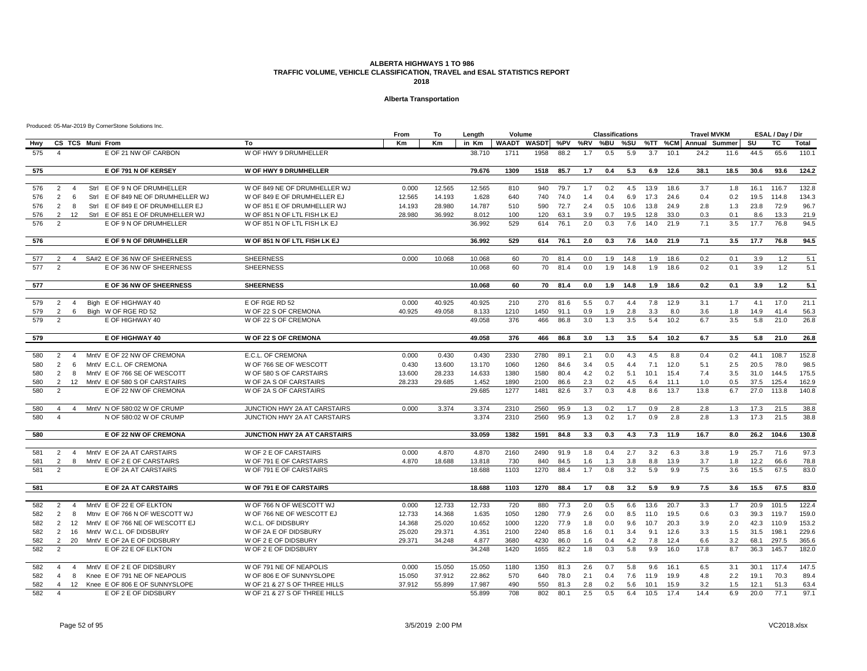#### **Alberta Transportation**

|     |                                                                                                 | From   | To        | Length | Volume              |      |      |     | <b>Classifications</b> |      |      |         | <b>Travel MVKM</b> |      |      | ESAL / Day / Dir |       |
|-----|-------------------------------------------------------------------------------------------------|--------|-----------|--------|---------------------|------|------|-----|------------------------|------|------|---------|--------------------|------|------|------------------|-------|
| Hwy | CS TCS Muni From<br>To                                                                          | Km     | <b>Km</b> | in Km  | WAADT WASDT %PV %RV |      |      |     | %BU                    | %SU  |      | %TT %CM | Annual Summer      |      | SU   | <b>TC</b>        | Total |
| 575 | E OF 21 NW OF CARBON<br>W OF HWY 9 DRUMHELLER<br>$\overline{a}$                                 |        |           | 38.710 | 1711                | 1958 | 88.2 | 1.7 | 0.5                    | 5.9  | 3.7  | 10.1    | 24.2               | 11.6 | 44.5 | 65.6             | 110.1 |
| 575 | W OF HWY 9 DRUMHELLER<br>E OF 791 N OF KERSEY                                                   |        |           | 79.676 | 1309                | 1518 | 85.7 | 1.7 | 0.4                    | 5.3  | 6.9  | 12.6    | 38.1               | 18.5 | 30.6 | 93.6             | 124.2 |
|     |                                                                                                 |        |           |        |                     |      |      |     |                        |      |      |         |                    |      |      |                  |       |
| 576 | Strl E OF 9 N OF DRUMHELLER<br>W OF 849 NE OF DRUMHELLER WJ<br>2<br>$\overline{4}$              | 0.000  | 12.565    | 12.565 | 810                 | 940  | 79.7 | 1.7 | 0.2                    | 4.5  | 13.9 | 18.6    | 3.7                | 1.8  | 16.1 | 116.7            | 132.8 |
| 576 | Strl E OF 849 NE OF DRUMHELLER WJ<br>W OF 849 E OF DRUMHELLER EJ<br>2<br>6                      | 12.565 | 14.193    | 1.628  | 640                 | 740  | 74.0 | 1.4 | 0.4                    | 6.9  | 17.3 | 24.6    | 0.4                | 0.2  | 19.5 | 114.8            | 134.3 |
| 576 | 2<br>Strl E OF 849 E OF DRUMHELLER EJ<br>W OF 851 E OF DRUMHELLER WJ<br>8                       | 14.193 | 28.980    | 14.787 | 510                 | 590  | 72.7 | 2.4 | 0.5                    | 10.6 | 13.8 | 24.9    | 2.8                | 1.3  | 23.8 | 72.9             | 96.7  |
| 576 | 2<br>12<br>Strl E OF 851 E OF DRUMHELLER WJ<br>W OF 851 N OF LTL FISH LK EJ                     | 28.980 | 36.992    | 8.012  | 100                 | 120  | 63.1 | 3.9 | 0.7                    | 19.5 | 12.8 | 33.0    | 0.3                | 0.1  | 8.6  | 13.3             | 21.9  |
| 576 | $\overline{2}$<br>E OF 9 N OF DRUMHELLER<br>W OF 851 N OF LTL FISH LK EJ                        |        |           | 36.992 | 529                 | 614  | 76.1 | 2.0 | 0.3                    | 7.6  | 14.0 | 21.9    | 7.1                | 3.5  | 17.7 | 76.8             | 94.5  |
| 576 | E OF 9 N OF DRUMHELLER<br>W OF 851 N OF LTL FISH LK EJ                                          |        |           | 36.992 | 529                 | 614  | 76.1 | 2.0 | 0.3                    | 7.6  | 14.0 | 21.9    | 7.1                | 3.5  | 17.7 | 76.8             | 94.5  |
| 577 | SA#2 E OF 36 NW OF SHEERNESS<br><b>SHEERNESS</b><br>2<br>$\overline{4}$                         | 0.000  | 10.068    | 10.068 | 60                  | 70   | 81.4 | 0.0 | 1.9                    | 14.8 | 1.9  | 18.6    | 0.2                | 0.1  | 3.9  | 1.2              | 5.1   |
| 577 | $\overline{2}$<br>E OF 36 NW OF SHEERNESS<br><b>SHEERNESS</b>                                   |        |           | 10.068 | 60                  | 70   | 81.4 | 0.0 | 1.9                    | 14.8 | 1.9  | 18.6    | 0.2                | 0.1  | 3.9  | 1.2              | 5.1   |
|     |                                                                                                 |        |           |        |                     |      |      |     |                        |      |      |         |                    |      |      |                  |       |
| 577 | E OF 36 NW OF SHEERNESS<br><b>SHEERNESS</b>                                                     |        |           | 10.068 | 60                  | 70   | 81.4 | 0.0 | 1.9                    | 14.8 | 1.9  | 18.6    | 0.2                | 0.1  | 3.9  | $1.2$            | 5.1   |
|     |                                                                                                 |        |           |        |                     |      |      |     |                        |      |      |         |                    |      |      |                  |       |
| 579 | Bigh E OF HIGHWAY 40<br>2<br>E OF RGE RD 52<br>$\overline{4}$                                   | 0.000  | 40.925    | 40.925 | 210                 | 270  | 81.6 | 5.5 | 0.7                    | 4.4  | 7.8  | 12.9    | 3.1                | 1.7  | 4.1  | 17.0             | 21.1  |
| 579 | 2<br>6<br>Bigh W OF RGE RD 52<br>W OF 22 S OF CREMONA                                           | 40.925 | 49.058    | 8.133  | 1210                | 1450 | 91.1 | 0.9 | 1.9                    | 2.8  | 3.3  | 8.0     | 3.6                | 1.8  | 14.9 | 41.4             | 56.3  |
| 579 | $\overline{2}$<br>E OF HIGHWAY 40<br>W OF 22 S OF CREMONA                                       |        |           | 49.058 | 376                 | 466  | 86.8 | 3.0 | 1.3                    | 3.5  | 5.4  | 10.2    | 6.7                | 3.5  | 5.8  | 21.0             | 26.8  |
| 579 | W OF 22 S OF CREMONA<br>E OF HIGHWAY 40                                                         |        |           | 49.058 | 376                 | 466  | 86.8 | 3.0 | $1.3$                  | 3.5  | 5.4  | 10.2    | 6.7                | 3.5  | 5.8  | 21.0             | 26.8  |
|     |                                                                                                 |        |           |        |                     |      |      |     |                        |      |      |         |                    |      |      |                  |       |
| 580 | MntV E OF 22 NW OF CREMONA<br>E.C.L. OF CREMONA<br>2<br>$\overline{4}$                          | 0.000  | 0.430     | 0.430  | 2330                | 2780 | 89.1 | 2.1 | 0.0                    | 4.3  | 4.5  | 8.8     | 0.4                | 0.2  | 44.1 | 108.7            | 152.8 |
| 580 | 2<br>6<br>MntV E.C.L. OF CREMONA<br>W OF 766 SE OF WESCOTT                                      | 0.430  | 13.600    | 13.170 | 1060                | 1260 | 84.6 | 3.4 | 0.5                    | 4.4  | 7.1  | 12.0    | 5.1                | 2.5  | 20.5 | 78.0             | 98.5  |
| 580 | MntV E OF 766 SE OF WESCOTT<br>W OF 580 S OF CARSTAIRS<br>2<br>8                                | 13.600 | 28.233    | 14.633 | 1380                | 1580 | 80.4 | 4.2 | 0.2                    | 5.1  | 10.1 | 15.4    | 7.4                | 3.5  | 31.0 | 144.5            | 175.5 |
| 580 | W OF 2A S OF CARSTAIRS<br>2<br>12 MntV E OF 580 S OF CARSTAIRS                                  | 28.233 | 29.685    | 1.452  | 1890                | 2100 | 86.6 | 2.3 | 0.2                    | 4.5  | 6.4  | 11.1    | 1.0                | 0.5  | 37.5 | 125.4            | 162.9 |
| 580 | $\overline{2}$<br>E OF 22 NW OF CREMONA<br>W OF 2A S OF CARSTAIRS                               |        |           | 29.685 | 1277                | 1481 | 82.6 | 3.7 | 0.3                    | 4.8  | 8.6  | 13.7    | 13.8               | 6.7  | 27.0 | 113.8            | 140.8 |
| 580 | MntV N OF 580:02 W OF CRUMP<br>JUNCTION HWY 2A AT CARSTAIRS<br>$\overline{4}$<br>$\overline{4}$ | 0.000  | 3.374     | 3.374  | 2310                | 2560 | 95.9 | 1.3 | 0.2                    | 1.7  | 0.9  | 2.8     | 2.8                | 1.3  | 17.3 | 21.5             | 38.8  |
| 580 | N OF 580:02 W OF CRUMP<br>JUNCTION HWY 2A AT CARSTAIRS<br>$\overline{4}$                        |        |           | 3.374  | 2310                | 2560 | 95.9 | 1.3 | 0.2                    | 1.7  | 0.9  | 2.8     | 2.8                | 1.3  | 17.3 | 21.5             | 38.8  |
| 580 | JUNCTION HWY 2A AT CARSTAIRS<br>E OF 22 NW OF CREMONA                                           |        |           | 33.059 | 1382                | 1591 | 84.8 | 3.3 | 0.3                    | 4.3  | 7.3  | 11.9    | 16.7               | 8.0  | 26.2 | 104.6            | 130.8 |
|     |                                                                                                 |        |           |        |                     |      |      |     |                        |      |      |         |                    |      |      |                  |       |
| 581 | MntV E OF 2A AT CARSTAIRS<br>W OF 2 E OF CARSTAIRS<br>2<br>$\overline{4}$                       | 0.000  | 4.870     | 4.870  | 2160                | 2490 | 91.9 | 1.8 | 0.4                    | 2.7  | 3.2  | 6.3     | 3.8                | 1.9  | 25.7 | 71.6             | 97.3  |
| 581 | $\overline{2}$<br>MntV E OF 2 E OF CARSTAIRS<br>W OF 791 E OF CARSTAIRS<br>8                    | 4.870  | 18.688    | 13.818 | 730                 | 840  | 84.5 | 1.6 | 1.3                    | 3.8  | 8.8  | 13.9    | 3.7                | 1.8  | 12.2 | 66.6             | 78.8  |
| 581 | E OF 2A AT CARSTAIRS<br>W OF 791 E OF CARSTAIRS<br>2                                            |        |           | 18.688 | 1103                | 1270 | 88.4 | 1.7 | 0.8                    | 3.2  | 5.9  | 9.9     | 7.5                | 3.6  | 15.5 | 67.5             | 83.0  |
| 581 | E OF 2A AT CARSTAIRS<br><b>W OF 791 E OF CARSTAIRS</b>                                          |        |           | 18.688 | 1103                | 1270 | 88.4 | 1.7 | 0.8                    | 3.2  | 5.9  | 9.9     | 7.5                | 3.6  | 15.5 | 67.5             | 83.0  |
|     |                                                                                                 |        |           |        |                     |      |      |     |                        |      |      |         |                    |      |      |                  |       |
| 582 | MntV E OF 22 E OF ELKTON<br>2<br>W OF 766 N OF WESCOTT WJ<br>$\overline{4}$                     | 0.000  | 12.733    | 12.733 | 720                 | 880  | 77.3 | 2.0 | 0.5                    | 6.6  | 13.6 | 20.7    | 3.3                | 1.7  | 20.9 | 101.5            | 122.4 |
| 582 | $\mathcal{P}$<br>Mtnv E OF 766 N OF WESCOTT WJ<br>W OF 766 NE OF WESCOTT EJ<br>8                | 12.733 | 14.368    | 1.635  | 1050                | 1280 | 77.9 | 2.6 | 0.0                    | 8.5  | 11.0 | 19.5    | 0.6                | 0.3  | 39.3 | 119.7            | 159.0 |
| 582 | MntV E OF 766 NE OF WESCOTT EJ<br>W.C.L. OF DIDSBURY<br>2<br>12                                 | 14.368 | 25.020    | 10.652 | 1000                | 1220 | 77.9 | 1.8 | 0.0                    | 9.6  | 10.7 | 20.3    | 3.9                | 2.0  | 42.3 | 110.9            | 153.2 |
| 582 | W OF 2A E OF DIDSBURY<br>2<br>16<br>MntV W.C.L. OF DIDSBURY                                     | 25.020 | 29.371    | 4.351  | 2100                | 2240 | 85.8 | 1.6 | 0.1                    | 3.4  | 9.1  | 12.6    | 3.3                | 1.5  | 31.5 | 198.1            | 229.6 |
| 582 | 2<br>MntV E OF 2A E OF DIDSBURY<br>W OF 2 E OF DIDSBURY<br>20                                   | 29.371 | 34.248    | 4.877  | 3680                | 4230 | 86.0 | 1.6 | 0.4                    | 4.2  | 7.8  | 12.4    | 6.6                | 3.2  | 68.1 | 297.5            | 365.6 |
| 582 | E OF 22 E OF ELKTON<br>W OF 2 E OF DIDSBURY<br>$\overline{2}$                                   |        |           | 34.248 | 1420                | 1655 | 82.2 | 1.8 | 0.3                    | 5.8  | 9.9  | 16.0    | 17.8               | 8.7  | 36.3 | 145.7            | 182.0 |
| 582 | MntV E OF 2 E OF DIDSBURY<br>$\overline{4}$<br>$\overline{4}$<br>W OF 791 NE OF NEAPOLIS        | 0.000  | 15.050    | 15.050 | 1180                | 1350 | 81.3 | 2.6 | 0.7                    | 5.8  | 9.6  | 16.1    | 6.5                | 3.1  | 30.1 | 117.4            | 147.5 |
| 582 | 8<br>Knee E OF 791 NE OF NEAPOLIS<br>W OF 806 E OF SUNNYSLOPE                                   | 15.050 | 37.912    | 22.862 | 570                 | 640  | 78.0 | 2.1 | 0.4                    | 7.6  | 11.9 | 19.9    | 4.8                | 2.2  | 19.1 | 70.3             | 89.4  |
| 582 | 12 Knee E OF 806 E OF SUNNYSLOPE<br>W OF 21 & 27 S OF THREE HILLS<br>$\overline{4}$             | 37.912 | 55.899    | 17.987 | 490                 | 550  | 81.3 | 2.8 | 0.2                    | 5.6  | 10.1 | 15.9    | 3.2                | 1.5  | 12.1 | 51.3             | 63.4  |
| 582 | E OF 2 E OF DIDSBURY<br>W OF 21 & 27 S OF THREE HILLS<br>$\overline{4}$                         |        |           | 55.899 | 708                 | 802  | 80.1 | 2.5 | 0.5                    | 6.4  | 10.5 | 17.4    | 14.4               | 6.9  | 20.0 | 77.1             | 97.1  |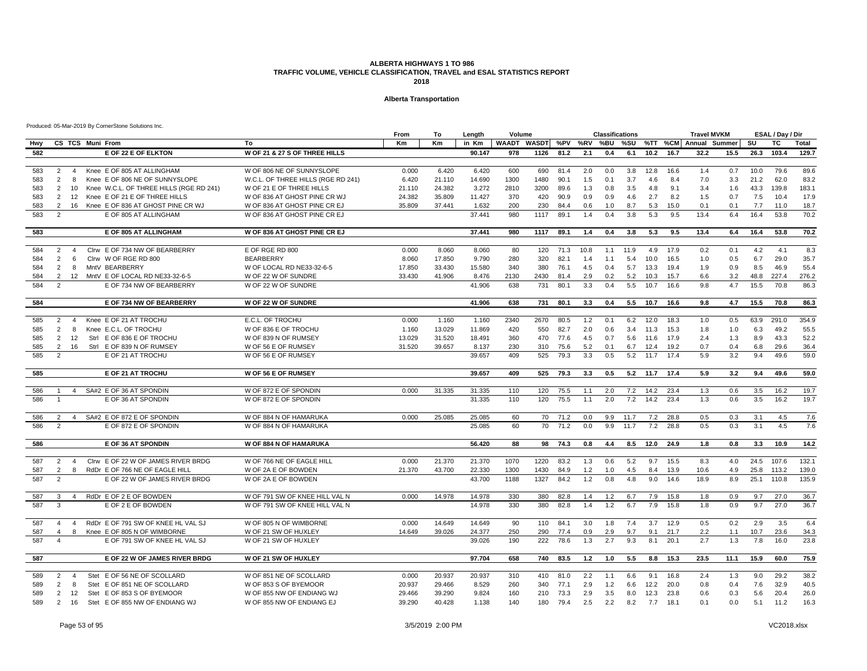#### **Alberta Transportation**

|     |                |                |                  |                                         |                                    | From      | То     | Length | Volume       |                   |         |      | <b>Classifications</b> |      |      |      | <b>Travel MVKM</b>    |      |      | ESAL / Day / Dir |       |
|-----|----------------|----------------|------------------|-----------------------------------------|------------------------------------|-----------|--------|--------|--------------|-------------------|---------|------|------------------------|------|------|------|-----------------------|------|------|------------------|-------|
| Hwv |                |                | CS TCS Muni From |                                         | To                                 | <b>Km</b> | Km     | in Km  | <b>WAADT</b> | WASDT %PV %RV %BU |         |      |                        | %SU  |      |      | %TT %CM Annual Summer |      | SU   | TC               | Total |
| 582 |                |                |                  | E OF 22 E OF ELKTON                     | W OF 21 & 27 S OF THREE HILLS      |           |        | 90.147 | 978          | 1126              | 81.2    | 2.1  | 0.4                    | 6.1  | 10.2 | 16.7 | 32.2                  | 15.5 | 26.3 | 103.4            | 129.7 |
|     |                |                |                  |                                         |                                    |           |        |        |              |                   |         |      |                        |      |      |      |                       |      |      |                  |       |
| 583 | 2              | $\overline{4}$ |                  | Knee E OF 805 AT ALLINGHAM              | W OF 806 NE OF SUNNYSLOPE          | 0.000     | 6.420  | 6.420  | 600          | 690               | 81.4    | 2.0  | 0.0                    | 3.8  | 12.8 | 16.6 | 1.4                   | 0.7  | 10.0 | 79.6             | 89.6  |
| 583 | 2              | 8              |                  | Knee E OF 806 NE OF SUNNYSLOPE          | W.C.L. OF THREE HILLS (RGE RD 241) | 6.420     | 21.110 | 14.690 | 1300         | 1480              | 90.1    | 1.5  | 0.1                    | 3.7  | 4.6  | 8.4  | 7.0                   | 3.3  | 21.2 | 62.0             | 83.2  |
| 583 | 2              | 10             |                  | Knee W.C.L. OF THREE HILLS (RGE RD 241) | W OF 21 E OF THREE HILLS           | 21.110    | 24.382 | 3.272  | 2810         | 3200              | 89.6    | 1.3  | 0.8                    | 3.5  | 4.8  | 9.1  | 3.4                   | 1.6  | 43.3 | 139.8            | 183.1 |
| 583 | 2              | 12             |                  | Knee E OF 21 E OF THREE HILLS           | W OF 836 AT GHOST PINE CR WJ       | 24.382    | 35.809 | 11.427 | 370          | 420               | 90.9    | 0.9  | 0.9                    | 4.6  | 2.7  | 8.2  | 1.5                   | 0.7  | 7.5  | 10.4             | 17.9  |
| 583 | 2              | 16             |                  | Knee E OF 836 AT GHOST PINE CR WJ       | W OF 836 AT GHOST PINE CR EJ       | 35.809    | 37.441 | 1.632  | 200          | 230               | 84.4    | 0.6  | 1.0                    | 8.7  | 5.3  | 15.0 | 0.1                   | 0.1  | 7.7  | 11.0             | 18.7  |
| 583 | $\overline{2}$ |                |                  | E OF 805 AT ALLINGHAM                   | W OF 836 AT GHOST PINE CR EJ       |           |        | 37.441 | 980          | 1117              | 89.1    | 1.4  | 0.4                    | 3.8  | 5.3  | 9.5  | 13.4                  | 6.4  | 16.4 | 53.8             | 70.2  |
| 583 |                |                |                  | E OF 805 AT ALLINGHAM                   | W OF 836 AT GHOST PINE CR EJ       |           |        | 37.441 | 980          | 1117              | 89.1    | 1.4  | 0.4                    | 3.8  | 5.3  | 9.5  | 13.4                  | 6.4  | 16.4 | 53.8             | 70.2  |
|     |                |                |                  |                                         |                                    |           |        |        |              |                   |         |      |                        |      |      |      |                       |      |      |                  |       |
| 584 | $\overline{2}$ | $\overline{4}$ |                  | CIrw E OF 734 NW OF BEARBERRY           | E OF RGE RD 800                    | 0.000     | 8.060  | 8.060  | 80           | 120               | 71.3    | 10.8 | 1.1                    | 11.9 | 4.9  | 17.9 | 0.2                   | 0.1  | 4.2  | 4.1              | 8.3   |
| 584 | $\overline{2}$ | 6              |                  | Cirw W OF RGE RD 800                    | <b>BEARBERRY</b>                   | 8.060     | 17.850 | 9.790  | 280          | 320               | 82.1    | 1.4  | 1.1                    | 5.4  | 10.0 | 16.5 | 1.0                   | 0.5  | 6.7  | 29.0             | 35.7  |
| 584 | 2              | -8             |                  | MntV BEARBERRY                          | W OF LOCAL RD NE33-32-6-5          | 17.850    | 33.430 | 15.580 | 340          | 380               | 76.1    | 4.5  | 0.4                    | 5.7  | 13.3 | 19.4 | 1.9                   | 0.9  | 8.5  | 46.9             | 55.4  |
| 584 | $\overline{2}$ | 12             |                  | MntV E OF LOCAL RD NE33-32-6-5          | W OF 22 W OF SUNDRE                | 33.430    | 41.906 | 8.476  | 2130         | 2430              | 81.4    | 2.9  | 0.2                    | 5.2  | 10.3 | 15.7 | 6.6                   | 3.2  | 48.8 | 227.4            | 276.2 |
| 584 | $\overline{2}$ |                |                  | E OF 734 NW OF BEARBERRY                | W OF 22 W OF SUNDRE                |           |        | 41.906 | 638          | 731               | 80.1    | 3.3  | 0.4                    | 5.5  | 10.7 | 16.6 | 9.8                   | 4.7  | 15.5 | 70.8             | 86.3  |
| 584 |                |                |                  | E OF 734 NW OF BEARBERRY                | W OF 22 W OF SUNDRE                |           |        | 41.906 | 638          | 731               | 80.1    | 3.3  | 0.4                    | 5.5  | 10.7 | 16.6 | 9.8                   | 4.7  | 15.5 | 70.8             | 86.3  |
|     |                |                |                  |                                         |                                    |           |        |        |              |                   |         |      |                        |      |      |      |                       |      |      |                  |       |
| 585 | 2              | $\overline{4}$ |                  | Knee E OF 21 AT TROCHU                  | E.C.L. OF TROCHU                   | 0.000     | 1.160  | 1.160  | 2340         | 2670              | 80.5    | 1.2  | 0.1                    | 6.2  | 12.0 | 18.3 | 1.0                   | 0.5  | 63.9 | 291.0            | 354.9 |
| 585 | 2              | 8              |                  | Knee E.C.L. OF TROCHU                   | W OF 836 E OF TROCHU               | 1.160     | 13.029 | 11.869 | 420          | 550               | 82.7    | 2.0  | 0.6                    | 3.4  | 11.3 | 15.3 | 1.8                   | 1.0  | 6.3  | 49.2             | 55.5  |
| 585 | 2              | 12             |                  | Strl E OF 836 E OF TROCHU               | W OF 839 N OF RUMSEY               | 13.029    | 31.520 | 18.491 | 360          | 470               | 77.6    | 4.5  | 0.7                    | 5.6  | 11.6 | 17.9 | 2.4                   | 1.3  | 8.9  | 43.3             | 52.2  |
| 585 | $\overline{2}$ | 16             |                  | Strl E OF 839 N OF RUMSEY               | W OF 56 E OF RUMSEY                | 31.520    | 39.657 | 8.137  | 230          | 310               | 75.6    | 5.2  | 0.1                    | 6.7  | 12.4 | 19.2 | 0.7                   | 0.4  | 6.8  | 29.6             | 36.4  |
| 585 | $\overline{2}$ |                |                  | E OF 21 AT TROCHU                       | W OF 56 E OF RUMSEY                |           |        | 39.657 | 409          | 525               | 79.3    | 3.3  | 0.5                    | 5.2  | 11.7 | 17.4 | 5.9                   | 3.2  | 9.4  | 49.6             | 59.0  |
| 585 |                |                |                  | E OF 21 AT TROCHU                       | <b>W OF 56 E OF RUMSEY</b>         |           |        | 39.657 | 409          | 525               | 79.3    | 3.3  | 0.5                    | 5.2  | 11.7 | 17.4 | 5.9                   | 3.2  | 9.4  | 49.6             | 59.0  |
|     |                |                |                  |                                         |                                    |           |        |        |              |                   |         |      |                        |      |      |      |                       |      |      |                  |       |
| 586 | $\overline{1}$ | $\overline{4}$ |                  | SA#2 E OF 36 AT SPONDIN                 | W OF 872 E OF SPONDIN              | 0.000     | 31.335 | 31.335 | 110          | 120               | 75.5    | 1.1  | 2.0                    | 7.2  | 14.2 | 23.4 | 1.3                   | 0.6  | 3.5  | 16.2             | 19.7  |
| 586 | $\overline{1}$ |                |                  | E OF 36 AT SPONDIN                      | W OF 872 E OF SPONDIN              |           |        | 31.335 | 110          | 120               | 75.5    | 1.1  | 2.0                    | 7.2  | 14.2 | 23.4 | 1.3                   | 0.6  | 3.5  | 16.2             | 19.7  |
| 586 | $\overline{2}$ | $\overline{4}$ |                  | SA#2 E OF 872 E OF SPONDIN              | W OF 884 N OF HAMARUKA             | 0.000     | 25.085 | 25.085 | 60           |                   | 70 71.2 | 0.0  | 9.9                    | 11.7 | 7.2  | 28.8 | 0.5                   | 0.3  | 3.1  | 4.5              | 7.6   |
| 586 | 2              |                |                  | E OF 872 E OF SPONDIN                   | W OF 884 N OF HAMARUKA             |           |        | 25.085 | 60           | 70                | 71.2    | 0.0  | 9.9                    | 11.7 | 7.2  | 28.8 | 0.5                   | 0.3  | 3.1  | 4.5              | 7.6   |
| 586 |                |                |                  | E OF 36 AT SPONDIN                      | <b>W OF 884 N OF HAMARUKA</b>      |           |        | 56.420 | 88           | 98                | 74.3    | 0.8  | 4.4                    | 8.5  | 12.0 | 24.9 | 1.8                   | 0.8  | 3.3  | 10.9             | 14.2  |
|     |                |                |                  |                                         |                                    |           |        |        |              |                   |         |      |                        |      |      |      |                       |      |      |                  |       |
| 587 | 2              | $\overline{4}$ |                  | CIrw E OF 22 W OF JAMES RIVER BRDG      | W OF 766 NE OF EAGLE HILL          | 0.000     | 21.370 | 21.370 | 1070         | 1220              | 83.2    | 1.3  | 0.6                    | 5.2  | 9.7  | 15.5 | 8.3                   | 4.0  | 24.5 | 107.6            | 132.1 |
| 587 | 2              | 8              |                  | RdDr E OF 766 NE OF EAGLE HILL          | W OF 2A E OF BOWDEN                | 21.370    | 43.700 | 22.330 | 1300         | 1430              | 84.9    | 1.2  | 1.0                    | 4.5  | 8.4  | 13.9 | 10.6                  | 4.9  | 25.8 | 113.2            | 139.0 |
| 587 | 2              |                |                  | E OF 22 W OF JAMES RIVER BRDG           | W OF 2A E OF BOWDEN                |           |        | 43.700 | 1188         | 1327              | 84.2    | 1.2  | 0.8                    | 4.8  | 9.0  | 14.6 | 18.9                  | 8.9  | 25.1 | 110.8            | 135.9 |
| 587 | 3              | 4              |                  | RdDr E OF 2 E OF BOWDEN                 | W OF 791 SW OF KNEE HILL VAL N     | 0.000     | 14.978 | 14.978 | 330          | 380               | 82.8    | 1.4  | 1.2                    | 6.7  | 7.9  | 15.8 | 1.8                   | 0.9  | 9.7  | 27.0             | 36.7  |
| 587 | 3              |                |                  | E OF 2 E OF BOWDEN                      | W OF 791 SW OF KNEE HILL VAL N     |           |        | 14.978 | 330          | 380               | 82.8    | 1.4  | 1.2                    | 6.7  | 7.9  | 15.8 | 1.8                   | 0.9  | 9.7  | 27.0             | 36.7  |
| 587 | $\overline{4}$ | $\overline{4}$ |                  | RdDr E OF 791 SW OF KNEE HL VAL SJ      | W OF 805 N OF WIMBORNE             | 0.000     | 14.649 | 14.649 | 90           | 110               | 84.1    | 3.0  | 1.8                    | 7.4  | 3.7  | 12.9 | 0.5                   | 0.2  | 2.9  | 3.5              | 6.4   |
| 587 | $\overline{4}$ | 8              |                  | Knee E OF 805 N OF WIMBORNE             | W OF 21 SW OF HUXLEY               | 14.649    | 39.026 | 24.377 | 250          | 290               | 77.4    | 0.9  | 2.9                    | 9.7  | 9.1  | 21.7 | 2.2                   | 1.1  | 10.7 | 23.6             | 34.3  |
| 587 | $\overline{4}$ |                |                  | E OF 791 SW OF KNEE HL VAL SJ           | W OF 21 SW OF HUXLEY               |           |        | 39.026 | 190          | 222               | 78.6    | 1.3  | 2.7                    | 9.3  | 8.1  | 20.1 | 2.7                   | 1.3  | 7.8  | 16.0             | 23.8  |
| 587 |                |                |                  | E OF 22 W OF JAMES RIVER BRDG           | W OF 21 SW OF HUXLEY               |           |        | 97.704 | 658          | 740               | 83.5    | 1.2  | 1.0                    | 5.5  | 8.8  | 15.3 | 23.5                  | 11.1 | 15.9 | 60.0             | 75.9  |
|     |                |                |                  |                                         |                                    |           |        |        |              |                   |         |      |                        |      |      |      |                       |      |      |                  |       |
| 589 | $\overline{2}$ | $\overline{4}$ |                  | Stet E OF 56 NE OF SCOLLARD             | W OF 851 NE OF SCOLLARD            | 0.000     | 20.937 | 20.937 | 310          | 410               | 81.0    | 2.2  | 1.1                    | 6.6  | 9.1  | 16.8 | 2.4                   | 1.3  | 9.0  | 29.2             | 38.2  |
| 589 | 2              | -8             |                  | Stet E OF 851 NE OF SCOLLARD            | W OF 853 S OF BYEMOOR              | 20.937    | 29.466 | 8.529  | 260          | 340               | 77.1    | 2.9  | 1.2                    | 6.6  | 12.2 | 20.0 | 0.8                   | 0.4  | 7.6  | 32.9             | 40.5  |
| 589 | 2              | 12             |                  | Stet E OF 853 S OF BYEMOOR              | W OF 855 NW OF ENDIANG WJ          | 29.466    | 39.290 | 9.824  | 160          | 210               | 73.3    | 2.9  | 3.5                    | 8.0  | 12.3 | 23.8 | 0.6                   | 0.3  | 5.6  | 20.4             | 26.0  |
| 589 | 2              | 16             |                  | Stet E OF 855 NW OF ENDIANG WJ          | W OF 855 NW OF ENDIANG EJ          | 39.290    | 40.428 | 1.138  | 140          | 180               | 79.4    | 2.5  | 2.2                    | 8.2  | 7.7  | 18.1 | 0 <sub>1</sub>        | 0.0  | 5.1  | 11.2             | 16.3  |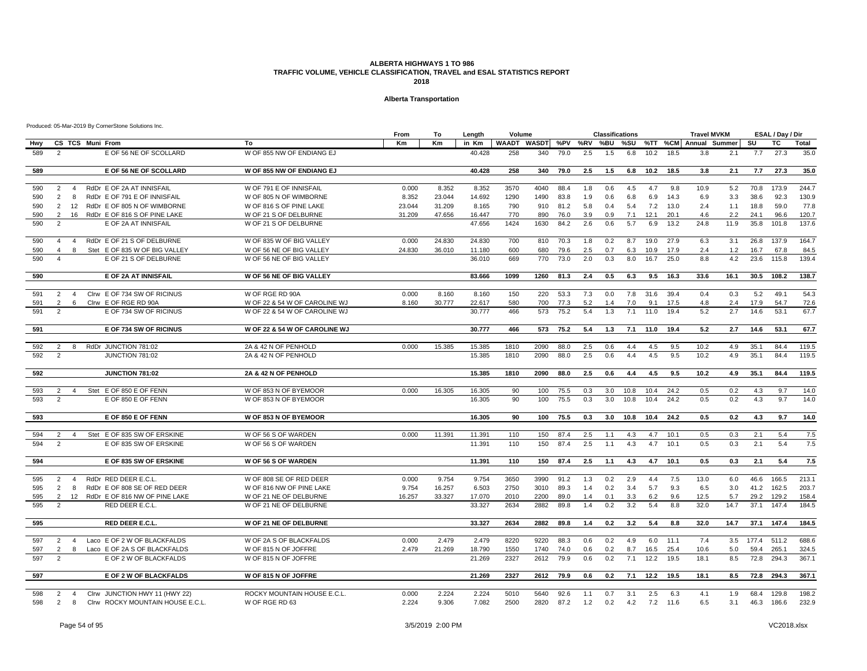#### **Alberta Transportation**

|     |                                                                |                               | From   | То     | Length | Volume |                     |      |     | <b>Classifications</b> |      |      |      | <b>Travel MVKM</b>    |      |           | ESAL / Day / Dir |       |
|-----|----------------------------------------------------------------|-------------------------------|--------|--------|--------|--------|---------------------|------|-----|------------------------|------|------|------|-----------------------|------|-----------|------------------|-------|
| Hwy | CS TCS Muni From                                               | To                            | Km     | Кm     | in Km  |        | WAADT WASDT %PV %RV |      |     | %BU                    | %SU  |      |      | %TT %CM Annual Summer |      | SU        | TC               | Total |
| 589 | $\overline{2}$<br>E OF 56 NE OF SCOLLARD                       | W OF 855 NW OF ENDIANG EJ     |        |        | 40.428 | 258    | 340                 | 79.0 | 2.5 | 1.5                    | 6.8  | 10.2 | 18.5 | 3.8                   | 2.1  | 7.7       | 27.3             | 35.0  |
| 589 | E OF 56 NE OF SCOLLARD                                         | W OF 855 NW OF ENDIANG EJ     |        |        | 40.428 | 258    | 340                 | 79.0 | 2.5 | 1.5                    | 6.8  | 10.2 | 18.5 | 3.8                   | 2.1  | 7.7       | 27.3             | 35.0  |
|     |                                                                |                               |        |        |        |        |                     |      |     |                        |      |      |      |                       |      |           |                  |       |
| 590 | RdDr E OF 2A AT INNISFAIL<br>2<br>$\overline{4}$               | W OF 791 E OF INNISFAIL       | 0.000  | 8.352  | 8.352  | 3570   | 4040                | 88.4 | 1.8 | 0.6                    | 4.5  | 4.7  | 9.8  | 10.9                  | 5.2  | 70.8      | 173.9            | 244.7 |
| 590 | RdDr E OF 791 E OF INNISFAIL<br>2<br>8                         | W OF 805 N OF WIMBORNE        | 8.352  | 23.044 | 14.692 | 1290   | 1490                | 83.8 | 1.9 | 0.6                    | 6.8  | 6.9  | 14.3 | 6.9                   | 3.3  | 38.6      | 92.3             | 130.9 |
| 590 | RdDr E OF 805 N OF WIMBORNE<br>2<br>12                         | W OF 816 S OF PINE LAKE       | 23.044 | 31.209 | 8.165  | 790    | 910                 | 81.2 | 5.8 | 0.4                    | 5.4  | 7.2  | 13.0 | 2.4                   | 1.1  | 18.8      | 59.0             | 77.8  |
| 590 | RdDr E OF 816 S OF PINE LAKE<br>2<br>16                        | W OF 21 S OF DELBURNE         | 31.209 | 47.656 | 16.447 | 770    | 890                 | 76.0 | 3.9 | 0.9                    | 7.1  | 12.1 | 20.1 | 4.6                   | 2.2  | 24.1      | 96.6             | 120.7 |
| 590 | $\overline{2}$<br>E OF 2A AT INNISFAIL                         | W OF 21 S OF DELBURNE         |        |        | 47.656 | 1424   | 1630                | 84.2 | 2.6 | 0.6                    | 5.7  | 6.9  | 13.2 | 24.8                  | 11.9 | 35.8      | 101.8            | 137.6 |
| 590 | RdDr E OF 21 S OF DELBURNE<br>$\overline{4}$<br>$\overline{4}$ | W OF 835 W OF BIG VALLEY      | 0.000  | 24.830 | 24.830 | 700    | 810                 | 70.3 | 1.8 | 0.2                    | 8.7  | 19.0 | 27.9 | 6.3                   | 3.1  | 26.8      | 137.9            | 164.7 |
| 590 | Stet E OF 835 W OF BIG VALLEY<br>$\overline{4}$<br>8           | W OF 56 NE OF BIG VALLEY      | 24.830 | 36.010 | 11.180 | 600    | 680                 | 79.6 | 2.5 | 0.7                    | 6.3  | 10.9 | 17.9 | 2.4                   | 1.2  | 16.7      | 67.8             | 84.5  |
| 590 | E OF 21 S OF DELBURNE<br>$\overline{4}$                        | W OF 56 NE OF BIG VALLEY      |        |        | 36.010 | 669    | 770                 | 73.0 | 2.0 | 0.3                    | 8.0  | 16.7 | 25.0 | 8.8                   | 4.2  | 23.6      | 115.8            | 139.4 |
| 590 | E OF 2A AT INNISFAIL                                           | W OF 56 NE OF BIG VALLEY      |        |        | 83.666 | 1099   | 1260                | 81.3 | 2.4 | 0.5                    | 6.3  | 9.5  | 16.3 | 33.6                  | 16.1 | 30.5      | 108.2            | 138.7 |
| 591 | Cirw E OF 734 SW OF RICINUS<br>$\overline{4}$<br>2             | W OF RGE RD 90A               | 0.000  | 8.160  | 8.160  | 150    | 220                 | 53.3 | 7.3 | 0.0                    | 7.8  | 31.6 | 39.4 | 0.4                   | 0.3  | 5.2       | 49.1             | 54.3  |
| 591 | 2<br>Cirw E OF RGE RD 90A<br>6                                 | W OF 22 & 54 W OF CAROLINE WJ | 8.160  | 30.777 | 22.617 | 580    | 700                 | 77.3 | 5.2 | 1.4                    | 7.0  | 9.1  | 17.5 | 4.8                   | 2.4  | 17.9      | 54.7             | 72.6  |
| 591 | 2<br>E OF 734 SW OF RICINUS                                    | W OF 22 & 54 W OF CAROLINE WJ |        |        | 30.777 | 466    | 573                 | 75.2 | 5.4 | 1.3                    | 7.1  | 11.0 | 19.4 | 5.2                   | 2.7  | 14.6      | 53.1             | 67.7  |
| 591 | E OF 734 SW OF RICINUS                                         | W OF 22 & 54 W OF CAROLINE WJ |        |        | 30.777 | 466    | 573                 | 75.2 | 5.4 | 1.3                    | 7.1  | 11.0 | 19.4 | 5.2                   | 2.7  | 14.6      | 53.1             | 67.7  |
|     |                                                                |                               |        |        |        |        |                     |      |     |                        |      |      |      |                       |      |           |                  |       |
| 592 | RdDr JUNCTION 781:02<br>2<br>8                                 | 2A & 42 N OF PENHOLD          | 0.000  | 15.385 | 15.385 | 1810   | 2090                | 88.0 | 2.5 | 0.6                    | 4.4  | 4.5  | 9.5  | 10.2                  | 4.9  | 35.1      | 84.4             | 119.5 |
| 592 | $\overline{2}$<br>JUNCTION 781:02                              | 2A & 42 N OF PENHOLD          |        |        | 15.385 | 1810   | 2090                | 88.0 | 2.5 | 0.6                    | 4.4  | 4.5  | 9.5  | 10.2                  | 4.9  | 35.1      | 84.4             | 119.5 |
| 592 | <b>JUNCTION 781:02</b>                                         | 2A & 42 N OF PENHOLD          |        |        | 15.385 | 1810   | 2090                | 88.0 | 2.5 | 0.6                    | 4.4  | 4.5  | 9.5  | 10.2                  | 4.9  | 35.1      | 84.4             | 119.5 |
|     |                                                                |                               |        |        |        |        |                     |      |     |                        |      |      |      |                       |      |           |                  |       |
| 593 | 2<br>Stet E OF 850 E OF FENN<br>$\overline{4}$                 | W OF 853 N OF BYEMOOR         | 0.000  | 16.305 | 16.305 | 90     | 100                 | 75.5 | 0.3 | 3.0                    | 10.8 | 10.4 | 24.2 | 0.5                   | 0.2  | 4.3       | 9.7              | 14.0  |
| 593 | $\overline{2}$<br>E OF 850 E OF FENN                           | W OF 853 N OF BYEMOOR         |        |        | 16.305 | 90     | 100                 | 75.5 | 0.3 | 3.0                    | 10.8 | 10.4 | 24.2 | 0.5                   | 0.2  | 4.3       | 9.7              | 14.0  |
| 593 | E OF 850 E OF FENN                                             | W OF 853 N OF BYEMOOR         |        |        | 16.305 | 90     | 100                 | 75.5 | 0.3 | 3.0                    | 10.8 | 10.4 | 24.2 | 0.5                   | 0.2  | 4.3       | 9.7              | 14.0  |
| 594 | Stet E OF 835 SW OF ERSKINE<br>2<br>$\overline{4}$             | W OF 56 S OF WARDEN           | 0.000  | 11.391 | 11.391 | 110    | 150                 | 87.4 | 2.5 | 1.1                    | 4.3  | 4.7  | 10.1 | 0.5                   | 0.3  | 2.1       | 5.4              | 7.5   |
| 594 | $\overline{2}$<br>E OF 835 SW OF ERSKINE                       | W OF 56 S OF WARDEN           |        |        | 11.391 | 110    | 150                 | 87.4 | 2.5 | 1.1                    | 4.3  | 4.7  | 10.1 | 0.5                   | 0.3  | 2.1       | 5.4              | 7.5   |
|     |                                                                |                               |        |        |        |        |                     |      |     |                        |      |      |      |                       |      |           |                  |       |
| 594 | E OF 835 SW OF ERSKINE                                         | W OF 56 S OF WARDEN           |        |        | 11.391 | 110    | 150                 | 87.4 | 2.5 | 1.1                    | 4.3  | 4.7  | 10.1 | 0.5                   | 0.3  | 2.1       | 5.4              | 7.5   |
| 595 | 2<br>RdDr RED DEER E.C.L<br>$\overline{4}$                     | W OF 808 SE OF RED DEER       | 0.000  | 9.754  | 9.754  | 3650   | 3990                | 91.2 | 1.3 | 0.2                    | 2.9  | 4.4  | 7.5  | 13.0                  | 6.0  | 46.6      | 166.5            | 213.1 |
| 595 | 2<br>RdDr E OF 808 SE OF RED DEER<br>8                         | W OF 816 NW OF PINE LAKE      | 9.754  | 16.257 | 6.503  | 2750   | 3010                | 89.3 | 1.4 | 0.2                    | 3.4  | 5.7  | 9.3  | 6.5                   | 3.0  | 41.2      | 162.5            | 203.7 |
| 595 | 2<br>12 RdDr E OF 816 NW OF PINE LAKE                          | W OF 21 NE OF DELBURNE        | 16.257 | 33.327 | 17.070 | 2010   | 2200                | 89.0 | 1.4 | 0.1                    | 3.3  | 6.2  | 9.6  | 12.5                  | 5.7  | 29.2      | 129.2            | 158.4 |
| 595 | 2<br>RED DEER E.C.L.                                           | W OF 21 NE OF DELBURNE        |        |        | 33.327 | 2634   | 2882                | 89.8 | 1.4 | 0.2                    | 3.2  | 5.4  | 8.8  | 32.0                  | 14.7 | 37.1      | 147.4            | 184.5 |
| 595 | <b>RED DEER E.C.L</b>                                          | <b>W OF 21 NE OF DELBURNE</b> |        |        | 33.327 | 2634   | 2882                | 89.8 | 1.4 | 0.2                    | 3.2  | 5.4  | 8.8  | 32.0                  | 14.7 | 37.1      | 147.4            | 184.5 |
| 597 | 2<br>Laco E OF 2 W OF BLACKFALDS<br>$\overline{4}$             | W OF 2A S OF BLACKFALDS       | 0.000  | 2.479  | 2.479  | 8220   | 9220                | 88.3 | 0.6 | 0.2                    | 4.9  | 6.0  | 11.1 | 7.4                   |      | 3.5 177.4 | 511.2            | 688.6 |
| 597 | 2<br>Laco E OF 2A S OF BLACKFALDS<br>8                         | W OF 815 N OF JOFFRE          | 2.479  | 21.269 | 18.790 | 1550   | 1740                | 74.0 | 0.6 | 0.2                    | 8.7  | 16.5 | 25.4 | 10.6                  | 5.0  | 59.4      | 265.1            | 324.5 |
| 597 | 2<br>E OF 2 W OF BLACKFALDS                                    | W OF 815 N OF JOFFRE          |        |        | 21.269 | 2327   | 2612                | 79.9 | 0.6 | 0.2                    | 7.1  | 12.2 | 19.5 | 18.1                  | 8.5  | 72.8      | 294.3            | 367.1 |
| 597 | E OF 2 W OF BLACKFALDS                                         | W OF 815 N OF JOFFRE          |        |        | 21.269 | 2327   | 2612                | 79.9 | 0.6 | 0.2                    | 7.1  | 12.2 | 19.5 | 18.1                  | 8.5  | 72.8      | 294.3            | 367.1 |
|     |                                                                |                               |        |        |        |        |                     |      |     |                        |      |      |      |                       |      |           |                  |       |
| 598 | Cirw JUNCTION HWY 11 (HWY 22)<br>$2 \quad 4$                   | ROCKY MOUNTAIN HOUSE E.C.L.   | 0.000  | 2.224  | 2.224  | 5010   | 5640                | 92.6 | 1.1 | 0.7                    | 3.1  | 2.5  | 6.3  | 4.1                   | 1.9  | 68.4      | 129.8            | 198.2 |
| 598 | Cirw ROCKY MOUNTAIN HOUSE E.C.L<br>2<br>8                      | W OF RGE RD 63                | 2.224  | 9.306  | 7.082  | 2500   | 2820                | 87.2 | 1.2 | 0.2                    | 4.2  | 7.2  | 11.6 | 6.5                   | 3.1  | 46.3      | 186.6            | 232.9 |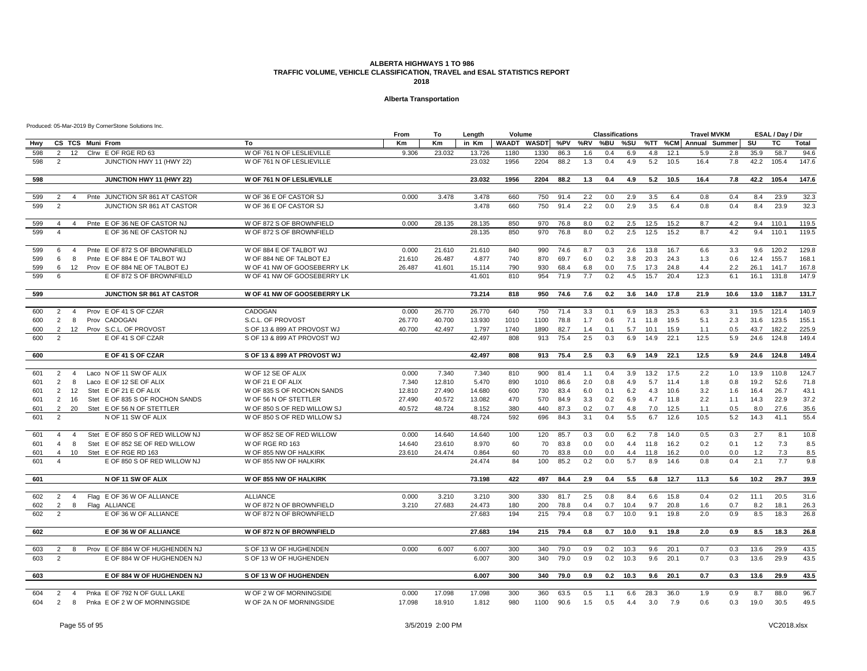#### **Alberta Transportation**

|            |                         |                |   |                                        |                                                      | From      | To     | Length           | Volume                  |            |              |            | <b>Classifications</b> |              |            |              | <b>Travel MVKM</b> |                       |            | ESAL / Day / Dir |              |
|------------|-------------------------|----------------|---|----------------------------------------|------------------------------------------------------|-----------|--------|------------------|-------------------------|------------|--------------|------------|------------------------|--------------|------------|--------------|--------------------|-----------------------|------------|------------------|--------------|
| Hwy        |                         |                |   | CS TCS Muni From                       | To                                                   | <b>Km</b> | Km     | in Km            | WAADT WASDT %PV %RV %BU |            |              |            |                        | %SU          |            |              |                    | %TT %CM Annual Summer | SU         | TC               | <b>Total</b> |
| 598        | 2                       | 12             |   | Cirw E OF RGE RD 63                    | W OF 761 N OF LESLIEVILLE                            | 9.306     | 23.032 | 13.726           | 1180                    | 1330       | 86.3         | 1.6        | 0.4                    | 6.9          | 4.8        | 12.1         | 5.9                | 2.8                   | 35.9       | 58.7             | 94.6         |
| 598        | 2                       |                |   | JUNCTION HWY 11 (HWY 22)               | W OF 761 N OF LESLIEVILLE                            |           |        | 23.032           | 1956                    | 2204       | 88.2         | 1.3        | 0.4                    | 4.9          | 5.2        | 10.5         | 16.4               | 7.8                   | 42.2       | 105.4            | 147.6        |
| 598        |                         |                |   | JUNCTION HWY 11 (HWY 22)               | <b>W OF 761 N OF LESLIEVILLE</b>                     |           |        | 23.032           | 1956                    | 2204       | 88.2         | $1.3$      | 0.4                    | 4.9          | 5.2        | 10.5         | 16.4               | 7.8                   | 42.2       | 105.4            | 147.6        |
|            |                         |                |   |                                        |                                                      |           |        |                  |                         |            |              |            |                        |              |            |              |                    |                       |            |                  |              |
| 599        | $\overline{2}$          | $\overline{4}$ |   | Pnte JUNCTION SR 861 AT CASTOR         | W OF 36 E OF CASTOR SJ                               | 0.000     | 3.478  | 3.478            | 660                     | 750        | 91.4         | 2.2        | 0.0                    | 2.9          | 3.5        | 6.4          | 0.8                | 0.4                   | 8.4        | 23.9             | 32.3         |
| 599        | $\overline{2}$          |                |   | JUNCTION SR 861 AT CASTOR              | W OF 36 E OF CASTOR SJ                               |           |        | 3.478            | 660                     | 750        | 91.4         | 2.2        | 0.0                    | 2.9          | 3.5        | 6.4          | 0.8                | 0.4                   | 8.4        | 23.9             | 32.3         |
| 599        | $\overline{4}$          | $\overline{4}$ |   | Pnte E OF 36 NE OF CASTOR NJ           | W OF 872 S OF BROWNFIELD                             | 0.000     | 28.135 | 28.135           | 850                     | 970        | 76.8         | 8.0        | 0.2                    | 2.5          | 12.5       | 15.2         | 8.7                | 4.2                   | 9.4        | 110.1            | 119.5        |
| 599        | $\overline{\mathbf{A}}$ |                |   | E OF 36 NE OF CASTOR NJ                | W OF 872 S OF BROWNFIELD                             |           |        | 28.135           | 850                     | 970        | 76.8         | 8.0        | 0.2                    | 2.5          | 12.5       | 15.2         | 8.7                | 4.2                   | 9.4        | 110.1            | 119.5        |
| 599        | 6                       | $\overline{4}$ |   | Pnte E OF 872 S OF BROWNFIELD          | W OF 884 E OF TALBOT WJ                              | 0.000     | 21.610 | 21.610           | 840                     | 990        | 74.6         | 8.7        | 0.3                    | 2.6          | 13.8       | 16.7         | 6.6                | 3.3                   | 9.6        | 120.2            | 129.8        |
| 599        | 6                       | 8              |   | Pnte E OF 884 E OF TALBOT WJ           | W OF 884 NE OF TALBOT EJ                             | 21.610    | 26.487 | 4.877            | 740                     | 870        | 69.7         | 6.0        | 0.2                    | 3.8          | 20.3       | 24.3         | 1.3                | 0.6                   | 12.4       | 155.7            | 168.1        |
| 599        | 6                       | 12             |   | Prov E OF 884 NE OF TALBOT EJ          | W OF 41 NW OF GOOSEBERRY LK                          | 26.487    | 41.601 | 15.114           | 790                     | 930        | 68.4         | 6.8        | 0.0                    | 7.5          | 17.3       | 24.8         | 4.4                | 2.2                   | 26.1       | 141.7            | 167.8        |
| 599        | 6                       |                |   | E OF 872 S OF BROWNFIELD               | W OF 41 NW OF GOOSEBERRY LK                          |           |        | 41.601           | 810                     | 954        | 71.9         | 7.7        | 0.2                    | 4.5          | 15.7       | 20.4         | 12.3               | 6.1                   | 16.1       | 131.8            | 147.9        |
| 599        |                         |                |   | JUNCTION SR 861 AT CASTOR              | W OF 41 NW OF GOOSEBERRY LK                          |           |        | 73.214           | 818                     | 950        | 74.6         | 7.6        | 0.2                    | 3.6          | 14.0       | 17.8         | 21.9               | 10.6                  | 13.0       | 118.7            | 131.7        |
| 600        | 2                       | $\overline{4}$ |   | Prov E OF 41 S OF CZAR                 | CADOGAN                                              | 0.000     | 26.770 | 26.770           | 640                     | 750        | 71.4         | 3.3        | 0.1                    | 6.9          | 18.3       | 25.3         | 6.3                | 3.1                   | 19.5       | 121.4            | 140.9        |
| 600        | 2                       | 8              |   | Prov CADOGAN                           | S.C.L. OF PROVOST                                    | 26.770    | 40.700 | 13.930           | 1010                    | 1100       | 78.8         | 1.7        | 0.6                    | 7.1          | 11.8       | 19.5         | 5.1                | 2.3                   | 31.6       | 123.5            | 155.1        |
| 600        | 2                       | 12             |   | Prov S.C.L. OF PROVOST                 | S OF 13 & 899 AT PROVOST WJ                          | 40.700    | 42.497 | 1.797            | 1740                    | 1890       | 82.7         | 1.4        | 0.1                    | 5.7          | 10.1       | 15.9         | 1.1                | 0.5                   | 43.7       | 182.2            | 225.9        |
| 600        | $\overline{2}$          |                |   | E OF 41 S OF CZAR                      | S OF 13 & 899 AT PROVOST WJ                          |           |        | 42.497           | 808                     | 913        | 75.4         | 2.5        | 0.3                    | 6.9          | 14.9       | 22.1         | 12.5               | 5.9                   | 24.6       | 124.8            | 149.4        |
| 600        |                         |                |   | E OF 41 S OF CZAR                      | S OF 13 & 899 AT PROVOST WJ                          |           |        | 42.497           | 808                     |            | 913 75.4     | 2.5        | 0.3                    | 6.9          | 14.9       | 22.1         | 12.5               | 5.9                   | 24.6       | 124.8            | 149.4        |
|            |                         |                |   |                                        |                                                      |           |        |                  |                         |            |              |            |                        |              |            |              |                    |                       |            |                  |              |
| 601        | 2                       | $\overline{4}$ |   | Laco N OF 11 SW OF ALIX                | W OF 12 SE OF ALIX                                   | 0.000     | 7.340  | 7.340            | 810                     | 900        | 81.4         | 1.1        | 0.4                    | 3.9          | 13.2       | 17.5         | 2.2                | 1.0                   | 13.9       | 110.8            | 124.7        |
| 601        | 2                       | 8              |   | Laco E OF 12 SE OF ALIX                | W OF 21 E OF ALIX                                    | 7.340     | 12.810 | 5.470            | 890                     | 1010       | 86.6         | 2.0        | 0.8                    | 4.9          | 5.7        | 11.4         | 1.8                | 0.8                   | 19.2       | 52.6             | 71.8         |
| 601        | 2                       | 12             |   | Stet E OF 21 E OF ALIX                 | W OF 835 S OF ROCHON SANDS                           | 12.810    | 27.490 | 14.680           | 600                     | 730        | 83.4         | 6.0        | 0.1                    | 6.2          | 4.3        | 10.6         | 3.2                | 1.6                   | 16.4       | 26.7             | 43.1         |
| 601        | 2                       | 16             |   | Stet E OF 835 S OF ROCHON SANDS        | W OF 56 N OF STETTLER                                | 27.490    | 40.572 | 13.082           | 470                     | 570        | 84.9         | 3.3        | 0.2                    | 6.9          | 4.7        | 11.8         | 2.2                | 1.1                   | 14.3       | 22.9             | 37.2         |
| 601        | 2                       | 20             |   | Stet E OF 56 N OF STETTLER             | W OF 850 S OF RED WILLOW SJ                          | 40.572    | 48.724 | 8.152            | 380                     | 440        | 87.3         | 0.2        | 0.7                    | 4.8          | 7.0        | 12.5         | 1.1                | 0.5                   | 8.0        | 27.6             | 35.6         |
| 601        | 2                       |                |   | N OF 11 SW OF ALIX                     | W OF 850 S OF RED WILLOW SJ                          |           |        | 48.724           | 592                     | 696        | 84.3         | 3.1        | 0.4                    | 5.5          | 6.7        | 12.6         | 10.5               | 5.2                   | 14.3       | 41.1             | 55.4         |
| 601        | $\overline{4}$          | $\overline{4}$ |   | Stet E OF 850 S OF RED WILLOW NJ       | W OF 852 SE OF RED WILLOW                            | 0.000     | 14.640 | 14.640           | 100                     | 120        | 85.7         | 0.3        | 0.0                    | 6.2          | 7.8        | 14.0         | 0.5                | 0.3                   | 2.7        | 8.1              | 10.8         |
| 601        | $\overline{4}$          | 8              |   | Stet E OF 852 SE OF RED WILLOW         | W OF RGE RD 163                                      | 14.640    | 23.610 | 8.970            | 60                      | 70         | 83.8         | 0.0        | 0.0                    | 4.4          | 11.8       | 16.2         | 0.2                | 0.1                   | 1.2        | 7.3              | 8.5          |
| 601        | $\overline{a}$          | 10             |   | Stet E OF RGE RD 163                   | W OF 855 NW OF HALKIRK                               | 23.610    | 24.474 | 0.864            | 60                      | 70         | 83.8         | 0.0        | 0.0                    | 4.4          | 11.8       | 16.2         | 0.0                | 0.0                   | 1.2        | 7.3              | 8.5          |
| 601        | $\overline{4}$          |                |   | E OF 850 S OF RED WILLOW NJ            | W OF 855 NW OF HALKIRK                               |           |        | 24.474           | 84                      | 100        | 85.2         | 0.2        | 0.0                    | 5.7          | 8.9        | 14.6         | 0.8                | 0.4                   | 2.1        | 7.7              | 9.8          |
| 601        |                         |                |   | N OF 11 SW OF ALIX                     | W OF 855 NW OF HALKIRK                               |           |        | 73.198           | 422                     | 497        | 84.4         | 2.9        | 0.4                    | 5.5          | 6.8        | 12.7         | 11.3               | 5.6                   | 10.2       | 29.7             | 39.9         |
|            |                         |                |   |                                        |                                                      |           |        |                  |                         |            |              |            |                        |              |            |              |                    |                       |            |                  |              |
| 602        | $\overline{2}$          | $\overline{4}$ |   | Flag E OF 36 W OF ALLIANCE             | <b>ALLIANCE</b>                                      | 0.000     | 3.210  | 3.210            | 300                     | 330        | 81.7         | 2.5        | 0.8                    | 8.4          | 6.6        | 15.8         | 0.4                | 0.2                   | 11.1       | 20.5             | 31.6         |
| 602<br>602 | 2<br>2                  |                | 8 | Flag ALLIANCE<br>E OF 36 W OF ALLIANCE | W OF 872 N OF BROWNFIELD<br>W OF 872 N OF BROWNFIELD | 3.210     | 27.683 | 24.473<br>27.683 | 180<br>194              | 200<br>215 | 78.8<br>79.4 | 0.4<br>0.8 | 0.7<br>0.7             | 10.4<br>10.0 | 9.7<br>9.1 | 20.8<br>19.8 | 1.6<br>2.0         | 0.7<br>0.9            | 8.2<br>8.5 | 18.1<br>18.3     | 26.3<br>26.8 |
|            |                         |                |   |                                        |                                                      |           |        |                  |                         |            |              |            |                        |              |            |              |                    |                       |            |                  |              |
| 602        |                         |                |   | E OF 36 W OF ALLIANCE                  | <b>W OF 872 N OF BROWNFIELD</b>                      |           |        | 27.683           | 194                     | 215        | 79.4         | 0.8        | 0.7                    | 10.0         | 9.1        | 19.8         | 2.0                | 0.9                   | 8.5        | 18.3             | 26.8         |
| 603        | 2                       | 8              |   | Prov E OF 884 W OF HUGHENDEN NJ        | S OF 13 W OF HUGHENDEN                               | 0.000     | 6.007  | 6.007            | 300                     | 340        | 79.0         | 0.9        | 0.2                    | 10.3         | 9.6        | 20.1         | 0.7                | 0.3                   | 13.6       | 29.9             | 43.5         |
| 603        | 2                       |                |   | E OF 884 W OF HUGHENDEN NJ             | S OF 13 W OF HUGHENDEN                               |           |        | 6.007            | 300                     | 340        | 79.0         | 0.9        | 0.2                    | 10.3         | 9.6        | 20.1         | 0.7                | 0.3                   | 13.6       | 29.9             | 43.5         |
| 603        |                         |                |   | E OF 884 W OF HUGHENDEN NJ             | S OF 13 W OF HUGHENDEN                               |           |        | 6.007            | 300                     | 340        | 79.0         | 0.9        | 0.2                    | 10.3         | 9.6        | 20.1         | 0.7                | 0.3                   | 13.6       | 29.9             | 43.5         |
|            |                         |                |   |                                        |                                                      |           |        |                  |                         |            |              |            |                        |              |            |              |                    |                       |            |                  |              |
| 604        | 2                       | $\overline{4}$ |   | Pnka E OF 792 N OF GULL LAKE           | W OF 2 W OF MORNINGSIDE                              | 0.000     | 17.098 | 17.098           | 300                     | 360        | 63.5         | 0.5        | 1.1                    | 6.6          | 28.3       | 36.0         | 1.9                | 0.9                   | 8.7        | 88.0             | 96.7         |
| 604        | 2                       | 8              |   | Pnka E OF 2 W OF MORNINGSIDE           | W OF 2A N OF MORNINGSIDE                             | 17.098    | 18.910 | 1.812            | 980                     | 1100       | 90.6         | 1.5        | 0.5                    | 4.4          | 3.0        | 7.9          | 0.6                | 0.3                   | 19.0       | 30.5             | 49.5         |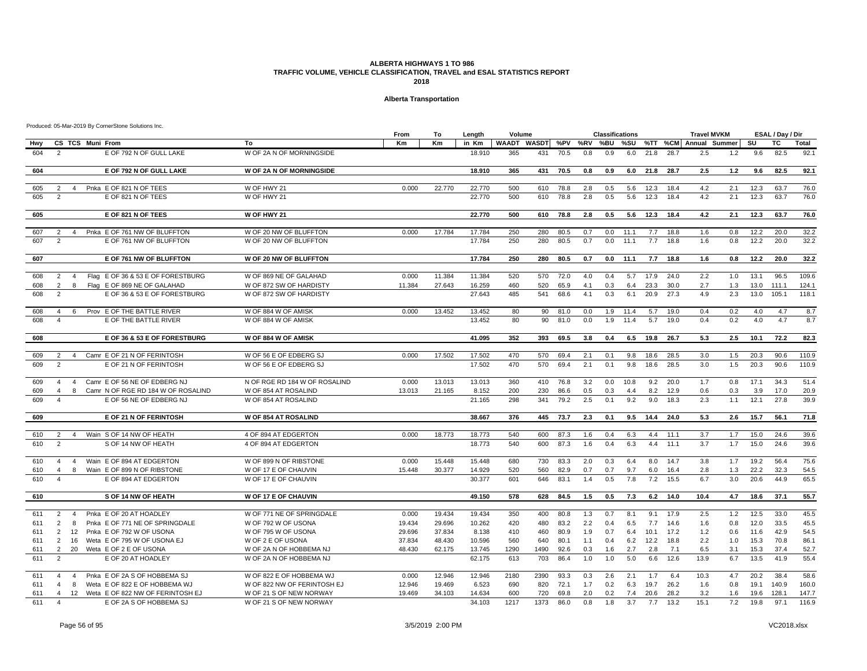#### **Alberta Transportation**

|            |                                                                                                                                               | From             | To               | Length           | Volume     |              |              |            | <b>Classifications</b> |            |              |              | <b>Travel MVKM</b>    |            |              | ESAL / Day / Dir |                |
|------------|-----------------------------------------------------------------------------------------------------------------------------------------------|------------------|------------------|------------------|------------|--------------|--------------|------------|------------------------|------------|--------------|--------------|-----------------------|------------|--------------|------------------|----------------|
| Hwy        | To<br>CS TCS Muni From                                                                                                                        | Km               | <b>Km</b>        | in Km            | WAADT      | <b>WASDT</b> |              | %PV %RV    | %BU                    | %SU        |              |              | %TT %CM Annual Summer |            | SU           | тc               | Total          |
| 604        | E OF 792 N OF GULL LAKE<br>W OF 2A N OF MORNINGSIDE<br>2                                                                                      |                  |                  | 18.910           | 365        | 431          | 70.5         | 0.8        | 0.9                    | 6.0        | 21.8         | 28.7         | 2.5                   | 1.2        | 9.6          | 82.5             | 92.1           |
| 604        | <b>W OF 2A N OF MORNINGSIDE</b><br>E OF 792 N OF GULL LAKE                                                                                    |                  |                  | 18.910           | 365        | 431          | 70.5         | 0.8        | 0.9                    | 6.0        | 21.8         | 28.7         | 2.5                   | 1.2        | 9.6          | 82.5             | 92.1           |
|            |                                                                                                                                               |                  |                  |                  |            |              |              |            |                        |            |              |              |                       |            |              |                  |                |
| 605        | Pnka E OF 821 N OF TEES<br>W OF HWY 21<br>2<br>$\overline{4}$                                                                                 | 0.000            | 22.770           | 22.770           | 500        | 610          | 78.8         | 2.8        | 0.5                    | 5.6        | 12.3         | 18.4         | 4.2                   | 2.1        | 12.3         | 63.7             | 76.0           |
| 605        | 2<br>E OF 821 N OF TEES<br>W OF HWY 21                                                                                                        |                  |                  | 22.770           | 500        | 610          | 78.8         | 2.8        | 0.5                    | 5.6        | 12.3         | 18.4         | 4.2                   | 2.1        | 12.3         | 63.7             | 76.0           |
| 605        | E OF 821 N OF TEES<br>W OF HWY 21                                                                                                             |                  |                  | 22.770           | 500        | 610          | 78.8         | 2.8        | 0.5                    | 5.6        | 12.3         | 18.4         | 4.2                   | 2.1        | 12.3         | 63.7             | 76.0           |
| 607        | Pnka E OF 761 NW OF BLUFFTON<br>W OF 20 NW OF BLUFFTON<br>2<br>$\overline{4}$                                                                 | 0.000            | 17.784           | 17.784           | 250        | 280          | 80.5         | 0.7        | 0.0                    | 11.1       | 7.7          | 18.8         | 1.6                   | 0.8        | 12.2         | 20.0             | 32.2           |
| 607        | 2<br>E OF 761 NW OF BLUFFTON<br>W OF 20 NW OF BLUFFTON                                                                                        |                  |                  | 17.784           | 250        | 280          | 80.5         | 0.7        | 0.0                    | 11.1       | 7.7          | 18.8         | 1.6                   | 0.8        | 12.2         | 20.0             | 32.2           |
| 607        | E OF 761 NW OF BLUFFTON<br>W OF 20 NW OF BLUFFTON                                                                                             |                  |                  | 17.784           | 250        | 280          | 80.5         | 0.7        | 0.0                    | 11.1       | 7.7          | 18.8         | 1.6                   | 0.8        | 12.2         | 20.0             | 32.2           |
|            |                                                                                                                                               |                  |                  |                  |            |              |              |            |                        |            |              |              |                       |            |              |                  |                |
| 608        | 2<br>Flag E OF 36 & 53 E OF FORESTBURG<br>W OF 869 NE OF GALAHAD<br>$\overline{4}$                                                            | 0.000            | 11.384           | 11.384           | 520        | 570          | 72.0         | 4.0        | 0.4                    | 5.7        | 17.9         | 24.0         | 2.2                   | 1.0        | 13.1         | 96.5             | 109.6          |
| 608<br>608 | 2<br>Flag E OF 869 NE OF GALAHAD<br>W OF 872 SW OF HARDISTY<br>8<br>$\overline{2}$<br>E OF 36 & 53 E OF FORESTBURG<br>W OF 872 SW OF HARDISTY | 11.384           | 27.643           | 16.259<br>27.643 | 460<br>485 | 520<br>541   | 65.9<br>68.6 | 4.1<br>4.1 | 0.3<br>0.3             | 6.4<br>6.1 | 23.3<br>20.9 | 30.0<br>27.3 | 2.7<br>4.9            | 1.3<br>2.3 | 13.0<br>13.0 | 111.1<br>105.1   | 124.1<br>118.1 |
|            |                                                                                                                                               |                  |                  |                  |            |              |              |            |                        |            |              |              |                       |            |              |                  |                |
| 608        | Prov E OF THE BATTLE RIVER<br>W OF 884 W OF AMISK<br>$\overline{4}$<br>6                                                                      | 0.000            | 13.452           | 13.452           | 80         | 90           | 81.0         | 0.0        | 1.9                    | 11.4       | 5.7          | 19.0         | 0.4                   | 0.2        | 4.0          | 4.7              | 8.7            |
| 608        | E OF THE BATTLE RIVER<br>W OF 884 W OF AMISK<br>$\overline{4}$                                                                                |                  |                  | 13.452           | 80         | 90           | 81.0         | 0.0        | 1.9                    | 11.4       | 5.7          | 19.0         | 0.4                   | 0.2        | 4.0          | 4.7              | 8.7            |
| 608        | E OF 36 & 53 E OF FORESTBURG<br>W OF 884 W OF AMISK                                                                                           |                  |                  | 41.095           | 352        | 393          | 69.5         | 3.8        | 0.4                    | 6.5        | 19.8         | 26.7         | 5.3                   | 2.5        | 10.1         | 72.2             | 82.3           |
|            | Camr E OF 21 N OF FERINTOSH<br>W OF 56 E OF EDBERG SJ<br>$\overline{2}$                                                                       | 0.000            | 17.502           | 17.502           | 470        | 570          |              | 2.1        |                        |            | 18.6         | 28.5         | 3.0                   | 1.5        | 20.3         | 90.6             | 110.9          |
| 609<br>609 | $\overline{4}$<br>E OF 21 N OF FERINTOSH<br>W OF 56 E OF EDBERG SJ<br>2                                                                       |                  |                  | 17.502           | 470        | 570          | 69.4<br>69.4 | 2.1        | 0.1<br>0.1             | 9.8<br>9.8 | 18.6         | 28.5         | 3.0                   | 1.5        | 20.3         | 90.6             | 110.9          |
|            |                                                                                                                                               |                  |                  |                  |            |              |              |            |                        |            |              |              |                       |            |              |                  |                |
| 609        | Camr E OF 56 NE OF EDBERG NJ<br>N OF RGE RD 184 W OF ROSALIND<br>$\overline{4}$<br>$\overline{4}$                                             | 0.000            | 13.013           | 13.013           | 360        | 410          | 76.8         | 3.2        | 0.0                    | 10.8       | 9.2          | 20.0         | 1.7                   | 0.8        | 17.1         | 34.3             | 51.4           |
| 609        | Camr N OF RGE RD 184 W OF ROSALIND<br>W OF 854 AT ROSALIND<br>$\overline{4}$<br>8                                                             | 13.013           | 21.165           | 8.152            | 200        | 230          | 86.6         | 0.5        | 0.3                    | 4.4        | 8.2          | 12.9         | 0.6                   | 0.3        | 3.9          | 17.0             | 20.9           |
| 609        | E OF 56 NE OF EDBERG NJ<br>W OF 854 AT ROSALIND<br>$\overline{4}$                                                                             |                  |                  | 21.165           | 298        | 341          | 79.2         | 2.5        | 0.1                    | 9.2        | 9.0          | 18.3         | 2.3                   | 1.1        | 12.1         | 27.8             | 39.9           |
| 609        | E OF 21 N OF FERINTOSH<br>W OF 854 AT ROSALIND                                                                                                |                  |                  | 38.667           | 376        | 445          | 73.7         | 2.3        | 0.1                    | 9.5        | 14.4         | 24.0         | 5.3                   | 2.6        | 15.7         | 56.1             | 71.8           |
| 610        | Wain S OF 14 NW OF HEATH<br>4 OF 894 AT EDGERTON<br>2<br>$\overline{4}$                                                                       | 0.000            | 18.773           | 18.773           | 540        | 600          | 87.3         | 1.6        | 0.4                    | 6.3        | 4.4          | 11.1         | 3.7                   | 1.7        | 15.0         | 24.6             | 39.6           |
| 610        | $\mathfrak{D}$<br>S OF 14 NW OF HEATH<br>4 OF 894 AT EDGERTON                                                                                 |                  |                  | 18.773           | 540        | 600          | 87.3         | 1.6        | 0.4                    | 6.3        | 4.4          | 11.1         | 3.7                   | 1.7        | 15.0         | 24.6             | 39.6           |
|            |                                                                                                                                               |                  |                  |                  |            |              |              |            |                        |            |              |              |                       |            |              |                  |                |
| 610        | Wain E OF 894 AT EDGERTON<br>W OF 899 N OF RIBSTONE<br>$\overline{4}$<br>$\overline{4}$                                                       | 0.000            | 15.448           | 15.448           | 680        | 730          | 83.3         | 2.0        | 0.3                    | 6.4        | 8.0          | 14.7         | 3.8                   | 1.7        | 19.2         | 56.4             | 75.6           |
| 610        | Wain E OF 899 N OF RIBSTONE<br>8<br>W OF 17 E OF CHAUVIN<br>$\overline{4}$                                                                    | 15.448           | 30.377           | 14.929           | 520        | 560          | 82.9         | 0.7        | 0.7                    | 9.7        | 6.0          | 16.4         | 2.8                   | 1.3        | 22.2         | 32.3             | 54.5           |
| 610        | E OF 894 AT EDGERTON<br>W OF 17 E OF CHAUVIN                                                                                                  |                  |                  | 30.377           | 601        | 646          | 83.1         | 1.4        | 0.5                    | 7.8        | 7.2          | 15.5         | 6.7                   | 3.0        | 20.6         | 44.9             | 65.5           |
| 610        | S OF 14 NW OF HEATH<br><b>W OF 17 E OF CHAUVIN</b>                                                                                            |                  |                  | 49.150           | 578        | 628          | 84.5         | 1.5        | 0.5                    | 7.3        | 6.2          | 14.0         | 10.4                  | 4.7        | 18.6         | 37.1             | 55.7           |
|            |                                                                                                                                               |                  |                  |                  |            |              |              |            |                        |            |              |              |                       |            |              |                  |                |
| 611        | Pnka E OF 20 AT HOADLEY<br>W OF 771 NE OF SPRINGDALE<br>2<br>$\overline{4}$<br>Pnka E OF 771 NE OF SPRINGDALE                                 | 0.000            | 19.434           | 19.434           | 350        | 400          | 80.8         | 1.3        | 0.7                    | 8.1        | 9.1<br>7.7   | 17.9         | 2.5                   | 1.2        | 12.5         | 33.0<br>33.5     | 45.5           |
| 611        | 2<br>8<br>W OF 792 W OF USONA<br>Pnka E OF 792 W OF USONA<br>W OF 795 W OF USONA<br>2<br>12                                                   | 19.434<br>29.696 | 29.696<br>37.834 | 10.262<br>8.138  | 420<br>410 | 480<br>460   | 83.2<br>80.9 | 2.2<br>1.9 | 0.4<br>0.7             | 6.5<br>6.4 | 10.1         | 14.6<br>17.2 | 1.6                   | 0.8        | 12.0<br>11.6 | 42.9             | 45.5<br>54.5   |
| 611<br>611 | 2<br>Weta E OF 795 W OF USONA EJ<br>W OF 2 E OF USONA<br>16                                                                                   | 37.834           | 48.430           | 10.596           | 560        | 640          | 80.1         | 1.1        | 0.4                    | 6.2        | 12.2         | 18.8         | 1.2<br>2.2            | 0.6<br>1.0 | 15.3         | 70.8             | 86.1           |
| 611        | 2<br>Weta E OF 2 E OF USONA<br>W OF 2A N OF HOBBEMA NJ<br>20                                                                                  | 48.430           | 62.175           | 13.745           | 1290       | 1490         | 92.6         | 0.3        | 1.6                    | 2.7        | 2.8          | 7.1          | 6.5                   | 3.1        | 15.3         | 37.4             | 52.7           |
| 611        | 2<br>E OF 20 AT HOADLEY<br>W OF 2A N OF HOBBEMA NJ                                                                                            |                  |                  | 62.175           | 613        | 703          | 86.4         | 1.0        | 1.0                    | 5.0        | 6.6          | 12.6         | 13.9                  | 6.7        | 13.5         | 41.9             | 55.4           |
| 611        | Pnka E OF 2A S OF HOBBEMA SJ<br>W OF 822 E OF HOBBEMA WJ<br>$\overline{4}$<br>$\overline{4}$                                                  | 0.000            | 12.946           | 12.946           | 2180       | 2390         | 93.3         | 0.3        | 2.6                    | 2.1        | 1.7          | 6.4          | 10.3                  | 4.7        | 20.2         | 38.4             | 58.6           |
| 611        | Weta E OF 822 E OF HOBBEMA WJ<br>W OF 822 NW OF FERINTOSH EJ<br>$\overline{4}$<br>8                                                           | 12.946           | 19.469           | 6.523            | 690        | 820          | 72.1         | 1.7        | 0.2                    | 6.3        | 19.7         | 26.2         | 1.6                   | 0.8        | 19.1         | 140.9            | 160.0          |
| 611        | 12 Weta E OF 822 NW OF FERINTOSH EJ<br>W OF 21 S OF NEW NORWAY<br>$\Delta$                                                                    | 19.469           | 34.103           | 14.634           | 600        | 720          | 69.8         | 2.0        | 0.2                    | 7.4        | 20.6         | 28.2         | 3.2                   | 1.6        | 19.6         | 128.1            | 147.7          |
| 611        | E OF 2A S OF HOBBEMA SJ<br>W OF 21 S OF NEW NORWAY<br>$\overline{4}$                                                                          |                  |                  | 34.103           | 1217       | 1373         | 86.0         | 0.8        | 1.8                    | 3.7        | 7.7          | 13.2         | 15.1                  | 7.2        | 19.8         | 97.1             | 116.9          |
|            |                                                                                                                                               |                  |                  |                  |            |              |              |            |                        |            |              |              |                       |            |              |                  |                |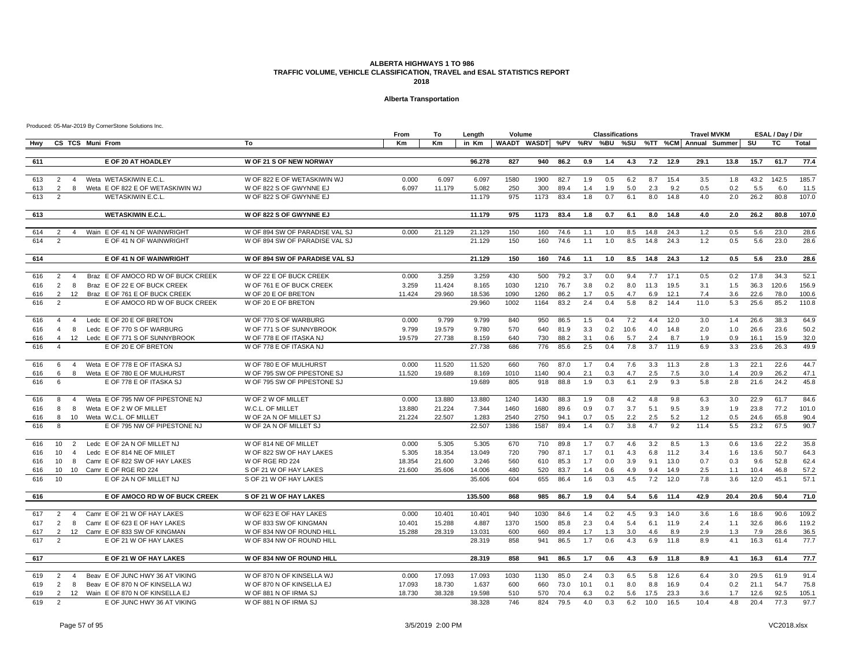#### **Alberta Transportation**

|            |                                            |                  |                                                                |                                            | From   | To        | Length           | Volume       |              |              |            | <b>Classifications</b> |            |            |              | <b>Travel MVKM</b>                                |            |              | ESAL / Day / Dir |                |
|------------|--------------------------------------------|------------------|----------------------------------------------------------------|--------------------------------------------|--------|-----------|------------------|--------------|--------------|--------------|------------|------------------------|------------|------------|--------------|---------------------------------------------------|------------|--------------|------------------|----------------|
| Hwv        |                                            | CS TCS Muni From |                                                                | To                                         | Km     | <b>Km</b> | in Km            |              |              |              |            |                        |            |            |              | WAADT WASDT %PV %RV %BU %SU %TT %CM Annual Summer |            | SU           | TC               | Total          |
|            |                                            |                  |                                                                |                                            |        |           |                  |              |              |              |            |                        |            |            |              |                                                   |            |              |                  |                |
| 611        |                                            |                  | E OF 20 AT HOADLEY                                             | W OF 21 S OF NEW NORWAY                    |        |           | 96.278           | 827          | 940          | 86.2         | 0.9        | 1.4                    | 4.3        | 7.2        | 12.9         | 29.1                                              | 13.8       | 15.7         | 61.7             | 77.4           |
| 613        | 2<br>$\overline{4}$                        |                  | Weta WETASKIWIN E.C.L.                                         | W OF 822 E OF WETASKIWIN WJ                | 0.000  | 6.097     | 6.097            | 1580         | 1900         | 82.7         | 1.9        | 0.5                    | 6.2        | 8.7        | 15.4         | 3.5                                               | 1.8        | 43.2         | 142.5            | 185.7          |
| 613        | $\overline{2}$<br>8                        |                  | Weta E OF 822 E OF WETASKIWIN WJ                               | W OF 822 S OF GWYNNE EJ                    | 6.097  | 11.179    | 5.082            | 250          | 300          | 89.4         | 1.4        | 1.9                    | 5.0        | 2.3        | 9.2          | 0.5                                               | 0.2        | 5.5          | 6.0              | 11.5           |
| 613        | 2                                          |                  | <b>WETASKIWIN E.C.L</b>                                        | W OF 822 S OF GWYNNE EJ                    |        |           | 11.179           | 975          | 1173         | 83.4         | 1.8        | 0.7                    | 6.1        | 8.0        | 14.8         | 4.0                                               | 2.0        | 26.2         | 80.8             | 107.0          |
| 613        |                                            |                  | <b>WETASKIWIN E.C.L.</b>                                       | W OF 822 S OF GWYNNE EJ                    |        |           | 11.179           | 975          | 1173         | 83.4         | 1.8        | 0.7                    | 6.1        | 8.0        | 14.8         | 4.0                                               | 2.0        | 26.2         | 80.8             | 107.0          |
|            |                                            |                  |                                                                |                                            |        |           |                  |              |              |              |            |                        |            |            |              |                                                   |            |              |                  |                |
| 614        | 2<br>$\overline{4}$                        |                  | Wain E OF 41 N OF WAINWRIGHT                                   | W OF 894 SW OF PARADISE VAL SJ             | 0.000  | 21.129    | 21.129           | 150          | 160          | 74.6         | 1.1        | 1.0                    | 8.5        | 14.8       | 24.3         | 1.2                                               | 0.5        | 5.6          | 23.0             | 28.6           |
| 614        | 2                                          |                  | E OF 41 N OF WAINWRIGHT                                        | W OF 894 SW OF PARADISE VAL SJ             |        |           | 21.129           | 150          | 160          | 74.6         | 1.1        | 1.0                    | 8.5        | 14.8       | 24.3         | 1.2                                               | 0.5        | 5.6          | 23.0             | 28.6           |
| 614        |                                            |                  | E OF 41 N OF WAINWRIGHT                                        | W OF 894 SW OF PARADISE VAL SJ             |        |           | 21.129           | 150          | 160          | 74.6         | 1.1        | 1.0                    | 8.5        | 14.8       | 24.3         | 1.2                                               | 0.5        | 5.6          | 23.0             | 28.6           |
|            |                                            |                  |                                                                |                                            |        |           |                  |              |              |              |            |                        |            |            |              |                                                   |            |              |                  |                |
| 616        | 2<br>$\overline{4}$                        |                  | Braz E OF AMOCO RD W OF BUCK CREEK                             | W OF 22 E OF BUCK CREEK                    | 0.000  | 3.259     | 3.259            | 430          | 500          | 79.2         | 3.7        | 0.0                    | 9.4        | 7.7        | 17.1         | 0.5                                               | 0.2        | 17.8         | 34.3             | 52.1           |
| 616        | 2<br>8<br>2<br>12                          |                  | Braz E OF 22 E OF BUCK CREEK                                   | W OF 761 E OF BUCK CREEK                   | 3.259  | 11.424    | 8.165            | 1030         | 1210         | 76.7         | 3.8        | 0.2<br>0.5             | 8.0        | 11.3       | 19.5         | 3.1<br>7.4                                        | 1.5<br>3.6 | 36.3<br>22.6 | 120.6            | 156.9          |
| 616<br>616 | $\overline{2}$                             |                  | Braz E OF 761 E OF BUCK CREEK<br>E OF AMOCO RD W OF BUCK CREEK | W OF 20 E OF BRETON<br>W OF 20 E OF BRETON | 11.424 | 29.960    | 18.536<br>29.960 | 1090<br>1002 | 1260<br>1164 | 86.2<br>83.2 | 1.7<br>2.4 | 0.4                    | 4.7<br>5.8 | 6.9<br>8.2 | 12.1<br>14.4 | 11.0                                              | 5.3        | 25.6         | 78.0<br>85.2     | 100.6<br>110.8 |
|            |                                            |                  |                                                                |                                            |        |           |                  |              |              |              |            |                        |            |            |              |                                                   |            |              |                  |                |
| 616        | $\overline{4}$<br>$\overline{4}$           |                  | Ledc E OF 20 E OF BRETON                                       | W OF 770 S OF WARBURG                      | 0.000  | 9.799     | 9.799            | 840          | 950          | 86.5         | 1.5        | 0.4                    | 7.2        | 4.4        | 12.0         | 3.0                                               | 1.4        | 26.6         | 38.3             | 64.9           |
| 616        | $\overline{4}$<br>8                        |                  | Ledc E OF 770 S OF WARBURG                                     | W OF 771 S OF SUNNYBROOK                   | 9.799  | 19.579    | 9.780            | 570          | 640          | 81.9         | 3.3        | 0.2                    | 10.6       | 4.0        | 14.8         | 2.0                                               | 1.0        | 26.6         | 23.6             | 50.2           |
| 616        | $\mathbf{\Lambda}$                         |                  | 12 Ledc E OF 771 S OF SUNNYBROOK                               | W OF 778 E OF ITASKA NJ                    | 19.579 | 27.738    | 8.159            | 640          | 730          | 88.2         | 3.1        | 0.6                    | 5.7        | 2.4        | 8.7          | 1.9                                               | 0.9        | 16.1         | 15.9             | 32.0           |
| 616        | $\overline{4}$                             |                  | E OF 20 E OF BRETON                                            | W OF 778 E OF ITASKA NJ                    |        |           | 27.738           | 686          | 776          | 85.6         | 2.5        | 0.4                    | 7.8        | 3.7        | 11.9         | 6.9                                               | 3.3        | 23.6         | 26.3             | 49.9           |
| 616        | 6<br>$\overline{4}$                        |                  | Weta E OF 778 E OF ITASKA SJ                                   | W OF 780 E OF MULHURST                     | 0.000  | 11.520    | 11.520           | 660          | 760          | 87.0         | 1.7        | 0.4                    | 7.6        | 3.3        | 11.3         | 2.8                                               | 1.3        | 22.1         | 22.6             | 44.7           |
| 616        | 6<br>8                                     |                  | Weta E OF 780 E OF MULHURST                                    | W OF 795 SW OF PIPESTONE SJ                | 11.520 | 19.689    | 8.169            | 1010         | 1140         | 90.4         | 2.1        | 0.3                    | 4.7        | 2.5        | 7.5          | 3.0                                               | 1.4        | 20.9         | 26.2             | 47.1           |
| 616        | 6                                          |                  | E OF 778 E OF ITASKA SJ                                        | W OF 795 SW OF PIPESTONE SJ                |        |           | 19.689           | 805          | 918          | 88.8         | 1.9        | 0.3                    | 6.1        | 2.9        | 9.3          | 5.8                                               | 2.8        | 21.6         | 24.2             | 45.8           |
| 616        | 8<br>$\overline{4}$                        |                  | Weta E OF 795 NW OF PIPESTONE NJ                               | W OF 2 W OF MILLET                         | 0.000  | 13.880    | 13.880           | 1240         | 1430         | 88.3         | 1.9        | 0.8                    | 4.2        | 4.8        | 9.8          | 6.3                                               | 3.0        | 22.9         | 61.7             | 84.6           |
| 616        | 8<br>8                                     |                  | Weta E OF 2 W OF MILLET                                        | W.C.L. OF MILLET                           | 13.880 | 21.224    | 7.344            | 1460         | 1680         | 89.6         | 0.9        | 0.7                    | 3.7        | 5.1        | 9.5          | 3.9                                               | 1.9        | 23.8         | 77.2             | 101.0          |
| 616        | 8                                          |                  | 10 Weta W.C.L. OF MILLET                                       | W OF 2A N OF MILLET SJ                     | 21.224 | 22.507    | 1.283            | 2540         | 2750         | 94.1         | 0.7        | 0.5                    | 2.2        | 2.5        | 5.2          | 1.2                                               | 0.5        | 24.6         | 65.8             | 90.4           |
| 616        | 8                                          |                  | E OF 795 NW OF PIPESTONE NJ                                    | W OF 2A N OF MILLET SJ                     |        |           | 22.507           | 1386         | 1587         | 89.4         | 1.4        | 0.7                    | 3.8        | 4.7        | 9.2          | 11.4                                              | 5.5        | 23.2         | 67.5             | 90.7           |
| 616        | 10<br>2                                    |                  | Ledc E OF 2A N OF MILLET NJ                                    | W OF 814 NE OF MILLET                      | 0.000  | 5.305     | 5.305            | 670          | 710          | 89.8         | 1.7        | 0.7                    | 4.6        | 3.2        | 8.5          | 1.3                                               | 0.6        | 13.6         | 22.2             | 35.8           |
| 616        | 10 <sup>°</sup><br>$\overline{\mathbf{4}}$ |                  | Ledc E OF 814 NE OF MIILET                                     | W OF 822 SW OF HAY LAKES                   | 5.305  | 18.354    | 13.049           | 720          | 790          | 87.1         | 1.7        | 0.1                    | 4.3        | 6.8        | 11.2         | 3.4                                               | 1.6        | 13.6         | 50.7             | 64.3           |
| 616        | 10<br>-8                                   |                  | Camr E OF 822 SW OF HAY LAKES                                  | W OF RGE RD 224                            | 18.354 | 21.600    | 3.246            | 560          | 610          | 85.3         | 1.7        | 0.0                    | 3.9        | 9.1        | 13.0         | 0.7                                               | 0.3        | 9.6          | 52.8             | 62.4           |
| 616        | 10<br>10                                   |                  | Camr E OF RGE RD 224                                           | S OF 21 W OF HAY LAKES                     | 21.600 | 35.606    | 14.006           | 480          | 520          | 83.7         | 1.4        | 0.6                    | 4.9        | 9.4        | 14.9         | 2.5                                               | 1.1        | 10.4         | 46.8             | 57.2           |
| 616        | 10                                         |                  | E OF 2A N OF MILLET NJ                                         | S OF 21 W OF HAY LAKES                     |        |           | 35.606           | 604          | 655          | 86.4         | 1.6        | 0.3                    | 4.5        | 7.2        | 12.0         | 7.8                                               | 3.6        | 12.0         | 45.1             | 57.1           |
| 616        |                                            |                  | E OF AMOCO RD W OF BUCK CREEK                                  | S OF 21 W OF HAY LAKES                     |        |           | 135.500          | 868          | 985          | 86.7         | 1.9        | 0.4                    | 5.4        | 5.6        | 11.4         | 42.9                                              | 20.4       | 20.6         | 50.4             | 71.0           |
|            |                                            |                  |                                                                |                                            |        |           |                  |              |              |              |            |                        |            |            |              |                                                   |            |              |                  |                |
| 617        | 2<br>$\overline{4}$                        |                  | Camr E OF 21 W OF HAY LAKES                                    | W OF 623 E OF HAY LAKES                    | 0.000  | 10.401    | 10.401           | 940          | 1030         | 84.6         | 1.4        | 0.2                    | 4.5        | 9.3        | 14.0         | 3.6                                               | 1.6        | 18.6         | 90.6             | 109.2          |
| 617        | 2<br>8                                     |                  | Camr E OF 623 E OF HAY LAKES                                   | W OF 833 SW OF KINGMAN                     | 10.401 | 15.288    | 4.887            | 1370         | 1500         | 85.8         | 2.3        | 0.4                    | 5.4        | 6.1        | 11.9         | 2.4                                               | 1.1        | 32.6         | 86.6             | 119.2          |
| 617        | $\overline{2}$<br>$\overline{2}$           |                  | 12 Camr E OF 833 SW OF KINGMAN                                 | W OF 834 NW OF ROUND HILL                  | 15.288 | 28.319    | 13.031           | 600          | 660          | 89.4         | 1.7        | 1.3<br>0.6             | 3.0<br>4.3 | 4.6<br>6.9 | 8.9<br>11.8  | 2.9                                               | 1.3<br>4.1 | 7.9<br>16.3  | 28.6<br>61.4     | 36.5           |
| 617        |                                            |                  | E OF 21 W OF HAY LAKES                                         | W OF 834 NW OF ROUND HILL                  |        |           | 28.319           | 858          | 941          | 86.5         | 1.7        |                        |            |            |              | 8.9                                               |            |              |                  | 77.7           |
| 617        |                                            |                  | E OF 21 W OF HAY LAKES                                         | W OF 834 NW OF ROUND HILL                  |        |           | 28.319           | 858          | 941          | 86.5         | 1.7        | 0.6                    | 4.3        | 6.9        | 11.8         | 8.9                                               | 4.1        | 16.3         | 61.4             | 77.7           |
| 619        | 2<br>$\overline{4}$                        |                  | Beav E OF JUNC HWY 36 AT VIKING                                | W OF 870 N OF KINSELLA WJ                  | 0.000  | 17.093    | 17.093           | 1030         | 1130         | 85.0         | 2.4        | 0.3                    | 6.5        | 5.8        | 12.6         | 6.4                                               | 3.0        | 29.5         | 61.9             | 91.4           |
| 619        | 2<br>-8                                    |                  | Beav E OF 870 N OF KINSELLA WJ                                 | W OF 870 N OF KINSELLA EJ                  | 17.093 | 18.730    | 1.637            | 600          | 660          | 73.0         | 10.1       | 0.1                    | 8.0        | 8.8        | 16.9         | 0.4                                               | 0.2        | 21.1         | 54.7             | 75.8           |
| 619        | 2                                          |                  | 12 Wain E OF 870 N OF KINSELLA EJ                              | W OF 881 N OF IRMA SJ                      | 18.730 | 38.328    | 19.598           | 510          | 570          | 70.4         | 6.3        | 0.2                    | 5.6        | 17.5       | 23.3         | 3.6                                               | 1.7        | 12.6         | 92.5             | 105.1          |
| 619        | 2                                          |                  | E OF JUNC HWY 36 AT VIKING                                     | W OF 881 N OF IRMA SJ                      |        |           | 38.328           | 746          | 824          | 79.5         | 4.0        | 0.3                    | 6.2        | 10.0       | 16.5         | 10.4                                              | 4.8        | 20.4         | 77.3             | 97.7           |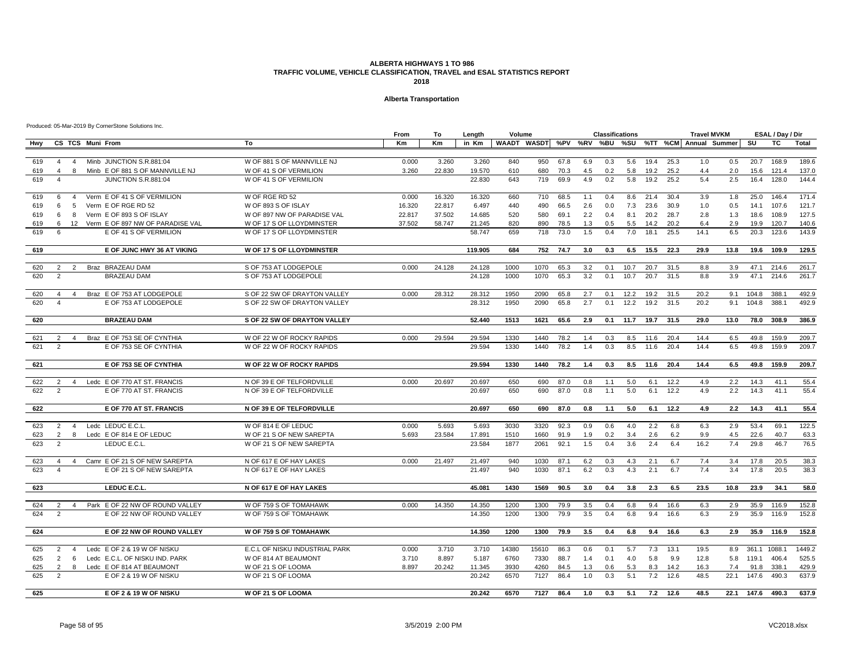#### **Alberta Transportation**

|     |                                                                                                | From   | To     | Length  | Volume                                            |       |      |     | <b>Classifications</b> |      |      |      | <b>Travel MVKM</b> |      |              | ESAL / Day / Dir |        |
|-----|------------------------------------------------------------------------------------------------|--------|--------|---------|---------------------------------------------------|-------|------|-----|------------------------|------|------|------|--------------------|------|--------------|------------------|--------|
| Hwy | CS TCS Muni From<br>To                                                                         | Km     | Кm     | in Km   | WAADT WASDT %PV %RV %BU %SU %TT %CM Annual Summer |       |      |     |                        |      |      |      |                    |      | SU           | <b>TC</b>        | Total  |
|     |                                                                                                |        |        |         |                                                   |       |      |     |                        |      |      |      |                    |      |              |                  |        |
| 619 | W OF 881 S OF MANNVILLE NJ<br>$\overline{4}$<br>Minb JUNCTION S.R.881:04<br>$\overline{4}$     | 0.000  | 3.260  | 3.260   | 840                                               | 950   | 67.8 | 6.9 | 0.3                    | 5.6  | 19.4 | 25.3 | 1.0                | 0.5  | 20.7         | 168.9            | 189.6  |
| 619 | Minb E OF 881 S OF MANNVILLE NJ<br>W OF 41 S OF VERMILION<br>$\overline{4}$<br>- 8             | 3.260  | 22.830 | 19.570  | 610                                               | 680   | 70.3 | 4.5 | 0.2                    | 5.8  | 19.2 | 25.2 | 4.4                | 2.0  | 15.6         | 121.4            | 137.0  |
| 619 | JUNCTION S.R.881:04<br>W OF 41 S OF VERMILION<br>$\overline{\mathbf{A}}$                       |        |        | 22.830  | 643                                               | 719   | 69.9 | 4.9 | 0.2                    | 5.8  | 19.2 | 25.2 | 5.4                | 2.5  | 16.4         | 128.0            | 144.4  |
| 619 | Verm E OF 41 S OF VERMILION<br>W OF RGE RD 52<br>6<br>$\overline{4}$                           | 0.000  | 16.320 | 16.320  | 660                                               | 710   | 68.5 | 1.1 | 0.4                    | 8.6  | 21.4 | 30.4 | 3.9                | 1.8  | 25.0         | 146.4            | 171.4  |
| 619 | Verm E OF RGE RD 52<br>$6\overline{6}$<br>5<br>W OF 893 S OF ISLAY                             | 16.320 | 22.817 | 6.497   | 440                                               | 490   | 66.5 | 2.6 | 0.0                    | 7.3  | 23.6 | 30.9 | 1.0                | 0.5  | 14.1         | 107.6            | 121.7  |
| 619 | Verm E OF 893 S OF ISLAY<br>W OF 897 NW OF PARADISE VAL<br>6<br>8                              | 22.817 | 37.502 | 14.685  | 520                                               | 580   | 69.1 | 2.2 | 0.4                    | 8.1  | 20.2 | 28.7 | 2.8                | 1.3  | 18.6         | 108.9            | 127.5  |
| 619 | Verm E OF 897 NW OF PARADISE VAL<br>W OF 17 S OF LLOYDMINSTER<br>6<br>12                       | 37.502 | 58.747 | 21.245  | 820                                               | 890   | 78.5 | 1.3 | 0.5                    | 5.5  | 14.2 | 20.2 | 6.4                | 2.9  | 19.9         | 120.7            | 140.6  |
| 619 | E OF 41 S OF VERMILION<br>W OF 17 S OF LLOYDMINSTER<br>6                                       |        |        | 58.747  | 659                                               | 718   | 73.0 | 1.5 | 0.4                    | 7.0  | 18.1 | 25.5 | 14.1               | 6.5  | 20.3         | 123.6            | 143.9  |
| 619 | E OF JUNC HWY 36 AT VIKING<br>W OF 17 S OF LLOYDMINSTER                                        |        |        | 119.905 | 684                                               | 752   | 74.7 | 3.0 | 0.3                    | 6.5  | 15.5 | 22.3 | 29.9               | 13.8 | 19.6         | 109.9            | 129.5  |
|     |                                                                                                |        |        |         |                                                   |       |      |     |                        |      |      |      |                    |      |              |                  |        |
| 620 | Braz BRAZEAU DAM<br>S OF 753 AT LODGEPOLE<br>2<br>2                                            | 0.000  | 24.128 | 24.128  | 1000                                              | 1070  | 65.3 | 3.2 | 0.1                    | 10.7 | 20.7 | 31.5 | 8.8                | 3.9  | 47.1         | 214.6            | 261.7  |
| 620 | <b>BRAZEAU DAM</b><br>S OF 753 AT LODGEPOLE<br>$\mathcal{P}$                                   |        |        | 24.128  | 1000                                              | 1070  | 65.3 | 3.2 | 0.1                    | 10.7 | 20.7 | 31.5 | 8.8                | 3.9  | 47.1         | 214.6            | 261.7  |
| 620 | Braz E OF 753 AT LODGEPOLE<br>S OF 22 SW OF DRAYTON VALLEY<br>$\overline{4}$<br>$\overline{4}$ | 0.000  | 28.312 | 28.312  | 1950                                              | 2090  | 65.8 | 2.7 | 0.1                    | 12.2 | 19.2 | 31.5 | 20.2               | 9.1  | 104.8        | 388.1            | 492.9  |
| 620 | E OF 753 AT LODGEPOLE<br>S OF 22 SW OF DRAYTON VALLEY<br>$\overline{4}$                        |        |        | 28.312  | 1950                                              | 2090  | 65.8 | 2.7 | 0.1                    | 12.2 | 19.2 | 31.5 | 20.2               | 9.1  | 104.8        | 388.1            | 492.9  |
| 620 | <b>BRAZEAU DAM</b><br>S OF 22 SW OF DRAYTON VALLEY                                             |        |        | 52.440  | 1513                                              | 1621  | 65.6 | 2.9 | 0.1                    | 11.7 | 19.7 | 31.5 | 29.0               | 13.0 | 78.0         | 308.9            | 386.9  |
|     |                                                                                                |        |        |         |                                                   |       |      |     |                        |      |      |      |                    |      |              |                  |        |
| 621 | Braz E OF 753 SE OF CYNTHIA<br>W OF 22 W OF ROCKY RAPIDS<br>2<br>$\overline{4}$                | 0.000  | 29.594 | 29.594  | 1330                                              | 1440  | 78.2 | 1.4 | 0.3                    | 8.5  | 11.6 | 20.4 | 14.4               | 6.5  | 49.8         | 159.9            | 209.7  |
| 621 | 2<br>E OF 753 SE OF CYNTHIA<br>W OF 22 W OF ROCKY RAPIDS                                       |        |        | 29.594  | 1330                                              | 1440  | 78.2 | 1.4 | 0.3                    | 8.5  | 11.6 | 20.4 | 14.4               | 6.5  | 49.8         | 159.9            | 209.7  |
| 621 | E OF 753 SE OF CYNTHIA<br><b>W OF 22 W OF ROCKY RAPIDS</b>                                     |        |        | 29.594  | 1330                                              | 1440  | 78.2 | 1.4 | 0.3                    | 8.5  | 11.6 | 20.4 | 14.4               | 6.5  | 49.8         | 159.9            | 209.7  |
|     |                                                                                                |        |        |         |                                                   |       |      |     |                        |      |      |      |                    |      |              |                  |        |
| 622 | Ledc E OF 770 AT ST. FRANCIS<br>N OF 39 E OF TELFORDVILLE<br>2<br>$\overline{4}$               | 0.000  | 20.697 | 20.697  | 650                                               | 690   | 87.0 | 0.8 | 1.1                    | 5.0  | 6.1  | 12.2 | 4.9                | 2.2  | 14.3         | 41.1             | 55.4   |
| 622 | E OF 770 AT ST. FRANCIS<br>N OF 39 E OF TELFORDVILLE<br>2                                      |        |        | 20.697  | 650                                               | 690   | 87.0 | 0.8 | 1.1                    | 5.0  | 6.1  | 12.2 | 4.9                | 2.2  | 14.3         | 41.1             | 55.4   |
| 622 | E OF 770 AT ST. FRANCIS<br>N OF 39 E OF TELFORDVILLE                                           |        |        | 20.697  | 650                                               | 690   | 87.0 | 0.8 | 1.1                    | 5.0  | 6.1  | 12.2 | 4.9                | 2.2  | 14.3         | 41.1             | 55.4   |
|     |                                                                                                |        |        |         |                                                   |       |      |     |                        |      |      |      |                    |      |              |                  |        |
| 623 | Ledc LEDUC E.C.L.<br>2<br>W OF 814 E OF LEDUC<br>$\overline{4}$                                | 0.000  | 5.693  | 5.693   | 3030                                              | 3320  | 92.3 | 0.9 | 0.6                    | 4.0  | 2.2  | 6.8  | 6.3                | 2.9  | 53.4         | 69.1             | 122.5  |
| 623 | 2<br>8<br>Ledc E OF 814 E OF LEDUC<br>W OF 21 S OF NEW SAREPTA                                 | 5.693  | 23.584 | 17.891  | 1510                                              | 1660  | 91.9 | 1.9 | 0.2                    | 3.4  | 2.6  | 6.2  | 9.9                | 4.5  | 22.6         | 40.7             | 63.3   |
| 623 | 2<br>LEDUC E.C.L.<br>W OF 21 S OF NEW SAREPTA                                                  |        |        | 23.584  | 1877                                              | 2061  | 92.1 | 1.5 | 0.4                    | 3.6  | 2.4  | 6.4  | 16.2               | 7.4  | 29.8         | 46.7             | 76.5   |
| 623 | Camr E OF 21 S OF NEW SAREPTA<br>N OF 617 E OF HAY LAKES<br>$\overline{4}$<br>$\overline{4}$   | 0.000  | 21.497 | 21.497  | 940                                               | 1030  | 87.1 | 6.2 | 0.3                    | 4.3  | 2.1  | 6.7  | 7.4                | 3.4  | 17.8         | 20.5             | 38.3   |
| 623 | E OF 21 S OF NEW SAREPTA<br>N OF 617 E OF HAY LAKES<br>$\overline{4}$                          |        |        | 21.497  | 940                                               | 1030  | 87.1 | 6.2 | 0.3                    | 4.3  | 2.1  | 6.7  | 7.4                | 3.4  | 17.8         | 20.5             | 38.3   |
| 623 | LEDUC E.C.L<br>N OF 617 E OF HAY LAKES                                                         |        |        | 45.081  | 1430                                              | 1569  | 90.5 | 3.0 | 0.4                    | 3.8  | 2.3  | 6.5  | 23.5               | 10.8 | 23.9         | 34.1             | 58.0   |
|     |                                                                                                |        |        |         |                                                   |       |      |     |                        |      |      |      |                    |      |              |                  |        |
| 624 | Park E OF 22 NW OF ROUND VALLEY<br>W OF 759 S OF TOMAHAWK<br>2<br>$\overline{4}$               | 0.000  | 14.350 | 14.350  | 1200                                              | 1300  | 79.9 | 3.5 | 0.4                    | 6.8  | 9.4  | 16.6 | 6.3                | 2.9  | 35.9         | 116.9            | 152.8  |
| 624 | $\overline{2}$<br>E OF 22 NW OF ROUND VALLEY<br>W OF 759 S OF TOMAHAWK                         |        |        | 14.350  | 1200                                              | 1300  | 79.9 | 3.5 | 0.4                    | 6.8  | 9.4  | 16.6 | 6.3                | 2.9  | 35.9         | 116.9            | 152.8  |
| 624 | E OF 22 NW OF ROUND VALLEY<br>W OF 759 S OF TOMAHAWK                                           |        |        | 14.350  | 1200                                              | 1300  | 79.9 | 3.5 | 0.4                    | 6.8  | 9.4  | 16.6 | 6.3                | 2.9  | 35.9         | 116.9            | 152.8  |
|     |                                                                                                |        |        |         |                                                   |       |      |     |                        |      |      |      |                    |      |              |                  |        |
| 625 | Ledc E OF 2 & 19 W OF NISKU<br>2<br>E.C.L OF NISKU INDUSTRIAL PARK<br>$\overline{4}$           | 0.000  | 3.710  | 3.710   | 14380                                             | 15610 | 86.3 | 0.6 | 0.1                    | 5.7  | 7.3  | 13.1 | 19.5               | 8.9  | 361.1 1088.1 |                  | 1449.2 |
| 625 | 2<br>6<br>Ledc E.C.L. OF NISKU IND. PARK<br>W OF 814 AT BEAUMONT                               | 3.710  | 8.897  | 5.187   | 6760                                              | 7330  | 88.7 | 1.4 | 0.1                    | 4.0  | 5.8  | 9.9  | 12.8               |      | 5.8 119.1    | 406.4            | 525.5  |
| 625 | 2<br>8 Ledc E OF 814 AT BEAUMONT<br>W OF 21 S OF LOOMA                                         | 8.897  | 20.242 | 11.345  | 3930                                              | 4260  | 84.5 | 1.3 | 0.6                    | 5.3  | 8.3  | 14.2 | 16.3               | 7.4  | 91.8         | 338.1            | 429.9  |
| 625 | W OF 21 S OF LOOMA<br>2<br>E OF 2 & 19 W OF NISKU                                              |        |        | 20.242  | 6570                                              | 7127  | 86.4 | 1.0 | 0.3                    | 5.1  | 7.2  | 12.6 | 48.5               | 22.1 | 147.6        | 490.3            | 637.9  |
| 625 | E OF 2 & 19 W OF NISKU<br>W OF 21 S OF LOOMA                                                   |        |        | 20.242  | 6570                                              | 7127  | 86.4 | 1.0 | 0.3                    | 5.1  | 7.2  | 12.6 | 48.5               | 22.1 | 147.6        | 490.3            | 637.9  |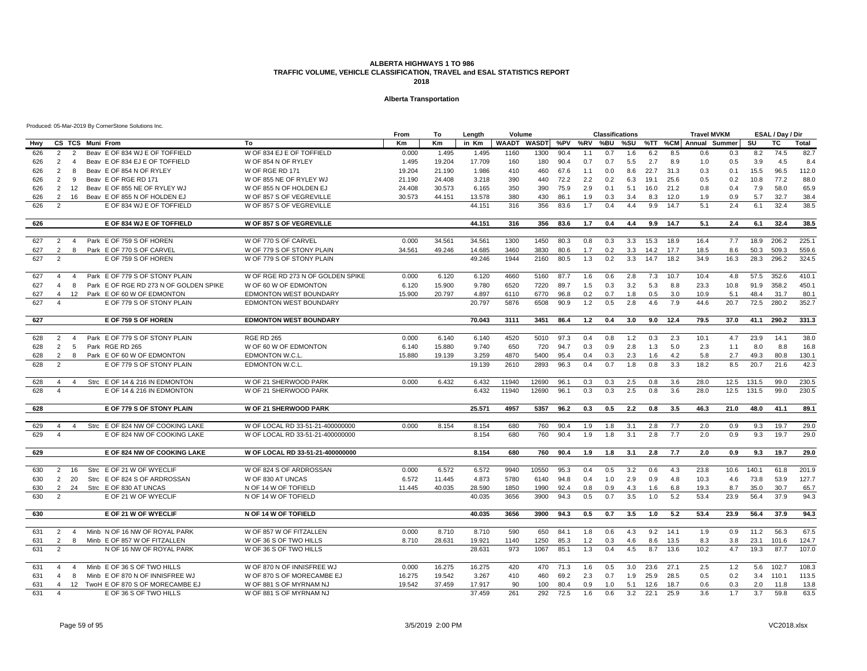#### **Alberta Transportation**

|            |                         |                |                                                         |                                           | From      | To        | Length          | Volume       |              |              |            | <b>Classifications</b> |            |            |            | <b>Travel MVKM</b> |               |              | ESAL / Day / Dir |               |
|------------|-------------------------|----------------|---------------------------------------------------------|-------------------------------------------|-----------|-----------|-----------------|--------------|--------------|--------------|------------|------------------------|------------|------------|------------|--------------------|---------------|--------------|------------------|---------------|
| Hwy        |                         |                | CS TCS Muni From                                        | To                                        | <b>Km</b> | <b>Km</b> | in Km           | <b>WAADT</b> | <b>WASDT</b> |              | %PV %RV    | %BU                    | %SU        |            | %TT %CM    |                    | Annual Summer | SU           | <b>TC</b>        | Total         |
| 626        | 2                       | 2              | Beav E OF 834 WJ E OF TOFFIELD                          | W OF 834 EJ E OF TOFFIELD                 | 0.000     | 1.495     | 1.495           | 1160         | 1300         | 90.4         | 1.1        | 0.7                    | 1.6        | 6.2        | 8.5        | 0.6                | 0.3           | 8.2          | 74.5             | 82.7          |
| 626        | 2                       | $\overline{4}$ | Beav E OF 834 EJ E OF TOFFIELD                          | W OF 854 N OF RYLEY                       | 1.495     | 19.204    | 17.709          | 160          | 180          | 90.4         | 0.7        | 0.7                    | 5.5        | 2.7        | 8.9        | 1.0                | 0.5           | 3.9          | 4.5              | 8.4           |
| 626        | 2                       | 8              | Beav E OF 854 N OF RYLEY                                | W OF RGE RD 171                           | 19.204    | 21.190    | 1.986           | 410          | 460          | 67.6         | 1.1        | 0.0                    | 8.6        | 22.7       | 31.3       | 0.3                | 0.1           | 15.5         | 96.5             | 112.0         |
| 626        | $\overline{2}$          | 9              | Beav E OF RGE RD 171                                    | W OF 855 NE OF RYLEY WJ                   | 21.190    | 24.408    | 3.218           | 390          | 440          | 72.2         | 2.2        | 0.2                    | 6.3        | 19.1       | 25.6       | 0.5                | 0.2           | 10.8         | 77.2             | 88.0          |
| 626        | 2                       | 12             | Beav E OF 855 NE OF RYLEY WJ                            | W OF 855 N OF HOLDEN EJ                   | 24.408    | 30.573    | 6.165           | 350          | 390          | 75.9         | 2.9        | 0.1                    | 5.1        | 16.0       | 21.2       | 0.8                | 0.4           | 7.9          | 58.0             | 65.9          |
| 626        | 2                       | 16             | Beav E OF 855 N OF HOLDEN EJ                            | W OF 857 S OF VEGREVILLE                  | 30.573    | 44.151    | 13.578          | 380          | 430          | 86.1         | 1.9        | 0.3                    | 3.4        | 8.3        | 12.0       | 1.9                | 0.9           | 5.7          | 32.7             | 38.4          |
| 626        | 2                       |                | E OF 834 WJ E OF TOFFIELD                               | W OF 857 S OF VEGREVILLE                  |           |           | 44.151          | 316          | 356          | 83.6         | 1.7        | 0.4                    | 4.4        | 9.9        | 14.7       | 5.1                | 2.4           | 6.1          | 32.4             | 38.5          |
| 626        |                         |                | E OF 834 WJ E OF TOFFIELD                               | W OF 857 S OF VEGREVILLE                  |           |           | 44.151          | 316          | 356          | 83.6         | 1.7        | 0.4                    | 4.4        | 9.9        | 14.7       | 5.1                | 2.4           | 6.1          | 32.4             | 38.5          |
| 627        | 2                       | $\overline{4}$ | Park E OF 759 S OF HOREN                                | W OF 770 S OF CARVEL                      | 0.000     | 34.561    | 34.561          | 1300         | 1450         | 80.3         | 0.8        | 0.3                    | 3.3        | 15.3       | 18.9       | 16.4               | 7.7           | 18.9         | 206.2            | 225.1         |
| 627        | 2                       | 8              | Park E OF 770 S OF CARVEL                               | W OF 779 S OF STONY PLAIN                 | 34.561    | 49.246    | 14.685          | 3460         | 3830         | 80.6         | 1.7        | 0.2                    | 3.3        | 14.2       | 17.7       | 18.5               | 8.6           | 50.3         | 509.3            | 559.6         |
| 627        | $\overline{2}$          |                | E OF 759 S OF HOREN                                     | W OF 779 S OF STONY PLAIN                 |           |           | 49.246          | 1944         | 2160         | 80.5         | 1.3        | 0.2                    | 3.3        | 14.7       | 18.2       | 34.9               | 16.3          | 28.3         | 296.2            | 324.5         |
| 627        | $\overline{4}$          | $\overline{4}$ | Park E OF 779 S OF STONY PLAIN                          | W OF RGE RD 273 N OF GOLDEN SPIKE         | 0.000     | 6.120     | 6.120           | 4660         | 5160         | 87.7         | 1.6        | 0.6                    | 2.8        | 7.3        | 10.7       | 10.4               | 4.8           | 57.5         | 352.6            | 410.1         |
| 627        | $\overline{4}$          | 8              | Park E OF RGE RD 273 N OF GOLDEN SPIKE                  | W OF 60 W OF EDMONTON                     | 6.120     | 15,900    | 9.780           | 6520         | 7220         | 89.7         | 1.5        | 0.3                    | 3.2        | 5.3        | 8.8        | 23.3               | 10.8          | 91.9         | 358.2            | 450.1         |
| 627        | $\overline{4}$          |                | 12 Park E OF 60 W OF EDMONTON                           | EDMONTON WEST BOUNDARY                    | 15.900    | 20.797    | 4.897           | 6110         | 6770         | 96.8         | 0.2        | 0.7                    | 1.8        | 0.5        | 3.0        | 10.9               | 5.1           | 48.4         | 31.7             | 80.1          |
| 627        | $\overline{a}$          |                | E OF 779 S OF STONY PLAIN                               | <b>EDMONTON WEST BOUNDARY</b>             |           |           | 20.797          | 5876         | 6508         | 90.9         | 1.2        | 0.5                    | 2.8        | 4.6        | 7.9        | 44.6               | 20.7          | 72.5         | 280.2            | 352.7         |
| 627        |                         |                | E OF 759 S OF HOREN                                     | <b>EDMONTON WEST BOUNDARY</b>             |           |           | 70.043          | 3111         | 3451         | 86.4         | 1.2        | 0.4                    | 3.0        | 9.0        | 12.4       | 79.5               | 37.0          | 41.1         | 290.2            | 331.3         |
|            |                         |                |                                                         |                                           |           |           |                 |              |              |              |            |                        |            |            |            |                    |               |              |                  |               |
| 628        | 2                       | $\overline{4}$ | Park E OF 779 S OF STONY PLAIN                          | <b>RGE RD 265</b>                         | 0.000     | 6.140     | 6.140           | 4520         | 5010         | 97.3         | 0.4        | 0.8                    | 1.2        | 0.3        | 2.3        | 10.1               | 4.7           | 23.9         | 14.1             | 38.0          |
| 628        | 2                       | - 5            | Park RGE RD 265                                         | W OF 60 W OF EDMONTON                     | 6.140     | 15.880    | 9.740           | 650          | 720          | 94.7         | 0.3        | 0.9                    | 2.8        | 1.3        | 5.0        | 2.3                | 1.1           | 8.0          | 8.8              | 16.8          |
| 628<br>628 | 2<br>2                  | 8              | Park E OF 60 W OF EDMONTON<br>E OF 779 S OF STONY PLAIN | <b>EDMONTON W.C.L.</b><br>EDMONTON W.C.L. | 15.880    | 19.139    | 3.259<br>19.139 | 4870<br>2610 | 5400<br>2893 | 95.4<br>96.3 | 0.4<br>0.4 | 0.3<br>0.7             | 2.3<br>1.8 | 1.6<br>0.8 | 4.2<br>3.3 | 5.8<br>18.2        | 2.7<br>8.5    | 49.3<br>20.7 | 80.8<br>21.6     | 130.1<br>42.3 |
|            |                         |                |                                                         |                                           |           |           |                 |              |              |              |            |                        |            |            |            |                    |               |              |                  |               |
| 628        | $\overline{4}$          | $\overline{4}$ | Strc E OF 14 & 216 IN EDMONTON                          | W OF 21 SHERWOOD PARK                     | 0.000     | 6.432     | 6.432           | 11940        | 12690        | 96.1         | 0.3        | 0.3                    | 2.5        | 0.8        | 3.6        | 28.0               | 12.5          | 131.5        | 99.0             | 230.5         |
| 628        | $\overline{\mathbf{A}}$ |                | E OF 14 & 216 IN EDMONTON                               | W OF 21 SHERWOOD PARK                     |           |           | 6.432           | 11940        | 12690        | 96.1         | 0.3        | 0.3                    | 2.5        | 0.8        | 3.6        | 28.0               | 12.5          | 131.5        | 99.0             | 230.5         |
| 628        |                         |                | E OF 779 S OF STONY PLAIN                               | W OF 21 SHERWOOD PARK                     |           |           | 25.571          | 4957         | 5357         | 96.2         | 0.3        | 0.5                    | 2.2        | 0.8        | 3.5        | 46.3               | 21.0          | 48.0         | 41.1             | 89.1          |
| 629        | $\overline{4}$          | $\overline{4}$ | Strc E OF 824 NW OF COOKING LAKE                        | W OF LOCAL RD 33-51-21-400000000          | 0.000     | 8.154     | 8.154           | 680          | 760          | 90.4         | 1.9        | 1.8                    | 3.1        | 2.8        | 7.7        | 2.0                | 0.9           | 9.3          | 19.7             | 29.0          |
| 629        | $\overline{4}$          |                | E OF 824 NW OF COOKING LAKE                             | W OF LOCAL RD 33-51-21-400000000          |           |           | 8.154           | 680          | 760          | 90.4         | 1.9        | 1.8                    | 3.1        | 2.8        | 7.7        | 2.0                | 0.9           | 9.3          | 19.7             | 29.0          |
|            |                         |                |                                                         |                                           |           |           |                 |              |              |              |            |                        |            |            |            |                    |               |              |                  |               |
| 629        |                         |                | E OF 824 NW OF COOKING LAKE                             | W OF LOCAL RD 33-51-21-400000000          |           |           | 8.154           | 680          | 760          | 90.4         | 1.9        | 1.8                    | 3.1        | 2.8        | 7.7        | 2.0                | 0.9           | 9.3          | 19.7             | 29.0          |
| 630        | 2                       | 16             | Strc E OF 21 W OF WYECLIF                               | W OF 824 S OF ARDROSSAN                   | 0.000     | 6.572     | 6.572           | 9940         | 10550        | 95.3         | 0.4        | 0.5                    | 3.2        | 0.6        | 4.3        | 23.8               | 10.6          | 140.1        | 61.8             | 201.9         |
| 630        | 2                       | 20             | Strc E OF 824 S OF ARDROSSAN                            | W OF 830 AT UNCAS                         | 6.572     | 11.445    | 4.873           | 5780         | 6140         | 94.8         | 0.4        | 1.0                    | 2.9        | 0.9        | 4.8        | 10.3               | 4.6           | 73.8         | 53.9             | 127.7         |
| 630        | 2                       | 24             | Strc E OF 830 AT UNCAS                                  | N OF 14 W OF TOFIELD                      | 11.445    | 40.035    | 28.590          | 1850         | 1990         | 92.4         | 0.8        | 0.9                    | 4.3        | 1.6        | 6.8        | 19.3               | 8.7           | 35.0         | 30.7             | 65.7          |
| 630        | $\overline{2}$          |                | E OF 21 W OF WYECLIF                                    | N OF 14 W OF TOFIELD                      |           |           | 40.035          | 3656         | 3900         | 94.3         | 0.5        | 0.7                    | 3.5        | 1.0        | 5.2        | 53.4               | 23.9          | 56.4         | 37.9             | 94.3          |
| 630        |                         |                | E OF 21 W OF WYECLIF                                    | N OF 14 W OF TOFIELD                      |           |           | 40.035          | 3656         | 3900         | 94.3         | 0.5        | 0.7                    | 3.5        | 1.0        | 5.2        | 53.4               | 23.9          | 56.4         | 37.9             | 94.3          |
|            |                         |                |                                                         |                                           |           |           |                 |              |              |              |            |                        |            |            |            |                    |               |              |                  |               |
| 631        | 2                       | $\overline{4}$ | Minb N OF 16 NW OF ROYAL PARK                           | W OF 857 W OF FITZALLEN                   | 0.000     | 8.710     | 8.710           | 590          | 650          | 84.1         | 1.8        | 0.6                    | 4.3        | 9.2        | 14.1       | 1.9                | 0.9           | 11.2         | 56.3             | 67.5          |
| 631        | 2                       | 8              | Minb E OF 857 W OF FITZALLEN                            | W OF 36 S OF TWO HILLS                    | 8.710     | 28.631    | 19.921          | 1140         | 1250         | 85.3         | 1.2        | 0.3                    | 4.6        | 8.6        | 13.5       | 8.3                | 3.8           | 23.1         | 101.6            | 124.7         |
| 631        | $\overline{2}$          |                | N OF 16 NW OF ROYAL PARK                                | W OF 36 S OF TWO HILLS                    |           |           | 28.631          | 973          | 1067         | 85.1         | 1.3        | 0.4                    | 4.5        | 8.7        | 13.6       | 10.2               | 4.7           | 19.3         | 87.7             | 107.0         |
| 631        | $\overline{4}$          | $\overline{4}$ | Minb E OF 36 S OF TWO HILLS                             | W OF 870 N OF INNISFREE WJ                | 0.000     | 16.275    | 16.275          | 420          | 470          | 71.3         | 1.6        | 0.5                    | 3.0        | 23.6       | 27.1       | 2.5                | 1.2           | 5.6          | 102.7            | 108.3         |
| 631        | $\Delta$                | 8              | Minb E OF 870 N OF INNISFREE WJ                         | W OF 870 S OF MORECAMBE EJ                | 16.275    | 19.542    | 3.267           | 410          | 460          | 69.2         | 2.3        | 0.7                    | 1.9        | 25.9       | 28.5       | 0.5                | 0.2           | 3.4          | 110.1            | 113.5         |
| 631        | $\overline{4}$          |                | 12 TwoH E OF 870 S OF MORECAMBE EJ                      | W OF 881 S OF MYRNAM NJ                   | 19.542    | 37.459    | 17.917          | 90           | 100          | 80.4         | 0.9        | 1.0                    | 5.1        | 12.6       | 18.7       | 0.6                | 0.3           | 2.0          | 11.8             | 13.8          |
| 631        | $\overline{4}$          |                | E OF 36 S OF TWO HILLS                                  | W OF 881 S OF MYRNAM NJ                   |           |           | 37.459          | 261          | 292          | 72.5         | 1.6        | 0.6                    | 3.2        | 22.1       | 25.9       | 3.6                | 1.7           | 3.7          | 59.8             | 63.5          |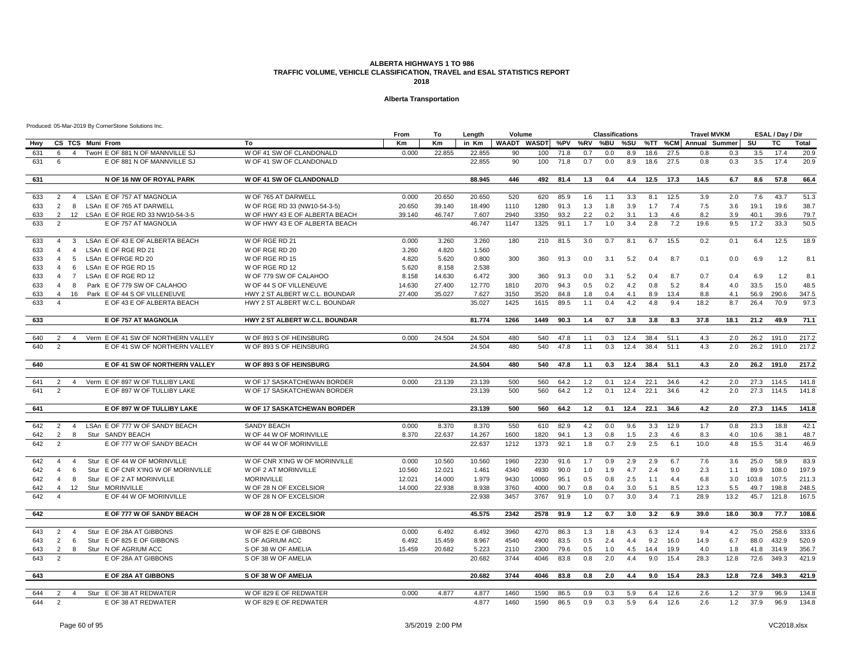#### **Alberta Transportation**

|            |                                                                                                                                                                      | From   | To     | Length           | Volume                  |            |              |            | <b>Classifications</b> |              |              |              | <b>Travel MVKM</b>    |            |              | ESAL / Day / Dir |                |
|------------|----------------------------------------------------------------------------------------------------------------------------------------------------------------------|--------|--------|------------------|-------------------------|------------|--------------|------------|------------------------|--------------|--------------|--------------|-----------------------|------------|--------------|------------------|----------------|
| Hwy        | To<br>CS TCS Muni From                                                                                                                                               | Кm     | Кm     | in Km            | WAADT WASDT %PV %RV %BU |            |              |            |                        | %SU          |              |              | %TT %CM Annual Summer |            | SU           | TC               | Total          |
| 631        | 6<br>TwoH E OF 881 N OF MANNVILLE SJ<br>W OF 41 SW OF CLANDONALD<br>$\overline{4}$                                                                                   | 0.000  | 22.855 | 22.855           | 90                      | 100        | 71.8         | 0.7        | 0.0                    | 8.9          | 18.6         | 27.5         | 0.8                   | 0.3        | 3.5          | 17.4             | 20.9           |
| 631        | 6<br>E OF 881 N OF MANNVILLE SJ<br>W OF 41 SW OF CLANDONALD                                                                                                          |        |        | 22.855           | 90                      | 100        | 71.8         | 0.7        | 0.0                    | 8.9          | 18.6         | 27.5         | 0.8                   | 0.3        | 3.5          | 17.4             | 20.9           |
| 631        | N OF 16 NW OF ROYAL PARK<br><b>W OF 41 SW OF CLANDONALD</b>                                                                                                          |        |        | 88.945           | 446                     | 492        | 81.4         | 1.3        | 0.4                    | 4.4          | 12.5         | 17.3         | 14.5                  | 6.7        | 8.6          | 57.8             | 66.4           |
|            |                                                                                                                                                                      |        |        |                  |                         |            |              |            |                        |              |              |              |                       |            |              |                  |                |
| 633        | LSAn E OF 757 AT MAGNOLIA<br>W OF 765 AT DARWELL<br>2<br>$\overline{4}$                                                                                              | 0.000  | 20.650 | 20.650           | 520                     | 620        | 85.9         | 1.6        | 1.1                    | 3.3          | 8.1          | 12.5         | 3.9                   | 2.0        | 7.6          | 43.7             | 51.3           |
| 633        | 2<br>LSAn E OF 765 AT DARWELL<br>W OF RGE RD 33 (NW10-54-3-5)<br>8                                                                                                   | 20.650 | 39.140 | 18.490           | 1110                    | 1280       | 91.3         | 1.3        | 1.8                    | 3.9          | 1.7          | 7.4          | 7.5                   | 3.6        | 19.1         | 19.6             | 38.7           |
| 633        | 2<br>12<br>LSAn E OF RGE RD 33 NW10-54-3-5<br>W OF HWY 43 E OF ALBERTA BEACH                                                                                         | 39.140 | 46.747 | 7.607            | 2940                    | 3350       | 93.2         | 2.2        | 0.2                    | 3.1          | 1.3          | 4.6          | 8.2                   | 3.9        | 40.1         | 39.6             | 79.7           |
| 633        | $\overline{2}$<br>E OF 757 AT MAGNOLIA<br>W OF HWY 43 E OF ALBERTA BEACH                                                                                             |        |        | 46.747           | 1147                    | 1325       | 91.1         | 1.7        | 1.0                    | 3.4          | 2.8          | 7.2          | 19.6                  | 9.5        | 17.2         | 33.3             | 50.5           |
| 633        | LSAn E OF 43 E OF ALBERTA BEACH<br>$\mathbf{3}$<br>W OF RGE RD 21<br>$\overline{4}$                                                                                  | 0.000  | 3.260  | 3.260            | 180                     | 210        | 81.5         | 3.0        | 0.7                    | 8.1          | 6.7          | 15.5         | 0.2                   | 0.1        | 6.4          | 12.5             | 18.9           |
| 633        | LSAn E OF RGE RD 21<br>$\overline{a}$<br>$\overline{4}$<br>W OF RGE RD 20                                                                                            | 3.260  | 4.820  | 1.560            |                         |            |              |            |                        |              |              |              |                       |            |              |                  |                |
| 633        | LSAn E OFRGE RD 20<br>5<br>W OF RGE RD 15<br>$\overline{4}$                                                                                                          | 4.820  | 5.620  | 0.800            | 300                     | 360        | 91.3         | 0.0        | 3.1                    | 5.2          | 0.4          | 8.7          | 0.1                   | 0.0        | 6.9          | 1.2              | 8.1            |
| 633        | LSAn E OF RGE RD 15<br>W OF RGE RD 12<br>$\overline{a}$<br>6                                                                                                         | 5.620  | 8.158  | 2.538            |                         |            |              |            |                        |              |              |              |                       |            |              |                  |                |
| 633        | LSAn E OF RGE RD 12<br>W OF 779 SW OF CALAHOO<br>$\overline{4}$<br>$\overline{7}$                                                                                    | 8.158  | 14.630 | 6.472            | 300                     | 360        | 91.3         | 0.0        | 3.1                    | 5.2          | 0.4          | 8.7          | 0.7                   | 0.4        | 6.9          | 1.2              | 8.1            |
| 633        | Park E OF 779 SW OF CALAHOO<br>W OF 44 S OF VILLENEUVE<br>$\overline{4}$<br>8<br>$\overline{4}$                                                                      | 14.630 | 27.400 | 12.770           | 1810                    | 2070       | 94.3         | 0.5        | 0.2                    | 4.2          | 0.8          | 5.2          | 8.4                   | 4.0        | 33.5         | 15.0             | 48.5           |
| 633        | Park E OF 44 S OF VILLENEUVE<br>HWY 2 ST ALBERT W.C.L. BOUNDAR<br>16<br>$\overline{\mathbf{A}}$                                                                      | 27.400 | 35.027 | 7.627            | 3150                    | 3520       | 84.8         | 1.8        | 0.4                    | 4.1          | 8.9          | 13.4         | 8.8                   | 4.1        | 56.9         | 290.6<br>70.9    | 347.5<br>97.3  |
| 633        | E OF 43 E OF ALBERTA BEACH<br>HWY 2 ST ALBERT W.C.L. BOUNDAR                                                                                                         |        |        | 35.027           | 1425                    | 1615       | 89.5         | 1.1        | 0.4                    | 4.2          | 4.8          | 9.4          | 18.2                  | 8.7        | 26.4         |                  |                |
| 633        | E OF 757 AT MAGNOLIA<br>HWY 2 ST ALBERT W.C.L. BOUNDAR                                                                                                               |        |        | 81.774           | 1266                    | 1449       | 90.3         | 1.4        | 0.7                    | 3.8          | 3.8          | 8.3          | 37.8                  | 18.1       | 21.2         | 49.9             | 71.1           |
| 640        | Verm E OF 41 SW OF NORTHERN VALLEY<br>W OF 893 S OF HEINSBURG<br>2<br>$\overline{4}$                                                                                 | 0.000  | 24.504 | 24.504           | 480                     | 540        | 47.8         | 1.1        | 0.3                    | 12.4         | 38.4         | 51.1         | 4.3                   | 2.0        | 26.2         | 191.0            | 217.2          |
| 640        | $\overline{2}$<br>E OF 41 SW OF NORTHERN VALLEY<br>W OF 893 S OF HEINSBURG                                                                                           |        |        | 24.504           | 480                     | 540        | 47.8         | 1.1        | 0.3                    | 12.4         | 38.4         | 51.1         | 4.3                   | 2.0        | 26.2         | 191.0            | 217.2          |
| 640        | E OF 41 SW OF NORTHERN VALLEY<br>W OF 893 S OF HEINSBURG                                                                                                             |        |        | 24.504           | 480                     | 540        | 47.8         | 1.1        | 0.3                    | 12.4         | 38.4         | 51.1         | 4.3                   | 2.0        | 26.2         | 191.0            | 217.2          |
|            |                                                                                                                                                                      |        |        |                  |                         |            |              |            |                        |              |              |              |                       |            |              |                  |                |
| 641<br>641 | 2<br>Verm E OF 897 W OF TULLIBY LAKE<br>W OF 17 SASKATCHEWAN BORDER<br>$\overline{4}$<br>$\overline{2}$<br>E OF 897 W OF TULLIBY LAKE<br>W OF 17 SASKATCHEWAN BORDER | 0.000  | 23.139 | 23.139<br>23.139 | 500<br>500              | 560<br>560 | 64.2<br>64.2 | 1.2<br>1.2 | 0.1<br>0.1             | 12.4<br>12.4 | 22.1<br>22.1 | 34.6<br>34.6 | 4.2<br>4.2            | 2.0<br>2.0 | 27.3<br>27.3 | 114.5<br>114.5   | 141.8<br>141.8 |
|            |                                                                                                                                                                      |        |        |                  |                         |            |              |            |                        |              |              |              |                       |            |              |                  |                |
| 641        | E OF 897 W OF TULLIBY LAKE<br><b>W OF 17 SASKATCHEWAN BORDER</b>                                                                                                     |        |        | 23.139           | 500                     | 560        | 64.2         | 1.2        | 0.1                    | 12.4         | 22.1         | 34.6         | 4.2                   | 2.0        | 27.3         | 114.5            | 141.8          |
| 642        | LSAn E OF 777 W OF SANDY BEACH<br>$\overline{2}$<br>SANDY BEACH<br>$\overline{4}$                                                                                    | 0.000  | 8.370  | 8.370            | 550                     | 610        | 82.9         | 4.2        | 0.0                    | 9.6          | 3.3          | 12.9         | 1.7                   | 0.8        | 23.3         | 18.8             | 42.1           |
| 642        | 2<br>Stur SANDY BEACH<br>W OF 44 W OF MORINVILLE<br>8                                                                                                                | 8.370  | 22.637 | 14.267           | 1600                    | 1820       | 94.1         | 1.3        | 0.8                    | 1.5          | 2.3          | 4.6          | 8.3                   | 4.0        | 10.6         | 38.1             | 48.7           |
| 642        | $\overline{2}$<br>E OF 777 W OF SANDY BEACH<br>W OF 44 W OF MORINVILLE                                                                                               |        |        | 22.637           | 1212                    | 1373       | 92.1         | 1.8        | 0.7                    | 2.9          | 2.5          | 6.1          | 10.0                  | 4.8        | 15.5         | 31.4             | 46.9           |
| 642        | Stur E OF 44 W OF MORINVILLE<br>W OF CNR X'ING W OF MORINVILLE<br>$\overline{4}$<br>$\overline{4}$                                                                   | 0.000  | 10.560 | 10.560           | 1960                    | 2230       | 91.6         | 1.7        | 0.9                    | 2.9          | 2.9          | 6.7          | 7.6                   | 3.6        | 25.0         | 58.9             | 83.9           |
| 642        | 6<br>Stur E OF CNR X'ING W OF MORINVILLE<br>W OF 2 AT MORINVILLE<br>$\overline{a}$                                                                                   | 10.560 | 12.021 | 1.461            | 4340                    | 4930       | 90.0         | 1.0        | 1.9                    | 4.7          | 2.4          | 9.0          | 2.3                   | 1.1        | 89.9         | 108.0            | 197.9          |
| 642        | 8<br>Stur E OF 2 AT MORINVILLE<br><b>MORINVILLE</b><br>$\overline{a}$                                                                                                | 12.021 | 14.000 | 1.979            | 9430                    | 10060      | 95.1         | 0.5        | 0.8                    | 2.5          | 1.1          | 4.4          | 6.8                   | 3.0        | 103.8        | 107.5            | 211.3          |
| 642        | Stur MORINVILLE<br>$\overline{4}$<br>12<br>W OF 28 N OF EXCELSIOR                                                                                                    | 14.000 | 22.938 | 8.938            | 3760                    | 4000       | 90.7         | 0.8        | 0.4                    | 3.0          | 5.1          | 8.5          | 12.3                  | 5.5        | 49.7         | 198.8            | 248.5          |
| 642        | E OF 44 W OF MORINVILLE<br>W OF 28 N OF EXCELSIOR<br>$\overline{a}$                                                                                                  |        |        | 22.938           | 3457                    | 3767       | 91.9         | 1.0        | 0.7                    | 3.0          | 3.4          | 7.1          | 28.9                  | 13.2       | 45.7         | 121.8            | 167.5          |
| 642        | E OF 777 W OF SANDY BEACH<br>W OF 28 N OF EXCELSIOR                                                                                                                  |        |        | 45.575           | 2342                    | 2578       | 91.9         | 1.2        | 0.7                    | 3.0          | 3.2          | 6.9          | 39.0                  | 18.0       | 30.9         | 77.7             | 108.6          |
|            |                                                                                                                                                                      |        |        |                  |                         |            |              |            |                        |              |              |              |                       |            |              |                  |                |
| 643        | Stur E OF 28A AT GIBBONS<br>W OF 825 E OF GIBBONS<br>2<br>$\overline{4}$                                                                                             | 0.000  | 6.492  | 6.492            | 3960                    | 4270       | 86.3         | 1.3        | 1.8                    | 4.3          | 6.3          | 12.4         | 9.4                   | 4.2        | 75.0         | 258.6            | 333.6          |
| 643        | 2<br>6<br>Stur E OF 825 E OF GIBBONS<br>S OF AGRIUM ACC                                                                                                              | 6.492  | 15.459 | 8.967            | 4540                    | 4900       | 83.5         | 0.5        | 2.4                    | 4.4          | 9.2          | 16.0         | 14.9                  | 6.7        | 88.0         | 432.9            | 520.9          |
| 643        | Stur N OF AGRIUM ACC<br>S OF 38 W OF AMELIA<br>2<br>8                                                                                                                | 15.459 | 20.682 | 5.223            | 2110                    | 2300       | 79.6         | 0.5        | 1.0                    | 4.5          | 14.4         | 19.9         | 4.0                   | 1.8        | 41.8         | 314.9            | 356.7          |
| 643        | 2<br>E OF 28A AT GIBBONS<br>S OF 38 W OF AMELIA                                                                                                                      |        |        | 20.682           | 3744                    | 4046       | 83.8         | 0.8        | 2.0                    | 4.4          | 9.0          | 15.4         | 28.3                  | 12.8       | 72.6         | 349.3            | 421.9          |
| 643        | E OF 28A AT GIBBONS<br>S OF 38 W OF AMELIA                                                                                                                           |        |        | 20.682           | 3744                    | 4046       | 83.8         | 0.8        | 2.0                    | 4.4          | 9.0          | 15.4         | 28.3                  | 12.8       | 72.6         | 349.3            | 421.9          |
| 644        | Stur E OF 38 AT REDWATER<br>W OF 829 E OF REDWATER<br>2<br>$\overline{4}$                                                                                            | 0.000  | 4.877  | 4.877            | 1460                    | 1590       | 86.5         | 0.9        | 0.3                    | 5.9          | 6.4          | 12.6         | 2.6                   | 1.2        | 37.9         | 96.9             | 134.8          |
| 644        | $\overline{2}$<br>E OF 38 AT REDWATER<br>W OF 829 E OF REDWATER                                                                                                      |        |        | 4.877            | 1460                    | 1590       | 86.5         | 0.9        | 0.3                    | 5.9          | 6.4          | 12.6         | 2.6                   | 1.2        | 37.9         | 96.9             | 134.8          |
|            |                                                                                                                                                                      |        |        |                  |                         |            |              |            |                        |              |              |              |                       |            |              |                  |                |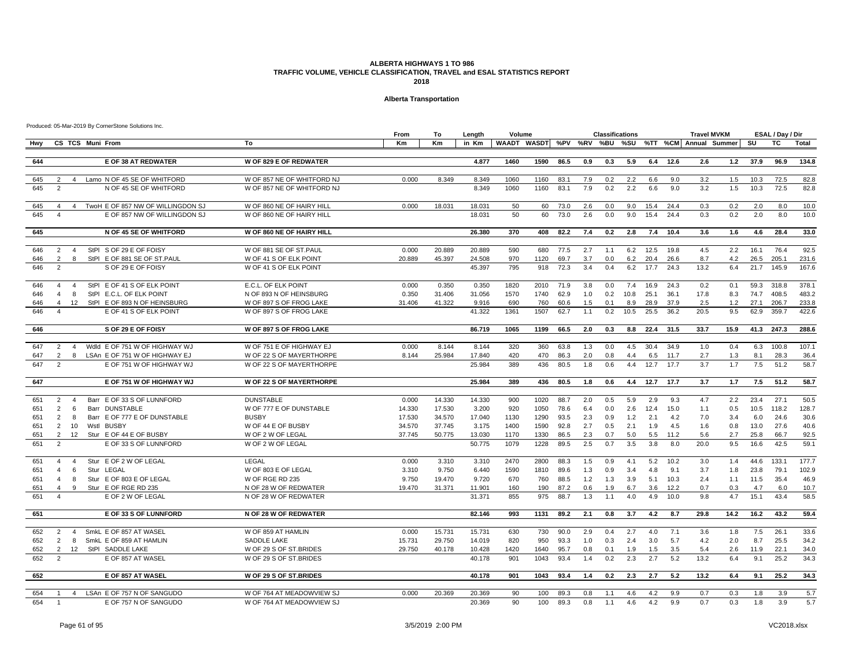#### **Alberta Transportation**

|            |                                                                                               |                                                    | From   | То        | Length           | Volume      |             |              |            | <b>Classifications</b> |             |              |              | <b>Travel MVKM</b>                                |               |              | ESAL / Day / Dir |                |
|------------|-----------------------------------------------------------------------------------------------|----------------------------------------------------|--------|-----------|------------------|-------------|-------------|--------------|------------|------------------------|-------------|--------------|--------------|---------------------------------------------------|---------------|--------------|------------------|----------------|
| Hwy        | CS TCS Muni From                                                                              | To                                                 | Кm     | <b>Km</b> | in Km            |             |             |              |            |                        |             |              |              | WAADT WASDT %PV %RV %BU %SU %TT %CM Annual Summer |               | SU           | TC               | <b>Total</b>   |
| 644        | E OF 38 AT REDWATER                                                                           | <b>W OF 829 E OF REDWATER</b>                      |        |           | 4.877            | 1460        | 1590        | 86.5         | 0.9        | 0.3                    | 5.9         | 6.4          | 12.6         | 2.6                                               | 1.2           | 37.9         | 96.9             | 134.8          |
| 645        | Lamo N OF 45 SE OF WHITFORD<br>$\overline{4}$                                                 | W OF 857 NE OF WHITFORD NJ                         | 0.000  | 8.349     | 8.349            | 1060        | 1160        | 83.1         | 7.9        | 0.2                    | 2.2         | 6.6          | 9.0          | 3.2                                               | 1.5           | 10.3         | 72.5             | 82.8           |
| 645        | 2<br>N OF 45 SE OF WHITFORD<br>2                                                              | W OF 857 NE OF WHITFORD NJ                         |        |           | 8.349            | 1060        | 1160        | 83.1         | 7.9        | 0.2                    | 2.2         | 6.6          | 9.0          | 3.2                                               | 1.5           | 10.3         | 72.5             | 82.8           |
|            |                                                                                               |                                                    |        |           |                  |             |             |              |            |                        |             |              |              |                                                   |               |              |                  |                |
| 645        | TwoH E OF 857 NW OF WILLINGDON SJ<br>$\overline{4}$<br>$\overline{4}$                         | W OF 860 NE OF HAIRY HILL                          | 0.000  | 18.031    | 18.031           | 50          | 60          | 73.0         | 2.6        | 0.0                    | 9.0         | 15.4         | 24.4         | 0.3                                               | 0.2           | 2.0          | 8.0              | 10.0           |
| 645        | E OF 857 NW OF WILLINGDON SJ<br>$\overline{4}$                                                | W OF 860 NE OF HAIRY HILL                          |        |           | 18.031           | 50          | 60          | 73.0         | 2.6        | 0.0                    | 9.0         | 15.4         | 24.4         | 0.3                                               | 0.2           | 2.0          | 8.0              | 10.0           |
| 645        | N OF 45 SE OF WHITFORD                                                                        | W OF 860 NE OF HAIRY HILL                          |        |           | 26.380           | 370         | 408         | 82.2         | 7.4        | 0.2                    | 2.8         | 7.4          | 10.4         | 3.6                                               | 1.6           | 4.6          | 28.4             | 33.0           |
| 646        | 2<br>StPI S OF 29 E OF FOISY                                                                  | W OF 881 SE OF ST.PAUL                             | 0.000  | 20.889    |                  | 590         | 680         | 77.5         | 2.7        | 1.1                    | 6.2         | 12.5         | 19.8         | 4.5                                               | $2.2^{\circ}$ |              | 76.4             | 92.5           |
| 646        | $\overline{4}$<br>StPI E OF 881 SE OF ST.PAUL<br>2<br>8                                       | W OF 41 S OF ELK POINT                             | 20.889 | 45.397    | 20.889<br>24.508 | 970         | 1120        | 69.7         | 3.7        | 0.0                    | 6.2         | 20.4         | 26.6         | 8.7                                               | 4.2           | 16.1<br>26.5 | 205.1            | 231.6          |
| 646        | $\overline{2}$<br>S OF 29 E OF FOISY                                                          | W OF 41 S OF ELK POINT                             |        |           | 45.397           | 795         | 918         | 72.3         | 3.4        | 0.4                    | 6.2         | 17.7         | 24.3         | 13.2                                              | 6.4           | 21.7         | 145.9            | 167.6          |
|            |                                                                                               |                                                    |        |           |                  |             |             |              |            |                        |             |              |              |                                                   |               |              |                  |                |
| 646        | StPI E OF 41 S OF ELK POINT<br>$\overline{4}$<br>$\overline{4}$                               | E.C.L. OF ELK POINT                                | 0.000  | 0.350     | 0.350            | 1820        | 2010        | 71.9         | 3.8        | 0.0                    | 7.4         | 16.9         | 24.3         | 0.2                                               | 0.1           | 59.3         | 318.8            | 378.1          |
| 646        | StPI E.C.L. OF ELK POINT<br>$\overline{4}$<br>8                                               | N OF 893 N OF HEINSBURG                            | 0.350  | 31.406    | 31.056           | 1570        | 1740        | 62.9         | 1.0        | 0.2                    | 10.8        | 25.1         | 36.1         | 17.8                                              | 8.3           | 74.7<br>27.1 | 408.5            | 483.2          |
| 646<br>646 | $\overline{4}$<br>12 StPI E OF 893 N OF HEINSBURG<br>E OF 41 S OF ELK POINT<br>$\overline{a}$ | W OF 897 S OF FROG LAKE<br>W OF 897 S OF FROG LAKE | 31.406 | 41.322    | 9.916<br>41.322  | 690<br>1361 | 760<br>1507 | 60.6<br>62.7 | 1.5<br>1.1 | 0.1<br>0.2             | 8.9<br>10.5 | 28.9<br>25.5 | 37.9<br>36.2 | 2.5<br>20.5                                       | 1.2<br>9.5    | 62.9         | 206.7<br>359.7   | 233.8<br>422.6 |
|            |                                                                                               |                                                    |        |           |                  |             |             |              |            |                        |             |              |              |                                                   |               |              |                  |                |
| 646        | S OF 29 E OF FOISY                                                                            | W OF 897 S OF FROG LAKE                            |        |           | 86.719           | 1065        | 1199        | 66.5         | 2.0        | 0.3                    | 8.8         | 22.4         | 31.5         | 33.7                                              | 15.9          | 41.3         | 247.3            | 288.6          |
| 647        | 2<br>Wdld E OF 751 W OF HIGHWAY WJ<br>$\overline{4}$                                          | W OF 751 E OF HIGHWAY EJ                           | 0.000  | 8.144     | 8.144            | 320         | 360         | 63.8         | 1.3        | 0.0                    | 4.5         | 30.4         | 34.9         | 1.0                                               | 0.4           | 6.3          | 100.8            | 107.1          |
| 647        | $\overline{2}$<br>LSAn E OF 751 W OF HIGHWAY EJ<br>8                                          | W OF 22 S OF MAYERTHORPE                           | 8.144  | 25.984    | 17.840           | 420         | 470         | 86.3         | 2.0        | 0.8                    | 4.4         | 6.5          | 11.7         | 2.7                                               | 1.3           | 8.1          | 28.3             | 36.4           |
| 647        | $\overline{2}$<br>E OF 751 W OF HIGHWAY WJ                                                    | W OF 22 S OF MAYERTHORPE                           |        |           | 25.984           | 389         | 436         | 80.5         | 1.8        | 0.6                    | 4.4         | 12.7         | 17.7         | 3.7                                               | 1.7           | 7.5          | 51.2             | 58.7           |
| 647        | E OF 751 W OF HIGHWAY WJ                                                                      | <b>W OF 22 S OF MAYERTHORPE</b>                    |        |           | 25.984           | 389         | 436         | 80.5         | 1.8        | 0.6                    | 4.4         | 12.7         | 17.7         | 3.7                                               | 1.7           | 7.5          | 51.2             | 58.7           |
| 651        | Barr E OF 33 S OF LUNNFORD<br>2<br>4                                                          | <b>DUNSTABLE</b>                                   | 0.000  | 14.330    | 14.330           | 900         | 1020        | 88.7         | 2.0        | 0.5                    | 5.9         | 2.9          | 9.3          | 4.7                                               | 2.2           | 23.4         | 27.1             | 50.5           |
| 651        | 2<br>Barr DUNSTABLE<br>6                                                                      | W OF 777 E OF DUNSTABLE                            | 14.330 | 17.530    | 3.200            | 920         | 1050        | 78.6         | 6.4        | 0.0                    | 2.6         | 12.4         | 15.0         | 1.1                                               | 0.5           | 10.5         | 118.2            | 128.7          |
| 651        | Barr E OF 777 E OF DUNSTABLE<br>2<br>8                                                        | <b>BUSBY</b>                                       | 17.530 | 34.570    | 17.040           | 1130        | 1290        | 93.5         | 2.3        | 0.9                    | 1.2         | 2.1          | 4.2          | 7.0                                               | 3.4           | 6.0          | 24.6             | 30.6           |
| 651        | Wstl BUSBY<br>2<br>10                                                                         | W OF 44 E OF BUSBY                                 | 34.570 | 37.745    | 3.175            | 1400        | 1590        | 92.8         | 2.7        | 0.5                    | 2.1         | 1.9          | 4.5          | 1.6                                               | 0.8           | 13.0         | 27.6             | 40.6           |
| 651        | Stur E OF 44 E OF BUSBY<br>2<br>12                                                            | W OF 2 W OF LEGAL                                  | 37.745 | 50.775    | 13.030           | 1170        | 1330        | 86.5         | 2.3        | 0.7                    | 5.0         | 5.5          | 11.2         | 5.6                                               | 2.7           | 25.8         | 66.7             | 92.5           |
| 651        | $\overline{2}$<br>E OF 33 S OF LUNNFORD                                                       | W OF 2 W OF LEGAL                                  |        |           | 50.775           | 1079        | 1228        | 89.5         | 2.5        | 0.7                    | 3.5         | 3.8          | 8.0          | 20.0                                              | 9.5           | 16.6         | 42.5             | 59.1           |
| 651        | Stur E OF 2 W OF LEGAL<br>$\overline{4}$<br>$\overline{4}$                                    | LEGAL                                              | 0.000  | 3.310     | 3.310            | 2470        | 2800        | 88.3         | 1.5        | 0.9                    | 4.1         | 5.2          | 10.2         | 3.0                                               | 1.4           | 44.6         | 133.1            | 177.7          |
| 651        | Stur LEGAL<br>$\overline{4}$<br>6                                                             | W OF 803 E OF LEGAL                                | 3.310  | 9.750     | 6.440            | 1590        | 1810        | 89.6         | 1.3        | 0.9                    | 3.4         | 4.8          | 9.1          | 3.7                                               | 1.8           | 23.8         | 79.1             | 102.9          |
| 651        | Stur E OF 803 E OF LEGAL<br>$\overline{4}$<br>8                                               | W OF RGE RD 235                                    | 9.750  | 19.470    | 9.720            | 670         | 760         | 88.5         | 1.2        | 1.3                    | 3.9         | 5.1          | 10.3         | 2.4                                               | 1.1           | 11.5         | 35.4             | 46.9           |
| 651        | Stur E OF RGE RD 235<br>$\overline{4}$<br>9                                                   | N OF 28 W OF REDWATER                              | 19.470 | 31.371    | 11.901           | 160         | 190         | 87.2         | 0.6        | 1.9                    | 6.7         | 3.6          | 12.2         | 0.7                                               | 0.3           | 4.7          | 6.0              | 10.7           |
| 651        | E OF 2 W OF LEGAL<br>$\overline{4}$                                                           | N OF 28 W OF REDWATER                              |        |           | 31.371           | 855         | 975         | 88.7         | 1.3        | 1.1                    | 4.0         | 4.9          | 10.0         | 9.8                                               | 4.7           | 15.1         | 43.4             | 58.5           |
| 651        | E OF 33 S OF LUNNFORD                                                                         | N OF 28 W OF REDWATER                              |        |           | 82.146           | 993         | 1131        | 89.2         | 2.1        | 0.8                    | 3.7         | 4.2          | 8.7          | 29.8                                              | 14.2          | 16.2         | 43.2             | 59.4           |
| 652        | SmkL E OF 857 AT WASEL<br>2<br>$\overline{4}$                                                 | W OF 859 AT HAMLIN                                 | 0.000  | 15.731    | 15.731           | 630         | 730         | 90.0         | 2.9        | 0.4                    | 2.7         | 4.0          | 7.1          | 3.6                                               | 1.8           | 7.5          | 26.1             | 33.6           |
| 652        | SmkL E OF 859 AT HAMLIN<br>2<br>8                                                             | SADDLE LAKE                                        | 15.731 | 29.750    | 14.019           | 820         | 950         | 93.3         | 1.0        | 0.3                    | 2.4         | 3.0          | 5.7          | 4.2                                               | 2.0           | 8.7          | 25.5             | 34.2           |
| 652        | 2<br>12<br>StPI SADDLE LAKE                                                                   | W OF 29 S OF ST.BRIDES                             | 29.750 | 40.178    | 10.428           | 1420        | 1640        | 95.7         | 0.8        | 0.1                    | 1.9         | 1.5          | 3.5          | 5.4                                               | 2.6           | 11.9         | 22.1             | 34.0           |
| 652        | E OF 857 AT WASEL<br>2                                                                        | W OF 29 S OF ST.BRIDES                             |        |           | 40.178           | 901         | 1043        | 93.4         | 1.4        | 0.2                    | 2.3         | 2.7          | 5.2          | 13.2                                              | 6.4           | 9.1          | 25.2             | 34.3           |
| 652        | E OF 857 AT WASEL                                                                             | W OF 29 S OF ST.BRIDES                             |        |           | 40.178           | 901         | 1043        | 93.4         | 1.4        | 0.2                    | 2.3         | 2.7          | 5.2          | 13.2                                              | 6.4           | 9.1          | 25.2             | 34.3           |
|            |                                                                                               |                                                    |        |           |                  |             |             |              |            |                        |             |              |              |                                                   |               |              |                  |                |
| 654        | LSAn E OF 757 N OF SANGUDO<br>$\overline{4}$                                                  | W OF 764 AT MEADOWVIEW SJ                          | 0.000  | 20.369    | 20.369           | 90          | 100         | 89.3         | 0.8        | 1.1                    | 4.6         | 4.2          | 9.9          | 0.7                                               | 0.3           | 1.8          | 3.9              | 5.7            |
| 654        | E OF 757 N OF SANGUDO<br>$\overline{1}$                                                       | W OF 764 AT MEADOWVIEW SJ                          |        |           | 20.369           | 90          | 100         | 89.3         | 0.8        | 1.1                    | 4.6         | 4.2          | 9.9          | 0.7                                               | 0.3           | 1.8          | 3.9              | 5.7            |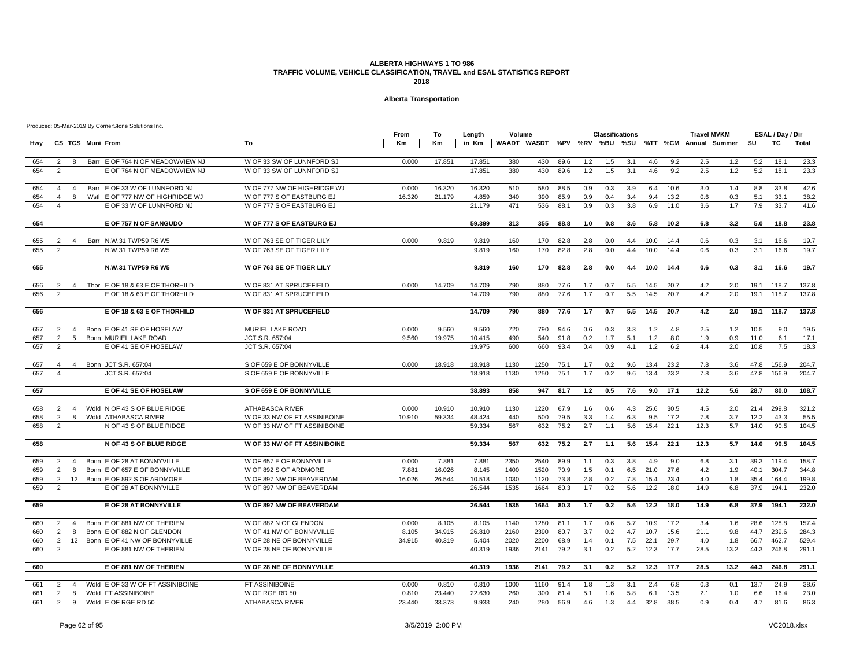#### **Alberta Transportation**

|            |                        |                     |                  |                                                           |                                                   | From           | To              | Length          | Volume       |              |              |            | <b>Classifications</b> |            |              |      | <b>Travel MVKM</b> |                                                   |              | ESAL / Day / Dir |                |
|------------|------------------------|---------------------|------------------|-----------------------------------------------------------|---------------------------------------------------|----------------|-----------------|-----------------|--------------|--------------|--------------|------------|------------------------|------------|--------------|------|--------------------|---------------------------------------------------|--------------|------------------|----------------|
| Hwv        |                        |                     | CS TCS Muni From |                                                           | To                                                | <b>Km</b>      | Кm              | in Km           |              |              |              |            |                        |            |              |      |                    | WAADT WASDT %PV %RV %BU %SU %TT %CM Annual Summer | SU           | TC               | <b>Total</b>   |
| 654        | 2                      | - 8                 |                  | Barr E OF 764 N OF MEADOWVIEW NJ                          | W OF 33 SW OF LUNNFORD SJ                         | 0.000          | 17.851          | 17.851          | 380          | 430          | 89.6         | 1.2        | 1.5                    | 3.1        | 4.6          | 9.2  | 2.5                | 1.2                                               | 5.2          | 18.1             | 23.3           |
| 654        | $\overline{2}$         |                     |                  | E OF 764 N OF MEADOWVIEW NJ                               | W OF 33 SW OF LUNNFORD SJ                         |                |                 | 17.851          | 380          | 430          | 89.6         | 1.2        | 1.5                    | 3.1        | 4.6          | 9.2  | 2.5                | 1.2                                               | 5.2          | 18.1             | 23.3           |
|            |                        |                     |                  |                                                           |                                                   |                |                 |                 |              |              |              |            |                        |            |              |      |                    |                                                   |              |                  |                |
| 654        | $\overline{4}$         | $\overline{4}$      |                  | Barr E OF 33 W OF LUNNFORD NJ                             | W OF 777 NW OF HIGHRIDGE WJ                       | 0.000          | 16.320          | 16.320          | 510          | 580          | 88.5         | 0.9        | 0.3                    | 3.9        | 6.4          | 10.6 | 3.0                | 1.4                                               | 8.8          | 33.8             | 42.6           |
| 654        | $\overline{4}$         | 8                   |                  | Wstl E OF 777 NW OF HIGHRIDGE WJ                          | W OF 777 S OF EASTBURG EJ                         | 16.320         | 21.179          | 4.859           | 340          | 390          | 85.9         | 0.9        | 0.4                    | 3.4        | 9.4          | 13.2 | 0.6                | 0.3                                               | 5.1          | 33.1             | 38.2           |
| 654        |                        |                     |                  | E OF 33 W OF LUNNFORD NJ                                  | W OF 777 S OF EASTBURG EJ                         |                |                 | 21.179          | 471          | 536          | 88.1         | 0.9        | 0.3                    | 3.8        | 6.9          | 11.0 | 3.6                | 1.7                                               | 7.9          | 33.7             | 41.6           |
| 654        |                        |                     |                  | E OF 757 N OF SANGUDO                                     | W OF 777 S OF EASTBURG EJ                         |                |                 | 59.399          | 313          | 355          | 88.8         | 1.0        | 0.8                    | 3.6        | 5.8          | 10.2 | 6.8                | 3.2                                               | 5.0          | 18.8             | 23.8           |
| 655        | $\overline{2}$         | $\overline{4}$      |                  | Barr N.W.31 TWP59 R6 W5                                   | W OF 763 SE OF TIGER LILY                         | 0.000          | 9.819           | 9.819           | 160          | 170          | 82.8         | 2.8        | 0.0                    | 4.4        | 10.0         | 14.4 | 0.6                | 0.3                                               | 3.1          | 16.6             | 19.7           |
| 655        | $\overline{2}$         |                     |                  | N.W.31 TWP59 R6 W5                                        | W OF 763 SE OF TIGER LILY                         |                |                 | 9.819           | 160          | 170          | 82.8         | 2.8        | 0.0                    | 4.4        | 10.0         | 14.4 | 0.6                | 0.3                                               | 3.1          | 16.6             | 19.7           |
| 655        |                        |                     |                  | N.W.31 TWP59 R6 W5                                        | W OF 763 SE OF TIGER LILY                         |                |                 | 9.819           | 160          | 170          | 82.8         | 2.8        | 0.0                    | 4.4        | 10.0         | 14.4 | 0.6                | 0.3                                               | 3.1          | 16.6             | 19.7           |
| 656        | $\overline{2}$         | 4                   |                  | Thor E OF 18 & 63 E OF THORHILD                           | W OF 831 AT SPRUCEFIELD                           | 0.000          | 14.709          | 14.709          | 790          | 880          | 77.6         | 1.7        | 0.7                    | 5.5        | 14.5         | 20.7 | 4.2                | 2.0                                               | 19.1         | 118.7            | 137.8          |
| 656        | $\overline{2}$         |                     |                  | E OF 18 & 63 E OF THORHILD                                | W OF 831 AT SPRUCEFIELD                           |                |                 | 14.709          | 790          | 880          | 77.6         | 1.7        | 0.7                    | 5.5        | 14.5         | 20.7 | 4.2                | 2.0                                               | 19.1         | 118.7            | 137.8          |
| 656        |                        |                     |                  | E OF 18 & 63 E OF THORHILD                                | <b>W OF 831 AT SPRUCEFIELD</b>                    |                |                 | 14.709          | 790          | 880          | 77.6         | 1.7        | 0.7                    | 5.5        | 14.5         | 20.7 | 4.2                | 2.0                                               | 19.1         | 118.7            | 137.8          |
| 657        | 2                      | $\overline{4}$      |                  | Bonn E OF 41 SE OF HOSELAW                                | MURIEL LAKE ROAD                                  | 0.000          | 9.560           | 9.560           | 720          | 790          | 94.6         | 0.6        | 0.3                    | 3.3        | 1.2          | 4.8  | 2.5                | 1.2                                               | 10.5         | 9.0              | 19.5           |
| 657        | $\overline{2}$         | 5                   |                  | Bonn MURIEL LAKE ROAD                                     | JCT S.R. 657:04                                   | 9.560          | 19.975          | 10.415          | 490          | 540          | 91.8         | 0.2        | 1.7                    | 5.1        | 1.2          | 8.0  | 1.9                | 0.9                                               | 11.0         | 6.1              | 17.1           |
| 657        | 2                      |                     |                  | E OF 41 SE OF HOSELAW                                     | JCT S.R. 657:04                                   |                |                 | 19.975          | 600          | 660          | 93.4         | 0.4        | 0.9                    | 4.1        | 1.2          | 6.2  | 4.4                | 2.0                                               | 10.8         | 7.5              | 18.3           |
| 657        | $\overline{4}$         | 4                   |                  | Bonn JCT S.R. 657:04                                      | S OF 659 E OF BONNYVILLE                          | 0.000          | 18.918          | 18.918          | 1130         | 1250         | 75.1         | 1.7        | 0.2                    | 9.6        | 13.4         | 23.2 | 7.8                | 3.6                                               | 47.8         | 156.9            | 204.7          |
| 657        | $\boldsymbol{\Lambda}$ |                     |                  | JCT S.R. 657:04                                           | S OF 659 E OF BONNYVILLE                          |                |                 | 18.918          | 1130         | 1250         | 75.1         | 1.7        | 0.2                    | 9.6        | 13.4         | 23.2 | 7.8                | 3.6                                               | 47.8         | 156.9            | 204.7          |
| 657        |                        |                     |                  | E OF 41 SE OF HOSELAW                                     | S OF 659 E OF BONNYVILLE                          |                |                 | 38.893          | 858          | 947          | 81.7         | 1.2        | 0.5                    | 7.6        | 9.0          | 17.1 | 12.2               | 5.6                                               | 28.7         | 80.0             | 108.7          |
| 658        | $\overline{2}$         | $\overline{4}$      |                  | Wdld N OF 43 S OF BLUE RIDGE                              | <b>ATHABASCA RIVER</b>                            | 0.000          | 10.910          | 10.910          | 1130         | 1220         | 67.9         | 1.6        | 0.6                    | 4.3        | 25.6         | 30.5 | 4.5                | 2.0                                               | 21.4         | 299.8            | 321.2          |
| 658        | 2                      | 8                   |                  | Wdld ATHABASCA RIVER                                      | W OF 33 NW OF FT ASSINIBOINE                      | 10.910         | 59.334          | 48.424          | 440          | 500          | 79.5         | 3.3        | 1.4                    | 6.3        | 9.5          | 17.2 | 7.8                | 3.7                                               | 12.2         | 43.3             | 55.5           |
| 658        | 2                      |                     |                  | N OF 43 S OF BLUE RIDGE                                   | W OF 33 NW OF FT ASSINIBOINE                      |                |                 | 59.334          | 567          | 632          | 75.2         | 2.7        | 1.1                    | 5.6        | 15.4         | 22.1 | 12.3               | 5.7                                               | 14.0         | 90.5             | 104.5          |
| 658        |                        |                     |                  | N OF 43 S OF BLUE RIDGE                                   | W OF 33 NW OF FT ASSINIBOINE                      |                |                 | 59.334          | 567          |              | 632 75.2     | 2.7        | 1.1                    | 5.6        | 15.4         | 22.1 | 12.3               | 5.7                                               | 14.0         | 90.5             | 104.5          |
| 659        | 2                      | $\overline{4}$      |                  | Bonn E OF 28 AT BONNYVILLE                                | W OF 657 E OF BONNYVILLE                          | 0.000          | 7.881           | 7.881           | 2350         | 2540         | 89.9         | 1.1        | 0.3                    | 3.8        | 4.9          | 9.0  | 6.8                | 3.1                                               | 39.3         | 119.4            | 158.7          |
| 659        | 2                      | 8                   |                  | Bonn E OF 657 E OF BONNYVILLE                             | W OF 892 S OF ARDMORE                             | 7.881          | 16.026          | 8.145           | 1400         | 1520         | 70.9         | 1.5        | 0.1                    | 6.5        | 21.0         | 27.6 | 4.2                | 1.9                                               | 40.1         | 304.7            | 344.8          |
| 659        | 2                      |                     |                  | 12 Bonn E OF 892 S OF ARDMORE                             | W OF 897 NW OF BEAVERDAM                          | 16.026         | 26.544          | 10.518          | 1030         | 1120         | 73.8         | 2.8        | 0.2                    | 7.8        | 15.4         | 23.4 | 4.0                | 1.8                                               | 35.4         | 164.4            | 199.8          |
| 659        | $\overline{2}$         |                     |                  | E OF 28 AT BONNYVILLE                                     | W OF 897 NW OF BEAVERDAM                          |                |                 | 26.544          | 1535         | 1664         | 80.3         | 1.7        | 0.2                    | 5.6        | 12.2         | 18.0 | 14.9               | 6.8                                               | 37.9         | 194.1            | 232.0          |
| 659        |                        |                     |                  | E OF 28 AT BONNYVILLE                                     | <b>W OF 897 NW OF BEAVERDAM</b>                   |                |                 | 26.544          | 1535         | 1664         | 80.3         | 1.7        | 0.2                    | 5.6        | 12.2         | 18.0 | 14.9               | 6.8                                               | 37.9         | 194.1            | 232.0          |
|            |                        |                     |                  |                                                           |                                                   |                |                 |                 |              |              |              |            | 0.6                    |            |              | 17.2 |                    |                                                   |              |                  |                |
| 660<br>660 | 2<br>$\overline{2}$    | $\overline{4}$<br>8 |                  | Bonn E OF 881 NW OF THERIEN<br>Bonn E OF 882 N OF GLENDON | W OF 882 N OF GLENDON<br>W OF 41 NW OF BONNYVILLE | 0.000<br>8.105 | 8.105<br>34.915 | 8.105<br>26.810 | 1140<br>2160 | 1280<br>2390 | 81.1<br>80.7 | 1.7<br>3.7 | 0.2                    | 5.7<br>4.7 | 10.9<br>10.7 | 15.6 | 3.4<br>21.1        | 1.6<br>9.8                                        | 28.6<br>44.7 | 128.8<br>239.6   | 157.4<br>284.3 |
| 660        | 2                      | 12                  |                  | Bonn E OF 41 NW OF BONNYVILLE                             | W OF 28 NE OF BONNYVILLE                          | 34.915         | 40.319          | 5.404           | 2020         | 2200         | 68.9         | 1.4        | 0.1                    | 7.5        | 22.1         | 29.7 | 4.0                | 1.8                                               | 66.7         | 462.7            | 529.4          |
| 660        | 2                      |                     |                  | E OF 881 NW OF THERIEN                                    | W OF 28 NE OF BONNYVILLE                          |                |                 | 40.319          | 1936         | 2141         | 79.2         | 3.1        | 0.2                    | 5.2        | 12.3         | 17.7 | 28.5               | 13.2                                              | 44.3         | 246.8            | 291.1          |
|            |                        |                     |                  |                                                           |                                                   |                |                 |                 |              |              |              |            |                        |            |              |      |                    |                                                   |              |                  |                |
| 660        |                        |                     |                  | E OF 881 NW OF THERIEN                                    | W OF 28 NE OF BONNYVILLE                          |                |                 | 40.319          | 1936         | 2141         | 79.2         | 3.1        | 0.2                    | 5.2        | 12.3         | 17.7 | 28.5               | 13.2                                              | 44.3         | 246.8            | 291.1          |
| 661        | 2                      | $\overline{4}$      |                  | Wdld E OF 33 W OF FT ASSINIBOINE                          | <b>FT ASSINIBOINE</b>                             | 0.000          | 0.810           | 0.810           | 1000         | 1160         | 91.4         | 1.8        | 1.3                    | 3.1        | 2.4          | 6.8  | 0.3                | 0.1                                               | 13.7         | 24.9             | 38.6           |
| 661        | $\overline{2}$         | 8                   |                  | Wdld FT ASSINIBOINE                                       | W OF RGE RD 50                                    | 0.810          | 23.440          | 22.630          | 260          | 300          | 81.4         | 5.1        | 1.6                    | 5.8        | 6.1          | 13.5 | 2.1                | 1.0                                               | 6.6          | 16.4             | 23.0           |
| 661        | 2                      | 9                   |                  | Wdld E OF RGE RD 50                                       | <b>ATHABASCA RIVER</b>                            | 23.440         | 33.373          | 9.933           | 240          | 280          | 56.9         | 4.6        | 1.3                    | 4.4        | 32.8         | 38.5 | 0.9                | 0.4                                               | 4.7          | 81.6             | 86.3           |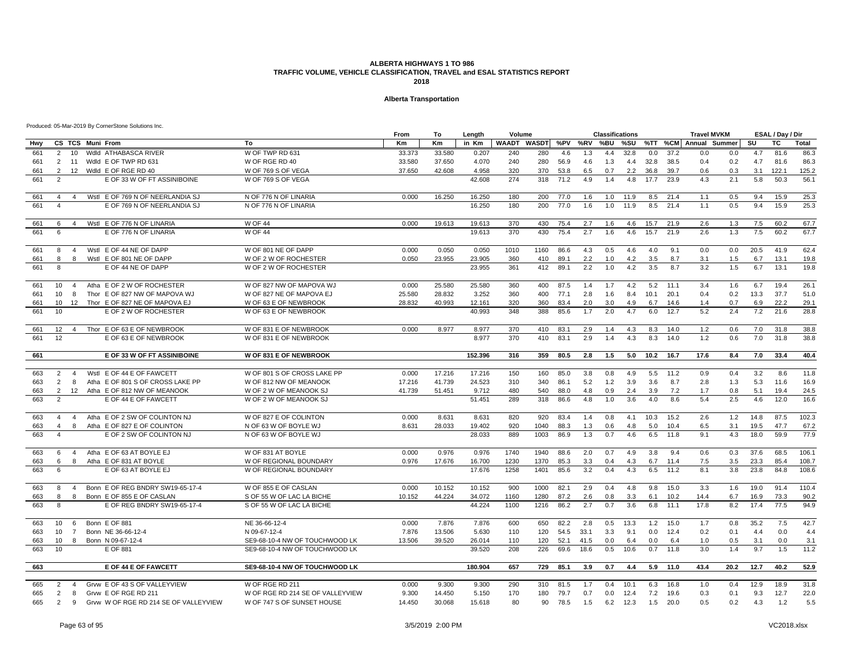#### **Alberta Transportation**

|            |                        |                        |                                       |                                                                  | From   | To     | Length           | Volume             |            |              |              | <b>Classifications</b> |             |            |             | <b>Travel MVKM</b>    |            |            | ESAL / Day / Dir |             |
|------------|------------------------|------------------------|---------------------------------------|------------------------------------------------------------------|--------|--------|------------------|--------------------|------------|--------------|--------------|------------------------|-------------|------------|-------------|-----------------------|------------|------------|------------------|-------------|
| Hwy        |                        | CS TCS Muni From       |                                       | To                                                               | Кm     | Km     | in Km            | <b>WAADT WASDT</b> |            | %PV          | %RV          | %BU                    | %SU         |            |             | %TT %CM Annual Summer |            | SU         | ТC               | Total       |
| 661        | 2                      | 10                     | Wdld ATHABASCA RIVER                  | W OF TWP RD 631                                                  | 33.373 | 33.580 | 0.207            | 240                | 280        | 4.6          | 1.3          | 4.4                    | 32.8        | 0.0        | 37.2        | 0.0                   | 0.0        | 4.7        | 81.6             | 86.3        |
| 661        | 2                      |                        | 11 Wdld E OF TWP RD 631               | W OF RGE RD 40                                                   | 33.580 | 37.650 | 4.070            | 240                | 280        | 56.9         | 4.6          | 1.3                    | 4.4         | 32.8       | 38.5        | 0.4                   | 0.2        | 4.7        | 81.6             | 86.3        |
| 661        | 2                      | 12                     | Wdld E OF RGE RD 40                   | W OF 769 S OF VEGA                                               | 37.650 | 42.608 | 4.958            | 320                | 370        | 53.8         | 6.5          | 0.7                    | 2.2         | 36.8       | 39.7        | 0.6                   | 0.3        | 3.1        | 122.1            | 125.2       |
| 661        | $\overline{2}$         |                        | E OF 33 W OF FT ASSINIBOINE           | W OF 769 S OF VEGA                                               |        |        | 42.608           | 274                | 318        | 71.2         | 4.9          | 1.4                    | 4.8         | 17.7       | 23.9        | 4.3                   | 2.1        | 5.8        | 50.3             | 56.1        |
| 661        | $\overline{4}$         | Wstl<br>$\overline{4}$ | E OF 769 N OF NEERLANDIA SJ           | N OF 776 N OF LINARIA                                            | 0.000  | 16.250 | 16.250           | 180                | 200        | 77.0         | 1.6          | 1.0                    | 11.9        | 8.5        | 21.4        | 1.1                   | 0.5        | 9.4        | 15.9             | 25.3        |
| 661        | $\overline{A}$         |                        | E OF 769 N OF NEERLANDIA SJ           | N OF 776 N OF LINARIA                                            |        |        | 16.250           | 180                | 200        | 77.0         | 1.6          | 1.0                    | 11.9        | 8.5        | 21.4        | 1.1                   | 0.5        | 9.4        | 15.9             | 25.3        |
| 661        | 6                      | Wstl<br>$\overline{4}$ | E OF 776 N OF LINARIA                 | <b>W OF 44</b>                                                   | 0.000  | 19.613 | 19.613           | 370                | 430        | 75.4         | 2.7          | 1.6                    | 4.6         | 15.7       | 21.9        | 2.6                   | 1.3        | 7.5        | 60.2             | 67.7        |
| 661        | 6                      |                        | E OF 776 N OF LINARIA                 | <b>W OF 44</b>                                                   |        |        | 19.613           | 370                | 430        | 75.4         | 2.7          | 1.6                    | 4.6         | 15.7       | 21.9        | 2.6                   | 1.3        | 7.5        | 60.2             | 67.7        |
| 661        | 8                      | $\overline{4}$         | Wstl E OF 44 NE OF DAPP               | W OF 801 NE OF DAPP                                              | 0.000  | 0.050  | 0.050            | 1010               | 1160       | 86.6         | 4.3          | 0.5                    | 4.6         | 4.0        | 9.1         | 0.0                   | 0.0        | 20.5       | 41.9             | 62.4        |
| 661        | 8                      | 8                      | Wstl E OF 801 NE OF DAPP              | W OF 2 W OF ROCHESTER                                            | 0.050  | 23.955 | 23.905           | 360                | 410        | 89.1         | 2.2          | 1.0                    | 4.2         | 3.5        | 8.7         | 3.1                   | 1.5        | 6.7        | 13.1             | 19.8        |
| 661        | 8                      |                        | E OF 44 NE OF DAPP                    | W OF 2 W OF ROCHESTER                                            |        |        | 23.955           | 361                | 412        | 89.1         | 2.2          | 1.0                    | 4.2         | 3.5        | 8.7         | 3.2                   | 1.5        | 6.7        | 13.1             | 19.8        |
| 661        | 10                     | -4                     | Atha E OF 2 W OF ROCHESTER            | W OF 827 NW OF MAPOVA WJ                                         | 0.000  | 25.580 | 25.580           | 360                | 400        | 87.5         | 1.4          | 1.7                    | 4.2         | 5.2        | 11.1        | 3.4                   | 1.6        | 6.7        | 19.4             | 26.1        |
| 661        | 10 <sup>10</sup>       | 8                      | Thor E OF 827 NW OF MAPOVA WJ         | W OF 827 NE OF MAPOVA EJ                                         | 25.580 | 28.832 | 3.252            | 360                | 400        | 77.1         | 2.8          | 1.6                    | 8.4         | 10.1       | 20.1        | 0.4                   | 0.2        | 13.3       | 37.7             | 51.0        |
| 661        | 10                     | 12                     | Thor E OF 827 NE OF MAPOVA EJ         | W OF 63 E OF NEWBROOK                                            | 28.832 | 40.993 | 12.161           | 320                | 360        | 83.4         | 2.0          | 3.0                    | 4.9         | 6.7        | 14.6        | 1.4                   | 0.7        | 6.9        | 22.2             | 29.1        |
| 661        | 10 <sup>10</sup>       |                        | E OF 2 W OF ROCHESTER                 | W OF 63 E OF NEWBROOK                                            |        |        | 40.993           | 348                | 388        | 85.6         | 1.7          | 2.0                    | 4.7         | 6.0        | 12.7        | 5.2                   | 2.4        | 7.2        | 21.6             | 28.8        |
| 661        | 12                     | $\overline{4}$         | Thor E OF 63 E OF NEWBROOK            | W OF 831 E OF NEWBROOK                                           | 0.000  | 8.977  | 8.977            | 370                | 410        | 83.1         | 2.9          | 1.4                    | 4.3         | 8.3        | 14.0        | 1.2                   | 0.6        | 7.0        | 31.8             | 38.8        |
| 661        | 12                     |                        | E OF 63 E OF NEWBROOK                 | W OF 831 E OF NEWBROOK                                           |        |        | 8.977            | 370                | 410        | 83.1         | 2.9          | 1.4                    | 4.3         | 8.3        | 14.0        | 1.2                   | 0.6        | 7.0        | 31.8             | 38.8        |
| 661        |                        |                        | E OF 33 W OF FT ASSINIBOINE           | <b>W OF 831 E OF NEWBROOK</b>                                    |        |        | 152.396          | 316                | 359        | 80.5         | 2.8          | 1.5                    | 5.0         | 10.2       | 16.7        | 17.6                  | 8.4        | 7.0        | 33.4             | 40.4        |
| 663        | 2                      | $\overline{4}$         | Wstl E OF 44 E OF FAWCETT             | W OF 801 S OF CROSS LAKE PP                                      | 0.000  | 17.216 | 17.216           | 150                | 160        | 85.0         | 3.8          | 0.8                    | 4.9         | 5.5        | 11.2        | 0.9                   | 0.4        | 3.2        | 8.6              | 11.8        |
| 663        | 2                      | 8                      | Atha E OF 801 S OF CROSS LAKE PP      | W OF 812 NW OF MEANOOK                                           | 17.216 | 41.739 | 24.523           | 310                | 340        | 86.1         | 5.2          | 1.2                    | 3.9         | 3.6        | 8.7         | 2.8                   | 1.3        | 5.3        | 11.6             | 16.9        |
| 663        | $\overline{2}$         | 12                     | Atha E OF 812 NW OF MEANOOK           | W OF 2 W OF MEANOOK SJ                                           | 41.739 | 51.451 | 9.712            | 480                | 540        | 88.0         | 4.8          | 0.9                    | 2.4         | 3.9        | 7.2         | 1.7                   | 0.8        | 5.1        | 19.4             | 24.5        |
| 663        | $\overline{2}$         |                        | E OF 44 E OF FAWCETT                  | W OF 2 W OF MEANOOK SJ                                           |        |        | 51.451           | 289                | 318        | 86.6         | 4.8          | 1.0                    | 3.6         | 4.0        | 8.6         | 5.4                   | 2.5        | 4.6        | 12.0             | 16.6        |
| 663        | $\overline{4}$         | $\overline{4}$         | Atha E OF 2 SW OF COLINTON NJ         | W OF 827 E OF COLINTON                                           | 0.000  | 8.631  | 8.631            | 820                | 920        | 83.4         | 1.4          | 0.8                    | 4.1         | 10.3       | 15.2        | 2.6                   | 1.2        | 14.8       | 87.5             | 102.3       |
| 663        | $\overline{4}$         | 8                      | Atha E OF 827 E OF COLINTON           | N OF 63 W OF BOYLE WJ                                            | 8.631  | 28.033 | 19.402           | 920                | 1040       | 88.3         | 1.3          | 0.6                    | 4.8         | 5.0        | 10.4        | 6.5                   | 3.1        | 19.5       | 47.7             | 67.2        |
| 663        | $\Delta$               |                        | E OF 2 SW OF COLINTON NJ              | N OF 63 W OF BOYLE WJ                                            |        |        | 28.033           | 889                | 1003       | 86.9         | 1.3          | 0.7                    | 4.6         | 6.5        | 11.8        | 9.1                   | 4.3        | 18.0       | 59.9             | 77.9        |
| 663        | 6                      | $\overline{4}$         | Atha E OF 63 AT BOYLE EJ              | W OF 831 AT BOYLE                                                | 0.000  | 0.976  | 0.976            | 1740               | 1940       | 88.6         | 2.0          | 0.7                    | 4.9         | 3.8        | 9.4         | 0.6                   | 0.3        | 37.6       | 68.5             | 106.1       |
| 663        | 6                      | 8                      | Atha E OF 831 AT BOYLE                | W OF REGIONAL BOUNDARY                                           | 0.976  | 17.676 | 16.700           | 1230               | 1370       | 85.3         | 3.3          | 0.4                    | 4.3         | 6.7        | 11.4        | 7.5                   | 3.5        | 23.3       | 85.4             | 108.7       |
| 663        | 6                      |                        | E OF 63 AT BOYLE EJ                   | W OF REGIONAL BOUNDARY                                           |        |        | 17.676           | 1258               | 1401       | 85.6         | 3.2          | 0.4                    | 4.3         | 6.5        | 11.2        | 8.1                   | 3.8        | 23.8       | 84.8             | 108.6       |
| 663        | 8                      | $\overline{4}$         | Bonn E OF REG BNDRY SW19-65-17-4      | W OF 855 E OF CASLAN                                             | 0.000  | 10.152 | 10.152           | 900                | 1000       | 82.1         | 2.9          | 0.4                    | 4.8         | 9.8        | 15.0        | 3.3                   | 1.6        | 19.0       | 91.4             | 110.4       |
| 663        | 8                      | 8                      | Bonn E OF 855 E OF CASLAN             | S OF 55 W OF LAC LA BICHE                                        | 10.152 | 44.224 | 34.072           | 1160               | 1280       | 87.2         | 2.6          | 0.8                    | 3.3         | 6.1        | 10.2        | 14.4                  | 6.7        | 16.9       | 73.3             | 90.2        |
| 663        | 8                      |                        | E OF REG BNDRY SW19-65-17-4           | S OF 55 W OF LAC LA BICHE                                        |        |        | 44.224           | 1100               | 1216       | 86.2         | 2.7          | 0.7                    | 3.6         | 6.8        | 11.1        | 17.8                  | 8.2        | 17.4       | 77.5             | 94.9        |
| 663        | 10 <sup>10</sup>       | 6                      | Bonn E OF 881                         | NE 36-66-12-4                                                    | 0.000  | 7.876  | 7.876            | 600                | 650        | 82.2         | 2.8          | 0.5                    | 13.3        | 1.2        | 15.0        | 1.7                   | 0.8        | 35.2       | 7.5              | 42.7        |
| 663        | 10 <sup>10</sup>       | $\overline{7}$         | Bonn NE 36-66-12-4                    | N 09-67-12-4                                                     | 7.876  | 13.506 | 5.630            | 110                | 120        | 54.5         | 33.1         | 3.3                    | 9.1         | 0.0        | 12.4        | 0.2                   | 0.1        | 4.4        | 0.0              | 4.4         |
| 663<br>663 | 10 <sup>10</sup><br>10 | 8                      | Bonn N 09-67-12-4<br>E OF 881         | SE9-68-10-4 NW OF TOUCHWOOD LK<br>SE9-68-10-4 NW OF TOUCHWOOD LK | 13.506 | 39.520 | 26.014<br>39.520 | 110<br>208         | 120<br>226 | 52.1<br>69.6 | 41.5<br>18.6 | 0.0<br>0.5             | 6.4<br>10.6 | 0.0<br>0.7 | 6.4<br>11.8 | 1.0<br>3.0            | 0.5<br>1.4 | 3.1<br>9.7 | 0.0<br>1.5       | 3.1<br>11.2 |
|            |                        |                        |                                       |                                                                  |        |        |                  |                    |            |              |              |                        |             |            |             |                       |            |            |                  |             |
| 663        |                        |                        | E OF 44 E OF FAWCETT                  | SE9-68-10-4 NW OF TOUCHWOOD LK                                   |        |        | 180.904          | 657                | 729        | 85.1         | 3.9          | 0.7                    | 4.4         | 5.9        | 11.0        | 43.4                  | 20.2       | 12.7       | 40.2             | 52.9        |
| 665        | 2                      | $\overline{4}$         | Grvw E OF 43 S OF VALLEYVIEW          | W OF RGE RD 211                                                  | 0.000  | 9.300  | 9.300            | 290                | 310        | 81.5         | 1.7          | 0.4                    | 10.1        | 6.3        | 16.8        | 1.0                   | 0.4        | 12.9       | 18.9             | 31.8        |
| 665        | 2                      | -8                     | Grvw E OF RGE RD 211                  | W OF RGE RD 214 SE OF VALLEYVIEW                                 | 9.300  | 14.450 | 5.150            | 170                | 180        | 79.7         | 0.7          | 0.0                    | 12.4        | 7.2        | 19.6        | 0.3                   | 0.1        | 9.3        | 12.7             | 22.0        |
| 665        | 2                      | 9                      | Grvw W OF RGE RD 214 SE OF VALLEYVIEW | W OF 747 S OF SUNSET HOUSE                                       | 14.450 | 30.068 | 15.618           | 80                 | 90         | 78.5         | 1.5          | 6.2                    | 12.3        | 1.5        | 20.0        | 0.5                   | 0.2        | 4.3        | 1.2              | 5.5         |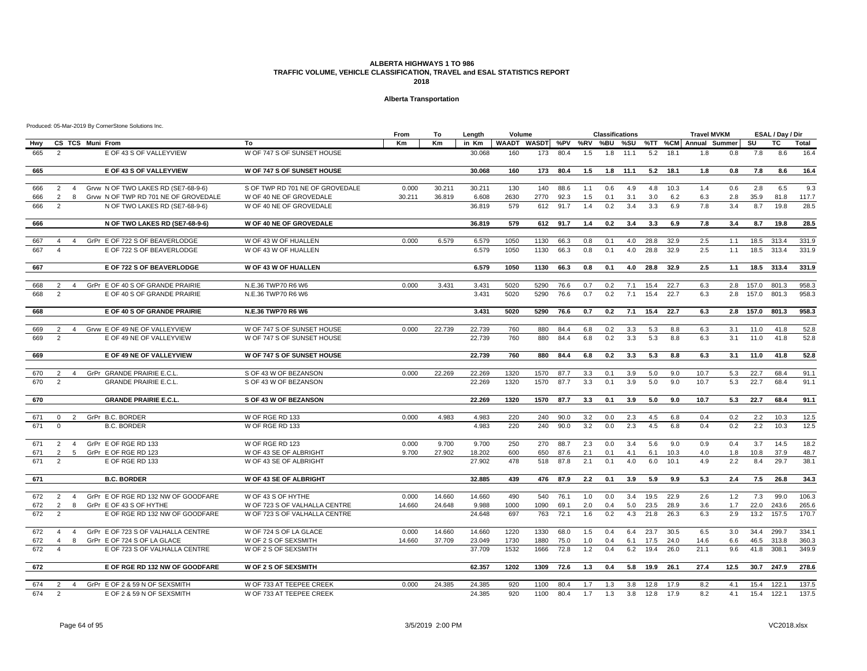#### **Alberta Transportation**

|            |                         |                |                                      |                                 | From   | To     | Length | Volume      |                         |      |            | <b>Classifications</b> |      |      |      | <b>Travel MVKM</b>    |      |           | ESAL / Day / Dir |                |
|------------|-------------------------|----------------|--------------------------------------|---------------------------------|--------|--------|--------|-------------|-------------------------|------|------------|------------------------|------|------|------|-----------------------|------|-----------|------------------|----------------|
| Hwy        |                         |                | CS TCS Muni From                     | To                              | Km     | Km     | in Km  |             | WAADT WASDT %PV %RV %BU |      |            |                        | %SU  |      |      | %TT %CM Annual Summer |      | SU        | TC               | Total          |
| 665        | $\overline{2}$          |                | E OF 43 S OF VALLEYVIEW              | W OF 747 S OF SUNSET HOUSE      |        |        | 30.068 | 160         | 173                     | 80.4 | 1.5        | 1.8                    | 11.1 | 5.2  | 18.1 | 1.8                   | 0.8  | 7.8       | 8.6              | 16.4           |
| 665        |                         |                | E OF 43 S OF VALLEYVIEW              | W OF 747 S OF SUNSET HOUSE      |        |        | 30.068 | 160         | 173                     | 80.4 | 1.5        | 1.8                    | 11.1 | 5.2  | 18.1 | 1.8                   | 0.8  | 7.8       | 8.6              | 16.4           |
|            |                         |                |                                      |                                 |        |        |        |             |                         |      |            |                        |      |      |      |                       |      |           |                  |                |
| 666        | 2                       | $\overline{4}$ | Grvw N OF TWO LAKES RD (SE7-68-9-6)  | S OF TWP RD 701 NE OF GROVEDALE | 0.000  | 30.211 | 30.211 | 130         | 140                     | 88.6 | 1.1        | 0.6                    | 4.9  | 4.8  | 10.3 | 1.4                   | 0.6  | 2.8       | 6.5              | 9.3            |
| 666        | 2                       | 8              | Grvw N OF TWP RD 701 NE OF GROVEDALE | W OF 40 NE OF GROVEDALE         | 30.211 | 36.819 | 6.608  | 2630        | 2770                    | 92.3 | 1.5        | 0.1                    | 3.1  | 3.0  | 6.2  | 6.3                   | 2.8  | 35.9      | 81.8             | 117.7          |
| 666        | $\overline{2}$          |                | N OF TWO LAKES RD (SE7-68-9-6)       | W OF 40 NE OF GROVEDALE         |        |        | 36.819 | 579         | 612                     | 91.7 | 1.4        | 0.2                    | 3.4  | 3.3  | 6.9  | 7.8                   | 3.4  | 8.7       | 19.8             | 28.5           |
| 666        |                         |                | N OF TWO LAKES RD (SE7-68-9-6)       | <b>W OF 40 NE OF GROVEDALE</b>  |        |        | 36.819 | 579         | 612                     | 91.7 | 1.4        | 0.2                    | 3.4  | 3.3  | 6.9  | 7.8                   | 3.4  | 8.7       | 19.8             | 28.5           |
| 667        | $\overline{4}$          | $\overline{4}$ | GrPr E OF 722 S OF BEAVERLODGE       | W OF 43 W OF HUALLEN            | 0.000  | 6.579  | 6.579  | 1050        | 1130                    | 66.3 | 0.8        | 0.1                    | 4.0  | 28.8 | 32.9 | 2.5                   | 1.1  | 18.5      | 313.4            | 331.9          |
| 667        | $\overline{\mathbf{A}}$ |                | E OF 722 S OF BEAVERLODGE            | W OF 43 W OF HUALLEN            |        |        | 6.579  | 1050        | 1130                    | 66.3 | 0.8        | 0.1                    | 4.0  | 28.8 | 32.9 | 2.5                   | 1.1  | 18.5      | 313.4            | 331.9          |
|            |                         |                |                                      |                                 |        |        |        |             |                         |      |            |                        |      |      |      |                       |      |           |                  |                |
| 667        |                         |                | E OF 722 S OF BEAVERLODGE            | W OF 43 W OF HUALLEN            |        |        | 6.579  | 1050        | 1130                    | 66.3 | 0.8        | 0.1                    | 4.0  | 28.8 | 32.9 | 2.5                   | 1.1  |           | 18.5 313.4       | 331.9          |
|            |                         |                |                                      |                                 |        |        |        |             |                         |      |            |                        |      |      |      |                       |      |           |                  |                |
| 668        | $\overline{2}$          | $\overline{4}$ | GrPr E OF 40 S OF GRANDE PRAIRIE     | N.E.36 TWP70 R6 W6              | 0.000  | 3.431  | 3.431  | 5020        | 5290                    | 76.6 | 0.7        | 0.2                    | 7.1  | 15.4 | 22.7 | 6.3                   | 2.8  | 157.0     | 801.3            | 958.3          |
| 668        | $\overline{2}$          |                | E OF 40 S OF GRANDE PRAIRIE          | N.E.36 TWP70 R6 W6              |        |        | 3.431  | 5020        | 5290                    | 76.6 | 0.7        | 0.2                    | 7.1  | 15.4 | 22.7 | 6.3                   | 2.8  | 157.0     | 801.3            | 958.3          |
| 668        |                         |                | E OF 40 S OF GRANDE PRAIRIE          | N.E.36 TWP70 R6 W6              |        |        | 3.431  | 5020        | 5290                    | 76.6 | 0.7        | 0.2                    | 7.1  | 15.4 | 22.7 | 6.3                   |      | 2.8 157.0 | 801.3            | 958.3          |
|            |                         |                |                                      |                                 |        |        |        |             |                         |      |            |                        |      |      |      |                       |      |           |                  |                |
| 669        | 2                       | $\overline{4}$ | Grvw E OF 49 NE OF VALLEYVIEW        | W OF 747 S OF SUNSET HOUSE      | 0.000  | 22.739 | 22.739 | 760         | 880                     | 84.4 | 6.8        | 0.2                    | 3.3  | 5.3  | 8.8  | 6.3                   | 3.1  | 11.0      | 41.8             | 52.8           |
| 669        | $\mathcal{P}$           |                | E OF 49 NE OF VALLEYVIEW             | W OF 747 S OF SUNSET HOUSE      |        |        | 22.739 | 760         | 880                     | 84.4 | 6.8        | 0.2                    | 3.3  | 5.3  | 8.8  | 6.3                   | 3.1  | 11.0      | 41.8             | 52.8           |
| 669        |                         |                | E OF 49 NE OF VALLEYVIEW             | W OF 747 S OF SUNSET HOUSE      |        |        | 22.739 | 760         | 880                     | 84.4 | 6.8        | 0.2                    | 3.3  | 5.3  | 8.8  | 6.3                   | 3.1  | 11.0      | 41.8             | 52.8           |
|            |                         |                |                                      |                                 |        |        |        |             |                         |      |            |                        |      |      |      |                       |      |           |                  |                |
| 670        | 2                       | $\overline{4}$ | GrPr GRANDE PRAIRIE E.C.L            | S OF 43 W OF BEZANSON           | 0.000  | 22.269 | 22.269 | 1320        | 1570                    | 87.7 | 3.3        | 0.1                    | 3.9  | 5.0  | 9.0  | 10.7                  | 5.3  | 22.7      | 68.4             | 91.1           |
| 670        | $\mathcal{P}$           |                | <b>GRANDE PRAIRIE E.C.L</b>          | S OF 43 W OF BEZANSON           |        |        | 22.269 | 1320        | 1570                    | 87.7 | 3.3        | 0.1                    | 3.9  | 5.0  | 9.0  | 10.7                  | 5.3  | 22.7      | 68.4             | 91.1           |
| 670        |                         |                | <b>GRANDE PRAIRIE E.C.L.</b>         | S OF 43 W OF BEZANSON           |        |        | 22.269 | 1320        | 1570                    | 87.7 | 3.3        | 0.1                    | 3.9  | 5.0  | 9.0  | 10.7                  | 5.3  | 22.7      | 68.4             | 91.1           |
| 671        | $^{\circ}$              | 2              | GrPr B.C. BORDER                     | W OF RGE RD 133                 | 0.000  | 4.983  | 4.983  | 220         | 240                     | 90.0 | 3.2        | 0.0                    | 2.3  | 4.5  | 6.8  | 0.4                   | 0.2  | 2.2       | 10.3             | 12.5           |
| 671        | $\Omega$                |                | <b>B.C. BORDER</b>                   | W OF RGE RD 133                 |        |        | 4.983  | 220         | 240                     | 90.0 | 3.2        | 0.0                    | 2.3  | 4.5  | 6.8  | 0.4                   | 0.2  | 2.2       | 10.3             | 12.5           |
| 671        | $\overline{2}$          | $\overline{4}$ | GrPr E OF RGE RD 133                 | W OF RGE RD 123                 | 0.000  | 9.700  | 9.700  | 250         | 270                     | 88.7 | 2.3        | 0.0                    | 3.4  | 5.6  | 9.0  | 0.9                   | 0.4  | 3.7       | 14.5             | 18.2           |
| 671        | 2                       | 5              | GrPr E OF RGE RD 123                 | W OF 43 SE OF ALBRIGHT          | 9.700  | 27.902 | 18.202 | 600         | 650                     | 87.6 | 2.1        | 0.1                    | 4.1  | 6.1  | 10.3 | 4.0                   | 1.8  | 10.8      | 37.9             | 48.7           |
| 671        | $\overline{2}$          |                | E OF RGE RD 133                      | W OF 43 SE OF ALBRIGHT          |        |        | 27.902 | 478         | 518                     | 87.8 | 2.1        | 0.1                    | 4.0  | 6.0  | 10.1 | 4.9                   | 2.2  | 8.4       | 29.7             | 38.1           |
| 671        |                         |                | <b>B.C. BORDER</b>                   | W OF 43 SE OF ALBRIGHT          |        |        | 32.885 | 439         | 476                     | 87.9 | 2.2        | 0.1                    | 3.9  | 5.9  | 9.9  | 5.3                   | 2.4  | 7.5       | 26.8             | 34.3           |
| 672        | $\overline{2}$          | $\overline{4}$ | GrPr E OF RGE RD 132 NW OF GOODFARE  | W OF 43 S OF HYTHE              | 0.000  | 14.660 | 14.660 | 490         | 540                     | 76.1 | 1.0        | 0.0                    | 3.4  | 19.5 | 22.9 | 2.6                   | 1.2  | 7.3       | 99.0             | 106.3          |
|            | 2                       |                | GrPr E OF 43 S OF HYTHE              | W OF 723 S OF VALHALLA CENTRE   | 14.660 | 24.648 | 9.988  |             |                         | 69.1 |            | 0.4                    | 5.0  | 23.5 | 28.9 |                       | 1.7  | 22.0      | 243.6            |                |
| 672<br>672 | $\mathcal{P}$           | 8              | E OF RGE RD 132 NW OF GOODFARE       | W OF 723 S OF VALHALLA CENTRE   |        |        | 24.648 | 1000<br>697 | 1090<br>763             | 72.1 | 2.0<br>1.6 | 0.2                    | 4.3  | 21.8 | 26.3 | 3.6<br>6.3            | 2.9  | 13.2      | 157.5            | 265.6<br>170.7 |
|            |                         |                |                                      |                                 |        |        |        |             |                         |      |            |                        |      |      |      |                       |      |           |                  |                |
| 672        | $\overline{4}$          | $\overline{4}$ | GrPr E OF 723 S OF VALHALLA CENTRE   | W OF 724 S OF LA GLACE          | 0.000  | 14.660 | 14.660 | 1220        | 1330                    | 68.0 | 1.5        | 0.4                    | 6.4  | 23.7 | 30.5 | 6.5                   | 3.0  | 34.4      | 299.7            | 334.1          |
| 672        | $\overline{4}$          | 8              | GrPr E OF 724 S OF LA GLACE          | W OF 2 S OF SEXSMITH            | 14.660 | 37.709 | 23.049 | 1730        | 1880                    | 75.0 | 1.0        | 0.4                    | 6.1  | 17.5 | 24.0 | 14.6                  | 6.6  | 46.5      | 313.8            | 360.3          |
| 672        | $\overline{a}$          |                | E OF 723 S OF VALHALLA CENTRE        | W OF 2 S OF SEXSMITH            |        |        | 37.709 | 1532        | 1666                    | 72.8 | 1.2        | 0.4                    | 6.2  | 19.4 | 26.0 | 21.1                  | 9.6  | 41.8      | 308.1            | 349.9          |
| 672        |                         |                | E OF RGE RD 132 NW OF GOODFARE       | <b>W OF 2 S OF SEXSMITH</b>     |        |        | 62.357 | 1202        | 1309                    | 72.6 | 1.3        | 0.4                    | 5.8  | 19.9 | 26.1 | 27.4                  | 12.5 | 30.7      | 247.9            | 278.6          |
|            |                         |                |                                      |                                 |        |        |        |             |                         |      |            |                        |      |      |      |                       |      |           |                  |                |
| 674        | 2                       | $\overline{4}$ | GrPr E OF 2 & 59 N OF SEXSMITH       | W OF 733 AT TEEPEE CREEK        | 0.000  | 24.385 | 24.385 | 920         | 1100                    | 80.4 | 1.7        | 1.3                    | 3.8  | 12.8 | 17.9 | 8.2                   | 4.1  | 15.4      | 122.1            | 137.5          |
| 674        | 2                       |                | E OF 2 & 59 N OF SEXSMITH            | W OF 733 AT TEEPEE CREEK        |        |        | 24.385 | 920         | 1100                    | 80.4 | 1.7        | 1.3                    | 3.8  | 12.8 | 17.9 | 8.2                   | 4.1  | 15.4      | 122.1            | 137.5          |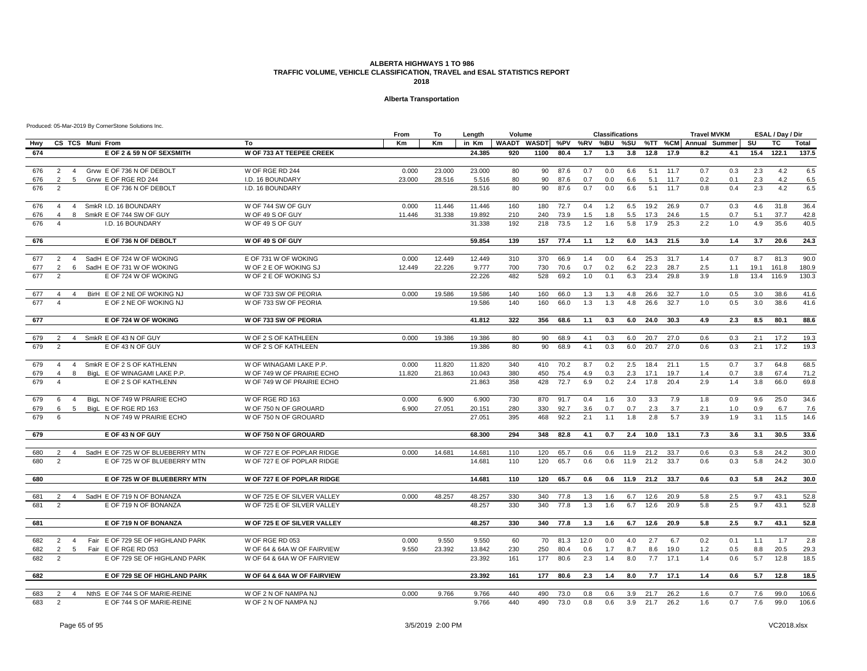#### **Alberta Transportation**

|            |                                                                                                      |                                                            | From            | To               | Length           | Volume              |            |              |            | <b>Classifications</b> |            |              |              | <b>Travel MVKM</b>    |            |             | ESAL / Day / Dir |               |
|------------|------------------------------------------------------------------------------------------------------|------------------------------------------------------------|-----------------|------------------|------------------|---------------------|------------|--------------|------------|------------------------|------------|--------------|--------------|-----------------------|------------|-------------|------------------|---------------|
| Hwy        | CS TCS Muni From                                                                                     | To                                                         | <b>Km</b>       | Km               | in Km            | WAADT WASDT %PV %RV |            |              |            | %BU                    | %SU        |              |              | %TT %CM Annual Summer |            | SU          | TC               | Total         |
| 674        | E OF 2 & 59 N OF SEXSMITH                                                                            | <b>W OF 733 AT TEEPEE CREEK</b>                            |                 |                  | 24.385           | 920                 | 1100       | 80.4         | 1.7        | 1.3                    | 3.8        | 12.8         | 17.9         | 8.2                   | 4.1        | 15.4        | 122.1            | 137.5         |
|            |                                                                                                      |                                                            |                 |                  |                  |                     |            |              |            |                        |            |              |              |                       |            |             |                  |               |
| 676        | Grvw E OF 736 N OF DEBOLT<br>2<br>$\overline{4}$                                                     | W OF RGE RD 244                                            | 0.000           | 23.000           | 23.000           | 80                  | 90         | 87.6         | 0.7        | 0.0                    | 6.6        | 5.1          | 11.7         | 0.7                   | 0.3        | 2.3         | 4.2              | 6.5           |
| 676        | $\overline{2}$<br>Grvw E OF RGE RD 244<br>5                                                          | I.D. 16 BOUNDARY                                           | 23.000          | 28.516           | 5.516            | 80                  | 90         | 87.6         | 0.7        | 0.0                    | 6.6        | 5.1          | 11.7         | 0.2                   | 0.1        | 2.3<br>2.3  | 4.2              | 6.5           |
| 676        | 2<br>E OF 736 N OF DEBOLT                                                                            | I.D. 16 BOUNDARY                                           |                 |                  | 28.516           | 80                  | 90         | 87.6         | 0.7        | 0.0                    | 6.6        | 5.1          | 11.7         | 0.8                   | 0.4        |             | 4.2              | 6.5           |
| 676        | SmkR I.D. 16 BOUNDARY<br>$\overline{4}$<br>$\overline{4}$                                            | W OF 744 SW OF GUY                                         | 0.000           | 11.446           | 11.446           | 160                 | 180        | 72.7         | 0.4        | 1.2                    | 6.5        | 19.2         | 26.9         | 0.7                   | 0.3        | 4.6         | 31.8             | 36.4          |
| 676        | $\overline{4}$<br>8<br>SmkR E OF 744 SW OF GUY                                                       | W OF 49 S OF GUY                                           | 11.446          | 31.338           | 19.892           | 210                 | 240        | 73.9         | 1.5        | 1.8                    | 5.5        | 17.3         | 24.6         | 1.5                   | 0.7        | 5.1         | 37.7             | 42.8          |
| 676        | I.D. 16 BOUNDARY<br>$\overline{4}$                                                                   | W OF 49 S OF GUY                                           |                 |                  | 31.338           | 192                 | 218        | 73.5         | 1.2        | 1.6                    | 5.8        | 17.9         | 25.3         | 2.2                   | 1.0        | 4.9         | 35.6             | 40.5          |
| 676        | E OF 736 N OF DEBOLT                                                                                 | W OF 49 S OF GUY                                           |                 |                  | 59.854           | 139                 | 157        | 77.4         | 1.1        | 1.2                    | 6.0        | 14.3         | 21.5         | 3.0                   | 1.4        | 3.7         | 20.6             | 24.3          |
|            |                                                                                                      |                                                            |                 |                  |                  |                     |            |              |            |                        |            |              |              |                       |            |             |                  |               |
| 677        | SadH E OF 724 W OF WOKING<br>2<br>$\overline{4}$<br>$\overline{2}$<br>6<br>SadH E OF 731 W OF WOKING | E OF 731 W OF WOKING<br>W OF 2 E OF WOKING SJ              | 0.000<br>12.449 | 12.449<br>22.226 | 12.449<br>9.777  | 310<br>700          | 370<br>730 | 66.9<br>70.6 | 1.4<br>0.7 | 0.0<br>0.2             | 6.4<br>6.2 | 25.3<br>22.3 | 31.7<br>28.7 | 1.4<br>2.5            | 0.7<br>1.1 | 8.7<br>19.1 | 81.3<br>161.8    | 90.0<br>180.9 |
| 677<br>677 | 2<br>E OF 724 W OF WOKING                                                                            | W OF 2 E OF WOKING SJ                                      |                 |                  | 22.226           | 482                 | 528        | 69.2         | 1.0        | 0.1                    | 6.3        | 23.4         | 29.8         | 3.9                   | 1.8        | 13.4        | 116.9            | 130.3         |
|            |                                                                                                      |                                                            |                 |                  |                  |                     |            |              |            |                        |            |              |              |                       |            |             |                  |               |
| 677        | BirH E OF 2 NE OF WOKING NJ<br>$\overline{a}$<br>$\overline{4}$                                      | W OF 733 SW OF PEORIA                                      | 0.000           | 19.586           | 19.586           | 140                 | 160        | 66.0         | 1.3        | 1.3                    | 4.8        | 26.6         | 32.7         | 1.0                   | 0.5        | 3.0         | 38.6             | 41.6          |
| 677        | $\overline{4}$<br>E OF 2 NE OF WOKING NJ                                                             | W OF 733 SW OF PEORIA                                      |                 |                  | 19.586           | 140                 | 160        | 66.0         | 1.3        | 1.3                    | 4.8        | 26.6         | 32.7         | 1.0                   | 0.5        | 3.0         | 38.6             | 41.6          |
| 677        | E OF 724 W OF WOKING                                                                                 | W OF 733 SW OF PEORIA                                      |                 |                  | 41.812           | 322                 | 356        | 68.6         | 1.1        | 0.3                    | 6.0        | 24.0         | 30.3         | 4.9                   | 2.3        | 8.5         | 80.1             | 88.6          |
|            | SmkR E OF 43 N OF GUY<br>2<br>$\overline{4}$                                                         | W OF 2 S OF KATHLEEN                                       | 0.000           | 19.386           | 19.386           | 80                  | 90         | 68.9         | 4.1        | 0.3                    | 6.0        | 20.7         | 27.0         | 0.6                   | 0.3        | 2.1         | 17.2             | 19.3          |
| 679<br>679 | 2<br>E OF 43 N OF GUY                                                                                | W OF 2 S OF KATHLEEN                                       |                 |                  | 19.386           | 80                  | 90         | 68.9         | 4.1        | 0.3                    | 6.0        | 20.7         | 27.0         | 0.6                   | 0.3        | 2.1         | 17.2             | 19.3          |
|            |                                                                                                      |                                                            |                 |                  |                  |                     |            |              |            |                        |            |              |              |                       |            |             |                  |               |
| 679        | SmkR E OF 2 S OF KATHLENN<br>$\overline{4}$<br>$\overline{4}$                                        | W OF WINAGAMI LAKE P.P.                                    | 0.000           | 11.820           | 11.820           | 340                 | 410        | 70.2         | 8.7        | 0.2                    | 2.5        | 18.4         | 21.1         | 1.5                   | 0.7        | 3.7         | 64.8             | 68.5          |
| 679        | BigL E OF WINAGAMI LAKE P.P.<br>$\overline{4}$<br>8                                                  | W OF 749 W OF PRAIRIE ECHO                                 | 11.820          | 21.863           | 10.043           | 380                 | 450        | 75.4         | 4.9        | 0.3                    | 2.3        | 17.1         | 19.7         | 1.4                   | 0.7        | 3.8         | 67.4             | 71.2          |
| 679        | E OF 2 S OF KATHLENN<br>$\overline{4}$                                                               | W OF 749 W OF PRAIRIE ECHO                                 |                 |                  | 21.863           | 358                 | 428        | 72.7         | 6.9        | 0.2                    | 2.4        | 17.8         | 20.4         | 2.9                   | 1.4        | 3.8         | 66.0             | 69.8          |
| 679        | BigL N OF 749 W PRAIRIE ECHO<br>6<br>$\overline{4}$                                                  | W OF RGE RD 163                                            | 0.000           | 6.900            | 6.900            | 730                 | 870        | 91.7         | 0.4        | 1.6                    | 3.0        | 3.3          | 7.9          | 1.8                   | 0.9        | 9.6         | 25.0             | 34.6          |
| 679        | 6<br>BigL E OF RGE RD 163<br>-5                                                                      | W OF 750 N OF GROUARD                                      | 6.900           | 27.051           | 20.151           | 280                 | 330        | 92.7         | 3.6        | 0.7                    | 0.7        | 2.3          | 3.7          | 2.1                   | 1.0        | 0.9         | 6.7              | 7.6           |
| 679        | 6<br>N OF 749 W PRAIRIE ECHO                                                                         | W OF 750 N OF GROUARD                                      |                 |                  | 27.051           | 395                 | 468        | 92.2         | 2.1        | 1.1                    | 1.8        | 2.8          | 5.7          | 3.9                   | 1.9        | 3.1         | 11.5             | 14.6          |
| 679        | E OF 43 N OF GUY                                                                                     | W OF 750 N OF GROUARD                                      |                 |                  | 68.300           | 294                 | 348        | 82.8         | 4.1        | 0.7                    | 2.4        | 10.0         | 13.1         | 7.3                   | 3.6        | 3.1         | 30.5             | 33.6          |
|            |                                                                                                      |                                                            |                 |                  |                  |                     |            |              |            |                        |            |              |              |                       |            |             |                  |               |
| 680        | SadH E OF 725 W OF BLUEBERRY MTN<br>$\overline{2}$<br>$\overline{4}$                                 | W OF 727 E OF POPLAR RIDGE                                 | 0.000           | 14.681           | 14.681           | 110                 | 120        | 65.7         | 0.6        | 0.6                    | 11.9       | 21.2         | 33.7         | 0.6                   | 0.3        | 5.8         | 24.2             | 30.0          |
| 680        | 2<br>E OF 725 W OF BLUEBERRY MTN                                                                     | W OF 727 E OF POPLAR RIDGE                                 |                 |                  | 14.681           | 110                 | 120        | 65.7         | 0.6        | 0.6                    | 11.9       | 21.2         | 33.7         | 0.6                   | 0.3        | 5.8         | 24.2             | 30.0          |
| 680        | E OF 725 W OF BLUEBERRY MTN                                                                          | W OF 727 E OF POPLAR RIDGE                                 |                 |                  | 14.681           | 110                 | 120        | 65.7         | 0.6        | 0.6                    | 11.9       | 21.2         | 33.7         | 0.6                   | 0.3        | 5.8         | 24.2             | 30.0          |
| 681        | SadH E OF 719 N OF BONANZA<br>2<br>4                                                                 | W OF 725 E OF SILVER VALLEY                                | 0.000           | 48.257           | 48.257           | 330                 | 340        | 77.8         | 1.3        | 1.6                    | 6.7        | 12.6         | 20.9         | 5.8                   | 2.5        | 9.7         | 43.1             | 52.8          |
| 681        | $\overline{2}$<br>E OF 719 N OF BONANZA                                                              | W OF 725 E OF SILVER VALLEY                                |                 |                  | 48.257           | 330                 | 340        | 77.8         | 1.3        | 1.6                    | 6.7        | 12.6         | 20.9         | 5.8                   | 2.5        | 9.7         | 43.1             | 52.8          |
| 681        | E OF 719 N OF BONANZA                                                                                | W OF 725 E OF SILVER VALLEY                                |                 |                  | 48.257           | 330                 | 340        | 77.8         | $1.3$      | 1.6                    | 6.7        | 12.6         | 20.9         | 5.8                   | 2.5        | 9.7         | 43.1             | 52.8          |
|            |                                                                                                      |                                                            |                 |                  |                  |                     |            |              |            |                        |            |              |              |                       |            |             |                  |               |
| 682        | Fair E OF 729 SE OF HIGHLAND PARK<br>$\overline{2}$<br>$\overline{4}$                                | W OF RGE RD 053                                            | 0.000           | 9.550            | 9.550            | 60                  | 70         | 81.3         | 12.0       | 0.0                    | 4.0        | 2.7          | 6.7          | 0.2                   | 0.1        | 1.1         | 1.7              | 2.8           |
| 682<br>682 | $\overline{2}$<br>Fair E OF RGE RD 053<br>5<br>E OF 729 SE OF HIGHLAND PARK<br>$\overline{2}$        | W OF 64 & 64A W OF FAIRVIEW<br>W OF 64 & 64A W OF FAIRVIEW | 9.550           | 23.392           | 13.842<br>23.392 | 230<br>161          | 250<br>177 | 80.4<br>80.6 | 0.6<br>2.3 | 1.7<br>1.4             | 8.7<br>8.0 | 8.6<br>7.7   | 19.0<br>17.1 | 1.2<br>1.4            | 0.5<br>0.6 | 8.8<br>5.7  | 20.5<br>12.8     | 29.3<br>18.5  |
|            |                                                                                                      |                                                            |                 |                  |                  |                     |            |              |            |                        |            |              |              |                       |            |             |                  |               |
| 682        | E OF 729 SE OF HIGHLAND PARK                                                                         | W OF 64 & 64A W OF FAIRVIEW                                |                 |                  | 23.392           | 161                 | 177        | 80.6         | 2.3        | 1.4                    | 8.0        | 7.7          | 17.1         | 1.4                   | 0.6        | 5.7         | 12.8             | 18.5          |
| 683        | NthS E OF 744 S OF MARIE-REINE<br>$\overline{2}$<br>$\overline{4}$                                   | W OF 2 N OF NAMPA NJ                                       | 0.000           | 9.766            | 9.766            | 440                 | 490        | 73.0         | 0.8        | 0.6                    | 3.9        | 21.7         | 26.2         | 1.6                   | 0.7        | 7.6         | 99.0             | 106.6         |
| 683        | $\overline{2}$<br>E OF 744 S OF MARIE-REINE                                                          | W OF 2 N OF NAMPA NJ                                       |                 |                  | 9.766            | 440                 | 490        | 73.0         | 0.8        | 0.6                    | 3.9        | 21.7         | 26.2         | 1.6                   | 0.7        | 7.6         | 99.0             | 106.6         |
|            |                                                                                                      |                                                            |                 |                  |                  |                     |            |              |            |                        |            |              |              |                       |            |             |                  |               |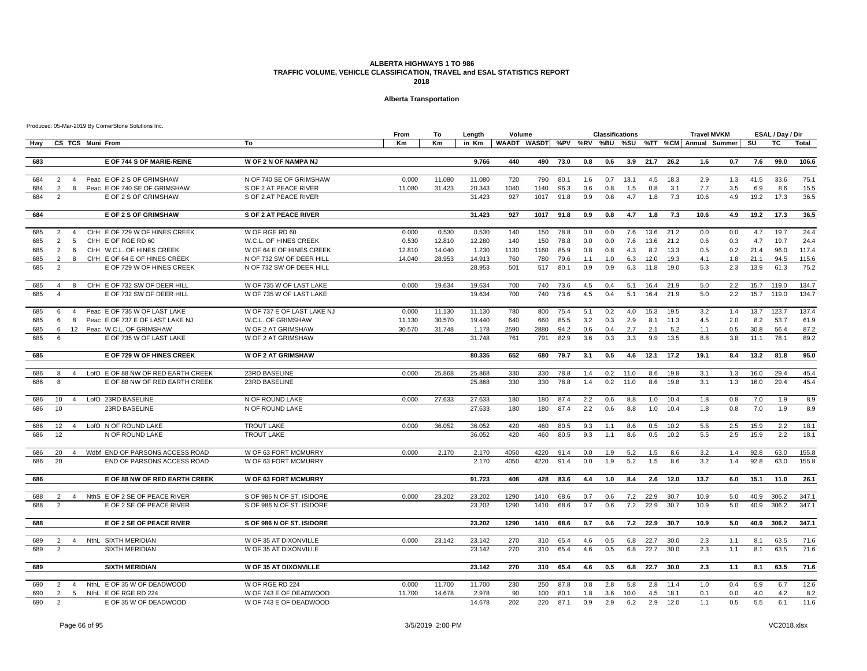#### **Alberta Transportation**

|            |                                                                                       |                                                        | From   | To        | Length           | Volume       |                         |              |            | <b>Classifications</b> |            |              |              | <b>Travel MVKM</b> |                           |              | ESAL / Day / Dir |                |
|------------|---------------------------------------------------------------------------------------|--------------------------------------------------------|--------|-----------|------------------|--------------|-------------------------|--------------|------------|------------------------|------------|--------------|--------------|--------------------|---------------------------|--------------|------------------|----------------|
| Hwy        | CS TCS Muni From                                                                      | To                                                     | Km     | <b>Km</b> | in Km            |              | WAADT WASDT %PV %RV %BU |              |            |                        |            |              |              |                    | %SU %TT %CM Annual Summer | SU           | TC               | <b>Total</b>   |
| 683        | E OF 744 S OF MARIE-REINE                                                             | W OF 2 N OF NAMPA NJ                                   |        |           | 9.766            | 440          | 490                     | 73.0         | 0.8        | 0.6                    | 3.9        | 21.7         | 26.2         | 1.6                | 0.7                       | 7.6          | 99.0             | 106.6          |
| 684        | Peac E OF 2 S OF GRIMSHAW<br>2<br>$\overline{4}$                                      | N OF 740 SE OF GRIMSHAW                                | 0.000  | 11.080    | 11.080           | 720          | 790                     | 80.1         | 1.6        | 0.7                    | 13.1       | 4.5          | 18.3         | 2.9                | 1.3                       | 41.5         | 33.6             | 75.1           |
| 684        | 2<br>Peac E OF 740 SE OF GRIMSHAW<br>8                                                | S OF 2 AT PEACE RIVER                                  | 11.080 | 31.423    | 20.343           | 1040         | 1140                    | 96.3         | 0.6        | 0.8                    | 1.5        | 0.8          | 3.1          | 7.7                | 3.5                       | 6.9          | 8.6              | 15.5           |
| 684        | 2<br>E OF 2 S OF GRIMSHAW                                                             | S OF 2 AT PEACE RIVER                                  |        |           | 31.423           | 927          | 1017                    | 91.8         | 0.9        | 0.8                    | 4.7        | 1.8          | 7.3          | 10.6               | 4.9                       | 19.2         | 17.3             | 36.5           |
| 684        | <b>E OF 2 S OF GRIMSHAW</b>                                                           | <b>S OF 2 AT PEACE RIVER</b>                           |        |           | 31.423           | 927          | 1017                    | 91.8         | 0.9        | 0.8                    | 4.7        | 1.8          | 7.3          | 10.6               | 4.9                       | 19.2         | 17.3             | 36.5           |
|            |                                                                                       |                                                        |        |           |                  |              |                         |              |            |                        |            |              |              |                    |                           |              |                  |                |
| 685        | CIrH E OF 729 W OF HINES CREEK<br>2<br>$\overline{4}$                                 | W OF RGE RD 60                                         | 0.000  | 0.530     | 0.530            | 140          | 150                     | 78.8         | 0.0        | 0.0                    | 7.6        | 13.6         | 21.2         | 0.0                | 0.0                       | 4.7          | 19.7             | 24.4           |
| 685        | -5<br>CIrH E OF RGE RD 60<br>$\overline{2}$                                           | W.C.L. OF HINES CREEK                                  | 0.530  | 12.810    | 12.280           | 140          | 150                     | 78.8         | 0.0        | 0.0                    | 7.6        | 13.6         | 21.2         | 0.6                | 0.3                       | 4.7          | 19.7             | 24.4           |
| 685        | $\overline{2}$<br>CIrH W.C.L. OF HINES CREEK<br>6                                     | W OF 64 E OF HINES CREEK                               | 12.810 | 14.040    | 1.230            | 1130         | 1160                    | 85.9         | 0.8        | 0.8                    | 4.3        | 8.2          | 13.3         | 0.5                | 0.2                       | 21.4         | 96.0             | 117.4          |
| 685        | CIrH E OF 64 E OF HINES CREEK<br>$\overline{2}$<br>8                                  | N OF 732 SW OF DEER HILL                               | 14.040 | 28.953    | 14.913           | 760          | 780                     | 79.6         | 1.1        | 1.0                    | 6.3        | 12.0         | 19.3         | 4.1                | 1.8                       | 21.1         | 94.5             | 115.6          |
| 685        | 2<br>E OF 729 W OF HINES CREEK                                                        | N OF 732 SW OF DEER HILL                               |        |           | 28.953           | 501          | 517                     | 80.1         | 0.9        | 0.9                    | 6.3        | 11.8         | 19.0         | 5.3                | 2.3                       | 13.9         | 61.3             | 75.2           |
| 685        | CIrH E OF 732 SW OF DEER HILL<br>$\overline{4}$<br>8                                  | W OF 735 W OF LAST LAKE                                | 0.000  | 19.634    | 19.634           | 700          | 740                     | 73.6         | 4.5        | 0.4                    | 5.1        | 16.4         | 21.9         | 5.0                | 2.2                       | 15.7         | 119.0            | 134.7          |
| 685        | E OF 732 SW OF DEER HILL<br>$\overline{\mathbf{A}}$                                   | W OF 735 W OF LAST LAKE                                |        |           | 19.634           | 700          | 740                     | 73.6         | 4.5        | 0.4                    | 5.1        | 16.4         | 21.9         | 5.0                | 2.2                       | 15.7         | 119.0            | 134.7          |
| 685        | Peac E OF 735 W OF LAST LAKE<br>6<br>$\overline{4}$                                   | W OF 737 E OF LAST LAKE NJ                             | 0.000  | 11.130    | 11.130           | 780          | 800                     | 75.4         | 5.1        | 0.2                    | 4.0        | 15.3         | 19.5         | 3.2                | 1.4                       | 13.7         | 123.7            | 137.4          |
| 685        | Peac E OF 737 E OF LAST LAKE NJ<br>6<br>8                                             | W.C.L. OF GRIMSHAW                                     | 11.130 | 30.570    | 19.440           | 640          | 660                     | 85.5         | 3.2        | 0.3                    | 2.9        | 8.1          | 11.3         | 4.5                | 2.0                       | 8.2          | 53.7             | 61.9           |
| 685        | 12 Peac W.C.L. OF GRIMSHAW<br>6                                                       | W OF 2 AT GRIMSHAW                                     | 30.570 | 31.748    | 1.178            | 2590         | 2880                    | 94.2         | 0.6        | 0.4                    | 2.7        | 2.1          | 5.2          | 1.1                | 0.5                       | 30.8         | 56.4             | 87.2           |
| 685        | E OF 735 W OF LAST LAKE<br>ĥ                                                          | W OF 2 AT GRIMSHAW                                     |        |           | 31.748           | 761          | 791                     | 82.9         | 3.6        | 0.3                    | 3.3        | 9.9          | 13.5         | 8.8                | 3.8                       | 11.1         | 78.1             | 89.2           |
| 685        | E OF 729 W OF HINES CREEK                                                             | W OF 2 AT GRIMSHAW                                     |        |           | 80.335           | 652          | 680                     | 79.7         | 3.1        | 0.5                    | 4.6        | 12.1         | 17.2         | 19.1               | 8.4                       | 13.2         | 81.8             | 95.0           |
|            |                                                                                       |                                                        |        |           |                  |              |                         |              |            |                        |            |              |              |                    |                           |              |                  |                |
| 686        | LofO E OF 88 NW OF RED EARTH CREEK<br>8<br>$\overline{4}$                             | 23RD BASELINE                                          | 0.000  | 25.868    | 25.868           | 330          | 330                     | 78.8         | 1.4        | 0.2                    | 11.0       | 8.6          | 19.8         | 3.1                | 1.3                       | 16.0         | 29.4             | 45.4           |
| 686        | 8<br>E OF 88 NW OF RED EARTH CREEK                                                    | 23RD BASELINE                                          |        |           | 25.868           | 330          | 330                     | 78.8         | 1.4        | 0.2                    | 11.0       | 8.6          | 19.8         | 3.1                | 1.3                       | 16.0         | 29.4             | 45.4           |
| 686        | LofO 23RD BASELINE<br>10<br>$\overline{4}$                                            | N OF ROUND LAKE                                        | 0.000  | 27.633    | 27.633           | 180          | 180                     | 87.4         | 2.2        | 0.6                    | 8.8        | 1.0          | 10.4         | 1.8                | 0.8                       | 7.0          | 1.9              | 8.9            |
| 686        | 23RD BASELINE<br>10                                                                   | N OF ROUND LAKE                                        |        |           | 27.633           | 180          | 180                     | 87.4         | 2.2        | 0.6                    | 8.8        | 1.0          | 10.4         | 1.8                | 0.8                       | 7.0          | 1.9              | 8.9            |
| 686        | 12<br>LofO N OF ROUND LAKE<br>$\Delta$                                                | <b>TROUT LAKE</b>                                      | 0.000  | 36.052    | 36.052           | 420          | 460                     | 80.5         | 9.3        | 1.1                    | 8.6        | 0.5          | 10.2         | 5.5                | 2.5                       | 15.9         | 2.2              | 18.1           |
| 686        | 12<br>N OF ROUND LAKE                                                                 | <b>TROUT LAKE</b>                                      |        |           | 36.052           | 420          | 460                     | 80.5         | 9.3        | 1.1                    | 8.6        | 0.5          | 10.2         | 5.5                | 2.5                       | 15.9         | 2.2              | 18.1           |
| 686        | Wdbf END OF PARSONS ACCESS ROAD<br>20<br>$\overline{4}$                               | W OF 63 FORT MCMURRY                                   | 0.000  | 2.170     | 2.170            | 4050         | 4220                    | 91.4         | 0.0        | 1.9                    | 5.2        | 1.5          | 8.6          | 3.2                | 1.4                       | 92.8         | 63.0             | 155.8          |
| 686        | 20<br>END OF PARSONS ACCESS ROAD                                                      | W OF 63 FORT MCMURRY                                   |        |           | 2.170            | 4050         | 4220                    | 91.4         | 0.0        | 1.9                    | 5.2        | 1.5          | 8.6          | 3.2                | 1.4                       | 92.8         | 63.0             | 155.8          |
| 686        | E OF 88 NW OF RED EARTH CREEK                                                         | <b>W OF 63 FORT MCMURRY</b>                            |        |           | 91.723           | 408          | 428                     | 83.6         | 4.4        | 1.0                    | 8.4        | 2.6          | 12.0         | 13.7               | 6.0                       | 15.1         | 11.0             | 26.1           |
|            |                                                                                       |                                                        |        |           |                  |              |                         |              |            |                        |            |              |              |                    |                           |              |                  |                |
| 688<br>688 | NthS E OF 2 SE OF PEACE RIVER<br>2<br>$\overline{4}$<br>2<br>E OF 2 SE OF PEACE RIVER | S OF 986 N OF ST. ISIDORE<br>S OF 986 N OF ST. ISIDORE | 0.000  | 23.202    | 23.202<br>23.202 | 1290<br>1290 | 1410<br>1410            | 68.6<br>68.6 | 0.7<br>0.7 | 0.6<br>0.6             | 7.2<br>7.2 | 22.9<br>22.9 | 30.7<br>30.7 | 10.9<br>10.9       | 5.0<br>5.0                | 40.9<br>40.9 | 306.2<br>306.2   | 347.1<br>347.1 |
|            |                                                                                       |                                                        |        |           |                  |              |                         |              |            |                        |            |              |              |                    |                           |              |                  |                |
| 688        | E OF 2 SE OF PEACE RIVER                                                              | S OF 986 N OF ST. ISIDORE                              |        |           | 23.202           | 1290         | 1410                    | 68.6         | 0.7        | 0.6                    | 7.2        | 22.9         | 30.7         | 10.9               | 5.0                       | 40.9         | 306.2            | 347.1          |
| 689        | NthL SIXTH MERIDIAN<br>$\overline{2}$<br>$\overline{4}$                               | W OF 35 AT DIXONVILLE                                  | 0.000  | 23.142    | 23.142           | 270          | 310                     | 65.4         | 4.6        | 0.5                    | 6.8        | 22.7         | 30.0         | 2.3                | 1.1                       | 8.1          | 63.5             | 71.6           |
| 689        | $\overline{2}$<br><b>SIXTH MERIDIAN</b>                                               | W OF 35 AT DIXONVILLE                                  |        |           | 23.142           | 270          | 310                     | 65.4         | 4.6        | 0.5                    | 6.8        | 22.7         | 30.0         | 2.3                | 1.1                       | 8.1          | 63.5             | 71.6           |
| 689        | <b>SIXTH MERIDIAN</b>                                                                 | <b>W OF 35 AT DIXONVILLE</b>                           |        |           | 23.142           | 270          | 310                     | 65.4         | 4.6        | 0.5                    | 6.8        | 22.7         | 30.0         | 2.3                | 1.1                       | 8.1          | 63.5             | 71.6           |
|            |                                                                                       |                                                        |        |           |                  |              |                         |              |            |                        |            |              |              |                    |                           |              |                  |                |
| 690        | NthL E OF 35 W OF DEADWOOD<br>2<br>$\overline{4}$                                     | W OF RGE RD 224                                        | 0.000  | 11.700    | 11.700           | 230          | 250                     | 87.8         | 0.8        | 2.8                    | 5.8        | 2.8          | 11.4         | 1.0                | 0.4                       | 5.9          | 6.7              | 12.6           |
| 690        | 2<br>5<br>NthL E OF RGE RD 224                                                        | W OF 743 E OF DEADWOOD                                 | 11.700 | 14.678    | 2.978            | 90           | 100                     | 80.1         | 1.8        | 3.6                    | 10.0       | 4.5          | 18.1         | 0.1                | 0.0                       | 4.0<br>5.5   | 4.2              | 8.2            |
| 690        | 2<br>E OF 35 W OF DEADWOOD                                                            | W OF 743 E OF DEADWOOD                                 |        |           | 14.678           | 202          | 220                     | 87.1         | 0.9        | 2.9                    | 6.2        | 2.9          | 12.0         | 1.1                | 0.5                       |              | 6.1              | 11.6           |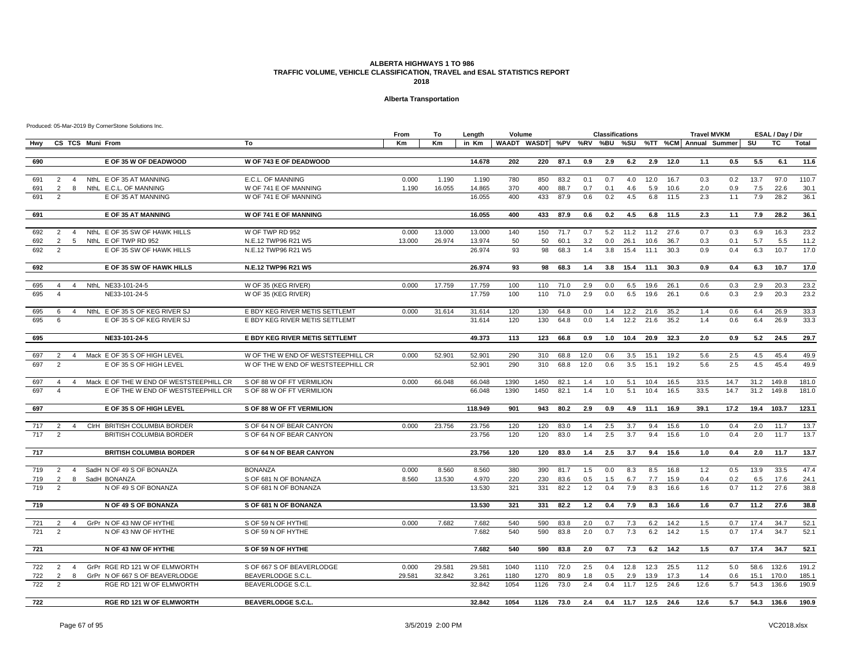#### **Alberta Transportation**

|            |                         |                     |                                                            |                                                | From            | To               | Length           | Volume       |              |              |            | <b>Classifications</b> |             |            |              | <b>Travel MVKM</b>                                   |            |              | ESAL / Day / Dir |                |
|------------|-------------------------|---------------------|------------------------------------------------------------|------------------------------------------------|-----------------|------------------|------------------|--------------|--------------|--------------|------------|------------------------|-------------|------------|--------------|------------------------------------------------------|------------|--------------|------------------|----------------|
| Hwy        | CS TCS Muni From        |                     |                                                            | To                                             | Km              | Km               | in Km            |              |              |              |            |                        |             |            |              | WAADT WASDT %PV %RV %BU %SU %TT %CM Annual Summer SU |            |              | <b>TC</b>        | Total          |
| 690        |                         |                     | E OF 35 W OF DEADWOOD                                      | W OF 743 E OF DEADWOOD                         |                 |                  | 14.678           | 202          | 220          | 87.1         | 0.9        | 2.9                    | 6.2         | 2.9        | 12.0         | 1.1                                                  | 0.5        | 5.5          | 6.1              | 11.6           |
|            |                         |                     |                                                            |                                                |                 |                  |                  |              |              |              |            |                        |             |            |              |                                                      |            |              |                  |                |
| 691        | $\overline{2}$          | $\overline{4}$      | NthL E OF 35 AT MANNING                                    | E.C.L. OF MANNING                              | 0.000           | 1.190            | 1.190            | 780          | 850          | 83.2         | 0.1        | 0.7                    | 4.0         | 12.0       | 16.7         | 0.3                                                  | 0.2        | 13.7         | 97.0             | 110.7          |
| 691<br>691 | 2<br>2                  | 8                   | NthL E.C.L. OF MANNING<br>E OF 35 AT MANNING               | W OF 741 E OF MANNING<br>W OF 741 E OF MANNING | 1.190           | 16.055           | 14.865<br>16.055 | 370<br>400   | 400<br>433   | 88.7<br>87.9 | 0.7<br>0.6 | 0.1<br>0.2             | 4.6<br>4.5  | 5.9<br>6.8 | 10.6<br>11.5 | 2.0<br>2.3                                           | 0.9<br>1.1 | 7.5<br>7.9   | 22.6<br>28.2     | 30.1<br>36.1   |
|            |                         |                     |                                                            |                                                |                 |                  |                  |              |              |              |            |                        |             |            |              |                                                      |            |              |                  |                |
| 691        |                         |                     | E OF 35 AT MANNING                                         | W OF 741 E OF MANNING                          |                 |                  | 16.055           | 400          | 433          | 87.9         | 0.6        | 0.2                    | 4.5         | 6.8        | 11.5         | 2.3                                                  | 1.1        | 7.9          | 28.2             | 36.1           |
| 692        | $\overline{2}$          | $\overline{4}$      | NthL E OF 35 SW OF HAWK HILLS                              | W OF TWP RD 952                                | 0.000           | 13.000           | 13.000           | 140          | 150          | 71.7         | 0.7        | 5.2                    | 11.2        | 11.2       | 27.6         | 0.7                                                  | 0.3        | 6.9          | 16.3             | 23.2           |
| 692        | 2                       | 5                   | NthL E OF TWP RD 952                                       | N.E.12 TWP96 R21 W5                            | 13.000          | 26.974           | 13.974           | 50           | 50           | 60.1         | 3.2        | 0.0                    | 26.1        | 10.6       | 36.7         | 0.3                                                  | 0.1        | 5.7          | 5.5              | 11.2           |
| 692        | 2                       |                     | E OF 35 SW OF HAWK HILLS                                   | N.E.12 TWP96 R21 W5                            |                 |                  | 26.974           | 93           | 98           | 68.3         | 1.4        | 3.8                    | 15.4        | 11.1       | 30.3         | 0.9                                                  | 0.4        | 6.3          | 10.7             | 17.0           |
| 692        |                         |                     | E OF 35 SW OF HAWK HILLS                                   | N.E.12 TWP96 R21 W5                            |                 |                  | 26.974           | 93           | 98           | 68.3         | 1.4        | 3.8                    | 15.4        | 11.1       | 30.3         | 0.9                                                  | 0.4        | 6.3          | 10.7             | 17.0           |
|            |                         |                     |                                                            |                                                |                 |                  |                  |              |              |              |            |                        |             |            |              |                                                      |            |              |                  |                |
| 695        | $\overline{4}$          | 4                   | NthL NE33-101-24-5                                         | W OF 35 (KEG RIVER)                            | 0.000           | 17.759           | 17.759           | 100          | 110          | 71.0         | 2.9        | 0.0                    | 6.5         | 19.6       | 26.1         | 0.6                                                  | 0.3        | 2.9          | 20.3             | 23.2           |
| 695        | $\overline{\mathbf{A}}$ |                     | NE33-101-24-5                                              | W OF 35 (KEG RIVER)                            |                 |                  | 17.759           | 100          | 110          | 71.0         | 2.9        | 0.0                    | 6.5         | 19.6       | 26.1         | 0.6                                                  | 0.3        | 2.9          | 20.3             | 23.2           |
| 695        | 6                       | $\overline{4}$      | NthL E OF 35 S OF KEG RIVER SJ                             | E BDY KEG RIVER METIS SETTLEMT                 | 0.000           | 31.614           | 31.614           | 120          | 130          | 64.8         | 0.0        | 1.4                    | 12.2        | 21.6       | 35.2         | 1.4                                                  | 0.6        | 6.4          | 26.9             | 33.3           |
| 695        | 6                       |                     | E OF 35 S OF KEG RIVER SJ                                  | E BDY KEG RIVER METIS SETTLEMT                 |                 |                  | 31.614           | 120          | 130          | 64.8         | 0.0        | 1.4                    | 12.2        | 21.6       | 35.2         | 1.4                                                  | 0.6        | 6.4          | 26.9             | 33.3           |
| 695        |                         |                     | NE33-101-24-5                                              | E BDY KEG RIVER METIS SETTLEMT                 |                 |                  | 49.373           | 113          | 123          | 66.8         | 0.9        | 1.0                    | 10.4        | 20.9       | 32.3         | 2.0                                                  | 0.9        | 5.2          | 24.5             | 29.7           |
|            |                         |                     |                                                            |                                                |                 |                  |                  |              |              |              |            |                        |             |            |              |                                                      |            |              |                  |                |
| 697        | $\overline{2}$          | $\overline{a}$      | Mack E OF 35 S OF HIGH LEVEL                               | W OF THE W END OF WESTSTEEPHILL CR             | 0.000           | 52.901           | 52.901           | 290          | 310          | 68.8         | 12.0       | 0.6                    | 3.5         | 15.1       | 19.2         | 5.6                                                  | 2.5        | 4.5          | 45.4             | 49.9           |
| 697        | 2                       |                     | E OF 35 S OF HIGH LEVEL                                    | W OF THE W END OF WESTSTEEPHILL CR             |                 |                  | 52.901           | 290          | 310          | 68.8         | 12.0       | 0.6                    | 3.5         | 15.1       | 19.2         | 5.6                                                  | 2.5        | 4.5          | 45.4             | 49.9           |
| 697        | $\overline{4}$          | 4                   | Mack E OF THE W END OF WESTSTEEPHILL CR                    | S OF 88 W OF FT VERMILION                      | 0.000           | 66.048           | 66.048           | 1390         | 1450         | 82.1         | 1.4        | 1.0                    | 5.1         | 10.4       | 16.5         | 33.5                                                 | 14.7       | 31.2         | 149.8            | 181.0          |
| 697        | $\overline{\mathbf{A}}$ |                     | E OF THE W END OF WESTSTEEPHILL CR                         | S OF 88 W OF FT VERMILION                      |                 |                  | 66.048           | 1390         | 1450         | 82.1         | 1.4        | 1.0                    | 5.1         | 10.4       | 16.5         | 33.5                                                 | 14.7       | 31.2         | 149.8            | 181.0          |
| 697        |                         |                     | E OF 35 S OF HIGH LEVEL                                    | S OF 88 W OF FT VERMILION                      |                 |                  | 118.949          | 901          | 943          | 80.2         | 2.9        | 0.9                    | 4.9         | 11.1       | 16.9         | 39.1                                                 | 17.2       | 19.4         | 103.7            | 123.1          |
|            |                         |                     |                                                            |                                                |                 |                  |                  |              |              |              |            |                        |             |            |              |                                                      |            |              |                  |                |
| 717        | 2                       | $\overline{4}$      | CIrH BRITISH COLUMBIA BORDER                               | S OF 64 N OF BEAR CANYON                       | 0.000           | 23.756           | 23.756           | 120          | 120          | 83.0         | 1.4        | 2.5                    | 3.7         | 9.4        | 15.6         | 1.0                                                  | 0.4        | 2.0          | 11.7             | 13.7           |
| 717        | $\overline{2}$          |                     | BRITISH COLUMBIA BORDER                                    | S OF 64 N OF BEAR CANYON                       |                 |                  | 23.756           | 120          | 120          | 83.0         | 1.4        | 2.5                    | 3.7         | 9.4        | 15.6         | 1.0                                                  | 0.4        | 2.0          | 11.7             | 13.7           |
| 717        |                         |                     | <b>BRITISH COLUMBIA BORDER</b>                             | S OF 64 N OF BEAR CANYON                       |                 |                  | 23.756           | 120          | 120          | 83.0         | 1.4        | 2.5                    | 3.7         | 9.4        | 15.6         | 1.0                                                  | 0.4        | 2.0          | 11.7             | 13.7           |
| 719        | 2                       | $\overline{4}$      | SadH N OF 49 S OF BONANZA                                  | <b>BONANZA</b>                                 | 0.000           | 8.560            | 8.560            | 380          | 390          | 81.7         | 1.5        | 0.0                    | 8.3         | 8.5        | 16.8         | 1.2                                                  | 0.5        | 13.9         | 33.5             | 47.4           |
| 719        | 2                       | 8                   | SadH BONANZA                                               | S OF 681 N OF BONANZA                          | 8.560           | 13.530           | 4.970            | 220          | 230          | 83.6         | 0.5        | 1.5                    | 6.7         | 7.7        | 15.9         | 0.4                                                  | 0.2        | 6.5          | 17.6             | 24.1           |
| 719        | 2                       |                     | N OF 49 S OF BONANZA                                       | S OF 681 N OF BONANZA                          |                 |                  | 13.530           | 321          | 331          | 82.2         | 1.2        | 0.4                    | 7.9         | 8.3        | 16.6         | 1.6                                                  | 0.7        | 11.2         | 27.6             | 38.8           |
| 719        |                         |                     | N OF 49 S OF BONANZA                                       | S OF 681 N OF BONANZA                          |                 |                  | 13.530           | 321          | 331          | 82.2         | 1.2        | 0.4                    | 7.9         | 8.3        | 16.6         | 1.6                                                  | 0.7        | 11.2         | 27.6             | 38.8           |
|            |                         |                     |                                                            |                                                |                 |                  |                  |              |              |              |            |                        |             |            |              |                                                      |            |              |                  |                |
| 721        | 2                       | $\overline{4}$      | GrPr N OF 43 NW OF HYTHE                                   | S OF 59 N OF HYTHE                             | 0.000           | 7.682            | 7.682            | 540          | 590          | 83.8         | 2.0        | 0.7                    | 7.3         | 6.2        | 14.2         | 1.5                                                  | 0.7        | 17.4         | 34.7             | 52.1           |
| 721        | 2                       |                     | N OF 43 NW OF HYTHE                                        | S OF 59 N OF HYTHE                             |                 |                  | 7.682            | 540          | 590          | 83.8         | 2.0        | 0.7                    | 7.3         | 6.2        | 14.2         | 1.5                                                  | 0.7        | 17.4         | 34.7             | 52.1           |
| 721        |                         |                     | N OF 43 NW OF HYTHE                                        | S OF 59 N OF HYTHE                             |                 |                  | 7.682            | 540          | 590          | 83.8         | 2.0        | 0.7                    | 7.3         | 6.2        | 14.2         | 1.5                                                  | 0.7        | 17.4         | 34.7             | 52.1           |
|            | $\overline{2}$          |                     | GrPr RGE RD 121 W OF ELMWORTH                              |                                                |                 |                  |                  |              |              | 72.0         |            | 0.4                    |             | 12.3       | 25.5         |                                                      |            | 58.6         | 132.6            |                |
| 722<br>722 | $\overline{2}$          | $\overline{4}$<br>8 |                                                            | S OF 667 S OF BEAVERLODGE                      | 0.000<br>29.581 | 29.581<br>32.842 | 29.581<br>3.261  | 1040         | 1110<br>1270 |              | 2.5        |                        | 12.8        | 13.9       | 17.3         | 11.2                                                 | 5.0        |              | 170.0            | 191.2<br>185.1 |
| 722        | $\overline{2}$          |                     | GrPr N OF 667 S OF BEAVERLODGE<br>RGE RD 121 W OF ELMWORTH | BEAVERLODGE S.C.L<br><b>BEAVERLODGE S.C.L</b>  |                 |                  | 32.842           | 1180<br>1054 | 1126         | 80.9<br>73.0 | 1.8<br>2.4 | 0.5<br>0.4             | 2.9<br>11.7 | 12.5       | 24.6         | 1.4<br>12.6                                          | 0.6<br>5.7 | 15.1<br>54.3 | 136.6            | 190.9          |
|            |                         |                     |                                                            |                                                |                 |                  |                  |              |              |              |            |                        |             |            |              |                                                      |            |              |                  |                |
| 722        |                         |                     | RGE RD 121 W OF ELMWORTH                                   | <b>BEAVERLODGE S.C.L.</b>                      |                 |                  | 32.842           | 1054         | 1126         | 73.0         | 2.4        | 0.4                    | 11.7        | 12.5       | 24.6         | 12.6                                                 | 5.7        | 54.3         | 136.6            | 190.9          |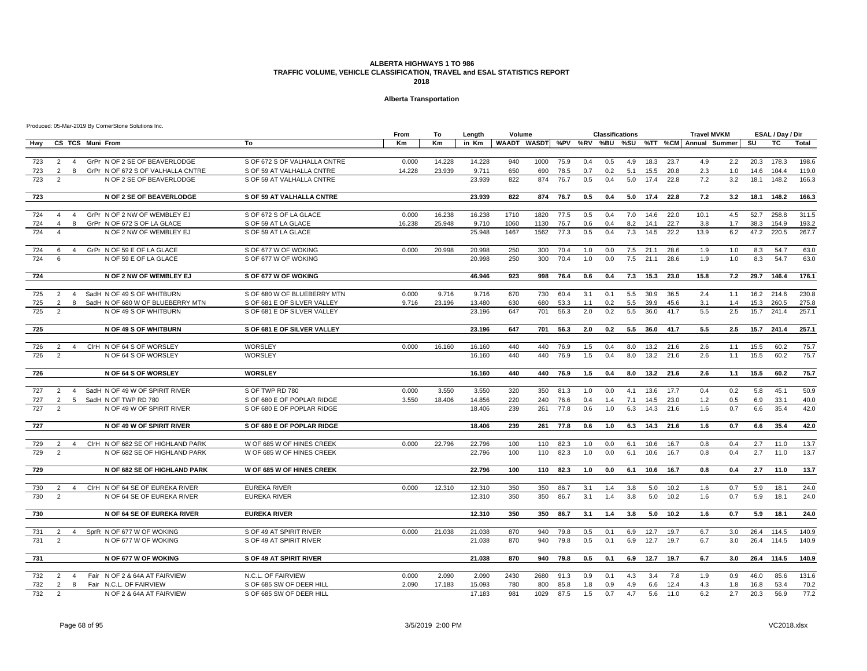#### **Alberta Transportation**

|            |                                                                               |                                  | From   | To     | Length           | Volume     |              |              |            | <b>Classifications</b> |            |              |              | <b>Travel MVKM</b>                                |            |              | ESAL / Day / Dir |                |
|------------|-------------------------------------------------------------------------------|----------------------------------|--------|--------|------------------|------------|--------------|--------------|------------|------------------------|------------|--------------|--------------|---------------------------------------------------|------------|--------------|------------------|----------------|
| Hwy        | CS TCS Muni From                                                              | To                               | Km     | Km     | in Km            |            |              |              |            |                        |            |              |              | WAADT WASDT %PV %RV %BU %SU %TT %CM Annual Summer |            | SU           | <b>TC</b>        | Total          |
|            |                                                                               |                                  |        |        |                  |            |              |              |            |                        |            |              |              |                                                   |            |              |                  |                |
| 723        | GrPr N OF 2 SE OF BEAVERLODGE<br>2<br>$\overline{4}$                          | S OF 672 S OF VALHALLA CNTRE     | 0.000  | 14.228 | 14.228           | 940        | 1000         | 75.9         | 0.4        | 0.5                    | 4.9        | 18.3         | 23.7         | 4.9                                               | 2.2        | 20.3         | 178.3            | 198.6          |
| 723        | GrPr N OF 672 S OF VALHALLA CNTRE<br>2<br>8<br>$\mathcal{P}$                  | S OF 59 AT VALHALLA CNTRE        | 14.228 | 23.939 | 9.711            | 650        | 690          | 78.5<br>76.7 | 0.7<br>0.5 | 0.2                    | 5.1<br>5.0 | 15.5<br>17.4 | 20.8         | 2.3                                               | 1.0        | 14.6         | 104.4<br>148.2   | 119.0<br>166.3 |
| 723        | N OF 2 SE OF BEAVERLODGE                                                      | S OF 59 AT VALHALLA CNTRE        |        |        | 23.939           | 822        | 874          |              |            | 0.4                    |            |              | 22.8         | 7.2                                               | 3.2        | 18.1         |                  |                |
| 723        | N OF 2 SE OF BEAVERLODGE                                                      | <b>S OF 59 AT VALHALLA CNTRE</b> |        |        | 23.939           | 822        |              | 874 76.7     | 0.5        | 0.4                    | 5.0        | 17.4         | 22.8         | 7.2                                               | 3.2        | 18.1         | 148.2            | 166.3          |
|            | GrPr N OF 2 NW OF WEMBLEY EJ<br>$\overline{a}$                                | S OF 672 S OF LA GLACE           |        |        |                  |            |              |              |            |                        |            |              |              |                                                   |            | 52.7         |                  |                |
| 724        | $\overline{4}$                                                                |                                  | 0.000  | 16.238 | 16.238           | 1710       | 1820         | 77.5         | 0.5        | 0.4                    | 7.0        | 14.6         | 22.0         | 10.1                                              | 4.5        |              | 258.8            | 311.5          |
| 724<br>724 | $\overline{4}$<br>GrPr N OF 672 S OF LA GLACE<br>8<br>N OF 2 NW OF WEMBLEY EJ | S OF 59 AT LA GLACE              | 16.238 | 25.948 | 9.710<br>25.948  | 1060       | 1130<br>1562 | 76.7         | 0.6        | 0.4<br>0.4             | 8.2<br>7.3 | 14.1<br>14.5 | 22.7<br>22.2 | 3.8                                               | 1.7<br>6.2 | 38.3<br>47.2 | 154.9<br>220.5   | 193.2<br>267.7 |
|            | $\overline{4}$                                                                | S OF 59 AT LA GLACE              |        |        |                  | 1467       |              | 77.3         | 0.5        |                        |            |              |              | 13.9                                              |            |              |                  |                |
| 724        | GrPr N OF 59 E OF LA GLACE<br>6<br>$\overline{4}$                             | S OF 677 W OF WOKING             | 0.000  | 20.998 | 20.998           | 250        | 300          | 70.4         | 1.0        | 0.0                    | 7.5        | 21.1         | 28.6         | 1.9                                               | 1.0        | 8.3          | 54.7             | 63.0           |
| 724        | 6<br>N OF 59 E OF LA GLACE                                                    | S OF 677 W OF WOKING             |        |        | 20.998           | 250        | 300          | 70.4         | 1.0        | 0.0                    | 7.5        | 21.1         | 28.6         | 1.9                                               | 1.0        | 8.3          | 54.7             | 63.0           |
| 724        | N OF 2 NW OF WEMBLEY EJ                                                       | S OF 677 W OF WOKING             |        |        | 46.946           | 923        | 998          | 76.4         | 0.6        | 0.4                    | 7.3        | 15.3         | 23.0         | 15.8                                              | 7.2        | 29.7         | 146.4            | 176.1          |
|            |                                                                               |                                  |        |        |                  |            |              |              |            |                        |            |              |              |                                                   |            |              |                  |                |
| 725        | $\overline{2}$<br>SadH N OF 49 S OF WHITBURN<br>$\overline{4}$                | S OF 680 W OF BLUEBERRY MTN      | 0.000  | 9.716  | 9.716            | 670        | 730          | 60.4         | 3.1        | 0.1                    | 5.5        | 30.9         | 36.5         | 2.4                                               | 1.1        | 16.2         | 214.6            | 230.8          |
| 725        | $\overline{2}$<br>SadH N OF 680 W OF BLUEBERRY MTN<br>8                       | S OF 681 E OF SILVER VALLEY      | 9.716  | 23.196 | 13.480           | 630        | 680          | 53.3         | 1.1        | 0.2                    | 5.5        | 39.9         | 45.6         | 3.1                                               | 1.4        | 15.3         | 260.5            | 275.8          |
| 725        | $\overline{2}$<br>N OF 49 S OF WHITBURN                                       | S OF 681 E OF SILVER VALLEY      |        |        | 23.196           | 647        | 701          | 56.3         | 2.0        | 0.2                    | 5.5        | 36.0         | 41.7         | 5.5                                               | 2.5        | 15.7         | 241.4            | 257.1          |
| 725        | N OF 49 S OF WHITBURN                                                         | S OF 681 E OF SILVER VALLEY      |        |        | 23.196           | 647        | 701          | 56.3         | 2.0        | 0.2                    | 5.5        | 36.0         | 41.7         | 5.5                                               | 2.5        | 15.7         | 241.4            | 257.1          |
|            | CIrH N OF 64 S OF WORSLEY                                                     | <b>WORSLEY</b>                   | 0.000  |        |                  |            |              |              |            |                        |            |              |              |                                                   |            |              |                  |                |
| 726<br>726 | $\overline{2}$<br>$\overline{4}$<br>$\overline{2}$<br>N OF 64 S OF WORSLEY    | WORSLEY                          |        | 16.160 | 16.160<br>16.160 | 440<br>440 | 440<br>440   | 76.9<br>76.9 | 1.5<br>1.5 | 0.4<br>0.4             | 8.0<br>8.0 | 13.2<br>13.2 | 21.6<br>21.6 | 2.6<br>2.6                                        | 1.1<br>1.1 | 15.5<br>15.5 | 60.2<br>60.2     | 75.7<br>75.7   |
|            |                                                                               |                                  |        |        |                  |            |              |              |            |                        |            |              |              |                                                   |            |              |                  |                |
| 726        | N OF 64 S OF WORSLEY                                                          | <b>WORSLEY</b>                   |        |        | 16.160           | 440        | 440          | 76.9         | 1.5        | 0.4                    | 8.0        | 13.2         | 21.6         | 2.6                                               | 1.1        | 15.5         | 60.2             | 75.7           |
| 727        | SadH N OF 49 W OF SPIRIT RIVER<br>2<br>$\overline{4}$                         | S OF TWP RD 780                  | 0.000  | 3.550  | 3.550            | 320        | 350          | 81.3         | 1.0        | 0.0                    | 4.1        | 13.6         | 17.7         | 0.4                                               | 0.2        | 5.8          | 45.1             | 50.9           |
| 727        | 2<br>5 SadH N OF TWP RD 780                                                   | S OF 680 E OF POPLAR RIDGE       | 3.550  | 18.406 | 14.856           | 220        | 240          | 76.6         | 0.4        | 1.4                    | 7.1        | 14.5         | 23.0         | 1.2                                               | 0.5        | 6.9          | 33.1             | 40.0           |
| 727        | N OF 49 W OF SPIRIT RIVER<br>2                                                | S OF 680 E OF POPLAR RIDGE       |        |        | 18.406           | 239        | 261          | 77.8         | 0.6        | 1.0                    | 6.3        | 14.3         | 21.6         | 1.6                                               | 0.7        | 6.6          | 35.4             | 42.0           |
|            |                                                                               |                                  |        |        |                  |            |              |              |            |                        |            |              |              |                                                   |            |              |                  |                |
| 727        | N OF 49 W OF SPIRIT RIVER                                                     | S OF 680 E OF POPLAR RIDGE       |        |        | 18,406           | 239        | 261          | 77.8         | 0.6        | 1.0                    | 6.3        | 14.3         | 21.6         | 1.6                                               | 0.7        | 6.6          | 35.4             | 42.0           |
| 729        | CIrH N OF 682 SE OF HIGHLAND PARK<br>2<br>4                                   | W OF 685 W OF HINES CREEK        | 0.000  | 22.796 | 22.796           | 100        | 110          | 82.3         | 1.0        | 0.0                    | 6.1        | 10.6         | 16.7         | 0.8                                               | 0.4        | 2.7          | 11.0             | 13.7           |
| 729        | N OF 682 SE OF HIGHLAND PARK<br>2                                             | W OF 685 W OF HINES CREEK        |        |        | 22.796           | 100        | 110          | 82.3         | 1.0        | 0.0                    | 6.1        | 10.6         | 16.7         | 0.8                                               | 0.4        | 2.7          | 11.0             | 13.7           |
| 729        | N OF 682 SE OF HIGHLAND PARK                                                  | W OF 685 W OF HINES CREEK        |        |        | 22.796           | 100        | 110          | 82.3         | 1.0        | 0.0                    | 6.1        | 10.6         | 16.7         | 0.8                                               | 0.4        | 2.7          | 11.0             | 13.7           |
|            |                                                                               |                                  |        |        |                  |            |              |              |            |                        |            |              |              |                                                   |            |              |                  |                |
| 730        | $\overline{2}$<br>CIrH N OF 64 SE OF EUREKA RIVER<br>$\overline{4}$           | <b>EUREKA RIVER</b>              | 0.000  | 12.310 | 12.310           | 350        | 350          | 86.7         | 3.1        | 1.4                    | 3.8        | 5.0          | 10.2         | 1.6                                               | 0.7        | 5.9          | 18.1             | 24.0           |
| 730        | $\overline{2}$<br>N OF 64 SE OF EUREKA RIVER                                  | <b>EUREKA RIVER</b>              |        |        | 12.310           | 350        | 350          | 86.7         | 3.1        | 1.4                    | 3.8        | 5.0          | 10.2         | 1.6                                               | 0.7        | 5.9          | 18.1             | 24.0           |
| 730        | N OF 64 SE OF EUREKA RIVER                                                    | <b>EUREKA RIVER</b>              |        |        | 12.310           | 350        | 350          | 86.7         | 3.1        | 1.4                    | 3.8        | 5.0          | 10.2         | 1.6                                               | 0.7        | 5.9          | 18.1             | 24.0           |
|            |                                                                               |                                  |        |        |                  |            |              |              |            |                        |            |              |              |                                                   |            |              |                  |                |
| 731        | SprR N OF 677 W OF WOKING<br>2<br>$\overline{4}$                              | S OF 49 AT SPIRIT RIVER          | 0.000  | 21.038 | 21.038           | 870        | 940          | 79.8         | 0.5        | 0.1                    | 6.9        | 12.7         | 19.7         | 6.7                                               | 3.0        |              | 26.4 114.5       | 140.9          |
| 731        | 2<br>N OF 677 W OF WOKING                                                     | S OF 49 AT SPIRIT RIVER          |        |        | 21.038           | 870        | 940          | 79.8         | 0.5        | 0.1                    | 6.9        | 12.7         | 19.7         | 6.7                                               | 3.0        | 26.4         | 114.5            | 140.9          |
| 731        | N OF 677 W OF WOKING                                                          | S OF 49 AT SPIRIT RIVER          |        |        | 21.038           | 870        | 940          | 79.8         | 0.5        | 0.1                    | 6.9        | 12.7         | 19.7         | 6.7                                               | 3.0        | 26.4         | 114.5            | 140.9          |
|            |                                                                               |                                  |        |        |                  |            |              |              |            |                        |            |              |              |                                                   |            |              |                  |                |
| 732        | Fair N OF 2 & 64A AT FAIRVIEW<br>2<br>$\overline{4}$                          | N.C.L. OF FAIRVIEW               | 0.000  | 2.090  | 2.090            | 2430       | 2680         | 91.3         | 0.9        | 0.1                    | 4.3        | 3.4          | 7.8          | 1.9                                               | 0.9        | 46.0         | 85.6             | 131.6          |
| 732        | Fair N.C.L. OF FAIRVIEW<br>2<br>8                                             | S OF 685 SW OF DEER HILL         | 2.090  | 17.183 | 15.093           | 780        | 800          | 85.8         | 1.8        | 0.9                    | 4.9        | 6.6          | 12.4         | 4.3                                               | 1.8        | 16.8         | 53.4             | 70.2           |
| 732        | N OF 2 & 64A AT FAIRVIEW<br>2                                                 | S OF 685 SW OF DEER HILL         |        |        | 17.183           | 981        | 1029         | 87.5         | 1.5        | 0.7                    | 4.7        | 5.6          | 11.0         | 6.2                                               | 2.7        | 20.3         | 56.9             | 77.2           |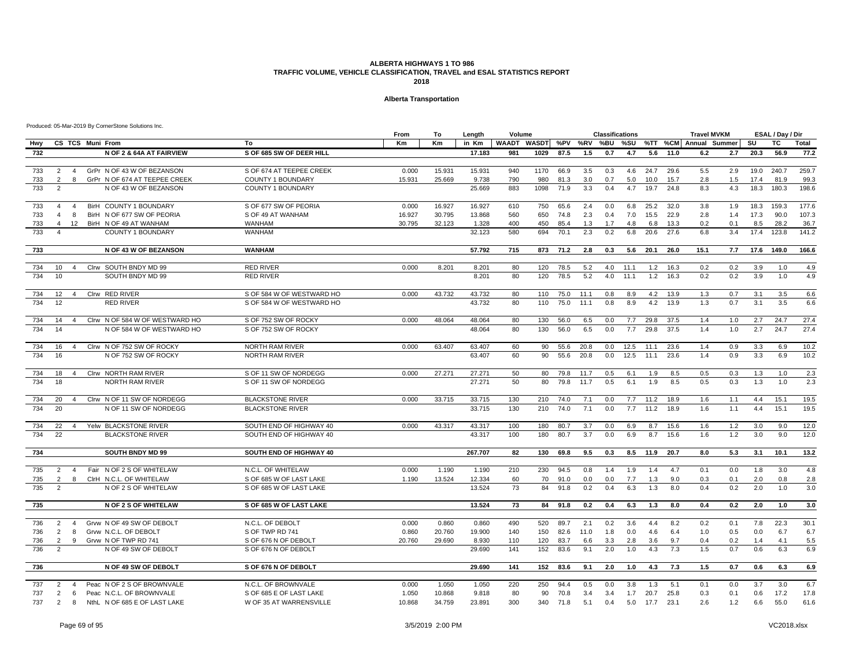#### **Alberta Transportation**

|     |                |                |                  |                                |                           | From      | То        | Length         | Volume       |              |          |            | <b>Classifications</b> |      |      |          | <b>Travel MVKM</b>    |     |      | ESAL / Day / Dir |       |
|-----|----------------|----------------|------------------|--------------------------------|---------------------------|-----------|-----------|----------------|--------------|--------------|----------|------------|------------------------|------|------|----------|-----------------------|-----|------|------------------|-------|
| Hwy |                |                | CS TCS Muni From |                                | To                        | <b>Km</b> | <b>Km</b> | in Km          | <b>WAADT</b> | <b>WASDT</b> |          | %PV %RV    | %BU                    | %SU  |      |          | %TT %CM Annual Summer |     | SU   | TC               | Total |
| 732 |                |                |                  | N OF 2 & 64A AT FAIRVIEW       | S OF 685 SW OF DEER HILL  |           |           | 17.183         | 981          | 1029         | 87.5     | 1.5        | 0.7                    | 4.7  |      | 5.6 11.0 | 6.2                   | 2.7 | 20.3 | 56.9             | 77.2  |
|     |                |                |                  |                                |                           |           |           |                |              |              |          |            |                        |      |      |          |                       |     |      |                  |       |
| 733 | 2              | $\overline{4}$ |                  | GrPr N OF 43 W OF BEZANSON     | S OF 674 AT TEEPEE CREEK  | 0.000     | 15.931    | 15.931         | 940          | 1170         | 66.9     | 3.5        | 0.3                    | 4.6  | 24.7 | 29.6     | 5.5                   | 2.9 | 19.0 | 240.7            | 259.7 |
| 733 | 2              | 8              |                  | GrPr N OF 674 AT TEEPEE CREEK  | <b>COUNTY 1 BOUNDARY</b>  | 15.931    | 25.669    | 9.738          | 790          | 980          | 81.3     | 3.0        | 0.7                    | 5.0  | 10.0 | 15.7     | 2.8                   | 1.5 | 17.4 | 81.9             | 99.3  |
| 733 | $\overline{2}$ |                |                  | N OF 43 W OF BEZANSON          | <b>COUNTY 1 BOUNDARY</b>  |           |           | 25.669         | 883          | 1098         | 71.9     | 3.3        | 0.4                    | 4.7  | 19.7 | 24.8     | 8.3                   | 4.3 | 18.3 | 180.3            | 198.6 |
| 733 | $\overline{4}$ | $\overline{4}$ |                  | BirH COUNTY 1 BOUNDARY         | S OF 677 SW OF PEORIA     | 0.000     | 16.927    | 16.927         | 610          | 750          | 65.6     | 2.4        | 0.0                    | 6.8  | 25.2 | 32.0     | 3.8                   | 1.9 | 18.3 | 159.3            | 177.6 |
| 733 | $\overline{4}$ | 8              |                  | BirH N OF 677 SW OF PEORIA     | S OF 49 AT WANHAM         | 16.927    | 30.795    | 13.868         | 560          | 650          | 74.8     | 2.3        | 0.4                    | 7.0  | 15.5 | 22.9     | 2.8                   | 1.4 | 17.3 | 90.0             | 107.3 |
| 733 | $\overline{4}$ | 12             |                  | BirH N OF 49 AT WANHAM         | <b>WANHAM</b>             | 30.795    | 32.123    | 1.328          | 400          | 450          | 85.4     | 1.3        | 1.7                    | 4.8  | 6.8  | 13.3     | 0.2                   | 0.1 | 8.5  | 28.2             | 36.7  |
| 733 | $\overline{a}$ |                |                  | <b>COUNTY 1 BOUNDARY</b>       | <b>WANHAM</b>             |           |           | 32.123         | 580          | 694          | 70.1     | 2.3        | 0.2                    | 6.8  | 20.6 | 27.6     | 6.8                   | 3.4 | 17.4 | 123.8            | 141.2 |
| 733 |                |                |                  | N OF 43 W OF BEZANSON          | <b>WANHAM</b>             |           |           | 57.792         | 715          |              | 873 71.2 | 2.8        | 0.3                    | 5.6  | 20.1 | 26.0     | 15.1                  | 7.7 | 17.6 | 149.0            | 166.6 |
| 734 | 10             | $\overline{4}$ |                  | Cirw SOUTH BNDY MD 99          | <b>RED RIVER</b>          | 0.000     | 8.201     | 8.201          | 80           | 120          | 78.5     | 5.2        | 4.0                    | 11.1 | 1.2  | 16.3     | 0.2                   | 0.2 | 3.9  | 1.0              | 4.9   |
| 734 | 10             |                |                  | SOUTH BNDY MD 99               | <b>RED RIVER</b>          |           |           | 8.201          | 80           | 120          | 78.5     | 5.2        | 4.0                    | 11.1 | 1.2  | 16.3     | 0.2                   | 0.2 | 3.9  | 1.0              | 4.9   |
|     |                |                |                  |                                |                           |           |           |                |              |              |          |            |                        |      |      |          |                       |     |      |                  |       |
| 734 | 12             | 4              |                  | Cirw RED RIVER                 | S OF 584 W OF WESTWARD HO | 0.000     | 43.732    | 43.732         | 80           | 110          | 75.0     | 11.1       | 0.8                    | 8.9  | 4.2  | 13.9     | 1.3                   | 0.7 | 3.1  | 3.5              | 6.6   |
| 734 | 12             |                |                  | <b>RED RIVER</b>               | S OF 584 W OF WESTWARD HO |           |           | 43.732         | 80           | 110          | 75.0     | 11.1       | 0.8                    | 8.9  | 4.2  | 13.9     | 1.3                   | 0.7 | 3.1  | 3.5              | 6.6   |
| 734 | 14             | 4              |                  | Cirw N OF 584 W OF WESTWARD HO | S OF 752 SW OF ROCKY      | 0.000     | 48.064    | 48.064         | 80           | 130          | 56.0     | 6.5        | 0.0                    | 7.7  | 29.8 | 37.5     | 1.4                   | 1.0 | 2.7  | 24.7             | 27.4  |
| 734 | 14             |                |                  | N OF 584 W OF WESTWARD HO      | S OF 752 SW OF ROCKY      |           |           | 48.064         | 80           | 130          | 56.0     | 6.5        | 0.0                    | 7.7  | 29.8 | 37.5     | 1.4                   | 1.0 | 2.7  | 24.7             | 27.4  |
|     |                |                |                  |                                |                           |           |           |                |              |              |          |            |                        |      |      |          |                       |     |      |                  |       |
| 734 | 16             | $\overline{4}$ |                  | Cirw N OF 752 SW OF ROCKY      | <b>NORTH RAM RIVER</b>    | 0.000     | 63.407    | 63.407         | 60           | 90           | 55.6     | 20.8       | 0.0                    | 12.5 | 11.1 | 23.6     | 1.4                   | 0.9 | 3.3  | 6.9              | 10.2  |
| 734 | 16             |                |                  | N OF 752 SW OF ROCKY           | <b>NORTH RAM RIVER</b>    |           |           | 63.407         | 60           | 90           | 55.6     | 20.8       | 0.0                    | 12.5 | 11.1 | 23.6     | 1.4                   | 0.9 | 3.3  | 6.9              | 10.2  |
| 734 | 18             | $\overline{4}$ |                  | Clrw NORTH RAM RIVER           | S OF 11 SW OF NORDEGG     | 0.000     | 27.271    | 27.271         | 50           | 80           | 79.8     | 11.7       | 0.5                    | 6.1  | 1.9  | 8.5      | 0.5                   | 0.3 | 1.3  | 1.0              | 2.3   |
| 734 | 18             |                |                  | <b>NORTH RAM RIVER</b>         | S OF 11 SW OF NORDEGG     |           |           | 27.271         | 50           | 80           | 79.8     | 11.7       | 0.5                    | 6.1  | 1.9  | 8.5      | 0.5                   | 0.3 | 1.3  | 1.0              | 2.3   |
|     |                |                |                  |                                |                           |           |           |                |              |              |          |            |                        |      |      |          |                       |     |      |                  |       |
| 734 | 20             | 4              |                  | Clrw N OF 11 SW OF NORDEGG     | <b>BLACKSTONE RIVER</b>   | 0.000     | 33.715    | 33.715         | 130          | 210          | 74.0     | 7.1        | 0.0                    | 7.7  | 11.2 | 18.9     | 1.6                   | 1.1 | 4.4  | 15.1             | 19.5  |
| 734 | 20             |                |                  | N OF 11 SW OF NORDEGG          | <b>BLACKSTONE RIVER</b>   |           |           | 33.715         | 130          | 210          | 74.0     | 7.1        | 0.0                    | 7.7  | 11.2 | 18.9     | 1.6                   | 1.1 | 4.4  | 15.1             | 19.5  |
| 734 | 22             | $\overline{4}$ |                  | Yelw BLACKSTONE RIVER          | SOUTH END OF HIGHWAY 40   | 0.000     | 43.317    | 43.317         | 100          | 180          | 80.7     | 3.7        | 0.0                    | 6.9  | 8.7  | 15.6     | 1.6                   | 1.2 | 3.0  | 9.0              | 12.0  |
| 734 | 22             |                |                  | <b>BLACKSTONE RIVER</b>        | SOUTH END OF HIGHWAY 40   |           |           | 43.317         | 100          | 180          | 80.7     | 3.7        | 0.0                    | 6.9  | 8.7  | 15.6     | 1.6                   | 1.2 | 3.0  | 9.0              | 12.0  |
|     |                |                |                  |                                |                           |           |           |                |              |              |          |            |                        |      |      |          |                       |     |      |                  |       |
| 734 |                |                |                  | SOUTH BNDY MD 99               | SOUTH END OF HIGHWAY 40   |           |           | 267.707        | 82           | 130          | 69.8     | 9.5        | 0.3                    | 8.5  | 11.9 | 20.7     | 8.0                   | 5.3 | 3.1  | 10.1             | 13.2  |
| 735 | $\overline{2}$ | $\overline{4}$ |                  | Fair N OF 2 S OF WHITELAW      | N.C.L. OF WHITELAW        | 0.000     | 1.190     | 1.190          | 210          | 230          | 94.5     | 0.8        | 1.4                    | 1.9  | 1.4  | 4.7      | 0.1                   | 0.0 | 1.8  | 3.0              | 4.8   |
| 735 | $\overline{2}$ | 8              |                  | CIrH N.C.L. OF WHITELAW        | S OF 685 W OF LAST LAKE   | 1.190     | 13.524    | 12.334         | 60           | 70           | 91.0     | 0.0        | 0.0                    | 7.7  | 1.3  | 9.0      | 0.3                   | 0.1 | 2.0  | 0.8              | 2.8   |
| 735 | $\overline{2}$ |                |                  | N OF 2 S OF WHITELAW           | S OF 685 W OF LAST LAKE   |           |           | 13.524         | 73           | 84           | 91.8     | 0.2        | 0.4                    | 6.3  | 1.3  | 8.0      | 0.4                   | 0.2 | 2.0  | 1.0              | 3.0   |
| 735 |                |                |                  | N OF 2 S OF WHITELAW           | S OF 685 W OF LAST LAKE   |           |           | 13.524         | 73           | 84           | 91.8     | 0.2        | 0.4                    | 6.3  | 1.3  | 8.0      | 0.4                   | 0.2 | 2.0  | 1.0              | 3.0   |
|     |                |                |                  |                                |                           |           |           |                |              |              |          |            |                        |      |      |          |                       |     |      |                  |       |
| 736 | 2              | $\overline{4}$ |                  | Grvw N OF 49 SW OF DEBOLT      | N.C.L. OF DEBOLT          | 0.000     | 0.860     | 0.860          | 490          | 520          | 89.7     | 2.1        | 0.2                    | 3.6  | 4.4  | 8.2      | 0.2                   | 0.1 | 7.8  | 22.3             | 30.1  |
| 736 | $\overline{2}$ | 8              |                  | Grvw N.C.L. OF DEBOLT          | S OF TWP RD 741           | 0.860     | 20.760    | 19.900         | 140          | 150          | 82.6     | 11.0       | 1.8                    | 0.0  | 4.6  | 6.4      | 1.0                   | 0.5 | 0.0  | 6.7              | 6.7   |
| 736 | 2              | 9              |                  | Grvw N OF TWP RD 741           | S OF 676 N OF DEBOLT      | 20.760    | 29.690    | 8.930          | 110          | 120          | 83.7     | 6.6        | 3.3                    | 2.8  | 3.6  | 9.7      | 0.4                   | 0.2 | 1.4  | 4.1              | 5.5   |
| 736 | $\overline{2}$ |                |                  | N OF 49 SW OF DEBOLT           | S OF 676 N OF DEBOLT      |           |           | 29.690         | 141          | 152          | 83.6     | 9.1        | 2.0                    | 1.0  | 4.3  | 7.3      | 1.5                   | 0.7 | 0.6  | 6.3              | 6.9   |
| 736 |                |                |                  | N OF 49 SW OF DEBOLT           | S OF 676 N OF DEBOLT      |           |           | 29.690         | 141          | 152          | 83.6     | 9.1        | 2.0                    | 1.0  | 4.3  | 7.3      | $1.5$                 | 0.7 | 0.6  | 6.3              | 6.9   |
| 737 | 2              | $\overline{4}$ |                  | Peac N OF 2 S OF BROWNVALE     | N.C.L. OF BROWNVALE       | 0.000     | 1.050     |                | 220          | 250          | 94.4     |            | 0.0                    | 3.8  | 1.3  | 5.1      | 0.1                   | 0.0 | 3.7  | 3.0              | 6.7   |
| 737 | 2              | 6              |                  | Peac N.C.L. OF BROWNVALE       | S OF 685 E OF LAST LAKE   | 1.050     | 10.868    | 1.050<br>9.818 | 80           | 90           | 70.8     | 0.5<br>3.4 | 3.4                    | 1.7  | 20.7 | 25.8     | 0.3                   | 0.1 | 0.6  | 17.2             | 17.8  |
| 737 | 2              | 8              |                  | NthL N OF 685 E OF LAST LAKE   | W OF 35 AT WARRENSVILLE   | 10.868    | 34.759    | 23.891         | 300          | 340          | 71.8     | 5.1        | 0.4                    | 5.0  | 17.7 | 23.1     | 2.6                   | 1.2 | 6.6  | 55.0             | 61.6  |
|     |                |                |                  |                                |                           |           |           |                |              |              |          |            |                        |      |      |          |                       |     |      |                  |       |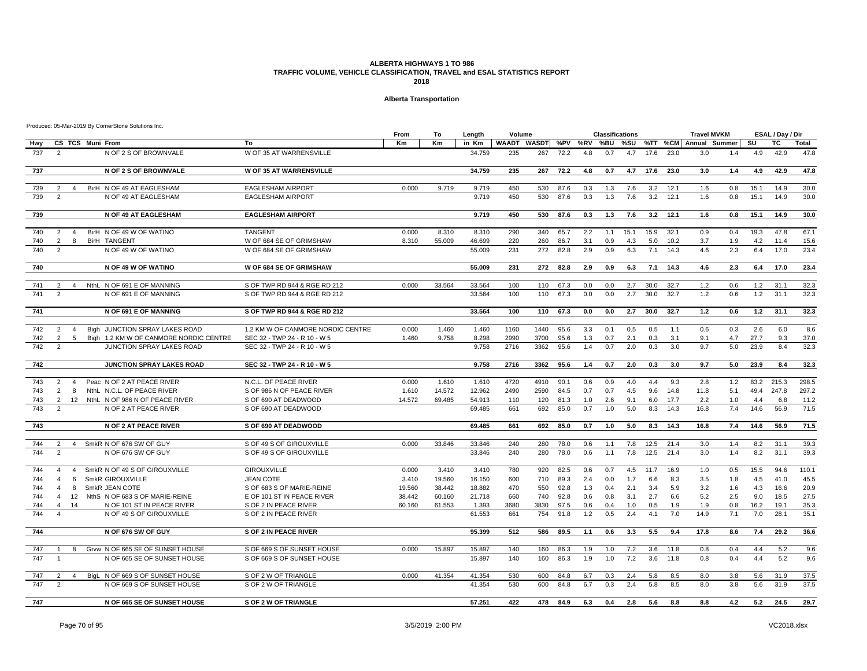#### **Alberta Transportation**

|            |                         |                |                  |                                                               |                                              | From   | То     | Length           | Volume     |                     |              |            | <b>Classifications</b> |            |            |            | <b>Travel MVKM</b>    |            |            | ESAL / Day / Dir |              |
|------------|-------------------------|----------------|------------------|---------------------------------------------------------------|----------------------------------------------|--------|--------|------------------|------------|---------------------|--------------|------------|------------------------|------------|------------|------------|-----------------------|------------|------------|------------------|--------------|
| Hwy        |                         |                | CS TCS Muni From |                                                               | To                                           | Km     | Κm     | in Km            |            | WAADT WASDT %PV %RV |              |            | %BU                    | %SU        |            |            | %TT %CM Annual Summer |            | SU         | тс               | Total        |
| 737        | 2                       |                |                  | N OF 2 S OF BROWNVALE                                         | W OF 35 AT WARRENSVILLE                      |        |        | 34.759           | 235        | 267                 | 72.2         | 4.8        | 0.7                    | 4.7        | 17.6       | 23.0       | 3.0                   | 1.4        | 4.9        | 42.9             | 47.8         |
| 737        |                         |                |                  | N OF 2 S OF BROWNVALE                                         | <b>W OF 35 AT WARRENSVILLE</b>               |        |        | 34.759           | 235        | 267                 | 72.2         | 4.8        | 0.7                    | 4.7        | 17.6       | 23.0       | 3.0                   | 1.4        | 4.9        | 42.9             | 47.8         |
| 739        | 2                       | $\overline{4}$ |                  | BirH N OF 49 AT EAGLESHAM                                     | <b>EAGLESHAM AIRPORT</b>                     | 0.000  | 9.719  | 9.719            | 450        | 530                 | 87.6         | 0.3        | 1.3                    | 7.6        | 3.2        | 12.1       | 1.6                   | 0.8        | 15.1       | 14.9             | 30.0         |
| 739        | $\overline{2}$          |                |                  | N OF 49 AT EAGLESHAM                                          | <b>EAGLESHAM AIRPORT</b>                     |        |        | 9.719            | 450        | 530                 | 87.6         | 0.3        | 1.3                    | 7.6        | 3.2        | 12.1       | 1.6                   | 0.8        | 15.1       | 14.9             | 30.0         |
|            |                         |                |                  |                                                               |                                              |        |        |                  |            |                     |              |            |                        |            |            |            |                       |            |            |                  |              |
| 739        |                         |                |                  | N OF 49 AT EAGLESHAM                                          | <b>EAGLESHAM AIRPORT</b>                     |        |        | 9.719            | 450        | 530                 | 87.6         | 0.3        | 1.3                    | 7.6        | 3.2        | 12.1       | 1.6                   | 0.8        | 15.1       | 14.9             | 30.0         |
| 740        | 2                       | $\overline{4}$ |                  | BirH N OF 49 W OF WATINO                                      | <b>TANGENT</b>                               | 0.000  | 8.310  | 8.310            | 290        | 340                 | 65.7         | 2.2        | 1.1                    | 15.1       | 15.9       | 32.1       | 0.9                   | 0.4        | 19.3       | 47.8             | 67.1         |
| 740        | 2                       | 8              |                  | <b>BirH TANGENT</b>                                           | W OF 684 SE OF GRIMSHAW                      | 8.310  | 55.009 | 46.699           | 220        | 260                 | 86.7         | 3.1        | 0.9                    | 4.3        | 5.0        | 10.2       | 3.7                   | 1.9        | 4.2        | 11.4             | 15.6         |
| 740        | $\overline{2}$          |                |                  | N OF 49 W OF WATINO                                           | W OF 684 SE OF GRIMSHAW                      |        |        | 55.009           | 231        | 272                 | 82.8         | 2.9        | 0.9                    | 6.3        | 7.1        | 14.3       | 4.6                   | 2.3        | 6.4        | 17.0             | 23.4         |
| 740        |                         |                |                  | N OF 49 W OF WATINO                                           | W OF 684 SE OF GRIMSHAW                      |        |        | 55.009           | 231        | 272                 | 82.8         | 2.9        | 0.9                    | 6.3        | 7.1        | 14.3       | 4.6                   | 2.3        | 6.4        | 17.0             | 23.4         |
| 741        | 2                       | $\overline{4}$ |                  | NthL N OF 691 E OF MANNING                                    | S OF TWP RD 944 & RGE RD 212                 | 0.000  | 33.564 | 33.564           | 100        | 110                 | 67.3         | 0.0        | 0.0                    | 2.7        | 30.0       | 32.7       | 1.2                   | 0.6        | 1.2        | 31.1             | 32.3         |
| 741        | $\overline{2}$          |                |                  | N OF 691 E OF MANNING                                         | S OF TWP RD 944 & RGE RD 212                 |        |        | 33.564           | 100        | 110                 | 67.3         | 0.0        | 0.0                    | 2.7        | 30.0       | 32.7       | 1.2                   | 0.6        | 1.2        | 31.1             | 32.3         |
| 741        |                         |                |                  | N OF 691 E OF MANNING                                         | S OF TWP RD 944 & RGE RD 212                 |        |        | 33.564           | 100        | 110                 | 67.3         | 0.0        | 0.0                    | 2.7        | 30.0       | 32.7       | $1.2$                 | 0.6        | 1.2        | 31.1             | 32.3         |
|            |                         |                |                  |                                                               |                                              |        |        |                  |            |                     |              |            |                        |            |            |            |                       |            |            |                  |              |
| 742        | 2                       | $\overline{4}$ |                  | Bigh JUNCTION SPRAY LAKES ROAD                                | 1.2 KM W OF CANMORE NORDIC CENTRE            | 0.000  | 1.460  | 1.460            | 1160       | 1440                | 95.6         | 3.3        | 0.1                    | 0.5        | 0.5        | 1.1        | 0.6                   | 0.3        | 2.6        | 6.0              | 8.6          |
| 742        | 2                       | 5              |                  | Bigh 1.2 KM W OF CANMORE NORDIC CENTRE                        | SEC 32 - TWP 24 - R 10 - W 5                 | 1.460  | 9.758  | 8.298            | 2990       | 3700                | 95.6         | 1.3        | 0.7                    | 2.1        | 0.3        | 3.1        | 9.1                   | 4.7        | 27.7       | 9.3              | 37.0         |
| 742        | 2                       |                |                  | JUNCTION SPRAY LAKES ROAD                                     | SEC 32 - TWP 24 - R 10 - W 5                 |        |        | 9.758            | 2716       | 3362                | 95.6         | 1.4        | 0.7                    | 2.0        | 0.3        | 3.0        | 9.7                   | 5.0        | 23.9       | 8.4              | 32.3         |
| 742        |                         |                |                  | <b>JUNCTION SPRAY LAKES ROAD</b>                              | SEC 32 - TWP 24 - R 10 - W 5                 |        |        | 9.758            | 2716       | 3362                | 95.6         | 1.4        | 0.7                    | 2.0        | 0.3        | 3.0        | 9.7                   | 5.0        | 23.9       | 8.4              | 32.3         |
| 743        | 2                       | $\overline{4}$ |                  | Peac N OF 2 AT PEACE RIVER                                    | N.C.L. OF PEACE RIVER                        | 0.000  | 1.610  | 1.610            | 4720       | 4910                | 90.1         | 0.6        | 0.9                    | 4.0        | 4.4        | 9.3        | 2.8                   | 1.2        | 83.2       | 215.3            | 298.5        |
| 743        | 2                       | 8              |                  | NthL N.C.L. OF PEACE RIVER                                    | S OF 986 N OF PEACE RIVER                    | 1.610  | 14.572 | 12.962           | 2490       | 2590                | 84.5         | 0.7        | 0.7                    | 4.5        | 9.6        | 14.8       | 11.8                  | 5.1        | 49.4       | 247.8            | 297.2        |
| 743        | 2                       | 12             |                  | NthL N OF 986 N OF PEACE RIVER                                | S OF 690 AT DEADWOOD                         | 14.572 | 69.485 | 54.913           | 110        | 120                 | 81.3         | 1.0        | 2.6                    | 9.1        | 6.0        | 17.7       | 2.2                   | 1.0        | 4.4        | 6.8              | 11.2         |
| 743        | 2                       |                |                  | N OF 2 AT PEACE RIVER                                         | S OF 690 AT DEADWOOD                         |        |        | 69.485           | 661        | 692                 | 85.0         | 0.7        | 1.0                    | 5.0        | 8.3        | 14.3       | 16.8                  | 7.4        | 14.6       | 56.9             | 71.5         |
| 743        |                         |                |                  | N OF 2 AT PEACE RIVER                                         | S OF 690 AT DEADWOOD                         |        |        | 69.485           | 661        | 692                 | 85.0         | 0.7        | 1.0                    | 5.0        | 8.3        | 14.3       | 16.8                  | 7.4        | 14.6       | 56.9             | 71.5         |
| 744        | $\overline{2}$          | $\overline{4}$ |                  | SmkR N OF 676 SW OF GUY                                       | S OF 49 S OF GIROUXVILLE                     | 0.000  | 33.846 | 33.846           | 240        | 280                 | 78.0         | 0.6        | 1.1                    | 7.8        | 12.5       | 21.4       | 3.0                   | 1.4        | 8.2        | 31.1             | 39.3         |
| 744        | $\overline{2}$          |                |                  | N OF 676 SW OF GUY                                            | S OF 49 S OF GIROUXVILLE                     |        |        | 33.846           | 240        | 280                 | 78.0         | 0.6        | 1.1                    | 7.8        | 12.5       | 21.4       | 3.0                   | 1.4        | 8.2        | 31.1             | 39.3         |
|            |                         |                |                  |                                                               |                                              |        |        |                  |            |                     |              |            |                        |            |            |            |                       |            |            |                  |              |
| 744        | $\overline{4}$          | $\overline{4}$ |                  | SmkR N OF 49 S OF GIROUXVILLE                                 | <b>GIROUXVILLE</b>                           | 0.000  | 3.410  | 3.410            | 780        | 920                 | 82.5         | 0.6        | 0.7                    | 4.5        | 11.7       | 16.9       | 1.0                   | 0.5        | 15.5       | 94.6             | 110.1        |
| 744        | $\overline{a}$          | 6              |                  | <b>SmkR GIROUXVILLE</b>                                       | JEAN COTE                                    | 3.410  | 19.560 | 16.150           | 600        | 710                 | 89.3         | 2.4        | 0.0                    | 1.7        | 6.6        | 8.3        | 3.5                   | 1.8        | 4.5        | 41.0             | 45.5         |
| 744        | $\overline{\mathbf{4}}$ | 8              |                  | SmkR JEAN COTE                                                | S OF 683 S OF MARIE-REINE                    | 19.560 | 38.442 | 18.882           | 470        | 550                 | 92.8         | 1.3        | 0.4                    | 2.1        | 3.4        | 5.9        | 3.2                   | 1.6        | 4.3        | 16.6             | 20.9         |
| 744        | $\overline{4}$          | 12             |                  | NthS N OF 683 S OF MARIE-REINE                                | E OF 101 ST IN PEACE RIVER                   | 38.442 | 60.160 | 21.718           | 660        | 740                 | 92.8         | 0.6        | 0.8                    | 3.1        | 2.7        | 6.6        | 5.2                   | 2.5        | 9.0        | 18.5             | 27.5         |
| 744        | $\overline{4}$          | 14             |                  | N OF 101 ST IN PEACE RIVER                                    | S OF 2 IN PEACE RIVER                        | 60.160 | 61.553 | 1.393            | 3680       | 3830                | 97.5         | 0.6        | 0.4                    | 1.0        | 0.5        | 1.9        | 1.9                   | 0.8        | 16.2       | 19.1             | 35.3         |
| 744        | $\overline{4}$          |                |                  | N OF 49 S OF GIROUXVILLE                                      | S OF 2 IN PEACE RIVER                        |        |        | 61.553           | 661        | 754                 | 91.8         | 1.2        | 0.5                    | 2.4        | 4.1        | 7.0        | 14.9                  | 7.1        | 7.0        | 28.1             | 35.1         |
| 744        |                         |                |                  | N OF 676 SW OF GUY                                            | <b>S OF 2 IN PEACE RIVER</b>                 |        |        | 95.399           | 512        | 586                 | 89.5         | 1.1        | 0.6                    | 3.3        | 5.5        | 9.4        | 17.8                  | 8.6        | 7.4        | 29.2             | 36.6         |
| 747        |                         | 8              |                  | Grvw N OF 665 SE OF SUNSET HOUSE                              | S OF 669 S OF SUNSET HOUSE                   | 0.000  | 15.897 | 15.897           | 140        | 160                 | 86.3         | 1.9        | 1.0                    | 7.2        | 3.6        | 11.8       | 0.8                   | 0.4        | 4.4        | 5.2              | 9.6          |
| 747        | $\overline{1}$          |                |                  | N OF 665 SE OF SUNSET HOUSE                                   | S OF 669 S OF SUNSET HOUSE                   |        |        | 15.897           | 140        | 160                 | 86.3         | 1.9        | 1.0                    | 7.2        | 3.6        | 11.8       | 0.8                   | 0.4        | 4.4        | 5.2              | 9.6          |
|            |                         |                |                  |                                                               |                                              |        |        |                  |            |                     |              |            |                        |            |            |            |                       |            |            |                  |              |
| 747<br>747 | 2<br>2                  | $\overline{4}$ |                  | BigL N OF 669 S OF SUNSET HOUSE<br>N OF 669 S OF SUNSET HOUSE | S OF 2 W OF TRIANGLE<br>S OF 2 W OF TRIANGLE | 0.000  | 41.354 | 41.354<br>41.354 | 530<br>530 | 600<br>600          | 84.8<br>84.8 | 6.7<br>6.7 | 0.3<br>0.3             | 2.4<br>2.4 | 5.8<br>5.8 | 8.5<br>8.5 | 8.0<br>8.0            | 3.8<br>3.8 | 5.6<br>5.6 | 31.9<br>31.9     | 37.5<br>37.5 |
|            |                         |                |                  |                                                               |                                              |        |        |                  |            |                     |              |            |                        |            |            |            |                       |            |            |                  |              |
| 747        |                         |                |                  | N OF 665 SE OF SUNSET HOUSE                                   | <b>S OF 2 W OF TRIANGLE</b>                  |        |        | 57.251           | 422        | 478                 | 84.9         | 6.3        | 0.4                    | 2.8        | 5.6        | 8.8        | 8.8                   | 4.2        | 5.2        | 24.5             | 29.7         |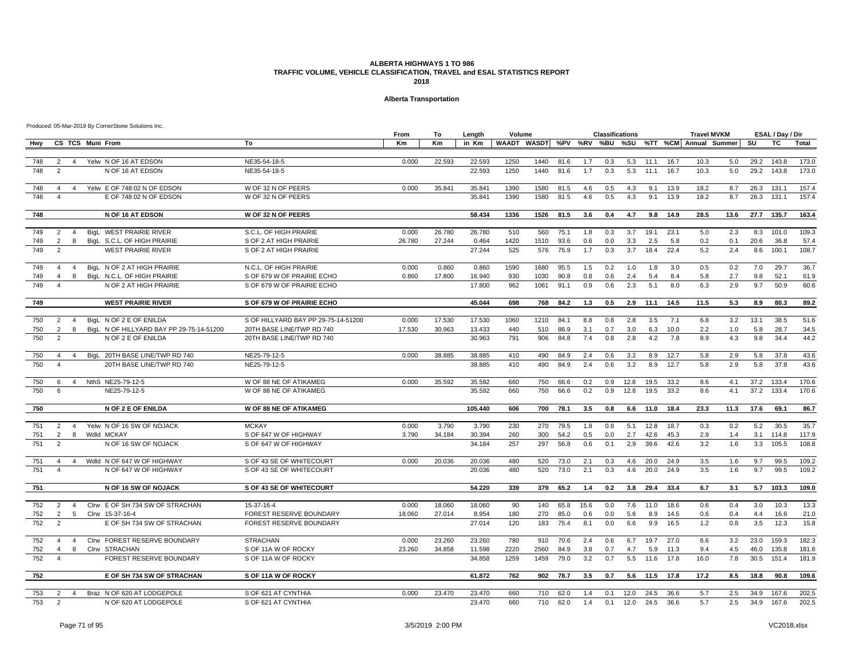#### **Alberta Transportation**

|            |                                           |                     |                                                       |                                                          | From   | To               | Length           | Volume     |              |              |            | <b>Classifications</b> |            |              |              | <b>Travel MVKM</b>                                |            |            | ESAL / Day / Dir |                |
|------------|-------------------------------------------|---------------------|-------------------------------------------------------|----------------------------------------------------------|--------|------------------|------------------|------------|--------------|--------------|------------|------------------------|------------|--------------|--------------|---------------------------------------------------|------------|------------|------------------|----------------|
| Hwy        |                                           |                     | CS TCS Muni From                                      | To                                                       | Кm     | Кm               | in Km            |            |              |              |            |                        |            |              |              | WAADT WASDT %PV %RV %BU %SU %TT %CM Annual Summer |            | SU         | <b>TC</b>        | <b>Total</b>   |
| 748        | 2                                         | $\overline{4}$      | Yelw N OF 16 AT EDSON                                 | NE35-54-18-5                                             | 0.000  | 22.593           | 22.593           | 1250       | 1440         | 81.6         | 1.7        | 0.3                    | 5.3        | 11.1         | 16.7         | 10.3                                              | 5.0        | 29.2       | 143.8            | 173.0          |
| 748        | 2                                         |                     | N OF 16 AT EDSON                                      | NE35-54-18-5                                             |        |                  | 22.593           | 1250       | 1440         | 81.6         | 1.7        | 0.3                    | 5.3        | 11.1         | 16.7         | 10.3                                              | 5.0        | 29.2       | 143.8            | 173.0          |
|            |                                           |                     |                                                       |                                                          |        |                  |                  |            |              |              |            |                        |            |              |              |                                                   |            |            |                  |                |
| 748        | $\overline{4}$                            | $\overline{4}$      | Yelw E OF 748:02 N OF EDSON                           | W OF 32 N OF PEERS                                       | 0.000  | 35.841           | 35.841           | 1390       | 1580         | 81.5         | 4.6        | 0.5                    | 4.3        | 9.1          | 13.9         | 18.2                                              | 8.7        | 26.3       | 131.1            | 157.4          |
| 748        | $\overline{\mathbf{4}}$                   |                     | E OF 748:02 N OF EDSON                                | W OF 32 N OF PEERS                                       |        |                  | 35.841           | 1390       | 1580         | 81.5         | 4.6        | 0.5                    | 4.3        | 9.1          | 13.9         | 18.2                                              | 8.7        | 26.3       | 131.1            | 157.4          |
| 748        |                                           |                     | N OF 16 AT EDSON                                      | W OF 32 N OF PEERS                                       |        |                  | 58.434           | 1336       | 1526         | 81.5         | 3.6        | 0.4                    | 4.7        | 9.8          | 14.9         | 28.5                                              | 13.6       | 27.7       | 135.7            | 163.4          |
| 749        | $\overline{2}$                            |                     | BigL WEST PRAIRIE RIVER                               | S.C.L. OF HIGH PRAIRIE                                   | 0.000  |                  | 26.780           | 510        | 560          | 75.1         | 1.8        | 0.3                    | 3.7        | 19.1         | 23.1         | $5.0$                                             | 2.3        | 8.3        | 101.0            | 109.3          |
| 749        | 2                                         | $\overline{4}$<br>8 | BigL S.C.L. OF HIGH PRAIRIE                           | S OF 2 AT HIGH PRAIRIE                                   | 26.780 | 26.780<br>27.244 | 0.464            | 1420       | 1510         | 93.6         | 0.6        | 0.0                    | 3.3        | 2.5          | 5.8          | 0.2                                               | 0.1        | 20.6       | 36.8             | 57.4           |
| 749        | $\overline{2}$                            |                     | <b>WEST PRAIRIE RIVER</b>                             | S OF 2 AT HIGH PRAIRIE                                   |        |                  | 27.244           | 525        | 576          | 75.9         | 1.7        | 0.3                    | 3.7        | 18.4         | 22.4         | 5.2                                               | 2.4        | 8.6        | 100.1            | 108.7          |
|            |                                           |                     |                                                       |                                                          |        |                  |                  |            |              |              |            |                        |            |              |              |                                                   |            |            |                  |                |
| 749        | $\overline{4}$                            | $\overline{4}$      | BigL N OF 2 AT HIGH PRAIRIE                           | N.C.L. OF HIGH PRAIRIE                                   | 0.000  | 0.860            | 0.860            | 1590       | 1680         | 95.5         | 1.5        | 0.2                    | 1.0        | 1.8          | 3.0          | 0.5                                               | 0.2        | 7.0        | 29.7             | 36.7           |
| 749<br>749 | $\overline{4}$<br>$\overline{\mathbf{4}}$ | 8                   | BigL N.C.L. OF HIGH PRAIRIE<br>N OF 2 AT HIGH PRAIRIE | S OF 679 W OF PRAIRIE ECHO<br>S OF 679 W OF PRAIRIE ECHO | 0.860  | 17.800           | 16.940<br>17,800 | 930<br>962 | 1030<br>1061 | 90.8<br>91.1 | 0.8<br>0.9 | 0.6<br>0.6             | 2.4<br>2.3 | 5.4<br>5.1   | 8.4<br>8.0   | 5.8<br>6.3                                        | 2.7<br>2.9 | 9.8<br>9.7 | 52.1<br>50.9     | 61.9<br>60.6   |
|            |                                           |                     |                                                       |                                                          |        |                  |                  |            |              |              |            |                        |            |              |              |                                                   |            |            |                  |                |
| 749        |                                           |                     | <b>WEST PRAIRIE RIVER</b>                             | S OF 679 W OF PRAIRIE ECHO                               |        |                  | 45.044           | 698        | 768          | 84.2         | 1.3        | 0.5                    | 2.9        | 11.1         | 14.5         | 11.5                                              | 5.3        | 8.9        | 80.3             | 89.2           |
| 750        | $\overline{2}$                            | $\overline{4}$      | BigL N OF 2 E OF ENILDA                               | S OF HILLYARD BAY PP 29-75-14-51200                      | 0.000  | 17.530           | 17.530           | 1060       | 1210         | 84.1         | 8.8        | 0.8                    | 2.8        | 3.5          | 7.1          | 6.8                                               | 3.2        | 13.1       | 38.5             | 51.6           |
| 750        | 2                                         | 8                   | BigL N OF HILLYARD BAY PP 29-75-14-51200              | 20TH BASE LINE/TWP RD 740                                | 17.530 | 30.963           | 13.433           | 440        | 510          | 86.9         | 3.1        | 0.7                    | 3.0        | 6.3          | 10.0         | 2.2                                               | 1.0        | 5.8        | 28.7             | 34.5           |
| 750        | 2                                         |                     | N OF 2 E OF ENILDA                                    | 20TH BASE LINE/TWP RD 740                                |        |                  | 30.963           | 791        | 906          | 84.8         | 7.4        | 0.8                    | 2.8        | 4.2          | 7.8          | 8.9                                               | 4.3        | 9.8        | 34.4             | 44.2           |
| 750        | $\overline{4}$                            | $\overline{4}$      | BigL 20TH BASE LINE/TWP RD 740                        | NE25-79-12-5                                             | 0.000  | 38.885           | 38.885           | 410        | 490          | 84.9         | 2.4        | 0.6                    | 3.2        | 8.9          | 12.7         | 5.8                                               | 2.9        | 5.8        | 37.8             | 43.6           |
| 750        | $\overline{\mathbf{4}}$                   |                     | 20TH BASE LINE/TWP RD 740                             | NE25-79-12-5                                             |        |                  | 38.885           | 410        | 490          | 84.9         | 2.4        | 0.6                    | 3.2        | 8.9          | 12.7         | 5.8                                               | 2.9        | 5.8        | 37.8             | 43.6           |
| 750        | 6                                         | 4                   | NthS NE25-79-12-5                                     | W OF 88 NE OF ATIKAMEG                                   | 0.000  | 35.592           | 35.592           | 660        | 750          | 66.6         | 0.2        | 0.9                    | 12.8       | 19.5         | 33.2         | 8.6                                               | 4.1        | 37.2       | 133.4            | 170.6          |
| 750        | 6                                         |                     | NE25-79-12-5                                          | W OF 88 NE OF ATIKAMEG                                   |        |                  | 35.592           | 660        | 750          | 66.6         | 0.2        | 0.9                    | 12.8       | 19.5         | 33.2         | 8.6                                               | 4.1        | 37.2       | 133.4            | 170.6          |
| 750        |                                           |                     | N OF 2 E OF ENILDA                                    | <b>W OF 88 NE OF ATIKAMEG</b>                            |        |                  | 105.440          | 606        | 700          | 78.1         | 3.5        | 0.8                    | 6.6        | 11.0         | 18.4         | 23.3                                              | 11.3       | 17.6       | 69.1             | 86.7           |
|            |                                           |                     |                                                       |                                                          |        |                  |                  |            |              |              |            |                        |            |              |              |                                                   |            |            |                  |                |
| 751        | $\overline{2}$                            | $\overline{4}$      | Yelw N OF 16 SW OF NOJACK                             | <b>MCKAY</b>                                             | 0.000  | 3.790            | 3.790            | 230        | 270          | 79.5         | 1.8        | 0.8                    | 5.1        | 12.8         | 18.7         | 0.3                                               | 0.2        | 5.2        | 30.5             | 35.7           |
| 751<br>751 | $\overline{2}$<br>2                       | 8                   | Wdld MCKAY<br>N OF 16 SW OF NOJACK                    | S OF 647 W OF HIGHWAY<br>S OF 647 W OF HIGHWAY           | 3.790  | 34.184           | 30.394<br>34.184 | 260<br>257 | 300<br>297   | 54.2<br>56.8 | 0.5<br>0.6 | 0.0<br>0.1             | 2.7<br>2.9 | 42.6<br>39.6 | 45.3<br>42.6 | 2.9<br>3.2                                        | 1.4<br>1.6 | 3.1<br>3.3 | 114.8<br>105.5   | 117.9<br>108.8 |
|            |                                           |                     |                                                       |                                                          |        |                  |                  |            |              |              |            |                        |            |              |              |                                                   |            |            |                  |                |
| 751        | $\overline{4}$                            | $\overline{4}$      | Wdld N OF 647 W OF HIGHWAY                            | S OF 43 SE OF WHITECOURT                                 | 0.000  | 20.036           | 20.036           | 480        | 520          | 73.0         | 2.1        | 0.3                    | 4.6        | 20.0         | 24.9         | 3.5                                               | 1.6        | 9.7        | 99.5             | 109.2          |
| 751        | $\overline{\mathbf{4}}$                   |                     | N OF 647 W OF HIGHWAY                                 | S OF 43 SE OF WHITECOURT                                 |        |                  | 20.036           | 480        | 520          | 73.0         | 2.1        | 0.3                    | 4.6        | 20.0         | 24.9         | 3.5                                               | 1.6        | 9.7        | 99.5             | 109.2          |
| 751        |                                           |                     | N OF 16 SW OF NOJACK                                  | S OF 43 SE OF WHITECOURT                                 |        |                  | 54.220           | 339        | 379          | 65.2         | 1.4        | 0.2                    | 3.8        | 29.4         | 33.4         | 6.7                                               | 3.1        | 5.7        | 103.3            | 109.0          |
| 752        | $\overline{2}$                            | $\overline{4}$      | CIrw E OF SH 734 SW OF STRACHAN                       | 15-37-16-4                                               | 0.000  | 18.060           | 18.060           | 90         | 140          | 65.8         | 15.6       | 0.0                    | 7.6        | 11.0         | 18.6         | 0.6                                               | 0.4        | 3.0        | 10.3             | 13.3           |
| 752        | 2                                         | 5                   | Clrw 15-37-16-4                                       | FOREST RESERVE BOUNDARY                                  | 18.060 | 27.014           | 8.954            | 180        | 270          | 85.0         | 0.6        | 0.0                    | 5.6        | 8.9          | 14.5         | 0.6                                               | 0.4        | 4.4        | 16.6             | 21.0           |
| 752        | $\overline{2}$                            |                     | E OF SH 734 SW OF STRACHAN                            | FOREST RESERVE BOUNDARY                                  |        |                  | 27.014           | 120        | 183          | 75.4         | 8.1        | 0.0                    | 6.6        | 9.9          | 16.5         | 1.2                                               | 0.8        | 3.5        | 12.3             | 15.8           |
| 752        | $\overline{4}$                            | $\overline{4}$      | CIrw FOREST RESERVE BOUNDARY                          | <b>STRACHAN</b>                                          | 0.000  | 23.260           | 23.260           | 780        | 910          | 70.6         | 2.4        | 0.6                    | 6.7        | 19.7         | 27.0         | 6.6                                               | 3.2        | 23.0       | 159.3            | 182.3          |
| 752        | $\overline{4}$                            | 8                   | Cirw STRACHAN                                         | S OF 11A W OF ROCKY                                      | 23.260 | 34.858           | 11.598           | 2220       | 2560         | 84.9         | 3.8        | 0.7                    | 4.7        | 5.9          | 11.3         | 9.4                                               | 4.5        | 46.0       | 135.8            | 181.8          |
| 752        | $\overline{\mathbf{4}}$                   |                     | <b>FOREST RESERVE BOUNDARY</b>                        | S OF 11A W OF ROCKY                                      |        |                  | 34.858           | 1259       | 1459         | 79.0         | 3.2        | 0.7                    | 5.5        | 11.6         | 17.8         | 16.0                                              | 7.8        | 30.5       | 151.4            | 181.9          |
| 752        |                                           |                     | E OF SH 734 SW OF STRACHAN                            | S OF 11A W OF ROCKY                                      |        |                  | 61.872           | 762        | 902          | 78.7         | 3.5        | 0.7                    | 5.6        | 11.5         | 17.8         | 17.2                                              | 8.5        | 18.8       | 90.8             | 109.6          |
|            |                                           |                     |                                                       |                                                          |        |                  |                  |            |              |              |            |                        |            |              |              |                                                   |            |            |                  |                |
| 753        | $\overline{2}$                            | $\overline{4}$      | Braz N OF 620 AT LODGEPOLE                            | S OF 621 AT CYNTHIA                                      | 0.000  | 23.470           | 23,470           | 660        | 710          | 62.0         | 1.4        | 0.1                    | 12.0       | 24.5         | 36.6         | 5.7                                               | 2.5        | 34.9       | 167.6            | 202.5          |
| 753        | $\overline{2}$                            |                     | N OF 620 AT LODGEPOLE                                 | S OF 621 AT CYNTHIA                                      |        |                  | 23,470           | 660        | 710          | 62.0         | 1.4        | 0.1                    | 12.0       | 24.5         | 36.6         | 5.7                                               | 2.5        | 34.9       | 167.6            | 202.5          |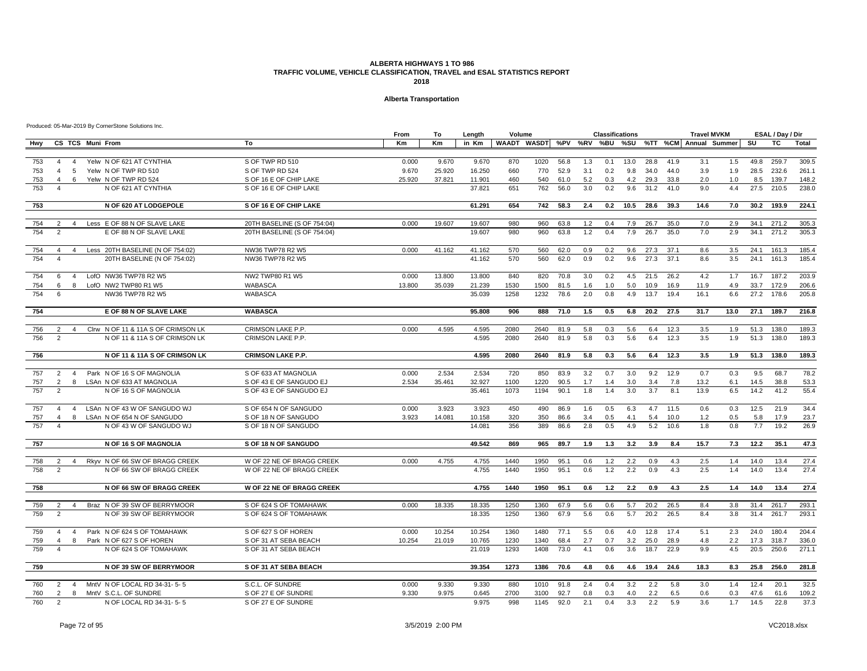#### **Alberta Transportation**

|            |                         |                |                  |                                                                     |                                        | From   | To        | Length         | Volume       |              |              |            | <b>Classifications</b> |            |            |              | <b>Travel MVKM</b>                                |            |              | ESAL / Day / Dir |                |
|------------|-------------------------|----------------|------------------|---------------------------------------------------------------------|----------------------------------------|--------|-----------|----------------|--------------|--------------|--------------|------------|------------------------|------------|------------|--------------|---------------------------------------------------|------------|--------------|------------------|----------------|
| Hwv        |                         |                | CS TCS Muni From |                                                                     | To                                     | Km     | <b>Km</b> | in Km          |              |              |              |            |                        |            |            |              | WAADT WASDT %PV %RV %BU %SU %TT %CM Annual Summer |            | SU           | <b>TC</b>        | Total          |
|            |                         |                |                  |                                                                     |                                        |        |           |                |              |              |              |            |                        |            |            |              |                                                   |            |              |                  |                |
| 753        | $\overline{4}$          | $\overline{4}$ |                  | Yelw N OF 621 AT CYNTHIA                                            | S OF TWP RD 510                        | 0.000  | 9.670     | 9.670          | 870          | 1020         | 56.8         | 1.3        | 0.1                    | 13.0       | 28.8       | 41.9         | 3.1                                               | 1.5        | 49.8         | 259.7            | 309.5          |
| 753        | $\overline{4}$          | -5             |                  | Yelw N OF TWP RD 510                                                | S OF TWP RD 524                        | 9.670  | 25.920    | 16.250         | 660          | 770          | 52.9         | 3.1        | 0.2                    | 9.8        | 34.0       | 44.0         | 3.9                                               | 1.9        | 28.5         | 232.6            | 261.1          |
| 753        | $\overline{4}$          | 6              |                  | Yelw N OF TWP RD 524                                                | S OF 16 E OF CHIP LAKE                 | 25.920 | 37.821    | 11.901         | 460          | 540          | 61.0         | 5.2        | 0.3                    | 4.2        | 29.3       | 33.8         | 2.0                                               | 1.0        | 8.5          | 139.7            | 148.2          |
| 753        | $\overline{\mathbf{4}}$ |                |                  | N OF 621 AT CYNTHIA                                                 | S OF 16 E OF CHIP LAKE                 |        |           | 37.821         | 651          | 762          | 56.0         | 3.0        | 0.2                    | 9.6        | 31.2       | 41.0         | 9.0                                               | 4.4        | 27.5         | 210.5            | 238.0          |
| 753        |                         |                |                  | N OF 620 AT LODGEPOLE                                               | S OF 16 E OF CHIP LAKE                 |        |           | 61.291         | 654          | 742          | 58.3         | 2.4        | 0.2                    | 10.5       | 28.6       | 39.3         | 14.6                                              | 7.0        | 30.2         | 193.9            | 224.1          |
| 754        | $\overline{2}$          | $\overline{4}$ |                  | Less E OF 88 N OF SLAVE LAKE                                        | 20TH BASELINE (S OF 754:04)            | 0.000  | 19.607    | 19.607         | 980          | 960          | 63.8         | 1.2        | 0.4                    | 7.9        | 26.7       | 35.0         | 7.0                                               | 2.9        | 34.1         | 271.2            | 305.3          |
| 754        | $\overline{2}$          |                |                  | E OF 88 N OF SLAVE LAKE                                             | 20TH BASELINE (S OF 754:04)            |        |           | 19.607         | 980          | 960          | 63.8         | 1.2        | 0.4                    | 7.9        | 26.7       | 35.0         | 7.0                                               | 2.9        | 34.1         | 271.2            | 305.3          |
| 754        | $\overline{4}$          | $\overline{4}$ |                  | Less 20TH BASELINE (N OF 754:02)                                    | NW36 TWP78 R2 W5                       | 0.000  | 41.162    | 41.162         | 570          | 560          | 62.0         | 0.9        | 0.2                    | 9.6        | 27.3       | 37.1         | 8.6                                               | 3.5        | 24.1         | 161.3            | 185.4          |
| 754        | $\overline{4}$          |                |                  | 20TH BASELINE (N OF 754:02)                                         | NW36 TWP78 R2 W5                       |        |           | 41.162         | 570          | 560          | 62.0         | 0.9        | 0.2                    | 9.6        | 27.3       | 37.1         | 8.6                                               | 3.5        | 24.1         | 161.3            | 185.4          |
| 754        | 6                       | $\overline{4}$ |                  | LofO NW36 TWP78 R2 W5                                               | NW2 TWP80 R1 W5                        | 0.000  | 13.800    | 13.800         | 840          | 820          | 70.8         | 3.0        | 0.2                    | 4.5        | 21.5       | 26.2         | 4.2                                               | 1.7        | 16.7         | 187.2            | 203.9          |
| 754        | 6                       | 8              |                  | LofO NW2 TWP80 R1 W5                                                | <b>WABASCA</b>                         | 13.800 | 35.039    | 21.239         | 1530         | 1500         | 81.5         | 1.6        | 1.0                    | 5.0        | 10.9       | 16.9         | 11.9                                              | 4.9        | 33.7         | 172.9            | 206.6          |
| 754        | 6                       |                |                  | NW36 TWP78 R2 W5                                                    | <b>WABASCA</b>                         |        |           | 35.039         | 1258         | 1232         | 78.6         | 2.0        | 0.8                    | 4.9        | 13.7       | 19.4         | 16.1                                              | 6.6        | 27.2         | 178.6            | 205.8          |
| 754        |                         |                |                  | E OF 88 N OF SLAVE LAKE                                             | <b>WABASCA</b>                         |        |           | 95.808         | 906          | 888          | 71.0         | 1.5        | 0.5                    | 6.8        | 20.2       | 27.5         | 31.7                                              | 13.0       | 27.1         | 189.7            | 216.8          |
|            |                         |                |                  |                                                                     |                                        |        |           |                |              |              |              |            |                        |            |            |              |                                                   |            |              |                  |                |
| 756<br>756 | 2<br>2                  | $\overline{4}$ |                  | Cirw N OF 11 & 11A S OF CRIMSON LK<br>N OF 11 & 11A S OF CRIMSON LK | CRIMSON LAKE P.P.<br>CRIMSON LAKE P.P. | 0.000  | 4.595     | 4.595<br>4.595 | 2080<br>2080 | 2640<br>2640 | 81.9<br>81.9 | 5.8<br>5.8 | 0.3<br>0.3             | 5.6<br>5.6 | 6.4<br>6.4 | 12.3<br>12.3 | 3.5<br>3.5                                        | 1.9<br>1.9 | 51.3<br>51.3 | 138.0<br>138.0   | 189.3<br>189.3 |
|            |                         |                |                  |                                                                     |                                        |        |           |                |              |              |              |            |                        |            |            |              |                                                   |            |              |                  |                |
| 756        |                         |                |                  | N OF 11 & 11A S OF CRIMSON LK                                       | <b>CRIMSON LAKE P.P.</b>               |        |           | 4.595          | 2080         | 2640         | 81.9         | 5.8        | 0.3                    | 5.6        | 6.4        | 12.3         | 3.5                                               | 1.9        | 51.3         | 138.0            | 189.3          |
| 757        | $\overline{2}$          | $\overline{4}$ |                  | Park N OF 16 S OF MAGNOLIA                                          | S OF 633 AT MAGNOLIA                   | 0.000  | 2.534     | 2.534          | 720          | 850          | 83.9         | 3.2        | 0.7                    | 3.0        | 9.2        | 12.9         | 0.7                                               | 0.3        | 9.5          | 68.7             | 78.2           |
| 757        | 2                       |                |                  | 8 LSAn N OF 633 AT MAGNOLIA                                         | S OF 43 E OF SANGUDO EJ                | 2.534  | 35.461    | 32.927         | 1100         | 1220         | 90.5         | 1.7        | 1.4                    | 3.0        | 3.4        | 7.8          | 13.2                                              | 6.1        | 14.5         | 38.8             | 53.3           |
| 757        | $\overline{2}$          |                |                  | N OF 16 S OF MAGNOLIA                                               | S OF 43 E OF SANGUDO EJ                |        |           | 35.461         | 1073         | 1194         | 90.1         | 1.8        | 1.4                    | 3.0        | 3.7        | 8.1          | 13.9                                              | 6.5        | 14.2         | 41.2             | 55.4           |
| 757        | $\overline{4}$          | $\overline{4}$ |                  | LSAn N OF 43 W OF SANGUDO WJ                                        | S OF 654 N OF SANGUDO                  | 0.000  | 3.923     | 3.923          | 450          | 490          | 86.9         | 1.6        | 0.5                    | 6.3        | 4.7        | 11.5         | 0.6                                               | 0.3        | 12.5         | 21.9             | 34.4           |
| 757        | $\overline{4}$          |                |                  | 8 LSAn N OF 654 N OF SANGUDO                                        | S OF 18 N OF SANGUDO                   | 3.923  | 14.081    | 10.158         | 320          | 350          | 86.6         | 3.4        | 0.5                    | 4.1        | 5.4        | 10.0         | 1.2                                               | 0.5        | 5.8          | 17.9             | 23.7           |
| 757        | $\overline{\mathbf{4}}$ |                |                  | N OF 43 W OF SANGUDO WJ                                             | S OF 18 N OF SANGUDO                   |        |           | 14.081         | 356          | 389          | 86.6         | 2.8        | 0.5                    | 4.9        | 5.2        | 10.6         | 1.8                                               | 0.8        | 7.7          | 19.2             | 26.9           |
| 757        |                         |                |                  | N OF 16 S OF MAGNOLIA                                               | S OF 18 N OF SANGUDO                   |        |           | 49.542         | 869          | 965          | 89.7         | 1.9        | 1.3                    | 3.2        | 3.9        | 8.4          | 15.7                                              | 7.3        | 12.2         | 35.1             | 47.3           |
| 758        | 2                       | $\overline{4}$ |                  | Rkyv N OF 66 SW OF BRAGG CREEK                                      | W OF 22 NE OF BRAGG CREEK              | 0.000  | 4.755     | 4.755          | 1440         | 1950         | 95.1         | 0.6        | 1.2                    | 2.2        | 0.9        | 4.3          | 2.5                                               | 1.4        | 14.0         | 13.4             | 27.4           |
| 758        | $\overline{2}$          |                |                  | N OF 66 SW OF BRAGG CREEK                                           | W OF 22 NE OF BRAGG CREEK              |        |           | 4.755          | 1440         | 1950         | 95.1         | 0.6        | 1.2                    | 2.2        | 0.9        | 4.3          | 2.5                                               | 1.4        | 14.0         | 13.4             | 27.4           |
| 758        |                         |                |                  | N OF 66 SW OF BRAGG CREEK                                           | <b>W OF 22 NE OF BRAGG CREEK</b>       |        |           | 4.755          | 1440         | 1950         | 95.1         | 0.6        | 1.2                    | 2.2        | 0.9        | 4.3          | 2.5                                               | 1.4        | 14.0         | 13.4             | 27.4           |
|            |                         |                |                  |                                                                     |                                        |        |           |                |              |              |              |            |                        |            |            |              |                                                   |            |              |                  |                |
| 759        | 2                       | $\overline{4}$ |                  | Braz N OF 39 SW OF BERRYMOOR                                        | S OF 624 S OF TOMAHAWK                 | 0.000  | 18.335    | 18.335         | 1250         | 1360         | 67.9         | 5.6        | 0.6                    | 5.7        | 20.2       | 26.5         | 8.4                                               | 3.8        | 31.4         | 261.7            | 293.1          |
| 759        | $\overline{2}$          |                |                  | N OF 39 SW OF BERRYMOOR                                             | S OF 624 S OF TOMAHAWK                 |        |           | 18.335         | 1250         | 1360         | 67.9         | 5.6        | 0.6                    | 5.7        | 20.2       | 26.5         | 8.4                                               | 3.8        | 31.4         | 261.7            | 293.1          |
| 759        | $\overline{4}$          | $\overline{4}$ |                  | Park N OF 624 S OF TOMAHAWK                                         | S OF 627 S OF HOREN                    | 0.000  | 10.254    | 10.254         | 1360         | 1480         | 77.1         | 5.5        | 0.6                    | 4.0        | 12.8       | 17.4         | 5.1                                               | 2.3        | 24.0         | 180.4            | 204.4          |
| 759        | 4                       | 8              |                  | Park N OF 627 S OF HOREN                                            | S OF 31 AT SEBA BEACH                  | 10.254 | 21.019    | 10.765         | 1230         | 1340         | 68.4         | 2.7        | 0.7                    | 3.2        | 25.0       | 28.9         | 4.8                                               | 2.2        | 17.3         | 318.7            | 336.0          |
| 759        | $\overline{4}$          |                |                  | N OF 624 S OF TOMAHAWK                                              | S OF 31 AT SEBA BEACH                  |        |           | 21.019         | 1293         | 1408         | 73.0         | 4.1        | 0.6                    | 3.6        | 18.7       | 22.9         | 9.9                                               | 4.5        | 20.5         | 250.6            | 271.1          |
| 759        |                         |                |                  | N OF 39 SW OF BERRYMOOR                                             | S OF 31 AT SEBA BEACH                  |        |           | 39.354         | 1273         | 1386         | 70.6         | 4.8        | 0.6                    | 4.6        | 19.4       | 24.6         | 18.3                                              | 8.3        | 25.8         | 256.0            | 281.8          |
| 760        | 2                       | $\overline{4}$ |                  | MntV N OF LOCAL RD 34-31-5-5                                        | S.C.L. OF SUNDRE                       | 0.000  | 9.330     | 9.330          | 880          | 1010         | 91.8         | 2.4        | 0.4                    | 3.2        | 2.2        | 5.8          | 3.0                                               | 1.4        | 12.4         | 20.1             | 32.5           |
| 760        | 2                       | 8              |                  | MntV S.C.L. OF SUNDRE                                               | S OF 27 E OF SUNDRE                    | 9.330  | 9.975     | 0.645          | 2700         | 3100         | 92.7         | 0.8        | 0.3                    | 4.0        | 2.2        | 6.5          | 0.6                                               | 0.3        | 47.6         | 61.6             | 109.2          |
| 760        | 2                       |                |                  | N OF LOCAL RD 34-31-5-5                                             | S OF 27 E OF SUNDRE                    |        |           | 9.975          | 998          | 1145         | 92.0         | 2.1        | 0.4                    | 3.3        | 2.2        | 5.9          | 3.6                                               | 1.7        | 14.5         | 22.8             | 37.3           |
|            |                         |                |                  |                                                                     |                                        |        |           |                |              |              |              |            |                        |            |            |              |                                                   |            |              |                  |                |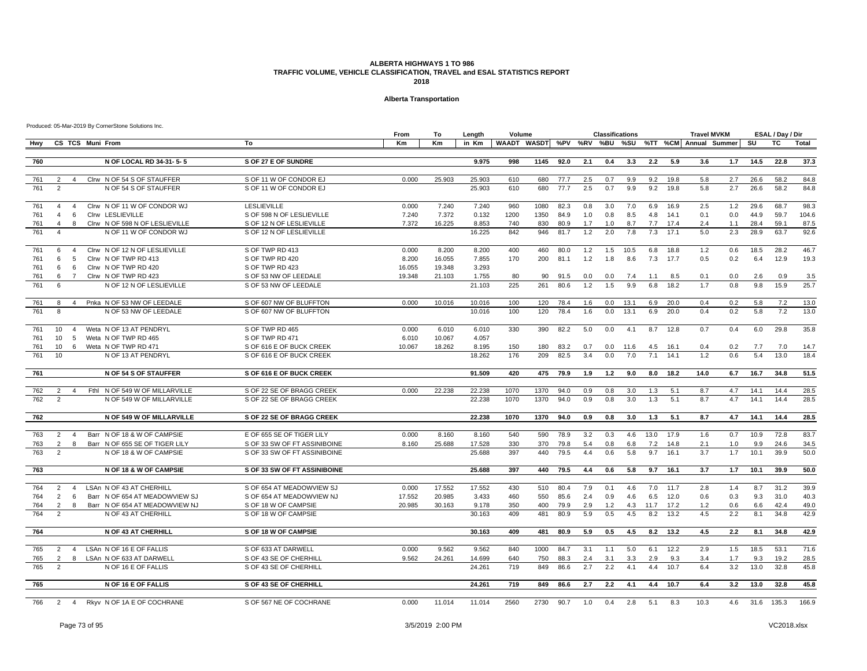#### **Alberta Transportation**

|            |                                  |                     |                                                          |                                                      | From           | To              | Length          | Volume                                            |             |              |            | <b>Classifications</b> |            |             |              | <b>Travel MVKM</b> |            |              | ESAL / Day / Dir |              |
|------------|----------------------------------|---------------------|----------------------------------------------------------|------------------------------------------------------|----------------|-----------------|-----------------|---------------------------------------------------|-------------|--------------|------------|------------------------|------------|-------------|--------------|--------------------|------------|--------------|------------------|--------------|
| Hwy        |                                  |                     | CS TCS Muni From                                         | To                                                   | Km             | Km              | in Km           | WAADT WASDT %PV %RV %BU %SU %TT %CM Annual Summer |             |              |            |                        |            |             |              |                    |            | SU           | TC               | Total        |
|            |                                  |                     |                                                          |                                                      |                |                 |                 |                                                   |             |              |            |                        |            |             |              |                    |            |              |                  |              |
| 760        |                                  |                     | N OF LOCAL RD 34-31-5-5                                  | S OF 27 E OF SUNDRE                                  |                |                 | 9.975           | 998                                               | 1145        | 92.0         | 2.1        | 0.4                    | 3.3        | 2.2         | 5.9          | 3.6                | 1.7        | 14.5         | 22.8             | 37.3         |
| 761        | $\overline{2}$                   | $\overline{4}$      | CIrw N OF 54 S OF STAUFFER                               | S OF 11 W OF CONDOR EJ                               | 0.000          | 25.903          | 25.903          | 610                                               | 680         | 77.7         | 2.5        | 0.7                    | 9.9        | 9.2         | 19.8         | 5.8                | 2.7        | 26.6         | 58.2             | 84.8         |
| 761        | 2                                |                     | N OF 54 S OF STAUFFER                                    | S OF 11 W OF CONDOR EJ                               |                |                 | 25.903          | 610                                               | 680         | 77.7         | 2.5        | 0.7                    | 9.9        | 9.2         | 19.8         | 5.8                | 2.7        | 26.6         | 58.2             | 84.8         |
|            |                                  |                     |                                                          |                                                      |                |                 |                 |                                                   |             |              |            |                        |            |             |              |                    |            |              |                  |              |
| 761        | $\overline{4}$                   | $\overline{4}$      | Cirw N OF 11 W OF CONDOR WJ                              | <b>LESLIEVILLE</b>                                   | 0.000          | 7.240           | 7.240           | 960                                               | 1080        | 82.3         | 0.8        | 3.0                    | 7.0        | 6.9         | 16.9         | 2.5                | 1.2        | 29.6         | 68.7             | 98.3         |
| 761        | $\overline{4}$                   | 6                   | Cirw LESLIEVILLE                                         | S OF 598 N OF LESLIEVILLE                            | 7.240          | 7.372           | 0.132           | 1200                                              | 1350        | 84.9         | 1.0        | 0.8                    | 8.5        | 4.8         | 14.1         | 0.1                | 0.0        | 44.9         | 59.7             | 104.6        |
| 761<br>761 | $\overline{4}$<br>$\overline{4}$ | 8                   | Cirw N OF 598 N OF LESLIEVILLE<br>N OF 11 W OF CONDOR WJ | S OF 12 N OF LESLIEVILLE<br>S OF 12 N OF LESLIEVILLE | 7.372          | 16.225          | 8.853<br>16.225 | 740<br>842                                        | 830<br>946  | 80.9<br>81.7 | 1.7<br>1.2 | 1.0<br>2.0             | 8.7<br>7.8 | 7.7<br>7.3  | 17.4<br>17.1 | 2.4<br>5.0         | 1.1<br>2.3 | 28.4<br>28.9 | 59.1<br>63.7     | 87.5<br>92.6 |
|            |                                  |                     |                                                          |                                                      |                |                 |                 |                                                   |             |              |            |                        |            |             |              |                    |            |              |                  |              |
| 761        | 6                                | $\overline{4}$      | Cirw N OF 12 N OF LESLIEVILLE                            | S OF TWP RD 413                                      | 0.000          | 8.200           | 8.200           | 400                                               | 460         | 80.0         | 1.2        | 1.5                    | 10.5       | 6.8         | 18.8         | $1.2$              | 0.6        | 18.5         | 28.2             | 46.7         |
| 761        | 6                                | 5                   | Cirw N OF TWP RD 413                                     | S OF TWP RD 420                                      | 8.200          | 16.055          | 7.855           | 170                                               | 200         | 81.1         | 1.2        | 1.8                    | 8.6        | 7.3         | 17.7         | 0.5                | 0.2        | 6.4          | 12.9             | 19.3         |
| 761        | 6                                | - 6                 | Cirw N OF TWP RD 420                                     | S OF TWP RD 423                                      | 16.055         | 19.348          | 3.293           |                                                   |             |              |            |                        |            |             |              |                    |            |              |                  |              |
| 761        | 6                                |                     | Cirw N OF TWP RD 423                                     | S OF 53 NW OF LEEDALE                                | 19.348         | 21.103          | 1.755           | 80                                                | 90          | 91.5         | 0.0        | 0.0                    | 7.4        | 1.1         | 8.5          | 0.1                | 0.0        | 2.6          | 0.9              | 3.5          |
| 761        | 6                                |                     | N OF 12 N OF LESLIEVILLE                                 | S OF 53 NW OF LEEDALE                                |                |                 | 21.103          | 225                                               | 261         | 80.6         | 1.2        | 1.5                    | 9.9        | 6.8         | 18.2         | 1.7                | 0.8        | 9.8          | 15.9             | 25.7         |
| 761        | 8                                | $\overline{4}$      | Pnka N OF 53 NW OF LEEDALE                               | S OF 607 NW OF BLUFFTON                              | 0.000          | 10.016          | 10.016          | 100                                               | 120         | 78.4         | 1.6        | 0.0                    | 13.1       | 6.9         | 20.0         | 0.4                | 0.2        | 5.8          | 7.2              | 13.0         |
| 761        | 8                                |                     | N OF 53 NW OF LEEDALE                                    | S OF 607 NW OF BLUFFTON                              |                |                 | 10.016          | 100                                               | 120         | 78.4         | 1.6        | 0.0                    | 13.1       | 6.9         | 20.0         | 0.4                | 0.2        | 5.8          | 7.2              | 13.0         |
|            |                                  |                     |                                                          |                                                      |                |                 |                 |                                                   |             |              |            |                        |            |             |              |                    |            |              |                  |              |
| 761        | 10                               | $\overline{4}$      | Weta N OF 13 AT PENDRYL                                  | S OF TWP RD 465                                      | 0.000          | 6.010           | 6.010           | 330                                               | 390         | 82.2         | 5.0        | 0.0                    | 4.1        | 8.7         | 12.8         | 0.7                | 0.4        | 6.0          | 29.8             | 35.8         |
| 761        | 10 <sup>10</sup>                 | - 5                 | Weta N OF TWP RD 465                                     | S OF TWP RD 471                                      | 6.010          | 10.067          | 4.057           |                                                   |             |              |            |                        |            |             |              |                    |            |              |                  |              |
| 761        | 10                               | 6                   | Weta N OF TWP RD 471                                     | S OF 616 E OF BUCK CREEK                             | 10.067         | 18.262          | 8.195           | 150                                               | 180         | 83.2         | 0.7        | 0.0                    | 11.6       | 4.5         | 16.1         | 0.4                | 0.2        | 7.7          | 7.0              | 14.7         |
| 761        | 10                               |                     | N OF 13 AT PENDRYL                                       | S OF 616 E OF BUCK CREEK                             |                |                 | 18.262          | 176                                               | 209         | 82.5         | 3.4        | 0.0                    | 7.0        | 7.1         | 14.1         | 1.2                | 0.6        | 5.4          | 13.0             | 18.4         |
| 761        |                                  |                     | N OF 54 S OF STAUFFER                                    | S OF 616 E OF BUCK CREEK                             |                |                 | 91.509          | 420                                               | 475         | 79.9         | 1.9        | 1.2                    | 9.0        | 8.0         | 18.2         | 14.0               | 6.7        | 16.7         | 34.8             | 51.5         |
|            |                                  |                     |                                                          |                                                      |                |                 |                 |                                                   |             |              |            |                        |            |             |              |                    |            |              |                  |              |
| 762        | $\overline{2}$                   | $\overline{4}$      | FthI N OF 549 W OF MILLARVILLE                           | S OF 22 SE OF BRAGG CREEK                            | 0.000          | 22.238          | 22.238          | 1070                                              | 1370        | 94.0         | 0.9        | 0.8                    | 3.0        | 1.3         | 5.1          | 8.7                | 4.7        | 14.1         | 14.4             | 28.5         |
| 762        | 2                                |                     | N OF 549 W OF MILLARVILLE                                | S OF 22 SE OF BRAGG CREEK                            |                |                 | 22.238          | 1070                                              | 1370        | 94.0         | 0.9        | 0.8                    | 3.0        | 1.3         | 5.1          | 8.7                | 4.7        | 14.1         | 14.4             | 28.5         |
| 762        |                                  |                     | N OF 549 W OF MILLARVILLE                                | S OF 22 SE OF BRAGG CREEK                            |                |                 | 22.238          | 1070                                              | 1370        | 94.0         | 0.9        | 0.8                    | 3.0        | 1.3         | 5.1          | 8.7                | 4.7        | 14.1         | 14.4             | 28.5         |
|            |                                  |                     |                                                          |                                                      |                |                 |                 |                                                   |             |              |            |                        |            |             |              |                    |            |              |                  |              |
| 763        | $\overline{2}$                   | $\overline{4}$      | Barr N OF 18 & W OF CAMPSIE                              | E OF 655 SE OF TIGER LILY                            | 0.000          | 8.160           | 8.160           | 540                                               | 590         | 78.9         | 3.2        | 0.3                    | 4.6        | 13.0        | 17.9         | 1.6                | 0.7        | 10.9         | 72.8             | 83.7         |
| 763        | $\overline{2}$                   | 8                   | Barr N OF 655 SE OF TIGER LILY                           | S OF 33 SW OF FT ASSINIBOINE                         | 8.160          | 25.688          | 17.528          | 330                                               | 370         | 79.8         | 5.4        | 0.8                    | 6.8        | 7.2         | 14.8         | 2.1                | 1.0        | 9.9          | 24.6             | 34.5         |
| 763        | 2                                |                     | N OF 18 & W OF CAMPSIE                                   | S OF 33 SW OF FT ASSINIBOINE                         |                |                 | 25.688          | 397                                               | 440         | 79.5         | 4.4        | 0.6                    | 5.8        | 9.7         | 16.1         | 3.7                | 1.7        | 10.1         | 39.9             | 50.0         |
| 763        |                                  |                     | N OF 18 & W OF CAMPSIE                                   | S OF 33 SW OF FT ASSINIBOINE                         |                |                 | 25.688          | 397                                               | 440         | 79.5         | 4.4        | 0.6                    | 5.8        | 9.7         | 16.1         | 3.7                | 1.7        | 10.1         | 39.9             | 50.0         |
|            |                                  |                     |                                                          |                                                      |                |                 |                 |                                                   |             |              |            |                        |            |             |              |                    |            |              |                  |              |
| 764        | 2                                | $\overline{4}$      | LSAn N OF 43 AT CHERHILL                                 | S OF 654 AT MEADOWVIEW SJ                            | 0.000          | 17.552          | 17.552          | 430                                               | 510         | 80.4         | 7.9        | 0.1                    | 4.6        | 7.0         | 11.7         | 2.8                | 1.4        | 8.7          | 31.2             | 39.9         |
| 764        | $\overline{2}$                   | 6                   | Barr N OF 654 AT MEADOWVIEW SJ                           | S OF 654 AT MEADOWVIEW NJ                            | 17.552         | 20.985          | 3.433           | 460                                               | 550         | 85.6         | 2.4        | 0.9                    | 4.6        | 6.5         | 12.0         | 0.6                | 0.3        | 9.3          | 31.0             | 40.3         |
| 764<br>764 | $\overline{2}$<br>$\overline{2}$ | 8                   | Barr N OF 654 AT MEADOWVIEW NJ<br>N OF 43 AT CHERHILL    | S OF 18 W OF CAMPSIE<br>S OF 18 W OF CAMPSIE         | 20.985         | 30.163          | 9.178<br>30.163 | 350<br>409                                        | 400<br>481  | 79.9<br>80.9 | 2.9<br>5.9 | 1.2<br>0.5             | 4.3<br>4.5 | 11.7<br>8.2 | 17.2<br>13.2 | 1.2<br>4.5         | 0.6<br>2.2 | 6.6<br>8.1   | 42.4<br>34.8     | 49.0<br>42.9 |
|            |                                  |                     |                                                          |                                                      |                |                 |                 |                                                   |             |              |            |                        |            |             |              |                    |            |              |                  |              |
| 764        |                                  |                     | N OF 43 AT CHERHILL                                      | S OF 18 W OF CAMPSIE                                 |                |                 | 30.163          | 409                                               | 481         | 80.9         | 5.9        | 0.5                    | 4.5        | 8.2         | 13.2         | 4.5                | 2.2        | 8.1          | 34.8             | 42.9         |
|            |                                  |                     |                                                          |                                                      |                |                 |                 |                                                   |             |              |            |                        |            |             |              |                    |            |              |                  |              |
| 765<br>765 | 2<br>$\overline{2}$              | $\overline{4}$<br>8 | LSAn N OF 16 E OF FALLIS<br>LSAn N OF 633 AT DARWELL     | S OF 633 AT DARWELL<br>S OF 43 SE OF CHERHILL        | 0.000<br>9.562 | 9.562<br>24.261 | 9.562<br>14.699 | 840<br>640                                        | 1000<br>750 | 84.7<br>88.3 | 3.1<br>2.4 | 1.1<br>3.1             | 5.0<br>3.3 | 6.1<br>2.9  | 12.2<br>9.3  | 2.9<br>3.4         | 1.5<br>1.7 | 18.5<br>9.3  | 53.1<br>19.2     | 71.6<br>28.5 |
| 765        | $\overline{2}$                   |                     | N OF 16 E OF FALLIS                                      | S OF 43 SE OF CHERHILL                               |                |                 | 24.261          | 719                                               | 849         | 86.6         | 2.7        | 2.2                    | 4.1        | 4.4         | 10.7         | 6.4                | 3.2        | 13.0         | 32.8             | 45.8         |
|            |                                  |                     |                                                          |                                                      |                |                 |                 |                                                   |             |              |            |                        |            |             |              |                    |            |              |                  |              |
| 765        |                                  |                     | N OF 16 E OF FALLIS                                      | S OF 43 SE OF CHERHILL                               |                |                 | 24.261          | 719                                               | 849         | 86.6         | 2.7        | 2.2                    | 4.1        | 4.4         | 10.7         | 6.4                | 3.2        | 13.0         | 32.8             | 45.8         |
| 766        | $2 \quad 4$                      |                     | Rkyv N OF 1A E OF COCHRANE                               | S OF 567 NE OF COCHRANE                              | 0.000          | 11.014          | 11.014          | 2560                                              | 2730        | 90.7         | 1.0        | 0.4                    | 2.8        | 5.1         | 8.3          | 10.3               | 4.6        | 31.6         | 135.3            | 166.9        |
|            |                                  |                     |                                                          |                                                      |                |                 |                 |                                                   |             |              |            |                        |            |             |              |                    |            |              |                  |              |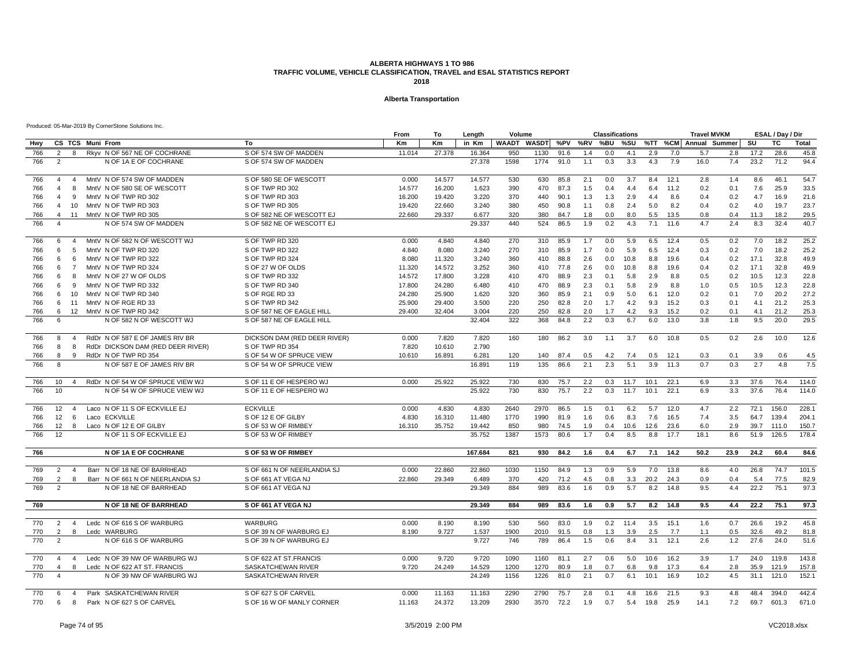#### **Alberta Transportation**

|     |                         |                |                                   |                              | From      | To     | Length  | Volume |                   |      |     | <b>Classifications</b> |      |      |      | <b>Travel MVKM</b>    |      |      | ESAL / Day / Dir |       |
|-----|-------------------------|----------------|-----------------------------------|------------------------------|-----------|--------|---------|--------|-------------------|------|-----|------------------------|------|------|------|-----------------------|------|------|------------------|-------|
| Hwy |                         |                | CS TCS Muni From                  | To                           | <b>Km</b> | Km     | in Km   | WAADT  | WASDT %PV %RV %BU |      |     |                        | %SU  |      |      | %TT %CM Annual Summer |      | SU   | TC               | Total |
| 766 | $\overline{2}$          | 8              | Rkyv N OF 567 NE OF COCHRANE      | S OF 574 SW OF MADDEN        | 11.014    | 27.378 | 16.364  | 950    | 1130              | 91.6 | 1.4 | 0.0                    | 4.1  | 2.9  | 7.0  | 5.7                   | 2.8  | 17.2 | 28.6             | 45.8  |
| 766 | 2                       |                | N OF 1A E OF COCHRANE             | S OF 574 SW OF MADDEN        |           |        | 27.378  | 1598   | 1774              | 91.0 | 1.1 | 0.3                    | 3.3  | 4.3  | 7.9  | 16.0                  | 7.4  | 23.2 | 71.2             | 94.4  |
|     |                         |                |                                   |                              |           |        |         |        |                   |      |     |                        |      |      |      |                       |      |      |                  |       |
| 766 | $\mathbf{\Lambda}$      | $\overline{4}$ | MntV N OF 574 SW OF MADDEN        | S OF 580 SE OF WESCOTT       | 0.000     | 14.577 | 14.577  | 530    | 630               | 85.8 | 2.1 | 0.0                    | 3.7  | 8.4  | 12.1 | 2.8                   | 1.4  | 8.6  | 46.1             | 54.7  |
| 766 | 4                       | 8              | MntV N OF 580 SE OF WESCOTT       | S OF TWP RD 302              | 14.577    | 16.200 | 1.623   | 390    | 470               | 87.3 | 1.5 | 0.4                    | 4.4  | 6.4  | 11.2 | 0.2                   | 0.1  | 7.6  | 25.9             | 33.5  |
| 766 | $\overline{4}$          | 9              | MntV N OF TWP RD 302              | S OF TWP RD 303              | 16.200    | 19.420 | 3.220   | 370    | 440               | 90.1 | 1.3 | 1.3                    | 2.9  | 4.4  | 8.6  | 0.4                   | 0.2  | 4.7  | 16.9             | 21.6  |
| 766 | 4                       | 10             | MntV N OF TWP RD 303              | S OF TWP RD 305              | 19.420    | 22.660 | 3.240   | 380    | 450               | 90.8 | 1.1 | 0.8                    | 2.4  | 5.0  | 8.2  | 0.4                   | 0.2  | 4.0  | 19.7             | 23.7  |
| 766 | $\overline{a}$          |                | 11 MntV N OF TWP RD 305           | S OF 582 NE OF WESCOTT EJ    | 22.660    | 29.337 | 6.677   | 320    | 380               | 84.7 | 1.8 | 0.0                    | 8.0  | 5.5  | 13.5 | 0.8                   | 0.4  | 11.3 | 18.2             | 29.5  |
| 766 | $\overline{\mathbf{A}}$ |                | N OF 574 SW OF MADDEN             | S OF 582 NE OF WESCOTT EJ    |           |        | 29.337  | 440    | 524               | 86.5 | 1.9 | 0.2                    | 4.3  | 7.1  | 11.6 | 4.7                   | 2.4  | 8.3  | 32.4             | 40.7  |
| 766 | 6                       | $\overline{4}$ | MntV N OF 582 N OF WESCOTT WJ     | S OF TWP RD 320              | 0.000     | 4.840  | 4.840   | 270    | 310               | 85.9 | 1.7 | 0.0                    | 5.9  | 6.5  | 12.4 | 0.5                   | 0.2  | 7.0  | 18.2             | 25.2  |
| 766 | 6                       | 5              | MntV N OF TWP RD 320              | S OF TWP RD 322              | 4.840     | 8.080  | 3.240   | 270    | 310               | 85.9 | 1.7 | 0.0                    | 5.9  | 6.5  | 12.4 | 0.3                   | 0.2  | 7.0  | 18.2             | 25.2  |
| 766 | 6                       | 6              | MntV N OF TWP RD 322              | S OF TWP RD 324              | 8.080     | 11.320 | 3.240   | 360    | 410               | 88.8 | 2.6 | 0.0                    | 10.8 | 8.8  | 19.6 | 0.4                   | 0.2  | 17.1 | 32.8             | 49.9  |
| 766 | 6                       | $\overline{7}$ | MntV N OF TWP RD 324              | S OF 27 W OF OLDS            | 11.320    | 14.572 | 3.252   | 360    | 410               | 77.8 | 2.6 | 0.0                    | 10.8 | 8.8  | 19.6 | 0.4                   | 0.2  | 17.1 | 32.8             | 49.9  |
| 766 | -6                      | 8              | MntV N OF 27 W OF OLDS            | S OF TWP RD 332              | 14.572    | 17,800 | 3.228   | 410    | 470               | 88.9 | 2.3 | 0.1                    | 5.8  | 2.9  | 8.8  | 0.5                   | 0.2  | 10.5 | 12.3             | 22.8  |
| 766 | 6                       | 9              | MntV N OF TWP RD 332              | S OF TWP RD 340              | 17.800    | 24.280 | 6.480   | 410    | 470               | 88.9 | 2.3 | 0.1                    | 5.8  | 2.9  | 8.8  | 1.0                   | 0.5  | 10.5 | 12.3             | 22.8  |
| 766 | 6                       | 10             | MntV N OF TWP RD 340              | S OF RGE RD 33               | 24.280    | 25.900 | 1.620   | 320    | 360               | 85.9 | 2.1 | 0.9                    | 5.0  | 6.1  | 12.0 | 0.2                   | 0.1  | 7.0  | 20.2             | 27.2  |
| 766 | 6                       | 11             | MntV N OF RGE RD 33               | S OF TWP RD 342              | 25.900    | 29,400 | 3.500   | 220    | 250               | 82.8 | 2.0 | 1.7                    | 4.2  | 9.3  | 15.2 | 0.3                   | 0.1  | 4.1  | 21.2             | 25.3  |
| 766 | 6                       |                | 12 MntV N OF TWP RD 342           | S OF 587 NE OF EAGLE HILL    | 29.400    | 32.404 | 3.004   | 220    | 250               | 82.8 | 2.0 | 1.7                    | 4.2  | 9.3  | 15.2 | 0.2                   | 0.1  | 4.1  | 21.2             | 25.3  |
| 766 | 6                       |                | N OF 582 N OF WESCOTT WJ          | S OF 587 NE OF EAGLE HILL    |           |        | 32.404  | 322    | 368               | 84.8 | 2.2 | 0.3                    | 6.7  | 6.0  | 13.0 | 3.8                   | 1.8  | 9.5  | 20.0             | 29.5  |
|     |                         |                |                                   |                              |           |        |         |        |                   |      |     |                        |      |      |      |                       |      |      |                  |       |
| 766 | 8                       | $\overline{4}$ | RdDr N OF 587 E OF JAMES RIV BR   | DICKSON DAM (RED DEER RIVER) | 0.000     | 7.820  | 7.820   | 160    | 180               | 86.2 | 3.0 | 1.1                    | 3.7  | 6.0  | 10.8 | 0.5                   | 0.2  | 2.6  | 10.0             | 12.6  |
| 766 | 8                       | 8              | RdDr DICKSON DAM (RED DEER RIVER) | S OF TWP RD 354              | 7.820     | 10.610 | 2.790   |        |                   |      |     |                        |      |      |      |                       |      |      |                  |       |
| 766 | 8                       | 9              | RdDr N OF TWP RD 354              | S OF 54 W OF SPRUCE VIEW     | 10.610    | 16.891 | 6.281   | 120    | 140               | 87.4 | 0.5 | 4.2                    | 7.4  | 0.5  | 12.1 | 0.3                   | 0.1  | 3.9  | 0.6              | 4.5   |
| 766 | 8                       |                | N OF 587 E OF JAMES RIV BR        | S OF 54 W OF SPRUCE VIEW     |           |        | 16.891  | 119    | 135               | 86.6 | 2.1 | 2.3                    | 5.1  | 3.9  | 11.3 | 0.7                   | 0.3  | 2.7  | 4.8              | 7.5   |
| 766 | 10                      | $\overline{4}$ | RdDr N OF 54 W OF SPRUCE VIEW WJ  | S OF 11 E OF HESPERO WJ      | 0.000     | 25.922 | 25.922  | 730    | 830               | 75.7 | 2.2 | 0.3                    | 11.7 | 10.1 | 22.1 | 6.9                   | 3.3  | 37.6 | 76.4             | 114.0 |
| 766 | 10                      |                | N OF 54 W OF SPRUCE VIEW WJ       | S OF 11 E OF HESPERO WJ      |           |        | 25.922  | 730    | 830               | 75.7 | 2.2 | 0.3                    | 11.7 | 10.1 | 22.1 | 6.9                   | 3.3  | 37.6 | 76.4             | 114.0 |
|     |                         |                |                                   |                              |           |        |         |        |                   |      |     |                        |      |      |      |                       |      |      |                  |       |
| 766 | 12                      | $\overline{4}$ | Laco N OF 11 S OF ECKVILLE EJ     | <b>ECKVILLE</b>              | 0.000     | 4.830  | 4.830   | 2640   | 2970              | 86.5 | 1.5 | 0.1                    | 6.2  | 5.7  | 12.0 | 4.7                   | 2.2  | 72.1 | 156.0            | 228.1 |
| 766 | 12                      | 6              | Laco ECKVILLE                     | S OF 12 E OF GILBY           | 4.830     | 16.310 | 11.480  | 1770   | 1990              | 81.9 | 1.6 | 0.6                    | 8.3  | 7.6  | 16.5 | 7.4                   | 3.5  | 64.7 | 139.4            | 204.1 |
| 766 | 12                      | - 8            | Laco N OF 12 E OF GILBY           | S OF 53 W OF RIMBEY          | 16.310    | 35.752 | 19.442  | 850    | 980               | 74.5 | 1.9 | 0.4                    | 10.6 | 12.6 | 23.6 | 6.0                   | 2.9  | 39.7 | 111.0            | 150.7 |
| 766 | 12                      |                | N OF 11 S OF ECKVILLE EJ          | S OF 53 W OF RIMBEY          |           |        | 35.752  | 1387   | 1573              | 80.6 | 1.7 | 0.4                    | 8.5  | 8.8  | 17.7 | 18.1                  | 8.6  | 51.9 | 126.5            | 178.4 |
| 766 |                         |                | N OF 1A E OF COCHRANE             | S OF 53 W OF RIMBEY          |           |        | 167.684 | 821    | 930               | 84.2 | 1.6 | 0.4                    | 6.7  | 7.1  | 14.2 | 50.2                  | 23.9 | 24.2 | 60.4             | 84.6  |
|     |                         |                |                                   |                              |           |        |         |        |                   |      |     |                        |      |      |      |                       |      |      |                  |       |
| 769 | 2                       | $\overline{4}$ | Barr N OF 18 NE OF BARRHEAD       | S OF 661 N OF NEERLANDIA SJ  | 0.000     | 22.860 | 22.860  | 1030   | 1150              | 84.9 | 1.3 | 0.9                    | 5.9  | 7.0  | 13.8 | 8.6                   | 4.0  | 26.8 | 74.7             | 101.5 |
| 769 | $\overline{2}$          | 8              | Barr N OF 661 N OF NEERLANDIA SJ  | S OF 661 AT VEGA NJ          | 22.860    | 29.349 | 6.489   | 370    | 420               | 71.2 | 4.5 | 0.8                    | 3.3  | 20.2 | 24.3 | 0.9                   | 0.4  | 5.4  | 77.5             | 82.9  |
| 769 | 2                       |                | N OF 18 NE OF BARRHEAD            | S OF 661 AT VEGA NJ          |           |        | 29.349  | 884    | 989               | 83.6 | 1.6 | 0.9                    | 5.7  | 8.2  | 14.8 | 9.5                   | 4.4  | 22.2 | 75.1             | 97.3  |
| 769 |                         |                | N OF 18 NE OF BARRHEAD            | S OF 661 AT VEGA NJ          |           |        | 29.349  | 884    | 989               | 83.6 | 1.6 | 0.9                    | 5.7  | 8.2  | 14.8 | 9.5                   | 4.4  | 22.2 | 75.1             | 97.3  |
| 770 | 2                       | $\overline{4}$ | Ledc N OF 616 S OF WARBURG        | <b>WARBURG</b>               | 0.000     | 8.190  | 8.190   | 530    | 560               | 83.0 | 1.9 | 0.2                    | 11.4 | 3.5  | 15.1 | 1.6                   | 0.7  | 26.6 | 19.2             | 45.8  |
| 770 | 2                       | 8              | Ledc WARBURG                      | S OF 39 N OF WARBURG EJ      | 8.190     | 9.727  | 1.537   | 1900   | 2010              | 91.5 | 0.8 | 1.3                    | 3.9  | 2.5  | 7.7  | 1.1                   | 0.5  | 32.6 | 49.2             | 81.8  |
| 770 | 2                       |                | N OF 616 S OF WARBURG             | S OF 39 N OF WARBURG EJ      |           |        | 9.727   | 746    | 789               | 86.4 | 1.5 | 0.6                    | 8.4  | 3.1  | 12.1 | 2.6                   | 1.2  | 27.6 | 24.0             | 51.6  |
|     |                         |                |                                   |                              |           |        |         |        |                   |      |     |                        |      |      |      |                       |      |      |                  |       |
| 770 | $\overline{4}$          | $\overline{4}$ | Ledc N OF 39 NW OF WARBURG WJ     | S OF 622 AT ST.FRANCIS       | 0.000     | 9.720  | 9.720   | 1090   | 1160              | 81.1 | 2.7 | 0.6                    | 5.0  | 10.6 | 16.2 | 3.9                   | 1.7  | 24.0 | 119.8            | 143.8 |
| 770 | $\overline{4}$          | 8              | Ledc N OF 622 AT ST. FRANCIS      | SASKATCHEWAN RIVER           | 9.720     | 24.249 | 14.529  | 1200   | 1270              | 80.9 | 1.8 | 0.7                    | 6.8  | 9.8  | 17.3 | 6.4                   | 2.8  | 35.9 | 121.9            | 157.8 |
| 770 | $\overline{\mathbf{A}}$ |                | N OF 39 NW OF WARBURG WJ          | SASKATCHEWAN RIVER           |           |        | 24.249  | 1156   | 1226              | 81.0 | 2.1 | 0.7                    | 6.1  | 10.1 | 16.9 | 10.2                  | 4.5  | 31.1 | 121.0            | 152.1 |
| 770 | 6                       | $\overline{4}$ | Park SASKATCHEWAN RIVER           | S OF 627 S OF CARVEL         | 0.000     | 11.163 | 11.163  | 2290   | 2790              | 75.7 | 2.8 | 0.1                    | 4.8  | 16.6 | 21.5 | 9.3                   | 4.8  | 48.4 | 394.0            | 442.4 |
| 770 | 6                       | 8              | Park N OF 627 S OF CARVEL         | S OF 16 W OF MANLY CORNER    | 11.163    | 24.372 | 13.209  | 2930   | 3570              | 72.2 | 1.9 | 0.7                    | 5.4  | 19.8 | 25.9 | 14.1                  | 7.2  | 69.7 | 601.3            | 671.0 |
|     |                         |                |                                   |                              |           |        |         |        |                   |      |     |                        |      |      |      |                       |      |      |                  |       |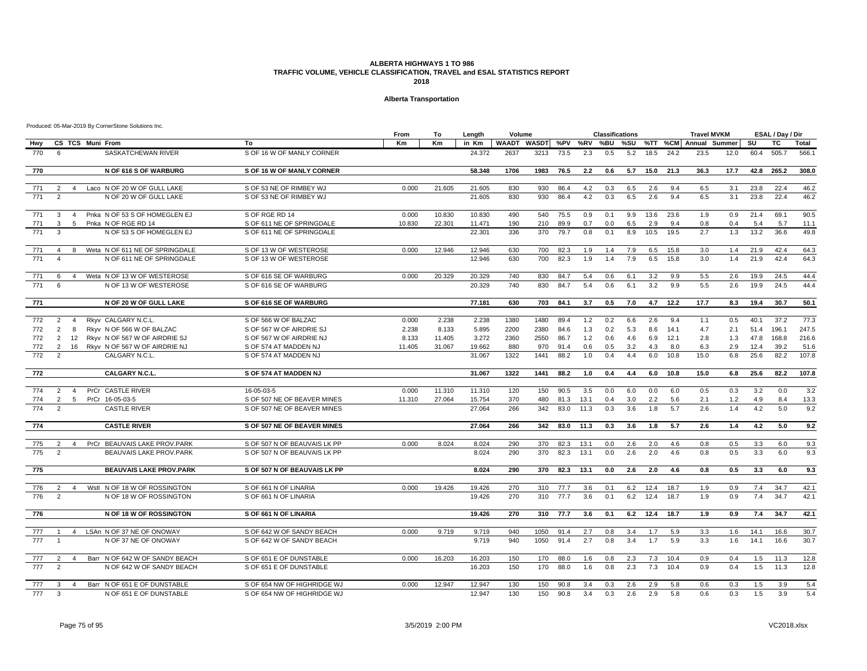#### **Alberta Transportation**

|     |                                                                                   | From                                  | То     | Length | Volume       |               |      |      | <b>Classifications</b> |     |      |         | <b>Travel MVKM</b> |      |      | ESAL / Day / Dir |       |
|-----|-----------------------------------------------------------------------------------|---------------------------------------|--------|--------|--------------|---------------|------|------|------------------------|-----|------|---------|--------------------|------|------|------------------|-------|
| Hwy | CS TCS Muni From<br>To                                                            | Km                                    | Кm     | in Km  | <b>WAADT</b> | WASDT %PV %RV |      |      | %BU                    | %SU |      | %TT %CM | Annual Summer      |      | SU   | TC               | Total |
| 770 | 6<br>SASKATCHEWAN RIVER                                                           | S OF 16 W OF MANLY CORNER             |        | 24.372 | 2637         | 3213          | 73.5 | 2.3  | 0.5                    | 5.2 | 18.5 | 24.2    | 23.5               | 12.0 | 60.4 | 505.7            | 566.1 |
| 770 | N OF 616 S OF WARBURG                                                             | S OF 16 W OF MANLY CORNER             |        | 58.348 | 1706         | 1983          | 76.5 | 2.2  | 0.6                    | 5.7 | 15.0 | 21.3    | 36.3               | 17.7 | 42.8 | 265.2            | 308.0 |
|     |                                                                                   |                                       |        |        |              |               |      |      |                        |     |      |         |                    |      |      |                  |       |
| 771 | Laco N OF 20 W OF GULL LAKE<br>S OF 53 NE OF RIMBEY WJ<br>2<br>$\overline{4}$     | 0.000                                 | 21.605 | 21.605 | 830          | 930           | 86.4 | 4.2  | 0.3                    | 6.5 | 2.6  | 9.4     | 6.5                | 3.1  | 23.8 | 22.4             | 46.2  |
| 771 | $\overline{2}$<br>N OF 20 W OF GULL LAKE<br>S OF 53 NE OF RIMBEY WJ               |                                       |        | 21.605 | 830          | 930           | 86.4 | 4.2  | 0.3                    | 6.5 | 2.6  | 9.4     | 6.5                | 3.1  | 23.8 | 22.4             | 46.2  |
| 771 | Pnka N OF 53 S OF HOMEGLEN EJ<br>S OF RGE RD 14<br>3<br>$\overline{4}$            | 0.000                                 | 10.830 | 10.830 | 490          | 540           | 75.5 | 0.9  | 0.1                    | 9.9 | 13.6 | 23.6    | 1.9                | 0.9  | 21.4 | 69.1             | 90.5  |
| 771 | 3<br>5<br>Pnka N OF RGE RD 14                                                     | S OF 611 NE OF SPRINGDALE<br>10.830   | 22.301 | 11.471 | 190          | 210           | 89.9 | 0.7  | 0.0                    | 6.5 | 2.9  | 9.4     | 0.8                | 0.4  | 5.4  | 5.7              | 11.1  |
| 771 | N OF 53 S OF HOMEGLEN EJ<br>3                                                     | S OF 611 NE OF SPRINGDALE             |        | 22.301 | 336          | 370           | 79.7 | 0.8  | 0.1                    | 8.9 | 10.5 | 19.5    | 2.7                | 1.3  | 13.2 | 36.6             | 49.8  |
| 771 | Weta N OF 611 NE OF SPRINGDALE<br>S OF 13 W OF WESTEROSE<br>8<br>$\overline{4}$   | 0.000                                 | 12.946 | 12.946 | 630          | 700           | 82.3 | 1.9  | 1.4                    | 7.9 | 6.5  | 15.8    | 3.0                | 1.4  | 21.9 | 42.4             | 64.3  |
| 771 | N OF 611 NE OF SPRINGDALE<br>S OF 13 W OF WESTEROSE<br>$\overline{4}$             |                                       |        | 12.946 | 630          | 700           | 82.3 | 1.9  | 1.4                    | 7.9 | 6.5  | 15.8    | 3.0                | 1.4  | 21.9 | 42.4             | 64.3  |
| 771 | Weta N OF 13 W OF WESTEROSE<br>S OF 616 SE OF WARBURG<br>6<br>$\overline{4}$      | 0.000                                 | 20.329 | 20.329 | 740          | 830           | 84.7 | 5.4  | 0.6                    | 6.1 | 3.2  | 9.9     | 5.5                | 2.6  | 19.9 | 24.5             | 44.4  |
| 771 | N OF 13 W OF WESTEROSE<br>6<br>S OF 616 SE OF WARBURG                             |                                       |        | 20.329 | 740          | 830           | 84.7 | 5.4  | 0.6                    | 6.1 | 3.2  | 9.9     | 5.5                | 2.6  | 19.9 | 24.5             | 44.4  |
| 771 | N OF 20 W OF GULL LAKE<br>S OF 616 SE OF WARBURG                                  |                                       |        | 77.181 | 630          | 703           | 84.1 | 3.7  | 0.5                    | 7.0 | 4.7  | 12.2    | 17.7               | 8.3  | 19.4 | 30.7             | 50.1  |
| 772 | 2<br>Rkyv CALGARY N.C.L.<br>S OF 566 W OF BALZAC<br>$\overline{4}$                | 0.000                                 | 2.238  | 2.238  | 1380         | 1480          | 89.4 | 1.2  | 0.2                    | 6.6 | 2.6  | 9.4     | 1.1                | 0.5  | 40.1 | 37.2             | 77.3  |
| 772 | 2<br>Rkyv N OF 566 W OF BALZAC<br>S OF 567 W OF AIRDRIE SJ<br>8                   | 2.238                                 | 8.133  | 5.895  | 2200         | 2380          | 84.6 | 1.3  | 0.2                    | 5.3 | 8.6  | 14.1    | 4.7                | 2.1  | 51.4 | 196.1            | 247.5 |
| 772 | $\overline{2}$<br>Rkyv N OF 567 W OF AIRDRIE SJ<br>S OF 567 W OF AIRDRIE NJ<br>12 | 8.133                                 | 11.405 | 3.272  | 2360         | 2550          | 86.7 | 1.2  | 0.6                    | 4.6 | 6.9  | 12.1    | 2.8                | 1.3  | 47.8 | 168.8            | 216.6 |
| 772 | 2<br>16 Rkyv N OF 567 W OF AIRDRIE NJ<br>S OF 574 AT MADDEN NJ                    | 11.405                                | 31.067 | 19.662 | 880          | 970           | 91.4 | 0.6  | 0.5                    | 3.2 | 4.3  | 8.0     | 6.3                | 2.9  | 12.4 | 39.2             | 51.6  |
| 772 | 2<br>CALGARY N.C.L.<br>S OF 574 AT MADDEN NJ                                      |                                       |        | 31.067 | 1322         | 1441          | 88.2 | 1.0  | 0.4                    | 4.4 | 6.0  | 10.8    | 15.0               | 6.8  | 25.6 | 82.2             | 107.8 |
| 772 | CALGARY N.C.L.<br>S OF 574 AT MADDEN NJ                                           |                                       |        | 31.067 | 1322         | 1441          | 88.2 | 1.0  | 0.4                    | 4.4 | 6.0  | 10.8    | 15.0               | 6.8  | 25.6 | 82.2             | 107.8 |
|     |                                                                                   |                                       |        |        |              |               |      |      |                        |     |      |         |                    |      |      |                  |       |
| 774 | PrCr CASTLE RIVER<br>2<br>16-05-03-5<br>$\overline{4}$                            | 0.000                                 | 11.310 | 11.310 | 120          | 150           | 90.5 | 3.5  | 0.0                    | 6.0 | 0.0  | 6.0     | 0.5                | 0.3  | 3.2  | 0.0              | 3.2   |
| 774 | 2<br>5 <sup>5</sup><br>PrCr 16-05-03-5                                            | S OF 507 NE OF BEAVER MINES<br>11.310 | 27.064 | 15.754 | 370          | 480           | 81.3 | 13.1 | 0.4                    | 3.0 | 2.2  | 5.6     | 2.1                | 1.2  | 4.9  | 8.4              | 13.3  |
| 774 | $\overline{2}$<br><b>CASTLE RIVER</b>                                             | S OF 507 NE OF BEAVER MINES           |        | 27.064 | 266          | 342           | 83.0 | 11.3 | 0.3                    | 3.6 | 1.8  | 5.7     | 2.6                | 1.4  | 4.2  | 5.0              | 9.2   |
| 774 | <b>CASTLE RIVER</b>                                                               | S OF 507 NE OF BEAVER MINES           |        | 27.064 | 266          | 342           | 83.0 | 11.3 | 0.3                    | 3.6 | 1.8  | 5.7     | 2.6                | 1.4  | 4.2  | 5.0              | 9.2   |
| 775 | PrCr BEAUVAIS LAKE PROV.PARK<br>2<br>$\overline{4}$                               | S OF 507 N OF BEAUVAIS LK PP<br>0.000 | 8.024  | 8.024  | 290          | 370           | 82.3 | 13.1 | 0.0                    | 2.6 | 2.0  | 4.6     | 0.8                | 0.5  | 3.3  | 6.0              | 9.3   |
| 775 | BEAUVAIS LAKE PROV.PARK<br>2                                                      | S OF 507 N OF BEAUVAIS LK PP          |        | 8.024  | 290          | 370           | 82.3 | 13.1 | 0.0                    | 2.6 | 2.0  | 4.6     | 0.8                | 0.5  | 3.3  | 6.0              | 9.3   |
| 775 | <b>BEAUVAIS LAKE PROV.PARK</b>                                                    | S OF 507 N OF BEAUVAIS LK PP          |        | 8.024  | 290          | 370           | 82.3 | 13.1 | 0.0                    | 2.6 | 2.0  | 4.6     | 0.8                | 0.5  | 3.3  | 6.0              | 9.3   |
|     |                                                                                   |                                       |        |        |              |               |      |      |                        |     |      |         |                    |      |      |                  |       |
| 776 | 2<br>Wstl N OF 18 W OF ROSSINGTON<br>S OF 661 N OF LINARIA<br>$\overline{4}$      | 0.000                                 | 19.426 | 19.426 | 270          | 310           | 77.7 | 3.6  | 0.1                    | 6.2 | 12.4 | 18.7    | 1.9                | 0.9  | 7.4  | 34.7             | 42.1  |
| 776 | 2<br>N OF 18 W OF ROSSINGTON<br>S OF 661 N OF LINARIA                             |                                       |        | 19.426 | 270          | 310           | 77.7 | 3.6  | 0.1                    | 6.2 | 12.4 | 18.7    | 1.9                | 0.9  | 7.4  | 34.7             | 42.1  |
| 776 | N OF 18 W OF ROSSINGTON<br>S OF 661 N OF LINARIA                                  |                                       |        | 19.426 | 270          | 310           | 77.7 | 3.6  | 0.1                    | 6.2 | 12.4 | 18.7    | 1.9                | 0.9  | 7.4  | 34.7             | 42.1  |
| 777 | LSAn N OF 37 NE OF ONOWAY<br>$\overline{1}$<br>$\overline{4}$                     | S OF 642 W OF SANDY BEACH<br>0.000    | 9.719  | 9.719  | 940          | 1050          | 91.4 | 2.7  | 0.8                    | 3.4 | 1.7  | 5.9     | 3.3                | 1.6  | 14.1 | 16.6             | 30.7  |
| 777 | N OF 37 NE OF ONOWAY<br>$\overline{1}$                                            | S OF 642 W OF SANDY BEACH             |        | 9.719  | 940          | 1050          | 91.4 | 2.7  | 0.8                    | 3.4 | 1.7  | 5.9     | 3.3                | 1.6  | 14.1 | 16.6             | 30.7  |
|     |                                                                                   |                                       |        |        |              |               |      |      |                        |     |      |         |                    |      |      |                  |       |
| 777 | 2<br>Barr N OF 642 W OF SANDY BEACH<br>S OF 651 E OF DUNSTABLE<br>$\overline{4}$  | 0.000                                 | 16.203 | 16.203 | 150          | 170           | 88.0 | 1.6  | 0.8                    | 2.3 | 7.3  | 10.4    | 0.9                | 0.4  | 1.5  | 11.3             | 12.8  |
| 777 | 2<br>N OF 642 W OF SANDY BEACH<br>S OF 651 E OF DUNSTABLE                         |                                       |        | 16.203 | 150          | 170           | 88.0 | 1.6  | 0.8                    | 2.3 | 7.3  | 10.4    | 0.9                | 0.4  | 1.5  | 11.3             | 12.8  |
| 777 | Barr N OF 651 E OF DUNSTABLE<br>3<br>$\overline{4}$                               | S OF 654 NW OF HIGHRIDGE WJ<br>0.000  | 12.947 | 12.947 | 130          | 150           | 90.8 | 3.4  | 0.3                    | 2.6 | 2.9  | 5.8     | 0.6                | 0.3  | 1.5  | 3.9              | 5.4   |
| 777 | 3<br>N OF 651 E OF DUNSTABLE                                                      | S OF 654 NW OF HIGHRIDGE WJ           |        | 12.947 | 130          | 150           | 90.8 | 3.4  | 0.3                    | 2.6 | 2.9  | 5.8     | 0.6                | 0.3  | 1.5  | 3.9              | 5.4   |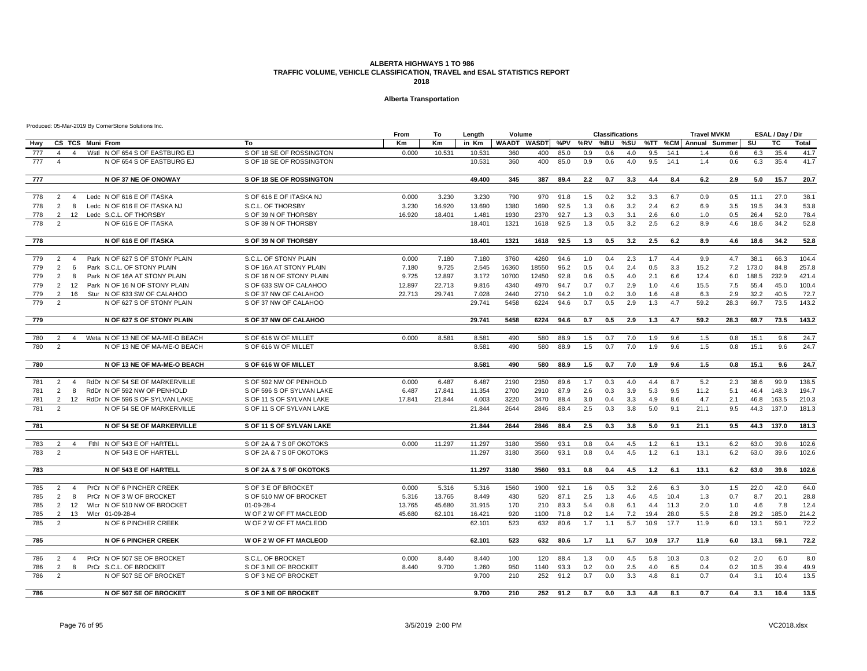#### **Alberta Transportation**

|            |                                                                                                | From   | To        | Length | Volume                  |       |      |     | <b>Classifications</b> |     |      |            | <b>Travel MVKM</b> |      |           | ESAL / Day / Dir |       |
|------------|------------------------------------------------------------------------------------------------|--------|-----------|--------|-------------------------|-------|------|-----|------------------------|-----|------|------------|--------------------|------|-----------|------------------|-------|
| Hwy        | CS TCS Muni From<br>To                                                                         | Km     | <b>Km</b> | in Km  | WAADT WASDT %PV %RV %BU |       |      |     |                        | %SU |      | %TT %CM    | Annual Summer      |      | SU        | <b>TC</b>        | Total |
| 777        | Wstl N OF 654 S OF EASTBURG EJ<br>S OF 18 SE OF ROSSINGTON<br>$\overline{4}$<br>$\overline{4}$ | 0.000  | 10.531    | 10.531 | 360                     | 400   | 85.0 | 0.9 | 0.6                    | 4.0 | 9.5  | 14.1       | 1.4                | 0.6  | 6.3       | 35.4             | 41.7  |
| 777        | $\overline{4}$<br>N OF 654 S OF EASTBURG EJ<br>S OF 18 SE OF ROSSINGTON                        |        |           | 10.531 | 360                     | 400   | 85.0 | 0.9 | 0.6                    | 4.0 | 9.5  | 14.1       | 1.4                | 0.6  | 6.3       | 35.4             | 41.7  |
| 777        | N OF 37 NE OF ONOWAY<br>S OF 18 SE OF ROSSINGTON                                               |        |           | 49.400 | 345                     | 387   | 89.4 | 2.2 | 0.7                    | 3.3 | 4.4  | 8.4        | 6.2                | 2.9  | 5.0       | 15.7             | 20.7  |
|            |                                                                                                |        |           |        |                         |       |      |     |                        |     |      |            |                    |      |           |                  |       |
| 778        | Ledc N OF 616 E OF ITASKA<br>S OF 616 E OF ITASKA NJ<br>2<br>$\overline{4}$                    | 0.000  | 3.230     | 3.230  | 790                     | 970   | 91.8 | 1.5 | 0.2                    | 3.2 | 3.3  | 6.7        | 0.9                | 0.5  | 11.1      | 27.0             | 38.1  |
| 778        | $\overline{2}$<br>8<br>Ledc N OF 616 E OF ITASKA NJ<br>S.C.L. OF THORSBY                       | 3.230  | 16.920    | 13.690 | 1380                    | 1690  | 92.5 | 1.3 | 0.6                    | 3.2 | 2.4  | 6.2        | 6.9                | 3.5  | 19.5      | 34.3             | 53.8  |
| 778        | 12 Ledc S.C.L. OF THORSBY<br>2<br>S OF 39 N OF THORSBY                                         | 16.920 | 18.401    | 1.481  | 1930                    | 2370  | 92.7 | 1.3 | 0.3                    | 3.1 | 2.6  | 6.0        | 1.0                | 0.5  | 26.4      | 52.0             | 78.4  |
| 778        | $\overline{2}$<br>N OF 616 E OF ITASKA<br>S OF 39 N OF THORSBY                                 |        |           | 18.401 | 1321                    | 1618  | 92.5 | 1.3 | 0.5                    | 3.2 | 2.5  | 6.2        | 8.9                | 4.6  | 18.6      | 34.2             | 52.8  |
| 778        | N OF 616 E OF ITASKA<br>S OF 39 N OF THORSBY                                                   |        |           | 18.401 | 1321                    | 1618  | 92.5 | 1.3 | 0.5                    | 3.2 | 2.5  | 6.2        | 8.9                | 4.6  | 18.6      | 34.2             | 52.8  |
| 779        | Park N OF 627 S OF STONY PLAIN<br>S.C.L. OF STONY PLAIN<br>2<br>$\overline{4}$                 | 0.000  | 7.180     | 7.180  | 3760                    | 4260  | 94.6 | 1.0 | 0.4                    | 2.3 | 1.7  | 4.4        | 9.9                | 4.7  | 38.1      | 66.3             | 104.4 |
| 779        | Park S.C.L. OF STONY PLAIN<br>S OF 16A AT STONY PLAIN<br>2<br>6                                | 7.180  | 9.725     | 2.545  | 16360                   | 18550 | 96.2 | 0.5 | 0.4                    | 2.4 | 0.5  | 3.3        | 15.2               |      | 7.2 173.0 | 84.8             | 257.8 |
| 779        | 2<br>Park N OF 16A AT STONY PLAIN<br>S OF 16 N OF STONY PLAIN<br>8                             | 9.725  | 12.897    | 3.172  | 10700                   | 12450 | 92.8 | 0.6 | 0.5                    | 4.0 | 2.1  | 6.6        | 12.4               | 6.0  | 188.5     | 232.9            | 421.4 |
| 779        | 2<br>Park N OF 16 N OF STONY PLAIN<br>S OF 633 SW OF CALAHOO<br>12                             | 12.897 | 22.713    | 9.816  | 4340                    | 4970  | 94.7 | 0.7 | 0.7                    | 2.9 | 1.0  | 4.6        | 15.5               | 7.5  | 55.4      | 45.0             | 100.4 |
| 779        | 2<br>Stur N OF 633 SW OF CALAHOO<br>S OF 37 NW OF CALAHOO<br>16                                | 22.713 | 29.741    | 7.028  | 2440                    | 2710  | 94.2 | 1.0 | 0.2                    | 3.0 | 1.6  | 4.8        | 6.3                | 2.9  | 32.2      | 40.5             | 72.7  |
| 779        | 2<br>N OF 627 S OF STONY PLAIN<br>S OF 37 NW OF CALAHOO                                        |        |           | 29.741 | 5458                    | 6224  | 94.6 | 0.7 | 0.5                    | 2.9 | 1.3  | 4.7        | 59.2               | 28.3 | 69.7      | 73.5             | 143.2 |
| 779        | N OF 627 S OF STONY PLAIN<br>S OF 37 NW OF CALAHOO                                             |        |           | 29.741 | 5458                    | 6224  | 94.6 | 0.7 | 0.5                    | 2.9 | 1.3  | 4.7        | 59.2               | 28.3 | 69.7      | 73.5             | 143.2 |
| 780        | Weta N OF 13 NE OF MA-ME-O BEACH<br>S OF 616 W OF MILLET<br>2<br>$\overline{4}$                | 0.000  | 8.581     | 8.581  | 490                     | 580   | 88.9 | 1.5 | 0.7                    | 7.0 | 1.9  | 9.6        | 1.5                | 0.8  | 15.1      | 9.6              | 24.7  |
| 780        | 2<br>N OF 13 NE OF MA-ME-O BEACH<br>S OF 616 W OF MILLET                                       |        |           | 8.581  | 490                     | 580   | 88.9 | 1.5 | 0.7                    | 7.0 | 1.9  | 9.6        | 1.5                | 0.8  | 15.1      | 9.6              | 24.7  |
|            |                                                                                                |        |           |        |                         |       |      |     |                        |     |      |            |                    |      |           |                  |       |
| 780        | N OF 13 NE OF MA-ME-O BEACH<br>S OF 616 W OF MILLET                                            |        |           | 8.581  | 490                     | 580   | 88.9 | 1.5 | 0.7                    | 7.0 | 1.9  | 9.6        | $1.5$              | 0.8  | 15.1      | 9.6              | 24.7  |
| 781        | 2<br>RdDr N OF 54 SE OF MARKERVILLE<br>S OF 592 NW OF PENHOLD<br>$\overline{4}$                | 0.000  | 6.487     | 6.487  | 2190                    | 2350  | 89.6 | 1.7 | 0.3                    | 4.0 | 4.4  | 8.7        | 5.2                | 2.3  | 38.6      | 99.9             | 138.5 |
| 781        | 2<br>8<br>RdDr N OF 592 NW OF PENHOLD<br>S OF 596 S OF SYLVAN LAKE                             | 6.487  | 17.841    | 11.354 | 2700                    | 2910  | 87.9 | 2.6 | 0.3                    | 3.9 | 5.3  | 9.5        | 11.2               | 5.1  | 46.4      | 148.3            | 194.7 |
| 781        | 2<br>12 RdDr N OF 596 S OF SYLVAN LAKE<br>S OF 11 S OF SYLVAN LAKE                             | 17.841 | 21.844    | 4.003  | 3220                    | 3470  | 88.4 | 3.0 | 0.4                    | 3.3 | 4.9  | 8.6        | 4.7                | 2.1  | 46.8      | 163.5            | 210.3 |
| 781        | N OF 54 SE OF MARKERVILLE<br>S OF 11 S OF SYLVAN LAKE<br>2                                     |        |           | 21.844 | 2644                    | 2846  | 88.4 | 2.5 | 0.3                    | 3.8 | 5.0  | 9.1        | 21.1               | 9.5  | 44.3      | 137.0            | 181.3 |
| 781        | N OF 54 SE OF MARKERVILLE<br>S OF 11 S OF SYLVAN LAKE                                          |        |           | 21.844 | 2644                    | 2846  | 88.4 | 2.5 | 0.3                    | 3.8 | 5.0  | 9.1        | 21.1               | 9.5  | 44.3      | 137.0            | 181.3 |
|            |                                                                                                |        |           |        |                         |       |      |     |                        |     |      |            |                    |      |           |                  |       |
| 783<br>783 | Fthi N OF 543 E OF HARTELL<br>S OF 2A & 7 S OF OKOTOKS<br>2<br>$\overline{4}$                  | 0.000  | 11.297    | 11.297 | 3180                    | 3560  | 93.1 | 0.8 | 0.4                    | 4.5 | 1.2  | 6.1<br>6.1 | 13.1               | 6.2  | 63.0      | 39.6<br>39.6     | 102.6 |
|            | N OF 543 E OF HARTELL<br>2<br>S OF 2A & 7 S OF OKOTOKS                                         |        |           | 11.297 | 3180                    | 3560  | 93.1 | 0.8 | 0.4                    | 4.5 | 1.2  |            | 13.1               | 6.2  | 63.0      |                  | 102.6 |
| 783        | N OF 543 E OF HARTELL<br>S OF 2A & 7 S OF OKOTOKS                                              |        |           | 11.297 | 3180                    | 3560  | 93.1 | 0.8 | 0.4                    | 4.5 | 1.2  | 6.1        | 13.1               | 6.2  | 63.0      | 39.6             | 102.6 |
| 785        | PrCr N OF 6 PINCHER CREEK<br>S OF 3 E OF BROCKET<br>2<br>$\overline{4}$                        | 0.000  | 5.316     | 5.316  | 1560                    | 1900  | 92.1 | 1.6 | 0.5                    | 3.2 | 2.6  | 6.3        | 3.0                | 1.5  | 22.0      | 42.0             | 64.0  |
| 785        | 2<br>PrCr N OF 3 W OF BROCKET<br>S OF 510 NW OF BROCKET<br>8                                   | 5.316  | 13.765    | 8.449  | 430                     | 520   | 87.1 | 2.5 | 1.3                    | 4.6 | 4.5  | 10.4       | 1.3                | 0.7  | 8.7       | 20.1             | 28.8  |
| 785        | 2<br>12<br>Wicr N OF 510 NW OF BROCKET<br>01-09-28-4                                           | 13.765 | 45.680    | 31.915 | 170                     | 210   | 83.3 | 5.4 | 0.8                    | 6.1 | 4.4  | 11.3       | 2.0                | 1.0  | 4.6       | 7.8              | 12.4  |
| 785        | 2<br>13<br>Wicr 01-09-28-4<br>W OF 2 W OF FT MACLEOD                                           | 45.680 | 62.101    | 16.421 | 920                     | 1100  | 71.8 | 0.2 | 1.4                    | 7.2 | 19.4 | 28.0       | 5.5                | 2.8  | 29.2      | 185.0            | 214.2 |
| 785        | $\overline{2}$<br>W OF 2 W OF FT MACLEOD<br>N OF 6 PINCHER CREEK                               |        |           | 62.101 | 523                     | 632   | 80.6 | 1.7 | 1.1                    | 5.7 | 10.9 | 17.7       | 11.9               | 6.0  | 13.1      | 59.1             | 72.2  |
|            |                                                                                                |        |           |        |                         |       |      |     |                        |     |      |            |                    |      |           |                  |       |
| 785        | <b>N OF 6 PINCHER CREEK</b><br><b>W OF 2 W OF FT MACLEOD</b>                                   |        |           | 62.101 | 523                     | 632   | 80.6 | 1.7 | 1.1                    | 5.7 | 10.9 | 17.7       | 11.9               | 6.0  | 13.1      | 59.1             | 72.2  |
| 786        | $\overline{2}$<br>PrCr N OF 507 SE OF BROCKET<br>$\overline{4}$<br>S.C.L. OF BROCKET           | 0.000  | 8.440     | 8.440  | 100                     | 120   | 88.4 | 1.3 | 0.0                    | 4.5 | 5.8  | 10.3       | 0.3                | 0.2  | 2.0       | 6.0              | 8.0   |
| 786        | 2<br>PrCr S.C.L. OF BROCKET<br>S OF 3 NE OF BROCKET<br>8                                       | 8.440  | 9.700     | 1.260  | 950                     | 1140  | 93.3 | 0.2 | 0.0                    | 2.5 | 4.0  | 6.5        | 0.4                | 0.2  | 10.5      | 39.4             | 49.9  |
| 786        | S OF 3 NE OF BROCKET<br>2<br>N OF 507 SE OF BROCKET                                            |        |           | 9.700  | 210                     | 252   | 91.2 | 0.7 | 0.0                    | 3.3 | 4.8  | 8.1        | 0.7                | 0.4  | 3.1       | 10.4             | 13.5  |
| 786        | <b>S OF 3 NE OF BROCKET</b><br>N OF 507 SE OF BROCKET                                          |        |           | 9.700  | 210                     | 252   | 91.2 | 0.7 | 0.0                    | 3.3 | 4.8  | 8.1        | 0.7                | 0.4  | 3.1       | 10.4             | 13.5  |
|            |                                                                                                |        |           |        |                         |       |      |     |                        |     |      |            |                    |      |           |                  |       |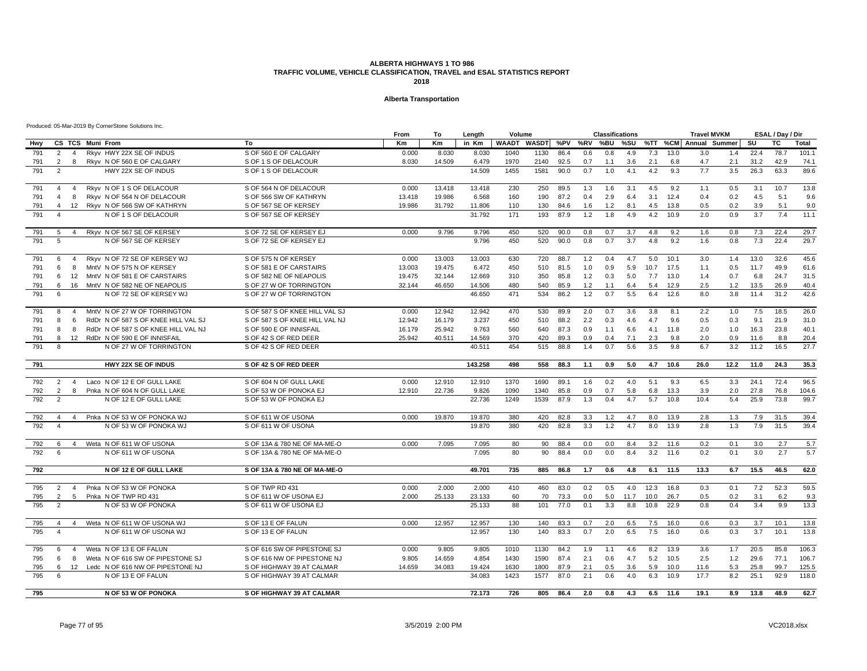#### **Alberta Transportation**

|     |                |                  |                                     |                                | From      | То     | Length  | Volume       |                   |      |     | <b>Classifications</b> |      |      |      | <b>Travel MVKM</b> |                       |      | ESAL / Day / Dir |       |
|-----|----------------|------------------|-------------------------------------|--------------------------------|-----------|--------|---------|--------------|-------------------|------|-----|------------------------|------|------|------|--------------------|-----------------------|------|------------------|-------|
| Hwy |                | CS TCS Muni From |                                     | To                             | <b>Km</b> | Km     | in Km   | <b>WAADT</b> | WASDT %PV %RV %BU |      |     |                        | %SU  |      |      |                    | %TT %CM Annual Summer | SU   | TC.              | Total |
| 791 | 2              | $\overline{4}$   | Rkyv HWY 22X SE OF INDUS            | S OF 560 E OF CALGARY          | 0.000     | 8.030  | 8.030   | 1040         | 1130              | 86.4 | 0.6 | 0.8                    | 4.9  | 7.3  | 13.0 | 3.0                | 1.4                   | 22.4 | 78.7             | 101.1 |
| 791 | $\overline{2}$ | 8                | Rkyv N OF 560 E OF CALGARY          | S OF 1 S OF DELACOUR           | 8.030     | 14.509 | 6.479   | 1970         | 2140              | 92.5 | 0.7 | 1.1                    | 3.6  | 2.1  | 6.8  | 4.7                | 2.1                   | 31.2 | 42.9             | 74.1  |
| 791 | $\overline{2}$ |                  | HWY 22X SE OF INDUS                 | S OF 1 S OF DELACOUR           |           |        | 14.509  | 1455         | 1581              | 90.0 | 0.7 | 1.0                    | 4.1  | 4.2  | 9.3  | 7.7                | 3.5                   | 26.3 | 63.3             | 89.6  |
| 791 | $\overline{4}$ | $\overline{4}$   | Rkyv N OF 1 S OF DELACOUR           | S OF 564 N OF DELACOUR         | 0.000     | 13.418 | 13.418  | 230          | 250               | 89.5 | 1.3 | 1.6                    | 3.1  | 4.5  | 9.2  | 1.1                | 0.5                   | 3.1  | 10.7             | 13.8  |
| 791 | $\overline{4}$ | 8                | Rkyv N OF 564 N OF DELACOUR         | S OF 566 SW OF KATHRYN         | 13.418    | 19.986 | 6.568   | 160          | 190               | 87.2 | 0.4 | 2.9                    | 6.4  | 3.1  | 12.4 | 0.4                | 0.2                   | 4.5  | 5.1              | 9.6   |
| 791 | $\overline{4}$ |                  | 12 Rkyv N OF 566 SW OF KATHRYN      | S OF 567 SE OF KERSEY          | 19.986    | 31.792 | 11.806  | 110          | 130               | 84.6 | 1.6 | 1.2                    | 8.1  | 4.5  | 13.8 | 0.5                | 0.2                   | 3.9  | 5.1              | 9.0   |
| 791 | $\overline{4}$ |                  | N OF 1 S OF DELACOUR                | S OF 567 SE OF KERSEY          |           |        | 31.792  | 171          | 193               | 87.9 | 1.2 | 1.8                    | 4.9  | 4.2  | 10.9 | 2.0                | 0.9                   | 3.7  | 7.4              | 11.1  |
| 791 | 5              | $\overline{4}$   | Rkyv N OF 567 SE OF KERSEY          | S OF 72 SE OF KERSEY EJ        | 0.000     | 9.796  | 9.796   | 450          | 520               | 90.0 | 0.8 | 0.7                    | 3.7  | 4.8  | 9.2  | 1.6                | 0.8                   | 7.3  | 22.4             | 29.7  |
| 791 | 5              |                  | N OF 567 SE OF KERSEY               | S OF 72 SE OF KERSEY EJ        |           |        | 9.796   | 450          | 520               | 90.0 | 0.8 | 0.7                    | 3.7  | 4.8  | 9.2  | 1.6                | 0.8                   | 7.3  | 22.4             | 29.7  |
| 791 | 6              | -4               | Rkyv N OF 72 SE OF KERSEY WJ        | S OF 575 N OF KERSEY           | 0.000     | 13.003 | 13.003  | 630          | 720               | 88.7 | 1.2 | 0.4                    | 4.7  | 5.0  | 10.1 | 3.0                | 1.4                   | 13.0 | 32.6             | 45.6  |
| 791 | 6              | 8                | MntV N OF 575 N OF KERSEY           | S OF 581 E OF CARSTAIRS        | 13.003    | 19.475 | 6.472   | 450          | 510               | 81.5 | 1.0 | 0.9                    | 5.9  | 10.7 | 17.5 | 1.1                | 0.5                   | 11.7 | 49.9             | 61.6  |
| 791 | 6              |                  | 12 MntV N OF 581 E OF CARSTAIRS     | S OF 582 NE OF NEAPOLIS        | 19.475    | 32.144 | 12.669  | 310          | 350               | 85.8 | 1.2 | 0.3                    | 5.0  | 7.7  | 13.0 | 1.4                | 0.7                   | 6.8  | 24.7             | 31.5  |
| 791 | 6              | 16               | MntV N OF 582 NE OF NEAPOLIS        | S OF 27 W OF TORRINGTON        | 32.144    | 46.650 | 14.506  | 480          | 540               | 85.9 | 1.2 | 1.1                    | 6.4  | 5.4  | 12.9 | 2.5                | 1.2                   | 13.5 | 26.9             | 40.4  |
| 791 | 6              |                  | N OF 72 SE OF KERSEY WJ             | S OF 27 W OF TORRINGTON        |           |        | 46.650  | 471          | 534               | 86.2 | 1.2 | 0.7                    | 5.5  | 6.4  | 12.6 | 8.0                | 3.8                   | 11.4 | 31.2             | 42.6  |
| 791 | 8              | $\overline{4}$   | MntV N OF 27 W OF TORRINGTON        | S OF 587 S OF KNEE HILL VAL SJ | 0.000     | 12.942 | 12.942  | 470          | 530               | 89.9 | 2.0 | 0.7                    | 3.6  | 3.8  | 8.1  | 2.2                | 1.0                   | 7.5  | 18.5             | 26.0  |
| 791 | 8              | 6                | RdDr N OF 587 S OF KNEE HILL VAL SJ | S OF 587 S OF KNEE HILL VAL NJ | 12.942    | 16.179 | 3.237   | 450          | 510               | 88.2 | 2.2 | 0.3                    | 4.6  | 4.7  | 9.6  | 0.5                | 0.3                   | 9.1  | 21.9             | 31.0  |
| 791 | 8              | 8                | RdDr N OF 587 S OF KNEE HILL VAL NJ | S OF 590 E OF INNISFAIL        | 16.179    | 25.942 | 9.763   | 560          | 640               | 87.3 | 0.9 | 1.1                    | 6.6  | 4.1  | 11.8 | 2.0                | 1.0                   | 16.3 | 23.8             | 40.1  |
| 791 | 8              | 12               | RdDr N OF 590 E OF INNISFAIL        | S OF 42 S OF RED DEER          | 25.942    | 40.511 | 14.569  | 370          | 420               | 89.3 | 0.9 | 0.4                    | 7.1  | 2.3  | 9.8  | 2.0                | 0.9                   | 11.6 | 8.8              | 20.4  |
| 791 | $\mathsf{R}$   |                  | N OF 27 W OF TORRINGTON             | S OF 42 S OF RED DEER          |           |        | 40.511  | 454          | 515               | 88.8 | 1.4 | 0.7                    | 5.6  | 3.5  | 9.8  | 6.7                | 3.2                   | 11.2 | 16.5             | 27.7  |
| 791 |                |                  | HWY 22X SE OF INDUS                 | S OF 42 S OF RED DEER          |           |        | 143.258 | 498          | 558               | 88.3 | 1.1 | 0.9                    | 5.0  | 4.7  | 10.6 | 26.0               | 12.2                  | 11.0 | 24.3             | 35.3  |
| 792 | $\overline{2}$ | $\overline{4}$   | Laco N OF 12 E OF GULL LAKE         | S OF 604 N OF GULL LAKE        | 0.000     | 12.910 | 12.910  | 1370         | 1690              | 89.1 | 1.6 | 0.2                    | 4.0  | 5.1  | 9.3  | 6.5                | 3.3                   | 24.1 | 72.4             | 96.5  |
| 792 | $\overline{2}$ | 8                | Pnka N OF 604 N OF GULL LAKE        | S OF 53 W OF PONOKA EJ         | 12.910    | 22.736 | 9.826   | 1090         | 1340              | 85.8 | 0.9 | 0.7                    | 5.8  | 6.8  | 13.3 | 3.9                | 2.0                   | 27.8 | 76.8             | 104.6 |
| 792 | $\overline{2}$ |                  | N OF 12 E OF GULL LAKE              | S OF 53 W OF PONOKA EJ         |           |        | 22.736  | 1249         | 1539              | 87.9 | 1.3 | 0.4                    | 4.7  | 5.7  | 10.8 | 10.4               | 5.4                   | 25.9 | 73.8             | 99.7  |
|     |                |                  |                                     |                                |           |        |         |              |                   |      |     |                        |      |      |      |                    |                       |      |                  |       |
| 792 | $\overline{4}$ | $\overline{4}$   | Pnka N OF 53 W OF PONOKA WJ         | S OF 611 W OF USONA            | 0.000     | 19.870 | 19.870  | 380          | 420               | 82.8 | 3.3 | 1.2                    | 4.7  | 8.0  | 13.9 | 2.8                | 1.3                   | 7.9  | 31.5             | 39.4  |
| 792 | $\overline{4}$ |                  | N OF 53 W OF PONOKA WJ              | S OF 611 W OF USONA            |           |        | 19.870  | 380          | 420               | 82.8 | 3.3 | 1.2                    | 4.7  | 8.0  | 13.9 | 2.8                | 1.3                   | 7.9  | 31.5             | 39.4  |
| 792 | 6              | 4                | Weta N OF 611 W OF USONA            | S OF 13A & 780 NE OF MA-ME-O   | 0.000     | 7.095  | 7.095   | 80           | 90                | 88.4 | 0.0 | 0.0                    | 8.4  | 3.2  | 11.6 | 0.2                | 0.1                   | 3.0  | 2.7              | 5.7   |
| 792 | $\epsilon$     |                  | N OF 611 W OF USONA                 | S OF 13A & 780 NE OF MA-ME-O   |           |        | 7.095   | 80           | 90                | 88.4 | 0.0 | 0.0                    | 8.4  | 3.2  | 11.6 | 0.2                | 0.1                   | 3.0  | 2.7              | 5.7   |
| 792 |                |                  | N OF 12 E OF GULL LAKE              | S OF 13A & 780 NE OF MA-ME-O   |           |        | 49.701  | 735          | 885               | 86.8 | 1.7 | 0.6                    | 4.8  | 6.1  | 11.5 | 13.3               | 6.7                   | 15.5 | 46.5             | 62.0  |
| 795 | 2              | $\overline{4}$   | Pnka N OF 53 W OF PONOKA            | S OF TWP RD 431                | 0.000     | 2.000  | 2.000   | 410          | 460               | 83.0 | 0.2 | 0.5                    | 4.0  | 12.3 | 16.8 | 0.3                | 0.1                   | 7.2  | 52.3             | 59.5  |
| 795 | 2              | 5                | Pnka N OF TWP RD 431                | S OF 611 W OF USONA EJ         | 2.000     | 25.133 | 23.133  | 60           | 70                | 73.3 | 0.0 | 5.0                    | 11.7 | 10.0 | 26.7 | 0.5                | 0.2                   | 3.1  | 6.2              | 9.3   |
| 795 | 2              |                  | N OF 53 W OF PONOKA                 | S OF 611 W OF USONA EJ         |           |        | 25.133  | 88           | 101               | 77.0 | 0.1 | 3.3                    | 8.8  | 10.8 | 22.9 | 0.8                | 0.4                   | 3.4  | 9.9              | 13.3  |
| 795 | $\overline{4}$ | $\overline{4}$   | Weta N OF 611 W OF USONA WJ         | S OF 13 E OF FALUN             | 0.000     | 12.957 | 12.957  | 130          | 140               | 83.3 | 0.7 | 2.0                    | 6.5  | 7.5  | 16.0 | 0.6                | 0.3                   | 3.7  | 10.1             | 13.8  |
| 795 | $\overline{4}$ |                  | N OF 611 W OF USONA WJ              | S OF 13 E OF FALUN             |           |        | 12.957  | 130          | 140               | 83.3 | 0.7 | 2.0                    | 6.5  | 7.5  | 16.0 | 0.6                | 0.3                   | 3.7  | 10.1             | 13.8  |
| 795 | 6              | $\overline{4}$   | Weta N OF 13 E OF FALUN             | S OF 616 SW OF PIPESTONE SJ    | 0.000     | 9.805  | 9.805   | 1010         | 1130              | 84.2 | 1.9 | 1.1                    | 4.6  | 8.2  | 13.9 | 3.6                | 1.7                   | 20.5 | 85.8             | 106.3 |
| 795 | 6              | 8                | Weta N OF 616 SW OF PIPESTONE SJ    | S OF 616 NW OF PIPESTONE NJ    | 9.805     | 14.659 | 4.854   | 1430         | 1590              | 87.4 | 2.1 | 0.6                    | 4.7  | 5.2  | 10.5 | 2.5                | 1.2                   | 29.6 | 77.1             | 106.7 |
| 795 | 6              |                  | 12 Ledc N OF 616 NW OF PIPESTONE NJ | S OF HIGHWAY 39 AT CALMAR      | 14.659    | 34.083 | 19.424  | 1630         | 1800              | 87.9 | 2.1 | 0.5                    | 3.6  | 5.9  | 10.0 | 11.6               | 5.3                   | 25.8 | 99.7             | 125.5 |
| 795 | 6              |                  | N OF 13 E OF FALUN                  | S OF HIGHWAY 39 AT CALMAR      |           |        | 34.083  | 1423         | 1577              | 87.0 | 2.1 | 0.6                    | 4.0  | 6.3  | 10.9 | 17.7               | 8.2                   | 25.1 | 92.9             | 118.0 |
| 795 |                |                  | N OF 53 W OF PONOKA                 | S OF HIGHWAY 39 AT CALMAR      |           |        | 72.173  | 726          | 805               | 86.4 | 2.0 | 0.8                    | 4.3  | 6.5  | 11.6 | 19.1               | 8.9                   | 13.8 | 48.9             | 62.7  |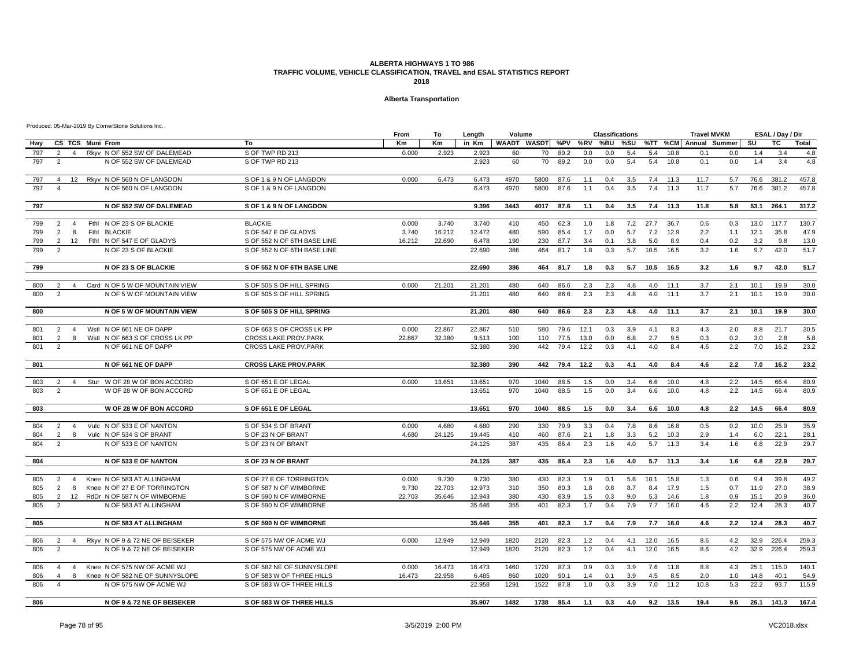#### **Alberta Transportation**

|     |                                                                                                 | From   | To     | Length | Volume |                         |          |      | <b>Classifications</b> |            |      |            | <b>Travel MVKM</b>    |     |      | ESAL / Day / Dir |       |
|-----|-------------------------------------------------------------------------------------------------|--------|--------|--------|--------|-------------------------|----------|------|------------------------|------------|------|------------|-----------------------|-----|------|------------------|-------|
| Hwy | CS TCS Muni From<br>To                                                                          | Кm     | Кm     | in Km  |        | WAADT WASDT %PV %RV %BU |          |      |                        | %SU        |      |            | %TT %CM Annual Summer |     | SU   | TC               | Total |
| 797 | Rkyv N OF 552 SW OF DALEMEAD<br>S OF TWP RD 213<br>2<br>$\overline{4}$                          | 0.000  | 2.923  | 2.923  | 60     | 70                      | 89.2     | 0.0  | 0.0                    | 5.4        | 5.4  | 10.8       | 0.1                   | 0.0 | 1.4  | 3.4              | 4.8   |
| 797 | 2<br>N OF 552 SW OF DALEMEAD<br>S OF TWP RD 213                                                 |        |        | 2.923  | 60     | 70                      | 89.2     | 0.0  | 0.0                    | 5.4        | 5.4  | 10.8       | 0.1                   | 0.0 | 1.4  | 3.4              | 4.8   |
| 797 | Rkyv N OF 560 N OF LANGDON<br>S OF 1 & 9 N OF LANGDON<br>$\overline{4}$<br>12                   | 0.000  | 6.473  | 6.473  | 4970   | 5800                    | 87.6     | 1.1  | 0.4                    | 3.5        | 7.4  | 11.3       | 11.7                  | 5.7 | 76.6 | 381.2            | 457.8 |
| 797 | N OF 560 N OF LANGDON<br>S OF 1 & 9 N OF LANGDON<br>$\overline{4}$                              |        |        | 6.473  | 4970   | 5800                    | 87.6     | 1.1  | 0.4                    | 3.5        | 7.4  | 11.3       | 11.7                  | 5.7 | 76.6 | 381.2            | 457.8 |
| 797 | N OF 552 SW OF DALEMEAD<br>SOF1&9NOFLANGDON                                                     |        |        | 9.396  | 3443   | 4017                    | 87.6     | 1.1  | 0.4                    | 3.5        | 7.4  | 11.3       | 11.8                  | 5.8 | 53.1 | 264.1            | 317.2 |
| 799 | Fthl N OF 23 S OF BLACKIE<br><b>BLACKIE</b><br>$\overline{2}$<br>$\overline{4}$                 | 0.000  | 3.740  | 3.740  | 410    | 450                     | 62.3     | 1.0  | 1.8                    | 7.2        | 27.7 | 36.7       | 0.6                   | 0.3 | 13.0 | 117.7            | 130.7 |
| 799 | S OF 547 E OF GLADYS<br>2<br>8<br>Fthl<br><b>BLACKIE</b>                                        | 3.740  | 16.212 | 12.472 | 480    | 590                     | 85.4     | 1.7  | 0.0                    | 5.7        | 7.2  | 12.9       | 2.2                   | 1.1 | 12.1 | 35.8             | 47.9  |
| 799 | 2<br>12<br>FthI N OF 547 E OF GLADYS<br>S OF 552 N OF 6TH BASE LINE                             | 16.212 | 22.690 | 6.478  | 190    | 230                     | 87.7     | 3.4  | 0.1                    | 3.8        | 5.0  | 8.9        | 0.4                   | 0.2 | 3.2  | 9.8              | 13.0  |
| 799 | 2<br>N OF 23 S OF BLACKIE<br>S OF 552 N OF 6TH BASE LINE                                        |        |        | 22.690 | 386    | 464                     | 81.7     | 1.8  | 0.3                    | 5.7        | 10.5 | 16.5       | 3.2                   | 1.6 | 9.7  | 42.0             | 51.7  |
| 799 | N OF 23 S OF BLACKIE<br>S OF 552 N OF 6TH BASE LINE                                             |        |        | 22.690 | 386    | 464                     | 81.7     | 1.8  | 0.3                    | 5.7        | 10.5 | 16.5       | 3.2                   | 1.6 | 9.7  | 42.0             | 51.7  |
| 800 | S OF 505 S OF HILL SPRING<br>$\overline{2}$<br>Card N OF 5 W OF MOUNTAIN VIEW<br>$\overline{4}$ | 0.000  | 21.201 | 21.201 | 480    | 640                     | 86.6     | 2.3  | 2.3                    | 4.8        | 4.0  | 11.1       | 3.7                   | 2.1 | 10.1 | 19.9             | 30.0  |
| 800 | N OF 5 W OF MOUNTAIN VIEW<br>S OF 505 S OF HILL SPRING<br>$\overline{2}$                        |        |        | 21.201 | 480    | 640                     | 86.6     | 2.3  | 2.3                    | 4.8        | 4.0  | 11.1       | 3.7                   | 2.1 | 10.1 | 19.9             | 30.0  |
| 800 | N OF 5 W OF MOUNTAIN VIEW<br>S OF 505 S OF HILL SPRING                                          |        |        | 21.201 | 480    | 640                     | 86.6     | 2.3  | 2.3                    | 4.8        | 4.0  | 11.1       | 3.7                   | 2.1 | 10.1 | 19.9             | 30.0  |
|     |                                                                                                 |        |        |        |        |                         |          |      |                        |            |      |            |                       |     |      |                  |       |
| 801 | Wstl N OF 661 NE OF DAPP<br>S OF 663 S OF CROSS LK PP<br>2<br>$\overline{4}$                    | 0.000  | 22.867 | 22.867 | 510    | 580                     | 79.6     | 12.1 | 0.3                    | 3.9        | 4.1  | 8.3        | 4.3                   | 2.0 | 8.8  | 21.7             | 30.5  |
| 801 | 2<br>8<br>Wstl N OF 663 S OF CROSS LK PP<br><b>CROSS LAKE PROV.PARK</b><br>$\mathcal{P}$        | 22.867 | 32.380 | 9.513  | 100    | 110                     | 77.5     | 13.0 | 0.0                    | 6.8<br>4.1 | 2.7  | 9.5<br>8.4 | 0.3                   | 0.2 | 3.0  | 2.8              | 5.8   |
| 801 | N OF 661 NE OF DAPP<br><b>CROSS LAKE PROV.PARK</b>                                              |        |        | 32.380 | 390    | 442                     | 79.4     | 12.2 | 0.3                    |            | 4.0  |            | 4.6                   | 2.2 | 7.0  | 16.2             | 23.2  |
| 801 | N OF 661 NE OF DAPP<br><b>CROSS LAKE PROV.PARK</b>                                              |        |        | 32.380 | 390    |                         | 442 79.4 | 12.2 | 0.3                    | 4.1        | 4.0  | 8.4        | 4.6                   | 2.2 | 7.0  | 16.2             | 23.2  |
| 803 | Stur W OF 28 W OF BON ACCORD<br>S OF 651 E OF LEGAL<br>$\overline{2}$<br>$\overline{4}$         | 0.000  | 13.651 | 13.651 | 970    | 1040                    | 88.5     | 1.5  | 0.0                    | 3.4        | 6.6  | 10.0       | 4.8                   | 2.2 | 14.5 | 66.4             | 80.9  |
| 803 | $\overline{2}$<br>W OF 28 W OF BON ACCORD<br>S OF 651 E OF LEGAL                                |        |        | 13.651 | 970    | 1040                    | 88.5     | 1.5  | 0.0                    | 3.4        | 6.6  | 10.0       | 4.8                   | 2.2 | 14.5 | 66.4             | 80.9  |
| 803 | W OF 28 W OF BON ACCORD<br>S OF 651 E OF LEGAL                                                  |        |        | 13.651 | 970    | 1040                    | 88.5     | 1.5  | 0.0                    | 3.4        | 6.6  | 10.0       | 4.8                   | 2.2 | 14.5 | 66.4             | 80.9  |
| 804 | 2<br>Vulc N OF 533 E OF NANTON<br>S OF 534 S OF BRANT<br>$\overline{4}$                         | 0.000  | 4.680  | 4.680  | 290    | 330                     | 79.9     | 3.3  | 0.4                    | 7.8        | 8.6  | 16.8       | 0.5                   | 0.2 | 10.0 | 25.9             | 35.9  |
| 804 | 2<br>Vulc N OF 534 S OF BRANT<br>S OF 23 N OF BRANT<br>8                                        | 4.680  | 24.125 | 19.445 | 410    | 460                     | 87.6     | 2.1  | 1.8                    | 3.3        | 5.2  | 10.3       | 2.9                   | 1.4 | 6.0  | 22.1             | 28.1  |
| 804 | $\overline{2}$<br>N OF 533 E OF NANTON<br>S OF 23 N OF BRANT                                    |        |        | 24.125 | 387    | 435                     | 86.4     | 2.3  | 1.6                    | 4.0        | 5.7  | 11.3       | 3.4                   | 1.6 | 6.8  | 22.9             | 29.7  |
| 804 | N OF 533 E OF NANTON<br>S OF 23 N OF BRANT                                                      |        |        | 24.125 | 387    | 435                     | 86.4     | 2.3  | 1.6                    | 4.0        | 5.7  | 11.3       | 3.4                   | 1.6 | 6.8  | 22.9             | 29.7  |
|     |                                                                                                 |        |        |        |        |                         |          |      |                        |            |      |            |                       |     |      |                  |       |
| 805 | S OF 27 E OF TORRINGTON<br>$\overline{2}$<br>Knee N OF 583 AT ALLINGHAM<br>$\overline{4}$       | 0.000  | 9.730  | 9.730  | 380    | 430                     | 82.3     | 1.9  | 0.1                    | 5.6        | 10.1 | 15.8       | 1.3                   | 0.6 | 9.4  | 39.8             | 49.2  |
| 805 | 2<br>Knee N OF 27 E OF TORRINGTON<br>S OF 587 N OF WIMBORNE<br>8                                | 9.730  | 22.703 | 12.973 | 310    | 350                     | 80.3     | 1.8  | 0.8                    | 8.7        | 8.4  | 17.9       | 1.5                   | 0.7 | 11.9 | 27.0             | 38.9  |
| 805 | 2<br>12 RdDr N OF 587 N OF WIMBORNE<br>S OF 590 N OF WIMBORNE                                   | 22.703 | 35.646 | 12.943 | 380    | 430                     | 83.9     | 1.5  | 0.3                    | 9.0        | 5.3  | 14.6       | 1.8                   | 0.9 | 15.1 | 20.9             | 36.0  |
| 805 | $\overline{2}$<br>N OF 583 AT ALLINGHAM<br>S OF 590 N OF WIMBORNE                               |        |        | 35.646 | 355    | 401                     | 82.3     | 1.7  | 0.4                    | 7.9        | 7.7  | 16.0       | 4.6                   | 2.2 | 12.4 | 28.3             | 40.7  |
| 805 | N OF 583 AT ALLINGHAM<br>S OF 590 N OF WIMBORNE                                                 |        |        | 35.646 | 355    | 401                     | 82.3     | 1.7  | 0.4                    | 7.9        | 7.7  | 16.0       | 4.6                   | 2.2 | 12.4 | 28.3             | 40.7  |
| 806 | 2<br>Rkvv N OF 9 & 72 NE OF BEISEKER<br>S OF 575 NW OF ACME WJ<br>$\overline{4}$                | 0.000  | 12.949 | 12.949 | 1820   | 2120                    | 82.3     | 1.2  | 0.4                    | 4.1        | 12.0 | 16.5       | 8.6                   | 4.2 | 32.9 | 226.4            | 259.3 |
| 806 | $\overline{2}$<br>N OF 9 & 72 NE OF BEISEKER<br>S OF 575 NW OF ACME WJ                          |        |        | 12.949 | 1820   | 2120                    | 82.3     | 1.2  | 0.4                    | 4.1        | 12.0 | 16.5       | 8.6                   | 4.2 | 32.9 | 226.4            | 259.3 |
| 806 | $\overline{4}$<br>$\overline{4}$<br>Knee N OF 575 NW OF ACME WJ<br>S OF 582 NE OF SUNNYSLOPE    | 0.000  | 16.473 | 16.473 | 1460   | 1720                    | 87.3     | 0.9  | 0.3                    | 3.9        | 7.6  | 11.8       | 8.8                   | 4.3 | 25.1 | 115.0            | 140.1 |
| 806 | $\overline{4}$<br>8<br>Knee N OF 582 NE OF SUNNYSLOPE<br>S OF 583 W OF THREE HILLS              | 16.473 | 22.958 | 6.485  | 860    | 1020                    | 90.1     | 1.4  | 0.1                    | 3.9        | 4.5  | 8.5        | 2.0                   | 1.0 | 14.8 | 40.1             | 54.9  |
| 806 | N OF 575 NW OF ACME WJ<br>S OF 583 W OF THREE HILLS<br>$\overline{4}$                           |        |        | 22.958 | 1291   | 1522                    | 87.8     | 1.0  | 0.3                    | 3.9        | 7.0  | 11.2       | 10.8                  | 5.3 | 22.2 | 93.7             | 115.9 |
| 806 | N OF 9 & 72 NE OF BEISEKER<br>S OF 583 W OF THREE HILLS                                         |        |        | 35.907 | 1482   | 1738                    | 85.4     | 1.1  | 0.3                    | 4.0        | 9.2  | 13.5       | 19.4                  | 9.5 | 26.1 | 141.3            | 167.4 |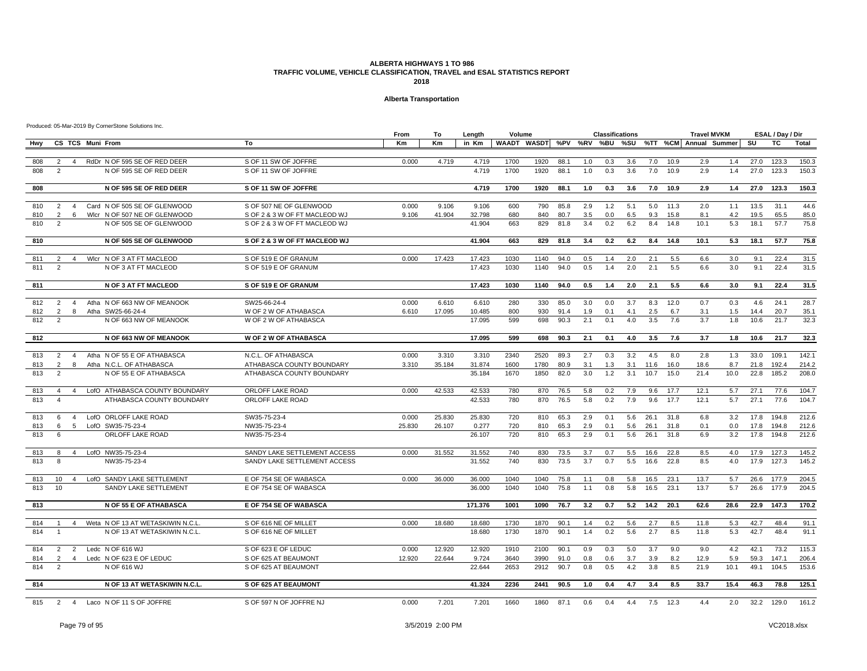#### **Alberta Transportation**

|            |                 |                |                                           |                                              | From      | To     | Length          | Volume       |              |              |            | <b>Classifications</b> |            |            |            | <b>Travel MVKM</b>                                   |             |              | ESAL / Day / Dir |                |
|------------|-----------------|----------------|-------------------------------------------|----------------------------------------------|-----------|--------|-----------------|--------------|--------------|--------------|------------|------------------------|------------|------------|------------|------------------------------------------------------|-------------|--------------|------------------|----------------|
| Hwy        |                 |                | CS TCS Muni From                          | To                                           | <b>Km</b> | Km     | in Km           |              |              |              |            |                        |            |            |            | WAADT WASDT %PV %RV %BU %SU %TT %CM Annual Summer SU |             |              | <b>TC</b>        | <b>Total</b>   |
| 808        | $\overline{2}$  | $\overline{4}$ | RdDr N OF 595 SE OF RED DEER              | S OF 11 SW OF JOFFRE                         | 0.000     | 4.719  | 4.719           | 1700         | 1920         | 88.1         | 1.0        | 0.3                    | 3.6        | 7.0        | 10.9       | 2.9                                                  | 1.4         | 27.0         | 123.3            | 150.3          |
| 808        | $\overline{2}$  |                | N OF 595 SE OF RED DEER                   | S OF 11 SW OF JOFFRE                         |           |        | 4.719           | 1700         | 1920         | 88.1         | 1.0        | 0.3                    | 3.6        | 7.0        | 10.9       | 2.9                                                  | 1.4         | 27.0         | 123.3            | 150.3          |
| 808        |                 |                | N OF 595 SE OF RED DEER                   | S OF 11 SW OF JOFFRE                         |           |        | 4.719           | 1700         | 1920         | 88.1         | 1.0        | 0.3                    | 3.6        | 7.0        | 10.9       | 2.9                                                  | 1.4         | 27.0         | 123.3            | 150.3          |
|            |                 |                |                                           |                                              |           |        |                 |              |              |              |            |                        |            |            |            |                                                      |             |              |                  |                |
| 810        | 2               | $\overline{4}$ | Card N OF 505 SE OF GLENWOOD              | S OF 507 NE OF GLENWOOD                      | 0.000     | 9.106  | 9.106           | 600          | 790          | 85.8         | 2.9        | 1.2                    | 5.1        | 5.0        | 11.3       | 2.0                                                  | 1.1         | 13.5         | 31.1             | 44.6           |
| 810        | 2               | 6              | Wicr N OF 507 NE OF GLENWOOD              | S OF 2 & 3 W OF FT MACLEOD WJ                | 9.106     | 41.904 | 32.798          | 680          | 840          | 80.7         | 3.5        | 0.0                    | 6.5        | 9.3        | 15.8       | 8.1                                                  | 4.2         | 19.5         | 65.5             | 85.0           |
| 810        | 2               |                | N OF 505 SE OF GLENWOOD                   | S OF 2 & 3 W OF FT MACLEOD WJ                |           |        | 41.904          | 663          | 829          | 81.8         | 3.4        | 0.2                    | 6.2        | 8.4        | 14.8       | 10.1                                                 | 5.3         | 18.1         | 57.7             | 75.8           |
| 810        |                 |                | N OF 505 SE OF GLENWOOD                   | S OF 2 & 3 W OF FT MACLEOD WJ                |           |        | 41.904          | 663          | 829          | 81.8         | 3.4        | 0.2                    | 6.2        | 8.4        | 14.8       | 10.1                                                 | 5.3         | 18.1         | 57.7             | 75.8           |
| 811        | 2               | $\overline{4}$ | Wicr N OF 3 AT FT MACLEOD                 | S OF 519 E OF GRANUM                         | 0.000     | 17.423 | 17.423          | 1030         | 1140         | 94.0         | 0.5        | 1.4                    | 2.0        | 2.1        | 5.5        | 6.6                                                  | 3.0         | 9.1          | 22.4             | 31.5           |
| 811        | 2               |                | N OF 3 AT FT MACLEOD                      | S OF 519 E OF GRANUM                         |           |        | 17.423          | 1030         | 1140         | 94.0         | 0.5        | 1.4                    | 2.0        | 2.1        | 5.5        | 6.6                                                  | 3.0         | 9.1          | 22.4             | 31.5           |
| 811        |                 |                | N OF 3 AT FT MACLEOD                      | S OF 519 E OF GRANUM                         |           |        | 17.423          | 1030         | 1140         | 94.0         | 0.5        | 1.4                    | 2.0        | 2.1        | 5.5        | 6.6                                                  | 3.0         | 9.1          | 22.4             | 31.5           |
| 812        | $\overline{2}$  | $\overline{4}$ | Atha N OF 663 NW OF MEANOOK               | SW25-66-24-4                                 | 0.000     | 6.610  | 6.610           | 280          | 330          | 85.0         | 3.0        | 0.0                    | 3.7        | 8.3        | 12.0       | 0.7                                                  | 0.3         | 4.6          | 24.1             | 28.7           |
| 812        | 2               | 8              | Atha SW25-66-24-4                         | W OF 2 W OF ATHABASCA                        | 6.610     | 17.095 | 10.485          | 800          | 930          | 91.4         | 1.9        | 0.1                    | 4.1        | 2.5        | 6.7        | 3.1                                                  | 1.5         | 14.4         | 20.7             | 35.1           |
| 812        | $\overline{2}$  |                | N OF 663 NW OF MEANOOK                    | W OF 2 W OF ATHABASCA                        |           |        | 17.095          | 599          | 698          | 90.3         | 2.1        | 0.1                    | 4.0        | 3.5        | 7.6        | 3.7                                                  | 1.8         | 10.6         | 21.7             | 32.3           |
| 812        |                 |                | N OF 663 NW OF MEANOOK                    | <b>W OF 2 W OF ATHABASCA</b>                 |           |        | 17.095          | 599          | 698          | 90.3         | 2.1        | 0.1                    | 4.0        | 3.5        | 7.6        | 3.7                                                  | 1.8         | 10.6         | 21.7             | 32.3           |
| 813        | 2               | $\overline{4}$ | Atha N OF 55 E OF ATHABASCA               | N.C.L. OF ATHABASCA                          | 0.000     | 3.310  | 3.310           | 2340         | 2520         | 89.3         | 2.7        | 0.3                    | 3.2        | 4.5        | 8.0        | 2.8                                                  | 1.3         | 33.0         | 109.1            | 142.1          |
| 813        | 2               | 8              | Atha N.C.L. OF ATHABASCA                  | ATHABASCA COUNTY BOUNDARY                    | 3.310     | 35.184 | 31.874          | 1600         | 1780         | 80.9         | 3.1        | 1.3                    | 3.1        | 11.6       | 16.0       | 18.6                                                 | 8.7         | 21.8         | 192.4            | 214.2          |
| 813        | 2               |                | N OF 55 E OF ATHABASCA                    | ATHABASCA COUNTY BOUNDARY                    |           |        | 35.184          | 1670         | 1850         | 82.0         | 3.0        | 1.2                    | 3.1        | 10.7       | 15.0       | 21.4                                                 | 10.0        | 22.8         | 185.2            | 208.0          |
| 813        | $\overline{4}$  | $\overline{4}$ | LofO ATHABASCA COUNTY BOUNDARY            | ORLOFF LAKE ROAD                             | 0.000     | 42.533 | 42.533          | 780          | 870          | 76.5         | 5.8        | 0.2                    | 7.9        | 9.6        | 17.7       | 12.1                                                 | 5.7         | 27.1         | 77.6             | 104.7          |
| 813        | $\overline{4}$  |                | ATHABASCA COUNTY BOUNDARY                 | ORLOFF LAKE ROAD                             |           |        | 42.533          | 780          | 870          | 76.5         | 5.8        | 0.2                    | 7.9        | 9.6        | 17.7       | 12.1                                                 | 5.7         | 27.1         | 77.6             | 104.7          |
| 813        | 6               | $\overline{4}$ | LofO ORLOFF LAKE ROAD                     | SW35-75-23-4                                 | 0.000     | 25.830 | 25.830          | 720          | 810          | 65.3         | 2.9        | 0.1                    | 5.6        | 26.1       | 31.8       | 6.8                                                  | 3.2         | 17.8         | 194.8            | 212.6          |
| 813        | 6               | 5              | LofO SW35-75-23-4                         | NW35-75-23-4                                 | 25.830    | 26.107 | 0.277           | 720          | 810          | 65.3         | 2.9        | 0.1                    | 5.6        | 26.1       | 31.8       | 0.1                                                  | 0.0         | 17.8         | 194.8            | 212.6          |
| 813        | 6               |                | ORLOFF LAKE ROAD                          | NW35-75-23-4                                 |           |        | 26.107          | 720          | 810          | 65.3         | 2.9        | 0.1                    | 5.6        | 26.1       | 31.8       | 6.9                                                  | 3.2         | 17.8         | 194.8            | 212.6          |
| 813        | 8               | $\overline{4}$ | LofO NW35-75-23-4                         | SANDY LAKE SETTLEMENT ACCESS                 | 0.000     | 31.552 | 31.552          | 740          | 830          | 73.5         | 3.7        | 0.7                    | 5.5        | 16.6       | 22.8       | 8.5                                                  | 4.0         | 17.9         | 127.3            | 145.2          |
| 813        | 8               |                | NW35-75-23-4                              | SANDY LAKE SETTLEMENT ACCESS                 |           |        | 31.552          | 740          | 830          | 73.5         | 3.7        | 0.7                    | 5.5        | 16.6       | 22.8       | 8.5                                                  | 4.0         | 17.9         | 127.3            | 145.2          |
| 813        | 10 <sup>°</sup> | $\overline{4}$ | LofO SANDY LAKE SETTLEMENT                | E OF 754 SE OF WABASCA                       | 0.000     | 36,000 | 36,000          | 1040         | 1040         | 75.8         | 1.1        | 0.8                    | 5.8        | 16.5       | 23.1       | 13.7                                                 | 5.7         | 26.6         | 177.9            | 204.5          |
| 813        | 10              |                | SANDY LAKE SETTLEMENT                     | E OF 754 SE OF WABASCA                       |           |        | 36.000          | 1040         | 1040         | 75.8         | 1.1        | 0.8                    | 5.8        | 16.5       | 23.1       | 13.7                                                 | 5.7         | 26.6         | 177.9            | 204.5          |
| 813        |                 |                | N OF 55 E OF ATHABASCA                    | E OF 754 SE OF WABASCA                       |           |        | 171.376         | 1001         | 1090         | 76.7         | 3.2        | 0.7                    | 5.2        | 14.2       | 20.1       | 62.6                                                 | 28.6        | 22.9         | 147.3            | 170.2          |
| 814        | $\overline{1}$  | $\overline{4}$ | Weta N OF 13 AT WETASKIWIN N.C.L          | S OF 616 NE OF MILLET                        | 0.000     | 18.680 | 18.680          | 1730         | 1870         | 90.1         | 1.4        | 0.2                    | 5.6        | 2.7        | 8.5        | 11.8                                                 | 5.3         | 42.7         | 48.4             | 91.1           |
| 814        | $\overline{1}$  |                | N OF 13 AT WETASKIWIN N.C.L.              | S OF 616 NE OF MILLET                        |           |        | 18.680          | 1730         | 1870         | 90.1         | 1.4        | 0.2                    | 5.6        | 2.7        | 8.5        | 11.8                                                 | 5.3         | 42.7         | 48.4             | 91.1           |
|            |                 |                |                                           |                                              |           |        |                 |              |              |              |            |                        |            |            |            |                                                      |             |              |                  |                |
| 814        | 2               | 2              | Ledc N OF 616 WJ                          | S OF 623 E OF LEDUC                          | 0.000     | 12.920 | 12.920          | 1910         | 2100         | 90.1         | 0.9        | 0.3                    | 5.0        | 3.7        | 9.0        | 9.0                                                  | 4.2         | 42.1         | 73.2             | 115.3          |
| 814<br>814 | 2<br>2          |                | 4 Ledc N OF 623 E OF LEDUC<br>N OF 616 WJ | S OF 625 AT BEAUMONT<br>S OF 625 AT BEAUMONT | 12.920    | 22.644 | 9.724<br>22.644 | 3640<br>2653 | 3990<br>2912 | 91.0<br>90.7 | 0.8<br>0.8 | 0.6<br>0.5             | 3.7<br>4.2 | 3.9<br>3.8 | 8.2<br>8.5 | 12.9<br>21.9                                         | 5.9<br>10.1 | 59.3<br>49.1 | 147.1<br>104.5   | 206.4<br>153.6 |
| 814        |                 |                | N OF 13 AT WETASKIWIN N.C.L.              | S OF 625 AT BEAUMONT                         |           |        | 41.324          | 2236         | 2441         | 90.5         | 1.0        | 0.4                    | 4.7        | 3.4        | 8.5        | 33.7                                                 | 15.4        | 46.3         | 78.8             | 125.1          |
|            |                 |                |                                           |                                              |           |        |                 |              |              |              |            |                        |            |            |            |                                                      |             |              |                  |                |
| 815        |                 | $2 \quad 4$    | Laco N OF 11 S OF JOFFRE                  | S OF 597 N OF JOFFRE NJ                      | 0.000     | 7.201  | 7.201           | 1660         | 1860         | 87.1         | 0.6        | 0.4                    | 4.4        | 7.5        | 12.3       | 4.4                                                  | 2.0         | 32.2         | 129.0            | 161.2          |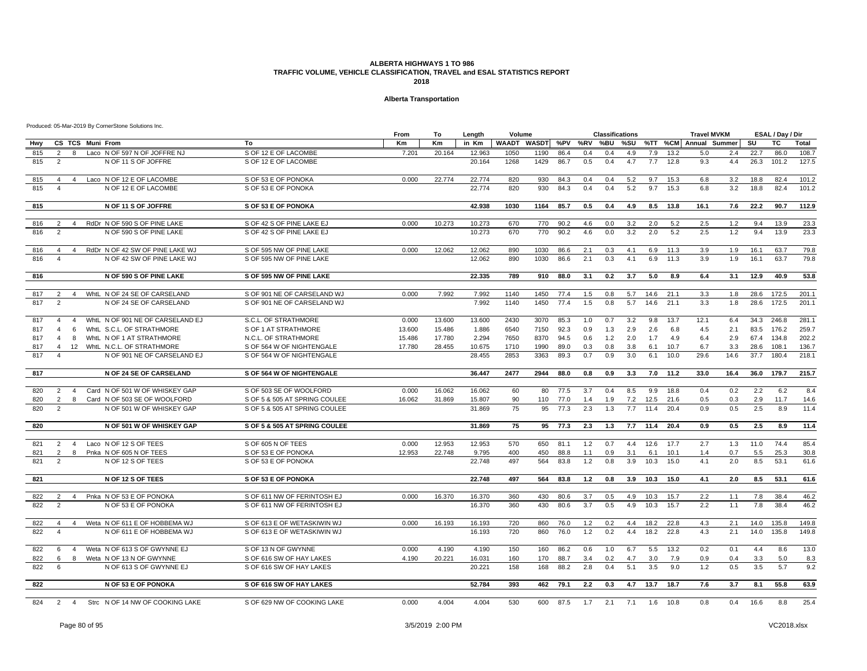#### **Alberta Transportation**

|     |                         |                |                  |                                  |                               | From      | To        | Length | Volume |              |      |         | <b>Classifications</b> |     |      |      | <b>Travel MVKM</b>    |      |      | ESAL / Day / Dir |              |
|-----|-------------------------|----------------|------------------|----------------------------------|-------------------------------|-----------|-----------|--------|--------|--------------|------|---------|------------------------|-----|------|------|-----------------------|------|------|------------------|--------------|
| Hwy |                         |                | CS TCS Muni From |                                  | To                            | <b>Km</b> | <b>Km</b> | in Km  | WAADT  | <b>WASDT</b> |      | %PV %RV | %BU                    | %SU |      |      | %TT %CM Annual Summer |      | SU   | тc               | <b>Total</b> |
| 815 | $\overline{2}$          | 8              |                  | Laco N OF 597 N OF JOFFRE NJ     | S OF 12 E OF LACOMBE          | 7.201     | 20.164    | 12.963 | 1050   | 1190         | 86.4 | 0.4     | 0.4                    | 4.9 | 7.9  | 13.2 | 5.0                   | 2.4  | 22.7 | 86.0             | 108.7        |
| 815 | $\overline{2}$          |                |                  | N OF 11 S OF JOFFRE              | S OF 12 E OF LACOMBE          |           |           | 20.164 | 1268   | 1429         | 86.7 | 0.5     | 0.4                    | 4.7 | 7.7  | 12.8 | 9.3                   | 4.4  | 26.3 | 101.2            | 127.5        |
| 815 | $\overline{4}$          | $\overline{4}$ |                  | Laco N OF 12 E OF LACOMBE        | S OF 53 E OF PONOKA           | 0.000     | 22.774    | 22.774 | 820    | 930          | 84.3 | 0.4     | 0.4                    | 5.2 | 9.7  | 15.3 | 6.8                   | 3.2  | 18.8 | 82.4             | 101.2        |
| 815 | $\overline{\mathbf{4}}$ |                |                  | N OF 12 E OF LACOMBE             | S OF 53 E OF PONOKA           |           |           | 22.774 | 820    | 930          | 84.3 | 0.4     | 0.4                    | 5.2 | 9.7  | 15.3 | 6.8                   | 3.2  | 18.8 | 82.4             | 101.2        |
| 815 |                         |                |                  | N OF 11 S OF JOFFRE              | S OF 53 E OF PONOKA           |           |           | 42.938 | 1030   | 1164         | 85.7 | 0.5     | 0.4                    | 4.9 | 8.5  | 13.8 | 16.1                  | 7.6  | 22.2 | 90.7             | 112.9        |
| 816 | $\overline{2}$          | $\overline{4}$ |                  | RdDr N OF 590 S OF PINE LAKE     | S OF 42 S OF PINE LAKE EJ     | 0.000     | 10.273    | 10.273 | 670    | 770          | 90.2 | 4.6     | 0.0                    | 3.2 | 2.0  | 5.2  | 2.5                   | 1.2  | 9.4  | 13.9             | 23.3         |
| 816 | 2                       |                |                  | N OF 590 S OF PINE LAKE          | S OF 42 S OF PINE LAKE EJ     |           |           | 10.273 | 670    | 770          | 90.2 | 4.6     | 0.0                    | 3.2 | 2.0  | 5.2  | 2.5                   | 1.2  | 9.4  | 13.9             | 23.3         |
| 816 | $\overline{4}$          | $\overline{4}$ |                  | RdDr N OF 42 SW OF PINE LAKE WJ  | S OF 595 NW OF PINE LAKE      | 0.000     | 12.062    | 12.062 | 890    | 1030         | 86.6 | 2.1     | 0.3                    | 4.1 | 6.9  | 11.3 | 3.9                   | 1.9  | 16.1 | 63.7             | 79.8         |
| 816 | $\overline{4}$          |                |                  | N OF 42 SW OF PINE LAKE WJ       | S OF 595 NW OF PINE LAKE      |           |           | 12.062 | 890    | 1030         | 86.6 | 2.1     | 0.3                    | 4.1 | 6.9  | 11.3 | 3.9                   | 1.9  | 16.1 | 63.7             | 79.8         |
| 816 |                         |                |                  | N OF 590 S OF PINE LAKE          | S OF 595 NW OF PINE LAKE      |           |           | 22.335 | 789    | 910          | 88.0 | 3.1     | 0.2                    | 3.7 | 5.0  | 8.9  | 6.4                   | 3.1  | 12.9 | 40.9             | 53.8         |
| 817 | 2                       | $\overline{4}$ |                  | WhtL N OF 24 SE OF CARSELAND     | S OF 901 NE OF CARSELAND WJ   | 0.000     | 7.992     | 7.992  | 1140   | 1450         | 77.4 | 1.5     | 0.8                    | 5.7 | 14.6 | 21.1 | 3.3                   | 1.8  | 28.6 | 172.5            | 201.1        |
| 817 | 2                       |                |                  | N OF 24 SE OF CARSELAND          | S OF 901 NE OF CARSELAND WJ   |           |           | 7.992  | 1140   | 1450         | 77.4 | 1.5     | 0.8                    | 5.7 | 14.6 | 21.1 | 3.3                   | 1.8  | 28.6 | 172.5            | 201.1        |
| 817 | $\overline{4}$          | $\overline{4}$ |                  | WhtL N OF 901 NE OF CARSELAND EJ | S.C.L. OF STRATHMORE          | 0.000     | 13.600    | 13.600 | 2430   | 3070         | 85.3 | 1.0     | 0.7                    | 3.2 | 9.8  | 13.7 | 12.1                  | 6.4  | 34.3 | 246.8            | 281.1        |
| 817 | 4                       | 6              |                  | WhtL S.C.L. OF STRATHMORE        | S OF 1 AT STRATHMORE          | 13.600    | 15.486    | 1.886  | 6540   | 7150         | 92.3 | 0.9     | 1.3                    | 2.9 | 2.6  | 6.8  | 4.5                   | 2.1  | 83.5 | 176.2            | 259.7        |
| 817 | $\overline{4}$          | 8              |                  | WhtL N OF 1 AT STRATHMORE        | N.C.L. OF STRATHMORE          | 15.486    | 17.780    | 2.294  | 7650   | 8370         | 94.5 | 0.6     | 1.2                    | 2.0 | 1.7  | 4.9  | 6.4                   | 2.9  | 67.4 | 134.8            | 202.2        |
| 817 | $\overline{4}$          | 12             |                  | WhtL N.C.L. OF STRATHMORE        | S OF 564 W OF NIGHTENGALE     | 17.780    | 28.455    | 10.675 | 1710   | 1990         | 89.0 | 0.3     | 0.8                    | 3.8 | 6.1  | 10.7 | 6.7                   | 3.3  | 28.6 | 108.1            | 136.7        |
| 817 | $\overline{\mathbf{4}}$ |                |                  | N OF 901 NE OF CARSELAND EJ      | S OF 564 W OF NIGHTENGALE     |           |           | 28.455 | 2853   | 3363         | 89.3 | 0.7     | 0.9                    | 3.0 | 6.1  | 10.0 | 29.6                  | 14.6 | 37.7 | 180.4            | 218.1        |
| 817 |                         |                |                  | N OF 24 SE OF CARSELAND          | S OF 564 W OF NIGHTENGALE     |           |           | 36.447 | 2477   | 2944         | 88.0 | 0.8     | 0.9                    | 3.3 | 7.0  | 11.2 | 33.0                  | 16.4 | 36.0 | 179.7            | 215.7        |
| 820 | 2                       | $\overline{4}$ |                  | Card N OF 501 W OF WHISKEY GAP   | S OF 503 SE OF WOOLFORD       | 0.000     | 16.062    | 16.062 | 60     | 80           | 77.5 | 3.7     | 0.4                    | 8.5 | 9.9  | 18.8 | 0.4                   | 0.2  | 2.2  | 6.2              | 8.4          |
| 820 | $\overline{2}$          | 8              |                  | Card N OF 503 SE OF WOOLFORD     | S OF 5 & 505 AT SPRING COULEE | 16.062    | 31.869    | 15.807 | 90     | 110          | 77.0 | 1.4     | 1.9                    | 7.2 | 12.5 | 21.6 | 0.5                   | 0.3  | 2.9  | 11.7             | 14.6         |
| 820 | 2                       |                |                  | N OF 501 W OF WHISKEY GAP        | S OF 5 & 505 AT SPRING COULEE |           |           | 31.869 | 75     | 95           | 77.3 | 2.3     | 1.3                    | 7.7 | 11.4 | 20.4 | 0.9                   | 0.5  | 2.5  | 8.9              | 11.4         |
| 820 |                         |                |                  | N OF 501 W OF WHISKEY GAP        | S OF 5 & 505 AT SPRING COULEE |           |           | 31.869 | 75     | 95           | 77.3 | 2.3     | 1.3                    | 7.7 | 11.4 | 20.4 | 0.9                   | 0.5  | 2.5  | 8.9              | 11.4         |
| 821 | 2                       | $\overline{4}$ |                  | Laco N OF 12 S OF TEES           | S OF 605 N OF TEES            | 0.000     | 12.953    | 12.953 | 570    | 650          | 81.1 | 1.2     | 0.7                    | 4.4 | 12.6 | 17.7 | 2.7                   | 1.3  | 11.0 | 74.4             | 85.4         |
| 821 | 2                       | 8              |                  | Pnka N OF 605 N OF TEES          | S OF 53 E OF PONOKA           | 12.953    | 22.748    | 9.795  | 400    | 450          | 88.8 | 1.1     | 0.9                    | 3.1 | 6.1  | 10.1 | 1.4                   | 0.7  | 5.5  | 25.3             | 30.8         |
| 821 | $\overline{2}$          |                |                  | N OF 12 S OF TEES                | S OF 53 E OF PONOKA           |           |           | 22.748 | 497    | 564          | 83.8 | 1.2     | 0.8                    | 3.9 | 10.3 | 15.0 | 4.1                   | 2.0  | 8.5  | 53.1             | 61.6         |
| 821 |                         |                |                  | N OF 12 S OF TEES                | S OF 53 E OF PONOKA           |           |           | 22.748 | 497    | 564          | 83.8 | 1.2     | 0.8                    | 3.9 | 10.3 | 15.0 | 4.1                   | 2.0  | 8.5  | 53.1             | 61.6         |
| 822 | 2                       | $\overline{4}$ |                  | Pnka N OF 53 E OF PONOKA         | S OF 611 NW OF FERINTOSH EJ   | 0.000     | 16.370    | 16.370 | 360    | 430          | 80.6 | 3.7     | 0.5                    | 4.9 | 10.3 | 15.7 | 2.2                   | 1.1  | 7.8  | 38.4             | 46.2         |
| 822 | $\overline{2}$          |                |                  | N OF 53 E OF PONOKA              | S OF 611 NW OF FERINTOSH EJ   |           |           | 16.370 | 360    | 430          | 80.6 | 3.7     | 0.5                    | 4.9 | 10.3 | 15.7 | 2.2                   | 1.1  | 7.8  | 38.4             | 46.2         |
| 822 | $\overline{4}$          | $\overline{4}$ |                  | Weta N OF 611 E OF HOBBEMA WJ    | S OF 613 E OF WETASKIWIN WJ   | 0.000     | 16.193    | 16.193 | 720    | 860          | 76.0 | 1.2     | 0.2                    | 4.4 | 18.2 | 22.8 | 4.3                   | 2.1  | 14.0 | 135.8            | 149.8        |
| 822 | $\overline{\mathbf{4}}$ |                |                  | N OF 611 E OF HOBBEMA WJ         | S OF 613 E OF WETASKIWIN WJ   |           |           | 16.193 | 720    | 860          | 76.0 | 1.2     | 0.2                    | 4.4 | 18.2 | 22.8 | 4.3                   | 2.1  | 14.0 | 135.8            | 149.8        |
| 822 | 6                       | $\overline{4}$ |                  | Weta N OF 613 S OF GWYNNE EJ     | S OF 13 N OF GWYNNE           | 0.000     | 4.190     | 4.190  | 150    | 160          | 86.2 | 0.6     | 1.0                    | 6.7 | 5.5  | 13.2 | 0.2                   | 0.1  | 4.4  | 8.6              | 13.0         |
| 822 | 6                       | 8              |                  | Weta N OF 13 N OF GWYNNE         | S OF 616 SW OF HAY LAKES      | 4.190     | 20.221    | 16.031 | 160    | 170          | 88.7 | 3.4     | 0.2                    | 4.7 | 3.0  | 7.9  | 0.9                   | 0.4  | 3.3  | 5.0              | 8.3          |
| 822 | 6                       |                |                  | N OF 613 S OF GWYNNE EJ          | S OF 616 SW OF HAY LAKES      |           |           | 20.221 | 158    | 168          | 88.2 | 2.8     | 0.4                    | 5.1 | 3.5  | 9.0  | 1.2                   | 0.5  | 3.5  | 5.7              | 9.2          |
| 822 |                         |                |                  | N OF 53 E OF PONOKA              | S OF 616 SW OF HAY LAKES      |           |           | 52.784 | 393    | 462          | 79.1 | 2.2     | 0.3                    | 4.7 | 13.7 | 18.7 | 7.6                   | 3.7  | 8.1  | 55.8             | 63.9         |
| 824 | 2                       | $\overline{4}$ |                  | Strc N OF 14 NW OF COOKING LAKE  | S OF 629 NW OF COOKING LAKE   | 0.000     | 4.004     | 4.004  | 530    | 600          | 87.5 | 1.7     | 2.1                    | 7.1 | 1.6  | 10.8 | 0.8                   | 0.4  | 16.6 | 8.8              | 25.4         |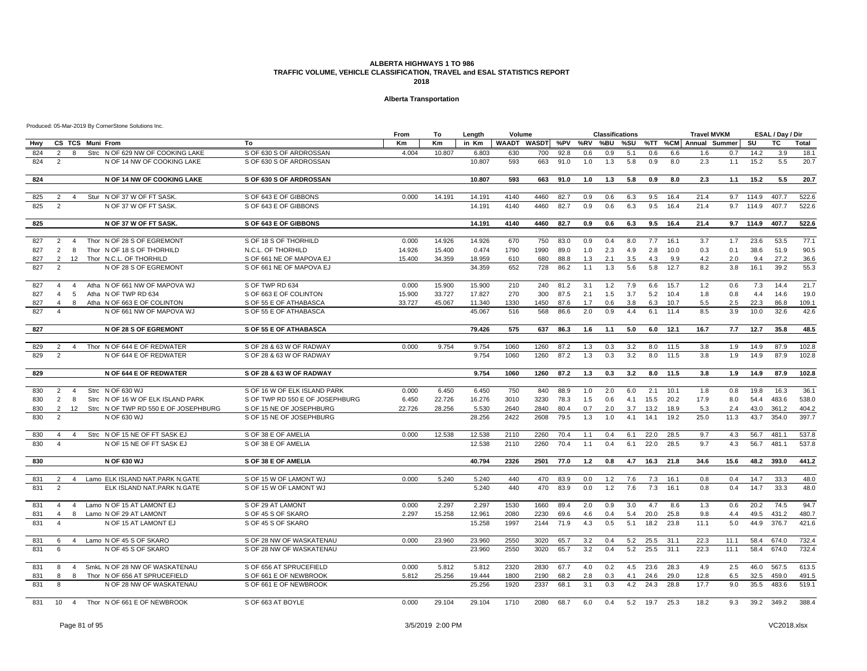#### **Alberta Transportation**

| CS TCS Muni From<br>Km<br>WAADT WASDT %PV<br>%RV<br>%BU<br>%SU<br>%TT %CM<br>SU<br><b>TC</b><br>To<br>Km<br>in Km<br>Annual Summer<br><b>Total</b><br>Hwy<br>Strc N OF 629 NW OF COOKING LAKE<br>S OF 630 S OF ARDROSSAN<br>2<br>8<br>4.004<br>10.807<br>6.803<br>630<br>92.8<br>5.1<br>6.6<br>14.2<br>3.9<br>18.1<br>824<br>700<br>0.6<br>0.9<br>0.6<br>1.6<br>0.7<br>2.3<br>15.2<br>824<br>2<br>N OF 14 NW OF COOKING LAKE<br>S OF 630 S OF ARDROSSAN<br>10.807<br>593<br>663<br>91.0<br>1.0<br>5.8<br>0.9<br>8.0<br>1.1<br>5.5<br>1.3<br>2.3<br>824<br>N OF 14 NW OF COOKING LAKE<br>S OF 630 S OF ARDROSSAN<br>10.807<br>593<br>663<br>91.0<br>1.0<br>1.3<br>5.8<br>0.9<br>8.0<br>1.1<br>15.2<br>5.5<br>Stur N OF 37 W OF FT SASK<br>S OF 643 E OF GIBBONS<br>14.191<br>407.7<br>522.6<br>825<br>2<br>0.000<br>14.191<br>4140<br>4460<br>82.7<br>0.9<br>0.6<br>9.5<br>16.4<br>21.4<br>9.7 114.9<br>$\overline{4}$<br>6.3<br>N OF 37 W OF FT SASK.<br>S OF 643 E OF GIBBONS<br>14.191<br>4140<br>4460<br>82.7<br>0.9<br>0.6<br>6.3<br>9.5<br>16.4<br>21.4<br>9.7<br>114.9<br>407.7<br>825<br>$\overline{2}$<br>S OF 643 E OF GIBBONS<br>14.191<br>4460<br>82.7<br>16.4<br>825<br>N OF 37 W OF FT SASK.<br>4140<br>0.9<br>0.6<br>6.3<br>9.5<br>21.4<br>9.7 114.9<br>407.7<br>Thor N OF 28 S OF EGREMONT<br>S OF 18 S OF THORHILD<br>14.926<br>14.926<br>670<br>750<br>83.0<br>3.7<br>23.6<br>827<br>0.000<br>0.9<br>0.4<br>8.0<br>7.7<br>16.1<br>1.7<br>53.5<br>$\overline{2}$<br>$\overline{4}$<br>827<br>2<br>8<br>Thor N OF 18 S OF THORHILD<br>N.C.L. OF THORHILD<br>14.926<br>15.400<br>0.474<br>1790<br>1990<br>89.0<br>1.0<br>2.3<br>4.9<br>2.8<br>10.0<br>0.3<br>0.1<br>38.6<br>51.9<br>34.359<br>2.0<br>827<br>$\overline{2}$<br>12<br>Thor N.C.L. OF THORHILD<br>S OF 661 NE OF MAPOVA EJ<br>15.400<br>18.959<br>610<br>680<br>88.8<br>1.3<br>2.1<br>3.5<br>4.3<br>9.9<br>4.2<br>9.4<br>27.2<br>5.6<br>5.8<br>8.2<br>827<br>N OF 28 S OF EGREMONT<br>S OF 661 NE OF MAPOVA EJ<br>34.359<br>652<br>728<br>86.2<br>1.1<br>1.3<br>12.7<br>3.8<br>16.1<br>39.2<br>$\overline{2}$<br>15.900<br>15.900<br>6.6<br>15.7<br>1.2<br>7.3<br>14.4<br>827<br>Atha N OF 661 NW OF MAPOVA WJ<br>S OF TWP RD 634<br>0.000<br>210<br>240<br>81.2<br>3.1<br>1.2<br>7.9<br>0.6<br>$\overline{4}$<br>$\overline{4}$<br>827<br>5<br>Atha N OF TWP RD 634<br>S OF 663 E OF COLINTON<br>15.900<br>33.727<br>17.827<br>270<br>300<br>87.5<br>2.1<br>1.5<br>3.7<br>5.2<br>10.4<br>1.8<br>0.8<br>4.4<br>14.6<br>$\overline{4}$<br>5.5<br>$\overline{4}$<br>8<br>Atha N OF 663 E OF COLINTON<br>S OF 55 E OF ATHABASCA<br>33.727<br>45.067<br>11.340<br>1330<br>1450<br>1.7<br>0.6<br>3.8<br>6.3<br>10.7<br>2.5<br>22.3<br>86.8<br>827<br>87.6<br>8.5<br>N OF 661 NW OF MAPOVA WJ<br>S OF 55 E OF ATHABASCA<br>45.067<br>516<br>568<br>86.6<br>2.0<br>0.9<br>4.4<br>6.1<br>11.4<br>3.9<br>10.0<br>32.6<br>42.6<br>827<br>$\overline{4}$<br>575<br>827<br>N OF 28 S OF EGREMONT<br><b>S OF 55 E OF ATHABASCA</b><br>79.426<br>637<br>86.3<br>1.6<br>1.1<br>5.0<br>6.0<br>12.1<br>16.7<br>7.7<br>12.7<br>35.8<br>9.754<br>3.8<br>102.8<br>829<br>2<br>Thor N OF 644 E OF REDWATER<br>S OF 28 & 63 W OF RADWAY<br>0.000<br>9.754<br>1060<br>1260<br>87.2<br>1.3<br>0.3<br>3.2<br>8.0<br>11.5<br>1.9<br>14.9<br>87.9<br>$\overline{4}$<br>829<br>S OF 28 & 63 W OF RADWAY<br>9.754<br>1060<br>1260<br>87.2<br>1.3<br>0.3<br>3.2<br>8.0<br>11.5<br>3.8<br>1.9<br>14.9<br>87.9<br>$\overline{2}$<br>N OF 644 E OF REDWATER<br>3.8<br>N OF 644 E OF REDWATER<br>S OF 28 & 63 W OF RADWAY<br>9.754<br>1060<br>1260<br>87.2<br>1.3<br>0.3<br>3.2<br>8.0<br>11.5<br>1.9<br>14.9<br>87.9<br>829<br>S OF 16 W OF ELK ISLAND PARK<br>6.450<br>6.450<br>750<br>88.9<br>19.8<br>36.1<br>830<br>2<br>Strc N OF 630 WJ<br>0.000<br>840<br>1.0<br>2.0<br>6.0<br>2.1<br>10.1<br>1.8<br>0.8<br>16.3<br>$\overline{4}$<br>6.450<br>22.726<br>3230<br>15.5<br>483.6<br>$\overline{2}$<br>8<br>Strc N OF 16 W OF ELK ISLAND PARK<br>S OF TWP RD 550 E OF JOSEPHBURG<br>16.276<br>3010<br>78.3<br>1.5<br>0.6<br>4.1<br>20.2<br>17.9<br>8.0<br>54.4<br>830<br>43.0<br>830<br>$\overline{2}$<br>12<br>Strc N OF TWP RD 550 E OF JOSEPHBURG<br>S OF 15 NE OF JOSEPHBURG<br>22.726<br>28.256<br>5.530<br>2640<br>2840<br>80.4<br>0.7<br>2.0<br>3.7<br>13.2<br>18.9<br>5.3<br>2.4<br>361.2<br>25.0<br>830<br>N OF 630 WJ<br>S OF 15 NE OF JOSEPHBURG<br>28.256<br>2422<br>2608<br>79.5<br>1.3<br>14.1<br>19.2<br>11.3<br>43.7<br>354.0<br>$\overline{2}$<br>1.0<br>4.1<br>S OF 38 E OF AMELIA<br>12.538<br>12.538<br>22.0<br>28.5<br>9.7<br>56.7<br>Strc N OF 15 NE OF FT SASK EJ<br>0.000<br>2110<br>2260<br>70.4<br>1.1<br>0.4<br>6.1<br>4.3<br>481.1<br>830<br>$\overline{4}$<br>$\overline{4}$<br>830<br>N OF 15 NE OF FT SASK EJ<br>S OF 38 E OF AMELIA<br>12.538<br>2110<br>2260<br>70.4<br>6.1<br>22.0<br>28.5<br>9.7<br>4.3<br>56.7<br>481.1<br>$\overline{4}$<br>1.1<br>0.4<br><b>N OF 630 WJ</b><br>S OF 38 E OF AMELIA<br>40.794<br>2326<br>2501<br>77.0<br>1.2<br>0.8<br>4.7<br>16.3<br>21.8<br>34.6<br>15.6<br>48.2<br>393.0<br>830<br>5.240<br>831<br>2<br>Lamo ELK ISLAND NAT.PARK N.GATE<br>S OF 15 W OF LAMONT WJ<br>0.000<br>5.240<br>440<br>470<br>83.9<br>0.0<br>1.2<br>7.6<br>7.3<br>16.1<br>0.8<br>0.4<br>14.7<br>33.3<br>48.0<br>$\overline{4}$<br>470<br>83.9<br>7.3<br>14.7<br>831<br>ELK ISLAND NAT.PARK N.GATE<br>S OF 15 W OF LAMONT WJ<br>5.240<br>440<br>0.0<br>1.2<br>7.6<br>16.1<br>0.8<br>0.4<br>33.3<br>$\overline{2}$<br>Lamo N OF 15 AT LAMONT EJ<br>S OF 29 AT LAMONT<br>0.000<br>2.297<br>2.297<br>1530<br>1660<br>89.4<br>2.0<br>0.9<br>3.0<br>4.7<br>8.6<br>1.3<br>0.6<br>20.2<br>74.5<br>831<br>$\overline{4}$<br>$\overline{4}$<br>2.297<br>15.258<br>2080<br>2230<br>20.0<br>25.8<br>9.8<br>431.2<br>831<br>$\overline{4}$<br>8<br>Lamo N OF 29 AT LAMONT<br>S OF 45 S OF SKARO<br>12.961<br>69.6<br>4.6<br>0.4<br>5.4<br>4.4<br>49.5<br>$\overline{4}$<br>N OF 15 AT LAMONT EJ<br>S OF 45 S OF SKARO<br>15.258<br>1997<br>2144<br>71.9<br>4.3<br>0.5<br>5.1<br>18.2<br>23.8<br>11.1<br>5.0<br>44.9<br>376.7<br>831<br>Lamo N OF 45 S OF SKARO<br>S OF 28 NW OF WASKATENAU<br>0.000<br>23,960<br>2550<br>25.5<br>22.3<br>58.4<br>732.4<br>831<br>6<br>23.960<br>3020<br>65.7<br>3.2<br>0.4<br>5.2<br>31.1<br>11.1<br>674.0<br>$\overline{4}$<br>831<br>S OF 28 NW OF WASKATENAU<br>23.960<br>2550<br>3020<br>65.7<br>3.2<br>0.4<br>5.2<br>25.5<br>31.1<br>22.3<br>58.4<br>674.0<br>6<br>N OF 45 S OF SKARO<br>11.1<br>831<br>SmkL N OF 28 NW OF WASKATENAU<br>S OF 656 AT SPRUCEFIELD<br>0.000<br>5.812<br>5.812<br>2320<br>2830<br>67.7<br>4.0<br>0.2<br>4.5<br>23.6<br>28.3<br>4.9<br>2.5<br>46.0<br>567.5<br>8<br>$\overline{4}$<br>Thor N OF 656 AT SPRUCEFIELD<br>25.256<br>19.444<br>1800<br>2.8<br>0.3<br>24.6<br>29.0<br>12.8<br>6.5<br>32.5<br>459.0<br>831<br>8<br>8<br>S OF 661 E OF NEWBROOK<br>5.812<br>2190<br>68.2<br>4.1<br>N OF 28 NW OF WASKATENAU<br>S OF 661 E OF NEWBROOK<br>0.3<br>4.2<br>24.3<br>17.7<br>9.0<br>35.5<br>483.6<br>519.1<br>831<br>8<br>25.256<br>1920<br>2337<br>68.1<br>3.1<br>28.8<br>831<br>Thor N OF 661 E OF NEWBROOK<br>0.000<br>29.104<br>29.104<br>1710<br>2080<br>68.7<br>6.0<br>0.4<br>5.2<br>19.7<br>25.3<br>18.2<br>39.2<br>349.2<br>10<br>$\overline{4}$<br>S OF 663 AT BOYLE<br>9.3 |  |  |  | From | To | Length | Volume |  | <b>Classifications</b> |  | <b>Travel MVKM</b> |  | ESAL / Day / Dir |       |
|----------------------------------------------------------------------------------------------------------------------------------------------------------------------------------------------------------------------------------------------------------------------------------------------------------------------------------------------------------------------------------------------------------------------------------------------------------------------------------------------------------------------------------------------------------------------------------------------------------------------------------------------------------------------------------------------------------------------------------------------------------------------------------------------------------------------------------------------------------------------------------------------------------------------------------------------------------------------------------------------------------------------------------------------------------------------------------------------------------------------------------------------------------------------------------------------------------------------------------------------------------------------------------------------------------------------------------------------------------------------------------------------------------------------------------------------------------------------------------------------------------------------------------------------------------------------------------------------------------------------------------------------------------------------------------------------------------------------------------------------------------------------------------------------------------------------------------------------------------------------------------------------------------------------------------------------------------------------------------------------------------------------------------------------------------------------------------------------------------------------------------------------------------------------------------------------------------------------------------------------------------------------------------------------------------------------------------------------------------------------------------------------------------------------------------------------------------------------------------------------------------------------------------------------------------------------------------------------------------------------------------------------------------------------------------------------------------------------------------------------------------------------------------------------------------------------------------------------------------------------------------------------------------------------------------------------------------------------------------------------------------------------------------------------------------------------------------------------------------------------------------------------------------------------------------------------------------------------------------------------------------------------------------------------------------------------------------------------------------------------------------------------------------------------------------------------------------------------------------------------------------------------------------------------------------------------------------------------------------------------------------------------------------------------------------------------------------------------------------------------------------------------------------------------------------------------------------------------------------------------------------------------------------------------------------------------------------------------------------------------------------------------------------------------------------------------------------------------------------------------------------------------------------------------------------------------------------------------------------------------------------------------------------------------------------------------------------------------------------------------------------------------------------------------------------------------------------------------------------------------------------------------------------------------------------------------------------------------------------------------------------------------------------------------------------------------------------------------------------------------------------------------------------------------------------------------------------------------------------------------------------------------------------------------------------------------------------------------------------------------------------------------------------------------------------------------------------------------------------------------------------------------------------------------------------------------------------------------------------------------------------------------------------------------------------------------------------------------------------------------------------------------------------------------------------------------------------------------------------------------------------------------------------------------------------------------------------------------------------------------------------------------------------------------------------------------------------------------------------------------------------------------------------------------------------------------------------------------------------------------------------------------------------------------------------------------------------------------------------------------------------------------------------------------------------------------------------------------------------------------------------------------------------------------------------------------------------------------------------------------------------------------------------------------------------------------------------------------------------------------------------------------------------------------------------------------------------------------------------------------------------------------------------------------------------------------------------------------------------------------------------------------------------------------------------------------------------------------------------------------------------------------------------------------------------------------------------------------------------------------------------------------------------------------------------------------------------------------------------------------------------------------------------------------------------------------------------------------------------------------------------------------------------------------------------------------------------------------------------------------------------------------------------------------------------------------------------------|--|--|--|------|----|--------|--------|--|------------------------|--|--------------------|--|------------------|-------|
|                                                                                                                                                                                                                                                                                                                                                                                                                                                                                                                                                                                                                                                                                                                                                                                                                                                                                                                                                                                                                                                                                                                                                                                                                                                                                                                                                                                                                                                                                                                                                                                                                                                                                                                                                                                                                                                                                                                                                                                                                                                                                                                                                                                                                                                                                                                                                                                                                                                                                                                                                                                                                                                                                                                                                                                                                                                                                                                                                                                                                                                                                                                                                                                                                                                                                                                                                                                                                                                                                                                                                                                                                                                                                                                                                                                                                                                                                                                                                                                                                                                                                                                                                                                                                                                                                                                                                                                                                                                                                                                                                                                                                                                                                                                                                                                                                                                                                                                                                                                                                                                                                                                                                                                                                                                                                                                                                                                                                                                                                                                                                                                                                                                                                                                                                                                                                                                                                                                                                                                                                                                                                                                                                                                                                                                                                                                                                                                                                                                                                                                                                                                                                                                                                                                                                                                                                                                                                                                                                                                                                                                                                                                                                                                                                                                                                                                                        |  |  |  |      |    |        |        |  |                        |  |                    |  |                  |       |
|                                                                                                                                                                                                                                                                                                                                                                                                                                                                                                                                                                                                                                                                                                                                                                                                                                                                                                                                                                                                                                                                                                                                                                                                                                                                                                                                                                                                                                                                                                                                                                                                                                                                                                                                                                                                                                                                                                                                                                                                                                                                                                                                                                                                                                                                                                                                                                                                                                                                                                                                                                                                                                                                                                                                                                                                                                                                                                                                                                                                                                                                                                                                                                                                                                                                                                                                                                                                                                                                                                                                                                                                                                                                                                                                                                                                                                                                                                                                                                                                                                                                                                                                                                                                                                                                                                                                                                                                                                                                                                                                                                                                                                                                                                                                                                                                                                                                                                                                                                                                                                                                                                                                                                                                                                                                                                                                                                                                                                                                                                                                                                                                                                                                                                                                                                                                                                                                                                                                                                                                                                                                                                                                                                                                                                                                                                                                                                                                                                                                                                                                                                                                                                                                                                                                                                                                                                                                                                                                                                                                                                                                                                                                                                                                                                                                                                                                        |  |  |  |      |    |        |        |  |                        |  |                    |  |                  |       |
|                                                                                                                                                                                                                                                                                                                                                                                                                                                                                                                                                                                                                                                                                                                                                                                                                                                                                                                                                                                                                                                                                                                                                                                                                                                                                                                                                                                                                                                                                                                                                                                                                                                                                                                                                                                                                                                                                                                                                                                                                                                                                                                                                                                                                                                                                                                                                                                                                                                                                                                                                                                                                                                                                                                                                                                                                                                                                                                                                                                                                                                                                                                                                                                                                                                                                                                                                                                                                                                                                                                                                                                                                                                                                                                                                                                                                                                                                                                                                                                                                                                                                                                                                                                                                                                                                                                                                                                                                                                                                                                                                                                                                                                                                                                                                                                                                                                                                                                                                                                                                                                                                                                                                                                                                                                                                                                                                                                                                                                                                                                                                                                                                                                                                                                                                                                                                                                                                                                                                                                                                                                                                                                                                                                                                                                                                                                                                                                                                                                                                                                                                                                                                                                                                                                                                                                                                                                                                                                                                                                                                                                                                                                                                                                                                                                                                                                                        |  |  |  |      |    |        |        |  |                        |  |                    |  |                  | 20.7  |
|                                                                                                                                                                                                                                                                                                                                                                                                                                                                                                                                                                                                                                                                                                                                                                                                                                                                                                                                                                                                                                                                                                                                                                                                                                                                                                                                                                                                                                                                                                                                                                                                                                                                                                                                                                                                                                                                                                                                                                                                                                                                                                                                                                                                                                                                                                                                                                                                                                                                                                                                                                                                                                                                                                                                                                                                                                                                                                                                                                                                                                                                                                                                                                                                                                                                                                                                                                                                                                                                                                                                                                                                                                                                                                                                                                                                                                                                                                                                                                                                                                                                                                                                                                                                                                                                                                                                                                                                                                                                                                                                                                                                                                                                                                                                                                                                                                                                                                                                                                                                                                                                                                                                                                                                                                                                                                                                                                                                                                                                                                                                                                                                                                                                                                                                                                                                                                                                                                                                                                                                                                                                                                                                                                                                                                                                                                                                                                                                                                                                                                                                                                                                                                                                                                                                                                                                                                                                                                                                                                                                                                                                                                                                                                                                                                                                                                                                        |  |  |  |      |    |        |        |  |                        |  |                    |  |                  | 20.7  |
|                                                                                                                                                                                                                                                                                                                                                                                                                                                                                                                                                                                                                                                                                                                                                                                                                                                                                                                                                                                                                                                                                                                                                                                                                                                                                                                                                                                                                                                                                                                                                                                                                                                                                                                                                                                                                                                                                                                                                                                                                                                                                                                                                                                                                                                                                                                                                                                                                                                                                                                                                                                                                                                                                                                                                                                                                                                                                                                                                                                                                                                                                                                                                                                                                                                                                                                                                                                                                                                                                                                                                                                                                                                                                                                                                                                                                                                                                                                                                                                                                                                                                                                                                                                                                                                                                                                                                                                                                                                                                                                                                                                                                                                                                                                                                                                                                                                                                                                                                                                                                                                                                                                                                                                                                                                                                                                                                                                                                                                                                                                                                                                                                                                                                                                                                                                                                                                                                                                                                                                                                                                                                                                                                                                                                                                                                                                                                                                                                                                                                                                                                                                                                                                                                                                                                                                                                                                                                                                                                                                                                                                                                                                                                                                                                                                                                                                                        |  |  |  |      |    |        |        |  |                        |  |                    |  |                  |       |
|                                                                                                                                                                                                                                                                                                                                                                                                                                                                                                                                                                                                                                                                                                                                                                                                                                                                                                                                                                                                                                                                                                                                                                                                                                                                                                                                                                                                                                                                                                                                                                                                                                                                                                                                                                                                                                                                                                                                                                                                                                                                                                                                                                                                                                                                                                                                                                                                                                                                                                                                                                                                                                                                                                                                                                                                                                                                                                                                                                                                                                                                                                                                                                                                                                                                                                                                                                                                                                                                                                                                                                                                                                                                                                                                                                                                                                                                                                                                                                                                                                                                                                                                                                                                                                                                                                                                                                                                                                                                                                                                                                                                                                                                                                                                                                                                                                                                                                                                                                                                                                                                                                                                                                                                                                                                                                                                                                                                                                                                                                                                                                                                                                                                                                                                                                                                                                                                                                                                                                                                                                                                                                                                                                                                                                                                                                                                                                                                                                                                                                                                                                                                                                                                                                                                                                                                                                                                                                                                                                                                                                                                                                                                                                                                                                                                                                                                        |  |  |  |      |    |        |        |  |                        |  |                    |  |                  | 522.6 |
|                                                                                                                                                                                                                                                                                                                                                                                                                                                                                                                                                                                                                                                                                                                                                                                                                                                                                                                                                                                                                                                                                                                                                                                                                                                                                                                                                                                                                                                                                                                                                                                                                                                                                                                                                                                                                                                                                                                                                                                                                                                                                                                                                                                                                                                                                                                                                                                                                                                                                                                                                                                                                                                                                                                                                                                                                                                                                                                                                                                                                                                                                                                                                                                                                                                                                                                                                                                                                                                                                                                                                                                                                                                                                                                                                                                                                                                                                                                                                                                                                                                                                                                                                                                                                                                                                                                                                                                                                                                                                                                                                                                                                                                                                                                                                                                                                                                                                                                                                                                                                                                                                                                                                                                                                                                                                                                                                                                                                                                                                                                                                                                                                                                                                                                                                                                                                                                                                                                                                                                                                                                                                                                                                                                                                                                                                                                                                                                                                                                                                                                                                                                                                                                                                                                                                                                                                                                                                                                                                                                                                                                                                                                                                                                                                                                                                                                                        |  |  |  |      |    |        |        |  |                        |  |                    |  |                  | 522.6 |
|                                                                                                                                                                                                                                                                                                                                                                                                                                                                                                                                                                                                                                                                                                                                                                                                                                                                                                                                                                                                                                                                                                                                                                                                                                                                                                                                                                                                                                                                                                                                                                                                                                                                                                                                                                                                                                                                                                                                                                                                                                                                                                                                                                                                                                                                                                                                                                                                                                                                                                                                                                                                                                                                                                                                                                                                                                                                                                                                                                                                                                                                                                                                                                                                                                                                                                                                                                                                                                                                                                                                                                                                                                                                                                                                                                                                                                                                                                                                                                                                                                                                                                                                                                                                                                                                                                                                                                                                                                                                                                                                                                                                                                                                                                                                                                                                                                                                                                                                                                                                                                                                                                                                                                                                                                                                                                                                                                                                                                                                                                                                                                                                                                                                                                                                                                                                                                                                                                                                                                                                                                                                                                                                                                                                                                                                                                                                                                                                                                                                                                                                                                                                                                                                                                                                                                                                                                                                                                                                                                                                                                                                                                                                                                                                                                                                                                                                        |  |  |  |      |    |        |        |  |                        |  |                    |  |                  | 77.1  |
|                                                                                                                                                                                                                                                                                                                                                                                                                                                                                                                                                                                                                                                                                                                                                                                                                                                                                                                                                                                                                                                                                                                                                                                                                                                                                                                                                                                                                                                                                                                                                                                                                                                                                                                                                                                                                                                                                                                                                                                                                                                                                                                                                                                                                                                                                                                                                                                                                                                                                                                                                                                                                                                                                                                                                                                                                                                                                                                                                                                                                                                                                                                                                                                                                                                                                                                                                                                                                                                                                                                                                                                                                                                                                                                                                                                                                                                                                                                                                                                                                                                                                                                                                                                                                                                                                                                                                                                                                                                                                                                                                                                                                                                                                                                                                                                                                                                                                                                                                                                                                                                                                                                                                                                                                                                                                                                                                                                                                                                                                                                                                                                                                                                                                                                                                                                                                                                                                                                                                                                                                                                                                                                                                                                                                                                                                                                                                                                                                                                                                                                                                                                                                                                                                                                                                                                                                                                                                                                                                                                                                                                                                                                                                                                                                                                                                                                                        |  |  |  |      |    |        |        |  |                        |  |                    |  |                  | 90.5  |
|                                                                                                                                                                                                                                                                                                                                                                                                                                                                                                                                                                                                                                                                                                                                                                                                                                                                                                                                                                                                                                                                                                                                                                                                                                                                                                                                                                                                                                                                                                                                                                                                                                                                                                                                                                                                                                                                                                                                                                                                                                                                                                                                                                                                                                                                                                                                                                                                                                                                                                                                                                                                                                                                                                                                                                                                                                                                                                                                                                                                                                                                                                                                                                                                                                                                                                                                                                                                                                                                                                                                                                                                                                                                                                                                                                                                                                                                                                                                                                                                                                                                                                                                                                                                                                                                                                                                                                                                                                                                                                                                                                                                                                                                                                                                                                                                                                                                                                                                                                                                                                                                                                                                                                                                                                                                                                                                                                                                                                                                                                                                                                                                                                                                                                                                                                                                                                                                                                                                                                                                                                                                                                                                                                                                                                                                                                                                                                                                                                                                                                                                                                                                                                                                                                                                                                                                                                                                                                                                                                                                                                                                                                                                                                                                                                                                                                                                        |  |  |  |      |    |        |        |  |                        |  |                    |  |                  | 36.6  |
|                                                                                                                                                                                                                                                                                                                                                                                                                                                                                                                                                                                                                                                                                                                                                                                                                                                                                                                                                                                                                                                                                                                                                                                                                                                                                                                                                                                                                                                                                                                                                                                                                                                                                                                                                                                                                                                                                                                                                                                                                                                                                                                                                                                                                                                                                                                                                                                                                                                                                                                                                                                                                                                                                                                                                                                                                                                                                                                                                                                                                                                                                                                                                                                                                                                                                                                                                                                                                                                                                                                                                                                                                                                                                                                                                                                                                                                                                                                                                                                                                                                                                                                                                                                                                                                                                                                                                                                                                                                                                                                                                                                                                                                                                                                                                                                                                                                                                                                                                                                                                                                                                                                                                                                                                                                                                                                                                                                                                                                                                                                                                                                                                                                                                                                                                                                                                                                                                                                                                                                                                                                                                                                                                                                                                                                                                                                                                                                                                                                                                                                                                                                                                                                                                                                                                                                                                                                                                                                                                                                                                                                                                                                                                                                                                                                                                                                                        |  |  |  |      |    |        |        |  |                        |  |                    |  |                  | 55.3  |
|                                                                                                                                                                                                                                                                                                                                                                                                                                                                                                                                                                                                                                                                                                                                                                                                                                                                                                                                                                                                                                                                                                                                                                                                                                                                                                                                                                                                                                                                                                                                                                                                                                                                                                                                                                                                                                                                                                                                                                                                                                                                                                                                                                                                                                                                                                                                                                                                                                                                                                                                                                                                                                                                                                                                                                                                                                                                                                                                                                                                                                                                                                                                                                                                                                                                                                                                                                                                                                                                                                                                                                                                                                                                                                                                                                                                                                                                                                                                                                                                                                                                                                                                                                                                                                                                                                                                                                                                                                                                                                                                                                                                                                                                                                                                                                                                                                                                                                                                                                                                                                                                                                                                                                                                                                                                                                                                                                                                                                                                                                                                                                                                                                                                                                                                                                                                                                                                                                                                                                                                                                                                                                                                                                                                                                                                                                                                                                                                                                                                                                                                                                                                                                                                                                                                                                                                                                                                                                                                                                                                                                                                                                                                                                                                                                                                                                                                        |  |  |  |      |    |        |        |  |                        |  |                    |  |                  | 21.7  |
|                                                                                                                                                                                                                                                                                                                                                                                                                                                                                                                                                                                                                                                                                                                                                                                                                                                                                                                                                                                                                                                                                                                                                                                                                                                                                                                                                                                                                                                                                                                                                                                                                                                                                                                                                                                                                                                                                                                                                                                                                                                                                                                                                                                                                                                                                                                                                                                                                                                                                                                                                                                                                                                                                                                                                                                                                                                                                                                                                                                                                                                                                                                                                                                                                                                                                                                                                                                                                                                                                                                                                                                                                                                                                                                                                                                                                                                                                                                                                                                                                                                                                                                                                                                                                                                                                                                                                                                                                                                                                                                                                                                                                                                                                                                                                                                                                                                                                                                                                                                                                                                                                                                                                                                                                                                                                                                                                                                                                                                                                                                                                                                                                                                                                                                                                                                                                                                                                                                                                                                                                                                                                                                                                                                                                                                                                                                                                                                                                                                                                                                                                                                                                                                                                                                                                                                                                                                                                                                                                                                                                                                                                                                                                                                                                                                                                                                                        |  |  |  |      |    |        |        |  |                        |  |                    |  |                  | 19.0  |
|                                                                                                                                                                                                                                                                                                                                                                                                                                                                                                                                                                                                                                                                                                                                                                                                                                                                                                                                                                                                                                                                                                                                                                                                                                                                                                                                                                                                                                                                                                                                                                                                                                                                                                                                                                                                                                                                                                                                                                                                                                                                                                                                                                                                                                                                                                                                                                                                                                                                                                                                                                                                                                                                                                                                                                                                                                                                                                                                                                                                                                                                                                                                                                                                                                                                                                                                                                                                                                                                                                                                                                                                                                                                                                                                                                                                                                                                                                                                                                                                                                                                                                                                                                                                                                                                                                                                                                                                                                                                                                                                                                                                                                                                                                                                                                                                                                                                                                                                                                                                                                                                                                                                                                                                                                                                                                                                                                                                                                                                                                                                                                                                                                                                                                                                                                                                                                                                                                                                                                                                                                                                                                                                                                                                                                                                                                                                                                                                                                                                                                                                                                                                                                                                                                                                                                                                                                                                                                                                                                                                                                                                                                                                                                                                                                                                                                                                        |  |  |  |      |    |        |        |  |                        |  |                    |  |                  | 109.1 |
|                                                                                                                                                                                                                                                                                                                                                                                                                                                                                                                                                                                                                                                                                                                                                                                                                                                                                                                                                                                                                                                                                                                                                                                                                                                                                                                                                                                                                                                                                                                                                                                                                                                                                                                                                                                                                                                                                                                                                                                                                                                                                                                                                                                                                                                                                                                                                                                                                                                                                                                                                                                                                                                                                                                                                                                                                                                                                                                                                                                                                                                                                                                                                                                                                                                                                                                                                                                                                                                                                                                                                                                                                                                                                                                                                                                                                                                                                                                                                                                                                                                                                                                                                                                                                                                                                                                                                                                                                                                                                                                                                                                                                                                                                                                                                                                                                                                                                                                                                                                                                                                                                                                                                                                                                                                                                                                                                                                                                                                                                                                                                                                                                                                                                                                                                                                                                                                                                                                                                                                                                                                                                                                                                                                                                                                                                                                                                                                                                                                                                                                                                                                                                                                                                                                                                                                                                                                                                                                                                                                                                                                                                                                                                                                                                                                                                                                                        |  |  |  |      |    |        |        |  |                        |  |                    |  |                  |       |
|                                                                                                                                                                                                                                                                                                                                                                                                                                                                                                                                                                                                                                                                                                                                                                                                                                                                                                                                                                                                                                                                                                                                                                                                                                                                                                                                                                                                                                                                                                                                                                                                                                                                                                                                                                                                                                                                                                                                                                                                                                                                                                                                                                                                                                                                                                                                                                                                                                                                                                                                                                                                                                                                                                                                                                                                                                                                                                                                                                                                                                                                                                                                                                                                                                                                                                                                                                                                                                                                                                                                                                                                                                                                                                                                                                                                                                                                                                                                                                                                                                                                                                                                                                                                                                                                                                                                                                                                                                                                                                                                                                                                                                                                                                                                                                                                                                                                                                                                                                                                                                                                                                                                                                                                                                                                                                                                                                                                                                                                                                                                                                                                                                                                                                                                                                                                                                                                                                                                                                                                                                                                                                                                                                                                                                                                                                                                                                                                                                                                                                                                                                                                                                                                                                                                                                                                                                                                                                                                                                                                                                                                                                                                                                                                                                                                                                                                        |  |  |  |      |    |        |        |  |                        |  |                    |  |                  | 48.5  |
|                                                                                                                                                                                                                                                                                                                                                                                                                                                                                                                                                                                                                                                                                                                                                                                                                                                                                                                                                                                                                                                                                                                                                                                                                                                                                                                                                                                                                                                                                                                                                                                                                                                                                                                                                                                                                                                                                                                                                                                                                                                                                                                                                                                                                                                                                                                                                                                                                                                                                                                                                                                                                                                                                                                                                                                                                                                                                                                                                                                                                                                                                                                                                                                                                                                                                                                                                                                                                                                                                                                                                                                                                                                                                                                                                                                                                                                                                                                                                                                                                                                                                                                                                                                                                                                                                                                                                                                                                                                                                                                                                                                                                                                                                                                                                                                                                                                                                                                                                                                                                                                                                                                                                                                                                                                                                                                                                                                                                                                                                                                                                                                                                                                                                                                                                                                                                                                                                                                                                                                                                                                                                                                                                                                                                                                                                                                                                                                                                                                                                                                                                                                                                                                                                                                                                                                                                                                                                                                                                                                                                                                                                                                                                                                                                                                                                                                                        |  |  |  |      |    |        |        |  |                        |  |                    |  |                  |       |
|                                                                                                                                                                                                                                                                                                                                                                                                                                                                                                                                                                                                                                                                                                                                                                                                                                                                                                                                                                                                                                                                                                                                                                                                                                                                                                                                                                                                                                                                                                                                                                                                                                                                                                                                                                                                                                                                                                                                                                                                                                                                                                                                                                                                                                                                                                                                                                                                                                                                                                                                                                                                                                                                                                                                                                                                                                                                                                                                                                                                                                                                                                                                                                                                                                                                                                                                                                                                                                                                                                                                                                                                                                                                                                                                                                                                                                                                                                                                                                                                                                                                                                                                                                                                                                                                                                                                                                                                                                                                                                                                                                                                                                                                                                                                                                                                                                                                                                                                                                                                                                                                                                                                                                                                                                                                                                                                                                                                                                                                                                                                                                                                                                                                                                                                                                                                                                                                                                                                                                                                                                                                                                                                                                                                                                                                                                                                                                                                                                                                                                                                                                                                                                                                                                                                                                                                                                                                                                                                                                                                                                                                                                                                                                                                                                                                                                                                        |  |  |  |      |    |        |        |  |                        |  |                    |  |                  | 102.8 |
|                                                                                                                                                                                                                                                                                                                                                                                                                                                                                                                                                                                                                                                                                                                                                                                                                                                                                                                                                                                                                                                                                                                                                                                                                                                                                                                                                                                                                                                                                                                                                                                                                                                                                                                                                                                                                                                                                                                                                                                                                                                                                                                                                                                                                                                                                                                                                                                                                                                                                                                                                                                                                                                                                                                                                                                                                                                                                                                                                                                                                                                                                                                                                                                                                                                                                                                                                                                                                                                                                                                                                                                                                                                                                                                                                                                                                                                                                                                                                                                                                                                                                                                                                                                                                                                                                                                                                                                                                                                                                                                                                                                                                                                                                                                                                                                                                                                                                                                                                                                                                                                                                                                                                                                                                                                                                                                                                                                                                                                                                                                                                                                                                                                                                                                                                                                                                                                                                                                                                                                                                                                                                                                                                                                                                                                                                                                                                                                                                                                                                                                                                                                                                                                                                                                                                                                                                                                                                                                                                                                                                                                                                                                                                                                                                                                                                                                                        |  |  |  |      |    |        |        |  |                        |  |                    |  |                  | 102.8 |
|                                                                                                                                                                                                                                                                                                                                                                                                                                                                                                                                                                                                                                                                                                                                                                                                                                                                                                                                                                                                                                                                                                                                                                                                                                                                                                                                                                                                                                                                                                                                                                                                                                                                                                                                                                                                                                                                                                                                                                                                                                                                                                                                                                                                                                                                                                                                                                                                                                                                                                                                                                                                                                                                                                                                                                                                                                                                                                                                                                                                                                                                                                                                                                                                                                                                                                                                                                                                                                                                                                                                                                                                                                                                                                                                                                                                                                                                                                                                                                                                                                                                                                                                                                                                                                                                                                                                                                                                                                                                                                                                                                                                                                                                                                                                                                                                                                                                                                                                                                                                                                                                                                                                                                                                                                                                                                                                                                                                                                                                                                                                                                                                                                                                                                                                                                                                                                                                                                                                                                                                                                                                                                                                                                                                                                                                                                                                                                                                                                                                                                                                                                                                                                                                                                                                                                                                                                                                                                                                                                                                                                                                                                                                                                                                                                                                                                                                        |  |  |  |      |    |        |        |  |                        |  |                    |  |                  |       |
|                                                                                                                                                                                                                                                                                                                                                                                                                                                                                                                                                                                                                                                                                                                                                                                                                                                                                                                                                                                                                                                                                                                                                                                                                                                                                                                                                                                                                                                                                                                                                                                                                                                                                                                                                                                                                                                                                                                                                                                                                                                                                                                                                                                                                                                                                                                                                                                                                                                                                                                                                                                                                                                                                                                                                                                                                                                                                                                                                                                                                                                                                                                                                                                                                                                                                                                                                                                                                                                                                                                                                                                                                                                                                                                                                                                                                                                                                                                                                                                                                                                                                                                                                                                                                                                                                                                                                                                                                                                                                                                                                                                                                                                                                                                                                                                                                                                                                                                                                                                                                                                                                                                                                                                                                                                                                                                                                                                                                                                                                                                                                                                                                                                                                                                                                                                                                                                                                                                                                                                                                                                                                                                                                                                                                                                                                                                                                                                                                                                                                                                                                                                                                                                                                                                                                                                                                                                                                                                                                                                                                                                                                                                                                                                                                                                                                                                                        |  |  |  |      |    |        |        |  |                        |  |                    |  |                  | 538.0 |
|                                                                                                                                                                                                                                                                                                                                                                                                                                                                                                                                                                                                                                                                                                                                                                                                                                                                                                                                                                                                                                                                                                                                                                                                                                                                                                                                                                                                                                                                                                                                                                                                                                                                                                                                                                                                                                                                                                                                                                                                                                                                                                                                                                                                                                                                                                                                                                                                                                                                                                                                                                                                                                                                                                                                                                                                                                                                                                                                                                                                                                                                                                                                                                                                                                                                                                                                                                                                                                                                                                                                                                                                                                                                                                                                                                                                                                                                                                                                                                                                                                                                                                                                                                                                                                                                                                                                                                                                                                                                                                                                                                                                                                                                                                                                                                                                                                                                                                                                                                                                                                                                                                                                                                                                                                                                                                                                                                                                                                                                                                                                                                                                                                                                                                                                                                                                                                                                                                                                                                                                                                                                                                                                                                                                                                                                                                                                                                                                                                                                                                                                                                                                                                                                                                                                                                                                                                                                                                                                                                                                                                                                                                                                                                                                                                                                                                                                        |  |  |  |      |    |        |        |  |                        |  |                    |  |                  | 404.2 |
|                                                                                                                                                                                                                                                                                                                                                                                                                                                                                                                                                                                                                                                                                                                                                                                                                                                                                                                                                                                                                                                                                                                                                                                                                                                                                                                                                                                                                                                                                                                                                                                                                                                                                                                                                                                                                                                                                                                                                                                                                                                                                                                                                                                                                                                                                                                                                                                                                                                                                                                                                                                                                                                                                                                                                                                                                                                                                                                                                                                                                                                                                                                                                                                                                                                                                                                                                                                                                                                                                                                                                                                                                                                                                                                                                                                                                                                                                                                                                                                                                                                                                                                                                                                                                                                                                                                                                                                                                                                                                                                                                                                                                                                                                                                                                                                                                                                                                                                                                                                                                                                                                                                                                                                                                                                                                                                                                                                                                                                                                                                                                                                                                                                                                                                                                                                                                                                                                                                                                                                                                                                                                                                                                                                                                                                                                                                                                                                                                                                                                                                                                                                                                                                                                                                                                                                                                                                                                                                                                                                                                                                                                                                                                                                                                                                                                                                                        |  |  |  |      |    |        |        |  |                        |  |                    |  |                  | 397.7 |
|                                                                                                                                                                                                                                                                                                                                                                                                                                                                                                                                                                                                                                                                                                                                                                                                                                                                                                                                                                                                                                                                                                                                                                                                                                                                                                                                                                                                                                                                                                                                                                                                                                                                                                                                                                                                                                                                                                                                                                                                                                                                                                                                                                                                                                                                                                                                                                                                                                                                                                                                                                                                                                                                                                                                                                                                                                                                                                                                                                                                                                                                                                                                                                                                                                                                                                                                                                                                                                                                                                                                                                                                                                                                                                                                                                                                                                                                                                                                                                                                                                                                                                                                                                                                                                                                                                                                                                                                                                                                                                                                                                                                                                                                                                                                                                                                                                                                                                                                                                                                                                                                                                                                                                                                                                                                                                                                                                                                                                                                                                                                                                                                                                                                                                                                                                                                                                                                                                                                                                                                                                                                                                                                                                                                                                                                                                                                                                                                                                                                                                                                                                                                                                                                                                                                                                                                                                                                                                                                                                                                                                                                                                                                                                                                                                                                                                                                        |  |  |  |      |    |        |        |  |                        |  |                    |  |                  | 537.8 |
|                                                                                                                                                                                                                                                                                                                                                                                                                                                                                                                                                                                                                                                                                                                                                                                                                                                                                                                                                                                                                                                                                                                                                                                                                                                                                                                                                                                                                                                                                                                                                                                                                                                                                                                                                                                                                                                                                                                                                                                                                                                                                                                                                                                                                                                                                                                                                                                                                                                                                                                                                                                                                                                                                                                                                                                                                                                                                                                                                                                                                                                                                                                                                                                                                                                                                                                                                                                                                                                                                                                                                                                                                                                                                                                                                                                                                                                                                                                                                                                                                                                                                                                                                                                                                                                                                                                                                                                                                                                                                                                                                                                                                                                                                                                                                                                                                                                                                                                                                                                                                                                                                                                                                                                                                                                                                                                                                                                                                                                                                                                                                                                                                                                                                                                                                                                                                                                                                                                                                                                                                                                                                                                                                                                                                                                                                                                                                                                                                                                                                                                                                                                                                                                                                                                                                                                                                                                                                                                                                                                                                                                                                                                                                                                                                                                                                                                                        |  |  |  |      |    |        |        |  |                        |  |                    |  |                  | 537.8 |
|                                                                                                                                                                                                                                                                                                                                                                                                                                                                                                                                                                                                                                                                                                                                                                                                                                                                                                                                                                                                                                                                                                                                                                                                                                                                                                                                                                                                                                                                                                                                                                                                                                                                                                                                                                                                                                                                                                                                                                                                                                                                                                                                                                                                                                                                                                                                                                                                                                                                                                                                                                                                                                                                                                                                                                                                                                                                                                                                                                                                                                                                                                                                                                                                                                                                                                                                                                                                                                                                                                                                                                                                                                                                                                                                                                                                                                                                                                                                                                                                                                                                                                                                                                                                                                                                                                                                                                                                                                                                                                                                                                                                                                                                                                                                                                                                                                                                                                                                                                                                                                                                                                                                                                                                                                                                                                                                                                                                                                                                                                                                                                                                                                                                                                                                                                                                                                                                                                                                                                                                                                                                                                                                                                                                                                                                                                                                                                                                                                                                                                                                                                                                                                                                                                                                                                                                                                                                                                                                                                                                                                                                                                                                                                                                                                                                                                                                        |  |  |  |      |    |        |        |  |                        |  |                    |  |                  | 441.2 |
|                                                                                                                                                                                                                                                                                                                                                                                                                                                                                                                                                                                                                                                                                                                                                                                                                                                                                                                                                                                                                                                                                                                                                                                                                                                                                                                                                                                                                                                                                                                                                                                                                                                                                                                                                                                                                                                                                                                                                                                                                                                                                                                                                                                                                                                                                                                                                                                                                                                                                                                                                                                                                                                                                                                                                                                                                                                                                                                                                                                                                                                                                                                                                                                                                                                                                                                                                                                                                                                                                                                                                                                                                                                                                                                                                                                                                                                                                                                                                                                                                                                                                                                                                                                                                                                                                                                                                                                                                                                                                                                                                                                                                                                                                                                                                                                                                                                                                                                                                                                                                                                                                                                                                                                                                                                                                                                                                                                                                                                                                                                                                                                                                                                                                                                                                                                                                                                                                                                                                                                                                                                                                                                                                                                                                                                                                                                                                                                                                                                                                                                                                                                                                                                                                                                                                                                                                                                                                                                                                                                                                                                                                                                                                                                                                                                                                                                                        |  |  |  |      |    |        |        |  |                        |  |                    |  |                  |       |
|                                                                                                                                                                                                                                                                                                                                                                                                                                                                                                                                                                                                                                                                                                                                                                                                                                                                                                                                                                                                                                                                                                                                                                                                                                                                                                                                                                                                                                                                                                                                                                                                                                                                                                                                                                                                                                                                                                                                                                                                                                                                                                                                                                                                                                                                                                                                                                                                                                                                                                                                                                                                                                                                                                                                                                                                                                                                                                                                                                                                                                                                                                                                                                                                                                                                                                                                                                                                                                                                                                                                                                                                                                                                                                                                                                                                                                                                                                                                                                                                                                                                                                                                                                                                                                                                                                                                                                                                                                                                                                                                                                                                                                                                                                                                                                                                                                                                                                                                                                                                                                                                                                                                                                                                                                                                                                                                                                                                                                                                                                                                                                                                                                                                                                                                                                                                                                                                                                                                                                                                                                                                                                                                                                                                                                                                                                                                                                                                                                                                                                                                                                                                                                                                                                                                                                                                                                                                                                                                                                                                                                                                                                                                                                                                                                                                                                                                        |  |  |  |      |    |        |        |  |                        |  |                    |  |                  | 48.0  |
|                                                                                                                                                                                                                                                                                                                                                                                                                                                                                                                                                                                                                                                                                                                                                                                                                                                                                                                                                                                                                                                                                                                                                                                                                                                                                                                                                                                                                                                                                                                                                                                                                                                                                                                                                                                                                                                                                                                                                                                                                                                                                                                                                                                                                                                                                                                                                                                                                                                                                                                                                                                                                                                                                                                                                                                                                                                                                                                                                                                                                                                                                                                                                                                                                                                                                                                                                                                                                                                                                                                                                                                                                                                                                                                                                                                                                                                                                                                                                                                                                                                                                                                                                                                                                                                                                                                                                                                                                                                                                                                                                                                                                                                                                                                                                                                                                                                                                                                                                                                                                                                                                                                                                                                                                                                                                                                                                                                                                                                                                                                                                                                                                                                                                                                                                                                                                                                                                                                                                                                                                                                                                                                                                                                                                                                                                                                                                                                                                                                                                                                                                                                                                                                                                                                                                                                                                                                                                                                                                                                                                                                                                                                                                                                                                                                                                                                                        |  |  |  |      |    |        |        |  |                        |  |                    |  |                  | 94.7  |
|                                                                                                                                                                                                                                                                                                                                                                                                                                                                                                                                                                                                                                                                                                                                                                                                                                                                                                                                                                                                                                                                                                                                                                                                                                                                                                                                                                                                                                                                                                                                                                                                                                                                                                                                                                                                                                                                                                                                                                                                                                                                                                                                                                                                                                                                                                                                                                                                                                                                                                                                                                                                                                                                                                                                                                                                                                                                                                                                                                                                                                                                                                                                                                                                                                                                                                                                                                                                                                                                                                                                                                                                                                                                                                                                                                                                                                                                                                                                                                                                                                                                                                                                                                                                                                                                                                                                                                                                                                                                                                                                                                                                                                                                                                                                                                                                                                                                                                                                                                                                                                                                                                                                                                                                                                                                                                                                                                                                                                                                                                                                                                                                                                                                                                                                                                                                                                                                                                                                                                                                                                                                                                                                                                                                                                                                                                                                                                                                                                                                                                                                                                                                                                                                                                                                                                                                                                                                                                                                                                                                                                                                                                                                                                                                                                                                                                                                        |  |  |  |      |    |        |        |  |                        |  |                    |  |                  | 480.7 |
|                                                                                                                                                                                                                                                                                                                                                                                                                                                                                                                                                                                                                                                                                                                                                                                                                                                                                                                                                                                                                                                                                                                                                                                                                                                                                                                                                                                                                                                                                                                                                                                                                                                                                                                                                                                                                                                                                                                                                                                                                                                                                                                                                                                                                                                                                                                                                                                                                                                                                                                                                                                                                                                                                                                                                                                                                                                                                                                                                                                                                                                                                                                                                                                                                                                                                                                                                                                                                                                                                                                                                                                                                                                                                                                                                                                                                                                                                                                                                                                                                                                                                                                                                                                                                                                                                                                                                                                                                                                                                                                                                                                                                                                                                                                                                                                                                                                                                                                                                                                                                                                                                                                                                                                                                                                                                                                                                                                                                                                                                                                                                                                                                                                                                                                                                                                                                                                                                                                                                                                                                                                                                                                                                                                                                                                                                                                                                                                                                                                                                                                                                                                                                                                                                                                                                                                                                                                                                                                                                                                                                                                                                                                                                                                                                                                                                                                                        |  |  |  |      |    |        |        |  |                        |  |                    |  |                  | 421.6 |
|                                                                                                                                                                                                                                                                                                                                                                                                                                                                                                                                                                                                                                                                                                                                                                                                                                                                                                                                                                                                                                                                                                                                                                                                                                                                                                                                                                                                                                                                                                                                                                                                                                                                                                                                                                                                                                                                                                                                                                                                                                                                                                                                                                                                                                                                                                                                                                                                                                                                                                                                                                                                                                                                                                                                                                                                                                                                                                                                                                                                                                                                                                                                                                                                                                                                                                                                                                                                                                                                                                                                                                                                                                                                                                                                                                                                                                                                                                                                                                                                                                                                                                                                                                                                                                                                                                                                                                                                                                                                                                                                                                                                                                                                                                                                                                                                                                                                                                                                                                                                                                                                                                                                                                                                                                                                                                                                                                                                                                                                                                                                                                                                                                                                                                                                                                                                                                                                                                                                                                                                                                                                                                                                                                                                                                                                                                                                                                                                                                                                                                                                                                                                                                                                                                                                                                                                                                                                                                                                                                                                                                                                                                                                                                                                                                                                                                                                        |  |  |  |      |    |        |        |  |                        |  |                    |  |                  |       |
|                                                                                                                                                                                                                                                                                                                                                                                                                                                                                                                                                                                                                                                                                                                                                                                                                                                                                                                                                                                                                                                                                                                                                                                                                                                                                                                                                                                                                                                                                                                                                                                                                                                                                                                                                                                                                                                                                                                                                                                                                                                                                                                                                                                                                                                                                                                                                                                                                                                                                                                                                                                                                                                                                                                                                                                                                                                                                                                                                                                                                                                                                                                                                                                                                                                                                                                                                                                                                                                                                                                                                                                                                                                                                                                                                                                                                                                                                                                                                                                                                                                                                                                                                                                                                                                                                                                                                                                                                                                                                                                                                                                                                                                                                                                                                                                                                                                                                                                                                                                                                                                                                                                                                                                                                                                                                                                                                                                                                                                                                                                                                                                                                                                                                                                                                                                                                                                                                                                                                                                                                                                                                                                                                                                                                                                                                                                                                                                                                                                                                                                                                                                                                                                                                                                                                                                                                                                                                                                                                                                                                                                                                                                                                                                                                                                                                                                                        |  |  |  |      |    |        |        |  |                        |  |                    |  |                  | 732.4 |
|                                                                                                                                                                                                                                                                                                                                                                                                                                                                                                                                                                                                                                                                                                                                                                                                                                                                                                                                                                                                                                                                                                                                                                                                                                                                                                                                                                                                                                                                                                                                                                                                                                                                                                                                                                                                                                                                                                                                                                                                                                                                                                                                                                                                                                                                                                                                                                                                                                                                                                                                                                                                                                                                                                                                                                                                                                                                                                                                                                                                                                                                                                                                                                                                                                                                                                                                                                                                                                                                                                                                                                                                                                                                                                                                                                                                                                                                                                                                                                                                                                                                                                                                                                                                                                                                                                                                                                                                                                                                                                                                                                                                                                                                                                                                                                                                                                                                                                                                                                                                                                                                                                                                                                                                                                                                                                                                                                                                                                                                                                                                                                                                                                                                                                                                                                                                                                                                                                                                                                                                                                                                                                                                                                                                                                                                                                                                                                                                                                                                                                                                                                                                                                                                                                                                                                                                                                                                                                                                                                                                                                                                                                                                                                                                                                                                                                                                        |  |  |  |      |    |        |        |  |                        |  |                    |  |                  | 613.5 |
|                                                                                                                                                                                                                                                                                                                                                                                                                                                                                                                                                                                                                                                                                                                                                                                                                                                                                                                                                                                                                                                                                                                                                                                                                                                                                                                                                                                                                                                                                                                                                                                                                                                                                                                                                                                                                                                                                                                                                                                                                                                                                                                                                                                                                                                                                                                                                                                                                                                                                                                                                                                                                                                                                                                                                                                                                                                                                                                                                                                                                                                                                                                                                                                                                                                                                                                                                                                                                                                                                                                                                                                                                                                                                                                                                                                                                                                                                                                                                                                                                                                                                                                                                                                                                                                                                                                                                                                                                                                                                                                                                                                                                                                                                                                                                                                                                                                                                                                                                                                                                                                                                                                                                                                                                                                                                                                                                                                                                                                                                                                                                                                                                                                                                                                                                                                                                                                                                                                                                                                                                                                                                                                                                                                                                                                                                                                                                                                                                                                                                                                                                                                                                                                                                                                                                                                                                                                                                                                                                                                                                                                                                                                                                                                                                                                                                                                                        |  |  |  |      |    |        |        |  |                        |  |                    |  |                  | 491.5 |
|                                                                                                                                                                                                                                                                                                                                                                                                                                                                                                                                                                                                                                                                                                                                                                                                                                                                                                                                                                                                                                                                                                                                                                                                                                                                                                                                                                                                                                                                                                                                                                                                                                                                                                                                                                                                                                                                                                                                                                                                                                                                                                                                                                                                                                                                                                                                                                                                                                                                                                                                                                                                                                                                                                                                                                                                                                                                                                                                                                                                                                                                                                                                                                                                                                                                                                                                                                                                                                                                                                                                                                                                                                                                                                                                                                                                                                                                                                                                                                                                                                                                                                                                                                                                                                                                                                                                                                                                                                                                                                                                                                                                                                                                                                                                                                                                                                                                                                                                                                                                                                                                                                                                                                                                                                                                                                                                                                                                                                                                                                                                                                                                                                                                                                                                                                                                                                                                                                                                                                                                                                                                                                                                                                                                                                                                                                                                                                                                                                                                                                                                                                                                                                                                                                                                                                                                                                                                                                                                                                                                                                                                                                                                                                                                                                                                                                                                        |  |  |  |      |    |        |        |  |                        |  |                    |  |                  |       |
|                                                                                                                                                                                                                                                                                                                                                                                                                                                                                                                                                                                                                                                                                                                                                                                                                                                                                                                                                                                                                                                                                                                                                                                                                                                                                                                                                                                                                                                                                                                                                                                                                                                                                                                                                                                                                                                                                                                                                                                                                                                                                                                                                                                                                                                                                                                                                                                                                                                                                                                                                                                                                                                                                                                                                                                                                                                                                                                                                                                                                                                                                                                                                                                                                                                                                                                                                                                                                                                                                                                                                                                                                                                                                                                                                                                                                                                                                                                                                                                                                                                                                                                                                                                                                                                                                                                                                                                                                                                                                                                                                                                                                                                                                                                                                                                                                                                                                                                                                                                                                                                                                                                                                                                                                                                                                                                                                                                                                                                                                                                                                                                                                                                                                                                                                                                                                                                                                                                                                                                                                                                                                                                                                                                                                                                                                                                                                                                                                                                                                                                                                                                                                                                                                                                                                                                                                                                                                                                                                                                                                                                                                                                                                                                                                                                                                                                                        |  |  |  |      |    |        |        |  |                        |  |                    |  |                  | 388.4 |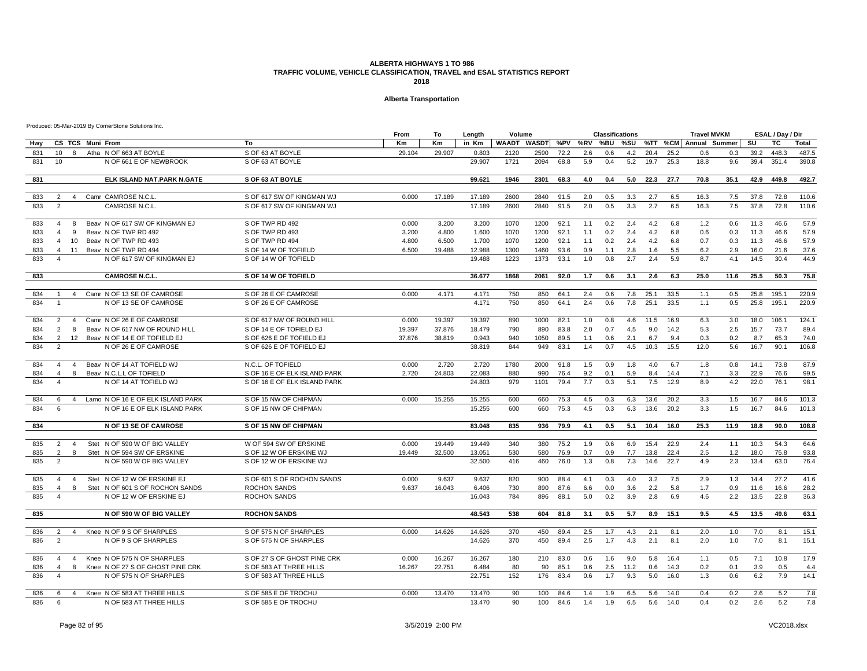#### **Alberta Transportation**

|            |                     |                |                                   |                              | From   | To        | Length | Volume     |                         |              |            | <b>Classifications</b> |            |            |            | <b>Travel MVKM</b>    |            |            | ESAL / Day / Dir |              |
|------------|---------------------|----------------|-----------------------------------|------------------------------|--------|-----------|--------|------------|-------------------------|--------------|------------|------------------------|------------|------------|------------|-----------------------|------------|------------|------------------|--------------|
| Hwy        |                     |                | CS TCS Muni From                  | To                           | Km     | <b>Km</b> | in Km  |            | WAADT WASDT %PV %RV %BU |              |            |                        | %SU        |            |            | %TT %CM Annual Summer |            | SU         | TC.              | <b>Total</b> |
| 831        | 10                  | 8              | Atha N OF 663 AT BOYLE            | S OF 63 AT BOYLE             | 29.104 | 29.907    | 0.803  | 2120       | 2590                    | 72.2         | 2.6        | 0.6                    | 4.2        | 20.4       | 25.2       | 0.6                   | 0.3        | 39.2       | 448.3            | 487.5        |
| 831        | 10                  |                | N OF 661 E OF NEWBROOK            | S OF 63 AT BOYLE             |        |           | 29.907 | 1721       | 2094                    | 68.8         | 5.9        | 0.4                    | 5.2        | 19.7       | 25.3       | 18.8                  | 9.6        | 39.4       | 351.4            | 390.8        |
| 831        |                     |                | ELK ISLAND NAT.PARK N.GATE        | S OF 63 AT BOYLE             |        |           | 99.621 | 1946       | 2301                    | 68.3         | 4.0        | 0.4                    | 5.0        | 22.3       | 27.7       | 70.8                  | 35.1       | 42.9       | 449.8            | 492.7        |
|            |                     |                |                                   |                              |        |           |        |            |                         |              |            |                        |            |            |            |                       |            |            |                  |              |
| 833        | 2                   | $\overline{4}$ | Camr CAMROSE N.C.L                | S OF 617 SW OF KINGMAN WJ    | 0.000  | 17.189    | 17.189 | 2600       | 2840                    | 91.5         | 2.0        | 0.5                    | 3.3        | 2.7        | 6.5        | 16.3                  | 7.5        | 37.8       | 72.8             | 110.6        |
| 833        | 2                   |                | CAMROSE N.C.L.                    | S OF 617 SW OF KINGMAN WJ    |        |           | 17.189 | 2600       | 2840                    | 91.5         | 2.0        | 0.5                    | 3.3        | 2.7        | 6.5        | 16.3                  | 7.5        | 37.8       | 72.8             | 110.6        |
| 833        | 4                   | 8              | Beav N OF 617 SW OF KINGMAN EJ    | S OF TWP RD 492              | 0.000  | 3.200     | 3.200  | 1070       | 1200                    | 92.1         | 1.1        | 0.2                    | 2.4        | 4.2        | 6.8        | 1.2                   | 0.6        | 11.3       | 46.6             | 57.9         |
| 833        | $\overline{4}$      | 9              | Beav N OF TWP RD 492              | S OF TWP RD 493              | 3.200  | 4.800     | 1.600  | 1070       | 1200                    | 92.1         | 1.1        | 0.2                    | 2.4        | 4.2        | 6.8        | 0.6                   | 0.3        | 11.3       | 46.6             | 57.9         |
| 833        | $\overline{4}$      | 10             | Beav N OF TWP RD 493              | S OF TWP RD 494              | 4.800  | 6.500     | 1.700  | 1070       | 1200                    | 92.1         | 1.1        | 0.2                    | 2.4        | 4.2        | 6.8        | 0.7                   | 0.3        | 11.3       | 46.6             | 57.9         |
| 833        | $\overline{4}$      | 11             | Beav N OF TWP RD 494              | S OF 14 W OF TOFIELD         | 6.500  | 19.488    | 12.988 | 1300       | 1460                    | 93.6         | 0.9        | 1.1                    | 2.8        | 1.6        | 5.5        | 6.2                   | 2.9        | 16.0       | 21.6             | 37.6         |
| 833        | $\overline{4}$      |                | N OF 617 SW OF KINGMAN EJ         | S OF 14 W OF TOFIELD         |        |           | 19.488 | 1223       | 1373                    | 93.1         | 1.0        | 0.8                    | 2.7        | 2.4        | 5.9        | 8.7                   | 4.1        | 14.5       | 30.4             | 44.9         |
| 833        |                     |                | <b>CAMROSE N.C.L.</b>             | S OF 14 W OF TOFIELD         |        |           | 36.677 | 1868       | 2061                    | 92.0         | 1.7        | 0.6                    | 3.1        | 2.6        | 6.3        | 25.0                  | 11.6       | 25.5       | 50.3             | 75.8         |
| 834        | $\overline{1}$      | $\overline{4}$ | Camr N OF 13 SE OF CAMROSE        | S OF 26 E OF CAMROSE         | 0.000  | 4.171     | 4.171  | 750        | 850                     | 64.1         | 2.4        | 0.6                    | 7.8        | 25.1       | 33.5       | 1.1                   | 0.5        | 25.8       | 195.1            | 220.9        |
| 834        | $\mathbf{1}$        |                | N OF 13 SE OF CAMROSE             | S OF 26 E OF CAMROSE         |        |           | 4.171  | 750        | 850                     | 64.1         | 2.4        | 0.6                    | 7.8        | 25.1       | 33.5       | 1.1                   | 0.5        | 25.8       | 195.1            | 220.9        |
| 834        | 2                   | $\overline{4}$ | Camr N OF 26 E OF CAMROSE         | S OF 617 NW OF ROUND HILL    | 0.000  | 19.397    | 19.397 | 890        | 1000                    | 82.1         | 1.0        | 0.8                    | 4.6        | 11.5       | 16.9       | 6.3                   | 3.0        | 18.0       | 106.1            | 124.1        |
| 834        | 2                   | 8              | Beav N OF 617 NW OF ROUND HILL    | S OF 14 E OF TOFIELD EJ      | 19.397 | 37.876    | 18.479 | 790        | 890                     | 83.8         | 2.0        | 0.7                    | 4.5        | 9.0        | 14.2       | 5.3                   | 2.5        | 15.7       | 73.7             | 89.4         |
| 834        | $\overline{2}$      | 12             | Beav N OF 14 E OF TOFIELD EJ      | S OF 626 E OF TOFIELD EJ     | 37.876 | 38.819    | 0.943  | 940        | 1050                    | 89.5         | 1.1        | 0.6                    | 2.1        | 6.7        | 9.4        | 0.3                   | 0.2        | 8.7        | 65.3             | 74.0         |
| 834        | 2                   |                | N OF 26 E OF CAMROSE              | S OF 626 E OF TOFIELD EJ     |        |           | 38.819 | 844        | 949                     | 83.1         | 1.4        | 0.7                    | 4.5        | 10.3       | 15.5       | 12.0                  | 5.6        | 16.7       | 90.1             | 106.8        |
| 834        | $\overline{4}$      | $\overline{4}$ | Beav N OF 14 AT TOFIELD WJ        | N.C.L. OF TOFIELD            | 0.000  | 2.720     | 2.720  | 1780       | 2000                    | 91.8         | 1.5        | 0.9                    | 1.8        | 4.0        | 6.7        | 1.8                   | 0.8        | 14.1       | 73.8             | 87.9         |
| 834        | $\overline{4}$      | 8              | Beav N.C.L.L OF TOFIELD           | S OF 16 E OF ELK ISLAND PARK | 2.720  | 24.803    | 22.083 | 880        | 990                     | 76.4         | 9.2        | 0.1                    | 5.9        | 8.4        | 14.4       | 7.1                   | 3.3        | 22.9       | 76.6             | 99.5         |
| 834        | $\overline{4}$      |                | N OF 14 AT TOFIELD WJ             | S OF 16 E OF ELK ISLAND PARK |        |           | 24.803 | 979        | 1101                    | 79.4         | 7.7        | 0.3                    | 5.1        | 7.5        | 12.9       | 8.9                   | 4.2        | 22.0       | 76.1             | 98.1         |
| 834        | 6                   | $\overline{4}$ | Lamo N OF 16 E OF ELK ISLAND PARK | S OF 15 NW OF CHIPMAN        | 0.000  | 15.255    | 15.255 | 600        | 660                     | 75.3         | 4.5        | 0.3                    | 6.3        | 13.6       | 20.2       | 3.3                   | 1.5        | 16.7       | 84.6             | 101.3        |
| 834        |                     |                | N OF 16 E OF ELK ISLAND PARK      | S OF 15 NW OF CHIPMAN        |        |           | 15.255 | 600        | 660                     | 75.3         | 4.5        | 0.3                    | 6.3        | 13.6       | 20.2       | 3.3                   | 1.5        | 16.7       | 84.6             | 101.3        |
| 834        |                     |                | N OF 13 SE OF CAMROSE             | S OF 15 NW OF CHIPMAN        |        |           | 83.048 | 835        | 936                     | 79.9         | 4.1        | 0.5                    | 5.1        | 10.4       | 16.0       | 25.3                  | 11.9       | 18.8       | 90.0             | 108.8        |
| 835        | 2                   | $\overline{4}$ | Stet N OF 590 W OF BIG VALLEY     | W OF 594 SW OF ERSKINE       | 0.000  | 19.449    | 19.449 | 340        | 380                     | 75.2         | 1.9        | 0.6                    | 6.9        | 15.4       | 22.9       | 2.4                   | 1.1        | 10.3       | 54.3             | 64.6         |
| 835        | $\overline{2}$      | 8              | Stet N OF 594 SW OF ERSKINE       | S OF 12 W OF ERSKINE WJ      | 19.449 | 32.500    | 13.051 | 530        | 580                     | 76.9         | 0.7        | 0.9                    | 7.7        | 13.8       | 22.4       | 2.5                   | 1.2        | 18.0       | 75.8             | 93.8         |
| 835        | 2                   |                | N OF 590 W OF BIG VALLEY          | S OF 12 W OF ERSKINE WJ      |        |           | 32.500 | 416        | 460                     | 76.0         | 1.3        | 0.8                    | 7.3        | 14.6       | 22.7       | 4.9                   | 2.3        | 13.4       | 63.0             | 76.4         |
| 835        | $\overline{4}$      | $\overline{4}$ | Stet N OF 12 W OF ERSKINE EJ      | S OF 601 S OF ROCHON SANDS   | 0.000  | 9.637     | 9.637  | 820        | 900                     | 88.4         | 4.1        | 0.3                    | 4.0        | 3.2        | 7.5        | 2.9                   | 1.3        | 14.4       | 27.2             | 41.6         |
| 835        | $\overline{4}$      | 8              | Stet N OF 601 S OF ROCHON SANDS   | ROCHON SANDS                 | 9.637  | 16.043    | 6.406  | 730        | 890                     | 87.6         | 6.6        | 0.0                    | 3.6        | 2.2        | 5.8        | 1.7                   | 0.9        | 11.6       | 16.6             | 28.2         |
| 835        | $\overline{4}$      |                | N OF 12 W OF ERSKINE EJ           | <b>ROCHON SANDS</b>          |        |           | 16.043 | 784        | 896                     | 88.1         | 5.0        | 0.2                    | 3.9        | 2.8        | 6.9        | 4.6                   | 2.2        | 13.5       | 22.8             | 36.3         |
| 835        |                     |                | N OF 590 W OF BIG VALLEY          | <b>ROCHON SANDS</b>          |        |           | 48.543 | 538        | 604                     | 81.8         | 3.1        | 0.5                    | 5.7        | 8.9        | 15.1       | 9.5                   | 4.5        | 13.5       | 49.6             | 63.1         |
|            |                     |                |                                   |                              |        |           |        |            |                         |              |            |                        |            |            |            |                       |            |            |                  |              |
| 836<br>836 | 2<br>$\overline{2}$ | $\overline{4}$ | Knee N OF 9 S OF SHARPLES         | S OF 575 N OF SHARPLES       | 0.000  | 14.626    | 14.626 | 370<br>370 | 450<br>450              | 89.4<br>89.4 | 2.5<br>2.5 | 1.7<br>1.7             | 4.3<br>4.3 | 2.1<br>2.1 | 8.1<br>8.1 | 2.0<br>2.0            | 1.0<br>1.0 | 7.0<br>7.0 | 8.1<br>8.1       | 15.1<br>15.1 |
|            |                     |                | N OF 9 S OF SHARPLES              | S OF 575 N OF SHARPLES       |        |           | 14.626 |            |                         |              |            |                        |            |            |            |                       |            |            |                  |              |
| 836        | $\overline{4}$      | $\overline{4}$ | Knee N OF 575 N OF SHARPLES       | S OF 27 S OF GHOST PINE CRK  | 0.000  | 16.267    | 16.267 | 180        | 210                     | 83.0         | 0.6        | 1.6                    | 9.0        | 5.8        | 16.4       | 1.1                   | 0.5        | 7.1        | 10.8             | 17.9         |
| 836        | $\overline{4}$      | 8              | Knee N OF 27 S OF GHOST PINE CRK  | S OF 583 AT THREE HILLS      | 16.267 | 22.751    | 6.484  | 80         | 90                      | 85.1         | 0.6        | 2.5                    | 11.2       | 0.6        | 14.3       | 0.2                   | 0.1        | 3.9        | 0.5              | 4.4          |
| 836        | $\overline{4}$      |                | N OF 575 N OF SHARPLES            | S OF 583 AT THREE HILLS      |        |           | 22.751 | 152        | 176                     | 83.4         | 0.6        | 1.7                    | 9.3        | 5.0        | 16.0       | 1.3                   | 0.6        | 6.2        | 7.9              | 14.1         |
| 836        | 6                   | $\overline{4}$ | Knee N OF 583 AT THREE HILLS      | S OF 585 E OF TROCHU         | 0.000  | 13.470    | 13,470 | 90         | 100                     | 84.6         | 1.4        | 1.9                    | 6.5        | 5.6        | 14.0       | 0.4                   | 0.2        | 2.6        | 5.2              | 7.8          |
| 836        | 6                   |                | N OF 583 AT THREE HILLS           | S OF 585 E OF TROCHU         |        |           | 13.470 | 90         | 100                     | 84.6         | 1.4        | 1.9                    | 6.5        | 5.6        | 14.0       | 0.4                   | 0.2        | 2.6        | 5.2              | 7.8          |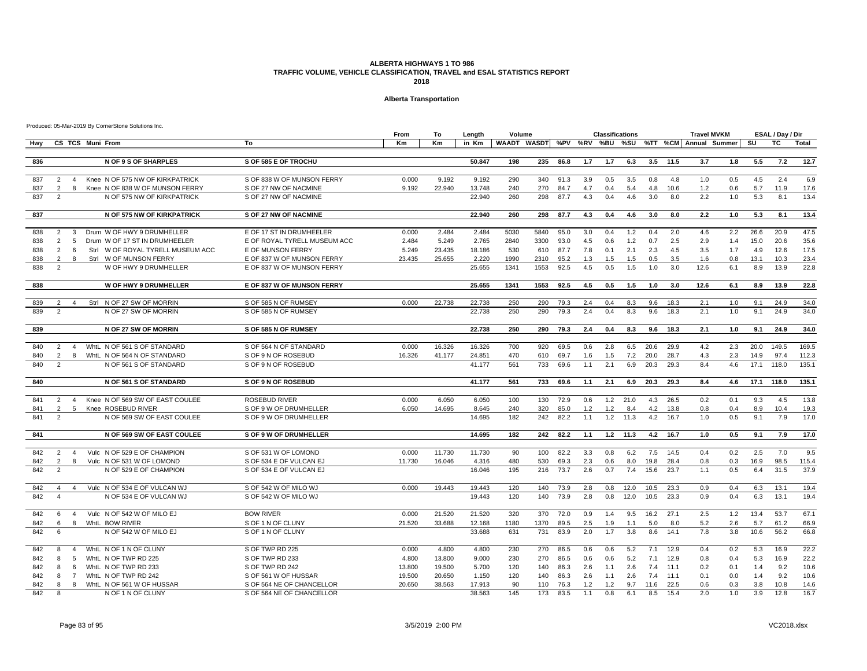#### **Alberta Transportation**

|            |                                          |                  |                                                               |                                                | From      | To     | Length           | Volume     |            |              |            | <b>Classifications</b> |            |            |              | <b>Travel MVKM</b> |                                                   |            | ESAL / Day / Dir |              |
|------------|------------------------------------------|------------------|---------------------------------------------------------------|------------------------------------------------|-----------|--------|------------------|------------|------------|--------------|------------|------------------------|------------|------------|--------------|--------------------|---------------------------------------------------|------------|------------------|--------------|
| Hwy        |                                          | CS TCS Muni From |                                                               | To                                             | <b>Km</b> | Km     | in Km            |            |            |              |            |                        |            |            |              |                    | WAADT WASDT %PV %RV %BU %SU %TT %CM Annual Summer | SU         | <b>TC</b>        | Total        |
| 836        |                                          |                  | N OF 9 S OF SHARPLES                                          | S OF 585 E OF TROCHU                           |           |        | 50.847           | 198        | 235        | 86.8         | 1.7        | 1.7                    | 6.3        |            | $3.5$ 11.5   | 3.7                | 1.8                                               | 5.5        | 7.2              | 12.7         |
|            |                                          |                  |                                                               |                                                |           |        |                  |            |            |              |            |                        |            |            |              |                    |                                                   |            |                  |              |
| 837        | $\overline{2}$<br>$\overline{4}$         |                  | Knee N OF 575 NW OF KIRKPATRICK                               | S OF 838 W OF MUNSON FERRY                     | 0.000     | 9.192  | 9.192            | 290        | 340        | 91.3         | 3.9        | 0.5                    | 3.5        | 0.8        | 4.8          | 1.0                | 0.5                                               | 4.5        | 2.4              | 6.9          |
| 837<br>837 | $\overline{2}$<br>8<br>$\mathcal{P}$     |                  | Knee N OF 838 W OF MUNSON FERRY<br>N OF 575 NW OF KIRKPATRICK | S OF 27 NW OF NACMINE<br>S OF 27 NW OF NACMINE | 9.192     | 22.940 | 13.748<br>22.940 | 240<br>260 | 270<br>298 | 84.7<br>87.7 | 4.7<br>4.3 | 0.4<br>0.4             | 5.4<br>4.6 | 4.8<br>3.0 | 10.6<br>8.0  | 1.2<br>2.2         | 0.6<br>1.0                                        | 5.7<br>5.3 | 11.9<br>8.1      | 17.6<br>13.4 |
|            |                                          |                  |                                                               |                                                |           |        |                  |            |            |              |            |                        |            |            |              |                    |                                                   |            |                  |              |
| 837        |                                          |                  | N OF 575 NW OF KIRKPATRICK                                    | S OF 27 NW OF NACMINE                          |           |        | 22.940           | 260        | 298        | 87.7         | 4.3        | 0.4                    | 4.6        | 3.0        | 8.0          | 2.2                | 1.0                                               | 5.3        | 8.1              | 13.4         |
| 838        | $\overline{2}$<br>3                      |                  | Drum W OF HWY 9 DRUMHELLER                                    | E OF 17 ST IN DRUMHEELER                       | 0.000     | 2.484  | 2.484            | 5030       | 5840       | 95.0         | 3.0        | 0.4                    | 1.2        | 0.4        | 2.0          | 4.6                | 2.2                                               | 26.6       | 20.9             | 47.5         |
| 838        | $\overline{2}$<br>-5                     |                  | Drum W OF 17 ST IN DRUMHEELER                                 | E OF ROYAL TYRELL MUSEUM ACC                   | 2.484     | 5.249  | 2.765            | 2840       | 3300       | 93.0         | 4.5        | 0.6                    | 1.2        | 0.7        | 2.5          | 2.9                | 1.4                                               | 15.0       | 20.6             | 35.6         |
| 838        | 2<br>-6                                  |                  | Strl W OF ROYAL TYRELL MUSEUM ACC                             | E OF MUNSON FERRY                              | 5.249     | 23.435 | 18.186           | 530        | 610        | 87.7         | 7.8        | 0.1                    | 2.1        | 2.3        | 4.5          | 3.5                | 1.7                                               | 4.9        | 12.6             | 17.5         |
| 838        | 2<br>$\mathsf{R}$                        |                  | Strl W OF MUNSON FERRY                                        | E OF 837 W OF MUNSON FERRY                     | 23.435    | 25.655 | 2.220            | 1990       | 2310       | 95.2         | 1.3        | 1.5                    | 1.5        | 0.5        | 3.5          | 1.6                | 0.8                                               | 13.1       | 10.3             | 23.4         |
| 838        | 2                                        |                  | W OF HWY 9 DRUMHELLER                                         | E OF 837 W OF MUNSON FERRY                     |           |        | 25.655           | 1341       | 1553       | 92.5         | 4.5        | 0.5                    | 1.5        | 1.0        | 3.0          | 12.6               | 6.1                                               | 8.9        | 13.9             | 22.8         |
| 838        |                                          |                  | <b>W OF HWY 9 DRUMHELLER</b>                                  | E OF 837 W OF MUNSON FERRY                     |           |        | 25.655           | 1341       | 1553       | 92.5         | 4.5        | 0.5                    | 1.5        | 1.0        | 3.0          | 12.6               | 6.1                                               | 8.9        | 13.9             | 22.8         |
|            |                                          |                  |                                                               |                                                |           |        |                  |            |            |              |            |                        |            |            |              |                    |                                                   |            |                  |              |
| 839<br>839 | $\overline{2}$<br>$\overline{4}$<br>2    |                  | Strl N OF 27 SW OF MORRIN<br>N OF 27 SW OF MORRIN             | S OF 585 N OF RUMSEY<br>S OF 585 N OF RUMSEY   | 0.000     | 22.738 | 22.738<br>22.738 | 250        | 290<br>290 | 79.3<br>79.3 | 2.4<br>2.4 | 0.4<br>0.4             | 8.3<br>8.3 | 9.6<br>9.6 | 18.3<br>18.3 | 2.1<br>2.1         | 1.0<br>1.0                                        | 9.1<br>9.1 | 24.9<br>24.9     | 34.0<br>34.0 |
|            |                                          |                  |                                                               |                                                |           |        |                  | 250        |            |              |            |                        |            |            |              |                    |                                                   |            |                  |              |
| 839        |                                          |                  | N OF 27 SW OF MORRIN                                          | S OF 585 N OF RUMSEY                           |           |        | 22.738           | 250        | 290        | 79.3         | 2.4        | 0.4                    | 8.3        | 9.6        | 18.3         | 2.1                | 1.0                                               | 9.1        | 24.9             | 34.0         |
| 840        | 2<br>$\overline{4}$                      |                  | WhtL N OF 561 S OF STANDARD                                   | S OF 564 N OF STANDARD                         | 0.000     | 16.326 | 16.326           | 700        | 920        | 69.5         | 0.6        | 2.8                    | 6.5        | 20.6       | 29.9         | 4.2                | 2.3                                               | 20.0       | 149.5            | 169.5        |
| 840        | $\overline{2}$<br>8                      |                  | WhtL N OF 564 N OF STANDARD                                   | S OF 9 N OF ROSEBUD                            | 16.326    | 41.177 | 24.851           | 470        | 610        | 69.7         | 1.6        | 1.5                    | 7.2        | 20.0       | 28.7         | 4.3                | 2.3                                               | 14.9       | 97.4             | 112.3        |
| 840        | 2                                        |                  | N OF 561 S OF STANDARD                                        | S OF 9 N OF ROSEBUD                            |           |        | 41.177           | 561        | 733        | 69.6         | 1.1        | 2.1                    | 6.9        | 20.3       | 29.3         | 8.4                | 4.6                                               | 17.1       | 118.0            | 135.1        |
| 840        |                                          |                  | N OF 561 S OF STANDARD                                        | S OF 9 N OF ROSEBUD                            |           |        | 41.177           | 561        | 733        | 69.6         | 1.1        | 2.1                    | 6.9        | 20.3       | 29.3         | 8.4                | 4.6                                               | 17.1       | 118.0            | 135.1        |
|            |                                          |                  |                                                               |                                                |           |        |                  |            |            |              |            |                        |            |            |              |                    |                                                   |            |                  |              |
| 841        | $\overline{2}$<br>$\overline{4}$         |                  | Knee N OF 569 SW OF EAST COULEE                               | <b>ROSEBUD RIVER</b>                           | 0.000     | 6.050  | 6.050            | 100        | 130        | 72.9         | 0.6        | 1.2                    | 21.0       | 4.3        | 26.5         | 0.2                | 0.1                                               | 9.3        | 4.5              | 13.8         |
| 841        | 2<br>5                                   |                  | Knee ROSEBUD RIVER                                            | S OF 9 W OF DRUMHELLER                         | 6.050     | 14.695 | 8.645            | 240        | 320        | 85.0         | 1.2        | 1.2                    | 8.4        | 4.2        | 13.8         | 0.8                | 0.4                                               | 8.9        | 10.4             | 19.3         |
| 841        | 2                                        |                  | N OF 569 SW OF EAST COULEE                                    | S OF 9 W OF DRUMHELLER                         |           |        | 14.695           | 182        | 242        | 82.2         | 1.1        | 1.2                    | 11.3       | 4.2        | 16.7         | 1.0                | 0.5                                               | 9.1        | 7.9              | 17.0         |
| 841        |                                          |                  | N OF 569 SW OF EAST COULEE                                    | S OF 9 W OF DRUMHELLER                         |           |        | 14.695           | 182        | 242        | 82.2         | 1.1        | 1.2                    | 11.3       | 4.2        | 16.7         | 1.0                | 0.5                                               | 9.1        | 7.9              | 17.0         |
| 842        | 2<br>$\overline{4}$                      |                  | Vulc N OF 529 E OF CHAMPION                                   | S OF 531 W OF LOMOND                           | 0.000     | 11.730 | 11.730           | 90         | 100        | 82.2         | 3.3        | 0.8                    | 6.2        | 7.5        | 14.5         | 0.4                | 0.2                                               | 2.5        | 7.0              | 9.5          |
| 842        | 2<br>8                                   |                  | Vulc N OF 531 W OF LOMOND                                     | S OF 534 E OF VULCAN EJ                        | 11.730    | 16.046 | 4.316            | 480        | 530        | 69.3         | 2.3        | 0.6                    | 8.0        | 19.8       | 28.4         | 0.8                | 0.3                                               | 16.9       | 98.5             | 115.4        |
| 842        | 2                                        |                  | N OF 529 E OF CHAMPION                                        | S OF 534 E OF VULCAN EJ                        |           |        | 16.046           | 195        | 216        | 73.7         | 2.6        | 0.7                    | 7.4        | 15.6       | 23.7         | 1.1                | 0.5                                               | 6.4        | 31.5             | 37.9         |
| 842        | $\overline{4}$<br>$\boldsymbol{\Lambda}$ |                  | Vulc N OF 534 E OF VULCAN WJ                                  | S OF 542 W OF MILO WJ                          | 0.000     | 19.443 | 19.443           | 120        | 140        | 73.9         | 2.8        | 0.8                    | 12.0       | 10.5       | 23.3         | 0.9                | 0.4                                               | 6.3        | 13.1             | 19.4         |
| 842        | $\overline{4}$                           |                  | N OF 534 E OF VULCAN WJ                                       | S OF 542 W OF MILO WJ                          |           |        | 19.443           | 120        | 140        | 73.9         | 2.8        | 0.8                    | 12.0       | 10.5       | 23.3         | 0.9                | 0.4                                               | 6.3        | 13.1             | 19.4         |
| 842        | 6<br>$\overline{4}$                      |                  | Vulc N OF 542 W OF MILO EJ                                    | <b>BOW RIVER</b>                               | 0.000     | 21.520 | 21.520           | 320        | 370        | 72.0         | 0.9        | 1.4                    | 9.5        | 16.2       | 27.1         | 2.5                | 1.2                                               | 13.4       | 53.7             | 67.1         |
| 842        | 6<br>8                                   |                  | WhtL BOW RIVER                                                | S OF 1 N OF CLUNY                              | 21.520    | 33.688 | 12.168           | 1180       | 1370       | 89.5         | 2.5        | 1.9                    | 1.1        | 5.0        | 8.0          | 5.2                | 2.6                                               | 5.7        | 61.2             | 66.9         |
| 842        | 6                                        |                  | N OF 542 W OF MILO EJ                                         | S OF 1 N OF CLUNY                              |           |        | 33.688           | 631        | 731        | 83.9         | 2.0        | 1.7                    | 3.8        | 8.6        | 14.1         | 7.8                | 3.8                                               | 10.6       | 56.2             | 66.8         |
| 842        | 8<br>$\overline{4}$                      |                  | WhtL N OF 1 N OF CLUNY                                        | S OF TWP RD 225                                | 0.000     | 4.800  | 4.800            | 230        | 270        | 86.5         | 0.6        | 0.6                    | 5.2        | 7.1        | 12.9         | 0.4                | 0.2                                               | 5.3        | 16.9             | 22.2         |
| 842        | 8<br>-5                                  |                  | WhtL N OF TWP RD 225                                          | S OF TWP RD 233                                | 4.800     | 13.800 | 9.000            | 230        | 270        | 86.5         | 0.6        | 0.6                    | 5.2        | 7.1        | 12.9         | 0.8                | 0.4                                               | 5.3        | 16.9             | 22.2         |
| 842        | 8<br>-6                                  |                  | WhtL N OF TWP RD 233                                          | S OF TWP RD 242                                | 13.800    | 19.500 | 5.700            | 120        | 140        | 86.3         | 2.6        | 1.1                    | 2.6        | 7.4        | 11.1         | 0.2                | 0.1                                               | 1.4        | 9.2              | 10.6         |
| 842        | $\overline{7}$<br>8                      |                  | WhtL N OF TWP RD 242                                          | S OF 561 W OF HUSSAR                           | 19.500    | 20.650 | 1.150            | 120        | 140        | 86.3         | 2.6        | 1.1                    | 2.6        | 7.4        | 11.1         | 0.1                | 0.0                                               | 1.4        | 9.2              | 10.6         |
| 842        | 8<br>8                                   |                  | WhtL N OF 561 W OF HUSSAR                                     | S OF 564 NE OF CHANCELLOR                      | 20.650    | 38.563 | 17.913           | 90         | 110        | 76.3         | 1.2        | 1.2                    | 9.7        | 11.6       | 22.5         | 0.6                | 0.3                                               | 3.8        | 10.8             | 14.6         |
| 842        | 8                                        |                  | N OF 1 N OF CLUNY                                             | S OF 564 NE OF CHANCELLOR                      |           |        | 38.563           | 145        | 173        | 83.5         | 1.1        | 0.8                    | 6.1        | 8.5        | 15.4         | 2.0                | 1.0                                               | 3.9        | 12.8             | 16.7         |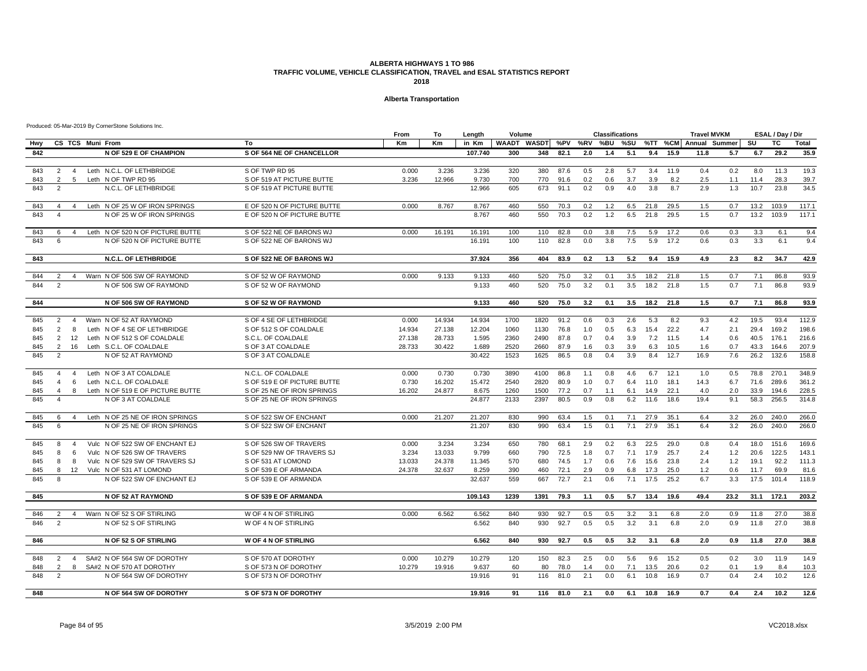#### **Alberta Transportation**

|            |                                                                                                                        | From   | То     | Length          | Volume                  |            |              |            | <b>Classifications</b> |            |              |              | <b>Travel MVKM</b>    |            |              | ESAL / Day / Dir |               |
|------------|------------------------------------------------------------------------------------------------------------------------|--------|--------|-----------------|-------------------------|------------|--------------|------------|------------------------|------------|--------------|--------------|-----------------------|------------|--------------|------------------|---------------|
| Hwy        | CS TCS Muni From<br>To                                                                                                 | Кm     | Km     | in Km           | WAADT WASDT %PV %RV %BU |            |              |            |                        | %SU        |              |              | %TT %CM Annual Summer |            | SU           | TC               | Total         |
| 842        | N OF 529 E OF CHAMPION<br>S OF 564 NE OF CHANCELLOR                                                                    |        |        | 107.740         | 300                     | 348        | 82.1         | 2.0        | 1.4                    | 5.1        | 9.4          | 15.9         | 11.8                  | 5.7        | 6.7          | 29.2             | 35.9          |
|            |                                                                                                                        |        |        |                 |                         |            |              |            |                        |            |              |              |                       |            |              |                  |               |
| 843        | 2<br>Leth N.C.L. OF LETHBRIDGE<br>S OF TWP RD 95<br>4                                                                  | 0.000  | 3.236  | 3.236           | 320                     | 380        | 87.6         | 0.5        | 2.8                    | 5.7        | 3.4          | 11.9         | 0.4                   | 0.2        | 8.0          | 11.3             | 19.3          |
| 843        | 2<br>5<br>Leth N OF TWP RD 95<br>S OF 519 AT PICTURE BUTTE                                                             | 3.236  | 12.966 | 9.730           | 700                     | 770        | 91.6         | 0.2        | 0.6                    | 3.7        | 3.9          | 8.2          | 2.5                   | 1.1        | 11.4         | 28.3             | 39.7          |
| 843        | N.C.L. OF LETHBRIDGE<br>S OF 519 AT PICTURE BUTTE<br>$\overline{2}$                                                    |        |        | 12.966          | 605                     | 673        | 91.1         | 0.2        | 0.9                    | 4.0        | 3.8          | 8.7          | 2.9                   | 1.3        | 10.7         | 23.8             | 34.5          |
| 843        | Leth N OF 25 W OF IRON SPRINGS<br>E OF 520 N OF PICTURE BUTTE<br>$\overline{4}$<br>4                                   | 0.000  | 8.767  | 8.767           | 460                     | 550        | 70.3         | 0.2        | 1.2                    | 6.5        | 21.8         | 29.5         | 1.5                   | 0.7        | 13.2         | 103.9            | 117.1         |
| 843        | N OF 25 W OF IRON SPRINGS<br>E OF 520 N OF PICTURE BUTTE<br>$\overline{4}$                                             |        |        | 8.767           | 460                     | 550        | 70.3         | 0.2        | 1.2                    | 6.5        | 21.8         | 29.5         | 1.5                   | 0.7        | 13.2         | 103.9            | 117.1         |
| 843        | Leth N OF 520 N OF PICTURE BUTTE<br>S OF 522 NE OF BARONS WJ<br>6<br>$\overline{4}$                                    | 0.000  | 16.191 | 16.191          | 100                     | 110        | 82.8         | 0.0        | 3.8                    | 7.5        | 5.9          | 17.2         | 0.6                   | 0.3        | 3.3          | 6.1              | 9.4           |
| 843        | 6<br>N OF 520 N OF PICTURE BUTTE<br>S OF 522 NE OF BARONS WJ                                                           |        |        | 16.191          | 100                     | 110        | 82.8         | 0.0        | 3.8                    | 7.5        | 5.9          | 17.2         | 0.6                   | 0.3        | 3.3          | 6.1              | 9.4           |
| 843        | N.C.L. OF LETHBRIDGE<br>S OF 522 NE OF BARONS WJ                                                                       |        |        | 37.924          | 356                     | 404        | 83.9         | 0.2        | 1.3                    | 5.2        | 9.4          | 15.9         | 4.9                   | 2.3        | 8.2          | 34.7             | 42.9          |
|            |                                                                                                                        |        |        |                 |                         |            |              |            |                        |            |              |              |                       |            |              |                  |               |
| 844        | Warn N OF 506 SW OF RAYMOND<br>S OF 52 W OF RAYMOND<br>$\overline{2}$<br>$\overline{4}$                                | 0.000  | 9.133  | 9.133           | 460                     | 520        | 75.0         | 3.2        | 0.1                    | 3.5        | 18.2         | 21.8         | 1.5                   | 0.7        | 7.1          | 86.8             | 93.9          |
| 844        | $\overline{2}$<br>S OF 52 W OF RAYMOND<br>N OF 506 SW OF RAYMOND                                                       |        |        | 9.133           | 460                     | 520        | 75.0         | 3.2        | 0.1                    | 3.5        | 18.2         | 21.8         | 1.5                   | 0.7        | 7.1          | 86.8             | 93.9          |
| 844        | N OF 506 SW OF RAYMOND<br>S OF 52 W OF RAYMOND                                                                         |        |        | 9.133           | 460                     | 520        | 75.0         | 3.2        | 0.1                    | 3.5        | 18.2         | 21.8         | 1.5                   | 0.7        | 7.1          | 86.8             | 93.9          |
|            |                                                                                                                        |        |        |                 |                         |            |              |            |                        |            |              |              |                       |            |              |                  |               |
| 845        | Warn N OF 52 AT RAYMOND<br>S OF 4 SE OF LETHBRIDGE<br>2<br>$\overline{4}$                                              | 0.000  | 14.934 | 14.934          | 1700                    | 1820       | 91.2         | 0.6        | 0.3                    | 2.6        | 5.3          | 8.2          | 9.3                   | 4.2        | 19.5         | 93.4             | 112.9         |
| 845        | Leth N OF 4 SE OF LETHBRIDGE<br>S OF 512 S OF COALDALE<br>2<br>8                                                       | 14.934 | 27.138 | 12.204          | 1060                    | 1130       | 76.8         | 1.0        | 0.5                    | 6.3        | 15.4         | 22.2         | 4.7                   | 2.1        | 29.4         | 169.2            | 198.6         |
| 845        | Leth N OF 512 S OF COALDALE<br>2<br>S.C.L. OF COALDALE<br>12                                                           | 27.138 | 28.733 | 1.595           | 2360                    | 2490       | 87.8         | 0.7        | 0.4                    | 3.9        | 7.2          | 11.5         | 1.4                   | 0.6        | 40.5         | 176.1            | 216.6         |
| 845        | Leth S.C.L. OF COALDALE<br>S OF 3 AT COALDALE<br>2<br>16                                                               | 28.733 | 30.422 | 1.689           | 2520                    | 2660       | 87.9         | 1.6        | 0.3                    | 3.9        | 6.3          | 10.5         | 1.6                   | 0.7        | 43.3         | 164.6            | 207.9         |
| 845        | $\overline{2}$<br>N OF 52 AT RAYMOND<br>S OF 3 AT COALDALE                                                             |        |        | 30.422          | 1523                    | 1625       | 86.5         | 0.8        | 0.4                    | 3.9        | 8.4          | 12.7         | 16.9                  | 7.6        | 26.2         | 132.6            | 158.8         |
| 845        | Leth N OF 3 AT COALDALE<br>N.C.L. OF COALDALE<br>$\overline{4}$<br>$\overline{4}$                                      | 0.000  | 0.730  | 0.730           | 3890                    | 4100       | 86.8         | 1.1        | 0.8                    | 4.6        | 6.7          | 12.1         | 1.0                   | 0.5        | 78.8         | 270.1            | 348.9         |
| 845        | Leth N.C.L. OF COALDALE<br>S OF 519 E OF PICTURE BUTTE<br>$\overline{4}$<br>-6                                         | 0.730  | 16.202 | 15.472          | 2540                    | 2820       | 80.9         | 1.0        | 0.7                    | 6.4        | 11.0         | 18.1         | 14.3                  | 6.7        | 71.6         | 289.6            | 361.2         |
| 845        | Leth N OF 519 E OF PICTURE BUTTE<br>$\overline{4}$<br>8<br>S OF 25 NE OF IRON SPRINGS                                  | 16.202 | 24.877 | 8.675           | 1260                    | 1500       | 77.2         | 0.7        | 1.1                    | 6.1        | 14.9         | 22.1         | 4.0                   | 2.0        | 33.9         | 194.6            | 228.5         |
| 845        | $\overline{4}$<br>N OF 3 AT COALDALE<br>S OF 25 NE OF IRON SPRINGS                                                     |        |        | 24.877          | 2133                    | 2397       | 80.5         | 0.9        | 0.8                    | 6.2        | 11.6         | 18.6         | 19.4                  | 9.1        | 58.3         | 256.5            | 314.8         |
| 845        | Leth N OF 25 NE OF IRON SPRINGS<br>S OF 522 SW OF ENCHANT<br>6<br>$\overline{4}$                                       | 0.000  | 21.207 | 21.207          | 830                     | 990        | 63.4         | 1.5        | 0.1                    | 7.1        | 27.9         | 35.1         | 6.4                   | 3.2        | 26.0         | 240.0            | 266.0         |
| 845        | N OF 25 NE OF IRON SPRINGS<br>S OF 522 SW OF ENCHANT<br>$6\overline{6}$                                                |        |        | 21.207          | 830                     | 990        | 63.4         | 1.5        | 0.1                    | 7.1        | 27.9         | 35.1         | 6.4                   | 3.2        | 26.0         | 240.0            | 266.0         |
|            |                                                                                                                        |        |        |                 |                         |            |              |            |                        |            |              |              |                       |            |              |                  |               |
| 845        | Vulc N OF 522 SW OF ENCHANT EJ<br>S OF 526 SW OF TRAVERS<br>8<br>$\overline{4}$                                        | 0.000  | 3.234  | 3.234           | 650                     | 780        | 68.1         | 2.9        | 0.2                    | 6.3        | 22.5         | 29.0         | 0.8                   | 0.4        | 18.0         | 151.6            | 169.6         |
| 845        | Vulc N OF 526 SW OF TRAVERS<br>S OF 529 NW OF TRAVERS SJ<br>8<br>6                                                     | 3.234  | 13.033 | 9.799           | 660                     | 790        | 72.5         | 1.8        | 0.7                    | 7.1        | 17.9         | 25.7         | 2.4                   | 1.2        | 20.6         | 122.5            | 143.1         |
| 845        | Vulc N OF 529 SW OF TRAVERS SJ<br>S OF 531 AT LOMOND<br>8<br>8                                                         | 13.033 | 24.378 | 11.345          | 570                     | 680        | 74.5         | 1.7        | 0.6                    | 7.6        | 15.6         | 23.8         | 2.4                   | 1.2        | 19.1         | 92.2             | 111.3         |
| 845<br>845 | S OF 539 E OF ARMANDA<br>8<br>12<br>Vulc N OF 531 AT LOMOND<br>N OF 522 SW OF ENCHANT EJ<br>S OF 539 E OF ARMANDA<br>8 | 24.378 | 32.637 | 8.259<br>32.637 | 390<br>559              | 460<br>667 | 72.1<br>72.7 | 2.9<br>2.1 | 0.9<br>0.6             | 6.8<br>7.1 | 17.3<br>17.5 | 25.0<br>25.2 | 1.2<br>6.7            | 0.6<br>3.3 | 11.7<br>17.5 | 69.9<br>101.4    | 81.6<br>118.9 |
|            |                                                                                                                        |        |        |                 |                         |            |              |            |                        |            |              |              |                       |            |              |                  |               |
| 845        | N OF 52 AT RAYMOND<br>S OF 539 E OF ARMANDA                                                                            |        |        | 109.143         | 1239                    | 1391       | 79.3         | 1.1        | 0.5                    | 5.7        | 13.4         | 19.6         | 49.4                  | 23.2       | 31.1         | 172.1            | 203.2         |
| 846        | Warn N OF 52 S OF STIRLING<br>W OF 4 N OF STIRLING<br>2<br>$\overline{4}$                                              | 0.000  | 6.562  | 6.562           | 840                     | 930        | 92.7         | 0.5        | 0.5                    | 3.2        | 3.1          | 6.8          | 2.0                   | 0.9        | 11.8         | 27.0             | 38.8          |
| 846        | N OF 52 S OF STIRLING<br>W OF 4 N OF STIRLING<br>$\overline{2}$                                                        |        |        | 6.562           | 840                     | 930        | 92.7         | 0.5        | 0.5                    | 3.2        | 3.1          | 6.8          | 2.0                   | 0.9        | 11.8         | 27.0             | 38.8          |
| 846        | N OF 52 S OF STIRLING<br>W OF 4 N OF STIRLING                                                                          |        |        | 6.562           | 840                     | 930        | 92.7         | 0.5        | 0.5                    | 3.2        | 3.1          | 6.8          | 2.0                   | 0.9        | 11.8         | 27.0             | 38.8          |
|            |                                                                                                                        |        |        |                 |                         |            |              |            |                        |            |              |              |                       |            |              |                  |               |
| 848        | 2<br>SA#2 N OF 564 SW OF DOROTHY<br>S OF 570 AT DOROTHY<br>$\overline{4}$                                              | 0.000  | 10.279 | 10.279          | 120                     | 150        | 82.3         | 2.5        | 0.0                    | 5.6        | 9.6          | 15.2         | 0.5                   | 0.2        | 3.0          | 11.9             | 14.9          |
| 848        | 2<br>SA#2 N OF 570 AT DOROTHY<br>S OF 573 N OF DOROTHY<br>8                                                            | 10.279 | 19.916 | 9.637           | 60                      | 80         | 78.0         | 1.4        | 0.0                    | 7.1        | 13.5         | 20.6         | 0.2                   | 0.1        | 1.9          | 8.4              | 10.3          |
| 848        | S OF 573 N OF DOROTHY<br>$\mathcal{P}$<br>N OF 564 SW OF DOROTHY                                                       |        |        | 19.916          | 91                      | 116        | 81.0         | 2.1        | 0.0                    | 6.1        | 10.8         | 16.9         | 0.7                   | 0.4        | 2.4          | 10.2             | 12.6          |
|            |                                                                                                                        |        |        |                 |                         |            |              |            |                        |            |              |              |                       |            |              |                  |               |
| 848        | N OF 564 SW OF DOROTHY<br>S OF 573 N OF DOROTHY                                                                        |        |        | 19.916          | 91                      |            | 116 81.0     | 2.1        | 0.0                    | 6.1        | 10.8         | 16.9         | 0.7                   | 0.4        | 2.4          | 10.2             | 12.6          |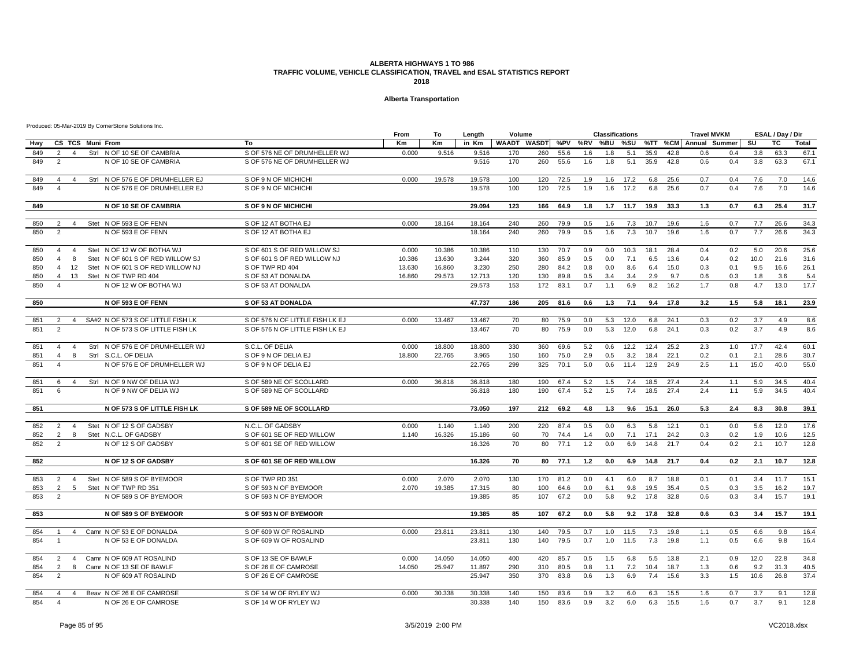#### **Alberta Transportation**

|     |                         |                |                                   |                                 | From   | To     | Length | Volume                  |     |      |     | <b>Classifications</b> |      |      |      | <b>Travel MVKM</b>    |     |      | ESAL / Day / Dir |       |
|-----|-------------------------|----------------|-----------------------------------|---------------------------------|--------|--------|--------|-------------------------|-----|------|-----|------------------------|------|------|------|-----------------------|-----|------|------------------|-------|
| Hwy |                         |                | CS TCS Muni From                  | To                              | Кm     | Km     | in Km  | WAADT WASDT %PV %RV %BU |     |      |     |                        | %SU  |      |      | %TT %CM Annual Summer |     | SU   | TC               | Total |
| 849 | $\overline{2}$          | $\overline{4}$ | Strl N OF 10 SE OF CAMBRIA        | S OF 576 NE OF DRUMHELLER WJ    | 0.000  | 9.516  | 9.516  | 170                     | 260 | 55.6 | 1.6 | 1.8                    | 5.1  | 35.9 | 42.8 | 0.6                   | 0.4 | 3.8  | 63.3             | 67.1  |
| 849 | 2                       |                | N OF 10 SE OF CAMBRIA             | S OF 576 NE OF DRUMHELLER WJ    |        |        | 9.516  | 170                     | 260 | 55.6 | 1.6 | 1.8                    | 5.1  | 35.9 | 42.8 | 0.6                   | 0.4 | 3.8  | 63.3             | 67.1  |
| 849 | $\overline{4}$          | 4              | Strl N OF 576 E OF DRUMHELLER EJ  | S OF 9 N OF MICHICHI            | 0.000  | 19.578 | 19.578 | 100                     | 120 | 72.5 | 1.9 | 1.6                    | 17.2 | 6.8  | 25.6 | 0.7                   | 0.4 | 7.6  | 7.0              | 14.6  |
| 849 | $\overline{\mathbf{4}}$ |                | N OF 576 E OF DRUMHELLER EJ       | S OF 9 N OF MICHICHI            |        |        | 19.578 | 100                     | 120 | 72.5 | 1.9 | 1.6                    | 17.2 | 6.8  | 25.6 | 0.7                   | 0.4 | 7.6  | 7.0              | 14.6  |
| 849 |                         |                | N OF 10 SE OF CAMBRIA             | S OF 9 N OF MICHICHI            |        |        | 29.094 | 123                     | 166 | 64.9 | 1.8 | 1.7                    | 11.7 | 19.9 | 33.3 | 1.3                   | 0.7 | 6.3  | 25.4             | 31.7  |
| 850 | 2                       | $\overline{4}$ | Stet N OF 593 E OF FENN           | S OF 12 AT BOTHA EJ             | 0.000  | 18.164 | 18.164 | 240                     | 260 | 79.9 | 0.5 | 1.6                    | 7.3  | 10.7 | 19.6 | 1.6                   | 0.7 | 7.7  | 26.6             | 34.3  |
| 850 | 2                       |                | N OF 593 E OF FENN                | S OF 12 AT BOTHA EJ             |        |        | 18.164 | 240                     | 260 | 79.9 | 0.5 | 1.6                    | 7.3  | 10.7 | 19.6 | 1.6                   | 0.7 | 7.7  | 26.6             | 34.3  |
| 850 | 4                       | $\overline{4}$ | Stet N OF 12 W OF BOTHA WJ        | S OF 601 S OF RED WILLOW SJ     | 0.000  | 10.386 | 10.386 | 110                     | 130 | 70.7 | 0.9 | 0.0                    | 10.3 | 18.1 | 28.4 | 0.4                   | 0.2 | 5.0  | 20.6             | 25.6  |
| 850 | $\overline{4}$          | 8              | Stet N OF 601 S OF RED WILLOW SJ  | S OF 601 S OF RED WILLOW NJ     | 10.386 | 13.630 | 3.244  | 320                     | 360 | 85.9 | 0.5 | 0.0                    | 7.1  | 6.5  | 13.6 | 0.4                   | 0.2 | 10.0 | 21.6             | 31.6  |
| 850 | $\overline{4}$          | 12             | Stet N OF 601 S OF RED WILLOW NJ  | S OF TWP RD 404                 | 13.630 | 16.860 | 3.230  | 250                     | 280 | 84.2 | 0.8 | 0.0                    | 8.6  | 6.4  | 15.0 | 0.3                   | 0.1 | 9.5  | 16.6             | 26.1  |
| 850 | $\overline{4}$          | 13             | Stet N OF TWP RD 404              | S OF 53 AT DONALDA              | 16.860 | 29.573 | 12.713 | 120                     | 130 | 89.8 | 0.5 | 3.4                    | 3.4  | 2.9  | 9.7  | 0.6                   | 0.3 | 1.8  | 3.6              | 5.4   |
| 850 | $\overline{4}$          |                | N OF 12 W OF BOTHA WJ             | S OF 53 AT DONALDA              |        |        | 29.573 | 153                     | 172 | 83.1 | 0.7 | 1.1                    | 6.9  | 8.2  | 16.2 | 1.7                   | 0.8 | 4.7  | 13.0             | 17.7  |
| 850 |                         |                | N OF 593 E OF FENN                | <b>S OF 53 AT DONALDA</b>       |        |        | 47.737 | 186                     | 205 | 81.6 | 0.6 | 1.3                    | 7.1  | 9.4  | 17.8 | 3.2                   | 1.5 | 5.8  | 18.1             | 23.9  |
| 851 | 2                       | $\overline{4}$ | SA#2 N OF 573 S OF LITTLE FISH LK | S OF 576 N OF LITTLE FISH LK EJ | 0.000  | 13.467 | 13.467 | 70                      | 80  | 75.9 | 0.0 | 5.3                    | 12.0 | 6.8  | 24.1 | 0.3                   | 0.2 | 3.7  | 4.9              | 8.6   |
| 851 | $\overline{2}$          |                | N OF 573 S OF LITTLE FISH LK      | S OF 576 N OF LITTLE FISH LK EJ |        |        | 13.467 | 70                      | 80  | 75.9 | 0.0 | 5.3                    | 12.0 | 6.8  | 24.1 | 0.3                   | 0.2 | 3.7  | 4.9              | 8.6   |
| 851 | $\overline{4}$          | $\overline{4}$ | Strl N OF 576 E OF DRUMHELLER WJ  | S.C.L. OF DELIA                 | 0.000  | 18.800 | 18.800 | 330                     | 360 | 69.6 | 5.2 | 0.6                    | 12.2 | 12.4 | 25.2 | 2.3                   | 1.0 | 17.7 | 42.4             | 60.1  |
| 851 | $\overline{4}$          | 8              | Strl S.C.L. OF DELIA              | S OF 9 N OF DELIA EJ            | 18.800 | 22.765 | 3.965  | 150                     | 160 | 75.0 | 2.9 | 0.5                    | 3.2  | 18.4 | 22.1 | 0.2                   | 0.1 | 2.1  | 28.6             | 30.7  |
| 851 |                         |                | N OF 576 E OF DRUMHELLER WJ       | S OF 9 N OF DELIA EJ            |        |        | 22.765 | 299                     | 325 | 70.1 | 5.0 | 0.6                    | 11.4 | 12.9 | 24.9 | 2.5                   | 1.1 | 15.0 | 40.0             | 55.0  |
| 851 | 6                       | 4              | Stri N OF 9 NW OF DELIA WJ        | S OF 589 NE OF SCOLLARD         | 0.000  | 36.818 | 36,818 | 180                     | 190 | 67.4 | 5.2 | 1.5                    | 7.4  | 18.5 | 27.4 | 2.4                   | 1.1 | 5.9  | 34.5             | 40.4  |
| 851 | 6                       |                | N OF 9 NW OF DELIA WJ             | S OF 589 NE OF SCOLLARD         |        |        | 36.818 | 180                     | 190 | 67.4 | 5.2 | 1.5                    | 7.4  | 18.5 | 27.4 | 2.4                   | 1.1 | 5.9  | 34.5             | 40.4  |
| 851 |                         |                | N OF 573 S OF LITTLE FISH LK      | S OF 589 NE OF SCOLLARD         |        |        | 73.050 | 197                     | 212 | 69.2 | 4.8 | 1.3                    | 9.6  | 15.1 | 26.0 | 5.3                   | 2.4 | 8.3  | 30.8             | 39.1  |
| 852 | 2                       | $\overline{4}$ | Stet N OF 12 S OF GADSBY          | N.C.L. OF GADSBY                | 0.000  | 1.140  | 1.140  | 200                     | 220 | 87.4 | 0.5 | 0.0                    | 6.3  | 5.8  | 12.1 | 0.1                   | 0.0 | 5.6  | 12.0             | 17.6  |
| 852 | $\overline{2}$          | 8              | Stet N.C.L. OF GADSBY             | S OF 601 SE OF RED WILLOW       | 1.140  | 16.326 | 15.186 | 60                      | 70  | 74.4 | 1.4 | 0.0                    | 7.1  | 17.1 | 24.2 | 0.3                   | 0.2 | 1.9  | 10.6             | 12.5  |
| 852 | 2                       |                | N OF 12 S OF GADSBY               | S OF 601 SE OF RED WILLOW       |        |        | 16.326 | 70                      | 80  | 77.1 | 1.2 | 0.0                    | 6.9  | 14.8 | 21.7 | 0.4                   | 0.2 | 2.1  | 10.7             | 12.8  |
| 852 |                         |                | N OF 12 S OF GADSBY               | S OF 601 SE OF RED WILLOW       |        |        | 16.326 | 70                      | 80  | 77.1 | 1.2 | 0.0                    | 6.9  | 14.8 | 21.7 | 0.4                   | 0.2 | 2.1  | 10.7             | 12.8  |
| 853 | $\overline{2}$          | $\overline{4}$ | Stet N OF 589 S OF BYEMOOR        | S OF TWP RD 351                 | 0.000  | 2.070  | 2.070  | 130                     | 170 | 81.2 | 0.0 | 4.1                    | 6.0  | 8.7  | 18.8 | 0.1                   | 0.1 | 3.4  | 11.7             | 15.1  |
| 853 | 2                       | 5              | Stet N OF TWP RD 351              | S OF 593 N OF BYEMOOR           | 2.070  | 19.385 | 17.315 | 80                      | 100 | 64.6 | 0.0 | 6.1                    | 9.8  | 19.5 | 35.4 | 0.5                   | 0.3 | 3.5  | 16.2             | 19.7  |
| 853 | $\overline{2}$          |                | N OF 589 S OF BYEMOOR             | S OF 593 N OF BYEMOOR           |        |        | 19.385 | 85                      | 107 | 67.2 | 0.0 | 5.8                    | 9.2  | 17.8 | 32.8 | 0.6                   | 0.3 | 3.4  | 15.7             | 19.1  |
| 853 |                         |                | N OF 589 S OF BYEMOOR             | S OF 593 N OF BYEMOOR           |        |        | 19.385 | 85                      | 107 | 67.2 | 0.0 | 5.8                    | 9.2  | 17.8 | 32.8 | 0.6                   | 0.3 | 3.4  | 15.7             | 19.1  |
|     |                         |                |                                   |                                 |        |        |        |                         |     |      |     |                        |      |      |      |                       |     |      |                  |       |
| 854 | $\mathbf{1}$            | $\overline{4}$ | Camr N OF 53 E OF DONALDA         | S OF 609 W OF ROSALIND          | 0.000  | 23.811 | 23.811 | 130                     | 140 | 79.5 | 0.7 | 1.0                    | 11.5 | 7.3  | 19.8 | 1.1                   | 0.5 | 6.6  | 9.8              | 16.4  |
| 854 | $\overline{1}$          |                | N OF 53 E OF DONALDA              | S OF 609 W OF ROSALIND          |        |        | 23.811 | 130                     | 140 | 79.5 | 0.7 | 1.0                    | 11.5 | 7.3  | 19.8 | 1.1                   | 0.5 | 6.6  | 9.8              | 16.4  |
| 854 | 2                       | $\overline{4}$ | Camr N OF 609 AT ROSALIND         | S OF 13 SE OF BAWLF             | 0.000  | 14.050 | 14.050 | 400                     | 420 | 85.7 | 0.5 | 1.5                    | 6.8  | 5.5  | 13.8 | 2.1                   | 0.9 | 12.0 | 22.8             | 34.8  |
| 854 | $\overline{2}$          | 8              | Camr N OF 13 SE OF BAWLF          | S OF 26 E OF CAMROSE            | 14.050 | 25.947 | 11.897 | 290                     | 310 | 80.5 | 0.8 | 1.1                    | 7.2  | 10.4 | 18.7 | 1.3                   | 0.6 | 9.2  | 31.3             | 40.5  |
| 854 | 2                       |                | N OF 609 AT ROSALIND              | S OF 26 E OF CAMROSE            |        |        | 25.947 | 350                     | 370 | 83.8 | 0.6 | 1.3                    | 6.9  | 7.4  | 15.6 | 3.3                   | 1.5 | 10.6 | 26.8             | 37.4  |
| 854 | $\overline{4}$          | $\overline{4}$ | Beav N OF 26 E OF CAMROSE         | S OF 14 W OF RYLEY WJ           | 0.000  | 30.338 | 30.338 | 140                     | 150 | 83.6 | 0.9 | 3.2                    | 6.0  | 6.3  | 15.5 | 1.6                   | 0.7 | 3.7  | 9.1              | 12.8  |
| 854 | $\overline{4}$          |                | N OF 26 E OF CAMROSE              | S OF 14 W OF RYLEY WJ           |        |        | 30.338 | 140                     | 150 | 83.6 | 0.9 | 3.2                    | 6.0  | 6.3  | 15.5 | 1.6                   | 0.7 | 3.7  | 9.1              | 12.8  |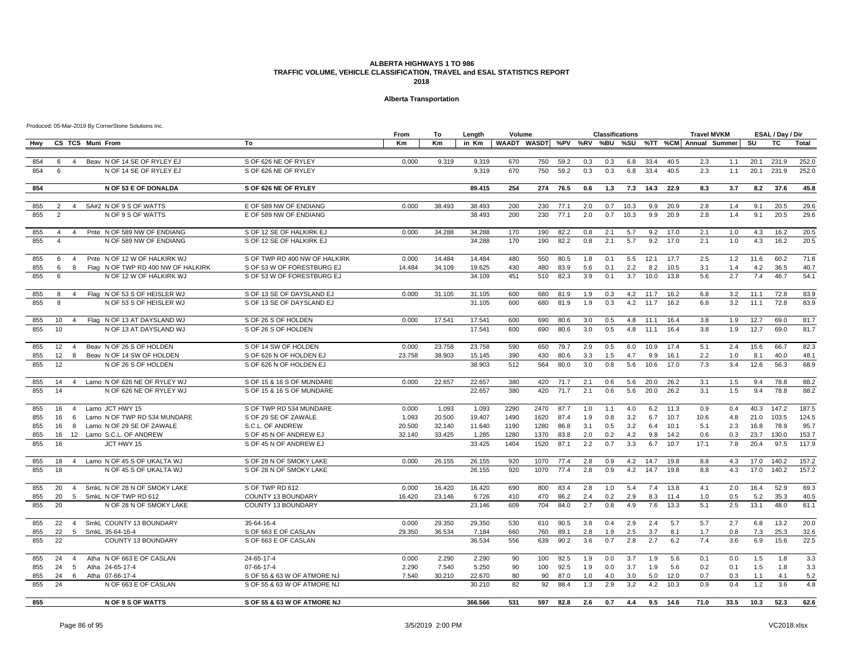#### **Alberta Transportation**

|            |                                                                                             | From           | То             | Length         | Volume   |            |              |            | <b>Classifications</b> |      |            |          | <b>Travel MVKM</b>                                |            |            | ESAL / Day / Dir |              |
|------------|---------------------------------------------------------------------------------------------|----------------|----------------|----------------|----------|------------|--------------|------------|------------------------|------|------------|----------|---------------------------------------------------|------------|------------|------------------|--------------|
| Hwy        | CS TCS Muni From<br>To                                                                      | Km             | Кm             | in Km          |          |            |              |            |                        |      |            |          | WAADT WASDT %PV %RV %BU %SU %TT %CM Annual Summer |            | su         | TC               | <b>Total</b> |
| 854        | Beav N OF 14 SE OF RYLEY EJ<br>S OF 626 NE OF RYLEY<br>6<br>$\overline{4}$                  | 0.000          | 9.319          | 9.319          | 670      | 750        | 59.2         | 0.3        | 0.3                    | 6.8  | 33.4       | 40.5     | 2.3                                               | 1.1        | 20.1       | 231.9            | 252.0        |
| 854        | N OF 14 SE OF RYLEY EJ<br>S OF 626 NE OF RYLEY<br>6                                         |                |                | 9.319          | 670      | 750        | 59.2         | 0.3        | 0.3                    | 6.8  | 33.4       | 40.5     | 2.3                                               | 1.1        | 20.1       | 231.9            | 252.0        |
|            |                                                                                             |                |                |                |          |            |              |            |                        |      |            |          |                                                   |            |            |                  |              |
| 854        | N OF 53 E OF DONALDA<br>S OF 626 NE OF RYLEY                                                |                |                | 89.415         | 254      | 274        | 76.5         | 0.6        | 1.3                    | 7.3  | 14.3       | 22.9     | 8.3                                               | 3.7        | 8.2        | 37.6             | 45.8         |
|            |                                                                                             |                |                |                |          |            |              |            |                        |      |            |          |                                                   |            |            |                  |              |
| 855        | SA#2 N OF 9 S OF WATTS<br>E OF 589 NW OF ENDIANG<br>2<br>$\overline{4}$                     | 0.000          | 38.493         | 38.493         | 200      | 230        | 77.1         | 2.0        | 0.7                    | 10.3 | 9.9        | 20.9     | 2.8                                               | 1.4        | 9.1        | 20.5             | 29.6         |
| 855        | 2<br>N OF 9 S OF WATTS<br>E OF 589 NW OF ENDIANG                                            |                |                | 38.493         | 200      | 230        | 77.1         | 2.0        | 0.7                    | 10.3 | 9.9        | 20.9     | 2.8                                               | 1.4        | 9.1        | 20.5             | 29.6         |
| 855        | Pnte N OF 589 NW OF ENDIANG<br>S OF 12 SE OF HALKIRK EJ<br>$\overline{4}$<br>$\overline{4}$ | 0.000          | 34.288         | 34.288         | 170      | 190        | 82.2         | 0.8        | 2.1                    | 5.7  | 9.2        | 17.0     | 2.1                                               | 1.0        | 4.3        | 16.2             | 20.5         |
| 855        | N OF 589 NW OF ENDIANG<br>S OF 12 SE OF HALKIRK EJ<br>$\overline{a}$                        |                |                | 34.288         | 170      | 190        | 82.2         | 0.8        | 2.1                    | 5.7  | 9.2        | 17.0     | 2.1                                               | 1.0        | 4.3        | 16.2             | 20.5         |
|            |                                                                                             |                |                |                |          |            |              |            |                        |      |            |          |                                                   |            |            |                  |              |
| 855        | Pnte N OF 12 W OF HALKIRK WJ<br>S OF TWP RD 400 NW OF HALKIRK<br>6<br>$\overline{4}$        | 0.000          | 14.484         | 14.484         | 480      | 550        | 80.5         | 1.8        | 0.1                    | 5.5  | 12.1       | 17.7     | 2.5                                               | 1.2        | 11.6       | 60.2             | 71.8         |
| 855        | Flag N OF TWP RD 400 NW OF HALKIRK<br>S OF 53 W OF FORESTBURG EJ<br>6<br>8                  | 14.484         | 34.109         | 19.625         | 430      | 480        | 83.9         | 5.6        | 0.1                    | 2.2  | 8.2        | 10.5     | 3.1                                               | 1.4        | 4.2        | 36.5             | 40.7         |
| 855        | N OF 12 W OF HALKIRK WJ<br>S OF 53 W OF FORESTBURG EJ                                       |                |                | 34.109         | 451      | 510        | 82.3         | 3.9        | 0.1                    | 3.7  | 10.0       | 13.8     | 5.6                                               | 2.7        | 7.4        | 46.7             | 54.1         |
| 855        | Flag N OF 53 S OF HEISLER WJ<br>S OF 13 SE OF DAYSLAND EJ<br>8                              | 0.000          | 31.105         | 31.105         | 600      | 680        | 81.9         | 1.9        | 0.3                    | 4.2  | 11.7       | 16.2     | 6.8                                               | 3.2        | 11.1       | 72.8             | 83.9         |
| 855        | N OF 53 S OF HEISLER WJ<br>S OF 13 SE OF DAYSLAND EJ<br>8                                   |                |                | 31.105         | 600      | 680        | 81.9         | 1.9        | 0.3                    | 4.2  | 11.7       | 16.2     | 6.8                                               | 3.2        | 11.1       | 72.8             | 83.9         |
|            |                                                                                             |                |                |                |          |            |              |            |                        |      |            |          |                                                   |            |            |                  |              |
| 855        | Flag N OF 13 AT DAYSLAND WJ<br>S OF 26 S OF HOLDEN<br>10                                    | 0.000          | 17.541         | 17.541         | 600      | 690        | 80.6         | 3.0        | 0.5                    | 4.8  | 11.1       | 16.4     | 3.8                                               | 1.9        | 12.7       | 69.0             | 81.7         |
| 855        | 10<br>N OF 13 AT DAYSLAND WJ<br>S OF 26 S OF HOLDEN                                         |                |                | 17.541         | 600      | 690        | 80.6         | 3.0        | 0.5                    | 4.8  | 11.1       | 16.4     | 3.8                                               | 1.9        | 12.7       | 69.0             | 81.7         |
| 855        | Beav N OF 26 S OF HOLDEN<br>S OF 14 SW OF HOLDEN<br>12<br>$\overline{4}$                    | 0.000          | 23.758         | 23.758         | 590      | 650        | 79.7         | 2.9        | 0.5                    | 6.0  | 10.9       | 17.4     | 5.1                                               | 2.4        | 15.6       | 66.7             | 82.3         |
| 855        | 12<br>8<br>Beav N OF 14 SW OF HOLDEN<br>S OF 626 N OF HOLDEN EJ                             | 23.758         | 38.903         | 15.145         | 390      | 430        | 80.6         | 3.3        | 1.5                    | 4.7  | 9.9        | 16.1     | 2.2                                               | 1.0        | 8.1        | 40.0             | 48.1         |
| 855        | 12<br>N OF 26 S OF HOLDEN<br>S OF 626 N OF HOLDEN EJ                                        |                |                | 38.903         | 512      | 564        | 80.0         | 3.0        | 0.8                    | 5.6  | 10.6       | 17.0     | 7.3                                               | 3.4        | 12.6       | 56.3             | 68.9         |
|            |                                                                                             |                |                |                |          |            |              |            |                        |      |            |          |                                                   |            |            |                  |              |
| 855        | 14<br>Lamo N OF 626 NE OF RYLEY WJ<br>S OF 15 & 16 S OF MUNDARE<br>$\overline{4}$           | 0.000          | 22.657         | 22.657         | 380      | 420        | 71.7         | 2.1        | 0.6                    | 5.6  | 20.0       | 26.2     | 3.1                                               | 1.5        | 9.4        | 78.8             | 88.2         |
| 855        | N OF 626 NE OF RYLEY WJ<br>S OF 15 & 16 S OF MUNDARE<br>14                                  |                |                | 22.657         | 380      | 420        | 71.7         | 2.1        | 0.6                    | 5.6  | 20.0       | 26.2     | 3.1                                               | 1.5        | 9.4        | 78.8             | 88.2         |
| 855        | Lamo JCT HWY 15<br>S OF TWP RD 534 MUNDARE<br>16<br>$\overline{4}$                          | 0.000          | 1.093          | 1.093          | 2290     | 2470       | 87.7         | 1.0        | 1.1                    | 4.0  | 6.2        | 11.3     | 0.9                                               | 0.4        | 40.3       | 147.2            | 187.5        |
| 855        | Lamo N OF TWP RD 534 MUNDARE<br>S OF 29 SE OF ZAWALE<br>16<br>6                             | 1.093          | 20.500         | 19.407         | 1490     | 1620       | 87.4         | 1.9        | 0.8                    | 3.2  | 6.7        | 10.7     | 10.6                                              | 4.8        | 21.0       | 103.5            | 124.5        |
| 855        | Lamo N OF 29 SE OF ZAWALE<br>S.C.L. OF ANDREW<br>16<br>8                                    | 20.500         | 32.140         | 11.640         | 1190     | 1280       | 86.8         | 3.1        | 0.5                    | 3.2  | 6.4        | 10.1     | 5.1                                               | 2.3        | 16.8       | 78.9             | 95.7         |
| 855        | 16<br>12 Lamo S.C.L. OF ANDREW<br>S OF 45 N OF ANDREW EJ                                    | 32.140         | 33.425         | 1.285          | 1280     | 1370       | 83.8         | 2.0        | 0.2                    | 4.2  | 9.8        | 14.2     | 0.6                                               | 0.3        | 23.7       | 130.0            | 153.7        |
| 855        | 16<br>S OF 45 N OF ANDREW EJ<br>JCT HWY 15                                                  |                |                | 33.425         | 1404     | 1520       | 87.1         | 2.2        | 0.7                    | 3.3  | 6.7        | 10.7     | 17.1                                              | 7.8        | 20.4       | 97.5             | 117.9        |
| 855        | Lamo N OF 45 S OF UKALTA WJ<br>S OF 28 N OF SMOKY LAKE<br>18<br>$\overline{a}$              | 0.000          | 26.155         | 26.155         | 920      | 1070       | 77.4         | 2.8        | 0.9                    | 4.2  | 14.7       | 19.8     | 8.8                                               | 4.3        | 17.0       | 140.2            | 157.2        |
| 855        | 18<br>N OF 45 S OF UKALTA WJ<br>S OF 28 N OF SMOKY LAKE                                     |                |                | 26.155         | 920      | 1070       | 77.4         | 2.8        | 0.9                    | 4.2  | 14.7       | 19.8     | 8.8                                               | 4.3        | 17.0       | 140.2            | 157.2        |
|            |                                                                                             |                |                |                |          |            |              |            |                        |      |            |          |                                                   |            |            |                  |              |
| 855        | 20<br>SmkL N OF 28 N OF SMOKY LAKE<br>S OF TWP RD 612                                       | 0.000          | 16.420         | 16.420         | 690      | 800        | 83.4         | 2.8        | 1.0                    | 5.4  | 7.4        | 13.8     | 4.1                                               | 2.0        | 16.4       | 52.9             | 69.3         |
| 855        | 20<br>SmkL N OF TWP RD 612<br>COUNTY 13 BOUNDARY<br>5                                       | 16.420         | 23.146         | 6.726          | 410      | 470        | 86.2         | 2.4        | 0.2                    | 2.9  | 8.3        | 11.4     | 1.0                                               | 0.5        | 5.2        | 35.3             | 40.5         |
| 855        | 20<br>N OF 28 N OF SMOKY LAKE<br>COUNTY 13 BOUNDARY                                         |                |                | 23.146         | 609      | 704        | 84.0         | 2.7        | 0.8                    | 4.9  | 7.6        | 13.3     | 5.1                                               | 2.5        | 13.1       | 48.0             | 61.1         |
| 855        | 22<br>SmkL COUNTY 13 BOUNDARY<br>35-64-16-4<br>$\overline{4}$                               | 0.000          | 29.350         | 29.350         | 530      | 610        | 90.5         | 3.8        | 0.4                    | 2.9  | 2.4        | 5.7      | 5.7                                               | 2.7        | 6.8        | 13.2             | 20.0         |
| 855        | 22<br>SmkL 35-64-16-4<br>S OF 663 E OF CASLAN<br>5                                          | 29.350         | 36.534         | 7.184          | 660      | 760        | 89.1         | 2.8        | 1.9                    | 2.5  | 3.7        | 8.1      | 1.7                                               | 0.8        | 7.3        | 25.3             | 32.6         |
| 855        | S OF 663 E OF CASLAN<br>22<br>COUNTY 13 BOUNDARY                                            |                |                | 36.534         | 556      | 639        | 90.2         | 3.6        | 0.7                    | 2.8  | 2.7        | 6.2      | 7.4                                               | 3.6        | 6.9        | 15.6             | 22.5         |
|            | 24<br>Atha N OF 663 E OF CASLAN<br>24-65-17-4<br>$\overline{4}$                             |                |                |                |          |            |              |            |                        | 3.7  |            | 5.6      |                                                   |            |            |                  | 3.3          |
| 855<br>855 | 07-66-17-4<br>24<br>5<br>Atha 24-65-17-4                                                    | 0.000<br>2.290 | 2.290<br>7.540 | 2.290<br>5.250 | 90<br>90 | 100<br>100 | 92.5<br>92.5 | 1.9<br>1.9 | 0.0<br>0.0             | 3.7  | 1.9<br>1.9 | 5.6      | 0.1<br>0.2                                        | 0.0<br>0.1 | 1.5<br>1.5 | 1.8<br>1.8       | 3.3          |
| 855        | 24<br>6<br>Atha 07-66-17-4<br>S OF 55 & 63 W OF ATMORE NJ                                   | 7.540          | 30.210         | 22.670         | 80       | 90         | 87.0         | 1.0        | 4.0                    | 3.0  | 5.0        | 12.0     | 0.7                                               | 0.3        | 1.1        | 4.1              | 5.2          |
| 855        | 24<br>N OF 663 E OF CASLAN<br>S OF 55 & 63 W OF ATMORE NJ                                   |                |                | 30.210         | 82       | 92         | 88.4         | 1.3        | 2.9                    | 3.2  | 4.2        | 10.3     | 0.9                                               | 0.4        | 1.2        | 3.6              | 4.8          |
|            |                                                                                             |                |                |                |          |            |              |            |                        |      |            |          |                                                   |            |            |                  |              |
| 855        | N OF 9 S OF WATTS<br>S OF 55 & 63 W OF ATMORE NJ                                            |                |                | 366.566        | 531      | 597        | 82.8         | 2.6        | 0.7                    | 4.4  |            | 9.5 14.6 | 71.0                                              | 33.5       | 10.3       | 52.3             | 62.6         |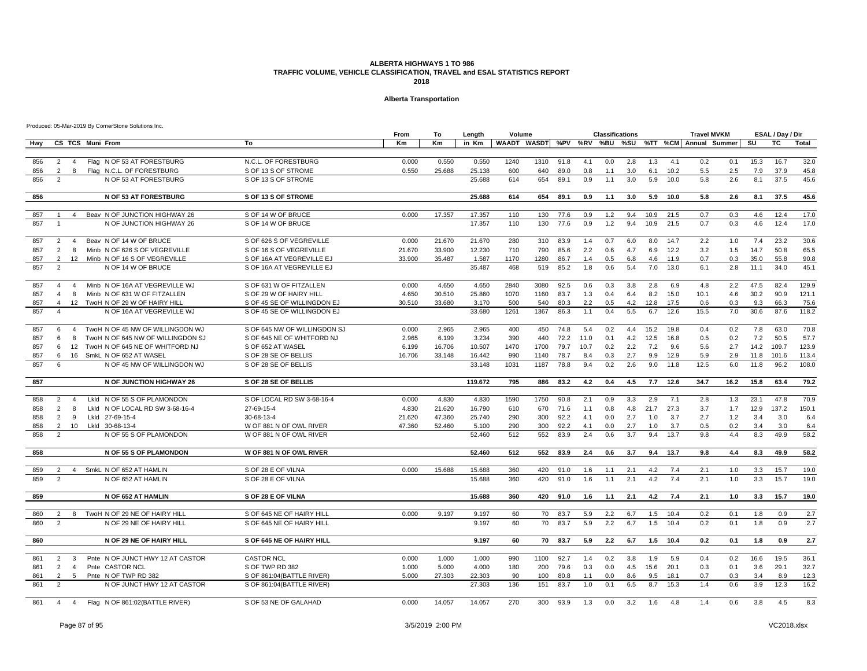#### **Alberta Transportation**

|            |                     |                     |                                                                |                                          | From           | То              | Length          | Volume      |             |              |            | <b>Classifications</b> |            |             |              | <b>Travel MVKM</b> |                                                   |              | ESAL / Day / Dir |               |
|------------|---------------------|---------------------|----------------------------------------------------------------|------------------------------------------|----------------|-----------------|-----------------|-------------|-------------|--------------|------------|------------------------|------------|-------------|--------------|--------------------|---------------------------------------------------|--------------|------------------|---------------|
| Hwy        |                     |                     | CS TCS Muni From                                               | To                                       | Km             | Km              | in Km           |             |             |              |            |                        |            |             |              |                    | WAADT WASDT %PV %RV %BU %SU %TT %CM Annual Summer | SU           | <b>TC</b>        | <b>Total</b>  |
|            |                     |                     |                                                                |                                          |                |                 |                 |             |             |              |            |                        |            |             |              |                    |                                                   |              |                  |               |
| 856        | $\overline{2}$      | $\overline{4}$      | Flag N OF 53 AT FORESTBURG                                     | N.C.L. OF FORESTBURG                     | 0.000          | 0.550           | 0.550           | 1240        | 1310        | 91.8         | 4.1        | 0.0                    | 2.8        | 1.3         | 4.1          | 0.2                | 0.1                                               | 15.3         | 16.7             | 32.0          |
| 856        | 2                   | 8                   | Flag N.C.L. OF FORESTBURG                                      | S OF 13 S OF STROME                      | 0.550          | 25.688          | 25.138          | 600         | 640         | 89.0         | 0.8        | 1.1                    | 3.0        | 6.1         | 10.2         | 5.5                | 2.5                                               | 7.9          | 37.9             | 45.8          |
| 856        | $\overline{2}$      |                     | N OF 53 AT FORESTBURG                                          | S OF 13 S OF STROME                      |                |                 | 25.688          | 614         | 654         | 89.1         | 0.9        | 1.1                    | 3.0        | 5.9         | 10.0         | 5.8                | 2.6                                               | 8.1          | 37.5             | 45.6          |
| 856        |                     |                     | N OF 53 AT FORESTBURG                                          | S OF 13 S OF STROME                      |                |                 | 25.688          | 614         | 654         | 89.1         | 0.9        | 1.1                    | 3.0        | 5.9         | 10.0         | 5.8                | 2.6                                               | 8.1          | 37.5             | 45.6          |
| 857        | -1                  | $\overline{4}$      | Beav N OF JUNCTION HIGHWAY 26                                  | S OF 14 W OF BRUCE                       | 0.000          | 17.357          | 17.357          | 110         | 130         | 77.6         | 0.9        | 1.2                    | 9.4        | 10.9        | 21.5         | 0.7                | 0.3                                               | 4.6          | 12.4             | 17.0          |
| 857        | $\overline{1}$      |                     | N OF JUNCTION HIGHWAY 26                                       | S OF 14 W OF BRUCE                       |                |                 | 17.357          | 110         | 130         | 77.6         | 0.9        | 1.2                    | 9.4        | 10.9        | 21.5         | 0.7                | 0.3                                               | 4.6          | 12.4             | 17.0          |
| 857        | 2                   | $\overline{4}$      | Beav N OF 14 W OF BRUCE                                        | S OF 626 S OF VEGREVILLE                 | 0.000          | 21.670          | 21.670          | 280         | 310         | 83.9         | 1.4        | 0.7                    | 6.0        | 8.0         | 14.7         | 2.2                | 1.0                                               | 7.4          | 23.2             | 30.6          |
| 857        | $\overline{2}$      | 8                   | Minb N OF 626 S OF VEGREVILLE                                  | S OF 16 S OF VEGREVILLE                  | 21.670         | 33,900          | 12.230          | 710         | 790         | 85.6         | 2.2        | 0.6                    | 4.7        | 6.9         | 12.2         | 3.2                | 1.5                                               | 14.7         | 50.8             | 65.5          |
| 857        | 2                   | 12                  | Minb N OF 16 S OF VEGREVILLE                                   | S OF 16A AT VEGREVILLE EJ                | 33.900         | 35.487          | 1.587           | 1170        | 1280        | 86.7         | 1.4        | 0.5                    | 6.8        | 4.6         | 11.9         | 0.7                | 0.3                                               | 35.0         | 55.8             | 90.8          |
| 857        | $\overline{2}$      |                     | N OF 14 W OF BRUCE                                             | S OF 16A AT VEGREVILLE EJ                |                |                 | 35.487          | 468         | 519         | 85.2         | 1.8        | 0.6                    | 5.4        | 7.0         | 13.0         | 6.1                | 2.8                                               | 11.1         | 34.0             | 45.1          |
| 857        | $\overline{4}$      | $\overline{4}$      | Minb N OF 16A AT VEGREVILLE WJ                                 | S OF 631 W OF FITZALLEN                  | 0.000          | 4.650           | 4.650           | 2840        | 3080        | 92.5         | 0.6        | 0.3                    | 3.8        | 2.8         | 6.9          | 4.8                | 2.2                                               | 47.5         | 82.4             | 129.9         |
| 857        | $\overline{4}$      | 8                   | Minb N OF 631 W OF FITZALLEN                                   | S OF 29 W OF HAIRY HILL                  | 4.650          | 30.510          | 25.860          | 1070        | 1160        | 83.7         | 1.3        | 0.4                    | 6.4        | 8.2         | 15.0         | 10.1               | 4.6                                               | 30.2         | 90.9             | 121.1         |
| 857        | $\overline{4}$      |                     | 12 TwoH N OF 29 W OF HAIRY HILL                                | S OF 45 SE OF WILLINGDON EJ              | 30.510         | 33.680          | 3.170           | 500         | 540         | 80.3         | 2.2        | 0.5                    | 4.2        | 12.8        | 17.5         | 0.6                | 0.3                                               | 9.3          | 66.3             | 75.6          |
| 857        | 4                   |                     | N OF 16A AT VEGREVILLE WJ                                      | S OF 45 SE OF WILLINGDON EJ              |                |                 | 33.680          | 1261        | 1367        | 86.3         | 1.1        | 0.4                    | 5.5        | 6.7         | 12.6         | 15.5               | 7.0                                               | 30.6         | 87.6             | 118.2         |
| 857        | 6                   | $\overline{4}$      | TwoH N OF 45 NW OF WILLINGDON WJ                               | S OF 645 NW OF WILLINGDON SJ             | 0.000          | 2.965           | 2.965           | 400         | 450         | 74.8         | 5.4        | 0.2                    | 4.4        | 15.2        | 19.8         | 0.4                | 0.2                                               | 7.8          | 63.0             | 70.8          |
| 857        | 6                   | 8                   | TwoH N OF 645 NW OF WILLINGDON SJ                              | S OF 645 NE OF WHITFORD NJ               | 2.965          | 6.199           | 3.234           | 390         | 440         | 72.2         | 11.0       | 0.1                    | 4.2        | 12.5        | 16.8         | 0.5                | 0.2                                               | 7.2          | 50.5             | 57.7          |
| 857        | 6                   |                     | 12 TwoH N OF 645 NE OF WHITFORD NJ                             | S OF 652 AT WASEL                        | 6.199          | 16.706          | 10.507          | 1470        | 1700        | 79.7         | 10.7       | 0.2                    | 2.2        | 7.2         | 9.6          | 5.6                | 2.7                                               | 14.2         | 109.7            | 123.9         |
| 857        | 6                   |                     | 16 SmkL N OF 652 AT WASEL                                      | S OF 28 SE OF BELLIS                     | 16.706         | 33.148          | 16.442          | 990         | 1140        | 78.7         | 8.4        | 0.3                    | 2.7        | 9.9         | 12.9         | 5.9                | 2.9                                               | 11.8         | 101.6            | 113.4         |
| 857        | 6                   |                     | N OF 45 NW OF WILLINGDON WJ                                    | S OF 28 SE OF BELLIS                     |                |                 | 33.148          | 1031        | 1187        | 78.8         | 9.4        | 0.2                    | 2.6        | 9.0         | 11.8         | 12.5               | 6.0                                               | 11.8         | 96.2             | 108.0         |
| 857        |                     |                     | N OF JUNCTION HIGHWAY 26                                       | S OF 28 SE OF BELLIS                     |                |                 | 119.672         | 795         | 886         | 83.2         | 4.2        | 0.4                    | 4.5        | 7.7         | 12.6         | 34.7               | 16.2                                              | 15.8         | 63.4             | 79.2          |
|            |                     |                     |                                                                |                                          |                |                 |                 |             |             |              |            |                        |            |             |              |                    |                                                   |              |                  |               |
| 858<br>858 | 2<br>2              | $\overline{4}$<br>8 | Lkld N OF 55 S OF PLAMONDON<br>Lkid N OF LOCAL RD SW 3-68-16-4 | S OF LOCAL RD SW 3-68-16-4<br>27-69-15-4 | 0.000<br>4.830 | 4.830<br>21.620 | 4.830<br>16.790 | 1590<br>610 | 1750<br>670 | 90.8<br>71.6 | 2.1<br>1.1 | 0.9<br>0.8             | 3.3<br>4.8 | 2.9<br>21.7 | 7.1<br>27.3  | 2.8<br>3.7         | 1.3<br>1.7                                        | 23.1<br>12.9 | 47.8<br>137.2    | 70.9<br>150.1 |
| 858        | 2                   | 9                   | Lkld 27-69-15-4                                                | 30-68-13-4                               | 21.620         | 47.360          | 25.740          | 290         | 300         | 92.2         | 4.1        | 0.0                    | 2.7        | 1.0         | 3.7          | 2.7                | 1.2                                               | 3.4          | 3.0              | 6.4           |
| 858        | 2                   | 10                  | Lkld 30-68-13-4                                                | W OF 881 N OF OWL RIVER                  | 47.360         | 52.460          | 5.100           | 290         | 300         | 92.2         | 4.1        | 0.0                    | 2.7        | 1.0         | 3.7          | 0.5                | 0.2                                               | 3.4          | 3.0              | 6.4           |
| 858        | 2                   |                     | N OF 55 S OF PLAMONDON                                         | W OF 881 N OF OWL RIVER                  |                |                 | 52.460          | 512         | 552         | 83.9         | 2.4        | 0.6                    | 3.7        | 9.4         | 13.7         | 9.8                | 4.4                                               | 8.3          | 49.9             | 58.2          |
|            |                     |                     |                                                                |                                          |                |                 |                 |             |             |              |            |                        |            |             |              |                    |                                                   |              |                  |               |
| 858        |                     |                     | N OF 55 S OF PLAMONDON                                         | W OF 881 N OF OWL RIVER                  |                |                 | 52.460          | 512         | 552         | 83.9         | 2.4        | 0.6                    | 3.7        | 9.4         | 13.7         | 9.8                | 4.4                                               | 8.3          | 49.9             | 58.2          |
| 859        | 2                   | $\overline{4}$      | SmkL N OF 652 AT HAMLIN                                        | S OF 28 E OF VILNA                       | 0.000          | 15.688          | 15.688          | 360         | 420         | 91.0         | 1.6        | 1.1                    | 2.1        | 4.2         | 7.4          | 2.1                | 1.0                                               | 3.3          | 15.7             | 19.0          |
| 859        | $\overline{2}$      |                     | N OF 652 AT HAMLIN                                             | S OF 28 E OF VILNA                       |                |                 | 15.688          | 360         | 420         | 91.0         | 1.6        | 1.1                    | 2.1        | 4.2         | 7.4          | 2.1                | 1.0                                               | 3.3          | 15.7             | 19.0          |
| 859        |                     |                     | N OF 652 AT HAMLIN                                             | S OF 28 E OF VILNA                       |                |                 | 15.688          | 360         | 420         | 91.0         | 1.6        | 1.1                    | 2.1        | 4.2         | 7.4          | 2.1                | 1.0                                               | 3.3          | 15.7             | 19.0          |
|            |                     |                     |                                                                |                                          |                |                 |                 |             |             |              |            |                        |            |             |              |                    |                                                   |              |                  |               |
| 860        | 2<br>$\overline{2}$ | 8                   | TwoH N OF 29 NE OF HAIRY HILL                                  | S OF 645 NE OF HAIRY HILL                | 0.000          | 9.197           | 9.197           | 60          | 70<br>70    | 83.7<br>83.7 | 5.9<br>5.9 | 2.2<br>2.2             | 6.7        | 1.5         | 10.4<br>10.4 | 0.2                | 0.1                                               | 1.8<br>1.8   | 0.9              | 2.7<br>2.7    |
| 860        |                     |                     | N OF 29 NE OF HAIRY HILL                                       | S OF 645 NE OF HAIRY HILL                |                |                 | 9.197           | 60          |             |              |            |                        | 6.7        | 1.5         |              | 0.2                | 0.1                                               |              | 0.9              |               |
| 860        |                     |                     | N OF 29 NE OF HAIRY HILL                                       | S OF 645 NE OF HAIRY HILL                |                |                 | 9.197           | 60          | 70          | 83.7         | 5.9        | 2.2                    | 6.7        | 1.5         | 10.4         | 0.2                | 0.1                                               | 1.8          | 0.9              | 2.7           |
| 861        | 2                   | 3                   | Pnte N OF JUNCT HWY 12 AT CASTOR                               | <b>CASTOR NCL</b>                        | 0.000          | 1.000           | 1.000           | 990         | 1100        | 92.7         | 1.4        | 0.2                    | 3.8        | 1.9         | 5.9          | 0.4                | 0.2                                               | 16.6         | 19.5             | 36.1          |
| 861        | 2                   | $\overline{4}$      | Pnte CASTOR NCL                                                | S OF TWP RD 382                          | 1.000          | 5.000           | 4.000           | 180         | 200         | 79.6         | 0.3        | 0.0                    | 4.5        | 15.6        | 20.1         | 0.3                | 0.1                                               | 3.6          | 29.1             | 32.7          |
| 861        | 2                   | 5                   | Pnte N OF TWP RD 382                                           | S OF 861:04(BATTLE RIVER)                | 5.000          | 27.303          | 22.303          | 90          | 100         | 80.8         | 1.1        | 0.0                    | 8.6        | 9.5         | 18.1         | 0.7                | 0.3                                               | 3.4          | 8.9              | 12.3          |
| 861        | $\overline{2}$      |                     | N OF JUNCT HWY 12 AT CASTOR                                    | S OF 861:04(BATTLE RIVER)                |                |                 | 27.303          | 136         | 151         | 83.7         | 1.0        | 0.1                    | 6.5        | 8.7         | 15.3         | 1.4                | 0.6                                               | 3.9          | 12.3             | 16.2          |
| 861        | $\overline{4}$      | $\overline{4}$      | Flag N OF 861:02(BATTLE RIVER)                                 | S OF 53 NE OF GALAHAD                    | 0.000          | 14.057          | 14.057          | 270         | 300         | 93.9         | 1.3        | 0.0                    | 3.2        | 1.6         | 4.8          | 1.4                | 0.6                                               | 3.8          | 4.5              | 8.3           |
|            |                     |                     |                                                                |                                          |                |                 |                 |             |             |              |            |                        |            |             |              |                    |                                                   |              |                  |               |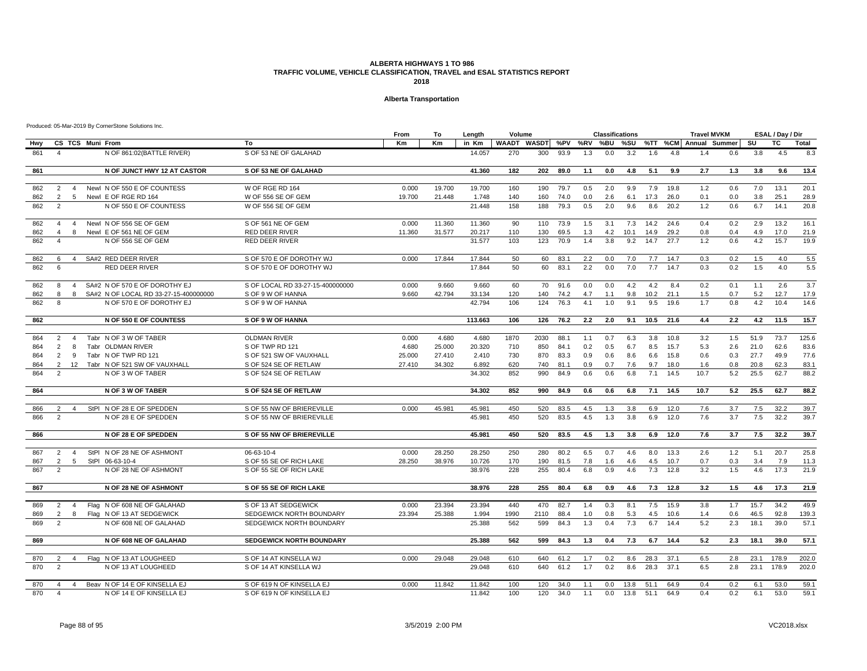#### **Alberta Transportation**

|     |                                  |                |                                       |                                  | From   | To     | Length  | Volume              |      |      |     | <b>Classifications</b> |      |      |         | <b>Travel MVKM</b> |               |      | ESAL / Day / Dir |              |
|-----|----------------------------------|----------------|---------------------------------------|----------------------------------|--------|--------|---------|---------------------|------|------|-----|------------------------|------|------|---------|--------------------|---------------|------|------------------|--------------|
| Hwy |                                  |                | CS TCS Muni From                      | To                               | Km     | Кm     | in Km   | WAADT WASDT %PV %RV |      |      |     | %BU                    | %SU  |      | %TT %CM |                    | Annual Summer | SU   | TC               | <b>Total</b> |
| 861 | $\overline{\mathbf{4}}$          |                | N OF 861:02(BATTLE RIVER)             | S OF 53 NE OF GALAHAD            |        |        | 14.057  | 270                 | 300  | 93.9 | 1.3 | 0.0                    | 3.2  | 1.6  | 4.8     | 1.4                | 0.6           | 3.8  | 4.5              | 8.3          |
| 861 |                                  |                | N OF JUNCT HWY 12 AT CASTOR           | <b>S OF 53 NE OF GALAHAD</b>     |        |        | 41.360  | 182                 | 202  | 89.0 | 1.1 | 0.0                    | 4.8  | 5.1  | 9.9     | 2.7                | 1.3           | 3.8  | 9.6              | 13.4         |
|     |                                  |                |                                       |                                  |        |        |         |                     |      |      |     |                        |      |      |         |                    |               |      |                  |              |
| 862 | 2                                | $\overline{4}$ | Newl N OF 550 E OF COUNTESS           | W OF RGE RD 164                  | 0.000  | 19,700 | 19.700  | 160                 | 190  | 79.7 | 0.5 | 2.0                    | 9.9  | 7.9  | 19.8    | 1.2                | 0.6           | 7.0  | 13.1             | 20.1         |
| 862 | 2<br>5                           |                | Newl E OF RGE RD 164                  | W OF 556 SE OF GEM               | 19.700 | 21.448 | 1.748   | 140                 | 160  | 74.0 | 0.0 | 2.6                    | 6.1  | 17.3 | 26.0    | 0.1                | 0.0           | 3.8  | 25.1             | 28.9         |
| 862 | 2                                |                | N OF 550 E OF COUNTESS                | W OF 556 SE OF GEM               |        |        | 21.448  | 158                 | 188  | 79.3 | 0.5 | 2.0                    | 9.6  | 8.6  | 20.2    | 1.2                | 0.6           | 6.7  | 14.1             | 20.8         |
| 862 | $\overline{4}$<br>$\overline{4}$ |                | Newl N OF 556 SE OF GEM               | S OF 561 NE OF GEM               | 0.000  | 11.360 | 11.360  | 90                  | 110  | 73.9 | 1.5 | 3.1                    | 7.3  | 14.2 | 24.6    | 0.4                | 0.2           | 2.9  | 13.2             | 16.1         |
| 862 | $\overline{4}$<br>8              |                | Newl E OF 561 NE OF GEM               | RED DEER RIVER                   | 11.360 | 31.577 | 20.217  | 110                 | 130  | 69.5 | 1.3 | 4.2                    | 10.1 | 14.9 | 29.2    | $0.8\,$            | 0.4           | 4.9  | 17.0             | 21.9         |
| 862 | $\overline{\mathbf{4}}$          |                | N OF 556 SE OF GEM                    | <b>RED DEER RIVER</b>            |        |        | 31.577  | 103                 | 123  | 70.9 | 1.4 | 3.8                    | 9.2  | 14.7 | 27.7    | 1.2                | 0.6           | 4.2  | 15.7             | 19.9         |
| 862 | 6<br>$\overline{4}$              |                | SA#2 RED DEER RIVER                   | S OF 570 E OF DOROTHY WJ         | 0.000  | 17.844 | 17.844  | 50                  | 60   | 83.1 | 2.2 | 0.0                    | 7.0  | 7.7  | 14.7    | 0.3                | 0.2           | 1.5  | 4.0              | 5.5          |
| 862 | 6                                |                | <b>RED DEER RIVER</b>                 | S OF 570 E OF DOROTHY WJ         |        |        | 17.844  | 50                  | 60   | 83.1 | 2.2 | 0.0                    | 7.0  | 7.7  | 14.7    | 0.3                | 0.2           | 1.5  | 4.0              | 5.5          |
| 862 | 8<br>$\overline{4}$              |                | SA#2 N OF 570 E OF DOROTHY EJ         | S OF LOCAL RD 33-27-15-400000000 | 0.000  | 9.660  | 9.660   | 60                  | 70   | 91.6 | 0.0 | 0.0                    | 4.2  | 4.2  | 8.4     | 0.2                | 0.1           | 1.1  | 2.6              | 3.7          |
| 862 | 8                                | 8              | SA#2 N OF LOCAL RD 33-27-15-400000000 | S OF 9 W OF HANNA                | 9.660  | 42.794 | 33.134  | 120                 | 140  | 74.2 | 4.7 | 1.1                    | 9.8  | 10.2 | 21.1    | 1.5                | 0.7           | 5.2  | 12.7             | 17.9         |
| 862 | 8                                |                | N OF 570 E OF DOROTHY EJ              | S OF 9 W OF HANNA                |        |        | 42.794  | 106                 | 124  | 76.3 | 4.1 | 1.0                    | 9.1  | 9.5  | 19.6    | 1.7                | 0.8           | 4.2  | 10.4             | 14.6         |
| 862 |                                  |                | N OF 550 E OF COUNTESS                | S OF 9 W OF HANNA                |        |        | 113.663 | 106                 | 126  | 76.2 | 2.2 | 2.0                    | 9.1  | 10.5 | 21.6    | 4.4                | 2.2           | 4.2  | 11.5             | 15.7         |
| 864 | 2<br>$\overline{4}$              |                | Tabr N OF 3 W OF TABER                | <b>OLDMAN RIVER</b>              | 0.000  | 4.680  | 4.680   | 1870                | 2030 | 88.1 | 1.1 | 0.7                    | 6.3  | 3.8  | 10.8    | 3.2                | 1.5           | 51.9 | 73.7             | 125.6        |
| 864 | $\overline{2}$<br>8              |                | Tabr OLDMAN RIVER                     | S OF TWP RD 121                  | 4.680  | 25.000 | 20.320  | 710                 | 850  | 84.1 | 0.2 | 0.5                    | 6.7  | 8.5  | 15.7    | 5.3                | 2.6           | 21.0 | 62.6             | 83.6         |
| 864 | 2<br>9                           |                | Tabr N OF TWP RD 121                  | S OF 521 SW OF VAUXHALL          | 25.000 | 27.410 | 2.410   | 730                 | 870  | 83.3 | 0.9 | 0.6                    | 8.6  | 6.6  | 15.8    | 0.6                | 0.3           | 27.7 | 49.9             | 77.6         |
| 864 | 2                                | 12             | Tabr N OF 521 SW OF VAUXHALL          | S OF 524 SE OF RETLAW            | 27.410 | 34.302 | 6.892   | 620                 | 740  | 81.1 | 0.9 | 0.7                    | 7.6  | 9.7  | 18.0    | 1.6                | 0.8           | 20.8 | 62.3             | 83.1         |
| 864 | $\mathfrak{p}$                   |                | N OF 3 W OF TABER                     | S OF 524 SE OF RETLAW            |        |        | 34.302  | 852                 | 990  | 84.9 | 0.6 | 0.6                    | 6.8  | 7.1  | 14.5    | 10.7               | 5.2           | 25.5 | 62.7             | 88.2         |
| 864 |                                  |                | N OF 3 W OF TABER                     | S OF 524 SE OF RETLAW            |        |        | 34.302  | 852                 | 990  | 84.9 | 0.6 | 0.6                    | 6.8  | 7.1  | 14.5    | 10.7               | 5.2           | 25.5 | 62.7             | 88.2         |
| 866 | 2<br>4                           |                | StPI N OF 28 E OF SPEDDEN             | S OF 55 NW OF BRIEREVILLE        | 0.000  | 45.981 | 45.981  | 450                 | 520  | 83.5 | 4.5 | 1.3                    | 3.8  | 6.9  | 12.0    | 7.6                | 3.7           | 7.5  | 32.2             | 39.7         |
| 866 | $\overline{2}$                   |                | N OF 28 E OF SPEDDEN                  | S OF 55 NW OF BRIEREVILLE        |        |        | 45.981  | 450                 | 520  | 83.5 | 4.5 | 1.3                    | 3.8  | 6.9  | 12.0    | 7.6                | 3.7           | 7.5  | 32.2             | 39.7         |
|     |                                  |                |                                       |                                  |        |        |         |                     |      |      |     |                        |      |      |         |                    |               |      |                  |              |
| 866 |                                  |                | N OF 28 E OF SPEDDEN                  | S OF 55 NW OF BRIEREVILLE        |        |        | 45.981  | 450                 | 520  | 83.5 | 4.5 | $1.3$                  | 3.8  | 6.9  | 12.0    | 7.6                | 3.7           | 7.5  | 32.2             | 39.7         |
| 867 | 2<br>$\overline{4}$              |                | StPI N OF 28 NE OF ASHMONT            | 06-63-10-4                       | 0.000  | 28.250 | 28.250  | 250                 | 280  | 80.2 | 6.5 | 0.7                    | 4.6  | 8.0  | 13.3    | 2.6                | 1.2           | 5.1  | 20.7             | 25.8         |
| 867 | 2<br>5                           |                | StPI 06-63-10-4                       | S OF 55 SE OF RICH LAKE          | 28.250 | 38.976 | 10.726  | 170                 | 190  | 81.5 | 7.8 | 1.6                    | 4.6  | 4.5  | 10.7    | 0.7                | 0.3           | 3.4  | 7.9              | 11.3         |
| 867 | $\overline{2}$                   |                | N OF 28 NE OF ASHMONT                 | S OF 55 SE OF RICH LAKE          |        |        | 38.976  | 228                 | 255  | 80.4 | 6.8 | 0.9                    | 4.6  | 7.3  | 12.8    | 3.2                | 1.5           | 4.6  | 17.3             | 21.9         |
| 867 |                                  |                | N OF 28 NE OF ASHMONT                 | S OF 55 SE OF RICH LAKE          |        |        | 38.976  | 228                 | 255  | 80.4 | 6.8 | 0.9                    | 4.6  | 7.3  | 12.8    | 3.2                | 1.5           | 4.6  | 17.3             | 21.9         |
|     |                                  |                |                                       |                                  |        |        |         |                     |      |      |     |                        |      |      |         |                    |               |      |                  |              |
| 869 | $\overline{2}$<br>$\overline{4}$ |                | Flag N OF 608 NE OF GALAHAD           | S OF 13 AT SEDGEWICK             | 0.000  | 23.394 | 23.394  | 440                 | 470  | 82.7 | 1.4 | 0.3                    | 8.1  | 7.5  | 15.9    | 3.8                | 1.7           | 15.7 | 34.2             | 49.9         |
| 869 | 2<br>8                           |                | Flag N OF 13 AT SEDGEWICK             | SEDGEWICK NORTH BOUNDARY         | 23.394 | 25.388 | 1.994   | 1990                | 2110 | 88.4 | 1.0 | 0.8                    | 5.3  | 4.5  | 10.6    | 1.4                | 0.6           | 46.5 | 92.8             | 139.3        |
| 869 | 2                                |                | N OF 608 NE OF GALAHAD                | SEDGEWICK NORTH BOUNDARY         |        |        | 25.388  | 562                 | 599  | 84.3 | 1.3 | 0.4                    | 7.3  | 6.7  | 14.4    | 5.2                | 2.3           | 18.1 | 39.0             | 57.1         |
| 869 |                                  |                | N OF 608 NE OF GALAHAD                | <b>SEDGEWICK NORTH BOUNDARY</b>  |        |        | 25.388  | 562                 | 599  | 84.3 | 1.3 | 0.4                    | 7.3  | 6.7  | 14.4    | 5.2                | 2.3           | 18.1 | 39.0             | 57.1         |
| 870 | $\overline{2}$                   | $\overline{4}$ | Flag N OF 13 AT LOUGHEED              | S OF 14 AT KINSELLA WJ           | 0.000  | 29.048 | 29.048  | 610                 | 640  | 61.2 | 1.7 | 0.2                    | 8.6  | 28.3 | 37.1    | 6.5                | 2.8           | 23.1 | 178.9            | 202.0        |
| 870 | $\overline{2}$                   |                | N OF 13 AT LOUGHEED                   | S OF 14 AT KINSELLA WJ           |        |        | 29.048  | 610                 | 640  | 61.2 | 1.7 | 0.2                    | 8.6  | 28.3 | 37.1    | 6.5                | 2.8           | 23.1 | 178.9            | 202.0        |
|     |                                  |                |                                       |                                  |        |        |         |                     |      |      |     |                        |      |      |         |                    |               |      |                  |              |
| 870 | $\overline{4}$<br>$\overline{4}$ |                | Beav N OF 14 E OF KINSELLA EJ         | S OF 619 N OF KINSELLA EJ        | 0.000  | 11.842 | 11.842  | 100                 | 120  | 34.0 | 1.1 | 0.0                    | 13.8 | 51.1 | 64.9    | 0.4                | 0.2           | 6.1  | 53.0             | 59.1         |
| 870 | $\overline{4}$                   |                | N OF 14 E OF KINSELLA EJ              | S OF 619 N OF KINSELLA EJ        |        |        | 11.842  | 100                 | 120  | 34.0 | 1.1 | 0.0                    | 13.8 | 51.1 | 64.9    | 0.4                | 0.2           | 6.1  | 53.0             | 59.1         |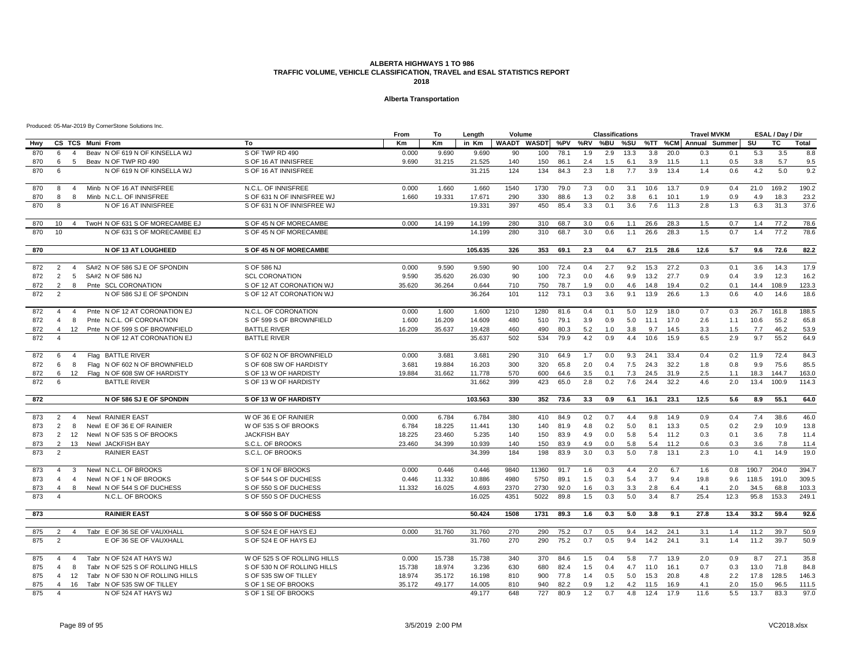#### **Alberta Transportation**

|            |                                           |                   |                  |                                                        |                                                | From            | To               | Length          | Volume       |              |              |            | <b>Classifications</b> |            |            |              | <b>Travel MVKM</b> |                       |              | ESAL / Day / Dir |                |
|------------|-------------------------------------------|-------------------|------------------|--------------------------------------------------------|------------------------------------------------|-----------------|------------------|-----------------|--------------|--------------|--------------|------------|------------------------|------------|------------|--------------|--------------------|-----------------------|--------------|------------------|----------------|
| Hwy        |                                           |                   | CS TCS Muni From |                                                        | To                                             | Km              | <b>Km</b>        | in Km           | <b>WAADT</b> | <b>WASDT</b> | %PV          | %RV        | %BU                    | %SU        |            |              |                    | %TT %CM Annual Summer | SU           | TC               | Total          |
| 870        | 6                                         | $\overline{4}$    |                  | Beav N OF 619 N OF KINSELLA WJ                         | S OF TWP RD 490                                | 0.000           | 9.690            | 9.690           | 90           | 100          | 78.1         | 1.9        | 2.9                    | 13.3       | 3.8        | 20.0         | 0.3                | 0.1                   | 5.3          | 3.5              | 8.8            |
| 870        | 6                                         | 5                 |                  | Beav N OF TWP RD 490                                   | S OF 16 AT INNISFREE                           | 9.690           | 31.215           | 21.525          | 140          | 150          | 86.1         | 2.4        | 1.5                    | 6.1        | 3.9        | 11.5         | 1.1                | 0.5                   | 3.8          | 5.7              | 9.5            |
| 870        | 6                                         |                   |                  | N OF 619 N OF KINSELLA WJ                              | S OF 16 AT INNISFREE                           |                 |                  | 31.215          | 124          | 134          | 84.3         | 2.3        | 1.8                    | 7.7        | 3.9        | 13.4         | 1.4                | 0.6                   | 4.2          | 5.0              | 9.2            |
| 870        | 8                                         | $\overline{4}$    |                  | Minb N OF 16 AT INNISFREE                              | N.C.L. OF INNISFREE                            | 0.000           | 1.660            | 1.660           | 1540         | 1730         | 79.0         | 7.3        | 0.0                    | 3.1        | 10.6       | 13.7         | 0.9                | 0.4                   | 21.0         | 169.2            | 190.2          |
| 870        | 8                                         | 8                 |                  | Minb N.C.L. OF INNISFREE                               | S OF 631 N OF INNISFREE WJ                     | 1.660           | 19.331           | 17.671          | 290          | 330          | 88.6         | 1.3        | 0.2                    | 3.8        | 6.1        | 10.1         | 1.9                | 0.9                   | 4.9          | 18.3             | 23.2           |
| 870        | 8                                         |                   |                  | N OF 16 AT INNISFREE                                   | S OF 631 N OF INNISFREE WJ                     |                 |                  | 19.331          | 397          | 450          | 85.4         | 3.3        | 0.1                    | 3.6        | 7.6        | 11.3         | 2.8                | 1.3                   | 6.3          | 31.3             | 37.6           |
| 870        | 10 <sup>1</sup>                           |                   |                  | 4 TwoH N OF 631 S OF MORECAMBE EJ                      | S OF 45 N OF MORECAMBE                         | 0.000           | 14.199           | 14.199          | 280          | 310          | 68.7         | 3.0        | 0.6                    | 1.1        | 26.6       | 28.3         | 1.5                | 0.7                   | 1.4          | 77.2             | 78.6           |
| 870        | 10 <sup>10</sup>                          |                   |                  | N OF 631 S OF MORECAMBE EJ                             | S OF 45 N OF MORECAMBE                         |                 |                  | 14.199          | 280          | 310          | 68.7         | 3.0        | 0.6                    | 1.1        | 26.6       | 28.3         | 1.5                | 0.7                   | 1.4          | 77.2             | 78.6           |
| 870        |                                           |                   |                  | N OF 13 AT LOUGHEED                                    | S OF 45 N OF MORECAMBE                         |                 |                  | 105.635         | 326          | 353          | 69.1         | 2.3        | 0.4                    | 6.7        | 21.5       | 28.6         | 12.6               | 5.7                   | 9.6          | 72.6             | 82.2           |
|            |                                           |                   |                  |                                                        |                                                |                 |                  |                 |              |              |              |            |                        |            |            |              |                    |                       |              |                  |                |
| 872        | 2                                         | $\overline{4}$    |                  | SA#2 N OF 586 SJ E OF SPONDIN                          | S OF 586 NJ                                    | 0.000           | 9.590            | 9.590           | 90           | 100          | 72.4         | 0.4        | 2.7                    | 9.2        | 15.3       | 27.2         | 0.3                | 0.1                   | 3.6          | 14.3             | 17.9           |
| 872        | 2                                         | 5                 |                  | SA#2 N OF 586 NJ                                       | <b>SCL CORONATION</b>                          | 9.590           | 35.620           | 26.030          | 90           | 100          | 72.3         | 0.0        | 4.6                    | 9.9        | 13.2       | 27.7         | 0.9                | 0.4                   | 3.9          | 12.3             | 16.2           |
| 872        | 2                                         | 8                 |                  | Pnte SCL CORONATION                                    | S OF 12 AT CORONATION WJ                       | 35.620          | 36.264           | 0.644           | 710          | 750          | 78.7         | 1.9        | 0.0                    | 4.6        | 14.8       | 19.4         | 0.2                | 0.1                   | 14.4         | 108.9            | 123.3          |
| 872        | $\overline{2}$                            |                   |                  | N OF 586 SJ E OF SPONDIN                               | S OF 12 AT CORONATION WJ                       |                 |                  | 36.264          | 101          | 112          | 73.1         | 0.3        | 3.6                    | 9.1        | 13.9       | 26.6         | 1.3                | 0.6                   | 4.0          | 14.6             | 18.6           |
| 872        | $\overline{4}$                            | $\overline{4}$    |                  | Pnte N OF 12 AT CORONATION EJ                          | N.C.L. OF CORONATION                           | 0.000           | 1.600            | 1.600           | 1210         | 1280         | 81.6         | 0.4        | 0.1                    | 5.0        | 12.9       | 18.0         | 0.7                | 0.3                   | 26.7         | 161.8            | 188.5          |
| 872        | $\overline{4}$                            | 8                 |                  | Pnte N.C.L. OF CORONATION                              | S OF 599 S OF BROWNFIELD                       | 1.600           | 16.209           | 14.609          | 480          | 510          | 79.1         | 3.9        | 0.9                    | 5.0        | 11.1       | 17.0         | 2.6                | 1.1                   | 10.6         | 55.2             | 65.8           |
| 872        | $\overline{a}$                            |                   |                  | 12 Pnte N OF 599 S OF BROWNFIELD                       | <b>BATTLE RIVER</b>                            | 16.209          | 35.637           | 19.428          | 460          | 490          | 80.3         | 5.2        | 1.0                    | 3.8        | 9.7        | 14.5         | 3.3                | 1.5                   | 7.7          | 46.2             | 53.9           |
| 872        | $\overline{\mathbf{4}}$                   |                   |                  | N OF 12 AT CORONATION EJ                               | <b>BATTLE RIVER</b>                            |                 |                  | 35.637          | 502          | 534          | 79.9         | 4.2        | 0.9                    | 4.4        | 10.6       | 15.9         | 6.5                | 2.9                   | 9.7          | 55.2             | 64.9           |
| 872        | 6                                         | $\overline{4}$    |                  | Flag BATTLE RIVER                                      | S OF 602 N OF BROWNFIELD                       | 0.000           | 3.681            | 3.681           | 290          | 310          | 64.9         | 1.7        | 0.0                    | 9.3        | 24.1       | 33.4         | 0.4                | 0.2                   | 11.9         | 72.4             | 84.3           |
| 872        | 6                                         | 8                 |                  | Flag N OF 602 N OF BROWNFIELD                          | S OF 608 SW OF HARDISTY                        | 3.681           | 19.884           | 16.203          | 300          | 320          | 65.8         | 2.0        | 0.4                    | 7.5        | 24.3       | 32.2         | 1.8                | 0.8                   | 9.9          | 75.6             | 85.5           |
| 872        | 6                                         |                   |                  | 12 Flag N OF 608 SW OF HARDISTY                        | S OF 13 W OF HARDISTY                          | 19.884          | 31.662           | 11.778          | 570          | 600          | 64.6         | 3.5        | 0.1                    | 7.3        | 24.5       | 31.9         | 2.5                | 1.1                   | 18.3         | 144.7            | 163.0          |
| 872        | 6                                         |                   |                  | <b>BATTLE RIVER</b>                                    | S OF 13 W OF HARDISTY                          |                 |                  | 31.662          | 399          | 423          | 65.0         | 2.8        | 0.2                    | 7.6        | 24.4       | 32.2         | 4.6                | 2.0                   | 13.4         | 100.9            | 114.3          |
| 872        |                                           |                   |                  | N OF 586 SJ E OF SPONDIN                               | S OF 13 W OF HARDISTY                          |                 |                  | 103.563         | 330          | 352          | 73.6         | 3.3        | 0.9                    | 6.1        | 16.1       | 23.1         | 12.5               | 5.6                   | 8.9          | 55.1             | 64.0           |
| 873        |                                           |                   |                  | Newl RAINIER EAST                                      | W OF 36 E OF RAINIER                           | 0.000           | 6.784            | 6.784           | 380          | 410          | 84.9         | 0.2        | 0.7                    | 4.4        | 9.8        | 14.9         |                    |                       |              | 38.6             | 46.0           |
|            | 2                                         | $\overline{4}$    |                  |                                                        |                                                |                 |                  |                 |              |              |              |            |                        |            |            |              | 0.9                | 0.4                   | 7.4          |                  |                |
| 873<br>873 | $\overline{2}$<br>2                       | 8<br>12           |                  | Newl E OF 36 E OF RAINIER<br>Newl N OF 535 S OF BROOKS | W OF 535 S OF BROOKS<br><b>JACKFISH BAY</b>    | 6.784<br>18.225 | 18.225<br>23.460 | 11.441<br>5.235 | 130<br>140   | 140          | 81.9         | 4.8        | 0.2                    | 5.0        | 8.1<br>5.4 | 13.3<br>11.2 | 0.5                | 0.2<br>0.1            | 2.9<br>3.6   | 10.9<br>7.8      | 13.8<br>11.4   |
| 873        | 2                                         | 13                |                  | Newl JACKFISH BAY                                      | S.C.L. OF BROOKS                               | 23.460          | 34.399           | 10.939          | 140          | 150<br>150   | 83.9<br>83.9 | 4.9        | 0.0<br>0.0             | 5.8<br>5.8 | 5.4        | 11.2         | 0.3<br>0.6         | 0.3                   | 3.6          | 7.8              | 11.4           |
| 873        | $\overline{2}$                            |                   |                  | <b>RAINIER EAST</b>                                    | S.C.L. OF BROOKS                               |                 |                  | 34.399          | 184          | 198          | 83.9         | 4.9<br>3.0 | 0.3                    | 5.0        | 7.8        | 13.1         | 2.3                | 1.0                   | 4.1          | 14.9             | 19.0           |
|            |                                           |                   |                  |                                                        |                                                |                 |                  |                 |              |              |              |            |                        |            |            |              |                    |                       |              |                  |                |
| 873        | $\overline{4}$                            | 3                 |                  | Newl N.C.L. OF BROOKS                                  | S OF 1 N OF BROOKS                             | 0.000           | 0.446            | 0.446           | 9840         | 11360        | 91.7         | 1.6        | 0.3                    | 4.4        | 2.0        | 6.7          | 1.6                | 0.8                   | 190.7        | 204.0            | 394.7          |
| 873        | $\overline{4}$                            | $\overline{4}$    |                  | Newl N OF 1 N OF BROOKS                                | S OF 544 S OF DUCHESS                          | 0.446           | 11.332           | 10.886          | 4980         | 5750         | 89.1         | 1.5        | 0.3                    | 5.4        | 3.7        | 9.4          | 19.8               |                       | 9.6 118.5    | 191.0            | 309.5          |
| 873<br>873 | $\overline{4}$<br>$\overline{\mathbf{4}}$ | 8                 |                  | Newl N OF 544 S OF DUCHESS<br>N.C.L. OF BROOKS         | S OF 550 S OF DUCHESS<br>S OF 550 S OF DUCHESS | 11.332          | 16.025           | 4.693<br>16.025 | 2370<br>4351 | 2730<br>5022 | 92.0<br>89.8 | 1.6<br>1.5 | 0.3<br>0.3             | 3.3<br>5.0 | 2.8<br>3.4 | 6.4<br>8.7   | 4.1<br>25.4        | 2.0<br>12.3           | 34.5<br>95.8 | 68.8<br>153.3    | 103.3<br>249.1 |
|            |                                           |                   |                  |                                                        |                                                |                 |                  |                 |              |              |              |            |                        |            |            |              |                    |                       |              |                  |                |
| 873        |                                           |                   |                  | <b>RAINIER EAST</b>                                    | S OF 550 S OF DUCHESS                          |                 |                  | 50.424          | 1508         | 1731         | 89.3         | 1.6        | 0.3                    | 5.0        | 3.8        | 9.1          | 27.8               | 13.4                  | 33.2         | 59.4             | 92.6           |
| 875        | 2                                         | $\mathbf{\Delta}$ |                  | Tabr E OF 36 SE OF VAUXHALI                            | S OF 524 E OF HAYS EJ                          | 0.000           | 31.760           | 31.760          | 270          | 290          | 75.2         | 0.7        | 0.5                    | 9.4        | 14.2       | 24.1         | 3.1                | 1.4                   | 11.2         | 39.7             | 50.9           |
| 875        | $\overline{2}$                            |                   |                  | E OF 36 SE OF VAUXHALL                                 | S OF 524 E OF HAYS EJ                          |                 |                  | 31.760          | 270          | 290          | 75.2         | 0.7        | 0.5                    | 9.4        | 14.2       | 24.1         | 3.1                | 1.4                   | 11.2         | 39.7             | 50.9           |
| 875        | $\overline{a}$                            | $\overline{4}$    |                  | Tabr N OF 524 AT HAYS WJ                               | W OF 525 S OF ROLLING HILLS                    | 0.000           | 15.738           | 15.738          | 340          | 370          | 84.6         | 1.5        | 0.4                    | 5.8        | 7.7        | 13.9         | 2.0                | 0.9                   | 8.7          | 27.1             | 35.8           |
| 875        | $\Delta$                                  | -8                |                  | Tabr N OF 525 S OF ROLLING HILLS                       | S OF 530 N OF ROLLING HILLS                    | 15.738          | 18.974           | 3.236           | 630          | 680          | 82.4         | 1.5        | 0.4                    | 4.7        | 11.0       | 16.1         | 0.7                | 0.3                   | 13.0         | 71.8             | 84.8           |
| 875        |                                           | 12                |                  | Tabr N OF 530 N OF ROLLING HILLS                       | S OF 535 SW OF TILLEY                          | 18.974          | 35.172           | 16.198          | 810          | 900          | 77.8         | 1.4        | 0.5                    | 5.0        | 15.3       | 20.8         | 4.8                | 2.2                   | 17.8         | 128.5            | 146.3          |
| 875        | $\overline{4}$                            |                   |                  | 16 Tabr N OF 535 SW OF TILLEY                          | S OF 1 SE OF BROOKS                            | 35.172          | 49.177           | 14.005          | 810          | 940          | 82.2         | 0.9        | 1.2                    | 4.2        | 11.5       | 16.9         | 4.1                | 2.0                   | 15.0         | 96.5             | 111.5          |
| 875        | $\overline{4}$                            |                   |                  | N OF 524 AT HAYS WJ                                    | S OF 1 SE OF BROOKS                            |                 |                  | 49.177          | 648          | 727          | 80.9         | 1.2        | 0.7                    | 4.8        | 12.4       | 17.9         | 11.6               | 5.5                   | 13.7         | 83.3             | 97.0           |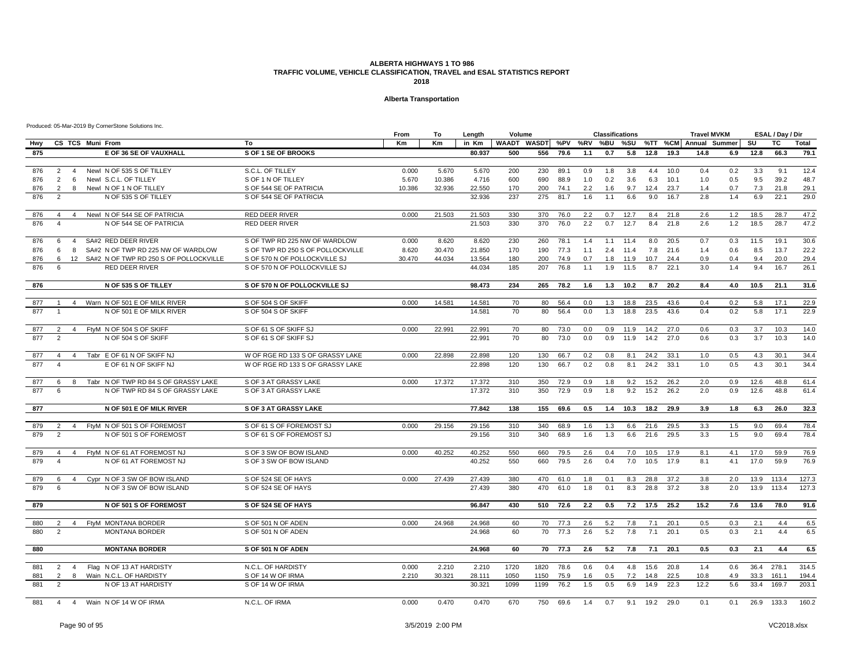#### **Alberta Transportation**

|     |                |                |                  |                                           |                                   | From   | То     | Length | Volume              |      |          |     | <b>Classifications</b> |      |      |      | <b>Travel MVKM</b>    |     |      | ESAL / Day / Dir |       |
|-----|----------------|----------------|------------------|-------------------------------------------|-----------------------------------|--------|--------|--------|---------------------|------|----------|-----|------------------------|------|------|------|-----------------------|-----|------|------------------|-------|
| Hwy |                |                | CS TCS Muni From |                                           | To                                | Кm     | Кm     | in Km  | WAADT WASDT %PV %RV |      |          |     | %BU                    | %SU  |      |      | %TT %CM Annual Summer |     | SU   | TC               | Total |
| 875 |                |                |                  | E OF 36 SE OF VAUXHALL                    | S OF 1 SE OF BROOKS               |        |        | 80.937 | 500                 |      | 556 79.6 | 1.1 | 0.7                    | 5.8  | 12.8 | 19.3 | 14.8                  | 6.9 | 12.8 | 66.3             | 79.1  |
|     |                |                |                  |                                           |                                   |        |        |        |                     |      |          |     |                        |      |      |      |                       |     |      |                  |       |
| 876 | 2              | $\overline{4}$ |                  | Newl N OF 535 S OF TILLEY                 | S.C.L. OF TILLEY                  | 0.000  | 5.670  | 5.670  | 200                 | 230  | 89.1     | 0.9 | 1.8                    | 3.8  | 4.4  | 10.0 | 0.4                   | 0.2 | 3.3  | 9.1              | 12.4  |
| 876 | 2              | 6              |                  | Newl S.C.L. OF TILLEY                     | S OF 1 N OF TILLEY                | 5.670  | 10.386 | 4.716  | 600                 | 690  | 88.9     | 1.0 | 0.2                    | 3.6  | 6.3  | 10.1 | 1.0                   | 0.5 | 9.5  | 39.2             | 48.7  |
| 876 | $\overline{2}$ | 8              |                  | Newl N OF 1 N OF TILLEY                   | S OF 544 SE OF PATRICIA           | 10.386 | 32.936 | 22.550 | 170                 | 200  | 74.1     | 2.2 | 1.6                    | 9.7  | 12.4 | 23.7 | 1.4                   | 0.7 | 7.3  | 21.8             | 29.1  |
| 876 | $\overline{2}$ |                |                  | N OF 535 S OF TILLEY                      | S OF 544 SE OF PATRICIA           |        |        | 32.936 | 237                 | 275  | 81.7     | 1.6 | 1.1                    | 6.6  | 9.0  | 16.7 | 2.8                   | 1.4 | 6.9  | 22.1             | 29.0  |
| 876 | $\overline{4}$ | $\overline{4}$ |                  | Newl N OF 544 SE OF PATRICIA              | RED DEER RIVER                    | 0.000  | 21.503 | 21.503 | 330                 | 370  | 76.0     | 2.2 | 0.7                    | 12.7 | 8.4  | 21.8 | 2.6                   | 1.2 | 18.5 | 28.7             | 47.2  |
| 876 | $\overline{4}$ |                |                  | N OF 544 SE OF PATRICIA                   | <b>RED DEER RIVER</b>             |        |        | 21.503 | 330                 | 370  | 76.0     | 2.2 | 0.7                    | 12.7 | 8.4  | 21.8 | 2.6                   | 1.2 | 18.5 | 28.7             | 47.2  |
|     |                |                |                  |                                           |                                   |        |        |        |                     |      |          |     |                        |      |      |      |                       |     |      |                  |       |
| 876 | 6              | $\overline{4}$ |                  | SA#2 RED DEER RIVER                       | S OF TWP RD 225 NW OF WARDLOW     | 0.000  | 8.620  | 8.620  | 230                 | 260  | 78.1     | 1.4 | 1.1                    | 11.4 | 8.0  | 20.5 | 0.7                   | 0.3 | 11.5 | 19.1             | 30.6  |
| 876 | 6              | 8              |                  | SA#2 N OF TWP RD 225 NW OF WARDLOW        | S OF TWP RD 250 S OF POLLOCKVILLE | 8.620  | 30.470 | 21.850 | 170                 | 190  | 77.3     | 1.1 | 2.4                    | 11.4 | 7.8  | 21.6 | 1.4                   | 0.6 | 8.5  | 13.7             | 22.2  |
| 876 | 6              |                |                  | 12 SA#2 N OF TWP RD 250 S OF POLLOCKVILLE | S OF 570 N OF POLLOCKVILLE SJ     | 30.470 | 44.034 | 13.564 | 180                 | 200  | 74.9     | 0.7 | 1.8                    | 11.9 | 10.7 | 24.4 | 0.9                   | 0.4 | 9.4  | 20.0             | 29.4  |
| 876 | 6              |                |                  | <b>RED DEER RIVER</b>                     | S OF 570 N OF POLLOCKVILLE SJ     |        |        | 44.034 | 185                 | 207  | 76.8     | 1.1 | 1.9                    | 11.5 | 8.7  | 22.1 | 3.0                   | 1.4 | 9.4  | 16.7             | 26.1  |
|     |                |                |                  |                                           |                                   |        |        |        |                     |      |          |     |                        |      |      |      |                       |     |      |                  |       |
| 876 |                |                |                  | N OF 535 S OF TILLEY                      | S OF 570 N OF POLLOCKVILLE SJ     |        |        | 98.473 | 234                 | 265  | 78.2     | 1.6 | 1.3                    | 10.2 | 8.7  | 20.2 | 8.4                   | 4.0 | 10.5 | 21.1             | 31.6  |
| 877 | $\overline{1}$ | $\overline{4}$ |                  | Warn N OF 501 E OF MILK RIVER             | S OF 504 S OF SKIFF               | 0.000  | 14.581 | 14.581 | 70                  | 80   | 56.4     | 0.0 | 1.3                    | 18.8 | 23.5 | 43.6 | 0.4                   | 0.2 | 5.8  | 17.1             | 22.9  |
| 877 |                |                |                  | N OF 501 E OF MILK RIVER                  | S OF 504 S OF SKIFF               |        |        | 14.581 | 70                  | 80   | 56.4     | 0.0 | 1.3                    | 18.8 | 23.5 | 43.6 | 0.4                   | 0.2 | 5.8  | 17.1             | 22.9  |
|     |                |                |                  |                                           |                                   |        |        |        |                     |      |          |     |                        |      |      |      |                       |     |      |                  |       |
| 877 | 2              | $\overline{4}$ |                  | FtvM N OF 504 S OF SKIFF                  | S OF 61 S OF SKIFF SJ             | 0.000  | 22.991 | 22.991 | 70                  | 80   | 73.0     | 0.0 | 0.9                    | 11.9 | 14.2 | 27.0 | 0.6                   | 0.3 | 3.7  | 10.3             | 14.0  |
| 877 | $\overline{2}$ |                |                  | N OF 504 S OF SKIFF                       | S OF 61 S OF SKIFF SJ             |        |        | 22.991 | 70                  | 80   | 73.0     | 0.0 | 0.9                    | 11.9 | 14.2 | 27.0 | 0.6                   | 0.3 | 3.7  | 10.3             | 14.0  |
| 877 | $\overline{4}$ | $\overline{4}$ |                  | Tabr E OF 61 N OF SKIFF NJ                | W OF RGE RD 133 S OF GRASSY LAKE  | 0.000  | 22.898 | 22.898 | 120                 | 130  | 66.7     | 0.2 | 0.8                    | 8.1  | 24.2 | 33.1 | 1.0                   | 0.5 | 4.3  | 30.1             | 34.4  |
| 877 | $\overline{a}$ |                |                  | E OF 61 N OF SKIFF NJ                     | W OF RGE RD 133 S OF GRASSY LAKE  |        |        | 22.898 | 120                 | 130  | 66.7     | 0.2 | 0.8                    | 8.1  | 24.2 | 33.1 | 1.0                   | 0.5 | 4.3  | 30.1             | 34.4  |
|     |                |                |                  |                                           |                                   |        |        |        |                     |      |          |     |                        |      |      |      |                       |     |      |                  |       |
| 877 | 6              | 8              |                  | Tabr N OF TWP RD 84 S OF GRASSY LAKE      | S OF 3 AT GRASSY LAKE             | 0.000  | 17.372 | 17.372 | 310                 | 350  | 72.9     | 0.9 | 1.8                    | 9.2  | 15.2 | 26.2 | 2.0                   | 0.9 | 12.6 | 48.8             | 61.4  |
| 877 | 6              |                |                  | N OF TWP RD 84 S OF GRASSY LAKE           | S OF 3 AT GRASSY LAKE             |        |        | 17.372 | 310                 | 350  | 72.9     | 0.9 | 1.8                    | 9.2  | 15.2 | 26.2 | 2.0                   | 0.9 | 12.6 | 48.8             | 61.4  |
|     |                |                |                  |                                           |                                   |        |        |        |                     |      |          |     |                        |      |      |      |                       |     |      |                  |       |
| 877 |                |                |                  | N OF 501 E OF MILK RIVER                  | <b>S OF 3 AT GRASSY LAKE</b>      |        |        | 77.842 | 138                 | 155  | 69.6     | 0.5 | 1.4                    | 10.3 | 18.2 | 29.9 | 3.9                   | 1.8 | 6.3  | 26.0             | 32.3  |
| 879 | 2              | $\overline{4}$ |                  | FtyM N OF 501 S OF FOREMOST               | S OF 61 S OF FOREMOST SJ          | 0.000  | 29.156 | 29.156 | 310                 | 340  | 68.9     | 1.6 | 1.3                    | 6.6  | 21.6 | 29.5 | 3.3                   | 1.5 | 9.0  | 69.4             | 78.4  |
| 879 | $\overline{2}$ |                |                  | N OF 501 S OF FOREMOST                    | S OF 61 S OF FOREMOST SJ          |        |        | 29.156 | 310                 | 340  | 68.9     | 1.6 | 1.3                    | 6.6  | 21.6 | 29.5 | 3.3                   | 1.5 | 9.0  | 69.4             | 78.4  |
|     |                |                |                  |                                           |                                   |        |        |        |                     |      |          |     |                        |      |      |      |                       |     |      |                  |       |
| 879 | $\overline{4}$ | 4              |                  | FtyM N OF 61 AT FOREMOST NJ               | S OF 3 SW OF BOW ISLAND           | 0.000  | 40.252 | 40.252 | 550                 | 660  | 79.5     | 2.6 | 0.4                    | 7.0  | 10.5 | 17.9 | 8.1                   | 4.1 | 17.0 | 59.9             | 76.9  |
| 879 | $\overline{4}$ |                |                  | N OF 61 AT FOREMOST NJ                    | S OF 3 SW OF BOW ISLAND           |        |        | 40.252 | 550                 | 660  | 79.5     | 2.6 | 0.4                    | 7.0  | 10.5 | 17.9 | 8.1                   | 4.1 | 17.0 | 59.9             | 76.9  |
|     |                |                |                  |                                           |                                   |        |        |        |                     |      |          |     |                        |      |      |      |                       |     |      |                  |       |
| 879 | 6              | $\overline{4}$ |                  | Cypr N OF 3 SW OF BOW ISLAND              | S OF 524 SE OF HAYS               | 0.000  | 27.439 | 27.439 | 380                 | 470  | 61.0     | 1.8 | 0.1                    | 8.3  | 28.8 | 37.2 | 3.8                   | 2.0 | 13.9 | 113.4            | 127.3 |
| 879 | 6              |                |                  | N OF 3 SW OF BOW ISLAND                   | S OF 524 SE OF HAYS               |        |        | 27.439 | 380                 | 470  | 61.0     | 1.8 | 0.1                    | 8.3  | 28.8 | 37.2 | 3.8                   | 2.0 | 13.9 | 113.4            | 127.3 |
| 879 |                |                |                  | N OF 501 S OF FOREMOST                    | S OF 524 SE OF HAYS               |        |        | 96.847 | 430                 | 510  | 72.6     | 2.2 | 0.5                    | 7.2  | 17.5 | 25.2 | 15.2                  | 7.6 | 13.6 | 78.0             | 91.6  |
|     |                |                |                  |                                           |                                   |        |        |        |                     |      |          |     |                        |      |      |      |                       |     |      |                  |       |
| 880 | $\overline{2}$ | $\overline{4}$ |                  | FtyM MONTANA BORDER                       | S OF 501 N OF ADEN                | 0.000  | 24.968 | 24.968 | 60                  | 70   | 77.3     | 2.6 | 5.2                    | 7.8  | 7.1  | 20.1 | 0.5                   | 0.3 | 2.1  | 4.4              | 6.5   |
| 880 | 2              |                |                  | <b>MONTANA BORDER</b>                     | S OF 501 N OF ADEN                |        |        | 24.968 | 60                  | 70   | 77.3     | 2.6 | 5.2                    | 7.8  | 7.1  | 20.1 | 0.5                   | 0.3 | 2.1  | 4.4              | 6.5   |
| 880 |                |                |                  | <b>MONTANA BORDER</b>                     | S OF 501 N OF ADEN                |        |        | 24.968 | 60                  | 70   | 77.3     | 2.6 | 5.2                    | 7.8  | 7.1  | 20.1 | 0.5                   | 0.3 | 2.1  | 4.4              | 6.5   |
|     |                |                |                  |                                           |                                   |        |        |        |                     |      |          |     |                        |      |      |      |                       |     |      |                  |       |
| 881 | 2              | $\overline{4}$ |                  | Flag N OF 13 AT HARDISTY                  | N.C.L. OF HARDISTY                | 0.000  | 2.210  | 2.210  | 1720                | 1820 | 78.6     | 0.6 | 0.4                    | 4.8  | 15.6 | 20.8 | 1.4                   | 0.6 | 36.4 | 278.1            | 314.5 |
| 881 | 2              | 8              |                  | Wain N.C.L. OF HARDISTY                   | S OF 14 W OF IRMA                 | 2.210  | 30.321 | 28.111 | 1050                | 1150 | 75.9     | 1.6 | 0.5                    | 7.2  | 14.8 | 22.5 | 10.8                  | 4.9 | 33.3 | 161.1            | 194.4 |
| 881 | 2              |                |                  | N OF 13 AT HARDISTY                       | S OF 14 W OF IRMA                 |        |        | 30.321 | 1099                | 1199 | 76.2     | 1.5 | 0.5                    | 6.9  | 14.9 | 22.3 | 12.2                  | 5.6 | 33.4 | 169.7            | 203.1 |
|     |                |                |                  |                                           |                                   |        |        |        |                     |      |          |     |                        |      |      |      |                       |     |      |                  |       |
| 881 | $\overline{4}$ | $\overline{4}$ |                  | Wain N OF 14 W OF IRMA                    | N.C.L. OF IRMA                    | 0.000  | 0.470  | 0.470  | 670                 | 750  | 69.6     | 1.4 | 0.7                    | 9.1  | 19.2 | 29.0 | 0.1                   | 0.1 | 26.9 | 133.3            | 160.2 |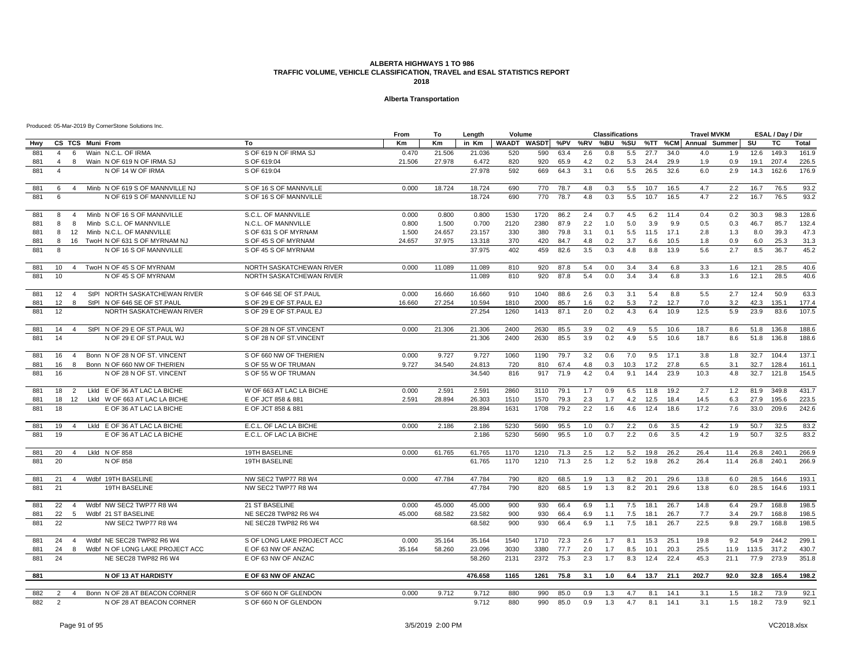#### **Alberta Transportation**

|            |                |                         |                                                         |                                                  | From   | To     | Length         | Volume       |                     |              |            | <b>Classifications</b> |            |            |            | <b>Travel MVKM</b>    |            |              | ESAL / Day / Dir |              |
|------------|----------------|-------------------------|---------------------------------------------------------|--------------------------------------------------|--------|--------|----------------|--------------|---------------------|--------------|------------|------------------------|------------|------------|------------|-----------------------|------------|--------------|------------------|--------------|
| Hwy        |                |                         | CS TCS Muni From                                        | To                                               | Кm     | Кm     | in Km          |              | WAADT WASDT %PV %RV |              |            | %BU                    | %SU        |            |            | %TT %CM Annual Summer |            | SU           | TC               | <b>Total</b> |
| 881        | $\overline{4}$ | 6                       | Wain N.C.L. OF IRMA                                     | S OF 619 N OF IRMA SJ                            | 0.470  | 21.506 | 21.036         | 520          | 590                 | 63.4         | 2.6        | 0.8                    | 5.5        | 27.7       | 34.0       | 4.0                   | 1.9        | 12.6         | 149.3            | 161.9        |
| 881        | $\overline{4}$ | 8                       | Wain N OF 619 N OF IRMA SJ                              | S OF 619:04                                      | 21.506 | 27.978 | 6.472          | 820          | 920                 | 65.9         | 4.2        | 0.2                    | 5.3        | 24.4       | 29.9       | 1.9                   | 0.9        | 19.1         | 207.4            | 226.5        |
| 881        | $\overline{4}$ |                         | N OF 14 W OF IRMA                                       | S OF 619:04                                      |        |        | 27.978         | 592          | 669                 | 64.3         | 3.1        | 0.6                    | 5.5        | 26.5       | 32.6       | 6.0                   | 2.9        | 14.3         | 162.6            | 176.9        |
|            |                |                         |                                                         |                                                  |        |        |                |              |                     |              |            |                        |            |            |            |                       |            |              |                  |              |
| 881        | 6              | $\overline{4}$          | Minb N OF 619 S OF MANNVILLE NJ                         | S OF 16 S OF MANNVILLE                           | 0.000  | 18.724 | 18.724         | 690          | 770                 | 78.7         | 4.8        | 0.3                    | 5.5        | 10.7       | 16.5       | 4.7                   | 2.2        | 16.7         | 76.5             | 93.2         |
| 881        | 6              |                         | N OF 619 S OF MANNVILLE NJ                              | S OF 16 S OF MANNVILLE                           |        |        | 18.724         | 690          | 770                 | 78.7         | 4.8        | 0.3                    | 5.5        | 10.7       | 16.5       | 4.7                   | 2.2        | 16.7         | 76.5             | 93.2         |
| 881        | 8              | $\overline{4}$          | Minb N OF 16 S OF MANNVILLE                             | S.C.L. OF MANNVILLE                              | 0.000  | 0.800  | 0.800          | 1530         | 1720                | 86.2         | 2.4        | 0.7                    | 4.5        | 6.2        | 11.4       | 0.4                   | 0.2        | 30.3         | 98.3             | 128.6        |
| 881        | 8              | 8                       | Minb S.C.L. OF MANNVILLE                                | N.C.L. OF MANNVILLE                              | 0.800  | 1.500  | 0.700          | 2120         | 2380                | 87.9         | 2.2        | 1.0                    | 5.0        | 3.9        | 9.9        | 0.5                   | 0.3        | 46.7         | 85.7             | 132.4        |
| 881        | 8              | 12                      | Minb N.C.L. OF MANNVILLE                                | S OF 631 S OF MYRNAM                             | 1.500  | 24.657 | 23.157         | 330          | 380                 | 79.8         | 3.1        | 0.1                    | 5.5        | 11.5       | 17.1       | 2.8                   | 1.3        | 8.0          | 39.3             | 47.3         |
| 881        | 8              |                         | 16 TwoH N OF 631 S OF MYRNAM NJ                         | S OF 45 S OF MYRNAM                              | 24.657 | 37.975 | 13.318         | 370          | 420                 | 84.7         | 4.8        | 0.2                    | 3.7        | 6.6        | 10.5       | 1.8                   | 0.9        | 6.0          | 25.3             | 31.3         |
| 881        | 8              |                         | N OF 16 S OF MANNVILLE                                  | S OF 45 S OF MYRNAM                              |        |        | 37.975         | 402          | 459                 | 82.6         | 3.5        | 0.3                    | 4.8        | 8.8        | 13.9       | 5.6                   | 2.7        | 8.5          | 36.7             | 45.2         |
| 881        | 10             | $\overline{4}$          | TwoH N OF 45 S OF MYRNAM                                | NORTH SASKATCHEWAN RIVER                         | 0.000  | 11.089 | 11.089         | 810          | 920                 | 87.8         | 5.4        | 0.0                    | 3.4        | 3.4        | 6.8        | 3.3                   | 1.6        | 12.1         | 28.5             | 40.6         |
| 881        | 10             |                         | N OF 45 S OF MYRNAM                                     | NORTH SASKATCHEWAN RIVER                         |        |        | 11.089         | 810          | 920                 | 87.8         | 5.4        | 0.0                    | 3.4        | 3.4        | 6.8        | 3.3                   | 1.6        | 12.1         | 28.5             | 40.6         |
|            |                |                         |                                                         |                                                  |        |        |                |              |                     |              |            |                        |            |            |            |                       |            |              |                  |              |
| 881        | 12             | $\overline{4}$          | StPI NORTH SASKATCHEWAN RIVER                           | S OF 646 SE OF ST.PAUL                           | 0.000  | 16.660 | 16.660         | 910          | 1040                | 88.6         | 2.6        | 0.3                    | 3.1        | 5.4        | 8.8        | 5.5                   | 2.7        | 12.4         | 50.9             | 63.3         |
| 881        | 12             | 8                       | StPI N OF 646 SE OF ST.PAUL                             | S OF 29 E OF ST.PAUL EJ                          | 16.660 | 27.254 | 10.594         | 1810         | 2000                | 85.7         | 1.6        | 0.2                    | 5.3        | 7.2        | 12.7       | 7.0                   | 3.2        | 42.3         | 135.1            | 177.4        |
| 881        | 12             |                         | NORTH SASKATCHEWAN RIVER                                | S OF 29 E OF ST.PAUL EJ                          |        |        | 27.254         | 1260         | 1413                | 87.1         | 2.0        | 0.2                    | 4.3        | 6.4        | 10.9       | 12.5                  | 5.9        | 23.9         | 83.6             | 107.5        |
| 881        | 14             |                         | StPI N OF 29 E OF ST.PAUL WJ                            | S OF 28 N OF ST.VINCENT                          | 0.000  | 21.306 | 21.306         | 2400         | 2630                | 85.5         | 3.9        | 0.2                    | 4.9        | 5.5        | 10.6       | 18.7                  | 8.6        | 51.8         | 136.8            | 188.6        |
| 881        | 14             |                         | N OF 29 E OF ST.PAUL WJ                                 | S OF 28 N OF ST.VINCENT                          |        |        | 21.306         | 2400         | 2630                | 85.5         | 3.9        | 0.2                    | 4.9        | 5.5        | 10.6       | 18.7                  | 8.6        | 51.8         | 136.8            | 188.6        |
|            |                |                         |                                                         |                                                  |        |        |                |              |                     |              |            |                        |            |            |            |                       |            |              |                  |              |
| 881        | 16             | $\overline{4}$          | Bonn N OF 28 N OF ST. VINCENT                           | S OF 660 NW OF THERIEN                           | 0.000  | 9.727  | 9.727          | 1060         | 1190                | 79.7         | 3.2        | 0.6                    | 7.0        | 9.5        | 17.1       | 3.8                   | 1.8        | 32.7         | 104.4            | 137.1        |
| 881        | 16             | 8                       | Bonn N OF 660 NW OF THERIEN                             | S OF 55 W OF TRUMAN                              | 9.727  | 34.540 | 24.813         | 720          | 810                 | 67.4         | 4.8        | 0.3                    | 10.3       | 17.2       | 27.8       | 6.5                   | 3.1        | 32.7         | 128.4            | 161.1        |
| 881        | 16             |                         | N OF 28 N OF ST. VINCENT                                | S OF 55 W OF TRUMAN                              |        |        | 34.540         | 816          | 917                 | 71.9         | 4.2        | 0.4                    | 9.1        | 14.4       | 23.9       | 10.3                  | 4.8        | 32.7         | 121.8            | 154.5        |
| 881        | 18             | 2                       | Lkid E OF 36 AT LAC LA BICHE                            | W OF 663 AT LAC LA BICHE                         | 0.000  | 2.591  | 2.591          | 2860         | 3110                | 79.1         | 1.7        | 0.9                    | 6.5        | 11.8       | 19.2       | 2.7                   | 1.2        | 81.9         | 349.8            | 431.7        |
| 881        | 18             | 12                      | LkId W OF 663 AT LAC LA BICHE                           | E OF JCT 858 & 881                               | 2.591  | 28.894 | 26.303         | 1510         | 1570                | 79.3         | 2.3        | 1.7                    | 4.2        | 12.5       | 18.4       | 14.5                  | 6.3        | 27.9         | 195.6            | 223.5        |
| 881        | 18             |                         | E OF 36 AT LAC LA BICHE                                 | E OF JCT 858 & 881                               |        |        | 28.894         | 1631         | 1708                | 79.2         | 2.2        | 1.6                    | 4.6        | 12.4       | 18.6       | 17.2                  | 7.6        | 33.0         | 209.6            | 242.6        |
|            |                |                         |                                                         |                                                  |        |        |                |              |                     |              |            |                        |            |            |            |                       |            |              |                  |              |
| 881<br>881 | 19<br>19       | 4                       | LkId E OF 36 AT LAC LA BICHE<br>E OF 36 AT LAC LA BICHE | E.C.L. OF LAC LA BICHE<br>E.C.L. OF LAC LA BICHE | 0.000  | 2.186  | 2.186<br>2.186 | 5230<br>5230 | 5690<br>5690        | 95.5<br>95.5 | 1.0<br>1.0 | 0.7<br>0.7             | 2.2<br>2.2 | 0.6<br>0.6 | 3.5<br>3.5 | 4.2<br>4.2            | 1.9<br>1.9 | 50.7<br>50.7 | 32.5<br>32.5     | 83.2<br>83.2 |
|            |                |                         |                                                         |                                                  |        |        |                |              |                     |              |            |                        |            |            |            |                       |            |              |                  |              |
| 881        | 20             | $\overline{4}$          | Lkld N OF 858                                           | <b>19TH BASELINE</b>                             | 0.000  | 61.765 | 61.765         | 1170         | 1210                | 71.3         | 2.5        | 1.2                    | 5.2        | 19.8       | 26.2       | 26.4                  | 11.4       | 26.8         | 240.1            | 266.9        |
| 881        | 20             |                         | N OF 858                                                | 19TH BASELINE                                    |        |        | 61.765         | 1170         | 1210                | 71.3         | 2.5        | 1.2                    | 5.2        | 19.8       | 26.2       | 26.4                  | 11.4       | 26.8         | 240.1            | 266.9        |
| 881        | 21             | $\overline{4}$          | Wdbf 19TH BASELINE                                      | NW SEC2 TWP77 R8 W4                              | 0.000  | 47.784 | 47.784         | 790          | 820                 | 68.5         | 1.9        | 1.3                    | 8.2        | 20.1       | 29.6       | 13.8                  | 6.0        | 28.5         | 164.6            | 193.1        |
| 881        | 21             |                         | <b>19TH BASELINE</b>                                    | NW SEC2 TWP77 R8 W4                              |        |        | 47.784         | 790          | 820                 | 68.5         | 1.9        | 1.3                    | 8.2        | 20.1       | 29.6       | 13.8                  | 6.0        | 28.5         | 164.6            | 193.1        |
|            |                |                         |                                                         |                                                  |        |        |                |              |                     |              |            |                        |            |            |            |                       |            |              |                  |              |
| 881        | 22             | $\overline{4}$          | Wdbf NW SEC2 TWP77 R8 W4                                | 21 ST BASELINE                                   | 0.000  | 45.000 | 45.000         | 900          | 930                 | 66.4         | 6.9        | 1.1                    | 7.5        | 18.1       | 26.7       | 14.8                  | 6.4        | 29.7         | 168.8            | 198.5        |
| 881        | 22             | 5                       | Wdbf 21 ST BASELINE                                     | NE SEC28 TWP82 R6 W4                             | 45.000 | 68.582 | 23.582         | 900          | 930                 | 66.4         | 6.9        | 1.1                    | 7.5        | 18.1       | 26.7       | 7.7                   | 3.4        | 29.7         | 168.8            | 198.5        |
| 881        | 22             |                         | NW SEC2 TWP77 R8 W4                                     | NE SEC28 TWP82 R6 W4                             |        |        | 68.582         | 900          | 930                 | 66.4         | 6.9        | 1.1                    | 7.5        | 18.1       | 26.7       | 22.5                  | 9.8        | 29.7         | 168.8            | 198.5        |
| 881        | 24             | $\overline{4}$          | Wdbf NE SEC28 TWP82 R6 W4                               | S OF LONG LAKE PROJECT ACC                       | 0.000  | 35.164 | 35.164         | 1540         | 1710                | 72.3         | 2.6        | 1.7                    | 8.1        | 15.3       | 25.1       | 19.8                  | 9.2        | 54.9         | 244.2            | 299.1        |
| 881        | 24             | 8                       | Wdbf N OF LONG LAKE PROJECT ACC                         | E OF 63 NW OF ANZAC                              | 35.164 | 58.260 | 23.096         | 3030         | 3380                | 77.7         | 2.0        | 1.7                    | 8.5        | 10.1       | 20.3       | 25.5                  | 11.9       | 113.5        | 317.2            | 430.7        |
| 881        | 24             |                         | NE SEC28 TWP82 R6 W4                                    | E OF 63 NW OF ANZAC                              |        |        | 58.260         | 2131         | 2372                | 75.3         | 2.3        | 1.7                    | 8.3        | 12.4       | 22.4       | 45.3                  | 21.1       | 77.9         | 273.9            | 351.8        |
| 881        |                |                         | N OF 13 AT HARDISTY                                     | E OF 63 NW OF ANZAC                              |        |        | 476.658        | 1165         | 1261                | 75.8         | 3.1        | 1.0                    | 6.4        | 13.7       | 21.1       | 202.7                 | 92.0       | 32.8         | 165.4            | 198.2        |
|            |                |                         |                                                         |                                                  |        |        |                |              |                     |              |            |                        |            |            |            |                       |            |              |                  |              |
| 882        | $\overline{2}$ | $\overline{\mathbf{A}}$ | Bonn N OF 28 AT BEACON CORNER                           | S OF 660 N OF GLENDON                            | 0.000  | 9.712  | 9.712          | 880          | 990                 | 85.0         | 0.9        | 1.3                    | 4.7        | 8.1        | 14.1       | 3.1                   | 1.5        | 18.2         | 73.9             | 92.1         |
| 882        | $\overline{2}$ |                         | N OF 28 AT BEACON CORNER                                | S OF 660 N OF GLENDON                            |        |        | 9.712          | 880          | 990                 | 85.0         | 0.9        | 1.3                    | 4.7        | 8.1        | 14.1       | 3.1                   | 1.5        | 18.2         | 73.9             | 92.1         |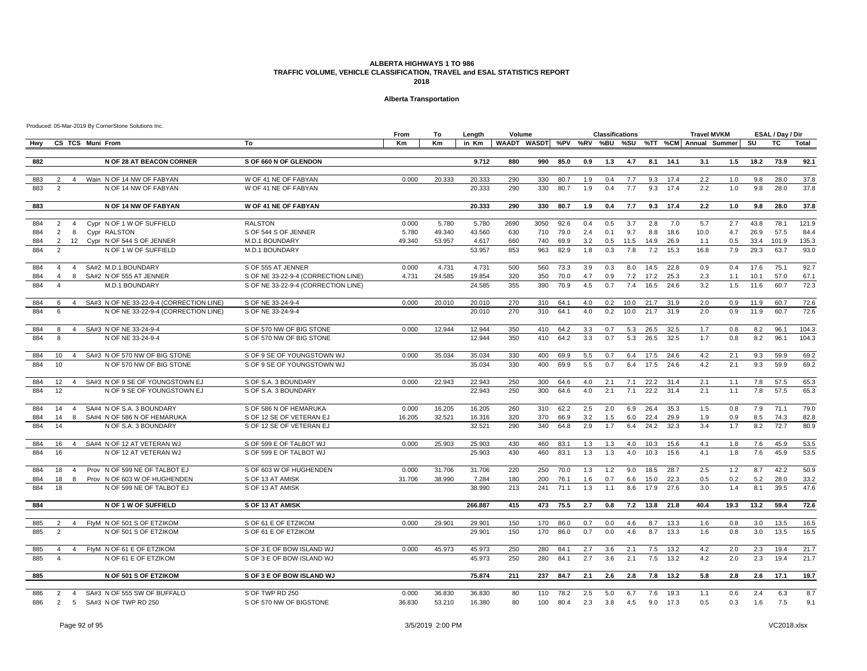#### **Alberta Transportation**

|     |                         |                |                                          |                                     | From   | To     | Length  | Volume |      |      |     | <b>Classifications</b> |      |      |      | <b>Travel MVKM</b> |                                                   |      | ESAL / Day / Dir |              |
|-----|-------------------------|----------------|------------------------------------------|-------------------------------------|--------|--------|---------|--------|------|------|-----|------------------------|------|------|------|--------------------|---------------------------------------------------|------|------------------|--------------|
| Hwy |                         |                | CS TCS Muni From                         | To                                  | Km     | Кm     | in Km   |        |      |      |     |                        |      |      |      |                    | WAADT WASDT %PV %RV %BU %SU %TT %CM Annual Summer | SU   | тс               | <b>Total</b> |
| 882 |                         |                | N OF 28 AT BEACON CORNER                 | S OF 660 N OF GLENDON               |        |        | 9.712   | 880    | 990  | 85.0 | 0.9 | 1.3                    | 4.7  | 8.1  | 14.1 | 3.1                | 1.5                                               | 18.2 | 73.9             | 92.1         |
| 883 | 2                       | $\overline{4}$ | Wain N OF 14 NW OF FABYAN                | W OF 41 NE OF FABYAN                | 0.000  | 20.333 | 20.333  | 290    | 330  | 80.7 | 1.9 | 0.4                    | 7.7  | 9.3  | 17.4 | 2.2                | 1.0                                               | 9.8  | 28.0             | 37.8         |
| 883 | 2                       |                | N OF 14 NW OF FABYAN                     | W OF 41 NE OF FABYAN                |        |        | 20.333  | 290    | 330  | 80.7 | 1.9 | 0.4                    | 7.7  | 9.3  | 17.4 | 2.2                | 1.0                                               | 9.8  | 28.0             | 37.8         |
| 883 |                         |                | N OF 14 NW OF FABYAN                     | W OF 41 NE OF FABYAN                |        |        | 20.333  | 290    | 330  | 80.7 | 1.9 | 0.4                    | 7.7  | 9.3  | 17.4 | 2.2                | 1.0                                               | 9.8  | 28.0             | 37.8         |
| 884 | $\overline{2}$          | $\overline{4}$ | Cypr N OF 1 W OF SUFFIELD                | <b>RALSTON</b>                      | 0.000  | 5.780  | 5.780   | 2690   | 3050 | 92.6 | 0.4 | 0.5                    | 3.7  | 2.8  | 7.0  | 5.7                | 2.7                                               | 43.8 | 78.1             | 121.9        |
| 884 | 2                       | 8              | Cypr RALSTON                             | S OF 544 S OF JENNER                | 5.780  | 49.340 | 43.560  | 630    | 710  | 79.0 | 2.4 | 0.1                    | 9.7  | 8.8  | 18.6 | 10.0               | 4.7                                               | 26.9 | 57.5             | 84.4         |
| 884 | 2                       |                | 12 Cypr N OF 544 S OF JENNER             | M.D.1 BOUNDARY                      | 49.340 | 53.957 | 4.617   | 660    | 740  | 69.9 | 3.2 | 0.5                    | 11.5 | 14.9 | 26.9 | 1.1                | 0.5                                               | 33.4 | 101.9            | 135.3        |
| 884 | 2                       |                | N OF 1 W OF SUFFIELD                     | M.D.1 BOUNDARY                      |        |        | 53.957  | 853    | 963  | 82.9 | 1.8 | 0.3                    | 7.8  | 7.2  | 15.3 | 16.8               | 7.9                                               | 29.3 | 63.7             | 93.0         |
| 884 | $\overline{4}$          | $\overline{4}$ | SA#2 M.D.1 BOUNDARY                      | S OF 555 AT JENNER                  | 0.000  | 4.731  | 4.731   | 500    | 560  | 73.3 | 3.9 | 0.3                    | 8.0  | 14.5 | 22.8 | 0.9                | 0.4                                               | 17.6 | 75.1             | 92.7         |
| 884 | $\overline{4}$          | 8              | SA#2 N OF 555 AT JENNER                  | S OF NE 33-22-9-4 (CORRECTION LINE) | 4.731  | 24.585 | 19.854  | 320    | 350  | 70.0 | 4.7 | 0.9                    | 7.2  | 17.2 | 25.3 | 2.3                | 1.1                                               | 10.1 | 57.0             | 67.1         |
| 884 | $\overline{4}$          |                | M.D.1 BOUNDARY                           | S OF NE 33-22-9-4 (CORRECTION LINE) |        |        | 24.585  | 355    | 390  | 70.9 | 4.5 | 0.7                    | 7.4  | 16.5 | 24.6 | 3.2                | 1.5                                               | 11.6 | 60.7             | 72.3         |
| 884 | 6                       | $\overline{4}$ | SA#3 N OF NE 33-22-9-4 (CORRECTION LINE) | S OF NE 33-24-9-4                   | 0.000  | 20.010 | 20.010  | 270    | 310  | 64.1 | 4.0 | 0.2                    | 10.0 | 21.7 | 31.9 | 2.0                | 0.9                                               | 11.9 | 60.7             | 72.6         |
| 884 | 6                       |                | N OF NE 33-22-9-4 (CORRECTION LINE)      | S OF NE 33-24-9-4                   |        |        | 20.010  | 270    | 310  | 64.1 | 4.0 | 0.2                    | 10.0 | 21.7 | 31.9 | 2.0                | 0.9                                               | 11.9 | 60.7             | 72.6         |
| 884 | 8                       | 4              | SA#3 N OF NE 33-24-9-4                   | S OF 570 NW OF BIG STONE            | 0.000  | 12.944 | 12.944  | 350    | 410  | 64.2 | 3.3 | 0.7                    | 5.3  | 26.5 | 32.5 | 1.7                | 0.8                                               | 8.2  | 96.1             | 104.3        |
| 884 | $\mathsf{R}$            |                | N OF NE 33-24-9-4                        | S OF 570 NW OF BIG STONE            |        |        | 12.944  | 350    | 410  | 64.2 | 3.3 | 0.7                    | 5.3  | 26.5 | 32.5 | 1.7                | 0.8                                               | 8.2  | 96.1             | 104.3        |
| 884 | 10 <sup>°</sup>         | $\overline{a}$ | SA#3 N OF 570 NW OF BIG STONE            | S OF 9 SE OF YOUNGSTOWN WJ          | 0.000  | 35.034 | 35.034  | 330    | 400  | 69.9 | 5.5 | 0.7                    | 6.4  | 17.5 | 24.6 | 4.2                | 2.1                                               | 9.3  | 59.9             | 69.2         |
| 884 | 10                      |                | N OF 570 NW OF BIG STONE                 | S OF 9 SE OF YOUNGSTOWN WJ          |        |        | 35.034  | 330    | 400  | 69.9 | 5.5 | 0.7                    | 6.4  | 17.5 | 24.6 | 4.2                | 2.1                                               | 9.3  | 59.9             | 69.2         |
| 884 | 12                      | $\overline{4}$ | SA#3 N OF 9 SE OF YOUNGSTOWN EJ          | S OF S.A. 3 BOUNDARY                | 0.000  | 22.943 | 22.943  | 250    | 300  | 64.6 | 4.0 | 2.1                    | 7.1  | 22.2 | 31.4 | 2.1                | 1.1                                               | 7.8  | 57.5             | 65.3         |
| 884 | 12                      |                | N OF 9 SE OF YOUNGSTOWN EJ               | S OF S.A. 3 BOUNDARY                |        |        | 22.943  | 250    | 300  | 64.6 | 4.0 | 2.1                    | 7.1  | 22.2 | 31.4 | 2.1                | 1.1                                               | 7.8  | 57.5             | 65.3         |
| 884 | 14                      | $\overline{4}$ | SA#4 N OF S.A. 3 BOUNDARY                | S OF 586 N OF HEMARUKA              | 0.000  | 16.205 | 16.205  | 260    | 310  | 62.2 | 2.5 | 2.0                    | 6.9  | 26.4 | 35.3 | 1.5                | 0.8                                               | 7.9  | 71.1             | 79.0         |
| 884 | 14                      | 8              | SA#4 N OF 586 N OF HEMARUKA              | S OF 12 SE OF VETERAN EJ            | 16.205 | 32.521 | 16.316  | 320    | 370  | 66.9 | 3.2 | 1.5                    | 6.0  | 22.4 | 29.9 | 1.9                | 0.9                                               | 8.5  | 74.3             | 82.8         |
| 884 | 14                      |                | N OF S.A. 3 BOUNDARY                     | S OF 12 SE OF VETERAN EJ            |        |        | 32.521  | 290    | 340  | 64.8 | 2.9 | 1.7                    | 6.4  | 24.2 | 32.3 | 3.4                | 1.7                                               | 8.2  | 72.7             | 80.9         |
| 884 | 16                      |                | SA#4 N OF 12 AT VETERAN WJ               | S OF 599 E OF TALBOT WJ             | 0.000  | 25.903 | 25.903  | 430    | 460  | 83.1 | 1.3 | 1.3                    | 4.0  | 10.3 | 15.6 | 4.1                | 1.8                                               | 7.6  | 45.9             | 53.5         |
| 884 | 16                      |                | N OF 12 AT VETERAN WJ                    | S OF 599 E OF TALBOT WJ             |        |        | 25.903  | 430    | 460  | 83.1 | 1.3 | 1.3                    | 4.0  | 10.3 | 15.6 | 4.1                | 1.8                                               | 7.6  | 45.9             | 53.5         |
| 884 | 18                      | $\mathbf{A}$   | Prov N OF 599 NE OF TALBOT EJ            | S OF 603 W OF HUGHENDEN             | 0.000  | 31.706 | 31.706  | 220    | 250  | 70.0 | 1.3 | 1.2                    | 9.0  | 18.5 | 28.7 | 2.5                | 1.2                                               | 8.7  | 42.2             | 50.9         |
| 884 | 18                      |                | 8 Prov N OF 603 W OF HUGHENDEN           | S OF 13 AT AMISK                    | 31.706 | 38.990 | 7.284   | 180    | 200  | 76.1 | 1.6 | 0.7                    | 6.6  | 15.0 | 22.3 | 0.5                | 0.2                                               | 5.2  | 28.0             | 33.2         |
| 884 | 18                      |                | N OF 599 NE OF TALBOT EJ                 | S OF 13 AT AMISK                    |        |        | 38.990  | 213    | 241  | 71.1 | 1.3 | 1.1                    | 8.6  | 17.9 | 27.6 | 3.0                | 1.4                                               | 8.1  | 39.5             | 47.6         |
| 884 |                         |                | N OF 1 W OF SUFFIELD                     | S OF 13 AT AMISK                    |        |        | 266.887 | 415    | 473  | 75.5 | 2.7 | 0.8                    | 7.2  | 13.8 | 21.8 | 40.4               | 19.3                                              | 13.2 | 59.4             | 72.6         |
| 885 | 2                       | $\overline{4}$ | FtvM N OF 501 S OF ETZIKOM               | S OF 61 E OF ETZIKOM                | 0.000  | 29,901 | 29,901  | 150    | 170  | 86.0 | 0.7 | 0.0                    | 4.6  | 8.7  | 13.3 | 1.6                | 0.8                                               | 3.0  | 13.5             | 16.5         |
| 885 | $\overline{2}$          |                | N OF 501 S OF ETZIKOM                    | S OF 61 E OF ETZIKOM                |        |        | 29.901  | 150    | 170  | 86.0 | 0.7 | 0.0                    | 4.6  | 8.7  | 13.3 | 1.6                | 0.8                                               | 3.0  | 13.5             | 16.5         |
| 885 | $\overline{4}$          | $\overline{4}$ | FtyM N OF 61 E OF ETZIKOM                | S OF 3 E OF BOW ISLAND WJ           | 0.000  | 45.973 | 45.973  | 250    | 280  | 84.1 | 2.7 | 3.6                    | 2.1  | 7.5  | 13.2 | 4.2                | 2.0                                               | 2.3  | 19.4             | 21.7         |
| 885 | $\overline{\mathbf{4}}$ |                | N OF 61 E OF ETZIKOM                     | S OF 3 E OF BOW ISLAND WJ           |        |        | 45.973  | 250    | 280  | 84.1 | 2.7 | 3.6                    | 2.1  | 7.5  | 13.2 | 4.2                | 2.0                                               | 2.3  | 19.4             | 21.7         |
| 885 |                         |                | N OF 501 S OF ETZIKOM                    | S OF 3 E OF BOW ISLAND WJ           |        |        | 75.874  | 211    | 237  | 84.7 | 2.1 | 2.6                    | 2.8  | 7.8  | 13.2 | 5.8                | 2.8                                               | 2.6  | 17.1             | 19.7         |
| 886 | 2                       | $\overline{4}$ | SA#3 N OF 555 SW OF BUFFALO              | S OF TWP RD 250                     | 0.000  | 36.830 | 36.830  | 80     | 110  | 78.2 | 2.5 | 5.0                    | 6.7  | 7.6  | 19.3 | 1.1                | 0.6                                               | 2.4  | 6.3              | 8.7          |
| 886 | $\overline{2}$          | 5              | SA#3 N OF TWP RD 250                     | S OF 570 NW OF BIGSTONE             | 36.830 | 53.210 | 16.380  | 80     | 100  | 80.4 | 2.3 | 3.8                    | 4.5  | 9.0  | 17.3 | 0.5                | 0.3                                               | 1.6  | 7.5              | 9.1          |
|     |                         |                |                                          |                                     |        |        |         |        |      |      |     |                        |      |      |      |                    |                                                   |      |                  |              |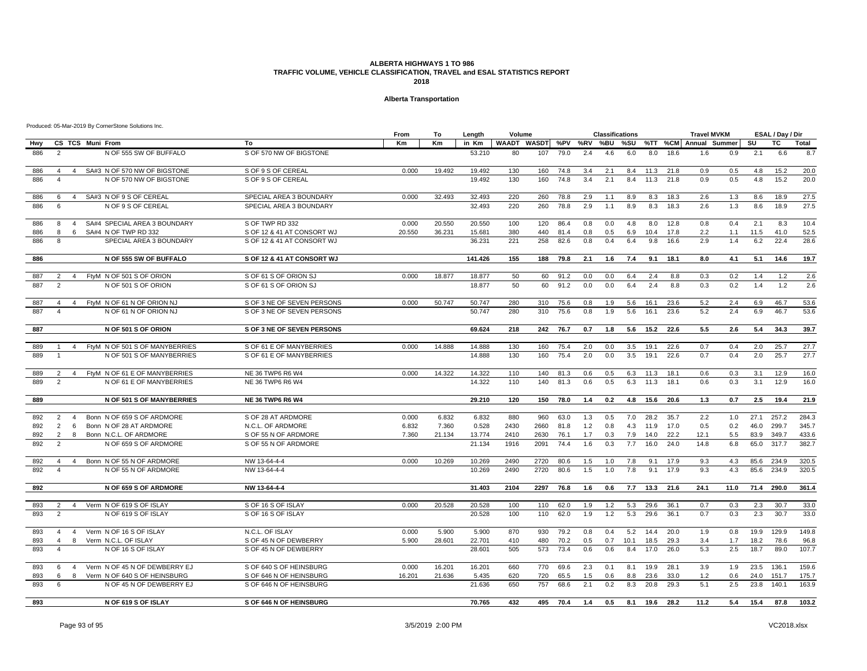#### **Alberta Transportation**

|            |                                  |                                                          |                                                    | From   | То     | Length          | Volume     |                    |              |            | <b>Classifications</b> |            |              |              | <b>Travel MVKM</b> |            |              | ESAL / Day / Dir |                |
|------------|----------------------------------|----------------------------------------------------------|----------------------------------------------------|--------|--------|-----------------|------------|--------------------|--------------|------------|------------------------|------------|--------------|--------------|--------------------|------------|--------------|------------------|----------------|
| Hwy        |                                  | CS TCS Muni From                                         | To                                                 | Km     | Κm     | in Km           |            | <b>WAADT WASDT</b> | %PV          | %RV        | %BU                    | %SU        |              | %TT %CM      | Annual Summer      |            | SU           | тc               | <b>Total</b>   |
| 886        | $\overline{2}$                   | N OF 555 SW OF BUFFALO                                   | S OF 570 NW OF BIGSTONE                            |        |        | 53.210          | 80         | 107                | 79.0         | 2.4        | 4.6                    | 6.0        | 8.0          | 18.6         | 1.6                | 0.9        | 2.1          | 6.6              | 8.7            |
| 886        | $\overline{4}$                   | SA#3 N OF 570 NW OF BIGSTONE<br>$\overline{4}$           | S OF 9 S OF CEREAL                                 | 0.000  | 19.492 | 19.492          | 130        | 160                | 74.8         | 3.4        | 2.1                    | 8.4        | 11.3         | 21.8         | 0.9                | 0.5        | 4.8          | 15.2             | 20.0           |
| 886        | $\overline{\mathbf{4}}$          | N OF 570 NW OF BIGSTONE                                  | S OF 9 S OF CEREAL                                 |        |        | 19.492          | 130        | 160                | 74.8         | 3.4        | 2.1                    | 8.4        | 11.3         | 21.8         | 0.9                | 0.5        | 4.8          | 15.2             | 20.0           |
| 886        | 6<br>4                           | SA#3 N OF 9 S OF CEREAL                                  | SPECIAL AREA 3 BOUNDARY                            | 0.000  | 32.493 | 32.493          | 220        | 260                | 78.8         | 2.9        | 1.1                    | 8.9        | 8.3          | 18.3         | 2.6                | 1.3        | 8.6          | 18.9             | 27.5           |
| 886        | 6                                | N OF 9 S OF CEREAL                                       | SPECIAL AREA 3 BOUNDARY                            |        |        | 32.493          | 220        | 260                | 78.8         | 2.9        | 1.1                    | 8.9        | 8.3          | 18.3         | 2.6                | 1.3        | 8.6          | 18.9             | 27.5           |
| 886        | 8<br>$\overline{4}$              | SA#4 SPECIAL AREA 3 BOUNDARY                             | S OF TWP RD 332                                    | 0.000  | 20.550 | 20.550          | 100        | 120                | 86.4         | 0.8        | 0.0                    | 4.8        | 8.0          | 12.8         | 0.8                | 0.4        | 2.1          | 8.3              | 10.4           |
| 886        | 8                                | SA#4 N OF TWP RD 332<br>6                                | S OF 12 & 41 AT CONSORT WJ                         | 20.550 | 36.231 | 15.681          | 380        | 440                | 81.4         | 0.8        | 0.5                    | 6.9        | 10.4         | 17.8         | 2.2                | 1.1        | 11.5         | 41.0             | 52.5           |
| 886        | 8                                | SPECIAL AREA 3 BOUNDARY                                  | S OF 12 & 41 AT CONSORT WJ                         |        |        | 36.231          | 221        | 258                | 82.6         | 0.8        | 0.4                    | 6.4        | 9.8          | 16.6         | 2.9                | 1.4        | 6.2          | 22.4             | 28.6           |
| 886        |                                  | N OF 555 SW OF BUFFALO                                   | S OF 12 & 41 AT CONSORT WJ                         |        |        | 141.426         | 155        | 188                | 79.8         | 2.1        | 1.6                    | 7.4        | 9.1          | 18.1         | 8.0                | 4.1        | 5.1          | 14.6             | 19.7           |
| 887        | 2<br>$\overline{4}$              | FtyM N OF 501 S OF ORION                                 | S OF 61 S OF ORION SJ                              | 0.000  | 18.877 | 18.877          | 50         | 60                 | 91.2         | 0.0        | 0.0                    | 6.4        | 2.4          | 8.8          | 0.3                | 0.2        | 1.4          | 1.2              | 2.6            |
| 887        | 2                                | N OF 501 S OF ORION                                      | S OF 61 S OF ORION SJ                              |        |        | 18.877          | 50         | 60                 | 91.2         | 0.0        | 0.0                    | 6.4        | 2.4          | 8.8          | 0.3                | 0.2        | 1.4          | 1.2              | 2.6            |
| 887        | $\overline{4}$<br>$\overline{4}$ | FtyM N OF 61 N OF ORION NJ                               | S OF 3 NE OF SEVEN PERSONS                         | 0.000  | 50.747 | 50.747          | 280        | 310                | 75.6         | 0.8        | 1.9                    | 5.6        | 16.1         | 23.6         | 5.2                | 2.4        | 6.9          | 46.7             | 53.6           |
| 887        | $\overline{a}$                   | N OF 61 N OF ORION NJ                                    | S OF 3 NE OF SEVEN PERSONS                         |        |        | 50.747          | 280        | 310                | 75.6         | 0.8        | 1.9                    | 5.6        | 16.1         | 23.6         | 5.2                | 2.4        | 6.9          | 46.7             | 53.6           |
| 887        |                                  | N OF 501 S OF ORION                                      | S OF 3 NE OF SEVEN PERSONS                         |        |        | 69.624          | 218        | 242                | 76.7         | 0.7        | 1.8                    | 5.6        | 15.2         | 22.6         | 5.5                | 2.6        | 5.4          | 34.3             | 39.7           |
| 889        | $\mathbf{1}$<br>$\overline{4}$   | FtyM N OF 501 S OF MANYBERRIES                           | S OF 61 E OF MANYBERRIES                           | 0.000  | 14.888 | 14.888          | 130        | 160                | 75.4         | 2.0        | 0.0                    | 3.5        | 19.1         | 22.6         | 0.7                | 0.4        | 2.0          | 25.7             | 27.7           |
| 889        |                                  | N OF 501 S OF MANYBERRIES                                | S OF 61 E OF MANYBERRIES                           |        |        | 14.888          | 130        | 160                | 75.4         | 2.0        | 0.0                    | 3.5        | 19.1         | 22.6         | 0.7                | 0.4        | 2.0          | 25.7             | 27.7           |
| 889        | 2<br>$\overline{4}$              | FtyM N OF 61 E OF MANYBERRIES                            | NE 36 TWP6 R6 W4                                   | 0.000  | 14.322 | 14.322          | 110        | 140                | 81.3         | 0.6        | 0.5                    | 6.3        | 11.3         | 18.1         | 0.6                | 0.3        | 3.1          | 12.9             | 16.0           |
| 889        | $\overline{2}$                   | N OF 61 E OF MANYBERRIES                                 | NE 36 TWP6 R6 W4                                   |        |        | 14.322          | 110        | 140                | 81.3         | 0.6        | 0.5                    | 6.3        | 11.3         | 18.1         | 0.6                | 0.3        | 3.1          | 12.9             | 16.0           |
| 889        |                                  | N OF 501 S OF MANYBERRIES                                | <b>NE 36 TWP6 R6 W4</b>                            |        |        | 29.210          | 120        | 150                | 78.0         | 1.4        | 0.2                    | 4.8        | 15.6         | 20.6         | 1.3                | 0.7        | 2.5          | 19.4             | 21.9           |
| 892        | 2<br>$\overline{4}$              | Bonn N OF 659 S OF ARDMORE                               | S OF 28 AT ARDMORE                                 | 0.000  | 6.832  | 6.832           | 880        | 960                | 63.0         | 1.3        | 0.5                    | 7.0        | 28.2         | 35.7         | 2.2                | 1.0        | 27.1         | 257.2            | 284.3          |
| 892        | 2<br>6                           | Bonn N OF 28 AT ARDMORE                                  | N.C.L. OF ARDMORE                                  | 6.832  | 7.360  | 0.528           | 2430       | 2660               | 81.8         | 1.2        | 0.8                    | 4.3        | 11.9         | 17.0         | 0.5                | 0.2        | 46.0         | 299.7            | 345.7          |
| 892        | 2<br>8                           | Bonn N.C.L. OF ARDMORE                                   | S OF 55 N OF ARDMORE                               | 7.360  | 21.134 | 13.774          | 2410       | 2630               | 76.1         | 1.7        | 0.3                    | 7.9        | 14.0         | 22.2         | 12.1               | 5.5        | 83.9         | 349.7            | 433.6          |
| 892        | $\overline{2}$                   | N OF 659 S OF ARDMORE                                    | S OF 55 N OF ARDMORE                               |        |        | 21.134          | 1916       | 2091               | 74.4         | 1.6        | 0.3                    | 7.7        | 16.0         | 24.0         | 14.8               | 6.8        | 65.0         | 317.7            | 382.7          |
| 892        | $\overline{4}$                   | Bonn N OF 55 N OF ARDMORE<br>4                           | NW 13-64-4-4                                       | 0.000  | 10.269 | 10.269          | 2490       | 2720               | 80.6         | 1.5        | 1.0                    | 7.8        | 9.1          | 17.9         | 9.3                | 4.3        | 85.6         | 234.9            | 320.5          |
| 892        | $\boldsymbol{\Lambda}$           | N OF 55 N OF ARDMORE                                     | NW 13-64-4-4                                       |        |        | 10.269          | 2490       | 2720               | 80.6         | 1.5        | 1.0                    | 7.8        | 9.1          | 17.9         | 9.3                | 4.3        | 85.6         | 234.9            | 320.5          |
| 892        |                                  | N OF 659 S OF ARDMORE                                    | NW 13-64-4-4                                       |        |        | 31.403          | 2104       | 2297               | 76.8         | 1.6        | 0.6                    | 7.7        | 13.3         | 21.6         | 24.1               | 11.0       | 71.4         | 290.0            | 361.4          |
| 893        | 2                                | Verm N OF 619 S OF ISLAY<br>$\overline{4}$               | S OF 16 S OF ISLAY                                 | 0.000  | 20.528 | 20.528          | 100        | 110                | 62.0         | 1.9        | 1.2                    | 5.3        | 29.6         | 36.1         | 0.7                | 0.3        | 2.3          | 30.7             | 33.0           |
| 893        | $\overline{2}$                   | N OF 619 S OF ISLAY                                      | S OF 16 S OF ISLAY                                 |        |        | 20.528          | 100        | 110                | 62.0         | 1.9        | 1.2                    | 5.3        | 29.6         | 36.1         | 0.7                | 0.3        | 2.3          | 30.7             | 33.0           |
| 893        | $\overline{4}$<br>$\overline{4}$ | Verm N OF 16 S OF ISLAY                                  | N.C.L. OF ISLAY                                    | 0.000  | 5.900  | 5.900           | 870        | 930                | 79.2         | 0.8        | 0.4                    | 5.2        | 14.4         | 20.0         | 1.9                | 0.8        | 19.9         | 129.9            | 149.8          |
| 893        | $\overline{\mathbf{4}}$<br>8     | Verm N.C.L. OF ISLAY                                     | S OF 45 N OF DEWBERRY                              | 5.900  | 28.601 | 22.701          | 410        | 480                | 70.2         | 0.5        | 0.7                    | 10.1       | 18.5         | 29.3         | 3.4                | 1.7        | 18.2         | 78.6             | 96.8           |
| 893        | $\overline{\mathbf{4}}$          | N OF 16 S OF ISLAY                                       | S OF 45 N OF DEWBERRY                              |        |        | 28.601          | 505        | 573                | 73.4         | 0.6        | 0.6                    | 8.4        | 17.0         | 26.0         | 5.3                | 2.5        | 18.7         | 89.0             | 107.7          |
| 893        | 6<br>$\overline{4}$              | Verm N OF 45 N OF DEWBERRY EJ                            | S OF 640 S OF HEINSBURG                            | 0.000  | 16.201 | 16.201          | 660        | 770                | 69.6         | 2.3        | 0.1                    | 8.1        | 19.9         | 28.1         | 3.9                | 1.9        | 23.5         | 136.1            | 159.6          |
| 893<br>893 | 6<br>8<br>6                      | Verm N OF 640 S OF HEINSBURG<br>N OF 45 N OF DEWBERRY EJ | S OF 646 N OF HEINSBURG<br>S OF 646 N OF HEINSBURG | 16.201 | 21.636 | 5.435<br>21.636 | 620<br>650 | 720<br>757         | 65.5<br>68.6 | 1.5<br>2.1 | 0.6<br>0.2             | 8.8<br>8.3 | 23.6<br>20.8 | 33.0<br>29.3 | 1.2<br>5.1         | 0.6<br>2.5 | 24.0<br>23.8 | 151.7<br>140.1   | 175.7<br>163.9 |
|            |                                  |                                                          |                                                    |        |        |                 |            |                    |              |            |                        |            |              |              |                    |            |              |                  |                |
| 893        |                                  | N OF 619 S OF ISLAY                                      | S OF 646 N OF HEINSBURG                            |        |        | 70.765          | 432        | 495                | 70.4         | 1.4        | 0.5                    | 8.1        | 19.6         | 28.2         | 11.2               | 5.4        | 15.4         | 87.8             | 103.2          |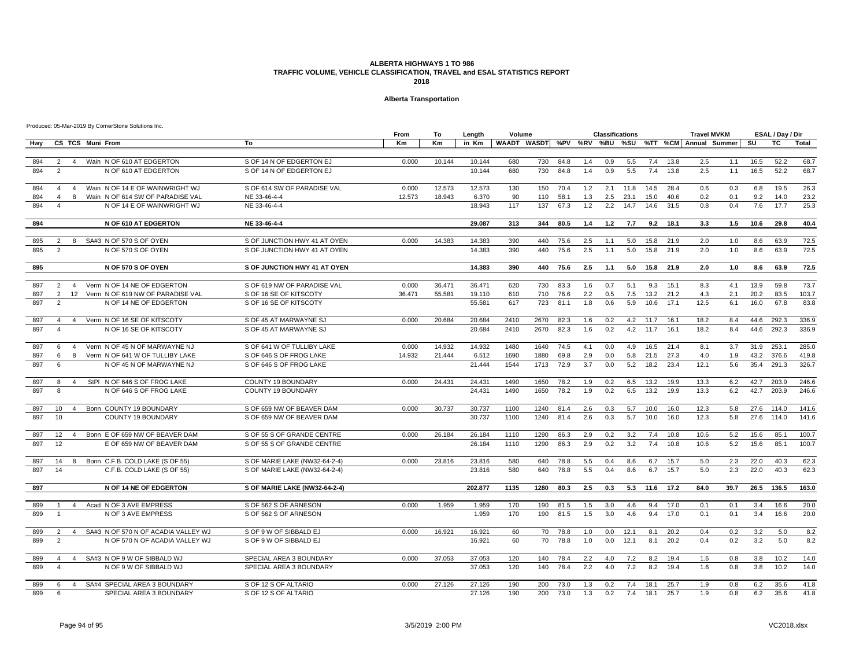#### **Alberta Transportation**

|     |                         |                |                                     |                               | From   | To     | Length  | Volume                                               |      |      |     | <b>Classifications</b> |      |      |      | <b>Travel MVKM</b> |      |      | ESAL / Day / Dir |       |
|-----|-------------------------|----------------|-------------------------------------|-------------------------------|--------|--------|---------|------------------------------------------------------|------|------|-----|------------------------|------|------|------|--------------------|------|------|------------------|-------|
| Hwy |                         |                | CS TCS Muni From                    | To                            | Km     | Km     | in Km   | WAADT WASDT %PV %RV %BU %SU %TT %CM Annual Summer SU |      |      |     |                        |      |      |      |                    |      |      | <b>TC</b>        | Total |
| 894 | 2                       | $\overline{4}$ | Wain N OF 610 AT EDGERTON           | S OF 14 N OF EDGERTON EJ      | 0.000  | 10.144 | 10.144  | 680                                                  | 730  | 84.8 | 1.4 | 0.9                    | 5.5  | 7.4  | 13.8 | 2.5                | 1.1  | 16.5 | 52.2             | 68.7  |
| 894 | $\overline{2}$          |                | N OF 610 AT EDGERTON                | S OF 14 N OF EDGERTON EJ      |        |        | 10.144  | 680                                                  | 730  | 84.8 | 1.4 | 0.9                    | 5.5  | 7.4  | 13.8 | 2.5                | 1.1  | 16.5 | 52.2             | 68.7  |
| 894 | $\overline{4}$          | $\overline{4}$ | Wain N OF 14 E OF WAINWRIGHT WJ     | S OF 614 SW OF PARADISE VAL   | 0.000  | 12.573 | 12.573  | 130                                                  | 150  | 70.4 | 1.2 | 2.1                    | 11.8 | 14.5 | 28.4 | 0.6                | 0.3  | 6.8  | 19.5             | 26.3  |
| 894 | $\overline{4}$          | 8              | Wain N OF 614 SW OF PARADISE VAL    | NE 33-46-4-4                  | 12.573 | 18.943 | 6.370   | 90                                                   | 110  | 58.1 | 1.3 | 2.5                    | 23.1 | 15.0 | 40.6 | 0.2                | 0.1  | 9.2  | 14.0             | 23.2  |
| 894 | $\overline{4}$          |                | N OF 14 E OF WAINWRIGHT WJ          | NE 33-46-4-4                  |        |        | 18.943  | 117                                                  | 137  | 67.3 | 1.2 | 2.2                    | 14.7 | 14.6 | 31.5 | 0.8                | 0.4  | 7.6  | 17.7             | 25.3  |
| 894 |                         |                | N OF 610 AT EDGERTON                | NE 33-46-4-4                  |        |        | 29.087  | 313                                                  | 344  | 80.5 | 1.4 | 1.2                    | 7.7  | 9.2  | 18.1 | 3.3                | 1.5  | 10.6 | 29.8             | 40.4  |
| 895 | 2                       | 8              | SA#3 N OF 570 S OF OYEN             | S OF JUNCTION HWY 41 AT OYEN  | 0.000  | 14.383 | 14.383  | 390                                                  | 440  | 75.6 | 2.5 | 1.1                    | 5.0  | 15.8 | 21.9 | 2.0                | 1.0  | 8.6  | 63.9             | 72.5  |
| 895 | 2                       |                | N OF 570 S OF OYEN                  | S OF JUNCTION HWY 41 AT OYEN  |        |        | 14.383  | 390                                                  | 440  | 75.6 | 2.5 | 1.1                    | 5.0  | 15.8 | 21.9 | 2.0                | 1.0  | 8.6  | 63.9             | 72.5  |
| 895 |                         |                | N OF 570 S OF OYEN                  | S OF JUNCTION HWY 41 AT OYEN  |        |        | 14.383  | 390                                                  | 440  | 75.6 | 2.5 | 1.1                    | 5.0  | 15.8 | 21.9 | 2.0                | 1.0  | 8.6  | 63.9             | 72.5  |
| 897 | 2                       |                | 4 Verm N OF 14 NE OF EDGERTON       | S OF 619 NW OF PARADISE VAL   | 0.000  | 36.471 | 36.471  | 620                                                  | 730  | 83.3 | 1.6 | 0.7                    | 5.1  | 9.3  | 15.1 | 8.3                | 4.1  | 13.9 | 59.8             | 73.7  |
| 897 | $\overline{2}$          |                | 12 Verm N OF 619 NW OF PARADISE VAL | S OF 16 SE OF KITSCOTY        | 36.471 | 55.581 | 19.110  | 610                                                  | 710  | 76.6 | 2.2 | 0.5                    | 7.5  | 13.2 | 21.2 | 4.3                | 2.1  | 20.2 | 83.5             | 103.7 |
| 897 | $\overline{2}$          |                | N OF 14 NE OF EDGERTON              | S OF 16 SE OF KITSCOTY        |        |        | 55.581  | 617                                                  | 723  | 81.1 | 1.8 | 0.6                    | 5.9  | 10.6 | 17.1 | 12.5               | 6.1  | 16.0 | 67.8             | 83.8  |
| 897 | $\overline{4}$          | $\overline{4}$ | Verm N OF 16 SE OF KITSCOTY         | S OF 45 AT MARWAYNE SJ        | 0.000  | 20.684 | 20.684  | 2410                                                 | 2670 | 82.3 | 1.6 | 0.2                    | 4.2  | 11.7 | 16.1 | 18.2               | 8.4  | 44.6 | 292.3            | 336.9 |
| 897 | $\overline{\mathbf{A}}$ |                | N OF 16 SE OF KITSCOTY              | S OF 45 AT MARWAYNE SJ        |        |        | 20.684  | 2410                                                 | 2670 | 82.3 | 1.6 | 0.2                    | 4.2  | 11.7 | 16.1 | 18.2               | 8.4  | 44.6 | 292.3            | 336.9 |
| 897 | 6                       | $\overline{4}$ | Verm N OF 45 N OF MARWAYNE NJ       | S OF 641 W OF TULLIBY LAKE    | 0.000  | 14.932 | 14.932  | 1480                                                 | 1640 | 74.5 | 4.1 | 0.0                    | 4.9  | 16.5 | 21.4 | 8.1                | 3.7  | 31.9 | 253.1            | 285.0 |
| 897 | 6                       |                | 8 Verm N OF 641 W OF TULLIBY LAKE   | S OF 646 S OF FROG LAKE       | 14.932 | 21.444 | 6.512   | 1690                                                 | 1880 | 69.8 | 2.9 | 0.0                    | 5.8  | 21.5 | 27.3 | 4.0                | 1.9  | 43.2 | 376.6            | 419.8 |
| 897 | 6                       |                | N OF 45 N OF MARWAYNE NJ            | S OF 646 S OF FROG LAKE       |        |        | 21.444  | 1544                                                 | 1713 | 72.9 | 3.7 | 0.0                    | 5.2  | 18.2 | 23.4 | 12.1               | 5.6  | 35.4 | 291.3            | 326.7 |
| 897 | 8                       | $\overline{4}$ | StPI N OF 646 S OF FROG LAKE        | COUNTY 19 BOUNDARY            | 0.000  | 24.431 | 24.431  | 1490                                                 | 1650 | 78.2 | 1.9 | 0.2                    | 6.5  | 13.2 | 19.9 | 13.3               | 6.2  | 42.7 | 203.9            | 246.6 |
| 897 | $\mathsf{R}$            |                | N OF 646 S OF FROG LAKE             | COUNTY 19 BOUNDARY            |        |        | 24.431  | 1490                                                 | 1650 | 78.2 | 1.9 | 0.2                    | 6.5  | 13.2 | 19.9 | 13.3               | 6.2  | 42.7 | 203.9            | 246.6 |
| 897 | 10 <sup>°</sup>         | $\overline{4}$ | Bonn COUNTY 19 BOUNDARY             | S OF 659 NW OF BEAVER DAM     | 0.000  | 30.737 | 30.737  | 1100                                                 | 1240 | 81.4 | 2.6 | 0.3                    | 5.7  | 10.0 | 16.0 | 12.3               | 5.8  | 27.6 | 114.0            | 141.6 |
| 897 | 10                      |                | <b>COUNTY 19 BOUNDARY</b>           | S OF 659 NW OF BEAVER DAM     |        |        | 30.737  | 1100                                                 | 1240 | 81.4 | 2.6 | 0.3                    | 5.7  | 10.0 | 16.0 | 12.3               | 5.8  | 27.6 | 114.0            | 141.6 |
| 897 | 12                      | $\overline{4}$ | Bonn E OF 659 NW OF BEAVER DAM      | S OF 55 S OF GRANDE CENTRE    | 0.000  | 26.184 | 26.184  | 1110                                                 | 1290 | 86.3 | 2.9 | 0.2                    | 3.2  | 7.4  | 10.8 | 10.6               | 5.2  | 15.6 | 85.1             | 100.7 |
| 897 | 12                      |                | E OF 659 NW OF BEAVER DAM           | S OF 55 S OF GRANDE CENTRE    |        |        | 26.184  | 1110                                                 | 1290 | 86.3 | 2.9 | 0.2                    | 3.2  | 7.4  | 10.8 | 10.6               | 5.2  | 15.6 | 85.1             | 100.7 |
| 897 | 14                      | 8              | Bonn C.F.B. COLD LAKE (S OF 55)     | S OF MARIE LAKE (NW32-64-2-4) | 0.000  | 23.816 | 23.816  | 580                                                  | 640  | 78.8 | 5.5 | 0.4                    | 8.6  | 6.7  | 15.7 | 5.0                | 2.3  | 22.0 | 40.3             | 62.3  |
| 897 | 14                      |                | C.F.B. COLD LAKE (S OF 55)          | S OF MARIE LAKE (NW32-64-2-4) |        |        | 23.816  | 580                                                  | 640  | 78.8 | 5.5 | 0.4                    | 8.6  | 6.7  | 15.7 | 5.0                | 2.3  | 22.0 | 40.3             | 62.3  |
| 897 |                         |                | N OF 14 NE OF EDGERTON              | S OF MARIE LAKE (NW32-64-2-4) |        |        | 202.877 | 1135                                                 | 1280 | 80.3 | 2.5 | 0.3                    | 5.3  | 11.6 | 17.2 | 84.0               | 39.7 | 26.5 | 136.5            | 163.0 |
| 899 | $\mathbf{1}$            | $\overline{4}$ | Acad N OF 3 AVE EMPRESS             | S OF 562 S OF ARNESON         | 0.000  | 1.959  | 1.959   | 170                                                  | 190  | 81.5 | 1.5 | 3.0                    | 4.6  | 9.4  | 17.0 | 0.1                | 0.1  | 3.4  | 16.6             | 20.0  |
| 899 | $\overline{1}$          |                | N OF 3 AVE EMPRESS                  | S OF 562 S OF ARNESON         |        |        | 1.959   | 170                                                  | 190  | 81.5 | 1.5 | 3.0                    | 4.6  | 9.4  | 17.0 | 0.1                | 0.1  | 3.4  | 16.6             | 20.0  |
| 899 | 2                       | $\overline{4}$ | SA#3 N OF 570 N OF ACADIA VALLEY WJ | S OF 9 W OF SIBBALD EJ        | 0.000  | 16.921 | 16.921  | 60                                                   | 70   | 78.8 | 1.0 | 0.0                    | 12.1 | 8.1  | 20.2 | 0.4                | 0.2  | 3.2  | 5.0              | 8.2   |
| 899 | 2                       |                | N OF 570 N OF ACADIA VALLEY WJ      | S OF 9 W OF SIBBALD EJ        |        |        | 16.921  | 60                                                   | 70   | 78.8 | 1.0 | 0.0                    | 12.1 | 8.1  | 20.2 | 0.4                | 0.2  | 3.2  | 5.0              | 8.2   |
| 899 | $\overline{4}$          | $\overline{4}$ | SA#3 N OF 9 W OF SIBBALD WJ         | SPECIAL AREA 3 BOUNDARY       | 0.000  | 37.053 | 37.053  | 120                                                  | 140  | 78.4 | 2.2 | 4.0                    | 7.2  | 8.2  | 19.4 | 1.6                | 0.8  | 3.8  | 10.2             | 14.0  |
| 899 | $\overline{\mathbf{A}}$ |                | N OF 9 W OF SIBBALD WJ              | SPECIAL AREA 3 BOUNDARY       |        |        | 37.053  | 120                                                  | 140  | 78.4 | 2.2 | 4.0                    | 7.2  | 8.2  | 19.4 | 1.6                | 0.8  | 3.8  | 10.2             | 14.0  |
| 899 | 6                       | $\overline{4}$ | SA#4 SPECIAL AREA 3 BOUNDARY        | S OF 12 S OF ALTARIO          | 0.000  | 27.126 | 27.126  | 190                                                  | 200  | 73.0 | 1.3 | 0.2                    | 7.4  | 18.1 | 25.7 | 1.9                | 0.8  | 6.2  | 35.6             | 41.8  |
| 899 | 6                       |                | SPECIAL AREA 3 BOUNDARY             | S OF 12 S OF ALTARIO          |        |        | 27.126  | 190                                                  | 200  | 73.0 | 1.3 | 0.2                    | 7.4  | 18.1 | 25.7 | 1.9                | 0.8  | 6.2  | 35.6             | 41.8  |